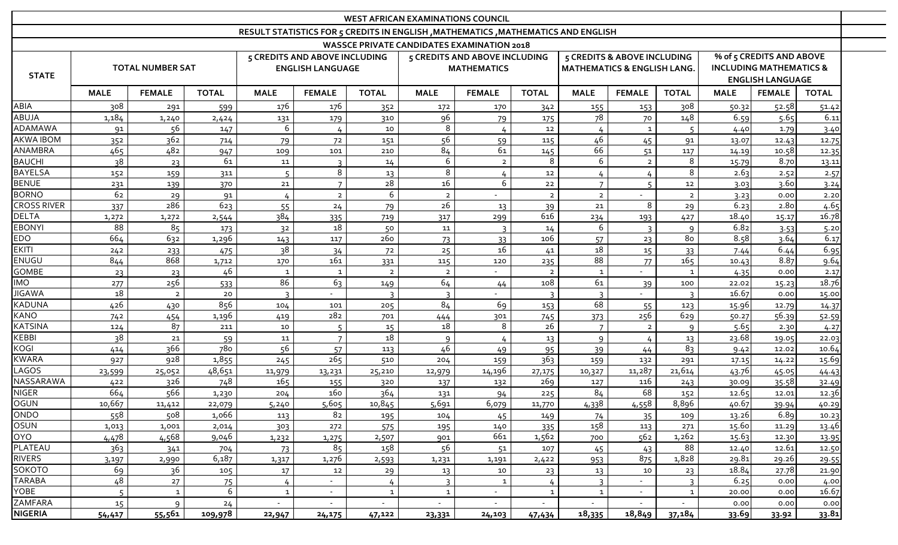|                    |                         |                |              |                                                          |                          |                                                     | <b>WEST AFRICAN EXAMINATIONS COUNCIL</b>                                           |                                                                       |                |                                                                                           |                |                          |             |               |              |
|--------------------|-------------------------|----------------|--------------|----------------------------------------------------------|--------------------------|-----------------------------------------------------|------------------------------------------------------------------------------------|-----------------------------------------------------------------------|----------------|-------------------------------------------------------------------------------------------|----------------|--------------------------|-------------|---------------|--------------|
|                    |                         |                |              |                                                          |                          |                                                     | RESULT STATISTICS FOR 5 CREDITS IN ENGLISH , MATHEMATICS , MATHEMATICS AND ENGLISH |                                                                       |                |                                                                                           |                |                          |             |               |              |
|                    |                         |                |              |                                                          |                          |                                                     | <b>WASSCE PRIVATE CANDIDATES EXAMINATION 2018</b>                                  |                                                                       |                |                                                                                           |                |                          |             |               |              |
| <b>STATE</b>       | <b>TOTAL NUMBER SAT</b> |                |              | 5 CREDITS AND ABOVE INCLUDING<br><b>ENGLISH LANGUAGE</b> |                          | 5 CREDITS AND ABOVE INCLUDING<br><b>MATHEMATICS</b> |                                                                                    | 5 CREDITS & ABOVE INCLUDING<br><b>MATHEMATICS &amp; ENGLISH LANG.</b> |                | % of 5 CREDITS AND ABOVE<br><b>INCLUDING MATHEMATICS &amp;</b><br><b>ENGLISH LANGUAGE</b> |                |                          |             |               |              |
|                    | <b>MALE</b>             | <b>FEMALE</b>  | <b>TOTAL</b> | <b>MALE</b>                                              | <b>FEMALE</b>            | <b>TOTAL</b>                                        | <b>MALE</b>                                                                        | <b>FEMALE</b>                                                         | <b>TOTAL</b>   | <b>MALE</b>                                                                               | <b>FEMALE</b>  | <b>TOTAL</b>             | <b>MALE</b> | <b>FEMALE</b> | <b>TOTAL</b> |
| ABIA               | 308                     | 291            | 599          | 176                                                      | 176                      | 352                                                 | 172                                                                                | 170                                                                   | 342            | 155                                                                                       | 153            | 308                      | 50.32       | 52.58         | 51.42        |
| ABUJA              | 1,184                   | 1,240          | 2,424        | 131                                                      | 179                      | 310                                                 | 96                                                                                 | 79                                                                    | 175            | 78                                                                                        | 70             | 148                      | 6.59        | 5.65          | 6.11         |
| ADAMAWA            | 91                      | 56             | 147          | 6                                                        |                          | 10                                                  | 8                                                                                  | $\overline{4}$                                                        | 12             |                                                                                           | $\mathbf{1}$   | 5                        | 4.40        | 1.79          | 3.40         |
| <b>AKWA IBOM</b>   | 352                     | 362            | 714          | 79                                                       | 72                       | 151                                                 | 56                                                                                 | 59                                                                    | 115            | 46                                                                                        | 45             | 91                       | 13.07       | 12.43         | 12.75        |
| ANAMBRA            | 465                     | 482            | 947          | 109                                                      | 101                      | 210                                                 | 84                                                                                 | 61                                                                    | 145            | 66                                                                                        | 51             | 117                      | 14.19       | 10.58         | 12.35        |
| <b>BAUCHI</b>      | 38                      | 23             | 61           | 11                                                       | ∍                        | 14                                                  | 6                                                                                  | $\overline{2}$                                                        | 8              | 6                                                                                         | $\overline{2}$ | 8                        | 15.79       | 8.70          | 13.11        |
| <b>BAYELSA</b>     | 152                     | 159            | 311          | 5                                                        | 8                        | 13                                                  | 8                                                                                  | 4                                                                     | 12             |                                                                                           | 4              | 8                        | 2.63        | 2.52          | 2.57         |
| <b>BENUE</b>       | 231                     | 139            | 370          | 21                                                       |                          | 28                                                  | 16                                                                                 | 6                                                                     | 22             |                                                                                           | 5              | 12                       | 3.03        | 3.60          | 3.24         |
| <b>BORNO</b>       | 62                      | 29             | 91           |                                                          | $\overline{2}$           | 6                                                   | $\overline{2}$                                                                     |                                                                       | $\overline{2}$ | $\overline{2}$                                                                            |                | $\overline{2}$           | 3.23        | 0.00          | 2.20         |
| <b>CROSS RIVER</b> | 337                     | 286            | 623          | 55                                                       | 24                       | 79                                                  | 26                                                                                 | 13                                                                    | 39             | 21                                                                                        | 8              | 29                       | 6.23        | 2.80          | 4.65         |
| <b>DELTA</b>       | 1,272                   | 1,272          | 2,544        | 384                                                      | 335                      | 719                                                 | 317                                                                                | 299                                                                   | 616            | 234                                                                                       | 193            | 427                      | 18.40       | 15.17         | 16.78        |
| <b>EBONYI</b>      | 88                      | 85             | 173          | 32                                                       | 18                       | 50                                                  | 11                                                                                 | ्र                                                                    | 14             | 6                                                                                         | $\mathbf{R}$   | $\mathsf{q}$             | 6.82        | 3.53          | 5.20         |
| <b>EDO</b>         | 664                     | 632            | 1,296        | 143                                                      | 117                      | 260                                                 | 73                                                                                 | 33 <sup>°</sup>                                                       | 106            | 57                                                                                        | 23             | 80                       | 8.58        | 3.64          | 6.17         |
| <b>EKITI</b>       | 242                     | 233            | 475          | 38                                                       | 34                       | 72                                                  | 25                                                                                 | 16                                                                    | 41             | 18                                                                                        | 15             | 33                       | 7.44        | 6.44          | 6.95         |
| ENUGU              | 844                     | 868            | 1,712        | 170                                                      | 161                      | 331                                                 | 115                                                                                | 120                                                                   | 235            | 88                                                                                        | 77             | 165                      | 10.43       | 8.87          | 9.64         |
| GOMBE              | 23                      | 23             | 46           | $\mathbf{1}$                                             | $\mathbf{1}$             | $\overline{2}$                                      | $\overline{2}$                                                                     |                                                                       | $\overline{2}$ | $\mathbf{1}$                                                                              |                | $\mathbf{1}$             | 4.35        | 0.00          | 2.17         |
| <b>IMO</b>         | 277                     | 256            | 533          | 86                                                       | 63                       | 149                                                 | 64                                                                                 | 44                                                                    | 108            | 61                                                                                        | 39             | 100                      | 22.02       | 15.23         | 18.76        |
| <b>JIGAWA</b>      | 18                      | $\overline{2}$ | 20           |                                                          |                          |                                                     | $\overline{\mathbf{z}}$                                                            |                                                                       | ₹              |                                                                                           |                | $\mathbf{R}$             | 16.67       | 0.00          | 15.00        |
| KADUNA             | 426                     | 430            | 856          | 104                                                      | 101                      | 205                                                 | 84                                                                                 | 69                                                                    | 153            | 68                                                                                        | 55             | 123                      | 15.96       | 12.79         | 14.37        |
| KANO               | 742                     | 454            | 1,196        | 419                                                      | 282                      | 701                                                 | 444                                                                                | 301                                                                   | 745            | 373                                                                                       | 256            | 629                      | 50.27       | 56.39         | 52.59        |
| <b>KATSINA</b>     | 124                     | 87             | 211          | 10                                                       |                          | 15                                                  | 18                                                                                 | 8                                                                     | 26             | 7                                                                                         | $\overline{2}$ | $\mathsf{q}$             | 5.65        | 2.30          | 4.27         |
| KEBBI              | 38                      | 21             | 59           | 11                                                       |                          | 18                                                  | $\mathsf{q}$                                                                       | 4                                                                     | 13             | $\mathsf{Q}$                                                                              |                | 13                       | 23.68       | 19.05         | 22.03        |
| KOGI               | 414                     | 366            | 780          | 56                                                       | 57                       | 113                                                 | 46                                                                                 | 49                                                                    | 95             | 39                                                                                        | 44             | 83                       | 9.42        | 12.02         | 10.64        |
| <b>KWARA</b>       | 927                     | 928            | 1,855        | 245                                                      | 265                      | 510                                                 | 204                                                                                | 159                                                                   | 363            | 159                                                                                       | 132            | 291                      | 17.15       | 14.22         | 15.69        |
| LAGOS              | 23,599                  | 25,052         | 48,651       | 11,979                                                   | 13,231                   | 25,210                                              | 12,979                                                                             | 14,196                                                                | 27,175         | 10,327                                                                                    | 11,287         | 21,614                   | 43.76       | 45.05         | 44.43        |
| NASSARAWA          | 422                     | 326            | 748          | 165                                                      | 155                      | 320                                                 | 137                                                                                | 132                                                                   | 269            | 127                                                                                       | 116            | 243                      | 30.09       | 35.58         | 32.49        |
| <b>NIGER</b>       | 664                     | 566            | 1,230        | 204                                                      | 160                      | 364                                                 | 131                                                                                | 94                                                                    | 225            | 84                                                                                        | 68             | 152                      | 12.64       | 12.01         | 12.36        |
| <b>OGUN</b>        | 10,667                  | 11,412         | 22,079       | 5,240                                                    | 5,605                    | 10,845                                              | 5,691                                                                              | 6,079                                                                 | 11,770         | 4,338                                                                                     | 4,558          | 8,896                    | 40.67       | 39.94         | 40.29        |
| ONDO               | 558                     | 508            | 1,066        | 113                                                      | 82                       | 195                                                 | 104                                                                                | 45                                                                    | 149            | 74                                                                                        | 35             | 109                      | 13.26       | 6.89          | 10.23        |
| <b>OSUN</b>        | 1,013                   | 1,001          | 2,014        | 303                                                      | 272                      | 575                                                 | 195                                                                                | 140                                                                   | 335            | 158                                                                                       | 113            | 271                      | 15.60       | 11.29         | 13.46        |
| <b>OYO</b>         | 4,478                   | 4,568          | 9,046        | 1,232                                                    | 1,275                    | 2,507                                               | 901                                                                                | 661                                                                   | 1,562          | 700                                                                                       | 562            | 1,262                    | 15.63       | 12.30         | 13.95        |
| PLATEAU            | 363                     | 341            | 704          |                                                          | 85                       | 158                                                 | 56                                                                                 | 51                                                                    | 107            | 45                                                                                        | 43             | 88                       | 12.40       | 12.61         | 12.50        |
| <b>RIVERS</b>      |                         |                | 6,187        | 73                                                       | 1,276                    |                                                     |                                                                                    |                                                                       |                |                                                                                           | 875            | 1,828                    | 29.81       | 29.26         |              |
| SOKOTO             | 3,197                   | 2,990<br>36    |              | 1,317                                                    |                          | 2,593                                               | 1,231                                                                              | 1,191                                                                 | 2,422          | 953                                                                                       | 10             |                          | 18.84       | 27.78         | 29.55        |
| TARABA             | 69                      |                | 105          | 17                                                       | 12                       | 29                                                  | 13                                                                                 | 10                                                                    | 23             | 13                                                                                        |                | 23                       |             |               | 21.90        |
|                    | 48                      | 27             | 75           |                                                          | $\overline{\phantom{a}}$ | 4                                                   | $\mathbf{R}$                                                                       | $\mathbf{1}$                                                          | 4              |                                                                                           | $\sim$         | $\mathcal{R}$            | 6.25        | 0.00          | 4.00         |
| YOBE               |                         | $\mathbf{1}$   | 6            | $\mathbf{1}$                                             | $\overline{\phantom{a}}$ | $\mathbf{1}$                                        | $\mathbf{1}$                                                                       | $\sim$                                                                | $\mathbf{1}$   | $\mathbf{1}$                                                                              | $\sim$         | $\mathbf{1}$             | 20.00       | 0.00          | 16.67        |
| ZAMFARA            | 15                      | $\mathsf{q}$   | 24           | ٠                                                        | $\overline{\phantom{a}}$ | $\overline{\phantom{a}}$                            |                                                                                    | $\sim$                                                                |                | $\sim$                                                                                    | $\sim$         | $\overline{\phantom{0}}$ | 0.00        | 0.00          | 0.00         |
| <b>NIGERIA</b>     | 54,417                  | 55,561         | 109,978      | 22,947                                                   | 24,175                   | 47,122                                              | 23,331                                                                             | 24,103                                                                | 47,434         | 18,335                                                                                    | 18,849         | 37,184                   | 33.69       | 33.92         | 33.81        |

÷.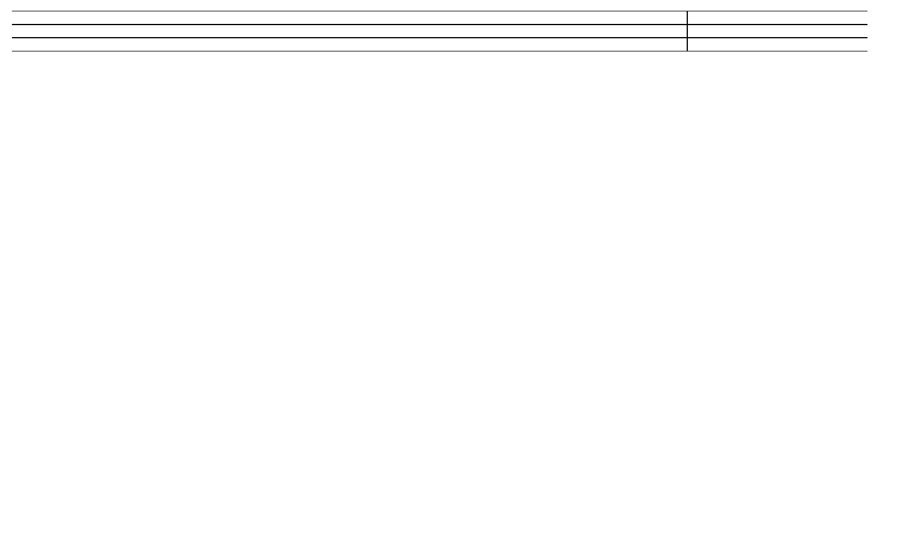| ,我们就会不会不会。""我们,我们也不会不会不会。""我们,我们也不会不会不会不会不会不会不会。""我们,我们也不会不会不会不会不会。""我们,我们也不会不会不 |  |
|----------------------------------------------------------------------------------|--|
| ,一个人的人都是一个人的人,而且,我们也不会不会不会。""我们,我们也不会不会不会不会不会不会。""我们,我们也不会不会不会不会。""我们,我们也不会不会不会不 |  |
|                                                                                  |  |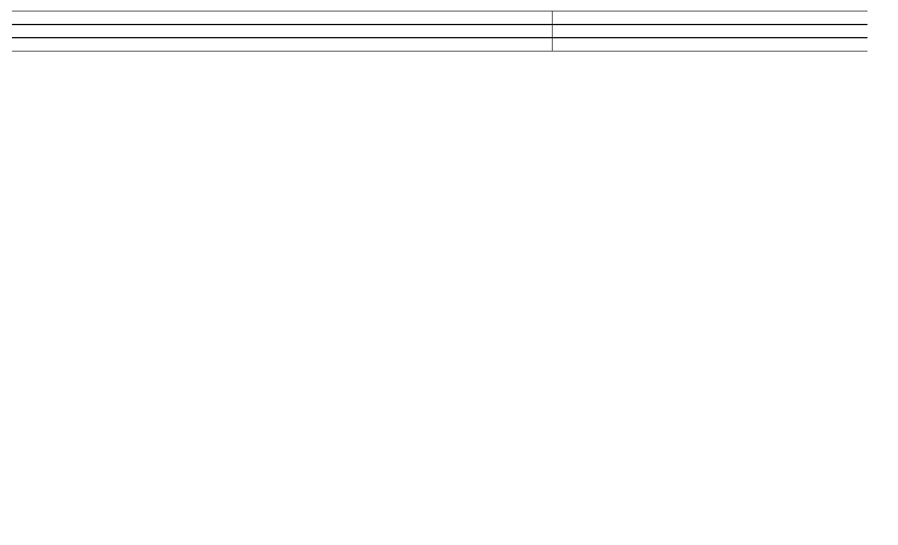| → 中国的 → 中国的 → 中国的 → 中国的 → 中国的 → 中国的 → 中国的 → 中国的 → 中国的 → 中国的 → 中国的 → 中国的 → 中国的 → 中国的 → 中国的 → 中国的 → 中国的 → 中国的 → 中国 |  |
|------------------------------------------------------------------------------------------------------------------|--|
|                                                                                                                  |  |
|                                                                                                                  |  |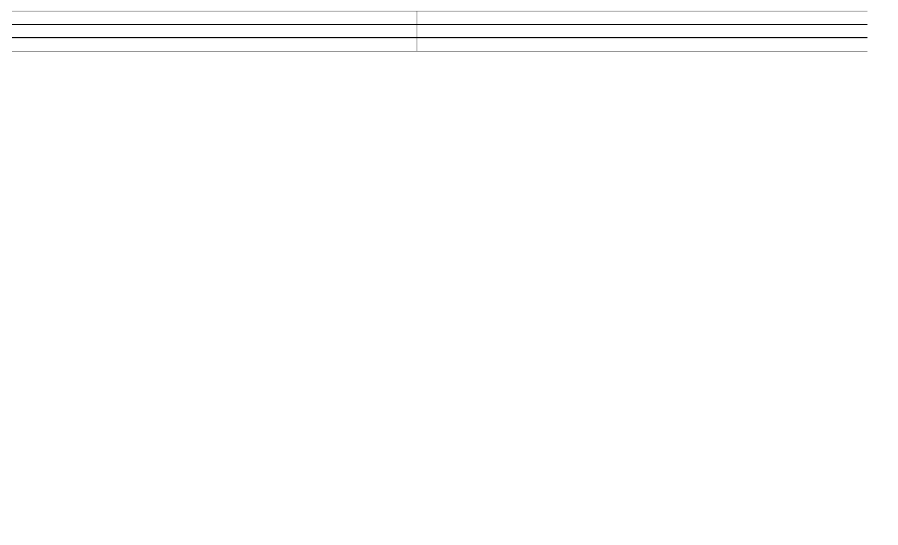| ,我们就会不会不会。""我们,我们就会不会不会不会,我们就会不会不会不会。""我们,我们就会不会不会不会。""我们,我们就会不会不会不会。""我们,我们就会不会 |                                                                                   |
|----------------------------------------------------------------------------------|-----------------------------------------------------------------------------------|
|                                                                                  | ,我们也不会不会不会。""我们的,我们也不会不会不会。""我们的,我们也不会不会不会不会。""我们的,我们也不会不会不会不会。""我们的,我们也不会不会不会不会  |
|                                                                                  | ,我们就会不会不会。""我们,我们就会不会不会,我们就会不会不会,我们就会不会不会。""我们,我们就会不会不会。""我们,我们就会不会不会不会。""我们,我们就会 |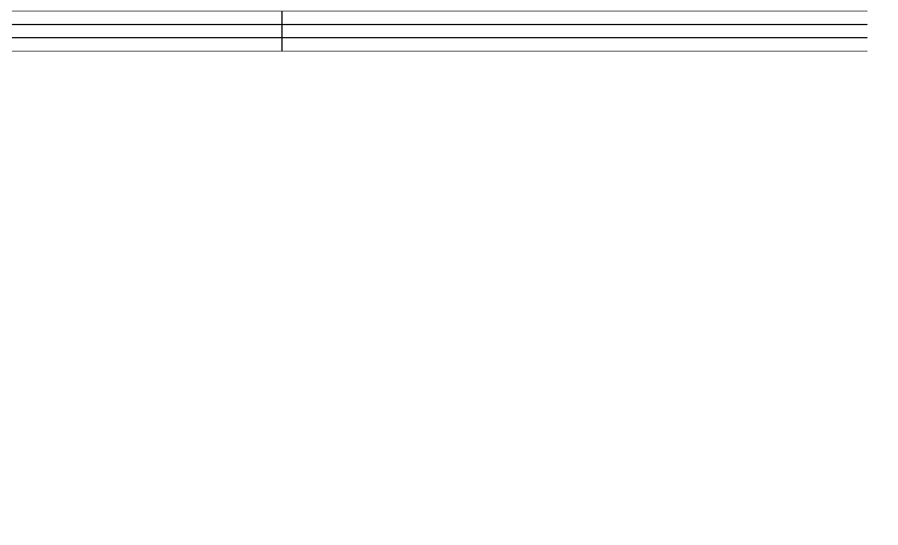| ,一个人都是一个人的人,我们就是一个人的人,我们就是一个人的人,我们就是一个人的人,我们就是一个人的人,我们就是一个人的人,我们就是一个人的人,我们就是一个人的<br>第一百一十一章 一个人的人,我们就是一个人的人,我们就是一个人的人,我们就是一个人的人,我们就是一个人的人,我们就是一个人的人,我们就是一个人的人,我们就是一个 |
|----------------------------------------------------------------------------------------------------------------------------------------------------------------------|
|                                                                                                                                                                      |
|                                                                                                                                                                      |
|                                                                                                                                                                      |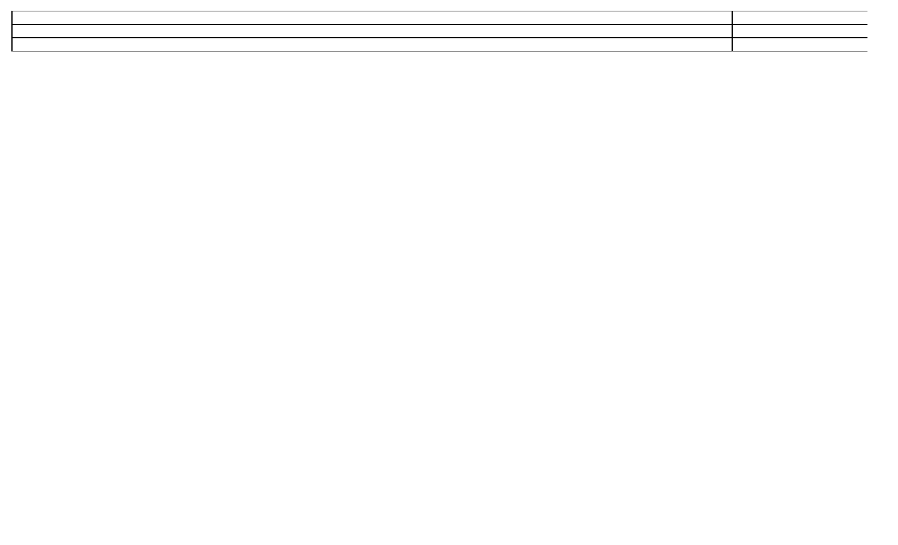| ,他们的人们就是一个人,他们的人们就是一个人,他们的人们,他们的人们就是一个人,他们的人们,他们的人们就是一个人,他们的人们,他们的人们,他们的人们,他们的人们,<br>第25章 我们的人们,他们的人们,他们的人们,他们的人们,他们的人们,他们的人们,他们的人们,他们的人们,他们的人们,他们的人们,他们的人们,他们的人们,他们的 |  |
|-----------------------------------------------------------------------------------------------------------------------------------------------------------------------|--|
| ,一个人都是一个人的人,而且,他们的人都是一个人,而且,他们的人都是一个人,而且,他们的人都是一个人,而且,他们的人都是一个人,而且,他们的人都是一个人,而且,他<br>第二百一十一章 一个人,他们的人都是一个人,他们的人都是一个人,他们的人都是一个人,他们的人都是一个人,他们的人都是一个人,他们的人都是一个人,他们的人都是一个 |  |
| ,一个人都是一个人的人,而且,他们的人都是一个人,他们的人都是一个人,他们的人都是一个人,他们的人都是一个人,他们的人都是一个人,他们的人都是一个人,他们的人都是                                                                                     |  |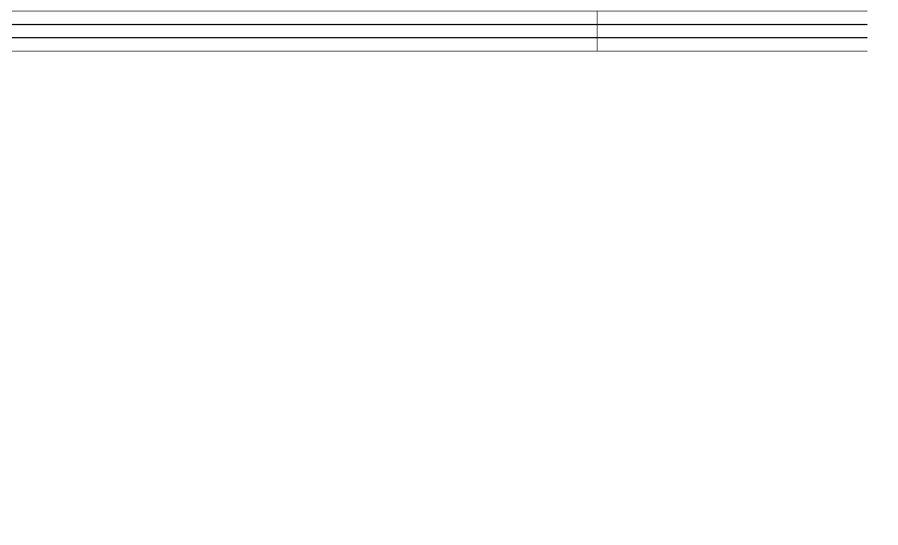| ,一个人都是一个人的人,而且,我们也不会不会不会。""我们,我们也不会不会不会不会不会不会不会不会。""我们,我们也不会不会不会不会不会不会不会不会。""我们,我<br>,他们的人们也不会不会。""我们的人们,我们也不会不会不会。""我们的人们,我们也不会不会不会。""我们的人们,我们也不会不会不会。""我们的人们,我们也不会不 |  |
|-----------------------------------------------------------------------------------------------------------------------------------------------------------------------|--|
| ,我们也不会不会不会。""我们的,我们也不会不会不会。""我们的,我们也不会不会不会不会。""我们的,我们也不会不会不会不会。""我们的,我们也不会不会不会不会                                                                                      |  |
|                                                                                                                                                                       |  |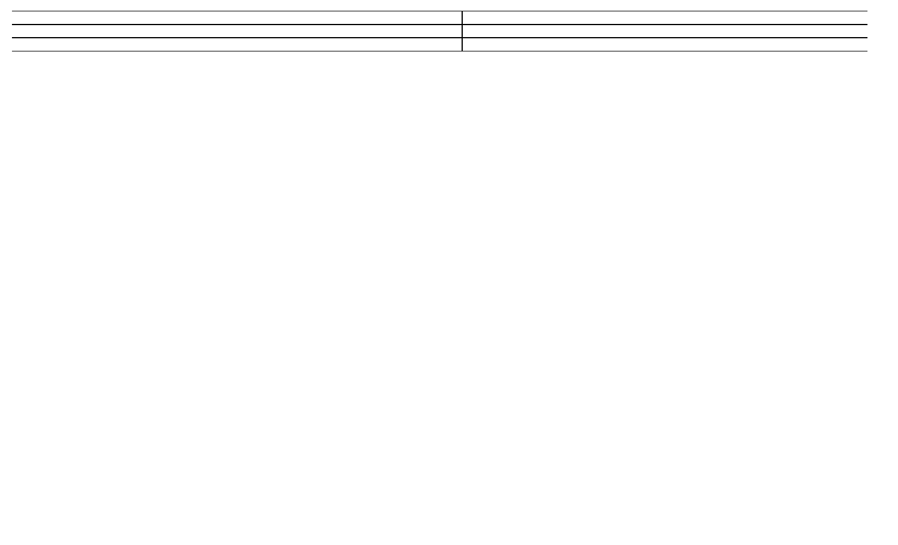| <u> 2001 - An t-An Aontaithe ann an t-Aontaithe ann an t-Aontaithe ann an t-Aontaithe ann an t-Aontaithe ann an t-</u> |
|------------------------------------------------------------------------------------------------------------------------|
|                                                                                                                        |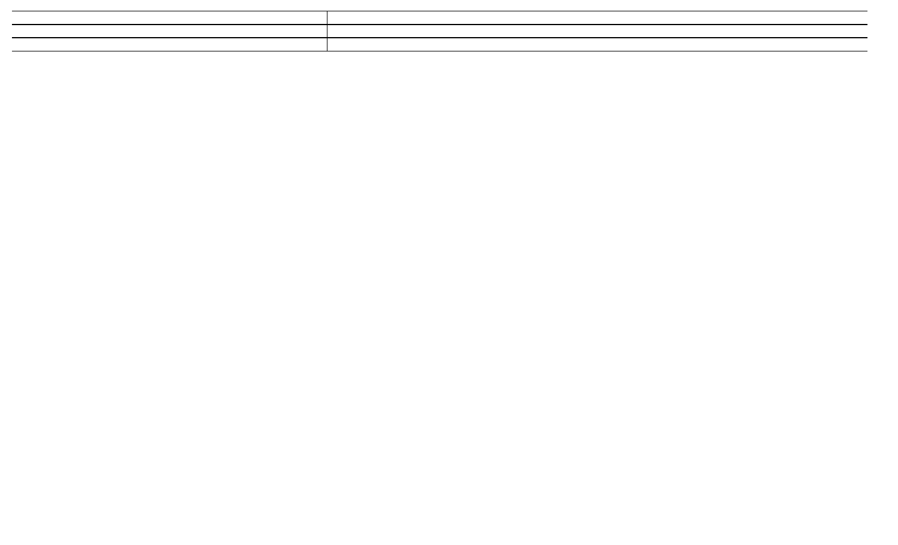| ,一个人都是一个人的人,而且,他们的人都是一个人,而且,他们的人都是一个人,而且,他们的人都是一个人,而且,他们的人都是一个人,而且,他们的人都是一个人,而且,他<br>第二十一章 一个人,他们的人都是一个人,他们的人都是一个人,他们的人都是一个人,他们的人都是一个人,他们的人都是一个人,他们的人都是一个人,他们的人都是一个人, | ,我们也不会不会。""我们的,我们也不会不会。""我们的,我们也不会不会不会。""我们的,我们也不会不会不会。""我们的,我们也不会不会不会。""我们的,我们也 |
|-----------------------------------------------------------------------------------------------------------------------------------------------------------------------|----------------------------------------------------------------------------------|
|                                                                                                                                                                       |                                                                                  |
|                                                                                                                                                                       |                                                                                  |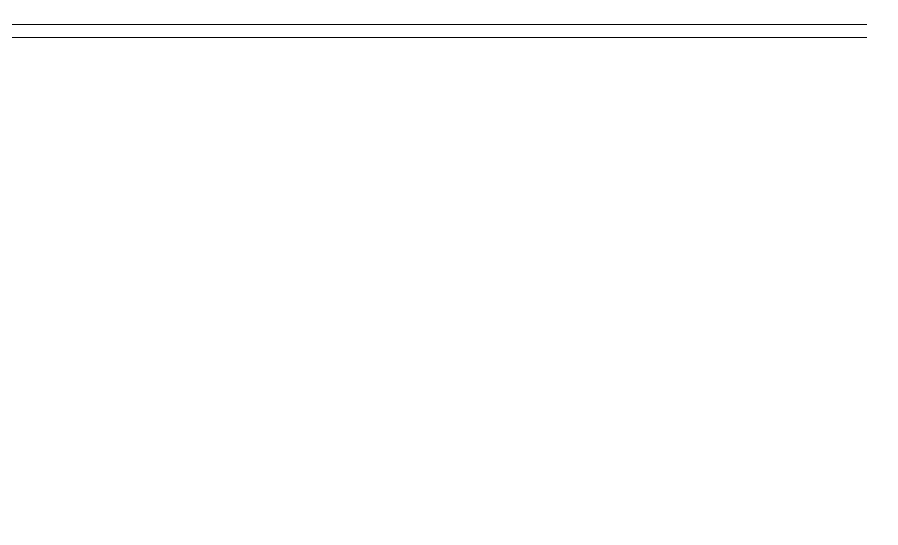| ,一个人的人都是一个人的人,而且,他们的人都是一个人的人,而且,他们的人都是一个人的人,而且,他们的人都是一个人的人,而且,他们的人都是一个人的人,而且,他们的人<br>第一百一十一章 一个人的人,他们的人都是一个人的人,他们的人都是一个人的人,他们的人都是一个人的人,他们的人都是一个人的人,他们的人都是一个人的人,他们的人都是<br>,我们就会不会不会。""我们,我们就会不会不会不会。""我们,我们就会不会不会不会不会不会。""我们,我们就会不会不会不会不会。""我们,我们就会不会不会不会不 |
|-----------------------------------------------------------------------------------------------------------------------------------------------------------------------------------------------------------------------------------------------------------|
| ,一个人都是一个人的人,而且,他们的人都是一个人,而且,他们的人都是一个人,而且,他们的人都是一个人,而且,他们的人都是一个人,而且,他们的人都是一个人,而且,他<br>第二十一章 一个人,他们的人都是一个人,他们的人都是一个人,他们的人都是一个人,他们的人都是一个人,他们的人都是一个人,他们的人都是一个人,他们的人都是一个人,                                                                                     |
|                                                                                                                                                                                                                                                           |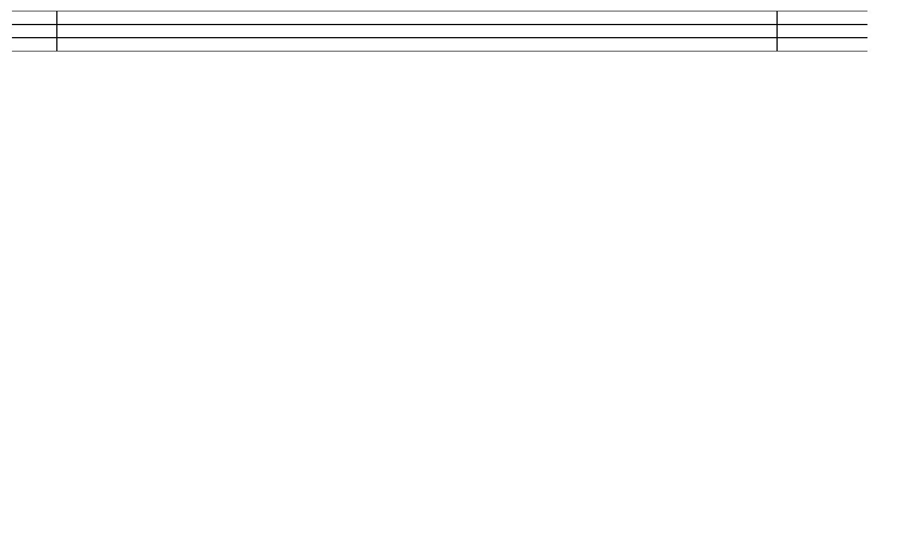| <u>та на представљен под податковата на представљен податковата на представљен податковата на представљен податк</u> |  |
|----------------------------------------------------------------------------------------------------------------------|--|
|                                                                                                                      |  |
| ,一个人都是一个人的人,一个人都是一个人的人,一个人都是一个人的人,一个人都是一个人的人,一个人都是一个人的人,一个人都是一个人的人,一个人都是一个人的人,一个人                                    |  |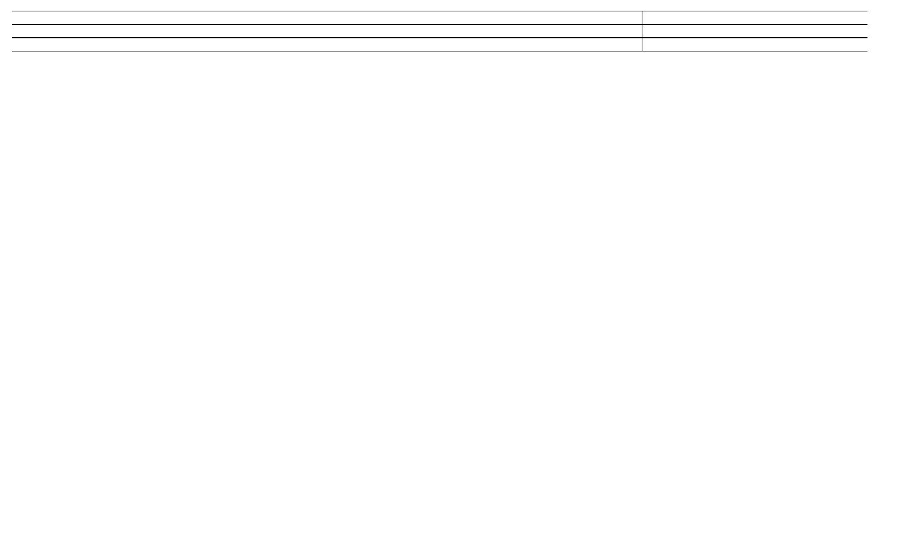| ,一个人都是一个人的人,一个人都是一个人的人,一个人都是一个人的人,一个人都是一个人的人,一个人都是一个人的人,一个人都是一个人的人,一个人都是一个人的人,一个人<br>→ South State State State State State State State State State State State State State State State State State State State State State State State State State State State State State State State State State State State St |  |
|-------------------------------------------------------------------------------------------------------------------------------------------------------------------------------------------------------------------------------------------------------------------------------------------------------------------|--|
| ,一个人的人都是一个人的人,而且,他们的人都是不是一个人的人,而且,他们的人都是不是一个人的人,而且,他们的人都是不是一个人的人,而且,他们的人都是不是一个人的<br>第一百一十一章 一个人的人,他们的人都是不是一个人的人,他们的人都是不是一个人的人,他们的人都是不是一个人的人,他们的人都是不是一个人的人,他们的人都是不是一个                                                                                                                                              |  |
| ,我们也不会不会不会。""我们的,我们也不会不会不会。""我们的,我们也不会不会不会不会不会。""我们的,我们也不会不会不会不会。""我们的,我们也不会不会不会<br>第二百一章 第二百一章 第二百一章 第二百一章 第二百一章 第二百一章 第二百一章 第二百一章 第二百一章 第二百一章 第二百一章 第二百一章 第二百一章 第二                                                                                                                                              |  |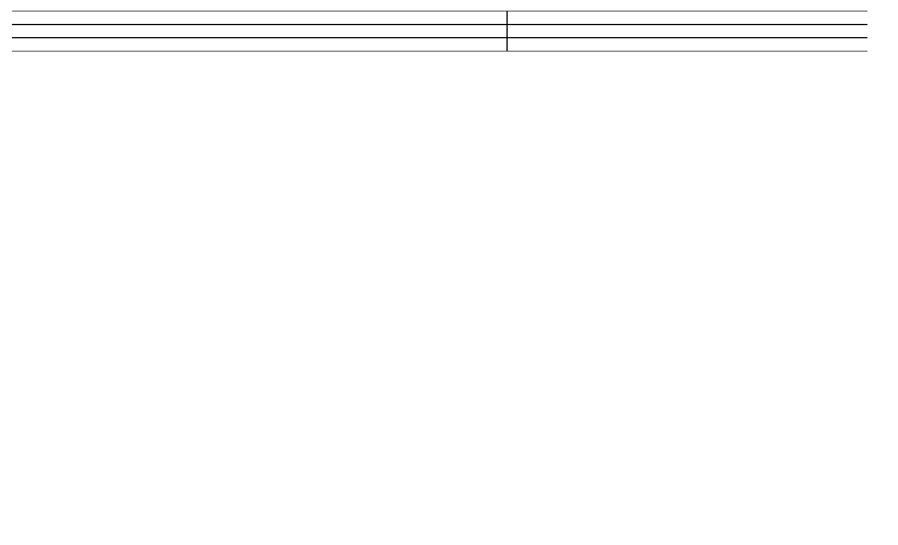| ,一个人都是一个人的人,而且,他们的人都是一个人,而且,他们的人都是一个人,而且,他们的人都是一个人,而且,他们的人都是一个人,而且,他们的人都是一个人,而且,他<br>第二十二章 第二十二章 第二十二章 第二十二章 第二十二章 第二十二章 第二十二章 第二十二章 第二十二章 第二十二章 第二十二章 第二十二章 第二十二章 第二十 |  |
|------------------------------------------------------------------------------------------------------------------------------------------------------------------------|--|
|                                                                                                                                                                        |  |
| ,我们就会不会不会。""我们的,我们也不会不会不会。""我们的,我们也不会不会不会不会不会。""我们的,我们也不会不会不会不会。""我们的,我们也不会不会不会不                                                                                       |  |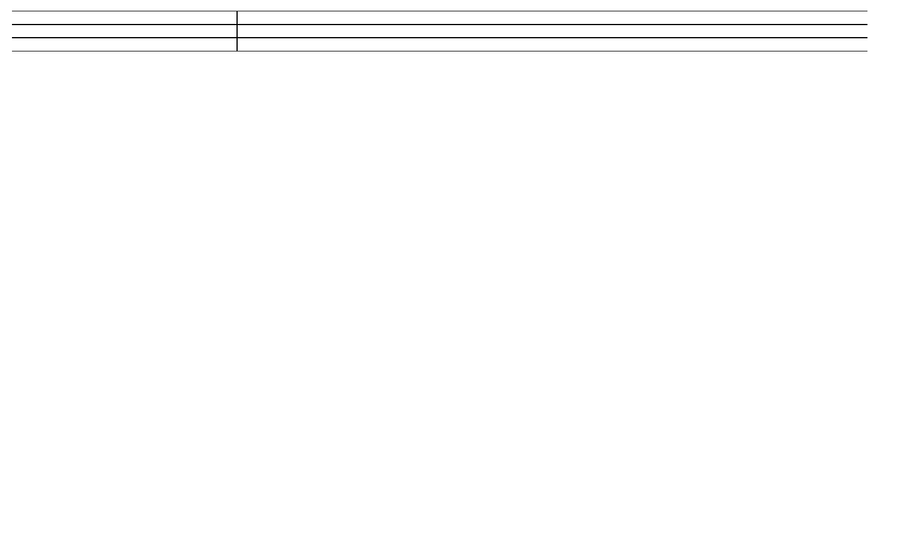| ,我们就会不会不会。""我们,我们也不会不会不会。""我们,我们也不会不会不会不会不会不会。""我们,我们也不会不会不会不会。""我们,我们也不会不会不会不会不  |
|-----------------------------------------------------------------------------------|
| ,一个人都是一个人的人,一个人都是一个人的人,一个人都是一个人的人,一个人都是一个人的人,一个人都是一个人的人,一个人都是一个人的人,一个人都是一个人的人,一个人 |
|                                                                                   |
| ,一个人都是一个人的人,而且,我们也不会不会不会。""我们,我们也不会不会不会不会不会不会不会。""我们,我们也不会不会不会不会不会不会不会不会。""我们,我们  |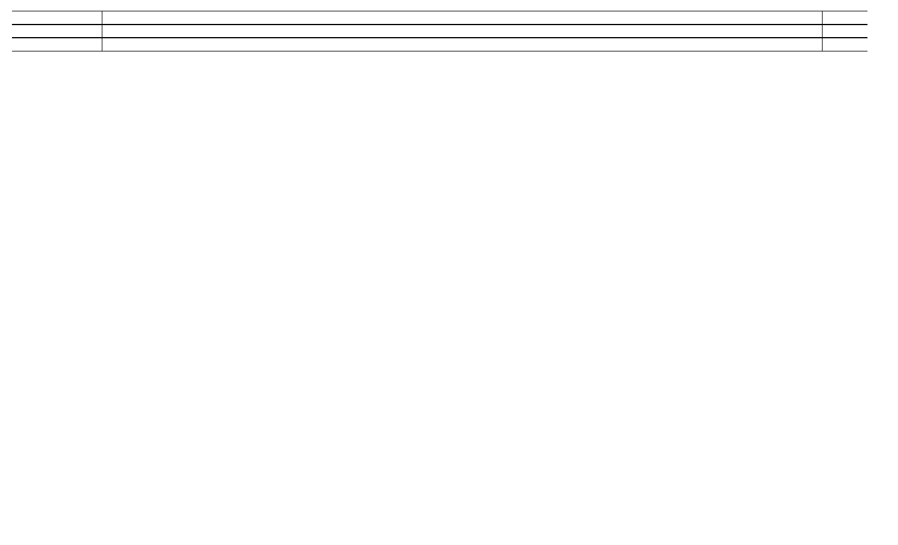| ,一个人都是一个人的人,一个人都是一个人的人,一个人都是一个人的人,一个人都是一个人的人,一个人都是一个人的人,一个人都是一个人的人,一个人都是一个人的人,一个人<br>第二十一章 一个人的人,一个人的人都是一个人的人,一个人的人都是一个人的人,一个人的人都是一个人的人,一个人的人都是一个人的人,一个人的人都是一个人的人,一个人<br>,一个人都是一个人的人,一个人都是一个人的人,一个人都是一个人的人,一个人都是一个人的人,一个人都是一个人的人,一个人都是一个人的人,一个人都是一个人的人,一个人<br>第二十一章 一个人的人,一个人都是一个人的人,一个人都是一个人的人,一个人都是一个人的人,一个人都是一个人的人,一个人都是一个人的人,一个人都是一个人的人,一个 |  |
|------------------------------------------------------------------------------------------------------------------------------------------------------------------------------------------------------------------------------------------------------------------------------------------------------------------------------------------------|--|
| ,一个人的人都是一个人的人,而且,他们的人都是一个人的人,而且,他们的人都是一个人的人,而且,他们的人都是一个人的人,而且,他们的人都是一个人的人,而且,他们的<br>第一百一十一章 一个人的人,他们的人都是一个人的人,他们的人都是一个人的人,他们的人都是一个人的人,他们的人都是一个人的人,他们的人都是一个人的人,他们的人都是                                                                                                                                                                           |  |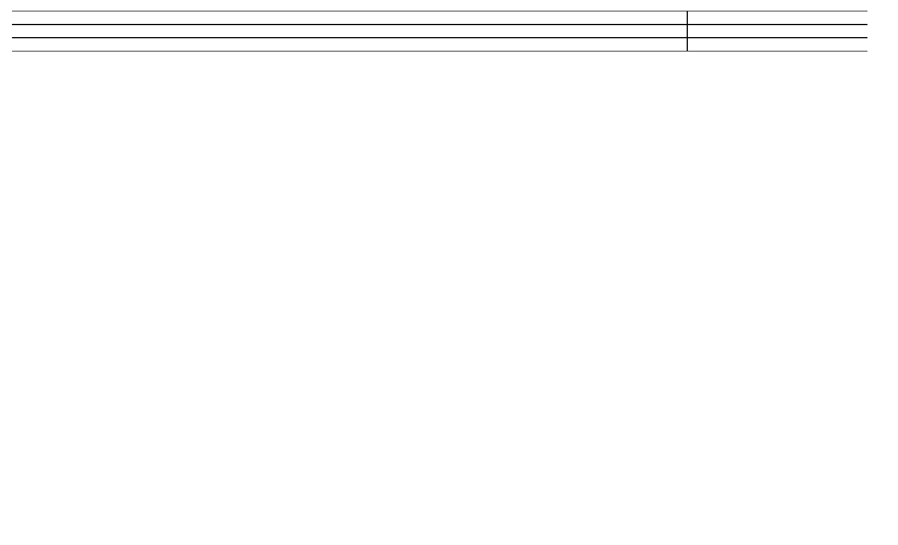| ,我们就会不会不会。""我们,我们也不会不会不会。""我们,我们也不会不会不会不会不会不会不会。""我们,我们也不会不会不会不会不会。""我们,我们也不会不会不 |  |
|----------------------------------------------------------------------------------|--|
| ,一个人的人都是一个人的人,而且,我们也不会不会不会。""我们,我们也不会不会不会不会不会不会。""我们,我们也不会不会不会不会。""我们,我们也不会不会不会不 |  |
|                                                                                  |  |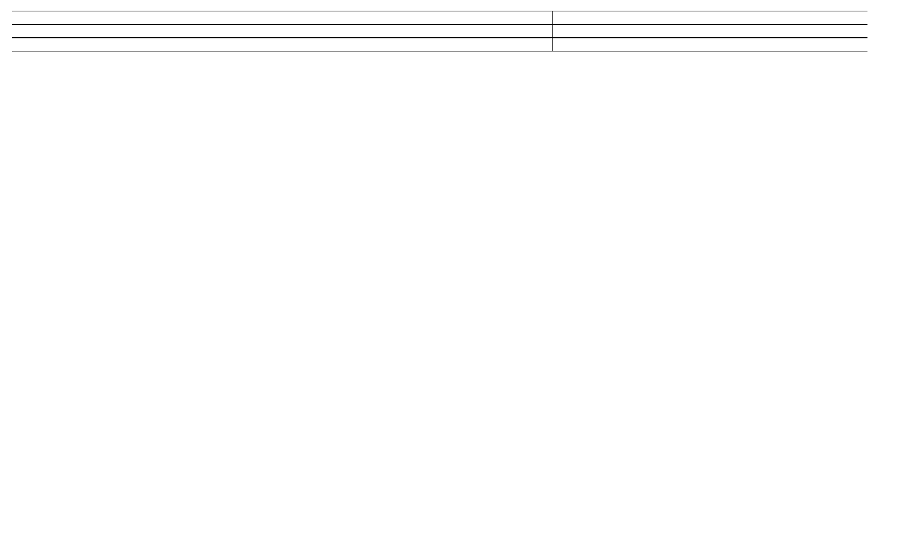| → 中国的 → 中国的 → 中国的 → 中国的 → 中国的 → 中国的 → 中国的 → 中国的 → 中国的 → 中国的 → 中国的 → 中国的 → 中国的 → 中国的 → 中国的 → 中国的 → 中国的 → 中国的 → 中国 |  |
|------------------------------------------------------------------------------------------------------------------|--|
|                                                                                                                  |  |
|                                                                                                                  |  |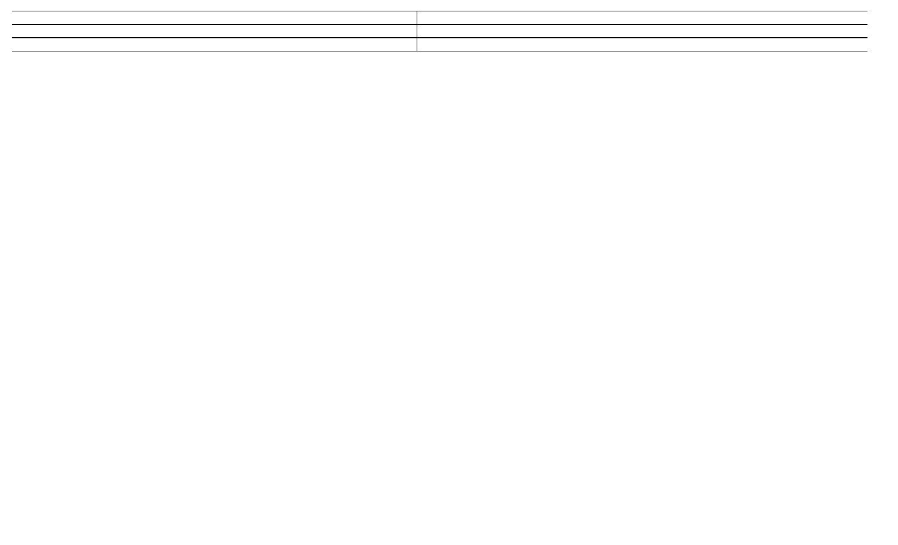| ,我们就会不会不会。""我们,我们就会不会不会不会,我们就会不会不会不会。""我们,我们就会不会不会不会。""我们,我们就会不会不会不会。""我们,我们就会不会 |                                                                                   |
|----------------------------------------------------------------------------------|-----------------------------------------------------------------------------------|
|                                                                                  | ,我们也不会不会不会。""我们的,我们也不会不会不会。""我们的,我们也不会不会不会不会。""我们的,我们也不会不会不会不会。""我们的,我们也不会不会不会不会  |
|                                                                                  | ,我们就会不会不会。""我们,我们就会不会不会,我们就会不会不会,我们就会不会不会。""我们,我们就会不会不会。""我们,我们就会不会不会不会。""我们,我们就会 |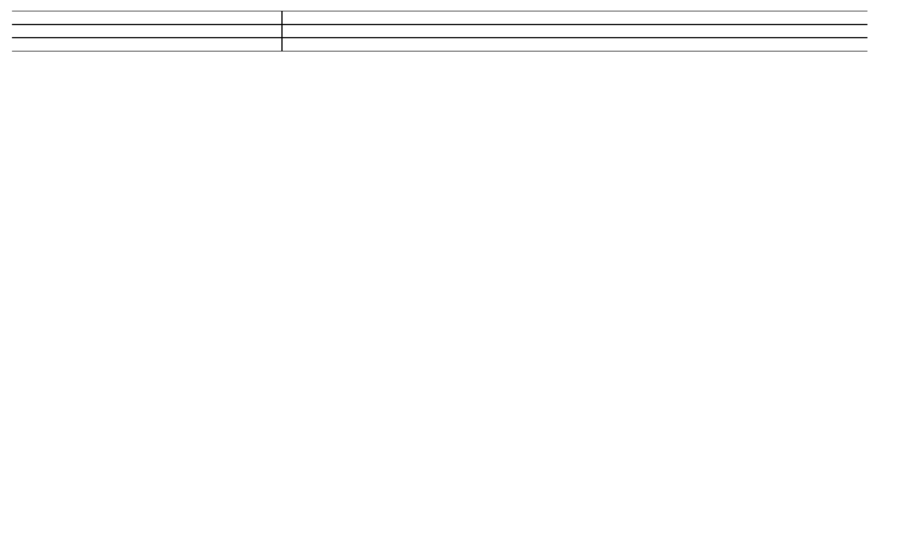| ,一个人都是一个人的人,我们就是一个人的人,我们就是一个人的人,我们就是一个人的人,我们就是一个人的人,我们就是一个人的人,我们就是一个人的人,我们就是一个人的<br>第一百一十一章 一个人的人,我们就是一个人的人,我们就是一个人的人,我们就是一个人的人,我们就是一个人的人,我们就是一个人的人,我们就是一个人的人,我们就是一个 |
|----------------------------------------------------------------------------------------------------------------------------------------------------------------------|
|                                                                                                                                                                      |
|                                                                                                                                                                      |
|                                                                                                                                                                      |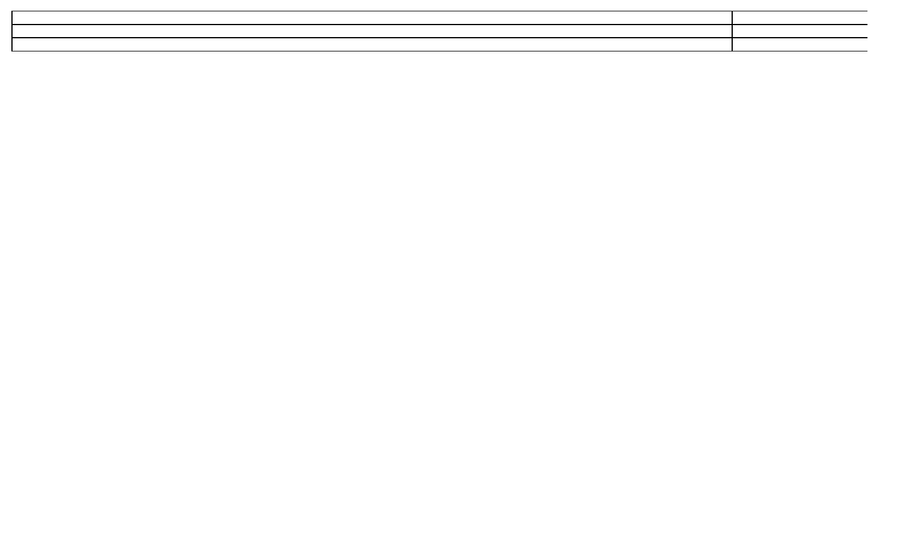| ,他们的人们就是一个人,他们的人们就是一个人,他们的人们,他们的人们就是一个人,他们的人们,他们的人们就是一个人,他们的人们,他们的人们,他们的人们,他们的人们,<br>第25章 我们的人们,他们的人们,他们的人们,他们的人们,他们的人们,他们的人们,他们的人们,他们的人们,他们的人们,他们的人们,他们的人们,他们的人们,他们的 |  |
|-----------------------------------------------------------------------------------------------------------------------------------------------------------------------|--|
| ,一个人都是一个人的人,而且,他们的人都是一个人,而且,他们的人都是一个人,而且,他们的人都是一个人,而且,他们的人都是一个人,而且,他们的人都是一个人,而且,他<br>第二百一十一章 一个人,他们的人都是一个人,他们的人都是一个人,他们的人都是一个人,他们的人都是一个人,他们的人都是一个人,他们的人都是一个人,他们的人都是一个 |  |
| ,一个人都是一个人的人,而且,他们的人都是一个人,他们的人都是一个人,他们的人都是一个人,他们的人都是一个人,他们的人都是一个人,他们的人都是一个人,他们的人都是                                                                                     |  |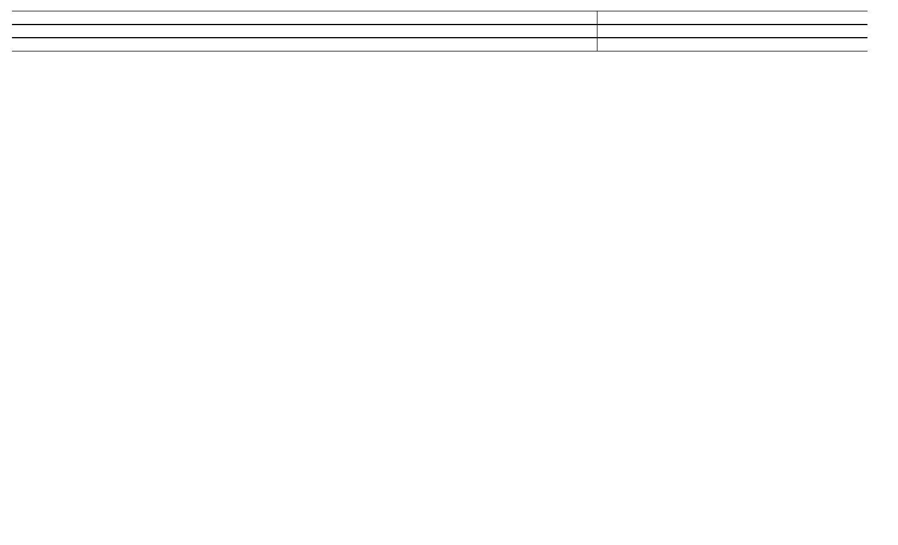| ,一个人都是一个人的人,而且,我们也不会不会不会。""我们,我们也不会不会不会不会不会不会不会不会。""我们,我们也不会不会不会不会不会不会不会不会。""我们,我<br>,他们的人们也不会不会。""我们的人们,我们也不会不会不会。""我们的人们,我们也不会不会不会。""我们的人们,我们也不会不会不会。""我们的人们,我们也不会不 |  |
|-----------------------------------------------------------------------------------------------------------------------------------------------------------------------|--|
| ,我们也不会不会不会。""我们的,我们也不会不会不会。""我们的,我们也不会不会不会不会。""我们的,我们也不会不会不会不会。""我们的,我们也不会不会不会不会                                                                                      |  |
|                                                                                                                                                                       |  |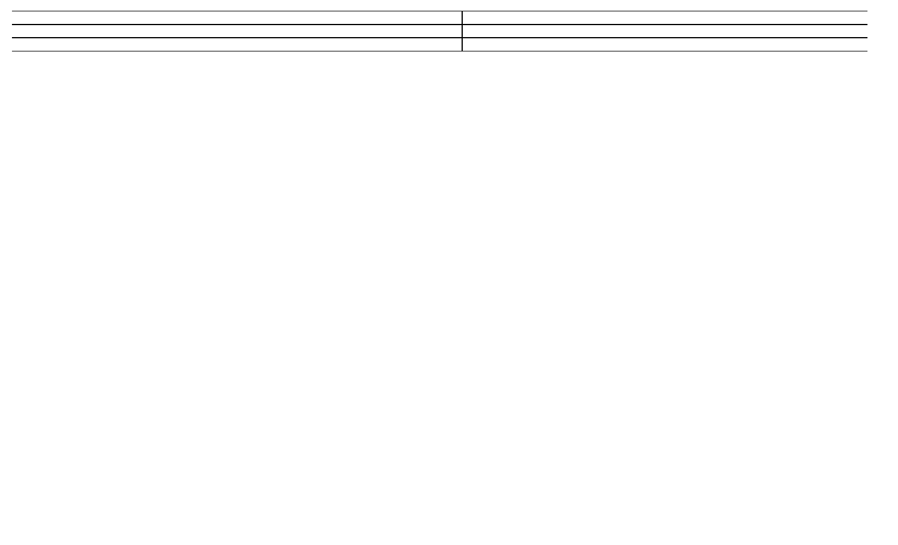| <u> 2001 - An t-An Aontaithe ann an t-Aontaithe ann an t-Aontaithe ann an t-Aontaithe ann an t-Aontaithe ann an t-</u> |
|------------------------------------------------------------------------------------------------------------------------|
|                                                                                                                        |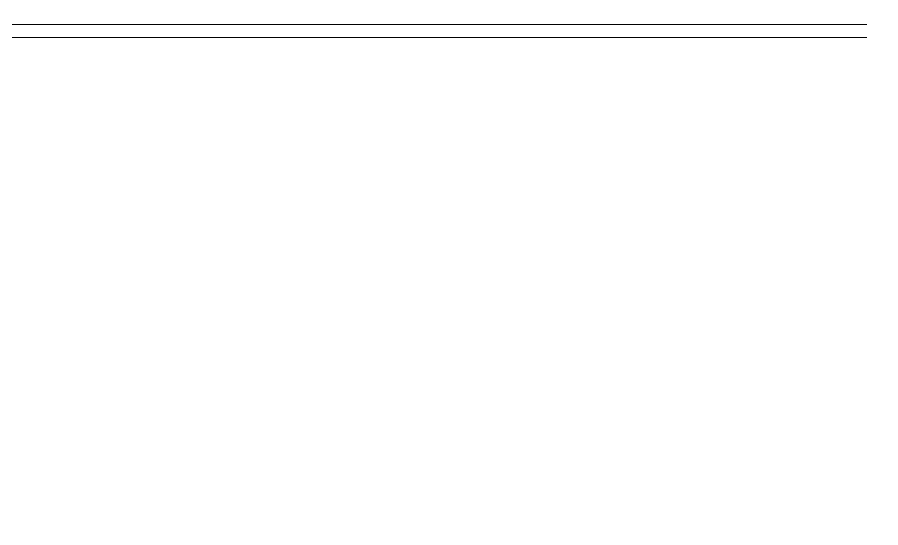| ,一个人都是一个人的人,而且,他们的人都是一个人,而且,他们的人都是一个人,而且,他们的人都是一个人,而且,他们的人都是一个人,而且,他们的人都是一个人,而且,他<br>第二十一章 一个人,他们的人都是一个人,他们的人都是一个人,他们的人都是一个人,他们的人都是一个人,他们的人都是一个人,他们的人都是一个人,他们的人都是一个人, | ,我们也不会不会。""我们的,我们也不会不会。""我们的,我们也不会不会不会。""我们的,我们也不会不会不会。""我们的,我们也不会不会不会。""我们的,我们也 |
|-----------------------------------------------------------------------------------------------------------------------------------------------------------------------|----------------------------------------------------------------------------------|
|                                                                                                                                                                       |                                                                                  |
|                                                                                                                                                                       |                                                                                  |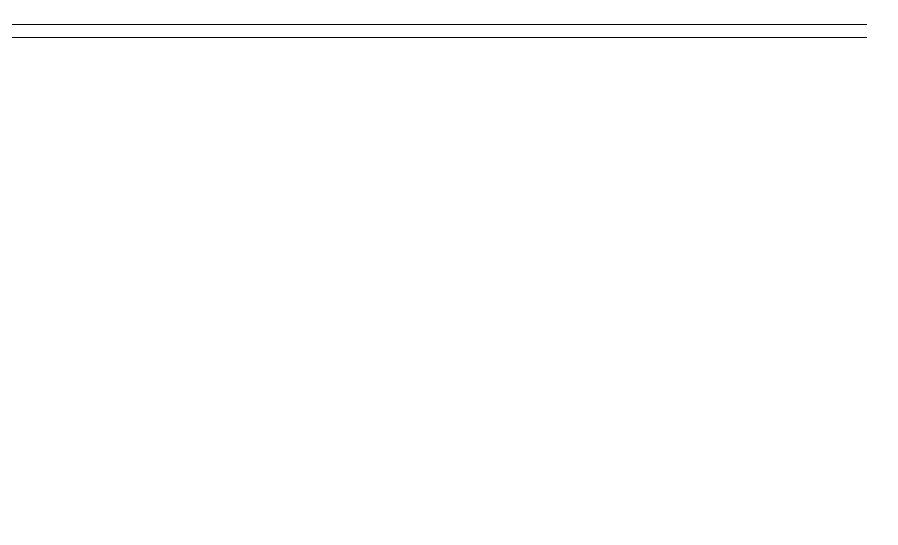| ,一个人的人都是一个人的人,而且,他们的人都是一个人的人,而且,他们的人都是一个人的人,而且,他们的人都是一个人的人,而且,他们的人都是一个人的人,而且,他们的人<br>第一百一十一章 一个人的人,他们的人都是一个人的人,他们的人都是一个人的人,他们的人都是一个人的人,他们的人都是一个人的人,他们的人都是一个人的人,他们的人都是<br>,我们就会不会不会。""我们,我们就会不会不会不会。""我们,我们就会不会不会不会不会不会。""我们,我们就会不会不会不会不会。""我们,我们就会不会不会不会不 |
|-----------------------------------------------------------------------------------------------------------------------------------------------------------------------------------------------------------------------------------------------------------|
| ,一个人都是一个人的人,而且,他们的人都是一个人,而且,他们的人都是一个人,而且,他们的人都是一个人,而且,他们的人都是一个人,而且,他们的人都是一个人,而且,他<br>第二十一章 一个人,他们的人都是一个人,他们的人都是一个人,他们的人都是一个人,他们的人都是一个人,他们的人都是一个人,他们的人都是一个人,他们的人都是一个人,                                                                                     |
|                                                                                                                                                                                                                                                           |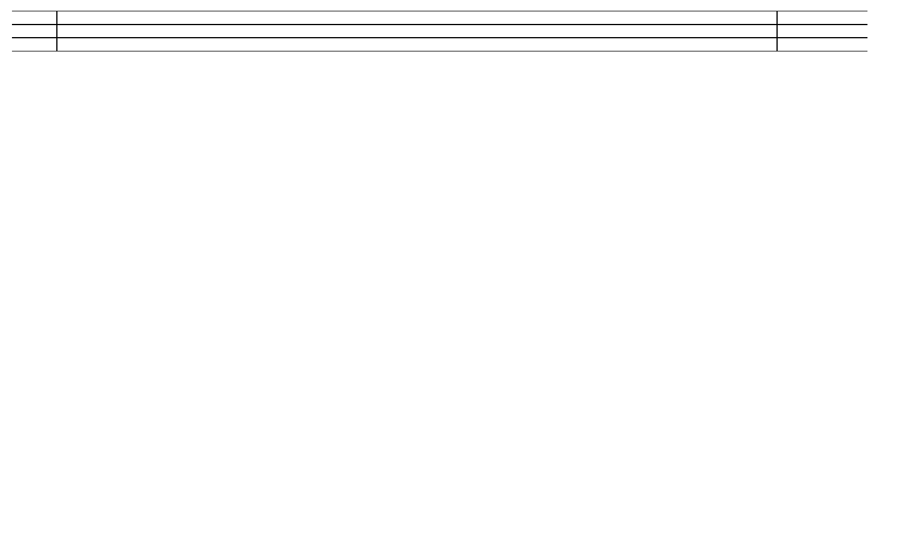| <u>та на представљен под податковата на представљен податковата на представљен податковата на представљен податк</u> |  |
|----------------------------------------------------------------------------------------------------------------------|--|
|                                                                                                                      |  |
| ,一个人都是一个人的人,一个人都是一个人的人,一个人都是一个人的人,一个人都是一个人的人,一个人都是一个人的人,一个人都是一个人的人,一个人都是一个人的人,一个人                                    |  |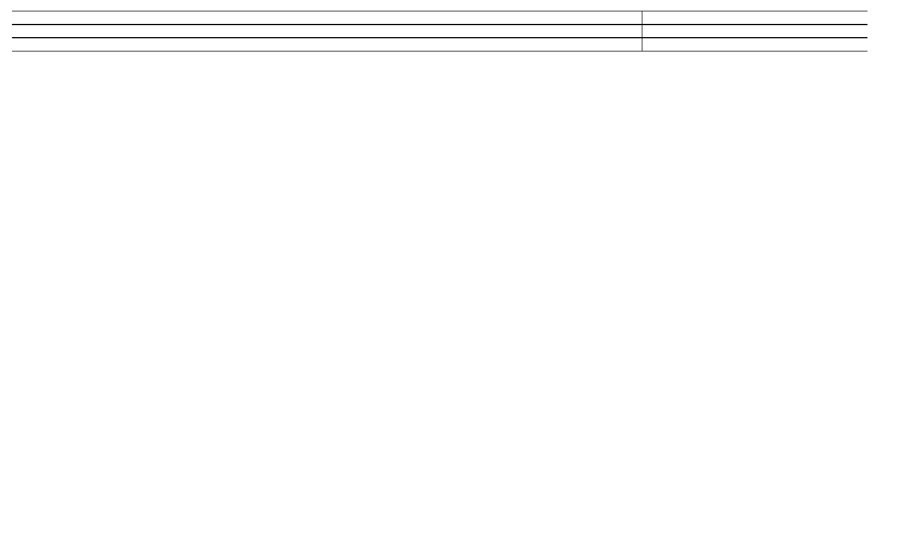| ,一个人都是一个人的人,一个人都是一个人的人,一个人都是一个人的人,一个人都是一个人的人,一个人都是一个人的人,一个人都是一个人的人,一个人都是一个人的人,一个人<br>→ South State State State State State State State State State State State State State State State State State State State State State State State State State State State State State State State State State State State St |  |
|-------------------------------------------------------------------------------------------------------------------------------------------------------------------------------------------------------------------------------------------------------------------------------------------------------------------|--|
| ,一个人的人都是一个人的人,而且,他们的人都是不是一个人的人,而且,他们的人都是不是一个人的人,而且,他们的人都是不是一个人的人,而且,他们的人都是不是一个人的<br>第一百一十一章 一个人的人,他们的人都是不是一个人的人,他们的人都是不是一个人的人,他们的人都是不是一个人的人,他们的人都是不是一个人的人,他们的人都是不是一个                                                                                                                                              |  |
| ,我们也不会不会不会。""我们的,我们也不会不会不会。""我们的,我们也不会不会不会不会不会。""我们的,我们也不会不会不会不会。""我们的,我们也不会不会不会<br>第二百一章 第二百一章 第二百一章 第二百一章 第二百一章 第二百一章 第二百一章 第二百一章 第二百一章 第二百一章 第二百一章 第二百一章 第二百一章 第二                                                                                                                                              |  |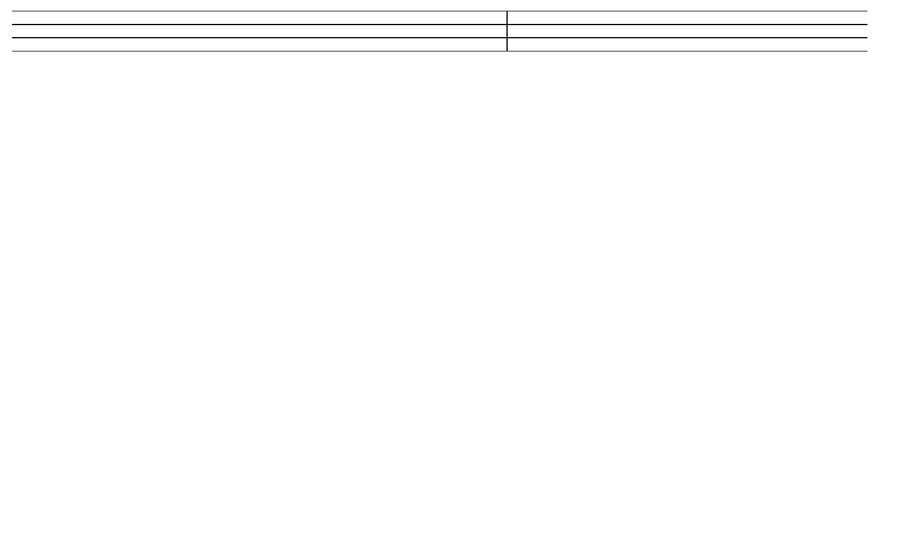| ,一个人都是一个人的人,而且,他们的人都是一个人,而且,他们的人都是一个人,而且,他们的人都是一个人,而且,他们的人都是一个人,而且,他们的人都是一个人,而且,他<br>第二十二章 第二十二章 第二十二章 第二十二章 第二十二章 第二十二章 第二十二章 第二十二章 第二十二章 第二十二章 第二十二章 第二十二章 第二十二章 第二十 |  |
|------------------------------------------------------------------------------------------------------------------------------------------------------------------------|--|
|                                                                                                                                                                        |  |
| ,我们就会不会不会。""我们的,我们也不会不会不会。""我们的,我们也不会不会不会不会不会。""我们的,我们也不会不会不会不会。""我们的,我们也不会不会不会不                                                                                       |  |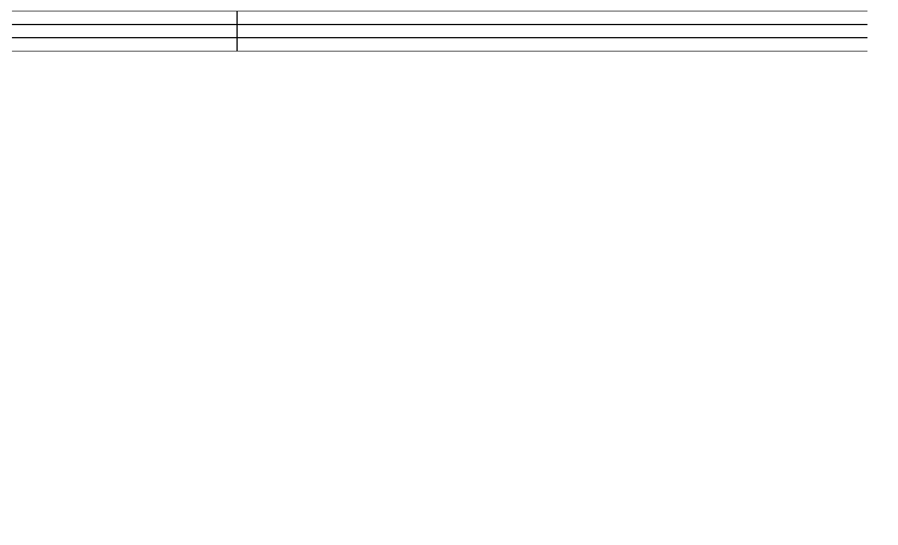| ,我们就会不会不会。""我们,我们也不会不会不会。""我们,我们也不会不会不会不会不会不会。""我们,我们也不会不会不会不会。""我们,我们也不会不会不会不会不  |
|-----------------------------------------------------------------------------------|
| ,一个人都是一个人的人,一个人都是一个人的人,一个人都是一个人的人,一个人都是一个人的人,一个人都是一个人的人,一个人都是一个人的人,一个人都是一个人的人,一个人 |
|                                                                                   |
| ,一个人都是一个人的人,而且,我们也不会不会不会。""我们,我们也不会不会不会不会不会不会不会。""我们,我们也不会不会不会不会不会不会不会不会。""我们,我们  |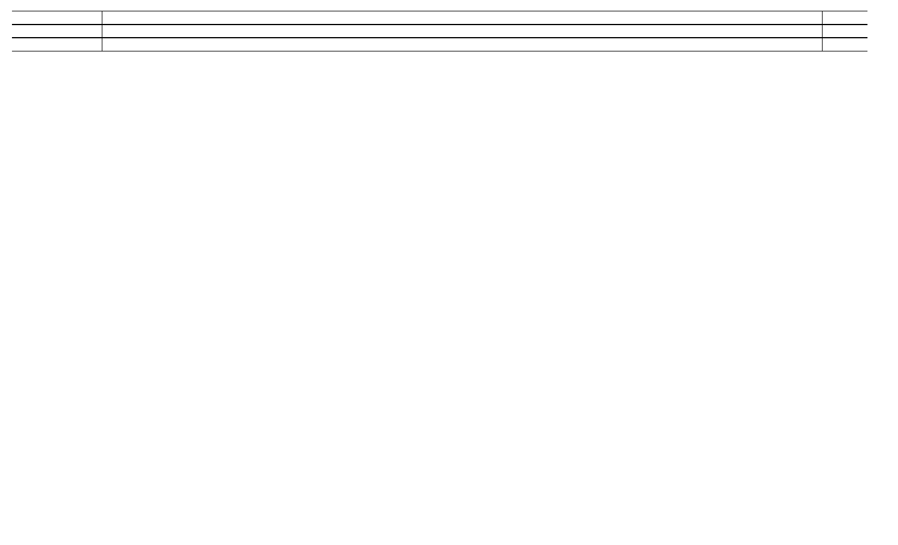| ,一个人都是一个人的人,一个人都是一个人的人,一个人都是一个人的人,一个人都是一个人的人,一个人都是一个人的人,一个人都是一个人的人,一个人都是一个人的人,一个人<br>第二十一章 一个人的人,一个人的人都是一个人的人,一个人的人都是一个人的人,一个人的人都是一个人的人,一个人的人都是一个人的人,一个人的人都是一个人的人,一个人<br>,一个人都是一个人的人,一个人都是一个人的人,一个人都是一个人的人,一个人都是一个人的人,一个人都是一个人的人,一个人都是一个人的人,一个人都是一个人的人,一个人<br>第二十一章 一个人的人,一个人都是一个人的人,一个人都是一个人的人,一个人都是一个人的人,一个人都是一个人的人,一个人都是一个人的人,一个人都是一个人的人,一个 |  |
|------------------------------------------------------------------------------------------------------------------------------------------------------------------------------------------------------------------------------------------------------------------------------------------------------------------------------------------------|--|
| ,一个人的人都是一个人的人,而且,他们的人都是一个人的人,而且,他们的人都是一个人的人,而且,他们的人都是一个人的人,而且,他们的人都是一个人的人,而且,他们的<br>第一百一十一章 一个人的人,他们的人都是一个人的人,他们的人都是一个人的人,他们的人都是一个人的人,他们的人都是一个人的人,他们的人都是一个人的人,他们的人都是                                                                                                                                                                           |  |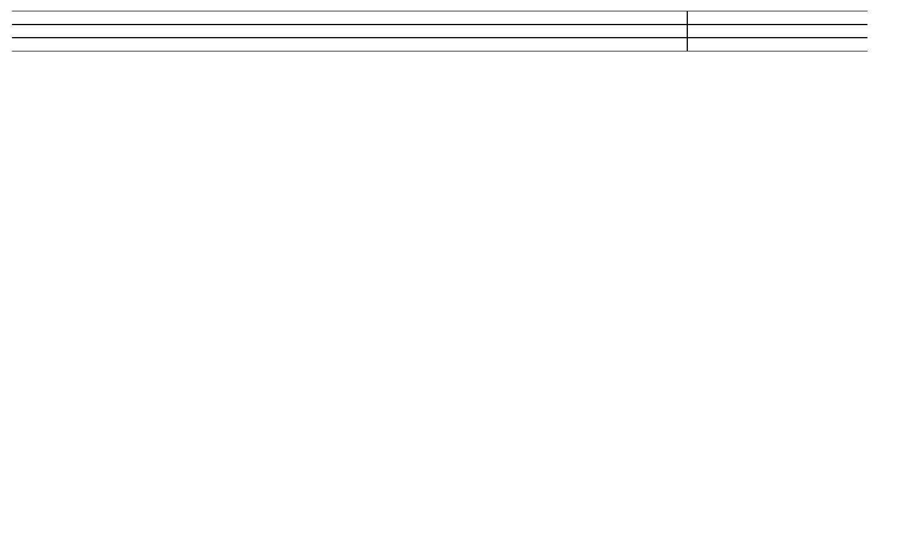| ,我们就会不会不会。""我们,我们也不会不会不会。""我们,我们也不会不会不会不会不会不会不会。""我们,我们也不会不会不会不会不会。""我们,我们也不会不会不 |  |
|----------------------------------------------------------------------------------|--|
| ,一个人的人都是一个人的人,而且,我们也不会不会不会。""我们,我们也不会不会不会不会不会不会。""我们,我们也不会不会不会不会。""我们,我们也不会不会不会不 |  |
|                                                                                  |  |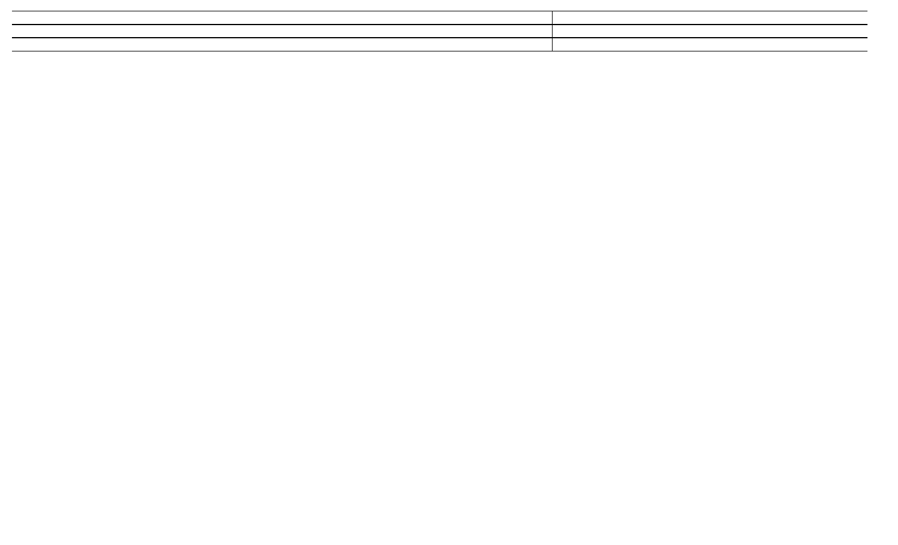| → 中国的 → 中国的 → 中国的 → 中国的 → 中国的 → 中国的 → 中国的 → 中国的 → 中国的 → 中国的 → 中国的 → 中国的 → 中国的 → 中国的 → 中国的 → 中国的 → 中国的 → 中国的 → 中国 |  |
|------------------------------------------------------------------------------------------------------------------|--|
|                                                                                                                  |  |
|                                                                                                                  |  |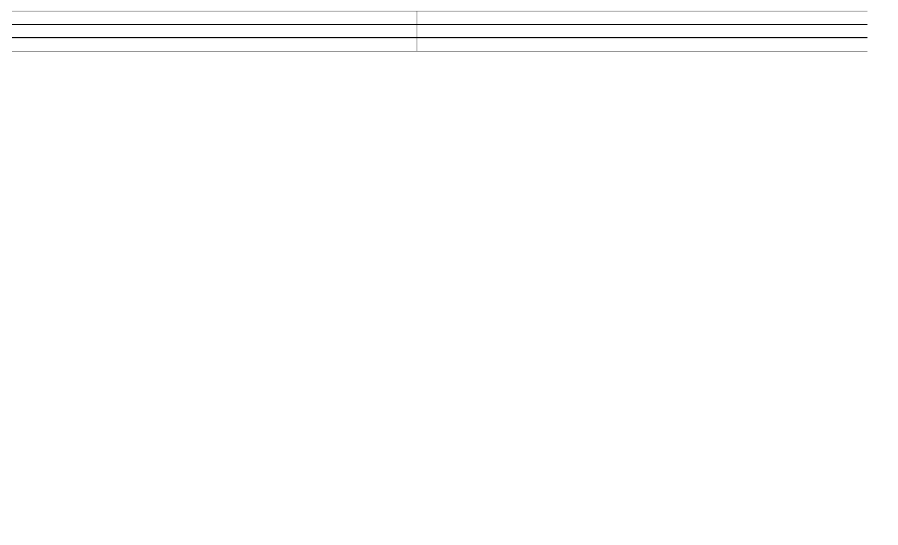| ,我们就会不会不会。""我们,我们就会不会不会不会,我们就会不会不会不会。""我们,我们就会不会不会不会。""我们,我们就会不会不会不会。""我们,我们就会不会 |                                                                                   |
|----------------------------------------------------------------------------------|-----------------------------------------------------------------------------------|
|                                                                                  | ,我们也不会不会不会。""我们的,我们也不会不会不会。""我们的,我们也不会不会不会不会。""我们的,我们也不会不会不会不会。""我们的,我们也不会不会不会不会  |
|                                                                                  | ,我们就会不会不会。""我们,我们就会不会不会,我们就会不会不会,我们就会不会不会。""我们,我们就会不会不会。""我们,我们就会不会不会不会。""我们,我们就会 |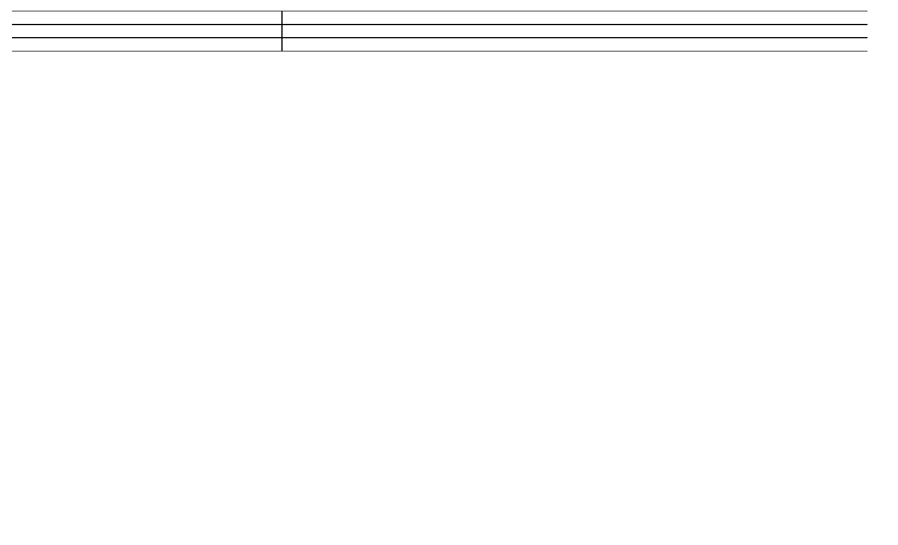| ,他们的人们就会在这里,他们的人们就会在这里,他们的人们就会在这里,他们的人们就会在这里,他们的人们就会在这里,他们的人们就会在这里,他们的人们就会在这里,他们<br>第251章 我们的人们的人们,我们的人们的人们的人们,我们的人们的人们的人们,我们的人们的人们的人们,我们的人们的人们的人们,我们的人们的人们的人们,我们的人们 |
|----------------------------------------------------------------------------------------------------------------------------------------------------------------------|
|                                                                                                                                                                      |
|                                                                                                                                                                      |
|                                                                                                                                                                      |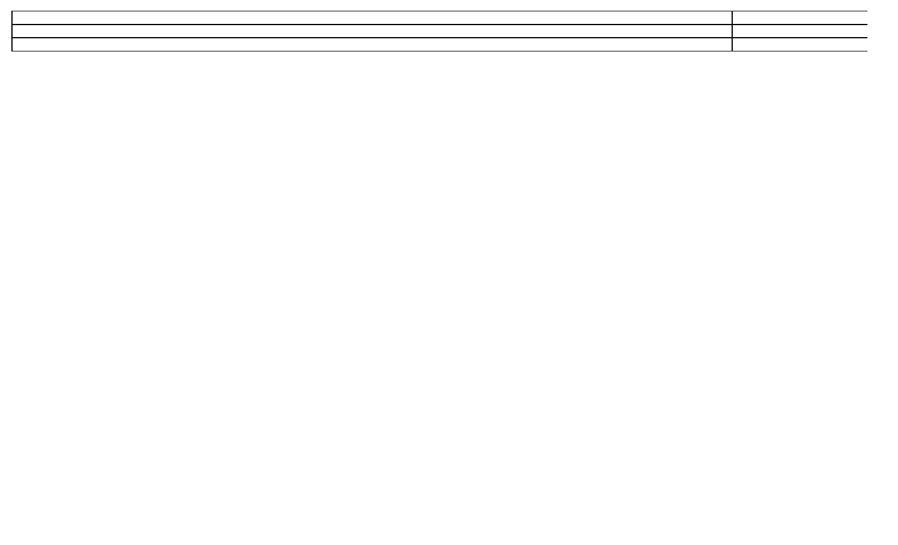| ,他们的人们就是一个人,他们的人们就是一个人,他们的人们,他们的人们就是一个人,他们的人们,他们的人们就是一个人,他们的人们,他们的人们,他们的人们,他们的人们,<br>第25章 我们的人们,他们的人们,他们的人们,他们的人们,他们的人们,他们的人们,他们的人们,他们的人们,他们的人们,他们的人们,他们的人们,他们的人们,他们的 |  |
|-----------------------------------------------------------------------------------------------------------------------------------------------------------------------|--|
| ,一个人都是一个人的人,而且,他们的人都是一个人,而且,他们的人都是一个人,而且,他们的人都是一个人,而且,他们的人都是一个人,而且,他们的人都是一个人,而且,他<br>第二百一十一章 一个人,他们的人都是一个人,他们的人都是一个人,他们的人都是一个人,他们的人都是一个人,他们的人都是一个人,他们的人都是一个人,他们的人都是一个 |  |
| ,一个人都是一个人的人,而且,他们的人都是一个人,他们的人都是一个人,他们的人都是一个人,他们的人都是一个人,他们的人都是一个人,他们的人都是一个人,他们的人都是                                                                                     |  |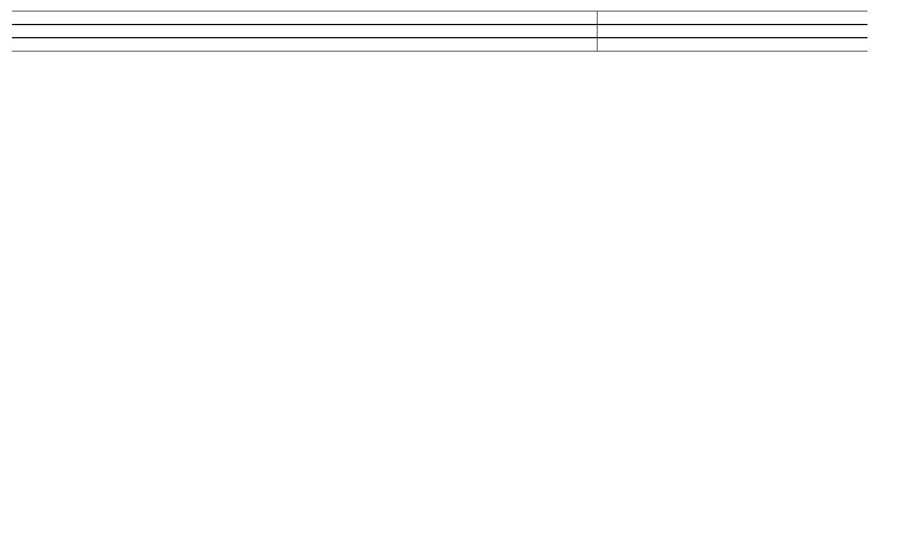| ,一个人都是一个人的人,而且,我们也不会不会不会。""我们,我们也不会不会不会不会不会不会不会不会。""我们,我们也不会不会不会不会不会不会不会不会。""我们,我<br>,他们的人们也不会不会。""我们的人们,我们也不会不会不会。""我们的人们,我们也不会不会不会。""我们的人们,我们也不会不会不会。""我们的人们,我们也不会不 |  |
|-----------------------------------------------------------------------------------------------------------------------------------------------------------------------|--|
| ,我们也不会不会不会。""我们的,我们也不会不会不会。""我们的,我们也不会不会不会不会。""我们的,我们也不会不会不会不会。""我们的,我们也不会不会不会不会                                                                                      |  |
|                                                                                                                                                                       |  |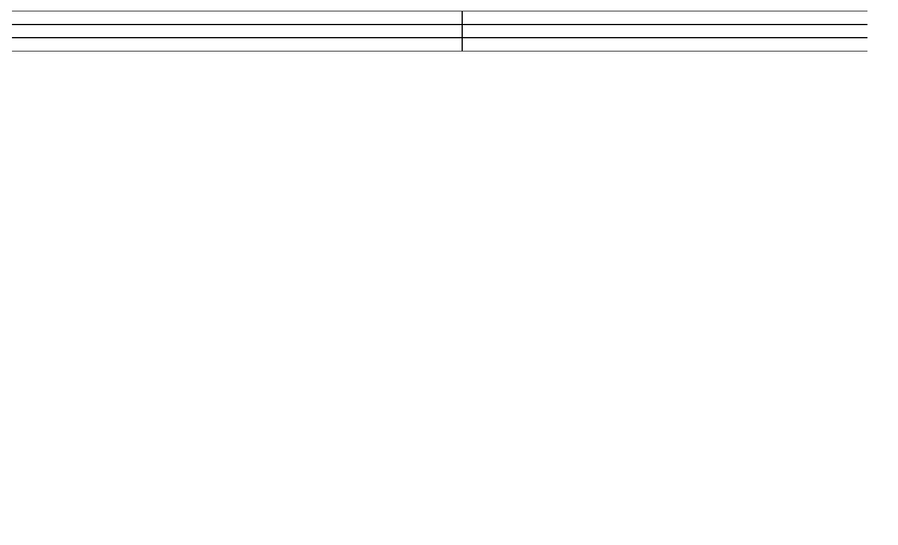| <u> 1980 - Ann an t-Aontaithe ann an t-Aontaithe ann an t-Aontaithe ann an t-Aontaithe ann an t-Aontaithe ann an t-</u> |
|-------------------------------------------------------------------------------------------------------------------------|
|                                                                                                                         |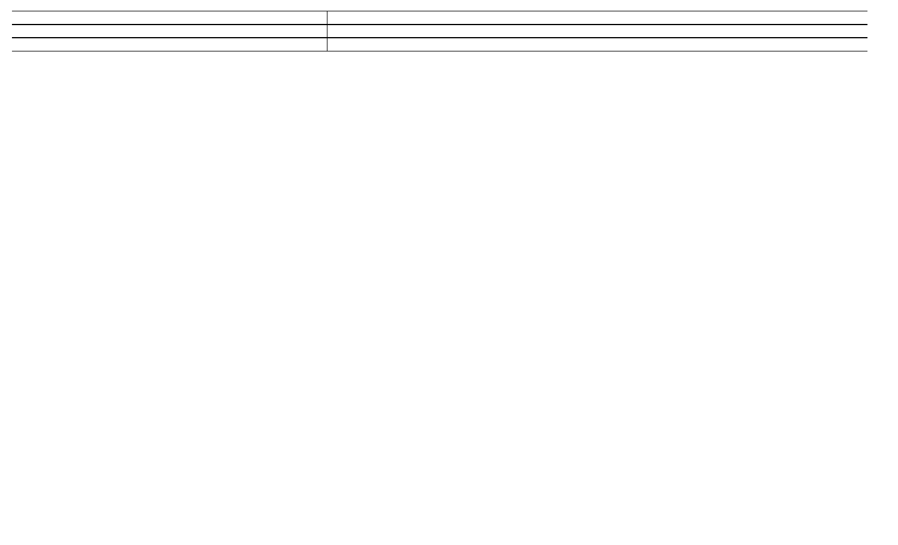| ,一个人都是一个人的人,而且,他们的人都是一个人,而且,他们的人都是一个人,而且,他们的人都是一个人,而且,他们的人都是一个人,而且,他们的人都是一个人,而且,他<br>第二十一章 一个人,他们的人都是一个人,他们的人都是一个人,他们的人都是一个人,他们的人都是一个人,他们的人都是一个人,他们的人都是一个人,他们的人都是一个人, | ,我们也不会不会。""我们的,我们也不会不会。""我们的,我们也不会不会不会。""我们的,我们也不会不会不会。""我们的,我们也不会不会不会。""我们的,我们也 |
|-----------------------------------------------------------------------------------------------------------------------------------------------------------------------|----------------------------------------------------------------------------------|
|                                                                                                                                                                       |                                                                                  |
|                                                                                                                                                                       |                                                                                  |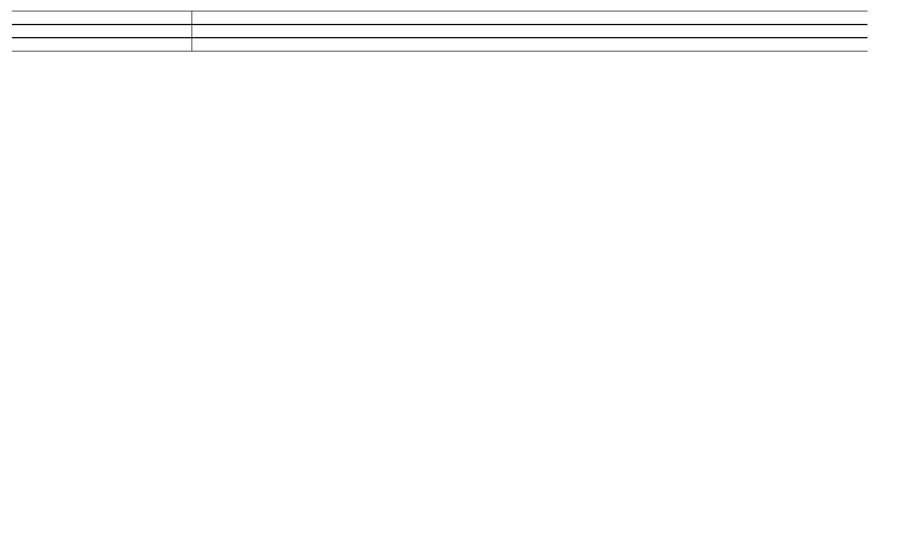| ,一个人的人都是一个人的人,而且,他们的人都是一个人的人,而且,他们的人都是一个人的人,而且,他们的人都是一个人的人,而且,他们的人都是一个人的人,而且,他们的人<br>第一百一十一章 一个人的人,他们的人都是一个人的人,他们的人都是一个人的人,他们的人都是一个人的人,他们的人都是一个人的人,他们的人都是一个人的人,他们的人都是<br>,我们就会不会不会。""我们,我们就会不会不会不会。""我们,我们就会不会不会不会不会不会。""我们,我们就会不会不会不会不会。""我们,我们就会不会不会不会不 |
|-----------------------------------------------------------------------------------------------------------------------------------------------------------------------------------------------------------------------------------------------------------|
| ,一个人都是一个人的人,而且,他们的人都是一个人,而且,他们的人都是一个人,而且,他们的人都是一个人,而且,他们的人都是一个人,而且,他们的人都是一个人,而且,他<br>第一百一十一章 一个人,他们的人都是一个人,他们的人都是一个人,他们的人都是一个人,他们的人都是一个人,他们的人都是一个人,他们的人都是一个人,他们的人都是一个                                                                                     |
|                                                                                                                                                                                                                                                           |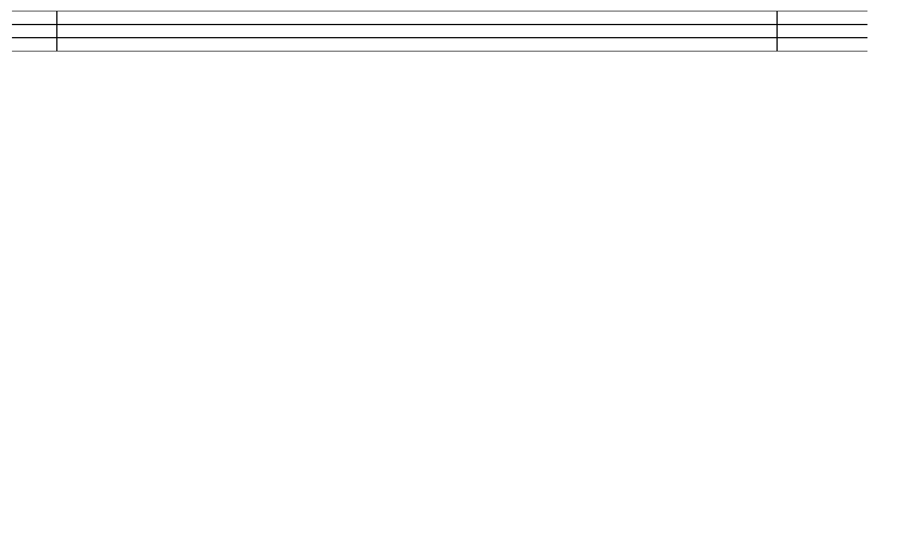| <u>та на представљен под податковата на представљен податковата на представљен податковата на представљен податк</u> |  |
|----------------------------------------------------------------------------------------------------------------------|--|
|                                                                                                                      |  |
| ,一个人都是一个人的人,一个人都是一个人的人,一个人都是一个人的人,一个人都是一个人的人,一个人都是一个人的人,一个人都是一个人的人,一个人都是一个人的人,一个人                                    |  |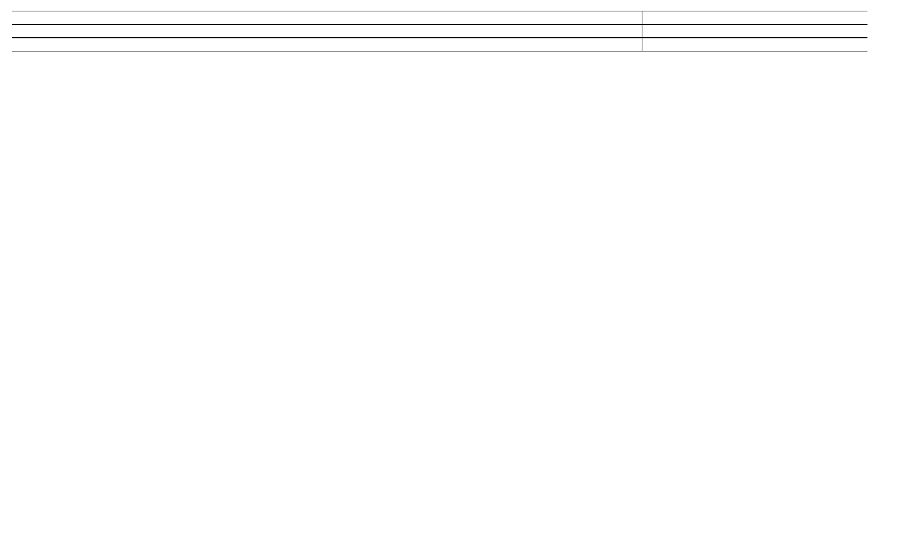| ,一个人都是一个人的人,一个人都是一个人的人,一个人都是一个人的人,一个人都是一个人的人,一个人都是一个人的人,一个人都是一个人的人,一个人都是一个人的人,一个人<br>→ South State State State State State State State State State State State State State State State State State State State State State State State State State State State State State State State State State State State St |  |
|-------------------------------------------------------------------------------------------------------------------------------------------------------------------------------------------------------------------------------------------------------------------------------------------------------------------|--|
| ,一个人的人都是一个人的人,而且,他们的人都是不是一个人的人,而且,他们的人都是不是一个人的人,而且,他们的人都是不是一个人的人,而且,他们的人都是不是一个人的<br>第一百一十一章 一个人的人,他们的人都是不是一个人的人,他们的人都是不是一个人的人,他们的人都是不是一个人的人,他们的人都是不是一个人的人,他们的人都是不是一个                                                                                                                                              |  |
| ,我们也不会不会不会。""我们的,我们也不会不会不会。""我们的,我们也不会不会不会不会不会。""我们的,我们也不会不会不会不会。""我们的,我们也不会不会不会<br>第二百一章 第二百一章 第二百一章 第二百一章 第二百一章 第二百一章 第二百一章 第二百一章 第二百一章 第二百一章 第二百一章 第二百一章 第二百一章 第二                                                                                                                                              |  |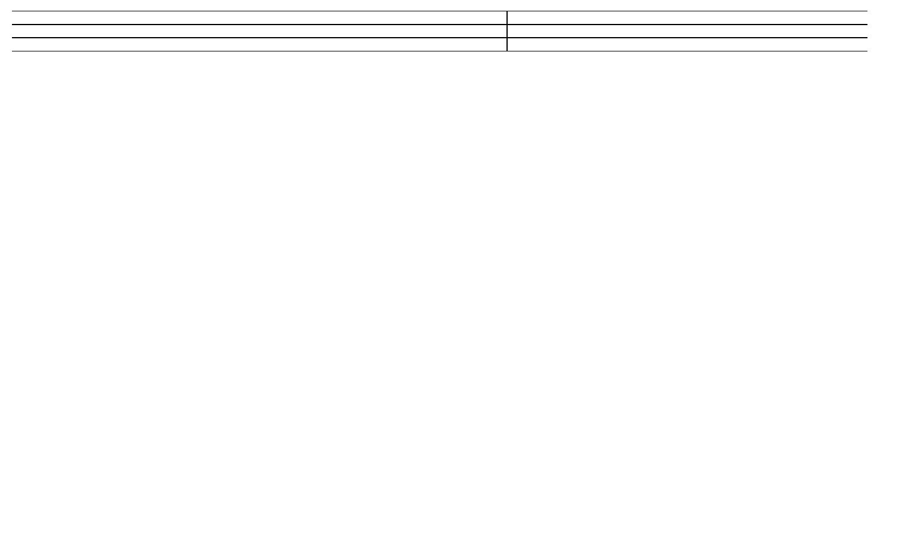| ,一个人都是一个人的人,而且,他们的人都是一个人,而且,他们的人都是一个人,而且,他们的人都是一个人,而且,他们的人都是一个人,而且,他们的人都是一个人,而且,他<br>第二十二章 第二十二章 第二十二章 第二十二章 第二十二章 第二十二章 第二十二章 第二十二章 第二十二章 第二十二章 第二十二章 第二十二章 第二十二章 第二十 |  |
|------------------------------------------------------------------------------------------------------------------------------------------------------------------------|--|
|                                                                                                                                                                        |  |
| ,我们就会不会不会。""我们的,我们也不会不会不会。""我们的,我们也不会不会不会不会不会。""我们的,我们也不会不会不会不会。""我们的,我们也不会不会不会不                                                                                       |  |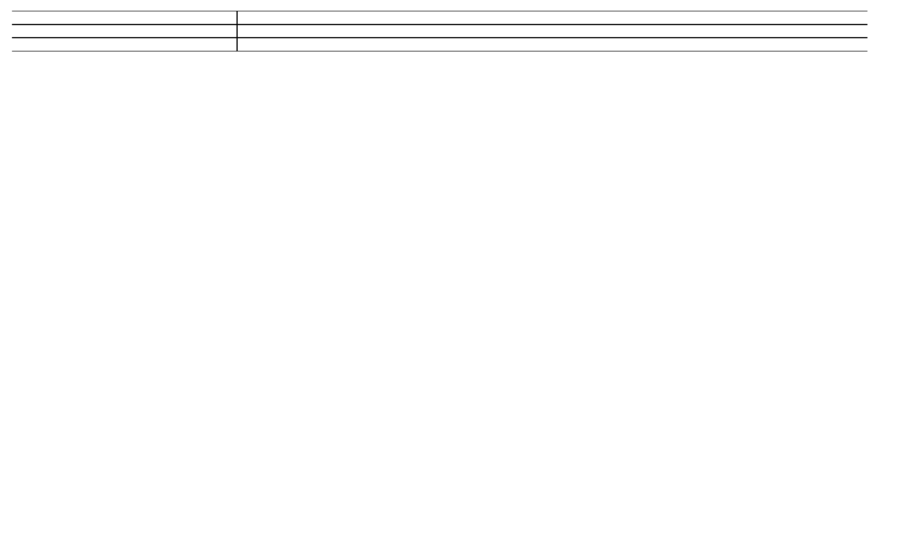| ,我们就会不会不会。""我们,我们也不会不会不会。""我们,我们也不会不会不会不会不会不会。""我们,我们也不会不会不会不会。""我们,我们也不会不会不会不会不  |
|-----------------------------------------------------------------------------------|
| ,一个人都是一个人的人,一个人都是一个人的人,一个人都是一个人的人,一个人都是一个人的人,一个人都是一个人的人,一个人都是一个人的人,一个人都是一个人的人,一个人 |
|                                                                                   |
| ,一个人都是一个人的人,而且,我们也不会不会不会。""我们,我们也不会不会不会不会。""我们,我们也不会不会不会不会。""我们,我们也不会不会不会不会。""我们, |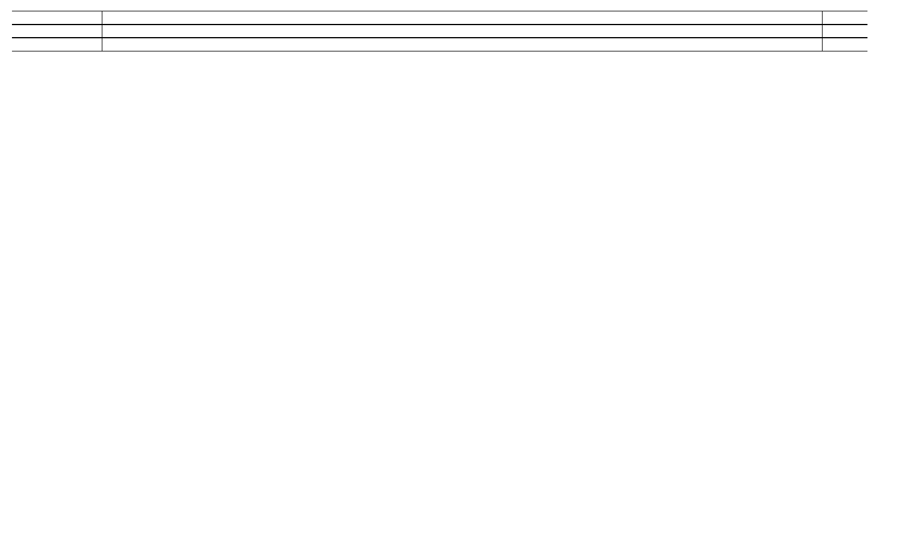| ,一个人都是一个人的人,一个人都是一个人的人,一个人都是一个人的人,一个人都是一个人的人,一个人都是一个人的人,一个人都是一个人的人,一个人都是一个人的人,一个人<br>第二十一章 一个人的人,一个人都是一个人的人,一个人都是一个人的人,一个人都是一个人的人,一个人都是一个人的人,一个人都是一个人的人,一个人都是一个人的人,一个<br>,一个人都是一个人的人,一个人都是一个人的人,一个人都是一个人的人,一个人都是一个人的人,一个人都是一个人的人,一个人都是一个人的人,一个人都是一个人的人,一个人<br>第二十一章 一个人的人,一个人的人都是一个人的人,一个人的人都是一个人的人,一个人的人都是一个人的人,一个人的人都是一个人的人,一个人的人都是一个人的人,一个人 |  |
|------------------------------------------------------------------------------------------------------------------------------------------------------------------------------------------------------------------------------------------------------------------------------------------------------------------------------------------------|--|
| ,一个人的人都是一个人的人,而且,他们的人都是一个人的人,而且,他们的人都是一个人的人,而且,他们的人都是一个人的人,而且,他们的人都是一个人的人,而且,他们的<br>第一百一十一章 一个人的人,他们的人都是一个人的人,他们的人都是一个人的人,他们的人都是一个人的人,他们的人都是一个人的人,他们的人都是一个人的人,他们的人都是                                                                                                                                                                           |  |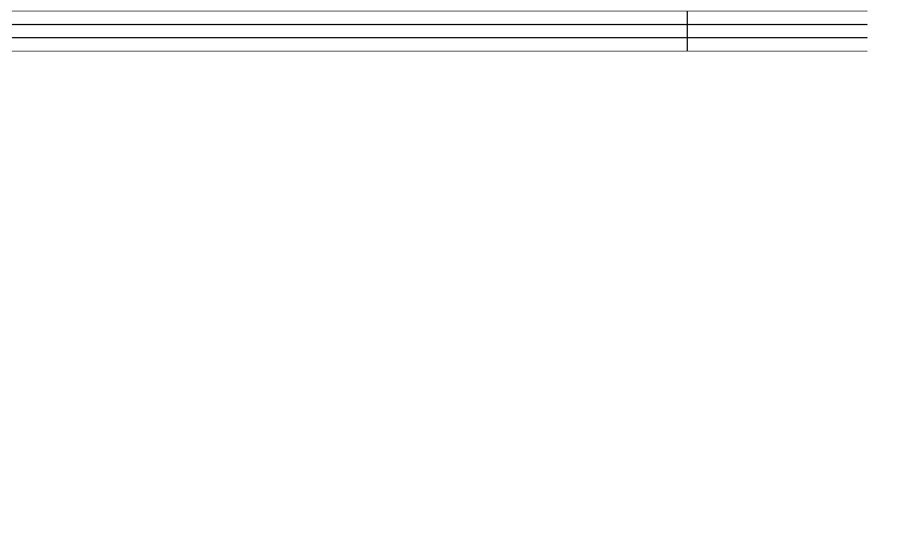| ,我们就会不会不会。""我们,我们也不会不会不会。""我们,我们也不会不会不会不会不会不会不会。""我们,我们也不会不会不会不会不会。""我们,我们也不会不会不  |  |
|-----------------------------------------------------------------------------------|--|
| ,一个人的人都是一个人的人,而且,他们的人都是一个人的人,而且,他们的人都是一个人的人,而且,他们的人都是一个人的人,而且,他们的人都是一个人的人,而且,他们的人 |  |
|                                                                                   |  |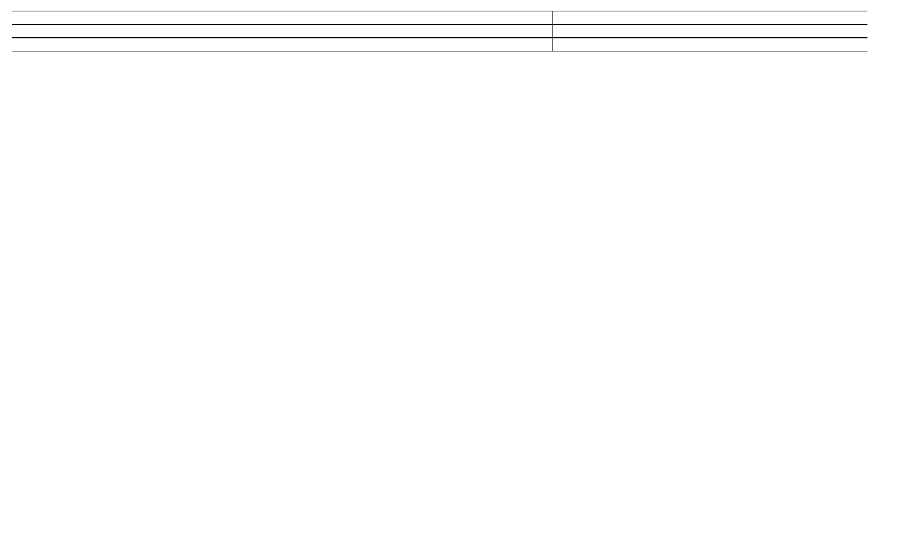| → 中国的 → 中国的 → 中国的 → 中国的 → 中国的 → 中国的 → 中国的 → 中国的 → 中国的 → 中国的 → 中国的 → 中国的 → 中国的 → 中国的 → 中国的 → 中国的 → 中国的 → 中国的 → 中国 |  |
|------------------------------------------------------------------------------------------------------------------|--|
|                                                                                                                  |  |
|                                                                                                                  |  |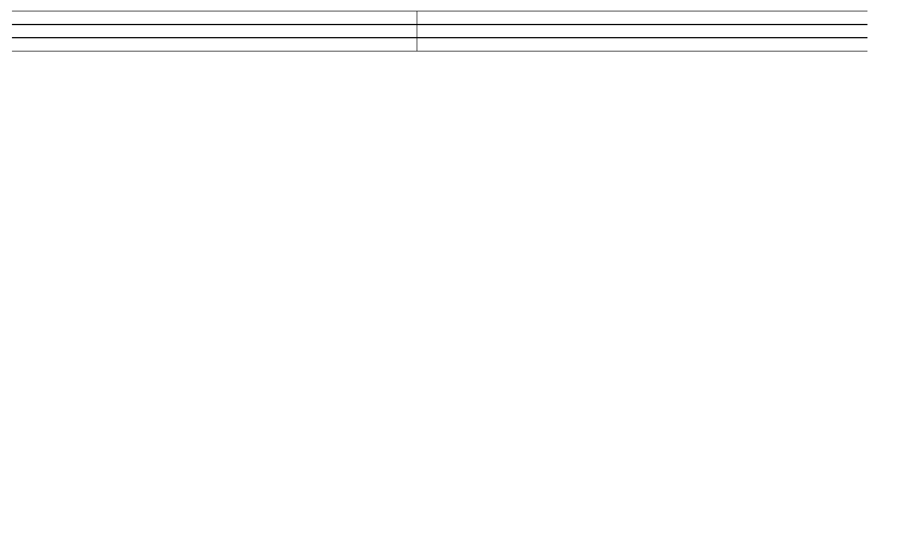| ,我们就会不会不会。""我们,我们就会不会不会不会,我们就会不会不会不会。""我们,我们就会不会不会不会。""我们,我们就会不会不会不会。""我们,我们就会不会 |                                                                                   |
|----------------------------------------------------------------------------------|-----------------------------------------------------------------------------------|
|                                                                                  | ,我们也不会不会不会。""我们的,我们也不会不会不会。""我们的,我们也不会不会不会不会。""我们的,我们也不会不会不会不会。""我们的,我们也不会不会不会不会  |
|                                                                                  | ,我们就会不会不会。""我们,我们就会不会不会,我们就会不会不会,我们就会不会不会。""我们,我们就会不会不会。""我们,我们就会不会不会不会。""我们,我们就会 |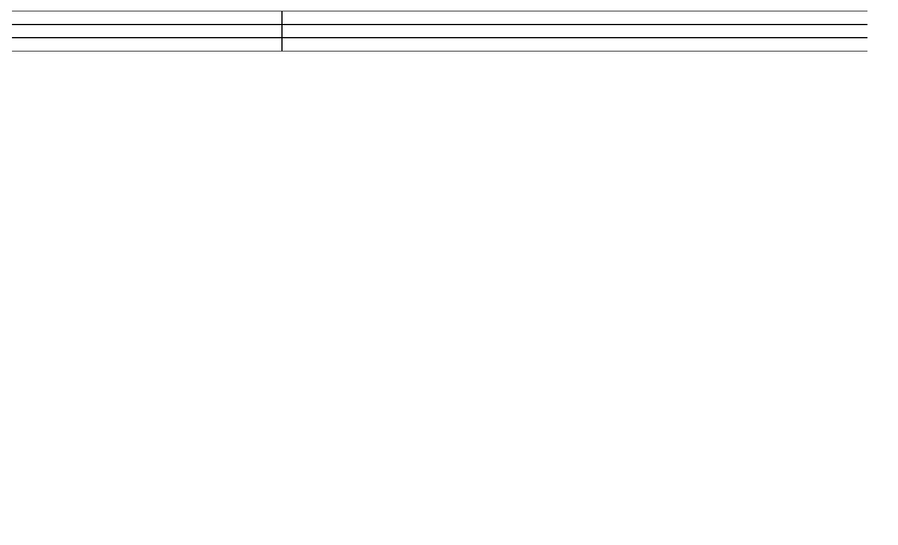| ,他们的人们就会在这里,他们的人们就会在这里,他们的人们就会在这里,他们的人们就会在这里,他们的人们就会在这里,他们的人们就会在这里,他们的人们就会在这里,他们<br>第251章 我们的人们的人们,我们的人们的人们的人们,我们的人们的人们的人们,我们的人们的人们的人们,我们的人们的人们的人们,我们的人们的人们的人们,我们的人们 |
|----------------------------------------------------------------------------------------------------------------------------------------------------------------------|
|                                                                                                                                                                      |
|                                                                                                                                                                      |
|                                                                                                                                                                      |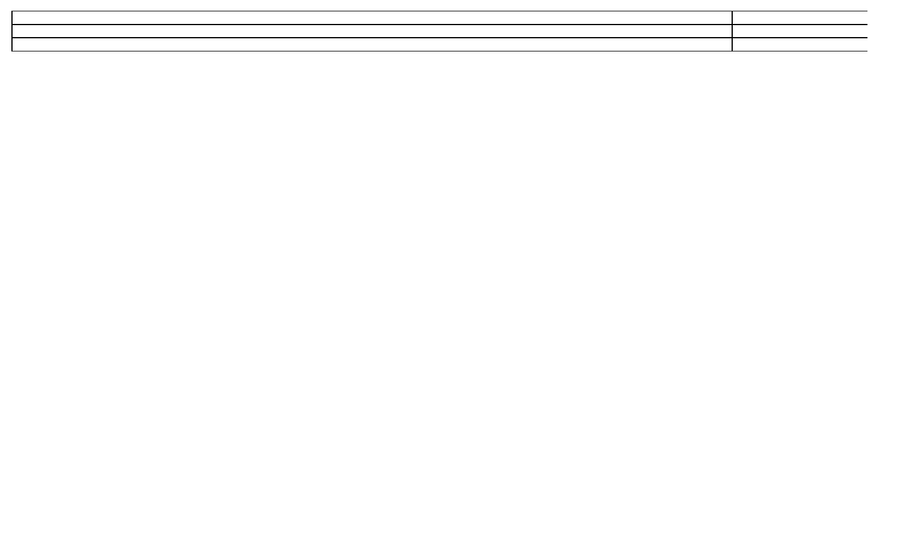| ,他们的人们就是一个人,他们的人们就是一个人,他们的人们,他们的人们就是一个人,他们的人们,他们的人们就是一个人,他们的人们,他们的人们,他们的人们,他们的人们,<br>第25章 我们的人们,他们的人们,他们的人们,他们的人们,他们的人们,他们的人们,他们的人们,他们的人们,他们的人们,他们的人们,他们的人们,他们的人们,他们的 |  |
|-----------------------------------------------------------------------------------------------------------------------------------------------------------------------|--|
| ,一个人都是一个人的人,而且,他们的人都是一个人,而且,他们的人都是一个人,而且,他们的人都是一个人,而且,他们的人都是一个人,而且,他们的人都是一个人,而且,他<br>第二百一十一章 一个人,他们的人都是一个人,他们的人都是一个人,他们的人都是一个人,他们的人都是一个人,他们的人都是一个人,他们的人都是一个人,他们的人都是一个 |  |
| ,一个人都是一个人的人,而且,他们的人都是一个人,他们的人都是一个人,他们的人都是一个人,他们的人都是一个人,他们的人都是一个人,他们的人都是一个人,他们的人都是                                                                                     |  |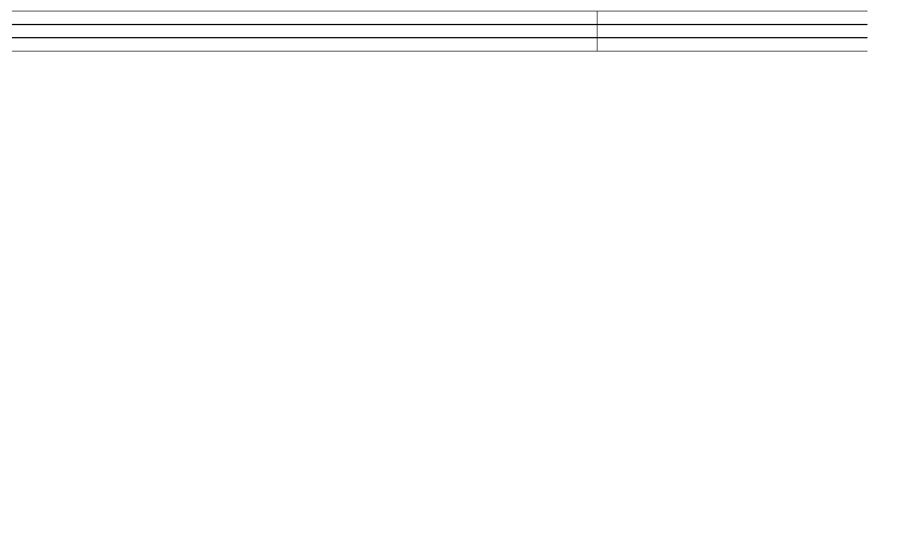| ,一个人都是一个人的人,而且,我们也不会不会不会。""我们,我们也不会不会不会不会不会不会不会不会。""我们,我们也不会不会不会不会不会不会不会不会。""我们,我<br>,他们的人们也不会不会。""我们的人们,我们也不会不会不会。""我们的人们,我们也不会不会不会。""我们的人们,我们也不会不会不会。""我们的人们,我们也不会不 |  |
|-----------------------------------------------------------------------------------------------------------------------------------------------------------------------|--|
| ,我们也不会不会不会。""我们的,我们也不会不会不会。""我们的,我们也不会不会不会不会。""我们的,我们也不会不会不会不会。""我们的,我们也不会不会不会不会                                                                                      |  |
|                                                                                                                                                                       |  |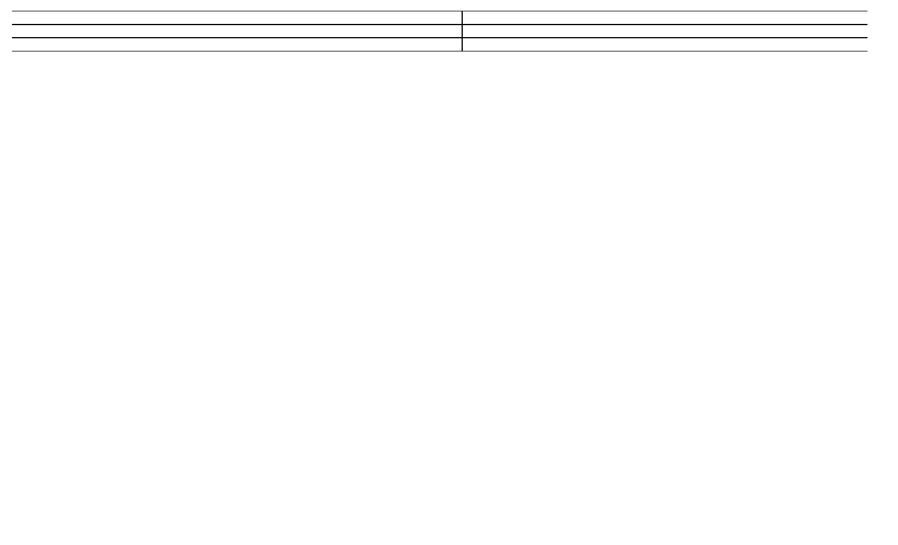| <u> 1980 - Ann an t-Aontaithe ann an t-Aontaithe ann an t-Aontaithe ann an t-Aontaithe ann an t-Aontaithe ann an t-</u> |
|-------------------------------------------------------------------------------------------------------------------------|
|                                                                                                                         |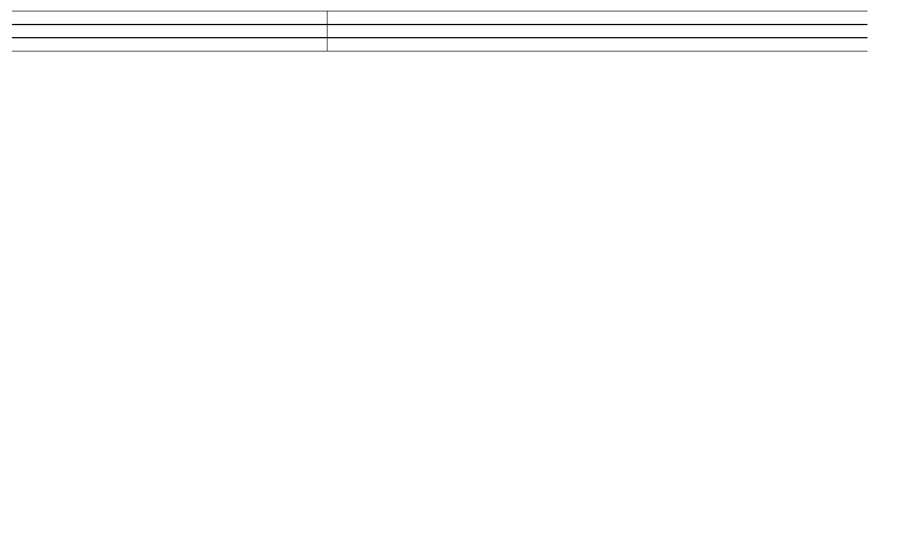| ,一个人都是一个人的人,而且,他们的人都是一个人,而且,他们的人都是一个人,而且,他们的人都是一个人,而且,他们的人都是一个人,而且,他们的人都是一个人,而且,他<br>第二十一章 一个人,他们的人都是一个人,他们的人都是一个人,他们的人都是一个人,他们的人都是一个人,他们的人都是一个人,他们的人都是一个人,他们的人都是一个人, | ,我们也不会不会。""我们的,我们也不会不会。""我们的,我们也不会不会不会。""我们的,我们也不会不会不会。""我们的,我们也不会不会不会。""我们的,我们也 |
|-----------------------------------------------------------------------------------------------------------------------------------------------------------------------|----------------------------------------------------------------------------------|
|                                                                                                                                                                       |                                                                                  |
|                                                                                                                                                                       |                                                                                  |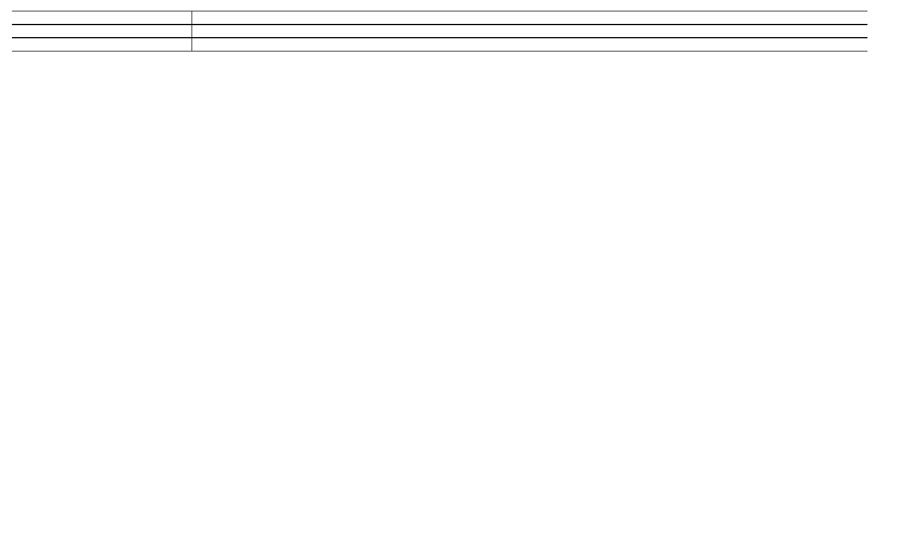| ,一个人的人都是一个人的人,而且,他们的人都是一个人的人,而且,他们的人都是一个人的人,而且,他们的人都是一个人的人,而且,他们的人都是一个人的人,而且,他们的人<br>第一百一十一章 一个人的人,他们的人都是一个人的人,他们的人都是一个人的人,他们的人都是一个人的人,他们的人都是一个人的人,他们的人都是一个人的人,他们的人都是<br>,我们就会不会不会。""我们,我们就会不会不会不会。""我们,我们就会不会不会不会不会不会。""我们,我们就会不会不会不会不会。""我们,我们就会不会不会不会不 |
|-----------------------------------------------------------------------------------------------------------------------------------------------------------------------------------------------------------------------------------------------------------|
| ,一个人都是一个人的人,而且,他们的人都是一个人,而且,他们的人都是一个人,而且,他们的人都是一个人,而且,他们的人都是一个人,而且,他们的人都是一个人,而且,他<br>第二十一章 一个人,他们的人都是一个人,他们的人都是一个人,他们的人都是一个人,他们的人都是一个人,他们的人都是一个人,他们的人都是一个人,他们的人都是一个人,                                                                                     |
|                                                                                                                                                                                                                                                           |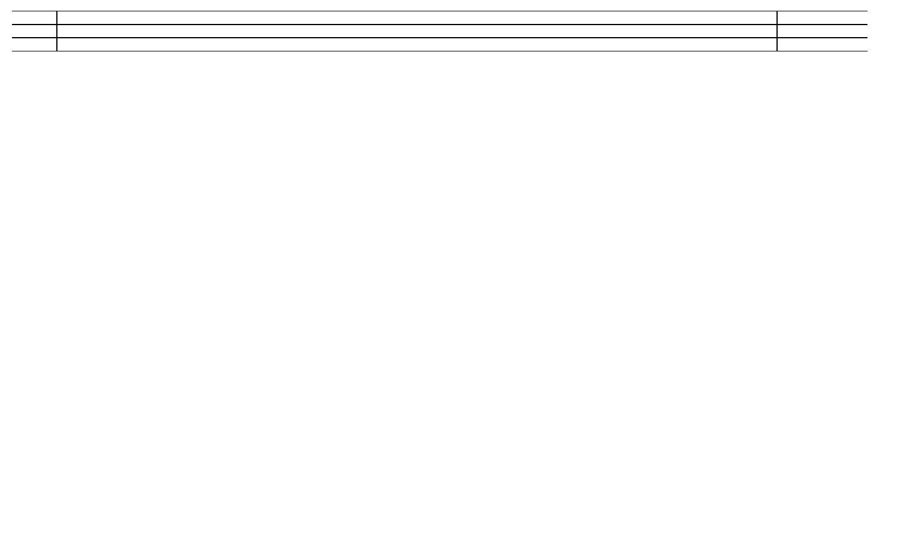| <u>та на представљен под податковата на представљен податковата на представљен податковата на представљен податк</u> |  |
|----------------------------------------------------------------------------------------------------------------------|--|
|                                                                                                                      |  |
| ,一个人都是一个人的人,一个人都是一个人的人,一个人都是一个人的人,一个人都是一个人的人,一个人都是一个人的人,一个人都是一个人的人,一个人都是一个人的人,一个人                                    |  |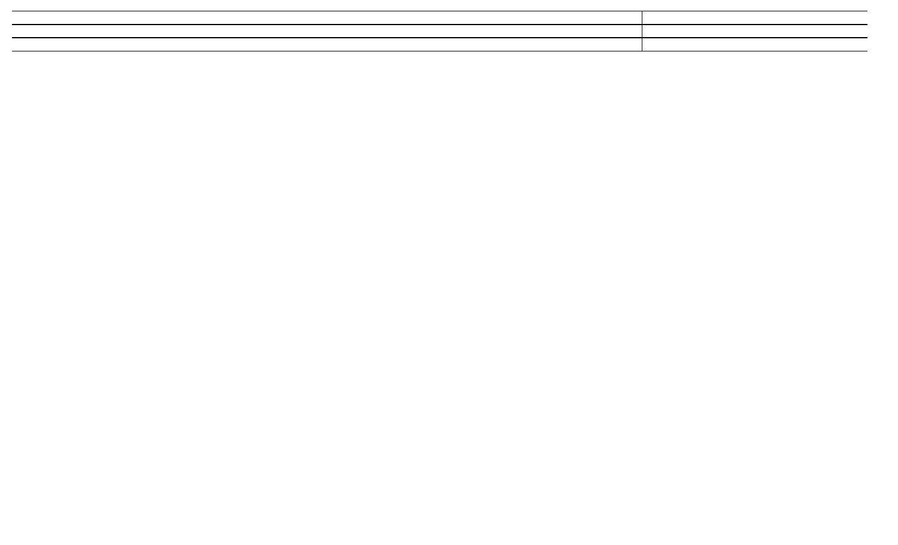| ,一个人都是一个人的人,一个人都是一个人的人,一个人都是一个人的人,一个人都是一个人的人,一个人都是一个人的人,一个人都是一个人的人,一个人都是一个人的人,一个人<br>→ South State State State State State State State State State State State State State State State State State State State State State State State State State State State State State State State State State State State St |  |
|-------------------------------------------------------------------------------------------------------------------------------------------------------------------------------------------------------------------------------------------------------------------------------------------------------------------|--|
| ,一个人的人都是一个人的人,而且,他们的人都是不是一个人的人,而且,他们的人都是不是一个人的人,而且,他们的人都是不是一个人的人,而且,他们的人都是不是一个人的<br>第一百一十一章 一个人的人,他们的人都是不是一个人的人,他们的人都是不是一个人的人,他们的人都是不是一个人的人,他们的人都是不是一个人的人,他们的人都是不是一个                                                                                                                                              |  |
| ,我们也不会不会不会。""我们的,我们也不会不会不会。""我们的,我们也不会不会不会不会不会。""我们的,我们也不会不会不会不会。""我们的,我们也不会不会不会<br>第二百一章 第二百一章 第二百一章 第二百一章 第二百一章 第二百一章 第二百一章 第二百一章 第二百一章 第二百一章 第二百一章 第二百一章 第二百一章 第二                                                                                                                                              |  |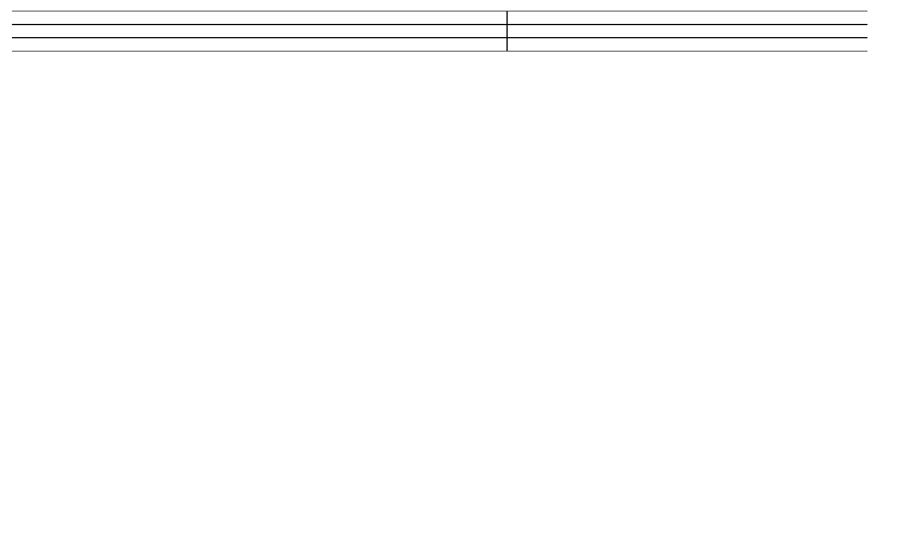| ,一个人都是一个人的人,而且,他们的人都是一个人,而且,他们的人都是一个人,而且,他们的人都是一个人,而且,他们的人都是一个人,而且,他们的人都是一个人,而且,他<br>第二十二章 第二十二章 第二十二章 第二十二章 第二十二章 第二十二章 第二十二章 第二十二章 第二十二章 第二十二章 第二十二章 第二十二章 第二十二章 第二十 |  |
|------------------------------------------------------------------------------------------------------------------------------------------------------------------------|--|
|                                                                                                                                                                        |  |
| ,我们就会不会不会。""我们的,我们也不会不会不会。""我们的,我们也不会不会不会不会不会。""我们的,我们也不会不会不会不会。""我们的,我们也不会不会不会不                                                                                       |  |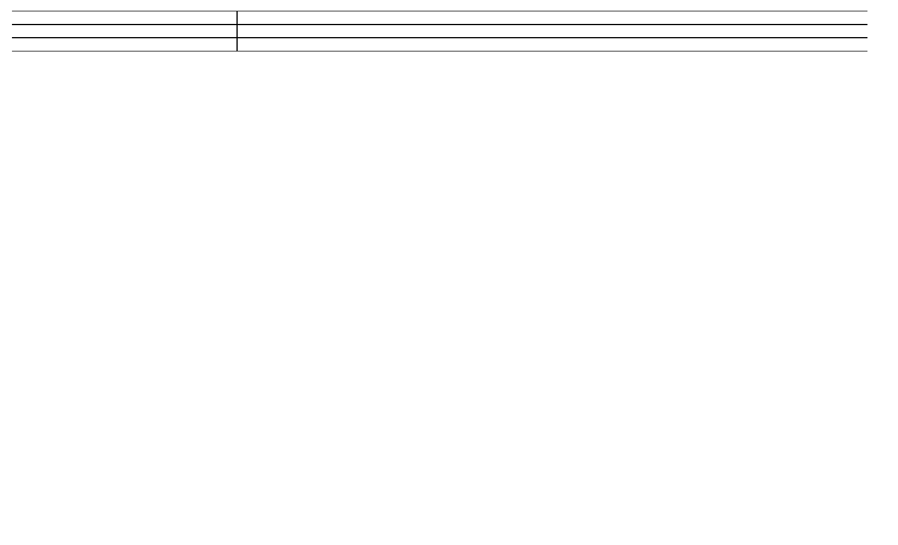| ,我们就会不会不会。""我们,我们也不会不会不会。""我们,我们也不会不会不会不会不会不会。""我们,我们也不会不会不会不会。""我们,我们也不会不会不会不会不  |
|-----------------------------------------------------------------------------------|
| ,一个人都是一个人的人,一个人都是一个人的人,一个人都是一个人的人,一个人都是一个人的人,一个人都是一个人的人,一个人都是一个人的人,一个人都是一个人的人,一个人 |
|                                                                                   |
| ,一个人都是一个人的人,而且,我们也不会不会不会。""我们,我们也不会不会不会不会。""我们,我们也不会不会不会不会。""我们,我们也不会不会不会不会。""我们, |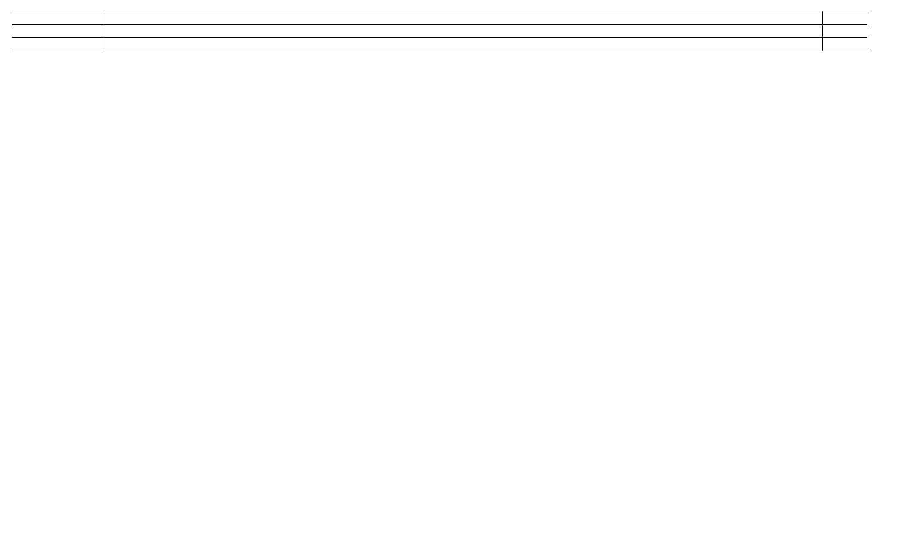| ,一个人都是一个人的人,一个人都是一个人的人,一个人都是一个人的人,一个人都是一个人的人,一个人都是一个人的人,一个人都是一个人的人,一个人都是一个人的人,一个人<br>第二十一章 一个人的人,一个人都是一个人的人,一个人都是一个人的人,一个人都是一个人的人,一个人都是一个人的人,一个人都是一个人的人,一个人都是一个人的人,一个<br>,一个人都是一个人的人,一个人都是一个人的人,一个人都是一个人的人,一个人都是一个人的人,一个人都是一个人的人,一个人都是一个人的人,一个人都是一个人的人,一个人<br>第二十一章 一个人的人,一个人的人都是一个人的人,一个人的人都是一个人的人,一个人的人都是一个人的人,一个人的人都是一个人的人,一个人的人都是一个人的人,一个人 |  |
|------------------------------------------------------------------------------------------------------------------------------------------------------------------------------------------------------------------------------------------------------------------------------------------------------------------------------------------------|--|
| ,一个人的人都是一个人的人,而且,他们的人都是一个人的人,而且,他们的人都是一个人的人,而且,他们的人都是一个人的人,而且,他们的人都是一个人的人,而且,他们的<br>第一百一十一章 一个人的人,他们的人都是一个人的人,他们的人都是一个人的人,他们的人都是一个人的人,他们的人都是一个人的人,他们的人都是一个人的人,他们的人都是                                                                                                                                                                           |  |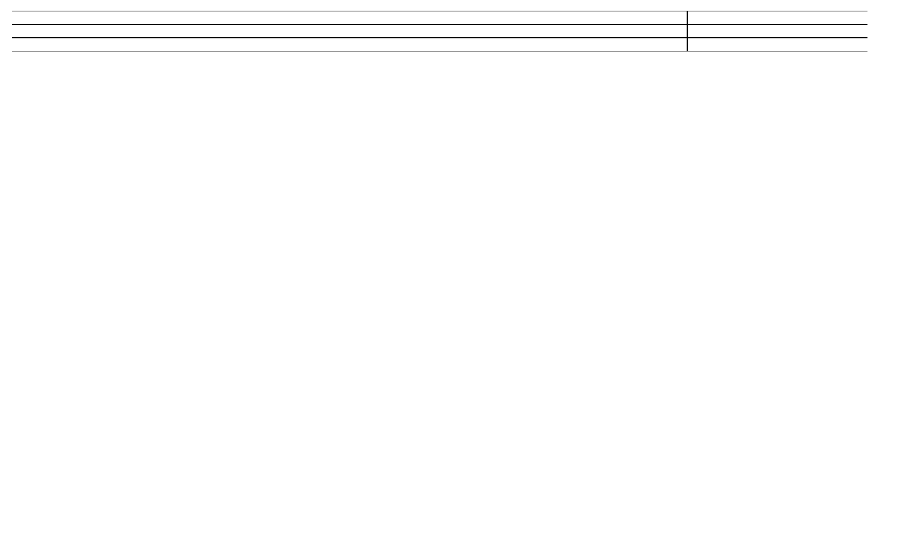| ,我们就会不会不会。""我们,我们也不会不会不会。""我们,我们也不会不会不会不会不会不会不会。""我们,我们也不会不会不会不会不会。""我们,我们也不会不会不  |  |
|-----------------------------------------------------------------------------------|--|
| ,一个人的人都是一个人的人,而且,他们的人都是一个人的人,而且,他们的人都是一个人的人,而且,他们的人都是一个人的人,而且,他们的人都是一个人的人,而且,他们的人 |  |
|                                                                                   |  |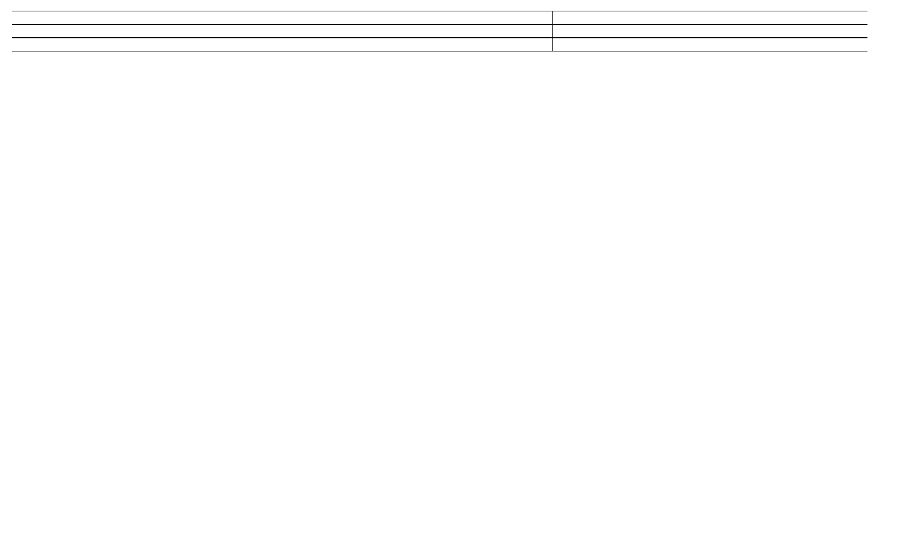| → 中国的 → 中国的 → 中国的 → 中国的 → 中国的 → 中国的 → 中国的 → 中国的 → 中国的 → 中国的 → 中国的 → 中国的 → 中国的 → 中国的 → 中国的 → 中国的 → 中国的 → 中国的 → 中国 |  |
|------------------------------------------------------------------------------------------------------------------|--|
|                                                                                                                  |  |
|                                                                                                                  |  |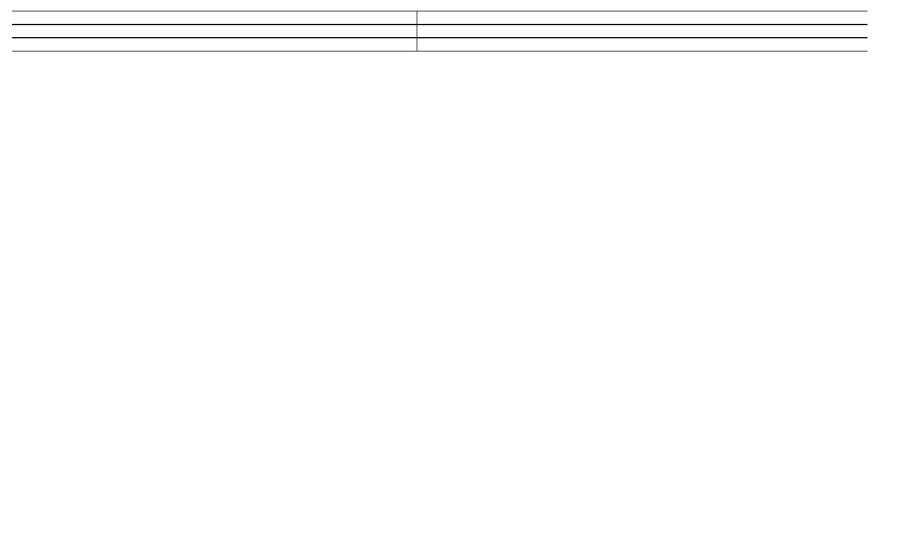| ,我们就会不会不会。""我们,我们就会不会不会不会,我们就会不会不会不会。""我们,我们就会不会不会不会。""我们,我们就会不会不会不会。""我们,我们就会不会 |                                                                                   |
|----------------------------------------------------------------------------------|-----------------------------------------------------------------------------------|
|                                                                                  | ,我们也不会不会不会。""我们的,我们也不会不会不会。""我们的,我们也不会不会不会不会。""我们的,我们也不会不会不会不会。""我们的,我们也不会不会不会不会  |
|                                                                                  | ,我们就会不会不会。""我们,我们就会不会不会,我们就会不会不会,我们就会不会不会。""我们,我们就会不会不会。""我们,我们就会不会不会不会。""我们,我们就会 |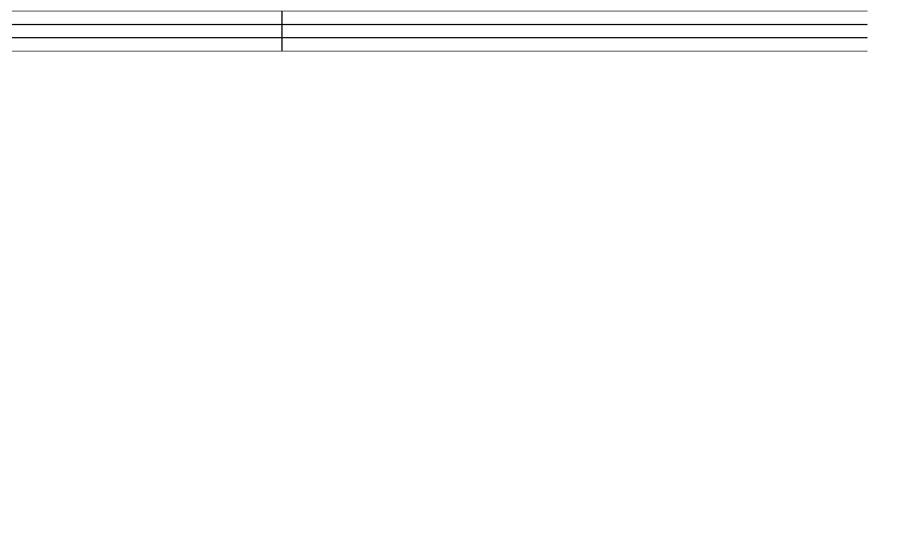| ,一个人都是一个人的人,而且,我们也不会不会不会。""我们,我们也不会不会不会不会不会不会不会。""我们,我们也不会不会不会不会不会不会不会不会。""我们,我们                                                                                     |
|----------------------------------------------------------------------------------------------------------------------------------------------------------------------|
|                                                                                                                                                                      |
| ,他们的人们就会在这里,他们的人们就会在这里,他们的人们就会在这里,他们的人们就会在这里,他们的人们就会在这里,他们的人们就会在这里,他们的人们就会在这里,他们<br>第251章 我们的人们的人们,我们的人们的人们的人们,我们的人们的人们的人们,我们的人们的人们的人们,我们的人们的人们的人们,我们的人们的人们的人们,我们的人们 |
|                                                                                                                                                                      |
|                                                                                                                                                                      |
|                                                                                                                                                                      |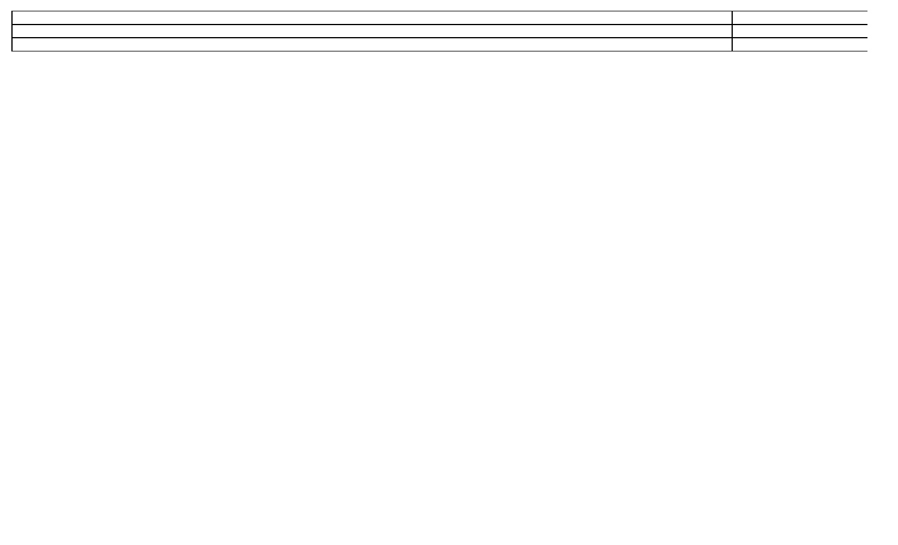| ,他们的人们就是一个人,他们的人们就是一个人,他们的人们,他们的人们就是一个人,他们的人们,他们的人们就是一个人,他们的人们,他们的人们,他们的人们,他们的人们,<br>第25章 我们的人们,他们的人们,他们的人们,他们的人们,他们的人们,他们的人们,他们的人们,他们的人们,他们的人们,他们的人们,他们的人们,他们的人们,他们的 |  |
|-----------------------------------------------------------------------------------------------------------------------------------------------------------------------|--|
| ,一个人都是一个人的人,而且,他们的人都是一个人,而且,他们的人都是一个人,而且,他们的人都是一个人,而且,他们的人都是一个人,而且,他们的人都是一个人,而且,他<br>第二百一十一章 一个人,他们的人都是一个人,他们的人都是一个人,他们的人都是一个人,他们的人都是一个人,他们的人都是一个人,他们的人都是一个人,他们的人都是一个 |  |
| ,一个人都是一个人的人,而且,他们的人都是一个人,他们的人都是一个人,他们的人都是一个人,他们的人都是一个人,他们的人都是一个人,他们的人都是一个人,他们的人都是                                                                                     |  |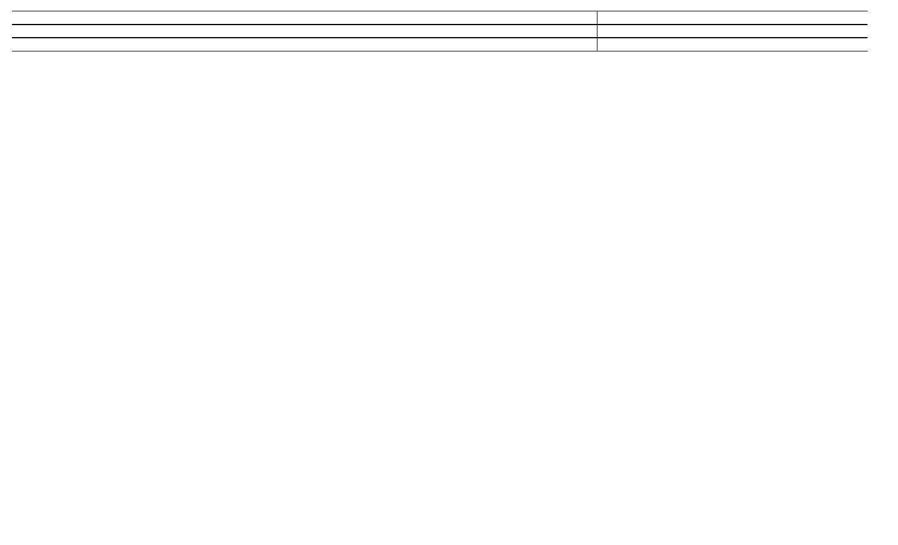| ,一个人都是一个人的人,而且,我们也不会不会不会。""我们,我们也不会不会不会不会不会不会不会不会。""我们,我们也不会不会不会不会不会不会不会不会。""我们,我<br>,他们的人们也不会不会。""我们的人们,我们也不会不会不会。""我们的人们,我们也不会不会不会。""我们的人们,我们也不会不会不会。""我们的人们,我们也不会不 |  |
|-----------------------------------------------------------------------------------------------------------------------------------------------------------------------|--|
| ,我们也不会不会不会。""我们的,我们也不会不会不会。""我们的,我们也不会不会不会不会。""我们的,我们也不会不会不会不会。""我们的,我们也不会不会不会不会                                                                                      |  |
|                                                                                                                                                                       |  |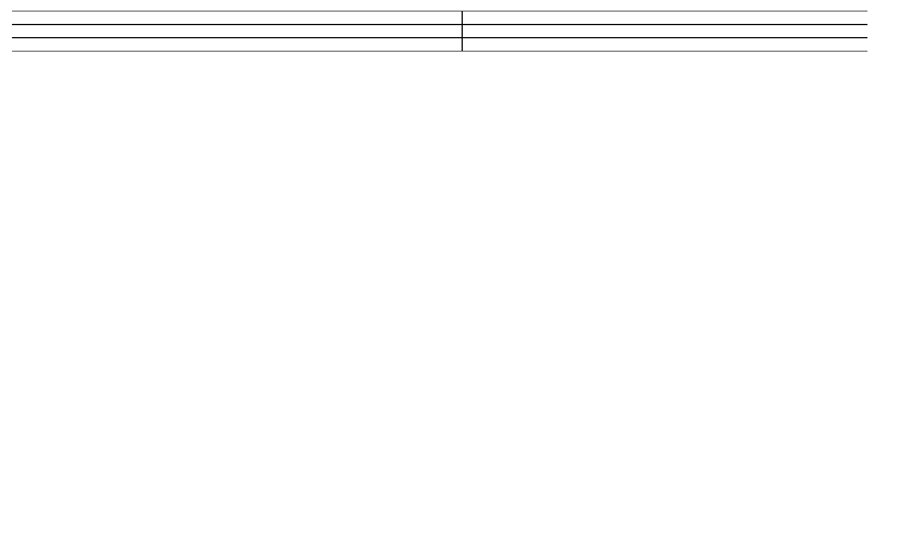| <u> 2001 - An t-An Aontaithe ann an t-Aontaithe ann an t-Aontaithe ann an t-Aontaithe ann an t-Aontaithe ann an t-</u> |
|------------------------------------------------------------------------------------------------------------------------|
|                                                                                                                        |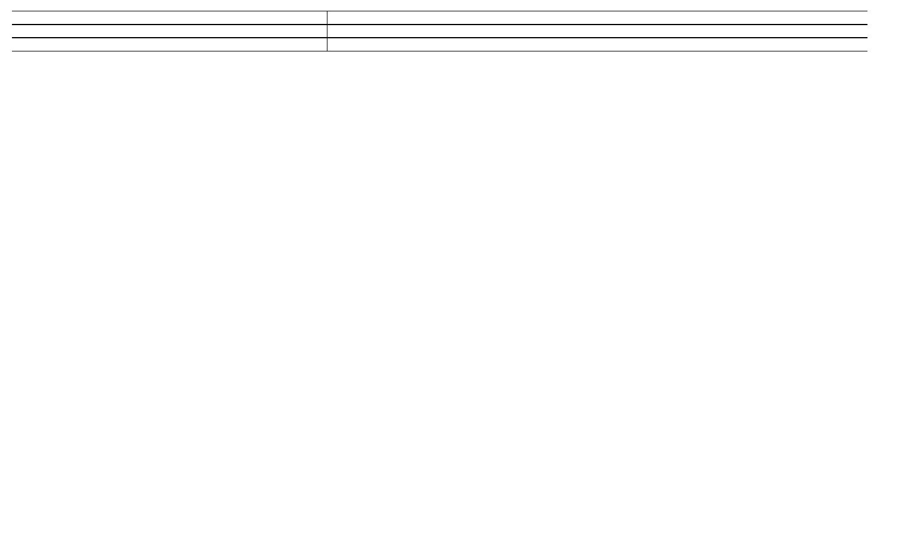| ,一个人都是一个人的人,而且,他们的人都是一个人,而且,他们的人都是一个人,而且,他们的人都是一个人,而且,他们的人都是一个人,而且,他们的人都是一个人,而且,他<br>第二十一章 一个人,他们的人都是一个人,他们的人都是一个人,他们的人都是一个人,他们的人都是一个人,他们的人都是一个人,他们的人都是一个人,他们的人都是一个人, | ,我们也不会不会。""我们的,我们也不会不会。""我们的,我们也不会不会不会。""我们的,我们也不会不会不会。""我们的,我们也不会不会不会。""我们的,我们也 |
|-----------------------------------------------------------------------------------------------------------------------------------------------------------------------|----------------------------------------------------------------------------------|
|                                                                                                                                                                       |                                                                                  |
|                                                                                                                                                                       |                                                                                  |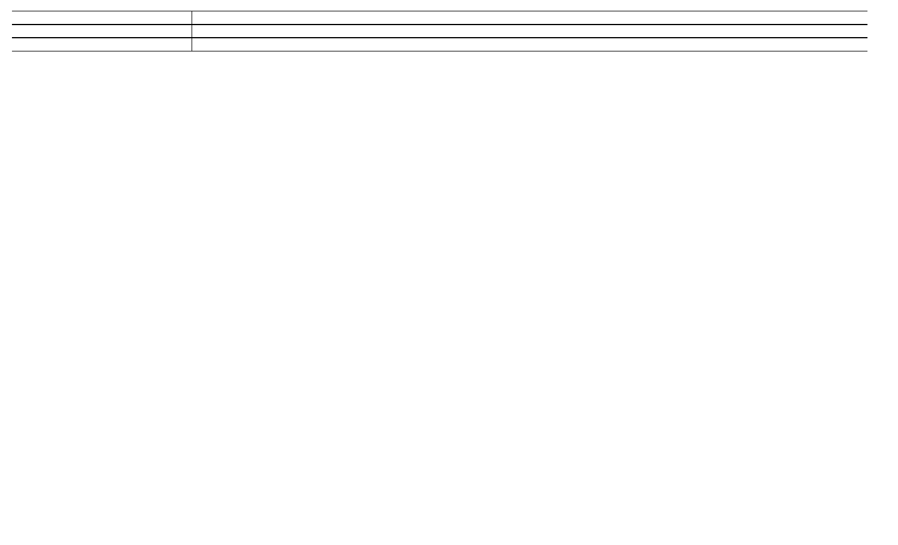| ,一个人的人都是一个人的人,而且,他们的人都是一个人的人,而且,他们的人都是一个人的人,而且,他们的人都是一个人的人,而且,他们的人都是一个人的人,而且,他们的人<br>第一百一十一章 一个人的人,他们的人都是一个人的人,他们的人都是一个人的人,他们的人都是一个人的人,他们的人都是一个人的人,他们的人都是一个人的人,他们的人都是<br>,我们就会不会不会。""我们,我们就会不会不会不会。""我们,我们就会不会不会不会不会不会。""我们,我们就会不会不会不会不会。""我们,我们就会不会不会不会不 |
|-----------------------------------------------------------------------------------------------------------------------------------------------------------------------------------------------------------------------------------------------------------|
| ,一个人都是一个人的人,而且,他们的人都是一个人,而且,他们的人都是一个人,而且,他们的人都是一个人,而且,他们的人都是一个人,而且,他们的人都是一个人,而且,他<br>第二十一章 一个人,他们的人都是一个人,他们的人都是一个人,他们的人都是一个人,他们的人都是一个人,他们的人都是一个人,他们的人都是一个人,他们的人都是一个人,                                                                                     |
|                                                                                                                                                                                                                                                           |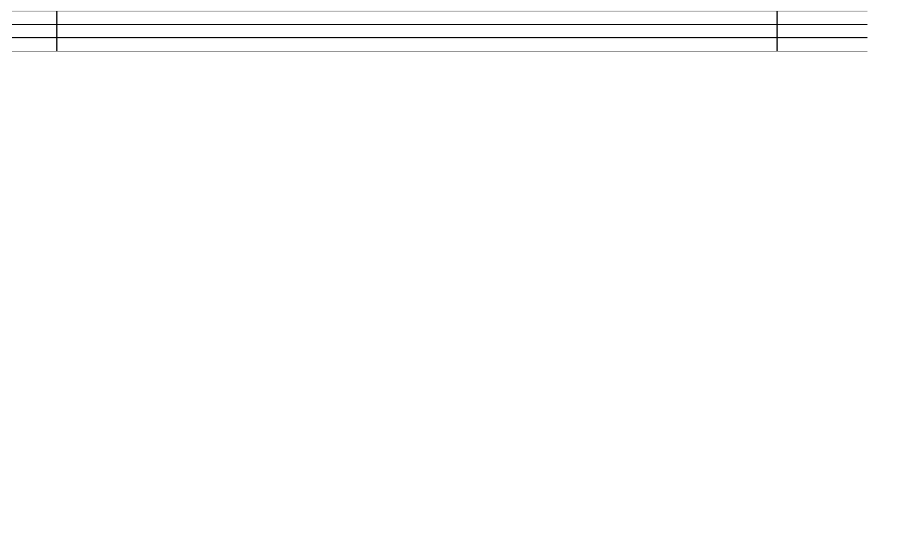| <u>та на представљен под податковата на представљен податковата на представљен податковата на представљен податк</u> |  |
|----------------------------------------------------------------------------------------------------------------------|--|
|                                                                                                                      |  |
| ,一个人都是一个人的人,一个人都是一个人的人,一个人都是一个人的人,一个人都是一个人的人,一个人都是一个人的人,一个人都是一个人的人,一个人都是一个人的人,一个人                                    |  |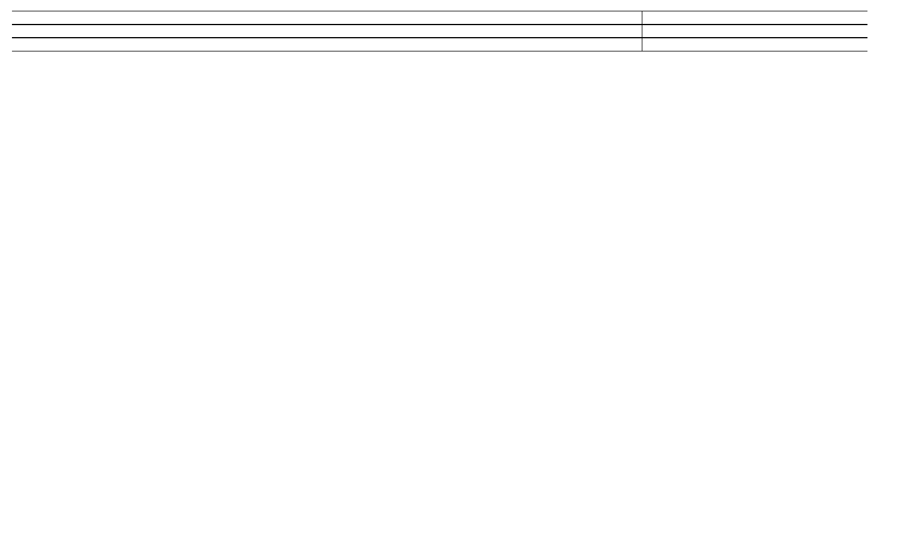| ,一个人都是一个人的人,一个人都是一个人的人,一个人都是一个人的人,一个人都是一个人的人,一个人都是一个人的人,一个人都是一个人的人,一个人都是一个人的人,一个人<br>→ South State State State State State State State State State State State State State State State State State State State State State State State State State State State State State State State State State State State St |  |
|-------------------------------------------------------------------------------------------------------------------------------------------------------------------------------------------------------------------------------------------------------------------------------------------------------------------|--|
| ,一个人的人都是一个人的人,而且,他们的人都是不是一个人的人,而且,他们的人都是不是一个人的人,而且,他们的人都是不是一个人的人,而且,他们的人都是不是一个人的<br>第一百一十一章 一个人的人,他们的人都是不是一个人的人,他们的人都是不是一个人的人,他们的人都是不是一个人的人,他们的人都是不是一个人的人,他们的人都是不是一个                                                                                                                                              |  |
| ,我们也不会不会不会。""我们的,我们也不会不会不会。""我们的,我们也不会不会不会不会不会。""我们的,我们也不会不会不会不会。""我们的,我们也不会不会不会<br>第二百一章 第二百一章 第二百一章 第二百一章 第二百一章 第二百一章 第二百一章 第二百一章 第二百一章 第二百一章 第二百一章 第二百一章 第二百一章 第二                                                                                                                                              |  |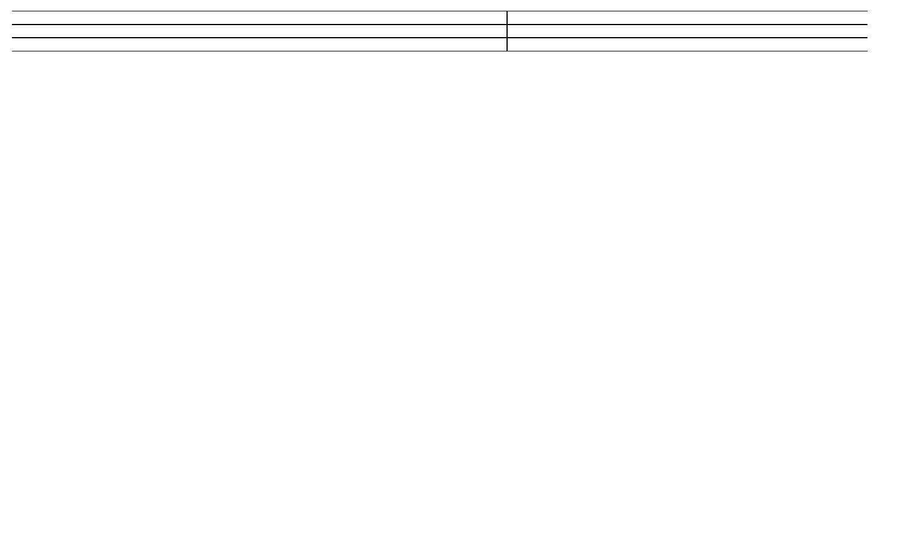| ,一个人都是一个人的人,而且,他们的人都是一个人,而且,他们的人都是一个人,而且,他们的人都是一个人,而且,他们的人都是一个人,而且,他们的人都是一个人,而且,他<br>第二十二章 第二十二章 第二十二章 第二十二章 第二十二章 第二十二章 第二十二章 第二十二章 第二十二章 第二十二章 第二十二章 第二十二章 第二十二章 第二十 |  |
|------------------------------------------------------------------------------------------------------------------------------------------------------------------------|--|
|                                                                                                                                                                        |  |
| ,一个人的人都是一个人的人,而且,他们的人都是一个人的人,而且,他们的人都是一个人的人,而且,他们的人都是一个人的人,而且,他们的人都是一个人的人,而且,他们的人                                                                                      |  |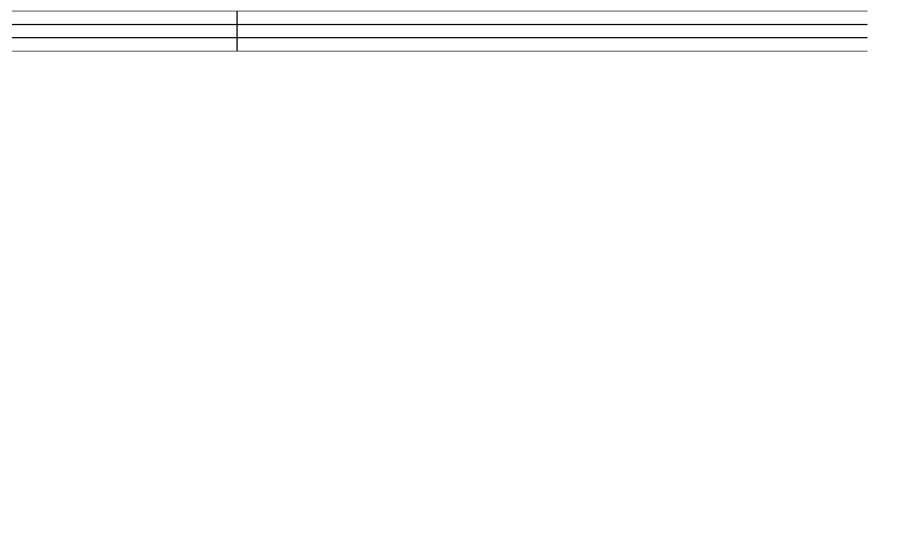| ,我们就会不会不会。""我们,我们也不会不会不会。""我们,我们也不会不会不会不会不会不会。""我们,我们也不会不会不会不会。""我们,我们也不会不会不会不会不  |
|-----------------------------------------------------------------------------------|
| ,一个人都是一个人的人,一个人都是一个人的人,一个人都是一个人的人,一个人都是一个人的人,一个人都是一个人的人,一个人都是一个人的人,一个人都是一个人的人,一个人 |
|                                                                                   |
| ,一个人都是一个人的人,而且,我们也不会不会不会。""我们,我们也不会不会不会不会不会不会不会。""我们,我们也不会不会不会不会不会不会不会不会。""我们,我们  |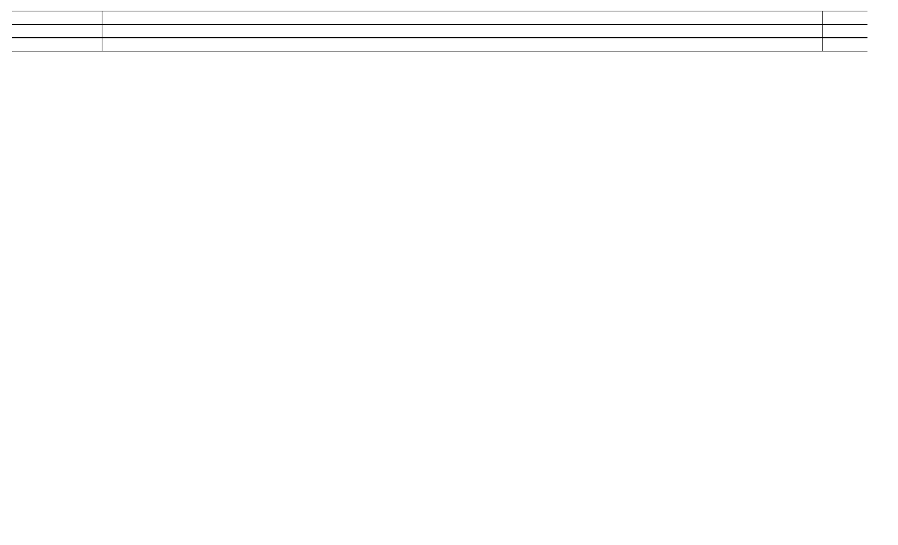| ,一个人都是一个人的人,一个人都是一个人的人,一个人都是一个人的人,一个人都是一个人的人,一个人都是一个人的人,一个人都是一个人的人,一个人都是一个人的人,一个人<br>第二十一章 一个人的人,一个人都是一个人的人,一个人都是一个人的人,一个人都是一个人的人,一个人都是一个人的人,一个人都是一个人的人,一个人都是一个人的人,一个<br>,一个人都是一个人的人,一个人都是一个人的人,一个人都是一个人的人,一个人都是一个人的人,一个人都是一个人的人,一个人都是一个人的人,一个人都是一个人的人,一个人<br>第二十一章 一个人的人,一个人都是一个人的人,一个人都是一个人的人,一个人都是一个人的人,一个人都是一个人的人,一个人都是一个人的人,一个人都是一个人的人,一个 |  |
|------------------------------------------------------------------------------------------------------------------------------------------------------------------------------------------------------------------------------------------------------------------------------------------------------------------------------------------------|--|
| ,一个人的人都是一个人的人,而且,他们的人都是一个人的人,而且,他们的人都是一个人的人,而且,他们的人都是一个人的人,而且,他们的人都是一个人的人,而且,他们的<br>第一百一十一章 一个人的人,他们的人都是一个人的人,他们的人都是一个人的人,他们的人都是一个人的人,他们的人都是一个人的人,他们的人都是一个人的人,他们的人都是                                                                                                                                                                           |  |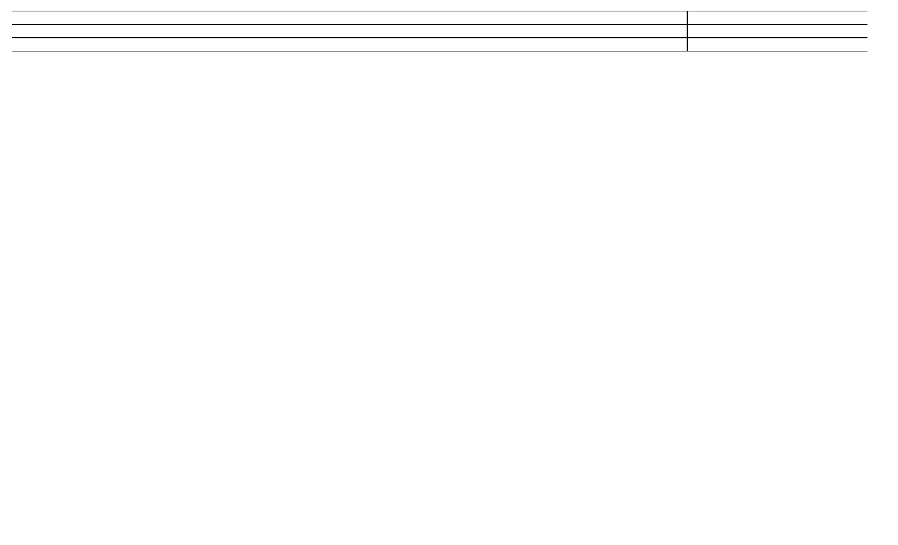| ,一个人的人都是一个人的人,而且,我们也不会不会不会。""我们,我们也不会不会不会不会不会不会。""我们,我们也不会不会不会不会。""我们,我们也不会不会不会不 |  |
|----------------------------------------------------------------------------------|--|
|                                                                                  |  |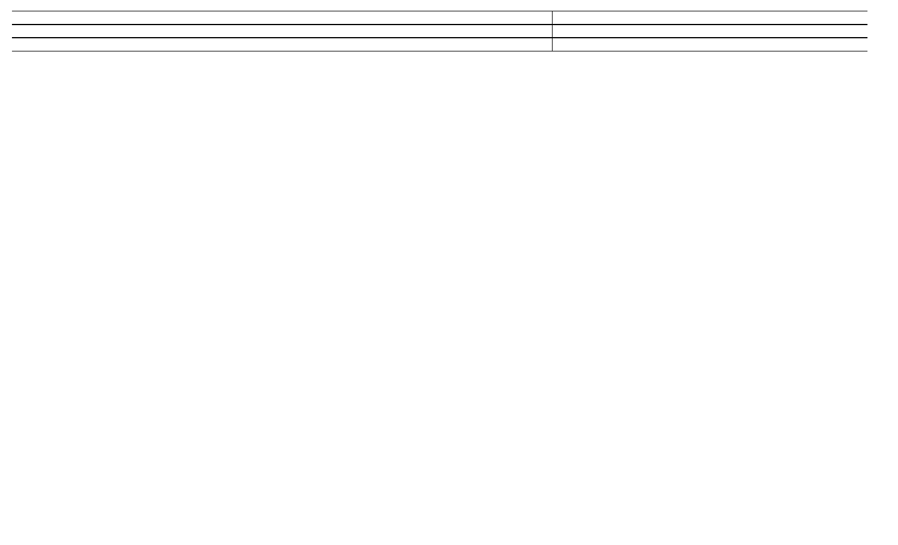| → 中国的 → 中国的 → 中国的 → 中国的 → 中国的 → 中国的 → 中国的 → 中国的 → 中国的 → 中国的 → 中国的 → 中国的 → 中国的 → 中国的 → 中国的 → 中国的 → 中国的 → 中国的 → 中国 |  |
|------------------------------------------------------------------------------------------------------------------|--|
|                                                                                                                  |  |
|                                                                                                                  |  |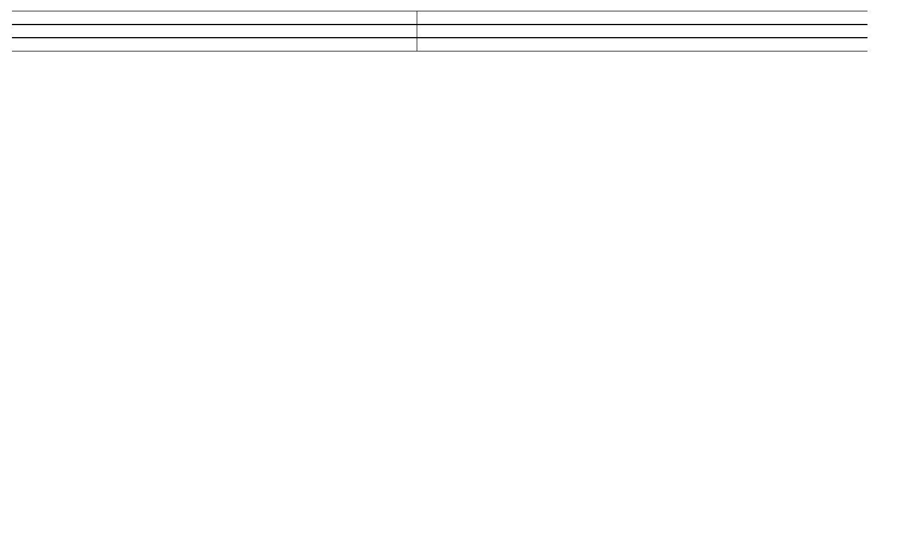| ,我们就会不会不会。""我们,我们就会不会不会不会,我们就会不会不会不会。""我们,我们就会不会不会不会。""我们,我们就会不会不会不会。""我们,我们就会不会 |                                                                                   |
|----------------------------------------------------------------------------------|-----------------------------------------------------------------------------------|
|                                                                                  | ,我们也不会不会不会。""我们的,我们也不会不会不会。""我们的,我们也不会不会不会不会。""我们的,我们也不会不会不会不会。""我们的,我们也不会不会不会不会  |
|                                                                                  | ,我们就会不会不会。""我们,我们就会不会不会,我们就会不会不会,我们就会不会不会。""我们,我们就会不会不会。""我们,我们就会不会不会不会。""我们,我们就会 |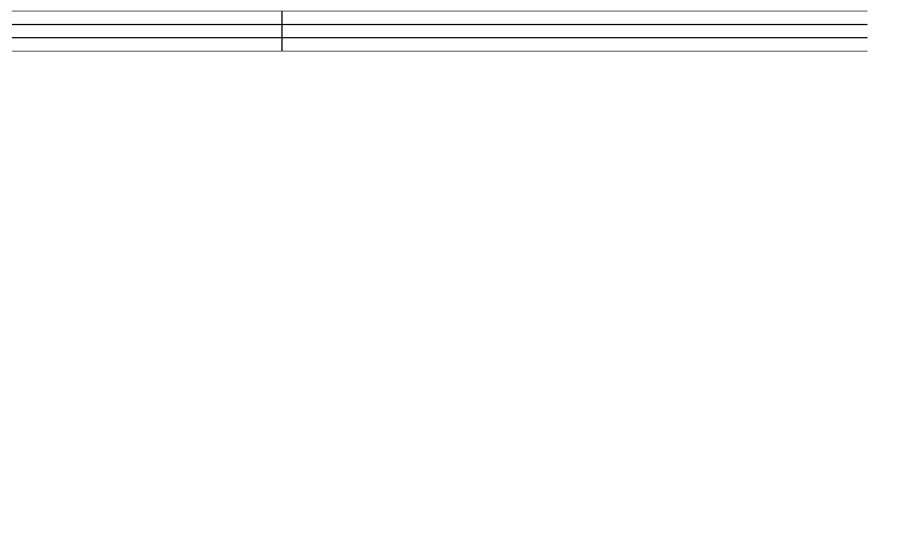| ,一个人都是一个人的人,我们就是一个人的人,我们就是一个人的人,我们就是一个人的人,我们就是一个人的人,我们就是一个人的人,我们就是一个人的人,我们就是一个人的<br>第一百一十一章 一个人的人,我们就是一个人的人,我们就是一个人的人,我们就是一个人的人,我们就是一个人的人,我们就是一个人的人,我们就是一个人的人,我们就是一个 |
|----------------------------------------------------------------------------------------------------------------------------------------------------------------------|
|                                                                                                                                                                      |
|                                                                                                                                                                      |
|                                                                                                                                                                      |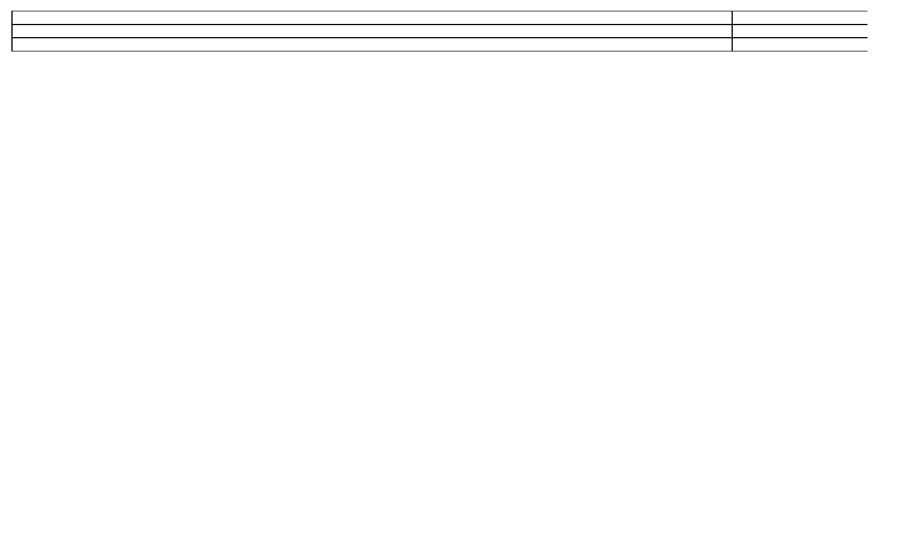| ,他们的人们就是一个人,他们的人们就是一个人,他们的人们,他们的人们就是一个人,他们的人们,他们的人们就是一个人,他们的人们,他们的人们,他们的人们,他们的人们,<br>第25章 我们的人们,他们的人们,他们的人们,他们的人们,他们的人们,他们的人们,他们的人们,他们的人们,他们的人们,他们的人们,他们的人们,他们的人们,他们的 |  |
|-----------------------------------------------------------------------------------------------------------------------------------------------------------------------|--|
| ,一个人都是一个人的人,而且,他们的人都是一个人,而且,他们的人都是一个人,而且,他们的人都是一个人,而且,他们的人都是一个人,而且,他们的人都是一个人,而且,他<br>第二百一十一章 一个人,他们的人都是一个人,他们的人都是一个人,他们的人都是一个人,他们的人都是一个人,他们的人都是一个人,他们的人都是一个人,他们的人都是一个 |  |
| ,一个人都是一个人的人,而且,他们的人都是一个人,他们的人都是一个人,他们的人都是一个人,他们的人都是一个人,他们的人都是一个人,他们的人都是一个人,他们的人都是                                                                                     |  |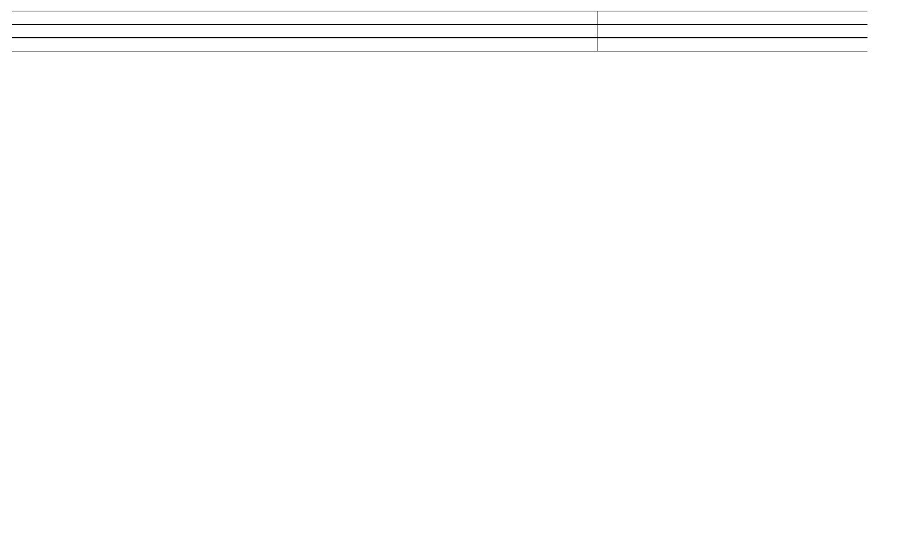| ,一个人都是一个人的人,而且,我们也不会不会不会。""我们,我们也不会不会不会不会不会不会不会不会。""我们,我们也不会不会不会不会不会不会不会不会。""我们,我<br>,他们的人们也不会不会。""我们的人们,我们也不会不会不会。""我们的人们,我们也不会不会不会。""我们的人们,我们也不会不会不会。""我们的人们,我们也不会不 |  |
|-----------------------------------------------------------------------------------------------------------------------------------------------------------------------|--|
| ,我们也不会不会不会。""我们的,我们也不会不会不会。""我们的,我们也不会不会不会不会。""我们的,我们也不会不会不会不会。""我们的,我们也不会不会不会不会                                                                                      |  |
|                                                                                                                                                                       |  |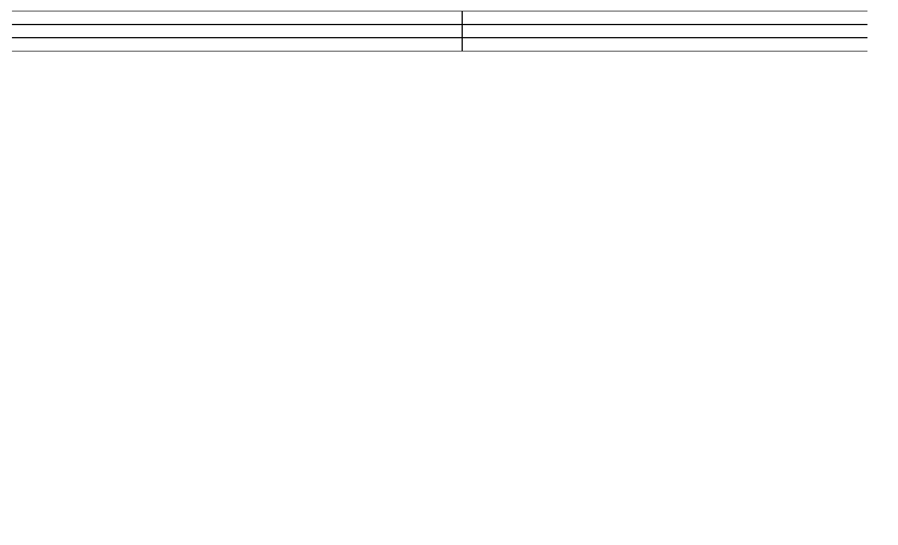| <u> 2001 - An t-An Aontaithe ann an t-Aontaithe ann an t-Aontaithe ann an t-Aontaithe ann an t-Aontaithe ann an t-</u> |
|------------------------------------------------------------------------------------------------------------------------|
|                                                                                                                        |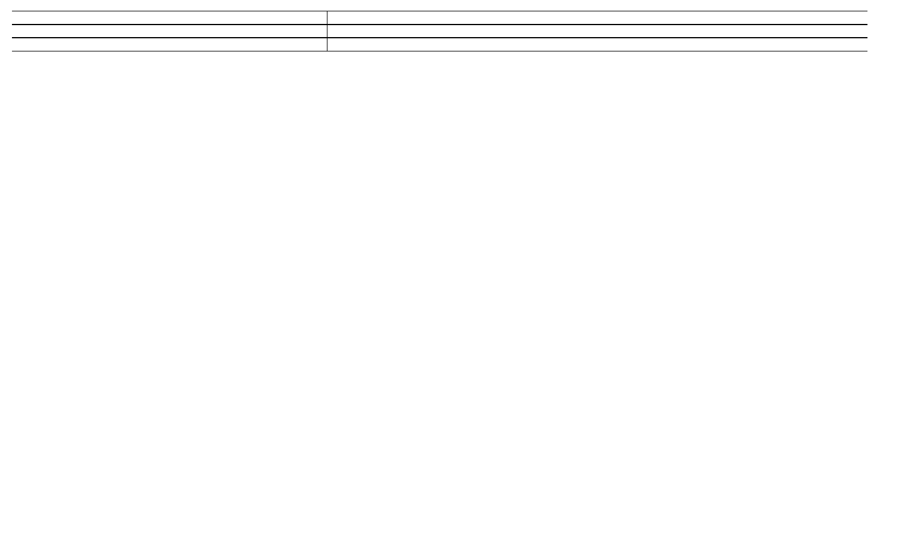| ,一个人都是一个人的人,而且,他们的人都是一个人,而且,他们的人都是一个人,而且,他们的人都是一个人,而且,他们的人都是一个人,而且,他们的人都是一个人,而且,他<br>第二十一章 一个人,他们的人都是一个人,他们的人都是一个人,他们的人都是一个人,他们的人都是一个人,他们的人都是一个人,他们的人都是一个人,他们的人都是一个人, | ,我们也不会不会。""我们的,我们也不会不会。""我们的,我们也不会不会不会。""我们的,我们也不会不会不会。""我们的,我们也不会不会不会。""我们的,我们也 |
|-----------------------------------------------------------------------------------------------------------------------------------------------------------------------|----------------------------------------------------------------------------------|
|                                                                                                                                                                       |                                                                                  |
|                                                                                                                                                                       |                                                                                  |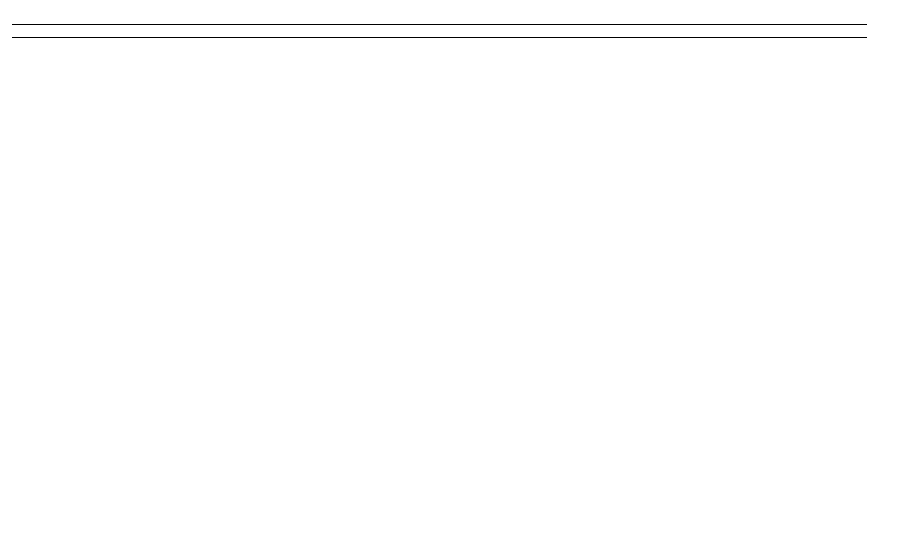| ,一个人的人都是一个人的人,而且,他们的人都是一个人的人,而且,他们的人都是一个人的人,而且,他们的人都是一个人的人,而且,他们的人都是一个人的人,而且,他们的人<br>第一百一十一章 一个人的人,他们的人都是一个人的人,他们的人都是一个人的人,他们的人都是一个人的人,他们的人都是一个人的人,他们的人都是一个人的人,他们的人都是<br>,我们就会不会不会。""我们,我们就会不会不会不会。""我们,我们就会不会不会不会不会不会。""我们,我们就会不会不会不会不会。""我们,我们就会不会不会不会不 |
|-----------------------------------------------------------------------------------------------------------------------------------------------------------------------------------------------------------------------------------------------------------|
| ,一个人都是一个人的人,而且,他们的人都是一个人,而且,他们的人都是一个人,而且,他们的人都是一个人,而且,他们的人都是一个人,而且,他们的人都是一个人,而且,他<br>第二十一章 一个人,他们的人都是一个人,他们的人都是一个人,他们的人都是一个人,他们的人都是一个人,他们的人都是一个人,他们的人都是一个人,他们的人都是一个人,                                                                                     |
|                                                                                                                                                                                                                                                           |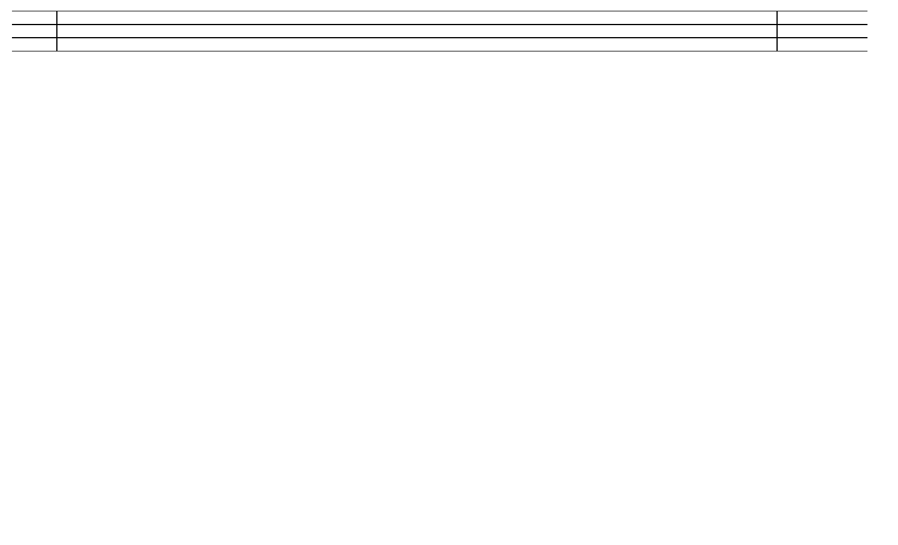| <u>та на представљен под податковата на представљен податковата на представљен податковата на представљен податк</u> |  |
|----------------------------------------------------------------------------------------------------------------------|--|
|                                                                                                                      |  |
| ,一个人都是一个人的人,一个人都是一个人的人,一个人都是一个人的人,一个人都是一个人的人,一个人都是一个人的人,一个人都是一个人的人,一个人都是一个人的人,一个人                                    |  |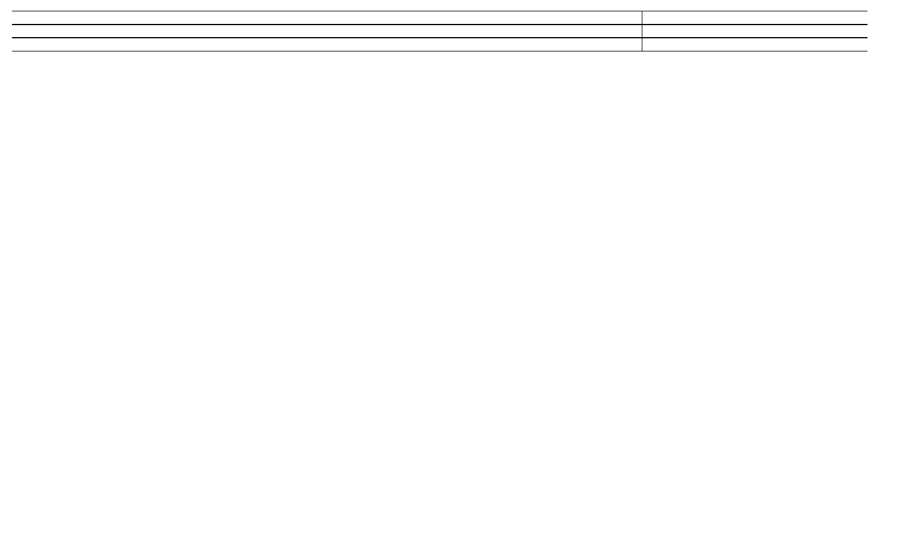| ,一个人都是一个人的人,一个人都是一个人的人,一个人都是一个人的人,一个人都是一个人的人,一个人都是一个人的人,一个人都是一个人的人,一个人都是一个人的人,一个人<br>→ South State State State State State State State State State State State State State State State State State State State State State State State State State State State State State State State State State State State St |  |
|-------------------------------------------------------------------------------------------------------------------------------------------------------------------------------------------------------------------------------------------------------------------------------------------------------------------|--|
| ,一个人的人都是一个人的人,而且,他们的人都是不是一个人的人,而且,他们的人都是不是一个人的人,而且,他们的人都是不是一个人的人,而且,他们的人都是不是一个人的<br>第一百一十一章 一个人的人,他们的人都是不是一个人的人,他们的人都是不是一个人的人,他们的人都是不是一个人的人,他们的人都是不是一个人的人,他们的人都是不是一个                                                                                                                                              |  |
| ,我们也不会不会不会。""我们的,我们也不会不会不会。""我们的,我们也不会不会不会不会不会。""我们的,我们也不会不会不会不会。""我们的,我们也不会不会不会<br>第二百一章 第二百一章 第二百一章 第二百一章 第二百一章 第二百一章 第二百一章 第二百一章 第二百一章 第二百一章 第二百一章 第二百一章 第二百一章 第二                                                                                                                                              |  |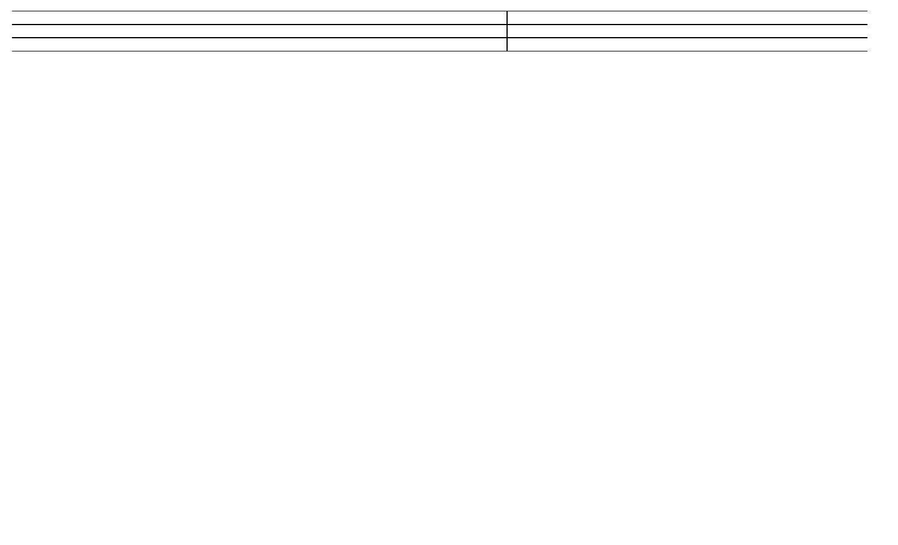| ,一个人都是一个人的人,而且,他们的人都是一个人,而且,他们的人都是一个人,而且,他们的人都是一个人,而且,他们的人都是一个人,而且,他们的人都是一个人,而且,他<br>第二十二章 第二十二章 第二十二章 第二十二章 第二十二章 第二十二章 第二十二章 第二十二章 第二十二章 第二十二章 第二十二章 第二十二章 第二十二章 第二十 |  |
|------------------------------------------------------------------------------------------------------------------------------------------------------------------------|--|
|                                                                                                                                                                        |  |
| ,一个人的人都是一个人的人,而且,他们的人都是一个人的人,而且,他们的人都是一个人的人,而且,他们的人都是一个人的人,而且,他们的人都是一个人的人,而且,他们的人                                                                                      |  |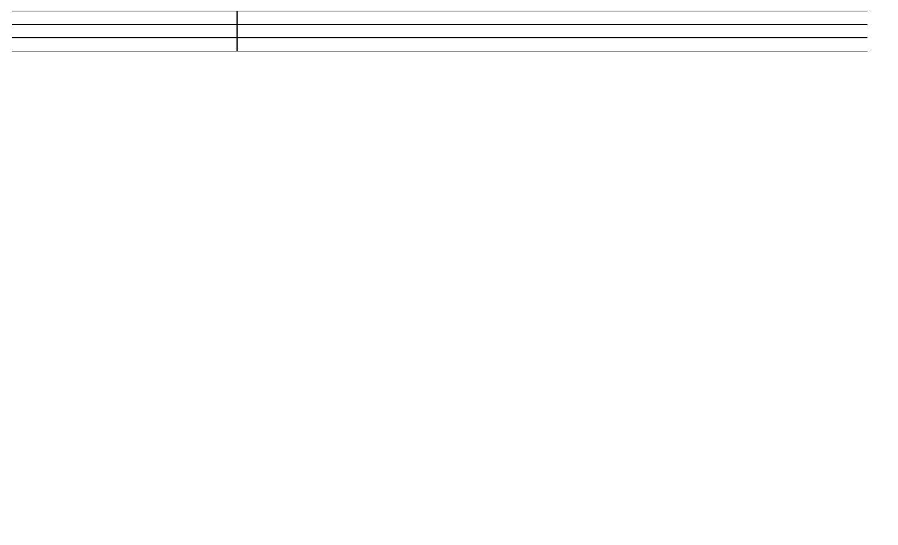| ,我们就会不会不会。""我们,我们也不会不会不会。""我们,我们也不会不会不会不会不会不会。""我们,我们也不会不会不会不会。""我们,我们也不会不会不会不会不  |
|-----------------------------------------------------------------------------------|
| ,一个人都是一个人的人,一个人都是一个人的人,一个人都是一个人的人,一个人都是一个人的人,一个人都是一个人的人,一个人都是一个人的人,一个人都是一个人的人,一个人 |
|                                                                                   |
| ,一个人都是一个人的人,而且,我们也不会不会不会。""我们,我们也不会不会不会不会不会不会不会。""我们,我们也不会不会不会不会不会不会不会不会。""我们,我们  |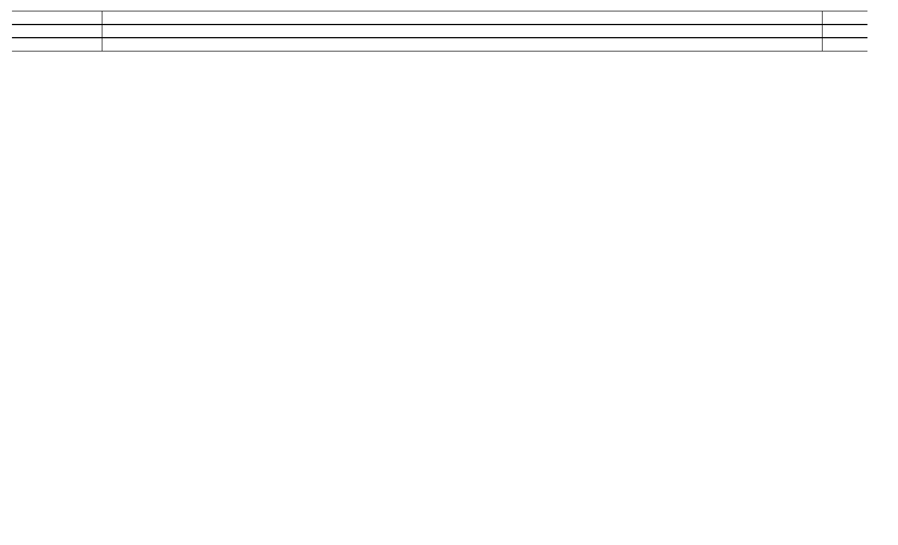| ,一个人都是一个人的人,一个人都是一个人的人,一个人都是一个人的人,一个人都是一个人的人,一个人都是一个人的人,一个人都是一个人的人,一个人都是一个人的人,一个人<br>第二十一章 一个人的人,一个人的人都是一个人的人,一个人的人都是一个人的人,一个人的人都是一个人的人,一个人的人都是一个人的人,一个人的人都是一个人的人,一个人<br>,一个人都是一个人的人,一个人都是一个人的人,一个人都是一个人的人,一个人都是一个人的人,一个人都是一个人的人,一个人都是一个人的人,一个人都是一个人的人,一个人<br>第二十一章 一个人的人,一个人都是一个人的人,一个人都是一个人的人,一个人都是一个人的人,一个人都是一个人的人,一个人都是一个人的人,一个人都是一个人的人,一个 |  |
|------------------------------------------------------------------------------------------------------------------------------------------------------------------------------------------------------------------------------------------------------------------------------------------------------------------------------------------------|--|
| ,一个人的人都是一个人的人,而且,他们的人都是一个人的人,而且,他们的人都是一个人的人,而且,他们的人都是一个人的人,而且,他们的人都是一个人的人,而且,他们的<br>第一百一十一章 一个人的人,他们的人都是一个人的人,他们的人都是一个人的人,他们的人都是一个人的人,他们的人都是一个人的人,他们的人都是一个人的人,他们的人都是                                                                                                                                                                           |  |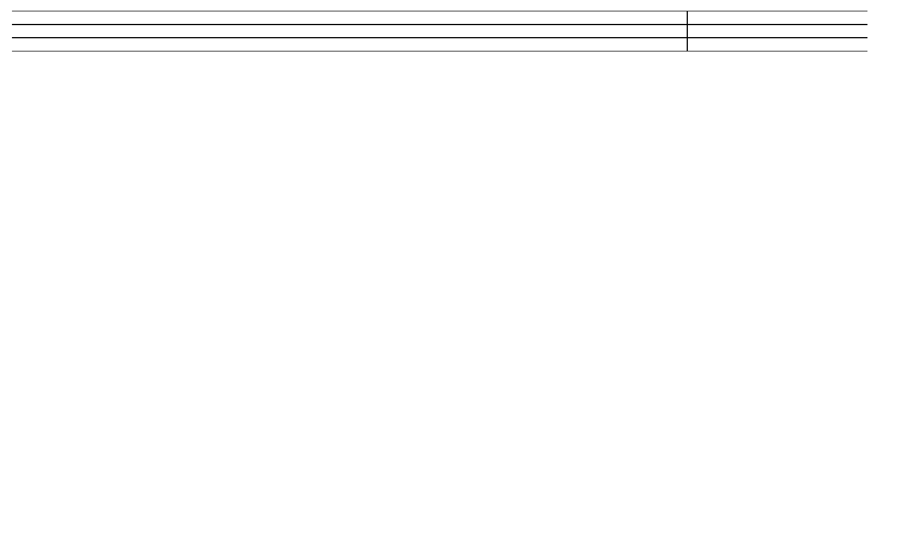| ,一个人的人都是一个人的人,而且,我们也不会不会不会。""我们,我们也不会不会不会不会不会不会。""我们,我们也不会不会不会不会。""我们,我们也不会不会不会不 |  |
|----------------------------------------------------------------------------------|--|
|                                                                                  |  |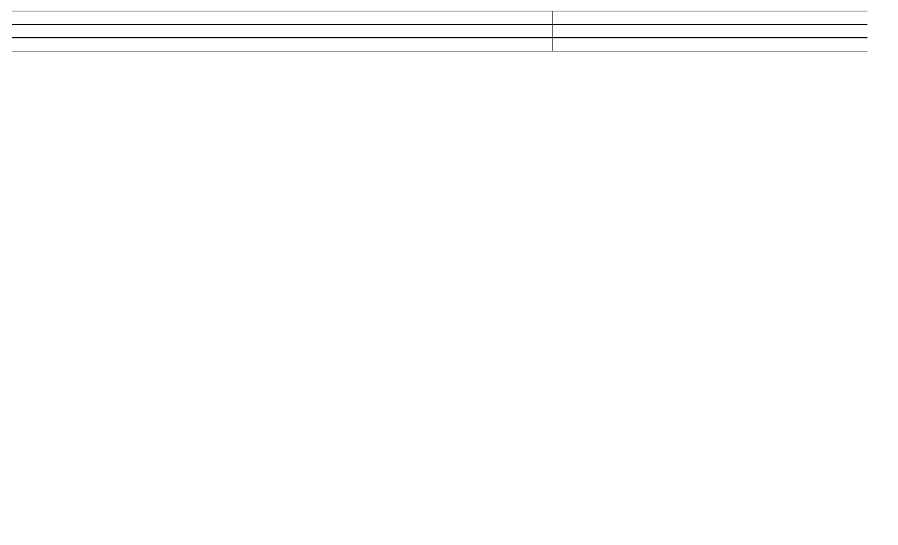| → 中国的 → 中国的 → 中国的 → 中国的 → 中国的 → 中国的 → 中国的 → 中国的 → 中国的 → 中国的 → 中国的 → 中国的 → 中国的 → 中国的 → 中国的 → 中国的 → 中国的 → 中国的 → 中国 |  |
|------------------------------------------------------------------------------------------------------------------|--|
|                                                                                                                  |  |
|                                                                                                                  |  |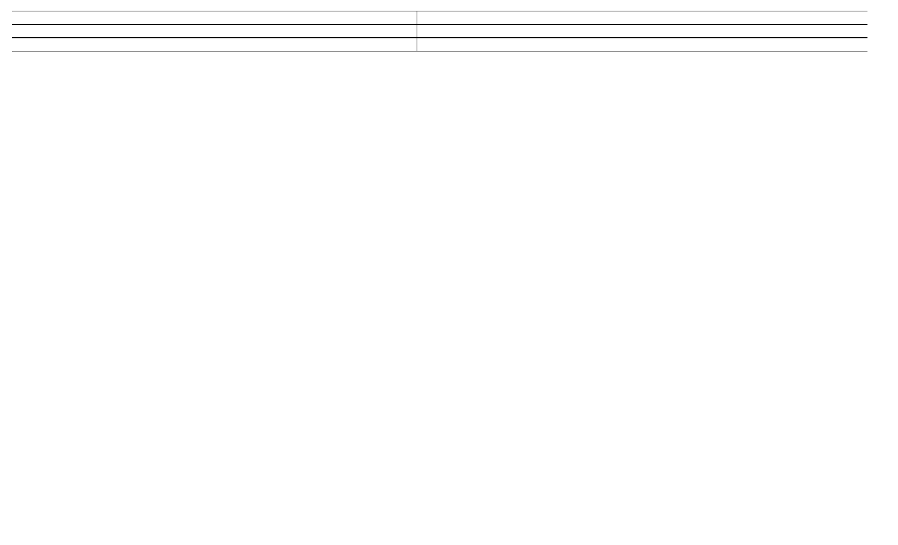| ,我们就会不会不会。""我们,我们就会不会不会不会,我们就会不会不会不会。""我们,我们就会不会不会不会。""我们,我们就会不会不会不会。""我们,我们就会不会 |                                                                                   |
|----------------------------------------------------------------------------------|-----------------------------------------------------------------------------------|
|                                                                                  | ,我们也不会不会不会。""我们的,我们也不会不会不会。""我们的,我们也不会不会不会不会。""我们的,我们也不会不会不会不会。""我们的,我们也不会不会不会不会  |
|                                                                                  | ,我们就会不会不会。""我们,我们就会不会不会,我们就会不会不会,我们就会不会不会。""我们,我们就会不会不会。""我们,我们就会不会不会不会。""我们,我们就会 |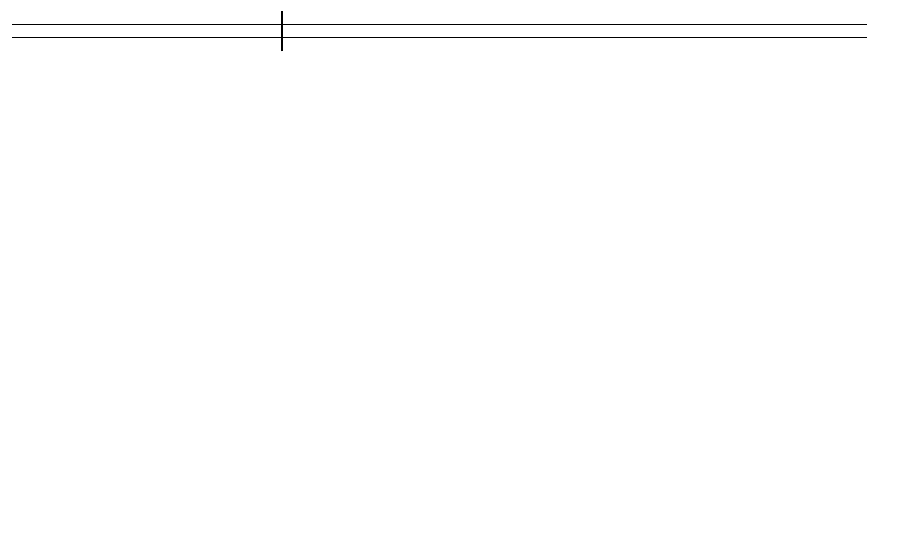| ,一个人都是一个人的人,我们就是一个人的人,我们就是一个人的人,我们就是一个人的人,我们就是一个人的人,我们就是一个人的人,我们就是一个人的人,我们就是一个人的<br>第一百一十一章 一个人的人,我们就是一个人的人,我们就是一个人的人,我们就是一个人的人,我们就是一个人的人,我们就是一个人的人,我们就是一个人的人,我们就是一个 |
|----------------------------------------------------------------------------------------------------------------------------------------------------------------------|
|                                                                                                                                                                      |
|                                                                                                                                                                      |
|                                                                                                                                                                      |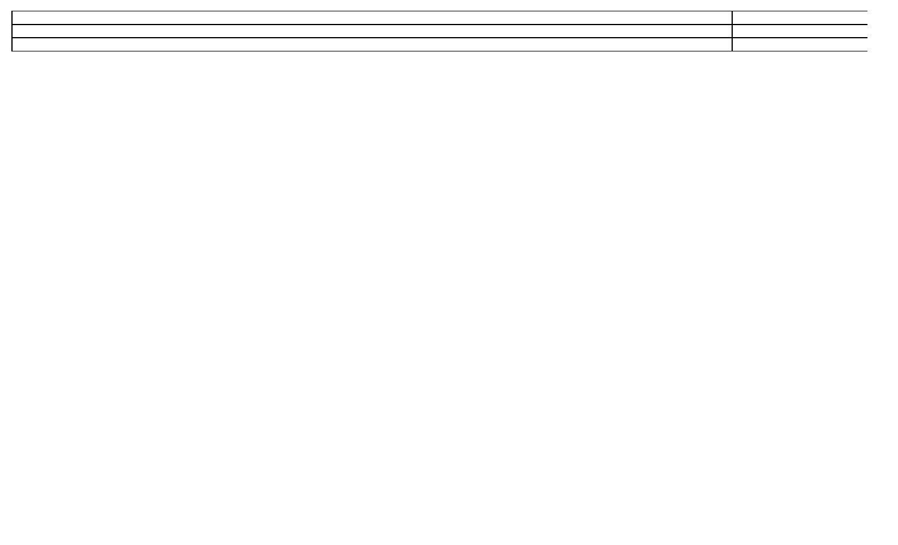| ,他们的人们就是一个人,他们的人们就是一个人,他们的人们,他们的人们就是一个人,他们的人们,他们的人们就是一个人,他们的人们,他们的人们,他们的人们,他们的人们,<br>第25章 我们的人们,他们的人们,他们的人们,他们的人们,他们的人们,他们的人们,他们的人们,他们的人们,他们的人们,他们的人们,他们的人们,他们的人们,他们的 |  |
|-----------------------------------------------------------------------------------------------------------------------------------------------------------------------|--|
| ,一个人都是一个人的人,而且,他们的人都是一个人,而且,他们的人都是一个人,而且,他们的人都是一个人,而且,他们的人都是一个人,而且,他们的人都是一个人,而且,他<br>第二百一十一章 一个人,他们的人都是一个人,他们的人都是一个人,他们的人都是一个人,他们的人都是一个人,他们的人都是一个人,他们的人都是一个人,他们的人都是一个 |  |
| ,一个人都是一个人的人,而且,他们的人都是一个人,他们的人都是一个人,他们的人都是一个人,他们的人都是一个人,他们的人都是一个人,他们的人都是一个人,他们的人都是                                                                                     |  |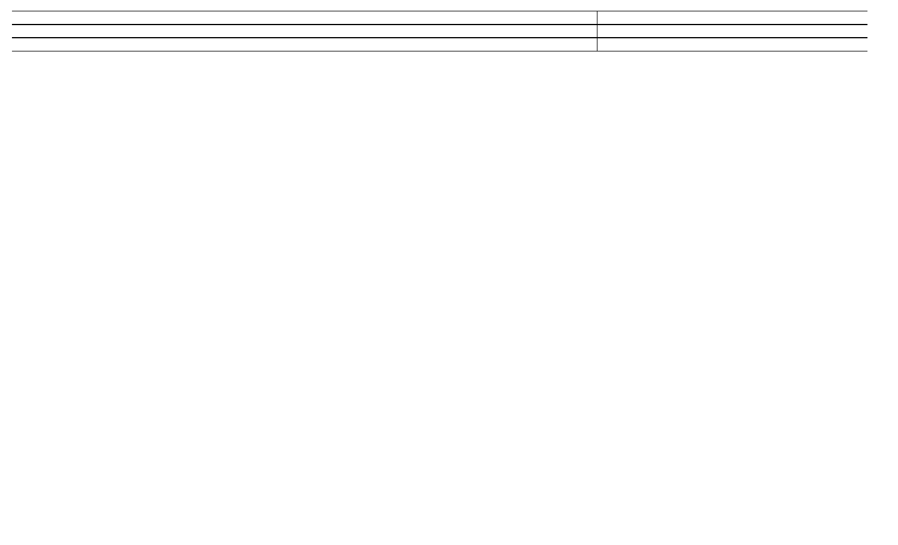| ,一个人都是一个人的人,而且,我们也不会不会不会。""我们,我们也不会不会不会不会不会不会不会不会。""我们,我们也不会不会不会不会不会不会不会不会。""我们,我<br>,他们的人们也不会不会。""我们的人们,我们也不会不会不会。""我们的人们,我们也不会不会不会。""我们的人们,我们也不会不会不会。""我们的人们,我们也不会不 |  |
|-----------------------------------------------------------------------------------------------------------------------------------------------------------------------|--|
| ,我们也不会不会不会。""我们的,我们也不会不会不会。""我们的,我们也不会不会不会不会。""我们的,我们也不会不会不会不会。""我们的,我们也不会不会不会不会                                                                                      |  |
|                                                                                                                                                                       |  |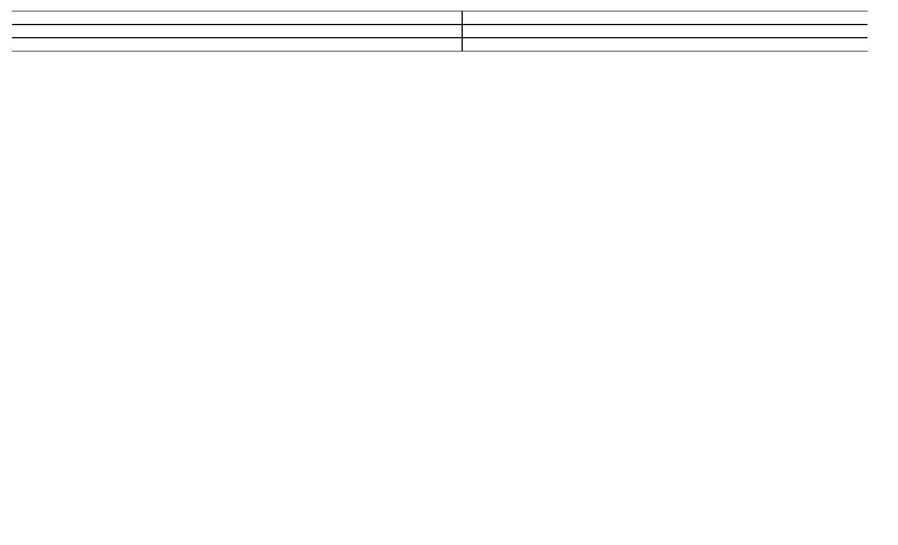| <u> 2001 - An t-An Aontaithe ann an t-Aontaithe ann an t-Aontaithe ann an t-Aontaithe ann an t-Aontaithe ann an t-</u> |
|------------------------------------------------------------------------------------------------------------------------|
|                                                                                                                        |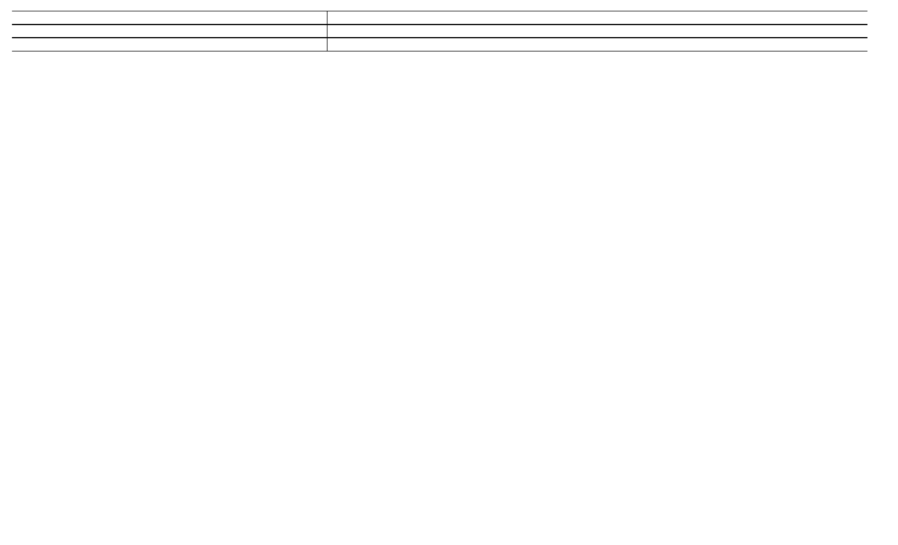| ,一个人都是一个人的人,而且,他们的人都是一个人,而且,他们的人都是一个人,而且,他们的人都是一个人,而且,他们的人都是一个人,而且,他们的人都是一个人,而且,他<br>第二十一章 一个人,他们的人都是一个人,他们的人都是一个人,他们的人都是一个人,他们的人都是一个人,他们的人都是一个人,他们的人都是一个人,他们的人都是一个人, | ,我们也不会不会。""我们的,我们也不会不会。""我们的,我们也不会不会不会。""我们的,我们也不会不会不会。""我们的,我们也不会不会不会。""我们的,我们也 |
|-----------------------------------------------------------------------------------------------------------------------------------------------------------------------|----------------------------------------------------------------------------------|
|                                                                                                                                                                       |                                                                                  |
|                                                                                                                                                                       |                                                                                  |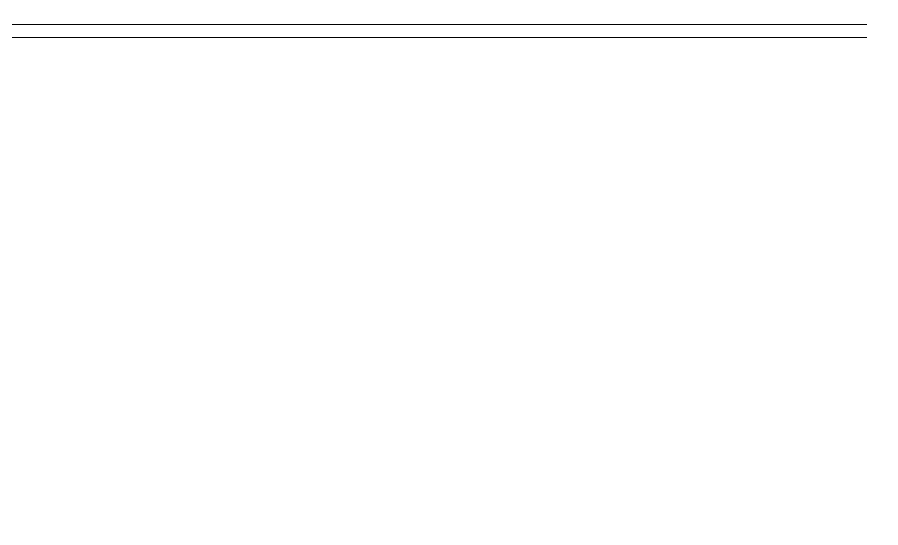| ,一个人的人都是一个人的人,而且,他们的人都是一个人的人,而且,他们的人都是一个人的人,而且,他们的人都是一个人的人,而且,他们的人都是一个人的人,而且,他们的人<br>第一百一十一章 一个人的人,他们的人都是一个人的人,他们的人都是一个人的人,他们的人都是一个人的人,他们的人都是一个人的人,他们的人都是一个人的人,他们的人都是 |
|-----------------------------------------------------------------------------------------------------------------------------------------------------------------------|
| ,一个人都是一个人的人,而且,他们的人都是一个人,而且,他们的人都是一个人,而且,他们的人都是一个人,而且,他们的人都是一个人,而且,他们的人都是一个人,而且,他<br>第二十一章 一个人,他们的人都是一个人,他们的人都是一个人,他们的人都是一个人,他们的人都是一个人,他们的人都是一个人,他们的人都是一个人,他们的人都是一个人, |
|                                                                                                                                                                       |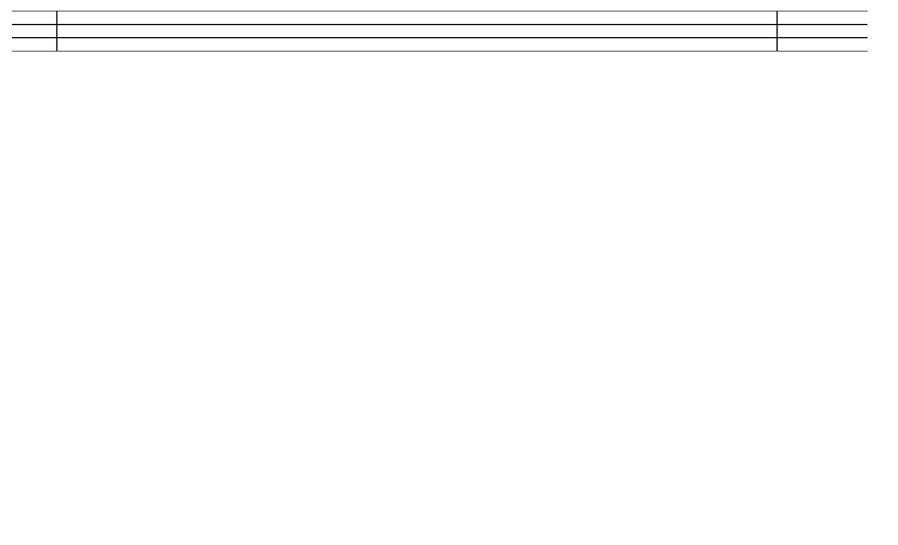| <u>та на представљен под податковата на представљен податковата на представљен податковата на представљен податк</u> |  |
|----------------------------------------------------------------------------------------------------------------------|--|
|                                                                                                                      |  |
| ,一个人都是一个人的人,一个人都是一个人的人,一个人都是一个人的人,一个人都是一个人的人,一个人都是一个人的人,一个人都是一个人的人,一个人都是一个人的人,一个人                                    |  |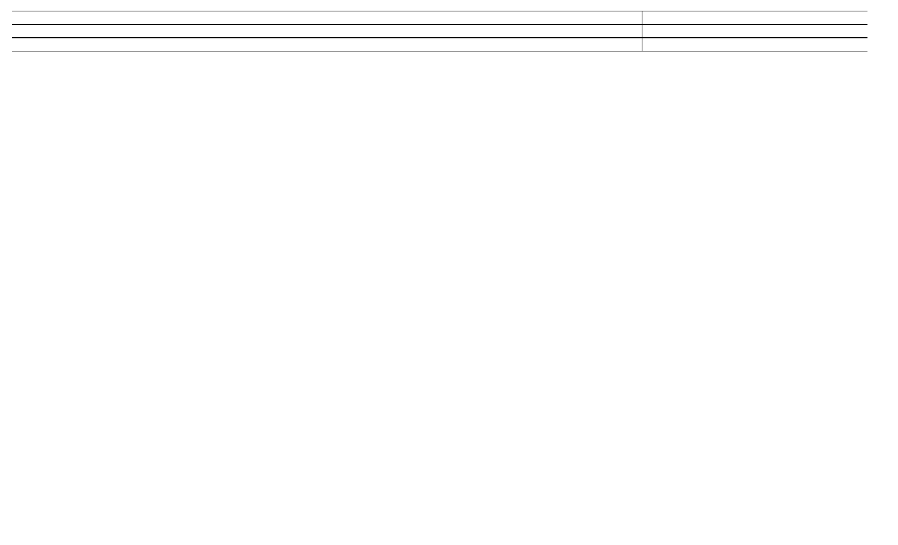| ,一个人都是一个人的人,一个人都是一个人的人,一个人都是一个人的人,一个人都是一个人的人,一个人都是一个人的人,一个人都是一个人的人,一个人都是一个人的人,一个人<br>→ South State State State State State State State State State State State State State State State State State State State State State State State State State State State State State State State State State State State St |  |
|-------------------------------------------------------------------------------------------------------------------------------------------------------------------------------------------------------------------------------------------------------------------------------------------------------------------|--|
| ,一个人的人都是一个人的人,而且,他们的人都是不是一个人的人,而且,他们的人都是不是一个人的人,而且,他们的人都是不是一个人的人,而且,他们的人都是不是一个人的<br>第一百一十一章 一个人的人,他们的人都是不是一个人的人,他们的人都是不是一个人的人,他们的人都是不是一个人的人,他们的人都是不是一个人的人,他们的人都是不是一个                                                                                                                                              |  |
| ,我们也不会不会不会。""我们的,我们也不会不会不会。""我们的,我们也不会不会不会不会。""我们的,我们也不会不会不会不会。""我们的,我们也不会不会不会不会<br>第二百一章 第二百一章 第二百一章 第二百一章 第二百一章 第二百一章 第二百一章 第二百一章 第二百一章 第二百一章 第二百一章 第二百一章 第二百一章 第二                                                                                                                                              |  |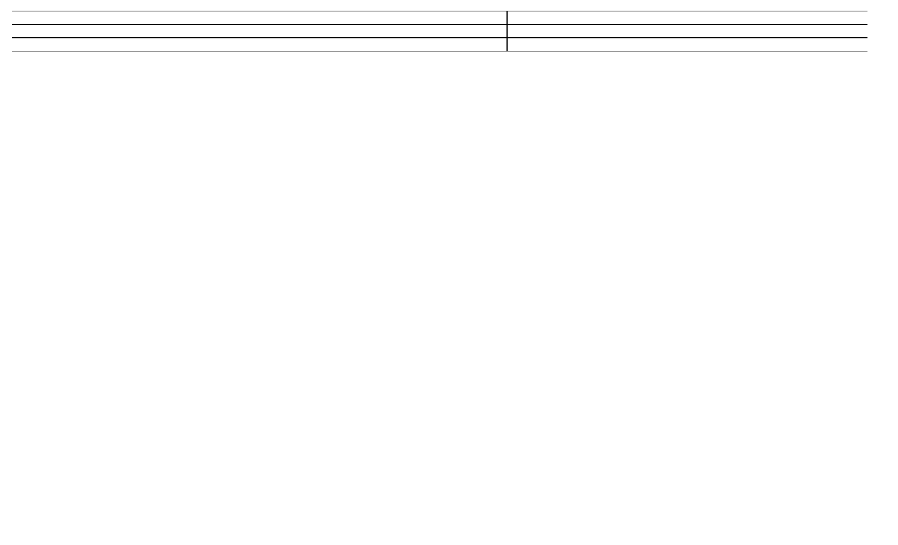| ,一个人都是一个人的人,而且,他们的人都是一个人,而且,他们的人都是一个人,而且,他们的人都是一个人,而且,他们的人都是一个人,而且,他们的人都是一个人,而且,他<br>第二十二章 第二十二章 第二十二章 第二十二章 第二十二章 第二十二章 第二十二章 第二十二章 第二十二章 第二十二章 第二十二章 第二十二章 第二十二章 第二十 |  |
|------------------------------------------------------------------------------------------------------------------------------------------------------------------------|--|
|                                                                                                                                                                        |  |
| ,一个人的人都是一个人的人,而且,他们的人都是一个人的人,而且,他们的人都是一个人的人,而且,他们的人都是一个人的人,而且,他们的人都是一个人的人,而且,他们的人                                                                                      |  |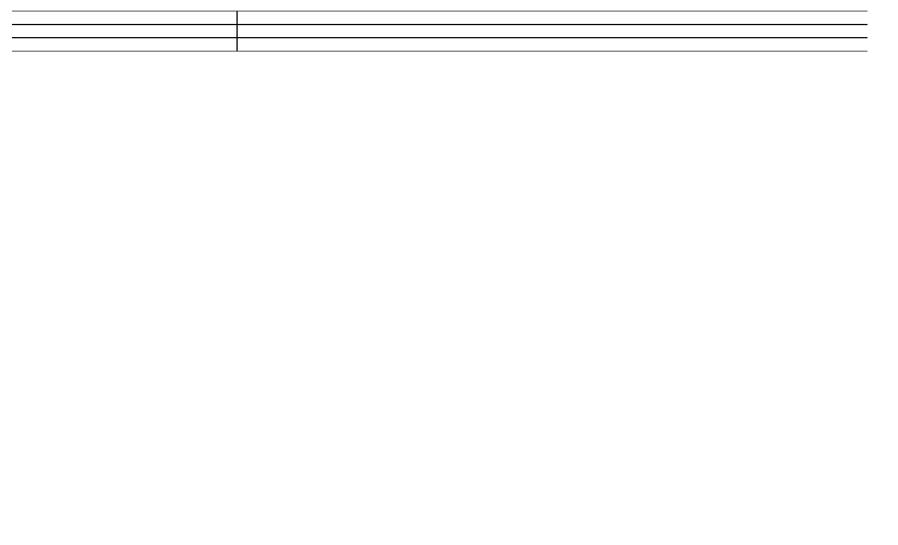| ,我们就会不会不会。""我们,我们也不会不会不会。""我们,我们也不会不会不会不会不会不会。""我们,我们也不会不会不会不会。""我们,我们也不会不会不会不会不  |
|-----------------------------------------------------------------------------------|
| ,一个人都是一个人的人,一个人都是一个人的人,一个人都是一个人的人,一个人都是一个人的人,一个人都是一个人的人,一个人都是一个人的人,一个人都是一个人的人,一个人 |
|                                                                                   |
| ,一个人都是一个人的人,而且,我们也不会不会不会。""我们,我们也不会不会不会不会。""我们,我们也不会不会不会不会。""我们,我们也不会不会不会不会。""我们, |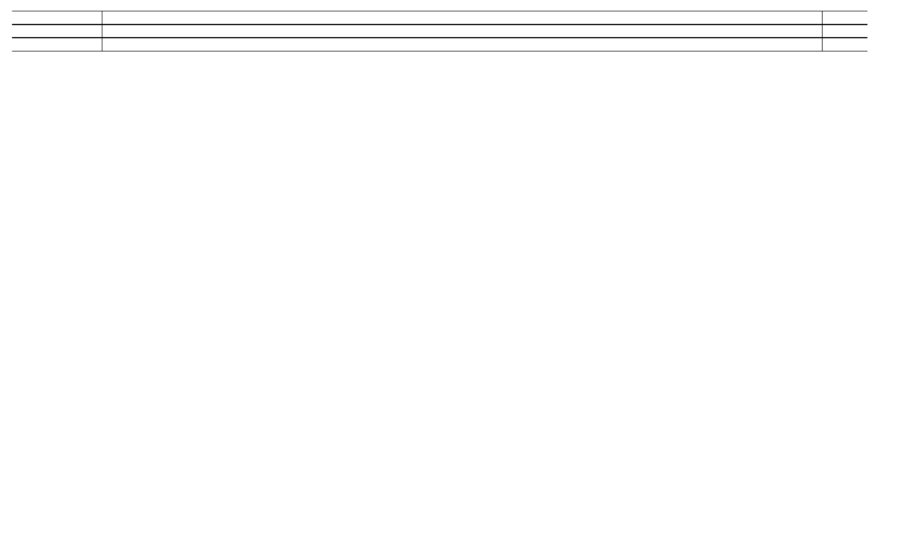| ,一个人都是一个人的人,一个人都是一个人的人,一个人都是一个人的人,一个人都是一个人的人,一个人都是一个人的人,一个人都是一个人的人,一个人都是一个人的人,一个人<br>第二十一章 一个人的人,一个人的人都是一个人的人,一个人的人都是一个人的人,一个人的人都是一个人的人,一个人的人都是一个人的人,一个人的人都是一个人的人,一个人<br>,一个人都是一个人的人,一个人都是一个人的人,一个人都是一个人的人,一个人都是一个人的人,一个人都是一个人的人,一个人都是一个人的人,一个人都是一个人的人,一个人<br>第二十一章 一个人的人,一个人的人都是一个人的人,一个人的人都是一个人的人,一个人的人都是一个人的人,一个人的人都是一个人的人,一个人的人都是一个人的人,一个人 |  |
|------------------------------------------------------------------------------------------------------------------------------------------------------------------------------------------------------------------------------------------------------------------------------------------------------------------------------------------------|--|
| ,一个人的人都是一个人的人,而且,他们的人都是一个人的人,而且,他们的人都是一个人的人,而且,他们的人都是一个人的人,而且,他们的人都是一个人的人,而且,他们的<br>第一百一十一章 一个人的人,他们的人都是一个人的人,他们的人都是一个人的人,他们的人都是一个人的人,他们的人都是一个人的人,他们的人都是一个人的人,他们的人都是                                                                                                                                                                           |  |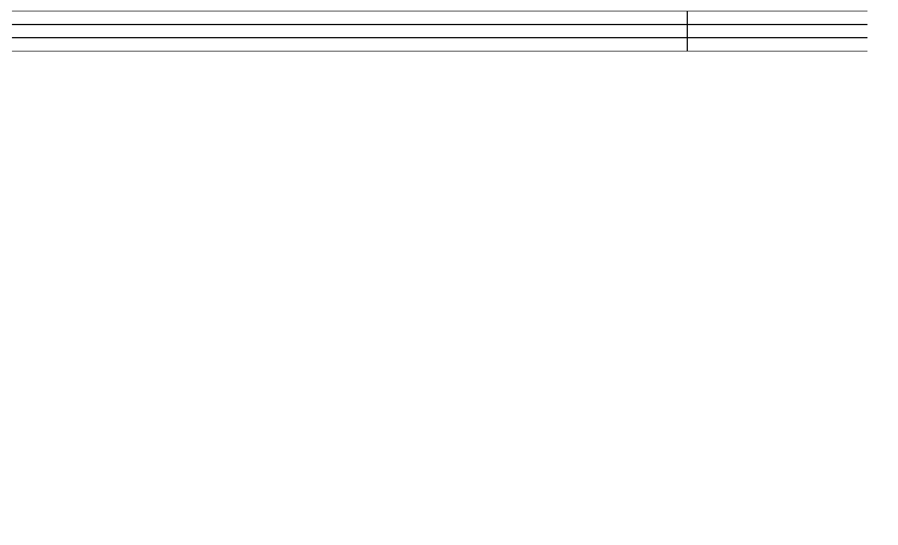| ,我们也不会不会不会。""我们的,我们也不会不会不会。""我们的,我们也不会不会不会不会不会。""我们的,我们也不会不会不会不会。""我们的,我们也不会不会不会  |  |
|-----------------------------------------------------------------------------------|--|
| ,一个人的人都是一个人的人,而且,他们的人都是一个人的人,而且,他们的人都是一个人的人,而且,他们的人都是一个人的人,而且,他们的人都是一个人的人,而且,他们的人 |  |
|                                                                                   |  |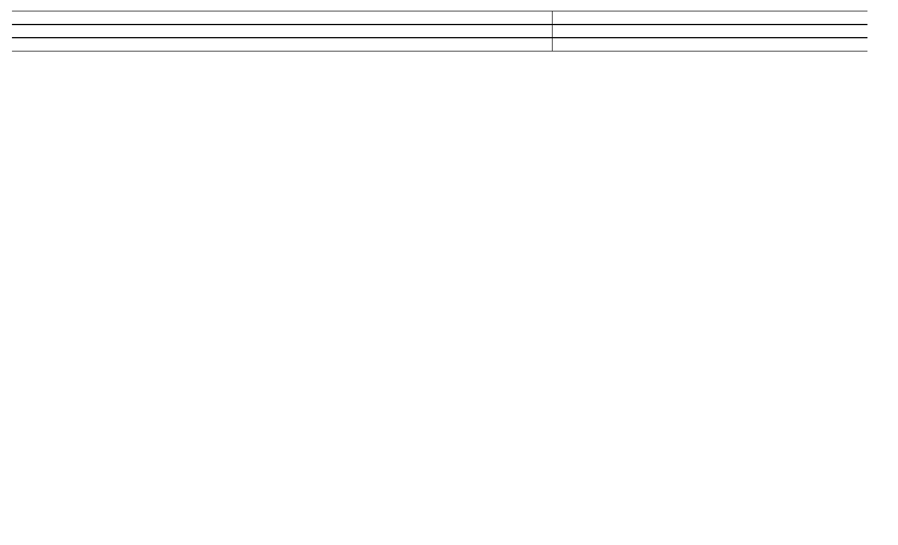| → 中国的 → 中国的 → 中国的 → 中国的 → 中国的 → 中国的 → 中国的 → 中国的 → 中国的 → 中国的 → 中国的 → 中国的 → 中国的 → 中国的 → 中国的 → 中国的 → 中国的 → 中国的 → 中国 |  |
|------------------------------------------------------------------------------------------------------------------|--|
|                                                                                                                  |  |
|                                                                                                                  |  |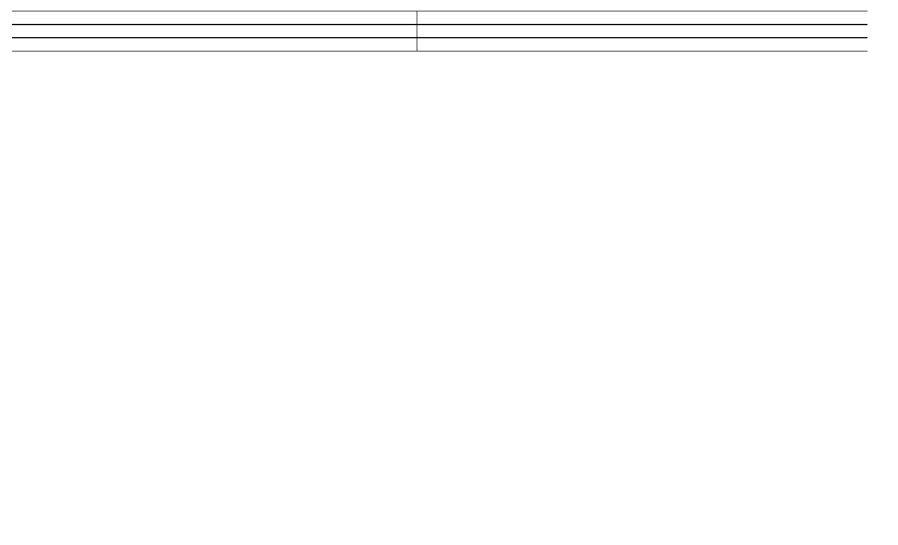| ,我们就会不会不会。""我们,我们就会不会不会不会,我们就会不会不会不会。""我们,我们就会不会不会不会。""我们,我们就会不会不会不会。""我们,我们就会不会 |                                                                                   |
|----------------------------------------------------------------------------------|-----------------------------------------------------------------------------------|
|                                                                                  | ,我们也不会不会不会。""我们的,我们也不会不会不会。""我们的,我们也不会不会不会不会。""我们的,我们也不会不会不会不会。""我们的,我们也不会不会不会不会  |
|                                                                                  | ,我们就会不会不会。""我们,我们就会不会不会,我们就会不会不会,我们就会不会不会。""我们,我们就会不会不会。""我们,我们就会不会不会不会。""我们,我们就会 |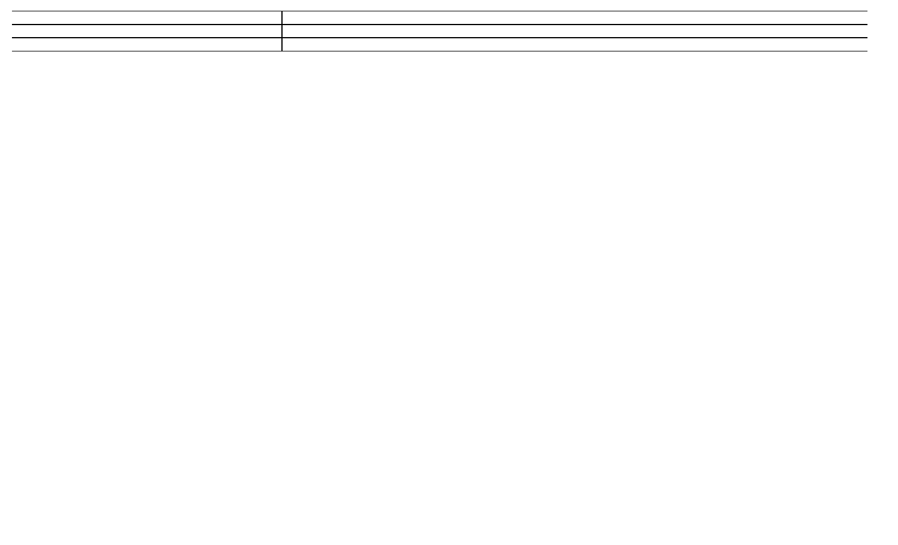| ,他们的人们就会在这里,他们的人们就会在这里,他们的人们就会在这里,他们的人们就会在这里,他们的人们就会在这里,他们的人们就会在这里,他们的人们就会在这里,他们<br>第251章 我们的人们的人们,我们的人们的人们的人们,我们的人们的人们的人们,我们的人们的人们的人们,我们的人们的人们的人们,我们的人们的人们的人们,我们的人们 |
|----------------------------------------------------------------------------------------------------------------------------------------------------------------------|
|                                                                                                                                                                      |
|                                                                                                                                                                      |
|                                                                                                                                                                      |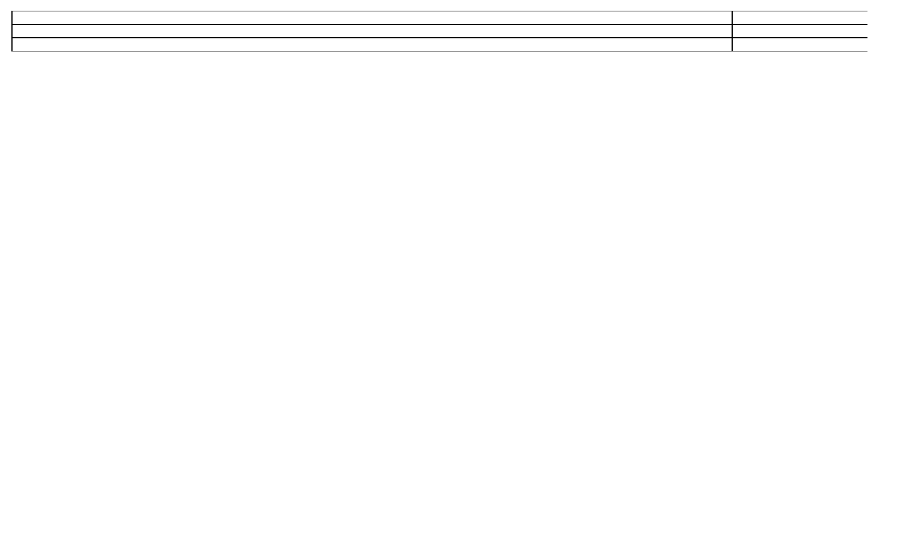| ,他们的人们就是一个人,他们的人们就是一个人,他们的人们,他们的人们就是一个人,他们的人们,他们的人们就是一个人,他们的人们,他们的人们,他们的人们,他们的人们,<br>第25章 我们的人们,他们的人们,他们的人们,他们的人们,他们的人们,他们的人们,他们的人们,他们的人们,他们的人们,他们的人们,他们的人们,他们的人们,他们的 |  |
|-----------------------------------------------------------------------------------------------------------------------------------------------------------------------|--|
| ,一个人都是一个人的人,而且,他们的人都是一个人,而且,他们的人都是一个人,而且,他们的人都是一个人,而且,他们的人都是一个人,而且,他们的人都是一个人,而且,他<br>第二百一十一章 一个人,他们的人都是一个人,他们的人都是一个人,他们的人都是一个人,他们的人都是一个人,他们的人都是一个人,他们的人都是一个人,他们的人都是一个 |  |
| ,一个人都是一个人的人,而且,他们的人都是一个人,他们的人都是一个人,他们的人都是一个人,他们的人都是一个人,他们的人都是一个人,他们的人都是一个人,他们的人都是                                                                                     |  |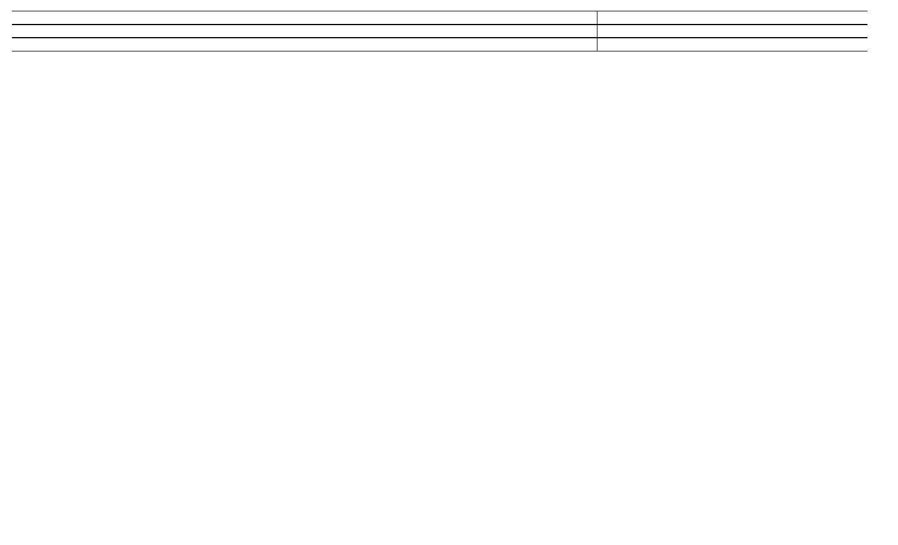| ,一个人都是一个人的人,而且,我们也不会不会不会。""我们,我们也不会不会不会不会不会不会不会不会。""我们,我们也不会不会不会不会不会不会不会不会。""我们,我<br>,他们的人们也不会不会。""我们的人们,我们也不会不会不会。""我们的人们,我们也不会不会不会。""我们的人们,我们也不会不会不会。""我们的人们,我们也不会不 |  |
|-----------------------------------------------------------------------------------------------------------------------------------------------------------------------|--|
| ,我们也不会不会不会。""我们的,我们也不会不会不会。""我们的,我们也不会不会不会不会。""我们的,我们也不会不会不会不会。""我们的,我们也不会不会不会不会                                                                                      |  |
|                                                                                                                                                                       |  |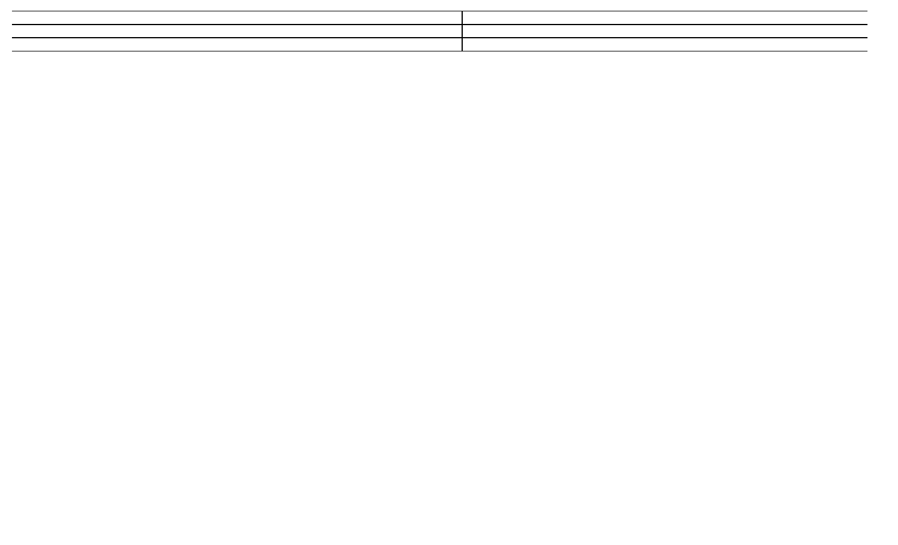| <u> 1980 - Ann an t-Aontaithe ann an t-Aontaithe ann an t-Aontaithe ann an t-Aontaithe ann an t-Aontaithe ann an t-</u> |
|-------------------------------------------------------------------------------------------------------------------------|
|                                                                                                                         |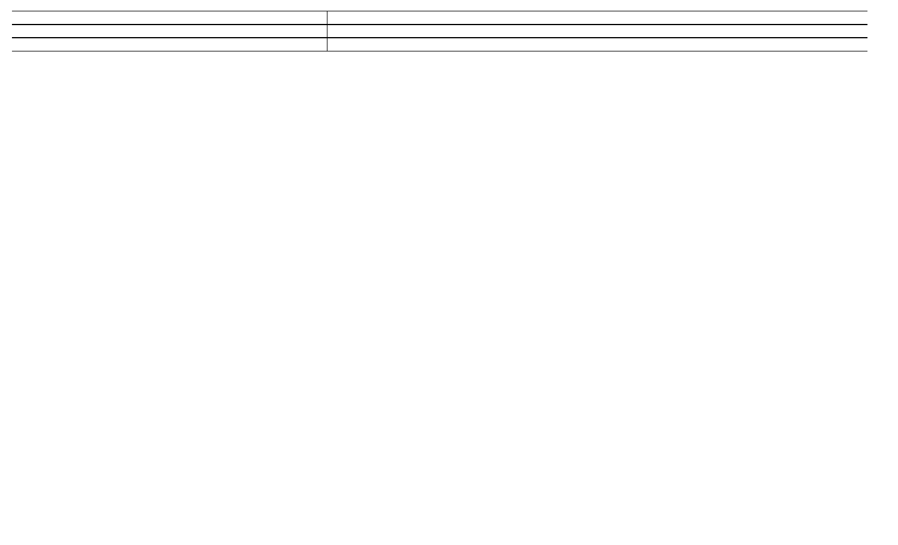| ,一个人都是一个人的人,而且,他们的人都是一个人,而且,他们的人都是一个人,而且,他们的人都是一个人,而且,他们的人都是一个人,而且,他们的人都是一个人,而且,他<br>第二十一章 一个人,他们的人都是一个人,他们的人都是一个人,他们的人都是一个人,他们的人都是一个人,他们的人都是一个人,他们的人都是一个人,他们的人都是一个人, | ,我们也不会不会。""我们的,我们也不会不会。""我们的,我们也不会不会不会。""我们的,我们也不会不会不会。""我们的,我们也不会不会不会。""我们的,我们也 |
|-----------------------------------------------------------------------------------------------------------------------------------------------------------------------|----------------------------------------------------------------------------------|
|                                                                                                                                                                       |                                                                                  |
|                                                                                                                                                                       |                                                                                  |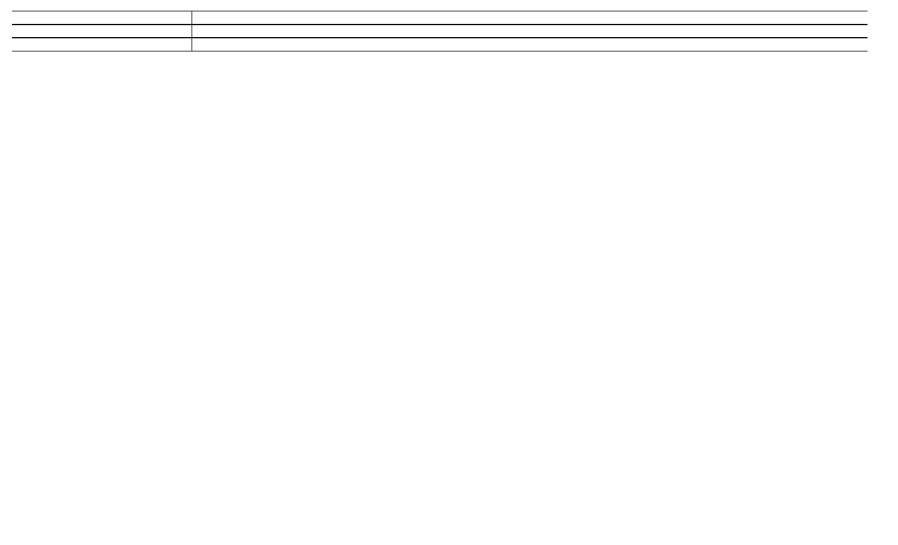| ,一个人的人都是一个人的人,而且,他们的人都是一个人的人,而且,他们的人都是一个人的人,而且,他们的人都是一个人的人,而且,他们的人都是一个人的人,而且,他们的人<br>第一百一十一章 一个人的人,他们的人都是一个人的人,他们的人都是一个人的人,他们的人都是一个人的人,他们的人都是一个人的人,他们的人都是一个人的人,他们的人都是<br>,我们就会不会不会。""我们,我们就会不会不会不会。""我们,我们就会不会不会不会不会不会。""我们,我们就会不会不会不会不会。""我们,我们就会不会不会不会不 |
|-----------------------------------------------------------------------------------------------------------------------------------------------------------------------------------------------------------------------------------------------------------|
| ,一个人都是一个人的人,而且,他们的人都是一个人,而且,他们的人都是一个人,而且,他们的人都是一个人,而且,他们的人都是一个人,而且,他们的人都是一个人,而且,他<br>第二十一章 一个人,他们的人都是一个人,他们的人都是一个人,他们的人都是一个人,他们的人都是一个人,他们的人都是一个人,他们的人都是一个人,他们的人都是一个人,                                                                                     |
|                                                                                                                                                                                                                                                           |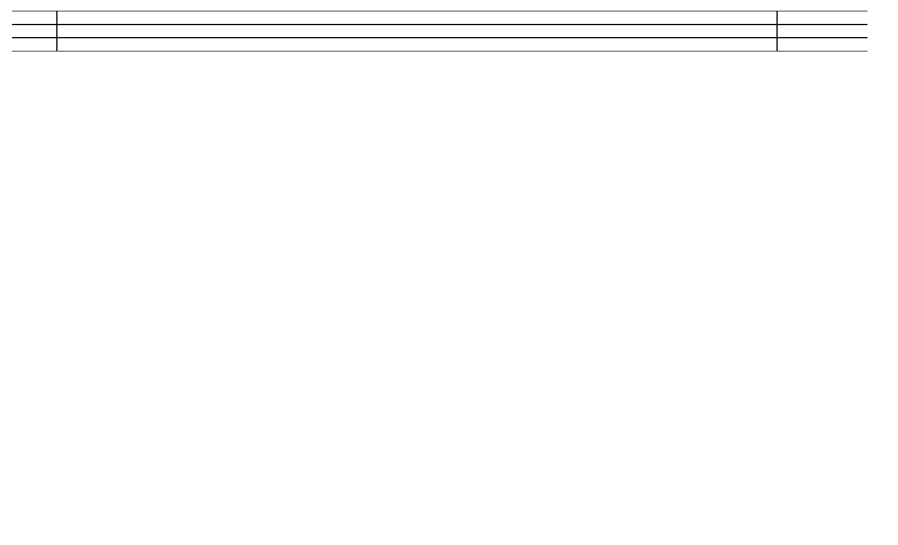| <u>та на представљен под податковата на представљен податковата на представљен податковата на представљен податк</u> |  |
|----------------------------------------------------------------------------------------------------------------------|--|
|                                                                                                                      |  |
| ,一个人都是一个人的人,一个人都是一个人的人,一个人都是一个人的人,一个人都是一个人的人,一个人都是一个人的人,一个人都是一个人的人,一个人都是一个人的人,一个人                                    |  |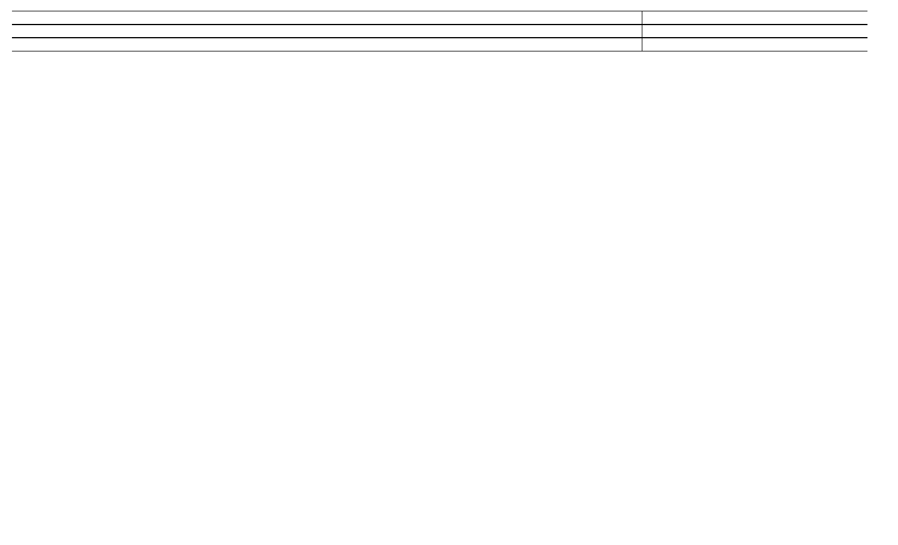| ,一个人都是一个人的人,一个人都是一个人的人,一个人都是一个人的人,一个人都是一个人的人,一个人都是一个人的人,一个人都是一个人的人,一个人都是一个人的人,一个人<br>→ South State State State State State State State State State State State State State State State State State State State State State State State State State State State State State State State State State State State St |  |
|-------------------------------------------------------------------------------------------------------------------------------------------------------------------------------------------------------------------------------------------------------------------------------------------------------------------|--|
| ,一个人的人都是一个人的人,而且,他们的人都是不是一个人的人,而且,他们的人都是不是一个人的人,而且,他们的人都是不是一个人的人,而且,他们的人都是不是一个人的<br>第一百一十一章 一个人的人,他们的人都是不是一个人的人,他们的人都是不是一个人的人,他们的人都是不是一个人的人,他们的人都是不是一个人的人,他们的人都是不是一个                                                                                                                                              |  |
| ,我们也不会不会不会。""我们的,我们也不会不会不会。""我们的,我们也不会不会不会不会不会。""我们的,我们也不会不会不会不会。""我们的,我们也不会不会不会<br>第二百一章 第二百一章 第二百一章 第二百一章 第二百一章 第二百一章 第二百一章 第二百一章 第二百一章 第二百一章 第二百一章 第二百一章 第二百一章 第二                                                                                                                                              |  |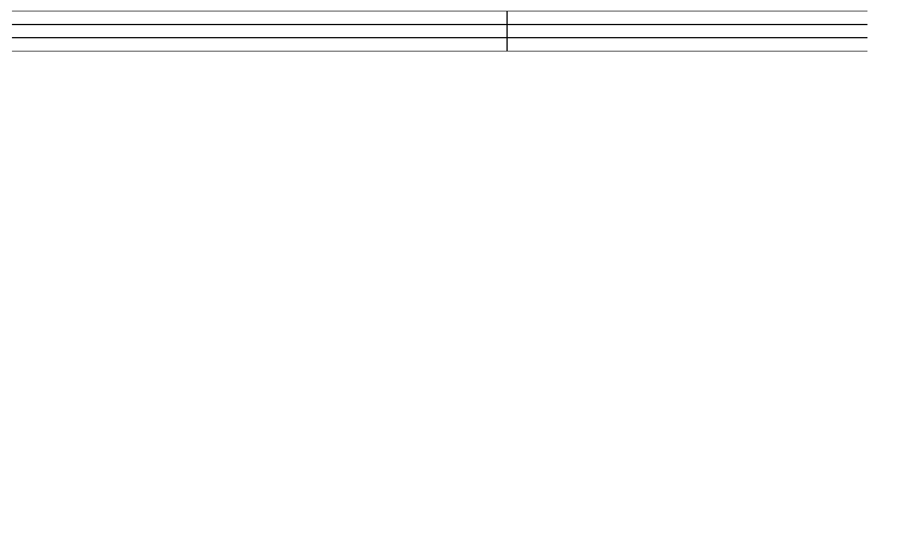| ,一个人都是一个人的人,而且,他们的人都是一个人,而且,他们的人都是一个人,而且,他们的人都是一个人,而且,他们的人都是一个人,而且,他们的人都是一个人,而且,他<br>第二十二章 第二十二章 第二十二章 第二十二章 第二十二章 第二十二章 第二十二章 第二十二章 第二十二章 第二十二章 第二十二章 第二十二章 第二十二章 第二十 |  |
|------------------------------------------------------------------------------------------------------------------------------------------------------------------------|--|
|                                                                                                                                                                        |  |
| ,一个人的人都是一个人的人,而且,他们的人都是一个人的人,而且,他们的人都是一个人的人,而且,他们的人都是一个人的人,而且,他们的人都是一个人的人,而且,他们的人                                                                                      |  |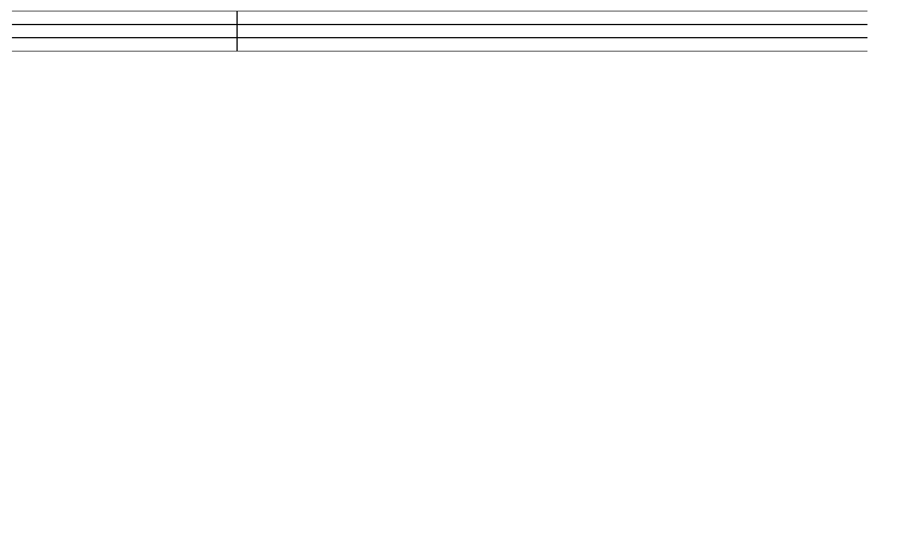| ,我们就会不会不会。""我们,我们也不会不会不会。""我们,我们也不会不会不会不会不会不会。""我们,我们也不会不会不会不会。""我们,我们也不会不会不会不会不  |
|-----------------------------------------------------------------------------------|
| ,一个人都是一个人的人,一个人都是一个人的人,一个人都是一个人的人,一个人都是一个人的人,一个人都是一个人的人,一个人都是一个人的人,一个人都是一个人的人,一个人 |
|                                                                                   |
| ,一个人都是一个人的人,而且,我们也不会不会不会。""我们,我们也不会不会不会不会。""我们,我们也不会不会不会不会。""我们,我们也不会不会不会不会。""我们, |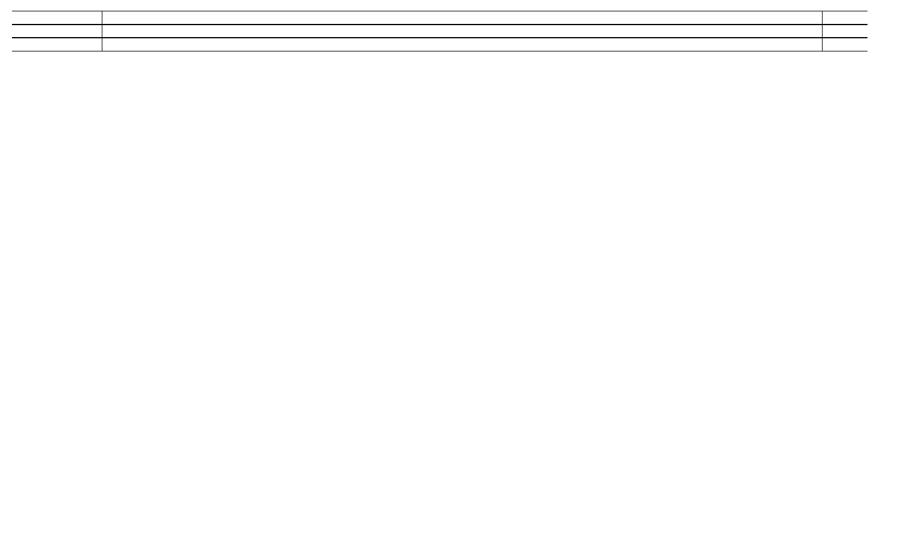| ,一个人都是一个人的人,一个人都是一个人的人,一个人都是一个人的人,一个人都是一个人的人,一个人都是一个人的人,一个人都是一个人的人,一个人都是一个人的人,一个人<br>第二十一章 一个人的人,一个人的人都是一个人的人,一个人的人都是一个人的人,一个人的人都是一个人的人,一个人的人都是一个人的人,一个人的人都是一个人的人,一个人<br>,一个人都是一个人的人,一个人都是一个人的人,一个人都是一个人的人,一个人都是一个人的人,一个人都是一个人的人,一个人都是一个人的人,一个人都是一个人的人,一个人<br>第二十一章 一个人的人,一个人的人都是一个人的人,一个人的人都是一个人的人,一个人的人都是一个人的人,一个人的人都是一个人的人,一个人的人都是一个人的人,一个人 |  |
|------------------------------------------------------------------------------------------------------------------------------------------------------------------------------------------------------------------------------------------------------------------------------------------------------------------------------------------------|--|
| ,一个人的人都是一个人的人,而且,他们的人都是一个人的人,而且,他们的人都是一个人的人,而且,他们的人都是一个人的人,而且,他们的人都是一个人的人,而且,他们的<br>第一百一十一章 一个人的人,他们的人都是一个人的人,他们的人都是一个人的人,他们的人都是一个人的人,他们的人都是一个人的人,他们的人都是一个人的人,他们的人都是                                                                                                                                                                           |  |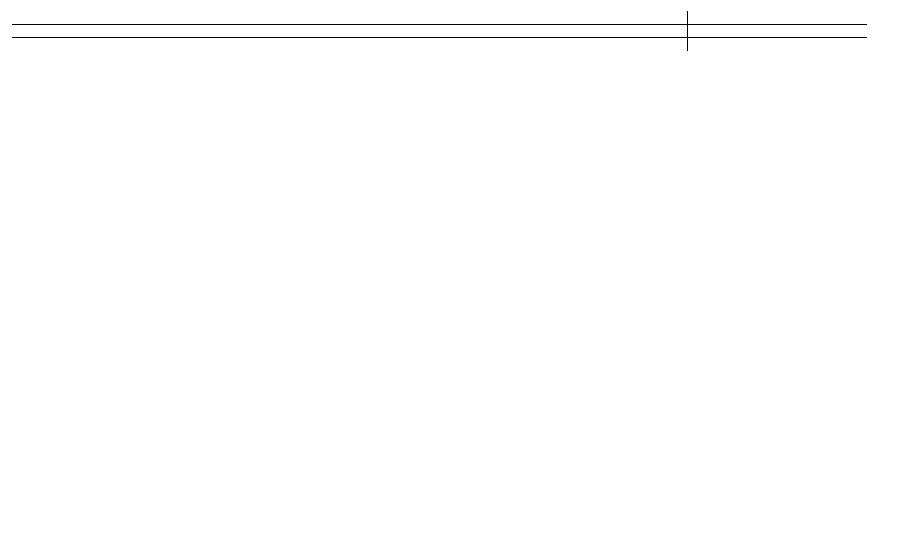| ,我们也不会不会不会。""我们的,我们也不会不会不会。""我们的,我们也不会不会不会不会不会。""我们的,我们也不会不会不会不会。""我们的,我们也不会不会不会  |  |
|-----------------------------------------------------------------------------------|--|
| ,一个人的人都是一个人的人,而且,他们的人都是一个人的人,而且,他们的人都是一个人的人,而且,他们的人都是一个人的人,而且,他们的人都是一个人的人,而且,他们的人 |  |
|                                                                                   |  |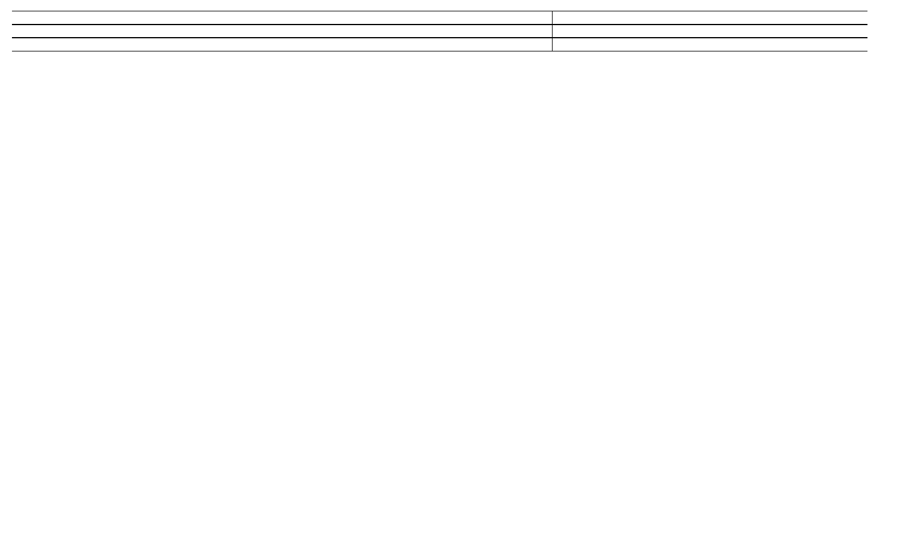| → 中国的 → 中国的 → 中国的 → 中国的 → 中国的 → 中国的 → 中国的 → 中国的 → 中国的 → 中国的 → 中国的 → 中国的 → 中国的 → 中国的 → 中国的 → 中国的 → 中国的 → 中国的 → 中国 |  |
|------------------------------------------------------------------------------------------------------------------|--|
|                                                                                                                  |  |
|                                                                                                                  |  |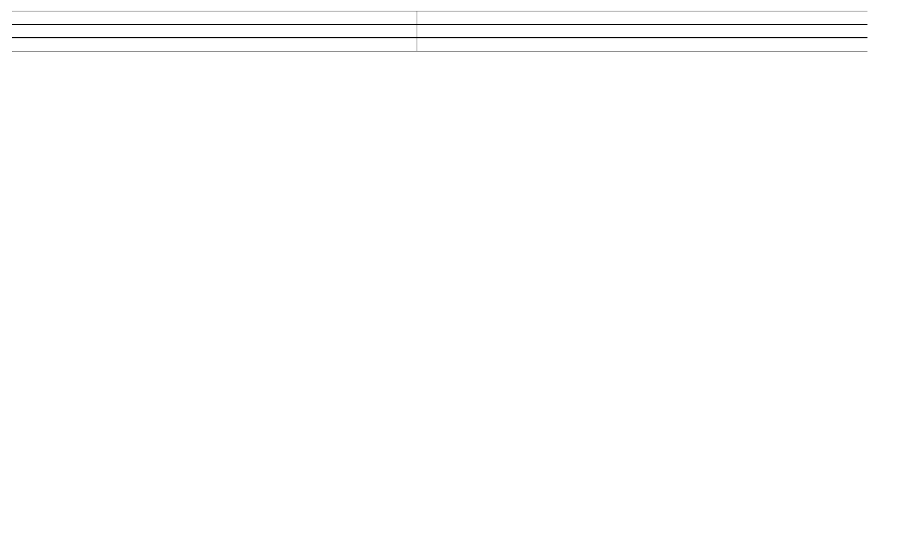| ,我们就会不会不会。""我们,我们就会不会不会不会,我们就会不会不会不会。""我们,我们就会不会不会不会。""我们,我们就会不会不会不会。""我们,我们就会不会 |                                                                                   |
|----------------------------------------------------------------------------------|-----------------------------------------------------------------------------------|
|                                                                                  | ,我们也不会不会不会。""我们的,我们也不会不会不会。""我们的,我们也不会不会不会不会。""我们的,我们也不会不会不会不会。""我们的,我们也不会不会不会不会  |
|                                                                                  | ,我们就会不会不会。""我们,我们就会不会不会,我们就会不会不会,我们就会不会不会。""我们,我们就会不会不会。""我们,我们就会不会不会不会。""我们,我们就会 |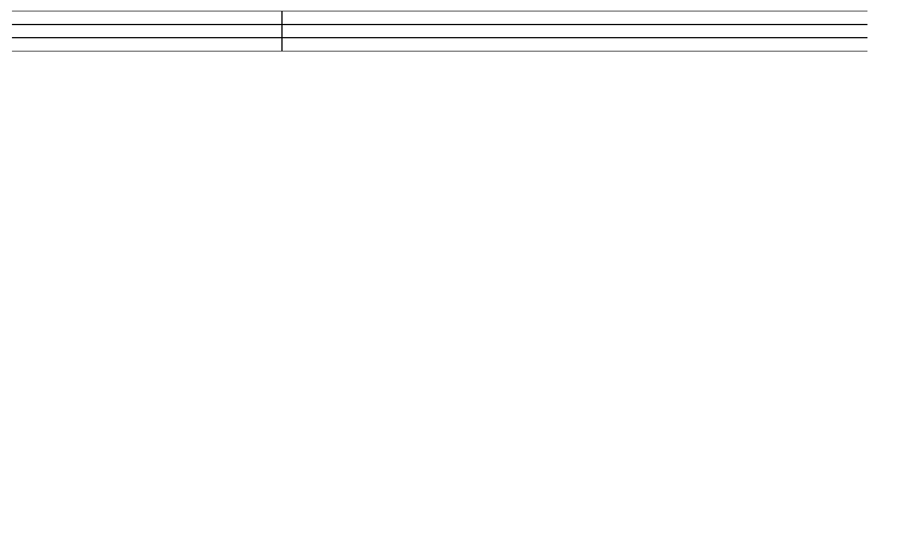| ,他们的人们就会在这里,他们的人们就会在这里,他们的人们就会在这里,他们的人们就会在这里,他们的人们就会在这里,他们的人们就会在这里,他们的人们就会在这里,他们<br>第251章 我们的人们的人们,我们的人们的人们的人们,我们的人们的人们的人们,我们的人们的人们的人们,我们的人们的人们的人们,我们的人们的人们的人们,我们的人们 |
|----------------------------------------------------------------------------------------------------------------------------------------------------------------------|
|                                                                                                                                                                      |
|                                                                                                                                                                      |
|                                                                                                                                                                      |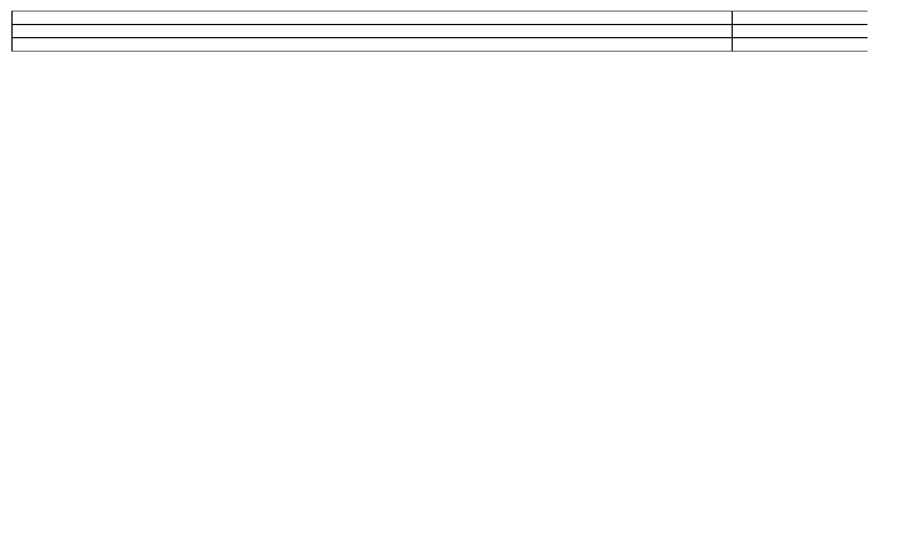| ,他们的人们就是一个人,他们的人们就是一个人,他们的人们,他们的人们就是一个人,他们的人们,他们的人们就是一个人,他们的人们,他们的人们,他们的人们,他们的人们,<br>第25章 我们的人们,他们的人们,他们的人们,他们的人们,他们的人们,他们的人们,他们的人们,他们的人们,他们的人们,他们的人们,他们的人们,他们的人们,他们的 |  |
|-----------------------------------------------------------------------------------------------------------------------------------------------------------------------|--|
| ,一个人都是一个人的人,而且,他们的人都是一个人,而且,他们的人都是一个人,而且,他们的人都是一个人,而且,他们的人都是一个人,而且,他们的人都是一个人,而且,他<br>第二百一十一章 一个人,他们的人都是一个人,他们的人都是一个人,他们的人都是一个人,他们的人都是一个人,他们的人都是一个人,他们的人都是一个人,他们的人都是一个 |  |
| ,一个人都是一个人的人,而且,他们的人都是一个人,他们的人都是一个人,他们的人都是一个人,他们的人都是一个人,他们的人都是一个人,他们的人都是一个人,他们的人都是                                                                                     |  |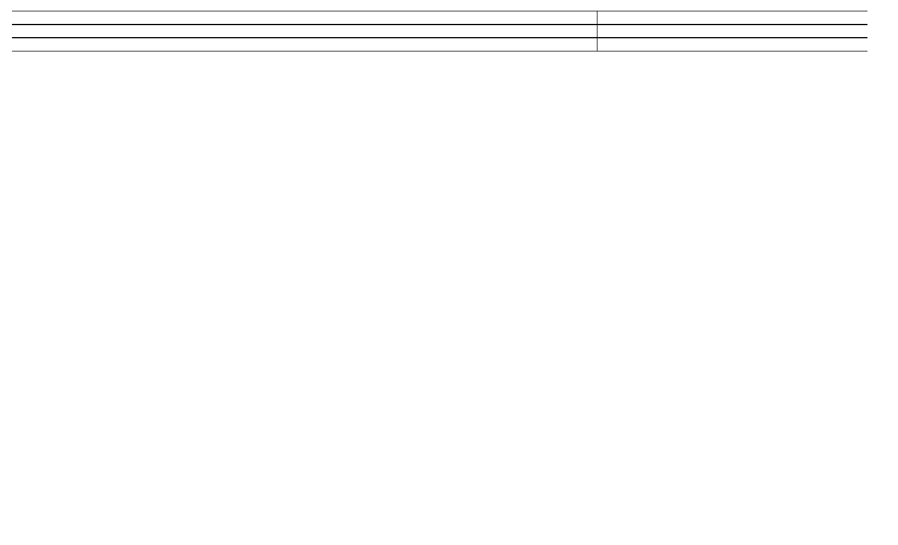| ,一个人都是一个人的人,而且,我们也不会不会不会。""我们,我们也不会不会不会不会不会不会不会不会。""我们,我们也不会不会不会不会不会不会不会不会。""我们,我<br>,他们的人们也不会不会。""我们的人们,我们也不会不会不会。""我们的人们,我们也不会不会不会。""我们的人们,我们也不会不会不会。""我们的人们,我们也不会不 |  |
|-----------------------------------------------------------------------------------------------------------------------------------------------------------------------|--|
| ,我们也不会不会不会。""我们的,我们也不会不会不会。""我们的,我们也不会不会不会不会。""我们的,我们也不会不会不会不会。""我们的,我们也不会不会不会不会                                                                                      |  |
|                                                                                                                                                                       |  |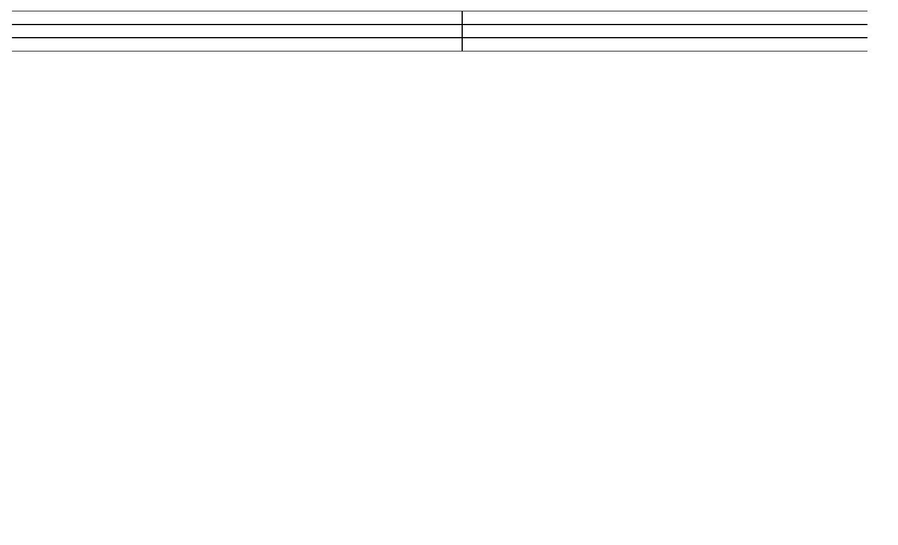| <u> 1980 - Ann an t-Aontaithe ann an t-Aontaithe ann an t-Aontaithe ann an t-Aontaithe ann an t-Aontaithe ann an t-</u> |
|-------------------------------------------------------------------------------------------------------------------------|
|                                                                                                                         |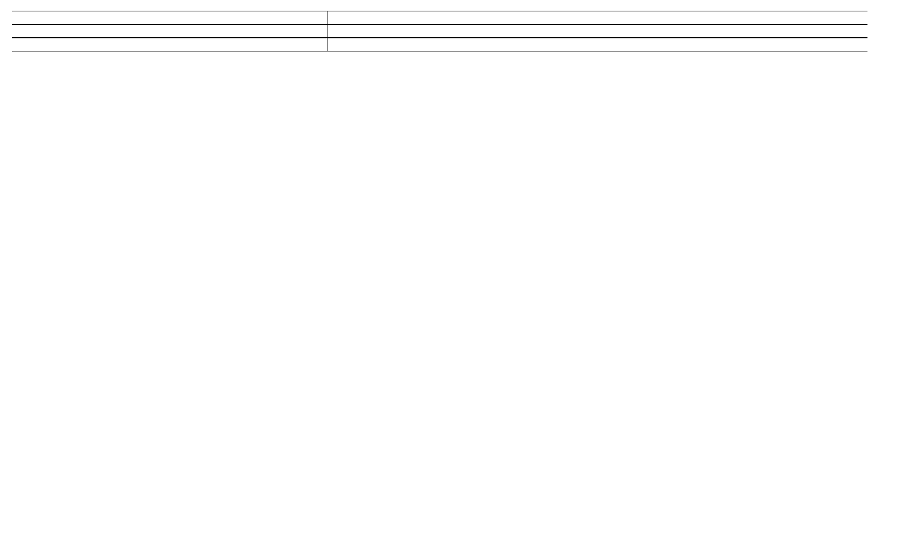| ,一个人都是一个人的人,而且,他们的人都是一个人,而且,他们的人都是一个人,而且,他们的人都是一个人,而且,他们的人都是一个人,而且,他们的人都是一个人,而且,他<br>第二十一章 一个人,他们的人都是一个人,他们的人都是一个人,他们的人都是一个人,他们的人都是一个人,他们的人都是一个人,他们的人都是一个人,他们的人都是一个人, | ,我们也不会不会。""我们的,我们也不会不会。""我们的,我们也不会不会不会。""我们的,我们也不会不会不会。""我们的,我们也不会不会不会。""我们的,我们也 |
|-----------------------------------------------------------------------------------------------------------------------------------------------------------------------|----------------------------------------------------------------------------------|
|                                                                                                                                                                       |                                                                                  |
|                                                                                                                                                                       |                                                                                  |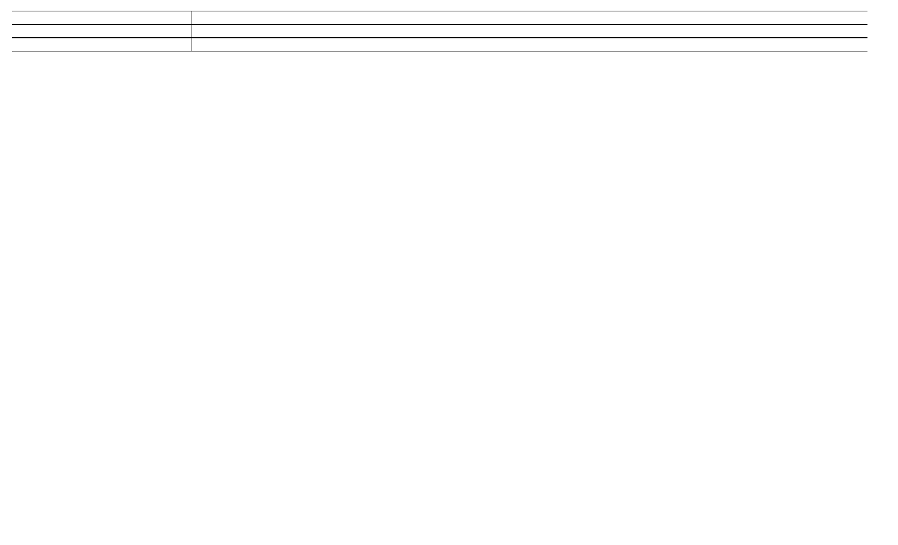| ,一个人的人都是一个人的人,而且,他们的人都是一个人的人,而且,他们的人都是一个人的人,而且,他们的人都是一个人的人,而且,他们的人都是一个人的人,而且,他们的人<br>第一百一十一章 一个人的人,他们的人都是一个人的人,他们的人都是一个人的人,他们的人都是一个人的人,他们的人都是一个人的人,他们的人都是一个人的人,他们的人都是<br>,我们就会不会不会。""我们,我们就会不会不会不会。""我们,我们就会不会不会不会不会不会。""我们,我们就会不会不会不会不会。""我们,我们就会不会不会不会不 |
|-----------------------------------------------------------------------------------------------------------------------------------------------------------------------------------------------------------------------------------------------------------|
| ,一个人都是一个人的人,而且,他们的人都是一个人,而且,他们的人都是一个人,而且,他们的人都是一个人,而且,他们的人都是一个人,而且,他们的人都是一个人,而且,他<br>第二十一章 一个人,他们的人都是一个人,他们的人都是一个人,他们的人都是一个人,他们的人都是一个人,他们的人都是一个人,他们的人都是一个人,他们的人都是一个人,                                                                                     |
|                                                                                                                                                                                                                                                           |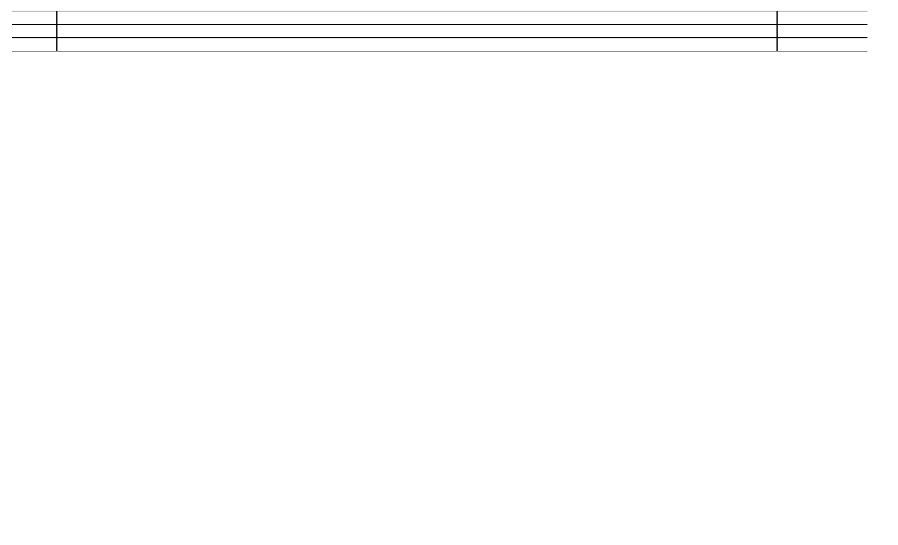| <u>та на представљен под податковата на представљен податковата на представљен податковата на представљен податк</u> |  |
|----------------------------------------------------------------------------------------------------------------------|--|
|                                                                                                                      |  |
| ,一个人都是一个人的人,一个人都是一个人的人,一个人都是一个人的人,一个人都是一个人的人,一个人都是一个人的人,一个人都是一个人的人,一个人都是一个人的人,一个人                                    |  |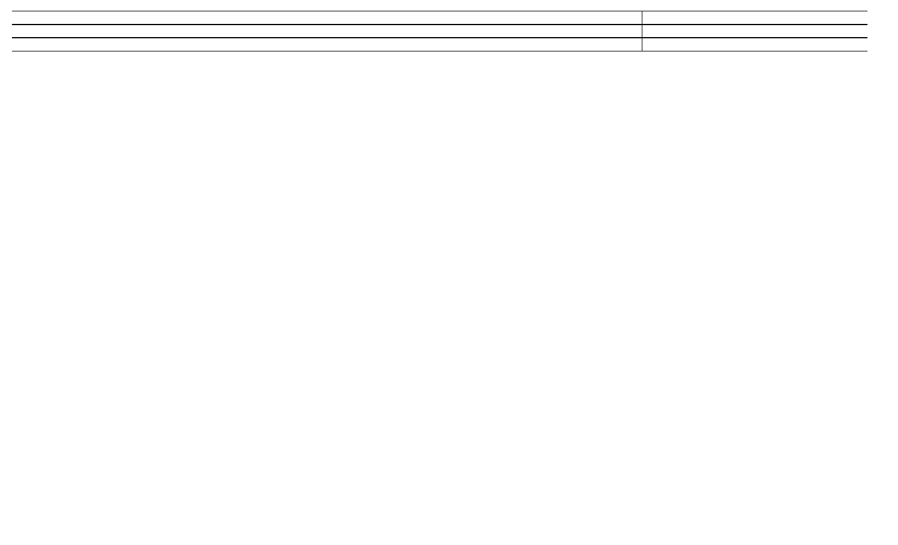| ,一个人都是一个人的人,一个人都是一个人的人,一个人都是一个人的人,一个人都是一个人的人,一个人都是一个人的人,一个人都是一个人的人,一个人都是一个人的人,一个人<br>→ South State State State State State State State State State State State State State State State State State State State State State State State State State State State State State State State State State State State St |  |
|-------------------------------------------------------------------------------------------------------------------------------------------------------------------------------------------------------------------------------------------------------------------------------------------------------------------|--|
| ,一个人的人都是一个人的人,而且,他们的人都是不能的。""我们的人,我们的人都是不能的人,我们的人都是不能的人,我们的人都是不能的人,我们的人都是不能的人,我们的<br>第一百一十一章 一个人的人,我们的人都是不能的人,我们的人都是不能的人,我们的人都是不能的人,我们的人都是不能的人,我们的人都是不能的人,我们的人都是不能的人,                                                                                                                                             |  |
| ,我们也不会不会不会。""我们的,我们也不会不会不会。""我们的,我们也不会不会不会不会不会。""我们的,我们也不会不会不会不会。""我们的,我们也不会不会不会<br>第二百一章 第二百一章 第二百一章 第二百一章 第二百一章 第二百一章 第二百一章 第二百一章 第二百一章 第二百一章 第二百一章 第二百一章 第二百一章 第二                                                                                                                                              |  |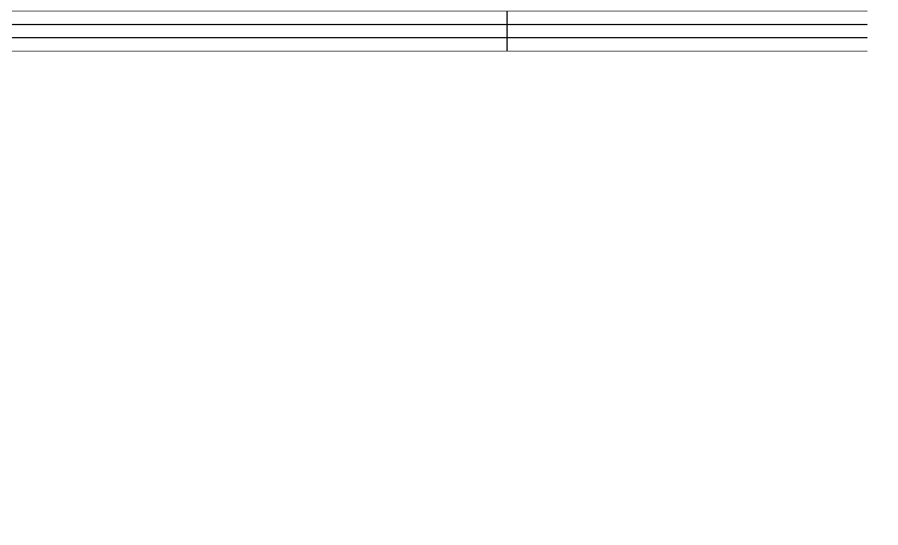| ,一个人都是一个人的人,而且,他们的人都是一个人,而且,他们的人都是一个人,而且,他们的人都是一个人,而且,他们的人都是一个人,而且,他们的人都是一个人,而且,他<br>第二十二章 第二十二章 第二十二章 第二十二章 第二十二章 第二十二章 第二十二章 第二十二章 第二十二章 第二十二章 第二十二章 第二十二章 第二十二章 第二十 |  |
|------------------------------------------------------------------------------------------------------------------------------------------------------------------------|--|
|                                                                                                                                                                        |  |
| ,一个人的人都是一个人的人,而且,他们的人都是一个人的人,而且,他们的人都是一个人的人,而且,他们的人都是一个人的人,而且,他们的人都是一个人的人,而且,他们的人                                                                                      |  |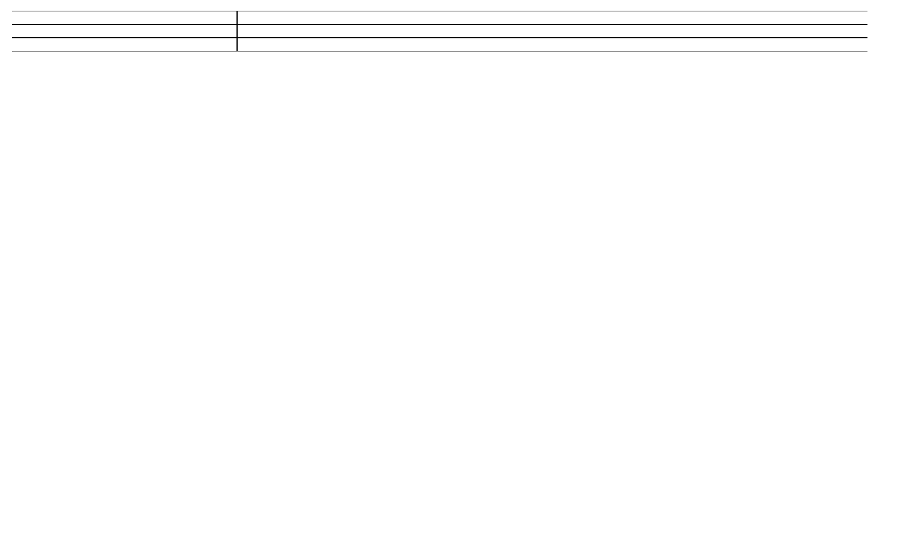| ,我们就会不会不会。""我们,我们也不会不会不会。""我们,我们也不会不会不会不会不会不会。""我们,我们也不会不会不会不会。""我们,我们也不会不会不会不会不  |
|-----------------------------------------------------------------------------------|
| ,一个人都是一个人的人,一个人都是一个人的人,一个人都是一个人的人,一个人都是一个人的人,一个人都是一个人的人,一个人都是一个人的人,一个人都是一个人的人,一个人 |
|                                                                                   |
| ,一个人都是一个人的人,而且,我们也不会不会不会。""我们,我们也不会不会不会不会。""我们,我们也不会不会不会不会。""我们,我们也不会不会不会不会。""我们, |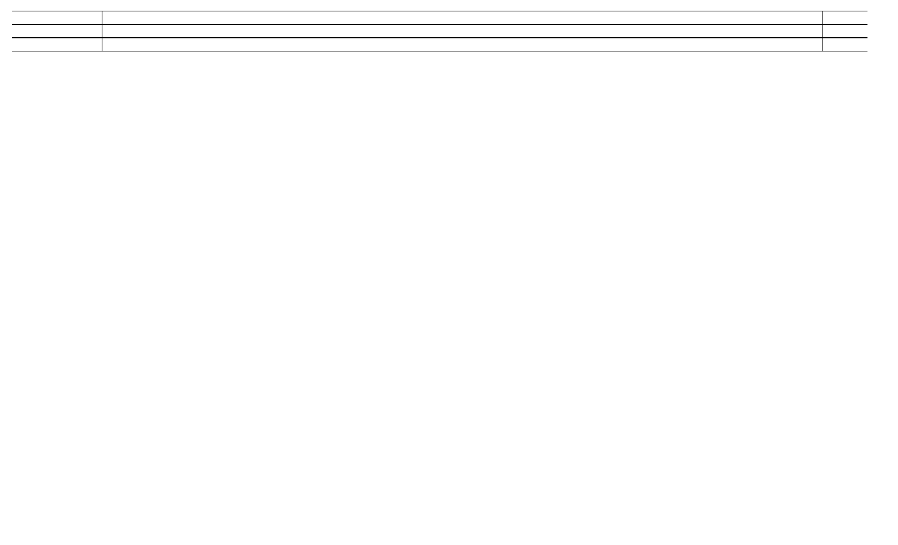| ,一个人都是一个人的人,一个人都是一个人的人,一个人都是一个人的人,一个人都是一个人的人,一个人都是一个人的人,一个人都是一个人的人,一个人都是一个人的人,一个人<br>第二十一章 一个人的人,一个人的人都是一个人的人,一个人的人都是一个人的人,一个人的人都是一个人的人,一个人的人都是一个人的人,一个人的人都是一个人的人,一个人<br>,一个人都是一个人的人,一个人都是一个人的人,一个人都是一个人的人,一个人都是一个人的人,一个人都是一个人的人,一个人都是一个人的人,一个人都是一个人的人,一个人<br>第二十一章 一个人的人,一个人都是一个人的人,一个人都是一个人的人,一个人都是一个人的人,一个人都是一个人的人,一个人都是一个人的人,一个人都是一个人的人,一个 |  |
|------------------------------------------------------------------------------------------------------------------------------------------------------------------------------------------------------------------------------------------------------------------------------------------------------------------------------------------------|--|
| ,一个人的人都是一个人的人,而且,他们的人都是一个人的人,而且,他们的人都是一个人的人,而且,他们的人都是一个人的人,而且,他们的人都是一个人的人,而且,他们的<br>第一百一十一章 一个人的人,他们的人都是一个人的人,他们的人都是一个人的人,他们的人都是一个人的人,他们的人都是一个人的人,他们的人都是一个人的人,他们的人都是                                                                                                                                                                           |  |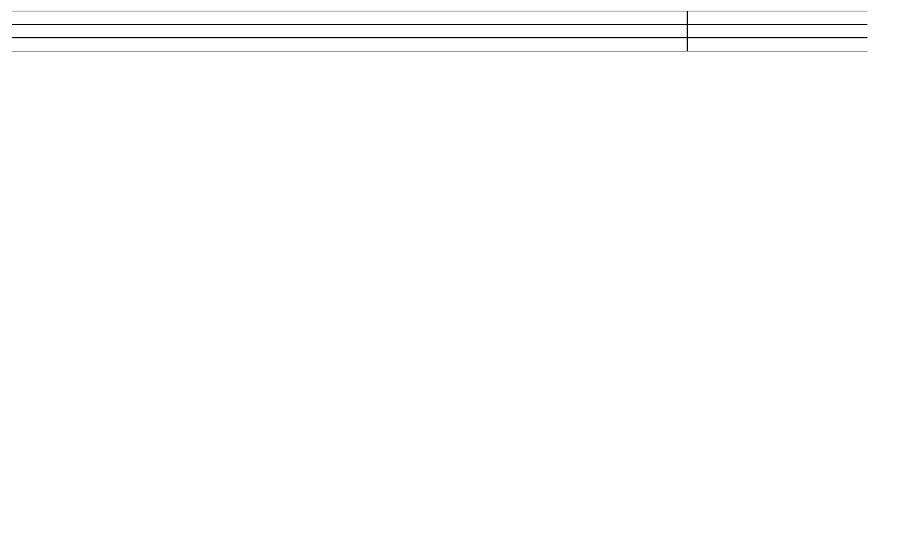| ,我们就会不会不会。""我们,我们也不会不会不会。""我们,我们也不会不会不会不会不会不会不会。""我们,我们也不会不会不会不会不会。""我们,我们也不会不会不 |  |
|----------------------------------------------------------------------------------|--|
| ,一个人的人都是一个人的人,而且,我们也不会不会不会。""我们,我们也不会不会不会不会不会不会。""我们,我们也不会不会不会不会。""我们,我们也不会不会不会不 |  |
|                                                                                  |  |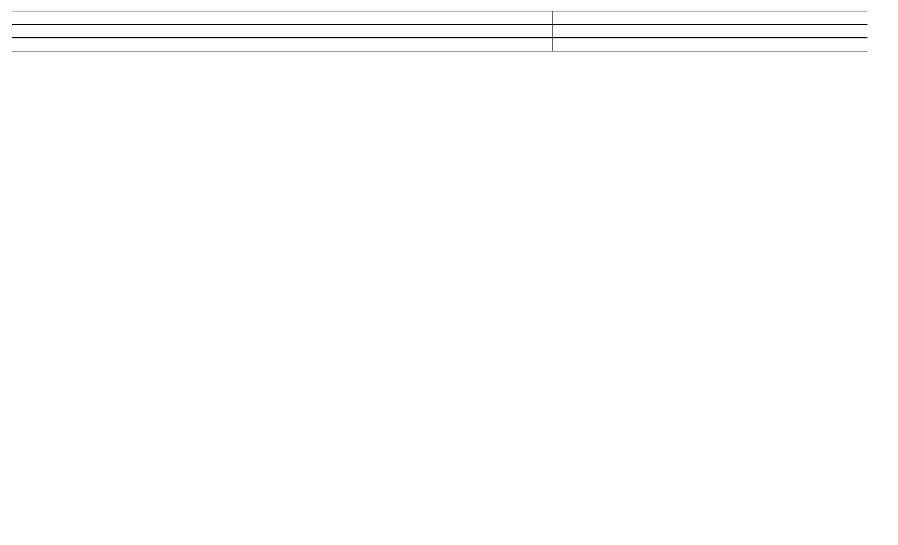| → 中国的 → 中国的 → 中国的 → 中国的 → 中国的 → 中国的 → 中国的 → 中国的 → 中国的 → 中国的 → 中国的 → 中国的 → 中国的 → 中国的 → 中国的 → 中国的 → 中国的 → 中国的 → 中国 |  |
|------------------------------------------------------------------------------------------------------------------|--|
|                                                                                                                  |  |
|                                                                                                                  |  |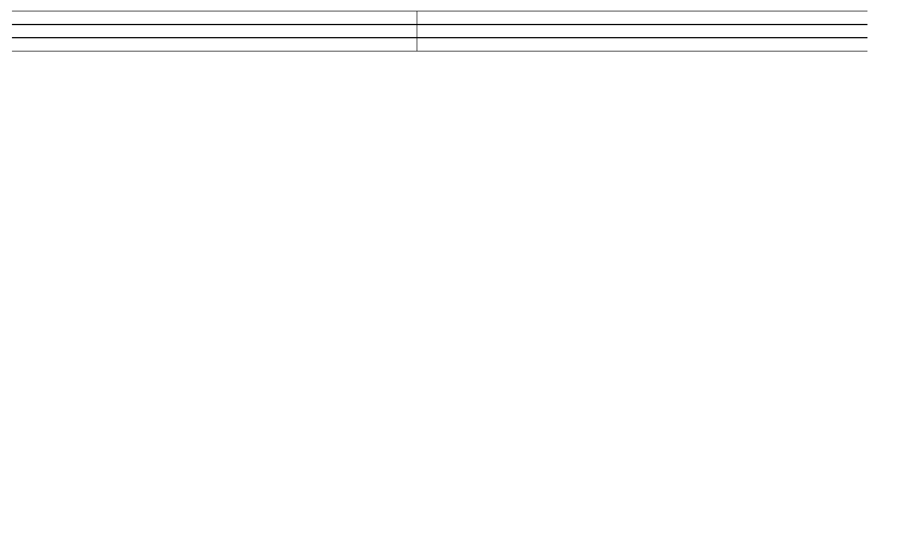| ,我们就会不会不会。""我们,我们就会不会不会不会,我们就会不会不会不会。""我们,我们就会不会不会不会。""我们,我们就会不会不会不会。""我们,我们就会不会 |                                                                                   |
|----------------------------------------------------------------------------------|-----------------------------------------------------------------------------------|
|                                                                                  | ,我们也不会不会不会。""我们的,我们也不会不会不会。""我们的,我们也不会不会不会不会。""我们的,我们也不会不会不会不会。""我们的,我们也不会不会不会不会  |
|                                                                                  | ,我们就会不会不会。""我们,我们就会不会不会,我们就会不会不会,我们就会不会不会。""我们,我们就会不会不会。""我们,我们就会不会不会不会。""我们,我们就会 |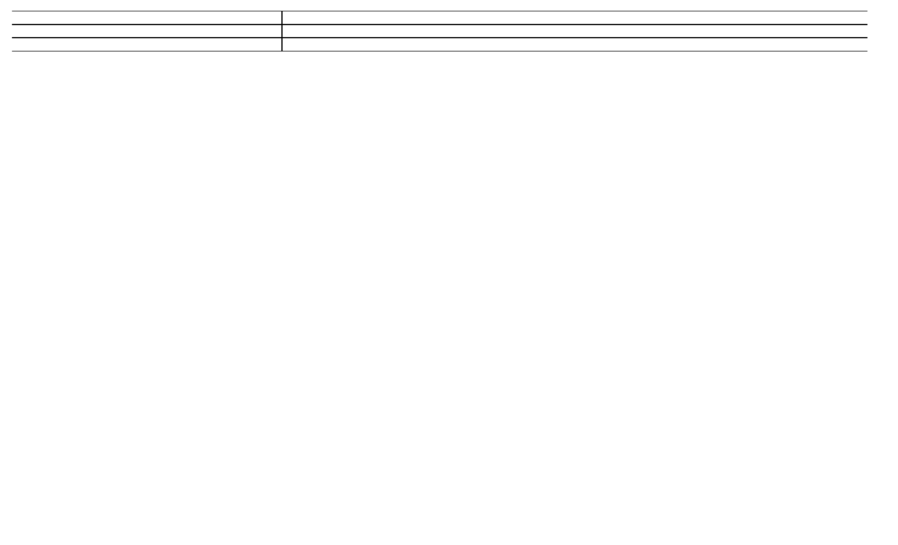| ,一个人都是一个人的人,我们就是一个人的人,我们就是一个人的人,我们就是一个人的人,我们就是一个人的人,我们就是一个人的人,我们就是一个人的人,我们就是一个人的<br>第一百一十一章 一个人的人,我们就是一个人的人,我们就是一个人的人,我们就是一个人的人,我们就是一个人的人,我们就是一个人的人,我们就是一个人的人,我们就是一个 |
|----------------------------------------------------------------------------------------------------------------------------------------------------------------------|
|                                                                                                                                                                      |
|                                                                                                                                                                      |
|                                                                                                                                                                      |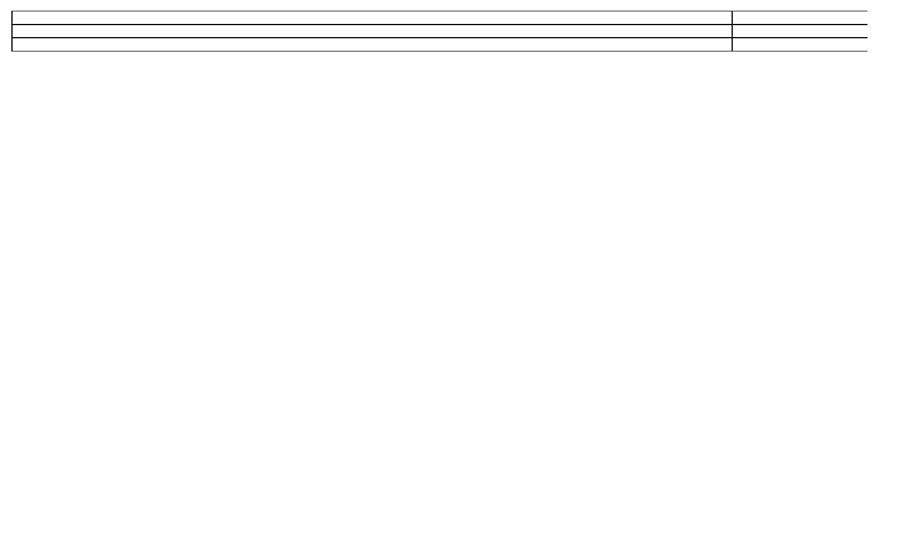| ,他们的人们就是一个人,他们的人们就是一个人,他们的人们,他们的人们就是一个人,他们的人们,他们的人们就是一个人,他们的人们,他们的人们,他们的人们,他们的人们,<br>第25章 我们的人们,他们的人们,他们的人们,他们的人们,他们的人们,他们的人们,他们的人们,他们的人们,他们的人们,他们的人们,他们的人们,他们的人们,他们的 |  |
|-----------------------------------------------------------------------------------------------------------------------------------------------------------------------|--|
| ,一个人都是一个人的人,而且,他们的人都是一个人,而且,他们的人都是一个人,而且,他们的人都是一个人,而且,他们的人都是一个人,而且,他们的人都是一个人,而且,他<br>第二百一十一章 一个人,他们的人都是一个人,他们的人都是一个人,他们的人都是一个人,他们的人都是一个人,他们的人都是一个人,他们的人都是一个人,他们的人都是一个 |  |
| ,一个人都是一个人的人,而且,他们的人都是一个人,他们的人都是一个人,他们的人都是一个人,他们的人都是一个人,他们的人都是一个人,他们的人都是一个人,他们的人都是                                                                                     |  |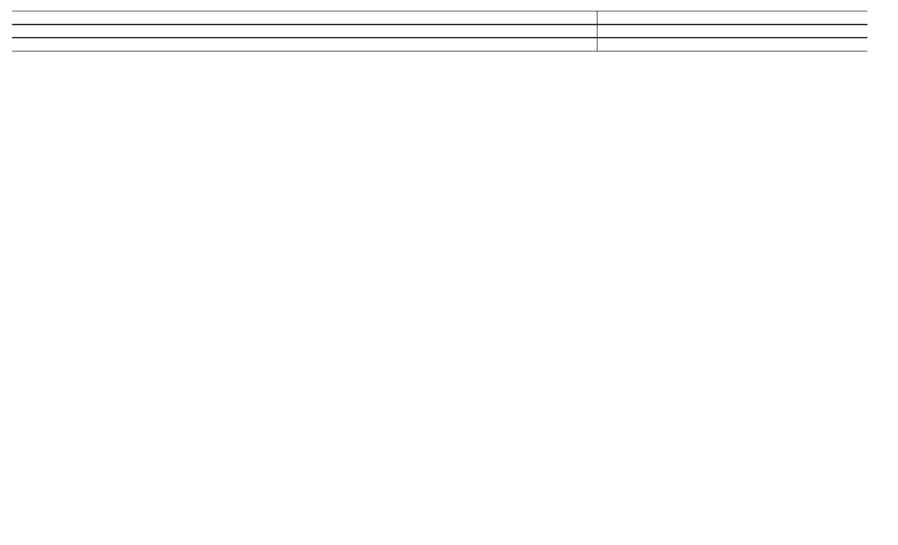| ,一个人都是一个人的人,而且,我们也不会不会不会。""我们,我们也不会不会不会不会不会不会不会不会。""我们,我们也不会不会不会不会不会不会不会不会。""我们,我<br>,他们的人们也不会不会。""我们的人们,我们也不会不会不会。""我们的人们,我们也不会不会不会。""我们的人们,我们也不会不会不会。""我们的人们,我们也不会不 |  |
|-----------------------------------------------------------------------------------------------------------------------------------------------------------------------|--|
| ,我们也不会不会不会。""我们的,我们也不会不会不会。""我们的,我们也不会不会不会不会。""我们的,我们也不会不会不会不会。""我们的,我们也不会不会不会不会                                                                                      |  |
|                                                                                                                                                                       |  |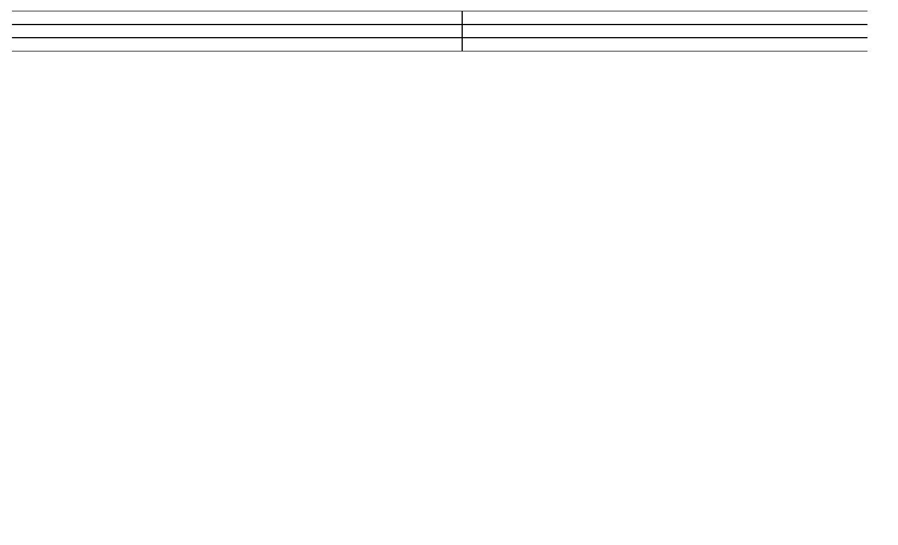| <u> 2001 - An t-An Aontaithe ann an t-Aontaithe ann an t-Aontaithe ann an t-Aontaithe ann an t-Aontaithe ann an t-</u> |
|------------------------------------------------------------------------------------------------------------------------|
|                                                                                                                        |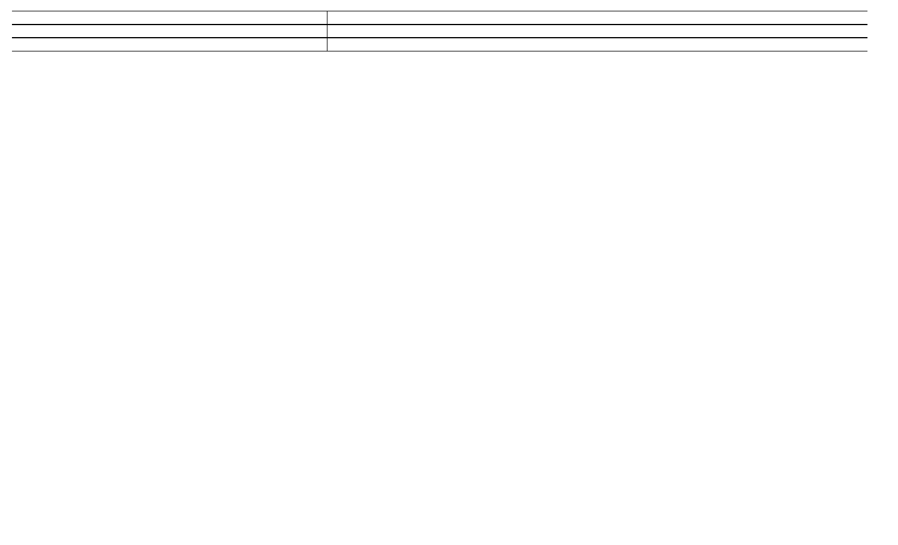| ,一个人都是一个人的人,而且,他们的人都是一个人,而且,他们的人都是一个人,而且,他们的人都是一个人,而且,他们的人都是一个人,而且,他们的人都是一个人,而且,他<br>第二十一章 一个人,他们的人都是一个人,他们的人都是一个人,他们的人都是一个人,他们的人都是一个人,他们的人都是一个人,他们的人都是一个人,他们的人都是一个人, | ,我们也不会不会。""我们的,我们也不会不会。""我们的,我们也不会不会不会。""我们的,我们也不会不会不会。""我们的,我们也不会不会不会。""我们的,我们也 |
|-----------------------------------------------------------------------------------------------------------------------------------------------------------------------|----------------------------------------------------------------------------------|
|                                                                                                                                                                       |                                                                                  |
|                                                                                                                                                                       |                                                                                  |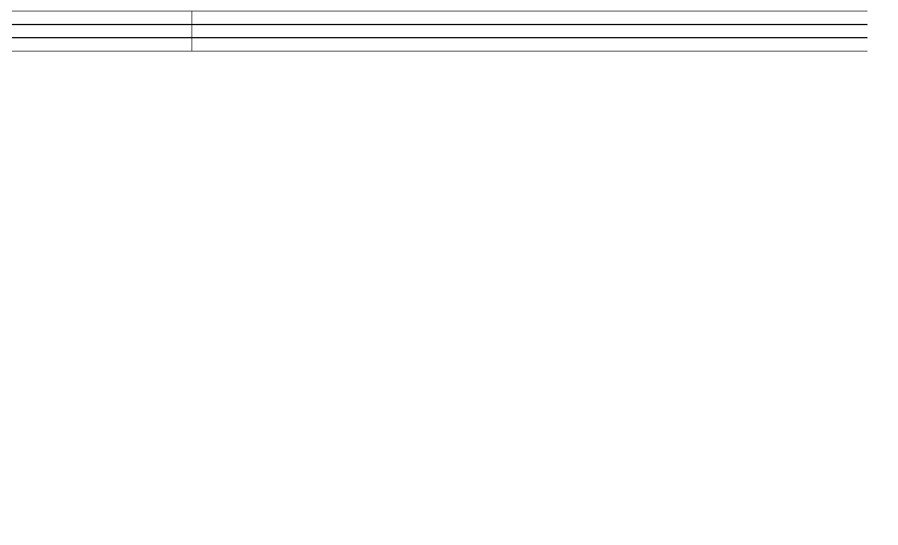| ,一个人的人都是一个人的人,而且,他们的人都是一个人的人,而且,他们的人都是一个人的人,而且,他们的人都是一个人的人,而且,他们的人都是一个人的人,而且,他们的人<br>第一百一十一章 一个人的人,他们的人都是一个人的人,他们的人都是一个人的人,他们的人都是一个人的人,他们的人都是一个人的人,他们的人都是一个人的人,他们的人都是<br>,我们就会不会不会。""我们,我们就会不会不会不会。""我们,我们就会不会不会不会不会不会。""我们,我们就会不会不会不会不会。""我们,我们就会不会不会不会不 |
|-----------------------------------------------------------------------------------------------------------------------------------------------------------------------------------------------------------------------------------------------------------|
| ,一个人都是一个人的人,而且,他们的人都是一个人,而且,他们的人都是一个人,而且,他们的人都是一个人,而且,他们的人都是一个人,而且,他们的人都是一个人,而且,他<br>第二十一章 一个人,他们的人都是一个人,他们的人都是一个人,他们的人都是一个人,他们的人都是一个人,他们的人都是一个人,他们的人都是一个人,他们的人都是一个人,                                                                                     |
|                                                                                                                                                                                                                                                           |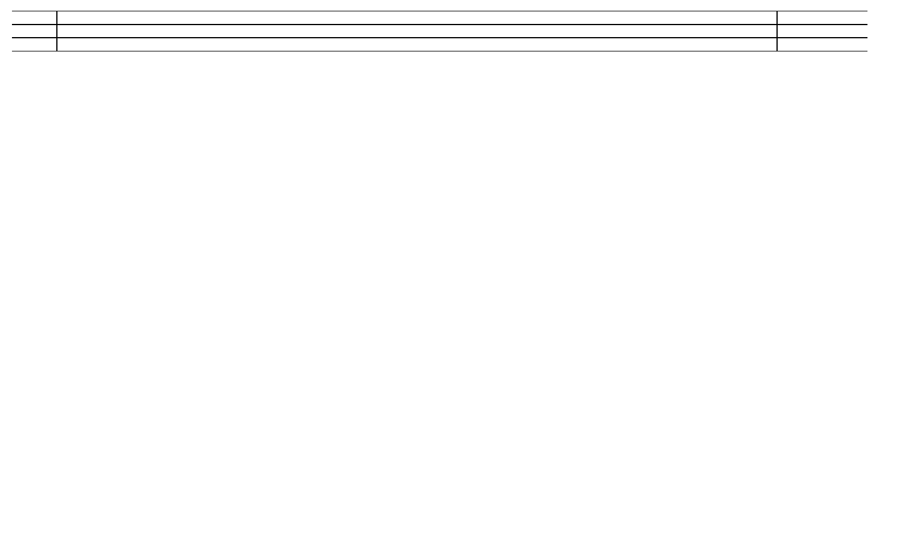| <u>та на представљен под податковата на представљен податковата на представљен податковата на представљен податк</u> |  |
|----------------------------------------------------------------------------------------------------------------------|--|
|                                                                                                                      |  |
| ,一个人都是一个人的人,一个人都是一个人的人,一个人都是一个人的人,一个人都是一个人的人,一个人都是一个人的人,一个人都是一个人的人,一个人都是一个人的人,一个人                                    |  |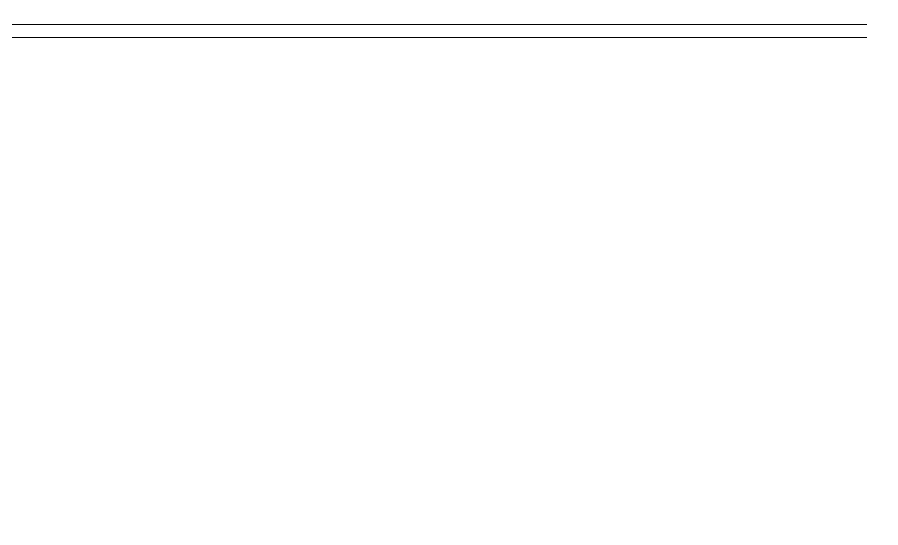| ,一个人都是一个人的人,一个人都是一个人的人,一个人都是一个人的人,一个人都是一个人的人,一个人都是一个人的人,一个人都是一个人的人,一个人都是一个人的人,一个人<br>→ South State State State State State State State State State State State State State State State State State State State State State State State State State State State State State State State State State State State St |  |
|-------------------------------------------------------------------------------------------------------------------------------------------------------------------------------------------------------------------------------------------------------------------------------------------------------------------|--|
| ,一个人的人都是一个人的人,而且,他们的人都是不是一个人的人,而且,他们的人都是不是一个人的人,而且,他们的人都是不是一个人的人,而且,他们的人都是不是一个人的<br>第一百一十一章 一个人的人,他们的人都是不是一个人的人,他们的人都是不是一个人的人,他们的人都是不是一个人的人,他们的人都是不是一个人的人,他们的人都是不是一个                                                                                                                                              |  |
| ,我们也不会不会不会。""我们的,我们也不会不会不会。""我们的,我们也不会不会不会不会不会。""我们的,我们也不会不会不会不会。""我们的,我们也不会不会不会<br>第二百一章 第二百一章 第二百一章 第二百一章 第二百一章 第二百一章 第二百一章 第二百一章 第二百一章 第二百一章 第二百一章 第二百一章 第二百一章 第二                                                                                                                                              |  |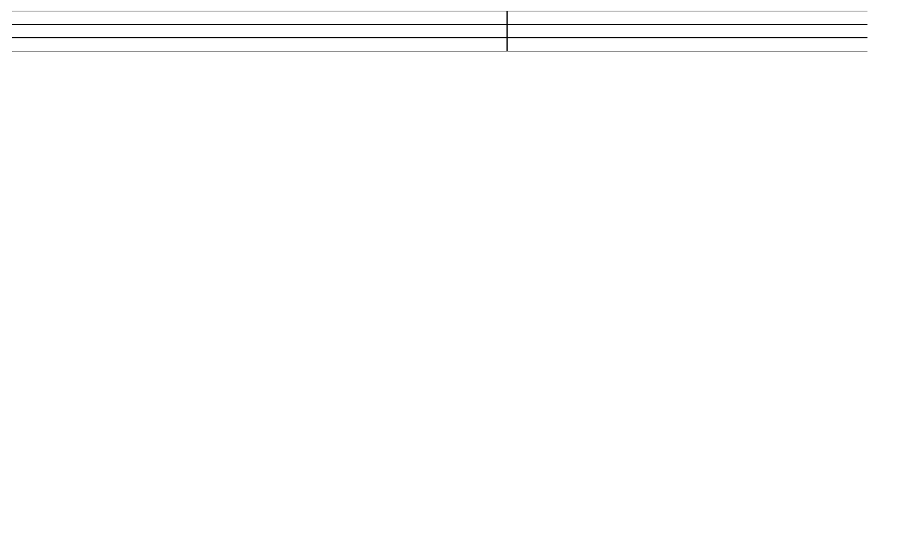| ,一个人都是一个人的人,而且,他们的人都是一个人,而且,他们的人都是一个人,而且,他们的人都是一个人,而且,他们的人都是一个人,而且,他们的人都是一个人,而且,他<br>第二十二章 第二十二章 第二十二章 第二十二章 第二十二章 第二十二章 第二十二章 第二十二章 第二十二章 第二十二章 第二十二章 第二十二章 第二十二章 第二十 |  |
|------------------------------------------------------------------------------------------------------------------------------------------------------------------------|--|
|                                                                                                                                                                        |  |
| ,我们就会不会不会。""我们的,我们也不会不会不会。""我们的,我们也不会不会不会不会不会。""我们的,我们也不会不会不会不会。""我们的,我们也不会不会不会不                                                                                       |  |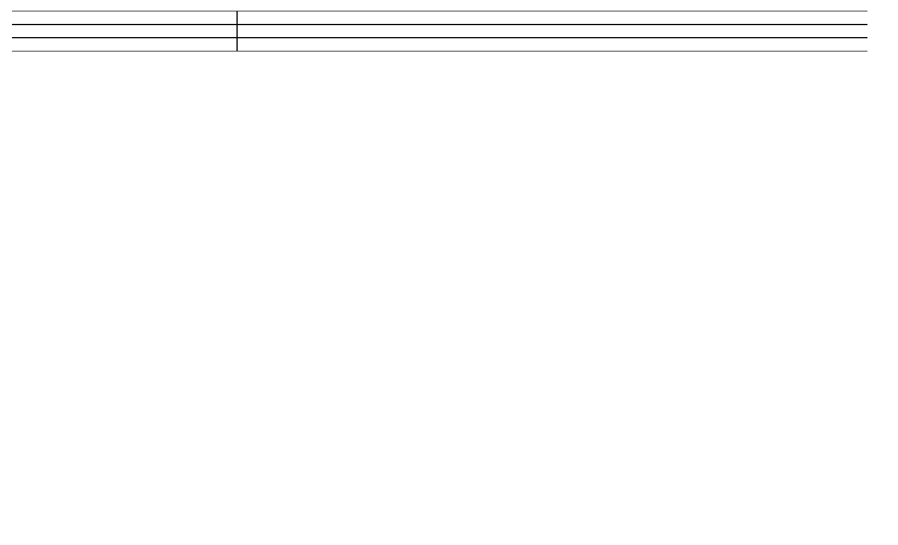| ,我们就会不会不会。""我们,我们也不会不会不会。""我们,我们也不会不会不会不会不会不会。""我们,我们也不会不会不会不会。""我们,我们也不会不会不会不会不  |
|-----------------------------------------------------------------------------------|
| ,一个人都是一个人的人,一个人都是一个人的人,一个人都是一个人的人,一个人都是一个人的人,一个人都是一个人的人,一个人都是一个人的人,一个人都是一个人的人,一个人 |
|                                                                                   |
| ,一个人都是一个人的人,而且,我们也不会不会不会。""我们,我们也不会不会不会不会不会不会不会。""我们,我们也不会不会不会不会不会不会不会不会。""我们,我们  |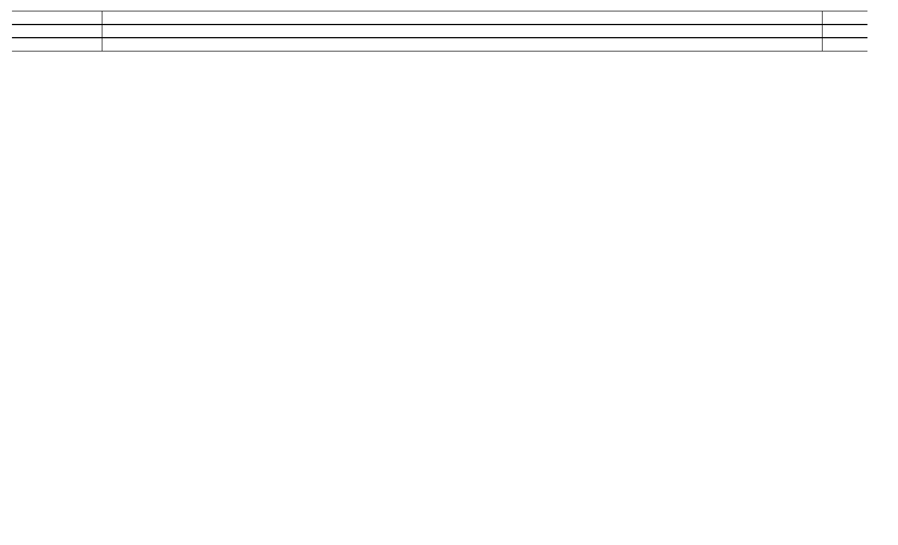| ,一个人都是一个人的人,一个人都是一个人的人,一个人都是一个人的人,一个人都是一个人的人,一个人都是一个人的人,一个人都是一个人的人,一个人都是一个人的人,一个人<br>第二十一章 一个人的人,一个人的人都是一个人的人,一个人的人都是一个人的人,一个人的人都是一个人的人,一个人的人都是一个人的人,一个人的人都是一个人的人,一个人<br>,一个人都是一个人的人,一个人都是一个人的人,一个人都是一个人的人,一个人都是一个人的人,一个人都是一个人的人,一个人都是一个人的人,一个人都是一个人的人,一个人<br>第二十一章 一个人的人,一个人都是一个人的人,一个人都是一个人的人,一个人都是一个人的人,一个人都是一个人的人,一个人都是一个人的人,一个人都是一个人的人,一个 |  |
|------------------------------------------------------------------------------------------------------------------------------------------------------------------------------------------------------------------------------------------------------------------------------------------------------------------------------------------------|--|
| ,一个人的人都是一个人的人,而且,他们的人都是一个人的人,而且,他们的人都是一个人的人,而且,他们的人都是一个人的人,而且,他们的人都是一个人的人,而且,他们的<br>第一百一十一章 一个人的人,他们的人都是一个人的人,他们的人都是一个人的人,他们的人都是一个人的人,他们的人都是一个人的人,他们的人都是一个人的人,他们的人都是                                                                                                                                                                           |  |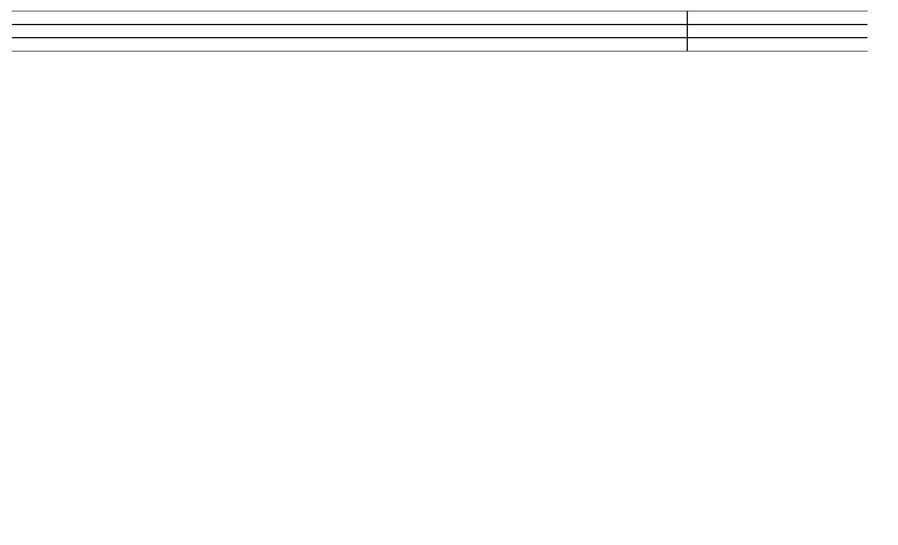| ,我们就会不会不会。""我们,我们也不会不会不会。""我们,我们也不会不会不会不会不会不会不会。""我们,我们也不会不会不会不会不会。""我们,我们也不会不会不 |  |
|----------------------------------------------------------------------------------|--|
| ,一个人的人都是一个人的人,而且,我们也不会不会不会。""我们,我们也不会不会不会不会不会不会。""我们,我们也不会不会不会不会。""我们,我们也不会不会不会不 |  |
|                                                                                  |  |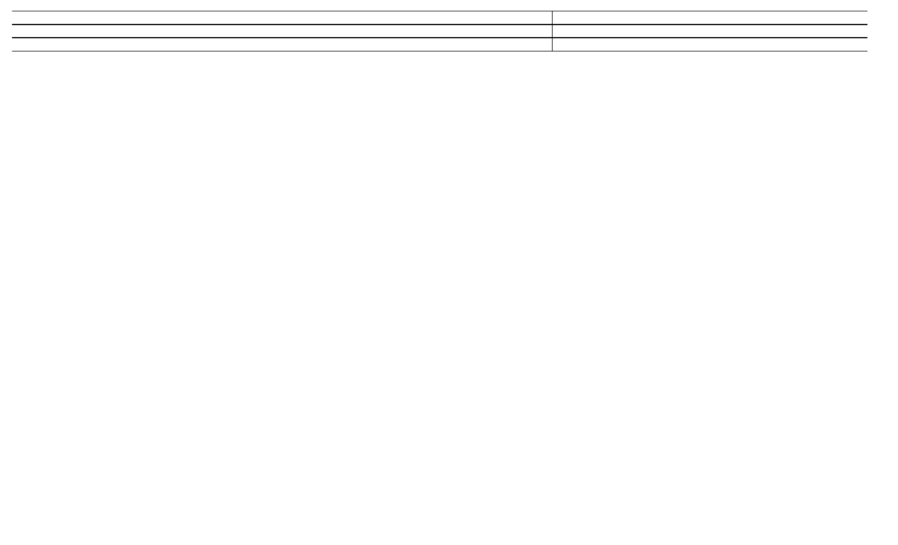| → 中国的 → 中国的 → 中国的 → 中国的 → 中国的 → 中国的 → 中国的 → 中国的 → 中国的 → 中国的 → 中国的 → 中国的 → 中国的 → 中国的 → 中国的 → 中国的 → 中国的 → 中国的 → 中国 |  |
|------------------------------------------------------------------------------------------------------------------|--|
|                                                                                                                  |  |
|                                                                                                                  |  |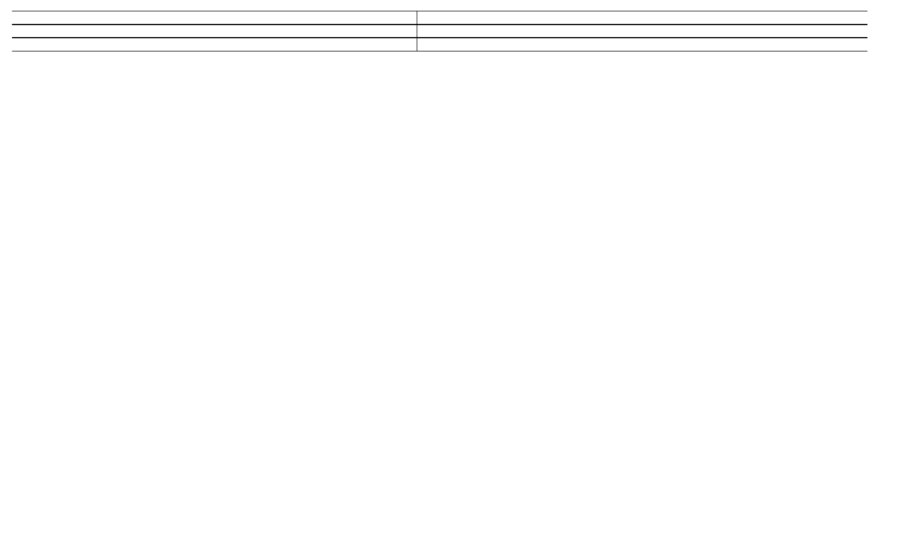| ,我们就会不会不会。""我们,我们就会不会不会不会,我们就会不会不会不会。""我们,我们就会不会不会不会。""我们,我们就会不会不会不会。""我们,我们就会不会 |                                                                                   |
|----------------------------------------------------------------------------------|-----------------------------------------------------------------------------------|
|                                                                                  | ,我们也不会不会不会。""我们的,我们也不会不会不会。""我们的,我们也不会不会不会不会。""我们的,我们也不会不会不会不会。""我们的,我们也不会不会不会不会  |
|                                                                                  | ,我们就会不会不会。""我们,我们就会不会不会,我们就会不会不会,我们就会不会不会。""我们,我们就会不会不会。""我们,我们就会不会不会不会。""我们,我们就会 |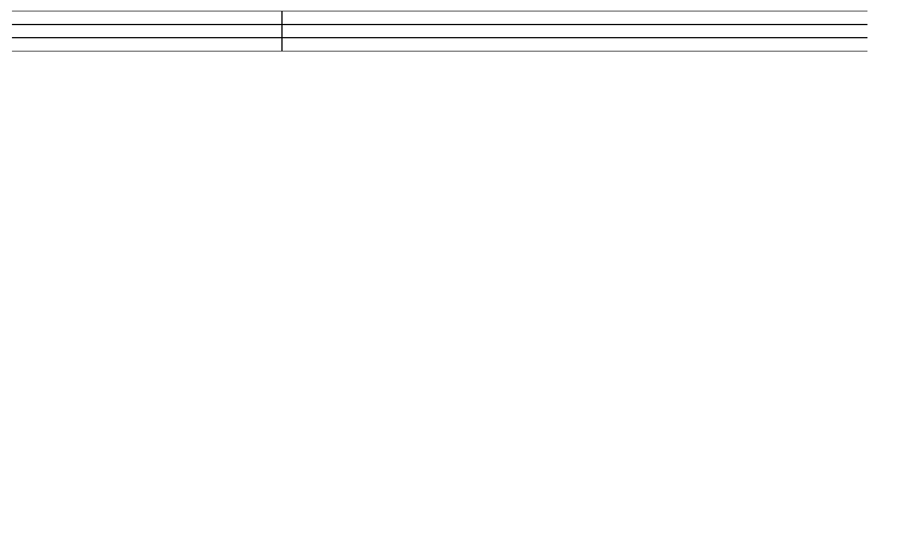| ,一个人都是一个人的人,我们就是一个人的人,我们就是一个人的人,我们就是一个人的人,我们就是一个人的人,我们就是一个人的人,我们就是一个人的人,我们就是一个人的<br>第一百一十一章 一个人的人,我们就是一个人的人,我们就是一个人的人,我们就是一个人的人,我们就是一个人的人,我们就是一个人的人,我们就是一个人的人,我们就是一个 |
|----------------------------------------------------------------------------------------------------------------------------------------------------------------------|
|                                                                                                                                                                      |
|                                                                                                                                                                      |
|                                                                                                                                                                      |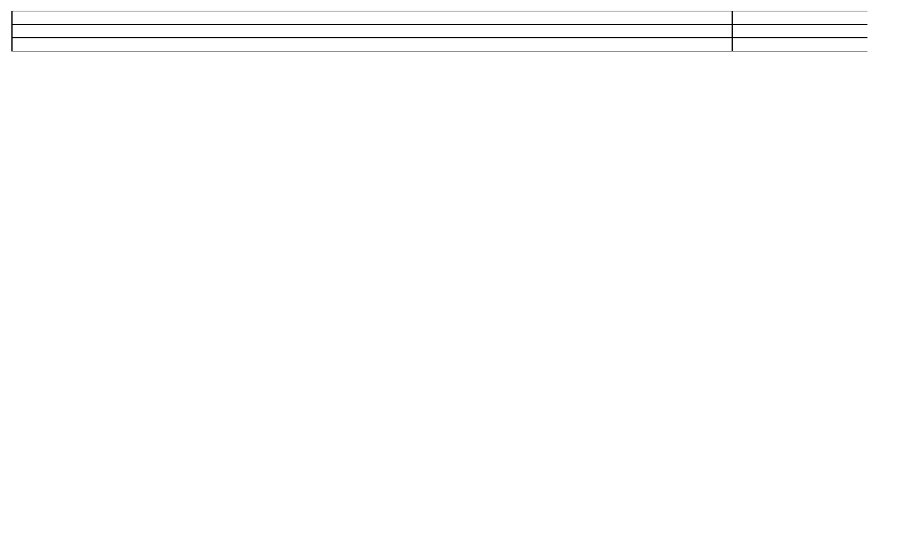| ,他们的人们就是一个人,他们的人们就是一个人,他们的人们,他们的人们就是一个人,他们的人们,他们的人们就是一个人,他们的人们,他们的人们,他们的人们,他们的人们,<br>第25章 我们的人们,他们的人们,他们的人们,他们的人们,他们的人们,他们的人们,他们的人们,他们的人们,他们的人们,他们的人们,他们的人们,他们的人们,他们的 |  |
|-----------------------------------------------------------------------------------------------------------------------------------------------------------------------|--|
| ,一个人都是一个人的人,而且,他们的人都是一个人,而且,他们的人都是一个人,而且,他们的人都是一个人,而且,他们的人都是一个人,而且,他们的人都是一个人,而且,他<br>第二百一十一章 一个人,他们的人都是一个人,他们的人都是一个人,他们的人都是一个人,他们的人都是一个人,他们的人都是一个人,他们的人都是一个人,他们的人都是一个 |  |
| ,一个人都是一个人的人,而且,他们的人都是一个人,他们的人都是一个人,他们的人都是一个人,他们的人都是一个人,他们的人都是一个人,他们的人都是一个人,他们的人都是                                                                                     |  |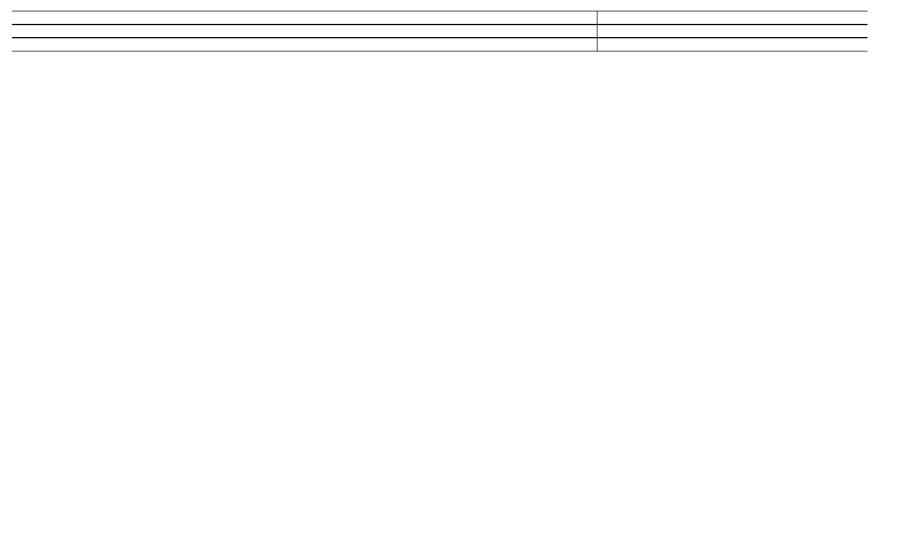| ,一个人都是一个人的人,而且,我们也不会不会不会。""我们,我们也不会不会不会不会不会不会不会不会。""我们,我们也不会不会不会不会不会不会不会不会。""我们,我<br>,他们的人们也不会不会。""我们的人们,我们也不会不会不会。""我们的人们,我们也不会不会不会。""我们的人们,我们也不会不会不会。""我们的人们,我们也不会不 |  |
|-----------------------------------------------------------------------------------------------------------------------------------------------------------------------|--|
| ,我们也不会不会不会。""我们的,我们也不会不会不会。""我们的,我们也不会不会不会不会。""我们的,我们也不会不会不会不会。""我们的,我们也不会不会不会不会                                                                                      |  |
|                                                                                                                                                                       |  |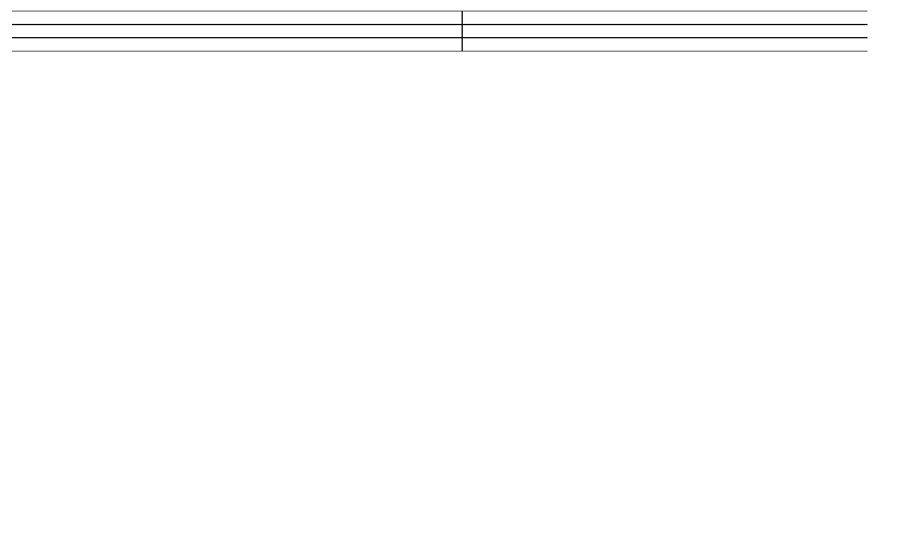| <u> 2001 - An t-An Aontaithe ann an t-Aontaithe ann an t-Aontaithe ann an t-Aontaithe ann an t-Aontaithe ann an t-</u> |
|------------------------------------------------------------------------------------------------------------------------|
|                                                                                                                        |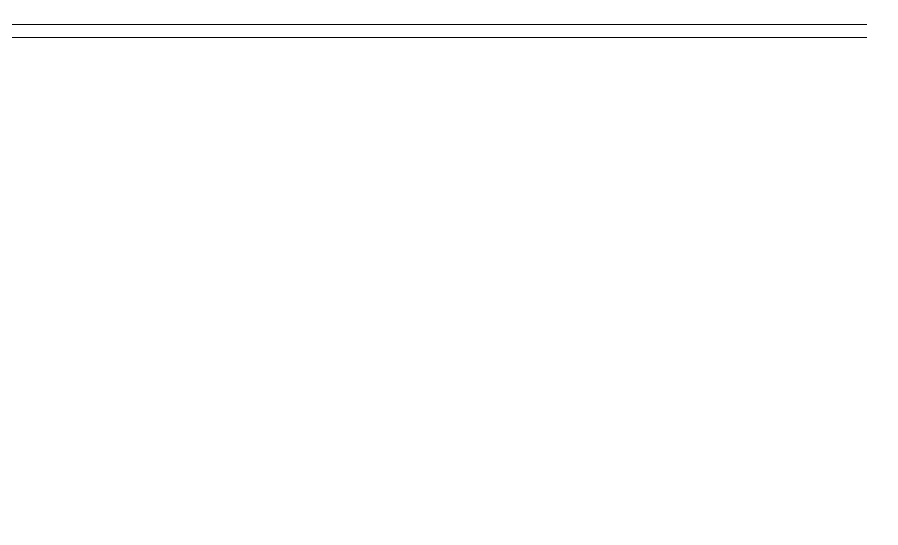| ,一个人都是一个人的人,而且,他们的人都是一个人,而且,他们的人都是一个人,而且,他们的人都是一个人,而且,他们的人都是一个人,而且,他们的人都是一个人,而且,他<br>第二十一章 一个人,他们的人都是一个人,他们的人都是一个人,他们的人都是一个人,他们的人都是一个人,他们的人都是一个人,他们的人都是一个人,他们的人都是一个人, | ,我们也不会不会。""我们的,我们也不会不会。""我们的,我们也不会不会不会。""我们的,我们也不会不会不会。""我们的,我们也不会不会不会。""我们的,我们也 |
|-----------------------------------------------------------------------------------------------------------------------------------------------------------------------|----------------------------------------------------------------------------------|
|                                                                                                                                                                       |                                                                                  |
|                                                                                                                                                                       |                                                                                  |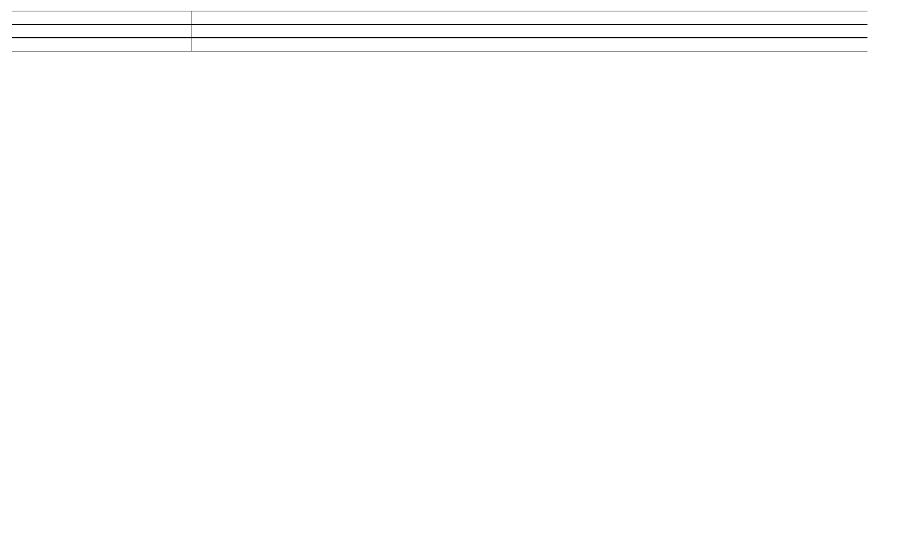| ,一个人的人都是一个人的人,而且,他们的人都是一个人的人,而且,他们的人都是一个人的人,而且,他们的人都是一个人的人,而且,他们的人都是一个人的人,而且,他们的人<br>第一百一十一章 一个人的人,他们的人都是一个人的人,他们的人都是一个人的人,他们的人都是一个人的人,他们的人都是一个人的人,他们的人都是一个人的人,他们的人都是<br>,我们就会不会不会。""我们,我们就会不会不会不会。""我们,我们就会不会不会不会不会不会。""我们,我们就会不会不会不会不会。""我们,我们就会不会不会不会不 |
|-----------------------------------------------------------------------------------------------------------------------------------------------------------------------------------------------------------------------------------------------------------|
| ,一个人都是一个人的人,而且,他们的人都是一个人,而且,他们的人都是一个人,而且,他们的人都是一个人,而且,他们的人都是一个人,而且,他们的人都是一个人,而且,他<br>第二十一章 一个人,他们的人都是一个人,他们的人都是一个人,他们的人都是一个人,他们的人都是一个人,他们的人都是一个人,他们的人都是一个人,他们的人都是一个人,                                                                                     |
|                                                                                                                                                                                                                                                           |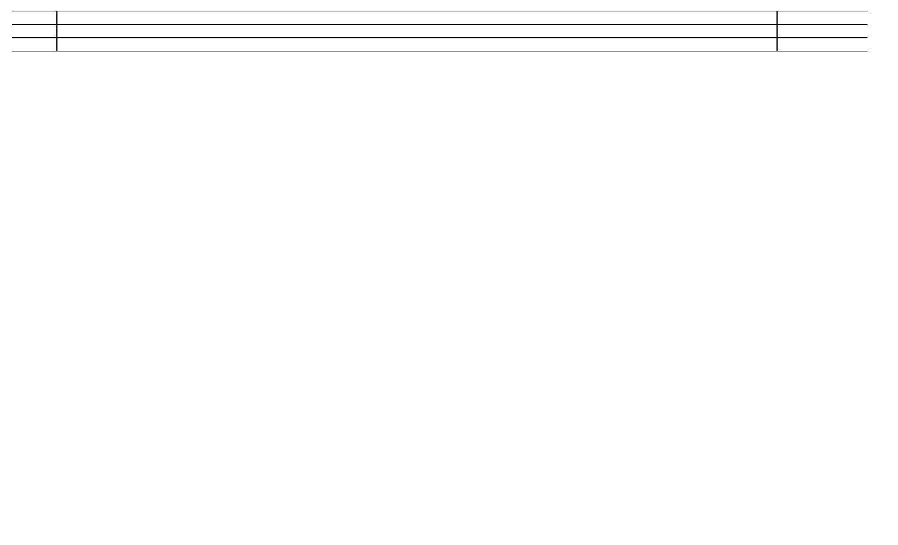| <u>та на представљен под податковата на представљен податковата на представљен податковата на представљен податк</u> |  |
|----------------------------------------------------------------------------------------------------------------------|--|
|                                                                                                                      |  |
| ,一个人都是一个人的人,一个人都是一个人的人,一个人都是一个人的人,一个人都是一个人的人,一个人都是一个人的人,一个人都是一个人的人,一个人都是一个人的人,一个人                                    |  |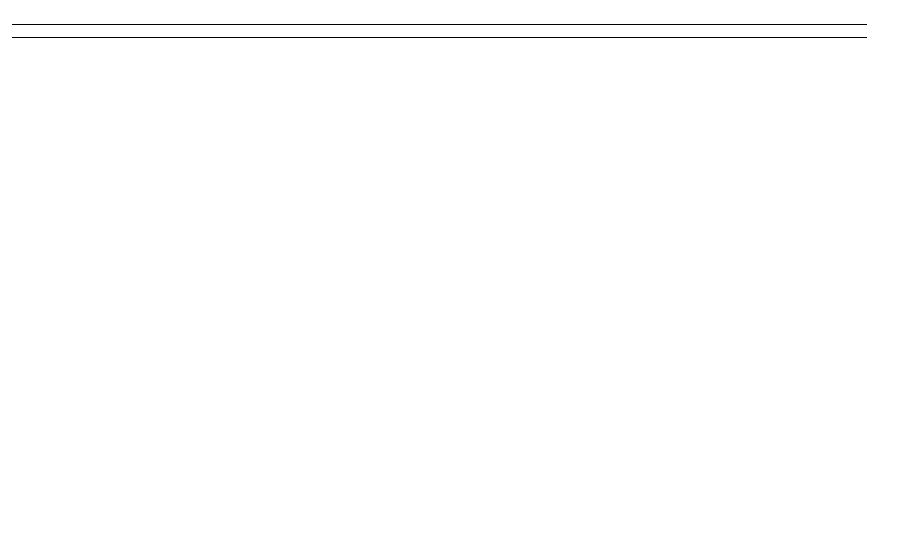| ,一个人都是一个人的人,一个人都是一个人的人,一个人都是一个人的人,一个人都是一个人的人,一个人都是一个人的人,一个人都是一个人的人,一个人都是一个人的人,一个人<br>→ South State State State State State State State State State State State State State State State State State State State State State State State State State State State State State State State State State State State St |  |
|-------------------------------------------------------------------------------------------------------------------------------------------------------------------------------------------------------------------------------------------------------------------------------------------------------------------|--|
| ,一个人的人都是一个人的人,而且,他们的人都是不是一个人的人,而且,他们的人都是不是一个人的人,而且,他们的人都是不是一个人的人,而且,他们的人都是不是一个人的<br>第一百一十一章 一个人的人,他们的人都是不是一个人的人,他们的人都是不是一个人的人,他们的人都是不是一个人的人,他们的人都是不是一个人的人,他们的人都是不是一个                                                                                                                                              |  |
| ,我们也不会不会不会。""我们的,我们也不会不会不会。""我们的,我们也不会不会不会不会不会。""我们的,我们也不会不会不会不会。""我们的,我们也不会不会不会<br>第二百一章 第二百一章 第二百一章 第二百一章 第二百一章 第二百一章 第二百一章 第二百一章 第二百一章 第二百一章 第二百一章 第二百一章 第二百一章 第二                                                                                                                                              |  |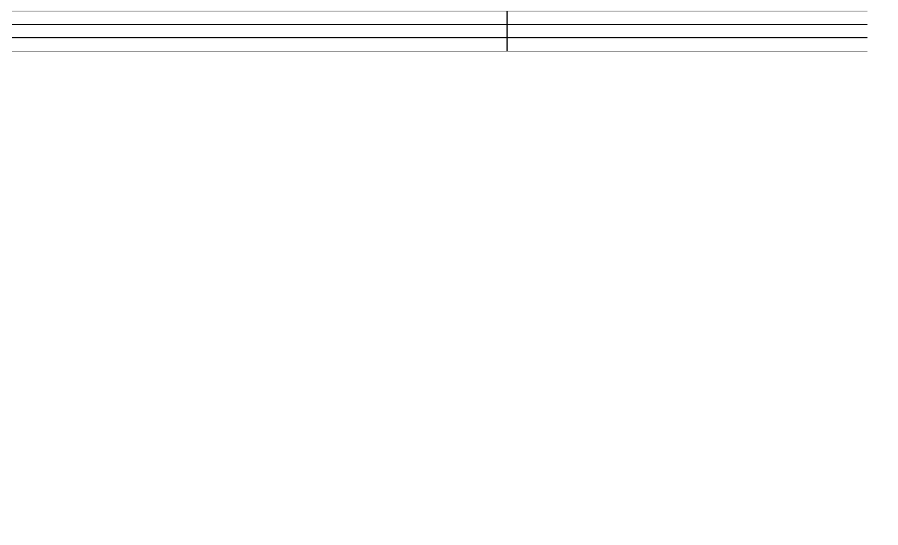| ,一个人都是一个人的人,而且,他们的人都是一个人,而且,他们的人都是一个人,而且,他们的人都是一个人,而且,他们的人都是一个人,而且,他们的人都是一个人,而且,他<br>第二十二章 第二十二章 第二十二章 第二十二章 第二十二章 第二十二章 第二十二章 第二十二章 第二十二章 第二十二章 第二十二章 第二十二章 第二十二章 第二十 |  |
|------------------------------------------------------------------------------------------------------------------------------------------------------------------------|--|
|                                                                                                                                                                        |  |
| ,我们就会不会不会。""我们的,我们也不会不会不会。""我们的,我们也不会不会不会不会不会。""我们的,我们也不会不会不会不会。""我们的,我们也不会不会不会不                                                                                       |  |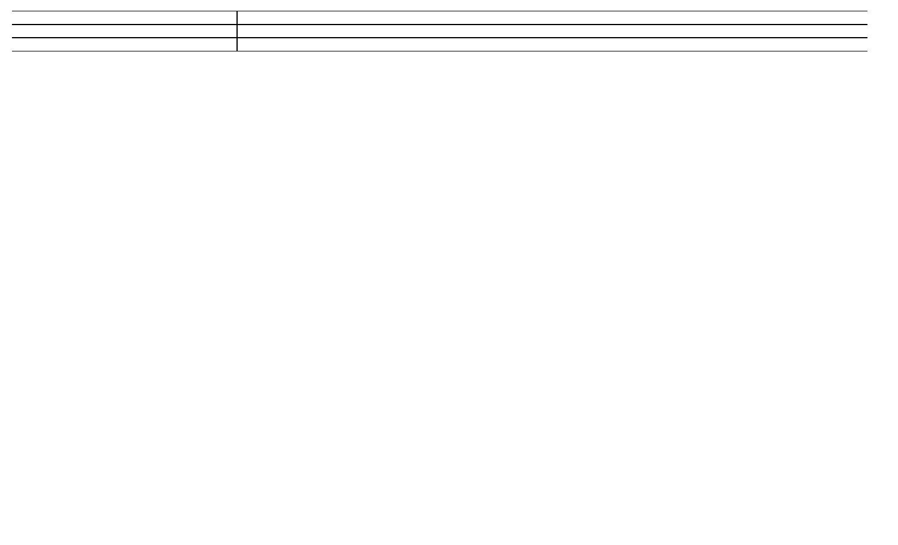| ,我们就会不会不会。""我们,我们也不会不会不会。""我们,我们也不会不会不会不会不会不会。""我们,我们也不会不会不会不会。""我们,我们也不会不会不会不会不  |
|-----------------------------------------------------------------------------------|
| ,一个人都是一个人的人,一个人都是一个人的人,一个人都是一个人的人,一个人都是一个人的人,一个人都是一个人的人,一个人都是一个人的人,一个人都是一个人的人,一个人 |
|                                                                                   |
| ,一个人都是一个人的人,而且,我们也不会不会不会。""我们,我们也不会不会不会不会不会不会不会。""我们,我们也不会不会不会不会不会不会不会不会。""我们,我们  |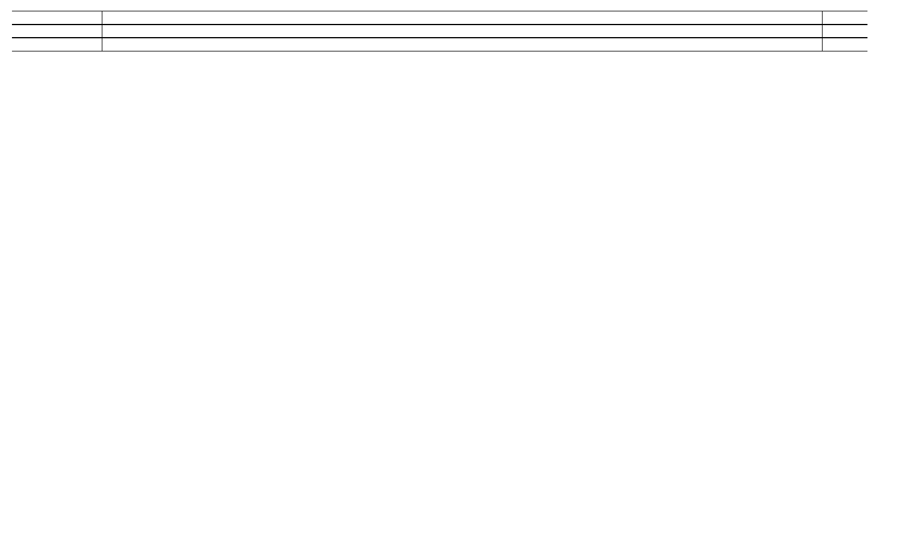| ,一个人都是一个人的人,一个人都是一个人的人,一个人都是一个人的人,一个人都是一个人的人,一个人都是一个人的人,一个人都是一个人的人,一个人都是一个人的人,一个人<br>第二十一章 一个人的人,一个人的人都是一个人的人,一个人的人都是一个人的人,一个人的人都是一个人的人,一个人的人都是一个人的人,一个人的人都是一个人的人,一个人<br>,一个人都是一个人的人,一个人都是一个人的人,一个人都是一个人的人,一个人都是一个人的人,一个人都是一个人的人,一个人都是一个人的人,一个人都是一个人的人,一个人<br>第二十一章 一个人的人,一个人都是一个人的人,一个人都是一个人的人,一个人都是一个人的人,一个人都是一个人的人,一个人都是一个人的人,一个人都是一个人的人,一个 |  |
|------------------------------------------------------------------------------------------------------------------------------------------------------------------------------------------------------------------------------------------------------------------------------------------------------------------------------------------------|--|
| ,一个人的人都是一个人的人,而且,他们的人都是一个人的人,而且,他们的人都是一个人的人,而且,他们的人都是一个人的人,而且,他们的人都是一个人的人,而且,他们的<br>第一百一十一章 一个人的人,他们的人都是一个人的人,他们的人都是一个人的人,他们的人都是一个人的人,他们的人都是一个人的人,他们的人都是一个人的人,他们的人都是                                                                                                                                                                           |  |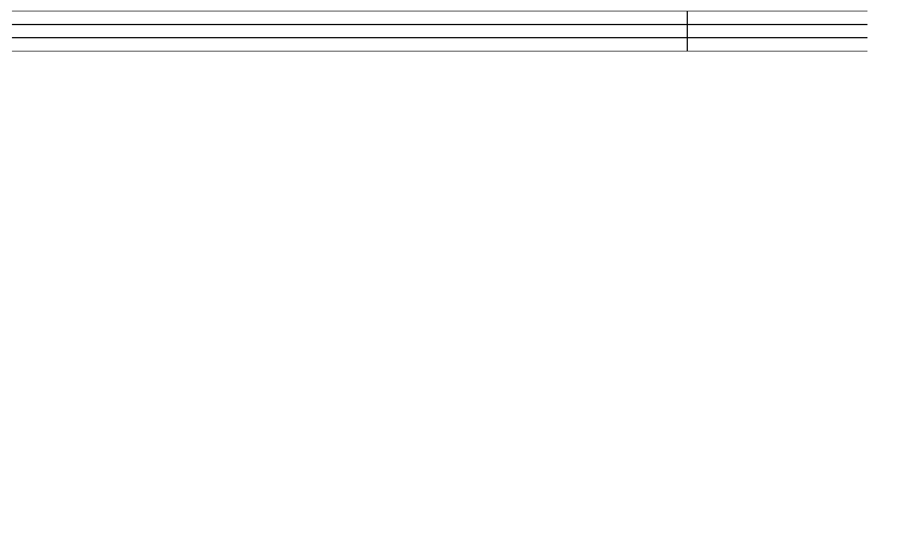| ,我们就会不会不会。""我们,我们也不会不会不会。""我们,我们也不会不会不会不会不会不会不会。""我们,我们也不会不会不会不会不会。""我们,我们也不会不会不 |  |
|----------------------------------------------------------------------------------|--|
| ,一个人的人都是一个人的人,而且,我们也不会不会不会。""我们,我们也不会不会不会不会不会不会。""我们,我们也不会不会不会不会。""我们,我们也不会不会不会不 |  |
|                                                                                  |  |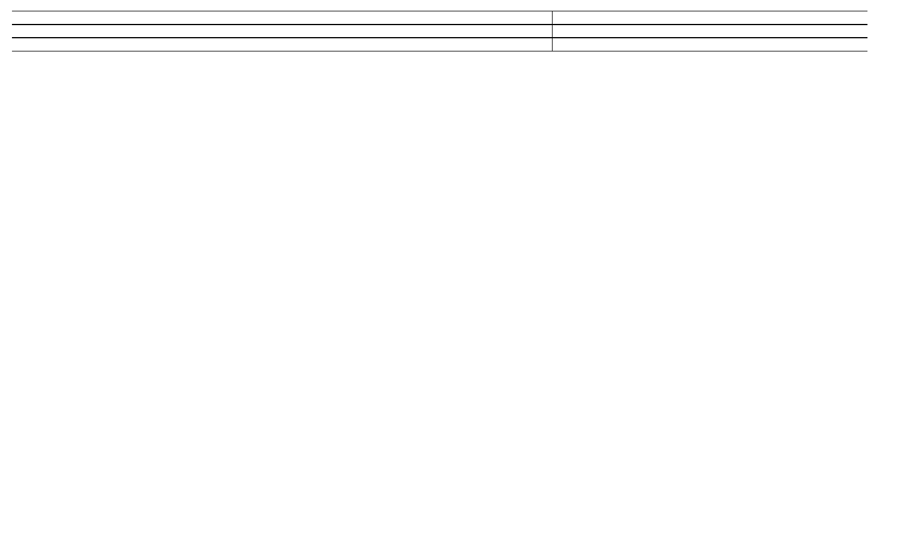| → 中国的 → 中国的 → 中国的 → 中国的 → 中国的 → 中国的 → 中国的 → 中国的 → 中国的 → 中国的 → 中国的 → 中国的 → 中国的 → 中国的 → 中国的 → 中国的 → 中国的 → 中国的 → 中国 |  |
|------------------------------------------------------------------------------------------------------------------|--|
|                                                                                                                  |  |
|                                                                                                                  |  |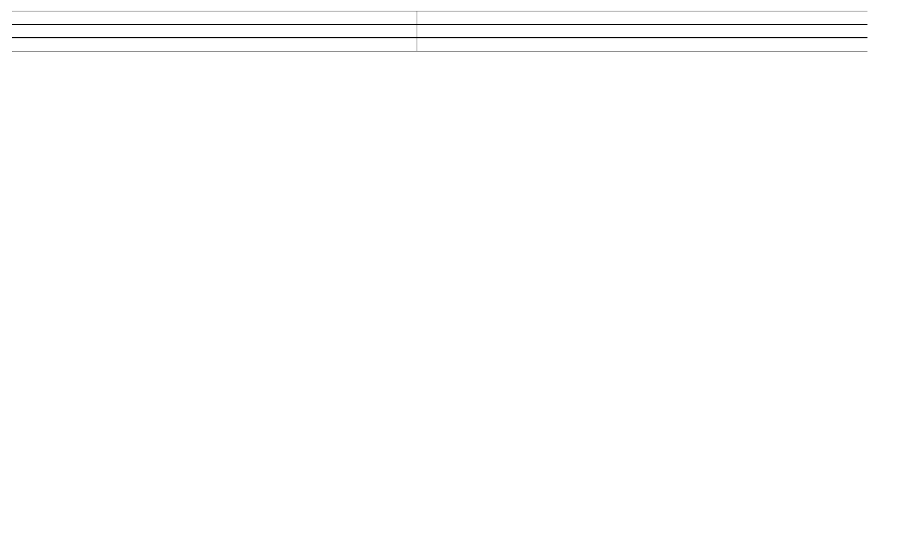| ,我们就会不会不会。""我们,我们就会不会不会不会,我们就会不会不会不会。""我们,我们就会不会不会不会。""我们,我们就会不会不会不会。""我们,我们就会不会 |                                                                                   |
|----------------------------------------------------------------------------------|-----------------------------------------------------------------------------------|
|                                                                                  | ,我们也不会不会不会。""我们的,我们也不会不会不会。""我们的,我们也不会不会不会不会。""我们的,我们也不会不会不会不会。""我们的,我们也不会不会不会不会  |
|                                                                                  | ,我们就会不会不会。""我们,我们就会不会不会,我们就会不会不会,我们就会不会不会。""我们,我们就会不会不会。""我们,我们就会不会不会不会。""我们,我们就会 |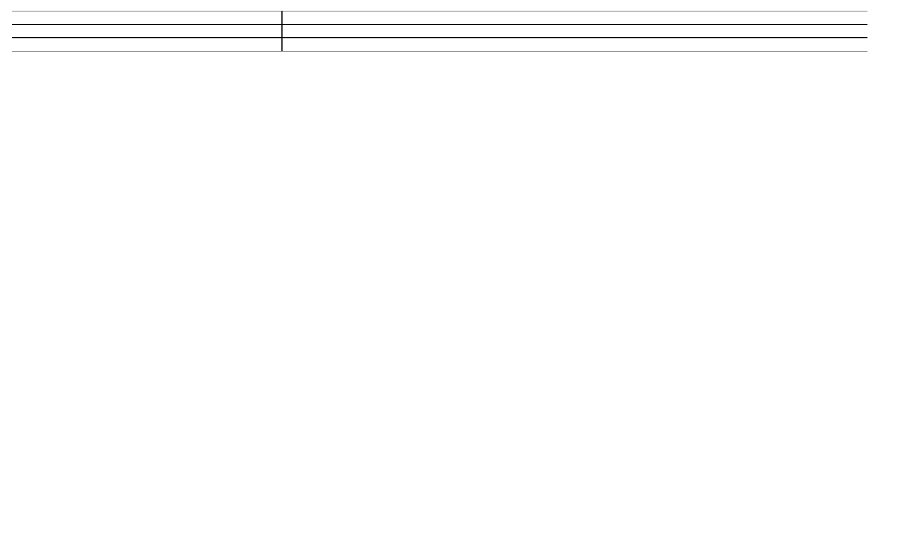| ,他们的人们就会在这里,他们的人们就会在这里,他们的人们就会在这里,他们的人们就会在这里,他们的人们就会在这里,他们的人们就会在这里,他们的人们就会在这里,他们<br>第251章 我们的人们的人们,我们的人们的人们的人们,我们的人们的人们的人们,我们的人们的人们的人们,我们的人们的人们的人们,我们的人们的人们的人们,我们的人们 |
|----------------------------------------------------------------------------------------------------------------------------------------------------------------------|
|                                                                                                                                                                      |
|                                                                                                                                                                      |
|                                                                                                                                                                      |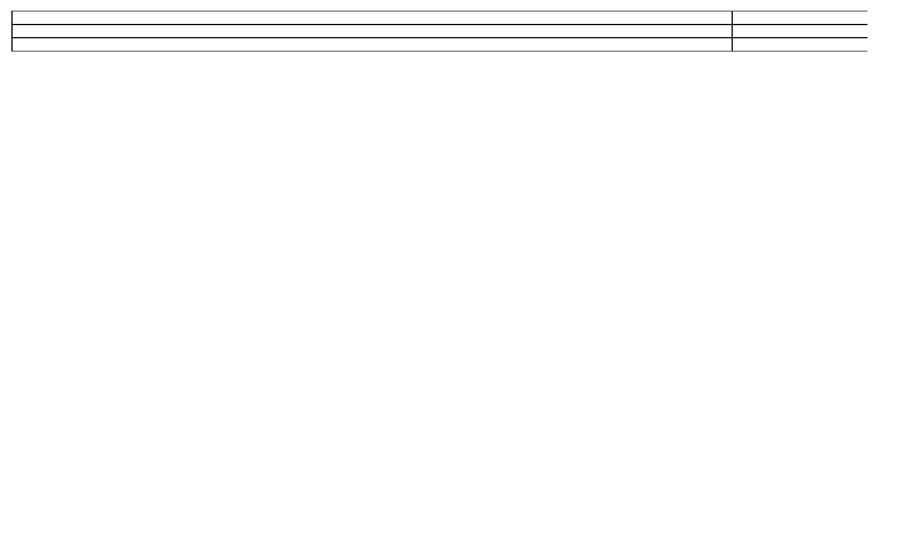| ,他们的人们就是一个人,他们的人们就是一个人,他们的人们,他们的人们就是一个人,他们的人们,他们的人们就是一个人,他们的人们,他们的人们,他们的人们,他们的人们,<br>第25章 我们的人们,他们的人们,他们的人们,他们的人们,他们的人们,他们的人们,他们的人们,他们的人们,他们的人们,他们的人们,他们的人们,他们的人们,他们的 |  |
|-----------------------------------------------------------------------------------------------------------------------------------------------------------------------|--|
| ,一个人都是一个人的人,而且,他们的人都是一个人,而且,他们的人都是一个人,而且,他们的人都是一个人,而且,他们的人都是一个人,而且,他们的人都是一个人,而且,他<br>第二百一十一章 一个人,他们的人都是一个人,他们的人都是一个人,他们的人都是一个人,他们的人都是一个人,他们的人都是一个人,他们的人都是一个人,他们的人都是一个 |  |
| ,一个人都是一个人的人,而且,他们的人都是一个人,他们的人都是一个人,他们的人都是一个人,他们的人都是一个人,他们的人都是一个人,他们的人都是一个人,他们的人都是                                                                                     |  |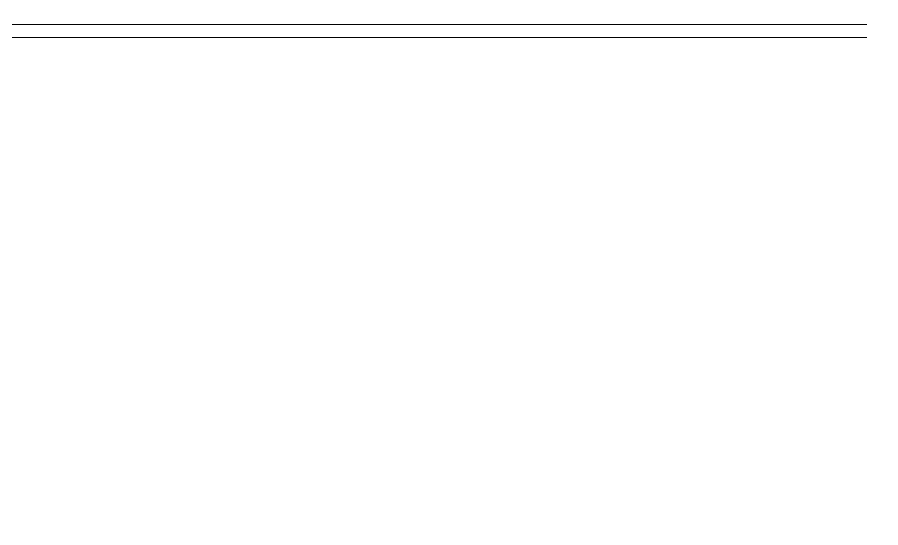| ,一个人都是一个人的人,而且,我们也不会不会不会。""我们,我们也不会不会不会不会不会不会不会不会。""我们,我们也不会不会不会不会不会不会不会不会。""我们,我<br>,他们的人们也不会不会。""我们的人们,我们也不会不会不会。""我们的人们,我们也不会不会不会。""我们的人们,我们也不会不会不会。""我们的人们,我们也不会不 |  |
|-----------------------------------------------------------------------------------------------------------------------------------------------------------------------|--|
| ,我们也不会不会不会。""我们的,我们也不会不会不会。""我们的,我们也不会不会不会不会。""我们的,我们也不会不会不会不会。""我们的,我们也不会不会不会不会                                                                                      |  |
|                                                                                                                                                                       |  |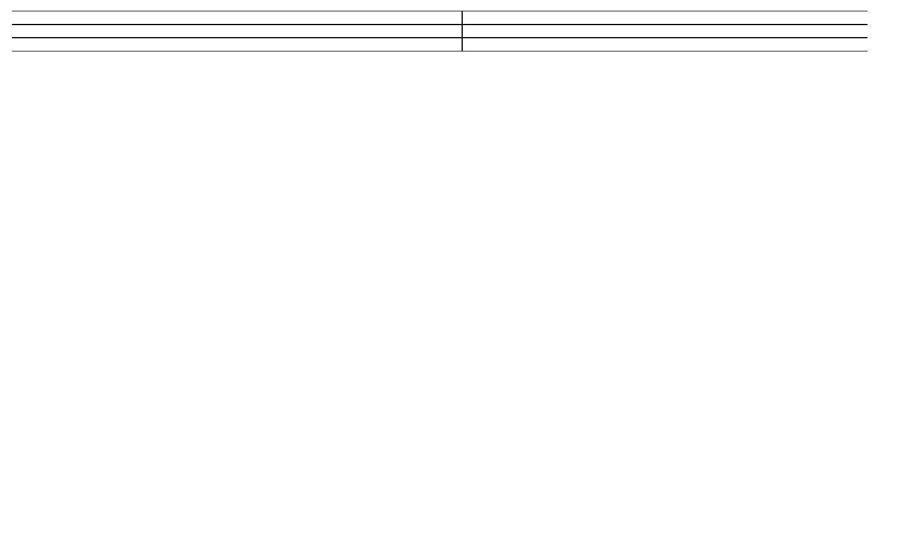| <u> 1980 - Ann an t-Aontaithe ann an t-Aontaithe ann an t-Aontaithe ann an t-Aontaithe ann an t-Aontaithe ann an t-</u> |
|-------------------------------------------------------------------------------------------------------------------------|
|                                                                                                                         |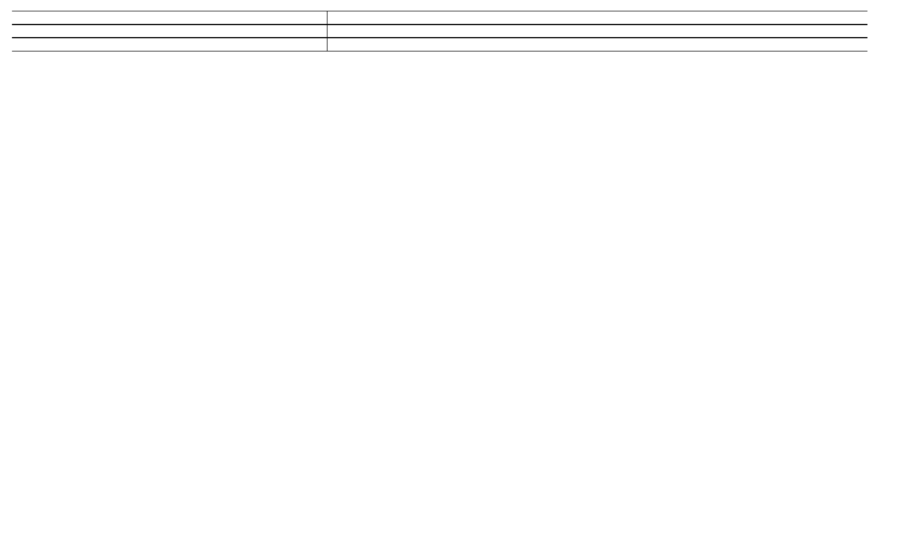| ,一个人都是一个人的人,而且,他们的人都是一个人,而且,他们的人都是一个人,而且,他们的人都是一个人,而且,他们的人都是一个人,而且,他们的人都是一个人,而且,他<br>第二十一章 一个人,他们的人都是一个人,他们的人都是一个人,他们的人都是一个人,他们的人都是一个人,他们的人都是一个人,他们的人都是一个人,他们的人都是一个人, | ,我们也不会不会。""我们的,我们也不会不会。""我们的,我们也不会不会不会。""我们的,我们也不会不会不会。""我们的,我们也不会不会不会。""我们的,我们也 |
|-----------------------------------------------------------------------------------------------------------------------------------------------------------------------|----------------------------------------------------------------------------------|
|                                                                                                                                                                       |                                                                                  |
|                                                                                                                                                                       |                                                                                  |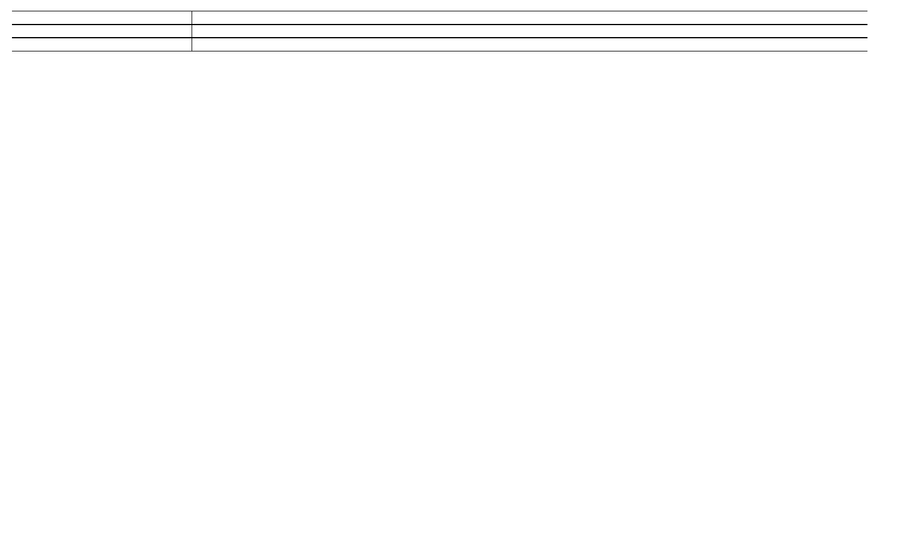| ,一个人的人都是一个人的人,而且,他们的人都是一个人的人,而且,他们的人都是一个人的人,而且,他们的人都是一个人的人,而且,他们的人都是一个人的人,而且,他们的人<br>第一百一十一章 一个人的人,他们的人都是一个人的人,他们的人都是一个人的人,他们的人都是一个人的人,他们的人都是一个人的人,他们的人都是一个人的人,他们的人都是<br>,我们就会不会不会。""我们,我们就会不会不会不会。""我们,我们就会不会不会不会不会不会。""我们,我们就会不会不会不会不会。""我们,我们就会不会不会不会不 |
|-----------------------------------------------------------------------------------------------------------------------------------------------------------------------------------------------------------------------------------------------------------|
| ,一个人都是一个人的人,而且,他们的人都是一个人,而且,他们的人都是一个人,而且,他们的人都是一个人,而且,他们的人都是一个人,而且,他们的人都是一个人,而且,他<br>第一百一十一章 一个人,他们的人都是一个人,他们的人都是一个人,他们的人都是一个人,他们的人都是一个人,他们的人都是一个人,他们的人都是一个人,他们的人都是一个                                                                                     |
|                                                                                                                                                                                                                                                           |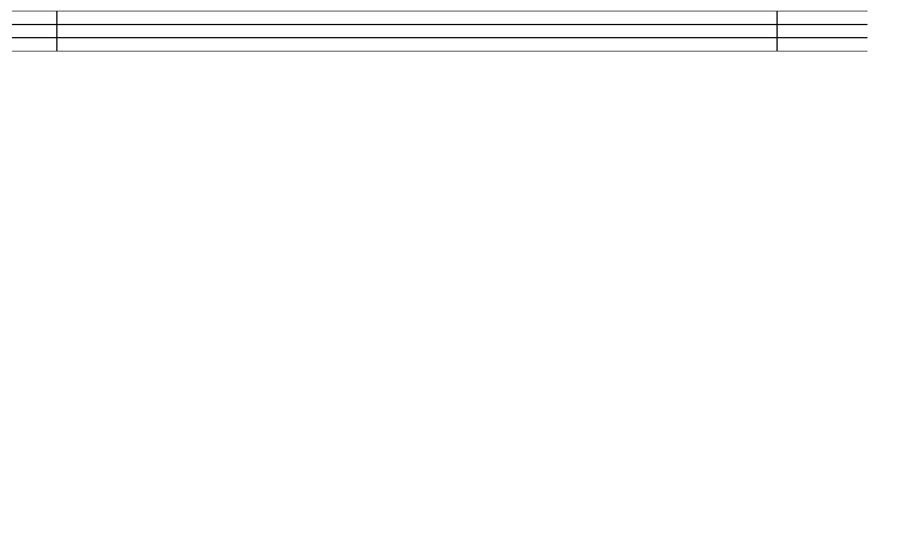| <u>та на представљен под податковата на представљен податковата на представљен податковата на представљен податк</u> |  |
|----------------------------------------------------------------------------------------------------------------------|--|
|                                                                                                                      |  |
| ,一个人都是一个人的人,一个人都是一个人的人,一个人都是一个人的人,一个人都是一个人的人,一个人都是一个人的人,一个人都是一个人的人,一个人都是一个人的人,一个人                                    |  |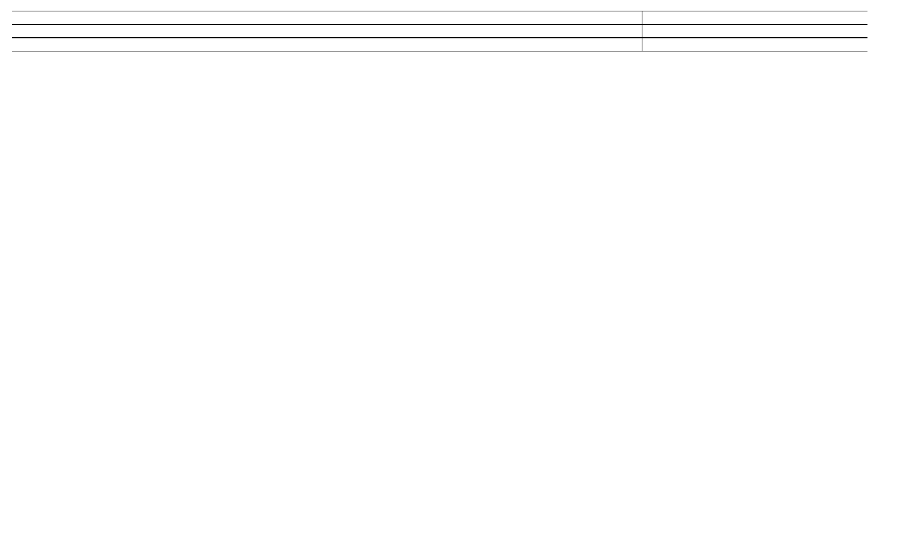| ,一个人都是一个人的人,一个人都是一个人的人,一个人都是一个人的人,一个人都是一个人的人,一个人都是一个人的人,一个人都是一个人的人,一个人都是一个人的人,一个人<br>→ South State State State State State State State State State State State State State State State State State State State State State State State State State State State State State State State State State State State St |  |
|-------------------------------------------------------------------------------------------------------------------------------------------------------------------------------------------------------------------------------------------------------------------------------------------------------------------|--|
| ,一个人的人都是一个人的人,而且,他们的人都是不是一个人的人,而且,他们的人都是不是一个人的人,而且,他们的人都是不是一个人的人,而且,他们的人都是不是一个人的<br>第一百一十一章 一个人的人,他们的人都是不是一个人的人,他们的人都是不是一个人的人,他们的人都是不是一个人的人,他们的人都是不是一个人的人,他们的人都是不是一个                                                                                                                                              |  |
| ,我们也不会不会不会。""我们的,我们也不会不会不会。""我们的,我们也不会不会不会不会不会。""我们的,我们也不会不会不会不会。""我们的,我们也不会不会不会<br>第二百一章 第二百一章 第二百一章 第二百一章 第二百一章 第二百一章 第二百一章 第二百一章 第二百一章 第二百一章 第二百一章 第二百一章 第二百一章 第二                                                                                                                                              |  |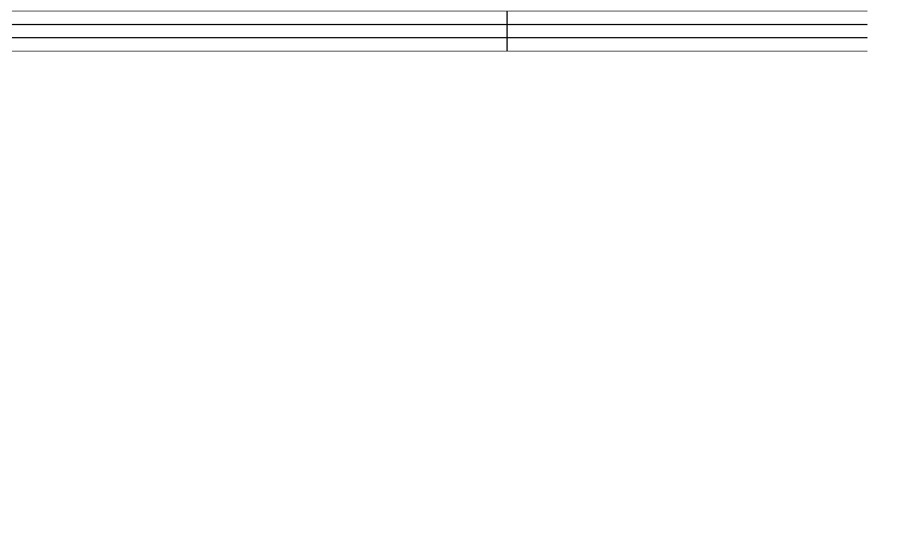| ,一个人都是一个人的人,而且,他们的人都是一个人,而且,他们的人都是一个人,而且,他们的人都是一个人,而且,他们的人都是一个人,而且,他们的人都是一个人,而且,他<br>第二十二章 第二十二章 第二十二章 第二十二章 第二十二章 第二十二章 第二十二章 第二十二章 第二十二章 第二十二章 第二十二章 第二十二章 第二十二章 第二十 |  |
|------------------------------------------------------------------------------------------------------------------------------------------------------------------------|--|
|                                                                                                                                                                        |  |
| ,我们就会不会不会。""我们的,我们也不会不会不会。""我们的,我们也不会不会不会不会不会。""我们的,我们也不会不会不会不会。""我们的,我们也不会不会不会不                                                                                       |  |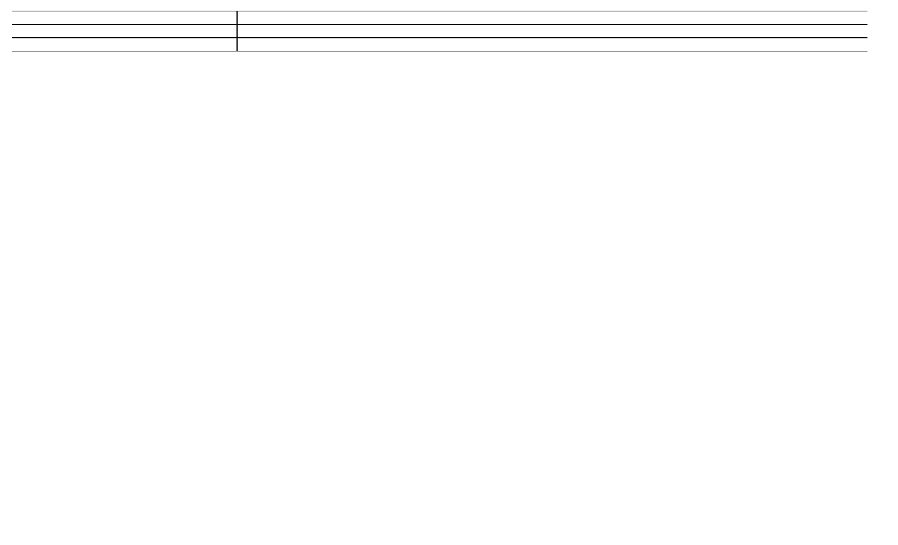| ,我们就会不会不会。""我们,我们也不会不会不会。""我们,我们也不会不会不会不会不会不会。""我们,我们也不会不会不会不会。""我们,我们也不会不会不会不会不  |
|-----------------------------------------------------------------------------------|
| ,一个人都是一个人的人,一个人都是一个人的人,一个人都是一个人的人,一个人都是一个人的人,一个人都是一个人的人,一个人都是一个人的人,一个人都是一个人的人,一个人 |
|                                                                                   |
| ,一个人都是一个人的人,而且,我们也不会不会不会。""我们,我们也不会不会不会不会。""我们,我们也不会不会不会不会。""我们,我们也不会不会不会不会。""我们, |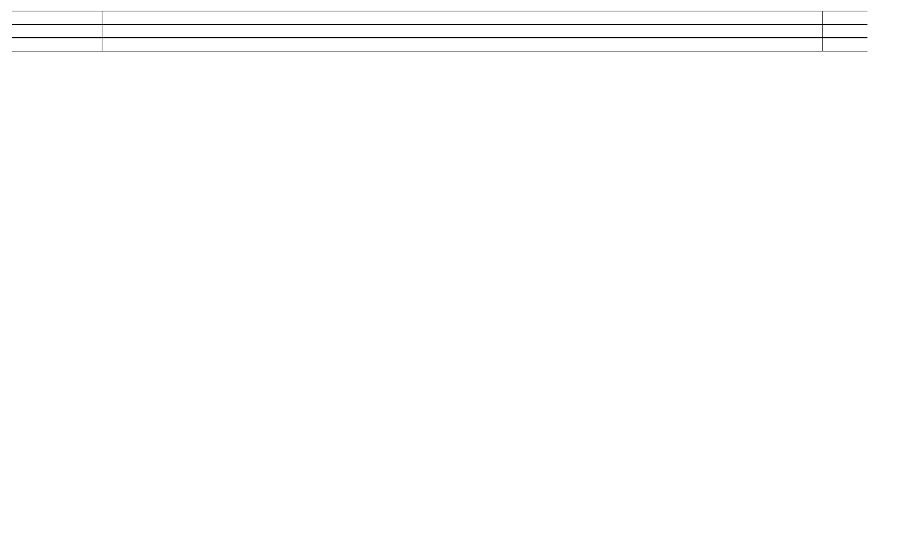| ,一个人都是一个人的人,一个人都是一个人的人,一个人都是一个人的人,一个人都是一个人的人,一个人都是一个人的人,一个人都是一个人的人,一个人都是一个人的人,一个人<br>第二十一章 一个人的人,一个人都是一个人的人,一个人都是一个人的人,一个人都是一个人的人,一个人都是一个人的人,一个人都是一个人的人,一个人都是一个人的人,一个<br>,一个人都是一个人的人,一个人都是一个人的人,一个人都是一个人的人,一个人都是一个人的人,一个人都是一个人的人,一个人都是一个人的人,一个人都是一个人的人,一个人<br>第二十一章 一个人的人,一个人的人都是一个人的人,一个人的人都是一个人的人,一个人的人都是一个人的人,一个人的人都是一个人的人,一个人的人都是一个人的人,一个人 |  |
|------------------------------------------------------------------------------------------------------------------------------------------------------------------------------------------------------------------------------------------------------------------------------------------------------------------------------------------------|--|
| ,一个人的人都是一个人的人,而且,他们的人都是一个人的人,而且,他们的人都是一个人的人,而且,他们的人都是一个人的人,而且,他们的人都是一个人的人,而且,他们的<br>第一百一十一章 一个人的人,他们的人都是一个人的人,他们的人都是一个人的人,他们的人都是一个人的人,他们的人都是一个人的人,他们的人都是一个人的人,他们的人都是                                                                                                                                                                           |  |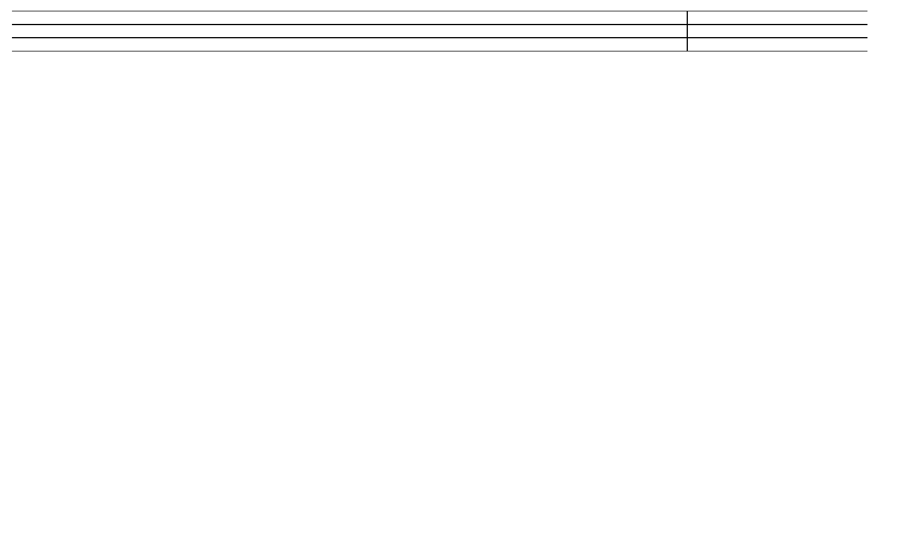| ,我们就会不会不会。""我们,我们也不会不会不会。""我们,我们也不会不会不会不会不会不会不会。""我们,我们也不会不会不会不会不会。""我们,我们也不会不会不  |  |
|-----------------------------------------------------------------------------------|--|
| ,一个人的人都是一个人的人,而且,他们的人都是一个人的人,而且,他们的人都是一个人的人,而且,他们的人都是一个人的人,而且,他们的人都是一个人的人,而且,他们的人 |  |
|                                                                                   |  |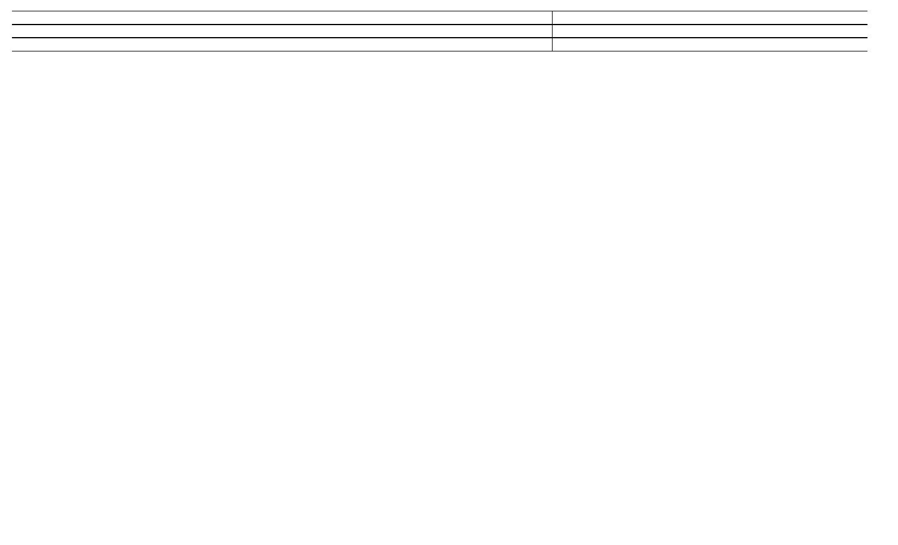| → 中国的 → 中国的 → 中国的 → 中国的 → 中国的 → 中国的 → 中国的 → 中国的 → 中国的 → 中国的 → 中国的 → 中国的 → 中国的 → 中国的 → 中国的 → 中国的 → 中国的 → 中国的 → 中国 |  |
|------------------------------------------------------------------------------------------------------------------|--|
|                                                                                                                  |  |
|                                                                                                                  |  |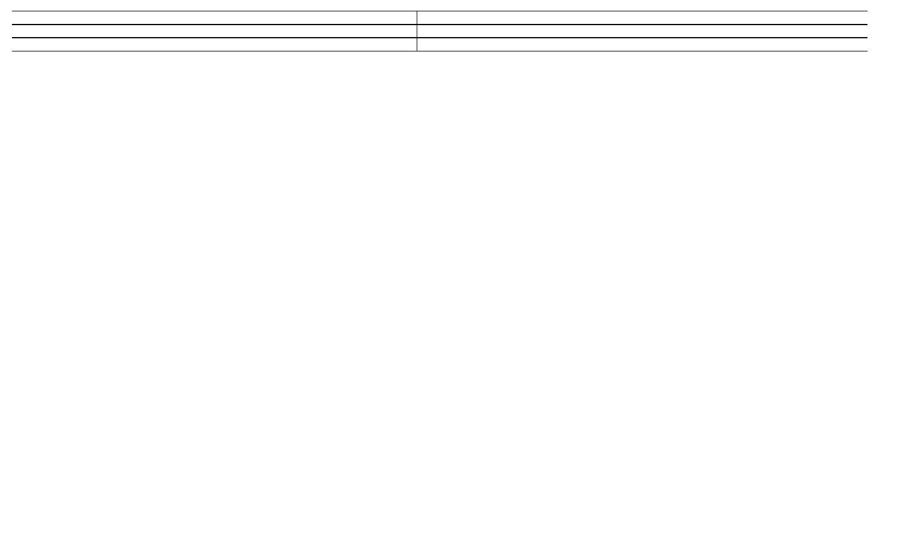| ,我们就会不会不会。""我们,我们就会不会不会不会,我们就会不会不会不会。""我们,我们就会不会不会不会。""我们,我们就会不会不会不会。""我们,我们就会不会 |                                                                                   |
|----------------------------------------------------------------------------------|-----------------------------------------------------------------------------------|
|                                                                                  | ,我们也不会不会不会。""我们的,我们也不会不会不会。""我们的,我们也不会不会不会不会。""我们的,我们也不会不会不会不会。""我们的,我们也不会不会不会不会  |
|                                                                                  | ,我们就会不会不会。""我们,我们就会不会不会,我们就会不会不会,我们就会不会不会。""我们,我们就会不会不会。""我们,我们就会不会不会不会。""我们,我们就会 |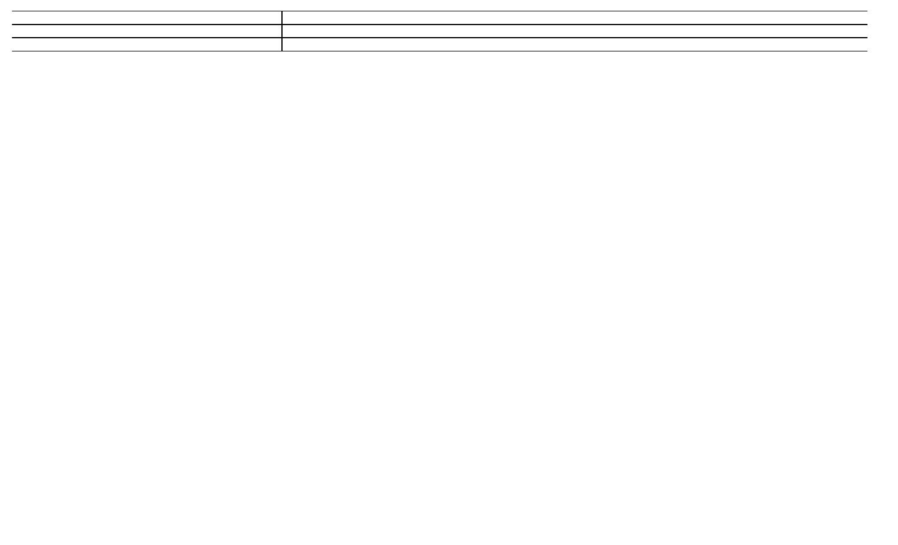| ,他们的人们就会在这里,他们的人们就会在这里,他们的人们就会在这里,他们的人们就会在这里,他们的人们就会在这里,他们的人们就会在这里,他们的人们就会在这里,他们<br>第251章 我们的人们的人们,我们的人们的人们的人们,我们的人们的人们的人们,我们的人们的人们的人们,我们的人们的人们的人们,我们的人们的人们的人们,我们的人们 |
|----------------------------------------------------------------------------------------------------------------------------------------------------------------------|
|                                                                                                                                                                      |
|                                                                                                                                                                      |
|                                                                                                                                                                      |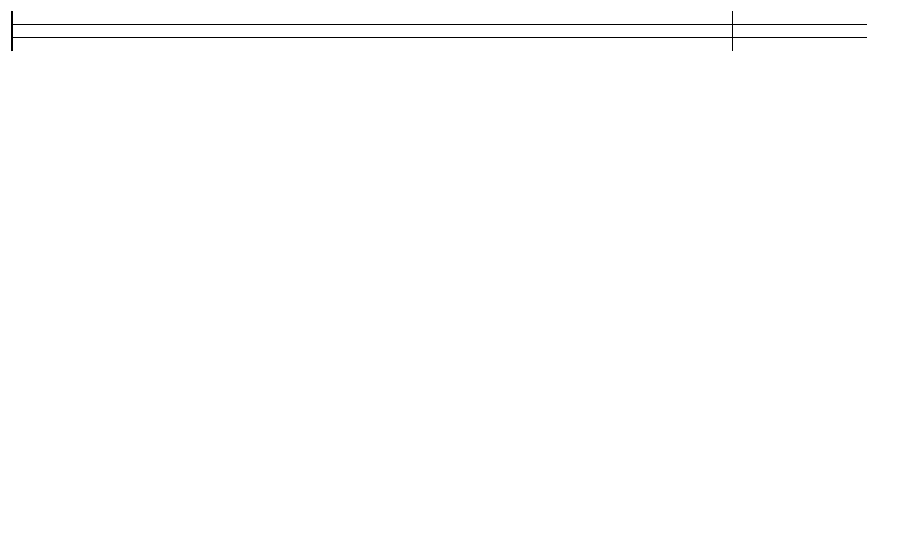| ,他们的人们就是一个人,他们的人们就是一个人,他们的人们,他们的人们就是一个人,他们的人们,他们的人们就是一个人,他们的人们,他们的人们,他们的人们,他们的人们,<br>第25章 我们的人们,他们的人们,他们的人们,他们的人们,他们的人们,他们的人们,他们的人们,他们的人们,他们的人们,他们的人们,他们的人们,他们的人们,他们的 |  |
|-----------------------------------------------------------------------------------------------------------------------------------------------------------------------|--|
| ,一个人都是一个人的人,而且,他们的人都是一个人,而且,他们的人都是一个人,而且,他们的人都是一个人,而且,他们的人都是一个人,而且,他们的人都是一个人,而且,他<br>第二百一十一章 一个人,他们的人都是一个人,他们的人都是一个人,他们的人都是一个人,他们的人都是一个人,他们的人都是一个人,他们的人都是一个人,他们的人都是一个 |  |
| ,一个人都是一个人的人,而且,他们的人都是一个人,他们的人都是一个人,他们的人都是一个人,他们的人都是一个人,他们的人都是一个人,他们的人都是一个人,他们的人都是                                                                                     |  |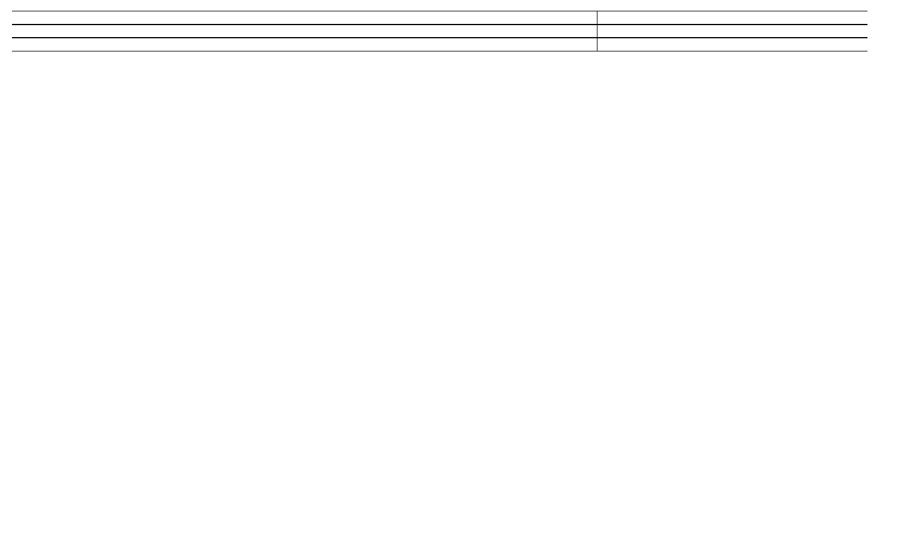| ,一个人都是一个人的人,而且,我们也不会不会不会。""我们,我们也不会不会不会不会不会不会不会不会。""我们,我们也不会不会不会不会不会不会不会不会。""我们,我<br>,他们的人们也不会不会。""我们的人们,我们也不会不会不会。""我们的人们,我们也不会不会不会。""我们的人们,我们也不会不会不会。""我们的人们,我们也不会不 |  |
|-----------------------------------------------------------------------------------------------------------------------------------------------------------------------|--|
| ,我们也不会不会不会。""我们的,我们也不会不会不会。""我们的,我们也不会不会不会不会。""我们的,我们也不会不会不会不会。""我们的,我们也不会不会不会不会                                                                                      |  |
|                                                                                                                                                                       |  |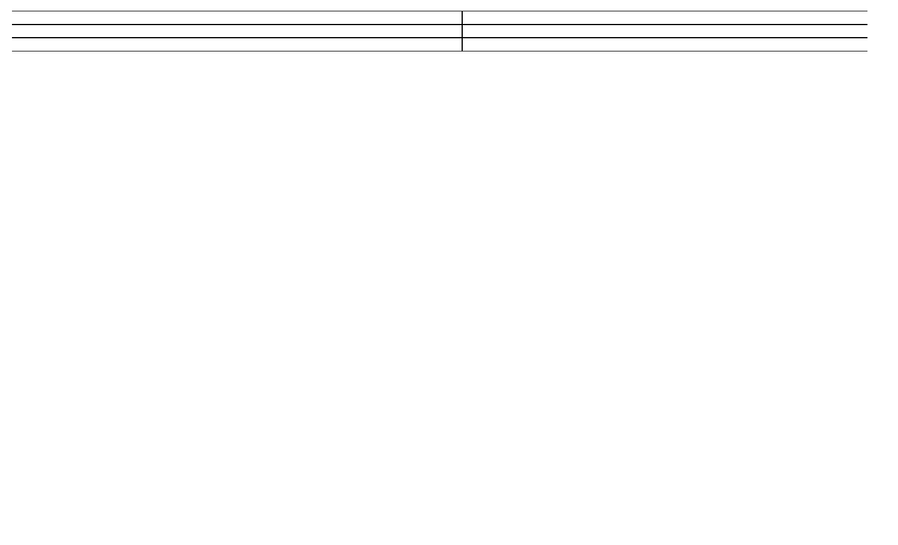| <u> 1980 - Ann an t-Aontaithe ann an t-Aontaithe ann an t-Aontaithe ann an t-Aontaithe ann an t-Aontaithe ann an t-</u> |
|-------------------------------------------------------------------------------------------------------------------------|
|                                                                                                                         |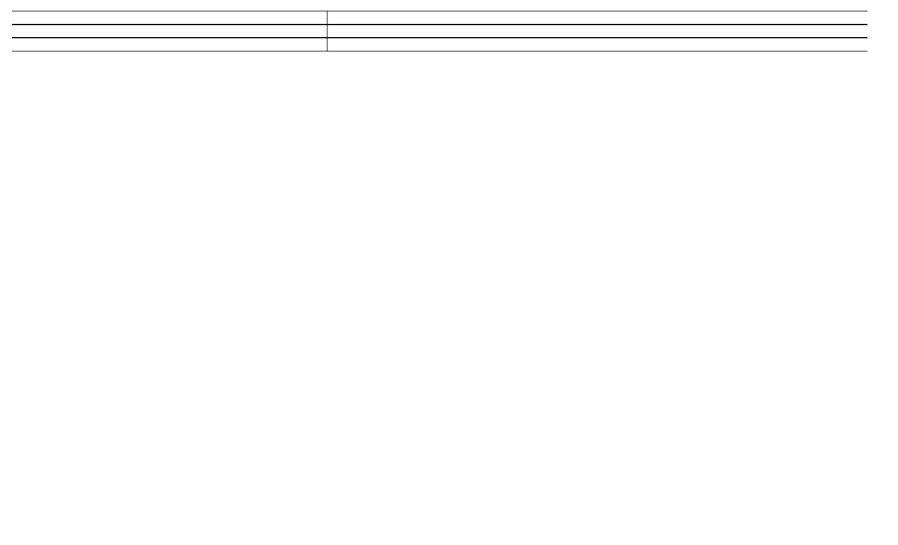| ,一个人都是一个人的人,而且,他们的人都是一个人,而且,他们的人都是一个人,而且,他们的人都是一个人,而且,他们的人都是一个人,而且,他们的人都是一个人,而且,他<br>第二十一章 一个人,他们的人都是一个人,他们的人都是一个人,他们的人都是一个人,他们的人都是一个人,他们的人都是一个人,他们的人都是一个人,他们的人都是一个人, | ,我们也不会不会。""我们的,我们也不会不会。""我们的,我们也不会不会不会。""我们的,我们也不会不会不会。""我们的,我们也不会不会不会。""我们的,我们也 |
|-----------------------------------------------------------------------------------------------------------------------------------------------------------------------|----------------------------------------------------------------------------------|
|                                                                                                                                                                       |                                                                                  |
|                                                                                                                                                                       |                                                                                  |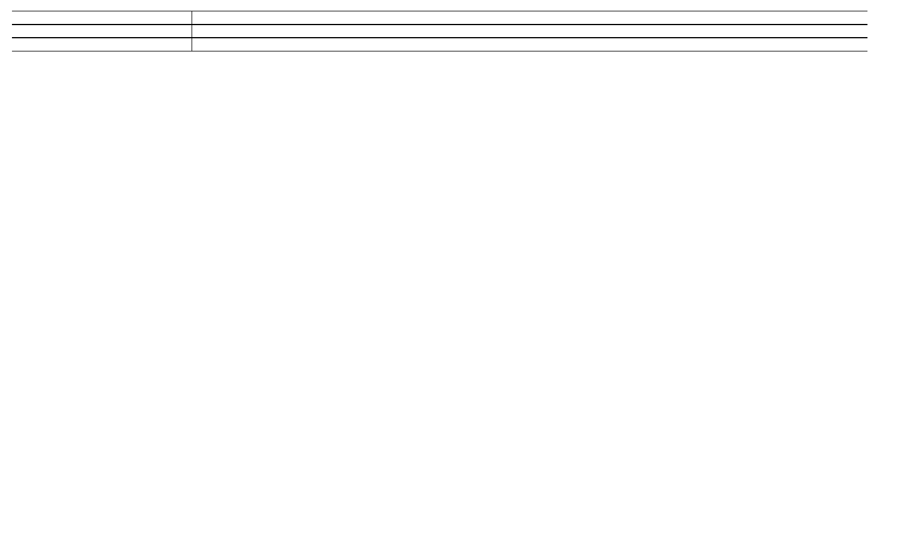| ,一个人的人都是一个人的人,而且,他们的人都是一个人的人,而且,他们的人都是一个人的人,而且,他们的人都是一个人的人,而且,他们的人都是一个人的人,而且,他们的人<br>第一百一十一章 一个人的人,他们的人都是一个人的人,他们的人都是一个人的人,他们的人都是一个人的人,他们的人都是一个人的人,他们的人都是一个人的人,他们的人都是<br>,我们就会不会不会。""我们,我们就会不会不会不会。""我们,我们就会不会不会不会不会不会。""我们,我们就会不会不会不会不会。""我们,我们就会不会不会不会不 |
|-----------------------------------------------------------------------------------------------------------------------------------------------------------------------------------------------------------------------------------------------------------|
| ,一个人都是一个人的人,而且,他们的人都是一个人,而且,他们的人都是一个人,而且,他们的人都是一个人,而且,他们的人都是一个人,而且,他们的人都是一个人,而且,他<br>第二十一章 一个人,他们的人都是一个人,他们的人都是一个人,他们的人都是一个人,他们的人都是一个人,他们的人都是一个人,他们的人都是一个人,他们的人都是一个人,                                                                                     |
|                                                                                                                                                                                                                                                           |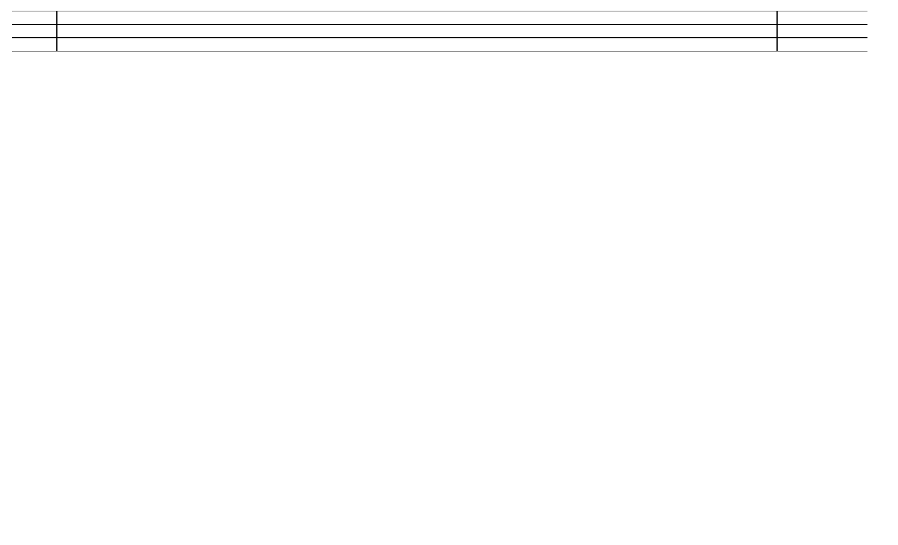| <u>та на представљен под податковата на представљен податковата на представљен податковата на представљен податк</u> |  |
|----------------------------------------------------------------------------------------------------------------------|--|
|                                                                                                                      |  |
| ,一个人都是一个人的人,一个人都是一个人的人,一个人都是一个人的人,一个人都是一个人的人,一个人都是一个人的人,一个人都是一个人的人,一个人都是一个人的人,一个人                                    |  |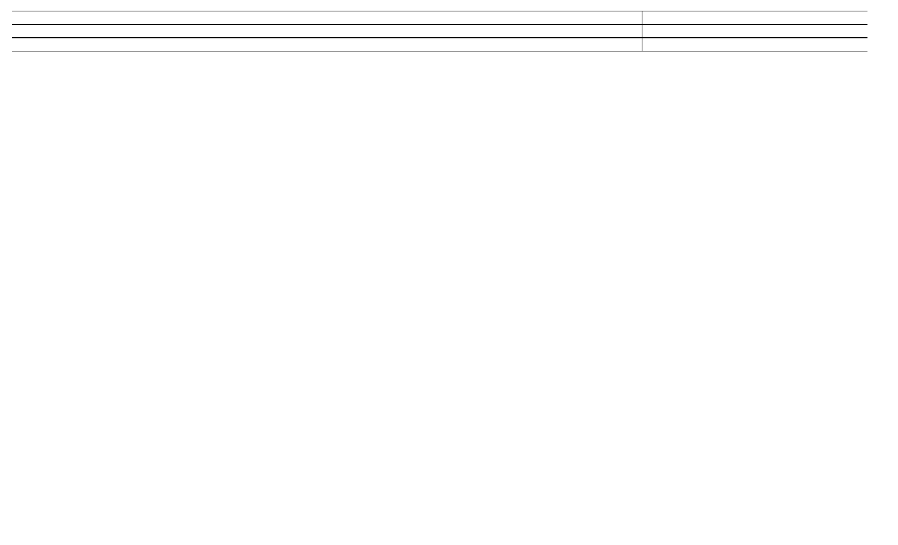| ,一个人都是一个人的人,一个人都是一个人的人,一个人都是一个人的人,一个人都是一个人的人,一个人都是一个人的人,一个人都是一个人的人,一个人都是一个人的人,一个人<br>→ South State State State State State State State State State State State State State State State State State State State State State State State State State State State State State State State State State State State St |  |
|-------------------------------------------------------------------------------------------------------------------------------------------------------------------------------------------------------------------------------------------------------------------------------------------------------------------|--|
| ,一个人的人都是一个人的人,而且,他们的人都是不是一个人的人,而且,他们的人都是不是一个人的人,而且,他们的人都是不是一个人的人,而且,他们的人都是不是一个人的<br>第一百一十一章 一个人的人,他们的人都是不是一个人的人,他们的人都是不是一个人的人,他们的人都是不是一个人的人,他们的人都是不是一个人的人,他们的人都是不是一个                                                                                                                                              |  |
| ,我们也不会不会不会。""我们的,我们也不会不会不会。""我们的,我们也不会不会不会不会不会。""我们的,我们也不会不会不会不会。""我们的,我们也不会不会不会<br>第二百一章 第二百一章 第二百一章 第二百一章 第二百一章 第二百一章 第二百一章 第二百一章 第二百一章 第二百一章 第二百一章 第二百一章 第二百一章 第二                                                                                                                                              |  |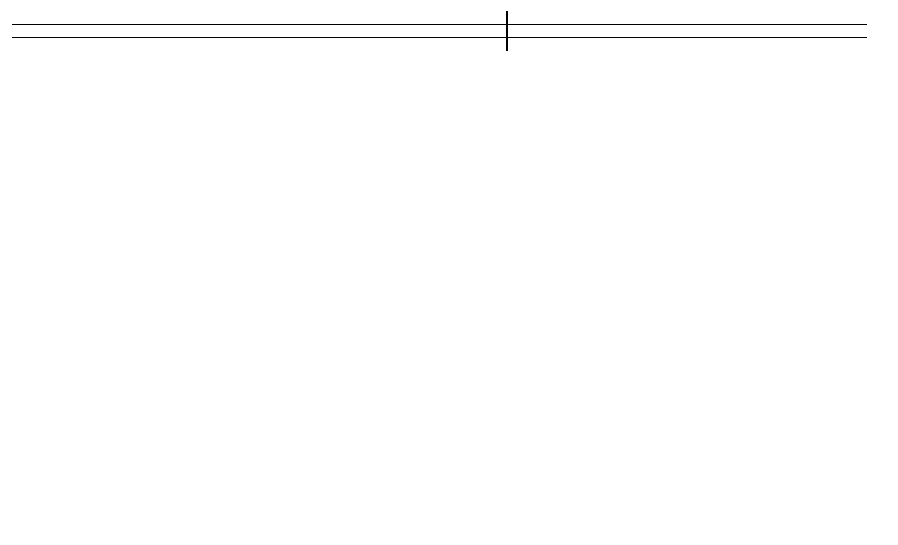| ,一个人都是一个人的人,而且,他们的人都是一个人,而且,他们的人都是一个人,而且,他们的人都是一个人,而且,他们的人都是一个人,而且,他们的人都是一个人,而且,他<br>第二十二章 第二十二章 第二十二章 第二十二章 第二十二章 第二十二章 第二十二章 第二十二章 第二十二章 第二十二章 第二十二章 第二十二章 第二十二章 第二十 |  |
|------------------------------------------------------------------------------------------------------------------------------------------------------------------------|--|
|                                                                                                                                                                        |  |
| ,我们就会不会不会。""我们的,我们也不会不会不会。""我们的,我们也不会不会不会不会不会。""我们的,我们也不会不会不会不会。""我们的,我们也不会不会不会不                                                                                       |  |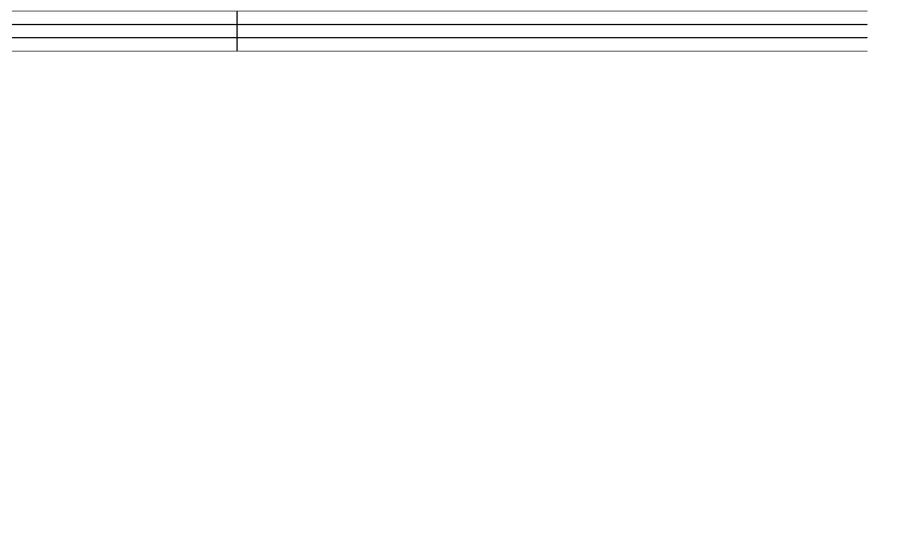| ,我们就会不会不会。""我们,我们也不会不会不会。""我们,我们也不会不会不会不会不会不会。""我们,我们也不会不会不会不会。""我们,我们也不会不会不会不会不  |
|-----------------------------------------------------------------------------------|
| ,一个人都是一个人的人,一个人都是一个人的人,一个人都是一个人的人,一个人都是一个人的人,一个人都是一个人的人,一个人都是一个人的人,一个人都是一个人的人,一个人 |
|                                                                                   |
| ,一个人都是一个人的人,而且,我们也不会不会不会。""我们,我们也不会不会不会不会。""我们,我们也不会不会不会不会。""我们,我们也不会不会不会不会。""我们, |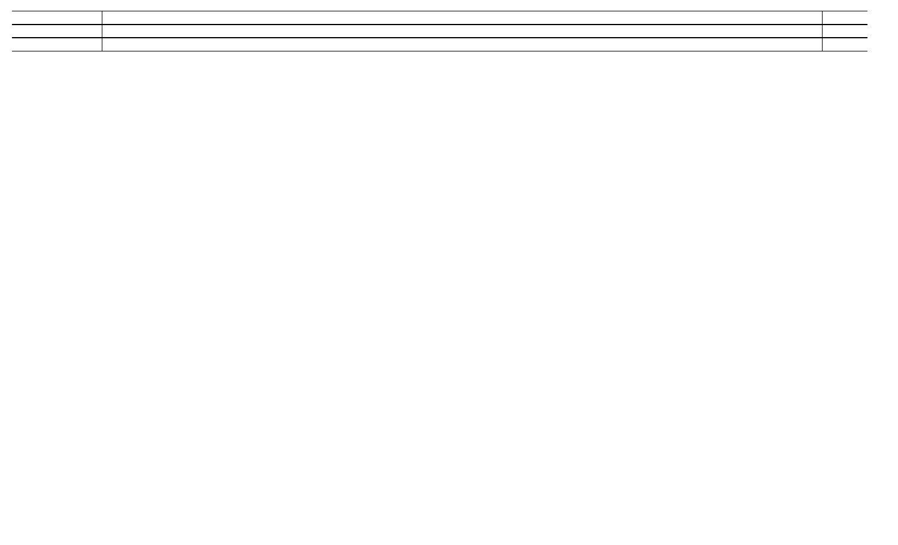| ,一个人都是一个人的人,一个人都是一个人的人,一个人都是一个人的人,一个人都是一个人的人,一个人都是一个人的人,一个人都是一个人的人,一个人都是一个人的人,一个人<br>第二十一章 一个人的人,一个人都是一个人的人,一个人都是一个人的人,一个人都是一个人的人,一个人都是一个人的人,一个人都是一个人的人,一个人都是一个人的人,一个<br>,一个人都是一个人的人,一个人都是一个人的人,一个人都是一个人的人,一个人都是一个人的人,一个人都是一个人的人,一个人都是一个人的人,一个人都是一个人的人,一个人<br>第二十一章 一个人的人,一个人的人都是一个人的人,一个人的人都是一个人的人,一个人的人都是一个人的人,一个人的人都是一个人的人,一个人的人都是一个人的人,一个人 |  |
|------------------------------------------------------------------------------------------------------------------------------------------------------------------------------------------------------------------------------------------------------------------------------------------------------------------------------------------------|--|
| ,一个人的人都是一个人的人,而且,他们的人都是一个人的人,而且,他们的人都是一个人的人,而且,他们的人都是一个人的人,而且,他们的人都是一个人的人,而且,他们的<br>第一百一十一章 一个人的人,他们的人都是一个人的人,他们的人都是一个人的人,他们的人都是一个人的人,他们的人都是一个人的人,他们的人都是一个人的人,他们的人都是                                                                                                                                                                           |  |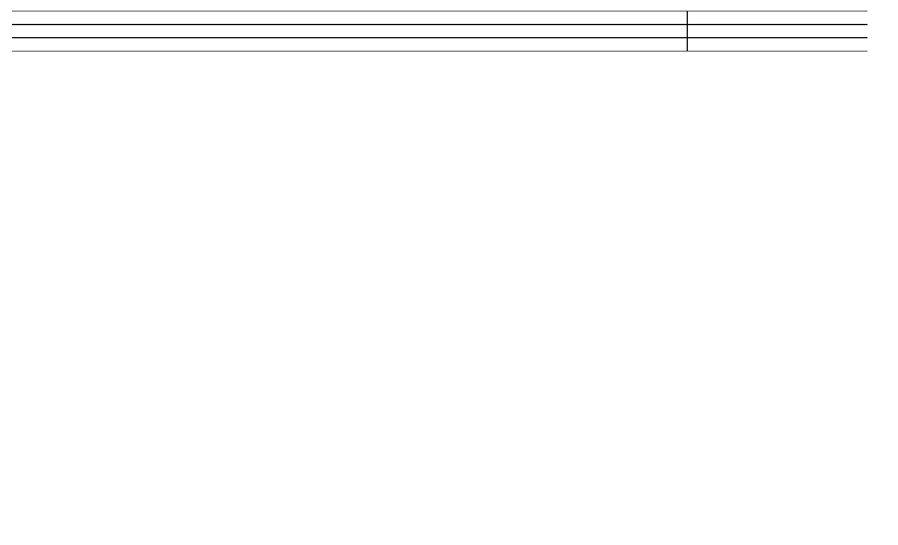| ,我们就会不会不会。""我们,我们也不会不会不会。""我们,我们也不会不会不会不会不会不会不会。""我们,我们也不会不会不会不会不会。""我们,我们也不会不会不  |  |
|-----------------------------------------------------------------------------------|--|
| ,一个人的人都是一个人的人,而且,他们的人都是一个人的人,而且,他们的人都是一个人的人,而且,他们的人都是一个人的人,而且,他们的人都是一个人的人,而且,他们的人 |  |
|                                                                                   |  |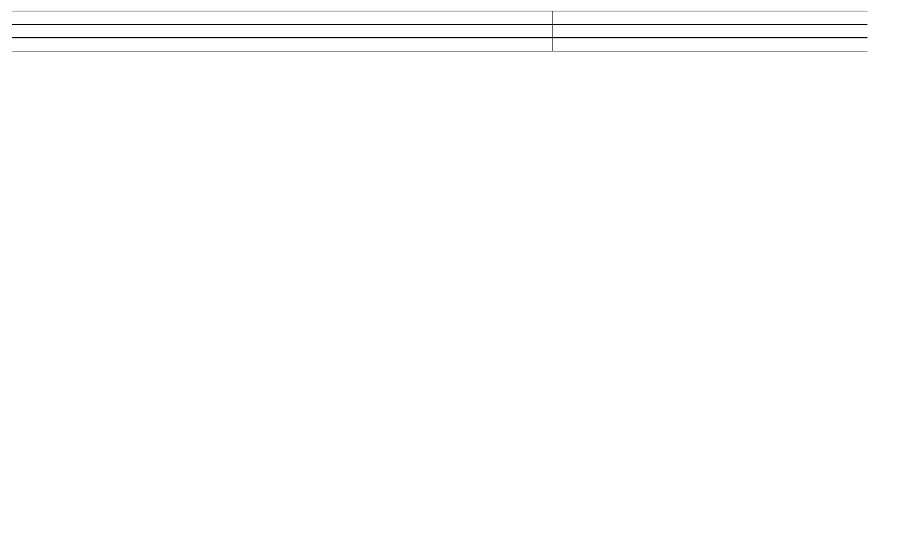| → 中国的 → 中国的 → 中国的 → 中国的 → 中国的 → 中国的 → 中国的 → 中国的 → 中国的 → 中国的 → 中国的 → 中国的 → 中国的 → 中国的 → 中国的 → 中国的 → 中国的 → 中国的 → 中国 |  |
|------------------------------------------------------------------------------------------------------------------|--|
|                                                                                                                  |  |
|                                                                                                                  |  |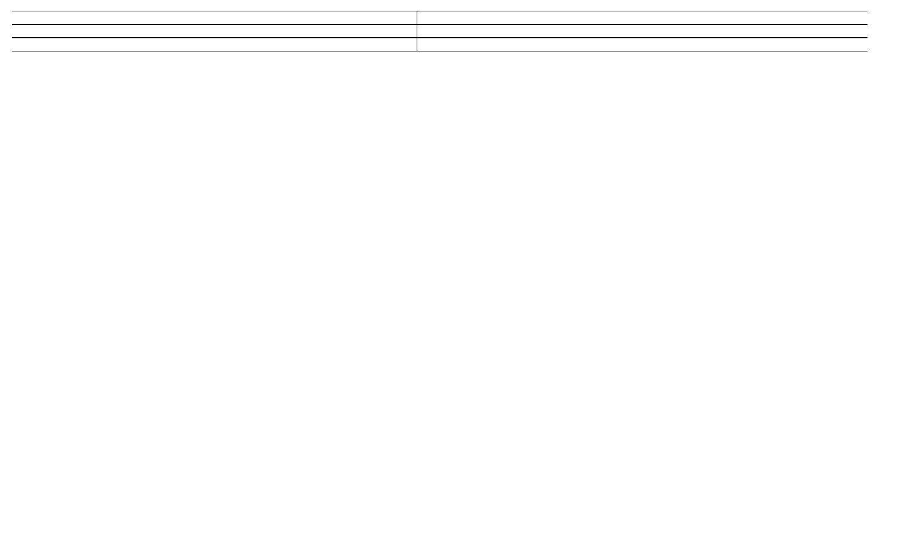| ,我们就会不会不会。""我们,我们就会不会不会不会,我们就会不会不会不会。""我们,我们就会不会不会不会。""我们,我们就会不会不会不会。""我们,我们就会不会 |                                                                                   |
|----------------------------------------------------------------------------------|-----------------------------------------------------------------------------------|
|                                                                                  | ,我们也不会不会不会。""我们的,我们也不会不会不会。""我们的,我们也不会不会不会不会。""我们的,我们也不会不会不会不会。""我们的,我们也不会不会不会不会  |
|                                                                                  | ,我们就会不会不会。""我们,我们就会不会不会,我们就会不会不会,我们就会不会不会。""我们,我们就会不会不会。""我们,我们就会不会不会不会。""我们,我们就会 |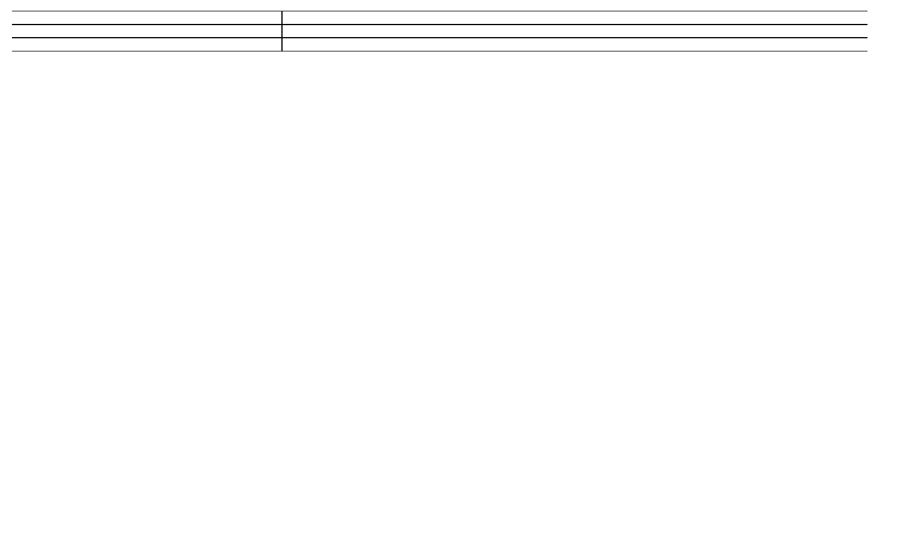| ,一个人都是一个人的人,而且,我们也不会不会不会。""我们,我们也不会不会不会不会不会不会不会。""我们,我们也不会不会不会不会不会不会不会不会。""我们,我们                                                                                     |
|----------------------------------------------------------------------------------------------------------------------------------------------------------------------|
|                                                                                                                                                                      |
| ,他们的人们就会在这里,他们的人们就会在这里,他们的人们就会在这里,他们的人们就会在这里,他们的人们就会在这里,他们的人们就会在这里,他们的人们就会在这里,他们<br>第251章 我们的人们的人们,我们的人们的人们的人们,我们的人们的人们的人们,我们的人们的人们的人们,我们的人们的人们的人们,我们的人们的人们的人们,我们的人们 |
|                                                                                                                                                                      |
|                                                                                                                                                                      |
|                                                                                                                                                                      |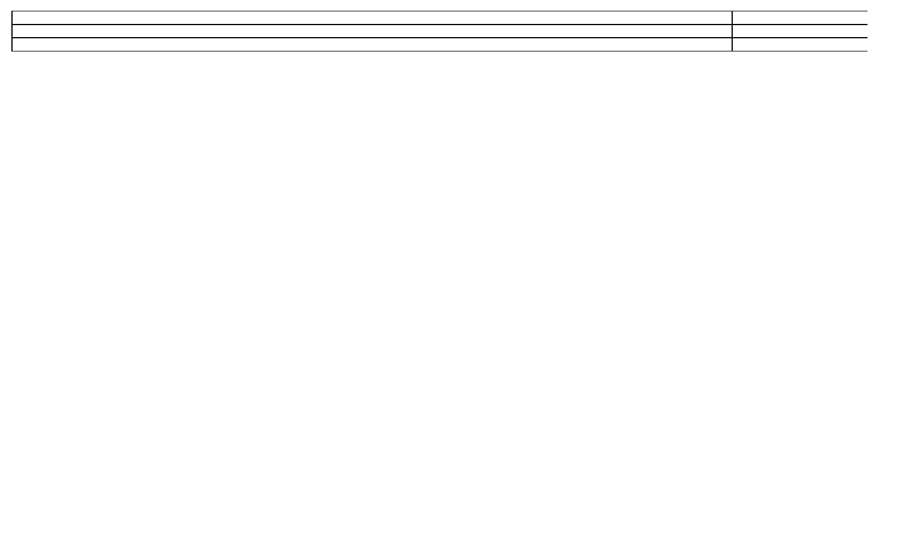| ,他们的人们就是一个人,他们的人们就是一个人,他们的人们,他们的人们就是一个人,他们的人们,他们的人们就是一个人,他们的人们,他们的人们,他们的人们,他们的人们,<br>第25章 我们的人们,他们的人们,他们的人们,他们的人们,他们的人们,他们的人们,他们的人们,他们的人们,他们的人们,他们的人们,他们的人们,他们的人们,他们的 |  |
|-----------------------------------------------------------------------------------------------------------------------------------------------------------------------|--|
| ,一个人都是一个人的人,而且,他们的人都是一个人,而且,他们的人都是一个人,而且,他们的人都是一个人,而且,他们的人都是一个人,而且,他们的人都是一个人,而且,他<br>第二百一十一章 一个人,他们的人都是一个人,他们的人都是一个人,他们的人都是一个人,他们的人都是一个人,他们的人都是一个人,他们的人都是一个人,他们的人都是一个 |  |
| ,一个人都是一个人的人,而且,他们的人都是一个人,他们的人都是一个人,他们的人都是一个人,他们的人都是一个人,他们的人都是一个人,他们的人都是一个人,他们的人都是                                                                                     |  |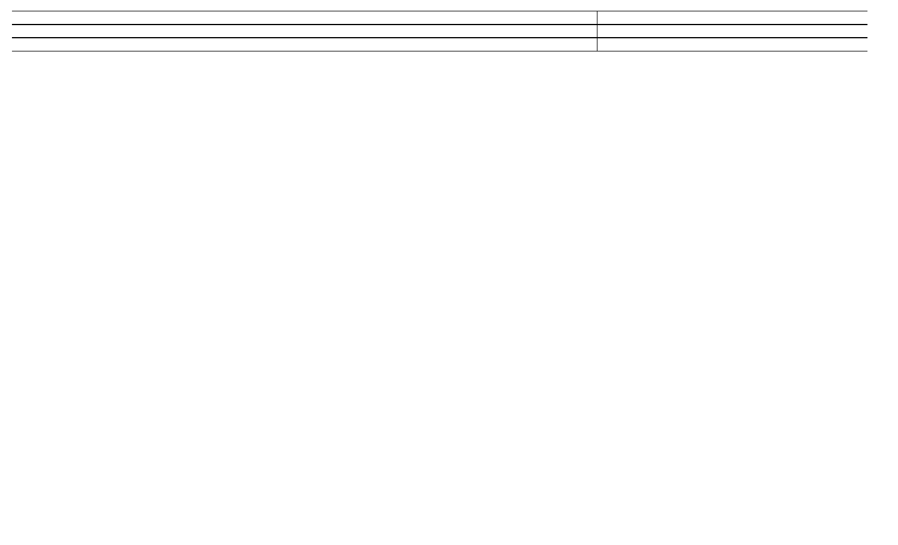| ,一个人都是一个人的人,而且,我们也不会不会不会。""我们,我们也不会不会不会不会不会不会不会不会。""我们,我们也不会不会不会不会不会不会不会不会。""我们,我<br>,他们的人们也不会不会。""我们的人们,我们也不会不会不会。""我们的人们,我们也不会不会不会。""我们的人们,我们也不会不会不会。""我们的人们,我们也不会不 |  |
|-----------------------------------------------------------------------------------------------------------------------------------------------------------------------|--|
| ,我们也不会不会不会。""我们的,我们也不会不会不会。""我们的,我们也不会不会不会不会。""我们的,我们也不会不会不会不会。""我们的,我们也不会不会不会不会                                                                                      |  |
|                                                                                                                                                                       |  |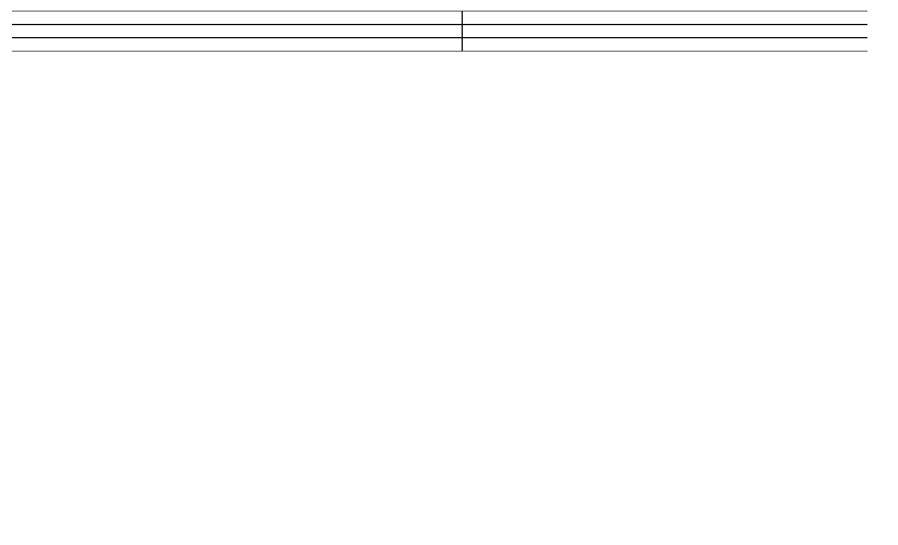| <u> 2001 - An t-An Aontaithe ann an t-Aontaithe ann an t-Aontaithe ann an t-Aontaithe ann an t-Aontaithe ann an t-</u> |
|------------------------------------------------------------------------------------------------------------------------|
|                                                                                                                        |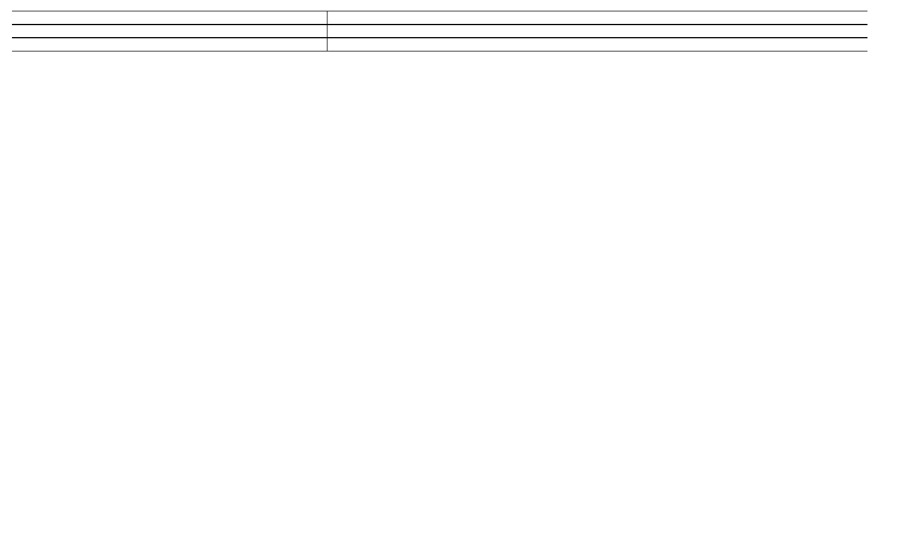| ,一个人都是一个人的人,而且,他们的人都是一个人,而且,他们的人都是一个人,而且,他们的人都是一个人,而且,他们的人都是一个人,而且,他们的人都是一个人,而且,他<br>第二十一章 一个人,他们的人都是一个人,他们的人都是一个人,他们的人都是一个人,他们的人都是一个人,他们的人都是一个人,他们的人都是一个人,他们的人都是一个人, | ,我们也不会不会。""我们的,我们也不会不会。""我们的,我们也不会不会不会。""我们的,我们也不会不会不会。""我们的,我们也不会不会不会。""我们的,我们也 |
|-----------------------------------------------------------------------------------------------------------------------------------------------------------------------|----------------------------------------------------------------------------------|
|                                                                                                                                                                       |                                                                                  |
|                                                                                                                                                                       |                                                                                  |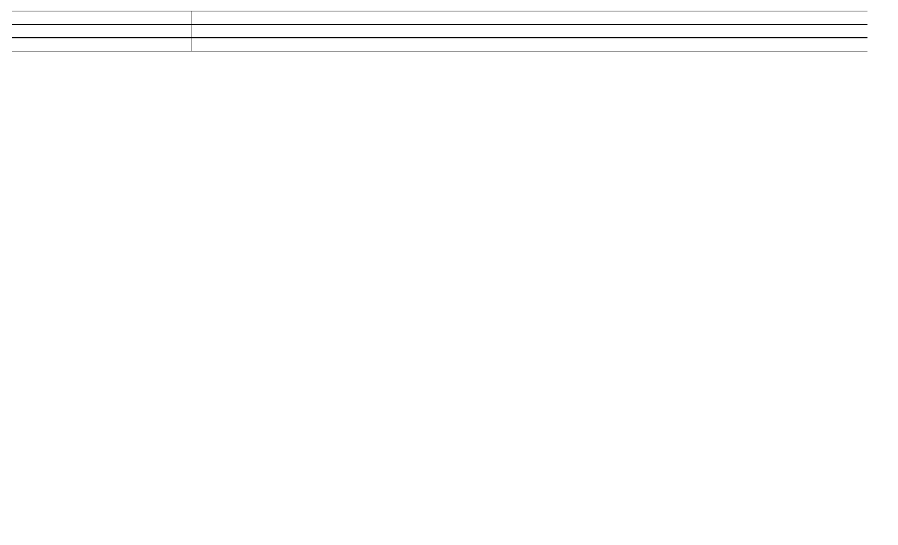| ,一个人的人都是一个人的人,而且,他们的人都是一个人的人,而且,他们的人都是一个人的人,而且,他们的人都是一个人的人,而且,他们的人都是一个人的人,而且,他们的人<br>第一百一十一章 一个人的人,他们的人都是一个人的人,他们的人都是一个人的人,他们的人都是一个人的人,他们的人都是一个人的人,他们的人都是一个人的人,他们的人都是<br>,我们就会不会不会。""我们,我们就会不会不会不会。""我们,我们就会不会不会不会不会不会。""我们,我们就会不会不会不会不会。""我们,我们就会不会不会不会不 |
|-----------------------------------------------------------------------------------------------------------------------------------------------------------------------------------------------------------------------------------------------------------|
| ,一个人都是一个人的人,而且,他们的人都是一个人,而且,他们的人都是一个人,而且,他们的人都是一个人,而且,他们的人都是一个人,而且,他们的人都是一个人,而且,他<br>第二十一章 一个人,他们的人都是一个人,他们的人都是一个人,他们的人都是一个人,他们的人都是一个人,他们的人都是一个人,他们的人都是一个人,他们的人都是一个人,                                                                                     |
|                                                                                                                                                                                                                                                           |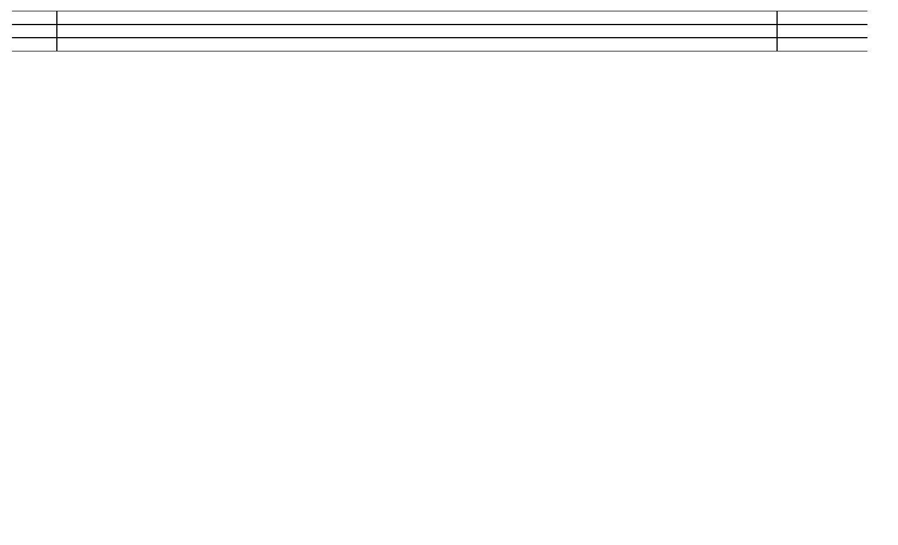| <u>та на представљен под податковата на представљен податковата на представљен податковата на представљен податк</u> |  |
|----------------------------------------------------------------------------------------------------------------------|--|
|                                                                                                                      |  |
| ,一个人都是一个人的人,一个人都是一个人的人,一个人都是一个人的人,一个人都是一个人的人,一个人都是一个人的人,一个人都是一个人的人,一个人都是一个人的人,一个人                                    |  |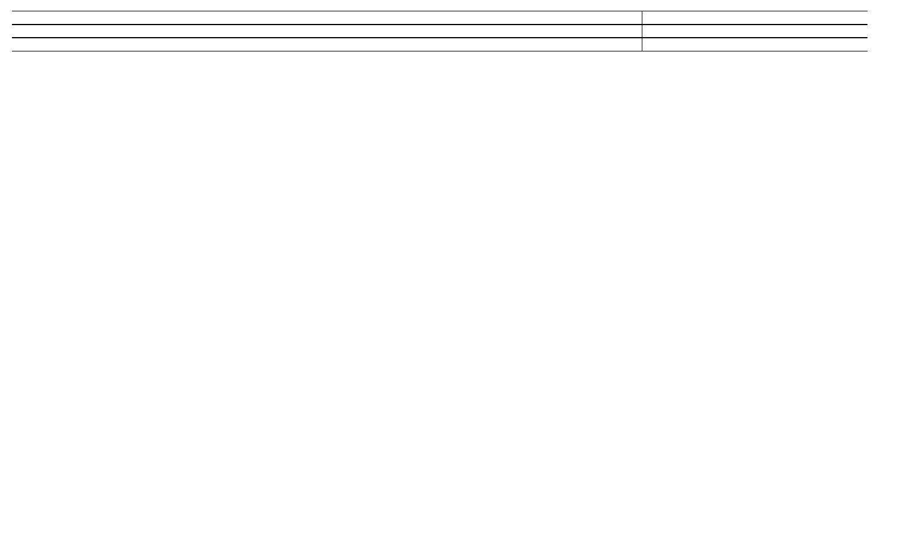| ,一个人都是一个人的人,一个人都是一个人的人,一个人都是一个人的人,一个人都是一个人的人,一个人都是一个人的人,一个人都是一个人的人,一个人都是一个人的人,一个人<br>→ South State State State State State State State State State State State State State State State State State State State State State State State State State State State State State State State State State State State St |  |
|-------------------------------------------------------------------------------------------------------------------------------------------------------------------------------------------------------------------------------------------------------------------------------------------------------------------|--|
| ,一个人的人都是一个人的人,而且,他们的人都是不是一个人的人,而且,他们的人都是不是一个人的人,而且,他们的人都是不是一个人的人,而且,他们的人都是不是一个人的<br>第一百一十一章 一个人的人,他们的人都是不是一个人的人,他们的人都是不是一个人的人,他们的人都是不是一个人的人,他们的人都是不是一个人的人,他们的人都是不是一个                                                                                                                                              |  |
| ,我们也不会不会不会。""我们的,我们也不会不会不会。""我们的,我们也不会不会不会不会不会。""我们的,我们也不会不会不会不会。""我们的,我们也不会不会不会<br>第二百一章 第二百一章 第二百一章 第二百一章 第二百一章 第二百一章 第二百一章 第二百一章 第二百一章 第二百一章 第二百一章 第二百一章 第二百一章 第二                                                                                                                                              |  |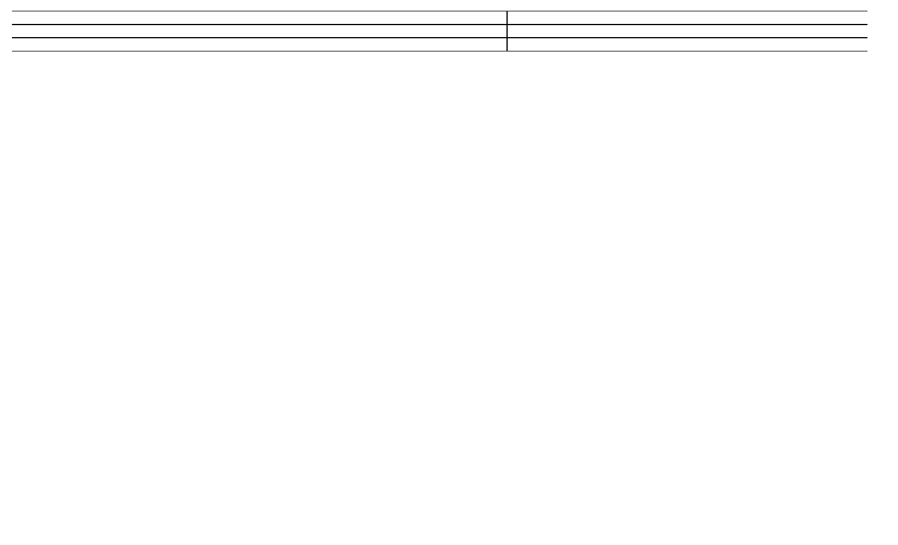| ,一个人都是一个人的人,而且,他们的人都是一个人,而且,他们的人都是一个人,而且,他们的人都是一个人,而且,他们的人都是一个人,而且,他们的人都是一个人,而且,他<br>第二十二章 第二十二章 第二十二章 第二十二章 第二十二章 第二十二章 第二十二章 第二十二章 第二十二章 第二十二章 第二十二章 第二十二章 第二十二章 第二十 |  |
|------------------------------------------------------------------------------------------------------------------------------------------------------------------------|--|
|                                                                                                                                                                        |  |
| ,一个人的人都是一个人的人,而且,他们的人都是一个人的人,而且,他们的人都是一个人的人,而且,他们的人都是一个人的人,而且,他们的人都是一个人的人,而且,他们的人                                                                                      |  |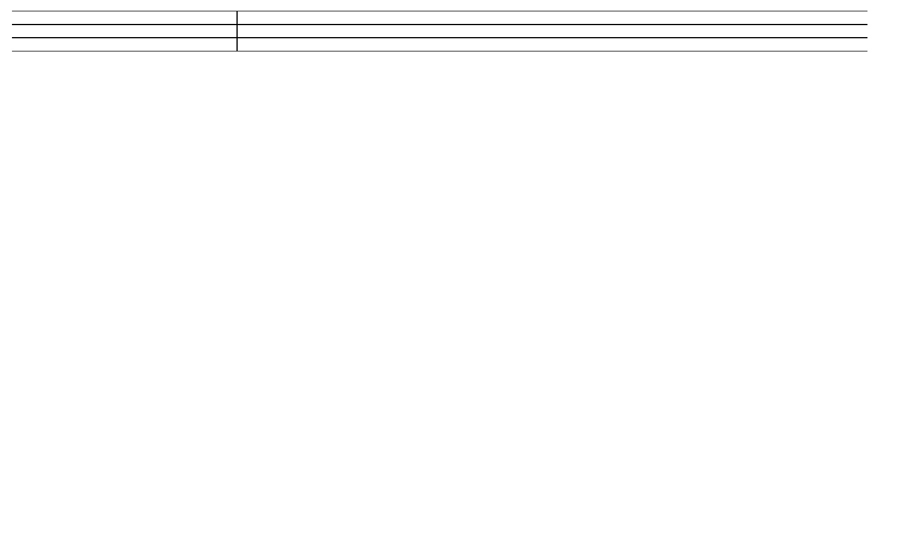| ,我们就会不会不会。""我们,我们也不会不会不会。""我们,我们也不会不会不会不会不会不会。""我们,我们也不会不会不会不会。""我们,我们也不会不会不会不会不  |
|-----------------------------------------------------------------------------------|
| ,一个人都是一个人的人,一个人都是一个人的人,一个人都是一个人的人,一个人都是一个人的人,一个人都是一个人的人,一个人都是一个人的人,一个人都是一个人的人,一个人 |
|                                                                                   |
| ,一个人都是一个人的人,而且,我们也不会不会不会。""我们,我们也不会不会不会不会不会不会不会。""我们,我们也不会不会不会不会不会不会不会不会。""我们,我们  |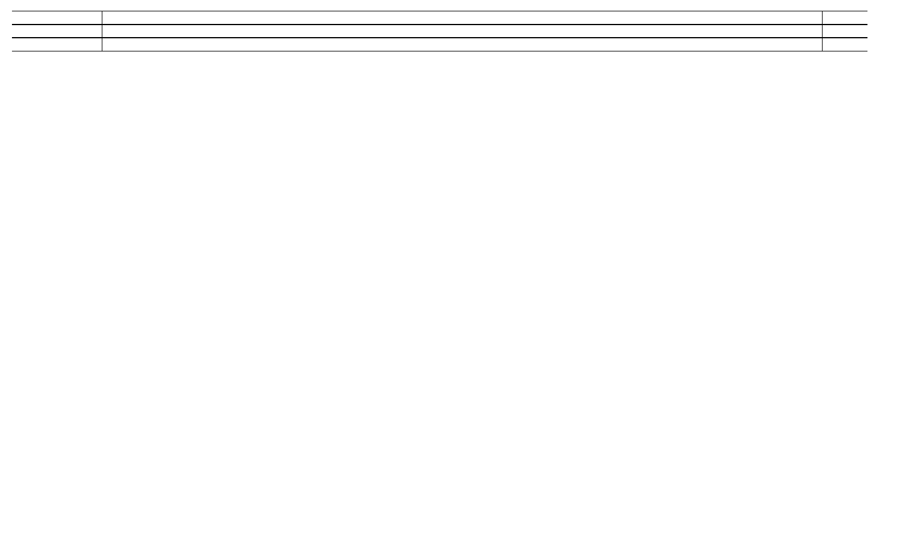| ,一个人都是一个人的人,一个人都是一个人的人,一个人都是一个人的人,一个人都是一个人的人,一个人都是一个人的人,一个人都是一个人的人,一个人都是一个人的人,一个人<br>第二十一章 一个人的人,一个人都是一个人的人,一个人都是一个人的人,一个人都是一个人的人,一个人都是一个人的人,一个人都是一个人的人,一个人都是一个人的人,一个<br>,一个人都是一个人的人,一个人都是一个人的人,一个人都是一个人的人,一个人都是一个人的人,一个人都是一个人的人,一个人都是一个人的人,一个人都是一个人的人,一个人<br>第二十一章 一个人的人,一个人都是一个人的人,一个人都是一个人的人,一个人都是一个人的人,一个人都是一个人的人,一个人都是一个人的人,一个人都是一个人的人,一个 |  |
|------------------------------------------------------------------------------------------------------------------------------------------------------------------------------------------------------------------------------------------------------------------------------------------------------------------------------------------------|--|
| ,一个人的人都是一个人的人,而且,他们的人都是一个人的人,而且,他们的人都是一个人的人,而且,他们的人都是一个人的人,而且,他们的人都是一个人的人,而且,他们的<br>第一百一十一章 一个人的人,他们的人都是一个人的人,他们的人都是一个人的人,他们的人都是一个人的人,他们的人都是一个人的人,他们的人都是一个人的人,他们的人都是                                                                                                                                                                           |  |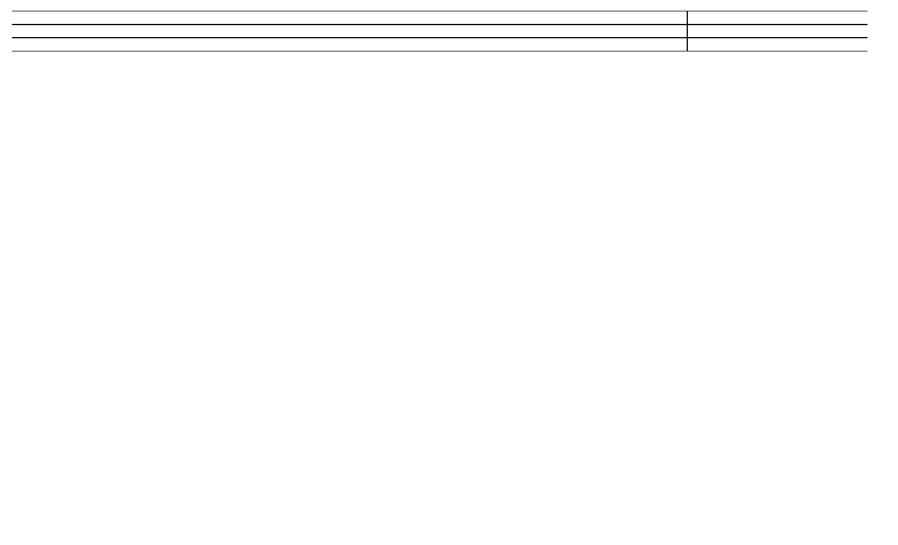| ,一个人的人都是一个人的人,而且,我们也不会不会不会。""我们,我们也不会不会不会不会不会不会。""我们,我们也不会不会不会不会。""我们,我们也不会不会不会不 |  |
|----------------------------------------------------------------------------------|--|
|                                                                                  |  |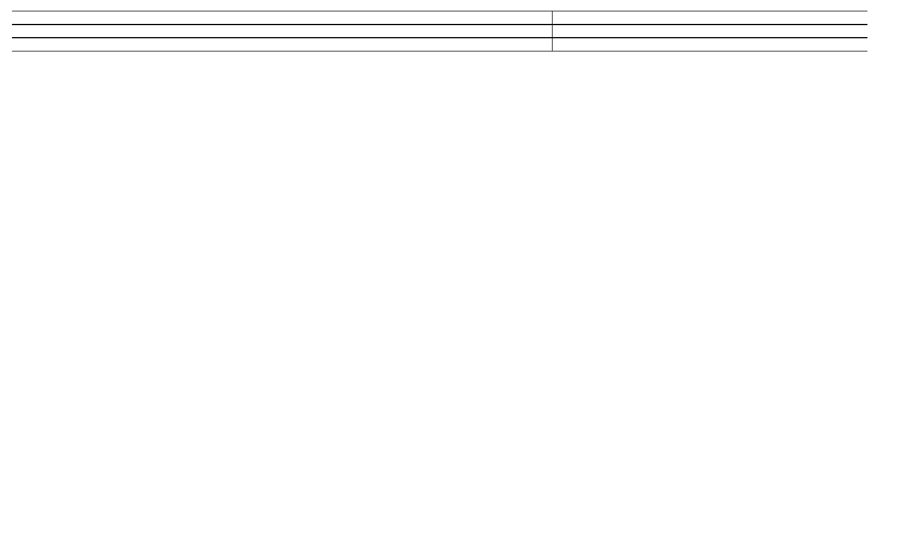| → 中国的 → 中国的 → 中国的 → 中国的 → 中国的 → 中国的 → 中国的 → 中国的 → 中国的 → 中国的 → 中国的 → 中国的 → 中国的 → 中国的 → 中国的 → 中国的 → 中国的 → 中国的 → 中国 |  |
|------------------------------------------------------------------------------------------------------------------|--|
|                                                                                                                  |  |
|                                                                                                                  |  |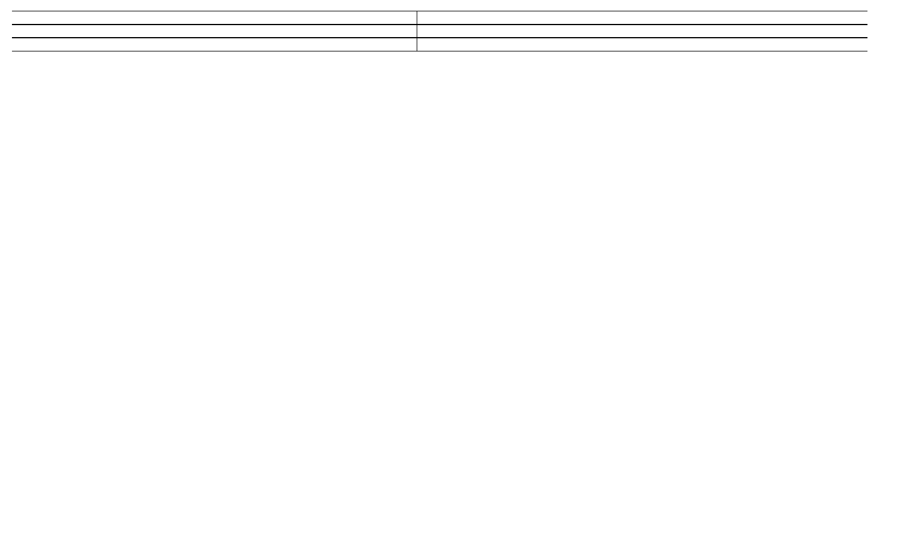| ,我们就会不会不会。""我们,我们就会不会不会不会,我们就会不会不会不会。""我们,我们就会不会不会不会。""我们,我们就会不会不会不会。""我们,我们就会不会 |                                                                                   |
|----------------------------------------------------------------------------------|-----------------------------------------------------------------------------------|
|                                                                                  | ,我们也不会不会不会。""我们的,我们也不会不会不会。""我们的,我们也不会不会不会不会。""我们的,我们也不会不会不会不会。""我们的,我们也不会不会不会不会  |
|                                                                                  | ,我们就会不会不会。""我们,我们就会不会不会,我们就会不会不会,我们就会不会不会。""我们,我们就会不会不会。""我们,我们就会不会不会不会。""我们,我们就会 |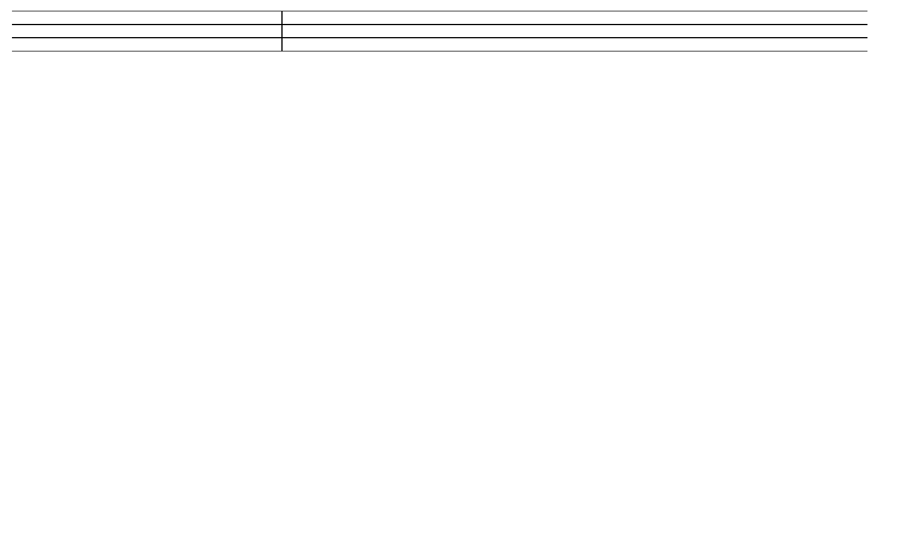| ,一个人都是一个人的人,我们就是一个人的人,我们就是一个人的人,我们就是一个人的人,我们就是一个人的人,我们就是一个人的人,我们就是一个人的人,我们就是一个人的<br>第一百一十一章 一个人的人,我们就是一个人的人,我们就是一个人的人,我们就是一个人的人,我们就是一个人的人,我们就是一个人的人,我们就是一个人的人,我们就是一个 |
|----------------------------------------------------------------------------------------------------------------------------------------------------------------------|
|                                                                                                                                                                      |
|                                                                                                                                                                      |
|                                                                                                                                                                      |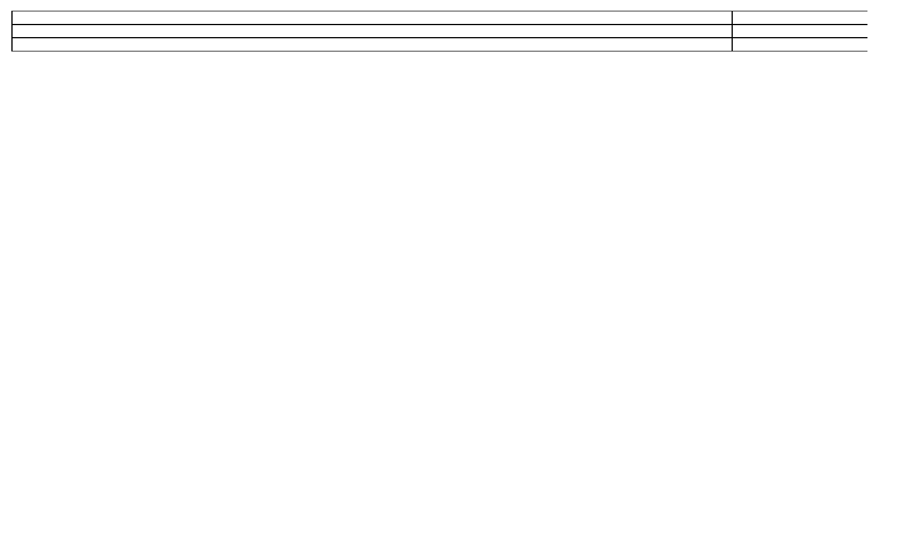| ,他们的人们就是一个人,他们的人们就是一个人,他们的人们,他们的人们就是一个人,他们的人们,他们的人们就是一个人,他们的人们,他们的人们,他们的人们,他们的人们,<br>第25章 我们的人们,他们的人们,他们的人们,他们的人们,他们的人们,他们的人们,他们的人们,他们的人们,他们的人们,他们的人们,他们的人们,他们的人们,他们的 |  |
|-----------------------------------------------------------------------------------------------------------------------------------------------------------------------|--|
| ,一个人都是一个人的人,而且,他们的人都是一个人,而且,他们的人都是一个人,而且,他们的人都是一个人,而且,他们的人都是一个人,而且,他们的人都是一个人,而且,他<br>第二百一十一章 一个人,他们的人都是一个人,他们的人都是一个人,他们的人都是一个人,他们的人都是一个人,他们的人都是一个人,他们的人都是一个人,他们的人都是一个 |  |
| ,一个人都是一个人的人,而且,他们的人都是一个人,他们的人都是一个人,他们的人都是一个人,他们的人都是一个人,他们的人都是一个人,他们的人都是一个人,他们的人都是                                                                                     |  |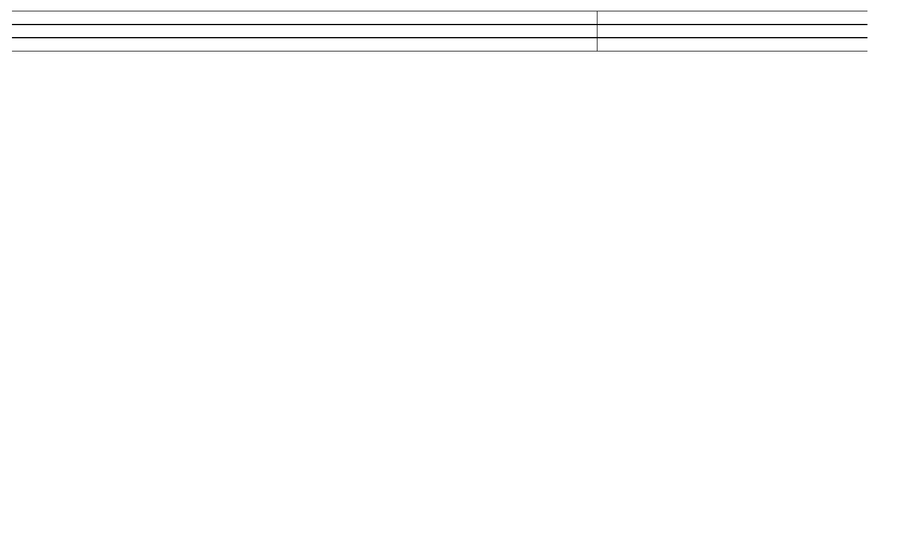| ,一个人都是一个人的人,而且,我们也不会不会不会。""我们,我们也不会不会不会不会不会不会不会不会。""我们,我们也不会不会不会不会不会不会不会不会。""我们,我<br>,他们的人们也不会不会。""我们的人们,我们也不会不会不会。""我们的人们,我们也不会不会不会。""我们的人们,我们也不会不会不会。""我们的人们,我们也不会不 |  |
|-----------------------------------------------------------------------------------------------------------------------------------------------------------------------|--|
| ,我们也不会不会不会。""我们的,我们也不会不会不会。""我们的,我们也不会不会不会不会。""我们的,我们也不会不会不会不会。""我们的,我们也不会不会不会不会                                                                                      |  |
|                                                                                                                                                                       |  |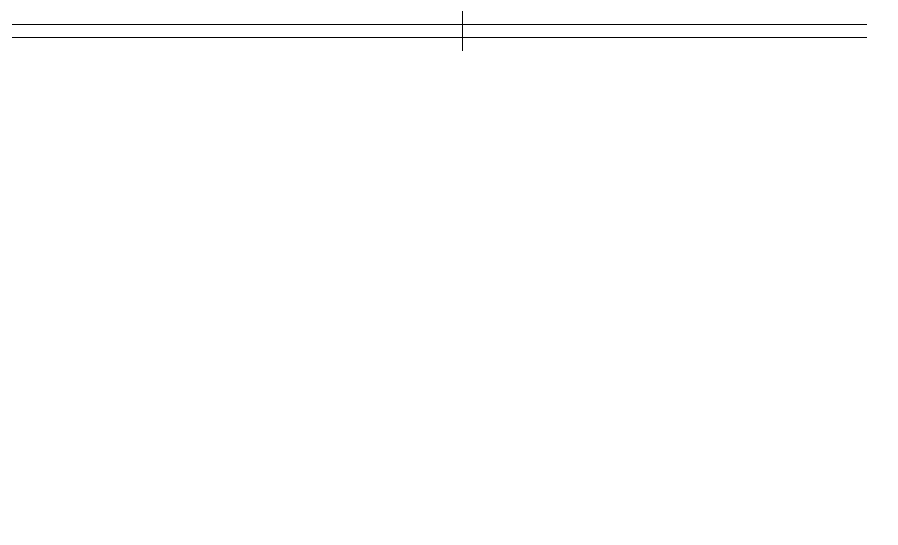| <u> 2001 - An t-An Aontaithe ann an t-Aontaithe ann an t-Aontaithe ann an t-Aontaithe ann an t-Aontaithe ann an t-</u> |
|------------------------------------------------------------------------------------------------------------------------|
|                                                                                                                        |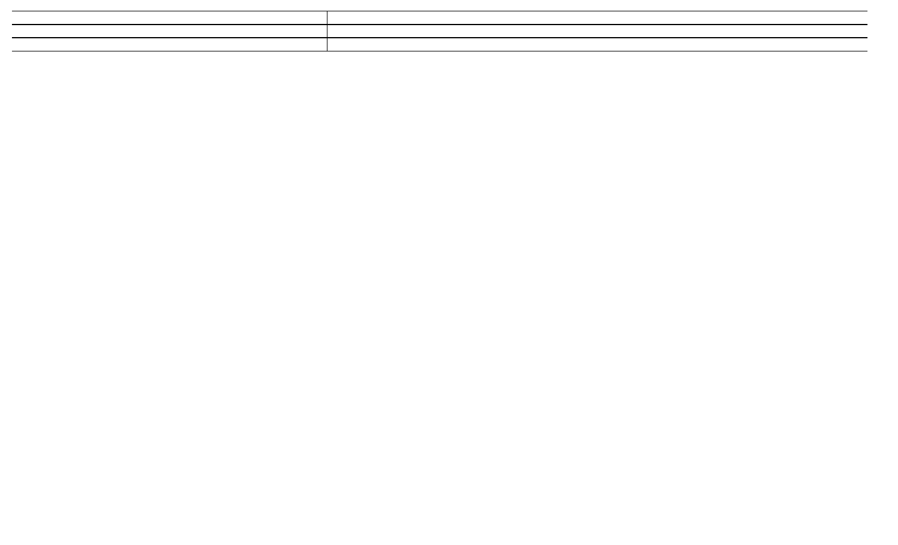| ,一个人都是一个人的人,而且,他们的人都是一个人,而且,他们的人都是一个人,而且,他们的人都是一个人,而且,他们的人都是一个人,而且,他们的人都是一个人,而且,他<br>第二十一章 一个人,他们的人都是一个人,他们的人都是一个人,他们的人都是一个人,他们的人都是一个人,他们的人都是一个人,他们的人都是一个人,他们的人都是一个人, | ,我们也不会不会。""我们的,我们也不会不会。""我们的,我们也不会不会不会。""我们的,我们也不会不会不会。""我们的,我们也不会不会不会。""我们的,我们也 |
|-----------------------------------------------------------------------------------------------------------------------------------------------------------------------|----------------------------------------------------------------------------------|
|                                                                                                                                                                       |                                                                                  |
|                                                                                                                                                                       |                                                                                  |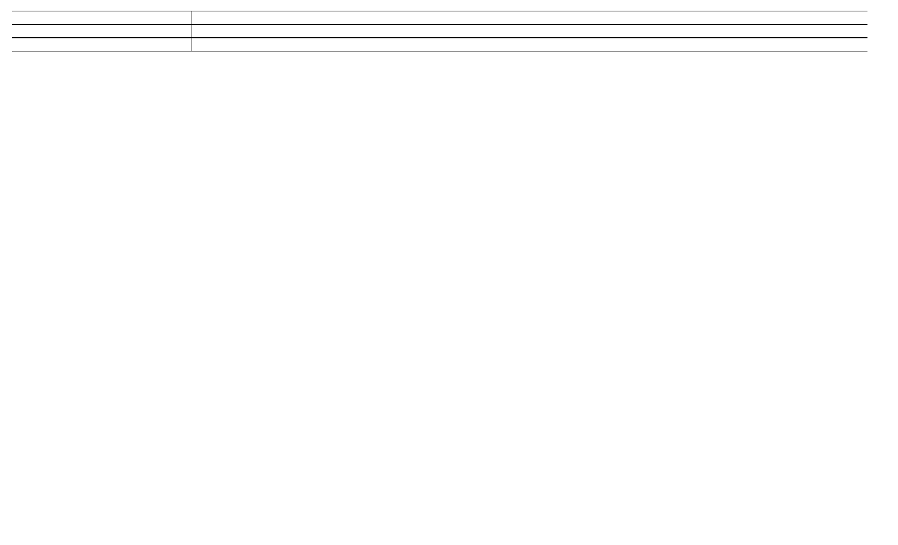| ,一个人的人都是一个人的人,而且,他们的人都是一个人的人,而且,他们的人都是一个人的人,而且,他们的人都是一个人的人,而且,他们的人都是一个人的人,而且,他们的人<br>第一百一十一章 一个人的人,他们的人都是一个人的人,他们的人都是一个人的人,他们的人都是一个人的人,他们的人都是一个人的人,他们的人都是一个人的人,他们的人都是<br>,我们就会不会不会。""我们,我们就会不会不会不会。""我们,我们就会不会不会不会不会不会。""我们,我们就会不会不会不会不会。""我们,我们就会不会不会不会不 |
|-----------------------------------------------------------------------------------------------------------------------------------------------------------------------------------------------------------------------------------------------------------|
| ,一个人都是一个人的人,而且,他们的人都是一个人,而且,他们的人都是一个人,而且,他们的人都是一个人,而且,他们的人都是一个人,而且,他们的人都是一个人,而且,他<br>第二十一章 一个人,他们的人都是一个人,他们的人都是一个人,他们的人都是一个人,他们的人都是一个人,他们的人都是一个人,他们的人都是一个人,他们的人都是一个人,                                                                                     |
|                                                                                                                                                                                                                                                           |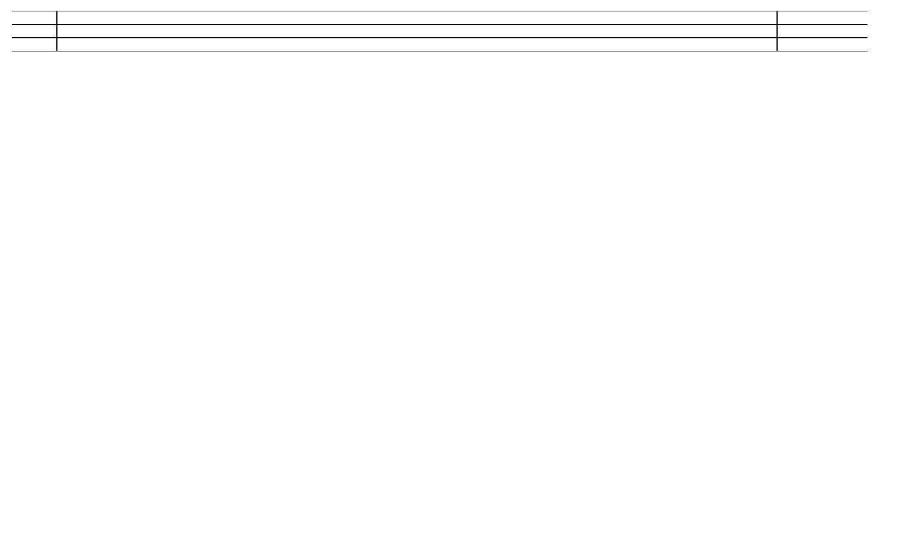| <u>та на представљен под податковата на представљен податковата на представљен податковата на представљен податк</u> |  |
|----------------------------------------------------------------------------------------------------------------------|--|
|                                                                                                                      |  |
| ,一个人都是一个人的人,一个人都是一个人的人,一个人都是一个人的人,一个人都是一个人的人,一个人都是一个人的人,一个人都是一个人的人,一个人都是一个人的人,一个人                                    |  |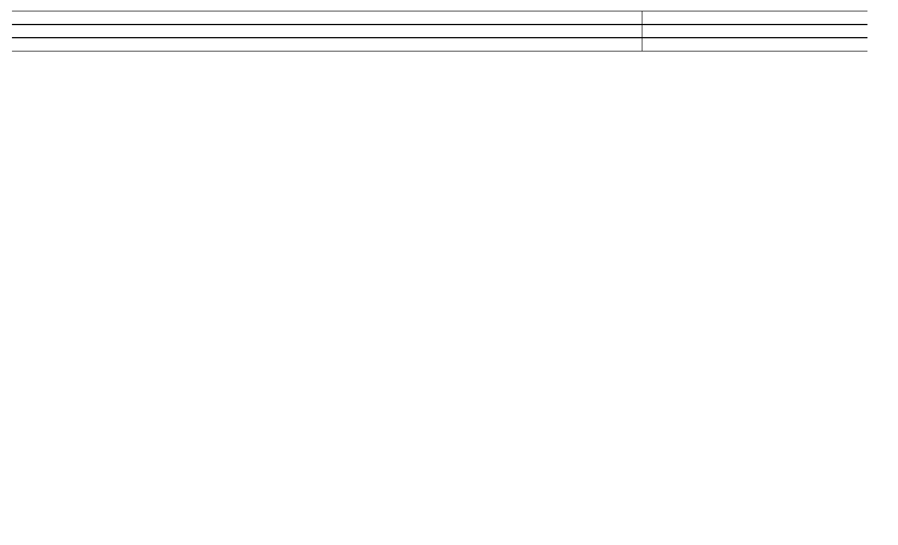| ,一个人都是一个人的人,一个人都是一个人的人,一个人都是一个人的人,一个人都是一个人的人,一个人都是一个人的人,一个人都是一个人的人,一个人都是一个人的人,一个人<br>→ South State State State State State State State State State State State State State State State State State State State State State State State State State State State State State State State State State State State St |  |
|-------------------------------------------------------------------------------------------------------------------------------------------------------------------------------------------------------------------------------------------------------------------------------------------------------------------|--|
| ,一个人的人都是一个人的人,而且,他们的人都是不是一个人的人,而且,他们的人都是不是一个人的人,而且,他们的人都是不是一个人的人,而且,他们的人都是不是一个人的<br>第一百一十一章 一个人的人,他们的人都是不是一个人的人,他们的人都是不是一个人的人,他们的人都是不是一个人的人,他们的人都是不是一个人的人,他们的人都是不是一个                                                                                                                                              |  |
| ,我们也不会不会不会。""我们的,我们也不会不会不会。""我们的,我们也不会不会不会不会不会。""我们的,我们也不会不会不会不会。""我们的,我们也不会不会不会<br>第二百一章 第二百一章 第二百一章 第二百一章 第二百一章 第二百一章 第二百一章 第二百一章 第二百一章 第二百一章 第二百一章 第二百一章 第二百一章 第二                                                                                                                                              |  |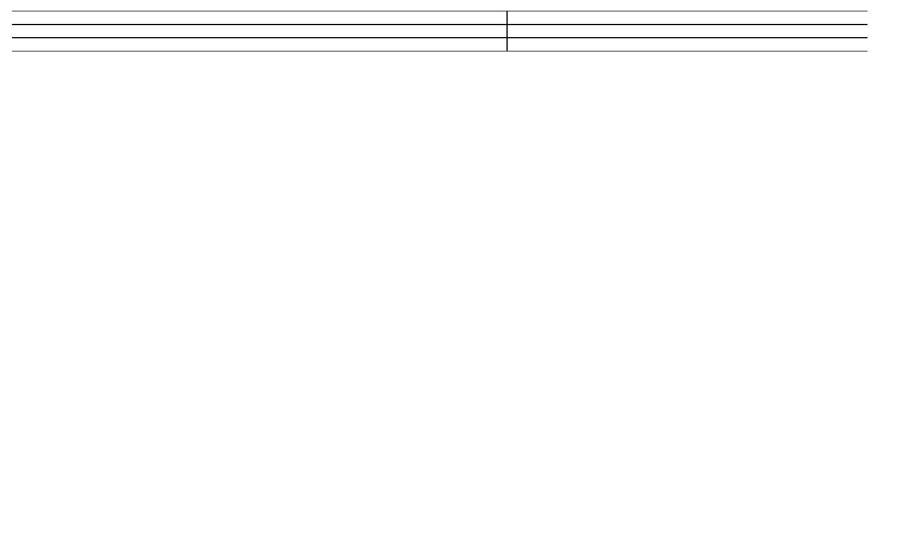| ,一个人都是一个人的人,而且,他们的人都是一个人,而且,他们的人都是一个人,而且,他们的人都是一个人,而且,他们的人都是一个人,而且,他们的人都是一个人,而且,他<br>第二十二章 第二十二章 第二十二章 第二十二章 第二十二章 第二十二章 第二十二章 第二十二章 第二十二章 第二十二章 第二十二章 第二十二章 第二十二章 第二十 |  |
|------------------------------------------------------------------------------------------------------------------------------------------------------------------------|--|
|                                                                                                                                                                        |  |
| ,一个人的人都是一个人的人,而且,他们的人都是一个人的人,而且,他们的人都是一个人的人,而且,他们的人都是一个人的人,而且,他们的人都是一个人的人,而且,他们的人                                                                                      |  |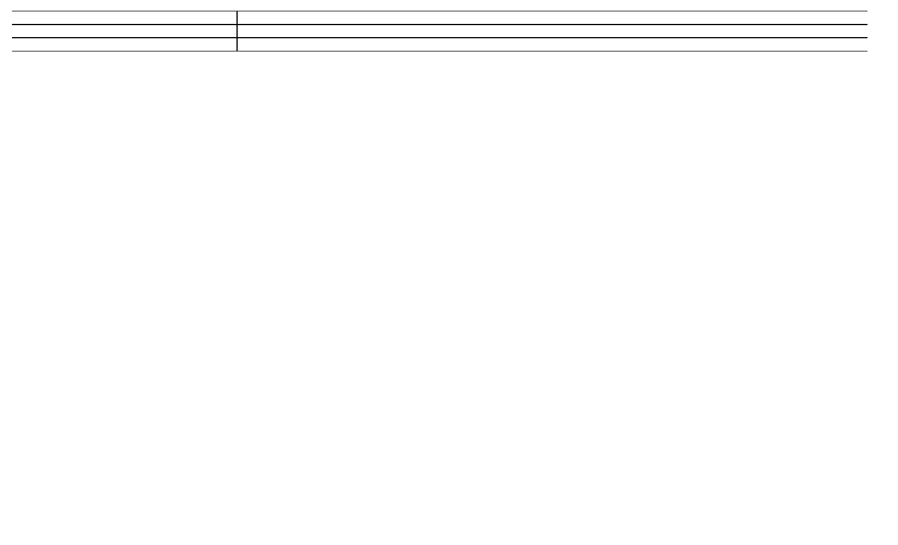| ,我们就会不会不会。""我们,我们也不会不会不会。""我们,我们也不会不会不会不会不会不会。""我们,我们也不会不会不会不会。""我们,我们也不会不会不会不会不  |
|-----------------------------------------------------------------------------------|
| ,一个人都是一个人的人,一个人都是一个人的人,一个人都是一个人的人,一个人都是一个人的人,一个人都是一个人的人,一个人都是一个人的人,一个人都是一个人的人,一个人 |
|                                                                                   |
| ,一个人都是一个人的人,而且,我们也不会不会不会。""我们,我们也不会不会不会不会不会不会不会。""我们,我们也不会不会不会不会不会不会不会不会。""我们,我们  |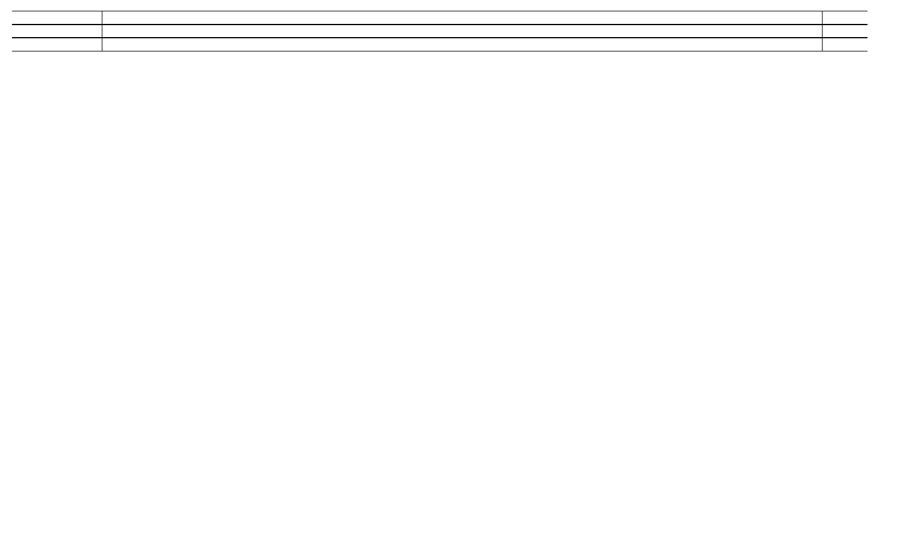| ,一个人都是一个人的人,一个人都是一个人的人,一个人都是一个人的人,一个人都是一个人的人,一个人都是一个人的人,一个人都是一个人的人,一个人都是一个人的人,一个人<br>第二十一章 一个人的人,一个人的人都是一个人的人,一个人的人都是一个人的人,一个人的人都是一个人的人,一个人的人都是一个人的人,一个人的人都是一个人的人,一个人<br>,一个人都是一个人的人,一个人都是一个人的人,一个人都是一个人的人,一个人都是一个人的人,一个人都是一个人的人,一个人都是一个人的人,一个人都是一个人的人,一个人<br>第二十一章 一个人的人,一个人都是一个人的人,一个人都是一个人的人,一个人都是一个人的人,一个人都是一个人的人,一个人都是一个人的人,一个人都是一个人的人,一个 |  |
|------------------------------------------------------------------------------------------------------------------------------------------------------------------------------------------------------------------------------------------------------------------------------------------------------------------------------------------------|--|
| ,一个人的人都是一个人的人,而且,他们的人都是一个人的人,而且,他们的人都是一个人的人,而且,他们的人都是一个人的人,而且,他们的人都是一个人的人,而且,他们的<br>第一百一十一章 一个人的人,他们的人都是一个人的人,他们的人都是一个人的人,他们的人都是一个人的人,他们的人都是一个人的人,他们的人都是一个人的人,他们的人都是                                                                                                                                                                           |  |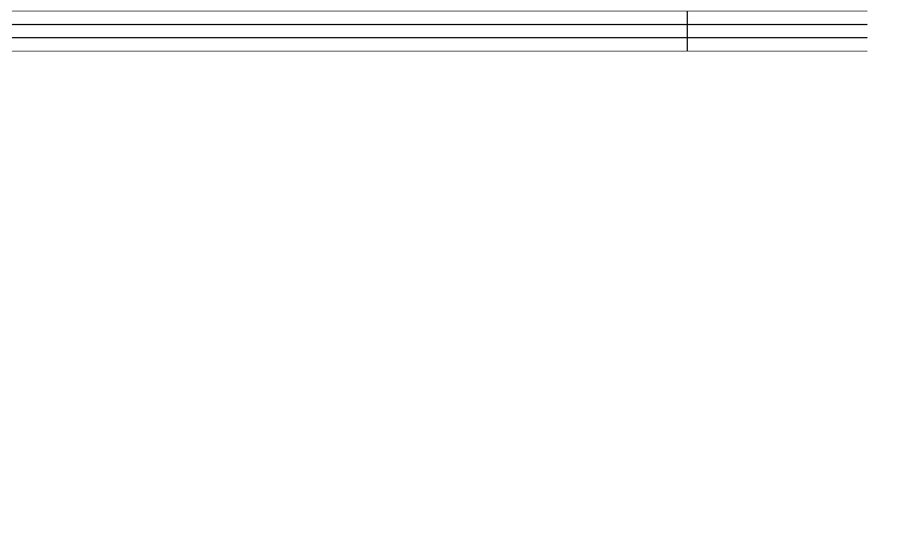| ,一个人的人都是一个人的人,而且,我们也不会不会不会。""我们,我们也不会不会不会不会不会不会。""我们,我们也不会不会不会不会。""我们,我们也不会不会不会不 |  |
|----------------------------------------------------------------------------------|--|
|                                                                                  |  |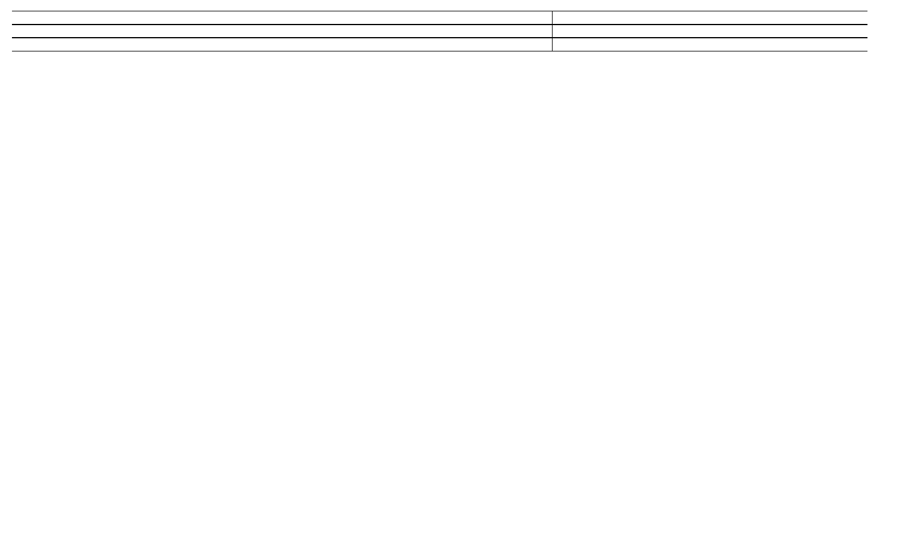| → 中国的 → 中国的 → 中国的 → 中国的 → 中国的 → 中国的 → 中国的 → 中国的 → 中国的 → 中国的 → 中国的 → 中国的 → 中国的 → 中国的 → 中国的 → 中国的 → 中国的 → 中国的 → 中国 |  |
|------------------------------------------------------------------------------------------------------------------|--|
|                                                                                                                  |  |
|                                                                                                                  |  |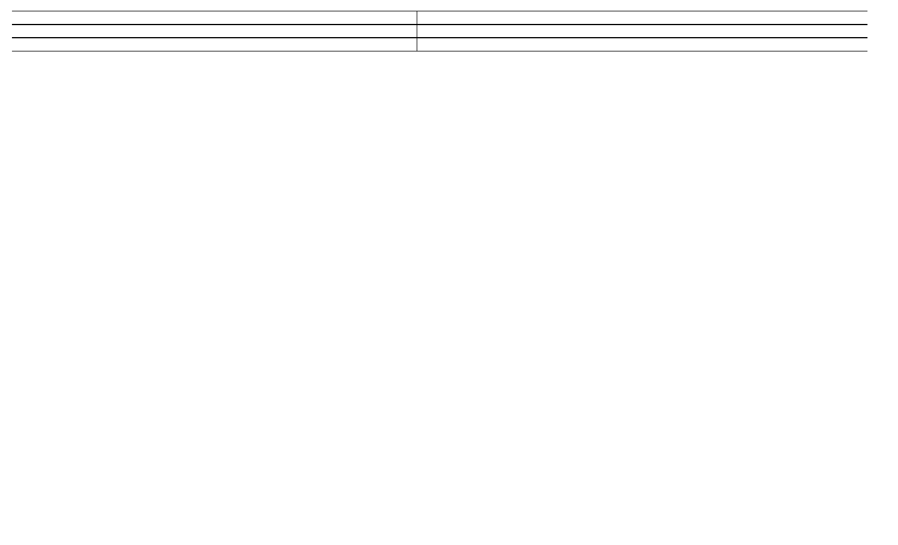| ,我们就会不会不会。""我们,我们就会不会不会不会,我们就会不会不会不会。""我们,我们就会不会不会不会。""我们,我们就会不会不会不会。""我们,我们就会不会 |                                                                                   |
|----------------------------------------------------------------------------------|-----------------------------------------------------------------------------------|
|                                                                                  | ,我们也不会不会不会。""我们的,我们也不会不会不会。""我们的,我们也不会不会不会不会。""我们的,我们也不会不会不会不会。""我们的,我们也不会不会不会不会  |
|                                                                                  | ,我们就会不会不会。""我们,我们就会不会不会,我们就会不会不会,我们就会不会不会。""我们,我们就会不会不会。""我们,我们就会不会不会不会。""我们,我们就会 |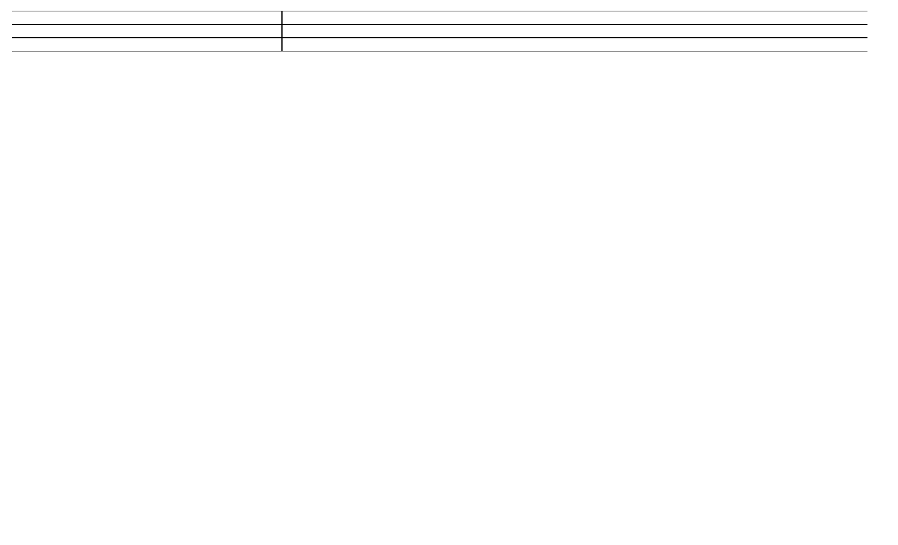| ,一个人都是一个人的人,我们就是一个人的人,我们就是一个人的人,我们就是一个人的人,我们就是一个人的人,我们就是一个人的人,我们就是一个人的人,我们就是一个人的<br>第一百一十一章 一个人的人,我们就是一个人的人,我们就是一个人的人,我们就是一个人的人,我们就是一个人的人,我们就是一个人的人,我们就是一个人的人,我们就是一个 |
|----------------------------------------------------------------------------------------------------------------------------------------------------------------------|
|                                                                                                                                                                      |
|                                                                                                                                                                      |
|                                                                                                                                                                      |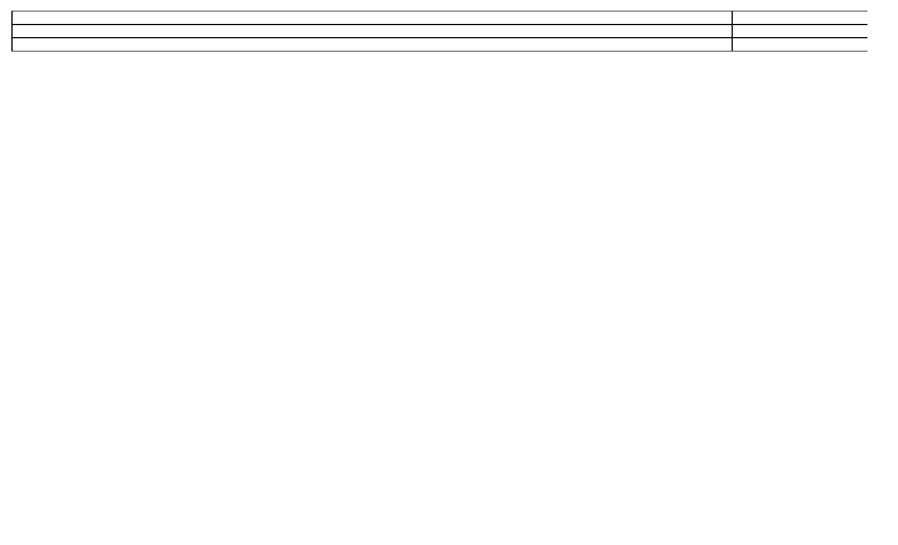| ,他们的人们就是一个人,他们的人们就是一个人,他们的人们,他们的人们就是一个人,他们的人们,他们的人们就是一个人,他们的人们,他们的人们,他们的人们,他们的人们,<br>第25章 我们的人们,他们的人们,他们的人们,他们的人们,他们的人们,他们的人们,他们的人们,他们的人们,他们的人们,他们的人们,他们的人们,他们的人们,他们的 |  |
|-----------------------------------------------------------------------------------------------------------------------------------------------------------------------|--|
| ,一个人都是一个人的人,而且,他们的人都是一个人,而且,他们的人都是一个人,而且,他们的人都是一个人,而且,他们的人都是一个人,而且,他们的人都是一个人,而且,他<br>第二百一十一章 一个人,他们的人都是一个人,他们的人都是一个人,他们的人都是一个人,他们的人都是一个人,他们的人都是一个人,他们的人都是一个人,他们的人都是一个 |  |
| ,一个人都是一个人的人,而且,他们的人都是一个人,他们的人都是一个人,他们的人都是一个人,他们的人都是一个人,他们的人都是一个人,他们的人都是一个人,他们的人都是                                                                                     |  |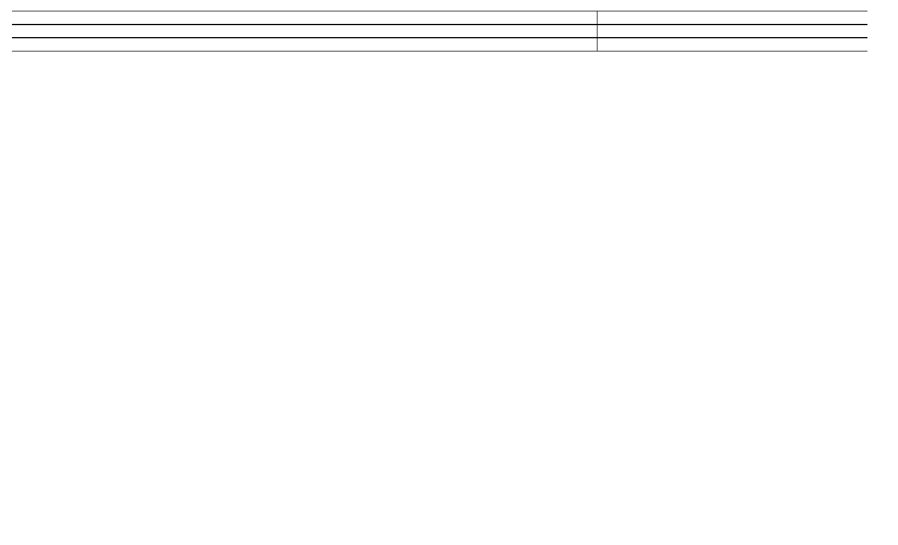| ,一个人都是一个人的人,而且,我们也不会不会不会。""我们,我们也不会不会不会不会不会不会不会不会。""我们,我们也不会不会不会不会不会不会不会不会。""我们,我<br>,他们的人们也不会不会。""我们的人们,我们也不会不会不会。""我们的人们,我们也不会不会不会。""我们的人们,我们也不会不会不会。""我们的人们,我们也不会不 |  |
|-----------------------------------------------------------------------------------------------------------------------------------------------------------------------|--|
| ,我们也不会不会不会。""我们的,我们也不会不会不会。""我们的,我们也不会不会不会不会。""我们的,我们也不会不会不会不会。""我们的,我们也不会不会不会不会                                                                                      |  |
|                                                                                                                                                                       |  |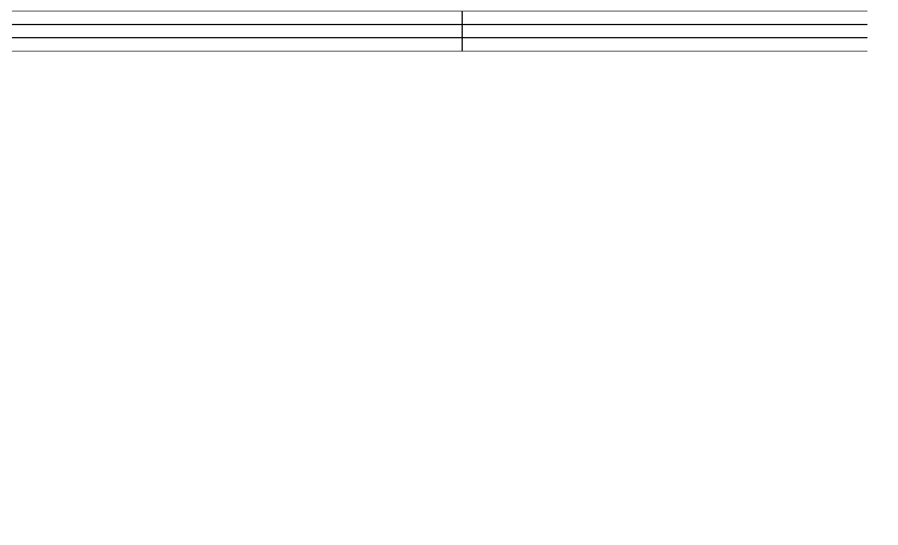| <u> 2001 - An t-An Aontaithe ann an t-Aontaithe ann an t-Aontaithe ann an t-Aontaithe ann an t-Aontaithe ann an t-</u> |
|------------------------------------------------------------------------------------------------------------------------|
|                                                                                                                        |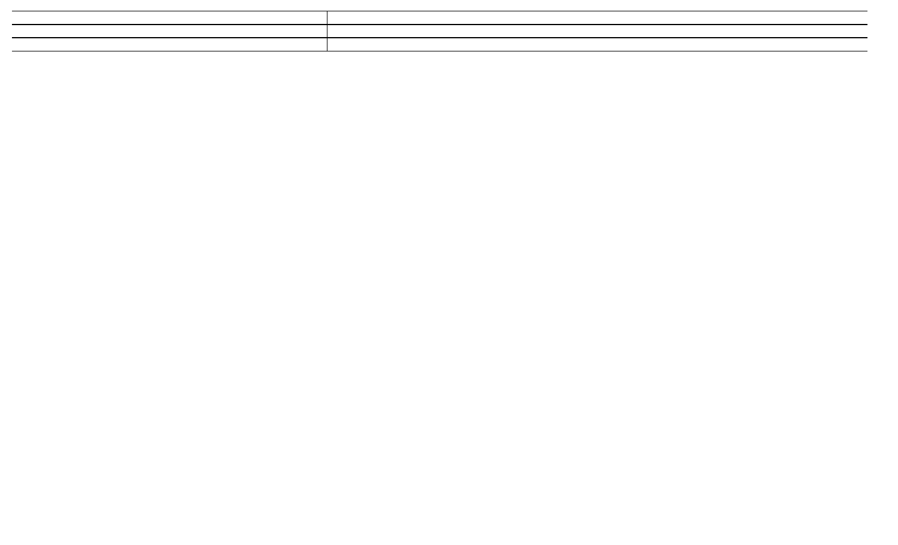| ,一个人都是一个人的人,而且,他们的人都是一个人,而且,他们的人都是一个人,而且,他们的人都是一个人,而且,他们的人都是一个人,而且,他们的人都是一个人,而且,他<br>第二十一章 一个人,他们的人都是一个人,他们的人都是一个人,他们的人都是一个人,他们的人都是一个人,他们的人都是一个人,他们的人都是一个人,他们的人都是一个人, | ,我们也不会不会。""我们的,我们也不会不会。""我们的,我们也不会不会不会。""我们的,我们也不会不会不会。""我们的,我们也不会不会不会。""我们的,我们也 |
|-----------------------------------------------------------------------------------------------------------------------------------------------------------------------|----------------------------------------------------------------------------------|
|                                                                                                                                                                       |                                                                                  |
|                                                                                                                                                                       |                                                                                  |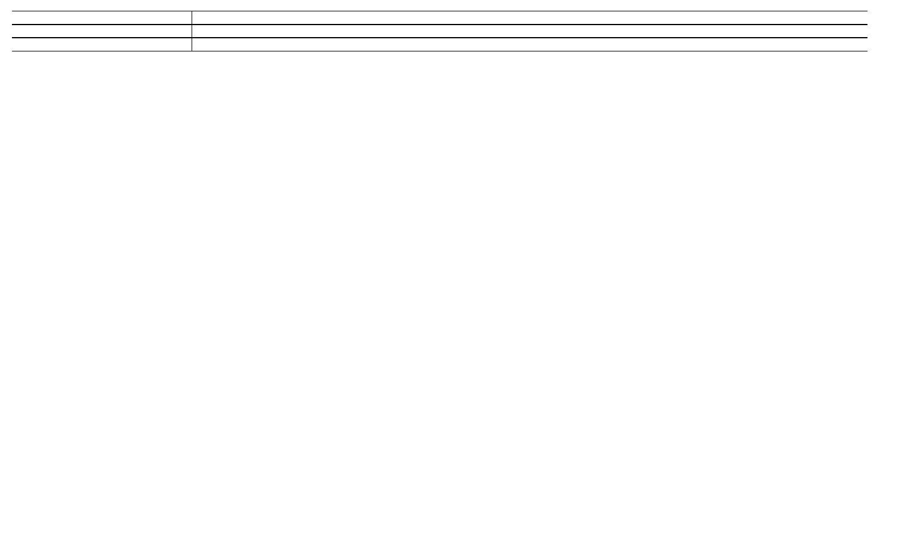| ,一个人的人都是一个人的人,而且,他们的人都是一个人的人,而且,他们的人都是一个人的人,而且,他们的人都是一个人的人,而且,他们的人都是一个人的人,而且,他们的人<br>第一百一十一章 一个人的人,他们的人都是一个人的人,他们的人都是一个人的人,他们的人都是一个人的人,他们的人都是一个人的人,他们的人都是一个人的人,他们的人都是 |
|-----------------------------------------------------------------------------------------------------------------------------------------------------------------------|
| ,一个人都是一个人的人,而且,他们的人都是一个人,而且,他们的人都是一个人,而且,他们的人都是一个人,而且,他们的人都是一个人,而且,他们的人都是一个人,而且,他<br>第二十一章 一个人,他们的人都是一个人,他们的人都是一个人,他们的人都是一个人,他们的人都是一个人,他们的人都是一个人,他们的人都是一个人,他们的人都是一个人, |
|                                                                                                                                                                       |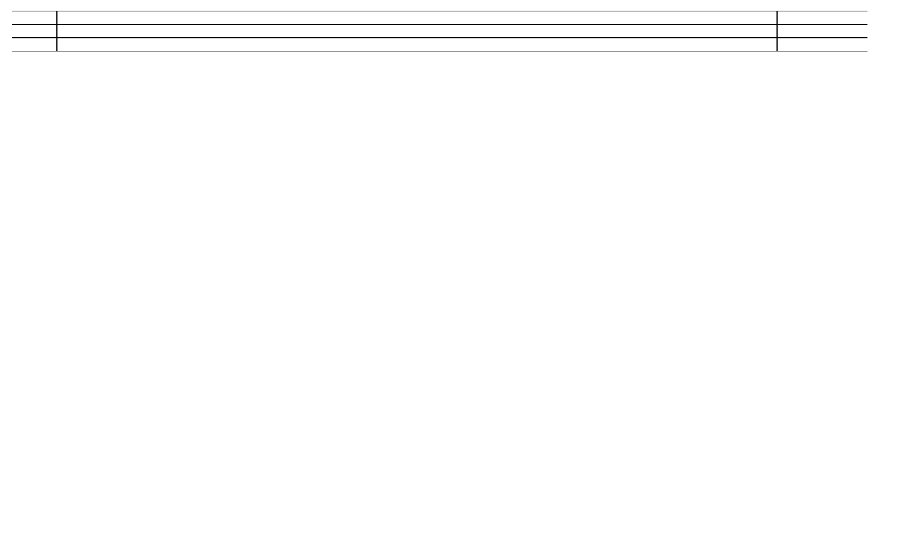| <u>та на представљен под податковата на представљен податковата на представљен податковата на представљен податк</u> |  |
|----------------------------------------------------------------------------------------------------------------------|--|
|                                                                                                                      |  |
| ,一个人都是一个人的人,一个人都是一个人的人,一个人都是一个人的人,一个人都是一个人的人,一个人都是一个人的人,一个人都是一个人的人,一个人都是一个人的人,一个人                                    |  |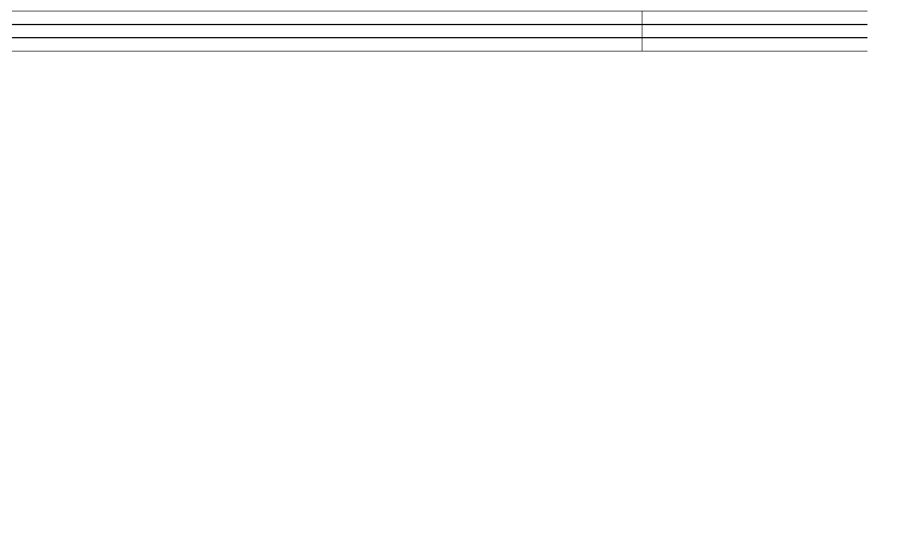| ,一个人都是一个人的人,一个人都是一个人的人,一个人都是一个人的人,一个人都是一个人的人,一个人都是一个人的人,一个人都是一个人的人,一个人都是一个人的人,一个人<br>→ South State State State State State State State State State State State State State State State State State State State State State State State State State State State State State State State State State State State St |  |
|-------------------------------------------------------------------------------------------------------------------------------------------------------------------------------------------------------------------------------------------------------------------------------------------------------------------|--|
| ,一个人的人都是一个人的人,而且,他们的人都是不是一个人的人,而且,他们的人都是不是一个人的人,而且,他们的人都是不是一个人的人,而且,他们的人都是不是一个人的<br>第一百一十一章 一个人的人,他们的人都是不是一个人的人,他们的人都是不是一个人的人,他们的人都是不是一个人的人,他们的人都是不是一个人的人,他们的人都是不是一个                                                                                                                                              |  |
| ,我们也不会不会不会。""我们的,我们也不会不会不会。""我们的,我们也不会不会不会不会。""我们的,我们也不会不会不会不会。""我们的,我们也不会不会不会不会<br>第二百一章 第二百一章 第二百一章 第二百一章 第二百一章 第二百一章 第二百一章 第二百一章 第二百一章 第二百一章 第二百一章 第二百一章 第二百一章 第二                                                                                                                                              |  |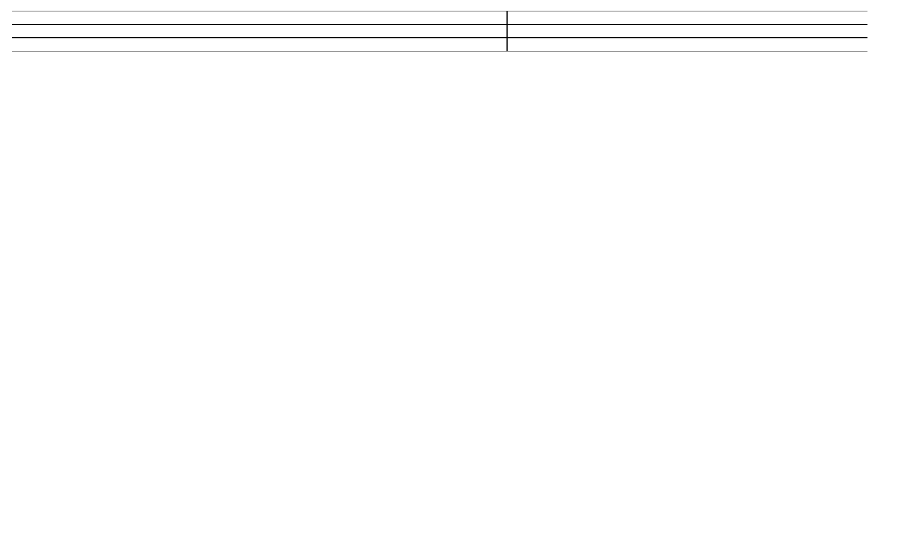| ,一个人都是一个人的人,而且,他们的人都是一个人,而且,他们的人都是一个人,而且,他们的人都是一个人,而且,他们的人都是一个人,而且,他们的人都是一个人,而且,他<br>第二十二章 第二十二章 第二十二章 第二十二章 第二十二章 第二十二章 第二十二章 第二十二章 第二十二章 第二十二章 第二十二章 第二十二章 第二十二章 第二十 |  |
|------------------------------------------------------------------------------------------------------------------------------------------------------------------------|--|
|                                                                                                                                                                        |  |
| ,一个人的人都是一个人的人,而且,他们的人都是一个人的人,而且,他们的人都是一个人的人,而且,他们的人都是一个人的人,而且,他们的人都是一个人的人,而且,他们的人                                                                                      |  |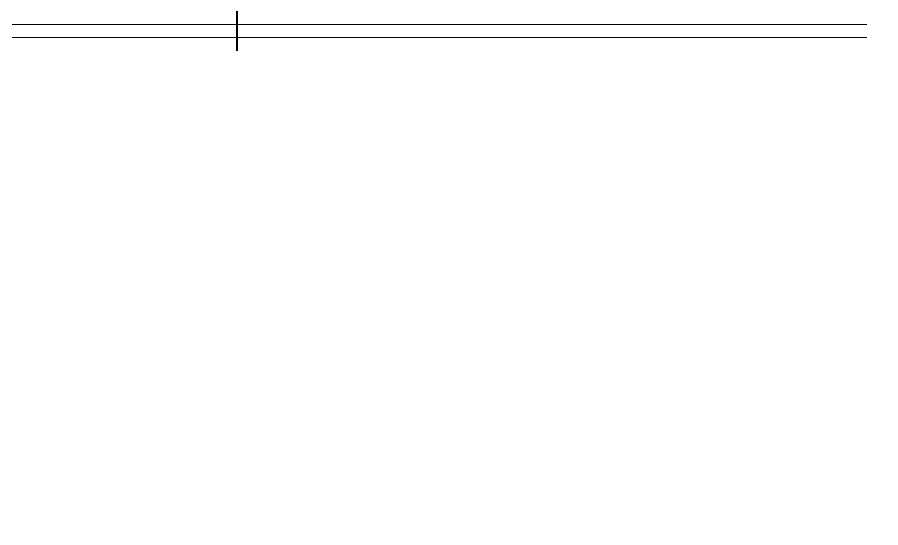| ,我们就会不会不会。""我们,我们也不会不会不会。""我们,我们也不会不会不会不会不会不会。""我们,我们也不会不会不会不会。""我们,我们也不会不会不会不会不  |
|-----------------------------------------------------------------------------------|
| ,一个人都是一个人的人,一个人都是一个人的人,一个人都是一个人的人,一个人都是一个人的人,一个人都是一个人的人,一个人都是一个人的人,一个人都是一个人的人,一个人 |
|                                                                                   |
| ,一个人都是一个人的人,而且,我们也不会不会不会。""我们,我们也不会不会不会不会。""我们,我们也不会不会不会不会。""我们,我们也不会不会不会不会。""我们, |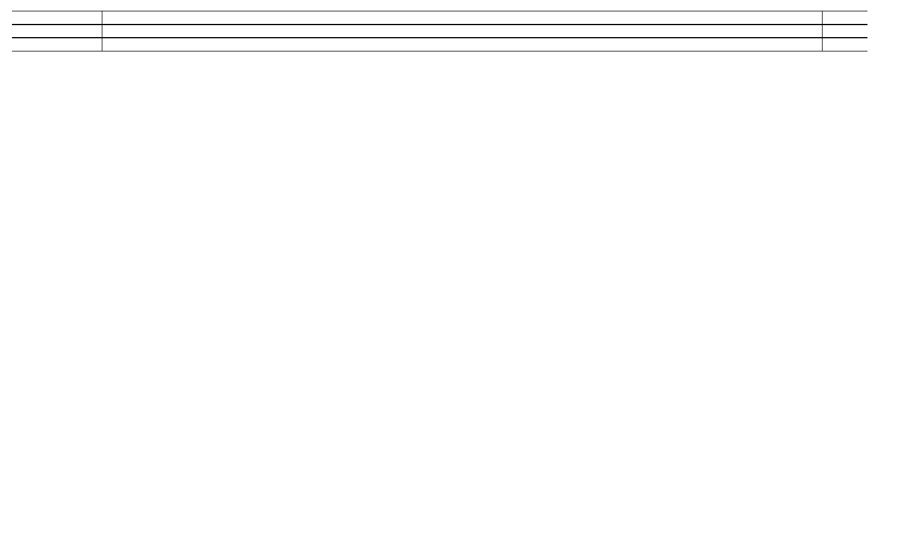| ,一个人都是一个人的人,一个人都是一个人的人,一个人都是一个人的人,一个人都是一个人的人,一个人都是一个人的人,一个人都是一个人的人,一个人都是一个人的人,一个人<br>第二十一章 一个人的人,一个人的人都是一个人的人,一个人的人都是一个人的人,一个人的人都是一个人的人,一个人的人都是一个人的人,一个人的人都是一个人的人,一个人<br>,一个人都是一个人的人,一个人都是一个人的人,一个人都是一个人的人,一个人都是一个人的人,一个人都是一个人的人,一个人都是一个人的人,一个人都是一个人的人,一个人<br>第二十一章 一个人的人,一个人的人都是一个人的人,一个人的人都是一个人的人,一个人的人都是一个人的人,一个人的人都是一个人的人,一个人的人都是一个人的人,一个人 |  |
|------------------------------------------------------------------------------------------------------------------------------------------------------------------------------------------------------------------------------------------------------------------------------------------------------------------------------------------------|--|
| ,一个人的人都是一个人的人,而且,他们的人都是一个人的人,而且,他们的人都是一个人的人,而且,他们的人都是一个人的人,而且,他们的人都是一个人的人,而且,他们的<br>第一百一十一章 一个人的人,他们的人都是一个人的人,他们的人都是一个人的人,他们的人都是一个人的人,他们的人都是一个人的人,他们的人都是一个人的人,他们的人都是                                                                                                                                                                           |  |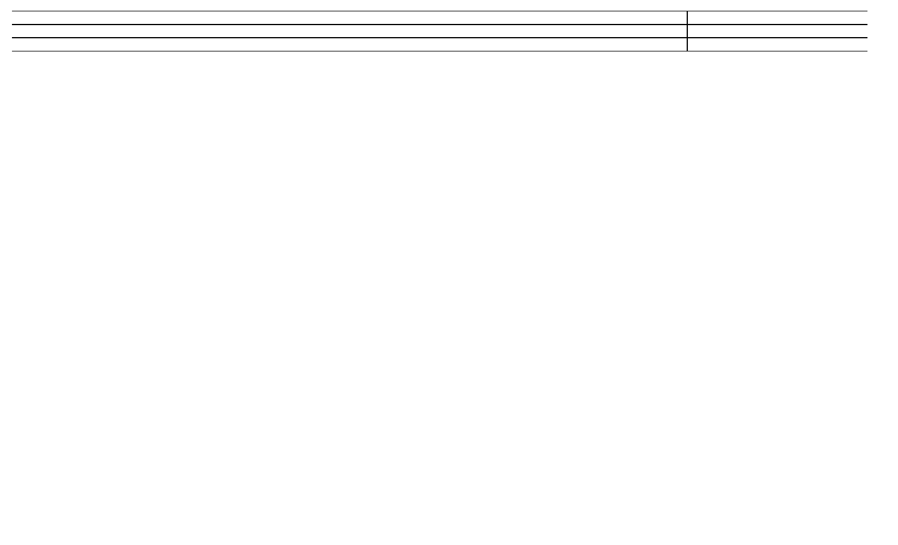| ,我们也不会不会不会。""我们的,我们也不会不会不会。""我们的,我们也不会不会不会不会不会。""我们的,我们也不会不会不会不会。""我们的,我们也不会不会不会  |  |
|-----------------------------------------------------------------------------------|--|
| ,一个人的人都是一个人的人,而且,他们的人都是一个人的人,而且,他们的人都是一个人的人,而且,他们的人都是一个人的人,而且,他们的人都是一个人的人,而且,他们的人 |  |
|                                                                                   |  |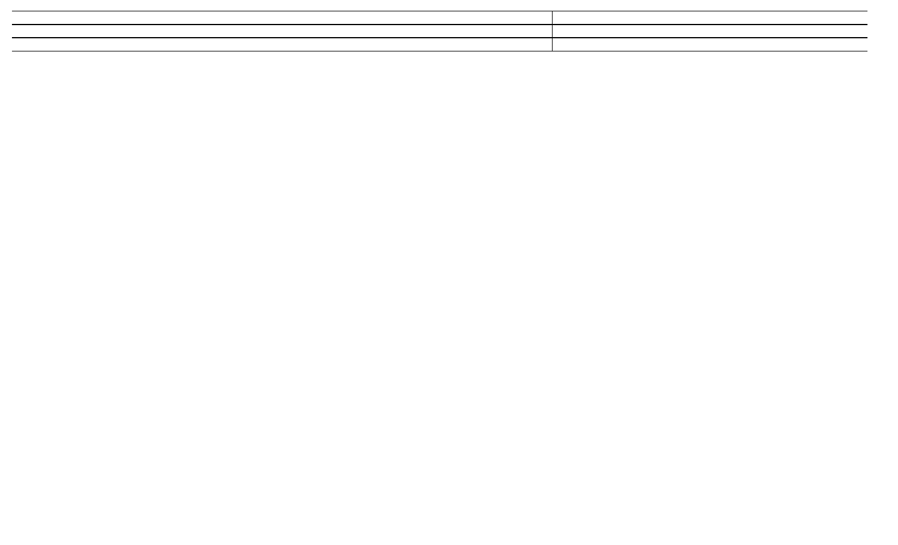| → 中国的 → 中国的 → 中国的 → 中国的 → 中国的 → 中国的 → 中国的 → 中国的 → 中国的 → 中国的 → 中国的 → 中国的 → 中国的 → 中国的 → 中国的 → 中国的 → 中国的 → 中国的 → 中国 |  |
|------------------------------------------------------------------------------------------------------------------|--|
|                                                                                                                  |  |
|                                                                                                                  |  |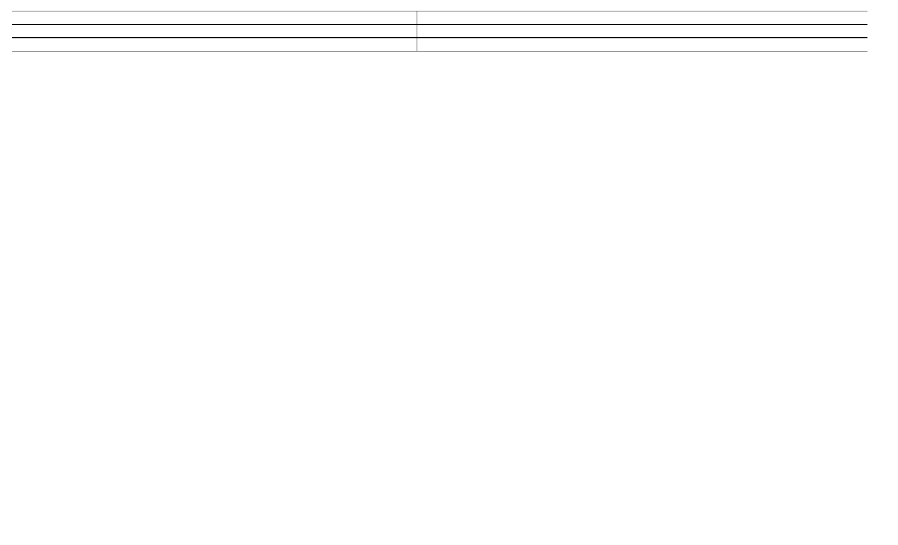| ,我们就会不会不会。""我们,我们就会不会不会不会,我们就会不会不会不会。""我们,我们就会不会不会不会。""我们,我们就会不会不会不会。""我们,我们就会不会 |                                                                                   |
|----------------------------------------------------------------------------------|-----------------------------------------------------------------------------------|
|                                                                                  | ,我们也不会不会不会。""我们的,我们也不会不会不会。""我们的,我们也不会不会不会不会。""我们的,我们也不会不会不会不会。""我们的,我们也不会不会不会不会  |
|                                                                                  | ,我们就会不会不会。""我们,我们就会不会不会,我们就会不会不会,我们就会不会不会。""我们,我们就会不会不会。""我们,我们就会不会不会不会。""我们,我们就会 |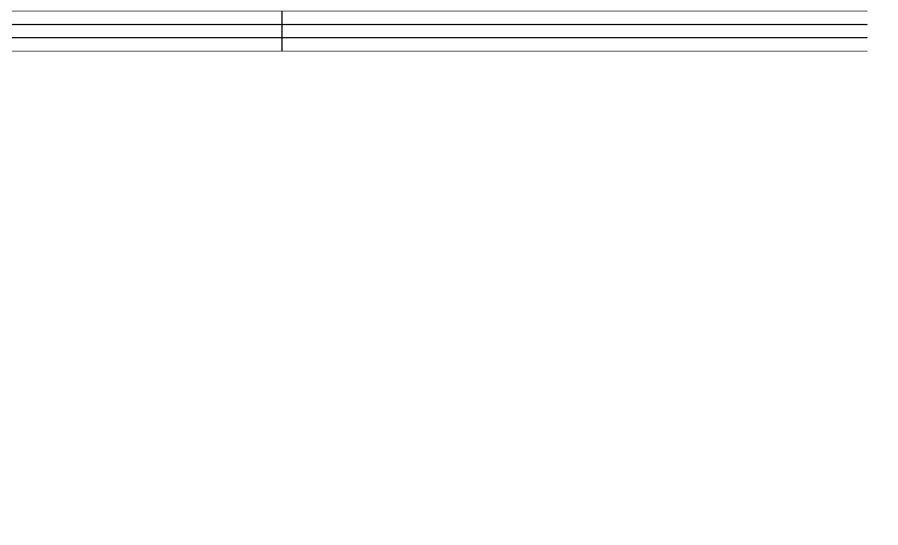| ,他们的人们就会在这里,他们的人们就会在这里,他们的人们就会在这里,他们的人们就会在这里,他们的人们就会在这里,他们的人们就会在这里,他们的人们就会在这里,他们<br>第251章 我们的人们的人们,我们的人们的人们的人们,我们的人们的人们的人们,我们的人们的人们的人们,我们的人们的人们的人们,我们的人们的人们的人们,我们的人们 |
|----------------------------------------------------------------------------------------------------------------------------------------------------------------------|
|                                                                                                                                                                      |
|                                                                                                                                                                      |
|                                                                                                                                                                      |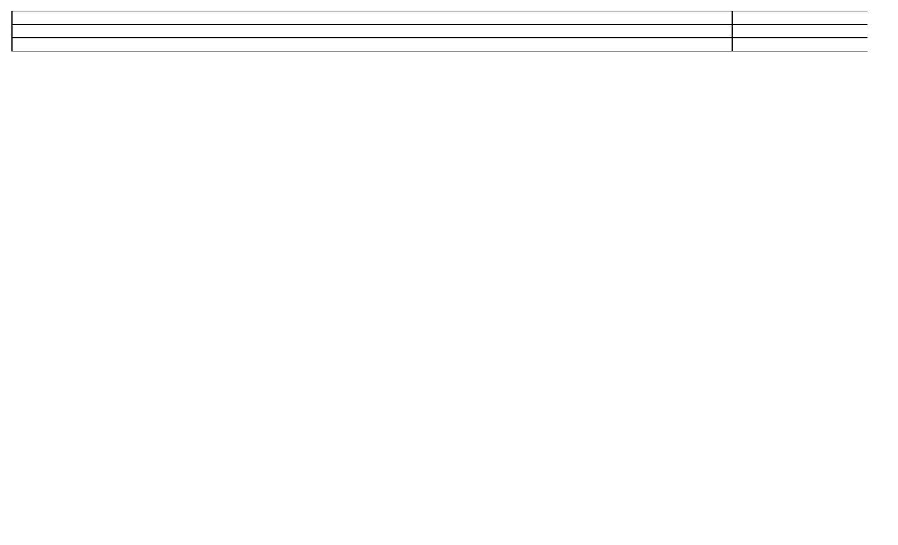| ,他们的人们就是一个人,他们的人们就是一个人,他们的人们,他们的人们就是一个人,他们的人们,他们的人们就是一个人,他们的人们,他们的人们,他们的人们,他们的人们,<br>第25章 我们的人们,他们的人们,他们的人们,他们的人们,他们的人们,他们的人们,他们的人们,他们的人们,他们的人们,他们的人们,他们的人们,他们的人们,他们的 |  |
|-----------------------------------------------------------------------------------------------------------------------------------------------------------------------|--|
| ,一个人都是一个人的人,而且,他们的人都是一个人,而且,他们的人都是一个人,而且,他们的人都是一个人,而且,他们的人都是一个人,而且,他们的人都是一个人,而且,他<br>第二百一十一章 一个人,他们的人都是一个人,他们的人都是一个人,他们的人都是一个人,他们的人都是一个人,他们的人都是一个人,他们的人都是一个人,他们的人都是一个 |  |
| ,一个人都是一个人的人,而且,他们的人都是一个人,他们的人都是一个人,他们的人都是一个人,他们的人都是一个人,他们的人都是一个人,他们的人都是一个人,他们的人都是                                                                                     |  |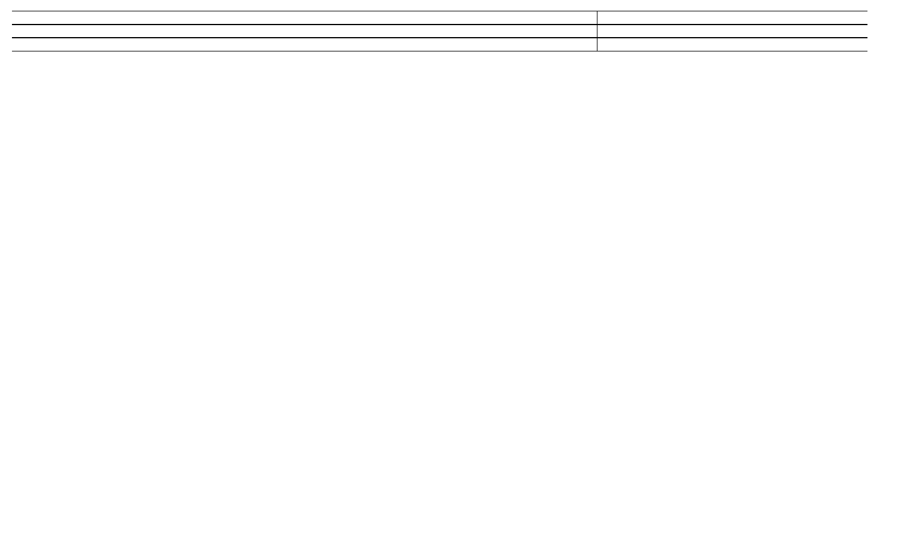| ,一个人都是一个人的人,而且,我们也不会不会不会。""我们,我们也不会不会不会不会不会不会不会不会。""我们,我们也不会不会不会不会不会不会不会不会。""我们,我<br>,他们的人们也不会不会。""我们的人们,我们也不会不会不会。""我们的人们,我们也不会不会不会。""我们的人们,我们也不会不会不会。""我们的人们,我们也不会不 |  |
|-----------------------------------------------------------------------------------------------------------------------------------------------------------------------|--|
| ,我们也不会不会不会。""我们的,我们也不会不会不会。""我们的,我们也不会不会不会不会。""我们的,我们也不会不会不会不会。""我们的,我们也不会不会不会不会                                                                                      |  |
|                                                                                                                                                                       |  |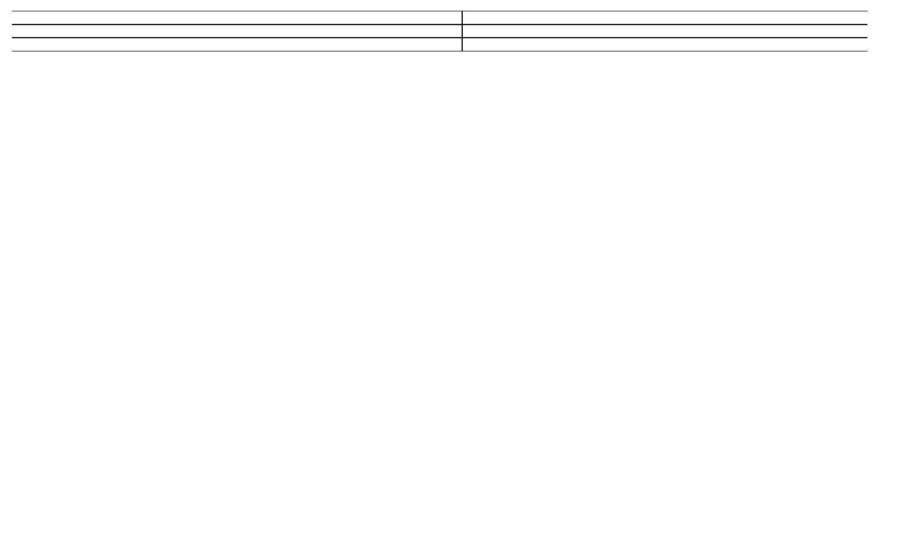| <u> 1980 - Ann an t-Aontaithe ann an t-Aontaithe ann an t-Aontaithe ann an t-Aontaithe ann an t-Aontaithe ann an t-</u> |
|-------------------------------------------------------------------------------------------------------------------------|
|                                                                                                                         |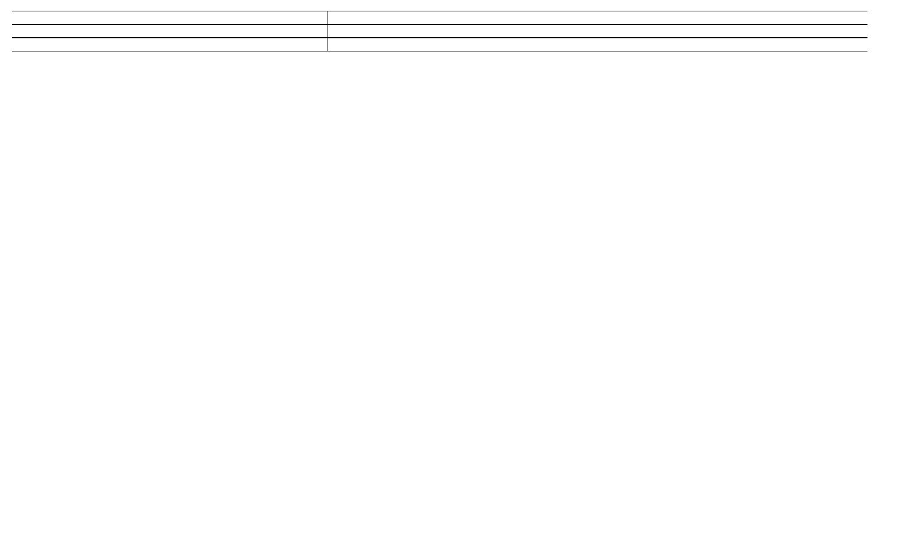| ,一个人都是一个人的人,而且,他们的人都是一个人,而且,他们的人都是一个人,而且,他们的人都是一个人,而且,他们的人都是一个人,而且,他们的人都是一个人,而且,他<br>第二十一章 一个人,他们的人都是一个人,他们的人都是一个人,他们的人都是一个人,他们的人都是一个人,他们的人都是一个人,他们的人都是一个人,他们的人都是一个人, | ,我们也不会不会。""我们的,我们也不会不会。""我们的,我们也不会不会不会。""我们的,我们也不会不会不会。""我们的,我们也不会不会不会。""我们的,我们也 |
|-----------------------------------------------------------------------------------------------------------------------------------------------------------------------|----------------------------------------------------------------------------------|
|                                                                                                                                                                       |                                                                                  |
|                                                                                                                                                                       |                                                                                  |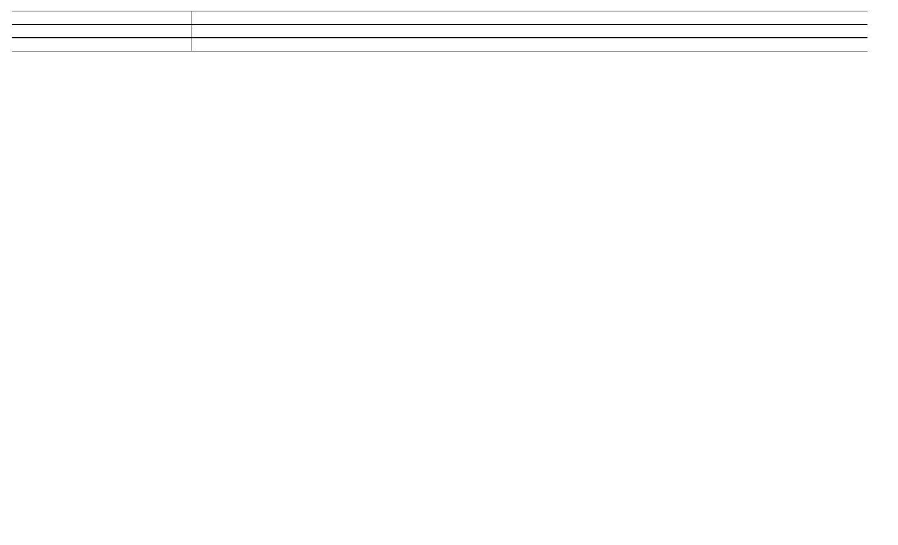| ,一个人的人都是一个人的人,而且,他们的人都是一个人的人,而且,他们的人都是一个人的人,而且,他们的人都是一个人的人,而且,他们的人都是一个人的人,而且,他们的人<br>第一百一十一章 一个人的人,他们的人都是一个人的人,他们的人都是一个人的人,他们的人都是一个人的人,他们的人都是一个人的人,他们的人都是一个人的人,他们的人都是<br>,我们就会不会不会。""我们,我们就会不会不会不会。""我们,我们就会不会不会不会不会不会。""我们,我们就会不会不会不会不会。""我们,我们就会不会不会不会不 |
|-----------------------------------------------------------------------------------------------------------------------------------------------------------------------------------------------------------------------------------------------------------|
| ,一个人都是一个人的人,而且,他们的人都是一个人,而且,他们的人都是一个人,而且,他们的人都是一个人,而且,他们的人都是一个人,而且,他们的人都是一个人,而且,他<br>第二十一章 一个人,他们的人都是一个人,他们的人都是一个人,他们的人都是一个人,他们的人都是一个人,他们的人都是一个人,他们的人都是一个人,他们的人都是一个人,                                                                                     |
|                                                                                                                                                                                                                                                           |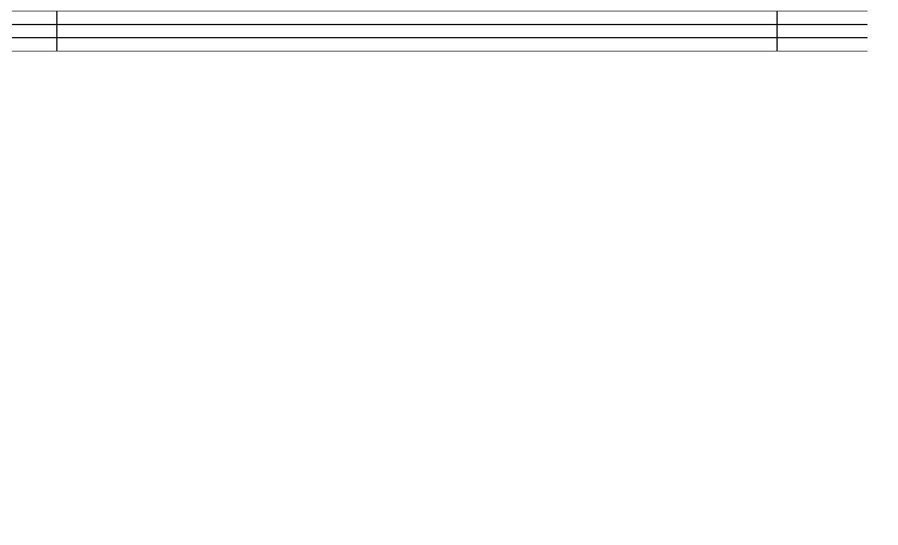| <u>та на представљен под податковата на представљен податковата на представљен податковата на представљен податк</u> |  |
|----------------------------------------------------------------------------------------------------------------------|--|
|                                                                                                                      |  |
| ,一个人都是一个人的人,一个人都是一个人的人,一个人都是一个人的人,一个人都是一个人的人,一个人都是一个人的人,一个人都是一个人的人,一个人都是一个人的人,一个人                                    |  |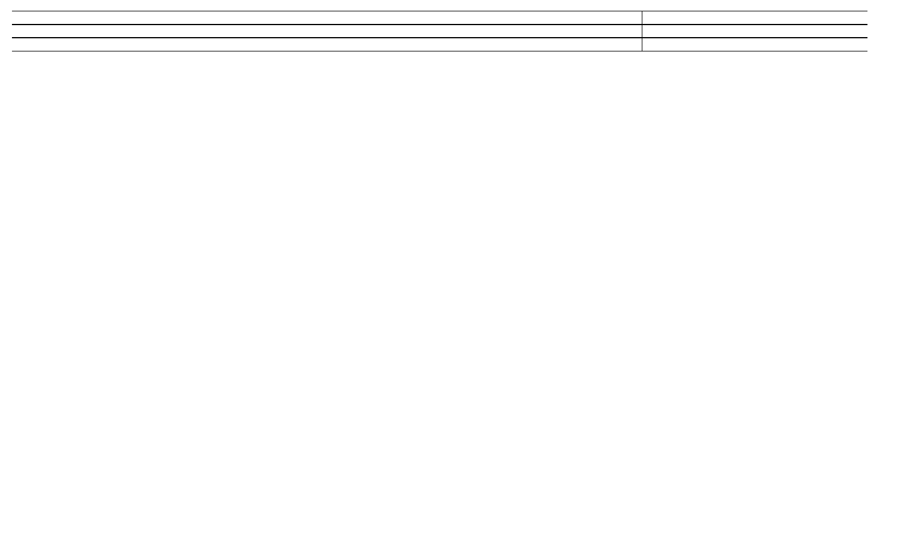| ,一个人都是一个人的人,一个人都是一个人的人,一个人都是一个人的人,一个人都是一个人的人,一个人都是一个人的人,一个人都是一个人的人,一个人都是一个人的人,一个人<br>→ South State State State State State State State State State State State State State State State State State State State State State State State State State State State State State State State State State State State St |  |
|-------------------------------------------------------------------------------------------------------------------------------------------------------------------------------------------------------------------------------------------------------------------------------------------------------------------|--|
| ,一个人的人都是一个人的人,而且,他们的人都是不是一个人的人,而且,他们的人都是不是一个人的人,而且,他们的人都是不是一个人的人,而且,他们的人都是不是一个人的<br>第一百一十一章 一个人的人,他们的人都是不是一个人的人,他们的人都是不是一个人的人,他们的人都是不是一个人的人,他们的人都是不是一个人的人,他们的人都是不是一个                                                                                                                                              |  |
| ,我们也不会不会不会。""我们的,我们也不会不会不会。""我们的,我们也不会不会不会不会不会。""我们的,我们也不会不会不会不会。""我们的,我们也不会不会不会<br>第二百一章 第二百一章 第二百一章 第二百一章 第二百一章 第二百一章 第二百一章 第二百一章 第二百一章 第二百一章 第二百一章 第二百一章 第二百一章 第二                                                                                                                                              |  |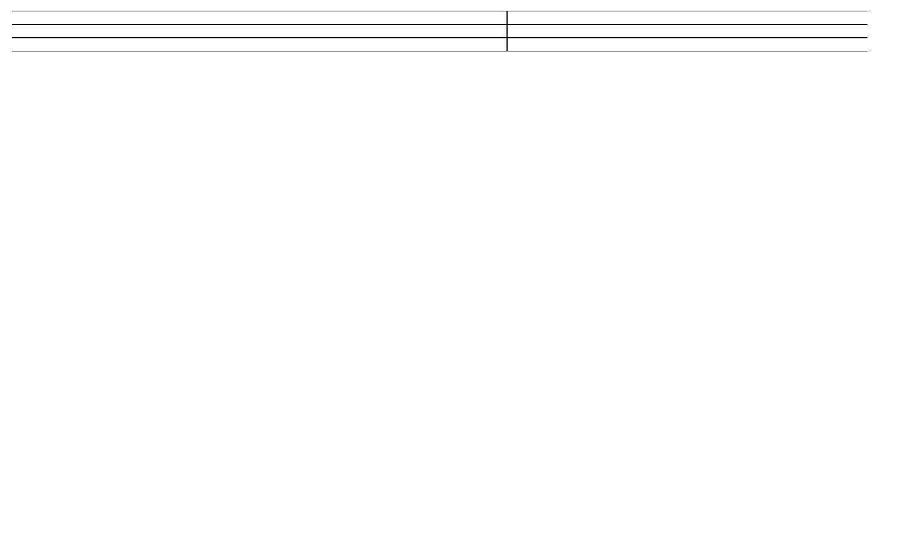| ,一个人都是一个人的人,而且,他们的人都是一个人,而且,他们的人都是一个人,而且,他们的人都是一个人,而且,他们的人都是一个人,而且,他们的人都是一个人,而且,他<br>第二十二章 第二十二章 第二十二章 第二十二章 第二十二章 第二十二章 第二十二章 第二十二章 第二十二章 第二十二章 第二十二章 第二十二章 第二十二章 第二十 |  |
|------------------------------------------------------------------------------------------------------------------------------------------------------------------------|--|
|                                                                                                                                                                        |  |
| ,一个人的人都是一个人的人,而且,他们的人都是一个人的人,而且,他们的人都是一个人的人,而且,他们的人都是一个人的人,而且,他们的人都是一个人的人,而且,他们的人                                                                                      |  |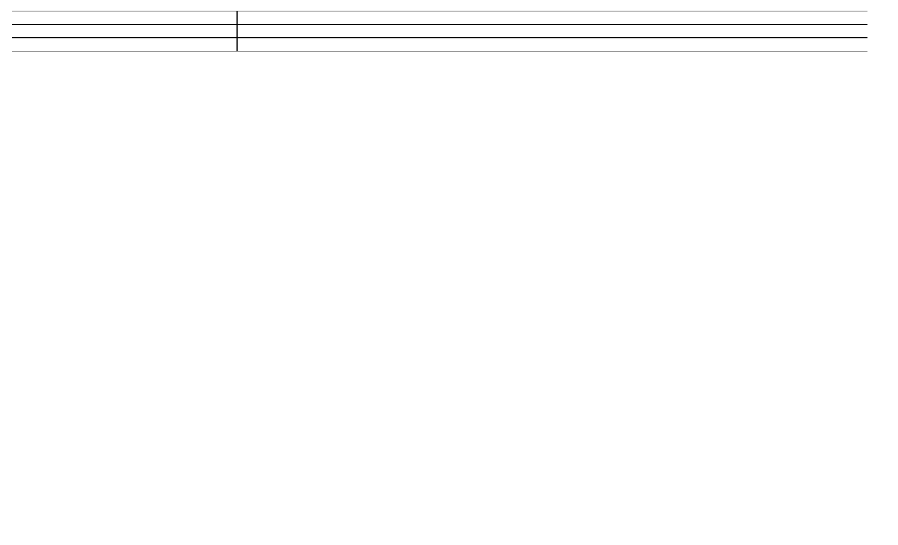| ,我们就会不会不会。""我们,我们也不会不会不会。""我们,我们也不会不会不会不会不会不会。""我们,我们也不会不会不会不会。""我们,我们也不会不会不会不会不  |
|-----------------------------------------------------------------------------------|
| ,一个人都是一个人的人,一个人都是一个人的人,一个人都是一个人的人,一个人都是一个人的人,一个人都是一个人的人,一个人都是一个人的人,一个人都是一个人的人,一个人 |
|                                                                                   |
| ,一个人都是一个人的人,而且,我们也不会不会不会。""我们,我们也不会不会不会不会。""我们,我们也不会不会不会不会。""我们,我们也不会不会不会不会。""我们, |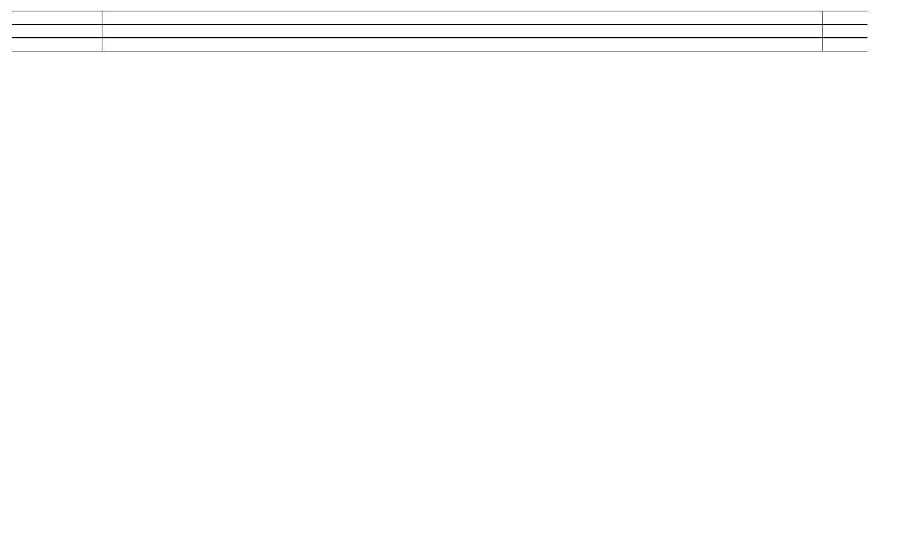| ,一个人都是一个人的人,一个人都是一个人的人,一个人都是一个人的人,一个人都是一个人的人,一个人都是一个人的人,一个人都是一个人的人,一个人都是一个人的人,一个人<br>第二十一章 一个人的人,一个人的人都是一个人的人,一个人的人都是一个人的人,一个人的人都是一个人的人,一个人的人都是一个人的人,一个人的人都是一个人的人,一个人<br>,一个人都是一个人的人,一个人都是一个人的人,一个人都是一个人的人,一个人都是一个人的人,一个人都是一个人的人,一个人都是一个人的人,一个人都是一个人的人,一个人<br>第二十一章 一个人的人,一个人的人都是一个人的人,一个人的人都是一个人的人,一个人的人都是一个人的人,一个人的人都是一个人的人,一个人的人都是一个人的人,一个人 |  |
|------------------------------------------------------------------------------------------------------------------------------------------------------------------------------------------------------------------------------------------------------------------------------------------------------------------------------------------------|--|
| ,一个人的人都是一个人的人,而且,他们的人都是一个人的人,而且,他们的人都是一个人的人,而且,他们的人都是一个人的人,而且,他们的人都是一个人的人,而且,他们的<br>第一百一十一章 一个人的人,他们的人都是一个人的人,他们的人都是一个人的人,他们的人都是一个人的人,他们的人都是一个人的人,他们的人都是一个人的人,他们的人都是                                                                                                                                                                           |  |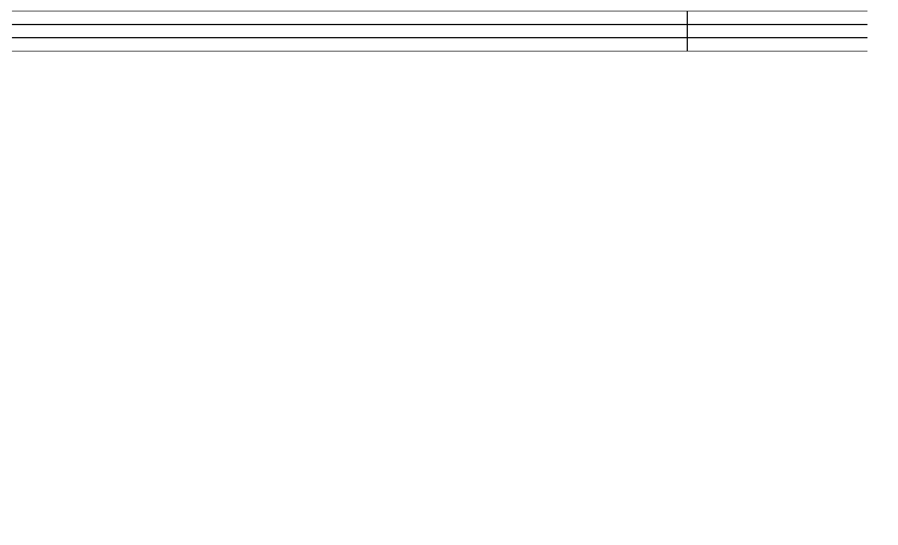| ,我们也不会不会不会。""我们的,我们也不会不会不会。""我们的,我们也不会不会不会不会不会。""我们的,我们也不会不会不会不会。""我们的,我们也不会不会不会  |  |
|-----------------------------------------------------------------------------------|--|
| ,一个人的人都是一个人的人,而且,他们的人都是一个人的人,而且,他们的人都是一个人的人,而且,他们的人都是一个人的人,而且,他们的人都是一个人的人,而且,他们的人 |  |
|                                                                                   |  |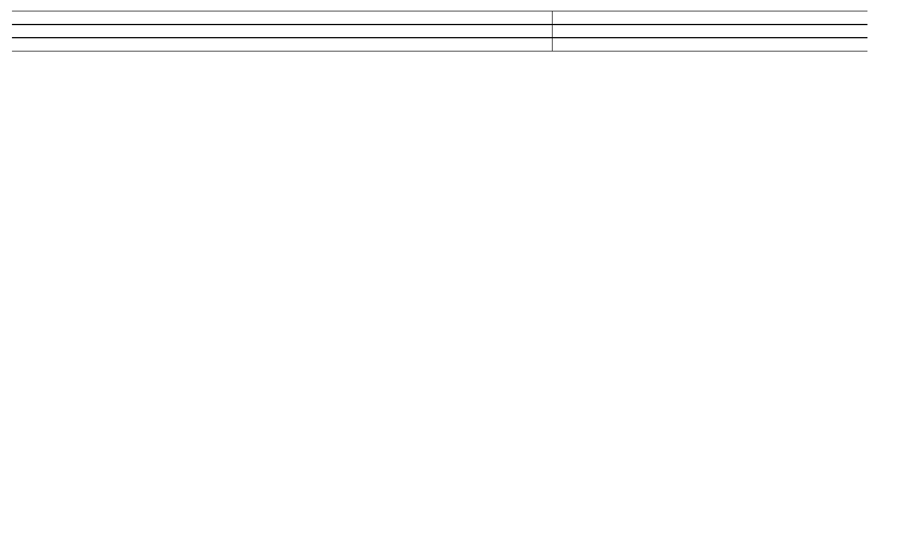| → 中国的 → 中国的 → 中国的 → 中国的 → 中国的 → 中国的 → 中国的 → 中国的 → 中国的 → 中国的 → 中国的 → 中国的 → 中国的 → 中国的 → 中国的 → 中国的 → 中国的 → 中国的 → 中国 |  |
|------------------------------------------------------------------------------------------------------------------|--|
|                                                                                                                  |  |
|                                                                                                                  |  |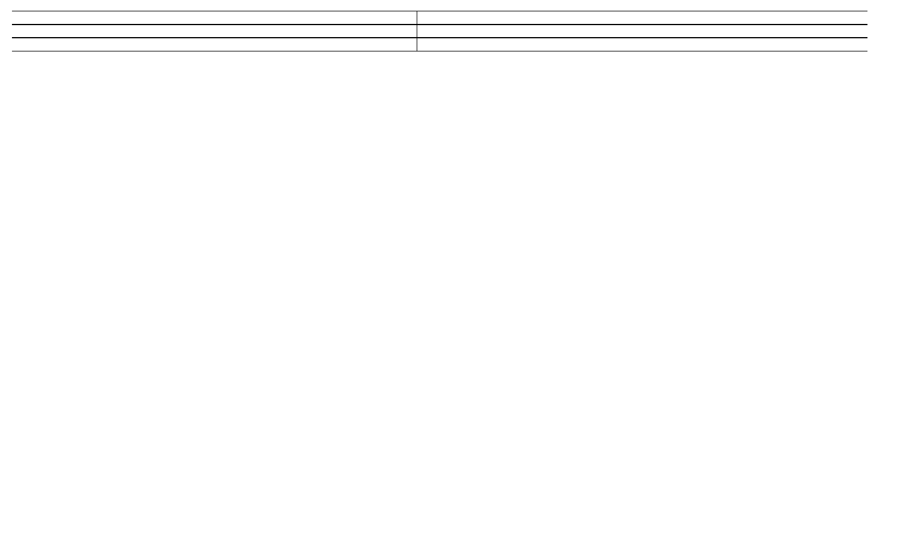| ,我们就会不会不会。""我们,我们就会不会不会不会,我们就会不会不会不会。""我们,我们就会不会不会不会。""我们,我们就会不会不会不会。""我们,我们就会不会 |                                                                                   |
|----------------------------------------------------------------------------------|-----------------------------------------------------------------------------------|
|                                                                                  | ,我们也不会不会不会。""我们的,我们也不会不会不会。""我们的,我们也不会不会不会不会。""我们的,我们也不会不会不会不会。""我们的,我们也不会不会不会不会  |
|                                                                                  | ,我们就会不会不会。""我们,我们就会不会不会,我们就会不会不会,我们就会不会不会。""我们,我们就会不会不会。""我们,我们就会不会不会不会。""我们,我们就会 |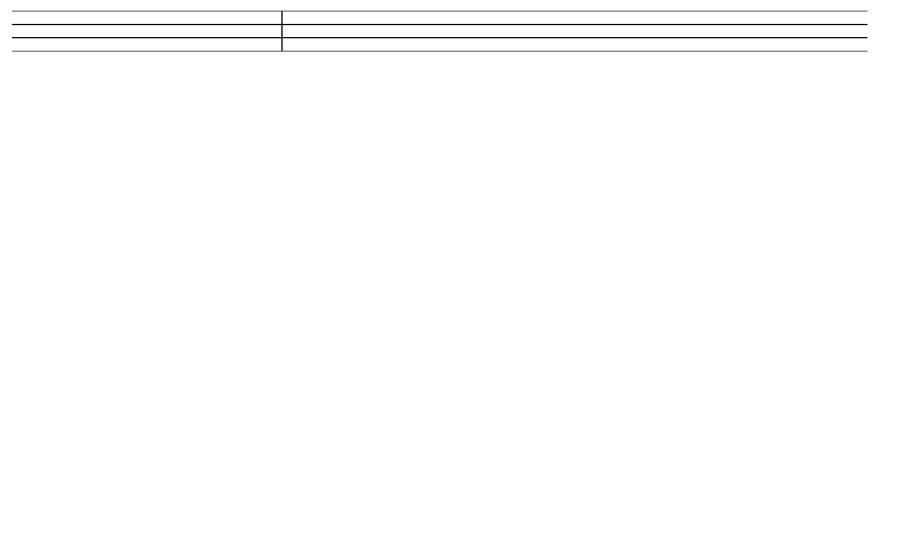| ,他们的人们就会在这里,他们的人们就会在这里,他们的人们就会在这里,他们的人们就会在这里,他们的人们就会在这里,他们的人们就会在这里,他们的人们就会在这里,他们<br>第251章 我们的人们的人们,我们的人们的人们的人们,我们的人们的人们的人们,我们的人们的人们的人们,我们的人们的人们的人们,我们的人们的人们的人们,我们的人们 |
|----------------------------------------------------------------------------------------------------------------------------------------------------------------------|
|                                                                                                                                                                      |
|                                                                                                                                                                      |
|                                                                                                                                                                      |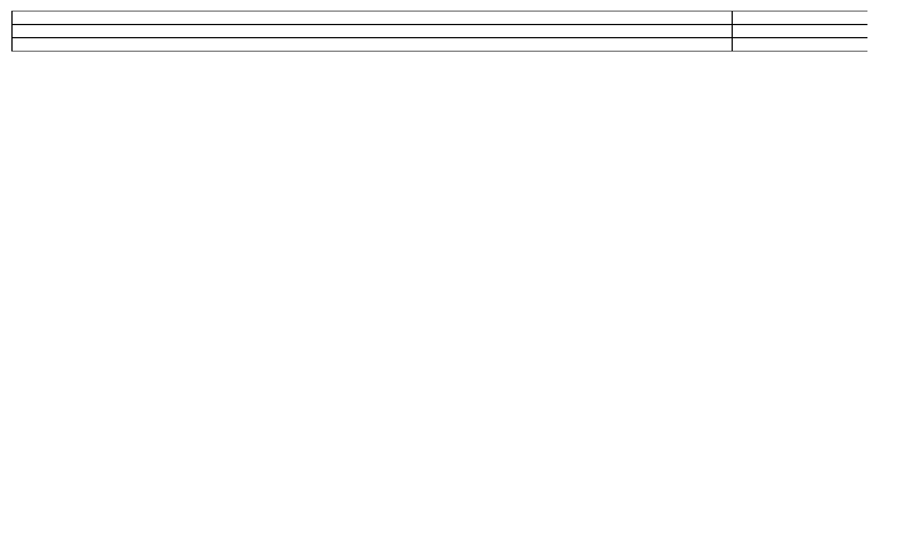| ,他们的人们就是一个人,他们的人们就是一个人,他们的人们,他们的人们就是一个人,他们的人们,他们的人们就是一个人,他们的人们,他们的人们,他们的人们,他们的人们,<br>第25章 我们的人们,他们的人们,他们的人们,他们的人们,他们的人们,他们的人们,他们的人们,他们的人们,他们的人们,他们的人们,他们的人们,他们的人们,他们的 |  |
|-----------------------------------------------------------------------------------------------------------------------------------------------------------------------|--|
| ,一个人都是一个人的人,而且,他们的人都是一个人,而且,他们的人都是一个人,而且,他们的人都是一个人,而且,他们的人都是一个人,而且,他们的人都是一个人,而且,他<br>第二百一十一章 一个人,他们的人都是一个人,他们的人都是一个人,他们的人都是一个人,他们的人都是一个人,他们的人都是一个人,他们的人都是一个人,他们的人都是一个 |  |
| ,一个人都是一个人的人,而且,他们的人都是一个人,他们的人都是一个人,他们的人都是一个人,他们的人都是一个人,他们的人都是一个人,他们的人都是一个人,他们的人都是                                                                                     |  |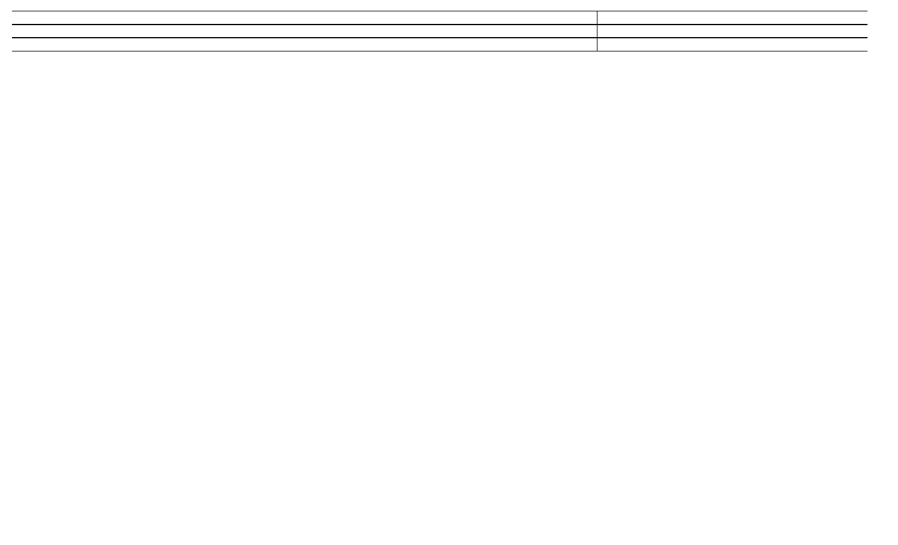| ,一个人都是一个人的人,而且,我们也不会不会不会。""我们,我们也不会不会不会不会不会不会不会不会。""我们,我们也不会不会不会不会不会不会不会不会。""我们,我<br>,他们的人们也不会不会。""我们的人们,我们也不会不会不会。""我们的人们,我们也不会不会不会。""我们的人们,我们也不会不会不会。""我们的人们,我们也不会不 |  |
|-----------------------------------------------------------------------------------------------------------------------------------------------------------------------|--|
| ,我们也不会不会不会。""我们的,我们也不会不会不会。""我们的,我们也不会不会不会不会。""我们的,我们也不会不会不会不会。""我们的,我们也不会不会不会不会                                                                                      |  |
|                                                                                                                                                                       |  |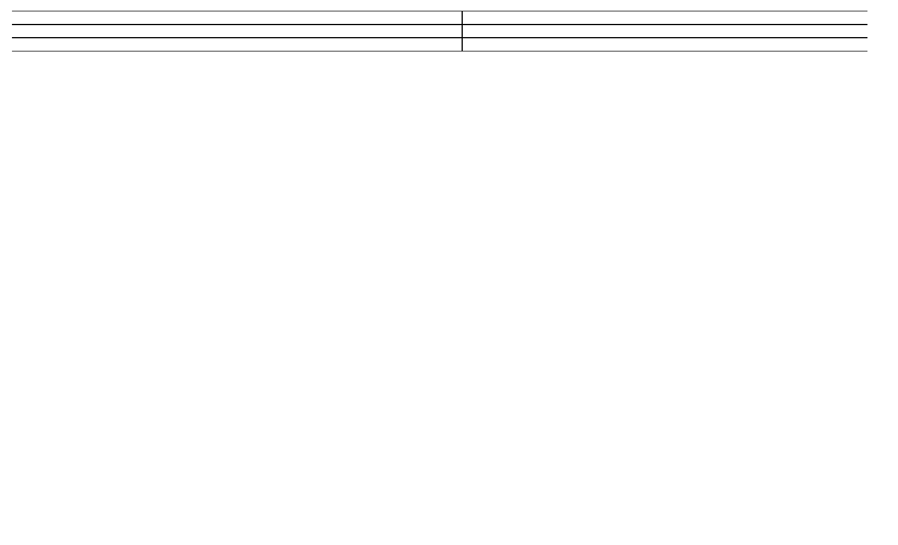| <u> 1980 - Ann an t-Aontaithe ann an t-Aontaithe ann an t-Aontaithe ann an t-Aontaithe ann an t-Aontaithe ann an t-</u> |
|-------------------------------------------------------------------------------------------------------------------------|
|                                                                                                                         |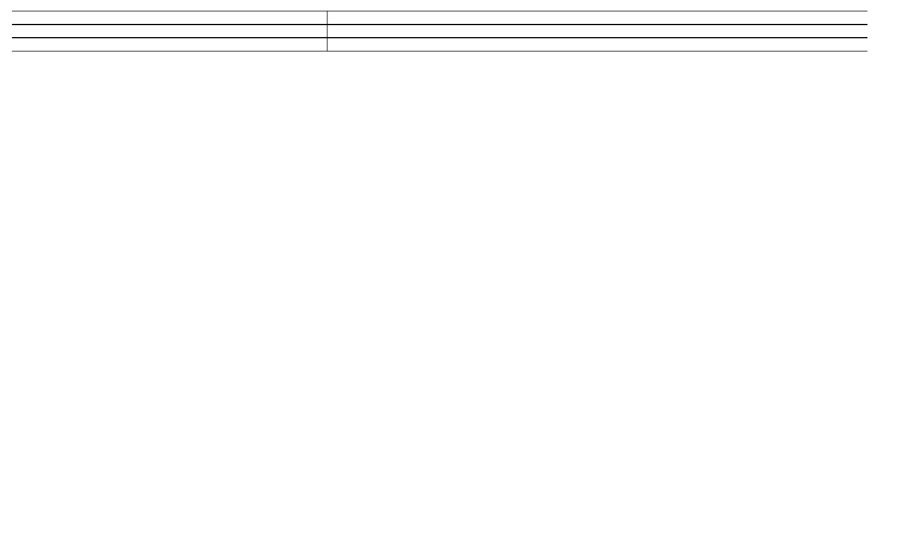| ,一个人都是一个人的人,而且,他们的人都是一个人,而且,他们的人都是一个人,而且,他们的人都是一个人,而且,他们的人都是一个人,而且,他们的人都是一个人,而且,他<br>第二十一章 一个人,他们的人都是一个人,他们的人都是一个人,他们的人都是一个人,他们的人都是一个人,他们的人都是一个人,他们的人都是一个人,他们的人都是一个人, | ,我们也不会不会。""我们的,我们也不会不会。""我们的,我们也不会不会不会。""我们的,我们也不会不会不会。""我们的,我们也不会不会不会。""我们的,我们也 |
|-----------------------------------------------------------------------------------------------------------------------------------------------------------------------|----------------------------------------------------------------------------------|
|                                                                                                                                                                       |                                                                                  |
|                                                                                                                                                                       |                                                                                  |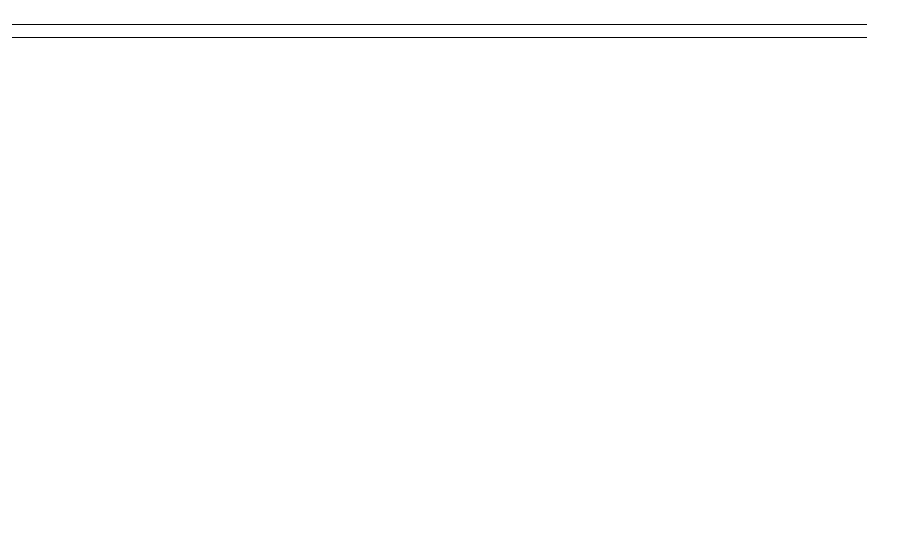| ,一个人的人都是一个人的人,而且,他们的人都是一个人的人,而且,他们的人都是一个人的人,而且,他们的人都是一个人的人,而且,他们的人都是一个人的人,而且,他们的人<br>第一百一十一章 一个人的人,他们的人都是一个人的人,他们的人都是一个人的人,他们的人都是一个人的人,他们的人都是一个人的人,他们的人都是一个人的人,他们的人都是<br>,我们就会不会不会。""我们,我们就会不会不会不会。""我们,我们就会不会不会不会不会不会。""我们,我们就会不会不会不会不会。""我们,我们就会不会不会不会不 |
|-----------------------------------------------------------------------------------------------------------------------------------------------------------------------------------------------------------------------------------------------------------|
| ,一个人都是一个人的人,而且,他们的人都是一个人,而且,他们的人都是一个人,而且,他们的人都是一个人,而且,他们的人都是一个人,而且,他们的人都是一个人,而且,他<br>第二十一章 一个人,他们的人都是一个人,他们的人都是一个人,他们的人都是一个人,他们的人都是一个人,他们的人都是一个人,他们的人都是一个人,他们的人都是一个人,                                                                                     |
|                                                                                                                                                                                                                                                           |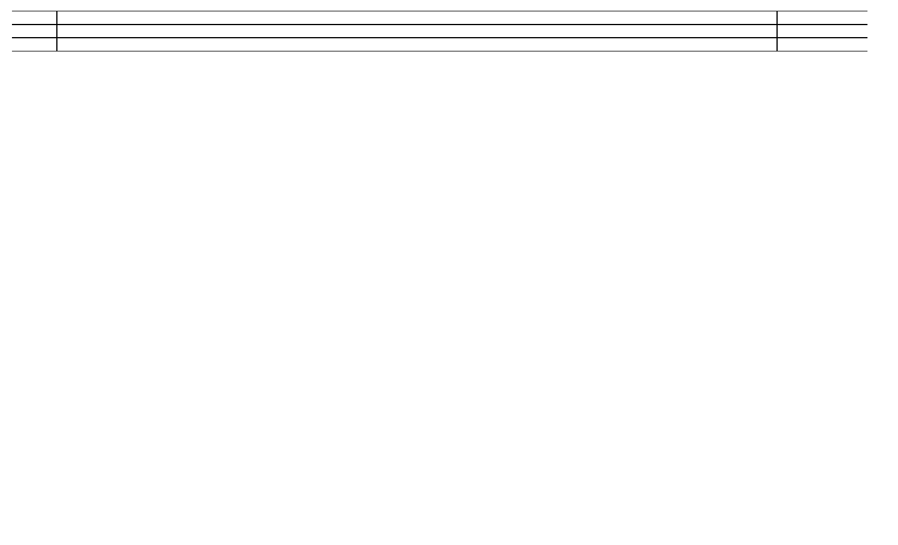| <u>та на представљен под податковата на представљен податковата на представљен податковата на представљен податк</u> |  |
|----------------------------------------------------------------------------------------------------------------------|--|
|                                                                                                                      |  |
| ,一个人都是一个人的人,一个人都是一个人的人,一个人都是一个人的人,一个人都是一个人的人,一个人都是一个人的人,一个人都是一个人的人,一个人都是一个人的人,一个人                                    |  |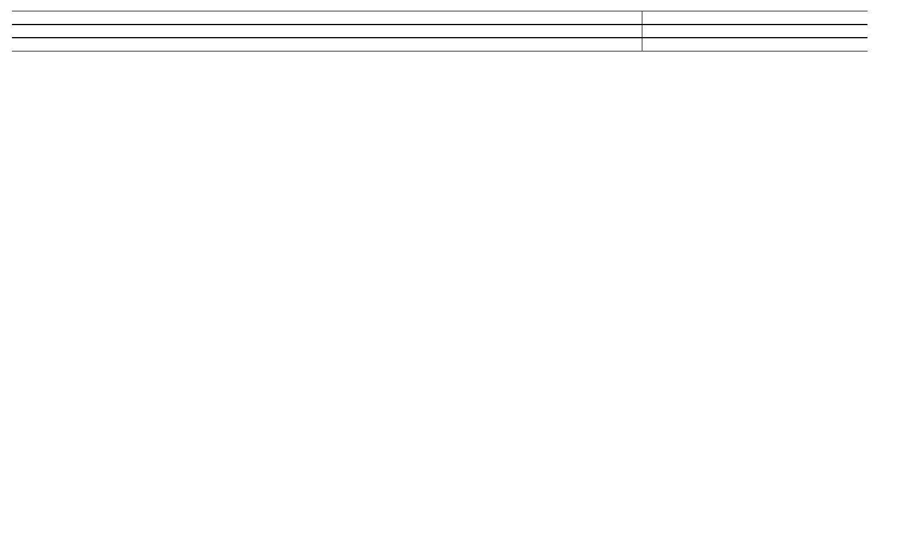| ,一个人都是一个人的人,一个人都是一个人的人,一个人都是一个人的人,一个人都是一个人的人,一个人都是一个人的人,一个人都是一个人的人,一个人都是一个人的人,一个人<br>→ South State State State State State State State State State State State State State State State State State State State State State State State State State State State State State State State State State State State St |  |
|-------------------------------------------------------------------------------------------------------------------------------------------------------------------------------------------------------------------------------------------------------------------------------------------------------------------|--|
| ,一个人的人都是一个人的人,而且,他们的人都是不能的。""我们的人,我们的人都是不能的人,我们的人都是不能的人,我们的人都是不能的人,我们的人都是不能的人,我们的<br>第一百一十一章 一个人的人,我们的人都是不能的人,我们的人都是不能的人,我们的人都是不能的人,我们的人都是不能的人,我们的人都是不能的人,我们的人都是不能的人,                                                                                                                                             |  |
| ,我们也不会不会不会。""我们的,我们也不会不会不会。""我们的,我们也不会不会不会不会不会。""我们的,我们也不会不会不会不会。""我们的,我们也不会不会不会<br>第二百一章 第二百一章 第二百一章 第二百一章 第二百一章 第二百一章 第二百一章 第二百一章 第二百一章 第二百一章 第二百一章 第二百一章 第二百一章 第二                                                                                                                                              |  |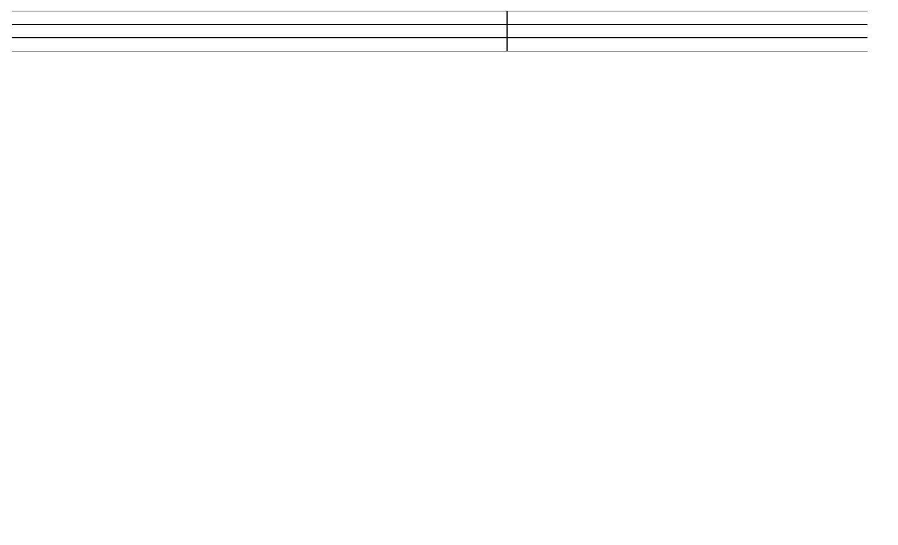| ,一个人都是一个人的人,而且,他们的人都是一个人,而且,他们的人都是一个人,而且,他们的人都是一个人,而且,他们的人都是一个人,而且,他们的人都是一个人,而且,他<br>第二十二章 第二十二章 第二十二章 第二十二章 第二十二章 第二十二章 第二十二章 第二十二章 第二十二章 第二十二章 第二十二章 第二十二章 第二十二章 第二十 |  |
|------------------------------------------------------------------------------------------------------------------------------------------------------------------------|--|
|                                                                                                                                                                        |  |
| ,一个人的人都是一个人的人,而且,他们的人都是一个人的人,而且,他们的人都是一个人的人,而且,他们的人都是一个人的人,而且,他们的人都是一个人的人,而且,他们的人                                                                                      |  |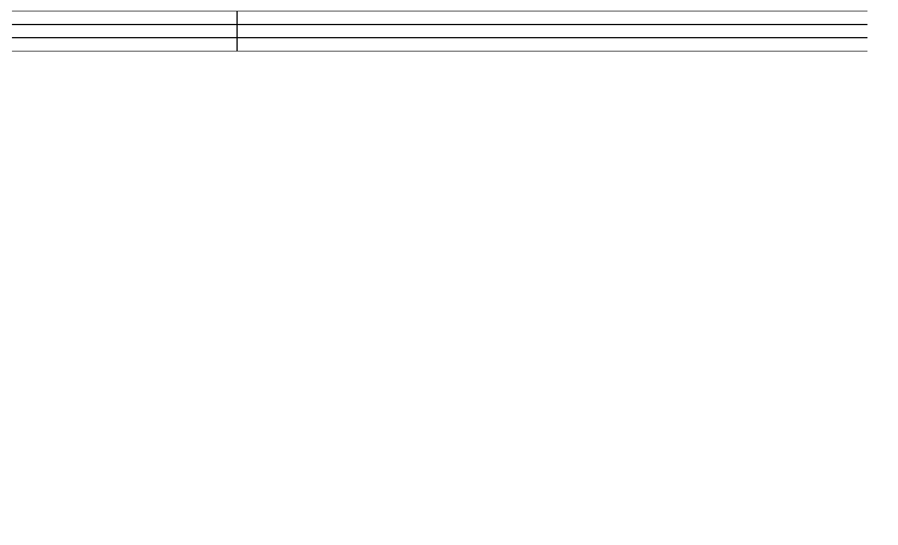| ,我们就会不会不会。""我们,我们也不会不会不会。""我们,我们也不会不会不会不会不会不会。""我们,我们也不会不会不会不会。""我们,我们也不会不会不会不会不  |
|-----------------------------------------------------------------------------------|
| ,一个人都是一个人的人,一个人都是一个人的人,一个人都是一个人的人,一个人都是一个人的人,一个人都是一个人的人,一个人都是一个人的人,一个人都是一个人的人,一个人 |
|                                                                                   |
| ,一个人都是一个人的人,而且,我们也不会不会不会。""我们,我们也不会不会不会不会。""我们,我们也不会不会不会不会。""我们,我们也不会不会不会不会。""我们, |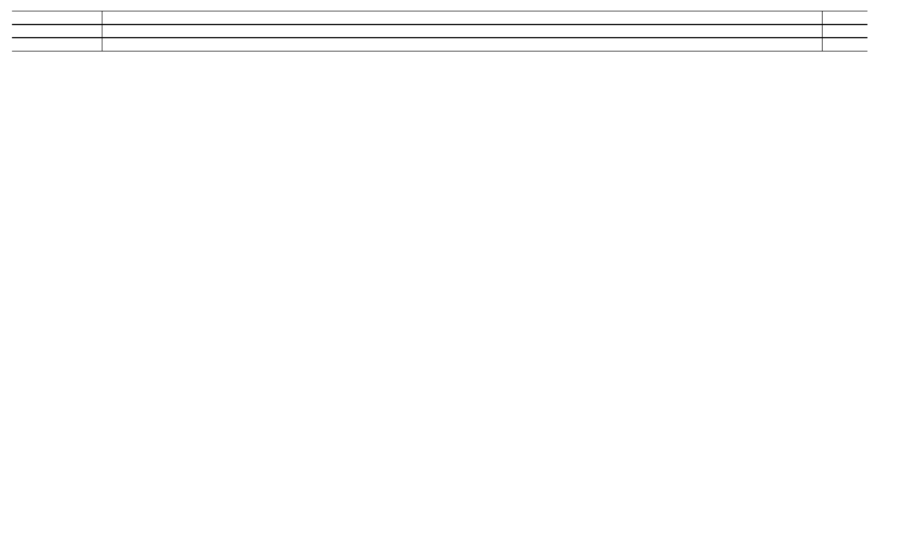| ,一个人都是一个人的人,一个人都是一个人的人,一个人都是一个人的人,一个人都是一个人的人,一个人都是一个人的人,一个人都是一个人的人,一个人都是一个人的人,一个人<br>第二十一章 一个人的人,一个人的人都是一个人的人,一个人的人都是一个人的人,一个人的人都是一个人的人,一个人的人都是一个人的人,一个人的人都是一个人的人,一个人<br>,一个人都是一个人的人,一个人都是一个人的人,一个人都是一个人的人,一个人都是一个人的人,一个人都是一个人的人,一个人都是一个人的人,一个人都是一个人的人,一个人<br>第二十一章 一个人的人,一个人都是一个人的人,一个人都是一个人的人,一个人都是一个人的人,一个人都是一个人的人,一个人都是一个人的人,一个人都是一个人的人,一个 |  |
|------------------------------------------------------------------------------------------------------------------------------------------------------------------------------------------------------------------------------------------------------------------------------------------------------------------------------------------------|--|
| ,一个人的人都是一个人的人,而且,他们的人都是一个人的人,而且,他们的人都是一个人的人,而且,他们的人都是一个人的人,而且,他们的人都是一个人的人,而且,他们的<br>第一百一十一章 一个人的人,他们的人都是一个人的人,他们的人都是一个人的人,他们的人都是一个人的人,他们的人都是一个人的人,他们的人都是一个人的人,他们的人都是                                                                                                                                                                           |  |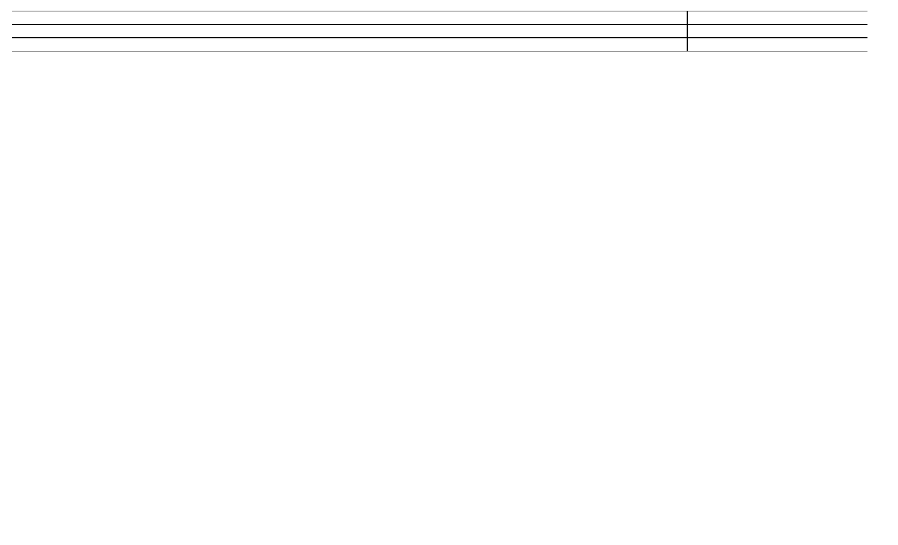| ,我们就会不会不会。""我们,我们也不会不会不会。""我们,我们也不会不会不会不会不会不会不会。""我们,我们也不会不会不会不会不会。""我们,我们也不会不会不 |  |
|----------------------------------------------------------------------------------|--|
| ,一个人的人都是一个人的人,而且,我们也不会不会不会。""我们,我们也不会不会不会不会不会不会。""我们,我们也不会不会不会不会。""我们,我们也不会不会不会不 |  |
|                                                                                  |  |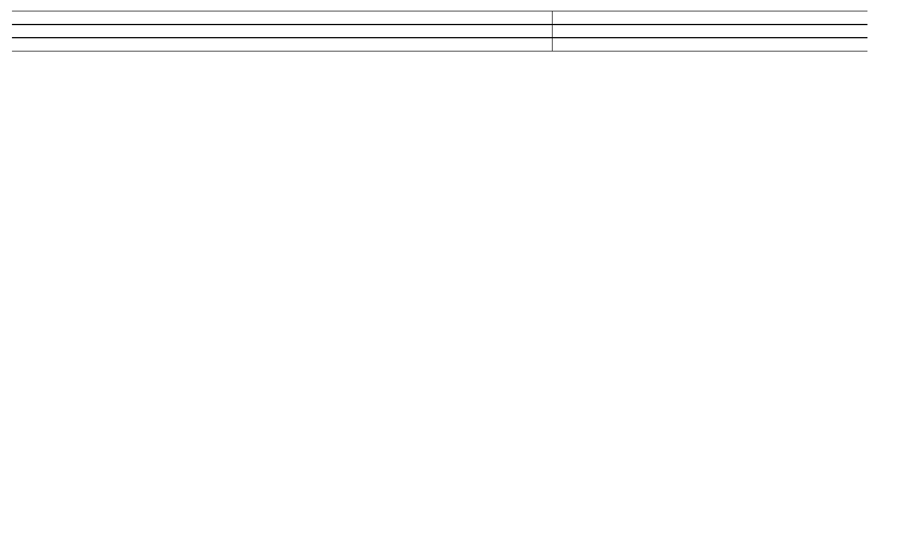| → 中国的 → 中国的 → 中国的 → 中国的 → 中国的 → 中国的 → 中国的 → 中国的 → 中国的 → 中国的 → 中国的 → 中国的 → 中国的 → 中国的 → 中国的 → 中国的 → 中国的 → 中国的 → 中国 |  |
|------------------------------------------------------------------------------------------------------------------|--|
|                                                                                                                  |  |
|                                                                                                                  |  |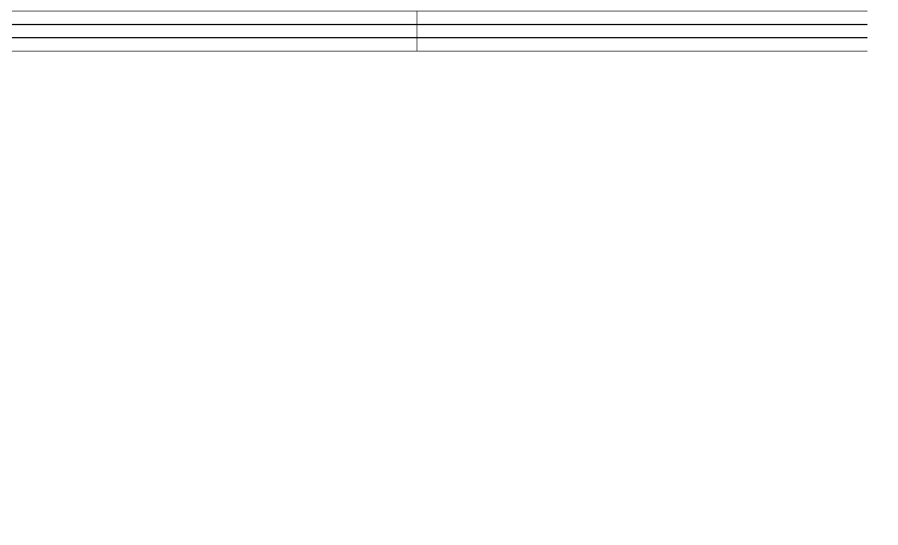| ,我们就会不会不会。""我们,我们就会不会不会不会,我们就会不会不会不会。""我们,我们就会不会不会不会。""我们,我们就会不会不会不会。""我们,我们就会不会 |                                                                                   |
|----------------------------------------------------------------------------------|-----------------------------------------------------------------------------------|
|                                                                                  | ,我们也不会不会不会。""我们的,我们也不会不会不会。""我们的,我们也不会不会不会不会。""我们的,我们也不会不会不会不会。""我们的,我们也不会不会不会不会  |
|                                                                                  | ,我们就会不会不会。""我们,我们就会不会不会,我们就会不会不会,我们就会不会不会。""我们,我们就会不会不会。""我们,我们就会不会不会不会。""我们,我们就会 |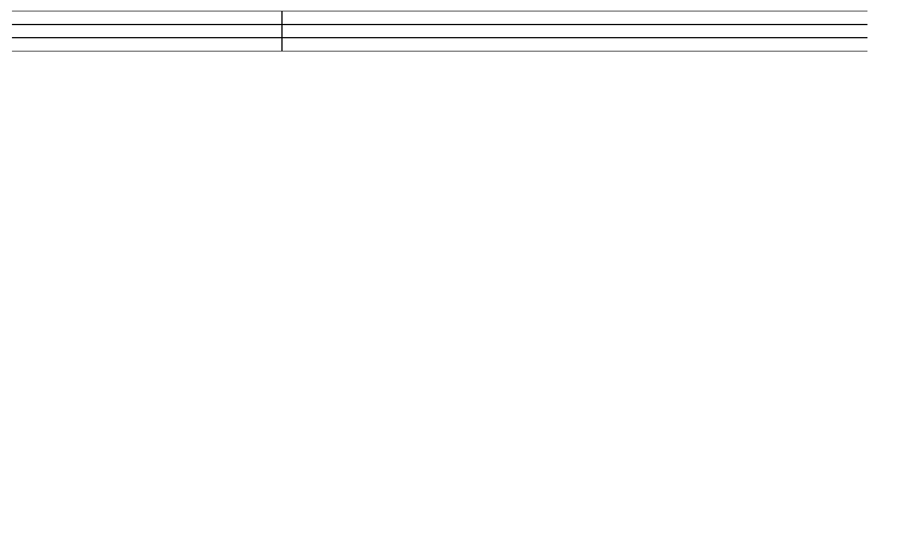| ,一个人都是一个人的人,我们就是一个人的人,我们就是一个人的人,我们就是一个人的人,我们就是一个人的人,我们就是一个人的人,我们就是一个人的人,我们就是一个人的<br>第一百一十一章 一个人的人,我们就是一个人的人,我们就是一个人的人,我们就是一个人的人,我们就是一个人的人,我们就是一个人的人,我们就是一个人的人,我们就是一个 |
|----------------------------------------------------------------------------------------------------------------------------------------------------------------------|
|                                                                                                                                                                      |
|                                                                                                                                                                      |
|                                                                                                                                                                      |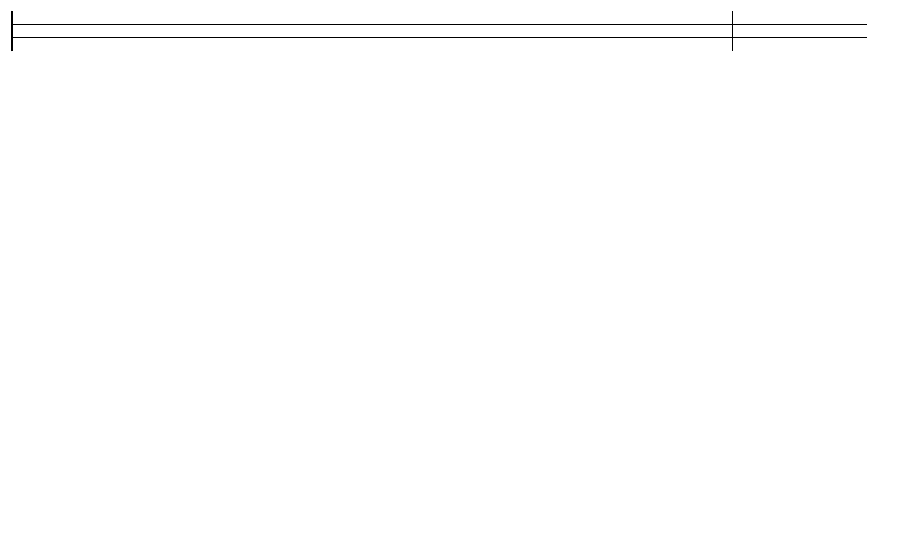| ,他们的人们就是一个人,他们的人们就是一个人,他们的人们,他们的人们就是一个人,他们的人们,他们的人们就是一个人,他们的人们,他们的人们,他们的人们,他们的人们,<br>第25章 我们的人们,他们的人们,他们的人们,他们的人们,他们的人们,他们的人们,他们的人们,他们的人们,他们的人们,他们的人们,他们的人们,他们的人们,他们的 |  |
|-----------------------------------------------------------------------------------------------------------------------------------------------------------------------|--|
| ,一个人都是一个人的人,而且,他们的人都是一个人,而且,他们的人都是一个人,而且,他们的人都是一个人,而且,他们的人都是一个人,而且,他们的人都是一个人,而且,他<br>第二百一十一章 一个人,他们的人都是一个人,他们的人都是一个人,他们的人都是一个人,他们的人都是一个人,他们的人都是一个人,他们的人都是一个人,他们的人都是一个 |  |
| ,一个人都是一个人的人,而且,他们的人都是一个人,他们的人都是一个人,他们的人都是一个人,他们的人都是一个人,他们的人都是一个人,他们的人都是一个人,他们的人都是                                                                                     |  |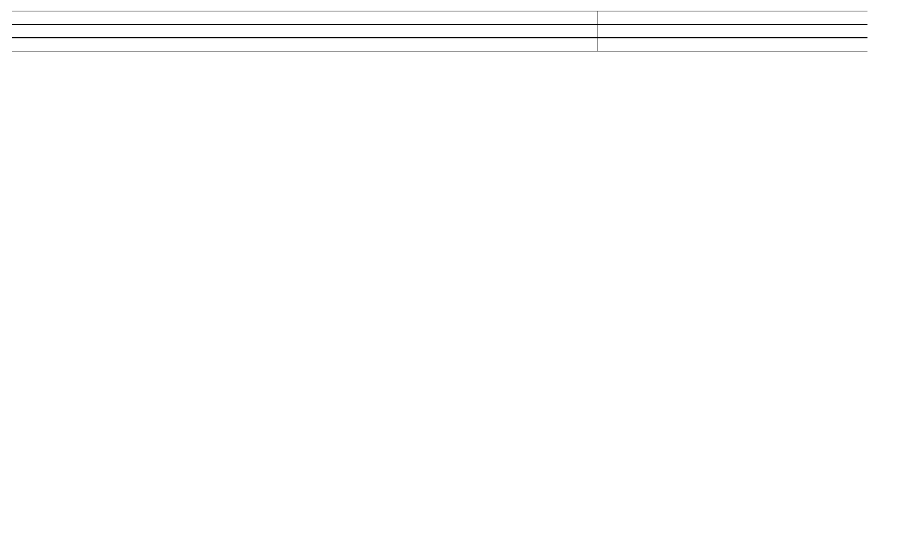| ,一个人都是一个人的人,而且,我们也不会不会不会。""我们,我们也不会不会不会不会不会不会不会不会。""我们,我们也不会不会不会不会不会不会不会不会。""我们,我<br>,他们的人们也不会不会。""我们的人们,我们也不会不会不会。""我们的人们,我们也不会不会不会。""我们的人们,我们也不会不会不会。""我们的人们,我们也不会不 |  |
|-----------------------------------------------------------------------------------------------------------------------------------------------------------------------|--|
| ,我们也不会不会不会。""我们的,我们也不会不会不会。""我们的,我们也不会不会不会不会。""我们的,我们也不会不会不会不会。""我们的,我们也不会不会不会不会                                                                                      |  |
|                                                                                                                                                                       |  |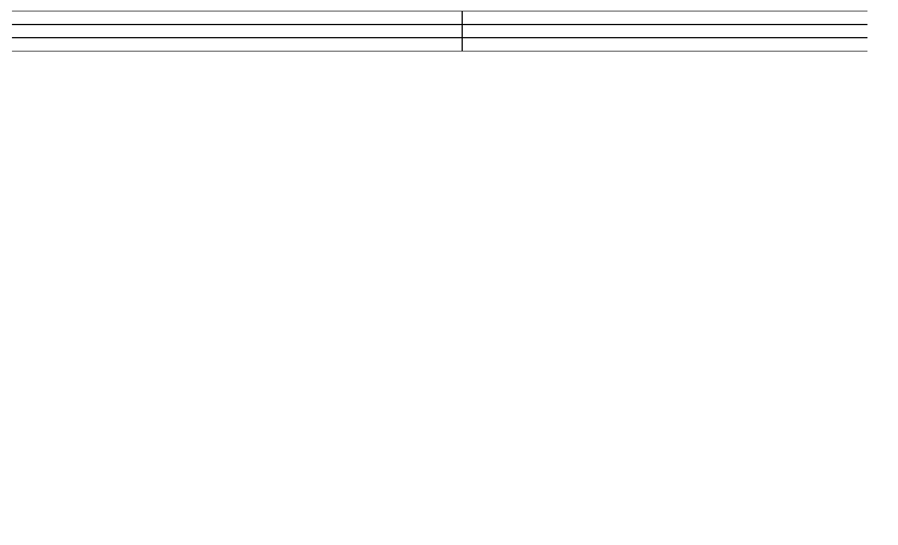| <u> 2001 - An t-An Aontaithe ann an t-Aontaithe ann an t-Aontaithe ann an t-Aontaithe ann an t-Aontaithe ann an t-</u> |
|------------------------------------------------------------------------------------------------------------------------|
|                                                                                                                        |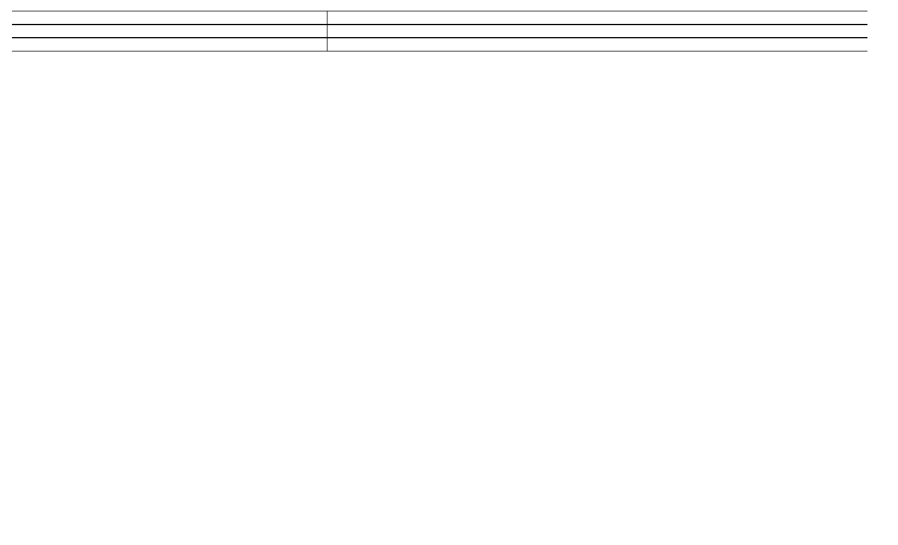| ,一个人都是一个人的人,而且,他们的人都是一个人,而且,他们的人都是一个人,而且,他们的人都是一个人,而且,他们的人都是一个人,而且,他们的人都是一个人,而且,他<br>第二十一章 一个人,他们的人都是一个人,他们的人都是一个人,他们的人都是一个人,他们的人都是一个人,他们的人都是一个人,他们的人都是一个人,他们的人都是一个人, | ,我们也不会不会。""我们的,我们也不会不会。""我们的,我们也不会不会不会。""我们的,我们也不会不会不会。""我们的,我们也不会不会不会。""我们的,我们也 |
|-----------------------------------------------------------------------------------------------------------------------------------------------------------------------|----------------------------------------------------------------------------------|
|                                                                                                                                                                       |                                                                                  |
|                                                                                                                                                                       |                                                                                  |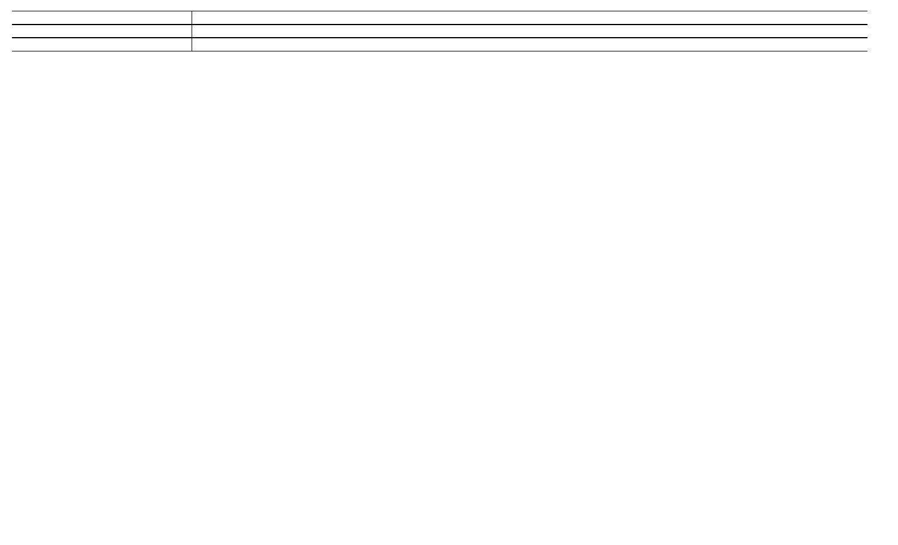| ,一个人的人都是一个人的人,而且,他们的人都是一个人的人,而且,他们的人都是一个人的人,而且,他们的人都是一个人的人,而且,他们的人都是一个人的人,而且,他们的人<br>第一百一十一章 一个人的人,他们的人都是一个人的人,他们的人都是一个人的人,他们的人都是一个人的人,他们的人都是一个人的人,他们的人都是一个人的人,他们的人都是<br>,我们就会不会不会。""我们,我们就会不会不会不会。""我们,我们就会不会不会不会不会不会。""我们,我们就会不会不会不会不会。""我们,我们就会不会不会不会不 |
|-----------------------------------------------------------------------------------------------------------------------------------------------------------------------------------------------------------------------------------------------------------|
| ,一个人都是一个人的人,而且,他们的人都是一个人,而且,他们的人都是一个人,而且,他们的人都是一个人,而且,他们的人都是一个人,而且,他们的人都是一个人,而且,他<br>第二十一章 一个人,他们的人都是一个人,他们的人都是一个人,他们的人都是一个人,他们的人都是一个人,他们的人都是一个人,他们的人都是一个人,他们的人都是一个人,                                                                                     |
|                                                                                                                                                                                                                                                           |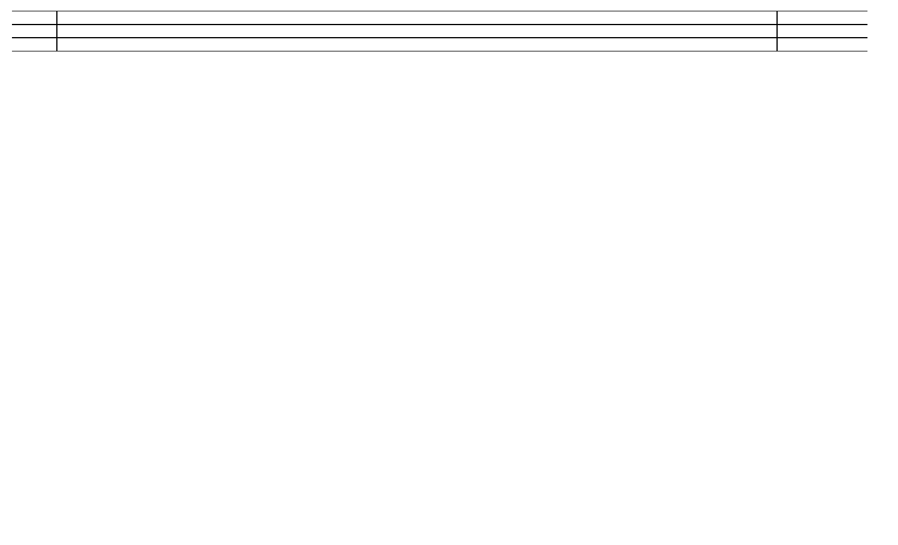| <u>та на представљен под податковата на представљен податковата на представљен податковата на представљен податк</u> |  |
|----------------------------------------------------------------------------------------------------------------------|--|
|                                                                                                                      |  |
| ,一个人都是一个人的人,一个人都是一个人的人,一个人都是一个人的人,一个人都是一个人的人,一个人都是一个人的人,一个人都是一个人的人,一个人都是一个人的人,一个人                                    |  |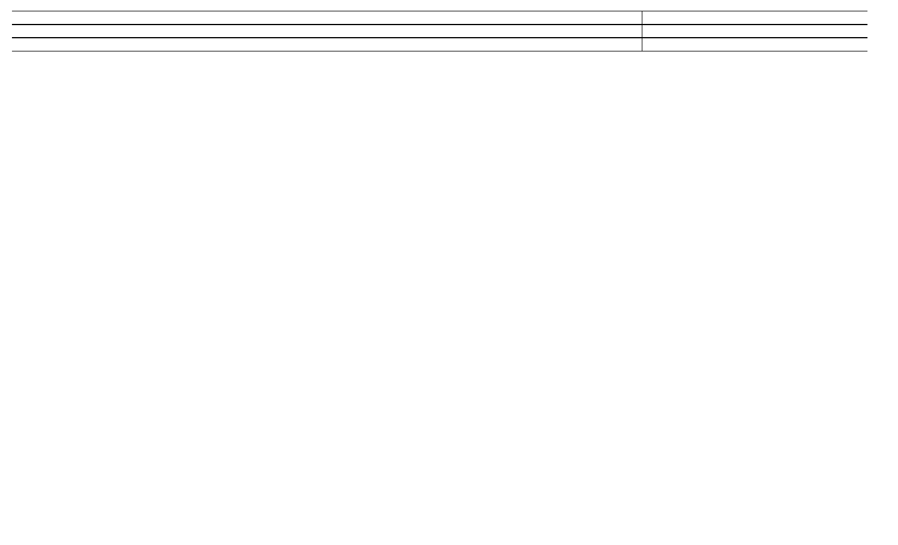| ,一个人都是一个人的人,一个人都是一个人的人,一个人都是一个人的人,一个人都是一个人的人,一个人都是一个人的人,一个人都是一个人的人,一个人都是一个人的人,一个人<br>→ South State State State State State State State State State State State State State State State State State State State State State State State State State State State State State State State State State State State St |  |
|-------------------------------------------------------------------------------------------------------------------------------------------------------------------------------------------------------------------------------------------------------------------------------------------------------------------|--|
| ,一个人的人都是一个人的人,而且,他们的人都是不是一个人的人,而且,他们的人都是不是一个人的人,而且,他们的人都是不是一个人的人,而且,他们的人都是不是一个人的<br>第一百一十一章 一个人的人,他们的人都是不是一个人的人,他们的人都是不是一个人的人,他们的人都是不是一个人的人,他们的人都是不是一个人的人,他们的人都是不是一个                                                                                                                                              |  |
| ,我们也不会不会不会。""我们的,我们也不会不会不会。""我们的,我们也不会不会不会不会不会。""我们的,我们也不会不会不会不会。""我们的,我们也不会不会不会<br>第二百一章 第二百一章 第二百一章 第二百一章 第二百一章 第二百一章 第二百一章 第二百一章 第二百一章 第二百一章 第二百一章 第二百一章 第二百一章 第二                                                                                                                                              |  |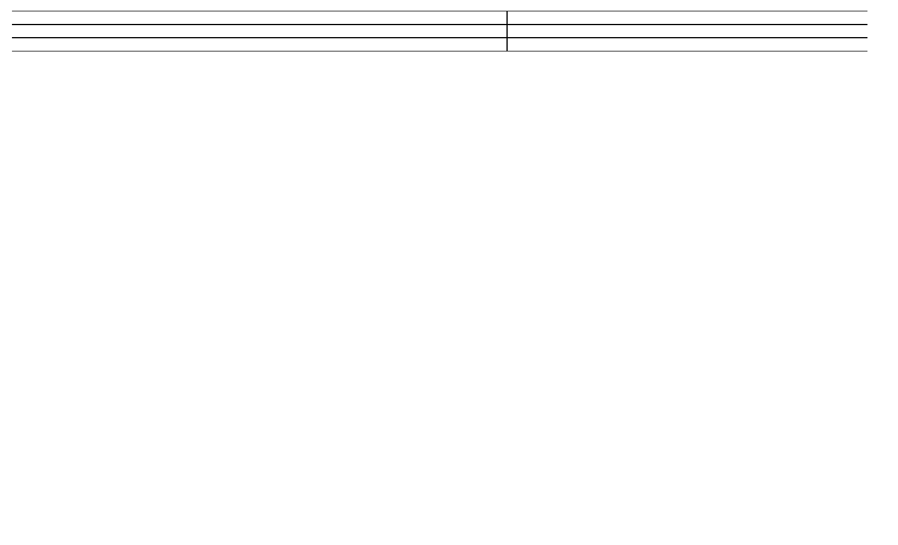| ,一个人都是一个人的人,而且,他们的人都是一个人,而且,他们的人都是一个人,而且,他们的人都是一个人,而且,他们的人都是一个人,而且,他们的人都是一个人,而且,他<br>第二十二章 第二十二章 第二十二章 第二十二章 第二十二章 第二十二章 第二十二章 第二十二章 第二十二章 第二十二章 第二十二章 第二十二章 第二十二章 第二十 |  |
|------------------------------------------------------------------------------------------------------------------------------------------------------------------------|--|
|                                                                                                                                                                        |  |
| ,我们就会不会不会。""我们的,我们也不会不会不会。""我们的,我们也不会不会不会不会不会。""我们的,我们也不会不会不会不会。""我们的,我们也不会不会不会不                                                                                       |  |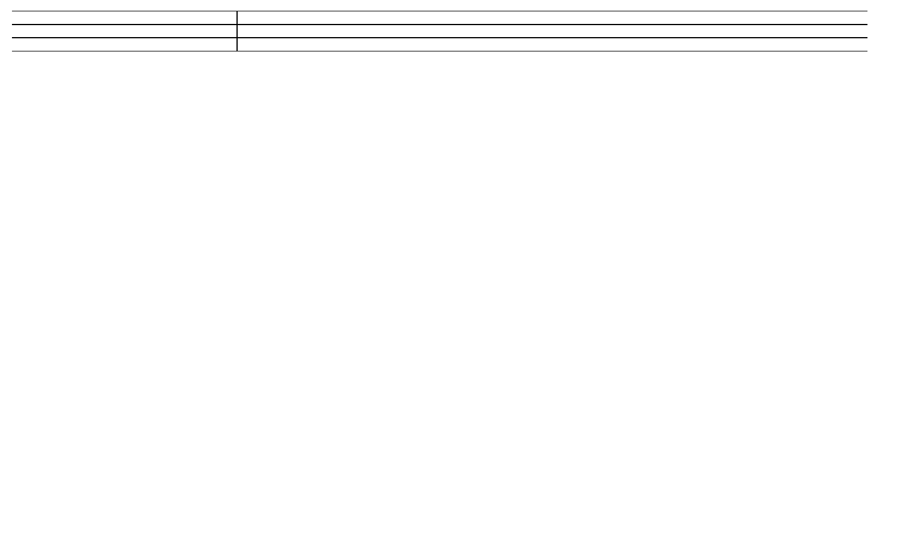| ,我们就会不会不会。""我们,我们也不会不会不会。""我们,我们也不会不会不会不会不会不会。""我们,我们也不会不会不会不会。""我们,我们也不会不会不会不会不  |
|-----------------------------------------------------------------------------------|
| ,一个人都是一个人的人,一个人都是一个人的人,一个人都是一个人的人,一个人都是一个人的人,一个人都是一个人的人,一个人都是一个人的人,一个人都是一个人的人,一个人 |
|                                                                                   |
| ,一个人都是一个人的人,而且,我们也不会不会不会。""我们,我们也不会不会不会不会不会不会不会。""我们,我们也不会不会不会不会不会不会不会不会。""我们,我们  |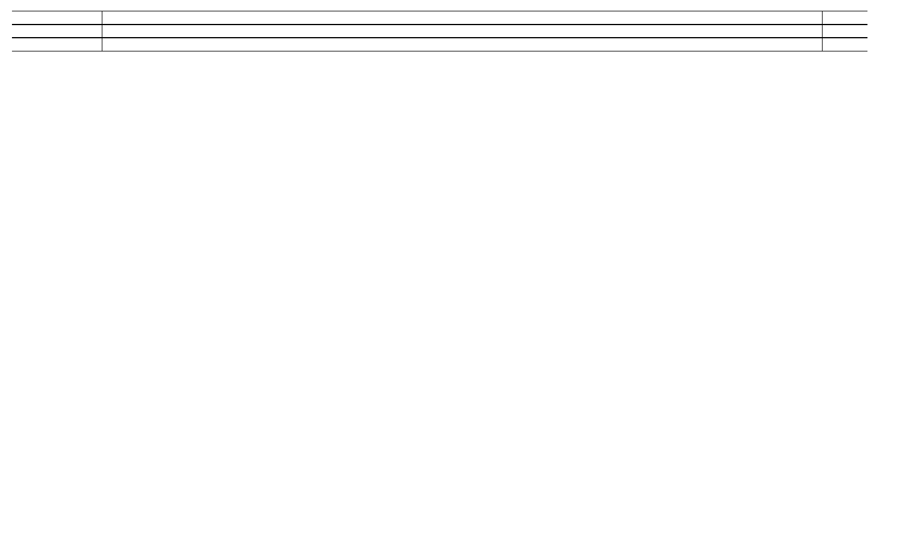| ,一个人都是一个人的人,一个人都是一个人的人,一个人都是一个人的人,一个人都是一个人的人,一个人都是一个人的人,一个人都是一个人的人,一个人都是一个人的人,一个人<br>第二十一章 一个人的人,一个人的人都是一个人的人,一个人的人都是一个人的人,一个人的人都是一个人的人,一个人的人都是一个人的人,一个人的人都是一个人的人,一个人<br>,一个人都是一个人的人,一个人都是一个人的人,一个人都是一个人的人,一个人都是一个人的人,一个人都是一个人的人,一个人都是一个人的人,一个人都是一个人的人,一个人<br>第二十一章 一个人的人,一个人都是一个人的人,一个人都是一个人的人,一个人都是一个人的人,一个人都是一个人的人,一个人都是一个人的人,一个人都是一个人的人,一个 |  |
|------------------------------------------------------------------------------------------------------------------------------------------------------------------------------------------------------------------------------------------------------------------------------------------------------------------------------------------------|--|
| ,一个人的人都是一个人的人,而且,他们的人都是一个人的人,而且,他们的人都是一个人的人,而且,他们的人都是一个人的人,而且,他们的人都是一个人的人,而且,他们的<br>第一百一十一章 一个人的人,他们的人都是一个人的人,他们的人都是一个人的人,他们的人都是一个人的人,他们的人都是一个人的人,他们的人都是一个人的人,他们的人都是                                                                                                                                                                           |  |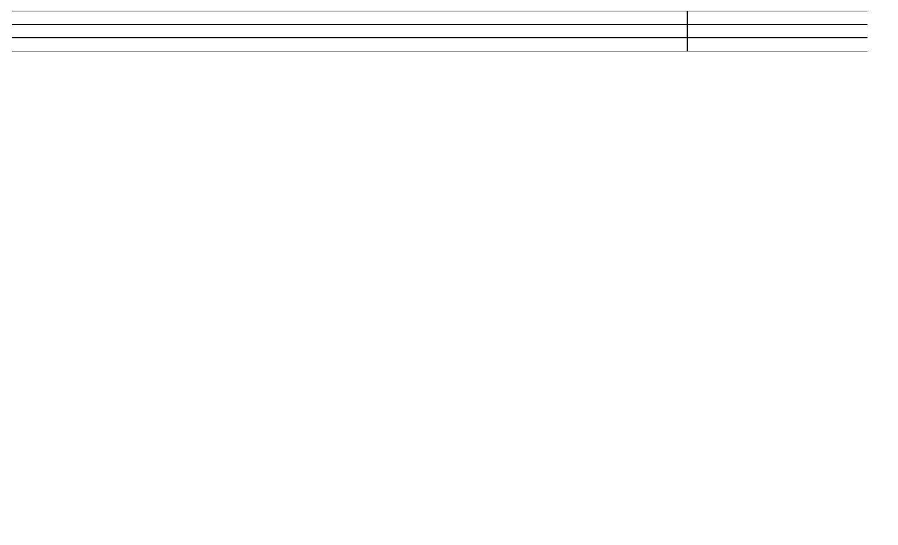| ,我们就会不会不会。""我们,我们也不会不会不会。""我们,我们也不会不会不会不会不会不会不会。""我们,我们也不会不会不会不会不会。""我们,我们也不会不会不 |  |
|----------------------------------------------------------------------------------|--|
| ,一个人的人都是一个人的人,而且,我们也不会不会不会。""我们,我们也不会不会不会不会不会不会。""我们,我们也不会不会不会不会。""我们,我们也不会不会不会不 |  |
|                                                                                  |  |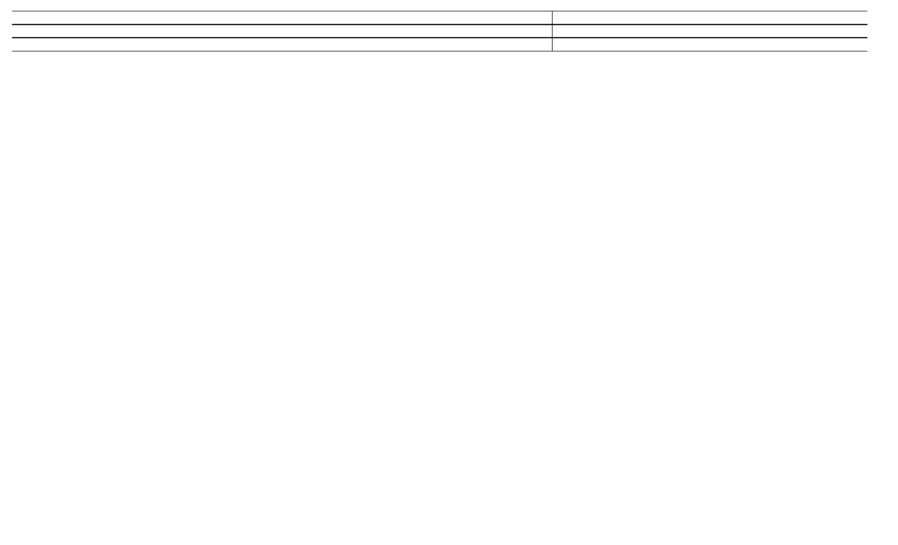| → 中国的 → 中国的 → 中国的 → 中国的 → 中国的 → 中国的 → 中国的 → 中国的 → 中国的 → 中国的 → 中国的 → 中国的 → 中国的 → 中国的 → 中国的 → 中国的 → 中国的 → 中国的 → 中国 |  |
|------------------------------------------------------------------------------------------------------------------|--|
|                                                                                                                  |  |
|                                                                                                                  |  |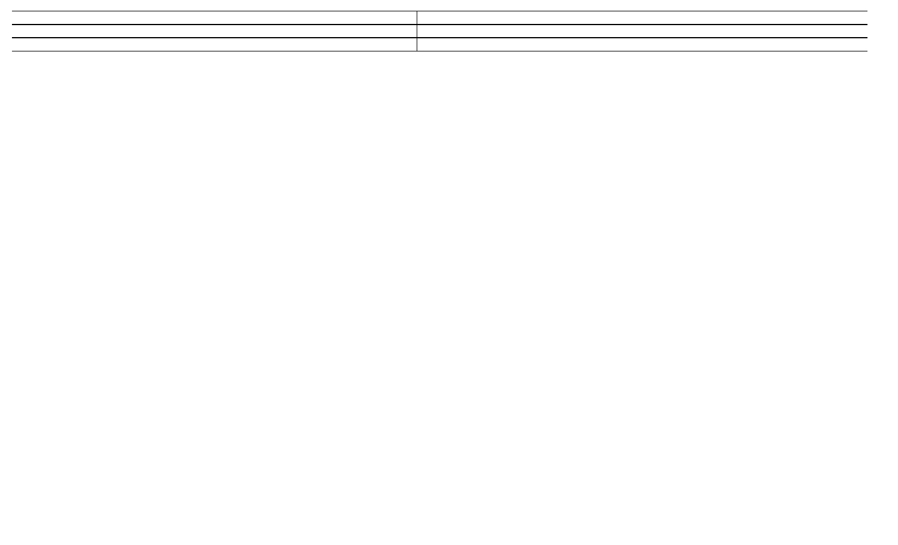| ,我们就会不会不会。""我们,我们就会不会不会不会,我们就会不会不会不会。""我们,我们就会不会不会不会。""我们,我们就会不会不会不会。""我们,我们就会不会 |                                                                                   |
|----------------------------------------------------------------------------------|-----------------------------------------------------------------------------------|
|                                                                                  | ,我们也不会不会不会。""我们的,我们也不会不会不会。""我们的,我们也不会不会不会不会。""我们的,我们也不会不会不会不会。""我们的,我们也不会不会不会不会  |
|                                                                                  | ,我们就会不会不会。""我们,我们就会不会不会,我们就会不会不会,我们就会不会不会。""我们,我们就会不会不会。""我们,我们就会不会不会不会。""我们,我们就会 |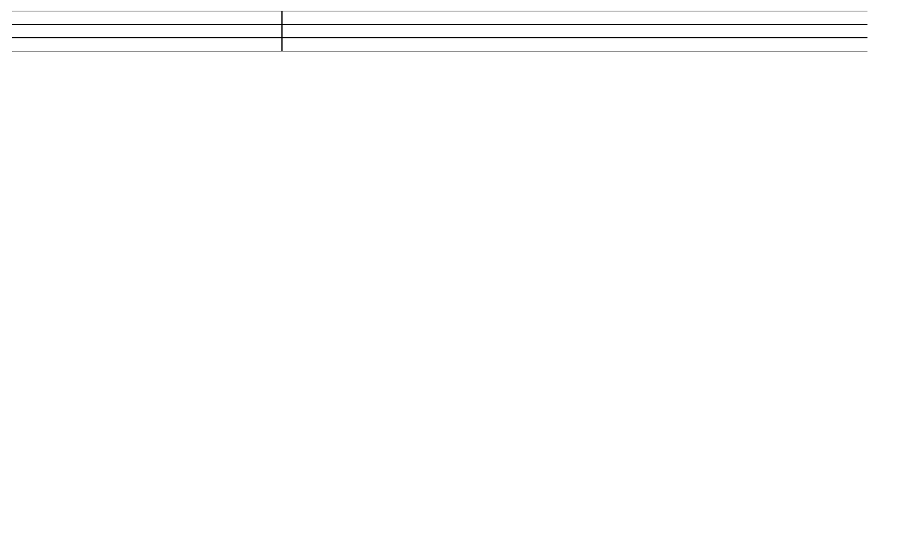| ,一个人都是一个人的人,我们就是一个人的人,我们就是一个人的人,我们就是一个人的人,我们就是一个人的人,我们就是一个人的人,我们就是一个人的人,我们就是一个人的<br>第一百一十一章 一个人的人,我们就是一个人的人,我们就是一个人的人,我们就是一个人的人,我们就是一个人的人,我们就是一个人的人,我们就是一个人的人,我们就是一个 |
|----------------------------------------------------------------------------------------------------------------------------------------------------------------------|
|                                                                                                                                                                      |
|                                                                                                                                                                      |
|                                                                                                                                                                      |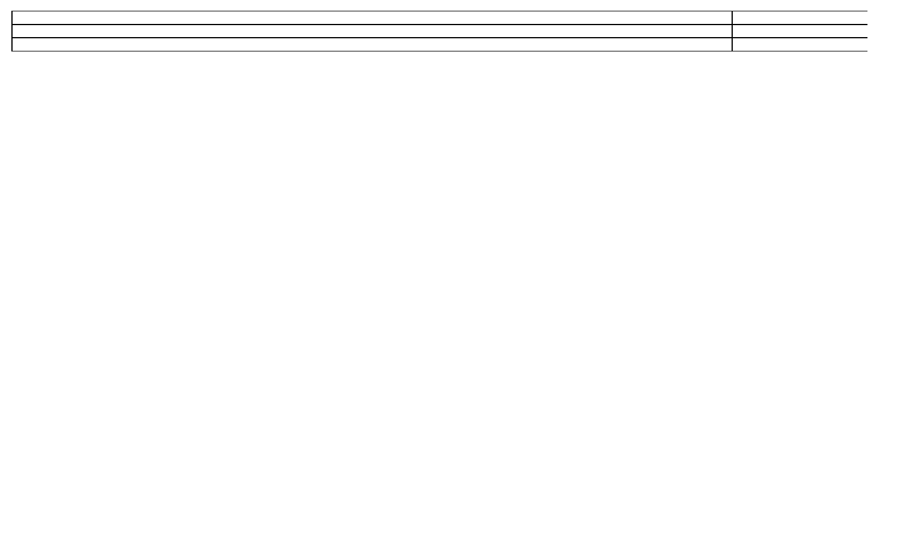| ,他们的人们就是一个人,他们的人们就是一个人,他们的人们,他们的人们就是一个人,他们的人们,他们的人们就是一个人,他们的人们,他们的人们,他们的人们,他们的人们,<br>第25章 我们的人们,他们的人们,他们的人们,他们的人们,他们的人们,他们的人们,他们的人们,他们的人们,他们的人们,他们的人们,他们的人们,他们的人们,他们的 |  |
|-----------------------------------------------------------------------------------------------------------------------------------------------------------------------|--|
| ,一个人都是一个人的人,而且,他们的人都是一个人,而且,他们的人都是一个人,而且,他们的人都是一个人,而且,他们的人都是一个人,而且,他们的人都是一个人,而且,他<br>第二百一十一章 一个人,他们的人都是一个人,他们的人都是一个人,他们的人都是一个人,他们的人都是一个人,他们的人都是一个人,他们的人都是一个人,他们的人都是一个 |  |
| ,一个人都是一个人的人,而且,他们的人都是一个人,他们的人都是一个人,他们的人都是一个人,他们的人都是一个人,他们的人都是一个人,他们的人都是一个人,他们的人都是                                                                                     |  |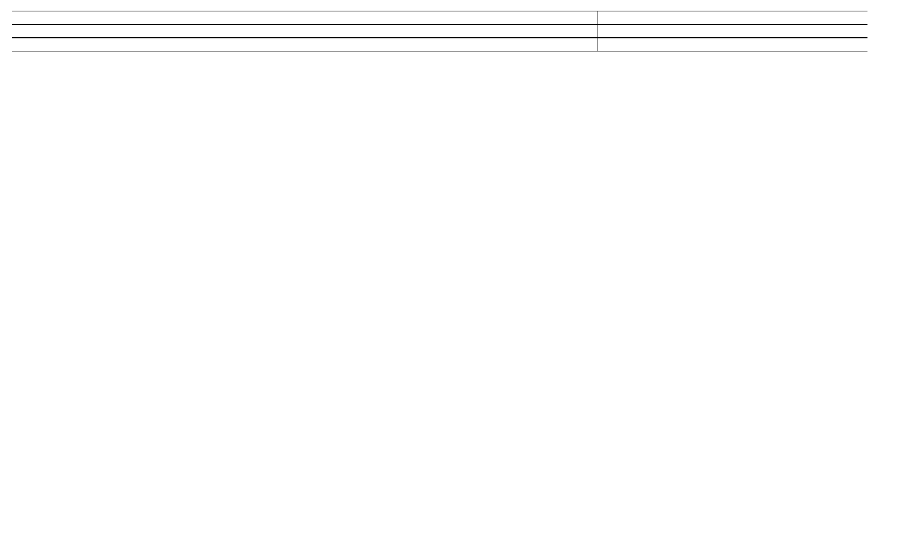| ,一个人都是一个人的人,而且,我们也不会不会不会。""我们,我们也不会不会不会不会不会不会不会不会。""我们,我们也不会不会不会不会不会不会不会不会。""我们,我<br>,他们的人们也不会不会。""我们的人们,我们也不会不会不会。""我们的人们,我们也不会不会不会。""我们的人们,我们也不会不会不会。""我们的人们,我们也不会不 |  |
|-----------------------------------------------------------------------------------------------------------------------------------------------------------------------|--|
| ,我们也不会不会不会。""我们的,我们也不会不会不会。""我们的,我们也不会不会不会不会。""我们的,我们也不会不会不会不会。""我们的,我们也不会不会不会不会                                                                                      |  |
|                                                                                                                                                                       |  |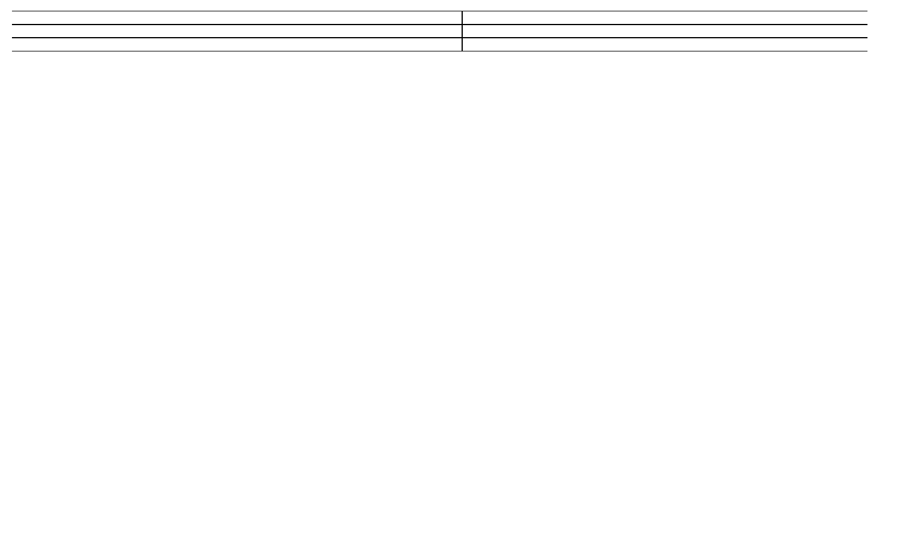| <u> 2001 - An t-An Aontaithe ann an t-Aontaithe ann an t-Aontaithe ann an t-Aontaithe ann an t-Aontaithe ann an t-</u> |
|------------------------------------------------------------------------------------------------------------------------|
|                                                                                                                        |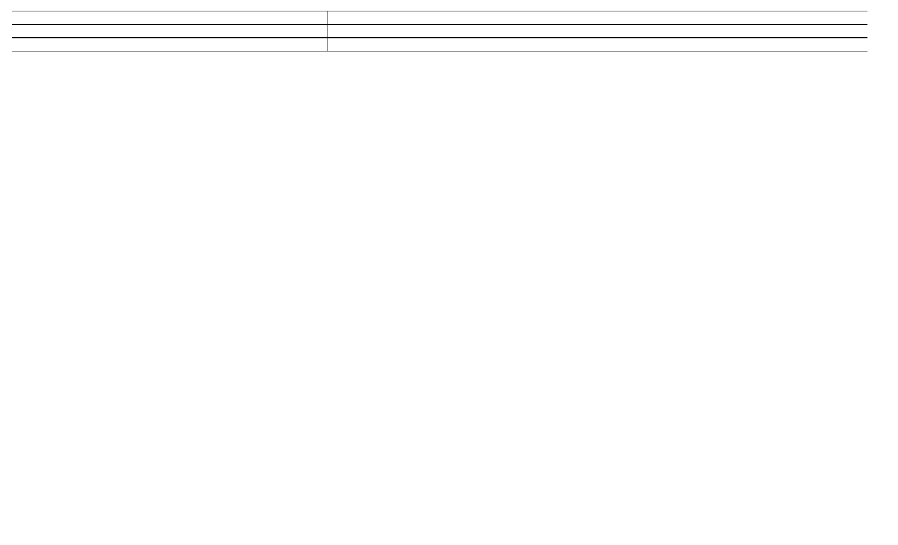| ,一个人都是一个人的人,而且,他们的人都是一个人,而且,他们的人都是一个人,而且,他们的人都是一个人,而且,他们的人都是一个人,而且,他们的人都是一个人,而且,他<br>第二十一章 一个人,他们的人都是一个人,他们的人都是一个人,他们的人都是一个人,他们的人都是一个人,他们的人都是一个人,他们的人都是一个人,他们的人都是一个人, | ,我们也不会不会。""我们的,我们也不会不会。""我们的,我们也不会不会不会。""我们的,我们也不会不会不会。""我们的,我们也不会不会不会。""我们的,我们也 |
|-----------------------------------------------------------------------------------------------------------------------------------------------------------------------|----------------------------------------------------------------------------------|
|                                                                                                                                                                       |                                                                                  |
|                                                                                                                                                                       |                                                                                  |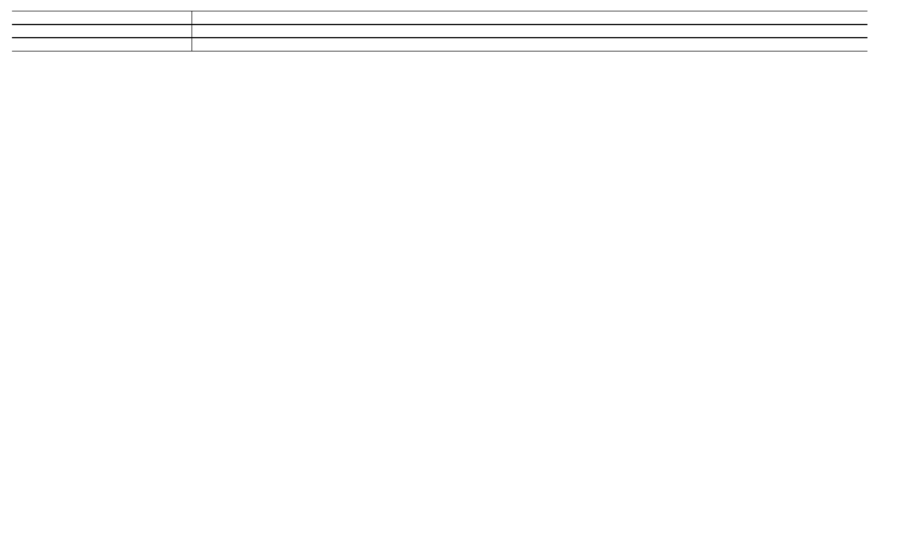| ,一个人的人都是一个人的人,而且,他们的人都是一个人的人,而且,他们的人都是一个人的人,而且,他们的人都是一个人的人,而且,他们的人都是一个人的人,而且,他们的人<br>第一百一十一章 一个人的人,他们的人都是一个人的人,他们的人都是一个人的人,他们的人都是一个人的人,他们的人都是一个人的人,他们的人都是一个人的人,他们的人都是<br>,我们就会不会不会。""我们,我们就会不会不会不会。""我们,我们就会不会不会不会不会不会。""我们,我们就会不会不会不会不会。""我们,我们就会不会不会不会不 |
|-----------------------------------------------------------------------------------------------------------------------------------------------------------------------------------------------------------------------------------------------------------|
| ,一个人都是一个人的人,而且,他们的人都是一个人,而且,他们的人都是一个人,而且,他们的人都是一个人,而且,他们的人都是一个人,而且,他们的人都是一个人,而且,他<br>第二十一章 一个人,他们的人都是一个人,他们的人都是一个人,他们的人都是一个人,他们的人都是一个人,他们的人都是一个人,他们的人都是一个人,他们的人都是一个人,                                                                                     |
|                                                                                                                                                                                                                                                           |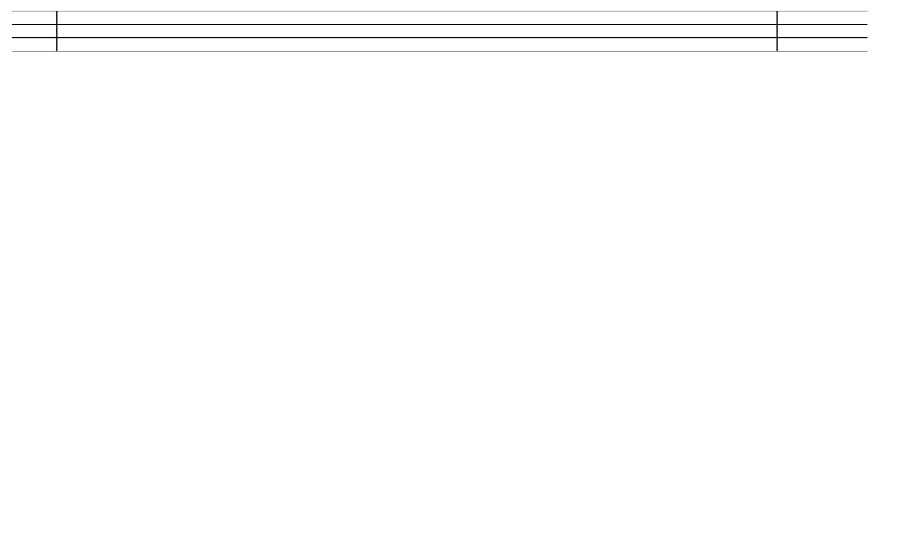| <u>та на представљен под податковата на представљен податковата на представљен податковата на представљен податк</u> |  |
|----------------------------------------------------------------------------------------------------------------------|--|
|                                                                                                                      |  |
| ,一个人都是一个人的人,一个人都是一个人的人,一个人都是一个人的人,一个人都是一个人的人,一个人都是一个人的人,一个人都是一个人的人,一个人都是一个人的人,一个人                                    |  |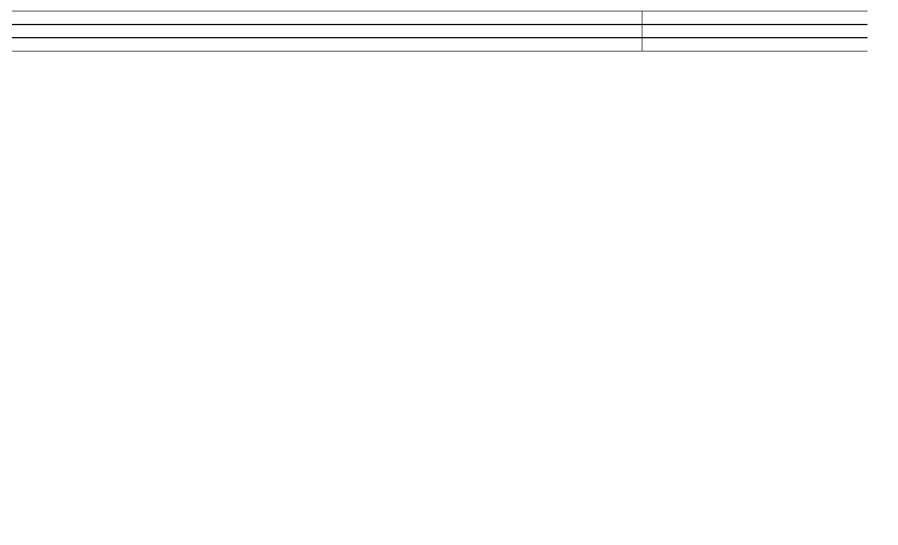| ,一个人都是一个人的人,一个人都是一个人的人,一个人都是一个人的人,一个人都是一个人的人,一个人都是一个人的人,一个人都是一个人的人,一个人都是一个人的人,一个人<br>→ South State State State State State State State State State State State State State State State State State State State State State State State State State State State State State State State State State State State St |  |
|-------------------------------------------------------------------------------------------------------------------------------------------------------------------------------------------------------------------------------------------------------------------------------------------------------------------|--|
| ,一个人的人都是一个人的人,而且,他们的人都是不是一个人的人,而且,他们的人都是不是一个人的人,而且,他们的人都是不是一个人的人,而且,他们的人都是不是一个人的<br>第一百一十一章 一个人的人,他们的人都是不是一个人的人,他们的人都是不是一个人的人,他们的人都是不是一个人的人,他们的人都是不是一个人的人,他们的人都是不是一个                                                                                                                                              |  |
| ,我们也不会不会不会。""我们的,我们也不会不会不会。""我们的,我们也不会不会不会不会不会。""我们的,我们也不会不会不会不会。""我们的,我们也不会不会不会<br>第二百一章 第二百一章 第二百一章 第二百一章 第二百一章 第二百一章 第二百一章 第二百一章 第二百一章 第二百一章 第二百一章 第二百一章 第二百一章 第二                                                                                                                                              |  |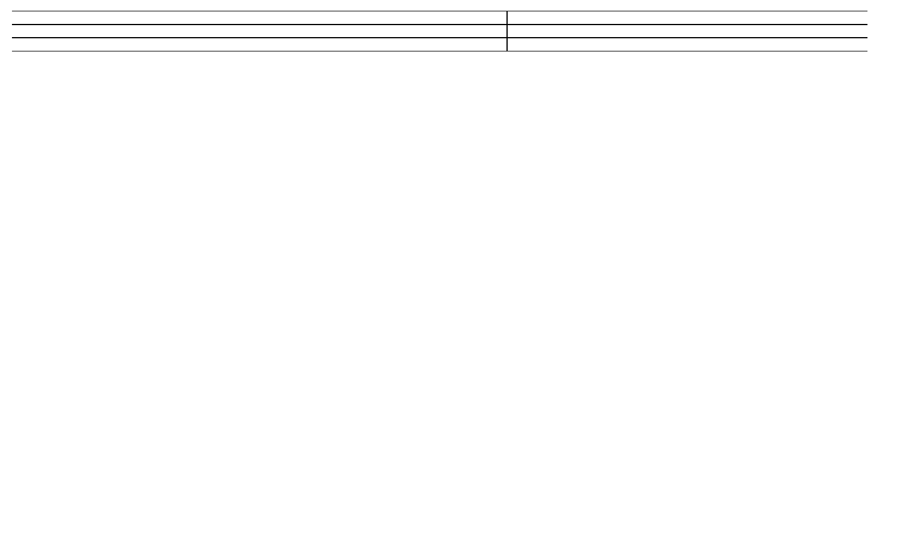| ,一个人都是一个人的人,而且,他们的人都是一个人,而且,他们的人都是一个人,而且,他们的人都是一个人,而且,他们的人都是一个人,而且,他们的人都是一个人,而且,他<br>第二十二章 第二十二章 第二十二章 第二十二章 第二十二章 第二十二章 第二十二章 第二十二章 第二十二章 第二十二章 第二十二章 第二十二章 第二十二章 第二十 |  |
|------------------------------------------------------------------------------------------------------------------------------------------------------------------------|--|
|                                                                                                                                                                        |  |
| ,我们就会不会不会。""我们的,我们也不会不会不会。""我们的,我们也不会不会不会不会不会。""我们的,我们也不会不会不会不会。""我们的,我们也不会不会不会不                                                                                       |  |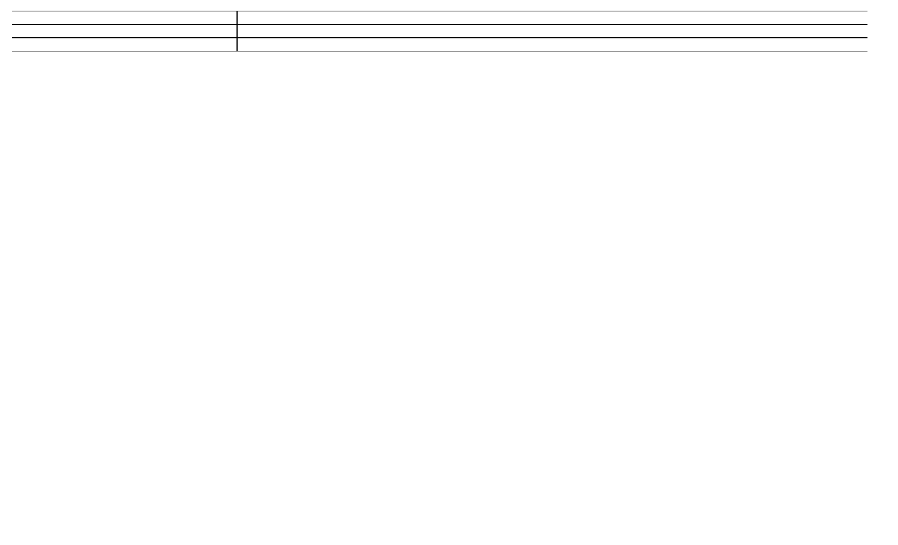| ,我们就会不会不会。""我们,我们也不会不会不会。""我们,我们也不会不会不会不会不会不会。""我们,我们也不会不会不会不会。""我们,我们也不会不会不会不会不  |
|-----------------------------------------------------------------------------------|
| ,一个人都是一个人的人,一个人都是一个人的人,一个人都是一个人的人,一个人都是一个人的人,一个人都是一个人的人,一个人都是一个人的人,一个人都是一个人的人,一个人 |
|                                                                                   |
| ,一个人都是一个人的人,而且,我们也不会不会不会。""我们,我们也不会不会不会不会不会不会不会。""我们,我们也不会不会不会不会不会不会不会不会。""我们,我们  |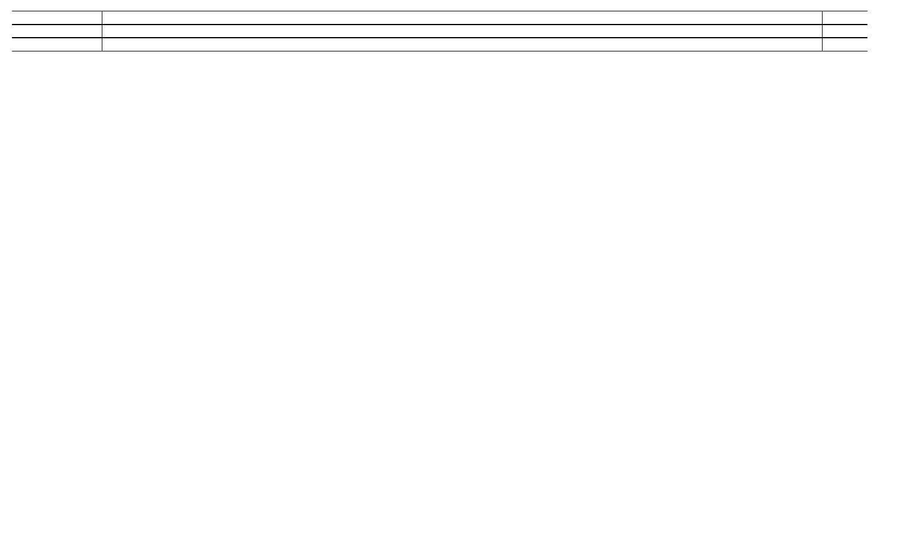| ,一个人都是一个人的人,一个人都是一个人的人,一个人都是一个人的人,一个人都是一个人的人,一个人都是一个人的人,一个人都是一个人的人,一个人都是一个人的人,一个人<br>第二十一章 一个人的人,一个人的人都是一个人的人,一个人的人都是一个人的人,一个人的人都是一个人的人,一个人的人都是一个人的人,一个人的人都是一个人的人,一个人<br>,一个人都是一个人的人,一个人都是一个人的人,一个人都是一个人的人,一个人都是一个人的人,一个人都是一个人的人,一个人都是一个人的人,一个人都是一个人的人,一个人<br>第二十一章 一个人的人,一个人都是一个人的人,一个人都是一个人的人,一个人都是一个人的人,一个人都是一个人的人,一个人都是一个人的人,一个人都是一个人的人,一个 |  |
|------------------------------------------------------------------------------------------------------------------------------------------------------------------------------------------------------------------------------------------------------------------------------------------------------------------------------------------------|--|
| ,一个人的人都是一个人的人,而且,他们的人都是一个人的人,而且,他们的人都是一个人的人,而且,他们的人都是一个人的人,而且,他们的人都是一个人的人,而且,他们的<br>第一百一十一章 一个人的人,他们的人都是一个人的人,他们的人都是一个人的人,他们的人都是一个人的人,他们的人都是一个人的人,他们的人都是一个人的人,他们的人都是                                                                                                                                                                           |  |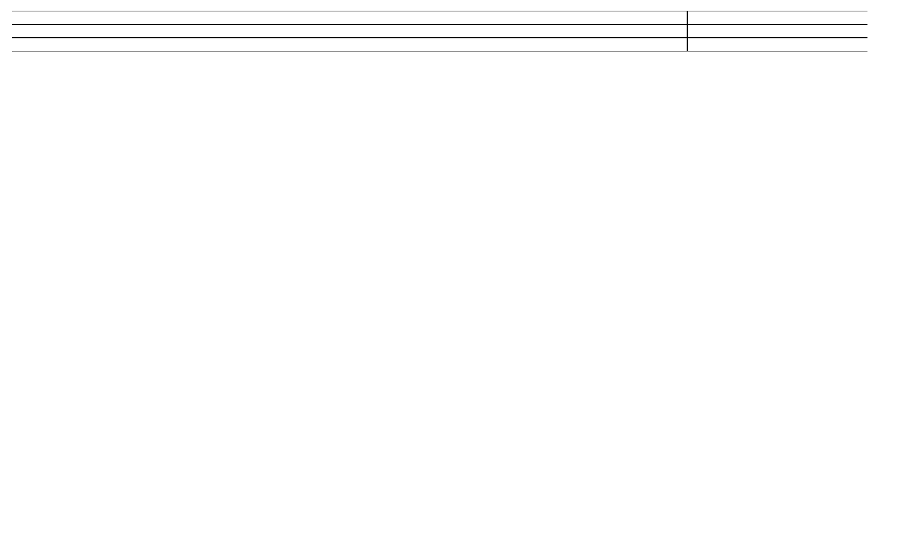| ,我们就会不会不会。""我们,我们也不会不会不会。""我们,我们也不会不会不会不会不会不会不会。""我们,我们也不会不会不会不会不会。""我们,我们也不会不会不 |  |
|----------------------------------------------------------------------------------|--|
| ,一个人的人都是一个人的人,而且,我们也不会不会不会。""我们,我们也不会不会不会不会不会不会。""我们,我们也不会不会不会不会。""我们,我们也不会不会不会不 |  |
|                                                                                  |  |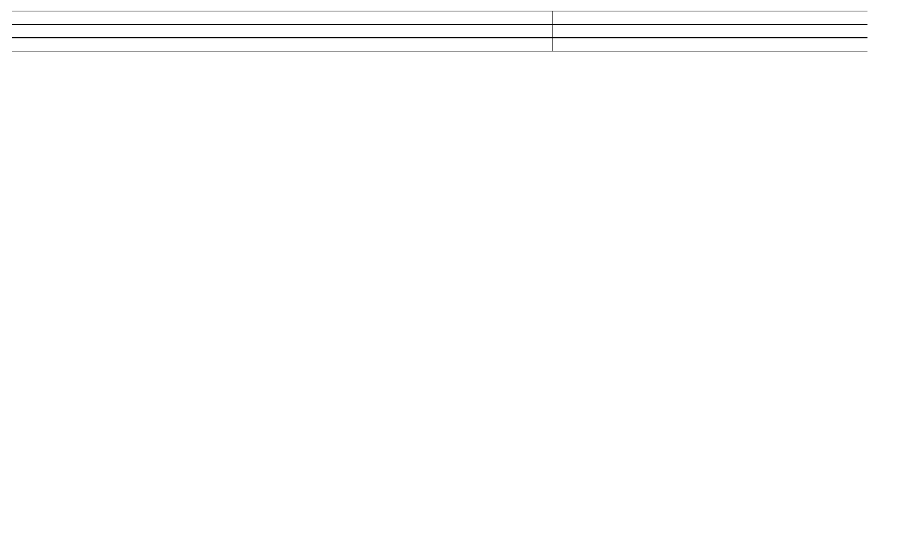| → 中国的 → 中国的 → 中国的 → 中国的 → 中国的 → 中国的 → 中国的 → 中国的 → 中国的 → 中国的 → 中国的 → 中国的 → 中国的 → 中国的 → 中国的 → 中国的 → 中国的 → 中国的 → 中国 |  |
|------------------------------------------------------------------------------------------------------------------|--|
|                                                                                                                  |  |
|                                                                                                                  |  |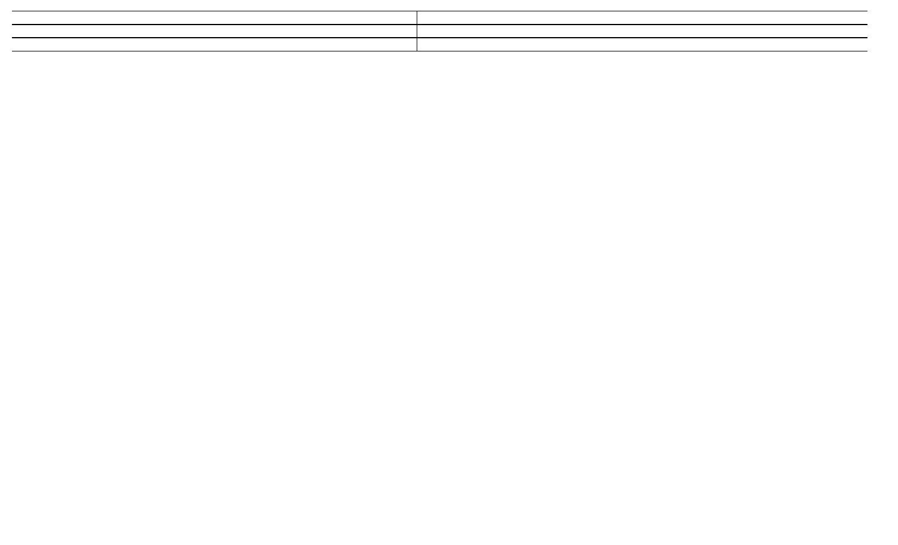| ,我们就会不会不会。""我们,我们就会不会不会不会,我们就会不会不会不会。""我们,我们就会不会不会不会。""我们,我们就会不会不会不会。""我们,我们就会不会 |                                                                                   |
|----------------------------------------------------------------------------------|-----------------------------------------------------------------------------------|
|                                                                                  | ,我们也不会不会不会。""我们的,我们也不会不会不会。""我们的,我们也不会不会不会不会。""我们的,我们也不会不会不会不会。""我们的,我们也不会不会不会不会  |
|                                                                                  | ,我们就会不会不会。""我们,我们就会不会不会,我们就会不会不会,我们就会不会不会。""我们,我们就会不会不会。""我们,我们就会不会不会不会。""我们,我们就会 |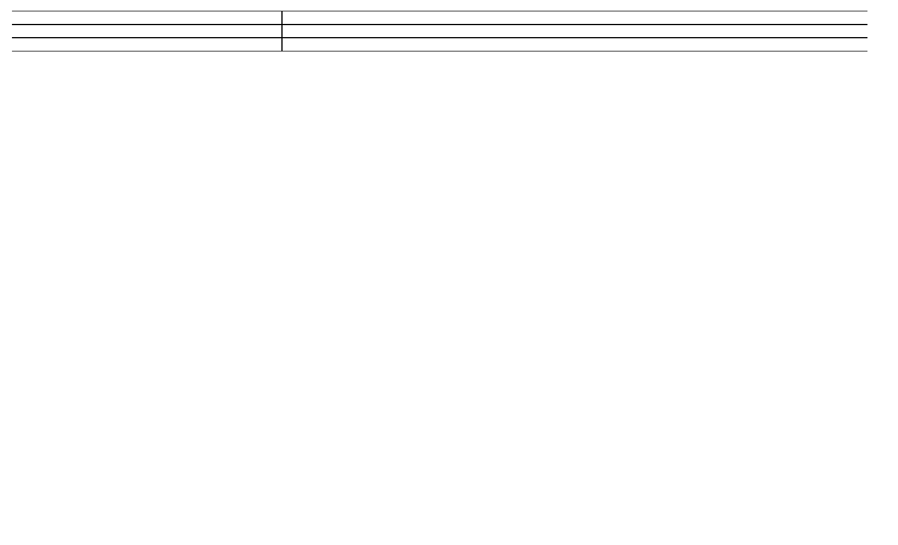| ,他们的人们就会在这里,他们的人们就会在这里,他们的人们就会在这里,他们的人们就会在这里,他们的人们就会在这里,他们的人们就会在这里,他们的人们就会在这里,他们<br>第251章 我们的人们的人们,我们的人们的人们的人们,我们的人们的人们的人们,我们的人们的人们的人们,我们的人们的人们的人们,我们的人们的人们的人们,我们的人们 |
|----------------------------------------------------------------------------------------------------------------------------------------------------------------------|
|                                                                                                                                                                      |
|                                                                                                                                                                      |
|                                                                                                                                                                      |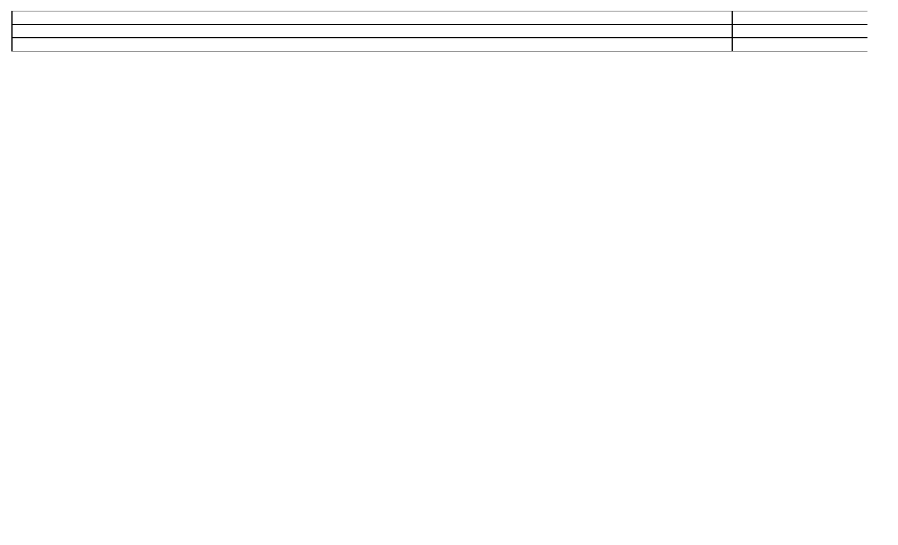| ,他们的人们就是一个人,他们的人们就是一个人,他们的人们,他们的人们就是一个人,他们的人们,他们的人们就是一个人,他们的人们,他们的人们,他们的人们,他们的人们,<br>第25章 我们的人们,他们的人们,他们的人们,他们的人们,他们的人们,他们的人们,他们的人们,他们的人们,他们的人们,他们的人们,他们的人们,他们的人们,他们的 |  |
|-----------------------------------------------------------------------------------------------------------------------------------------------------------------------|--|
| ,一个人都是一个人的人,而且,他们的人都是一个人,而且,他们的人都是一个人,而且,他们的人都是一个人,而且,他们的人都是一个人,而且,他们的人都是一个人,而且,他<br>第二百一十一章 一个人,他们的人都是一个人,他们的人都是一个人,他们的人都是一个人,他们的人都是一个人,他们的人都是一个人,他们的人都是一个人,他们的人都是一个 |  |
| ,一个人都是一个人的人,而且,他们的人都是一个人,他们的人都是一个人,他们的人都是一个人,他们的人都是一个人,他们的人都是一个人,他们的人都是一个人,他们的人都是                                                                                     |  |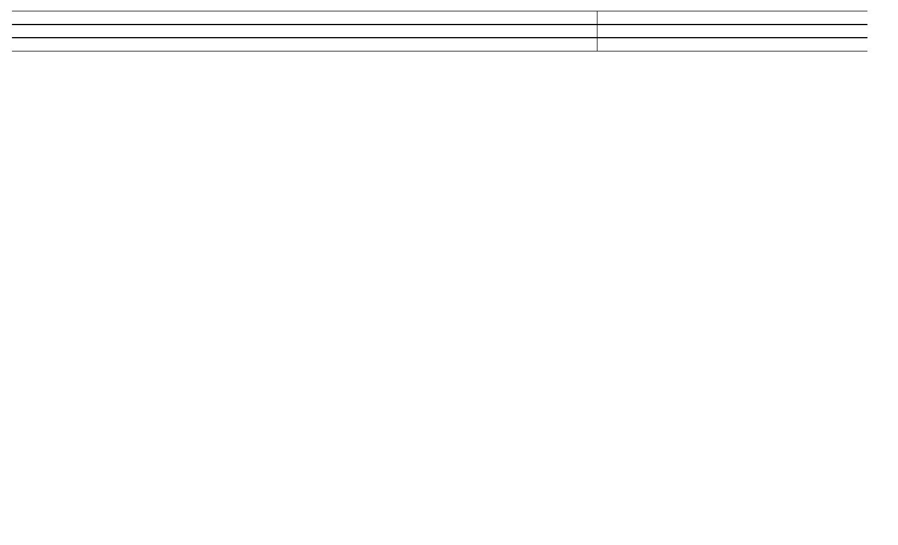| ,一个人都是一个人的人,而且,我们也不会不会不会。""我们,我们也不会不会不会不会不会不会不会不会。""我们,我们也不会不会不会不会不会不会不会不会。""我们,我<br>,他们的人们也不会不会。""我们的人们,我们也不会不会不会。""我们的人们,我们也不会不会不会。""我们的人们,我们也不会不会不会。""我们的人们,我们也不会不 |  |
|-----------------------------------------------------------------------------------------------------------------------------------------------------------------------|--|
| ,我们也不会不会不会。""我们的,我们也不会不会不会。""我们的,我们也不会不会不会不会。""我们的,我们也不会不会不会不会。""我们的,我们也不会不会不会不会                                                                                      |  |
|                                                                                                                                                                       |  |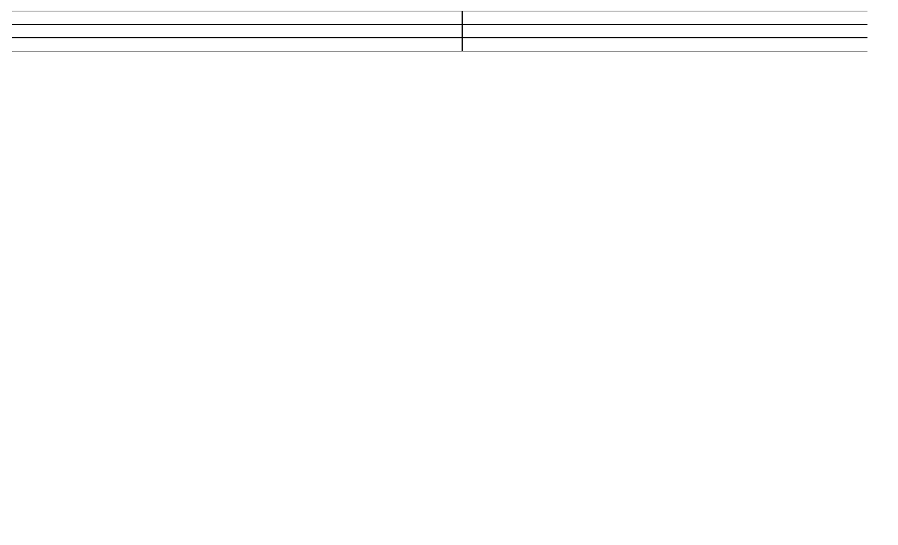| <u> 1980 - Ann an t-Aontaithe ann an t-Aontaithe ann an t-Aontaithe ann an t-Aontaithe ann an t-Aontaithe ann an t-</u> |
|-------------------------------------------------------------------------------------------------------------------------|
|                                                                                                                         |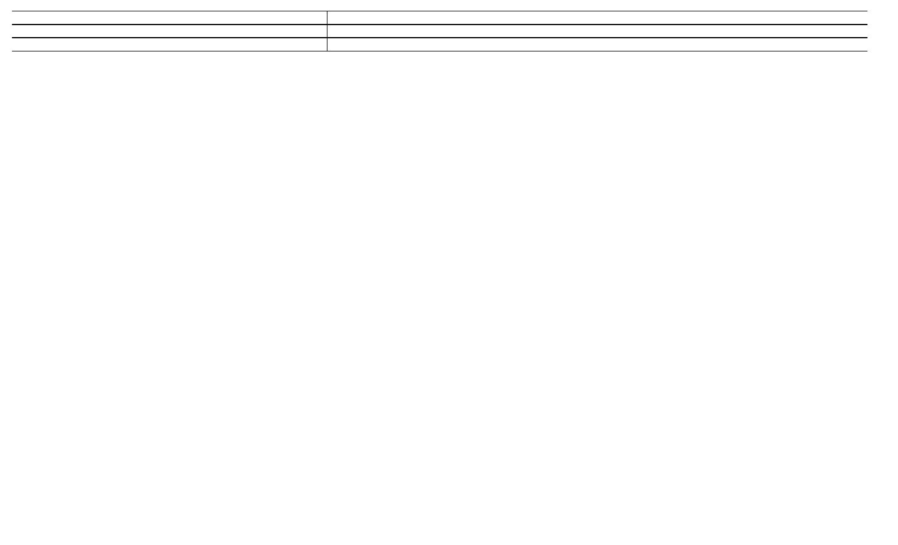| ,一个人都是一个人的人,而且,他们的人都是一个人,而且,他们的人都是一个人,而且,他们的人都是一个人,而且,他们的人都是一个人,而且,他们的人都是一个人,而且,他<br>第二十一章 一个人,他们的人都是一个人,他们的人都是一个人,他们的人都是一个人,他们的人都是一个人,他们的人都是一个人,他们的人都是一个人,他们的人都是一个人, | ,我们也不会不会。""我们的,我们也不会不会。""我们的,我们也不会不会不会。""我们的,我们也不会不会不会。""我们的,我们也不会不会不会。""我们的,我们也 |
|-----------------------------------------------------------------------------------------------------------------------------------------------------------------------|----------------------------------------------------------------------------------|
|                                                                                                                                                                       |                                                                                  |
|                                                                                                                                                                       |                                                                                  |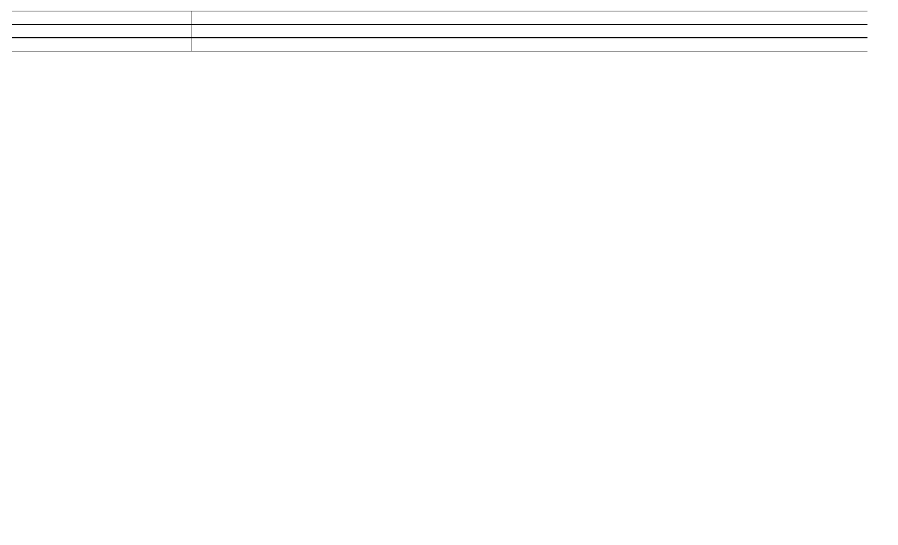| ,一个人的人都是一个人的人,而且,他们的人都是一个人的人,而且,他们的人都是一个人的人,而且,他们的人都是一个人的人,而且,他们的人都是一个人的人,而且,他们的人<br>第一百一十一章 一个人的人,他们的人都是一个人的人,他们的人都是一个人的人,他们的人都是一个人的人,他们的人都是一个人的人,他们的人都是一个人的人,他们的人都是<br>,我们就会不会不会。""我们,我们就会不会不会不会。""我们,我们就会不会不会不会不会不会。""我们,我们就会不会不会不会不会。""我们,我们就会不会不会不会不 |
|-----------------------------------------------------------------------------------------------------------------------------------------------------------------------------------------------------------------------------------------------------------|
| ,一个人都是一个人的人,而且,他们的人都是一个人,而且,他们的人都是一个人,而且,他们的人都是一个人,而且,他们的人都是一个人,而且,他们的人都是一个人,而且,他<br>第一百一十一章 一个人,他们的人都是一个人,他们的人都是一个人,他们的人都是一个人,他们的人都是一个人,他们的人都是一个人,他们的人都是一个人,他们的人都是一个                                                                                     |
|                                                                                                                                                                                                                                                           |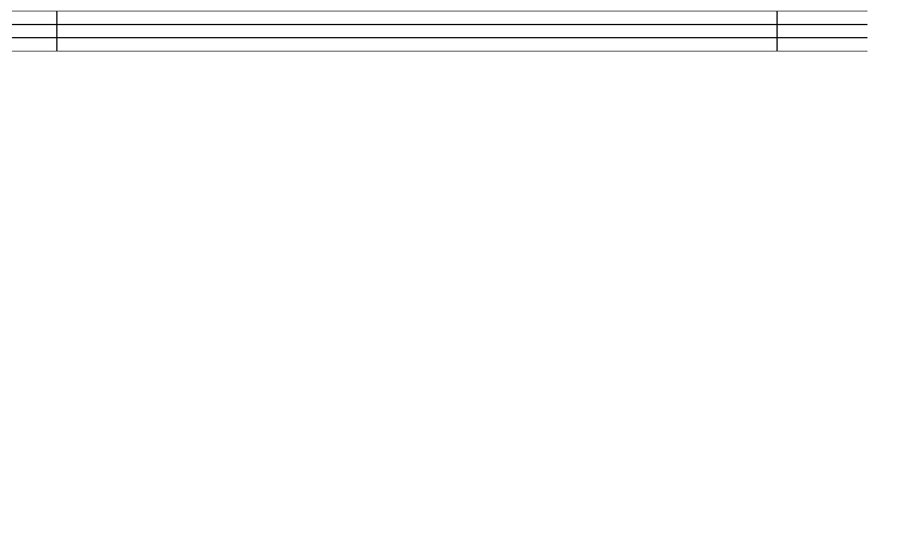| <u>та на представљен под податковата на представљен податковата на представљен податковата на представљен податк</u> |  |
|----------------------------------------------------------------------------------------------------------------------|--|
|                                                                                                                      |  |
| ,一个人都是一个人的人,一个人都是一个人的人,一个人都是一个人的人,一个人都是一个人的人,一个人都是一个人的人,一个人都是一个人的人,一个人都是一个人的人,一个人                                    |  |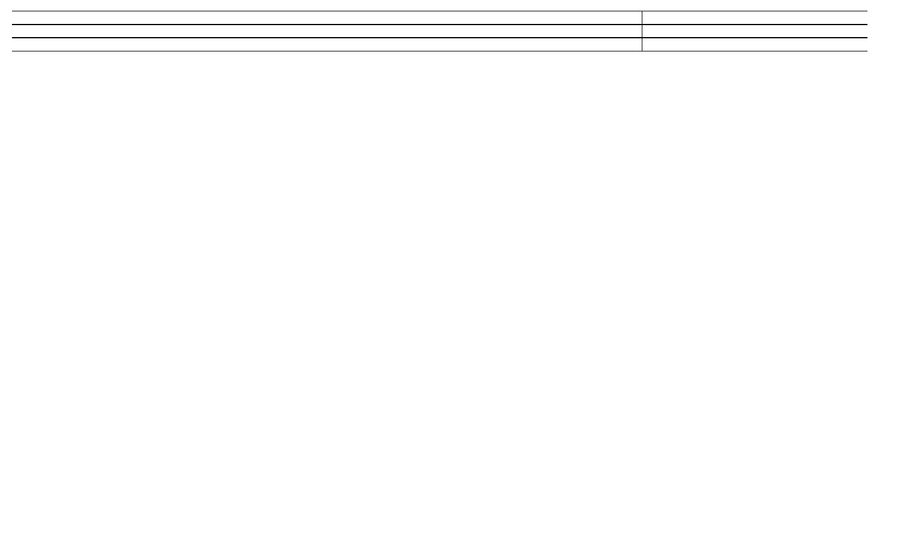| ,一个人都是一个人的人,一个人都是一个人的人,一个人都是一个人的人,一个人都是一个人的人,一个人都是一个人的人,一个人都是一个人的人,一个人都是一个人的人,一个人<br>→ South State State State State State State State State State State State State State State State State State State State State State State State State State State State State State State State State State State State St |  |
|-------------------------------------------------------------------------------------------------------------------------------------------------------------------------------------------------------------------------------------------------------------------------------------------------------------------|--|
| ,一个人的人都是一个人的人,而且,他们的人都是不是一个人的人,而且,他们的人都是不是一个人的人,而且,他们的人都是不是一个人的人,而且,他们的人都是不是一个人的<br>第一百一十一章 一个人的人,他们的人都是不是一个人的人,他们的人都是不是一个人的人,他们的人都是不是一个人的人,他们的人都是不是一个人的人,他们的人都是不是一个                                                                                                                                              |  |
| ,我们也不会不会不会。""我们的,我们也不会不会不会。""我们的,我们也不会不会不会不会不会。""我们的,我们也不会不会不会不会。""我们的,我们也不会不会不会<br>第二百一章 第二百一章 第二百一章 第二百一章 第二百一章 第二百一章 第二百一章 第二百一章 第二百一章 第二百一章 第二百一章 第二百一章 第二百一章 第二                                                                                                                                              |  |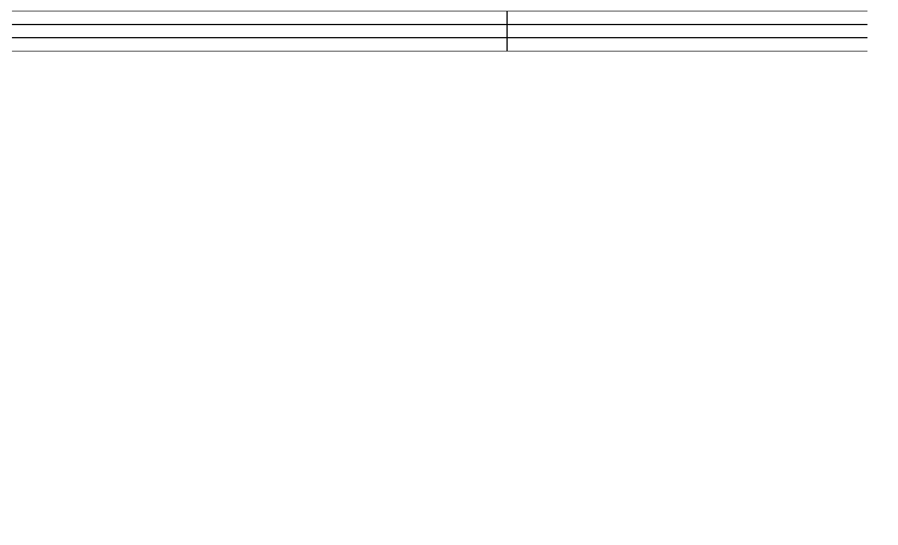| ,一个人都是一个人的人,而且,他们的人都是一个人,而且,他们的人都是一个人,而且,他们的人都是一个人,而且,他们的人都是一个人,而且,他们的人都是一个人,而且,他<br>第二十二章 第二十二章 第二十二章 第二十二章 第二十二章 第二十二章 第二十二章 第二十二章 第二十二章 第二十二章 第二十二章 第二十二章 第二十二章 第二十 |  |
|------------------------------------------------------------------------------------------------------------------------------------------------------------------------|--|
|                                                                                                                                                                        |  |
| ,我们就会不会不会。""我们的,我们也不会不会不会。""我们的,我们也不会不会不会不会不会。""我们的,我们也不会不会不会不会。""我们的,我们也不会不会不会不                                                                                       |  |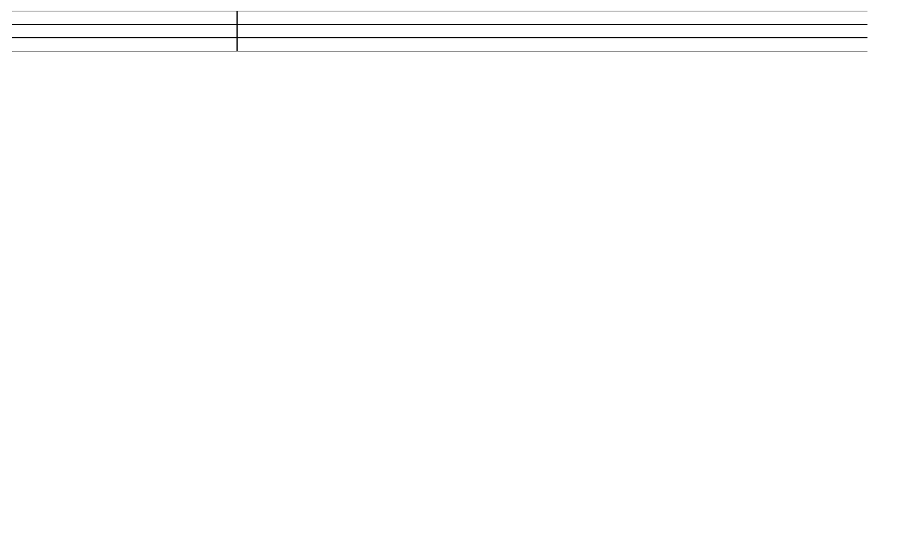| ,我们就会不会不会。""我们,我们也不会不会不会。""我们,我们也不会不会不会不会不会不会。""我们,我们也不会不会不会不会。""我们,我们也不会不会不会不会不  |
|-----------------------------------------------------------------------------------|
| ,一个人都是一个人的人,一个人都是一个人的人,一个人都是一个人的人,一个人都是一个人的人,一个人都是一个人的人,一个人都是一个人的人,一个人都是一个人的人,一个人 |
|                                                                                   |
| ,一个人都是一个人的人,而且,我们也不会不会不会。""我们,我们也不会不会不会不会。""我们,我们也不会不会不会不会。""我们,我们也不会不会不会不会。""我们, |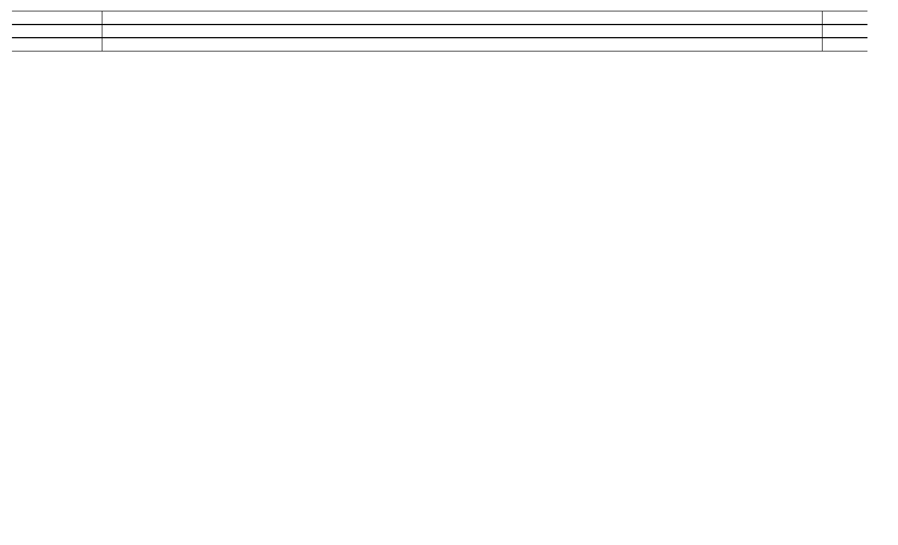| ,一个人都是一个人的人,一个人都是一个人的人,一个人都是一个人的人,一个人都是一个人的人,一个人都是一个人的人,一个人都是一个人的人,一个人都是一个人的人,一个人<br>第二十一章 一个人的人,一个人都是一个人的人,一个人都是一个人的人,一个人都是一个人的人,一个人都是一个人的人,一个人都是一个人的人,一个人都是一个人的人,一个<br>,一个人都是一个人的人,一个人都是一个人的人,一个人都是一个人的人,一个人都是一个人的人,一个人都是一个人的人,一个人都是一个人的人,一个人都是一个人的人,一个人<br>第二十一章 一个人的人,一个人的人都是一个人的人,一个人的人都是一个人的人,一个人的人都是一个人的人,一个人的人都是一个人的人,一个人的人都是一个人的人,一个人 |  |
|------------------------------------------------------------------------------------------------------------------------------------------------------------------------------------------------------------------------------------------------------------------------------------------------------------------------------------------------|--|
| ,一个人的人都是一个人的人,而且,他们的人都是一个人的人,而且,他们的人都是一个人的人,而且,他们的人都是一个人的人,而且,他们的人都是一个人的人,而且,他们的<br>第一百一十一章 一个人的人,他们的人都是一个人的人,他们的人都是一个人的人,他们的人都是一个人的人,他们的人都是一个人的人,他们的人都是一个人的人,他们的人都是                                                                                                                                                                           |  |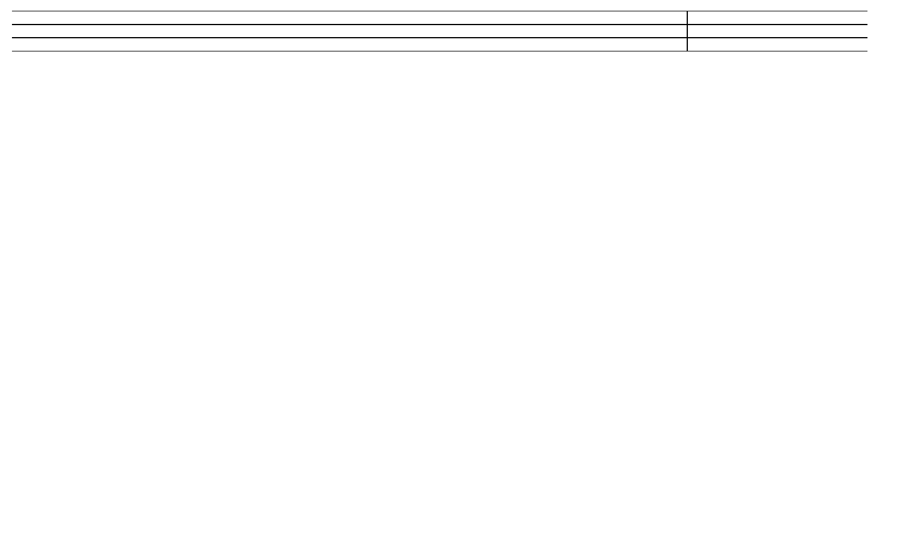| ,我们就会不会不会。""我们,我们也不会不会不会。""我们,我们也不会不会不会不会不会不会不会。""我们,我们也不会不会不会不会不会。""我们,我们也不会不会不  |  |
|-----------------------------------------------------------------------------------|--|
| ,一个人的人都是一个人的人,而且,他们的人都是一个人的人,而且,他们的人都是一个人的人,而且,他们的人都是一个人的人,而且,他们的人都是一个人的人,而且,他们的人 |  |
|                                                                                   |  |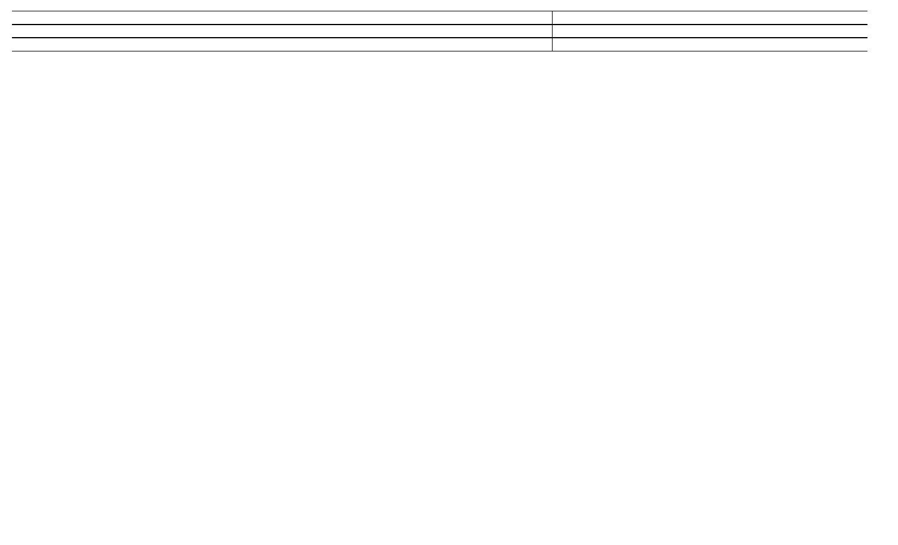| → 中国的 → 中国的 → 中国的 → 中国的 → 中国的 → 中国的 → 中国的 → 中国的 → 中国的 → 中国的 → 中国的 → 中国的 → 中国的 → 中国的 → 中国的 → 中国的 → 中国的 → 中国的 → 中国 |  |
|------------------------------------------------------------------------------------------------------------------|--|
|                                                                                                                  |  |
|                                                                                                                  |  |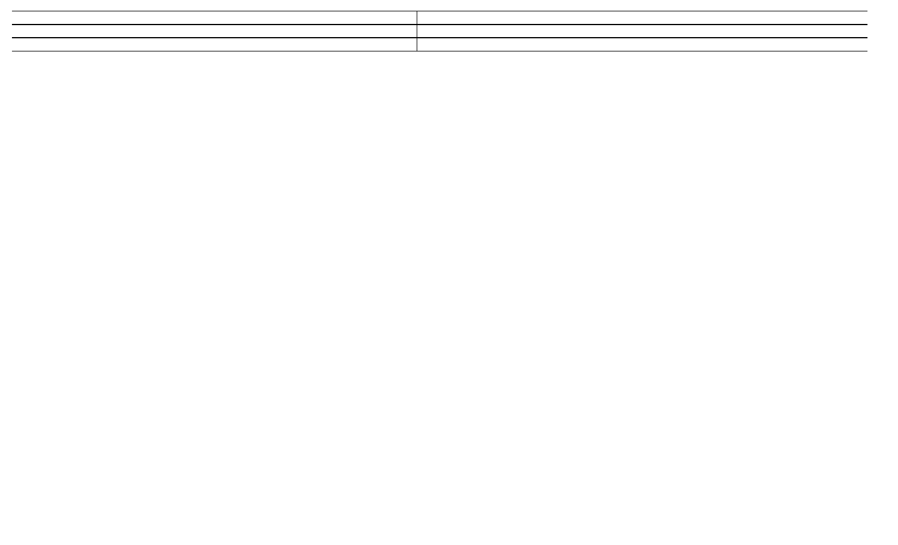| ,我们就会不会不会。""我们,我们就会不会不会不会,我们就会不会不会不会。""我们,我们就会不会不会不会。""我们,我们就会不会不会不会。""我们,我们就会不会 |                                                                                   |
|----------------------------------------------------------------------------------|-----------------------------------------------------------------------------------|
|                                                                                  | ,我们也不会不会不会。""我们的,我们也不会不会不会。""我们的,我们也不会不会不会不会。""我们的,我们也不会不会不会不会。""我们的,我们也不会不会不会不会  |
|                                                                                  | ,我们就会不会不会。""我们,我们就会不会不会,我们就会不会不会,我们就会不会不会。""我们,我们就会不会不会。""我们,我们就会不会不会不会。""我们,我们就会 |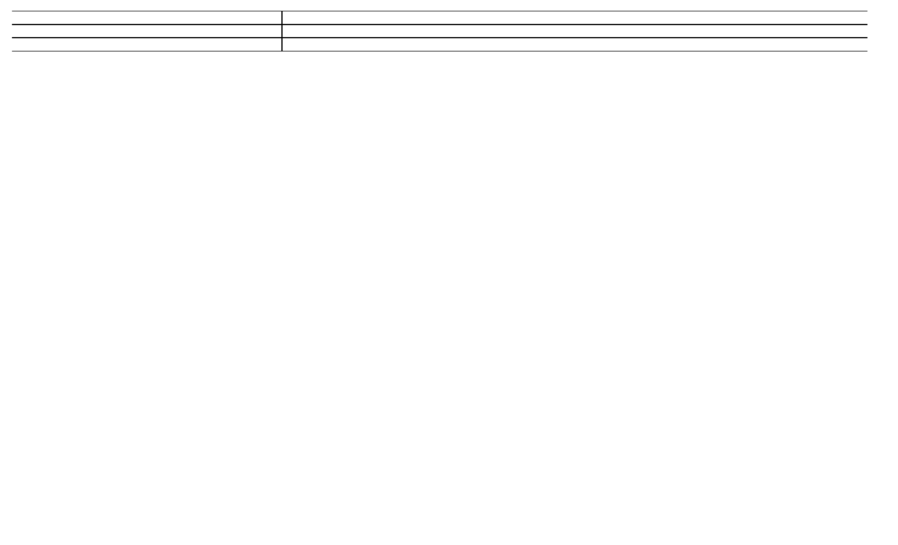| ,他们的人们就会在这里,他们的人们就会在这里,他们的人们就会在这里,他们的人们就会在这里,他们的人们就会在这里,他们的人们就会在这里,他们的人们就会在这里,他们<br>第251章 我们的人们的人们,我们的人们的人们的人们,我们的人们的人们的人们,我们的人们的人们的人们,我们的人们的人们的人们,我们的人们的人们的人们,我们的人们 |
|----------------------------------------------------------------------------------------------------------------------------------------------------------------------|
|                                                                                                                                                                      |
|                                                                                                                                                                      |
|                                                                                                                                                                      |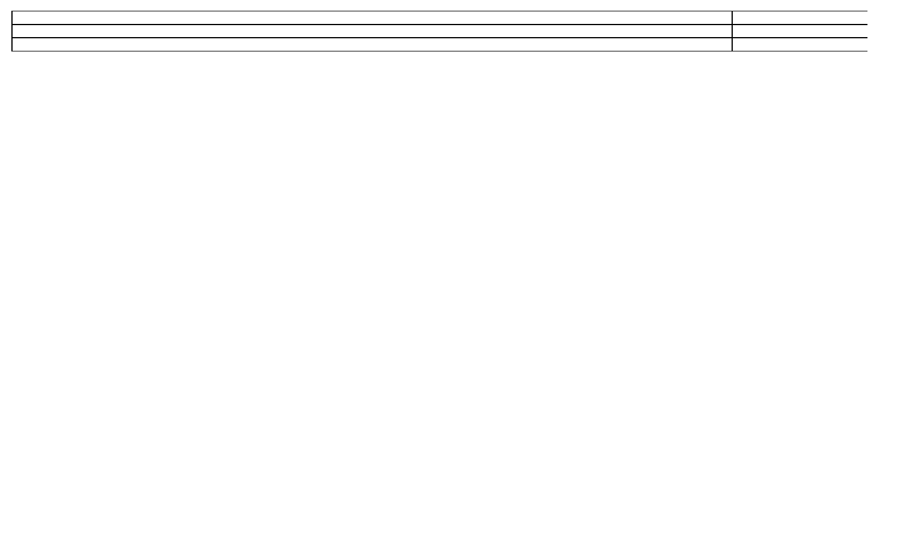| ,他们的人们就是一个人,他们的人们就是一个人,他们的人们,他们的人们就是一个人,他们的人们,他们的人们就是一个人,他们的人们,他们的人们,他们的人们,他们的人们,<br>第25章 我们的人们,他们的人们,他们的人们,他们的人们,他们的人们,他们的人们,他们的人们,他们的人们,他们的人们,他们的人们,他们的人们,他们的人们,他们的 |  |
|-----------------------------------------------------------------------------------------------------------------------------------------------------------------------|--|
| ,一个人都是一个人的人,而且,他们的人都是一个人,而且,他们的人都是一个人,而且,他们的人都是一个人,而且,他们的人都是一个人,而且,他们的人都是一个人,而且,他<br>第二百一十一章 一个人,他们的人都是一个人,他们的人都是一个人,他们的人都是一个人,他们的人都是一个人,他们的人都是一个人,他们的人都是一个人,他们的人都是一个 |  |
| ,一个人都是一个人的人,而且,他们的人都是一个人,他们的人都是一个人,他们的人都是一个人,他们的人都是一个人,他们的人都是一个人,他们的人都是一个人,他们的人都是                                                                                     |  |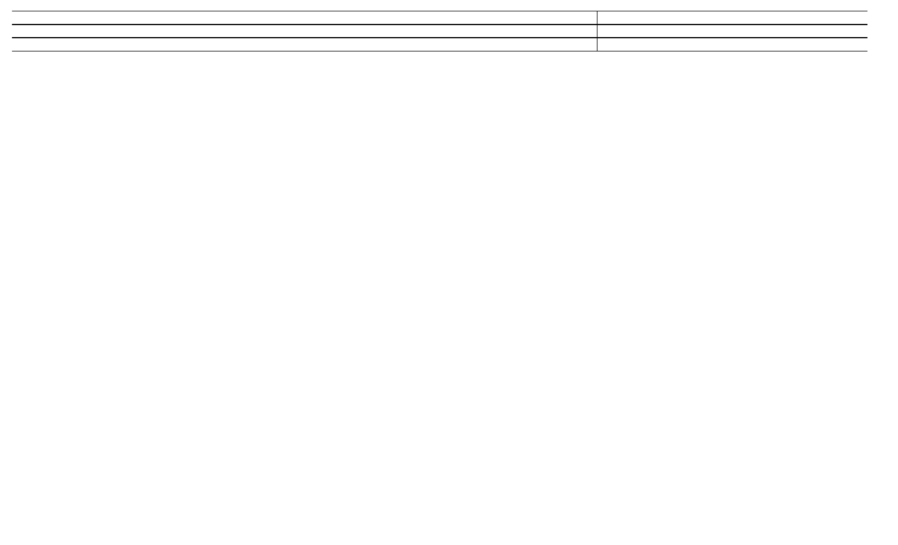| ,一个人都是一个人的人,而且,我们也不会不会不会。""我们,我们也不会不会不会不会不会不会不会不会。""我们,我们也不会不会不会不会不会不会不会不会。""我们,我<br>,他们的人们也不会不会。""我们的人们,我们也不会不会不会。""我们的人们,我们也不会不会不会。""我们的人们,我们也不会不会不会。""我们的人们,我们也不会不 |  |
|-----------------------------------------------------------------------------------------------------------------------------------------------------------------------|--|
| ,我们也不会不会不会。""我们的,我们也不会不会不会。""我们的,我们也不会不会不会不会。""我们的,我们也不会不会不会不会。""我们的,我们也不会不会不会不会                                                                                      |  |
|                                                                                                                                                                       |  |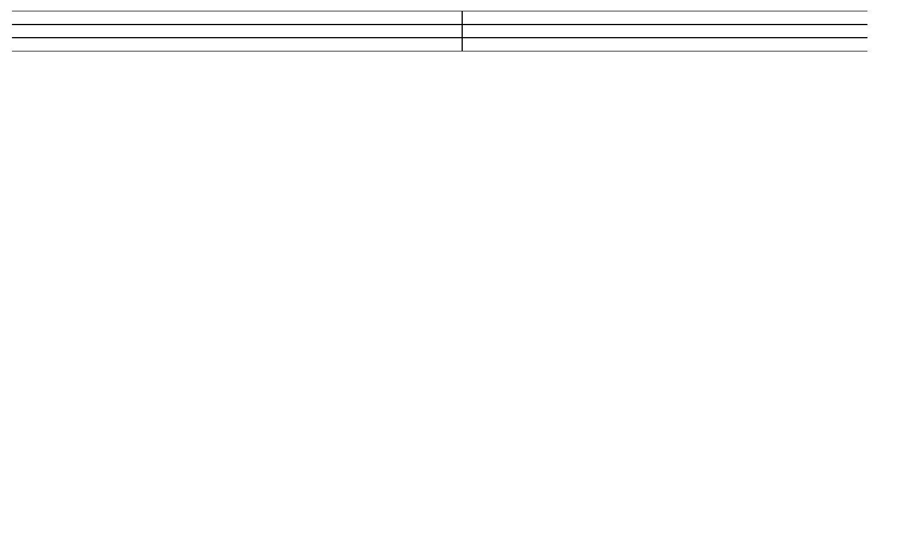| <u> 1980 - Ann an t-Aontaithe ann an t-Aontaithe ann an t-Aontaithe ann an t-Aontaithe ann an t-Aontaithe ann an t-</u> |
|-------------------------------------------------------------------------------------------------------------------------|
|                                                                                                                         |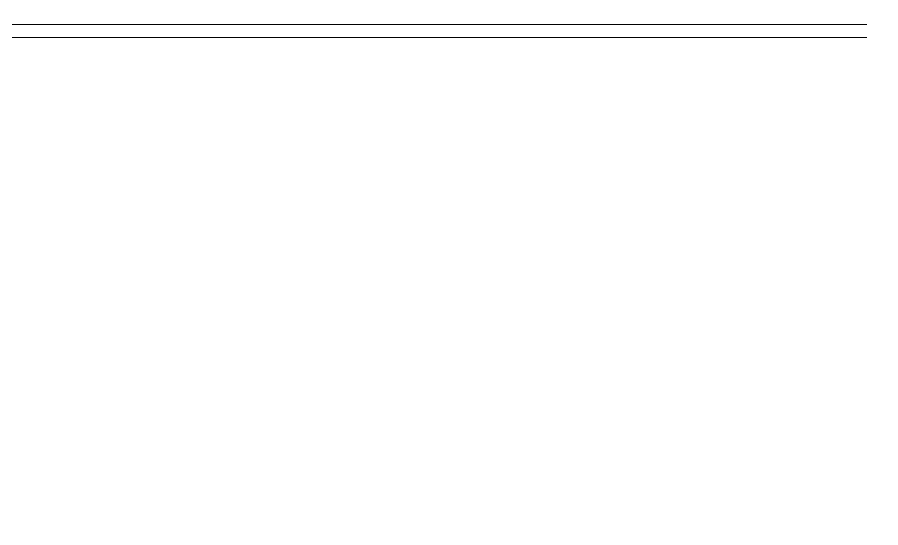| ,一个人都是一个人的人,而且,他们的人都是一个人,而且,他们的人都是一个人,而且,他们的人都是一个人,而且,他们的人都是一个人,而且,他们的人都是一个人,而且,他<br>第二十一章 一个人,他们的人都是一个人,他们的人都是一个人,他们的人都是一个人,他们的人都是一个人,他们的人都是一个人,他们的人都是一个人,他们的人都是一个人, | ,我们也不会不会。""我们的,我们也不会不会。""我们的,我们也不会不会不会。""我们的,我们也不会不会不会。""我们的,我们也不会不会不会。""我们的,我们也 |
|-----------------------------------------------------------------------------------------------------------------------------------------------------------------------|----------------------------------------------------------------------------------|
|                                                                                                                                                                       |                                                                                  |
|                                                                                                                                                                       |                                                                                  |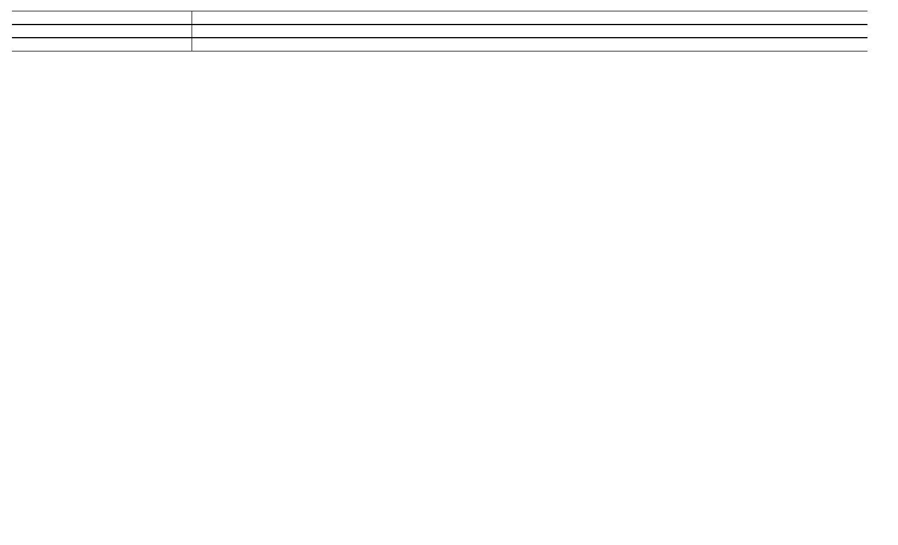| ,一个人的人都是一个人的人,而且,他们的人都是一个人的人,而且,他们的人都是一个人的人,而且,他们的人都是一个人的人,而且,他们的人都是一个人的人,而且,他们的人<br>第一百一十一章 一个人的人,他们的人都是一个人的人,他们的人都是一个人的人,他们的人都是一个人的人,他们的人都是一个人的人,他们的人都是一个人的人,他们的人都是<br>,我们就会不会不会。""我们,我们就会不会不会不会。""我们,我们就会不会不会不会不会不会。""我们,我们就会不会不会不会不会。""我们,我们就会不会不会不会不 |
|-----------------------------------------------------------------------------------------------------------------------------------------------------------------------------------------------------------------------------------------------------------|
| ,一个人都是一个人的人,而且,他们的人都是一个人,而且,他们的人都是一个人,而且,他们的人都是一个人,而且,他们的人都是一个人,而且,他们的人都是一个人,而且,他<br>第二十一章 一个人,他们的人都是一个人,他们的人都是一个人,他们的人都是一个人,他们的人都是一个人,他们的人都是一个人,他们的人都是一个人,他们的人都是一个人,                                                                                     |
|                                                                                                                                                                                                                                                           |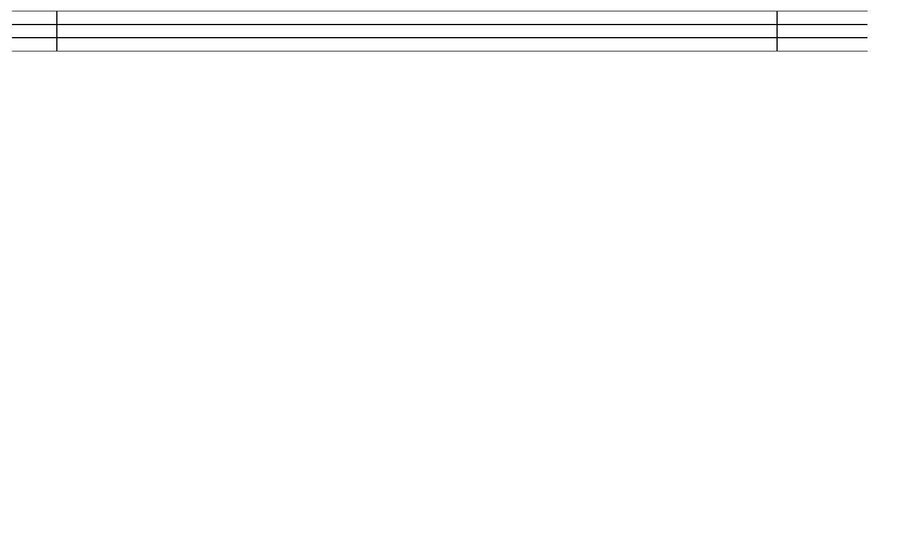| <u>та на представљен под податковата на представљен податковата на представљен податковата на представљен податк</u> |  |
|----------------------------------------------------------------------------------------------------------------------|--|
|                                                                                                                      |  |
| ,一个人都是一个人的人,一个人都是一个人的人,一个人都是一个人的人,一个人都是一个人的人,一个人都是一个人的人,一个人都是一个人的人,一个人都是一个人的人,一个人                                    |  |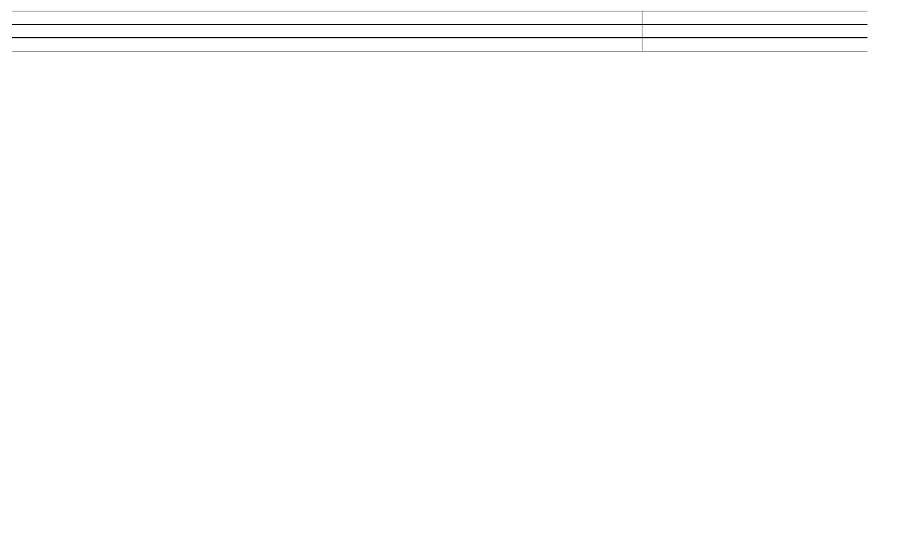| ,一个人都是一个人的人,一个人都是一个人的人,一个人都是一个人的人,一个人都是一个人的人,一个人都是一个人的人,一个人都是一个人的人,一个人都是一个人的人,一个人<br>→ South State State State State State State State State State State State State State State State State State State State State State State State State State State State State State State State State State State State St |  |
|-------------------------------------------------------------------------------------------------------------------------------------------------------------------------------------------------------------------------------------------------------------------------------------------------------------------|--|
| ,一个人的人都是一个人的人,而且,他们的人都是不是一个人的人,而且,他们的人都是不是一个人的人,而且,他们的人都是不是一个人的人,而且,他们的人都是不是一个人的<br>第一百一十一章 一个人的人,他们的人都是不是一个人的人,他们的人都是不是一个人的人,他们的人都是不是一个人的人,他们的人都是不是一个人的人,他们的人都是不是一个                                                                                                                                              |  |
| ,我们也不会不会不会。""我们的,我们也不会不会不会。""我们的,我们也不会不会不会不会不会。""我们的,我们也不会不会不会不会。""我们的,我们也不会不会不会<br>第二百一章 第二百一章 第二百一章 第二百一章 第二百一章 第二百一章 第二百一章 第二百一章 第二百一章 第二百一章 第二百一章 第二百一章 第二百一章 第二                                                                                                                                              |  |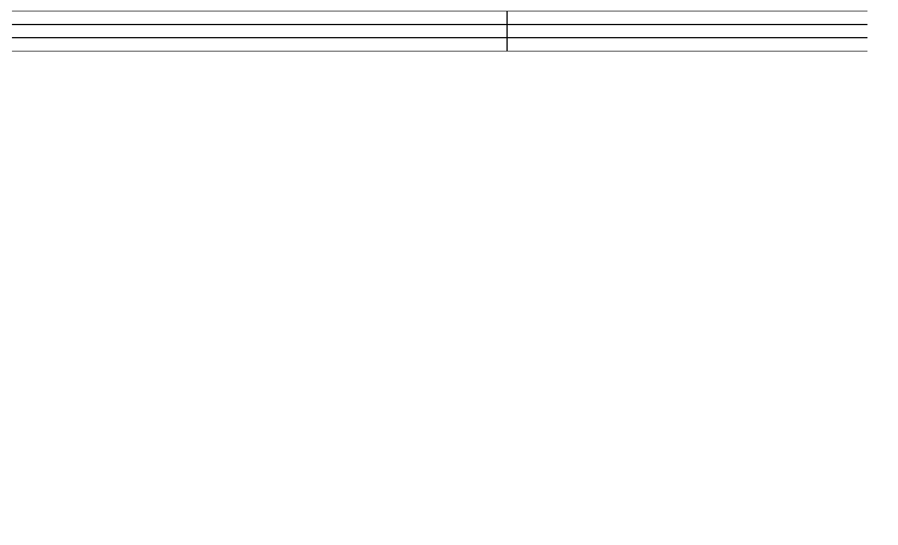| ,一个人都是一个人的人,而且,他们的人都是一个人,而且,他们的人都是一个人,而且,他们的人都是一个人,而且,他们的人都是一个人,而且,他们的人都是一个人,而且,他<br>第二十二章 第二十二章 第二十二章 第二十二章 第二十二章 第二十二章 第二十二章 第二十二章 第二十二章 第二十二章 第二十二章 第二十二章 第二十二章 第二十 |  |
|------------------------------------------------------------------------------------------------------------------------------------------------------------------------|--|
|                                                                                                                                                                        |  |
| ,我们就会不会不会。""我们的,我们也不会不会不会。""我们的,我们也不会不会不会不会不会。""我们的,我们也不会不会不会不会。""我们的,我们也不会不会不会不                                                                                       |  |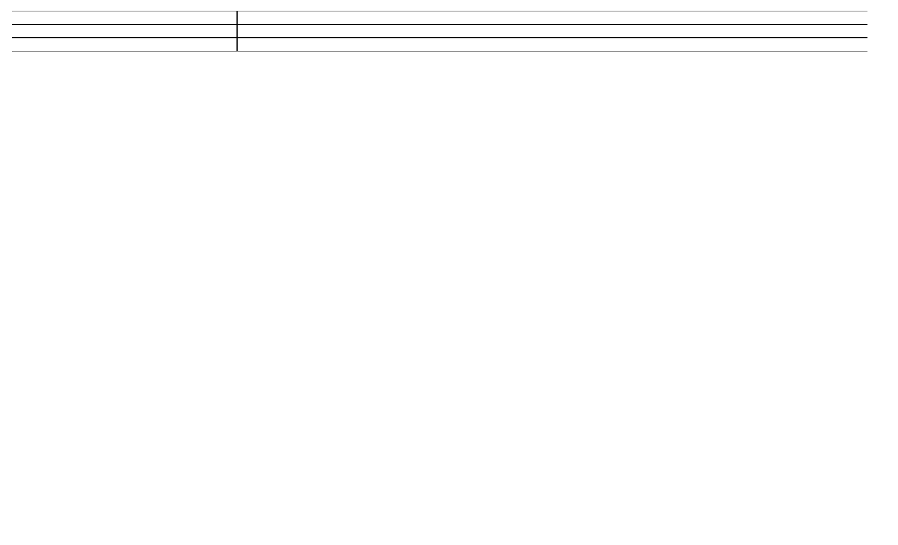| ,我们就会不会不会。""我们,我们也不会不会不会。""我们,我们也不会不会不会不会不会不会。""我们,我们也不会不会不会不会。""我们,我们也不会不会不会不会不  |
|-----------------------------------------------------------------------------------|
| ,一个人都是一个人的人,一个人都是一个人的人,一个人都是一个人的人,一个人都是一个人的人,一个人都是一个人的人,一个人都是一个人的人,一个人都是一个人的人,一个人 |
|                                                                                   |
| ,一个人都是一个人的人,而且,我们也不会不会不会。""我们,我们也不会不会不会不会。""我们,我们也不会不会不会不会。""我们,我们也不会不会不会不会。""我们, |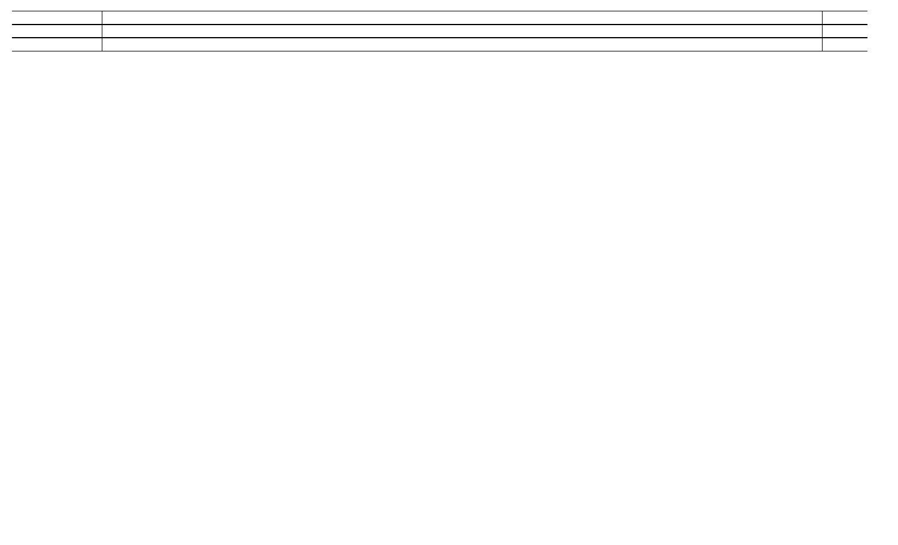| ,一个人都是一个人的人,一个人都是一个人的人,一个人都是一个人的人,一个人都是一个人的人,一个人都是一个人的人,一个人都是一个人的人,一个人都是一个人的人,一个人<br>第二十一章 一个人的人,一个人都是一个人的人,一个人都是一个人的人,一个人都是一个人的人,一个人都是一个人的人,一个人都是一个人的人,一个人都是一个人的人,一个<br>,一个人都是一个人的人,一个人都是一个人的人,一个人都是一个人的人,一个人都是一个人的人,一个人都是一个人的人,一个人都是一个人的人,一个人都是一个人的人,一个人<br>第二十一章 一个人的人,一个人的人都是一个人的人,一个人的人都是一个人的人,一个人的人都是一个人的人,一个人的人都是一个人的人,一个人的人都是一个人的人,一个人 |  |
|------------------------------------------------------------------------------------------------------------------------------------------------------------------------------------------------------------------------------------------------------------------------------------------------------------------------------------------------|--|
| ,一个人的人都是一个人的人,而且,他们的人都是一个人的人,而且,他们的人都是一个人的人,而且,他们的人都是一个人的人,而且,他们的人都是一个人的人,而且,他们的<br>第一百一十一章 一个人的人,他们的人都是一个人的人,他们的人都是一个人的人,他们的人都是一个人的人,他们的人都是一个人的人,他们的人都是一个人的人,他们的人都是                                                                                                                                                                           |  |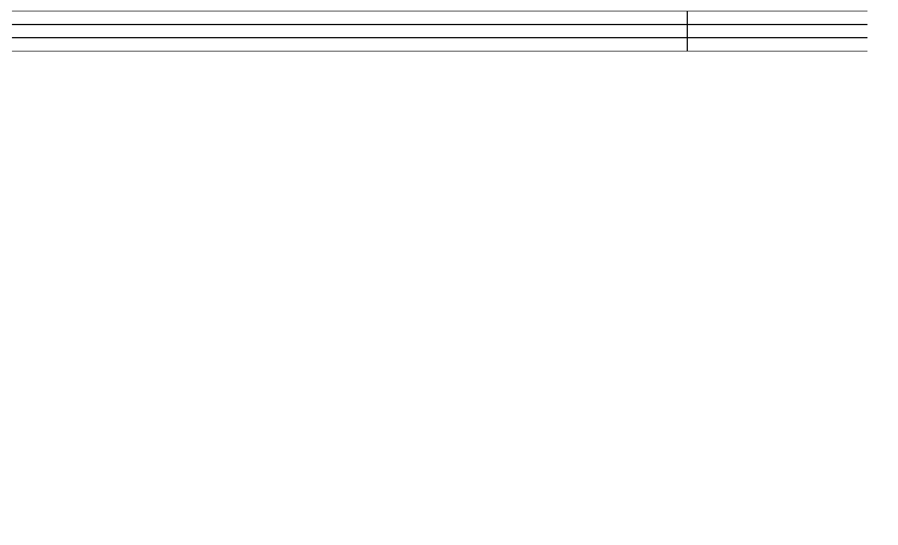| ,我们就会不会不会。""我们,我们也不会不会不会。""我们,我们也不会不会不会不会不会不会不会。""我们,我们也不会不会不会不会不会。""我们,我们也不会不会不  |  |
|-----------------------------------------------------------------------------------|--|
| ,一个人的人都是一个人的人,而且,他们的人都是一个人的人,而且,他们的人都是一个人的人,而且,他们的人都是一个人的人,而且,他们的人都是一个人的人,而且,他们的人 |  |
|                                                                                   |  |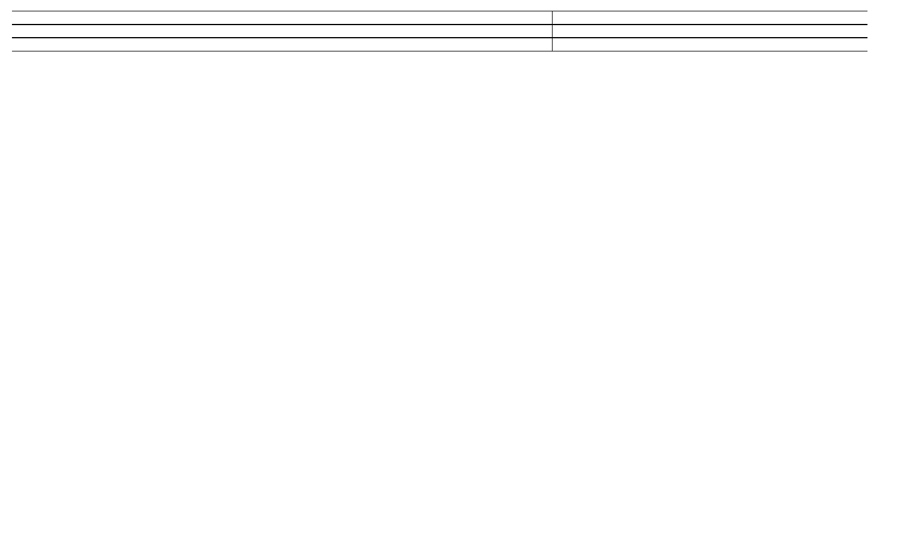| → 中国的 → 中国的 → 中国的 → 中国的 → 中国的 → 中国的 → 中国的 → 中国的 → 中国的 → 中国的 → 中国的 → 中国的 → 中国的 → 中国的 → 中国的 → 中国的 → 中国的 → 中国的 → 中国 |  |
|------------------------------------------------------------------------------------------------------------------|--|
|                                                                                                                  |  |
|                                                                                                                  |  |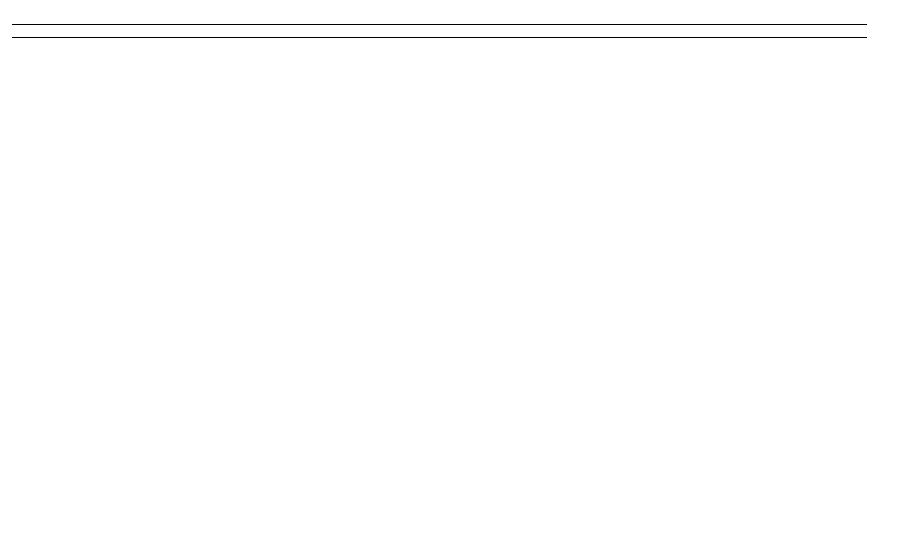| ,我们就会不会不会。""我们,我们就会不会不会不会,我们就会不会不会不会。""我们,我们就会不会不会不会。""我们,我们就会不会不会不会。""我们,我们就会不会 |                                                                                   |
|----------------------------------------------------------------------------------|-----------------------------------------------------------------------------------|
|                                                                                  | ,我们也不会不会不会。""我们的,我们也不会不会不会。""我们的,我们也不会不会不会不会。""我们的,我们也不会不会不会不会。""我们的,我们也不会不会不会不会  |
|                                                                                  | ,我们就会不会不会。""我们,我们就会不会不会,我们就会不会不会,我们就会不会不会。""我们,我们就会不会不会。""我们,我们就会不会不会不会。""我们,我们就会 |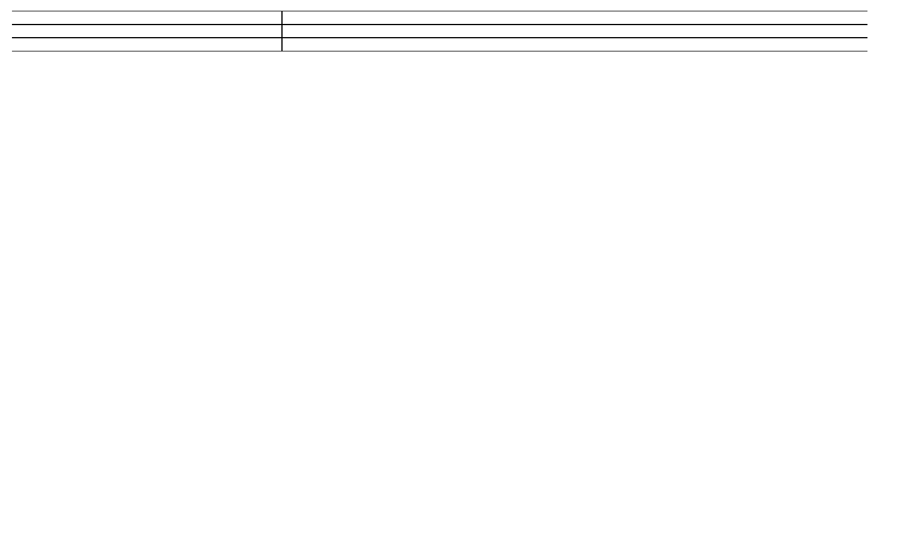| ,一个人都是一个人的人,而且,我们也不会不会不会。""我们,我们也不会不会不会不会不会不会不会。""我们,我们也不会不会不会不会不会不会不会不会。""我们,我们                                                                                     |
|----------------------------------------------------------------------------------------------------------------------------------------------------------------------|
|                                                                                                                                                                      |
| ,他们的人们就会在这里,他们的人们就会在这里,他们的人们就会在这里,他们的人们就会在这里,他们的人们就会在这里,他们的人们就会在这里,他们的人们就会在这里,他们<br>第251章 我们的人们的人们,我们的人们的人们的人们,我们的人们的人们的人们,我们的人们的人们的人们,我们的人们的人们的人们,我们的人们的人们的人们,我们的人们 |
|                                                                                                                                                                      |
|                                                                                                                                                                      |
|                                                                                                                                                                      |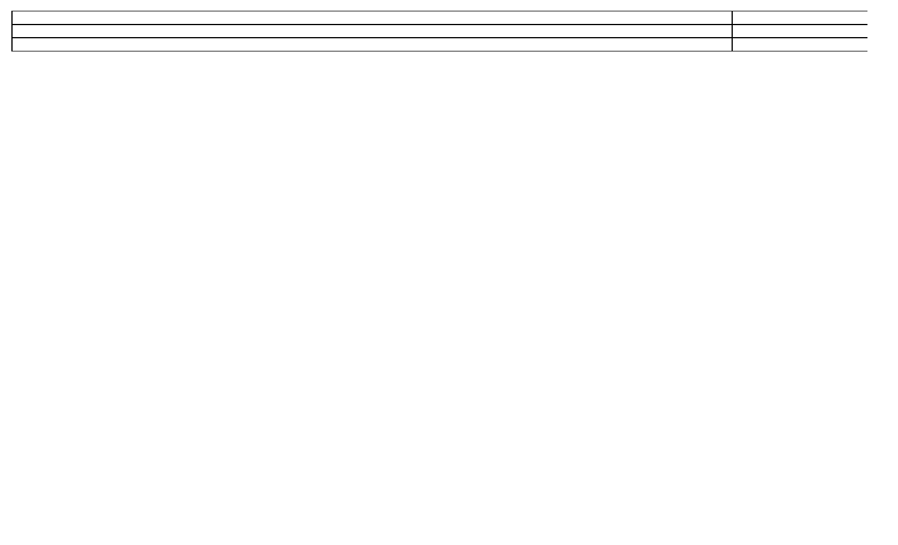| ,他们的人们就是一个人,他们的人们就是一个人,他们的人们,他们的人们就是一个人,他们的人们,他们的人们就是一个人,他们的人们,他们的人们,他们的人们,他们的人们,<br>第25章 我们的人们,他们的人们,他们的人们,他们的人们,他们的人们,他们的人们,他们的人们,他们的人们,他们的人们,他们的人们,他们的人们,他们的人们,他们的 |  |
|-----------------------------------------------------------------------------------------------------------------------------------------------------------------------|--|
| ,一个人都是一个人的人,而且,他们的人都是一个人,而且,他们的人都是一个人,而且,他们的人都是一个人,而且,他们的人都是一个人,而且,他们的人都是一个人,而且,他<br>第二百一十一章 一个人,他们的人都是一个人,他们的人都是一个人,他们的人都是一个人,他们的人都是一个人,他们的人都是一个人,他们的人都是一个人,他们的人都是一个 |  |
| ,一个人都是一个人的人,而且,他们的人都是一个人,他们的人都是一个人,他们的人都是一个人,他们的人都是一个人,他们的人都是一个人,他们的人都是一个人,他们的人都是                                                                                     |  |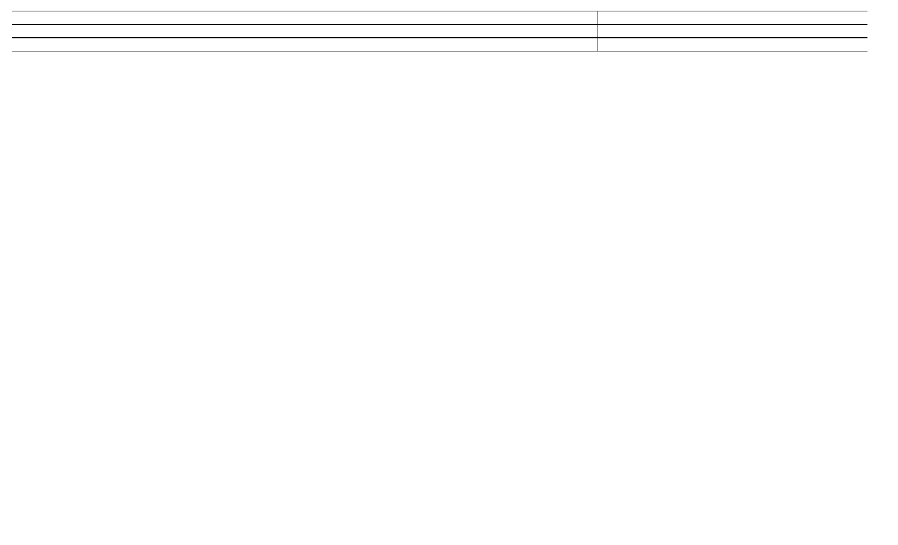| ,一个人都是一个人的人,而且,我们也不会不会不会。""我们,我们也不会不会不会不会不会不会不会不会。""我们,我们也不会不会不会不会不会不会不会不会。""我们,我<br>,他们的人们也不会不会。""我们的人们,我们也不会不会不会。""我们的人们,我们也不会不会不会。""我们的人们,我们也不会不会不会。""我们的人们,我们也不会不 |  |
|-----------------------------------------------------------------------------------------------------------------------------------------------------------------------|--|
| ,我们也不会不会不会。""我们的,我们也不会不会不会。""我们的,我们也不会不会不会不会。""我们的,我们也不会不会不会不会。""我们的,我们也不会不会不会不会                                                                                      |  |
|                                                                                                                                                                       |  |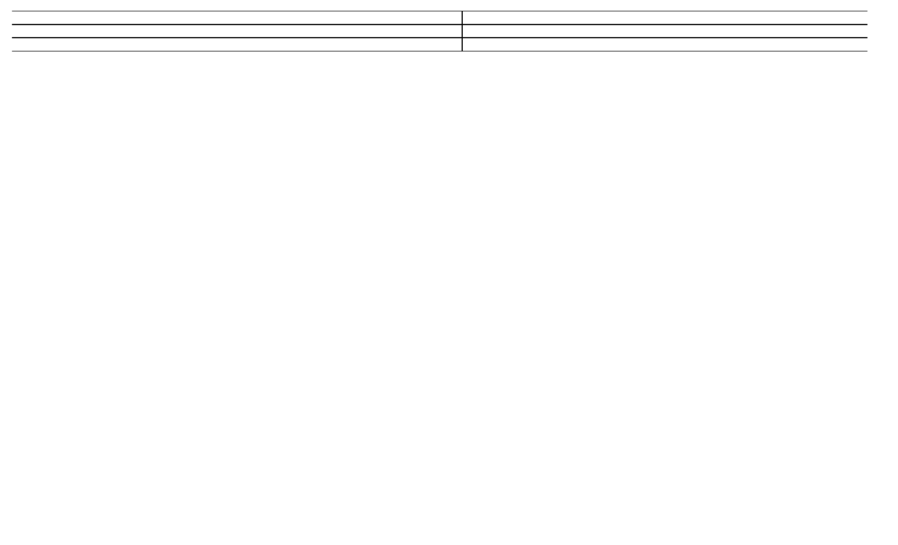| <u> 2001 - An t-An Aontaithe ann an t-Aontaithe ann an t-Aontaithe ann an t-Aontaithe ann an t-Aontaithe ann an t-</u> |
|------------------------------------------------------------------------------------------------------------------------|
|                                                                                                                        |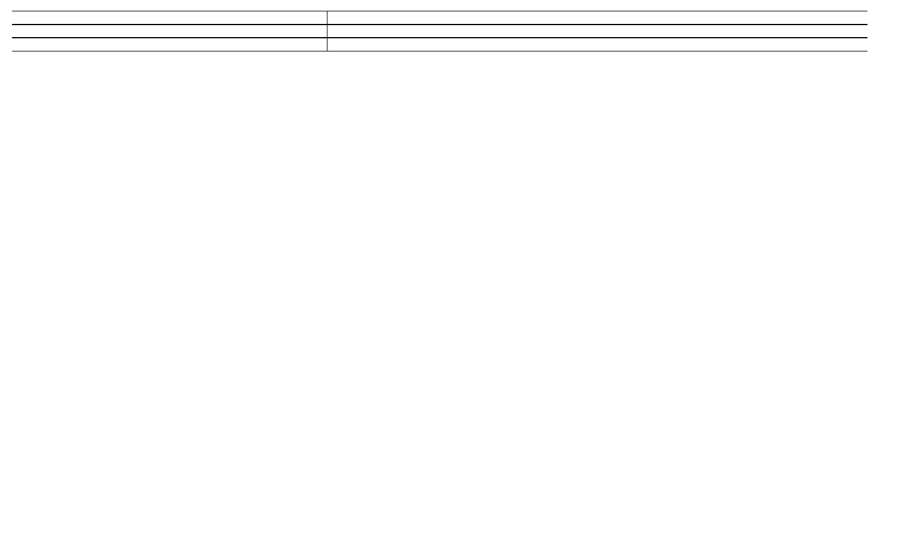| ,一个人都是一个人的人,而且,他们的人都是一个人,而且,他们的人都是一个人,而且,他们的人都是一个人,而且,他们的人都是一个人,而且,他们的人都是一个人,而且,他<br>第二十一章 一个人,他们的人都是一个人,他们的人都是一个人,他们的人都是一个人,他们的人都是一个人,他们的人都是一个人,他们的人都是一个人,他们的人都是一个人, | ,我们也不会不会。""我们的,我们也不会不会。""我们的,我们也不会不会不会。""我们的,我们也不会不会不会。""我们的,我们也不会不会不会。""我们的,我们也 |
|-----------------------------------------------------------------------------------------------------------------------------------------------------------------------|----------------------------------------------------------------------------------|
|                                                                                                                                                                       |                                                                                  |
|                                                                                                                                                                       |                                                                                  |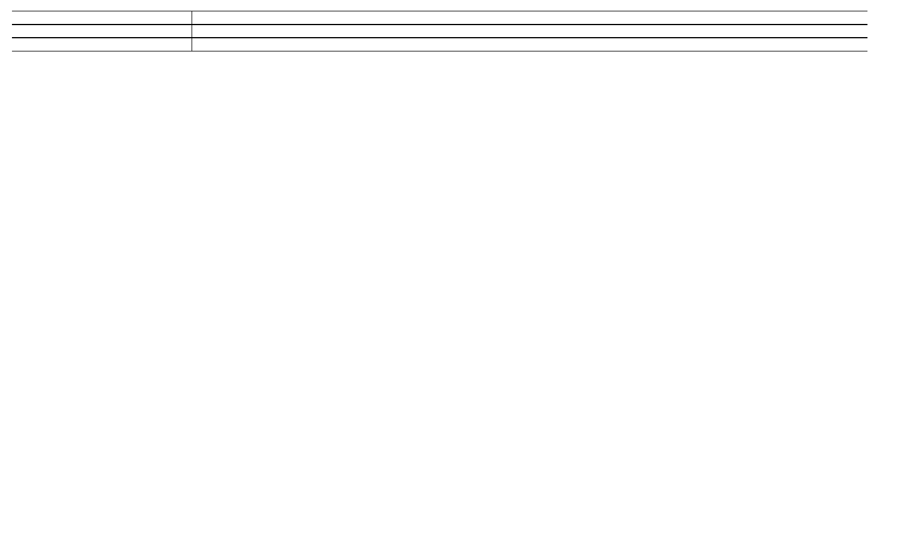| ,一个人的人都是一个人的人,而且,他们的人都是一个人的人,而且,他们的人都是一个人的人,而且,他们的人都是一个人的人,而且,他们的人都是一个人的人,而且,他们的人<br>第一百一十一章 一个人的人,他们的人都是一个人的人,他们的人都是一个人的人,他们的人都是一个人的人,他们的人都是一个人的人,他们的人都是一个人的人,他们的人都是<br>,我们就会不会不会。""我们,我们就会不会不会不会。""我们,我们就会不会不会不会不会不会。""我们,我们就会不会不会不会不会。""我们,我们就会不会不会不会不 |
|-----------------------------------------------------------------------------------------------------------------------------------------------------------------------------------------------------------------------------------------------------------|
| ,一个人都是一个人的人,而且,他们的人都是一个人,而且,他们的人都是一个人,而且,他们的人都是一个人,而且,他们的人都是一个人,而且,他们的人都是一个人,而且,他<br>第二十一章 一个人,他们的人都是一个人,他们的人都是一个人,他们的人都是一个人,他们的人都是一个人,他们的人都是一个人,他们的人都是一个人,他们的人都是一个人,                                                                                     |
|                                                                                                                                                                                                                                                           |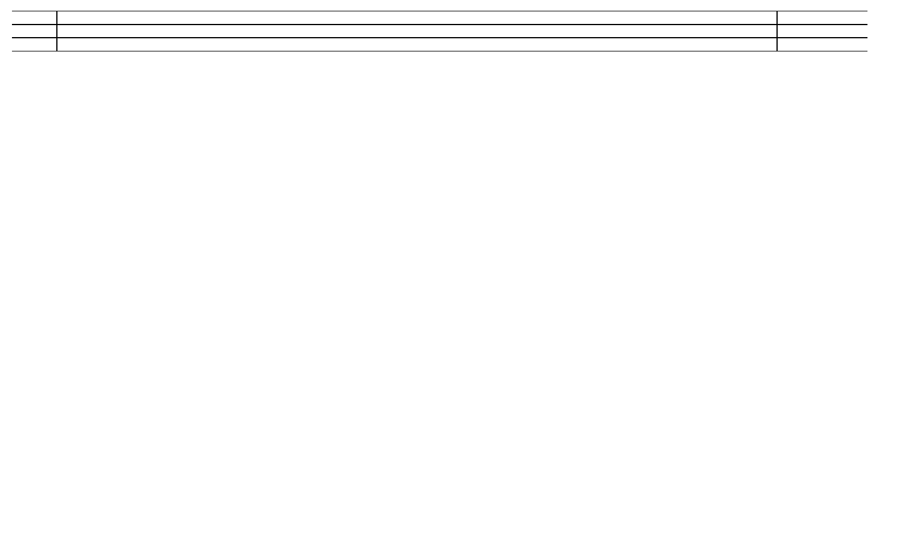| <u>та на представљен под податковата на представљен податковата на представљен податковата на представљен податк</u> |  |
|----------------------------------------------------------------------------------------------------------------------|--|
|                                                                                                                      |  |
| ,一个人都是一个人的人,一个人都是一个人的人,一个人都是一个人的人,一个人都是一个人的人,一个人都是一个人的人,一个人都是一个人的人,一个人都是一个人的人,一个人                                    |  |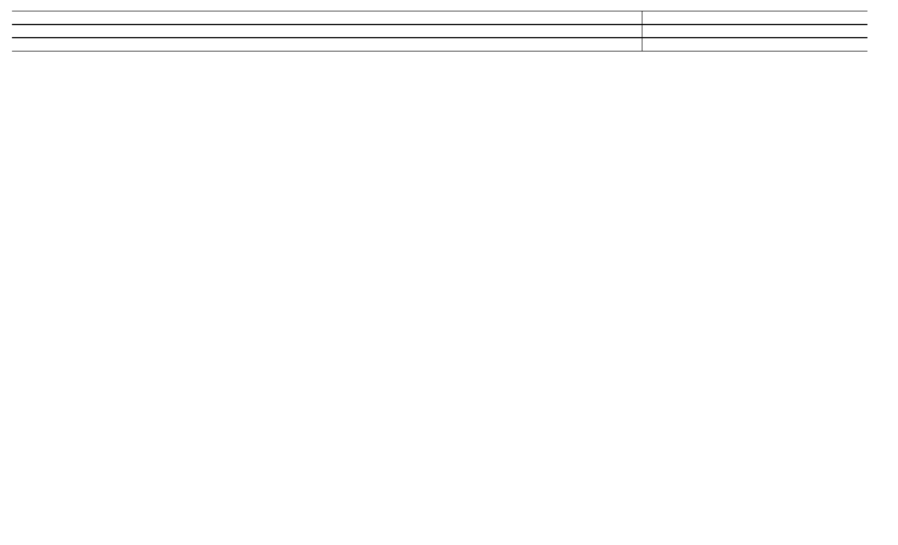| ,一个人都是一个人的人,一个人都是一个人的人,一个人都是一个人的人,一个人都是一个人的人,一个人都是一个人的人,一个人都是一个人的人,一个人都是一个人的人,一个人<br>→ South State State State State State State State State State State State State State State State State State State State State State State State State State State State State State State State State State State State St |  |
|-------------------------------------------------------------------------------------------------------------------------------------------------------------------------------------------------------------------------------------------------------------------------------------------------------------------|--|
| ,一个人的人都是一个人的人,而且,他们的人都是不是一个人的人,而且,他们的人都是不是一个人的人,而且,他们的人都是不是一个人的人,而且,他们的人都是不是一个人的<br>第一百一十一章 一个人的人,他们的人都是不是一个人的人,他们的人都是不是一个人的人,他们的人都是不是一个人的人,他们的人都是不是一个人的人,他们的人都是不是一个                                                                                                                                              |  |
| ,我们也不会不会不会。""我们的,我们也不会不会不会。""我们的,我们也不会不会不会不会不会。""我们的,我们也不会不会不会不会。""我们的,我们也不会不会不会<br>第二百一章 第二百一章 第二百一章 第二百一章 第二百一章 第二百一章 第二百一章 第二百一章 第二百一章 第二百一章 第二百一章 第二百一章 第二百一章 第二                                                                                                                                              |  |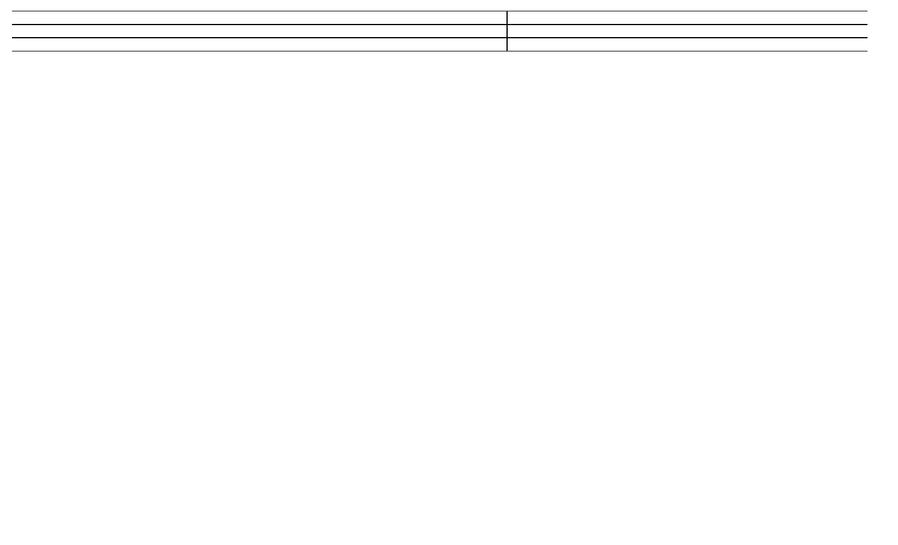| ,一个人都是一个人的人,而且,他们的人都是一个人,而且,他们的人都是一个人,而且,他们的人都是一个人,而且,他们的人都是一个人,而且,他们的人都是一个人,而且,他<br>第二十二章 第二十二章 第二十二章 第二十二章 第二十二章 第二十二章 第二十二章 第二十二章 第二十二章 第二十二章 第二十二章 第二十二章 第二十二章 第二十 |  |
|------------------------------------------------------------------------------------------------------------------------------------------------------------------------|--|
|                                                                                                                                                                        |  |
| ,一个人的人都是一个人的人,而且,他们的人都是一个人的人,而且,他们的人都是一个人的人,而且,他们的人都是一个人的人,而且,他们的人都是一个人的人,而且,他们的人                                                                                      |  |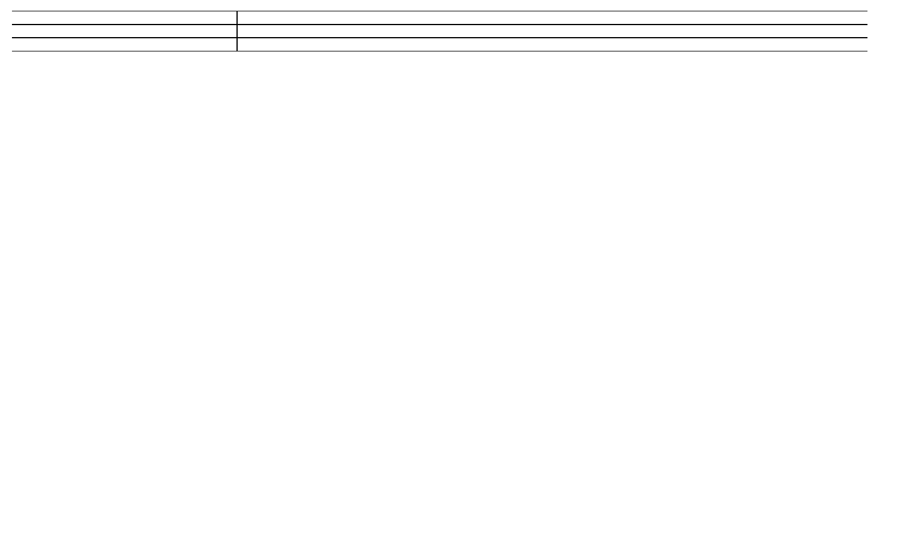| ,我们就会不会不会。""我们,我们也不会不会不会。""我们,我们也不会不会不会不会不会不会。""我们,我们也不会不会不会不会。""我们,我们也不会不会不会不会不  |
|-----------------------------------------------------------------------------------|
| ,一个人都是一个人的人,一个人都是一个人的人,一个人都是一个人的人,一个人都是一个人的人,一个人都是一个人的人,一个人都是一个人的人,一个人都是一个人的人,一个人 |
|                                                                                   |
| ,一个人都是一个人的人,而且,我们也不会不会不会。""我们,我们也不会不会不会不会不会不会不会。""我们,我们也不会不会不会不会不会不会不会不会。""我们,我们  |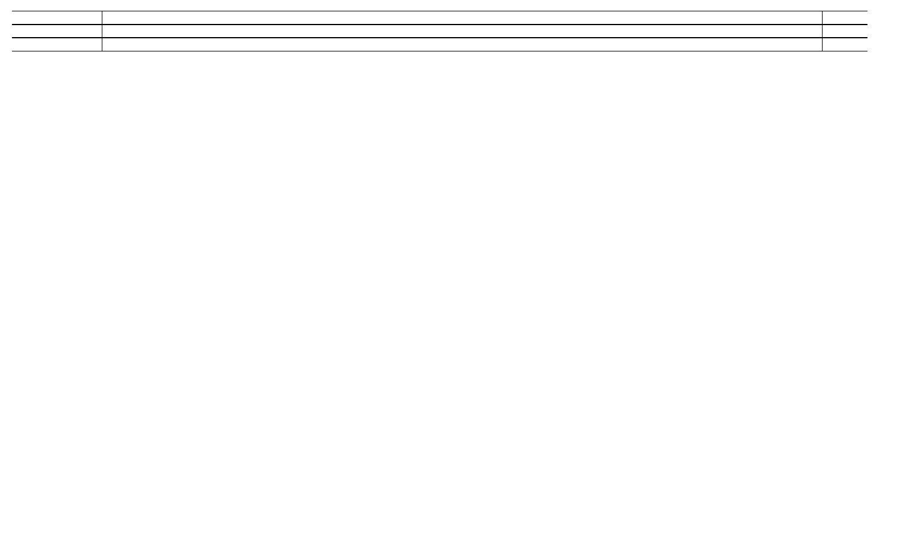| ,一个人都是一个人的人,一个人都是一个人的人,一个人都是一个人的人,一个人都是一个人的人,一个人都是一个人的人,一个人都是一个人的人,一个人都是一个人的人,一个人<br>第二十一章 一个人的人,一个人都是一个人的人,一个人都是一个人的人,一个人都是一个人的人,一个人都是一个人的人,一个人都是一个人的人,一个人都是一个人的人,一个<br>,一个人都是一个人的人,一个人都是一个人的人,一个人都是一个人的人,一个人都是一个人的人,一个人都是一个人的人,一个人都是一个人的人,一个人都是一个人的人,一个人<br>第二十一章 一个人的人,一个人都是一个人的人,一个人都是一个人的人,一个人都是一个人的人,一个人都是一个人的人,一个人都是一个人的人,一个人都是一个人的人,一个 |  |
|------------------------------------------------------------------------------------------------------------------------------------------------------------------------------------------------------------------------------------------------------------------------------------------------------------------------------------------------|--|
| ,一个人的人都是一个人的人,而且,他们的人都是一个人的人,而且,他们的人都是一个人的人,而且,他们的人都是一个人的人,而且,他们的人都是一个人的人,而且,他们的<br>第一百一十一章 一个人的人,他们的人都是一个人的人,他们的人都是一个人的人,他们的人都是一个人的人,他们的人都是一个人的人,他们的人都是一个人的人,他们的人都是                                                                                                                                                                           |  |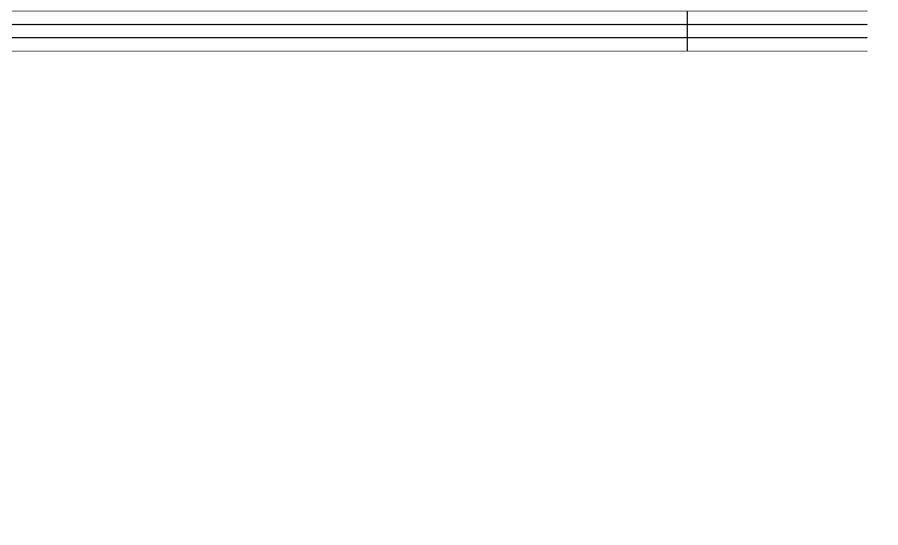| ,一个人的人都是一个人的人,而且,我们也不会不会不会。""我们,我们也不会不会不会不会不会不会。""我们,我们也不会不会不会不会。""我们,我们也不会不会不会不 |  |
|----------------------------------------------------------------------------------|--|
|                                                                                  |  |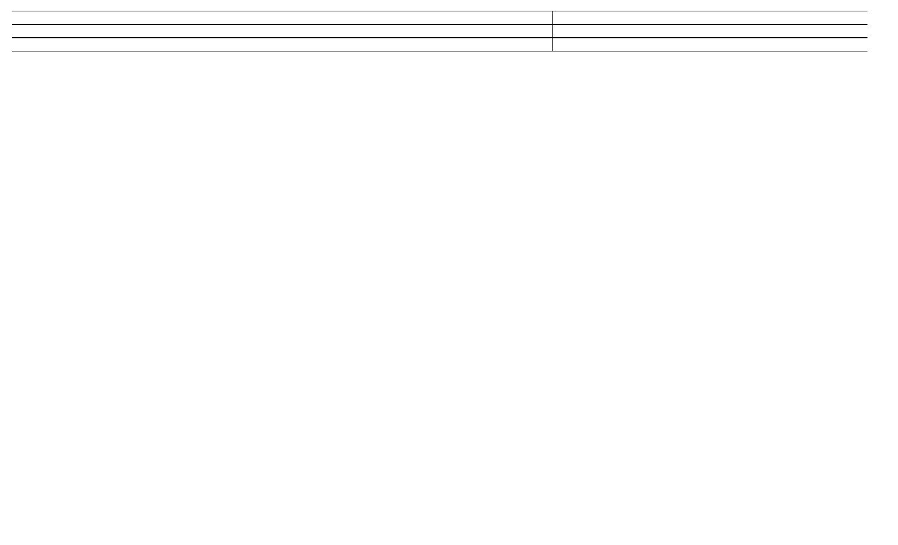| → 中国的 → 中国的 → 中国的 → 中国的 → 中国的 → 中国的 → 中国的 → 中国的 → 中国的 → 中国的 → 中国的 → 中国的 → 中国的 → 中国的 → 中国的 → 中国的 → 中国的 → 中国的 → 中国 |  |
|------------------------------------------------------------------------------------------------------------------|--|
|                                                                                                                  |  |
|                                                                                                                  |  |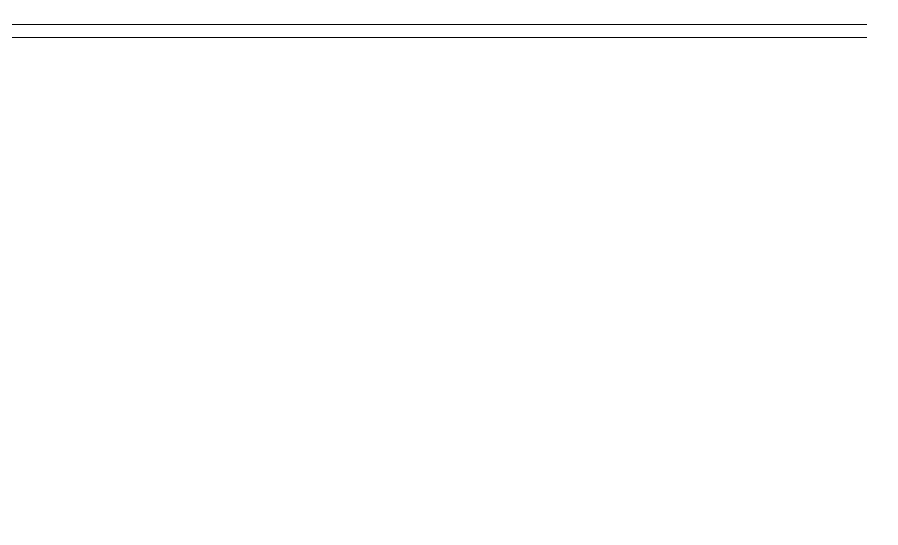| ,我们就会不会不会。""我们,我们就会不会不会不会,我们就会不会不会不会。""我们,我们就会不会不会不会。""我们,我们就会不会不会不会。""我们,我们就会不会 |                                                                                   |
|----------------------------------------------------------------------------------|-----------------------------------------------------------------------------------|
|                                                                                  | ,我们也不会不会不会。""我们的,我们也不会不会不会。""我们的,我们也不会不会不会不会。""我们的,我们也不会不会不会不会。""我们的,我们也不会不会不会不会  |
|                                                                                  | ,我们就会不会不会。""我们,我们就会不会不会,我们就会不会不会,我们就会不会不会。""我们,我们就会不会不会。""我们,我们就会不会不会不会。""我们,我们就会 |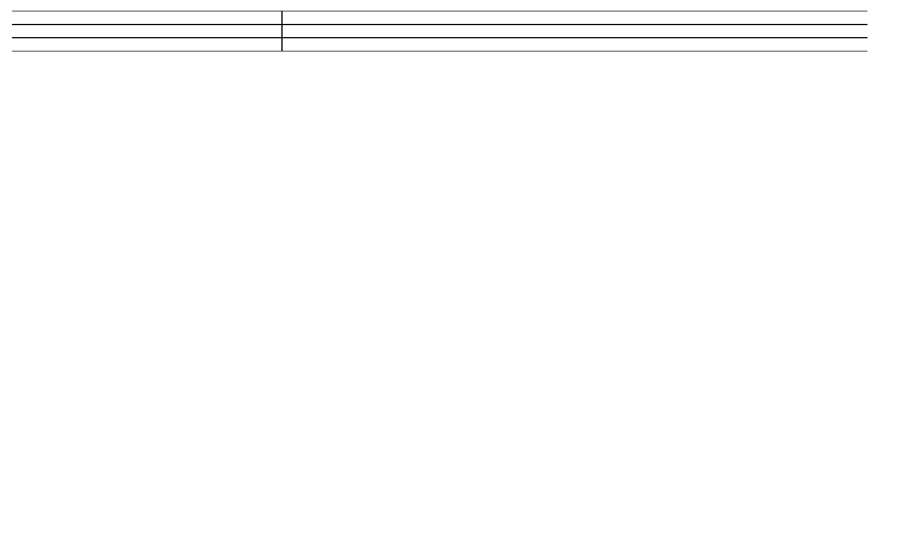| ,一个人都是一个人的人,我们就是一个人的人,我们就是一个人的人,我们就是一个人的人,我们就是一个人的人,我们就是一个人的人,我们就是一个人的人,我们就是一个人的<br>第一百一十一章 一个人的人,我们就是一个人的人,我们就是一个人的人,我们就是一个人的人,我们就是一个人的人,我们就是一个人的人,我们就是一个人的人,我们就是一个 |
|----------------------------------------------------------------------------------------------------------------------------------------------------------------------|
|                                                                                                                                                                      |
|                                                                                                                                                                      |
|                                                                                                                                                                      |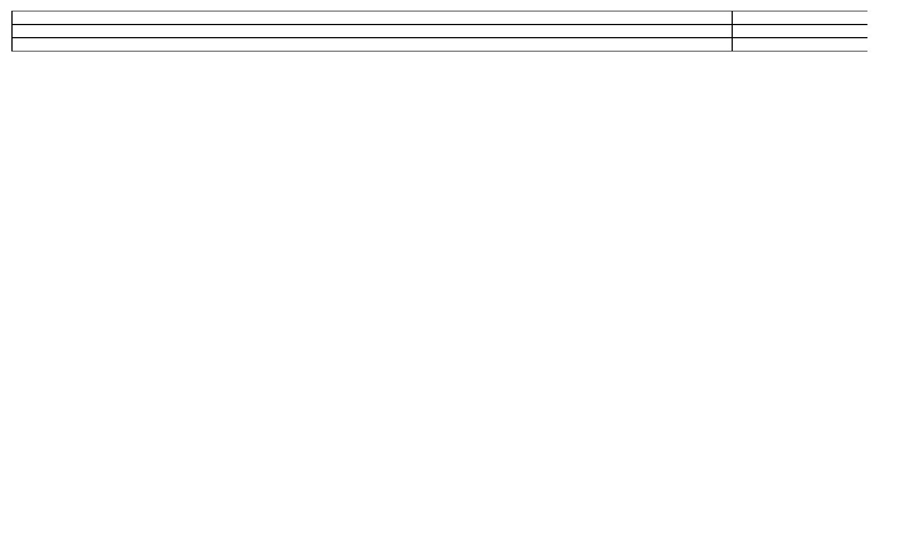| ,他们的人们就是一个人,他们的人们就是一个人,他们的人们,他们的人们就是一个人,他们的人们,他们的人们就是一个人,他们的人们,他们的人们,他们的人们,他们的人们,<br>第25章 我们的人们,他们的人们,他们的人们,他们的人们,他们的人们,他们的人们,他们的人们,他们的人们,他们的人们,他们的人们,他们的人们,他们的人们,他们的 |  |
|-----------------------------------------------------------------------------------------------------------------------------------------------------------------------|--|
| ,一个人都是一个人的人,而且,他们的人都是一个人,而且,他们的人都是一个人,而且,他们的人都是一个人,而且,他们的人都是一个人,而且,他们的人都是一个人,而且,他<br>第二百一十一章 一个人,他们的人都是一个人,他们的人都是一个人,他们的人都是一个人,他们的人都是一个人,他们的人都是一个人,他们的人都是一个人,他们的人都是一个 |  |
| ,一个人都是一个人的人,而且,他们的人都是一个人,他们的人都是一个人,他们的人都是一个人,他们的人都是一个人,他们的人都是一个人,他们的人都是一个人,他们的人都是                                                                                     |  |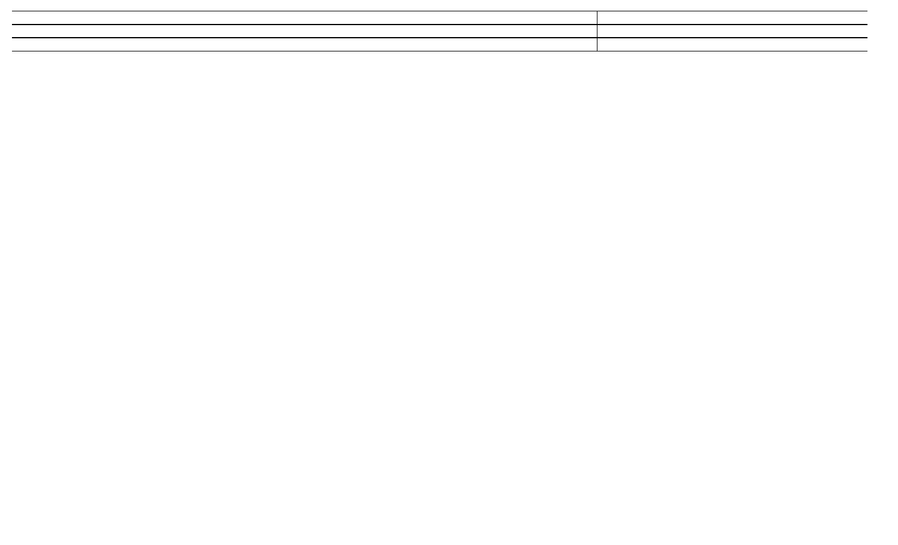| ,一个人都是一个人的人,而且,我们也不会不会不会。""我们,我们也不会不会不会不会不会不会不会不会。""我们,我们也不会不会不会不会不会不会不会不会。""我们,我<br>,他们的人们也不会不会。""我们的人们,我们也不会不会不会。""我们的人们,我们也不会不会不会。""我们的人们,我们也不会不会不会。""我们的人们,我们也不会不 |  |
|-----------------------------------------------------------------------------------------------------------------------------------------------------------------------|--|
| ,我们也不会不会不会。""我们的,我们也不会不会不会。""我们的,我们也不会不会不会不会。""我们的,我们也不会不会不会不会。""我们的,我们也不会不会不会不会                                                                                      |  |
|                                                                                                                                                                       |  |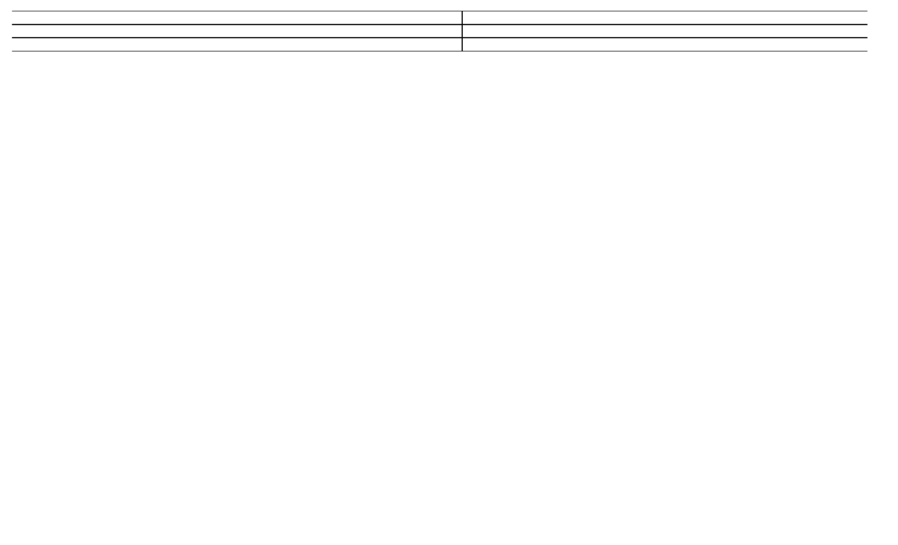| <u> 2001 - An t-An Aontaithe ann an t-Aontaithe ann an t-Aontaithe ann an t-Aontaithe ann an t-Aontaithe ann an t-</u> |
|------------------------------------------------------------------------------------------------------------------------|
|                                                                                                                        |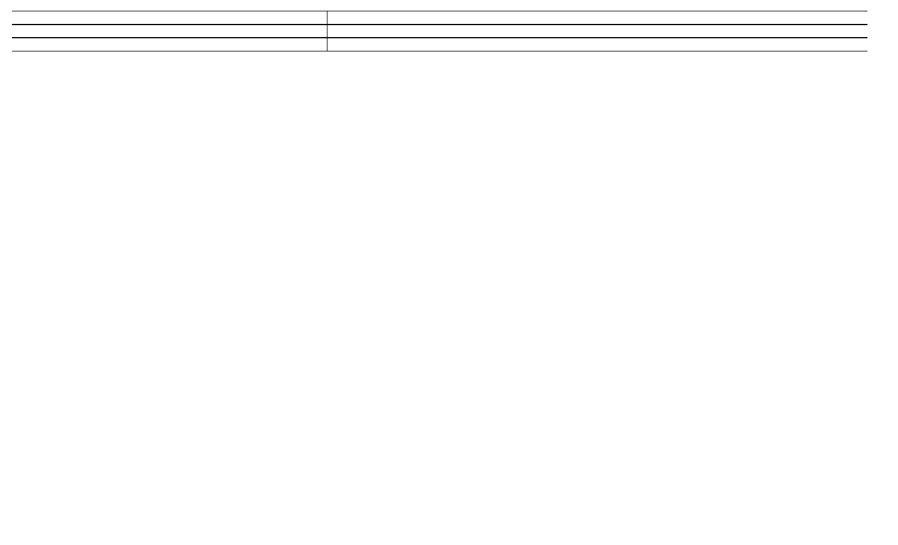| ,一个人都是一个人的人,而且,他们的人都是一个人,而且,他们的人都是一个人,而且,他们的人都是一个人,而且,他们的人都是一个人,而且,他们的人都是一个人,而且,他<br>第二十一章 一个人,他们的人都是一个人,他们的人都是一个人,他们的人都是一个人,他们的人都是一个人,他们的人都是一个人,他们的人都是一个人,他们的人都是一个人, | ,我们也不会不会。""我们的,我们也不会不会。""我们的,我们也不会不会不会。""我们的,我们也不会不会不会。""我们的,我们也不会不会不会。""我们的,我们也 |
|-----------------------------------------------------------------------------------------------------------------------------------------------------------------------|----------------------------------------------------------------------------------|
|                                                                                                                                                                       |                                                                                  |
|                                                                                                                                                                       |                                                                                  |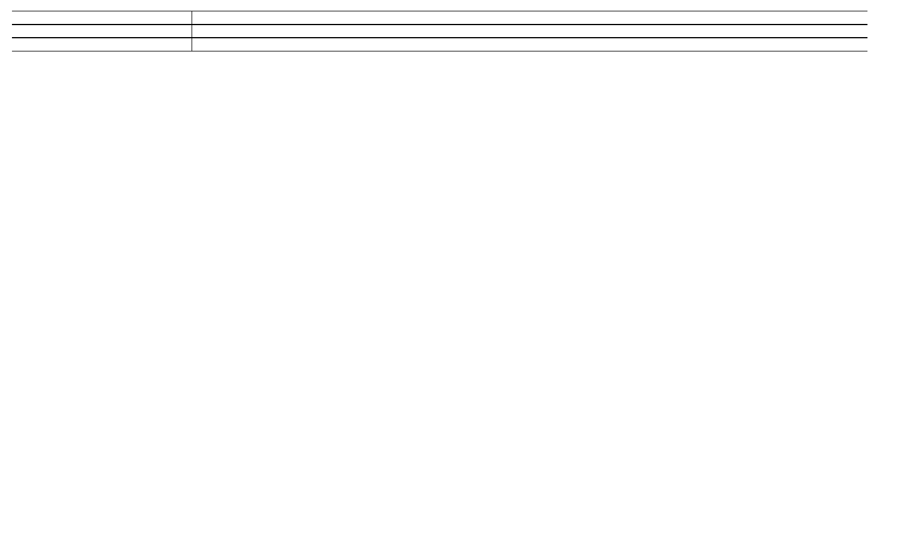| ,一个人的人都是一个人的人,而且,他们的人都是一个人的人,而且,他们的人都是一个人的人,而且,他们的人都是一个人的人,而且,他们的人都是一个人的人,而且,他们的人<br>第一百一十一章 一个人的人,他们的人都是一个人的人,他们的人都是一个人的人,他们的人都是一个人的人,他们的人都是一个人的人,他们的人都是一个人的人,他们的人都是<br>,我们就会不会不会。""我们,我们就会不会不会不会。""我们,我们就会不会不会不会不会不会。""我们,我们就会不会不会不会不会。""我们,我们就会不会不会不会不 |
|-----------------------------------------------------------------------------------------------------------------------------------------------------------------------------------------------------------------------------------------------------------|
| ,一个人都是一个人的人,而且,他们的人都是一个人,而且,他们的人都是一个人,而且,他们的人都是一个人,而且,他们的人都是一个人,而且,他们的人都是一个人,而且,他<br>第二十一章 一个人,他们的人都是一个人,他们的人都是一个人,他们的人都是一个人,他们的人都是一个人,他们的人都是一个人,他们的人都是一个人,他们的人都是一个人,                                                                                     |
|                                                                                                                                                                                                                                                           |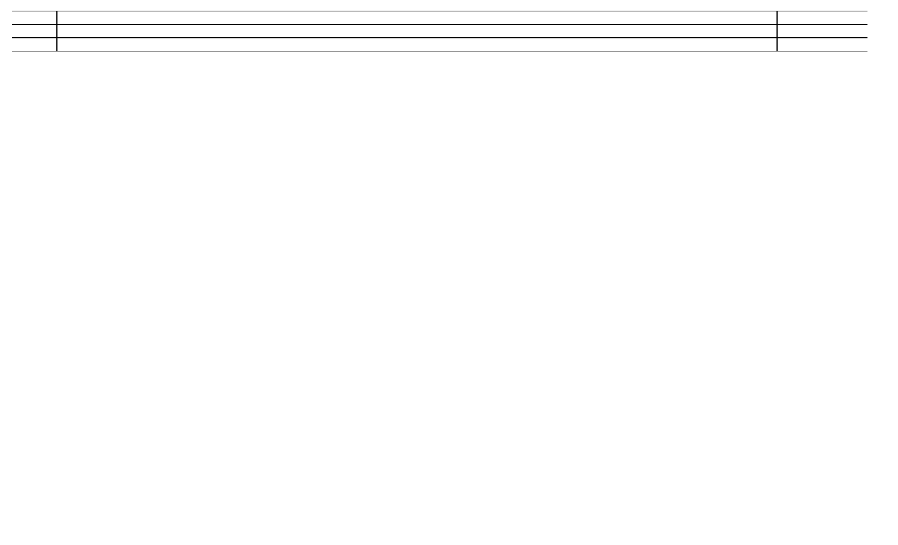| <u>та на представљен под податковата на представљен податковата на представљен податковата на представљен податк</u> |  |
|----------------------------------------------------------------------------------------------------------------------|--|
|                                                                                                                      |  |
| ,一个人都是一个人的人,一个人都是一个人的人,一个人都是一个人的人,一个人都是一个人的人,一个人都是一个人的人,一个人都是一个人的人,一个人都是一个人的人,一个人                                    |  |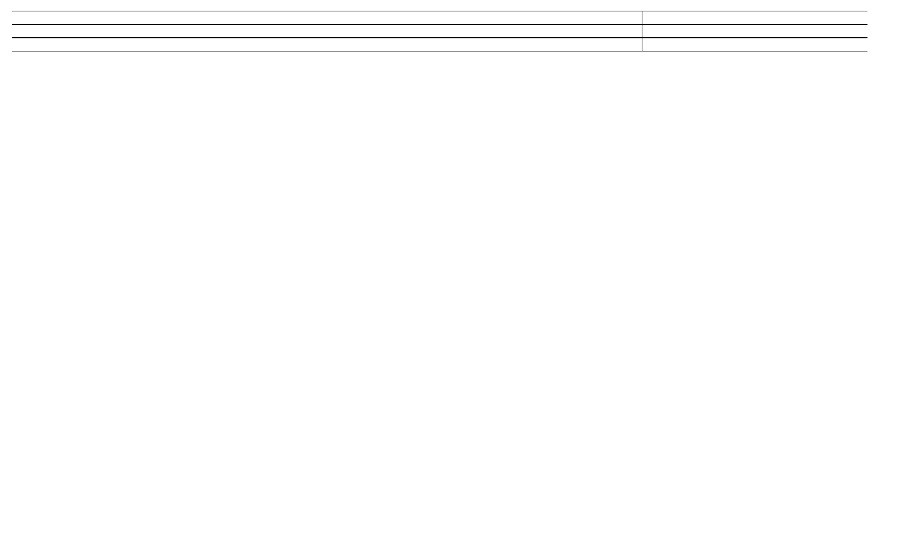| ,一个人都是一个人的人,一个人都是一个人的人,一个人都是一个人的人,一个人都是一个人的人,一个人都是一个人的人,一个人都是一个人的人,一个人都是一个人的人,一个人<br>→ South State State State State State State State State State State State State State State State State State State State State State State State State State State State State State State State State State State State St |  |
|-------------------------------------------------------------------------------------------------------------------------------------------------------------------------------------------------------------------------------------------------------------------------------------------------------------------|--|
| ,一个人的人都是一个人的人,而且,他们的人都是不是一个人的人,而且,他们的人都是不是一个人的人,而且,他们的人都是不是一个人的人,而且,他们的人都是不是一个人的<br>第一百一十一章 一个人的人,他们的人都是不是一个人的人,他们的人都是不是一个人的人,他们的人都是不是一个人的人,他们的人都是不是一个人的人,他们的人都是不是一个                                                                                                                                              |  |
| ,我们也不会不会不会。""我们的,我们也不会不会不会。""我们的,我们也不会不会不会不会不会。""我们的,我们也不会不会不会不会。""我们的,我们也不会不会不会<br>第二百一章 第二百一章 第二百一章 第二百一章 第二百一章 第二百一章 第二百一章 第二百一章 第二百一章 第二百一章 第二百一章 第二百一章 第二百一章 第二                                                                                                                                              |  |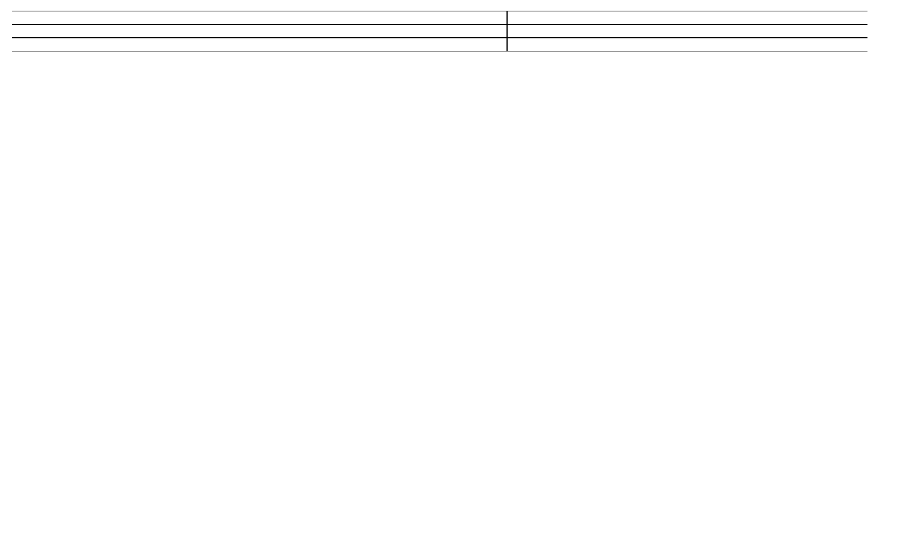| ,一个人都是一个人的人,而且,他们的人都是一个人,而且,他们的人都是一个人,而且,他们的人都是一个人,而且,他们的人都是一个人,而且,他们的人都是一个人,而且,他<br>第二十二章 第二十二章 第二十二章 第二十二章 第二十二章 第二十二章 第二十二章 第二十二章 第二十二章 第二十二章 第二十二章 第二十二章 第二十二章 第二十 |  |
|------------------------------------------------------------------------------------------------------------------------------------------------------------------------|--|
|                                                                                                                                                                        |  |
| ,一个人的人都是一个人的人,而且,他们的人都是一个人的人,而且,他们的人都是一个人的人,而且,他们的人都是一个人的人,而且,他们的人都是一个人的人,而且,他们的人                                                                                      |  |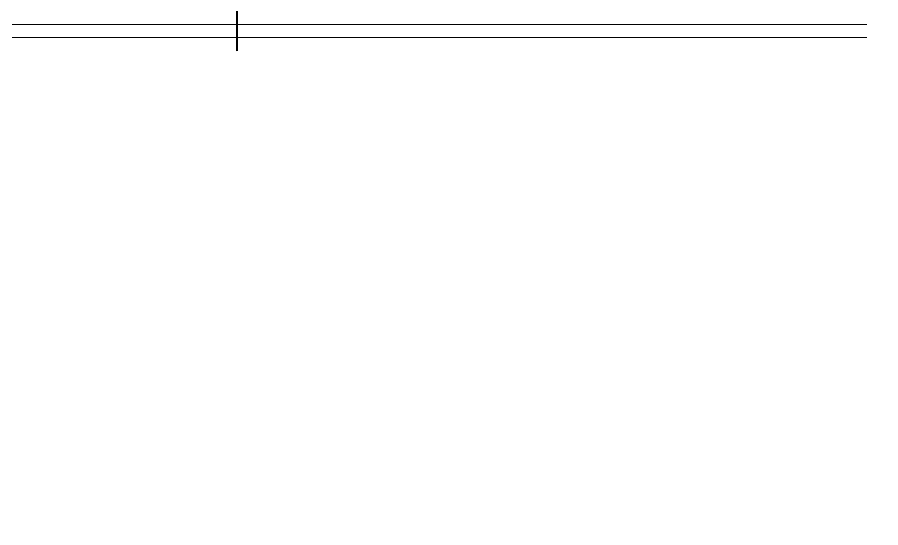| ,我们就会不会不会。""我们,我们也不会不会不会。""我们,我们也不会不会不会不会不会不会。""我们,我们也不会不会不会不会。""我们,我们也不会不会不会不会不  |
|-----------------------------------------------------------------------------------|
| ,一个人都是一个人的人,一个人都是一个人的人,一个人都是一个人的人,一个人都是一个人的人,一个人都是一个人的人,一个人都是一个人的人,一个人都是一个人的人,一个人 |
|                                                                                   |
| ,一个人都是一个人的人,而且,我们也不会不会不会。""我们,我们也不会不会不会不会不会不会不会。""我们,我们也不会不会不会不会不会不会不会不会。""我们,我们  |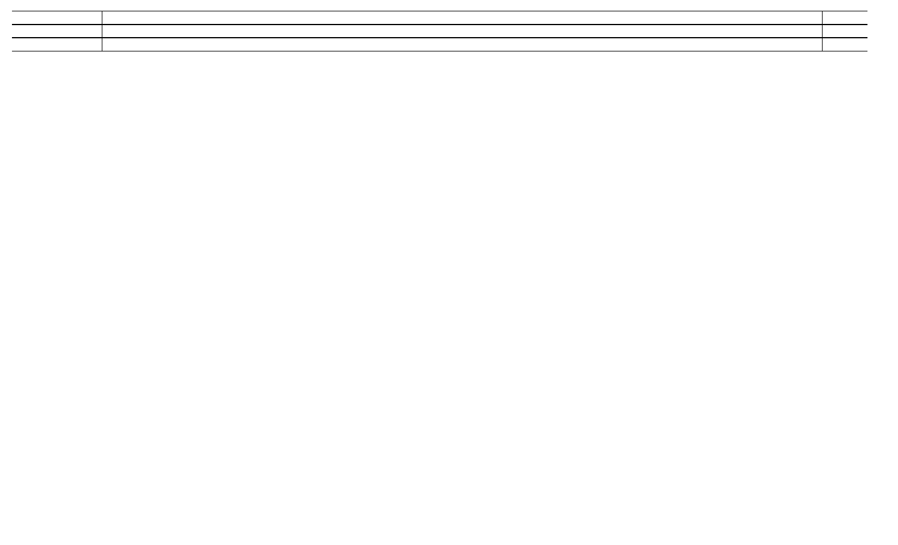| ,一个人都是一个人的人,一个人都是一个人的人,一个人都是一个人的人,一个人都是一个人的人,一个人都是一个人的人,一个人都是一个人的人,一个人都是一个人的人,一个人<br>第二十一章 一个人的人,一个人的人都是一个人的人,一个人的人都是一个人的人,一个人的人都是一个人的人,一个人的人都是一个人的人,一个人的人都是一个人的人,一个人<br>,一个人都是一个人的人,一个人都是一个人的人,一个人都是一个人的人,一个人都是一个人的人,一个人都是一个人的人,一个人都是一个人的人,一个人都是一个人的人,一个人<br>第二十一章 一个人的人,一个人都是一个人的人,一个人都是一个人的人,一个人都是一个人的人,一个人都是一个人的人,一个人都是一个人的人,一个人都是一个人的人,一个 |  |
|------------------------------------------------------------------------------------------------------------------------------------------------------------------------------------------------------------------------------------------------------------------------------------------------------------------------------------------------|--|
| ,一个人的人都是一个人的人,而且,他们的人都是一个人的人,而且,他们的人都是一个人的人,而且,他们的人都是一个人的人,而且,他们的人都是一个人的人,而且,他们的<br>第一百一十一章 一个人的人,他们的人都是一个人的人,他们的人都是一个人的人,他们的人都是一个人的人,他们的人都是一个人的人,他们的人都是一个人的人,他们的人都是                                                                                                                                                                           |  |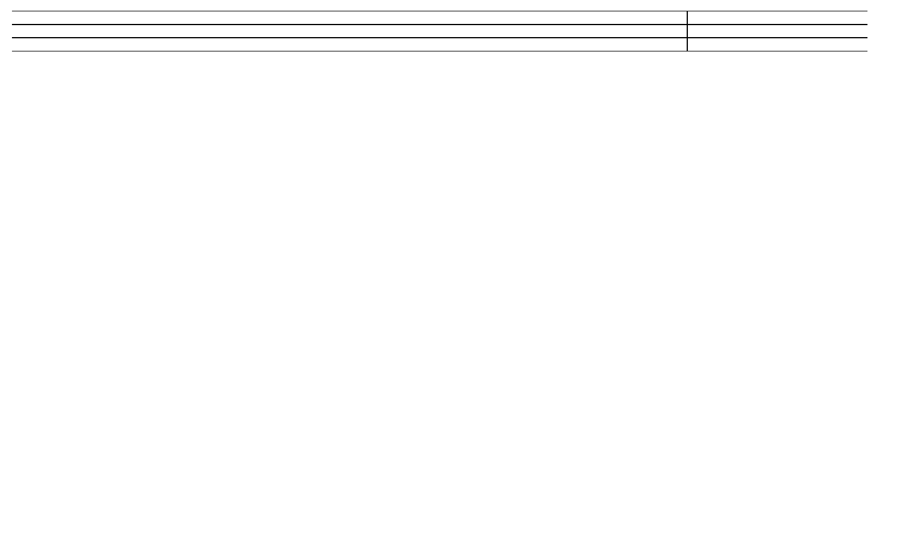| ,一个人的人都是一个人的人,而且,我们也不会不会不会。""我们,我们也不会不会不会不会不会不会。""我们,我们也不会不会不会不会。""我们,我们也不会不会不会不 |  |
|----------------------------------------------------------------------------------|--|
|                                                                                  |  |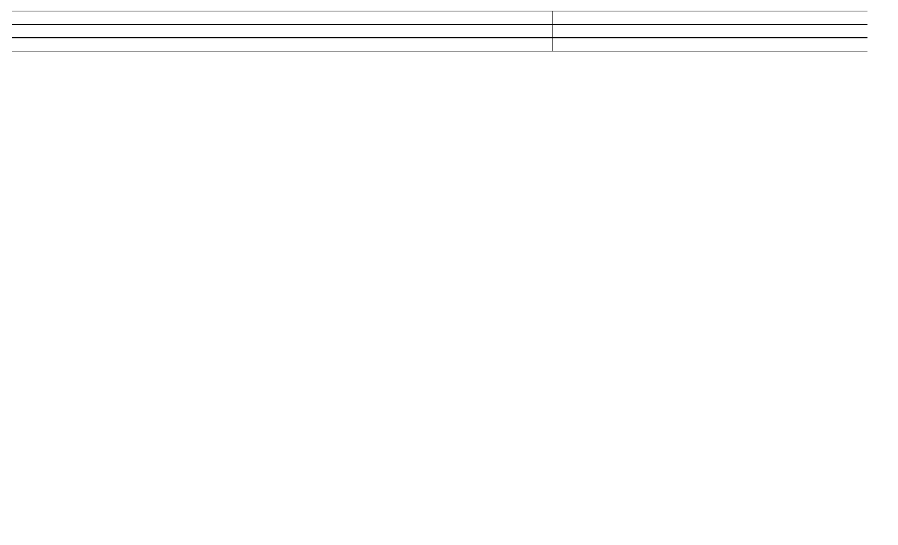| → 中国的 → 中国的 → 中国的 → 中国的 → 中国的 → 中国的 → 中国的 → 中国的 → 中国的 → 中国的 → 中国的 → 中国的 → 中国的 → 中国的 → 中国的 → 中国的 → 中国的 → 中国的 → 中国 |  |
|------------------------------------------------------------------------------------------------------------------|--|
|                                                                                                                  |  |
|                                                                                                                  |  |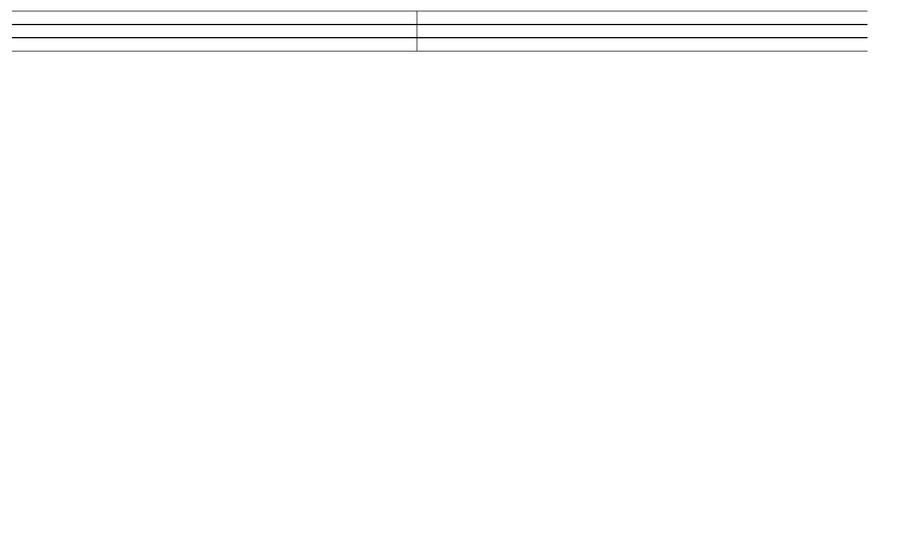| ,我们就会不会不会。""我们,我们就会不会不会不会,我们就会不会不会不会。""我们,我们就会不会不会不会。""我们,我们就会不会不会不会。""我们,我们就会不会 |                                                                                   |
|----------------------------------------------------------------------------------|-----------------------------------------------------------------------------------|
|                                                                                  | ,我们也不会不会不会。""我们的,我们也不会不会不会。""我们的,我们也不会不会不会不会。""我们的,我们也不会不会不会不会。""我们的,我们也不会不会不会不会  |
|                                                                                  | ,我们就会不会不会。""我们,我们就会不会不会,我们就会不会不会,我们就会不会不会。""我们,我们就会不会不会。""我们,我们就会不会不会不会。""我们,我们就会 |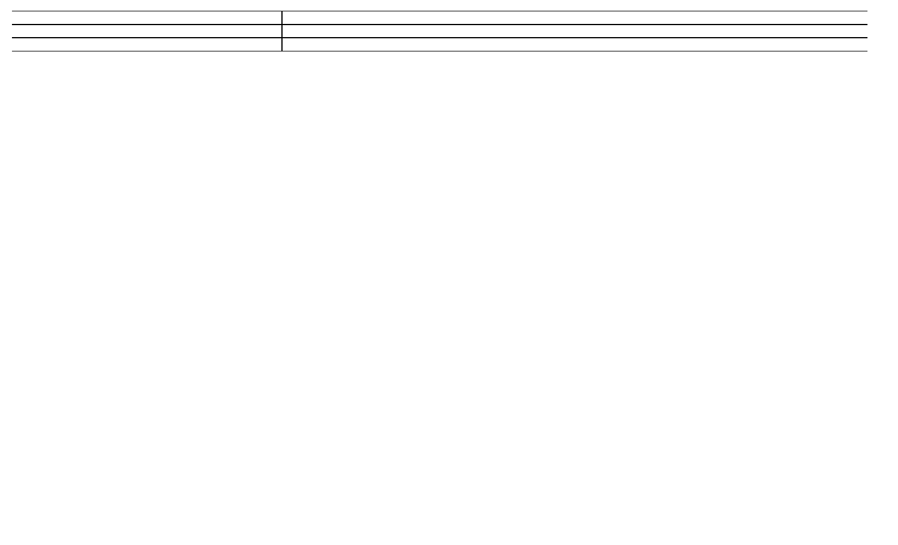| ,一个人都是一个人的人,我们就是一个人的人,我们就是一个人的人,我们就是一个人的人,我们就是一个人的人,我们就是一个人的人,我们就是一个人的人,我们就是一个人的<br>第一百一十一章 一个人的人,我们就是一个人的人,我们就是一个人的人,我们就是一个人的人,我们就是一个人的人,我们就是一个人的人,我们就是一个人的人,我们就是一个 |
|----------------------------------------------------------------------------------------------------------------------------------------------------------------------|
|                                                                                                                                                                      |
|                                                                                                                                                                      |
|                                                                                                                                                                      |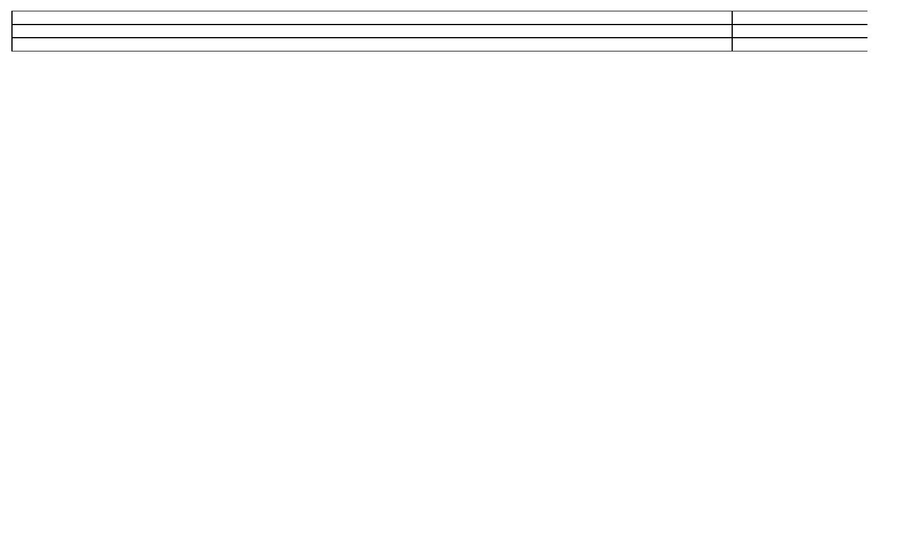| ,他们的人们就是一个人,他们的人们就是一个人,他们的人们,他们的人们就是一个人,他们的人们,他们的人们就是一个人,他们的人们,他们的人们,他们的人们,他们的人们,<br>第25章 我们的人们,他们的人们,他们的人们,他们的人们,他们的人们,他们的人们,他们的人们,他们的人们,他们的人们,他们的人们,他们的人们,他们的人们,他们的 |  |
|-----------------------------------------------------------------------------------------------------------------------------------------------------------------------|--|
| ,一个人都是一个人的人,而且,他们的人都是一个人,而且,他们的人都是一个人,而且,他们的人都是一个人,而且,他们的人都是一个人,而且,他们的人都是一个人,而且,他<br>第二百一十一章 一个人,他们的人都是一个人,他们的人都是一个人,他们的人都是一个人,他们的人都是一个人,他们的人都是一个人,他们的人都是一个人,他们的人都是一个 |  |
| ,一个人都是一个人的人,而且,他们的人都是一个人,他们的人都是一个人,他们的人都是一个人,他们的人都是一个人,他们的人都是一个人,他们的人都是一个人,他们的人都是                                                                                     |  |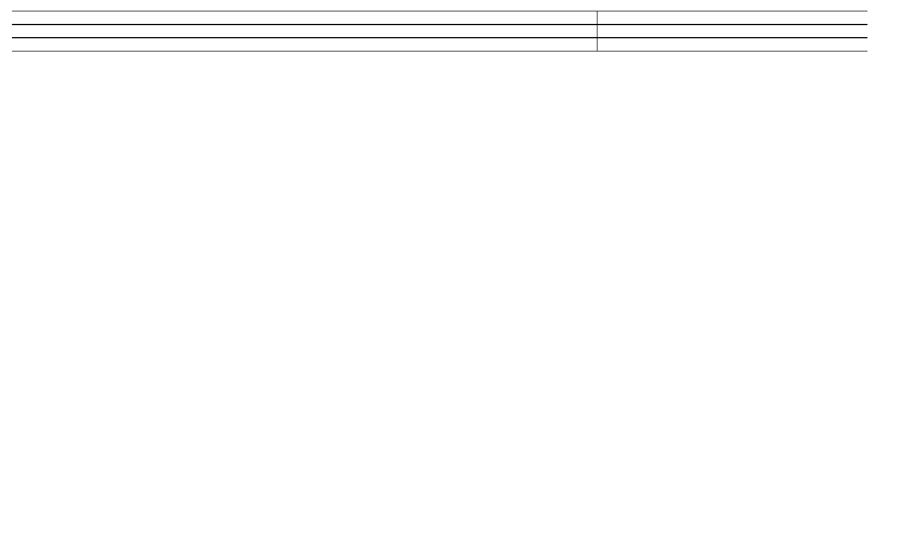| ,一个人都是一个人的人,而且,我们也不会不会不会。""我们,我们也不会不会不会不会不会不会不会不会。""我们,我们也不会不会不会不会不会不会不会不会。""我们,我<br>,他们的人们也不会不会。""我们的人们,我们也不会不会不会。""我们的人们,我们也不会不会不会。""我们的人们,我们也不会不会不会。""我们的人们,我们也不会不 |  |
|-----------------------------------------------------------------------------------------------------------------------------------------------------------------------|--|
| ,我们也不会不会不会。""我们的,我们也不会不会不会。""我们的,我们也不会不会不会不会。""我们的,我们也不会不会不会不会。""我们的,我们也不会不会不会不会                                                                                      |  |
|                                                                                                                                                                       |  |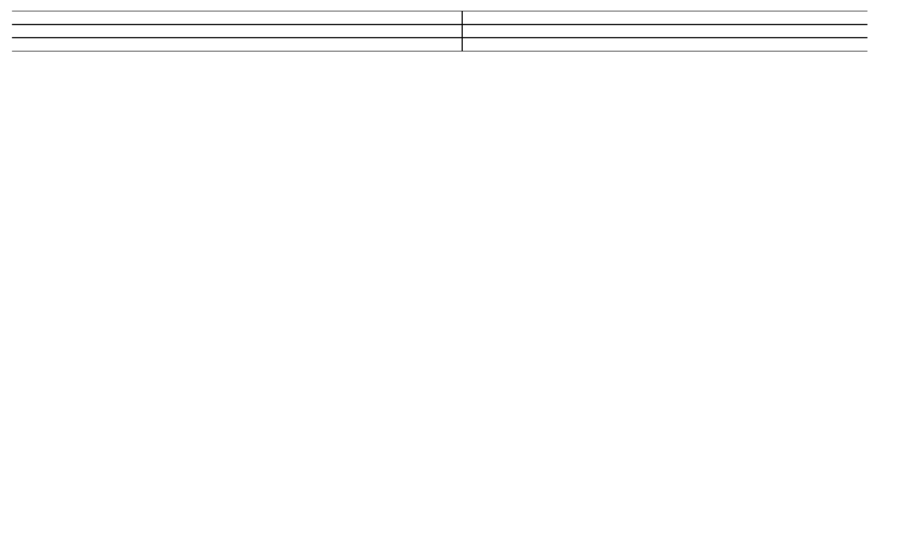| <u> 2001 - An t-An Aontaithe ann an t-Aontaithe ann an t-Aontaithe ann an t-Aontaithe ann an t-Aontaithe ann an t-</u> |
|------------------------------------------------------------------------------------------------------------------------|
|                                                                                                                        |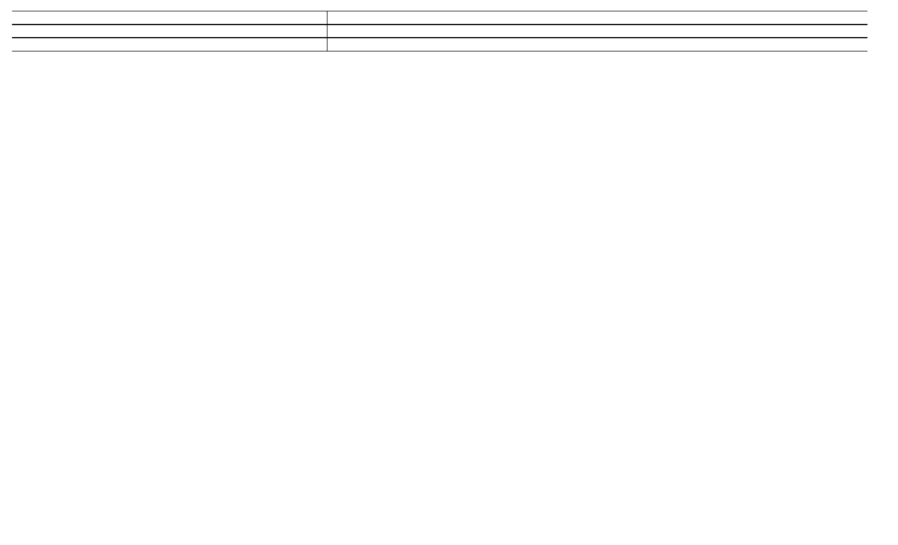| ,一个人都是一个人的人,而且,他们的人都是一个人,而且,他们的人都是一个人,而且,他们的人都是一个人,而且,他们的人都是一个人,而且,他们的人都是一个人,而且,他<br>第二十一章 一个人,他们的人都是一个人,他们的人都是一个人,他们的人都是一个人,他们的人都是一个人,他们的人都是一个人,他们的人都是一个人,他们的人都是一个人, | ,我们也不会不会。""我们的,我们也不会不会。""我们的,我们也不会不会不会。""我们的,我们也不会不会不会。""我们的,我们也不会不会不会。""我们的,我们也 |
|-----------------------------------------------------------------------------------------------------------------------------------------------------------------------|----------------------------------------------------------------------------------|
|                                                                                                                                                                       |                                                                                  |
|                                                                                                                                                                       |                                                                                  |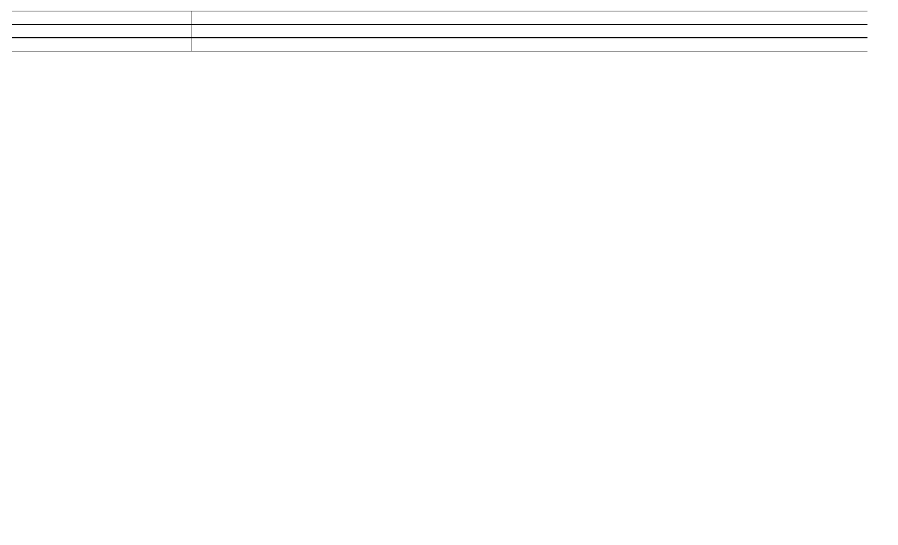| ,一个人的人都是一个人的人,而且,他们的人都是一个人的人,而且,他们的人都是一个人的人,而且,他们的人都是一个人的人,而且,他们的人都是一个人的人,而且,他们的人<br>第一百一十一章 一个人的人,他们的人都是一个人的人,他们的人都是一个人的人,他们的人都是一个人的人,他们的人都是一个人的人,他们的人都是一个人的人,他们的人都是 |
|-----------------------------------------------------------------------------------------------------------------------------------------------------------------------|
| ,一个人都是一个人的人,而且,他们的人都是一个人,而且,他们的人都是一个人,而且,他们的人都是一个人,而且,他们的人都是一个人,而且,他们的人都是一个人,而且,他<br>第二十一章 一个人,他们的人都是一个人,他们的人都是一个人,他们的人都是一个人,他们的人都是一个人,他们的人都是一个人,他们的人都是一个人,他们的人都是一个人, |
|                                                                                                                                                                       |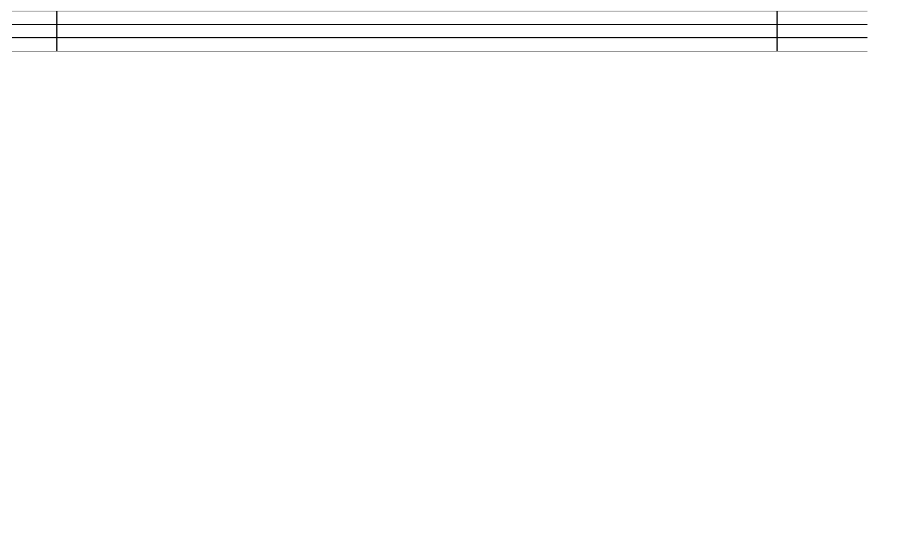| <u>та на представљен под податковата на представљен податковата на представљен податковата на представљен податк</u> |  |
|----------------------------------------------------------------------------------------------------------------------|--|
|                                                                                                                      |  |
| ,一个人都是一个人的人,一个人都是一个人的人,一个人都是一个人的人,一个人都是一个人的人,一个人都是一个人的人,一个人都是一个人的人,一个人都是一个人的人,一个人                                    |  |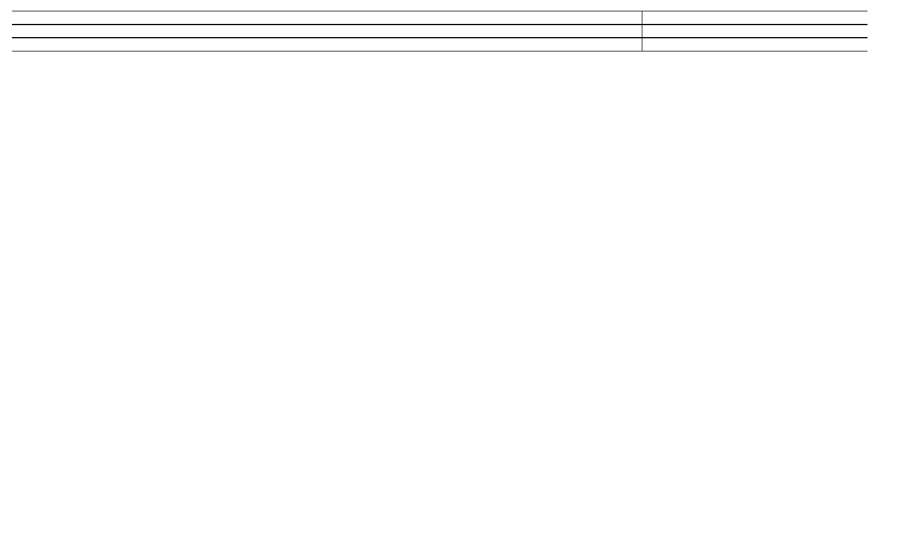| ,一个人都是一个人的人,一个人都是一个人的人,一个人都是一个人的人,一个人都是一个人的人,一个人都是一个人的人,一个人都是一个人的人,一个人都是一个人的人,一个人<br>→ South State State State State State State State State State State State State State State State State State State State State State State State State State State State State State State State State State State State St |  |
|-------------------------------------------------------------------------------------------------------------------------------------------------------------------------------------------------------------------------------------------------------------------------------------------------------------------|--|
| ,一个人的人都是一个人的人,而且,他们的人都是不是一个人的人,而且,他们的人都是不是一个人的人,而且,他们的人都是不是一个人的人,而且,他们的人都是不是一个人的<br>第一百一十一章 一个人的人,他们的人都是不是一个人的人,他们的人都是不是一个人的人,他们的人都是不是一个人的人,他们的人都是不是一个人的人,他们的人都是不是一个                                                                                                                                              |  |
| ,我们也不会不会不会。""我们的,我们也不会不会不会。""我们的,我们也不会不会不会不会。""我们的,我们也不会不会不会不会。""我们的,我们也不会不会不会不会<br>第二百一章 第二百一章 第二百一章 第二百一章 第二百一章 第二百一章 第二百一章 第二百一章 第二百一章 第二百一章 第二百一章 第二百一章 第二百一章 第二                                                                                                                                              |  |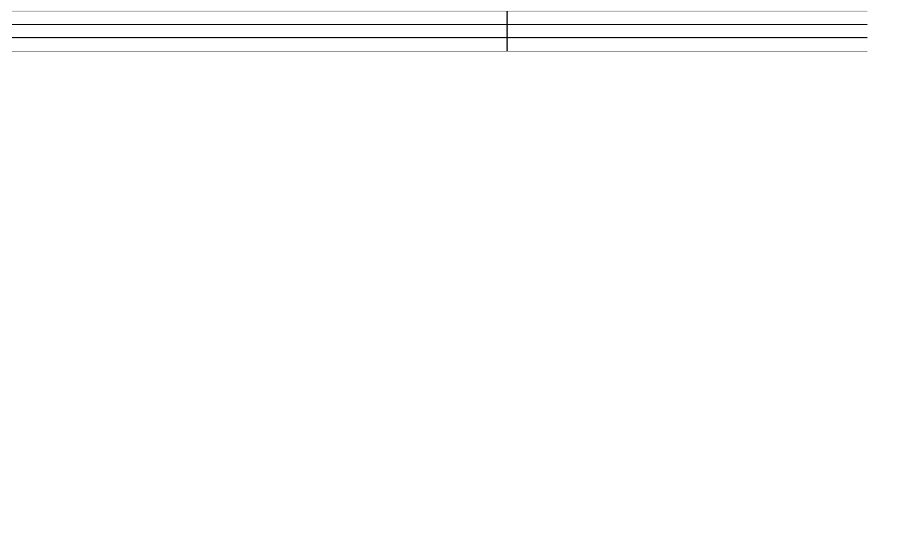| ,一个人都是一个人的人,而且,他们的人都是一个人,而且,他们的人都是一个人,而且,他们的人都是一个人,而且,他们的人都是一个人,而且,他们的人都是一个人,而且,他<br>第二十二章 第二十二章 第二十二章 第二十二章 第二十二章 第二十二章 第二十二章 第二十二章 第二十二章 第二十二章 第二十二章 第二十二章 第二十二章 第二十 |  |
|------------------------------------------------------------------------------------------------------------------------------------------------------------------------|--|
|                                                                                                                                                                        |  |
| ,一个人的人都是一个人的人,而且,他们的人都是一个人的人,而且,他们的人都是一个人的人,而且,他们的人都是一个人的人,而且,他们的人都是一个人的人,而且,他们的人                                                                                      |  |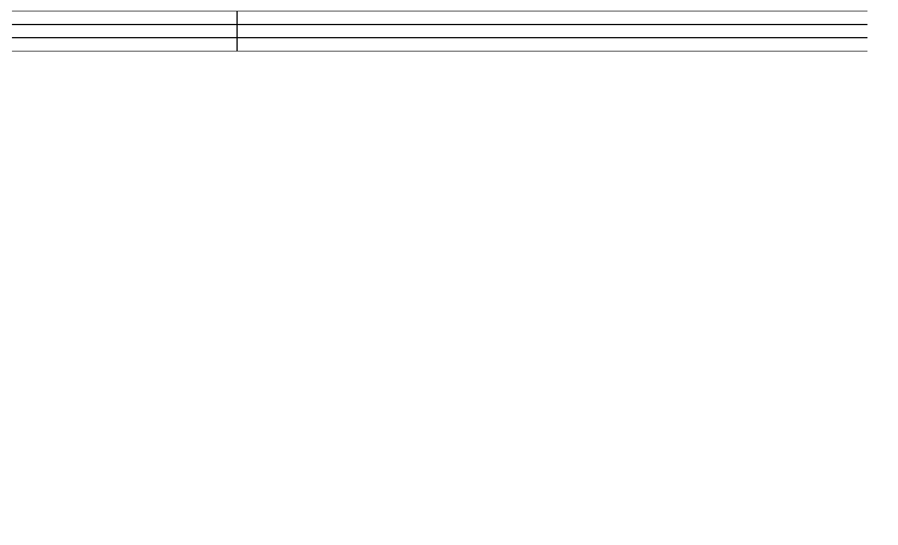| ,我们就会不会不会。""我们,我们也不会不会不会。""我们,我们也不会不会不会不会不会不会。""我们,我们也不会不会不会不会。""我们,我们也不会不会不会不会不  |
|-----------------------------------------------------------------------------------|
| ,一个人都是一个人的人,一个人都是一个人的人,一个人都是一个人的人,一个人都是一个人的人,一个人都是一个人的人,一个人都是一个人的人,一个人都是一个人的人,一个人 |
|                                                                                   |
| ,一个人都是一个人的人,而且,我们也不会不会不会。""我们,我们也不会不会不会不会。""我们,我们也不会不会不会不会。""我们,我们也不会不会不会不会。""我们, |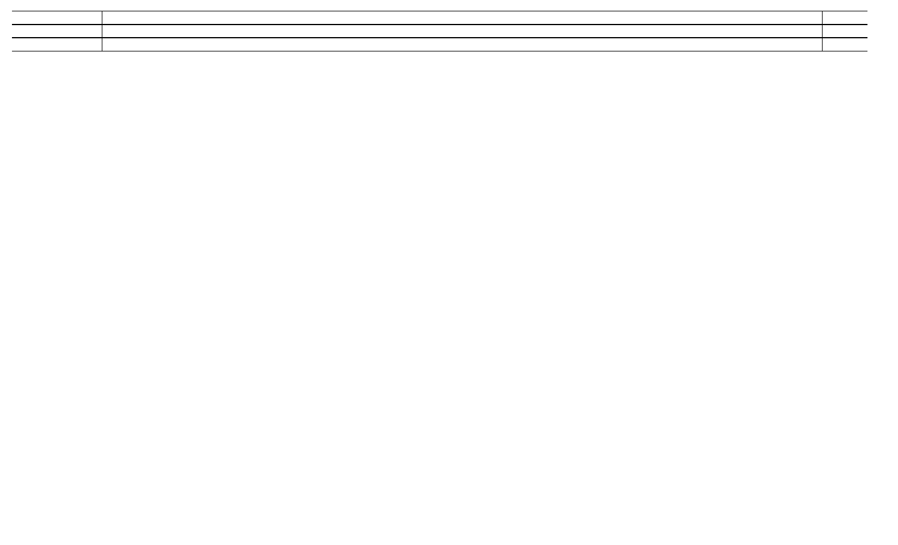| ,一个人都是一个人的人,一个人都是一个人的人,一个人都是一个人的人,一个人都是一个人的人,一个人都是一个人的人,一个人都是一个人的人,一个人都是一个人的人,一个人<br>第二十一章 一个人的人,一个人的人都是一个人的人,一个人的人都是一个人的人,一个人的人都是一个人的人,一个人的人都是一个人的人,一个人的人都是一个人的人,一个人<br>,一个人都是一个人的人,一个人都是一个人的人,一个人都是一个人的人,一个人都是一个人的人,一个人都是一个人的人,一个人都是一个人的人,一个人都是一个人的人,一个人<br>第二十一章 一个人的人,一个人的人都是一个人的人,一个人的人都是一个人的人,一个人的人都是一个人的人,一个人的人都是一个人的人,一个人的人都是一个人的人,一个人 |  |
|------------------------------------------------------------------------------------------------------------------------------------------------------------------------------------------------------------------------------------------------------------------------------------------------------------------------------------------------|--|
| ,一个人的人都是一个人的人,而且,他们的人都是一个人的人,而且,他们的人都是一个人的人,而且,他们的人都是一个人的人,而且,他们的人都是一个人的人,而且,他们的<br>第一百一十一章 一个人的人,他们的人都是一个人的人,他们的人都是一个人的人,他们的人都是一个人的人,他们的人都是一个人的人,他们的人都是一个人的人,他们的人都是                                                                                                                                                                           |  |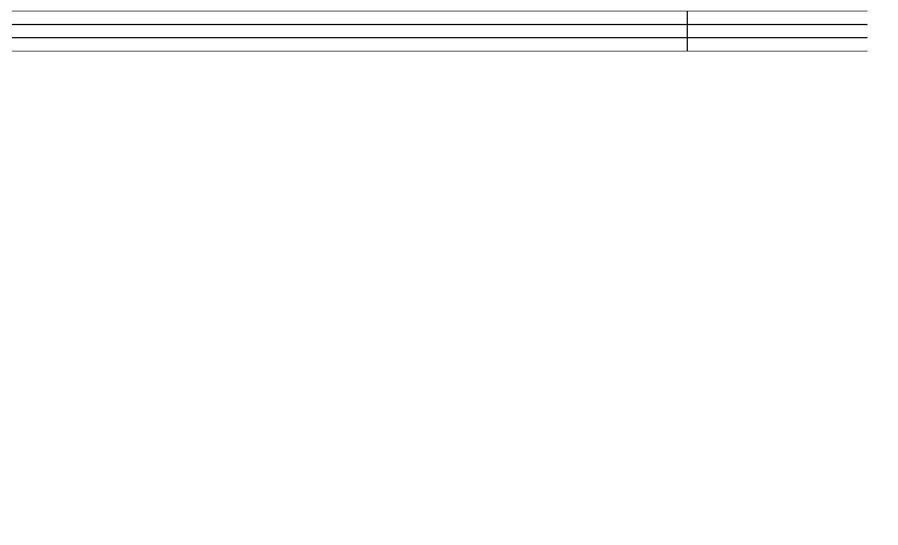| ,我们也不会不会不会。""我们的,我们也不会不会不会。""我们的,我们也不会不会不会不会不会。""我们的,我们也不会不会不会不会。""我们的,我们也不会不会不会  |  |
|-----------------------------------------------------------------------------------|--|
| ,一个人的人都是一个人的人,而且,他们的人都是一个人的人,而且,他们的人都是一个人的人,而且,他们的人都是一个人的人,而且,他们的人都是一个人的人,而且,他们的人 |  |
|                                                                                   |  |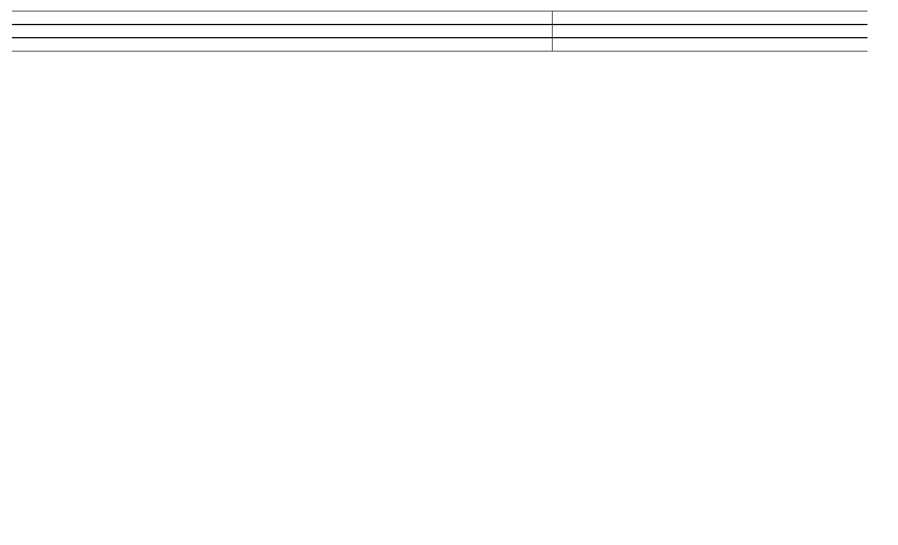| → 中国的 → 中国的 → 中国的 → 中国的 → 中国的 → 中国的 → 中国的 → 中国的 → 中国的 → 中国的 → 中国的 → 中国的 → 中国的 → 中国的 → 中国的 → 中国的 → 中国的 → 中国的 → 中国 |  |
|------------------------------------------------------------------------------------------------------------------|--|
|                                                                                                                  |  |
|                                                                                                                  |  |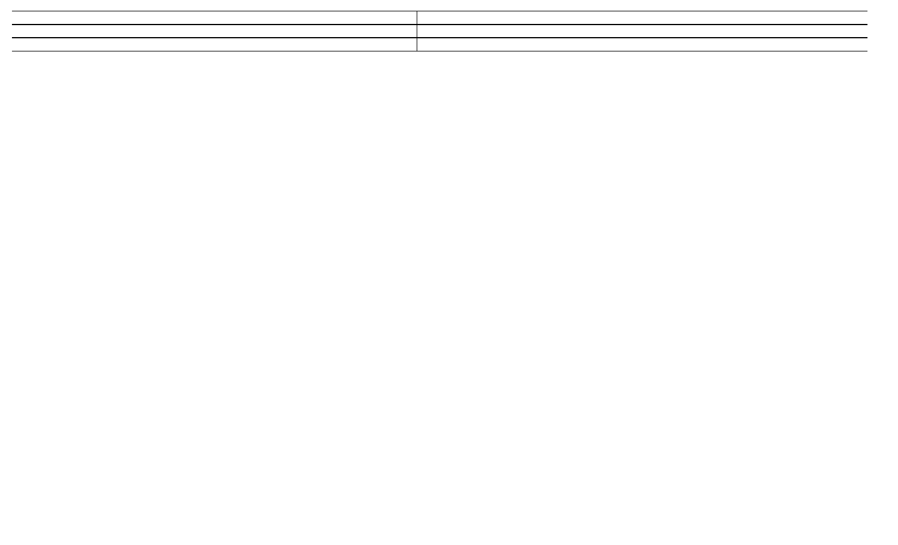| ,我们就会不会不会。""我们,我们就会不会不会不会,我们就会不会不会不会。""我们,我们就会不会不会不会。""我们,我们就会不会不会不会。""我们,我们就会不会 |                                                                                   |
|----------------------------------------------------------------------------------|-----------------------------------------------------------------------------------|
|                                                                                  | ,我们也不会不会不会。""我们的,我们也不会不会不会。""我们的,我们也不会不会不会不会。""我们的,我们也不会不会不会不会。""我们的,我们也不会不会不会不会  |
|                                                                                  | ,我们就会不会不会。""我们,我们就会不会不会,我们就会不会不会,我们就会不会不会。""我们,我们就会不会不会。""我们,我们就会不会不会不会。""我们,我们就会 |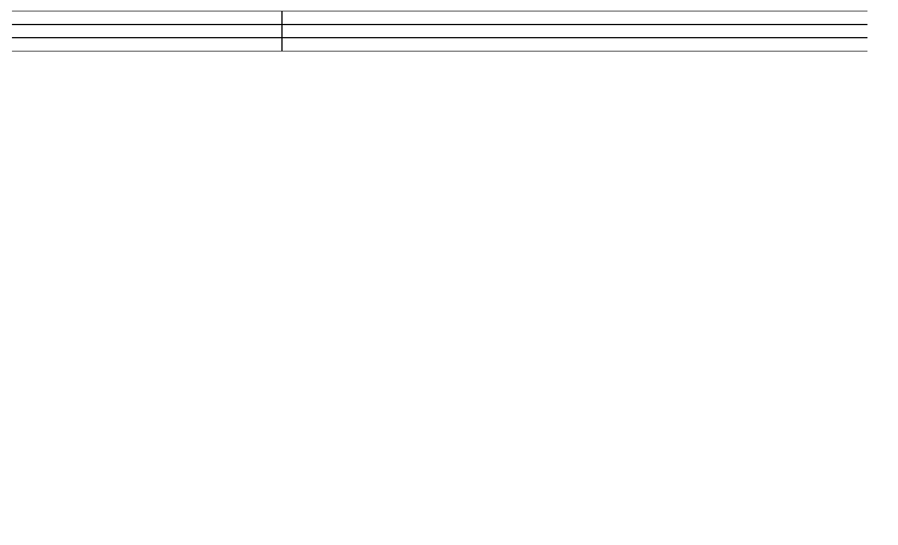| ,他们的人们就会在这里,他们的人们就会在这里,他们的人们就会在这里,他们的人们就会在这里,他们的人们就会在这里,他们的人们就会在这里,他们的人们就会在这里,他们<br>第251章 我们的人们的人们,我们的人们的人们的人们,我们的人们的人们的人们,我们的人们的人们的人们,我们的人们的人们的人们,我们的人们的人们的人们,我们的人们 |
|----------------------------------------------------------------------------------------------------------------------------------------------------------------------|
|                                                                                                                                                                      |
|                                                                                                                                                                      |
|                                                                                                                                                                      |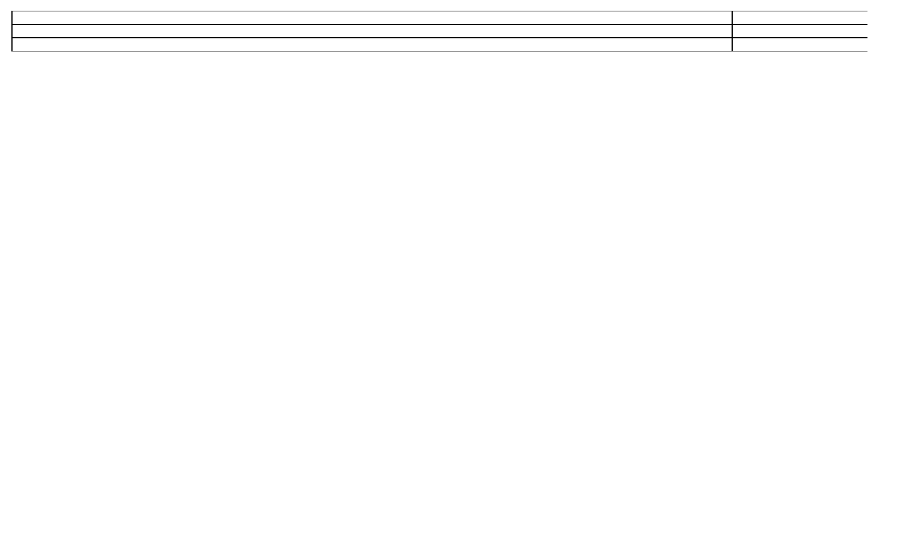| ,他们的人们就是一个人,他们的人们就是一个人,他们的人们,他们的人们就是一个人,他们的人们,他们的人们就是一个人,他们的人们,他们的人们,他们的人们,他们的人们,<br>第25章 我们的人们,他们的人们,他们的人们,他们的人们,他们的人们,他们的人们,他们的人们,他们的人们,他们的人们,他们的人们,他们的人们,他们的人们,他们的 |  |
|-----------------------------------------------------------------------------------------------------------------------------------------------------------------------|--|
| ,一个人都是一个人的人,而且,他们的人都是一个人,而且,他们的人都是一个人,而且,他们的人都是一个人,而且,他们的人都是一个人,而且,他们的人都是一个人,而且,他<br>第二百一十一章 一个人,他们的人都是一个人,他们的人都是一个人,他们的人都是一个人,他们的人都是一个人,他们的人都是一个人,他们的人都是一个人,他们的人都是一个 |  |
| ,一个人都是一个人的人,而且,他们的人都是一个人,他们的人都是一个人,他们的人都是一个人,他们的人都是一个人,他们的人都是一个人,他们的人都是一个人,他们的人都是                                                                                     |  |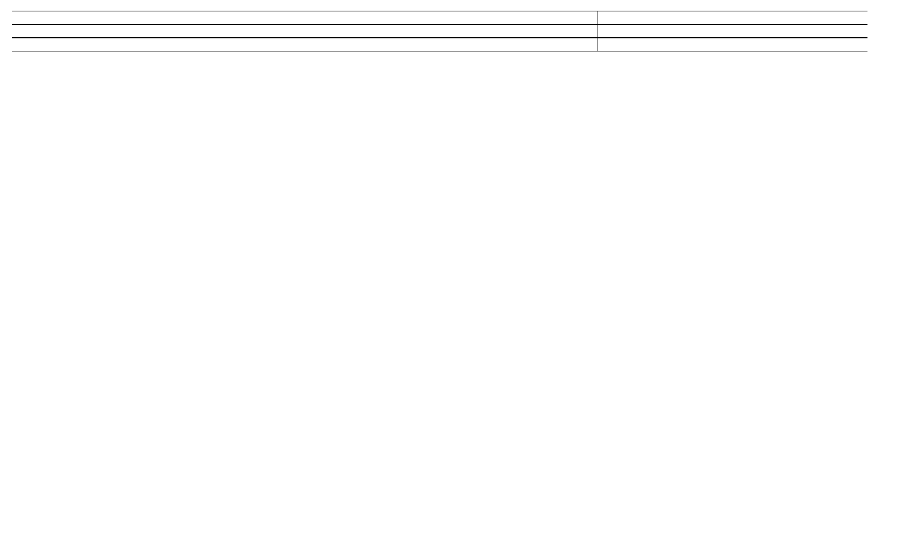| ,一个人都是一个人的人,而且,我们也不会不会不会。""我们,我们也不会不会不会不会不会不会不会不会。""我们,我们也不会不会不会不会不会不会不会不会。""我们,我<br>,他们的人们也不会不会。""我们的人们,我们也不会不会不会。""我们的人们,我们也不会不会不会。""我们的人们,我们也不会不会不会。""我们的人们,我们也不会不 |  |
|-----------------------------------------------------------------------------------------------------------------------------------------------------------------------|--|
| ,我们也不会不会不会。""我们的,我们也不会不会不会。""我们的,我们也不会不会不会不会。""我们的,我们也不会不会不会不会。""我们的,我们也不会不会不会不会                                                                                      |  |
|                                                                                                                                                                       |  |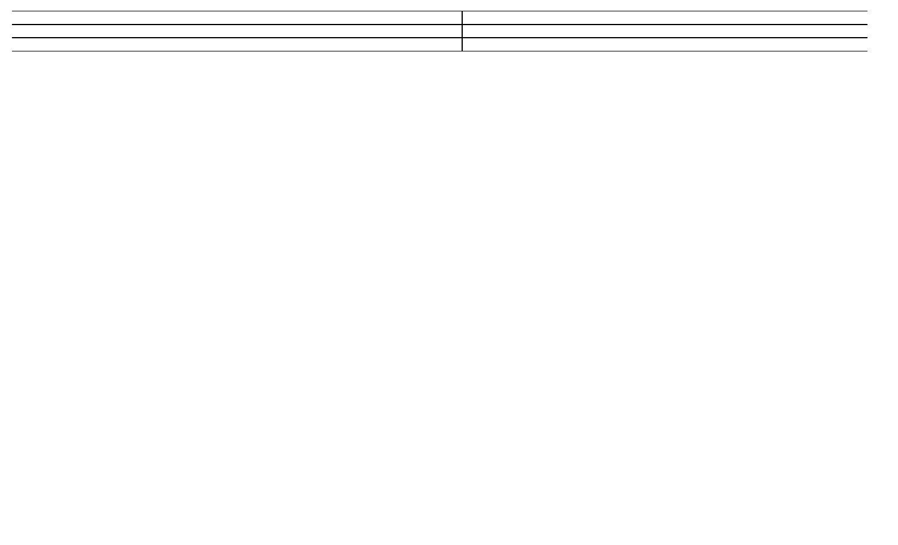| <u> 1980 - Ann an t-Aontaithe ann an t-Aontaithe ann an t-Aontaithe ann an t-Aontaithe ann an t-Aontaithe ann an t-</u> |
|-------------------------------------------------------------------------------------------------------------------------|
|                                                                                                                         |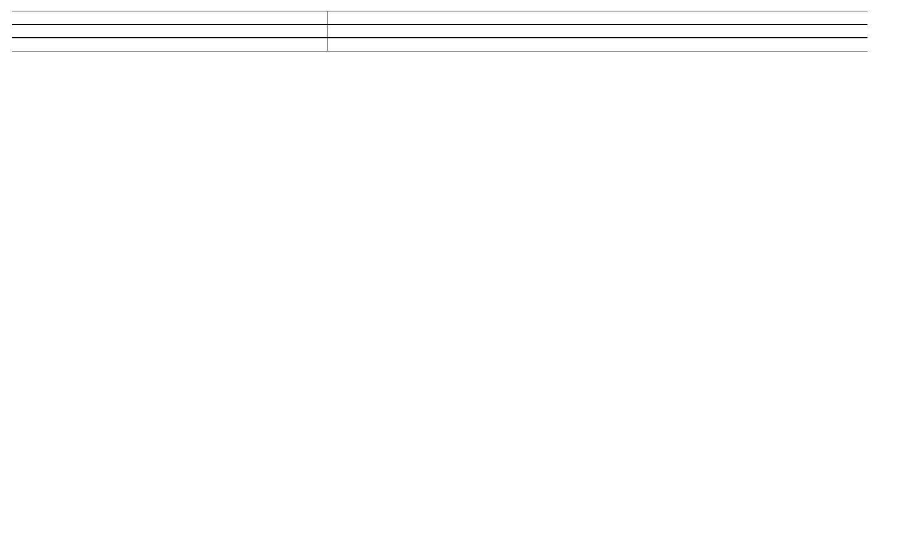| ,一个人都是一个人的人,而且,他们的人都是一个人,而且,他们的人都是一个人,而且,他们的人都是一个人,而且,他们的人都是一个人,而且,他们的人都是一个人,而且,他<br>第二十一章 一个人,他们的人都是一个人,他们的人都是一个人,他们的人都是一个人,他们的人都是一个人,他们的人都是一个人,他们的人都是一个人,他们的人都是一个人, | ,我们也不会不会。""我们的,我们也不会不会。""我们的,我们也不会不会不会。""我们的,我们也不会不会不会。""我们的,我们也不会不会不会。""我们的,我们也 |
|-----------------------------------------------------------------------------------------------------------------------------------------------------------------------|----------------------------------------------------------------------------------|
|                                                                                                                                                                       |                                                                                  |
|                                                                                                                                                                       |                                                                                  |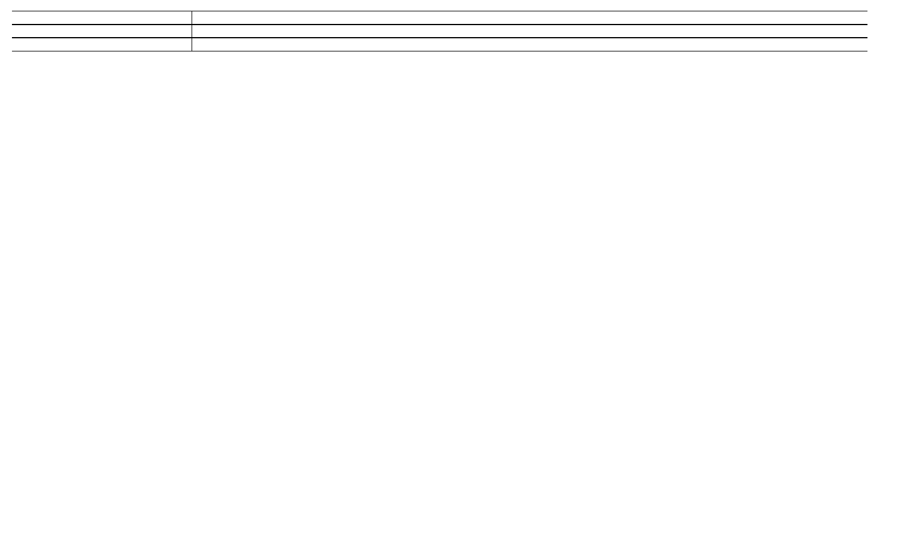| ,一个人的人都是一个人的人,而且,他们的人都是一个人的人,而且,他们的人都是一个人的人,而且,他们的人都是一个人的人,而且,他们的人都是一个人的人,而且,他们的人<br>第一百一十一章 一个人的人,他们的人都是一个人的人,他们的人都是一个人的人,他们的人都是一个人的人,他们的人都是一个人的人,他们的人都是一个人的人,他们的人都是<br>,我们就会不会不会。""我们,我们就会不会不会不会。""我们,我们就会不会不会不会不会不会。""我们,我们就会不会不会不会不会。""我们,我们就会不会不会不会不 |
|-----------------------------------------------------------------------------------------------------------------------------------------------------------------------------------------------------------------------------------------------------------|
| ,一个人都是一个人的人,而且,他们的人都是一个人,而且,他们的人都是一个人,而且,他们的人都是一个人,而且,他们的人都是一个人,而且,他们的人都是一个人,而且,他<br>第二十一章 一个人,他们的人都是一个人,他们的人都是一个人,他们的人都是一个人,他们的人都是一个人,他们的人都是一个人,他们的人都是一个人,他们的人都是一个人,                                                                                     |
|                                                                                                                                                                                                                                                           |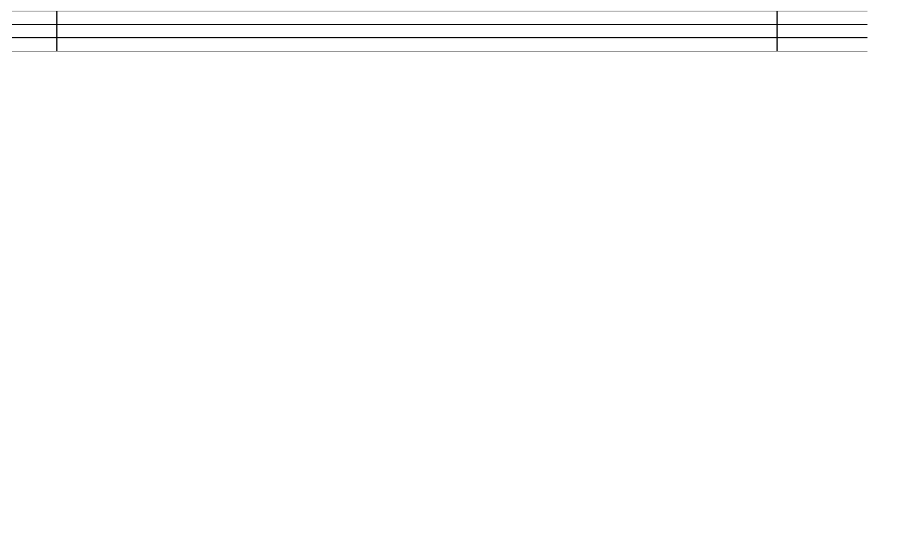| <u>та на представљен под податковата на представљен податковата на представљен податковата на представљен податк</u> |  |
|----------------------------------------------------------------------------------------------------------------------|--|
|                                                                                                                      |  |
| ,一个人都是一个人的人,一个人都是一个人的人,一个人都是一个人的人,一个人都是一个人的人,一个人都是一个人的人,一个人都是一个人的人,一个人都是一个人的人,一个人                                    |  |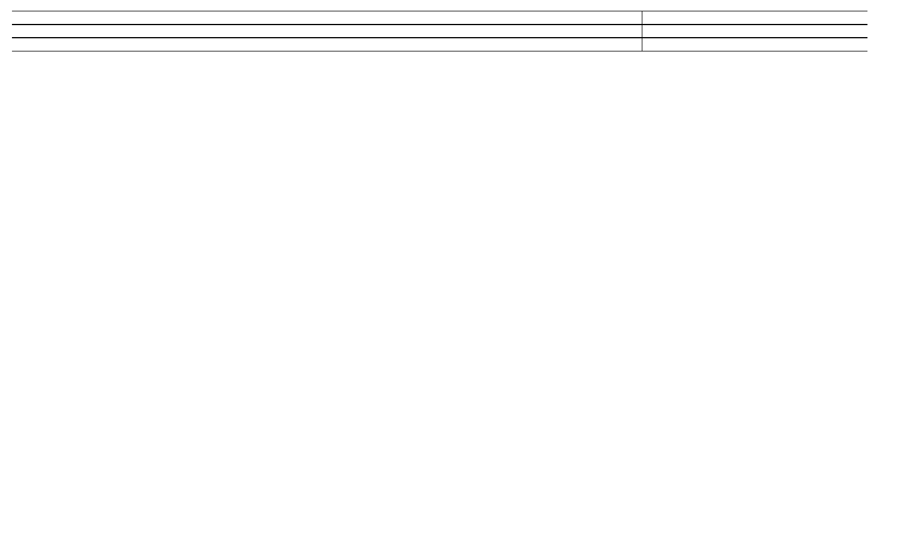| ,一个人都是一个人的人,一个人都是一个人的人,一个人都是一个人的人,一个人都是一个人的人,一个人都是一个人的人,一个人都是一个人的人,一个人都是一个人的人,一个人<br>→ South State State State State State State State State State State State State State State State State State State State State State State State State State State State State State State State State State State State St |  |
|-------------------------------------------------------------------------------------------------------------------------------------------------------------------------------------------------------------------------------------------------------------------------------------------------------------------|--|
| ,一个人的人都是一个人的人,而且,他们的人都是不是一个人的人,而且,他们的人都是不是一个人的人,而且,他们的人都是不是一个人的人,而且,他们的人都是不是一个人的<br>第一百一十一章 一个人的人,他们的人都是不是一个人的人,他们的人都是不是一个人的人,他们的人都是不是一个人的人,他们的人都是不是一个人的人,他们的人都是不是一个                                                                                                                                              |  |
| ,我们也不会不会不会。""我们的,我们也不会不会不会。""我们的,我们也不会不会不会不会不会。""我们的,我们也不会不会不会不会。""我们的,我们也不会不会不会<br>第二百一章 第二百一章 第二百一章 第二百一章 第二百一章 第二百一章 第二百一章 第二百一章 第二百一章 第二百一章 第二百一章 第二百一章 第二百一章 第二                                                                                                                                              |  |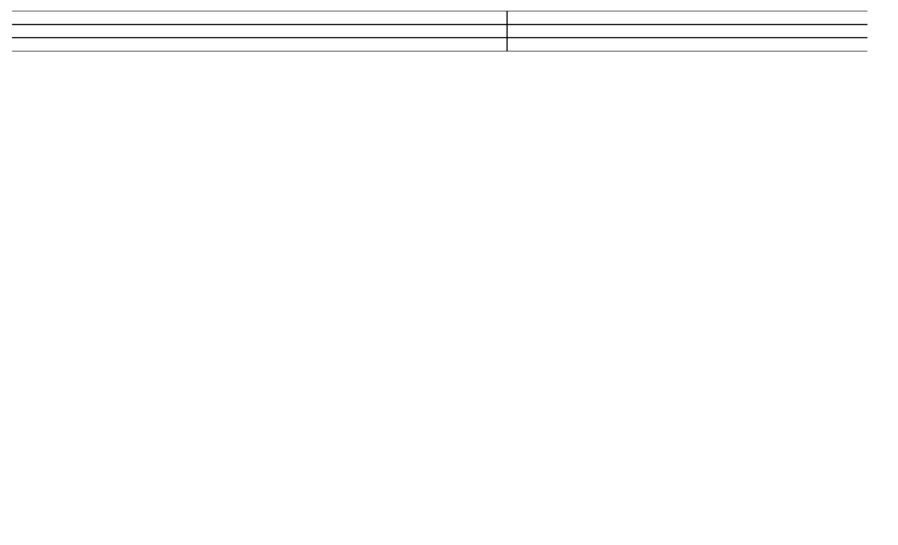| ,一个人都是一个人的人,而且,他们的人都是一个人,而且,他们的人都是一个人,而且,他们的人都是一个人,而且,他们的人都是一个人,而且,他们的人都是一个人,而且,他<br>第二十二章 第二十二章 第二十二章 第二十二章 第二十二章 第二十二章 第二十二章 第二十二章 第二十二章 第二十二章 第二十二章 第二十二章 第二十二章 第二十 |  |
|------------------------------------------------------------------------------------------------------------------------------------------------------------------------|--|
|                                                                                                                                                                        |  |
| ,一个人的人都是一个人的人,而且,他们的人都是一个人的人,而且,他们的人都是一个人的人,而且,他们的人都是一个人的人,而且,他们的人都是一个人的人,而且,他们的人                                                                                      |  |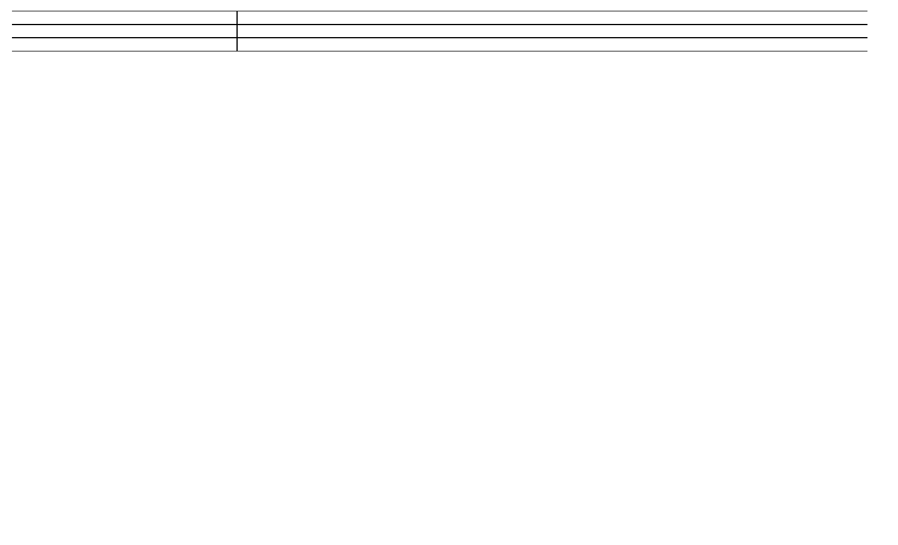| ,我们就会不会不会。""我们,我们也不会不会不会。""我们,我们也不会不会不会不会不会不会。""我们,我们也不会不会不会不会。""我们,我们也不会不会不会不会不  |
|-----------------------------------------------------------------------------------|
| ,一个人都是一个人的人,一个人都是一个人的人,一个人都是一个人的人,一个人都是一个人的人,一个人都是一个人的人,一个人都是一个人的人,一个人都是一个人的人,一个人 |
|                                                                                   |
| ,一个人都是一个人的人,而且,我们也不会不会不会。""我们,我们也不会不会不会不会。""我们,我们也不会不会不会不会。""我们,我们也不会不会不会不会。""我们, |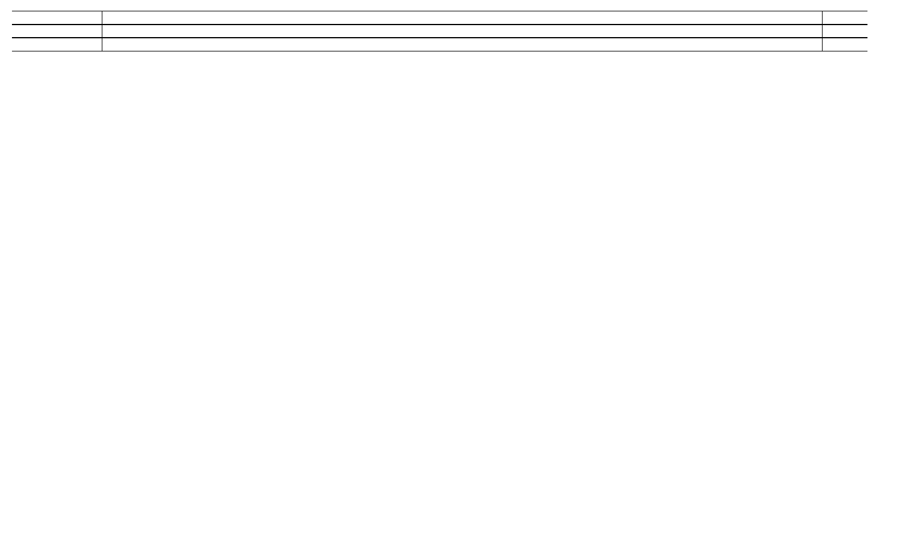| ,一个人都是一个人的人,一个人都是一个人的人,一个人都是一个人的人,一个人都是一个人的人,一个人都是一个人的人,一个人都是一个人的人,一个人都是一个人的人,一个人<br>第二十一章 一个人的人,一个人的人都是一个人的人,一个人的人都是一个人的人,一个人的人都是一个人的人,一个人的人都是一个人的人,一个人的人都是一个人的人,一个人<br>,一个人都是一个人的人,一个人都是一个人的人,一个人都是一个人的人,一个人都是一个人的人,一个人都是一个人的人,一个人都是一个人的人,一个人都是一个人的人,一个人<br>第二十一章 一个人的人,一个人的人都是一个人的人,一个人的人都是一个人的人,一个人的人都是一个人的人,一个人的人都是一个人的人,一个人的人都是一个人的人,一个人 |  |
|------------------------------------------------------------------------------------------------------------------------------------------------------------------------------------------------------------------------------------------------------------------------------------------------------------------------------------------------|--|
| ,一个人的人都是一个人的人,而且,他们的人都是一个人的人,而且,他们的人都是一个人的人,而且,他们的人都是一个人的人,而且,他们的人都是一个人的人,而且,他们的<br>第一百一十一章 一个人的人,他们的人都是一个人的人,他们的人都是一个人的人,他们的人都是一个人的人,他们的人都是一个人的人,他们的人都是一个人的人,他们的人都是                                                                                                                                                                           |  |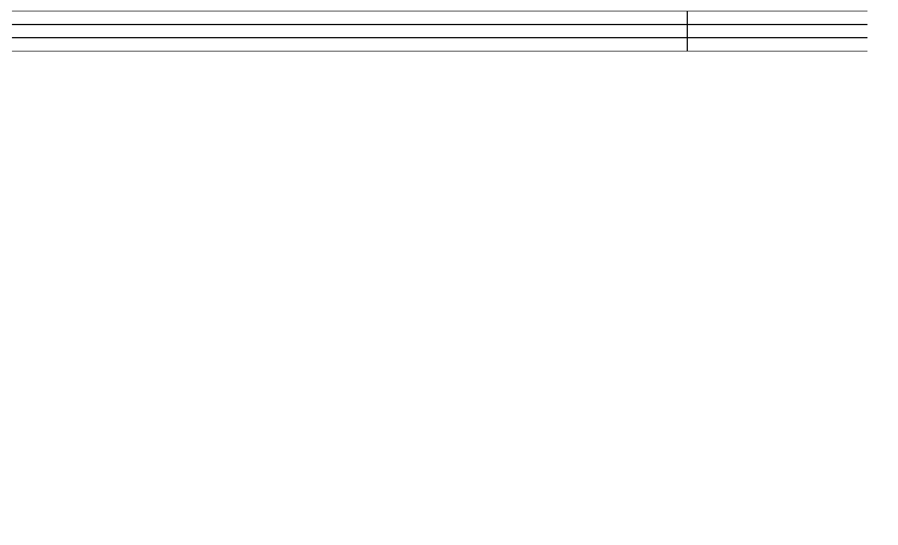| ,我们也不会不会不会。""我们的,我们也不会不会不会。""我们的,我们也不会不会不会不会不会。""我们的,我们也不会不会不会不会。""我们的,我们也不会不会不会  |  |
|-----------------------------------------------------------------------------------|--|
| ,一个人的人都是一个人的人,而且,他们的人都是一个人的人,而且,他们的人都是一个人的人,而且,他们的人都是一个人的人,而且,他们的人都是一个人的人,而且,他们的人 |  |
|                                                                                   |  |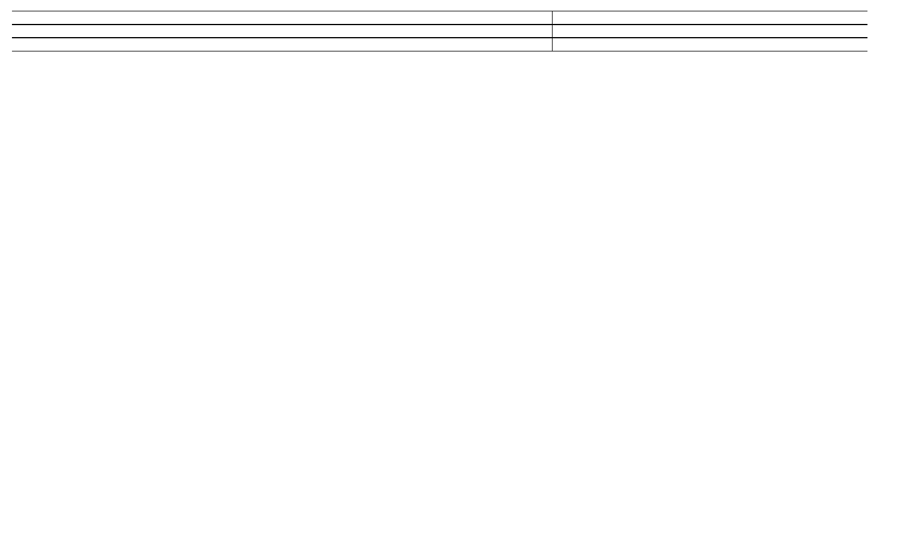| → 中国的 → 中国的 → 中国的 → 中国的 → 中国的 → 中国的 → 中国的 → 中国的 → 中国的 → 中国的 → 中国的 → 中国的 → 中国的 → 中国的 → 中国的 → 中国的 → 中国的 → 中国的 → 中国 |  |
|------------------------------------------------------------------------------------------------------------------|--|
|                                                                                                                  |  |
|                                                                                                                  |  |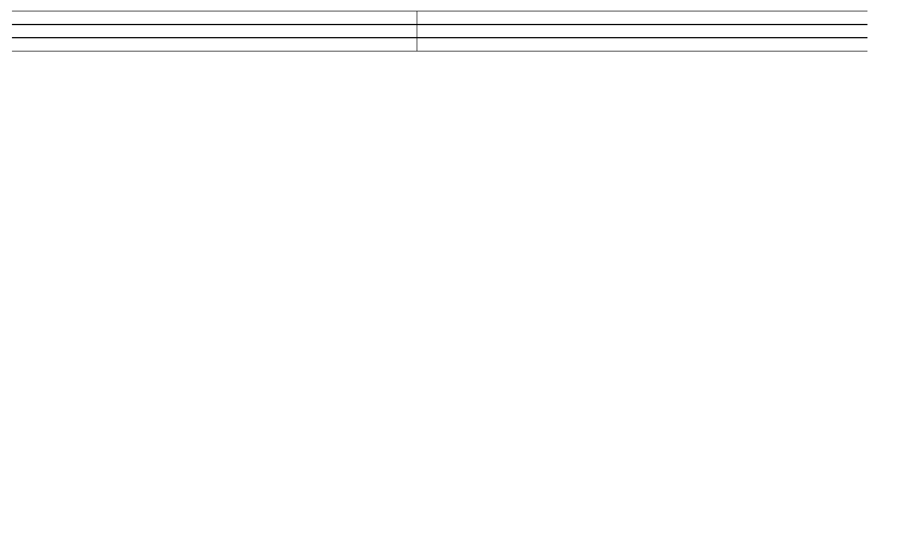| ,我们就会不会不会。""我们,我们就会不会不会不会,我们就会不会不会不会。""我们,我们就会不会不会不会。""我们,我们就会不会不会不会。""我们,我们就会不会 |                                                                                   |
|----------------------------------------------------------------------------------|-----------------------------------------------------------------------------------|
|                                                                                  | ,我们也不会不会不会。""我们的,我们也不会不会不会。""我们的,我们也不会不会不会不会。""我们的,我们也不会不会不会不会。""我们的,我们也不会不会不会不会  |
|                                                                                  | ,我们就会不会不会。""我们,我们就会不会不会,我们就会不会不会,我们就会不会不会。""我们,我们就会不会不会。""我们,我们就会不会不会不会。""我们,我们就会 |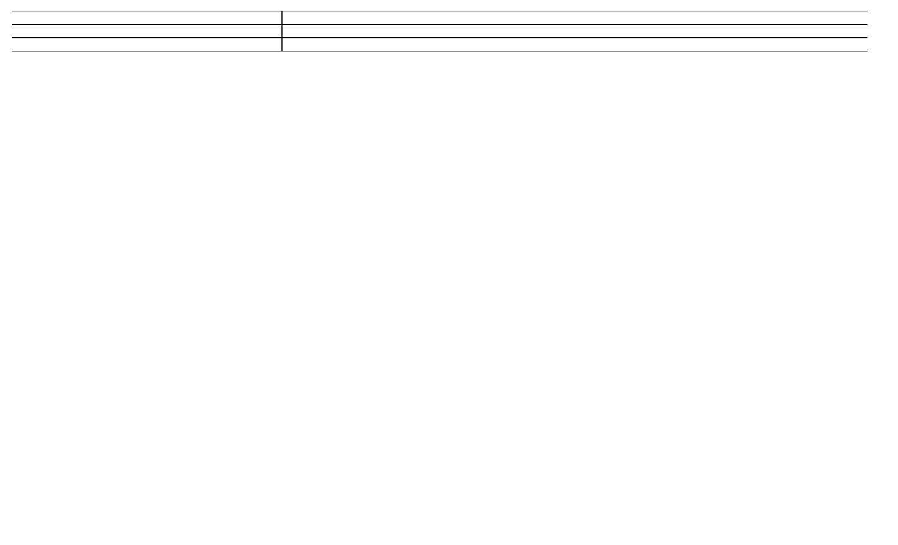| ,他们的人们就会在这里,他们的人们就会在这里,他们的人们就会在这里,他们的人们就会在这里,他们的人们就会在这里,他们的人们就会在这里,他们的人们就会在这里,他们<br>第251章 我们的人们的人们,我们的人们的人们的人们,我们的人们的人们的人们,我们的人们的人们的人们,我们的人们的人们的人们,我们的人们的人们的人们,我们的人们 |
|----------------------------------------------------------------------------------------------------------------------------------------------------------------------|
|                                                                                                                                                                      |
|                                                                                                                                                                      |
|                                                                                                                                                                      |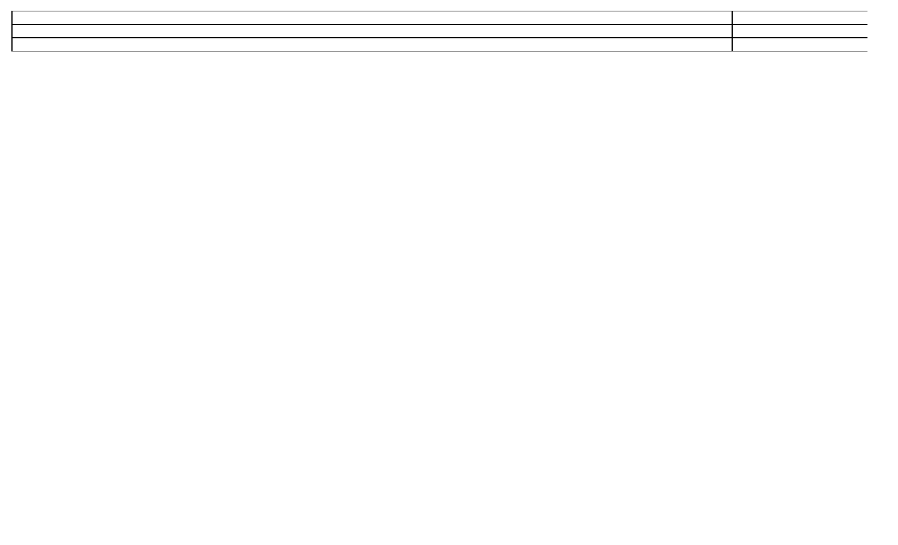| ,他们的人们就是一个人,他们的人们就是一个人,他们的人们,他们的人们就是一个人,他们的人们,他们的人们就是一个人,他们的人们,他们的人们,他们的人们,他们的人们,<br>第25章 我们的人们,他们的人们,他们的人们,他们的人们,他们的人们,他们的人们,他们的人们,他们的人们,他们的人们,他们的人们,他们的人们,他们的人们,他们的 |  |
|-----------------------------------------------------------------------------------------------------------------------------------------------------------------------|--|
| ,一个人都是一个人的人,而且,他们的人都是一个人,而且,他们的人都是一个人,而且,他们的人都是一个人,而且,他们的人都是一个人,而且,他们的人都是一个人,而且,他<br>第二百一十一章 一个人,他们的人都是一个人,他们的人都是一个人,他们的人都是一个人,他们的人都是一个人,他们的人都是一个人,他们的人都是一个人,他们的人都是一个 |  |
| ,一个人都是一个人的人,而且,他们的人都是一个人,他们的人都是一个人,他们的人都是一个人,他们的人都是一个人,他们的人都是一个人,他们的人都是一个人,他们的人都是                                                                                     |  |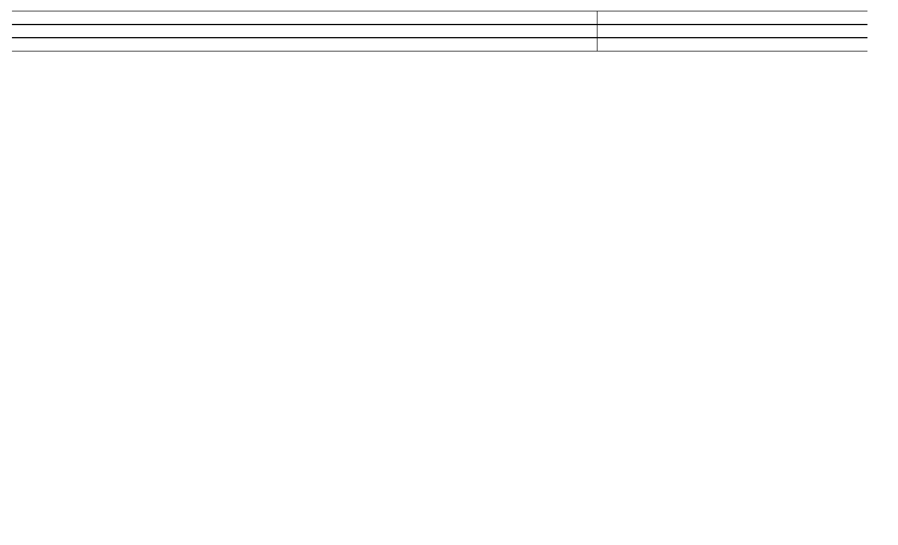| ,一个人都是一个人的人,而且,我们也不会不会不会。""我们,我们也不会不会不会不会不会不会不会不会。""我们,我们也不会不会不会不会不会不会不会不会。""我们,我<br>,他们的人们也不会不会。""我们的人们,我们也不会不会不会。""我们的人们,我们也不会不会不会。""我们的人们,我们也不会不会不会。""我们的人们,我们也不会不 |  |
|-----------------------------------------------------------------------------------------------------------------------------------------------------------------------|--|
| ,我们也不会不会不会。""我们的,我们也不会不会不会。""我们的,我们也不会不会不会不会。""我们的,我们也不会不会不会不会。""我们的,我们也不会不会不会不会                                                                                      |  |
|                                                                                                                                                                       |  |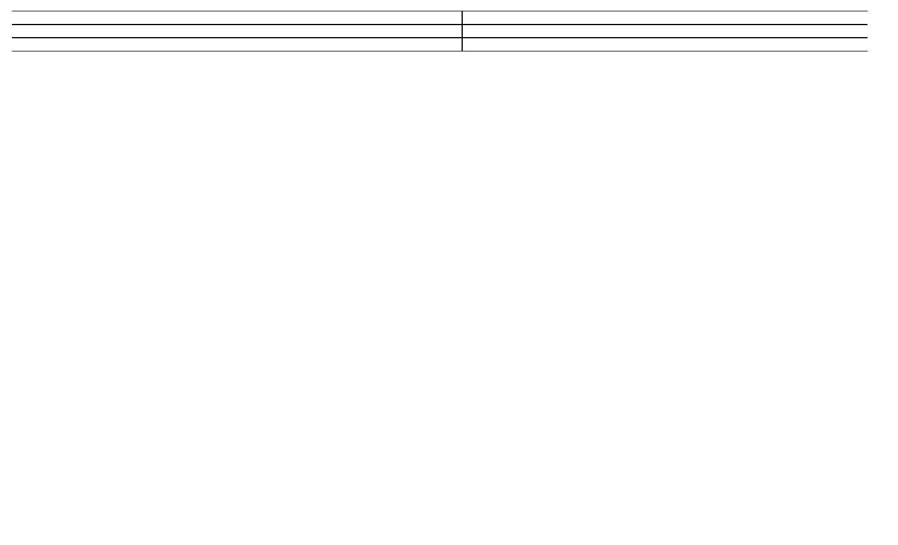| <u> 1980 - Ann an t-Aontaithe ann an t-Aontaithe ann an t-Aontaithe ann an t-Aontaithe ann an t-Aontaithe ann an t-</u> |
|-------------------------------------------------------------------------------------------------------------------------|
|                                                                                                                         |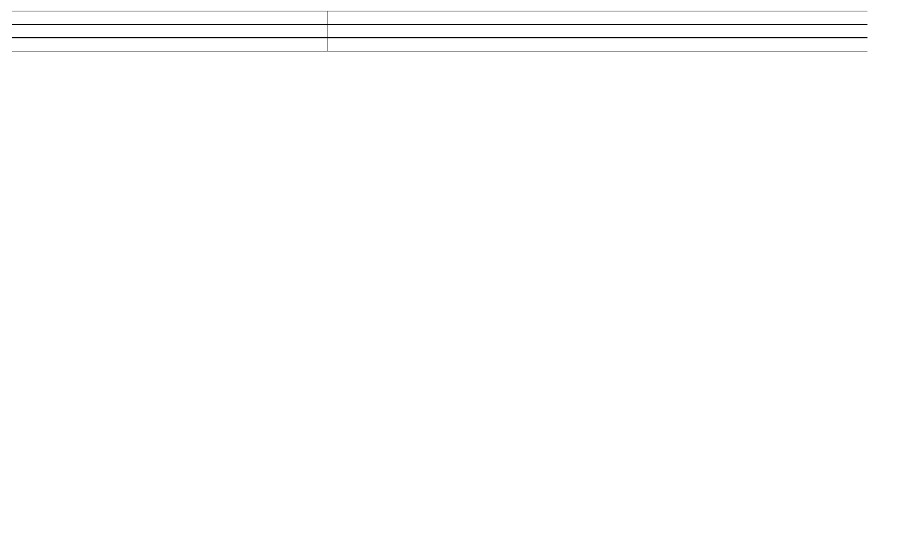| ,一个人都是一个人的人,而且,他们的人都是一个人,而且,他们的人都是一个人,而且,他们的人都是一个人,而且,他们的人都是一个人,而且,他们的人都是一个人,而且,他<br>第二十一章 一个人,他们的人都是一个人,他们的人都是一个人,他们的人都是一个人,他们的人都是一个人,他们的人都是一个人,他们的人都是一个人,他们的人都是一个人, | ,我们也不会不会。""我们的,我们也不会不会。""我们的,我们也不会不会不会。""我们的,我们也不会不会不会。""我们的,我们也不会不会不会。""我们的,我们也 |
|-----------------------------------------------------------------------------------------------------------------------------------------------------------------------|----------------------------------------------------------------------------------|
|                                                                                                                                                                       |                                                                                  |
|                                                                                                                                                                       |                                                                                  |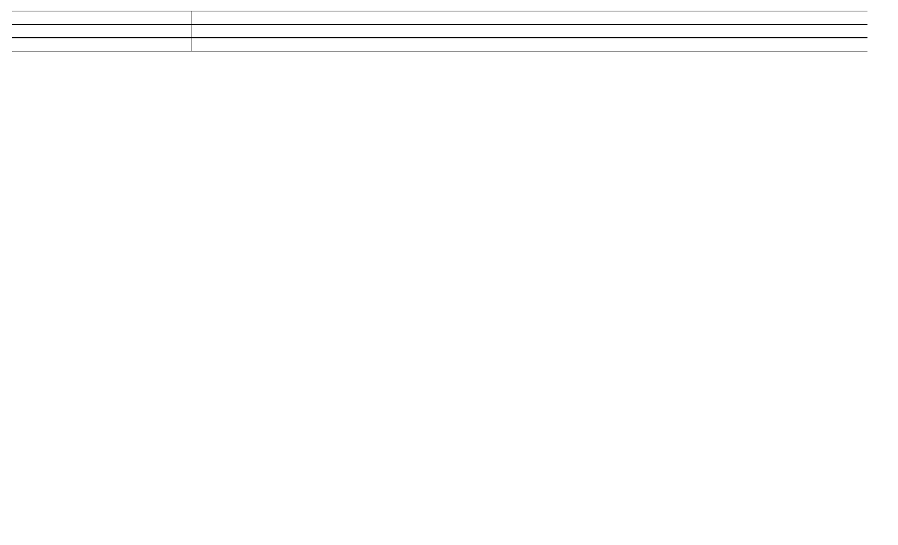| ,一个人的人都是一个人的人,而且,他们的人都是一个人的人,而且,他们的人都是一个人的人,而且,他们的人都是一个人的人,而且,他们的人都是一个人的人,而且,他们的人<br>第一百一十一章 一个人的人,他们的人都是一个人的人,他们的人都是一个人的人,他们的人都是一个人的人,他们的人都是一个人的人,他们的人都是一个人的人,他们的人都是<br>,我们就会不会不会。""我们,我们就会不会不会不会。""我们,我们就会不会不会不会不会不会。""我们,我们就会不会不会不会不会。""我们,我们就会不会不会不会不 |
|-----------------------------------------------------------------------------------------------------------------------------------------------------------------------------------------------------------------------------------------------------------|
| ,一个人都是一个人的人,而且,他们的人都是一个人,而且,他们的人都是一个人,而且,他们的人都是一个人,而且,他们的人都是一个人,而且,他们的人都是一个人,而且,他<br>第二十一章 一个人,他们的人都是一个人,他们的人都是一个人,他们的人都是一个人,他们的人都是一个人,他们的人都是一个人,他们的人都是一个人,他们的人都是一个人,                                                                                     |
|                                                                                                                                                                                                                                                           |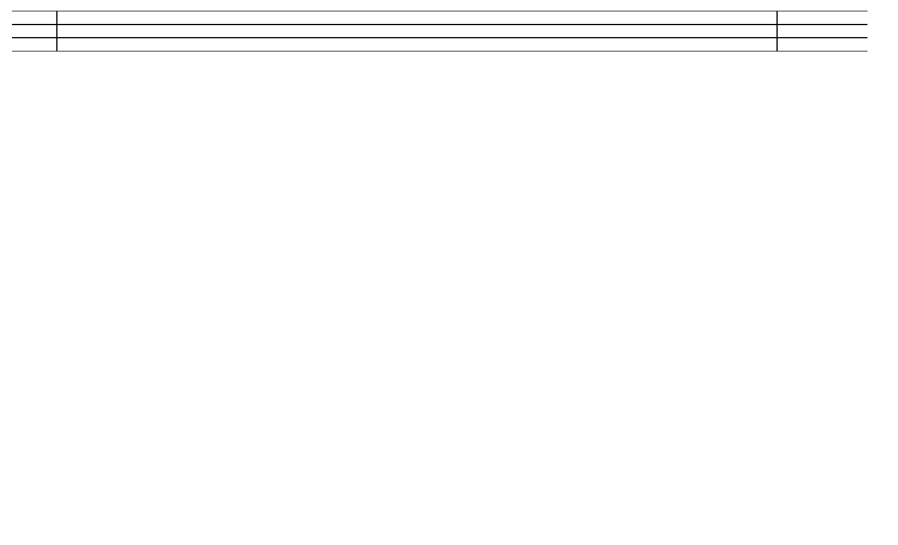| <u>та на представљен под податковата на представљен податковата на представљен податковата на представљен податк</u> |  |
|----------------------------------------------------------------------------------------------------------------------|--|
|                                                                                                                      |  |
| ,一个人都是一个人的人,一个人都是一个人的人,一个人都是一个人的人,一个人都是一个人的人,一个人都是一个人的人,一个人都是一个人的人,一个人都是一个人的人,一个人                                    |  |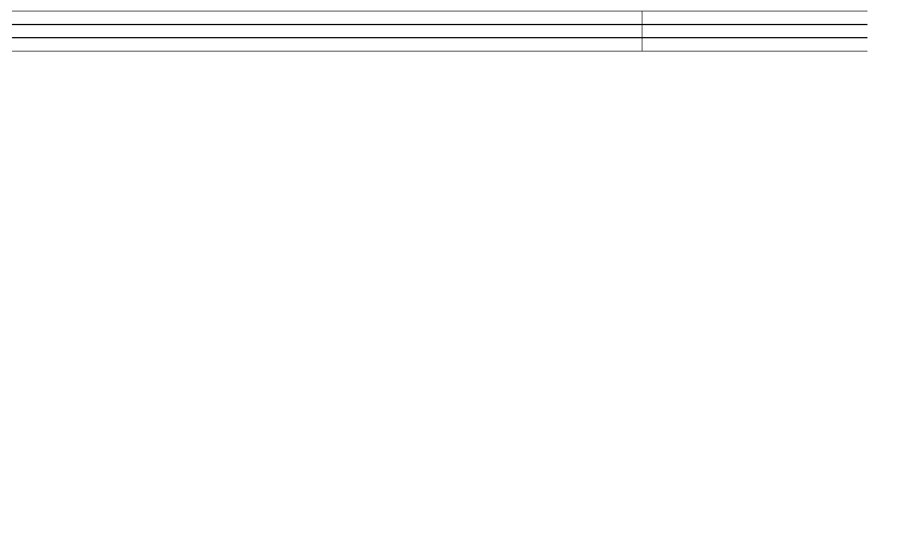| ,一个人都是一个人的人,一个人都是一个人的人,一个人都是一个人的人,一个人都是一个人的人,一个人都是一个人的人,一个人都是一个人的人,一个人都是一个人的人,一个人<br>→ South State State State State State State State State State State State State State State State State State State State State State State State State State State State State State State State State State State State St |  |
|-------------------------------------------------------------------------------------------------------------------------------------------------------------------------------------------------------------------------------------------------------------------------------------------------------------------|--|
| ,一个人的人都是一个人的人,而且,他们的人都是不能的。""我们的人,我们的人都是不能的人,我们的人都是不能的人,我们的人都是不能的人,我们的人都是不能的人,我们的<br>第一百一十一章 一个人的人,我们的人都是不能的人,我们的人都是不能的人,我们的人都是不能的人,我们的人都是不能的人,我们的人都是不能的人,我们的人都是不能的人,                                                                                                                                             |  |
| ,我们也不会不会不会。""我们的,我们也不会不会不会。""我们的,我们也不会不会不会不会不会。""我们的,我们也不会不会不会不会。""我们的,我们也不会不会不会<br>第二百一章 第二百一章 第二百一章 第二百一章 第二百一章 第二百一章 第二百一章 第二百一章 第二百一章 第二百一章 第二百一章 第二百一章 第二百一章 第二                                                                                                                                              |  |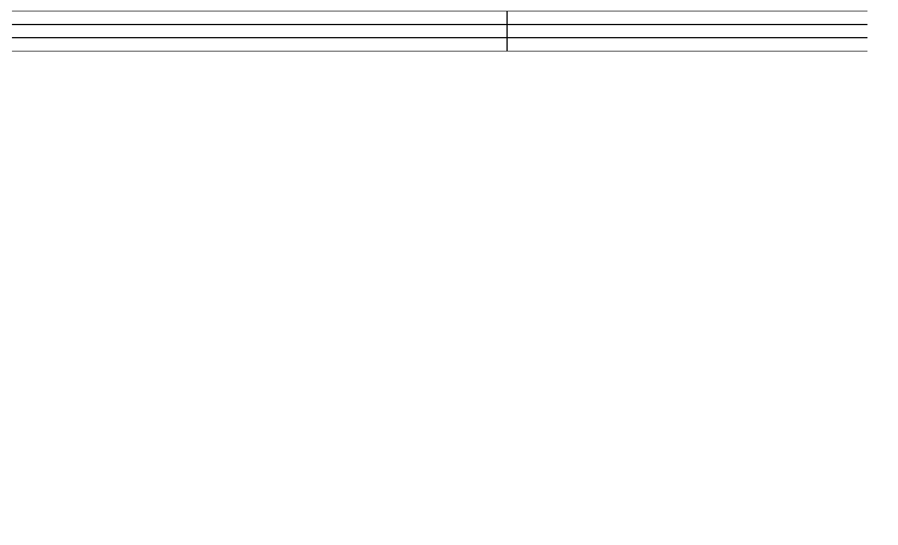| ,一个人都是一个人的人,而且,他们的人都是一个人,而且,他们的人都是一个人,而且,他们的人都是一个人,而且,他们的人都是一个人,而且,他们的人都是一个人,而且,他<br>第二十二章 第二十二章 第二十二章 第二十二章 第二十二章 第二十二章 第二十二章 第二十二章 第二十二章 第二十二章 第二十二章 第二十二章 第二十二章 第二十 |  |
|------------------------------------------------------------------------------------------------------------------------------------------------------------------------|--|
|                                                                                                                                                                        |  |
| ,一个人的人都是一个人的人,而且,他们的人都是一个人的人,而且,他们的人都是一个人的人,而且,他们的人都是一个人的人,而且,他们的人都是一个人的人,而且,他们的人                                                                                      |  |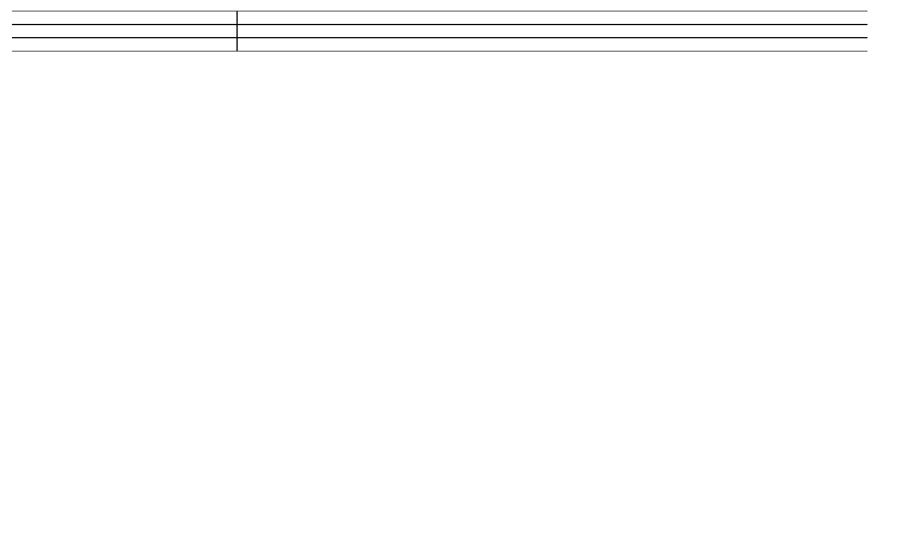| ,我们就会不会不会。""我们,我们也不会不会不会。""我们,我们也不会不会不会不会不会不会。""我们,我们也不会不会不会不会。""我们,我们也不会不会不会不会不  |
|-----------------------------------------------------------------------------------|
| ,一个人都是一个人的人,一个人都是一个人的人,一个人都是一个人的人,一个人都是一个人的人,一个人都是一个人的人,一个人都是一个人的人,一个人都是一个人的人,一个人 |
|                                                                                   |
| ,一个人都是一个人的人,而且,我们也不会不会不会。""我们,我们也不会不会不会不会。""我们,我们也不会不会不会不会。""我们,我们也不会不会不会不会。""我们, |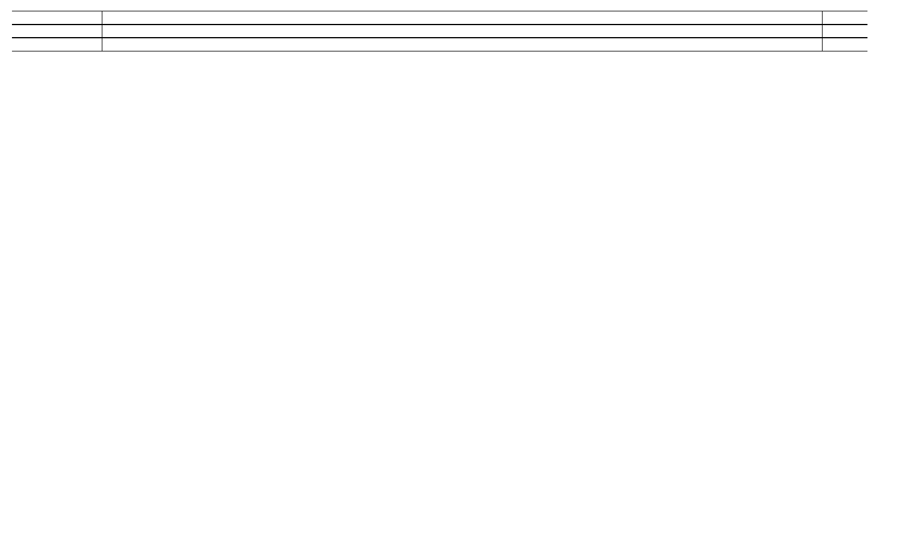| ,一个人都是一个人的人,一个人都是一个人的人,一个人都是一个人的人,一个人都是一个人的人,一个人都是一个人的人,一个人都是一个人的人,一个人都是一个人的人,一个人<br>第二十一章 一个人的人,一个人的人都是一个人的人,一个人的人都是一个人的人,一个人的人都是一个人的人,一个人的人都是一个人的人,一个人的人都是一个人的人,一个人<br>,一个人都是一个人的人,一个人都是一个人的人,一个人都是一个人的人,一个人都是一个人的人,一个人都是一个人的人,一个人都是一个人的人,一个人都是一个人的人,一个人<br>第二十一章 一个人的人,一个人都是一个人的人,一个人都是一个人的人,一个人都是一个人的人,一个人都是一个人的人,一个人都是一个人的人,一个人都是一个人的人,一个 |  |
|------------------------------------------------------------------------------------------------------------------------------------------------------------------------------------------------------------------------------------------------------------------------------------------------------------------------------------------------|--|
| ,一个人的人都是一个人的人,而且,他们的人都是一个人的人,而且,他们的人都是一个人的人,而且,他们的人都是一个人的人,而且,他们的人都是一个人的人,而且,他们的<br>第一百一十一章 一个人的人,他们的人都是一个人的人,他们的人都是一个人的人,他们的人都是一个人的人,他们的人都是一个人的人,他们的人都是一个人的人,他们的人都是                                                                                                                                                                           |  |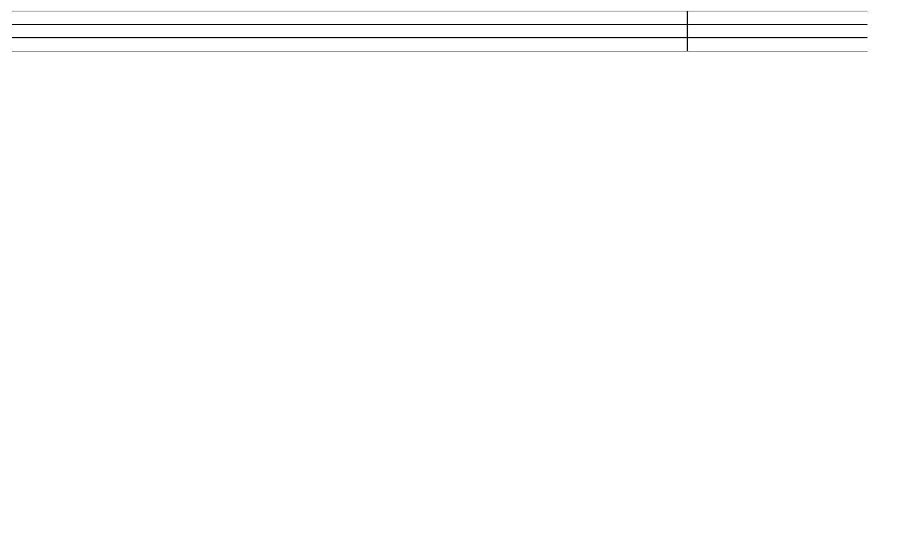| ,我们就会不会不会。""我们,我们也不会不会不会。""我们,我们也不会不会不会不会不会不会不会。""我们,我们也不会不会不会不会不会。""我们,我们也不会不会不 |  |
|----------------------------------------------------------------------------------|--|
| ,一个人的人都是一个人的人,而且,我们也不会不会不会。""我们,我们也不会不会不会不会不会不会。""我们,我们也不会不会不会不会。""我们,我们也不会不会不会不 |  |
|                                                                                  |  |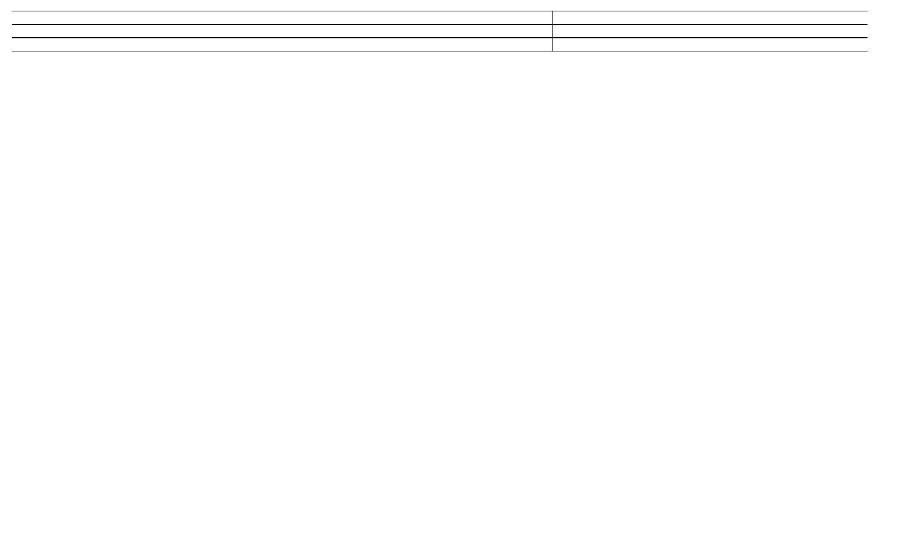| → 中国的 → 中国的 → 中国的 → 中国的 → 中国的 → 中国的 → 中国的 → 中国的 → 中国的 → 中国的 → 中国的 → 中国的 → 中国的 → 中国的 → 中国的 → 中国的 → 中国的 → 中国的 → 中国 |  |
|------------------------------------------------------------------------------------------------------------------|--|
|                                                                                                                  |  |
|                                                                                                                  |  |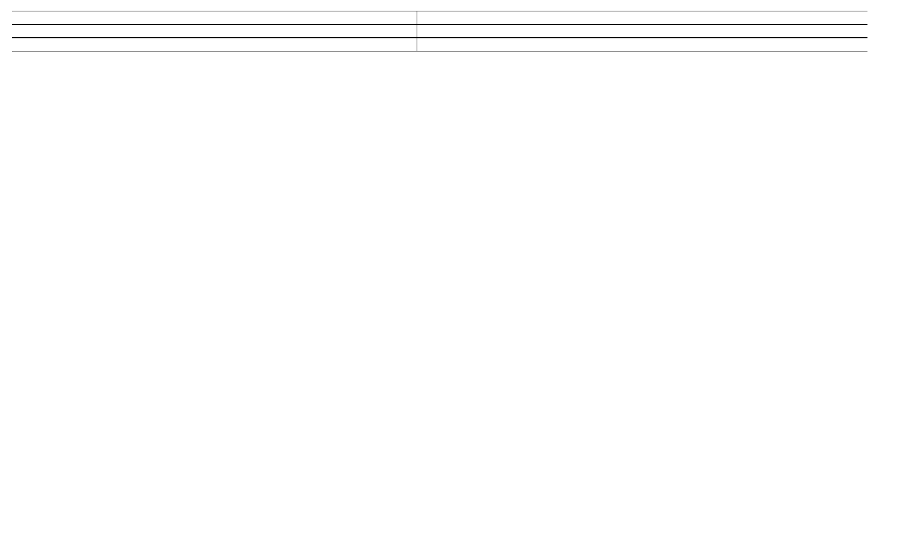| ,我们就会不会不会。""我们,我们就会不会不会不会,我们就会不会不会不会。""我们,我们就会不会不会不会。""我们,我们就会不会不会不会。""我们,我们就会不会 |                                                                                   |
|----------------------------------------------------------------------------------|-----------------------------------------------------------------------------------|
|                                                                                  | ,我们也不会不会不会。""我们的,我们也不会不会不会。""我们的,我们也不会不会不会不会。""我们的,我们也不会不会不会不会。""我们的,我们也不会不会不会不会  |
|                                                                                  | ,我们就会不会不会。""我们,我们就会不会不会,我们就会不会不会,我们就会不会不会。""我们,我们就会不会不会。""我们,我们就会不会不会不会。""我们,我们就会 |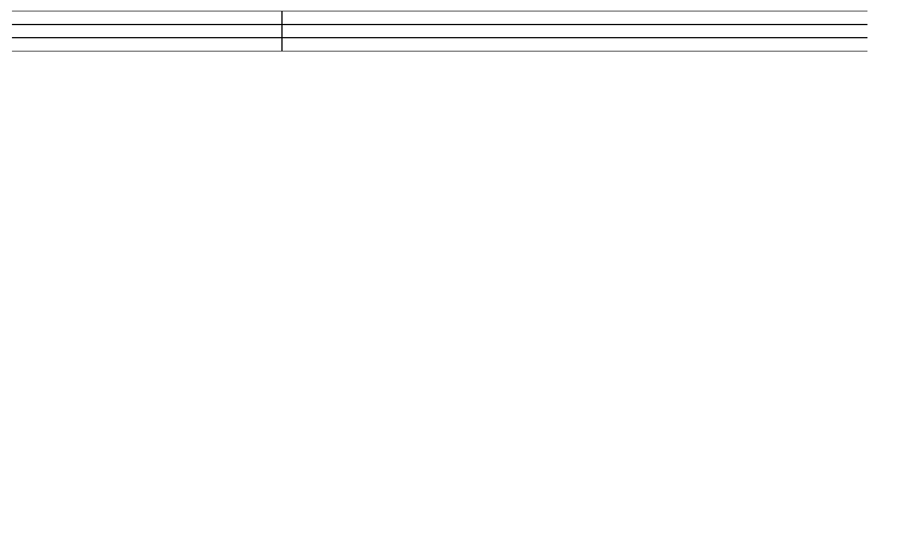| ,一个人都是一个人的人,我们就是一个人的人,我们就是一个人的人,我们就是一个人的人,我们就是一个人的人,我们就是一个人的人,我们就是一个人的人,我们就是一个人的<br>第一百一十一章 一个人的人,我们就是一个人的人,我们就是一个人的人,我们就是一个人的人,我们就是一个人的人,我们就是一个人的人,我们就是一个人的人,我们就是一个 |
|----------------------------------------------------------------------------------------------------------------------------------------------------------------------|
|                                                                                                                                                                      |
|                                                                                                                                                                      |
|                                                                                                                                                                      |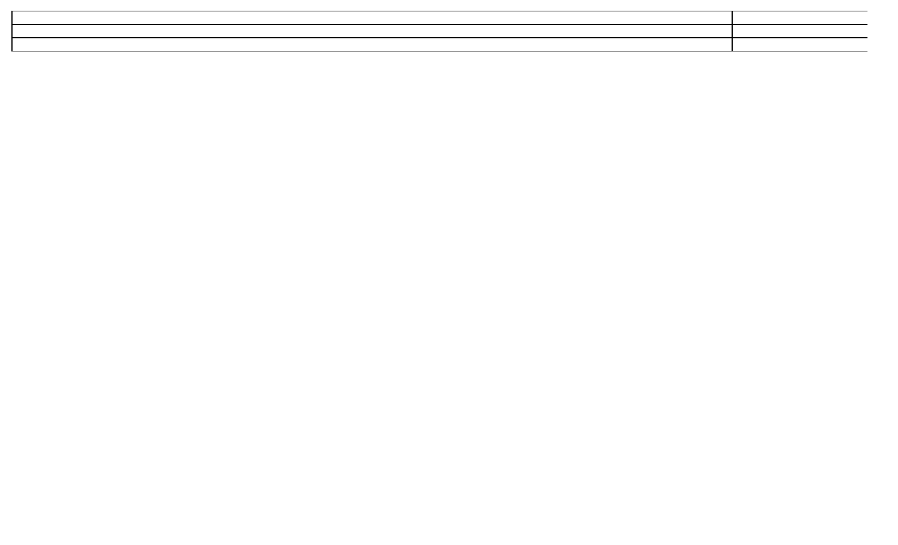| ,他们的人们就是一个人,他们的人们就是一个人,他们的人们,他们的人们就是一个人,他们的人们,他们的人们就是一个人,他们的人们,他们的人们,他们的人们,他们的人们,<br>第25章 我们的人们,他们的人们,他们的人们,他们的人们,他们的人们,他们的人们,他们的人们,他们的人们,他们的人们,他们的人们,他们的人们,他们的人们,他们的 |  |
|-----------------------------------------------------------------------------------------------------------------------------------------------------------------------|--|
| ,一个人都是一个人的人,而且,他们的人都是一个人,而且,他们的人都是一个人,而且,他们的人都是一个人,而且,他们的人都是一个人,而且,他们的人都是一个人,而且,他<br>第二百一十一章 一个人,他们的人都是一个人,他们的人都是一个人,他们的人都是一个人,他们的人都是一个人,他们的人都是一个人,他们的人都是一个人,他们的人都是一个 |  |
| ,一个人都是一个人的人,而且,他们的人都是一个人,他们的人都是一个人,他们的人都是一个人,他们的人都是一个人,他们的人都是一个人,他们的人都是一个人,他们的人都是                                                                                     |  |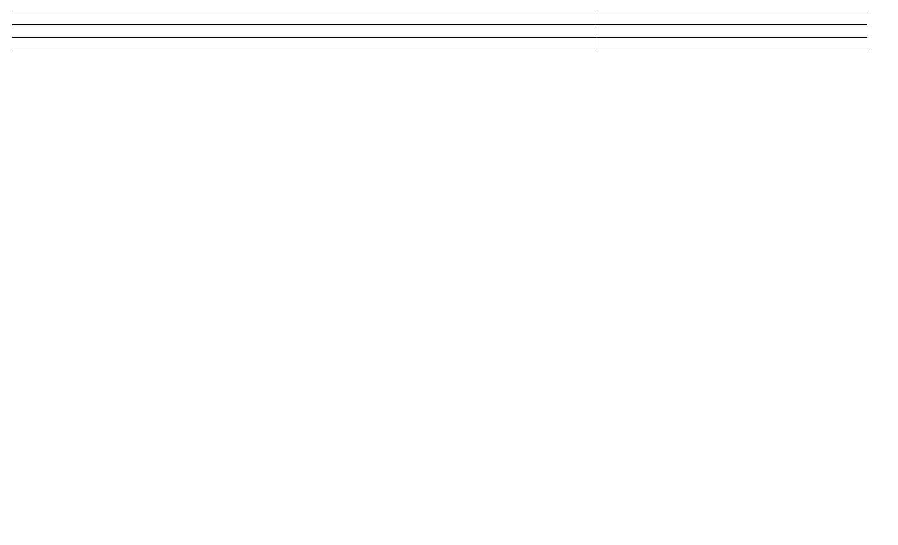| ,一个人都是一个人的人,而且,我们也不会不会不会。""我们,我们也不会不会不会不会不会不会不会不会。""我们,我们也不会不会不会不会不会不会不会不会。""我们,我<br>,他们的人们也不会不会。""我们的人们,我们也不会不会不会。""我们的人们,我们也不会不会不会。""我们的人们,我们也不会不会不会。""我们的人们,我们也不会不 |  |
|-----------------------------------------------------------------------------------------------------------------------------------------------------------------------|--|
| ,我们也不会不会不会。""我们的,我们也不会不会不会。""我们的,我们也不会不会不会不会。""我们的,我们也不会不会不会不会。""我们的,我们也不会不会不会不会                                                                                      |  |
|                                                                                                                                                                       |  |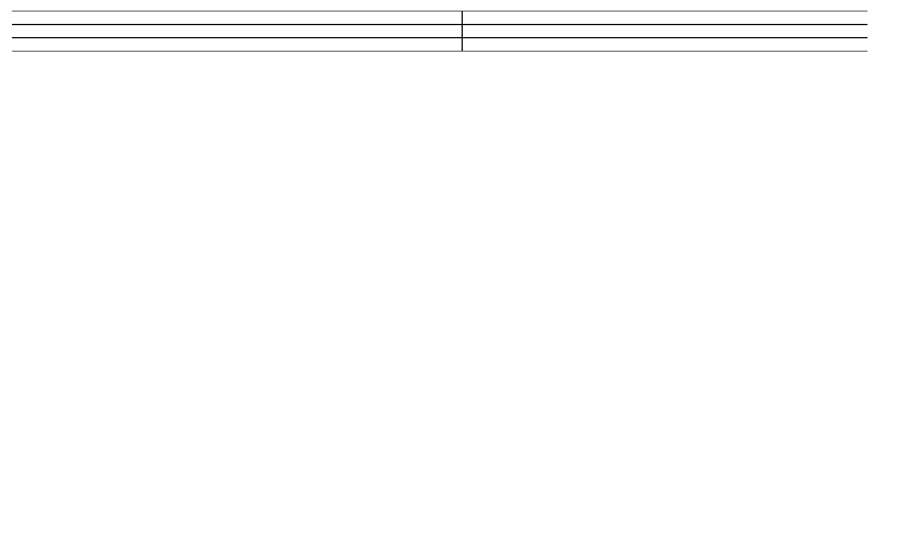| <u> 2001 - An t-An Aontaithe ann an t-Aontaithe ann an t-Aontaithe ann an t-Aontaithe ann an t-Aontaithe ann an t-</u> |
|------------------------------------------------------------------------------------------------------------------------|
|                                                                                                                        |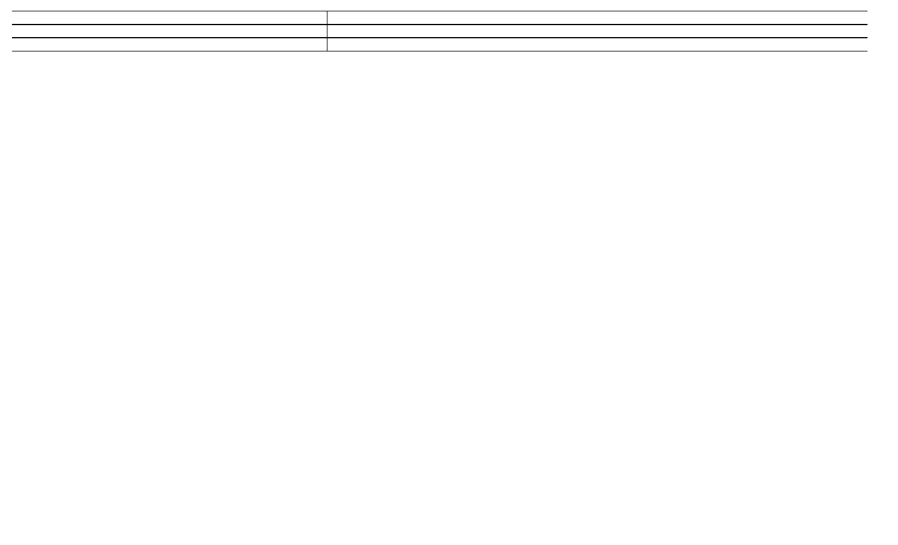| ,一个人都是一个人的人,而且,他们的人都是一个人,而且,他们的人都是一个人,而且,他们的人都是一个人,而且,他们的人都是一个人,而且,他们的人都是一个人,而且,他<br>第二十一章 一个人,他们的人都是一个人,他们的人都是一个人,他们的人都是一个人,他们的人都是一个人,他们的人都是一个人,他们的人都是一个人,他们的人都是一个人, | ,我们也不会不会。""我们的,我们也不会不会。""我们的,我们也不会不会不会。""我们的,我们也不会不会不会。""我们的,我们也不会不会不会。""我们的,我们也 |
|-----------------------------------------------------------------------------------------------------------------------------------------------------------------------|----------------------------------------------------------------------------------|
|                                                                                                                                                                       |                                                                                  |
|                                                                                                                                                                       |                                                                                  |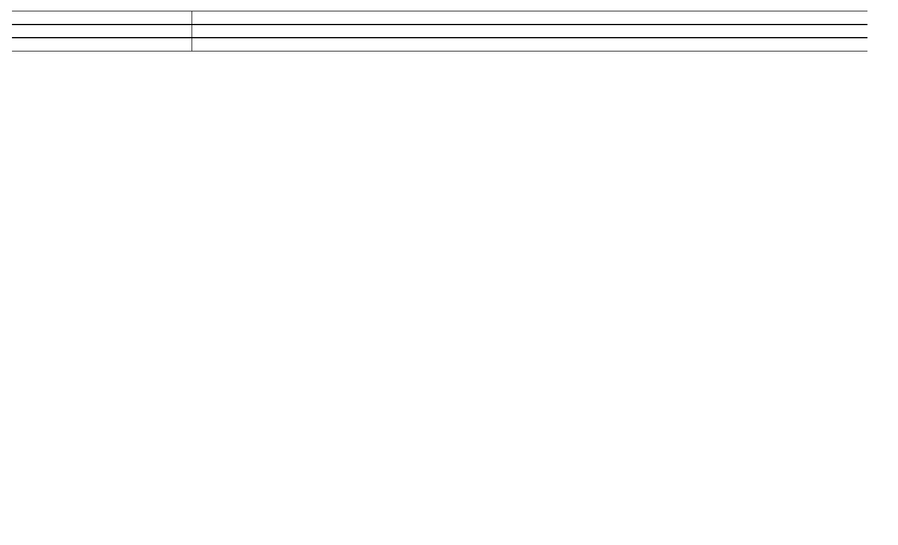| ,一个人的人都是一个人的人,而且,他们的人都是一个人的人,而且,他们的人都是一个人的人,而且,他们的人都是一个人的人,而且,他们的人都是一个人的人,而且,他们的人<br>第一百一十一章 一个人的人,他们的人都是一个人的人,他们的人都是一个人的人,他们的人都是一个人的人,他们的人都是一个人的人,他们的人都是一个人的人,他们的人都是<br>,我们就会不会不会。""我们,我们就会不会不会不会。""我们,我们就会不会不会不会不会不会。""我们,我们就会不会不会不会不会。""我们,我们就会不会不会不会不 |
|-----------------------------------------------------------------------------------------------------------------------------------------------------------------------------------------------------------------------------------------------------------|
| ,一个人都是一个人的人,而且,他们的人都是一个人,而且,他们的人都是一个人,而且,他们的人都是一个人,而且,他们的人都是一个人,而且,他们的人都是一个人,而且,他<br>第二十一章 一个人,他们的人都是一个人,他们的人都是一个人,他们的人都是一个人,他们的人都是一个人,他们的人都是一个人,他们的人都是一个人,他们的人都是一个人,                                                                                     |
|                                                                                                                                                                                                                                                           |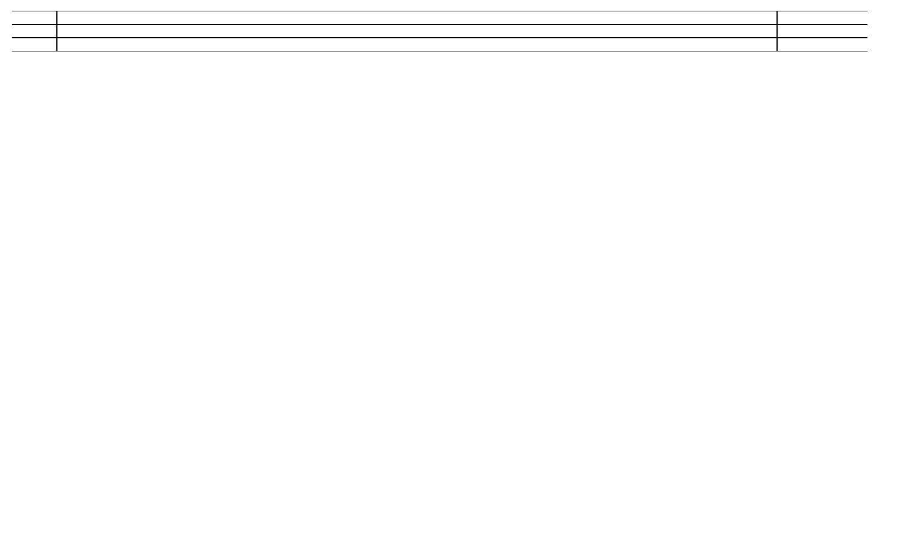| <u>та на представљен под податковата на представљен податковата на представљен податковата на представљен податк</u> |  |
|----------------------------------------------------------------------------------------------------------------------|--|
|                                                                                                                      |  |
| ,一个人都是一个人的人,一个人都是一个人的人,一个人都是一个人的人,一个人都是一个人的人,一个人都是一个人的人,一个人都是一个人的人,一个人都是一个人的人,一个人                                    |  |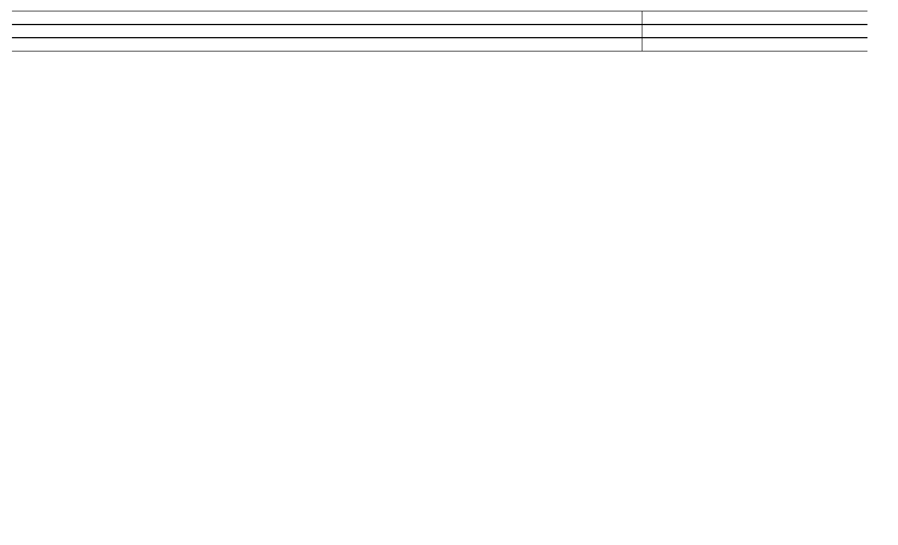| ,一个人都是一个人的人,一个人都是一个人的人,一个人都是一个人的人,一个人都是一个人的人,一个人都是一个人的人,一个人都是一个人的人,一个人都是一个人的人,一个人<br>→ South State State State State State State State State State State State State State State State State State State State State State State State State State State State State State State State State State State State St |  |
|-------------------------------------------------------------------------------------------------------------------------------------------------------------------------------------------------------------------------------------------------------------------------------------------------------------------|--|
| ,一个人的人都是一个人的人,而且,他们的人都是不是一个人的人,而且,他们的人都是不是一个人的人,而且,他们的人都是不是一个人的人,而且,他们的人都是不是一个人的<br>第一百一十一章 一个人的人,他们的人都是不是一个人的人,他们的人都是不是一个人的人,他们的人都是不是一个人的人,他们的人都是不是一个人的人,他们的人都是不是一个                                                                                                                                              |  |
| ,我们也不会不会不会。""我们的,我们也不会不会不会。""我们的,我们也不会不会不会不会不会。""我们的,我们也不会不会不会不会。""我们的,我们也不会不会不会<br>第二百一章 第二百一章 第二百一章 第二百一章 第二百一章 第二百一章 第二百一章 第二百一章 第二百一章 第二百一章 第二百一章 第二百一章 第二百一章 第二                                                                                                                                              |  |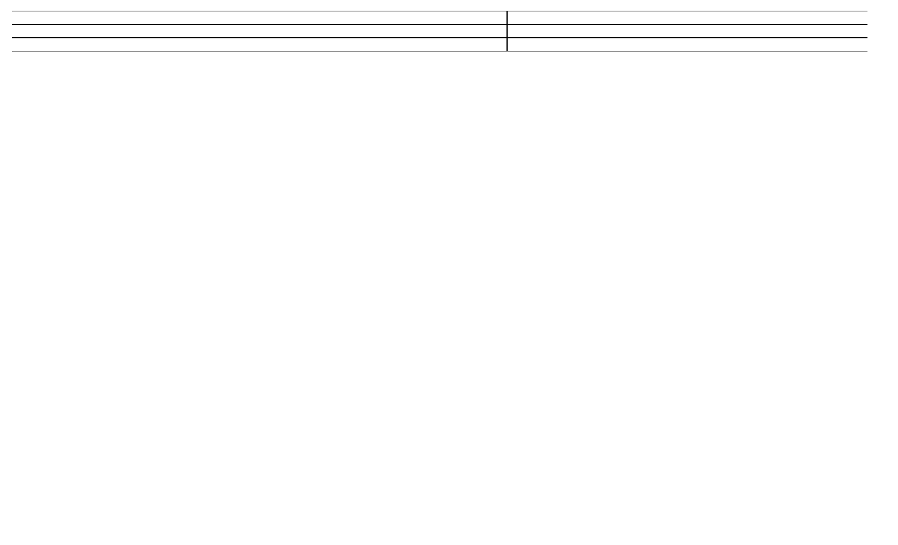| ,一个人都是一个人的人,而且,他们的人都是一个人,而且,他们的人都是一个人,而且,他们的人都是一个人,而且,他们的人都是一个人,而且,他们的人都是一个人,而且,他<br>第二十二章 第二十二章 第二十二章 第二十二章 第二十二章 第二十二章 第二十二章 第二十二章 第二十二章 第二十二章 第二十二章 第二十二章 第二十二章 第二十 |  |
|------------------------------------------------------------------------------------------------------------------------------------------------------------------------|--|
|                                                                                                                                                                        |  |
| ,我们就会不会不会。""我们的,我们也不会不会不会。""我们的,我们也不会不会不会不会不会。""我们的,我们也不会不会不会不会。""我们的,我们也不会不会不会不                                                                                       |  |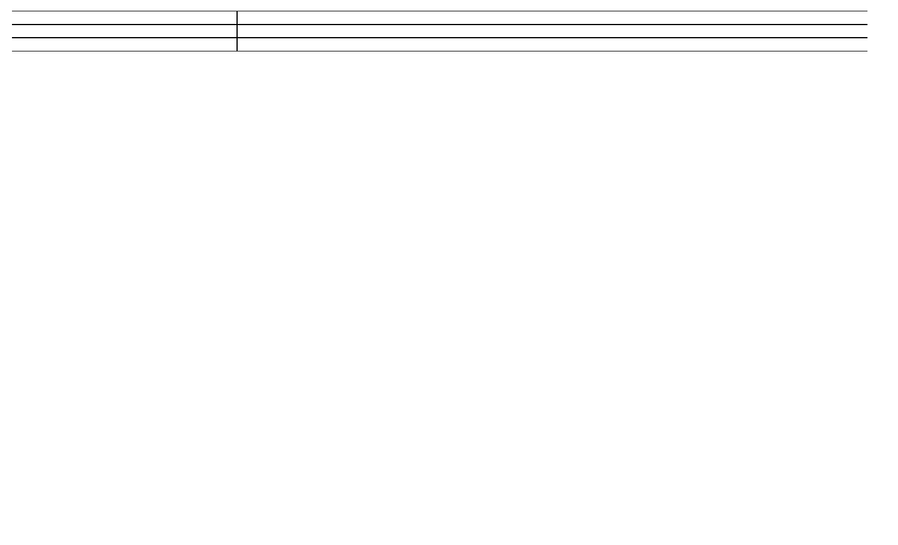| ,我们就会不会不会。""我们,我们也不会不会不会。""我们,我们也不会不会不会不会不会不会。""我们,我们也不会不会不会不会。""我们,我们也不会不会不会不会不  |
|-----------------------------------------------------------------------------------|
| ,一个人都是一个人的人,一个人都是一个人的人,一个人都是一个人的人,一个人都是一个人的人,一个人都是一个人的人,一个人都是一个人的人,一个人都是一个人的人,一个人 |
|                                                                                   |
| ,一个人都是一个人的人,而且,我们也不会不会不会。""我们,我们也不会不会不会不会不会不会不会。""我们,我们也不会不会不会不会不会不会不会不会。""我们,我们  |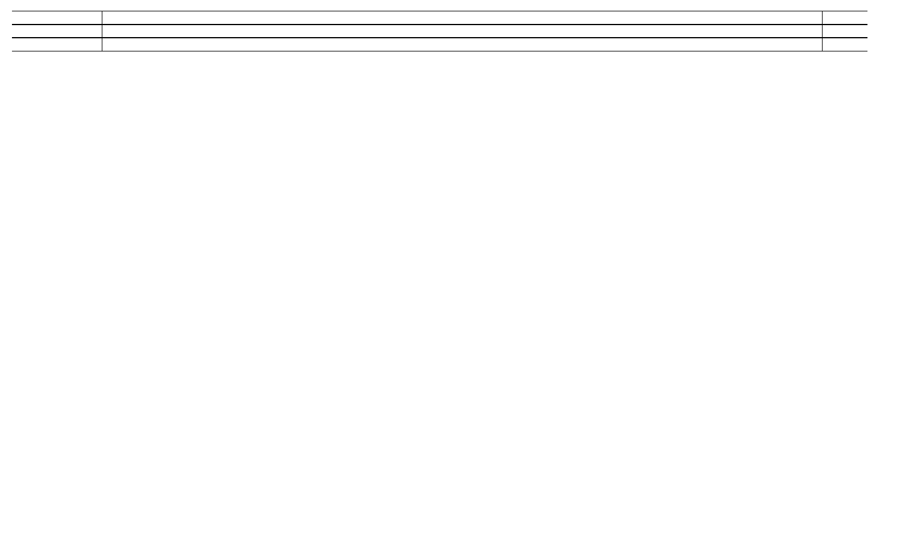| ,一个人都是一个人的人,一个人都是一个人的人,一个人都是一个人的人,一个人都是一个人的人,一个人都是一个人的人,一个人都是一个人的人,一个人都是一个人的人,一个人<br>第二十一章 一个人的人,一个人的人都是一个人的人,一个人的人都是一个人的人,一个人的人都是一个人的人,一个人的人都是一个人的人,一个人的人都是一个人的人,一个人<br>,一个人都是一个人的人,一个人都是一个人的人,一个人都是一个人的人,一个人都是一个人的人,一个人都是一个人的人,一个人都是一个人的人,一个人都是一个人的人,一个人<br>第二十一章 一个人的人,一个人都是一个人的人,一个人都是一个人的人,一个人都是一个人的人,一个人都是一个人的人,一个人都是一个人的人,一个人都是一个人的人,一个 |  |
|------------------------------------------------------------------------------------------------------------------------------------------------------------------------------------------------------------------------------------------------------------------------------------------------------------------------------------------------|--|
| ,一个人的人都是一个人的人,而且,他们的人都是一个人的人,而且,他们的人都是一个人的人,而且,他们的人都是一个人的人,而且,他们的人都是一个人的人,而且,他们的<br>第一百一十一章 一个人的人,他们的人都是一个人的人,他们的人都是一个人的人,他们的人都是一个人的人,他们的人都是一个人的人,他们的人都是一个人的人,他们的人都是                                                                                                                                                                           |  |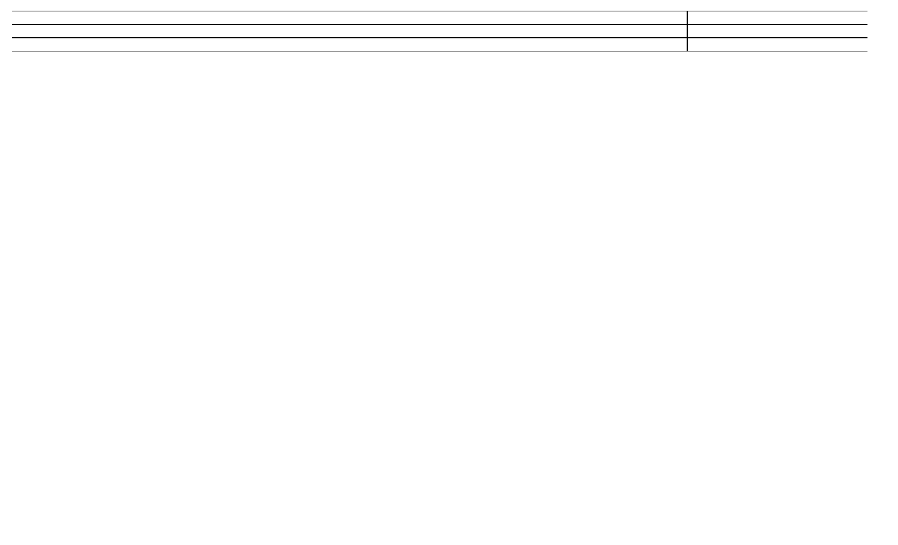| ,我们就会不会不会。""我们,我们也不会不会不会。""我们,我们也不会不会不会不会不会不会不会。""我们,我们也不会不会不会不会不会。""我们,我们也不会不会不 |  |
|----------------------------------------------------------------------------------|--|
| ,一个人的人都是一个人的人,而且,我们也不会不会不会。""我们,我们也不会不会不会不会不会不会。""我们,我们也不会不会不会不会。""我们,我们也不会不会不会不 |  |
|                                                                                  |  |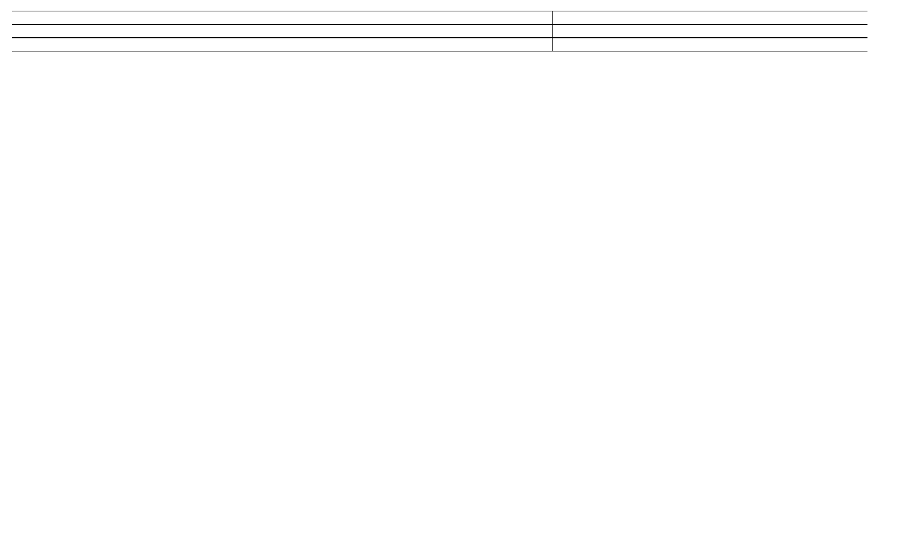| → 中国的 → 中国的 → 中国的 → 中国的 → 中国的 → 中国的 → 中国的 → 中国的 → 中国的 → 中国的 → 中国的 → 中国的 → 中国的 → 中国的 → 中国的 → 中国的 → 中国的 → 中国的 → 中国 |  |
|------------------------------------------------------------------------------------------------------------------|--|
|                                                                                                                  |  |
|                                                                                                                  |  |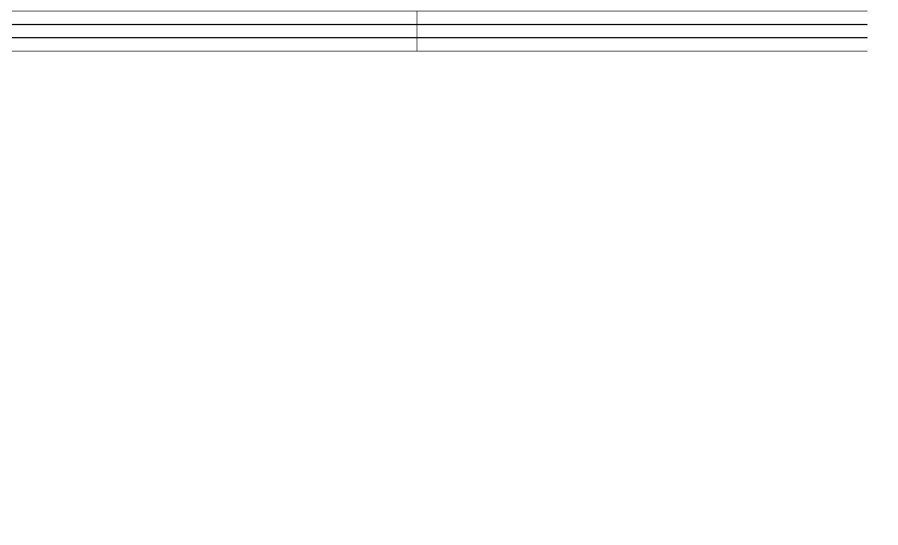| ,我们就会不会不会。""我们,我们就会不会不会不会,我们就会不会不会不会。""我们,我们就会不会不会不会。""我们,我们就会不会不会不会。""我们,我们就会不会 |                                                                                   |
|----------------------------------------------------------------------------------|-----------------------------------------------------------------------------------|
|                                                                                  | ,我们也不会不会不会。""我们的,我们也不会不会不会。""我们的,我们也不会不会不会不会。""我们的,我们也不会不会不会不会。""我们的,我们也不会不会不会不会  |
|                                                                                  | ,我们就会不会不会。""我们,我们就会不会不会,我们就会不会不会,我们就会不会不会。""我们,我们就会不会不会。""我们,我们就会不会不会不会。""我们,我们就会 |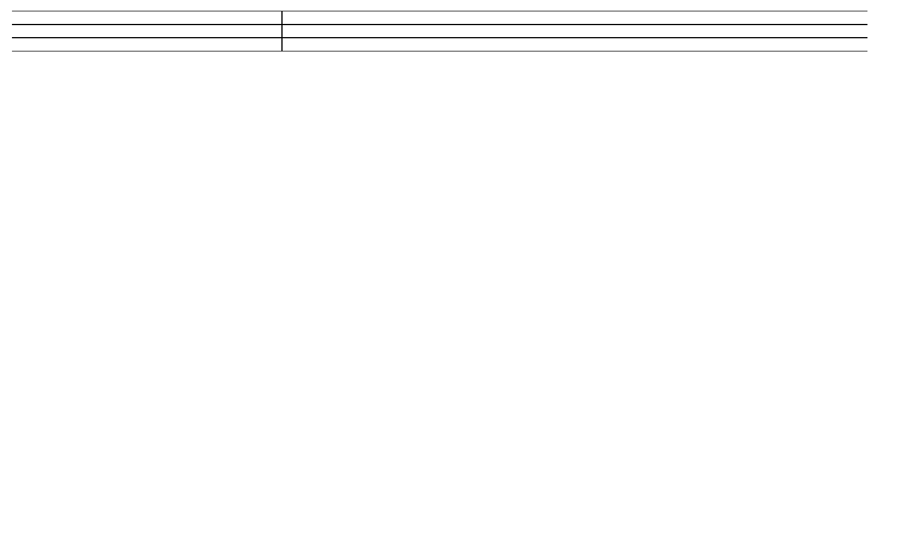| ,一个人都是一个人的人,我们就是一个人的人,我们就是一个人的人,我们就是一个人的人,我们就是一个人的人,我们就是一个人的人,我们就是一个人的人,我们就是一个人的<br>第一百一十一章 一个人的人,我们就是一个人的人,我们就是一个人的人,我们就是一个人的人,我们就是一个人的人,我们就是一个人的人,我们就是一个人的人,我们就是一个 |
|----------------------------------------------------------------------------------------------------------------------------------------------------------------------|
|                                                                                                                                                                      |
|                                                                                                                                                                      |
|                                                                                                                                                                      |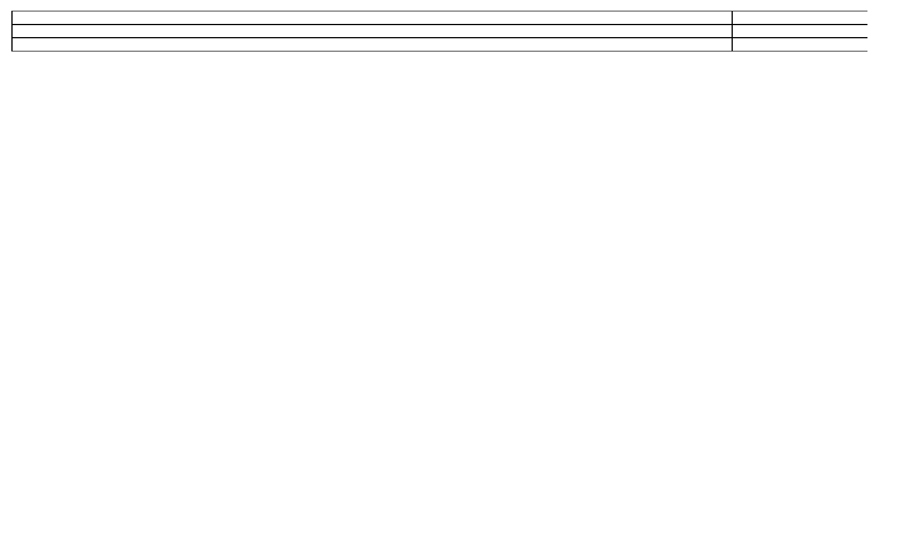| ,他们的人们就是一个人,他们的人们就是一个人,他们的人们,他们的人们就是一个人,他们的人们,他们的人们就是一个人,他们的人们,他们的人们,他们的人们,他们的人们,<br>第25章 我们的人们,他们的人们,他们的人们,他们的人们,他们的人们,他们的人们,他们的人们,他们的人们,他们的人们,他们的人们,他们的人们,他们的人们,他们的 |  |
|-----------------------------------------------------------------------------------------------------------------------------------------------------------------------|--|
| ,一个人都是一个人的人,而且,他们的人都是一个人,而且,他们的人都是一个人,而且,他们的人都是一个人,而且,他们的人都是一个人,而且,他们的人都是一个人,而且,他<br>第二百一十一章 一个人,他们的人都是一个人,他们的人都是一个人,他们的人都是一个人,他们的人都是一个人,他们的人都是一个人,他们的人都是一个人,他们的人都是一个 |  |
| ,一个人都是一个人的人,而且,他们的人都是一个人,他们的人都是一个人,他们的人都是一个人,他们的人都是一个人,他们的人都是一个人,他们的人都是一个人,他们的人都是                                                                                     |  |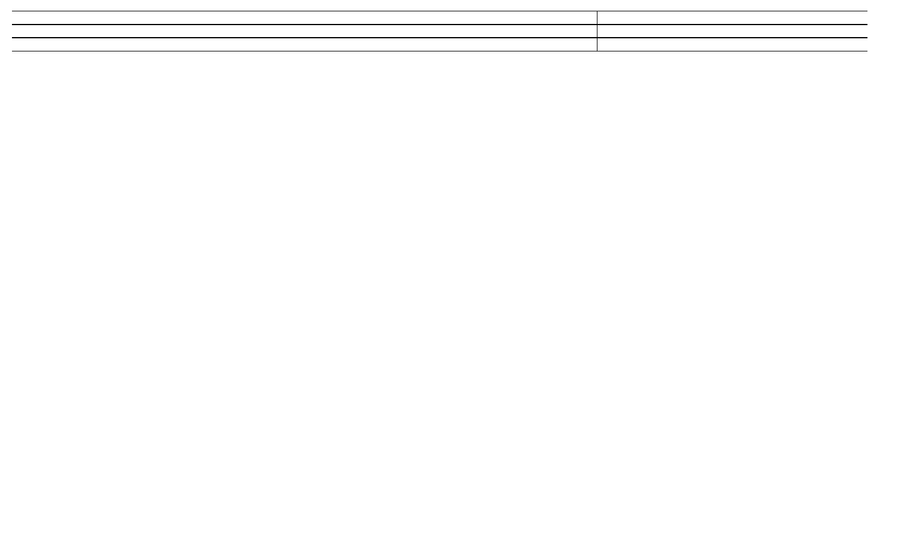| ,一个人都是一个人的人,而且,我们也不会不会不会。""我们,我们也不会不会不会不会不会不会不会不会。""我们,我们也不会不会不会不会不会不会不会不会。""我们,我<br>,他们的人们也不会不会。""我们的人们,我们也不会不会不会。""我们的人们,我们也不会不会不会。""我们的人们,我们也不会不会不会。""我们的人们,我们也不会不 |  |
|-----------------------------------------------------------------------------------------------------------------------------------------------------------------------|--|
| ,我们也不会不会不会。""我们的,我们也不会不会不会。""我们的,我们也不会不会不会不会。""我们的,我们也不会不会不会不会。""我们的,我们也不会不会不会不会                                                                                      |  |
|                                                                                                                                                                       |  |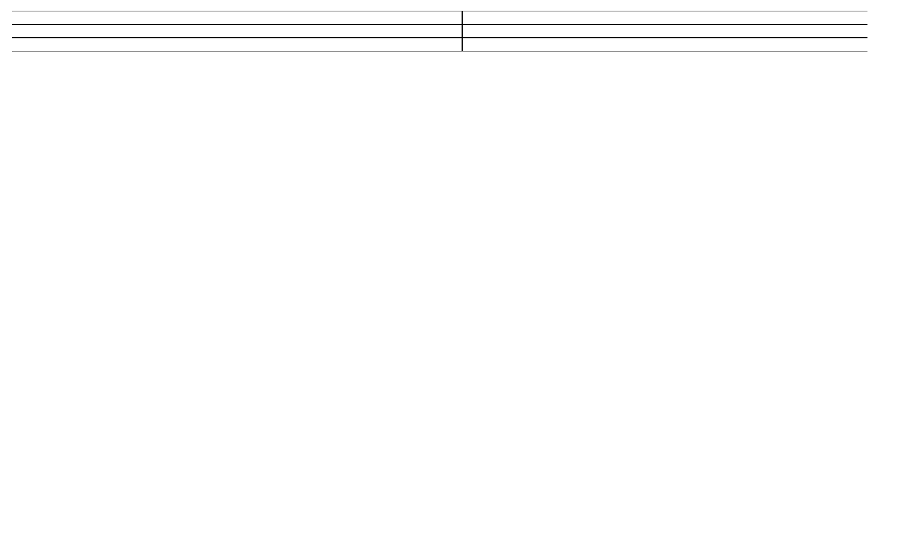| <u> 2001 - An t-An Aontaithe ann an t-Aontaithe ann an t-Aontaithe ann an t-Aontaithe ann an t-Aontaithe ann an t-</u> |
|------------------------------------------------------------------------------------------------------------------------|
|                                                                                                                        |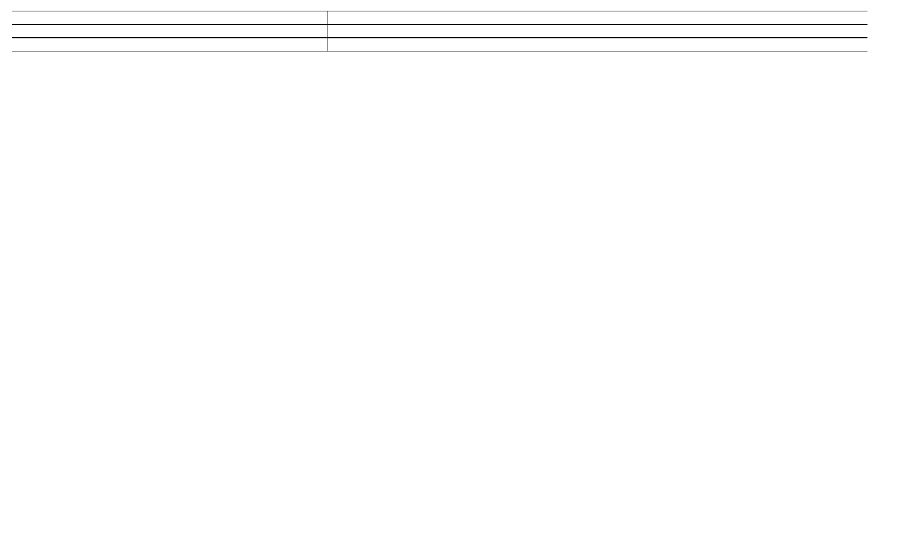| ,一个人都是一个人的人,而且,他们的人都是一个人,而且,他们的人都是一个人,而且,他们的人都是一个人,而且,他们的人都是一个人,而且,他们的人都是一个人,而且,他<br>第二十一章 一个人,他们的人都是一个人,他们的人都是一个人,他们的人都是一个人,他们的人都是一个人,他们的人都是一个人,他们的人都是一个人,他们的人都是一个人, | ,我们也不会不会。""我们的,我们也不会不会。""我们的,我们也不会不会不会。""我们的,我们也不会不会不会。""我们的,我们也不会不会不会。""我们的,我们也 |
|-----------------------------------------------------------------------------------------------------------------------------------------------------------------------|----------------------------------------------------------------------------------|
|                                                                                                                                                                       |                                                                                  |
|                                                                                                                                                                       |                                                                                  |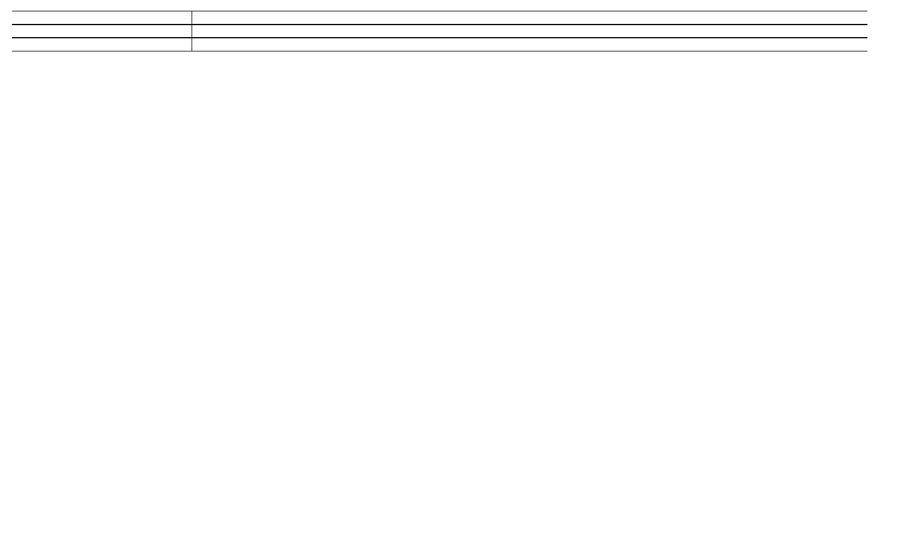| ,一个人的人都是一个人的人,而且,他们的人都是一个人的人,而且,他们的人都是一个人的人,而且,他们的人都是一个人的人,而且,他们的人都是一个人的人,而且,他们的人<br>第一百一十一章 一个人的人,他们的人都是一个人的人,他们的人都是一个人的人,他们的人都是一个人的人,他们的人都是一个人的人,他们的人都是一个人的人,他们的人都是<br>,我们就会不会不会。""我们,我们就会不会不会不会。""我们,我们就会不会不会不会不会不会。""我们,我们就会不会不会不会不会。""我们,我们就会不会不会不会不 |
|-----------------------------------------------------------------------------------------------------------------------------------------------------------------------------------------------------------------------------------------------------------|
| ,一个人都是一个人的人,而且,他们的人都是一个人,而且,他们的人都是一个人,而且,他们的人都是一个人,而且,他们的人都是一个人,而且,他们的人都是一个人,而且,他<br>第二十一章 一个人,他们的人都是一个人,他们的人都是一个人,他们的人都是一个人,他们的人都是一个人,他们的人都是一个人,他们的人都是一个人,他们的人都是一个人,                                                                                     |
|                                                                                                                                                                                                                                                           |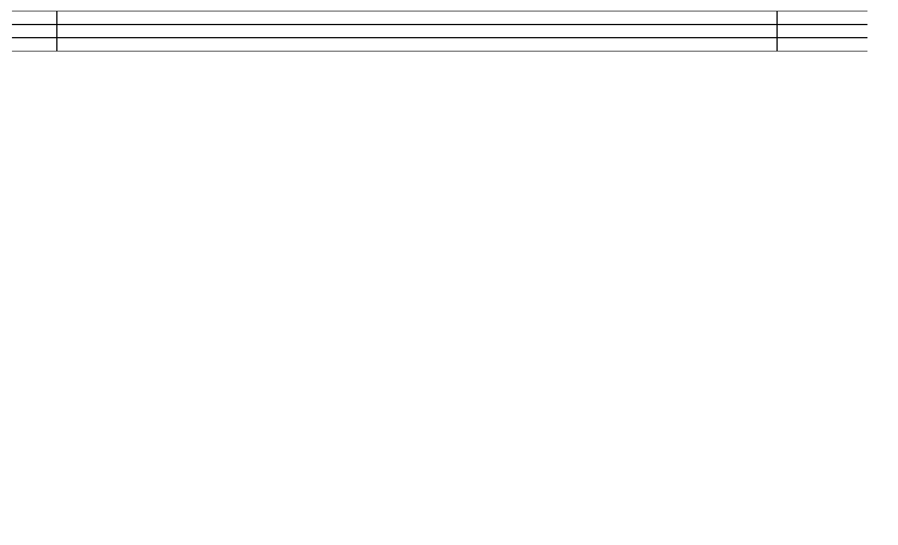| <u>та на представљен под податковата на представљен податковата на представљен податковата на представљен податк</u> |  |
|----------------------------------------------------------------------------------------------------------------------|--|
|                                                                                                                      |  |
| ,一个人都是一个人的人,一个人都是一个人的人,一个人都是一个人的人,一个人都是一个人的人,一个人都是一个人的人,一个人都是一个人的人,一个人都是一个人的人,一个人                                    |  |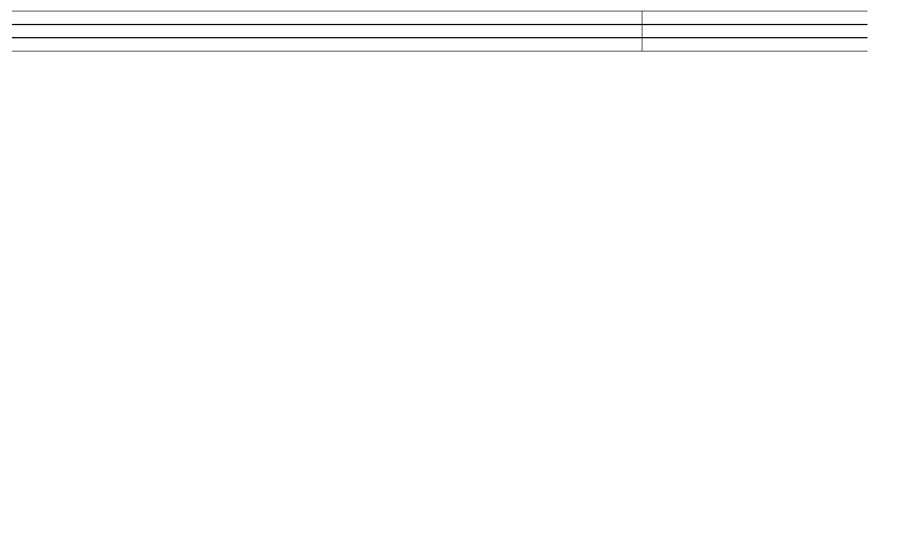| ,一个人都是一个人的人,一个人都是一个人的人,一个人都是一个人的人,一个人都是一个人的人,一个人都是一个人的人,一个人都是一个人的人,一个人都是一个人的人,一个人<br>→ South State State State State State State State State State State State State State State State State State State State State State State State State State State State State State State State State State State State St |  |
|-------------------------------------------------------------------------------------------------------------------------------------------------------------------------------------------------------------------------------------------------------------------------------------------------------------------|--|
| ,一个人的人都是一个人的人,而且,他们的人都是不是一个人的人,而且,他们的人都是不是一个人的人,而且,他们的人都是不是一个人的人,而且,他们的人都是不是一个人的<br>第一百一十一章 一个人的人,他们的人都是不是一个人的人,他们的人都是不是一个人的人,他们的人都是不是一个人的人,他们的人都是不是一个人的人,他们的人都是不是一个                                                                                                                                              |  |
| ,我们也不会不会不会。""我们的,我们也不会不会不会。""我们的,我们也不会不会不会不会不会。""我们的,我们也不会不会不会不会。""我们的,我们也不会不会不会<br>第二百一章 第二百一章 第二百一章 第二百一章 第二百一章 第二百一章 第二百一章 第二百一章 第二百一章 第二百一章 第二百一章 第二百一章 第二百一章 第二                                                                                                                                              |  |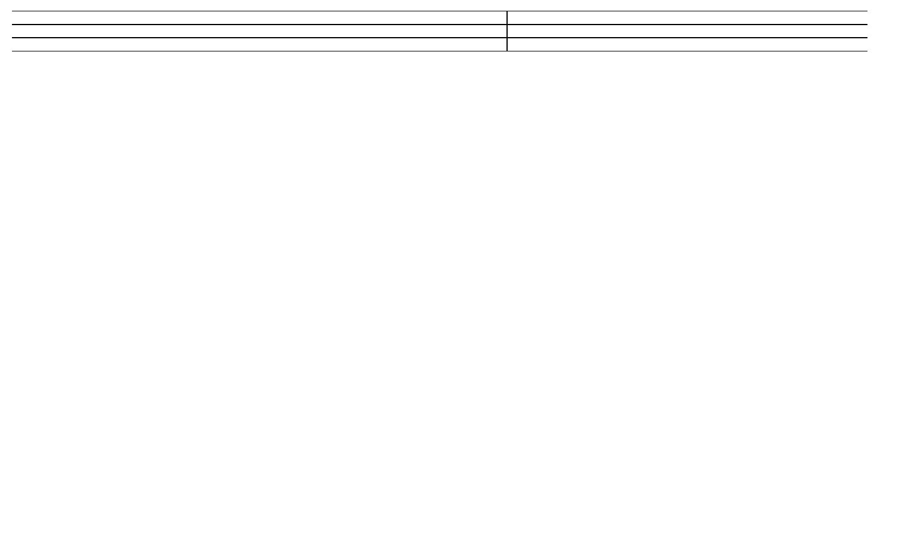| ,一个人都是一个人的人,而且,他们的人都是一个人,而且,他们的人都是一个人,而且,他们的人都是一个人,而且,他们的人都是一个人,而且,他们的人都是一个人,而且,他<br>第二十二章 第二十二章 第二十二章 第二十二章 第二十二章 第二十二章 第二十二章 第二十二章 第二十二章 第二十二章 第二十二章 第二十二章 第二十二章 第二十 |  |
|------------------------------------------------------------------------------------------------------------------------------------------------------------------------|--|
|                                                                                                                                                                        |  |
| ,我们就会不会不会。""我们的,我们也不会不会不会。""我们的,我们也不会不会不会不会不会。""我们的,我们也不会不会不会不会。""我们的,我们也不会不会不会不                                                                                       |  |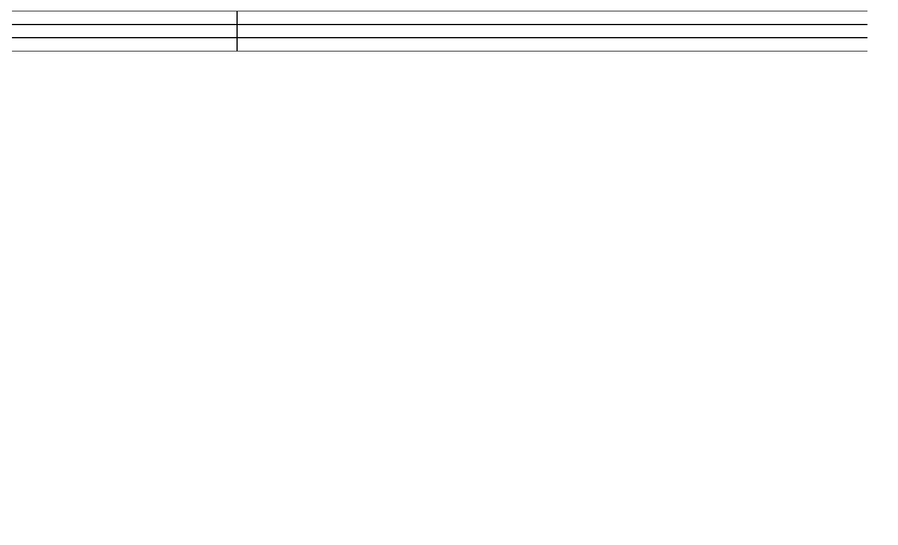| ,我们就会不会不会。""我们,我们也不会不会不会。""我们,我们也不会不会不会不会不会不会。""我们,我们也不会不会不会不会。""我们,我们也不会不会不会不会不  |
|-----------------------------------------------------------------------------------|
| ,一个人都是一个人的人,一个人都是一个人的人,一个人都是一个人的人,一个人都是一个人的人,一个人都是一个人的人,一个人都是一个人的人,一个人都是一个人的人,一个人 |
|                                                                                   |
| ,一个人都是一个人的人,而且,我们也不会不会不会。""我们,我们也不会不会不会不会不会不会不会。""我们,我们也不会不会不会不会不会不会不会不会。""我们,我们  |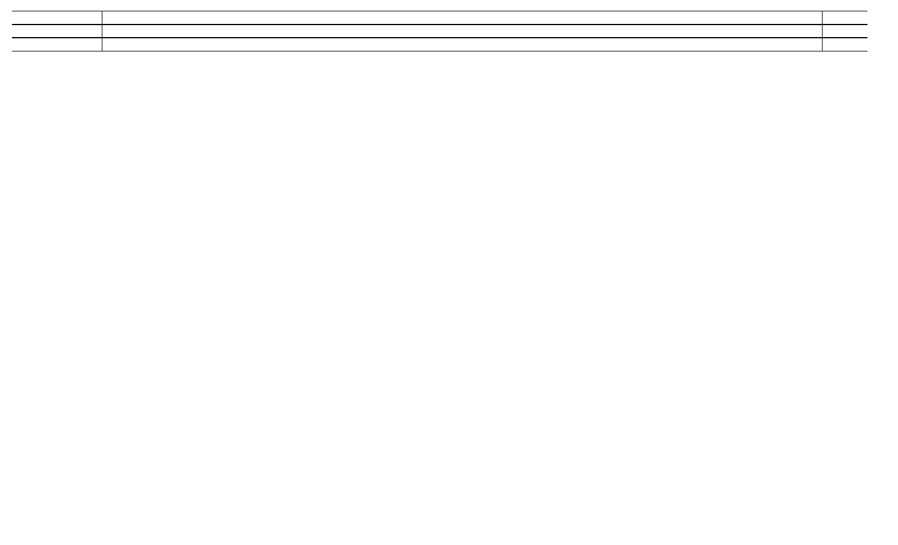| ,一个人都是一个人的人,一个人都是一个人的人,一个人都是一个人的人,一个人都是一个人的人,一个人都是一个人的人,一个人都是一个人的人,一个人都是一个人的人,一个人<br>第二十一章 一个人的人,一个人的人都是一个人的人,一个人的人都是一个人的人,一个人的人都是一个人的人,一个人的人都是一个人的人,一个人的人都是一个人的人,一个人<br>,一个人都是一个人的人,一个人都是一个人的人,一个人都是一个人的人,一个人都是一个人的人,一个人都是一个人的人,一个人都是一个人的人,一个人都是一个人的人,一个人<br>第二十一章 一个人的人,一个人都是一个人的人,一个人都是一个人的人,一个人都是一个人的人,一个人都是一个人的人,一个人都是一个人的人,一个人都是一个人的人,一个 |  |
|------------------------------------------------------------------------------------------------------------------------------------------------------------------------------------------------------------------------------------------------------------------------------------------------------------------------------------------------|--|
| ,一个人的人都是一个人的人,而且,他们的人都是一个人的人,而且,他们的人都是一个人的人,而且,他们的人都是一个人的人,而且,他们的人都是一个人的人,而且,他们的<br>第一百一十一章 一个人的人,他们的人都是一个人的人,他们的人都是一个人的人,他们的人都是一个人的人,他们的人都是一个人的人,他们的人都是一个人的人,他们的人都是                                                                                                                                                                           |  |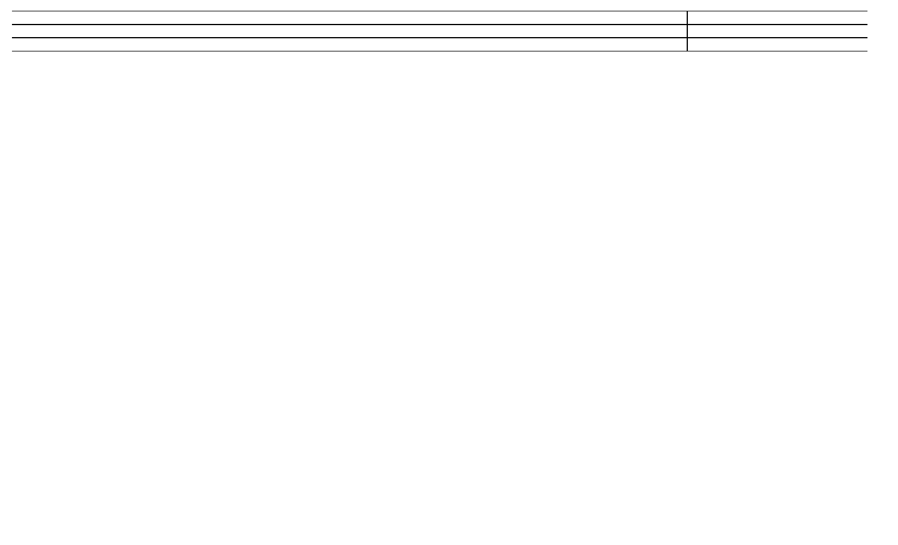| ,我们就会不会不会。""我们,我们也不会不会不会。""我们,我们也不会不会不会不会不会不会不会。""我们,我们也不会不会不会不会不会。""我们,我们也不会不会不 |  |
|----------------------------------------------------------------------------------|--|
| ,一个人的人都是一个人的人,而且,我们也不会不会不会。""我们,我们也不会不会不会不会不会不会。""我们,我们也不会不会不会不会。""我们,我们也不会不会不会不 |  |
|                                                                                  |  |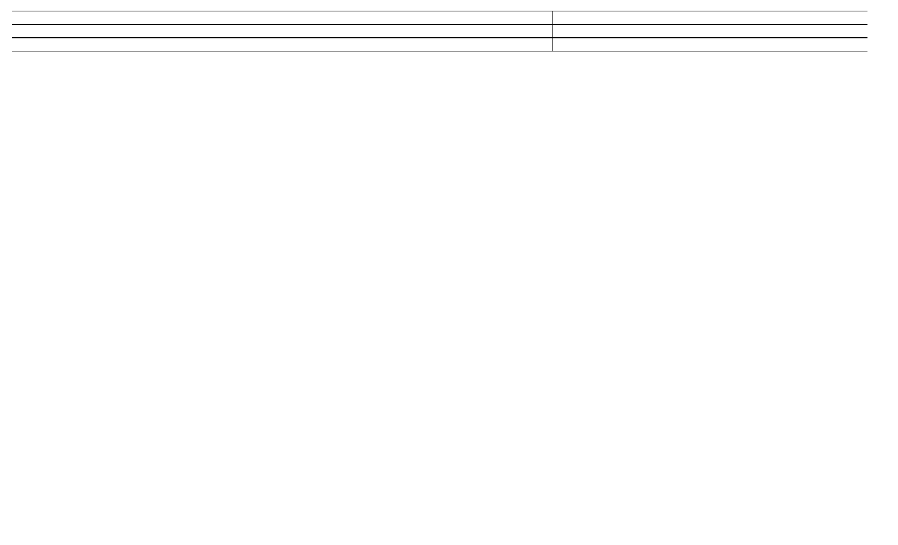| → 中国的 → 中国的 → 中国的 → 中国的 → 中国的 → 中国的 → 中国的 → 中国的 → 中国的 → 中国的 → 中国的 → 中国的 → 中国的 → 中国的 → 中国的 → 中国的 → 中国的 → 中国的 → 中国 |  |
|------------------------------------------------------------------------------------------------------------------|--|
|                                                                                                                  |  |
|                                                                                                                  |  |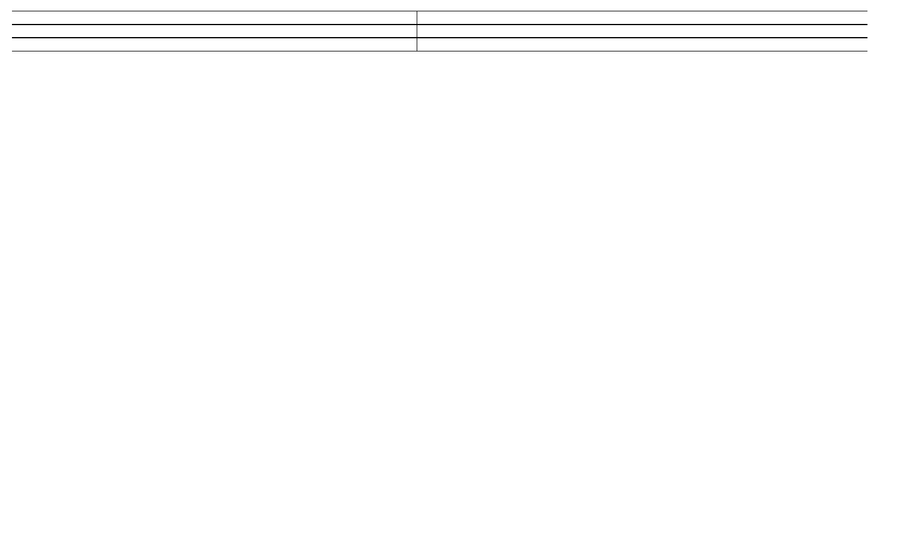| ,我们就会不会不会。""我们,我们就会不会不会不会,我们就会不会不会不会。""我们,我们就会不会不会不会。""我们,我们就会不会不会不会。""我们,我们就会不会 |                                                                                   |
|----------------------------------------------------------------------------------|-----------------------------------------------------------------------------------|
|                                                                                  | ,我们也不会不会不会。""我们的,我们也不会不会不会。""我们的,我们也不会不会不会不会。""我们的,我们也不会不会不会不会。""我们的,我们也不会不会不会不会  |
|                                                                                  | ,我们就会不会不会。""我们,我们就会不会不会,我们就会不会不会,我们就会不会不会。""我们,我们就会不会不会。""我们,我们就会不会不会不会。""我们,我们就会 |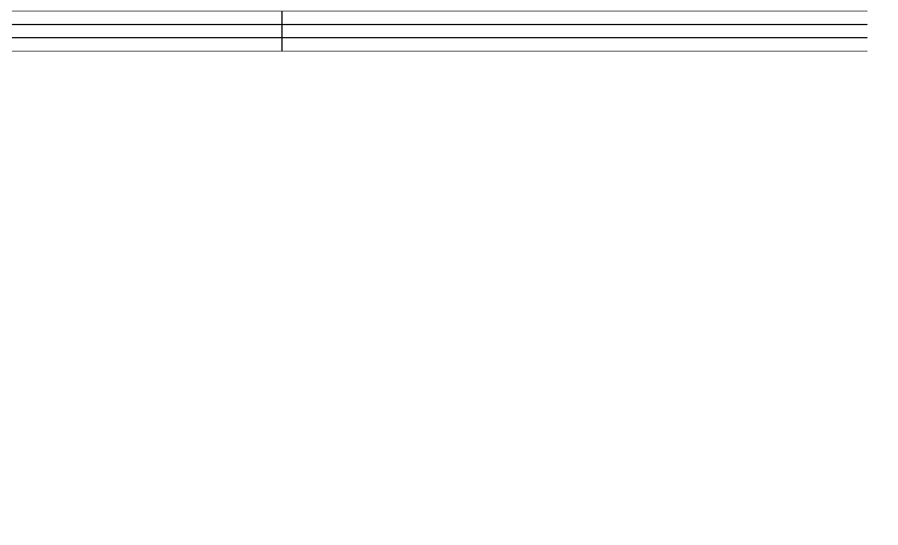| ,他们的人们就会在这里,他们的人们就会在这里,他们的人们就会在这里,他们的人们就会在这里,他们的人们就会在这里,他们的人们就会在这里,他们的人们就会在这里,他们<br>第251章 我们的人们的人们,我们的人们的人们的人们,我们的人们的人们的人们,我们的人们的人们的人们,我们的人们的人们的人们,我们的人们的人们的人们,我们的人们 |
|----------------------------------------------------------------------------------------------------------------------------------------------------------------------|
|                                                                                                                                                                      |
|                                                                                                                                                                      |
|                                                                                                                                                                      |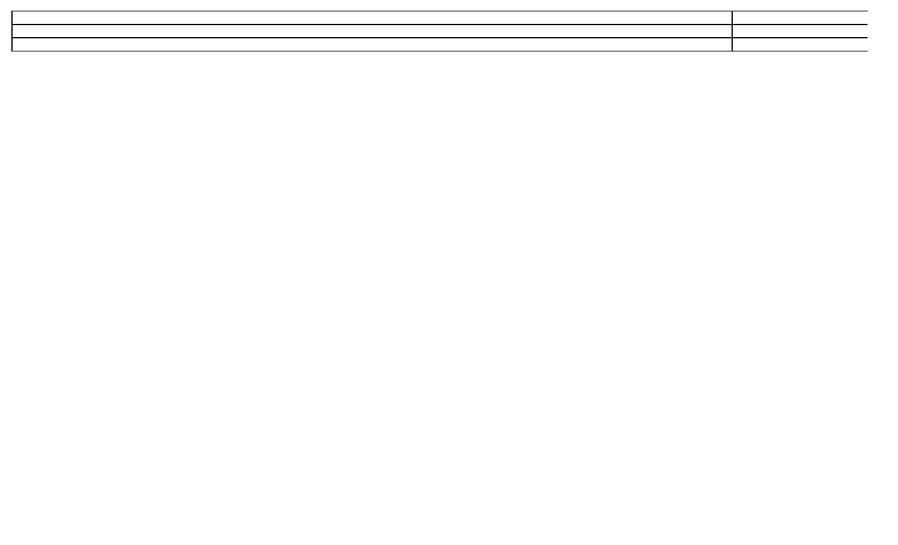| ,他们的人们就是一个人,他们的人们就是一个人,他们的人们,他们的人们就是一个人,他们的人们,他们的人们就是一个人,他们的人们,他们的人们,他们的人们,他们的人们,<br>第25章 我们的人们,他们的人们,他们的人们,他们的人们,他们的人们,他们的人们,他们的人们,他们的人们,他们的人们,他们的人们,他们的人们,他们的人们,他们的 |  |
|-----------------------------------------------------------------------------------------------------------------------------------------------------------------------|--|
| ,一个人都是一个人的人,而且,他们的人都是一个人,而且,他们的人都是一个人,而且,他们的人都是一个人,而且,他们的人都是一个人,而且,他们的人都是一个人,而且,他<br>第二百一十一章 一个人,他们的人都是一个人,他们的人都是一个人,他们的人都是一个人,他们的人都是一个人,他们的人都是一个人,他们的人都是一个人,他们的人都是一个 |  |
| ,一个人都是一个人的人,而且,他们的人都是一个人,他们的人都是一个人,他们的人都是一个人,他们的人都是一个人,他们的人都是一个人,他们的人都是一个人,他们的人都是                                                                                     |  |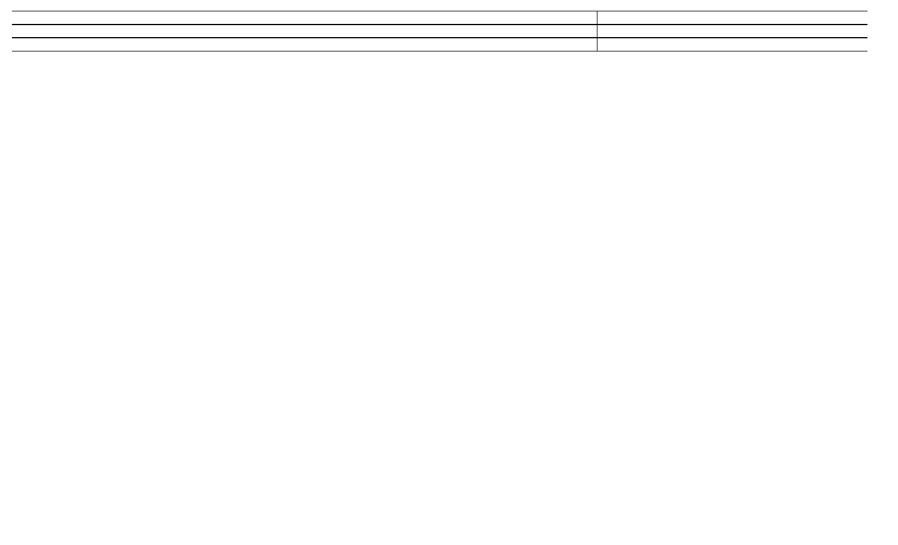| ,一个人都是一个人的人,而且,我们也不会不会不会。""我们,我们也不会不会不会不会不会不会不会不会。""我们,我们也不会不会不会不会不会不会不会不会。""我们,我<br>,他们的人们也不会不会。""我们的人们,我们也不会不会不会。""我们的人们,我们也不会不会不会。""我们的人们,我们也不会不会不会。""我们的人们,我们也不会不 |  |
|-----------------------------------------------------------------------------------------------------------------------------------------------------------------------|--|
| ,我们也不会不会不会。""我们的,我们也不会不会不会。""我们的,我们也不会不会不会不会。""我们的,我们也不会不会不会不会。""我们的,我们也不会不会不会不会                                                                                      |  |
|                                                                                                                                                                       |  |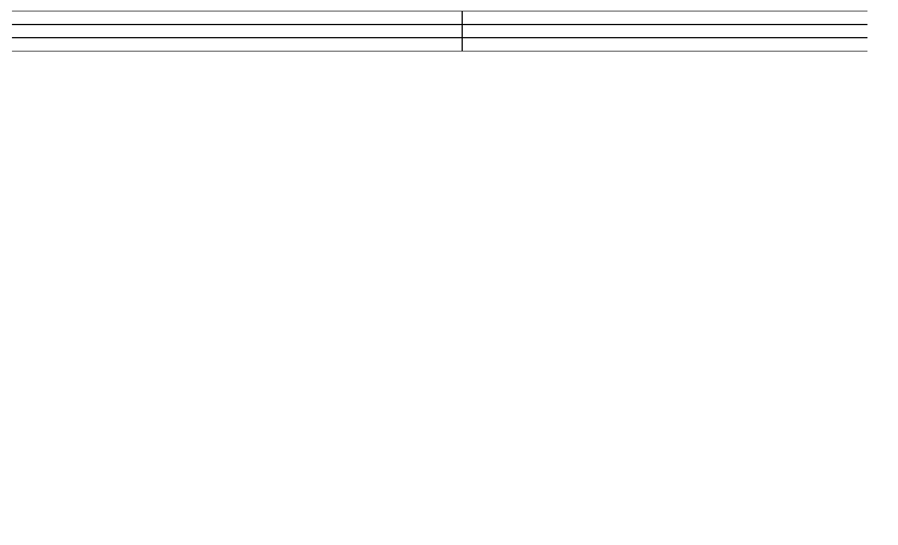| <u> 1980 - Ann an t-Aontaithe ann an t-Aontaithe ann an t-Aontaithe ann an t-Aontaithe ann an t-Aontaithe ann an t-</u> |
|-------------------------------------------------------------------------------------------------------------------------|
|                                                                                                                         |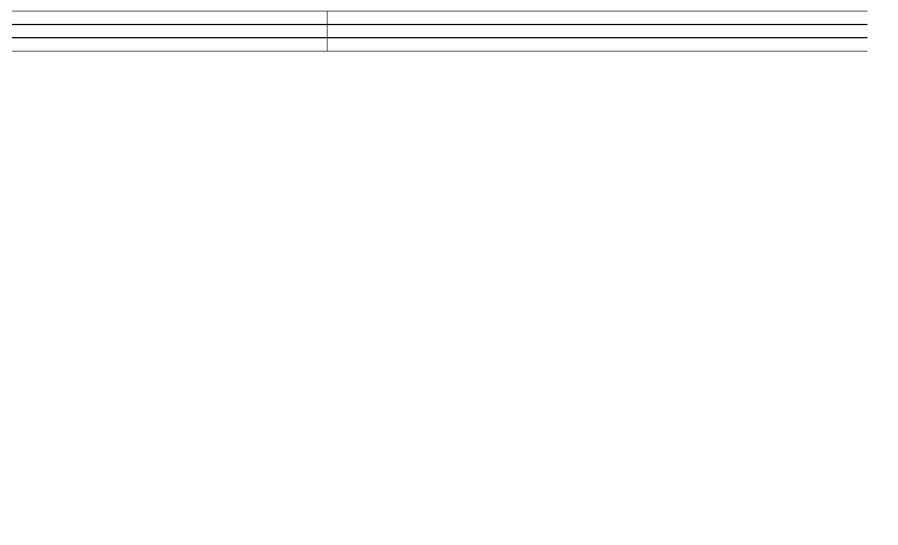| ,一个人都是一个人的人,而且,他们的人都是一个人,而且,他们的人都是一个人,而且,他们的人都是一个人,而且,他们的人都是一个人,而且,他们的人都是一个人,而且,他<br>第二十一章 一个人,他们的人都是一个人,他们的人都是一个人,他们的人都是一个人,他们的人都是一个人,他们的人都是一个人,他们的人都是一个人,他们的人都是一个人, | ,我们也不会不会。""我们的,我们也不会不会。""我们的,我们也不会不会不会。""我们的,我们也不会不会不会。""我们的,我们也不会不会不会。""我们的,我们也 |
|-----------------------------------------------------------------------------------------------------------------------------------------------------------------------|----------------------------------------------------------------------------------|
|                                                                                                                                                                       |                                                                                  |
|                                                                                                                                                                       |                                                                                  |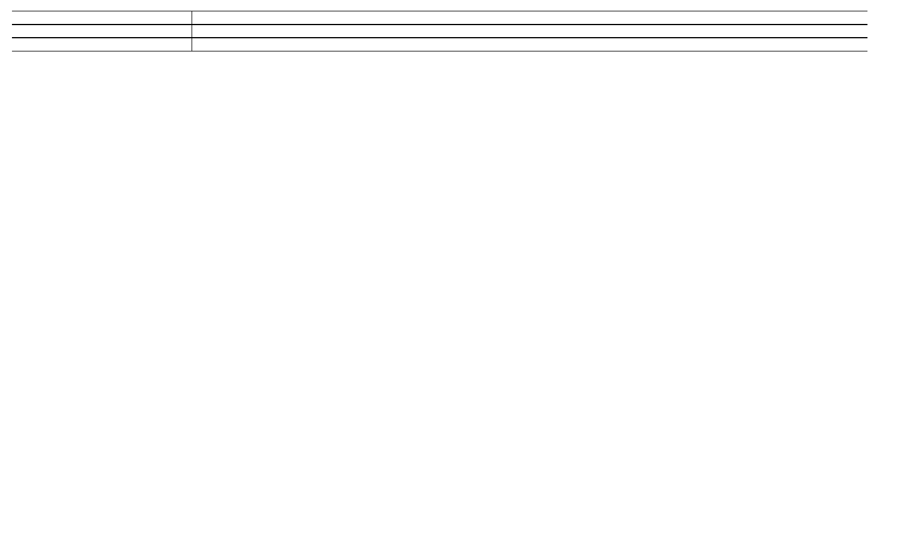| ,一个人的人都是一个人的人,而且,他们的人都是一个人的人,而且,他们的人都是一个人的人,而且,他们的人都是一个人的人,而且,他们的人都是一个人的人,而且,他们的人<br>第一百一十一章 一个人的人,他们的人都是一个人的人,他们的人都是一个人的人,他们的人都是一个人的人,他们的人都是一个人的人,他们的人都是一个人的人,他们的人都是<br>,我们就会不会不会。""我们,我们就会不会不会不会。""我们,我们就会不会不会不会不会不会。""我们,我们就会不会不会不会不会。""我们,我们就会不会不会不会不 |
|-----------------------------------------------------------------------------------------------------------------------------------------------------------------------------------------------------------------------------------------------------------|
| ,一个人都是一个人的人,而且,他们的人都是一个人,而且,他们的人都是一个人,而且,他们的人都是一个人,而且,他们的人都是一个人,而且,他们的人都是一个人,而且,他<br>第一百一十一章 一个人,他们的人都是一个人,他们的人都是一个人,他们的人都是一个人,他们的人都是一个人,他们的人都是一个人,他们的人都是一个人,他们的人都是一个                                                                                     |
|                                                                                                                                                                                                                                                           |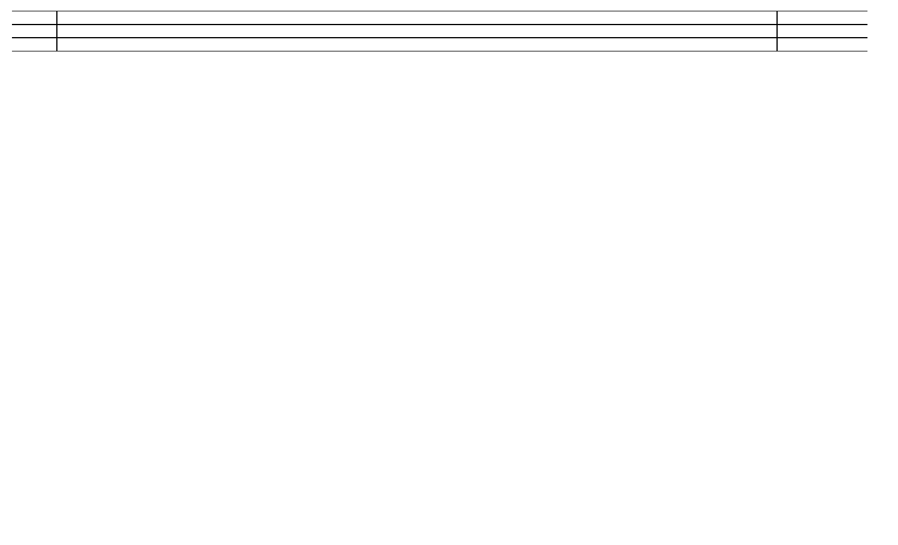| <u>та на представљен под податковата на представљен податковата на представљен податковата на представљен податк</u> |  |
|----------------------------------------------------------------------------------------------------------------------|--|
|                                                                                                                      |  |
| ,一个人都是一个人的人,一个人都是一个人的人,一个人都是一个人的人,一个人都是一个人的人,一个人都是一个人的人,一个人都是一个人的人,一个人都是一个人的人,一个人                                    |  |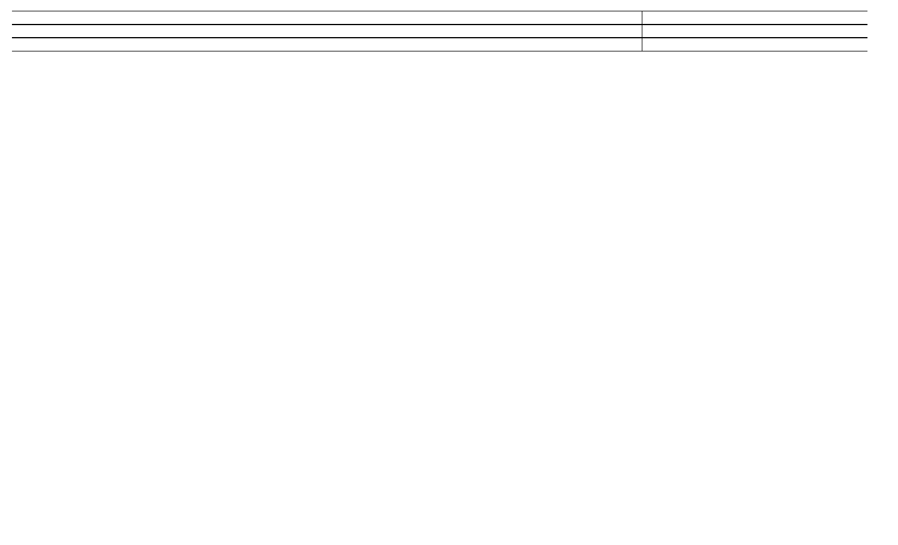| ,一个人都是一个人的人,一个人都是一个人的人,一个人都是一个人的人,一个人都是一个人的人,一个人都是一个人的人,一个人都是一个人的人,一个人都是一个人的人,一个人<br>→ South State State State State State State State State State State State State State State State State State State State State State State State State State State State State State State State State State State State St |  |
|-------------------------------------------------------------------------------------------------------------------------------------------------------------------------------------------------------------------------------------------------------------------------------------------------------------------|--|
| ,一个人的人都是一个人的人,而且,他们的人都是不是一个人的人,而且,他们的人都是不是一个人的人,而且,他们的人都是不是一个人的人,而且,他们的人都是不是一个人的<br>第一百一十一章 一个人的人,他们的人都是不是一个人的人,他们的人都是不是一个人的人,他们的人都是不是一个人的人,他们的人都是不是一个人的人,他们的人都是不是一个                                                                                                                                              |  |
| ,我们也不会不会不会。""我们的,我们也不会不会不会。""我们的,我们也不会不会不会不会不会。""我们的,我们也不会不会不会不会。""我们的,我们也不会不会不会<br>第二百一章 第二百一章 第二百一章 第二百一章 第二百一章 第二百一章 第二百一章 第二百一章 第二百一章 第二百一章 第二百一章 第二百一章 第二百一章 第二                                                                                                                                              |  |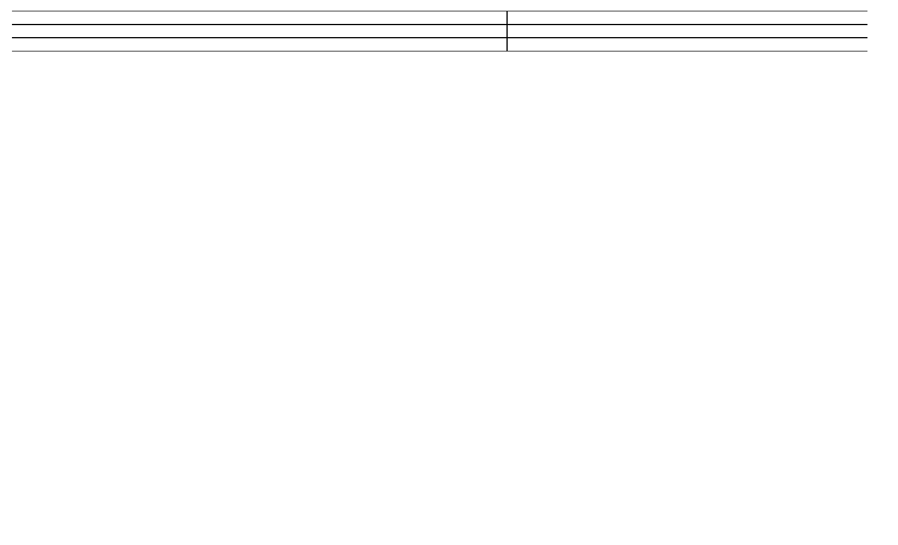| ,一个人都是一个人的人,而且,他们的人都是一个人,而且,他们的人都是一个人,而且,他们的人都是一个人,而且,他们的人都是一个人,而且,他们的人都是一个人,而且,他<br>第二十二章 第二十二章 第二十二章 第二十二章 第二十二章 第二十二章 第二十二章 第二十二章 第二十二章 第二十二章 第二十二章 第二十二章 第二十二章 第二十 |  |
|------------------------------------------------------------------------------------------------------------------------------------------------------------------------|--|
|                                                                                                                                                                        |  |
| ,我们就会不会不会。""我们的,我们也不会不会不会。""我们的,我们也不会不会不会不会不会。""我们的,我们也不会不会不会不会。""我们的,我们也不会不会不会不                                                                                       |  |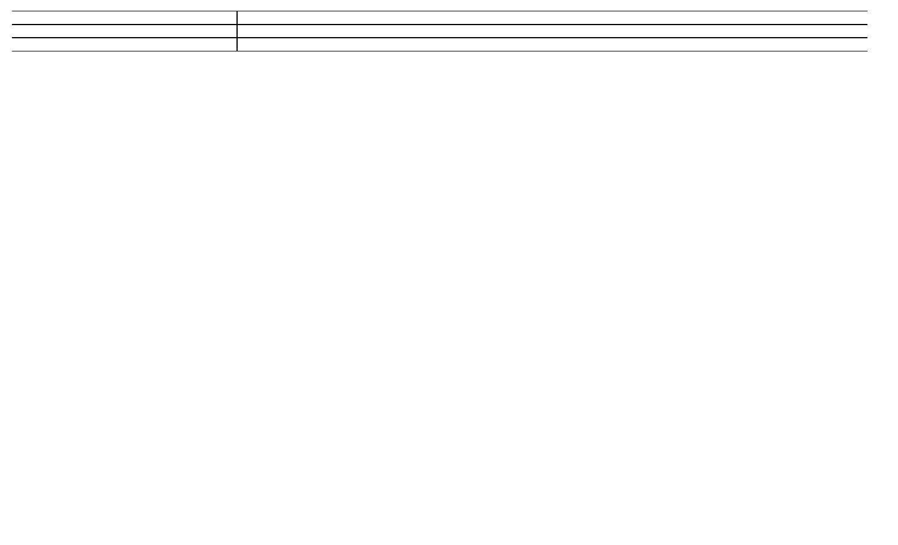| ,我们就会不会不会。""我们,我们也不会不会不会。""我们,我们也不会不会不会不会不会不会。""我们,我们也不会不会不会不会。""我们,我们也不会不会不会不会不  |
|-----------------------------------------------------------------------------------|
| ,一个人都是一个人的人,一个人都是一个人的人,一个人都是一个人的人,一个人都是一个人的人,一个人都是一个人的人,一个人都是一个人的人,一个人都是一个人的人,一个人 |
|                                                                                   |
| ,一个人都是一个人的人,而且,我们也不会不会不会。""我们,我们也不会不会不会不会。""我们,我们也不会不会不会不会。""我们,我们也不会不会不会不会。""我们, |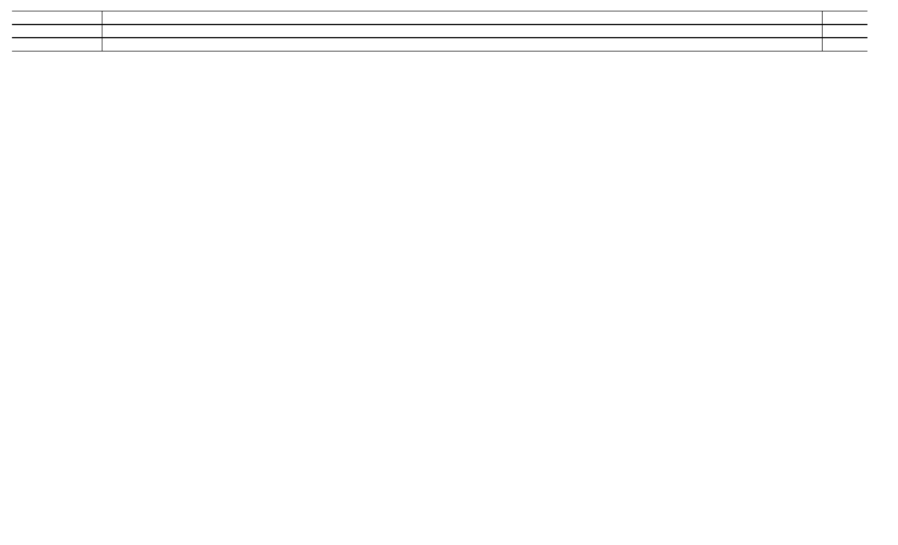| ,一个人都是一个人的人,一个人都是一个人的人,一个人都是一个人的人,一个人都是一个人的人,一个人都是一个人的人,一个人都是一个人的人,一个人都是一个人的人,一个人<br>第二十一章 一个人的人,一个人都是一个人的人,一个人都是一个人的人,一个人都是一个人的人,一个人都是一个人的人,一个人都是一个人的人,一个人都是一个人的人,一个<br>,一个人都是一个人的人,一个人都是一个人的人,一个人都是一个人的人,一个人都是一个人的人,一个人都是一个人的人,一个人都是一个人的人,一个人都是一个人的人,一个人<br>第二十一章 一个人的人,一个人的人都是一个人的人,一个人的人都是一个人的人,一个人的人都是一个人的人,一个人的人都是一个人的人,一个人的人都是一个人的人,一个人 |  |
|------------------------------------------------------------------------------------------------------------------------------------------------------------------------------------------------------------------------------------------------------------------------------------------------------------------------------------------------|--|
| ,一个人的人都是一个人的人,而且,他们的人都是一个人的人,而且,他们的人都是一个人的人,而且,他们的人都是一个人的人,而且,他们的人都是一个人的人,而且,他们的<br>第一百一十一章 一个人的人,他们的人都是一个人的人,他们的人都是一个人的人,他们的人都是一个人的人,他们的人都是一个人的人,他们的人都是一个人的人,他们的人都是                                                                                                                                                                           |  |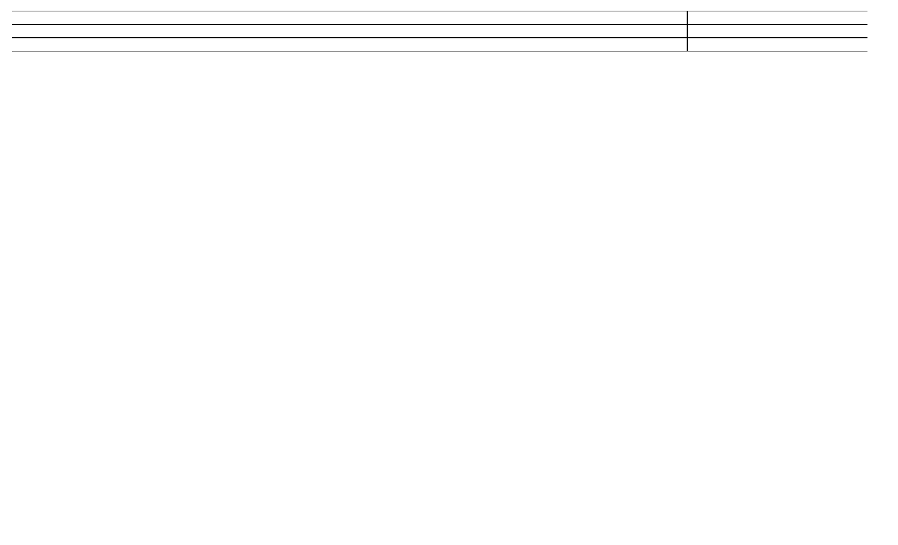| ,我们就会不会不会。""我们,我们也不会不会不会。""我们,我们也不会不会不会不会不会不会不会。""我们,我们也不会不会不会不会不会。""我们,我们也不会不会不  |  |
|-----------------------------------------------------------------------------------|--|
| ,一个人的人都是一个人的人,而且,他们的人都是一个人的人,而且,他们的人都是一个人的人,而且,他们的人都是一个人的人,而且,他们的人都是一个人的人,而且,他们的人 |  |
|                                                                                   |  |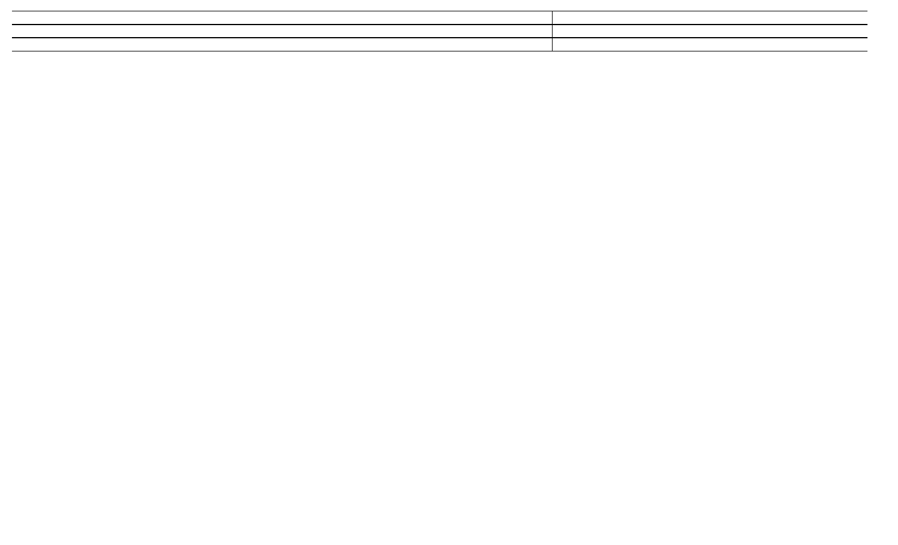| → 中国的 → 中国的 → 中国的 → 中国的 → 中国的 → 中国的 → 中国的 → 中国的 → 中国的 → 中国的 → 中国的 → 中国的 → 中国的 → 中国的 → 中国的 → 中国的 → 中国的 → 中国的 → 中国 |  |
|------------------------------------------------------------------------------------------------------------------|--|
|                                                                                                                  |  |
|                                                                                                                  |  |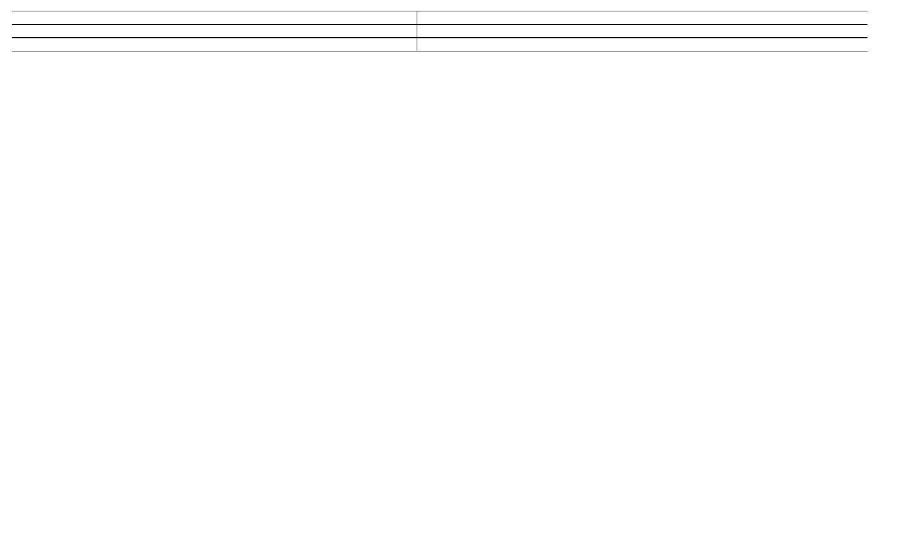| ,我们就会不会不会。""我们,我们就会不会不会不会,我们就会不会不会不会。""我们,我们就会不会不会不会。""我们,我们就会不会不会不会。""我们,我们就会不会 |                                                                                   |
|----------------------------------------------------------------------------------|-----------------------------------------------------------------------------------|
|                                                                                  | ,我们也不会不会不会。""我们的,我们也不会不会不会。""我们的,我们也不会不会不会不会。""我们的,我们也不会不会不会不会。""我们的,我们也不会不会不会不会  |
|                                                                                  | ,我们就会不会不会。""我们,我们就会不会不会,我们就会不会不会,我们就会不会不会。""我们,我们就会不会不会。""我们,我们就会不会不会不会。""我们,我们就会 |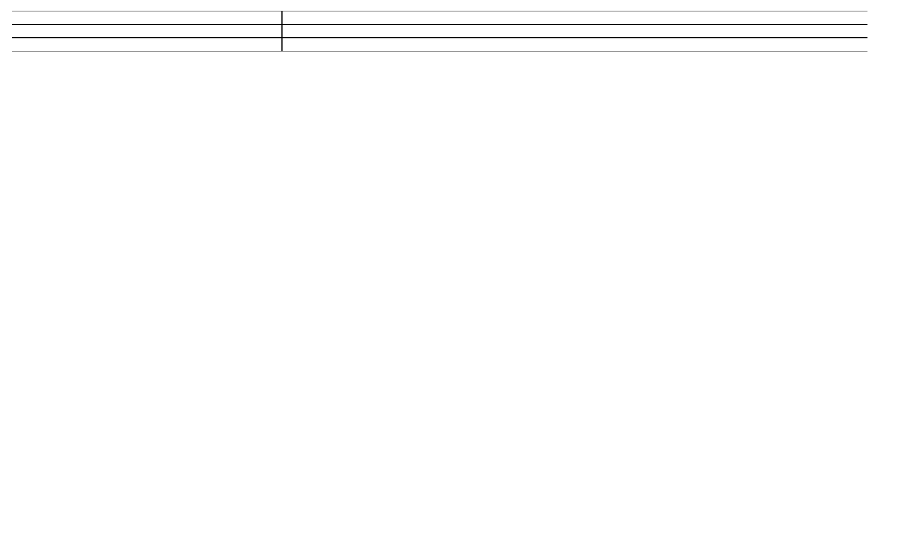| ,他们的人们就会在这里,他们的人们就会在这里,他们的人们就会在这里,他们的人们就会在这里,他们的人们就会在这里,他们的人们就会在这里,他们的人们就会在这里,他们<br>第251章 我们的人们的人们,我们的人们的人们的人们,我们的人们的人们的人们,我们的人们的人们的人们,我们的人们的人们的人们,我们的人们的人们的人们,我们的人们 |
|----------------------------------------------------------------------------------------------------------------------------------------------------------------------|
|                                                                                                                                                                      |
|                                                                                                                                                                      |
|                                                                                                                                                                      |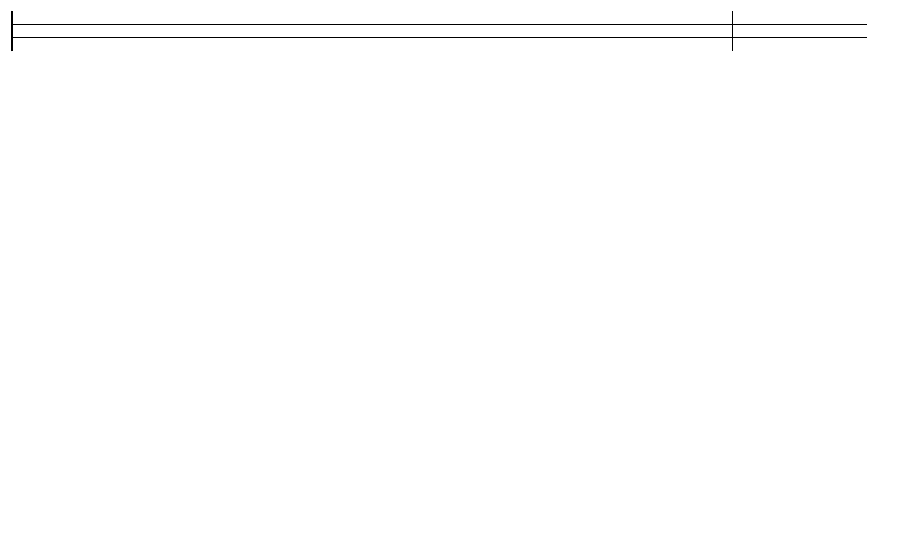| ,他们的人们就是一个人,他们的人们就是一个人,他们的人们,他们的人们就是一个人,他们的人们,他们的人们就是一个人,他们的人们,他们的人们,他们的人们,他们的人们,<br>第25章 我们的人们,他们的人们,他们的人们,他们的人们,他们的人们,他们的人们,他们的人们,他们的人们,他们的人们,他们的人们,他们的人们,他们的人们,他们的 |  |
|-----------------------------------------------------------------------------------------------------------------------------------------------------------------------|--|
| ,一个人都是一个人的人,而且,他们的人都是一个人,而且,他们的人都是一个人,而且,他们的人都是一个人,而且,他们的人都是一个人,而且,他们的人都是一个人,而且,他<br>第二百一十一章 一个人,他们的人都是一个人,他们的人都是一个人,他们的人都是一个人,他们的人都是一个人,他们的人都是一个人,他们的人都是一个人,他们的人都是一个 |  |
| ,一个人都是一个人的人,而且,他们的人都是一个人,他们的人都是一个人,他们的人都是一个人,他们的人都是一个人,他们的人都是一个人,他们的人都是一个人,他们的人都是                                                                                     |  |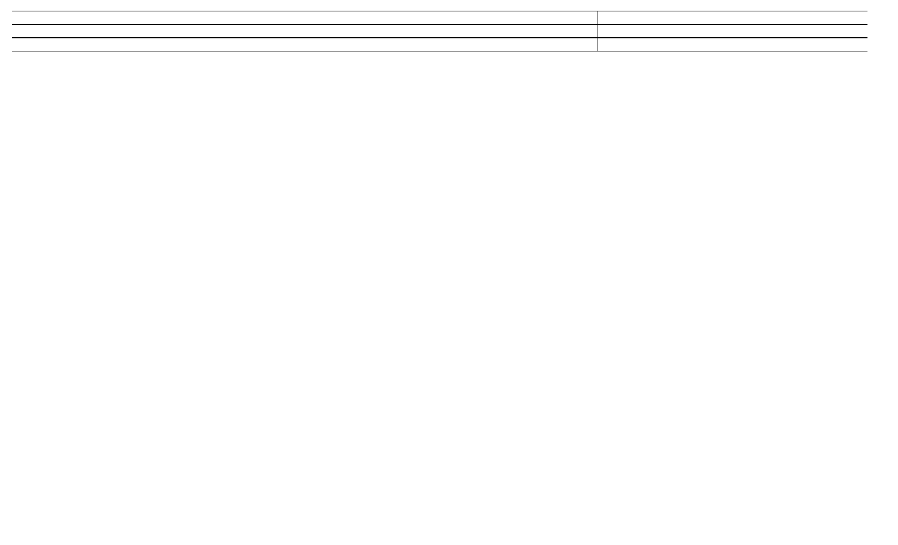| ,一个人都是一个人的人,而且,我们也不会不会不会。""我们,我们也不会不会不会不会不会不会不会不会。""我们,我们也不会不会不会不会不会不会不会不会。""我们,我<br>,他们的人们也不会不会。""我们的人们,我们也不会不会不会。""我们的人们,我们也不会不会不会。""我们的人们,我们也不会不会不会。""我们的人们,我们也不会不 |  |
|-----------------------------------------------------------------------------------------------------------------------------------------------------------------------|--|
| ,我们也不会不会不会。""我们的,我们也不会不会不会。""我们的,我们也不会不会不会不会。""我们的,我们也不会不会不会不会。""我们的,我们也不会不会不会不会                                                                                      |  |
|                                                                                                                                                                       |  |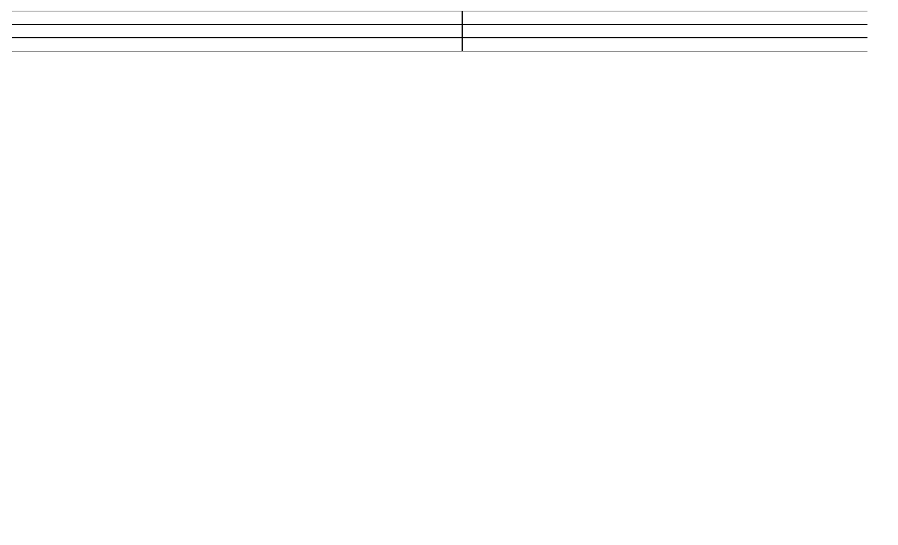| <u> 1980 - Ann an t-Aontaithe ann an t-Aontaithe ann an t-Aontaithe ann an t-Aontaithe ann an t-Aontaithe ann an t-</u> |
|-------------------------------------------------------------------------------------------------------------------------|
|                                                                                                                         |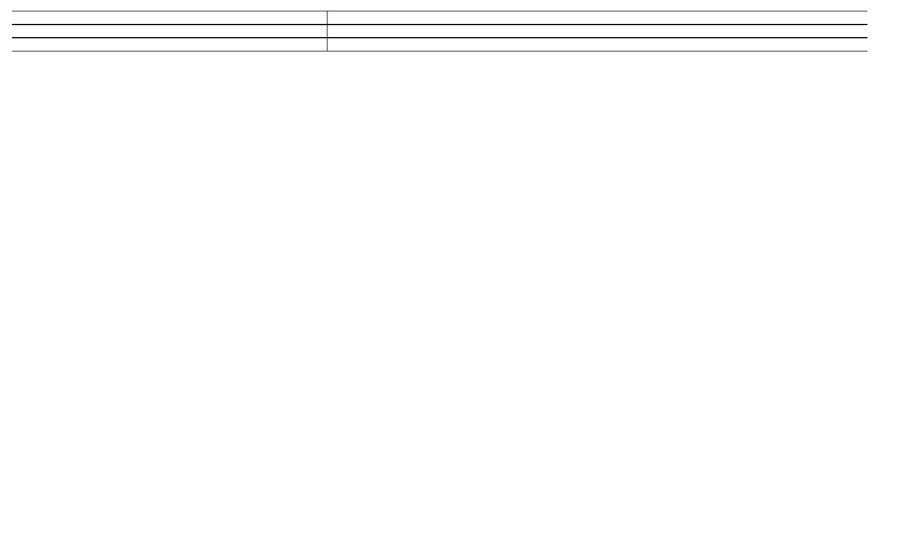| ,一个人都是一个人的人,而且,他们的人都是一个人,而且,他们的人都是一个人,而且,他们的人都是一个人,而且,他们的人都是一个人,而且,他们的人都是一个人,而且,他<br>第二十一章 一个人,他们的人都是一个人,他们的人都是一个人,他们的人都是一个人,他们的人都是一个人,他们的人都是一个人,他们的人都是一个人,他们的人都是一个人, | ,我们也不会不会。""我们的,我们也不会不会。""我们的,我们也不会不会不会。""我们的,我们也不会不会不会。""我们的,我们也不会不会不会。""我们的,我们也 |
|-----------------------------------------------------------------------------------------------------------------------------------------------------------------------|----------------------------------------------------------------------------------|
|                                                                                                                                                                       |                                                                                  |
|                                                                                                                                                                       |                                                                                  |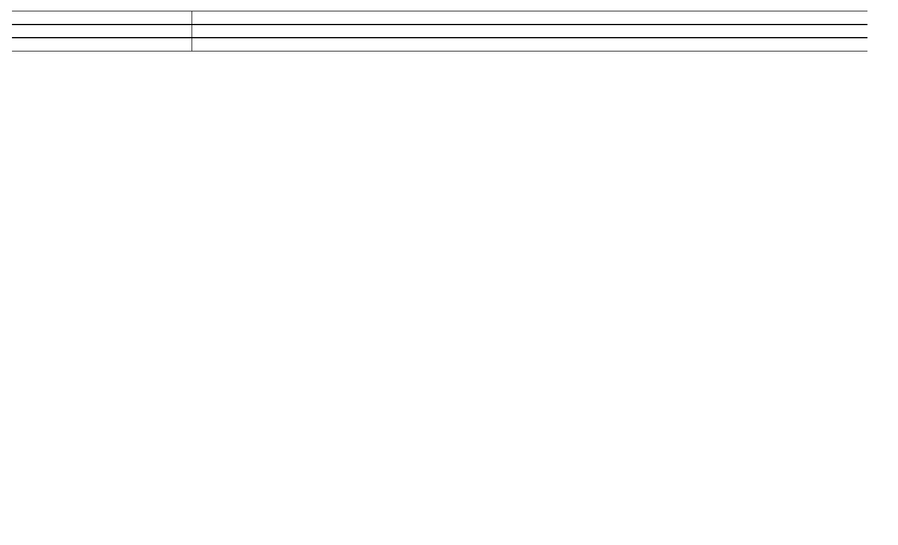| ,一个人的人都是一个人的人,而且,他们的人都是一个人的人,而且,他们的人都是一个人的人,而且,他们的人都是一个人的人,而且,他们的人都是一个人的人,而且,他们的人<br>第一百一十一章 一个人的人,他们的人都是一个人的人,他们的人都是一个人的人,他们的人都是一个人的人,他们的人都是一个人的人,他们的人都是一个人的人,他们的人都是<br>,我们就会不会不会。""我们,我们就会不会不会不会。""我们,我们就会不会不会不会不会不会。""我们,我们就会不会不会不会不会。""我们,我们就会不会不会不会不 |
|-----------------------------------------------------------------------------------------------------------------------------------------------------------------------------------------------------------------------------------------------------------|
| ,一个人都是一个人的人,而且,他们的人都是一个人,而且,他们的人都是一个人,而且,他们的人都是一个人,而且,他们的人都是一个人,而且,他们的人都是一个人,而且,他<br>第二十一章 一个人,他们的人都是一个人,他们的人都是一个人,他们的人都是一个人,他们的人都是一个人,他们的人都是一个人,他们的人都是一个人,他们的人都是一个人,                                                                                     |
|                                                                                                                                                                                                                                                           |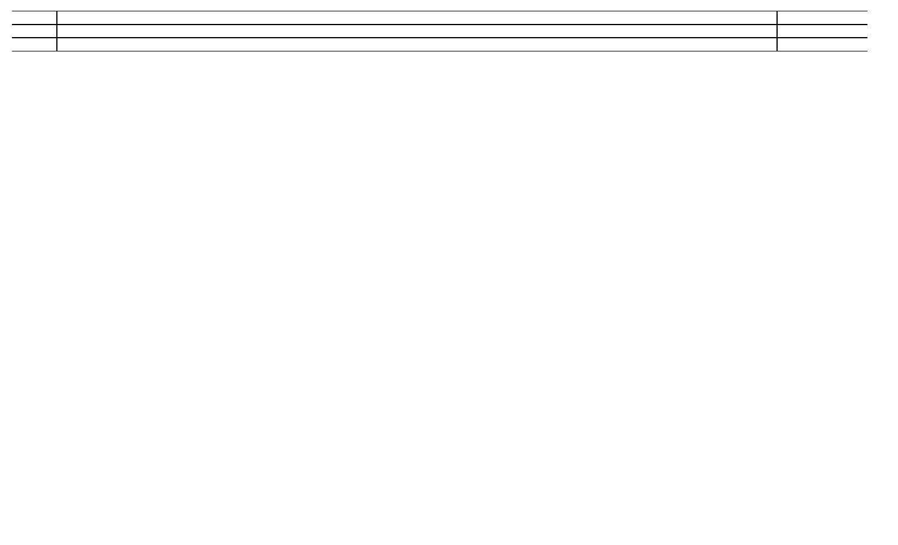| <u>та на представљен под податковата на представљен податковата на представљен податковата на представљен податк</u> |  |
|----------------------------------------------------------------------------------------------------------------------|--|
|                                                                                                                      |  |
| ,一个人都是一个人的人,一个人都是一个人的人,一个人都是一个人的人,一个人都是一个人的人,一个人都是一个人的人,一个人都是一个人的人,一个人都是一个人的人,一个人                                    |  |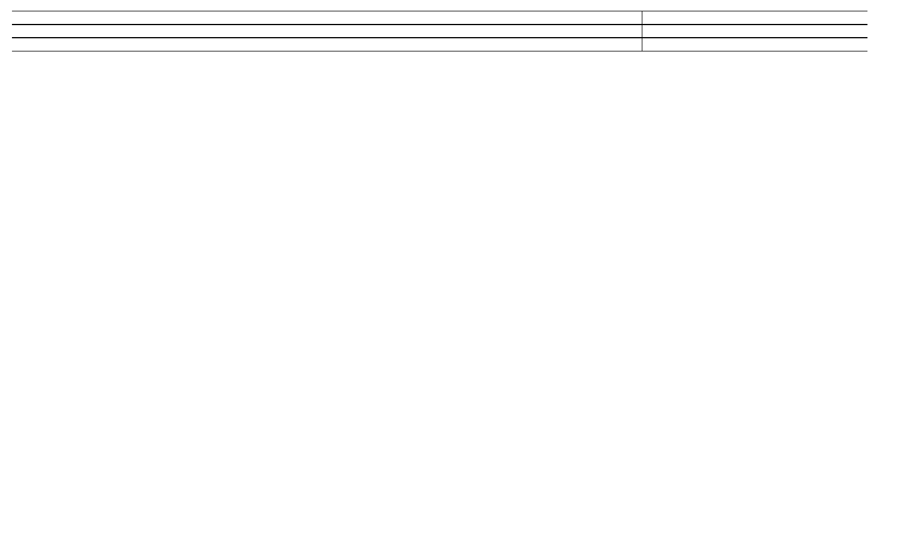| ,一个人都是一个人的人,一个人都是一个人的人,一个人都是一个人的人,一个人都是一个人的人,一个人都是一个人的人,一个人都是一个人的人,一个人都是一个人的人,一个人<br>→ South State State State State State State State State State State State State State State State State State State State State State State State State State State State State State State State State State State State St |  |
|-------------------------------------------------------------------------------------------------------------------------------------------------------------------------------------------------------------------------------------------------------------------------------------------------------------------|--|
| ,一个人的人都是一个人的人,而且,他们的人都是不是一个人的人,而且,他们的人都是不是一个人的人,而且,他们的人都是不是一个人的人,而且,他们的人都是不是一个人的<br>第一百一十一章 一个人的人,他们的人都是不是一个人的人,他们的人都是不是一个人的人,他们的人都是不是一个人的人,他们的人都是不是一个人的人,他们的人都是不是一个                                                                                                                                              |  |
| ,我们也不会不会不会。""我们的,我们也不会不会不会。""我们的,我们也不会不会不会不会不会。""我们的,我们也不会不会不会不会。""我们的,我们也不会不会不会<br>第二百一章 第二百一章 第二百一章 第二百一章 第二百一章 第二百一章 第二百一章 第二百一章 第二百一章 第二百一章 第二百一章 第二百一章 第二百一章 第二                                                                                                                                              |  |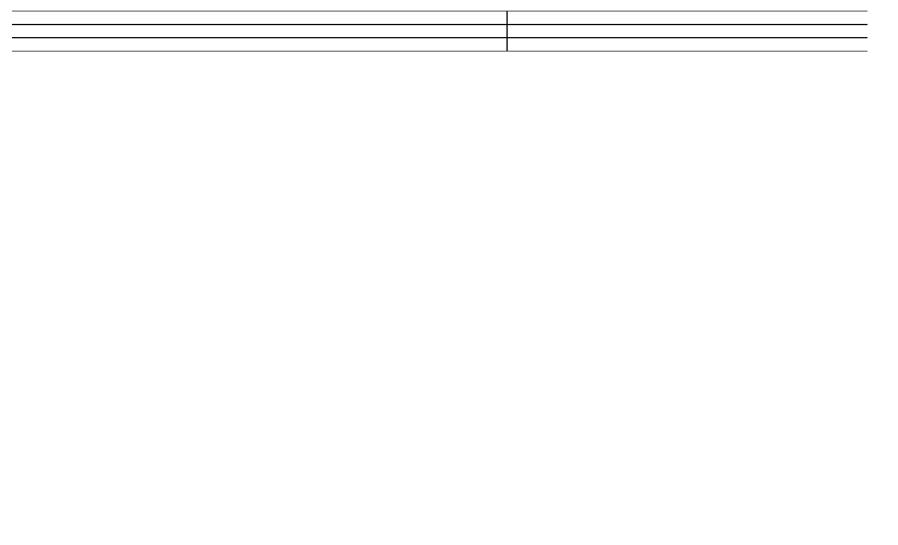| ,一个人都是一个人的人,而且,他们的人都是一个人,而且,他们的人都是一个人,而且,他们的人都是一个人,而且,他们的人都是一个人,而且,他们的人都是一个人,而且,他<br>第二十二章 第二十二章 第二十二章 第二十二章 第二十二章 第二十二章 第二十二章 第二十二章 第二十二章 第二十二章 第二十二章 第二十二章 第二十二章 第二十 |  |
|------------------------------------------------------------------------------------------------------------------------------------------------------------------------|--|
|                                                                                                                                                                        |  |
| ,我们就会不会不会。""我们的,我们也不会不会不会。""我们的,我们也不会不会不会不会不会。""我们的,我们也不会不会不会不会。""我们的,我们也不会不会不会不                                                                                       |  |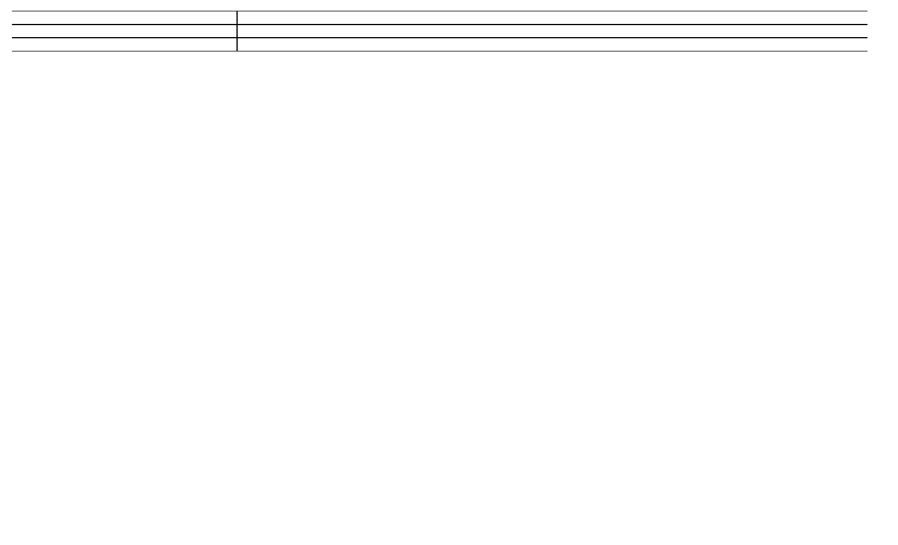| ,我们就会不会不会。""我们,我们也不会不会不会。""我们,我们也不会不会不会不会不会不会。""我们,我们也不会不会不会不会。""我们,我们也不会不会不会不会不  |
|-----------------------------------------------------------------------------------|
| ,一个人都是一个人的人,一个人都是一个人的人,一个人都是一个人的人,一个人都是一个人的人,一个人都是一个人的人,一个人都是一个人的人,一个人都是一个人的人,一个人 |
|                                                                                   |
| ,一个人都是一个人的人,而且,我们也不会不会不会。""我们,我们也不会不会不会不会。""我们,我们也不会不会不会不会。""我们,我们也不会不会不会不会。""我们, |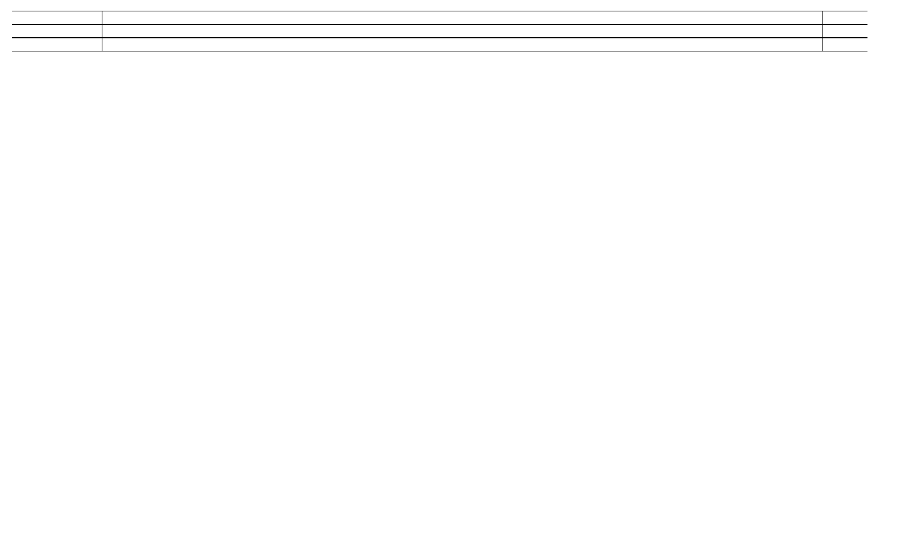| ,一个人都是一个人的人,一个人都是一个人的人,一个人都是一个人的人,一个人都是一个人的人,一个人都是一个人的人,一个人都是一个人的人,一个人都是一个人的人,一个人<br>第二十一章 一个人的人,一个人都是一个人的人,一个人都是一个人的人,一个人都是一个人的人,一个人都是一个人的人,一个人都是一个人的人,一个人都是一个人的人,一个<br>,一个人都是一个人的人,一个人都是一个人的人,一个人都是一个人的人,一个人都是一个人的人,一个人都是一个人的人,一个人都是一个人的人,一个人都是一个人的人,一个人<br>第二十一章 一个人的人,一个人的人都是一个人的人,一个人的人都是一个人的人,一个人的人都是一个人的人,一个人的人都是一个人的人,一个人的人都是一个人的人,一个人 |  |
|------------------------------------------------------------------------------------------------------------------------------------------------------------------------------------------------------------------------------------------------------------------------------------------------------------------------------------------------|--|
| ,一个人的人都是一个人的人,而且,他们的人都是一个人的人,而且,他们的人都是一个人的人,而且,他们的人都是一个人的人,而且,他们的人都是一个人的人,而且,他们的<br>第一百一十一章 一个人的人,他们的人都是一个人的人,他们的人都是一个人的人,他们的人都是一个人的人,他们的人都是一个人的人,他们的人都是一个人的人,他们的人都是                                                                                                                                                                           |  |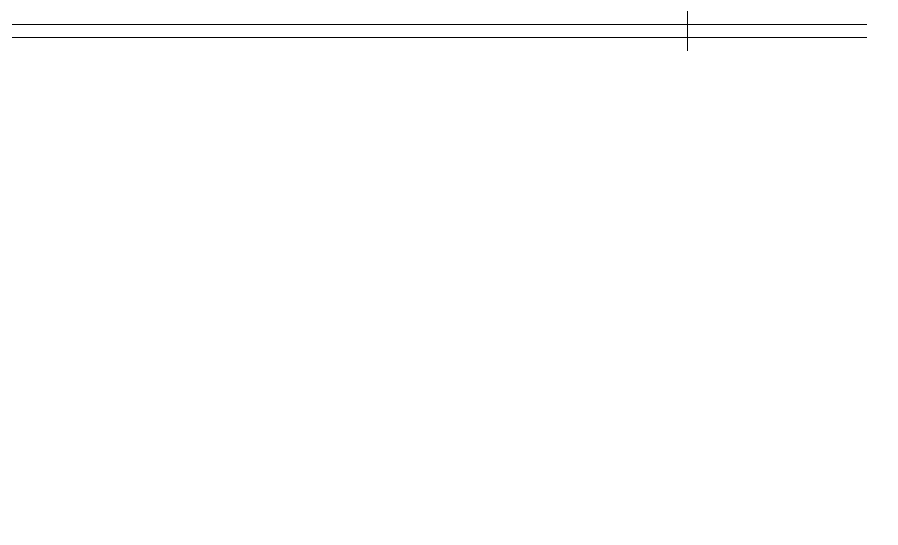| ,我们就会不会不会。""我们,我们也不会不会不会。""我们,我们也不会不会不会不会不会不会不会。""我们,我们也不会不会不会不会不会。""我们,我们也不会不会不  |  |
|-----------------------------------------------------------------------------------|--|
| ,一个人的人都是一个人的人,而且,他们的人都是一个人的人,而且,他们的人都是一个人的人,而且,他们的人都是一个人的人,而且,他们的人都是一个人的人,而且,他们的人 |  |
|                                                                                   |  |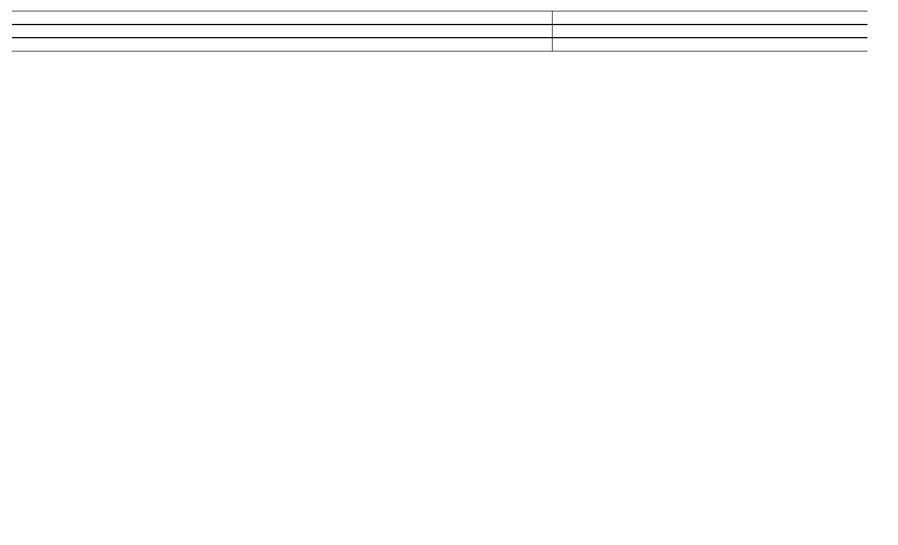| → 中国的 → 中国的 → 中国的 → 中国的 → 中国的 → 中国的 → 中国的 → 中国的 → 中国的 → 中国的 → 中国的 → 中国的 → 中国的 → 中国的 → 中国的 → 中国的 → 中国的 → 中国的 → 中国 |  |
|------------------------------------------------------------------------------------------------------------------|--|
|                                                                                                                  |  |
|                                                                                                                  |  |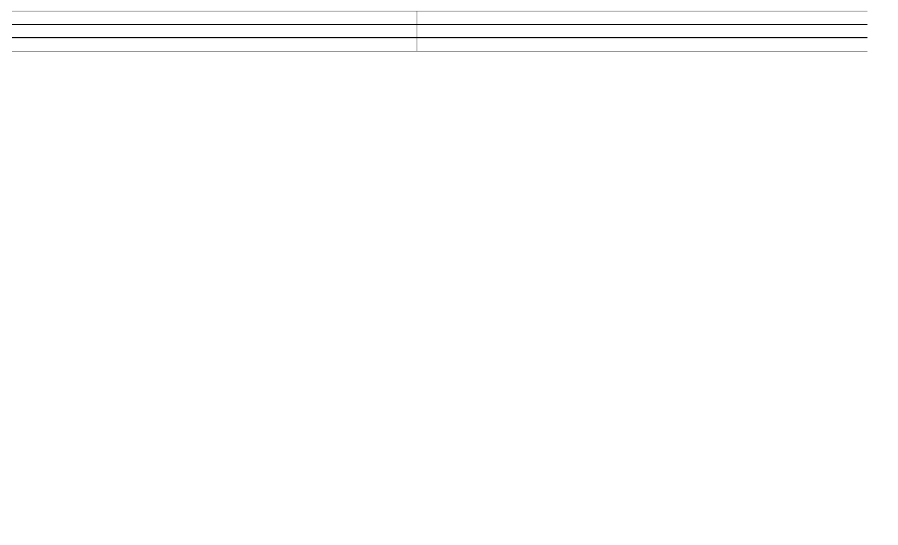| ,我们就会不会不会。""我们,我们就会不会不会不会,我们就会不会不会不会。""我们,我们就会不会不会不会。""我们,我们就会不会不会不会。""我们,我们就会不会 |                                                                                   |
|----------------------------------------------------------------------------------|-----------------------------------------------------------------------------------|
|                                                                                  | ,我们也不会不会不会。""我们的,我们也不会不会不会。""我们的,我们也不会不会不会不会。""我们的,我们也不会不会不会不会。""我们的,我们也不会不会不会不会  |
|                                                                                  | ,我们就会不会不会。""我们,我们就会不会不会,我们就会不会不会,我们就会不会不会。""我们,我们就会不会不会。""我们,我们就会不会不会不会。""我们,我们就会 |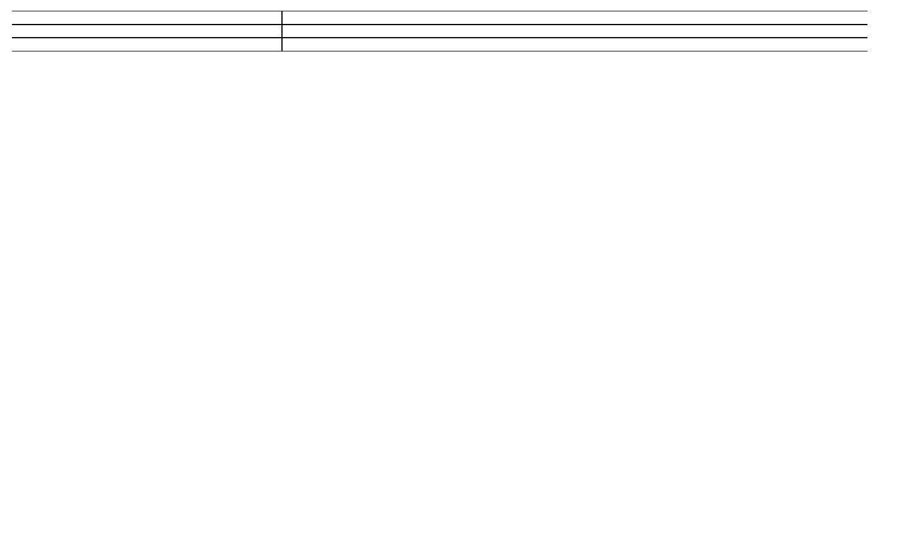| ,一个人都是一个人的人,而且,我们也不会不会不会。""我们,我们也不会不会不会不会不会不会不会。""我们,我们也不会不会不会不会不会不会不会不会。""我们,我们                                                                                     |
|----------------------------------------------------------------------------------------------------------------------------------------------------------------------|
|                                                                                                                                                                      |
| ,他们的人们就会在这里,他们的人们就会在这里,他们的人们就会在这里,他们的人们就会在这里,他们的人们就会在这里,他们的人们就会在这里,他们的人们就会在这里,他们<br>第251章 我们的人们的人们,我们的人们的人们的人们,我们的人们的人们的人们,我们的人们的人们的人们,我们的人们的人们的人们,我们的人们的人们的人们,我们的人们 |
|                                                                                                                                                                      |
|                                                                                                                                                                      |
|                                                                                                                                                                      |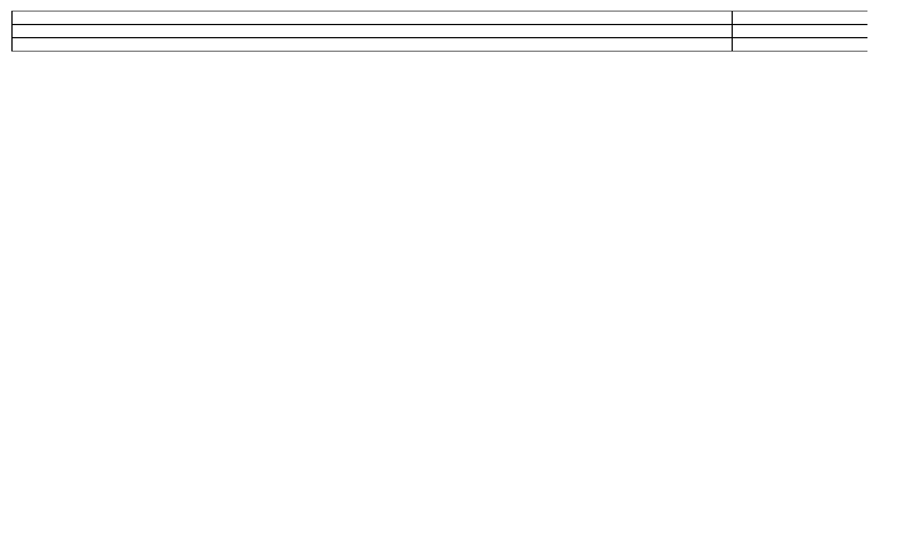| ,他们的人们就是一个人,他们的人们就是一个人,他们的人们,他们的人们就是一个人,他们的人们,他们的人们就是一个人,他们的人们,他们的人们,他们的人们,他们的人们,<br>第25章 我们的人们,他们的人们,他们的人们,他们的人们,他们的人们,他们的人们,他们的人们,他们的人们,他们的人们,他们的人们,他们的人们,他们的人们,他们的 |  |
|-----------------------------------------------------------------------------------------------------------------------------------------------------------------------|--|
| ,一个人都是一个人的人,而且,他们的人都是一个人,而且,他们的人都是一个人,而且,他们的人都是一个人,而且,他们的人都是一个人,而且,他们的人都是一个人,而且,他<br>第二百一十一章 一个人,他们的人都是一个人,他们的人都是一个人,他们的人都是一个人,他们的人都是一个人,他们的人都是一个人,他们的人都是一个人,他们的人都是一个 |  |
| ,一个人都是一个人的人,而且,他们的人都是一个人,他们的人都是一个人,他们的人都是一个人,他们的人都是一个人,他们的人都是一个人,他们的人都是一个人,他们的人都是                                                                                     |  |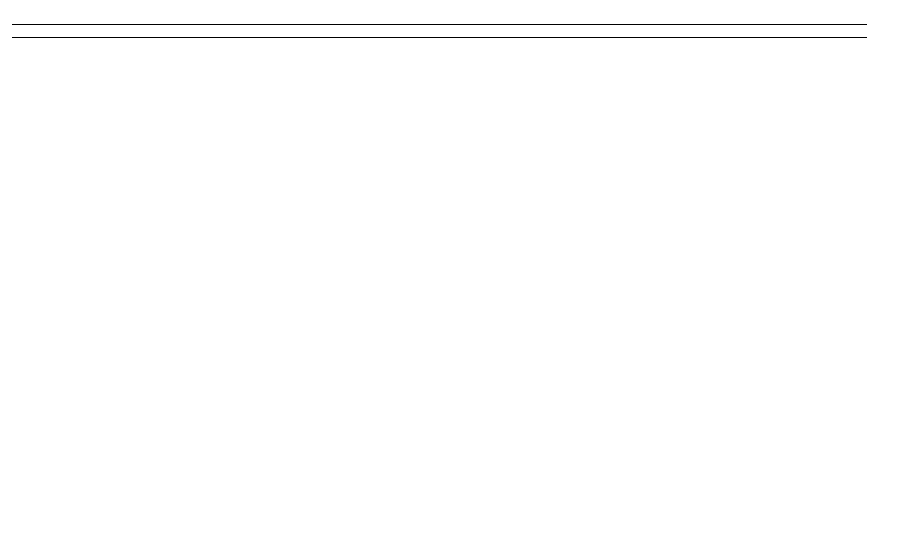| ,一个人都是一个人的人,而且,我们也不会不会不会。""我们,我们也不会不会不会不会不会不会不会不会。""我们,我们也不会不会不会不会不会不会不会不会。""我们,我<br>,他们的人们也不会不会。""我们的人们,我们也不会不会不会。""我们的人们,我们也不会不会不会。""我们的人们,我们也不会不会不会。""我们的人们,我们也不会不 |  |
|-----------------------------------------------------------------------------------------------------------------------------------------------------------------------|--|
| ,我们也不会不会不会。""我们的,我们也不会不会不会。""我们的,我们也不会不会不会不会。""我们的,我们也不会不会不会不会。""我们的,我们也不会不会不会不会                                                                                      |  |
|                                                                                                                                                                       |  |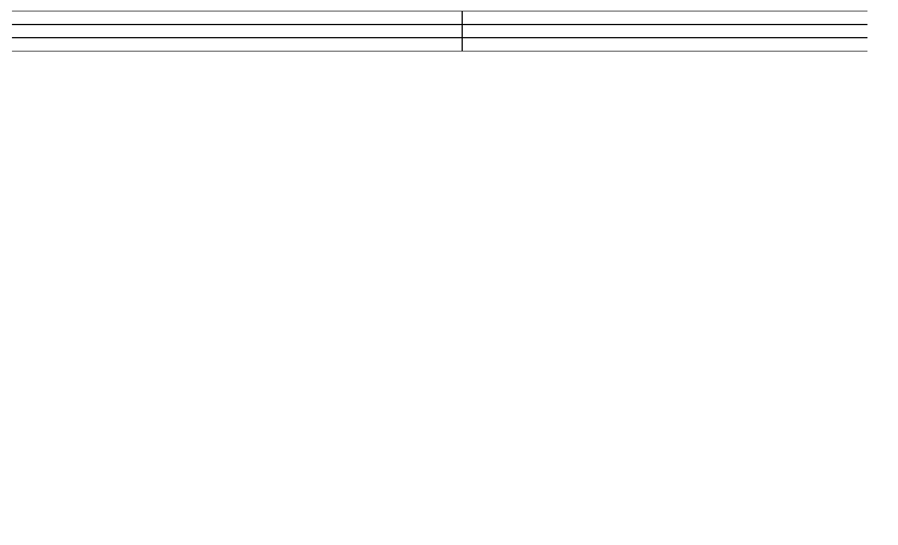| <u> 2001 - An t-An Aontaithe ann an t-Aontaithe ann an t-Aontaithe ann an t-Aontaithe ann an t-Aontaithe ann an t-</u> |
|------------------------------------------------------------------------------------------------------------------------|
|                                                                                                                        |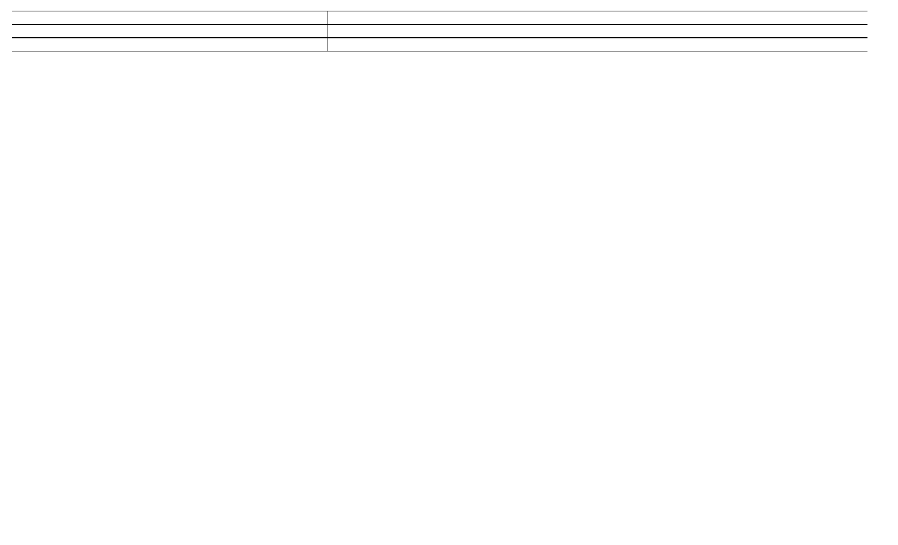| ,一个人都是一个人的人,而且,他们的人都是一个人,而且,他们的人都是一个人,而且,他们的人都是一个人,而且,他们的人都是一个人,而且,他们的人都是一个人,而且,他<br>第二十一章 一个人,他们的人都是一个人,他们的人都是一个人,他们的人都是一个人,他们的人都是一个人,他们的人都是一个人,他们的人都是一个人,他们的人都是一个人, | ,我们也不会不会。""我们的,我们也不会不会。""我们的,我们也不会不会不会。""我们的,我们也不会不会不会。""我们的,我们也不会不会不会。""我们的,我们也 |
|-----------------------------------------------------------------------------------------------------------------------------------------------------------------------|----------------------------------------------------------------------------------|
|                                                                                                                                                                       |                                                                                  |
|                                                                                                                                                                       |                                                                                  |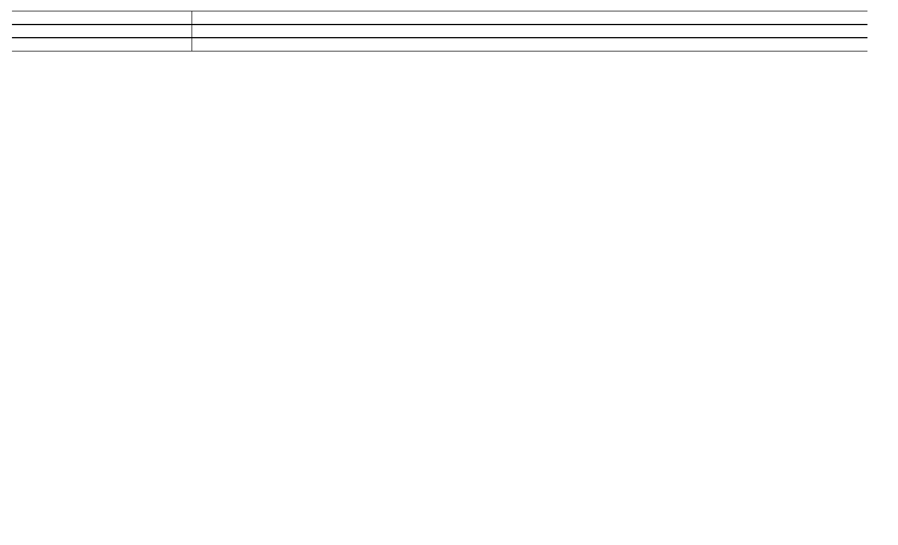| ,一个人的人都是一个人的人,而且,他们的人都是一个人的人,而且,他们的人都是一个人的人,而且,他们的人都是一个人的人,而且,他们的人都是一个人的人,而且,他们的人<br>第一百一十一章 一个人的人,他们的人都是一个人的人,他们的人都是一个人的人,他们的人都是一个人的人,他们的人都是一个人的人,他们的人都是一个人的人,他们的人都是<br>,我们就会不会不会。""我们,我们就会不会不会不会。""我们,我们就会不会不会不会不会不会。""我们,我们就会不会不会不会不会。""我们,我们就会不会不会不会不 |
|-----------------------------------------------------------------------------------------------------------------------------------------------------------------------------------------------------------------------------------------------------------|
| ,一个人都是一个人的人,而且,他们的人都是一个人,而且,他们的人都是一个人,而且,他们的人都是一个人,而且,他们的人都是一个人,而且,他们的人都是一个人,而且,他<br>第二十一章 一个人,他们的人都是一个人,他们的人都是一个人,他们的人都是一个人,他们的人都是一个人,他们的人都是一个人,他们的人都是一个人,他们的人都是一个人,                                                                                     |
|                                                                                                                                                                                                                                                           |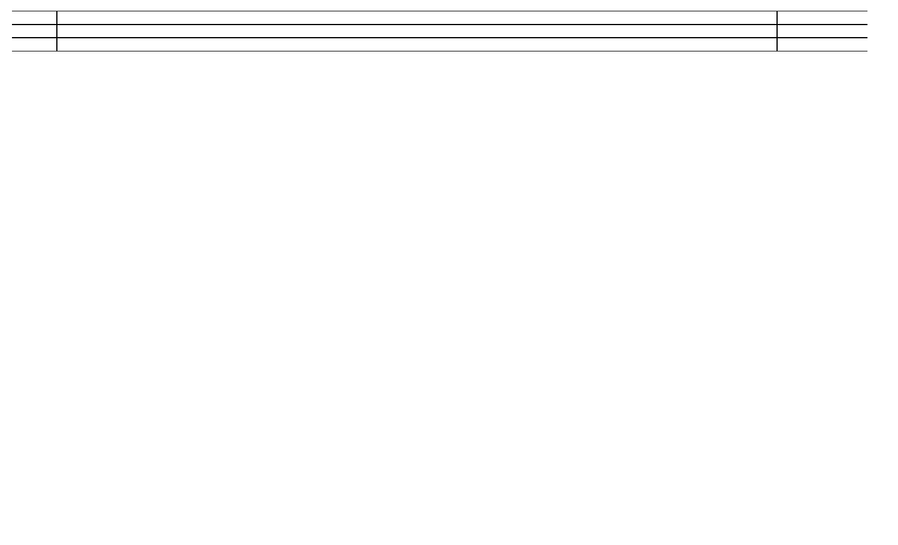| <u>та на представљен под податковата на представљен податковата на представљен податковата на представљен податк</u> |  |
|----------------------------------------------------------------------------------------------------------------------|--|
|                                                                                                                      |  |
| ,一个人都是一个人的人,一个人都是一个人的人,一个人都是一个人的人,一个人都是一个人的人,一个人都是一个人的人,一个人都是一个人的人,一个人都是一个人的人,一个人                                    |  |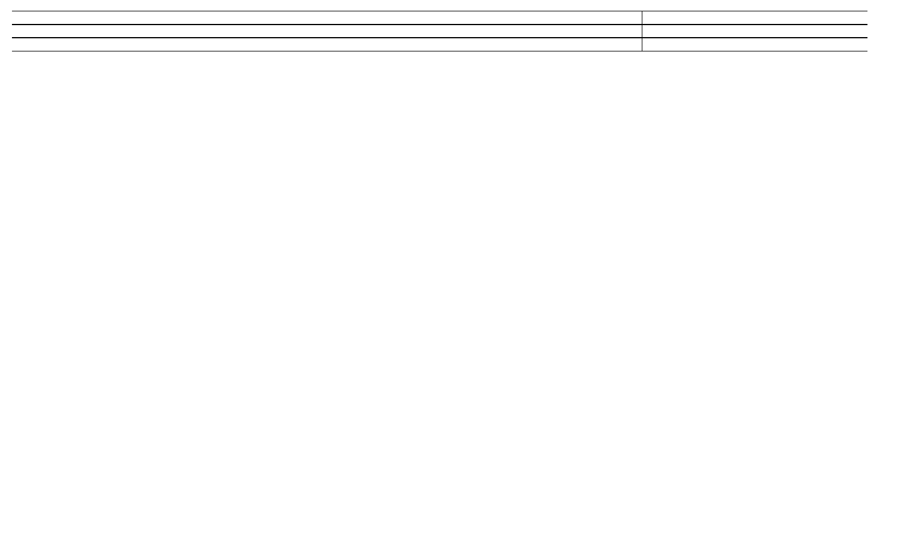| ,一个人都是一个人的人,一个人都是一个人的人,一个人都是一个人的人,一个人都是一个人的人,一个人都是一个人的人,一个人都是一个人的人,一个人都是一个人的人,一个人<br>→ South State State State State State State State State State State State State State State State State State State State State State State State State State State State State State State State State State State State St |  |
|-------------------------------------------------------------------------------------------------------------------------------------------------------------------------------------------------------------------------------------------------------------------------------------------------------------------|--|
| ,一个人的人都是一个人的人,而且,他们的人都是不是一个人的人,而且,他们的人都是不是一个人的人,而且,他们的人都是不是一个人的人,而且,他们的人都是不是一个人的<br>第一百一十一章 一个人的人,他们的人都是不是一个人的人,他们的人都是不是一个人的人,他们的人都是不是一个人的人,他们的人都是不是一个人的人,他们的人都是不是一个                                                                                                                                              |  |
| ,我们也不会不会不会。""我们的,我们也不会不会不会。""我们的,我们也不会不会不会不会不会。""我们的,我们也不会不会不会不会。""我们的,我们也不会不会不会<br>第二百一章 第二百一章 第二百一章 第二百一章 第二百一章 第二百一章 第二百一章 第二百一章 第二百一章 第二百一章 第二百一章 第二百一章 第二百一章 第二                                                                                                                                              |  |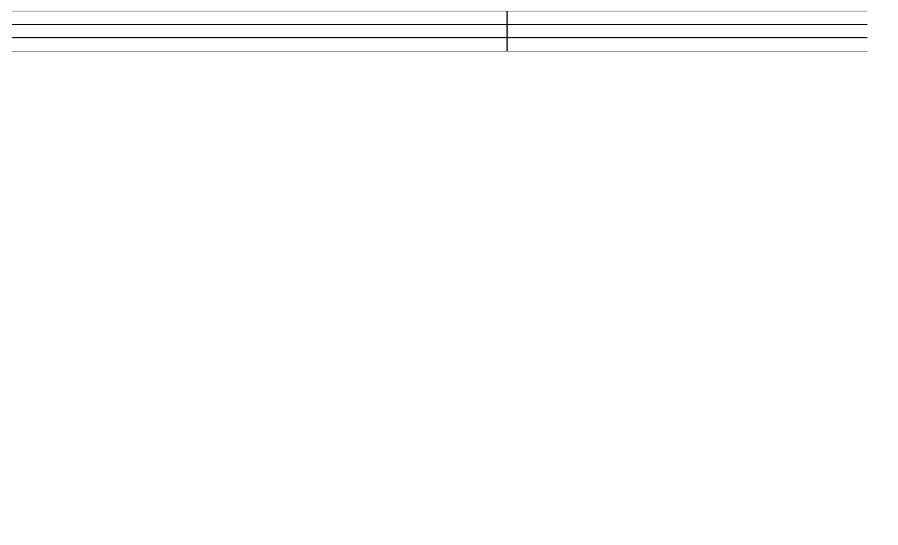| ,一个人都是一个人的人,而且,他们的人都是一个人,而且,他们的人都是一个人,而且,他们的人都是一个人,而且,他们的人都是一个人,而且,他们的人都是一个人,而且,他<br>第二十二章 第二十二章 第二十二章 第二十二章 第二十二章 第二十二章 第二十二章 第二十二章 第二十二章 第二十二章 第二十二章 第二十二章 第二十二章 第二十 |  |
|------------------------------------------------------------------------------------------------------------------------------------------------------------------------|--|
|                                                                                                                                                                        |  |
| ,一个人的人都是一个人的人,而且,他们的人都是一个人的人,而且,他们的人都是一个人的人,而且,他们的人都是一个人的人,而且,他们的人都是一个人的人,而且,他们的人                                                                                      |  |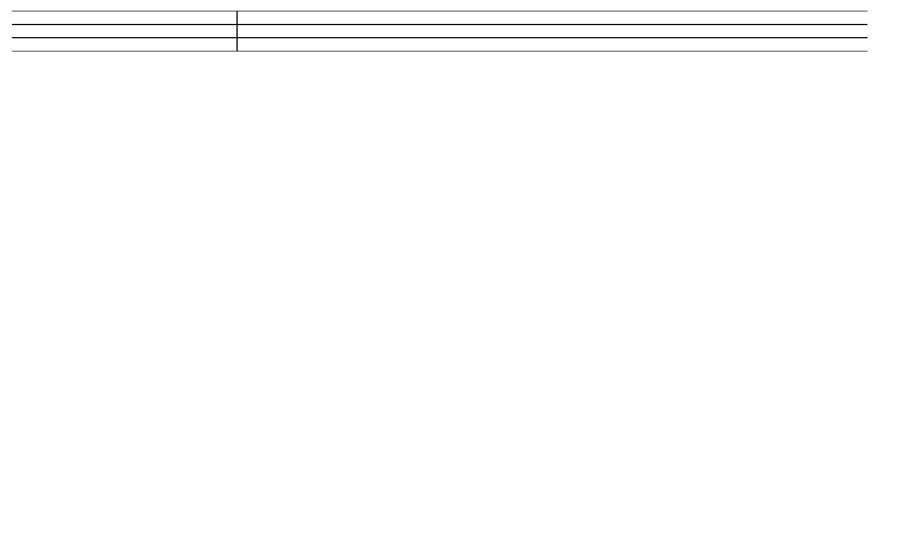| ,我们就会不会不会。""我们,我们也不会不会不会。""我们,我们也不会不会不会不会不会不会。""我们,我们也不会不会不会不会。""我们,我们也不会不会不会不会不  |
|-----------------------------------------------------------------------------------|
| ,一个人都是一个人的人,一个人都是一个人的人,一个人都是一个人的人,一个人都是一个人的人,一个人都是一个人的人,一个人都是一个人的人,一个人都是一个人的人,一个人 |
|                                                                                   |
| ,一个人都是一个人的人,而且,我们也不会不会不会。""我们,我们也不会不会不会不会不会不会不会。""我们,我们也不会不会不会不会不会不会不会不会。""我们,我们  |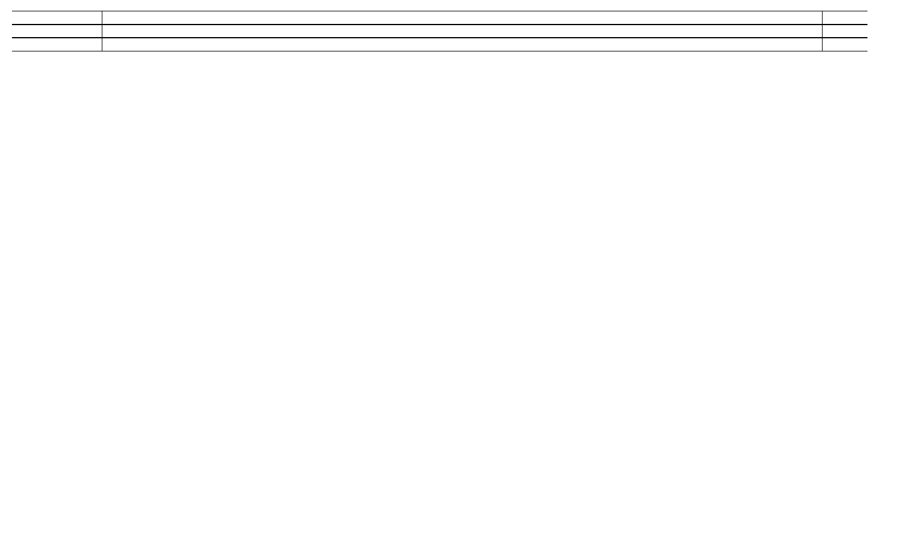| ,一个人都是一个人的人,一个人都是一个人的人,一个人都是一个人的人,一个人都是一个人的人,一个人都是一个人的人,一个人都是一个人的人,一个人都是一个人的人,一个人<br>第二十一章 一个人的人,一个人都是一个人的人,一个人都是一个人的人,一个人都是一个人的人,一个人都是一个人的人,一个人都是一个人的人,一个人都是一个人的人,一个<br>,一个人都是一个人的人,一个人都是一个人的人,一个人都是一个人的人,一个人都是一个人的人,一个人都是一个人的人,一个人都是一个人的人,一个人都是一个人的人,一个人<br>第二十一章 一个人的人,一个人都是一个人的人,一个人都是一个人的人,一个人都是一个人的人,一个人都是一个人的人,一个人都是一个人的人,一个人都是一个人的人,一个 |  |
|------------------------------------------------------------------------------------------------------------------------------------------------------------------------------------------------------------------------------------------------------------------------------------------------------------------------------------------------|--|
| ,一个人的人都是一个人的人,而且,他们的人都是一个人的人,而且,他们的人都是一个人的人,而且,他们的人都是一个人的人,而且,他们的人都是一个人的人,而且,他们的<br>第一百一十一章 一个人的人,他们的人都是一个人的人,他们的人都是一个人的人,他们的人都是一个人的人,他们的人都是一个人的人,他们的人都是一个人的人,他们的人都是                                                                                                                                                                           |  |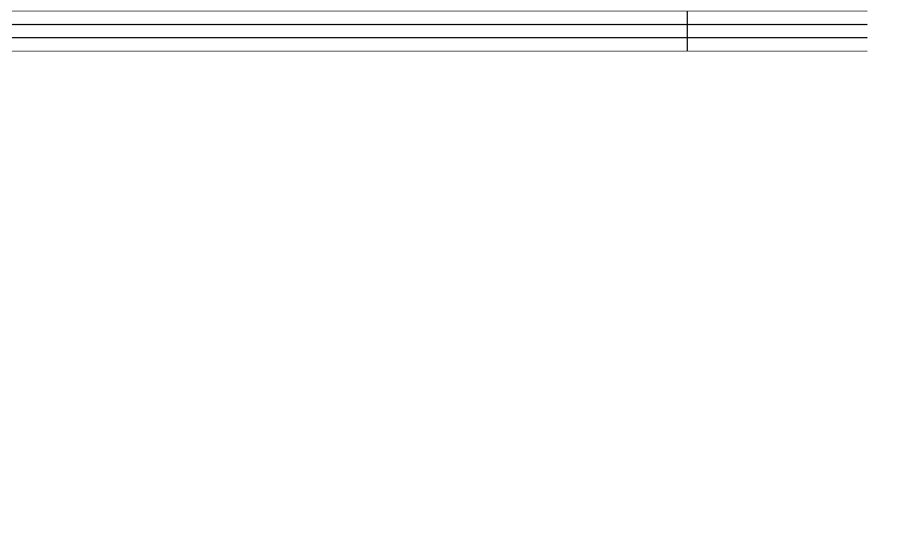| ,一个人的人都是一个人的人,而且,我们也不会不会不会。""我们,我们也不会不会不会不会不会不会。""我们,我们也不会不会不会不会。""我们,我们也不会不会不会不 |  |
|----------------------------------------------------------------------------------|--|
|                                                                                  |  |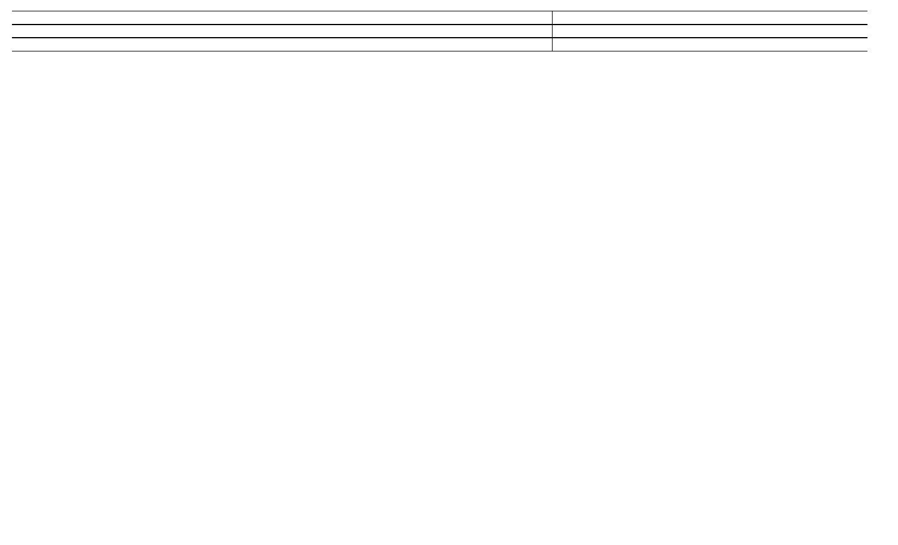| → 中国的 → 中国的 → 中国的 → 中国的 → 中国的 → 中国的 → 中国的 → 中国的 → 中国的 → 中国的 → 中国的 → 中国的 → 中国的 → 中国的 → 中国的 → 中国的 → 中国的 → 中国的 → 中国 |  |
|------------------------------------------------------------------------------------------------------------------|--|
|                                                                                                                  |  |
|                                                                                                                  |  |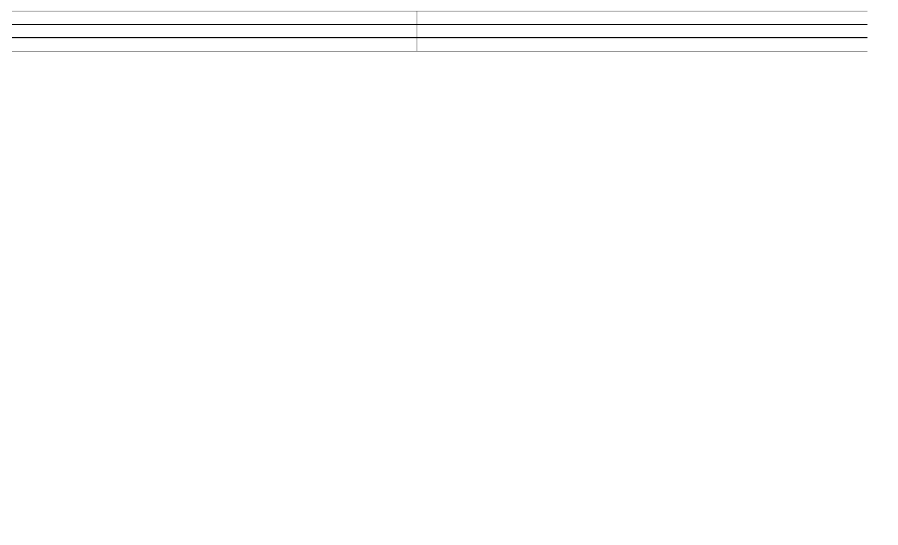| ,我们就会不会不会。""我们,我们就会不会不会不会,我们就会不会不会不会。""我们,我们就会不会不会不会。""我们,我们就会不会不会不会。""我们,我们就会不会 |                                                                                   |
|----------------------------------------------------------------------------------|-----------------------------------------------------------------------------------|
|                                                                                  | ,我们也不会不会不会。""我们的,我们也不会不会不会。""我们的,我们也不会不会不会不会。""我们的,我们也不会不会不会不会。""我们的,我们也不会不会不会不会  |
|                                                                                  | ,我们就会不会不会。""我们,我们就会不会不会,我们就会不会不会,我们就会不会不会。""我们,我们就会不会不会。""我们,我们就会不会不会不会。""我们,我们就会 |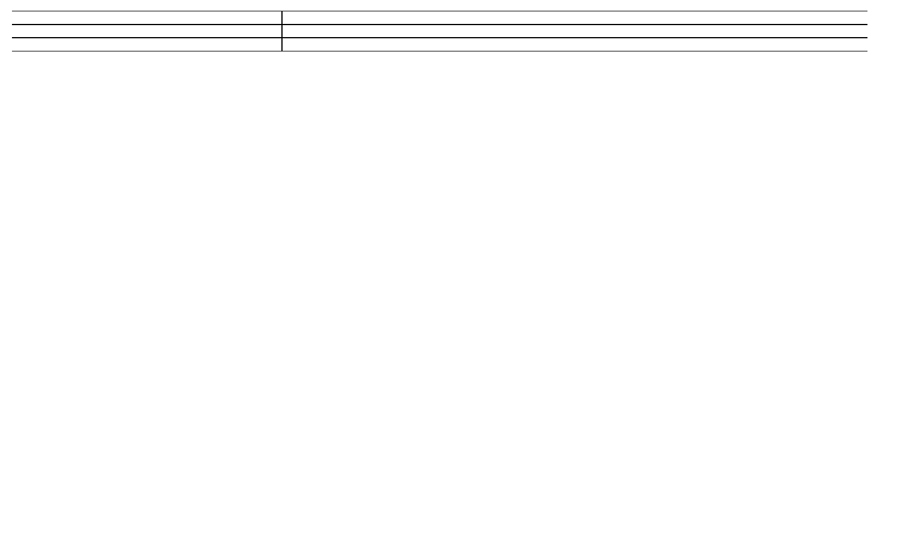| ,一个人都是一个人的人,我们就是一个人的人,我们就是一个人的人,我们就是一个人的人,我们就是一个人的人,我们就是一个人的人,我们就是一个人的人,我们就是一个人的<br>第一百一十一章 一个人的人,我们就是一个人的人,我们就是一个人的人,我们就是一个人的人,我们就是一个人的人,我们就是一个人的人,我们就是一个人的人,我们就是一个 |
|----------------------------------------------------------------------------------------------------------------------------------------------------------------------|
|                                                                                                                                                                      |
|                                                                                                                                                                      |
|                                                                                                                                                                      |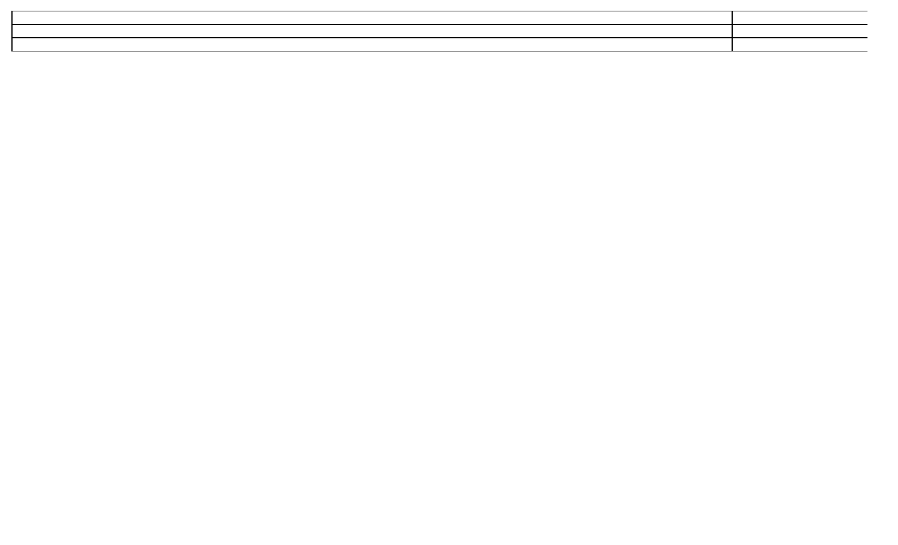| ,他们的人们就是一个人,他们的人们就是一个人,他们的人们,他们的人们就是一个人,他们的人们,他们的人们就是一个人,他们的人们,他们的人们,他们的人们,他们的人们,<br>第25章 我们的人们,他们的人们,他们的人们,他们的人们,他们的人们,他们的人们,他们的人们,他们的人们,他们的人们,他们的人们,他们的人们,他们的人们,他们的 |  |
|-----------------------------------------------------------------------------------------------------------------------------------------------------------------------|--|
| ,一个人都是一个人的人,而且,他们的人都是一个人,而且,他们的人都是一个人,而且,他们的人都是一个人,而且,他们的人都是一个人,而且,他们的人都是一个人,而且,他<br>第二百一十一章 一个人,他们的人都是一个人,他们的人都是一个人,他们的人都是一个人,他们的人都是一个人,他们的人都是一个人,他们的人都是一个人,他们的人都是一个 |  |
| ,一个人都是一个人的人,而且,他们的人都是一个人,他们的人都是一个人,他们的人都是一个人,他们的人都是一个人,他们的人都是一个人,他们的人都是一个人,他们的人都是                                                                                     |  |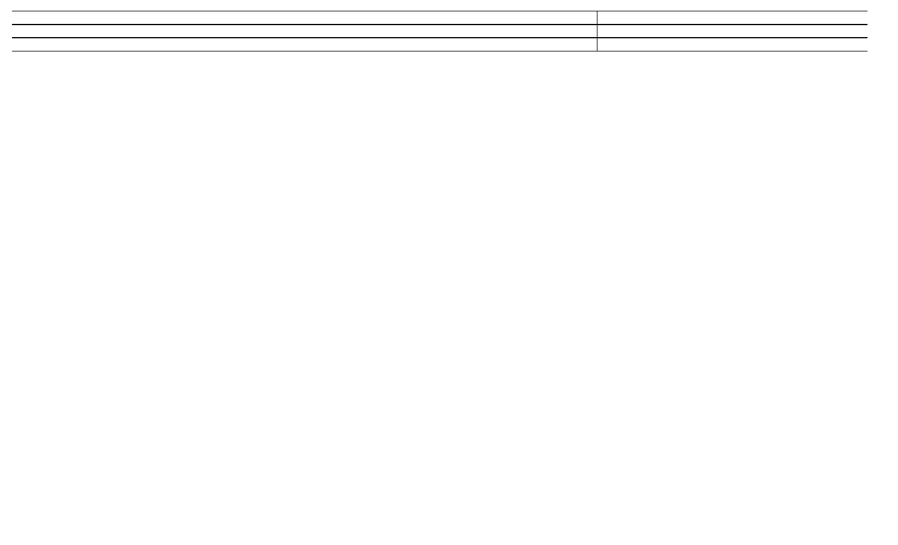| ,一个人都是一个人的人,而且,我们也不会不会不会。""我们,我们也不会不会不会不会不会不会不会不会。""我们,我们也不会不会不会不会不会不会不会不会。""我们,我<br>,他们的人们也不会不会。""我们的人们,我们也不会不会不会。""我们的人们,我们也不会不会不会。""我们的人们,我们也不会不会不会。""我们的人们,我们也不会不 |  |
|-----------------------------------------------------------------------------------------------------------------------------------------------------------------------|--|
| ,我们也不会不会不会。""我们的,我们也不会不会不会。""我们的,我们也不会不会不会不会。""我们的,我们也不会不会不会不会。""我们的,我们也不会不会不会不会                                                                                      |  |
|                                                                                                                                                                       |  |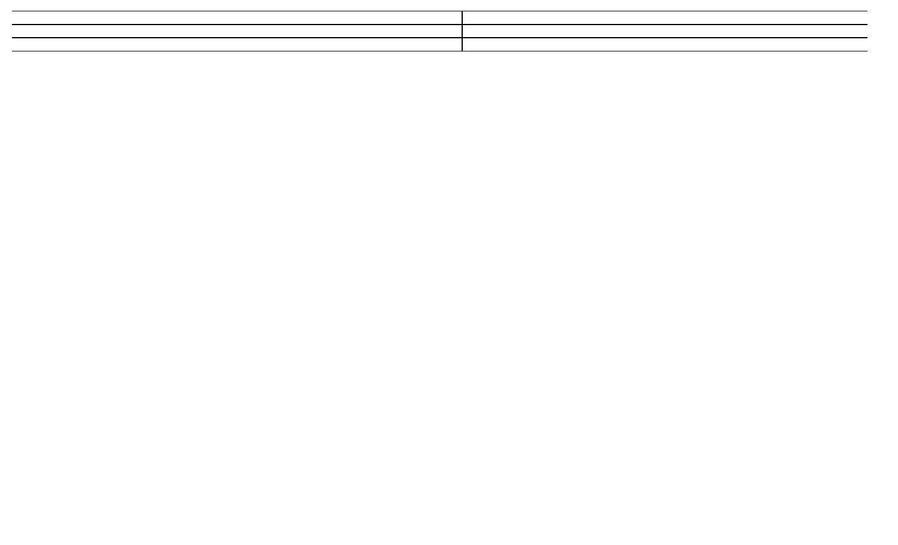| <u> 2001 - An t-An Aontaithe ann an t-Aontaithe ann an t-Aontaithe ann an t-Aontaithe ann an t-Aontaithe ann an t-</u> |
|------------------------------------------------------------------------------------------------------------------------|
|                                                                                                                        |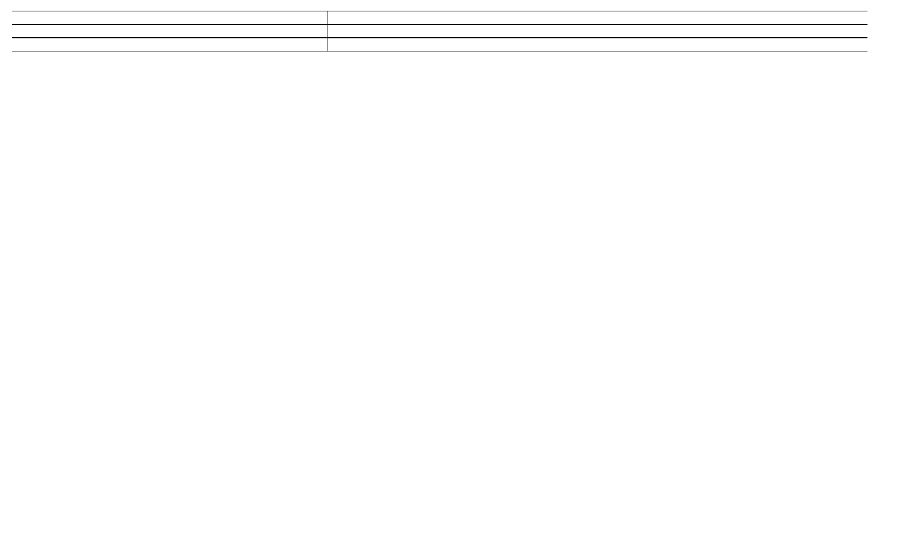| ,一个人都是一个人的人,而且,他们的人都是一个人,而且,他们的人都是一个人,而且,他们的人都是一个人,而且,他们的人都是一个人,而且,他们的人都是一个人,而且,他<br>第二十一章 一个人,他们的人都是一个人,他们的人都是一个人,他们的人都是一个人,他们的人都是一个人,他们的人都是一个人,他们的人都是一个人,他们的人都是一个人, | ,我们也不会不会。""我们的,我们也不会不会。""我们的,我们也不会不会不会。""我们的,我们也不会不会不会。""我们的,我们也不会不会不会。""我们的,我们也 |
|-----------------------------------------------------------------------------------------------------------------------------------------------------------------------|----------------------------------------------------------------------------------|
|                                                                                                                                                                       |                                                                                  |
|                                                                                                                                                                       |                                                                                  |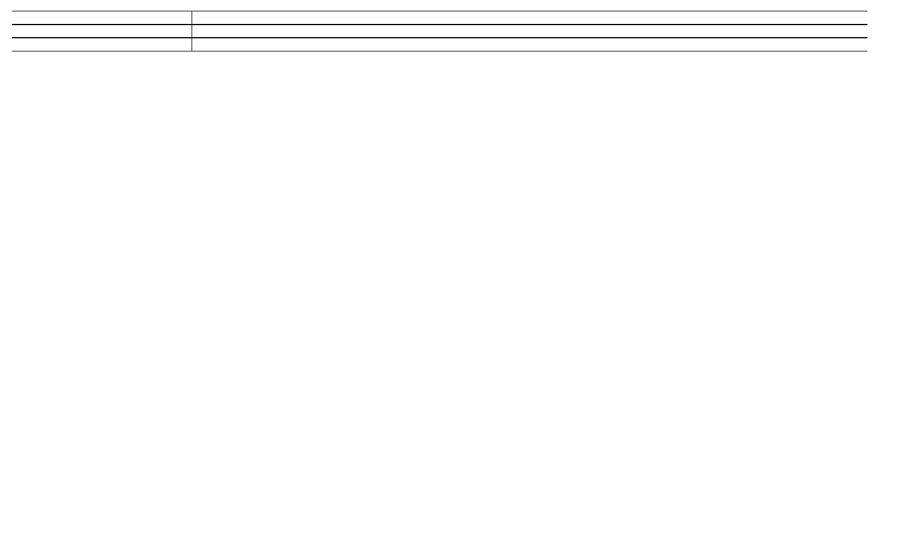| ,一个人的人都是一个人的人,而且,他们的人都是一个人的人,而且,他们的人都是一个人的人,而且,他们的人都是一个人的人,而且,他们的人都是一个人的人,而且,他们的人<br>第一百一十一章 一个人的人,他们的人都是一个人的人,他们的人都是一个人的人,他们的人都是一个人的人,他们的人都是一个人的人,他们的人都是一个人的人,他们的人都是<br>,我们就会不会不会。""我们,我们就会不会不会不会。""我们,我们就会不会不会不会不会不会。""我们,我们就会不会不会不会不会。""我们,我们就会不会不会不会不 |
|-----------------------------------------------------------------------------------------------------------------------------------------------------------------------------------------------------------------------------------------------------------|
| ,一个人都是一个人的人,而且,他们的人都是一个人,而且,他们的人都是一个人,而且,他们的人都是一个人,而且,他们的人都是一个人,而且,他们的人都是一个人,而且,他<br>第二十一章 一个人,他们的人都是一个人,他们的人都是一个人,他们的人都是一个人,他们的人都是一个人,他们的人都是一个人,他们的人都是一个人,他们的人都是一个人,                                                                                     |
|                                                                                                                                                                                                                                                           |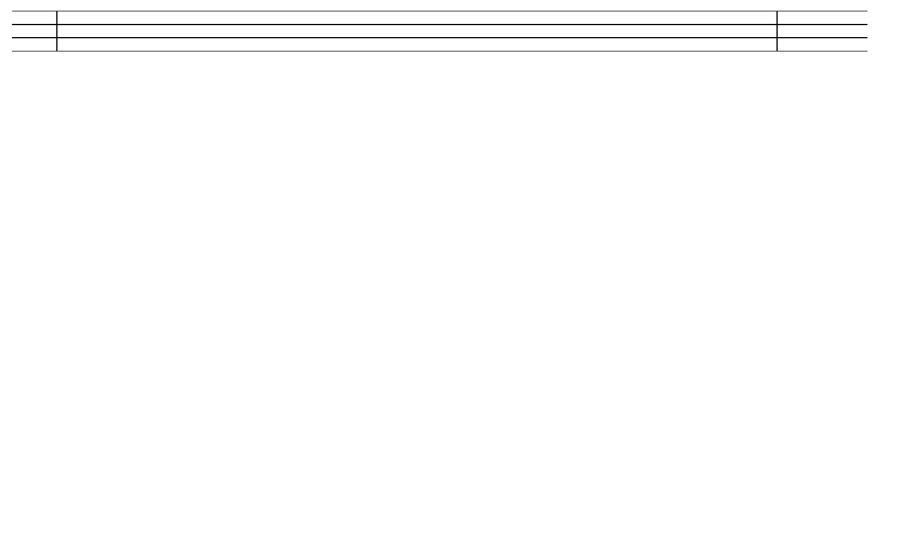| <u>та на представљен под податковата на представљен податковата на представљен податковата на представљен податк</u> |  |
|----------------------------------------------------------------------------------------------------------------------|--|
|                                                                                                                      |  |
| ,一个人都是一个人的人,一个人都是一个人的人,一个人都是一个人的人,一个人都是一个人的人,一个人都是一个人的人,一个人都是一个人的人,一个人都是一个人的人,一个人                                    |  |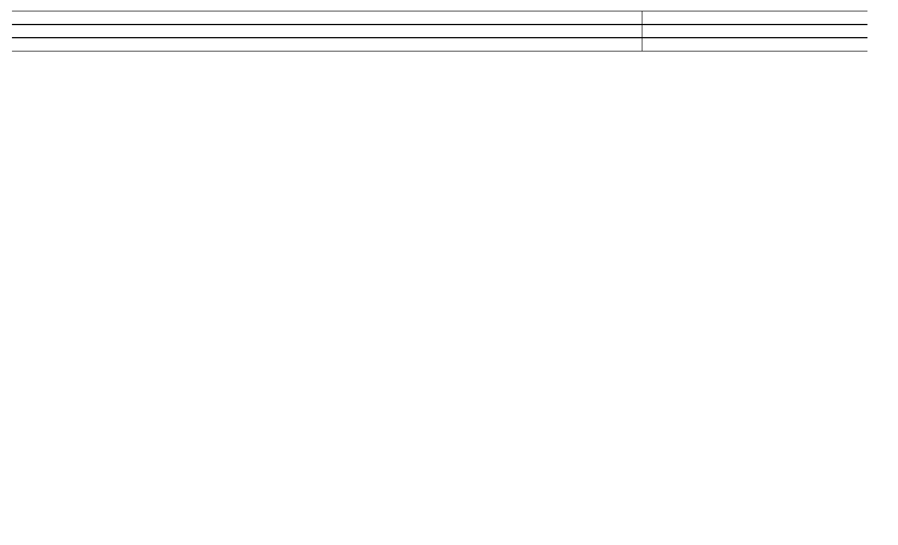| ,一个人都是一个人的人,一个人都是一个人的人,一个人都是一个人的人,一个人都是一个人的人,一个人都是一个人的人,一个人都是一个人的人,一个人都是一个人的人,一个人<br>→ South State State State State State State State State State State State State State State State State State State State State State State State State State State State State State State State State State State State St |  |
|-------------------------------------------------------------------------------------------------------------------------------------------------------------------------------------------------------------------------------------------------------------------------------------------------------------------|--|
| ,一个人的人都是一个人的人,而且,他们的人都是不是一个人的人,而且,他们的人都是不是一个人的人,而且,他们的人都是不是一个人的人,而且,他们的人都是不是一个人的<br>第一百一十一章 一个人的人,他们的人都是不是一个人的人,他们的人都是不是一个人的人,他们的人都是不是一个人的人,他们的人都是不是一个人的人,他们的人都是不是一个                                                                                                                                              |  |
| ,我们也不会不会不会。""我们的,我们也不会不会不会。""我们的,我们也不会不会不会不会不会。""我们的,我们也不会不会不会不会。""我们的,我们也不会不会不会<br>第二百一章 第二百一章 第二百一章 第二百一章 第二百一章 第二百一章 第二百一章 第二百一章 第二百一章 第二百一章 第二百一章 第二百一章 第二百一章 第二                                                                                                                                              |  |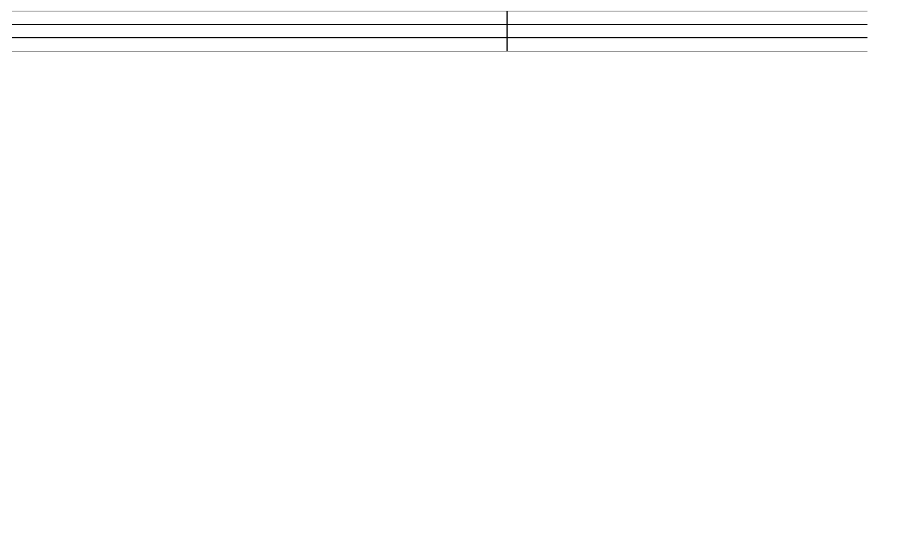| ,一个人都是一个人的人,而且,他们的人都是一个人,而且,他们的人都是一个人,而且,他们的人都是一个人,而且,他们的人都是一个人,而且,他们的人都是一个人,而且,他<br>第二十二章 第二十二章 第二十二章 第二十二章 第二十二章 第二十二章 第二十二章 第二十二章 第二十二章 第二十二章 第二十二章 第二十二章 第二十二章 第二十 |  |
|------------------------------------------------------------------------------------------------------------------------------------------------------------------------|--|
|                                                                                                                                                                        |  |
| ,一个人的人都是一个人的人,而且,他们的人都是一个人的人,而且,他们的人都是一个人的人,而且,他们的人都是一个人的人,而且,他们的人都是一个人的人,而且,他们的人                                                                                      |  |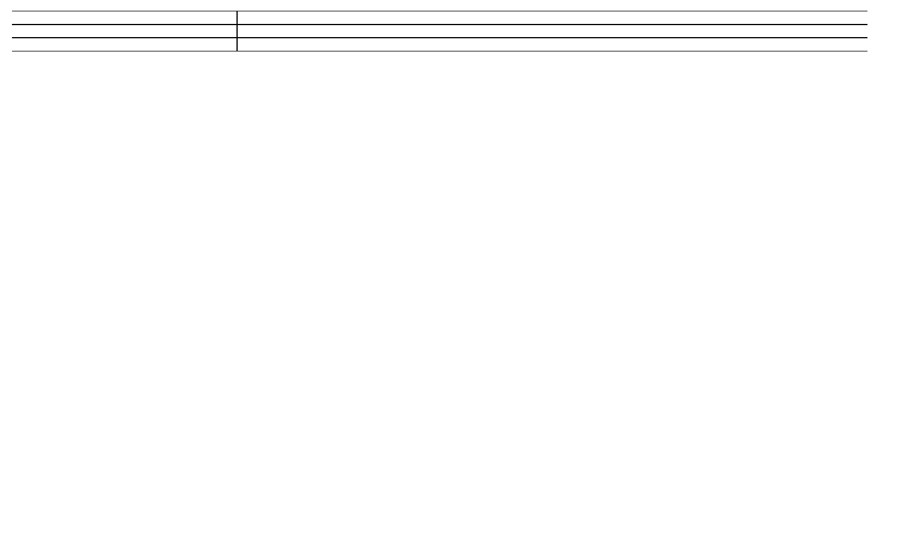| ,我们就会不会不会。""我们,我们也不会不会不会。""我们,我们也不会不会不会不会不会不会。""我们,我们也不会不会不会不会。""我们,我们也不会不会不会不会不  |
|-----------------------------------------------------------------------------------|
| ,一个人都是一个人的人,一个人都是一个人的人,一个人都是一个人的人,一个人都是一个人的人,一个人都是一个人的人,一个人都是一个人的人,一个人都是一个人的人,一个人 |
|                                                                                   |
| ,一个人都是一个人的人,而且,我们也不会不会不会。""我们,我们也不会不会不会不会不会不会不会。""我们,我们也不会不会不会不会不会不会不会不会。""我们,我们  |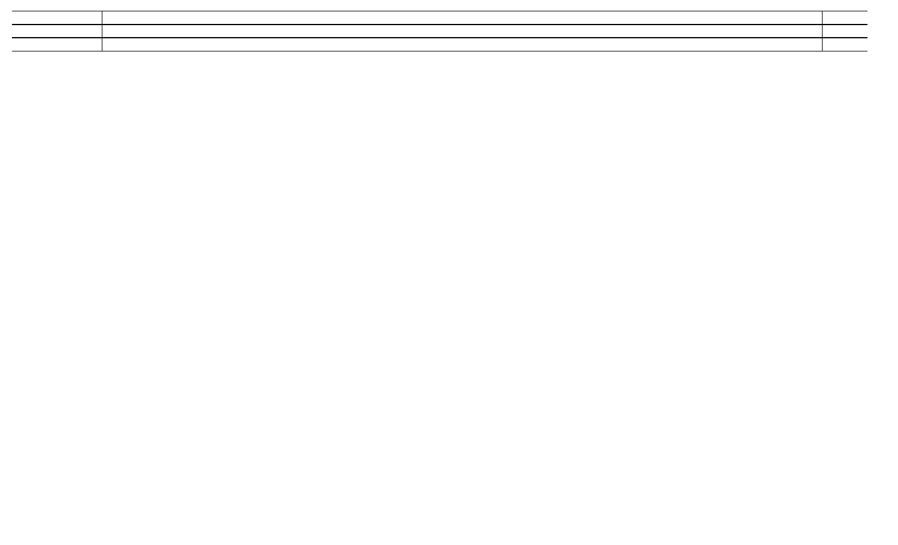| ,一个人都是一个人的人,一个人都是一个人的人,一个人都是一个人的人,一个人都是一个人的人,一个人都是一个人的人,一个人都是一个人的人,一个人都是一个人的人,一个人<br>第二十一章 一个人的人,一个人的人都是一个人的人,一个人的人都是一个人的人,一个人的人都是一个人的人,一个人的人都是一个人的人,一个人的人都是一个人的人,一个人<br>,一个人都是一个人的人,一个人都是一个人的人,一个人都是一个人的人,一个人都是一个人的人,一个人都是一个人的人,一个人都是一个人的人,一个人都是一个人的人,一个人<br>第二十一章 一个人的人,一个人都是一个人的人,一个人都是一个人的人,一个人都是一个人的人,一个人都是一个人的人,一个人都是一个人的人,一个人都是一个人的人,一个 |  |
|------------------------------------------------------------------------------------------------------------------------------------------------------------------------------------------------------------------------------------------------------------------------------------------------------------------------------------------------|--|
| ,一个人的人都是一个人的人,而且,他们的人都是一个人的人,而且,他们的人都是一个人的人,而且,他们的人都是一个人的人,而且,他们的人都是一个人的人,而且,他们的<br>第一百一十一章 一个人的人,他们的人都是一个人的人,他们的人都是一个人的人,他们的人都是一个人的人,他们的人都是一个人的人,他们的人都是一个人的人,他们的人都是                                                                                                                                                                           |  |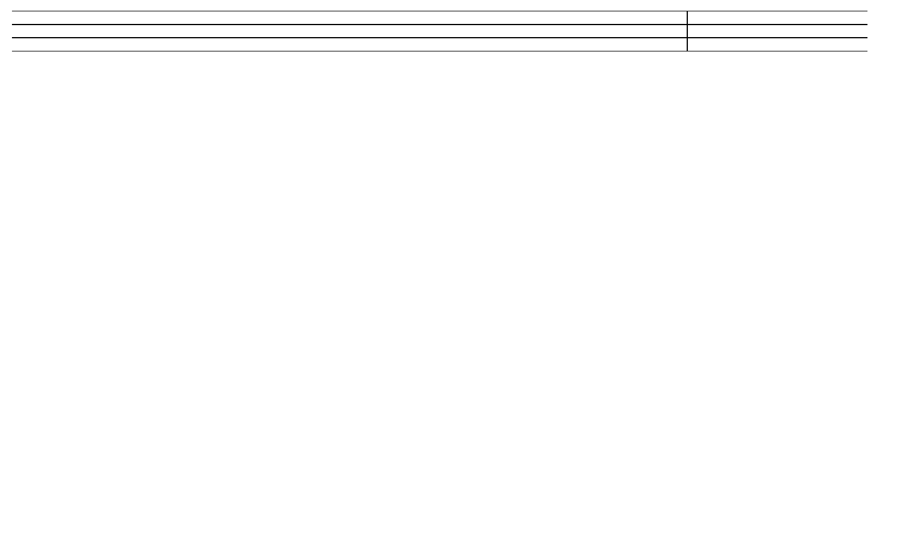| ,一个人的人都是一个人的人,而且,我们也不会不会不会。""我们,我们也不会不会不会不会不会不会。""我们,我们也不会不会不会不会。""我们,我们也不会不会不会不 |  |
|----------------------------------------------------------------------------------|--|
|                                                                                  |  |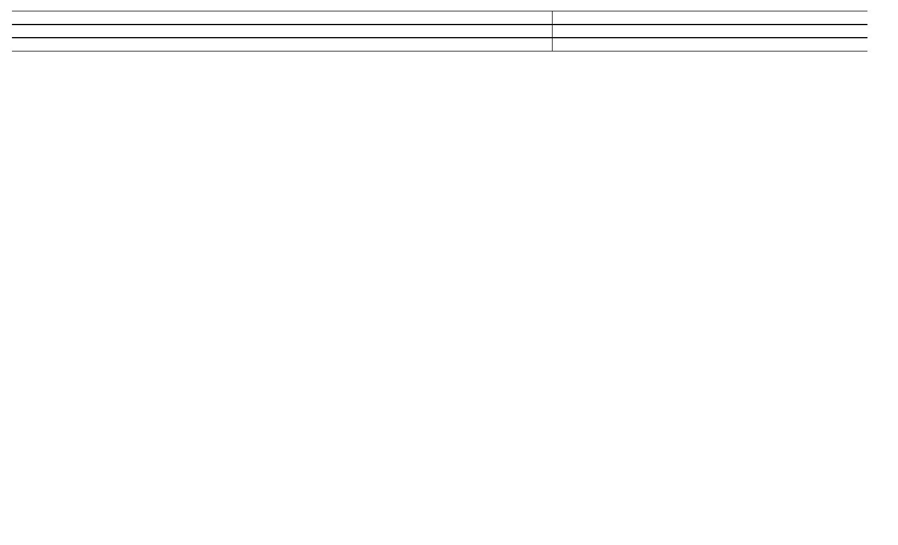| → 中国的 → 中国的 → 中国的 → 中国的 → 中国的 → 中国的 → 中国的 → 中国的 → 中国的 → 中国的 → 中国的 → 中国的 → 中国的 → 中国的 → 中国的 → 中国的 → 中国的 → 中国的 → 中国 |  |
|------------------------------------------------------------------------------------------------------------------|--|
|                                                                                                                  |  |
|                                                                                                                  |  |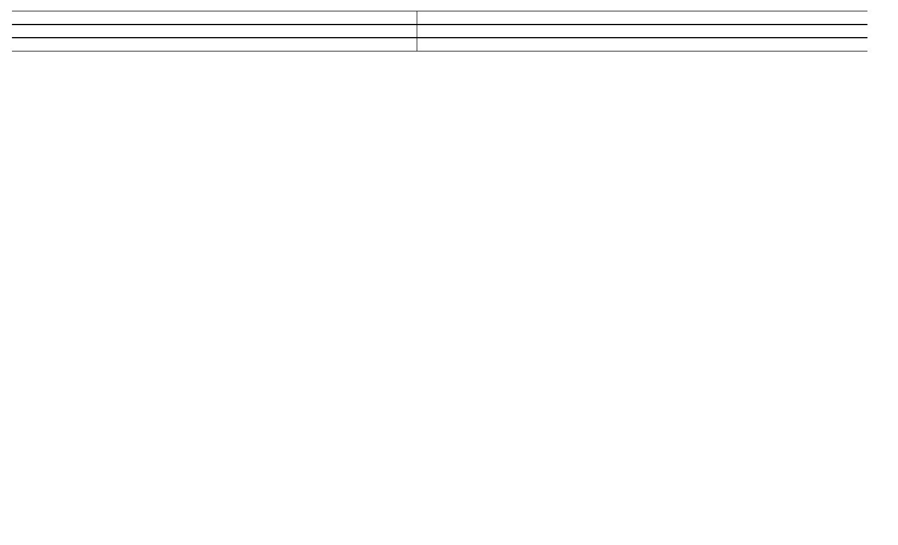| ,我们就会不会不会。""我们,我们就会不会不会不会,我们就会不会不会不会。""我们,我们就会不会不会不会。""我们,我们就会不会不会不会。""我们,我们就会不会 |                                                                                   |
|----------------------------------------------------------------------------------|-----------------------------------------------------------------------------------|
|                                                                                  | ,我们也不会不会不会。""我们的,我们也不会不会不会。""我们的,我们也不会不会不会不会。""我们的,我们也不会不会不会不会。""我们的,我们也不会不会不会不会  |
|                                                                                  | ,我们就会不会不会。""我们,我们就会不会不会,我们就会不会不会,我们就会不会不会。""我们,我们就会不会不会。""我们,我们就会不会不会不会。""我们,我们就会 |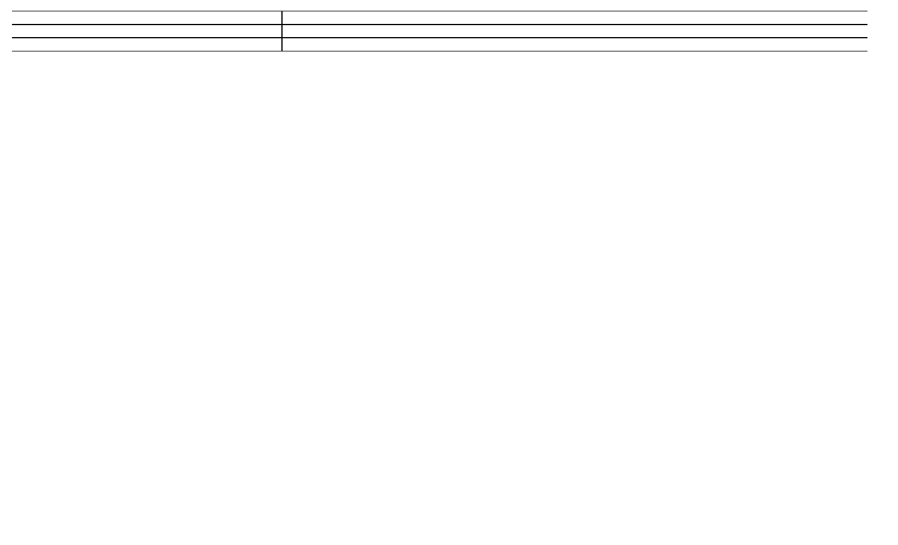| ,一个人都是一个人的人,我们就是一个人的人,我们就是一个人的人,我们就是一个人的人,我们就是一个人的人,我们就是一个人的人,我们就是一个人的人,我们就是一个人的<br>第一百一十一章 一个人的人,我们就是一个人的人,我们就是一个人的人,我们就是一个人的人,我们就是一个人的人,我们就是一个人的人,我们就是一个人的人,我们就是一个 |
|----------------------------------------------------------------------------------------------------------------------------------------------------------------------|
|                                                                                                                                                                      |
|                                                                                                                                                                      |
|                                                                                                                                                                      |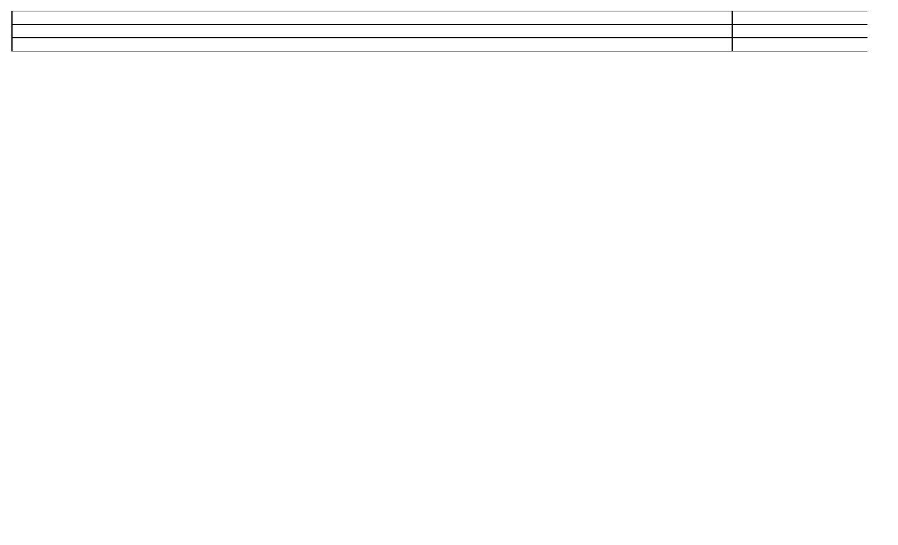| ,他们的人们就是一个人,他们的人们就是一个人,他们的人们,他们的人们就是一个人,他们的人们,他们的人们就是一个人,他们的人们,他们的人们,他们的人们,他们的人们,<br>第25章 我们的人们,他们的人们,他们的人们,他们的人们,他们的人们,他们的人们,他们的人们,他们的人们,他们的人们,他们的人们,他们的人们,他们的人们,他们的 |  |
|-----------------------------------------------------------------------------------------------------------------------------------------------------------------------|--|
| ,一个人都是一个人的人,而且,他们的人都是一个人,而且,他们的人都是一个人,而且,他们的人都是一个人,而且,他们的人都是一个人,而且,他们的人都是一个人,而且,他<br>第二百一十一章 一个人,他们的人都是一个人,他们的人都是一个人,他们的人都是一个人,他们的人都是一个人,他们的人都是一个人,他们的人都是一个人,他们的人都是一个 |  |
| ,一个人都是一个人的人,而且,他们的人都是一个人,他们的人都是一个人,他们的人都是一个人,他们的人都是一个人,他们的人都是一个人,他们的人都是一个人,他们的人都是                                                                                     |  |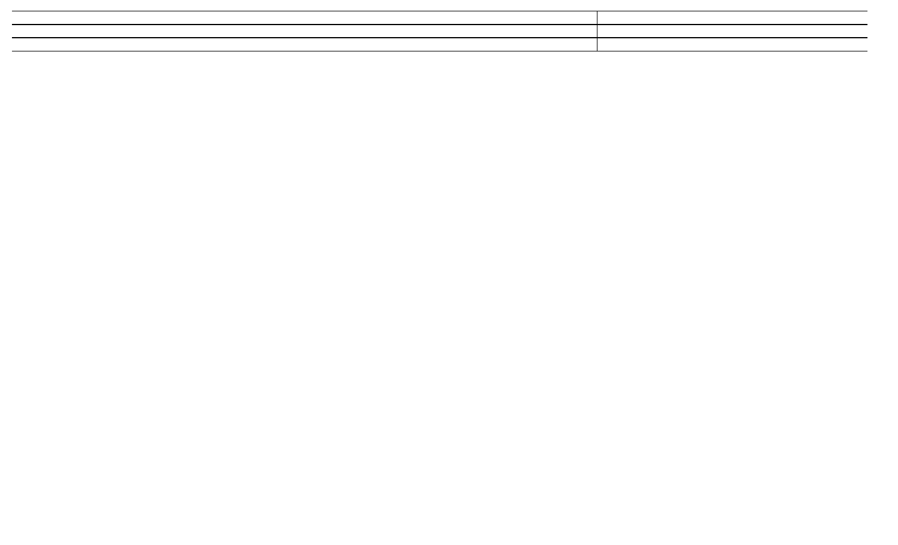| ,一个人都是一个人的人,而且,我们也不会不会不会。""我们,我们也不会不会不会不会不会不会不会不会。""我们,我们也不会不会不会不会不会不会不会不会。""我们,我<br>,他们的人们也不会不会。""我们的人们,我们也不会不会不会。""我们的人们,我们也不会不会不会。""我们的人们,我们也不会不会不会。""我们的人们,我们也不会不 |  |
|-----------------------------------------------------------------------------------------------------------------------------------------------------------------------|--|
| ,我们也不会不会不会。""我们的,我们也不会不会不会。""我们的,我们也不会不会不会不会。""我们的,我们也不会不会不会不会。""我们的,我们也不会不会不会不会                                                                                      |  |
|                                                                                                                                                                       |  |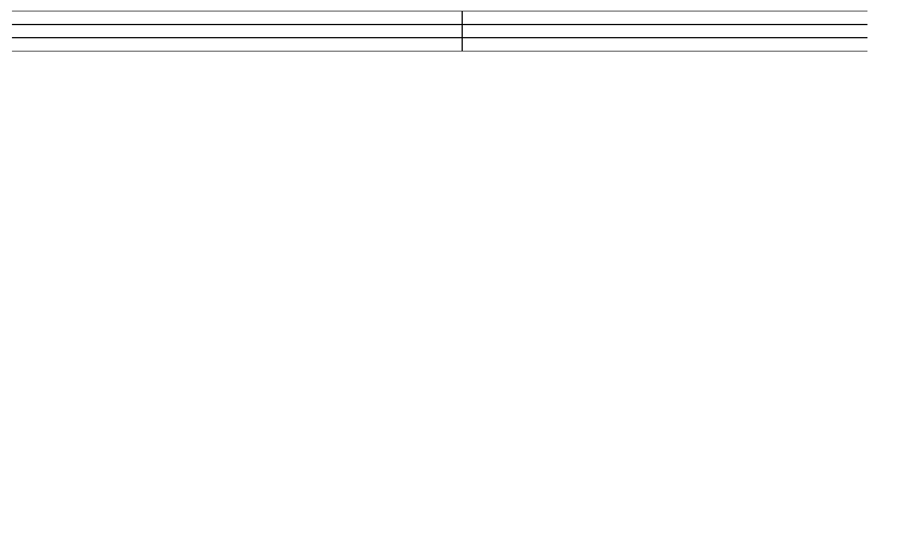| <u> 2001 - An t-An Aontaithe ann an t-Aontaithe ann an t-Aontaithe ann an t-Aontaithe ann an t-Aontaithe ann an t-</u> |
|------------------------------------------------------------------------------------------------------------------------|
|                                                                                                                        |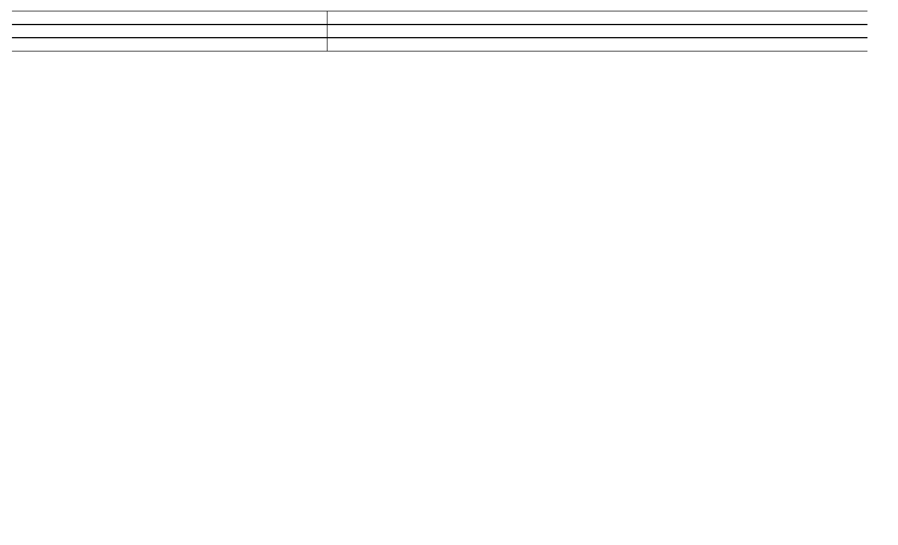| ,一个人都是一个人的人,而且,他们的人都是一个人,而且,他们的人都是一个人,而且,他们的人都是一个人,而且,他们的人都是一个人,而且,他们的人都是一个人,而且,他<br>第二十一章 一个人,他们的人都是一个人,他们的人都是一个人,他们的人都是一个人,他们的人都是一个人,他们的人都是一个人,他们的人都是一个人,他们的人都是一个人, | ,我们也不会不会。""我们的,我们也不会不会。""我们的,我们也不会不会不会。""我们的,我们也不会不会不会。""我们的,我们也不会不会不会。""我们的,我们也 |
|-----------------------------------------------------------------------------------------------------------------------------------------------------------------------|----------------------------------------------------------------------------------|
|                                                                                                                                                                       |                                                                                  |
|                                                                                                                                                                       |                                                                                  |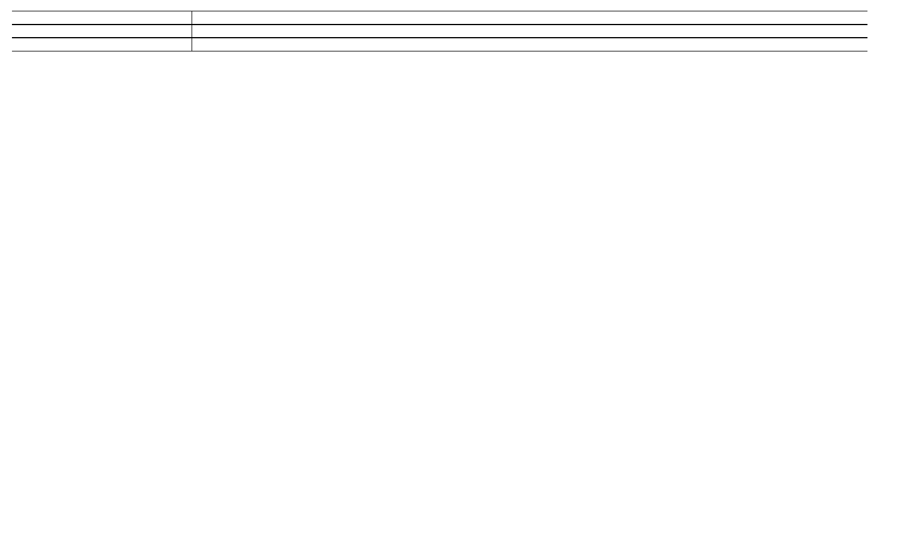| ,一个人的人都是一个人的人,而且,他们的人都是一个人的人,而且,他们的人都是一个人的人,而且,他们的人都是一个人的人,而且,他们的人都是一个人的人,而且,他们的人<br>第一百一十一章 一个人的人,他们的人都是一个人的人,他们的人都是一个人的人,他们的人都是一个人的人,他们的人都是一个人的人,他们的人都是一个人的人,他们的人都是 |
|-----------------------------------------------------------------------------------------------------------------------------------------------------------------------|
| ,一个人都是一个人的人,而且,他们的人都是一个人,而且,他们的人都是一个人,而且,他们的人都是一个人,而且,他们的人都是一个人,而且,他们的人都是一个人,而且,他<br>第二十一章 一个人,他们的人都是一个人,他们的人都是一个人,他们的人都是一个人,他们的人都是一个人,他们的人都是一个人,他们的人都是一个人,他们的人都是一个人, |
|                                                                                                                                                                       |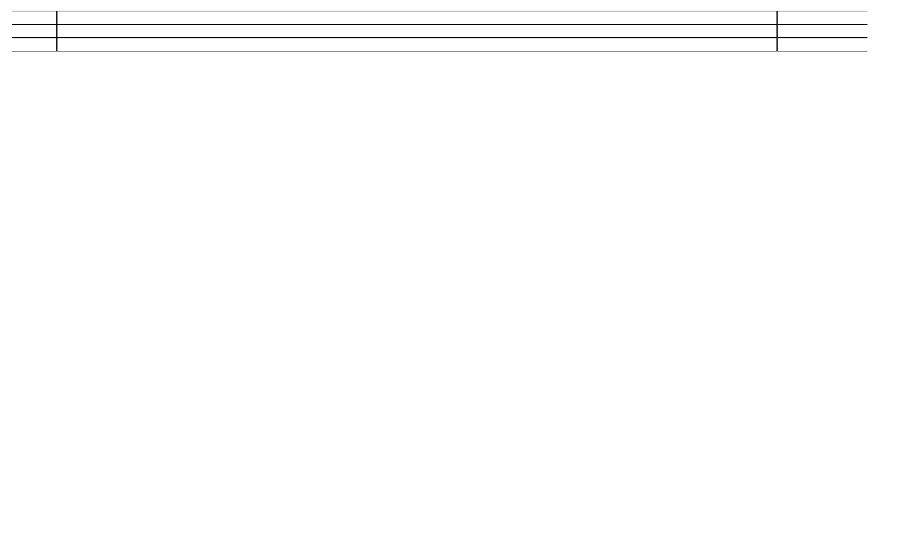| <u>та на представљен под податковата на представљен податковата на представљен податковата на представљен податк</u> |  |
|----------------------------------------------------------------------------------------------------------------------|--|
|                                                                                                                      |  |
| ,一个人都是一个人的人,一个人都是一个人的人,一个人都是一个人的人,一个人都是一个人的人,一个人都是一个人的人,一个人都是一个人的人,一个人都是一个人的人,一个人                                    |  |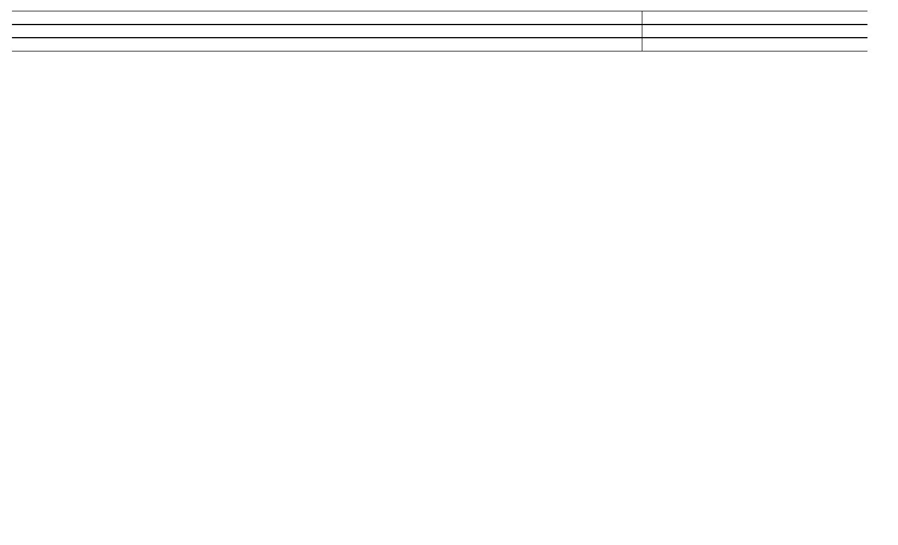| ,一个人都是一个人的人,一个人都是一个人的人,一个人都是一个人的人,一个人都是一个人的人,一个人都是一个人的人,一个人都是一个人的人,一个人都是一个人的人,一个人<br>→ South State State State State State State State State State State State State State State State State State State State State State State State State State State State State State State State State State State State St |  |
|-------------------------------------------------------------------------------------------------------------------------------------------------------------------------------------------------------------------------------------------------------------------------------------------------------------------|--|
| ,一个人的人都是一个人的人,而且,他们的人都是不是一个人的人,而且,他们的人都是不是一个人的人,而且,他们的人都是不是一个人的人,而且,他们的人都是不是一个人的<br>第一百一十一章 一个人的人,他们的人都是不是一个人的人,他们的人都是不是一个人的人,他们的人都是不是一个人的人,他们的人都是不是一个人的人,他们的人都是不是一个                                                                                                                                              |  |
| ,我们也不会不会不会。""我们的,我们也不会不会不会。""我们的,我们也不会不会不会不会。""我们的,我们也不会不会不会不会。""我们的,我们也不会不会不会不会<br>第二百一章 第二百一章 第二百一章 第二百一章 第二百一章 第二百一章 第二百一章 第二百一章 第二百一章 第二百一章 第二百一章 第二百一章 第二百一章 第二                                                                                                                                              |  |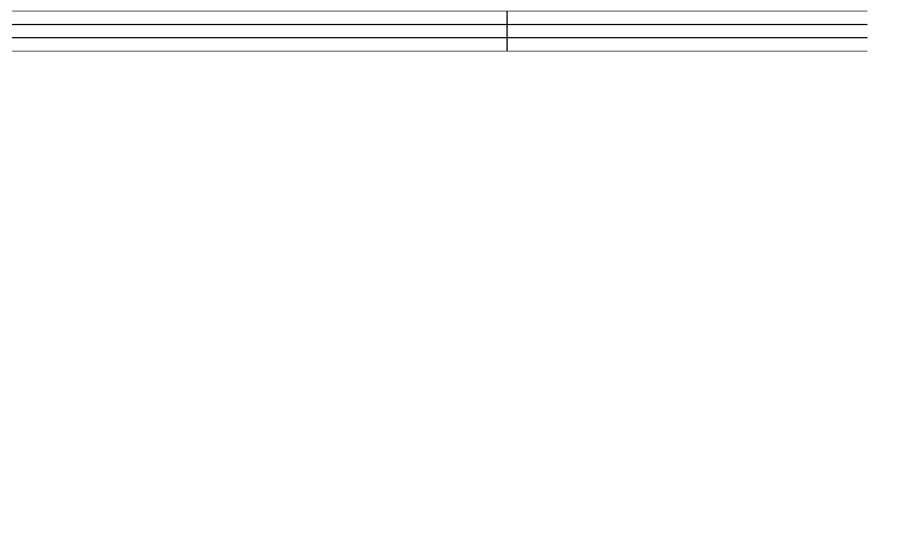| ,一个人都是一个人的人,而且,他们的人都是一个人,而且,他们的人都是一个人,而且,他们的人都是一个人,而且,他们的人都是一个人,而且,他们的人都是一个人,而且,他<br>第二十二章 第二十二章 第二十二章 第二十二章 第二十二章 第二十二章 第二十二章 第二十二章 第二十二章 第二十二章 第二十二章 第二十二章 第二十二章 第二十 |  |
|------------------------------------------------------------------------------------------------------------------------------------------------------------------------|--|
|                                                                                                                                                                        |  |
| ,一个人的人都是一个人的人,而且,他们的人都是一个人的人,而且,他们的人都是一个人的人,而且,他们的人都是一个人的人,而且,他们的人都是一个人的人,而且,他们的人                                                                                      |  |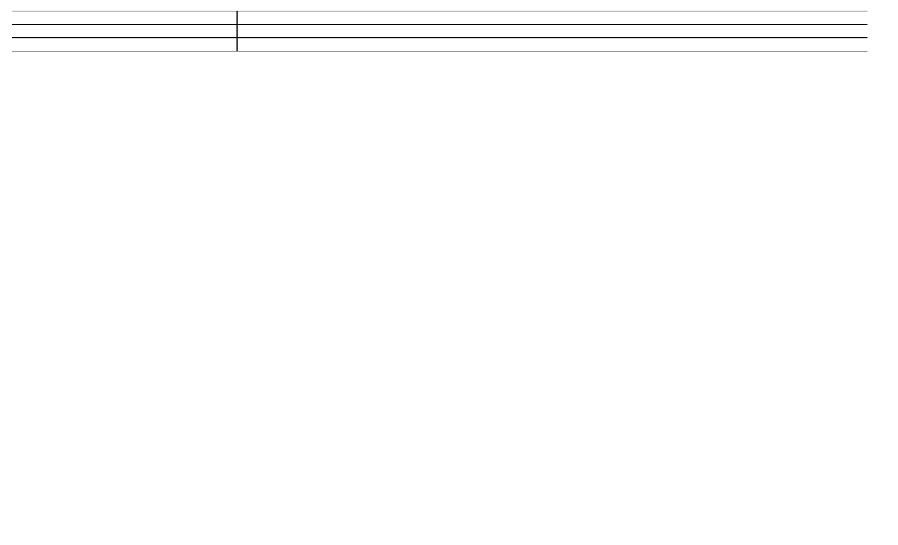| ,我们就会不会不会。""我们,我们也不会不会不会。""我们,我们也不会不会不会不会不会不会。""我们,我们也不会不会不会不会。""我们,我们也不会不会不会不会不  |
|-----------------------------------------------------------------------------------|
| ,一个人都是一个人的人,一个人都是一个人的人,一个人都是一个人的人,一个人都是一个人的人,一个人都是一个人的人,一个人都是一个人的人,一个人都是一个人的人,一个人 |
|                                                                                   |
| ,一个人都是一个人的人,而且,我们也不会不会不会。""我们,我们也不会不会不会不会。""我们,我们也不会不会不会不会。""我们,我们也不会不会不会不会。""我们, |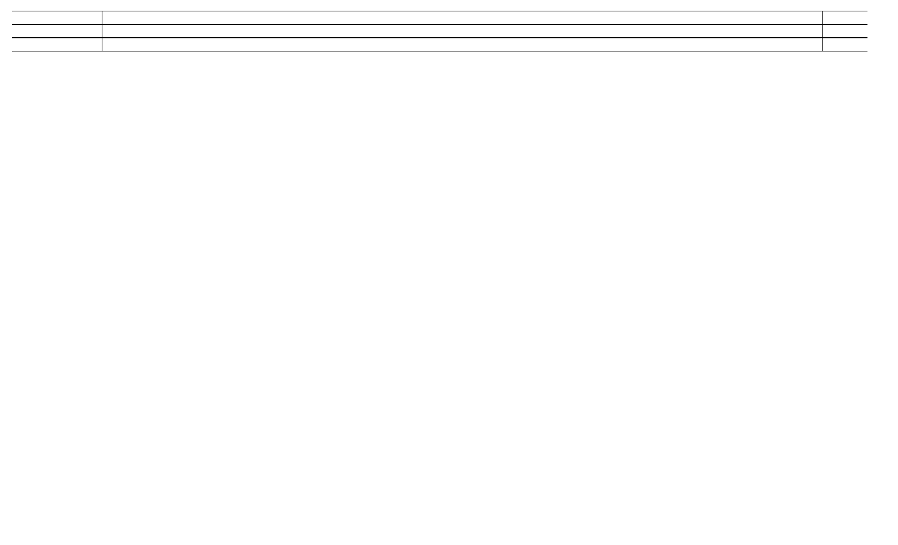| ,一个人都是一个人的人,一个人都是一个人的人,一个人都是一个人的人,一个人都是一个人的人,一个人都是一个人的人,一个人都是一个人的人,一个人都是一个人的人,一个人<br>第二十一章 一个人的人,一个人的人都是一个人的人,一个人的人都是一个人的人,一个人的人都是一个人的人,一个人的人都是一个人的人,一个人的人都是一个人的人,一个人<br>,一个人都是一个人的人,一个人都是一个人的人,一个人都是一个人的人,一个人都是一个人的人,一个人都是一个人的人,一个人都是一个人的人,一个人都是一个人的人,一个人<br>第二十一章 一个人的人,一个人的人都是一个人的人,一个人的人都是一个人的人,一个人的人都是一个人的人,一个人的人都是一个人的人,一个人的人都是一个人的人,一个人 |  |
|------------------------------------------------------------------------------------------------------------------------------------------------------------------------------------------------------------------------------------------------------------------------------------------------------------------------------------------------|--|
| ,一个人的人都是一个人的人,而且,他们的人都是一个人的人,而且,他们的人都是一个人的人,而且,他们的人都是一个人的人,而且,他们的人都是一个人的人,而且,他们的<br>第一百一十一章 一个人的人,他们的人都是一个人的人,他们的人都是一个人的人,他们的人都是一个人的人,他们的人都是一个人的人,他们的人都是一个人的人,他们的人都是                                                                                                                                                                           |  |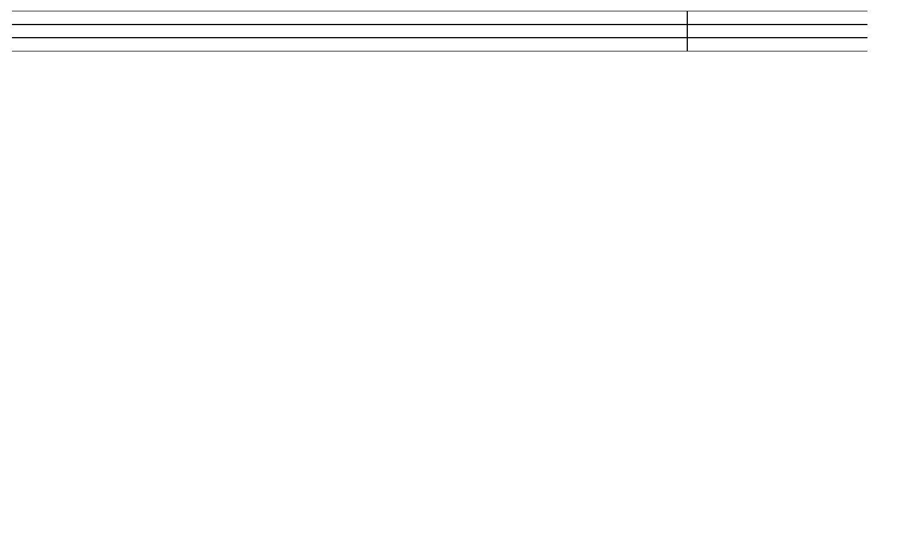| ,我们也不会不会不会。""我们的,我们也不会不会不会。""我们的,我们也不会不会不会不会不会。""我们的,我们也不会不会不会不会。""我们的,我们也不会不会不会  |  |
|-----------------------------------------------------------------------------------|--|
| ,一个人的人都是一个人的人,而且,他们的人都是一个人的人,而且,他们的人都是一个人的人,而且,他们的人都是一个人的人,而且,他们的人都是一个人的人,而且,他们的人 |  |
|                                                                                   |  |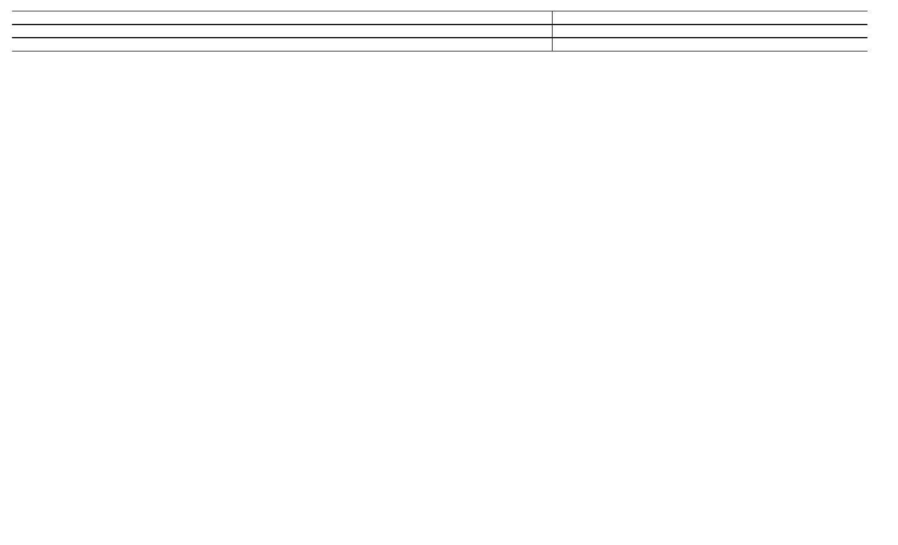| → 中国的 → 中国的 → 中国的 → 中国的 → 中国的 → 中国的 → 中国的 → 中国的 → 中国的 → 中国的 → 中国的 → 中国的 → 中国的 → 中国的 → 中国的 → 中国的 → 中国的 → 中国的 → 中国 |  |
|------------------------------------------------------------------------------------------------------------------|--|
|                                                                                                                  |  |
|                                                                                                                  |  |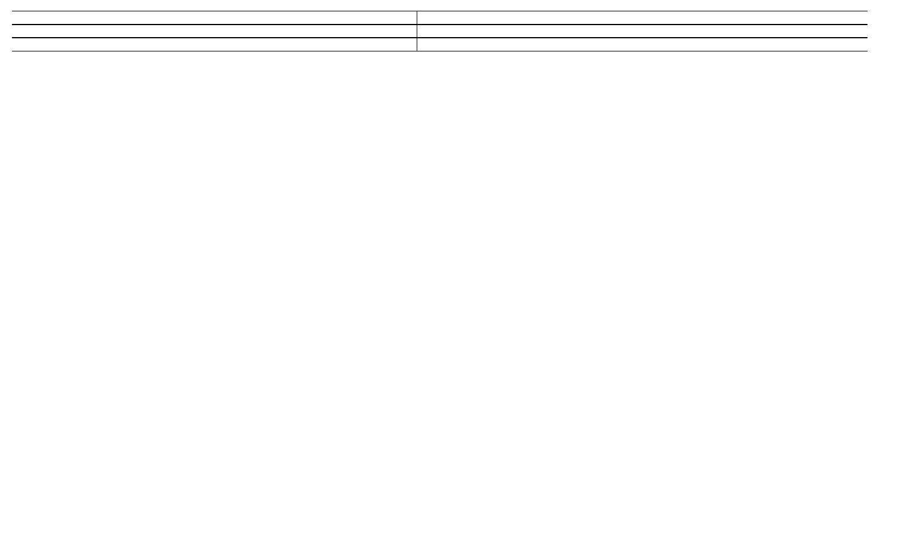| ,我们就会不会不会。""我们,我们就会不会不会不会,我们就会不会不会不会。""我们,我们就会不会不会不会。""我们,我们就会不会不会不会。""我们,我们就会不会 |                                                                                   |
|----------------------------------------------------------------------------------|-----------------------------------------------------------------------------------|
|                                                                                  | ,我们也不会不会不会。""我们的,我们也不会不会不会。""我们的,我们也不会不会不会不会。""我们的,我们也不会不会不会不会。""我们的,我们也不会不会不会不会  |
|                                                                                  | ,我们就会不会不会。""我们,我们就会不会不会,我们就会不会不会,我们就会不会不会。""我们,我们就会不会不会。""我们,我们就会不会不会不会。""我们,我们就会 |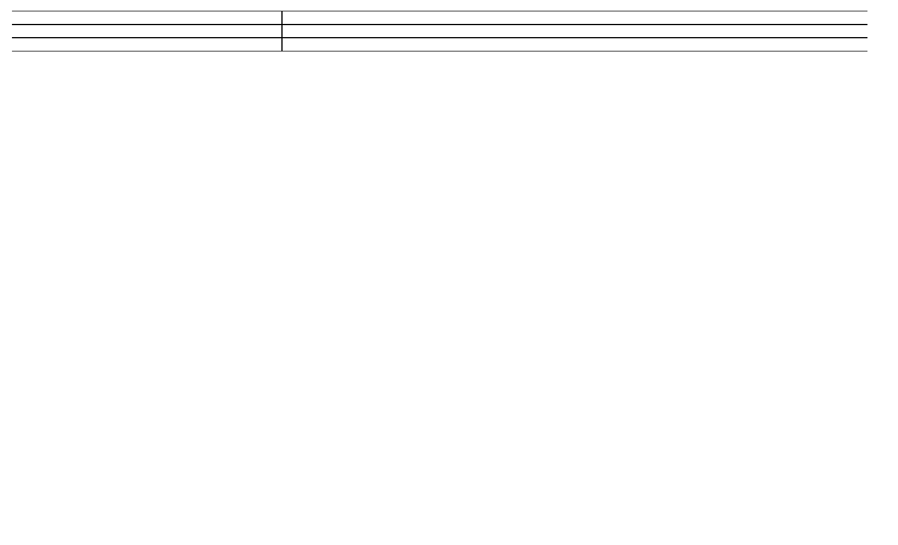| ,他们的人们就会在这里,他们的人们就会在这里,他们的人们就会在这里,他们的人们就会在这里,他们的人们就会在这里,他们的人们就会在这里,他们的人们就会在这里,他们<br>第251章 我们的人们的人们,我们的人们的人们的人们,我们的人们的人们的人们,我们的人们的人们的人们,我们的人们的人们的人们,我们的人们的人们的人们,我们的人们 |
|----------------------------------------------------------------------------------------------------------------------------------------------------------------------|
|                                                                                                                                                                      |
|                                                                                                                                                                      |
|                                                                                                                                                                      |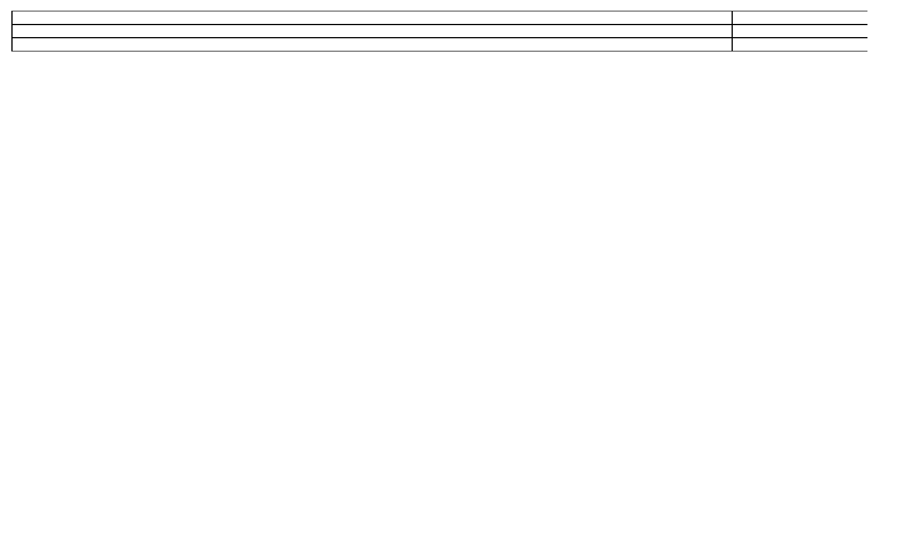| ,他们的人们就是一个人,他们的人们就是一个人,他们的人们,他们的人们就是一个人,他们的人们,他们的人们就是一个人,他们的人们,他们的人们,他们的人们,他们的人们,<br>第25章 我们的人们,他们的人们,他们的人们,他们的人们,他们的人们,他们的人们,他们的人们,他们的人们,他们的人们,他们的人们,他们的人们,他们的人们,他们的 |  |
|-----------------------------------------------------------------------------------------------------------------------------------------------------------------------|--|
| ,一个人都是一个人的人,而且,他们的人都是一个人,而且,他们的人都是一个人,而且,他们的人都是一个人,而且,他们的人都是一个人,而且,他们的人都是一个人,而且,他<br>第二百一十一章 一个人,他们的人都是一个人,他们的人都是一个人,他们的人都是一个人,他们的人都是一个人,他们的人都是一个人,他们的人都是一个人,他们的人都是一个 |  |
| ,一个人都是一个人的人,而且,他们的人都是一个人,他们的人都是一个人,他们的人都是一个人,他们的人都是一个人,他们的人都是一个人,他们的人都是一个人,他们的人都是                                                                                     |  |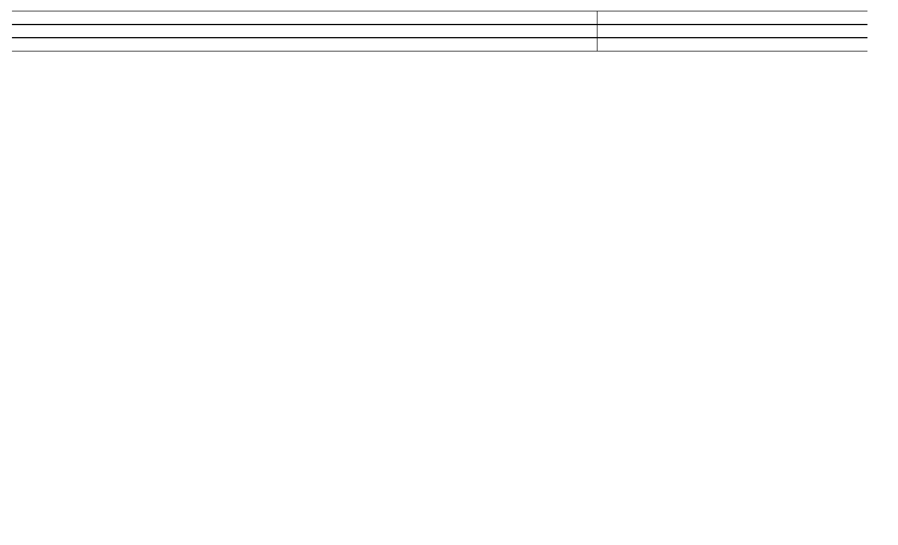| ,一个人都是一个人的人,而且,我们也不会不会不会。""我们,我们也不会不会不会不会不会不会不会不会。""我们,我们也不会不会不会不会不会不会不会不会。""我们,我<br>,他们的人们也不会不会。""我们的人们,我们也不会不会不会。""我们的人们,我们也不会不会不会。""我们的人们,我们也不会不会不会。""我们的人们,我们也不会不 |  |
|-----------------------------------------------------------------------------------------------------------------------------------------------------------------------|--|
| ,我们也不会不会不会。""我们的,我们也不会不会不会。""我们的,我们也不会不会不会不会。""我们的,我们也不会不会不会不会。""我们的,我们也不会不会不会不会                                                                                      |  |
|                                                                                                                                                                       |  |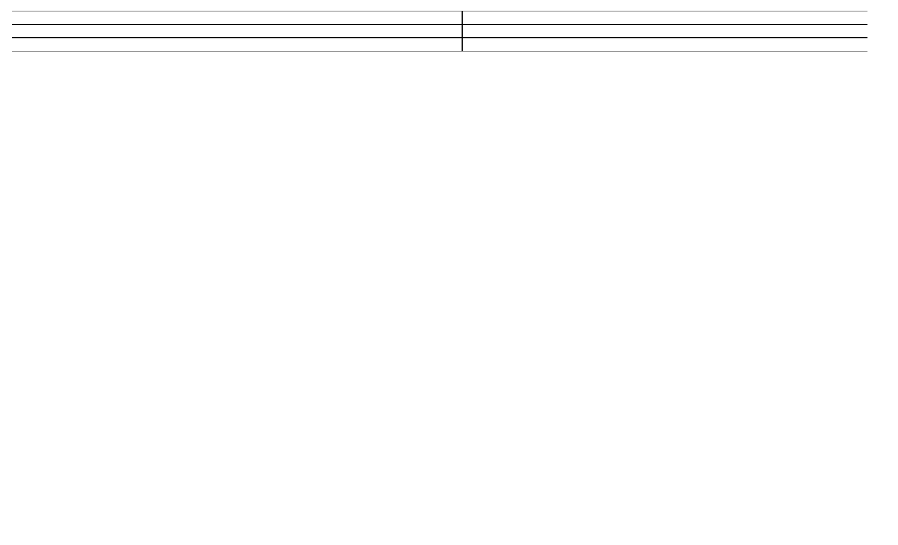| <u> 1980 - Ann an t-Aontaithe ann an t-Aontaithe ann an t-Aontaithe ann an t-Aontaithe ann an t-Aontaithe ann an t-</u> |
|-------------------------------------------------------------------------------------------------------------------------|
|                                                                                                                         |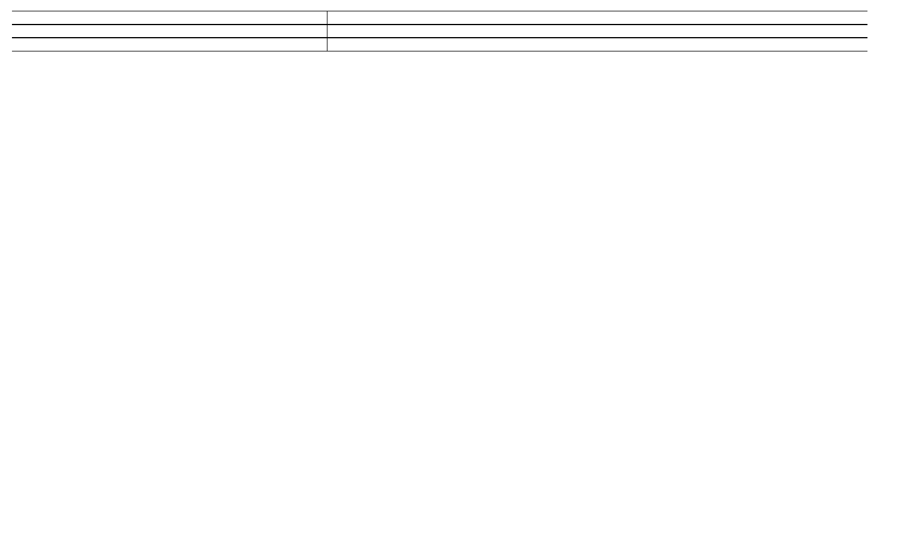| ,一个人都是一个人的人,而且,他们的人都是一个人,而且,他们的人都是一个人,而且,他们的人都是一个人,而且,他们的人都是一个人,而且,他们的人都是一个人,而且,他<br>第二十一章 一个人,他们的人都是一个人,他们的人都是一个人,他们的人都是一个人,他们的人都是一个人,他们的人都是一个人,他们的人都是一个人,他们的人都是一个人, | ,我们也不会不会。""我们的,我们也不会不会。""我们的,我们也不会不会不会。""我们的,我们也不会不会不会。""我们的,我们也不会不会不会。""我们的,我们也 |
|-----------------------------------------------------------------------------------------------------------------------------------------------------------------------|----------------------------------------------------------------------------------|
|                                                                                                                                                                       |                                                                                  |
|                                                                                                                                                                       |                                                                                  |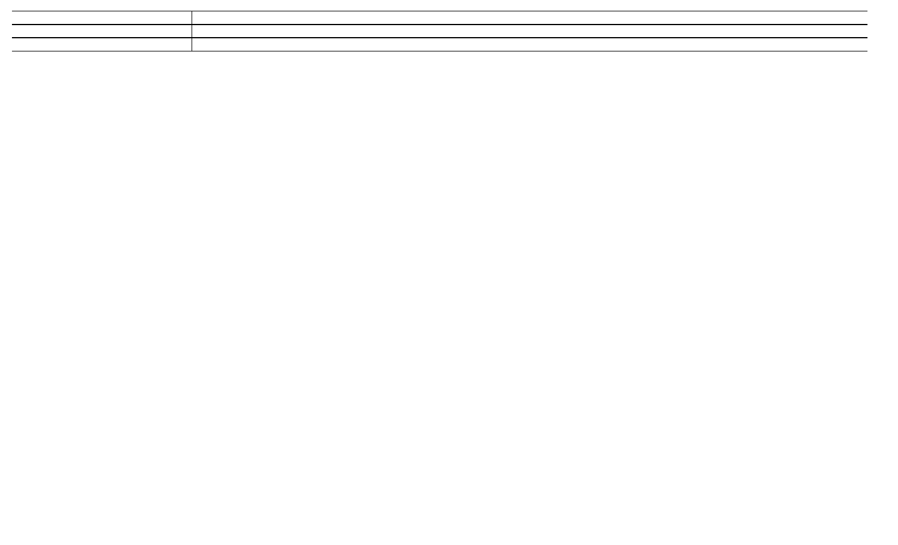| ,一个人的人都是一个人的人,而且,他们的人都是一个人的人,而且,他们的人都是一个人的人,而且,他们的人都是一个人的人,而且,他们的人都是一个人的人,而且,他们的人<br>第一百一十一章 一个人的人,他们的人都是一个人的人,他们的人都是一个人的人,他们的人都是一个人的人,他们的人都是一个人的人,他们的人都是一个人的人,他们的人都是<br>,我们就会不会不会。""我们,我们就会不会不会不会。""我们,我们就会不会不会不会不会不会。""我们,我们就会不会不会不会不会。""我们,我们就会不会不会不会不 |
|-----------------------------------------------------------------------------------------------------------------------------------------------------------------------------------------------------------------------------------------------------------|
| ,一个人都是一个人的人,而且,他们的人都是一个人,而且,他们的人都是一个人,而且,他们的人都是一个人,而且,他们的人都是一个人,而且,他们的人都是一个人,而且,他<br>第二十一章 一个人,他们的人都是一个人,他们的人都是一个人,他们的人都是一个人,他们的人都是一个人,他们的人都是一个人,他们的人都是一个人,他们的人都是一个人,                                                                                     |
|                                                                                                                                                                                                                                                           |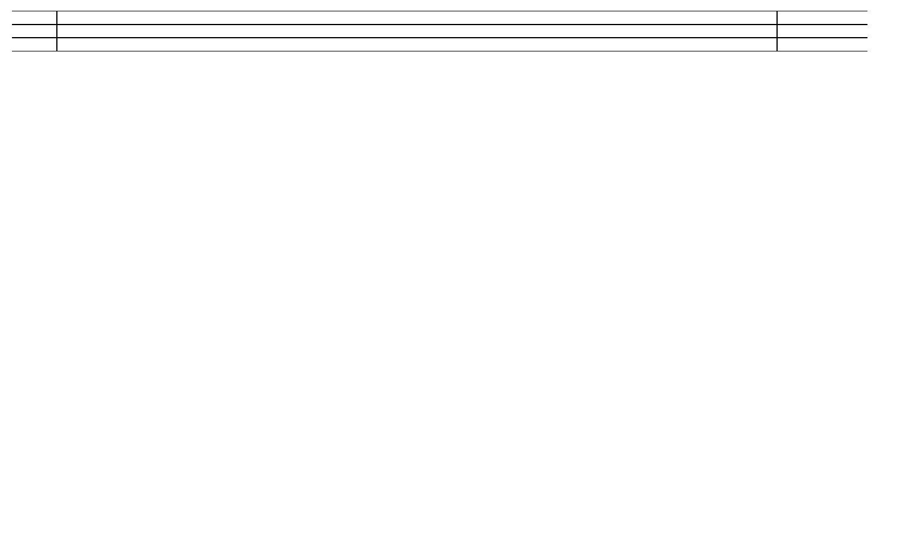| <u>та на представљен под податковата на представљен податковата на представљен податковата на представљен податк</u> |  |
|----------------------------------------------------------------------------------------------------------------------|--|
|                                                                                                                      |  |
| ,一个人都是一个人的人,一个人都是一个人的人,一个人都是一个人的人,一个人都是一个人的人,一个人都是一个人的人,一个人都是一个人的人,一个人都是一个人的人,一个人                                    |  |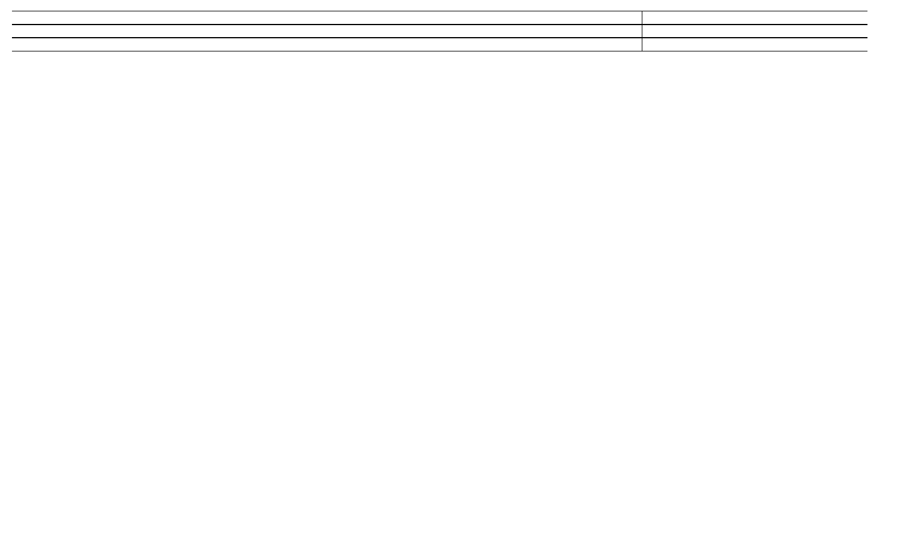| ,一个人都是一个人的人,一个人都是一个人的人,一个人都是一个人的人,一个人都是一个人的人,一个人都是一个人的人,一个人都是一个人的人,一个人都是一个人的人,一个人<br>→ South State State State State State State State State State State State State State State State State State State State State State State State State State State State State State State State State State State State St |  |
|-------------------------------------------------------------------------------------------------------------------------------------------------------------------------------------------------------------------------------------------------------------------------------------------------------------------|--|
| ,一个人的人都是一个人的人,而且,他们的人都是不是一个人的人,而且,他们的人都是不是一个人的人,而且,他们的人都是不是一个人的人,而且,他们的人都是不是一个人的<br>第一百一十一章 一个人的人,他们的人都是不是一个人的人,他们的人都是不是一个人的人,他们的人都是不是一个人的人,他们的人都是不是一个人的人,他们的人都是不是一个                                                                                                                                              |  |
| ,我们也不会不会不会。""我们的,我们也不会不会不会。""我们的,我们也不会不会不会不会不会。""我们的,我们也不会不会不会不会。""我们的,我们也不会不会不会<br>第二百一章 第二百一章 第二百一章 第二百一章 第二百一章 第二百一章 第二百一章 第二百一章 第二百一章 第二百一章 第二百一章 第二百一章 第二百一章 第二                                                                                                                                              |  |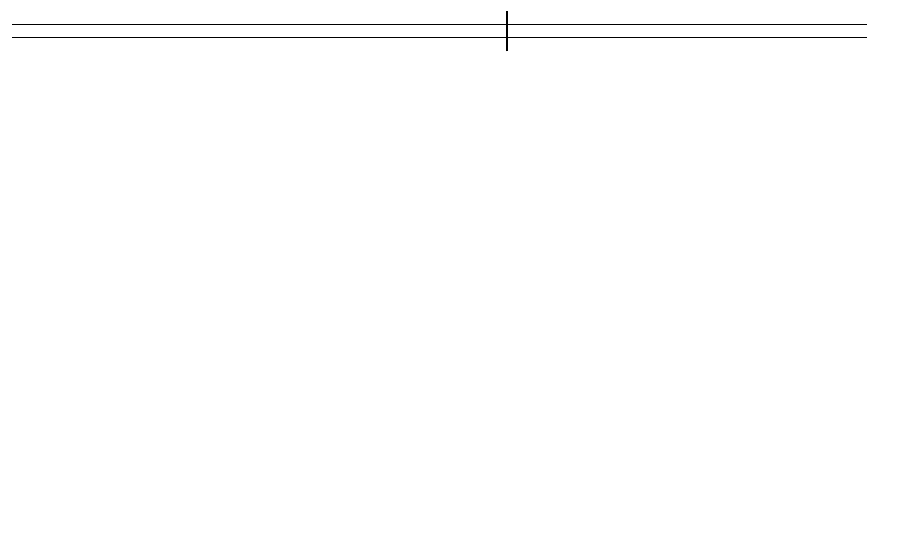| ,一个人都是一个人的人,而且,他们的人都是一个人,而且,他们的人都是一个人,而且,他们的人都是一个人,而且,他们的人都是一个人,而且,他们的人都是一个人,而且,他<br>第二十二章 第二十二章 第二十二章 第二十二章 第二十二章 第二十二章 第二十二章 第二十二章 第二十二章 第二十二章 第二十二章 第二十二章 第二十二章 第二十 |  |
|------------------------------------------------------------------------------------------------------------------------------------------------------------------------|--|
|                                                                                                                                                                        |  |
| ,一个人的人都是一个人的人,而且,他们的人都是一个人的人,而且,他们的人都是一个人的人,而且,他们的人都是一个人的人,而且,他们的人都是一个人的人,而且,他们的人                                                                                      |  |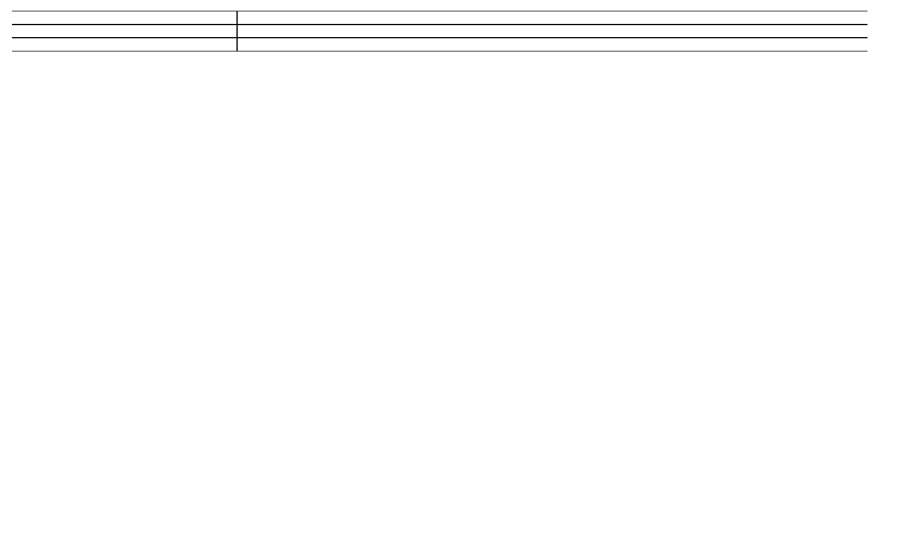| ,我们就会不会不会。""我们,我们也不会不会不会。""我们,我们也不会不会不会不会不会不会。""我们,我们也不会不会不会不会。""我们,我们也不会不会不会不会不  |
|-----------------------------------------------------------------------------------|
| ,一个人都是一个人的人,一个人都是一个人的人,一个人都是一个人的人,一个人都是一个人的人,一个人都是一个人的人,一个人都是一个人的人,一个人都是一个人的人,一个人 |
|                                                                                   |
| ,一个人都是一个人的人,而且,我们也不会不会不会。""我们,我们也不会不会不会不会。""我们,我们也不会不会不会不会。""我们,我们也不会不会不会不会。""我们, |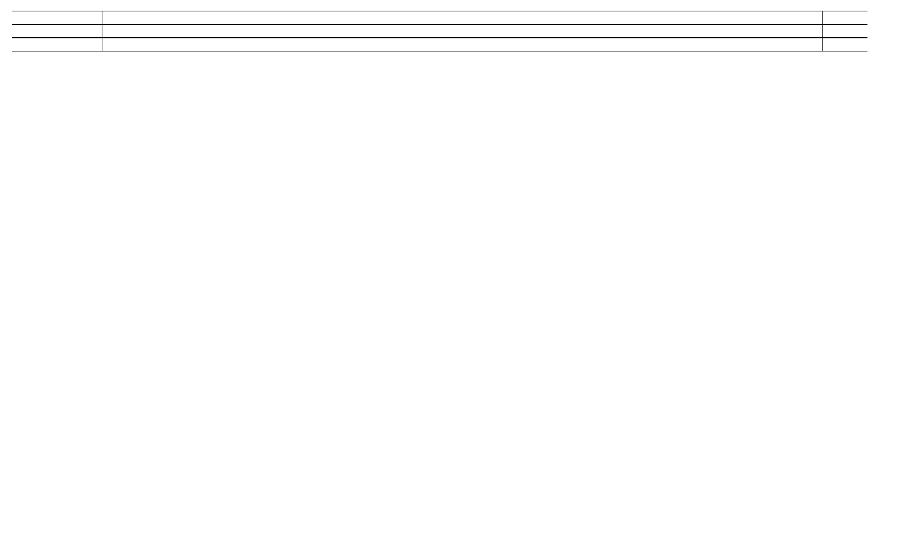| ,一个人都是一个人的人,一个人都是一个人的人,一个人都是一个人的人,一个人都是一个人的人,一个人都是一个人的人,一个人都是一个人的人,一个人都是一个人的人,一个人<br>第二十一章 一个人的人,一个人的人都是一个人的人,一个人的人都是一个人的人,一个人的人都是一个人的人,一个人的人都是一个人的人,一个人的人都是一个人的人,一个人<br>,一个人都是一个人的人,一个人都是一个人的人,一个人都是一个人的人,一个人都是一个人的人,一个人都是一个人的人,一个人都是一个人的人,一个人都是一个人的人,一个人<br>第二十一章 一个人的人,一个人的人都是一个人的人,一个人的人都是一个人的人,一个人的人都是一个人的人,一个人的人都是一个人的人,一个人的人都是一个人的人,一个人 |  |
|------------------------------------------------------------------------------------------------------------------------------------------------------------------------------------------------------------------------------------------------------------------------------------------------------------------------------------------------|--|
| ,一个人的人都是一个人的人,而且,他们的人都是一个人的人,而且,他们的人都是一个人的人,而且,他们的人都是一个人的人,而且,他们的人都是一个人的人,而且,他们的<br>第一百一十一章 一个人的人,他们的人都是一个人的人,他们的人都是一个人的人,他们的人都是一个人的人,他们的人都是一个人的人,他们的人都是一个人的人,他们的人都是                                                                                                                                                                           |  |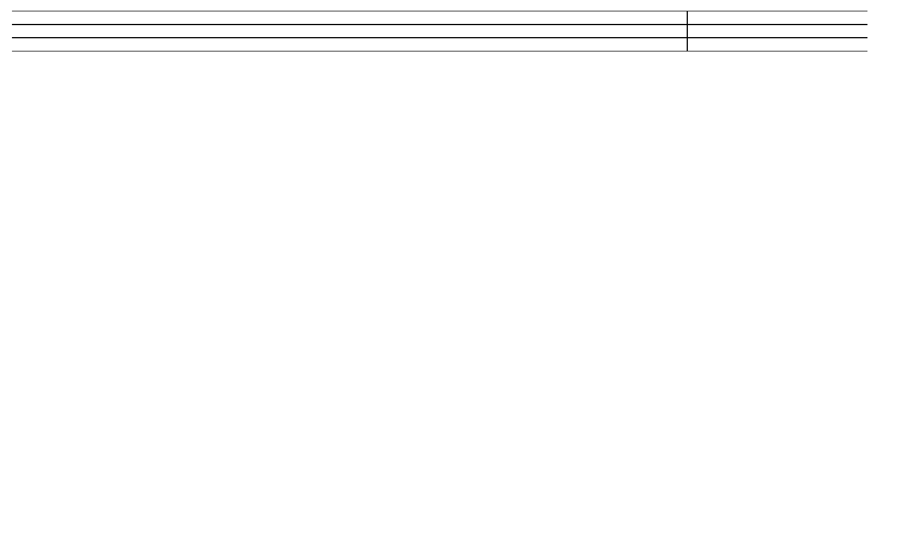| ,我们也不会不会不会。""我们的,我们也不会不会不会。""我们的,我们也不会不会不会不会不会。""我们的,我们也不会不会不会不会。""我们的,我们也不会不会不会  |  |
|-----------------------------------------------------------------------------------|--|
| ,一个人的人都是一个人的人,而且,他们的人都是一个人的人,而且,他们的人都是一个人的人,而且,他们的人都是一个人的人,而且,他们的人都是一个人的人,而且,他们的人 |  |
|                                                                                   |  |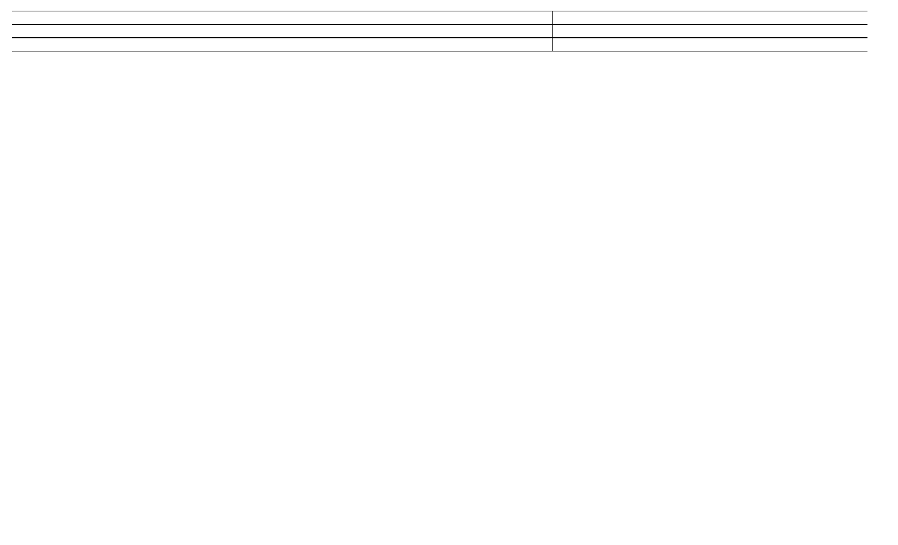| → 中国的 → 中国的 → 中国的 → 中国的 → 中国的 → 中国的 → 中国的 → 中国的 → 中国的 → 中国的 → 中国的 → 中国的 → 中国的 → 中国的 → 中国的 → 中国的 → 中国的 → 中国的 → 中国 |  |
|------------------------------------------------------------------------------------------------------------------|--|
|                                                                                                                  |  |
|                                                                                                                  |  |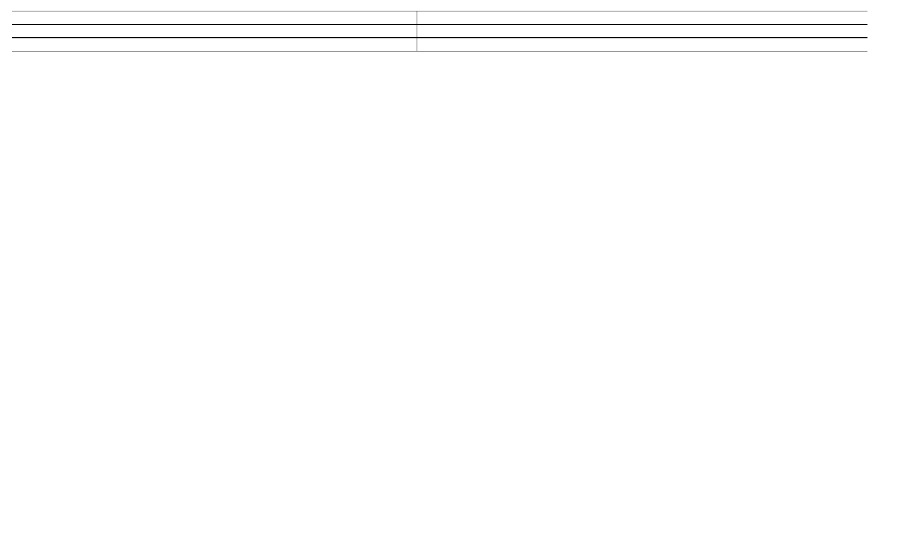| ,我们就会不会不会。""我们,我们就会不会不会不会,我们就会不会不会不会。""我们,我们就会不会不会不会。""我们,我们就会不会不会不会。""我们,我们就会不会 |                                                                                   |
|----------------------------------------------------------------------------------|-----------------------------------------------------------------------------------|
|                                                                                  | ,我们也不会不会不会。""我们的,我们也不会不会不会。""我们的,我们也不会不会不会不会。""我们的,我们也不会不会不会不会。""我们的,我们也不会不会不会不会  |
|                                                                                  | ,我们就会不会不会。""我们,我们就会不会不会,我们就会不会不会,我们就会不会不会。""我们,我们就会不会不会。""我们,我们就会不会不会不会。""我们,我们就会 |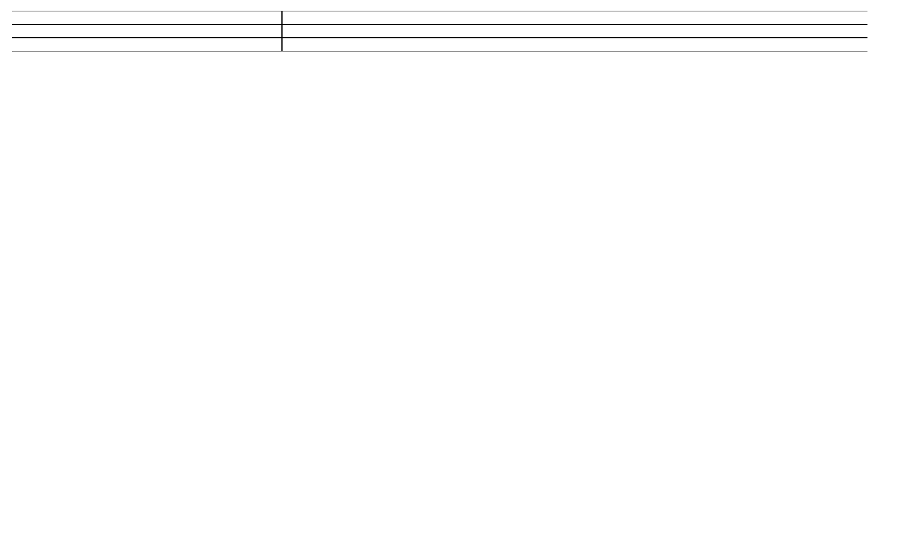| ,他们的人们就会在这里,他们的人们就会在这里,他们的人们就会在这里,他们的人们就会在这里,他们的人们就会在这里,他们的人们就会在这里,他们的人们就会在这里,他们<br>第251章 我们的人们的人们,我们的人们的人们的人们,我们的人们的人们的人们,我们的人们的人们的人们,我们的人们的人们的人们,我们的人们的人们的人们,我们的人们 |
|----------------------------------------------------------------------------------------------------------------------------------------------------------------------|
|                                                                                                                                                                      |
|                                                                                                                                                                      |
|                                                                                                                                                                      |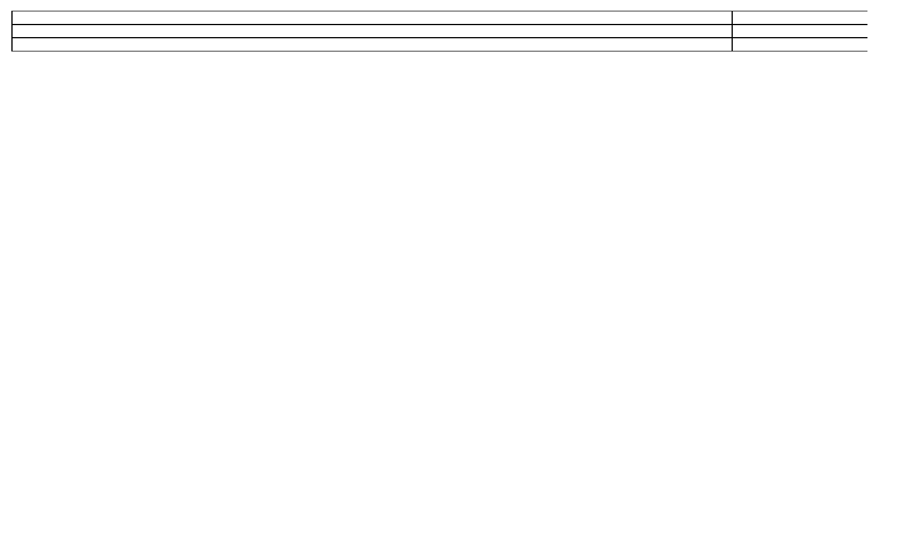| ,他们的人们就是一个人,他们的人们就是一个人,他们的人们,他们的人们就是一个人,他们的人们,他们的人们就是一个人,他们的人们,他们的人们,他们的人们,他们的人们,<br>第25章 我们的人们,他们的人们,他们的人们,他们的人们,他们的人们,他们的人们,他们的人们,他们的人们,他们的人们,他们的人们,他们的人们,他们的人们,他们的 |  |
|-----------------------------------------------------------------------------------------------------------------------------------------------------------------------|--|
| ,一个人都是一个人的人,而且,他们的人都是一个人,而且,他们的人都是一个人,而且,他们的人都是一个人,而且,他们的人都是一个人,而且,他们的人都是一个人,而且,他<br>第二百一十一章 一个人,他们的人都是一个人,他们的人都是一个人,他们的人都是一个人,他们的人都是一个人,他们的人都是一个人,他们的人都是一个人,他们的人都是一个 |  |
| ,一个人都是一个人的人,而且,他们的人都是一个人,他们的人都是一个人,他们的人都是一个人,他们的人都是一个人,他们的人都是一个人,他们的人都是一个人,他们的人都是                                                                                     |  |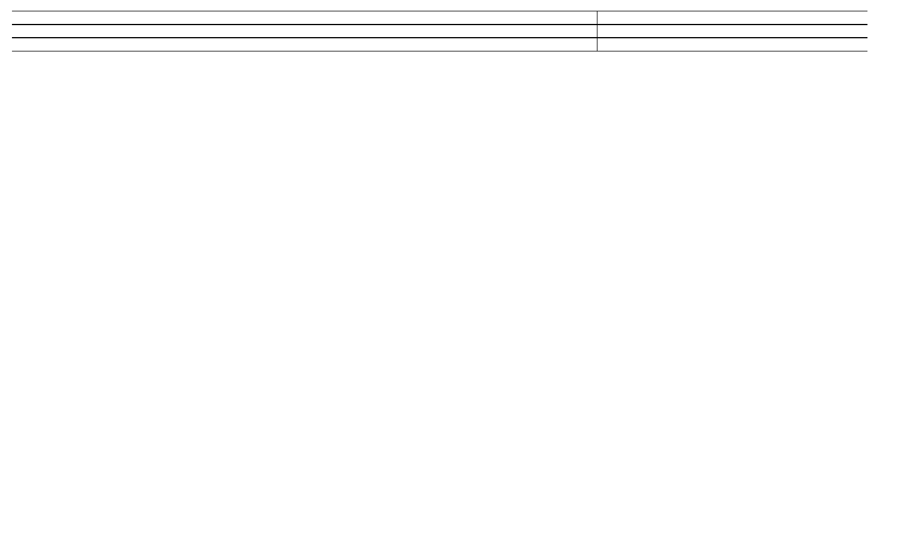| ,一个人都是一个人的人,而且,我们也不会不会不会。""我们,我们也不会不会不会不会不会不会不会不会。""我们,我们也不会不会不会不会不会不会不会不会。""我们,我<br>,他们的人们也不会不会。""我们的人们,我们也不会不会不会。""我们的人们,我们也不会不会不会。""我们的人们,我们也不会不会不会。""我们的人们,我们也不会不 |  |
|-----------------------------------------------------------------------------------------------------------------------------------------------------------------------|--|
| ,我们也不会不会不会。""我们的,我们也不会不会不会。""我们的,我们也不会不会不会不会。""我们的,我们也不会不会不会不会。""我们的,我们也不会不会不会不会                                                                                      |  |
|                                                                                                                                                                       |  |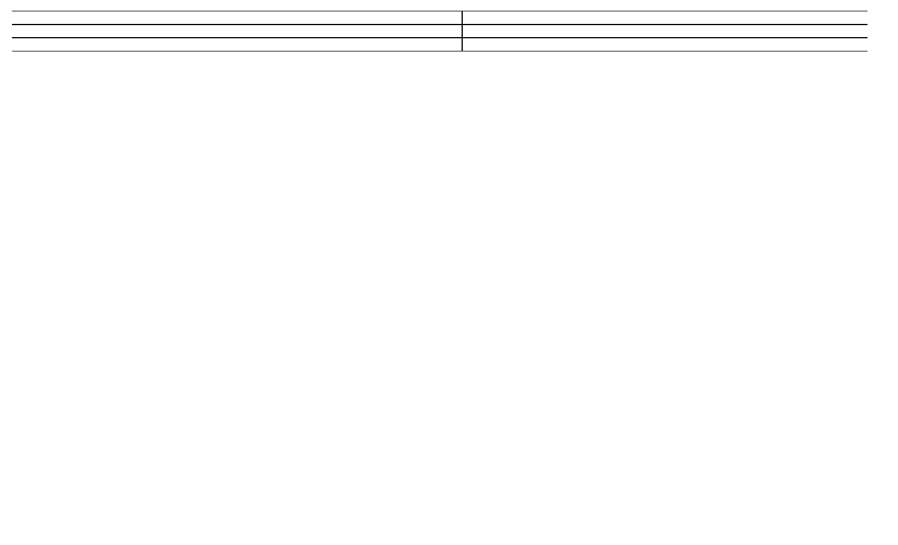| <u> 1980 - Ann an t-Aontaithe ann an t-Aontaithe ann an t-Aontaithe ann an t-Aontaithe ann an t-Aontaithe ann an t-</u> |
|-------------------------------------------------------------------------------------------------------------------------|
|                                                                                                                         |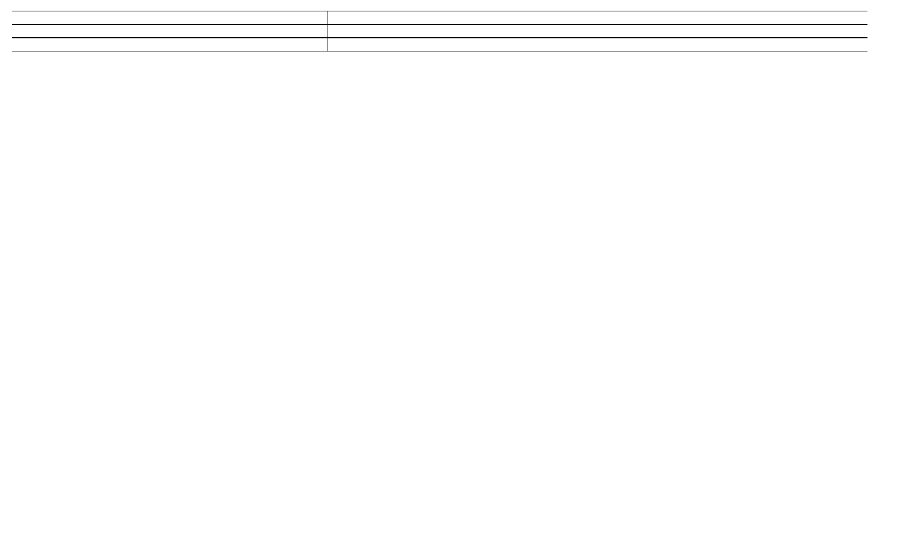| ,一个人都是一个人的人,而且,他们的人都是一个人,而且,他们的人都是一个人,而且,他们的人都是一个人,而且,他们的人都是一个人,而且,他们的人都是一个人,而且,他<br>第二十一章 一个人,他们的人都是一个人,他们的人都是一个人,他们的人都是一个人,他们的人都是一个人,他们的人都是一个人,他们的人都是一个人,他们的人都是一个人, | ,我们也不会不会。""我们的,我们也不会不会。""我们的,我们也不会不会不会。""我们的,我们也不会不会不会。""我们的,我们也不会不会不会。""我们的,我们也 |
|-----------------------------------------------------------------------------------------------------------------------------------------------------------------------|----------------------------------------------------------------------------------|
|                                                                                                                                                                       |                                                                                  |
|                                                                                                                                                                       |                                                                                  |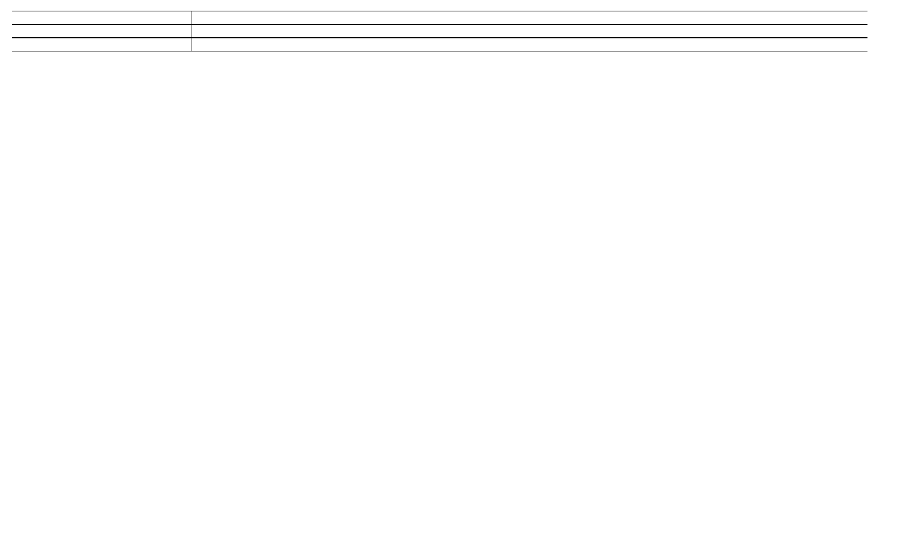| ,一个人的人都是一个人的人,而且,他们的人都是一个人的人,而且,他们的人都是一个人的人,而且,他们的人都是一个人的人,而且,他们的人都是一个人的人,而且,他们的人<br>第一百一十一章 一个人的人,他们的人都是一个人的人,他们的人都是一个人的人,他们的人都是一个人的人,他们的人都是一个人的人,他们的人都是一个人的人,他们的人都是<br>,我们就会不会不会。""我们,我们就会不会不会不会。""我们,我们就会不会不会不会不会不会。""我们,我们就会不会不会不会不会。""我们,我们就会不会不会不会不 |
|-----------------------------------------------------------------------------------------------------------------------------------------------------------------------------------------------------------------------------------------------------------|
| ,一个人都是一个人的人,而且,他们的人都是一个人,而且,他们的人都是一个人,而且,他们的人都是一个人,而且,他们的人都是一个人,而且,他们的人都是一个人,而且,他<br>第二十一章 一个人,他们的人都是一个人,他们的人都是一个人,他们的人都是一个人,他们的人都是一个人,他们的人都是一个人,他们的人都是一个人,他们的人都是一个人,                                                                                     |
|                                                                                                                                                                                                                                                           |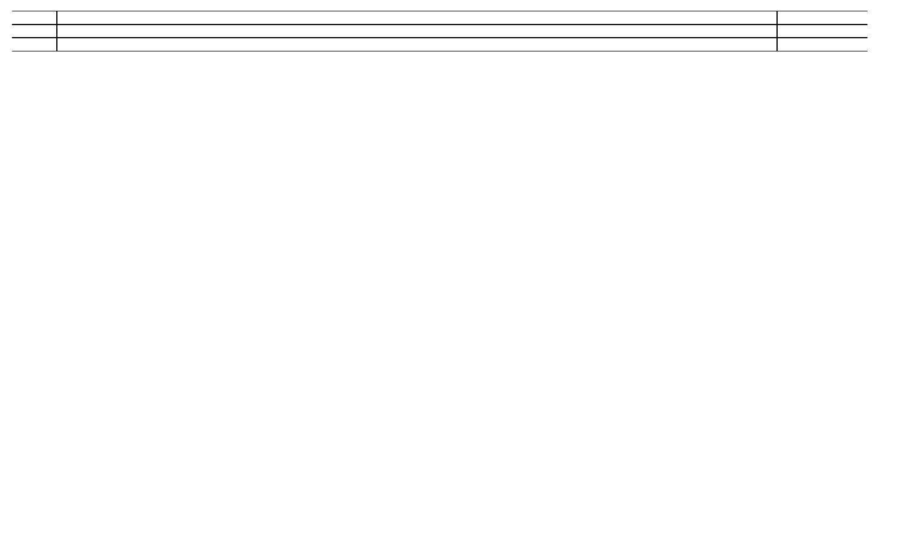| <u>та на представљен под податковата на представљен податковата на представљен податковата на представљен податк</u> |  |
|----------------------------------------------------------------------------------------------------------------------|--|
|                                                                                                                      |  |
| ,一个人都是一个人的人,一个人都是一个人的人,一个人都是一个人的人,一个人都是一个人的人,一个人都是一个人的人,一个人都是一个人的人,一个人都是一个人的人,一个人                                    |  |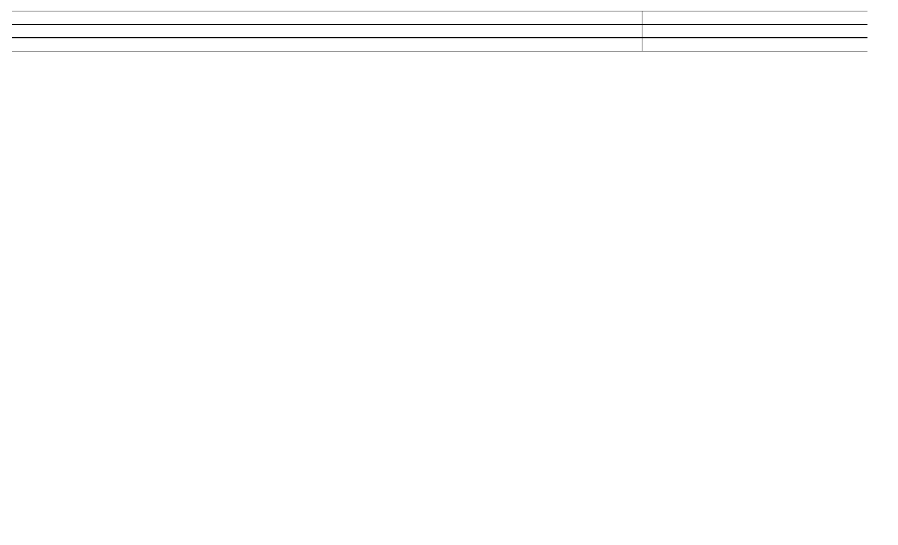| ,一个人都是一个人的人,一个人都是一个人的人,一个人都是一个人的人,一个人都是一个人的人,一个人都是一个人的人,一个人都是一个人的人,一个人都是一个人的人,一个人<br>→ South State State State State State State State State State State State State State State State State State State State State State State State State State State State State State State State State State State State St |  |
|-------------------------------------------------------------------------------------------------------------------------------------------------------------------------------------------------------------------------------------------------------------------------------------------------------------------|--|
| ,一个人的人都是一个人的人,而且,他们的人都是不能的。""我们的人,我们的人都是不能的人,我们的人都是不能的人,我们的人都是不能的人,我们的人都是不能的人,我们的<br>第一百一十一章 一个人的人,我们的人都是不能的人,我们的人都是不能的人,我们的人都是不能的人,我们的人都是不能的人,我们的人都是不能的人,我们的人都是不能的人,                                                                                                                                             |  |
| ,我们也不会不会不会。""我们的,我们也不会不会不会。""我们的,我们也不会不会不会不会不会。""我们的,我们也不会不会不会不会。""我们的,我们也不会不会不会<br>第二百一章 第二百一章 第二百一章 第二百一章 第二百一章 第二百一章 第二百一章 第二百一章 第二百一章 第二百一章 第二百一章 第二百一章 第二百一章 第二                                                                                                                                              |  |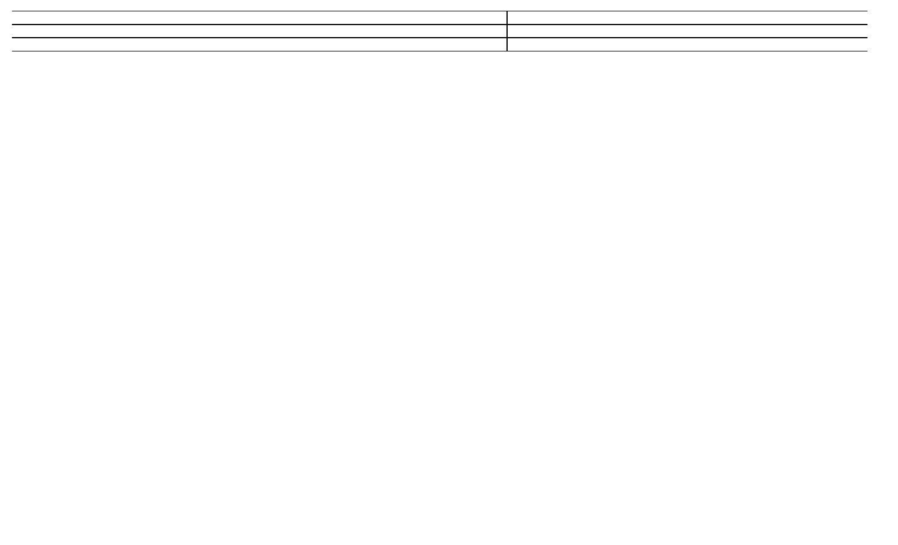| ,一个人都是一个人的人,而且,他们的人都是一个人,而且,他们的人都是一个人,而且,他们的人都是一个人,而且,他们的人都是一个人,而且,他们的人都是一个人,而且,他<br>第二十二章 第二十二章 第二十二章 第二十二章 第二十二章 第二十二章 第二十二章 第二十二章 第二十二章 第二十二章 第二十二章 第二十二章 第二十二章 第二十 |  |
|------------------------------------------------------------------------------------------------------------------------------------------------------------------------|--|
|                                                                                                                                                                        |  |
| ,一个人的人都是一个人的人,而且,他们的人都是一个人的人,而且,他们的人都是一个人的人,而且,他们的人都是一个人的人,而且,他们的人都是一个人的人,而且,他们的人                                                                                      |  |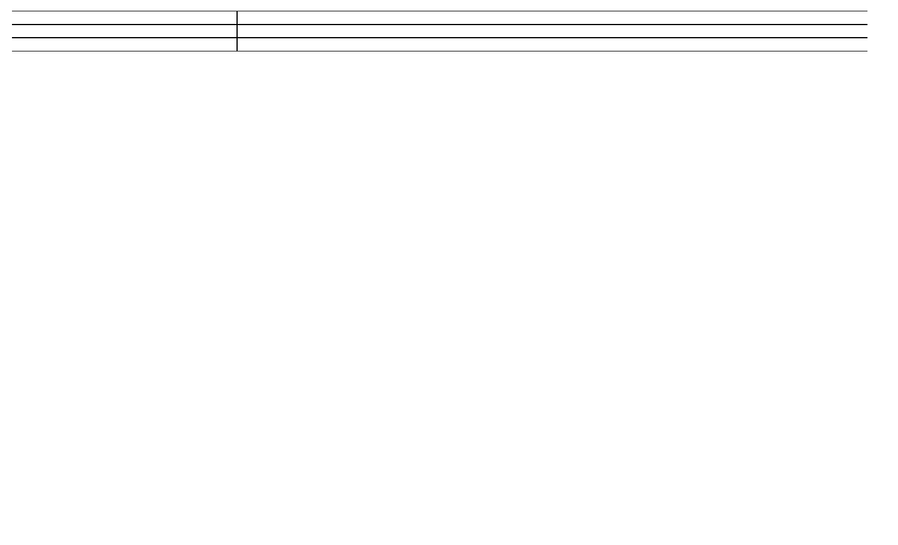| ,我们就会不会不会。""我们,我们也不会不会不会。""我们,我们也不会不会不会不会不会不会。""我们,我们也不会不会不会不会。""我们,我们也不会不会不会不会不  |
|-----------------------------------------------------------------------------------|
| ,一个人都是一个人的人,一个人都是一个人的人,一个人都是一个人的人,一个人都是一个人的人,一个人都是一个人的人,一个人都是一个人的人,一个人都是一个人的人,一个人 |
|                                                                                   |
| ,一个人都是一个人的人,而且,我们也不会不会不会。""我们,我们也不会不会不会不会。""我们,我们也不会不会不会不会。""我们,我们也不会不会不会不会。""我们, |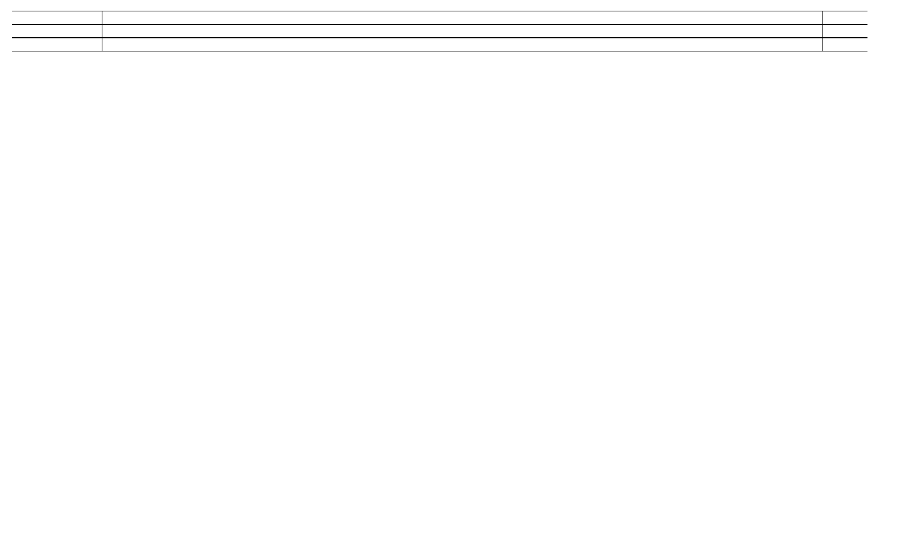| ,一个人都是一个人的人,一个人都是一个人的人,一个人都是一个人的人,一个人都是一个人的人,一个人都是一个人的人,一个人都是一个人的人,一个人都是一个人的人,一个人<br>第二十一章 一个人的人,一个人的人都是一个人的人,一个人的人都是一个人的人,一个人的人都是一个人的人,一个人的人都是一个人的人,一个人的人都是一个人的人,一个人<br>,一个人都是一个人的人,一个人都是一个人的人,一个人都是一个人的人,一个人都是一个人的人,一个人都是一个人的人,一个人都是一个人的人,一个人都是一个人的人,一个人<br>第二十一章 一个人的人,一个人都是一个人的人,一个人都是一个人的人,一个人都是一个人的人,一个人都是一个人的人,一个人都是一个人的人,一个人都是一个人的人,一个 |  |
|------------------------------------------------------------------------------------------------------------------------------------------------------------------------------------------------------------------------------------------------------------------------------------------------------------------------------------------------|--|
| ,一个人的人都是一个人的人,而且,他们的人都是一个人的人,而且,他们的人都是一个人的人,而且,他们的人都是一个人的人,而且,他们的人都是一个人的人,而且,他们的<br>第一百一十一章 一个人的人,他们的人都是一个人的人,他们的人都是一个人的人,他们的人都是一个人的人,他们的人都是一个人的人,他们的人都是一个人的人,他们的人都是                                                                                                                                                                           |  |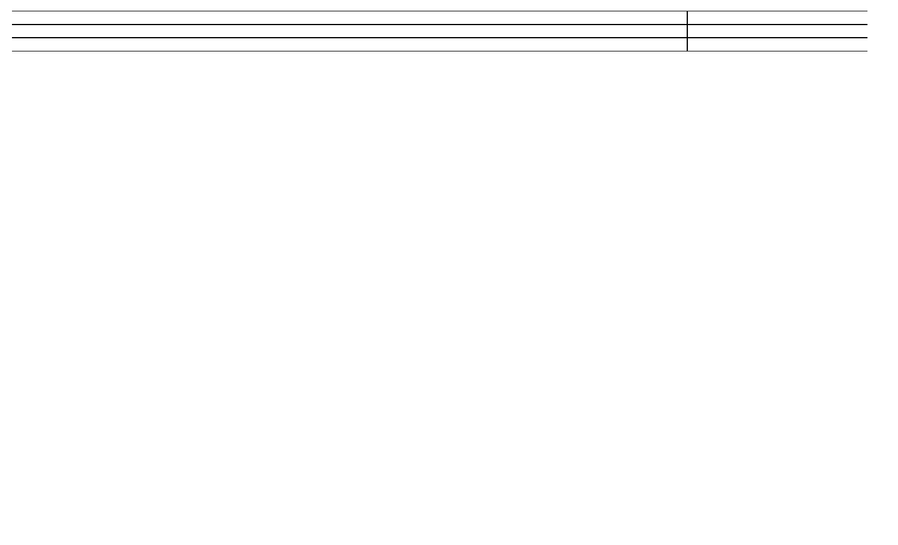| ,我们就会不会不会。""我们,我们也不会不会不会。""我们,我们也不会不会不会不会不会不会不会。""我们,我们也不会不会不会不会不会。""我们,我们也不会不会不 |  |
|----------------------------------------------------------------------------------|--|
| ,一个人的人都是一个人的人,而且,我们也不会不会不会。""我们,我们也不会不会不会不会不会不会。""我们,我们也不会不会不会不会。""我们,我们也不会不会不会不 |  |
|                                                                                  |  |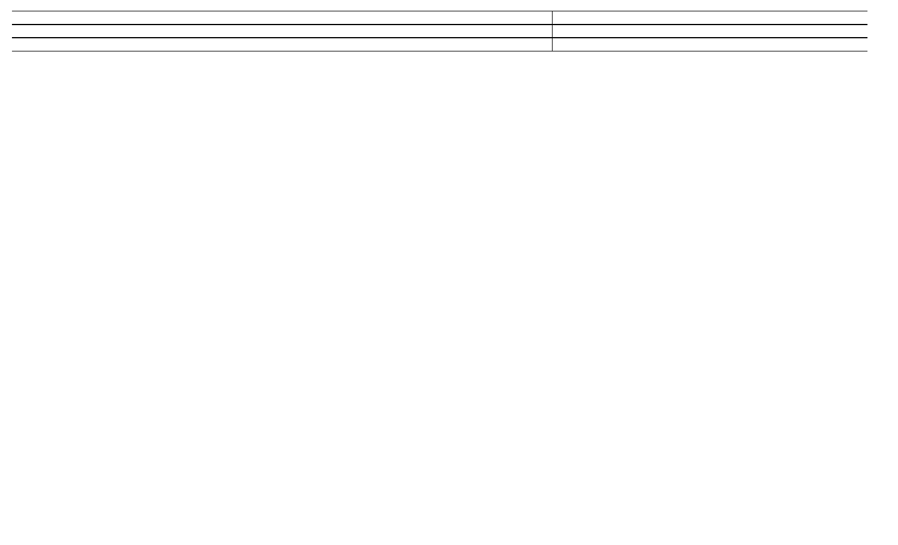| → 中国的 → 中国的 → 中国的 → 中国的 → 中国的 → 中国的 → 中国的 → 中国的 → 中国的 → 中国的 → 中国的 → 中国的 → 中国的 → 中国的 → 中国的 → 中国的 → 中国的 → 中国的 → 中国 |  |
|------------------------------------------------------------------------------------------------------------------|--|
|                                                                                                                  |  |
|                                                                                                                  |  |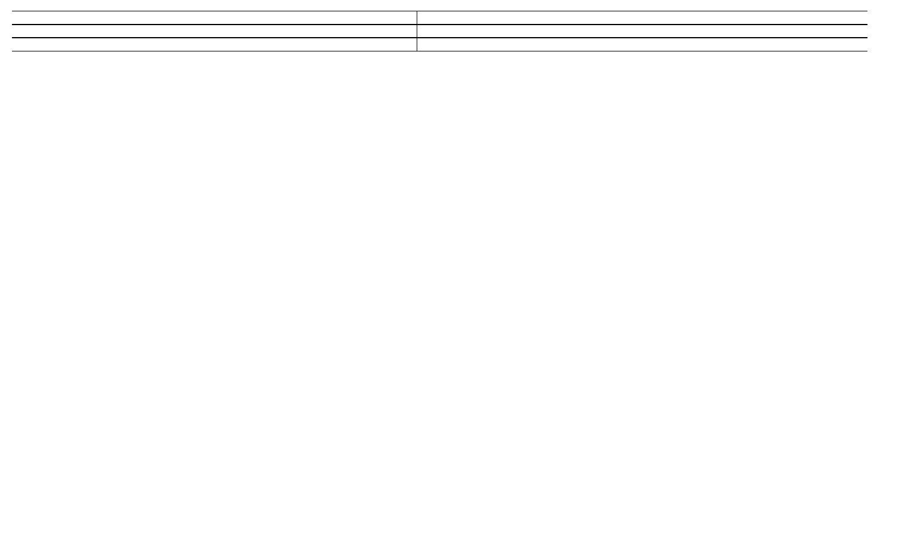| ,我们就会不会不会。""我们,我们就会不会不会不会,我们就会不会不会不会。""我们,我们就会不会不会不会。""我们,我们就会不会不会不会。""我们,我们就会不会 |                                                                                   |
|----------------------------------------------------------------------------------|-----------------------------------------------------------------------------------|
|                                                                                  | ,我们也不会不会不会。""我们的,我们也不会不会不会。""我们的,我们也不会不会不会不会。""我们的,我们也不会不会不会不会。""我们的,我们也不会不会不会不会  |
|                                                                                  | ,我们就会不会不会。""我们,我们就会不会不会,我们就会不会不会,我们就会不会不会。""我们,我们就会不会不会。""我们,我们就会不会不会不会。""我们,我们就会 |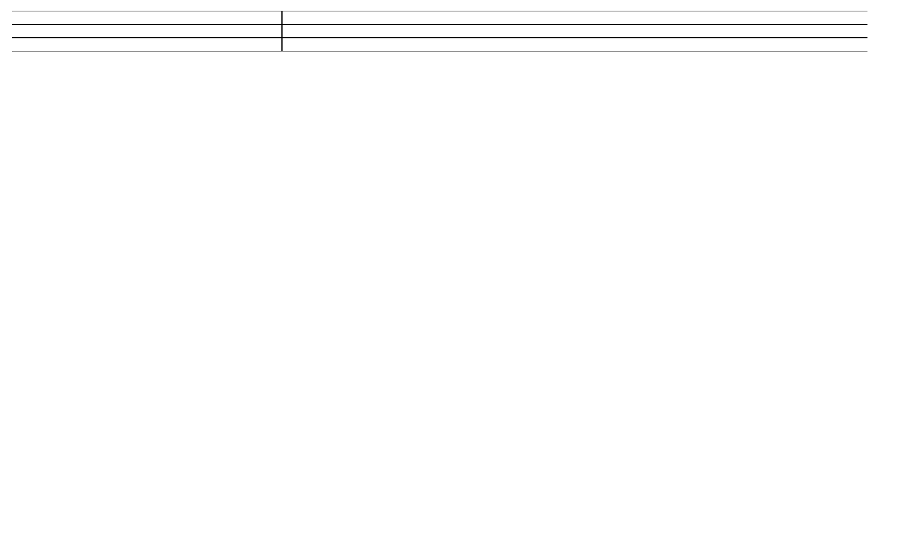| ,一个人都是一个人的人,我们就是一个人的人,我们就是一个人的人,我们就是一个人的人,我们就是一个人的人,我们就是一个人的人,我们就是一个人的人,我们就是一个人的<br>第一百一十一章 一个人的人,我们就是一个人的人,我们就是一个人的人,我们就是一个人的人,我们就是一个人的人,我们就是一个人的人,我们就是一个人的人,我们就是一个 |
|----------------------------------------------------------------------------------------------------------------------------------------------------------------------|
|                                                                                                                                                                      |
|                                                                                                                                                                      |
|                                                                                                                                                                      |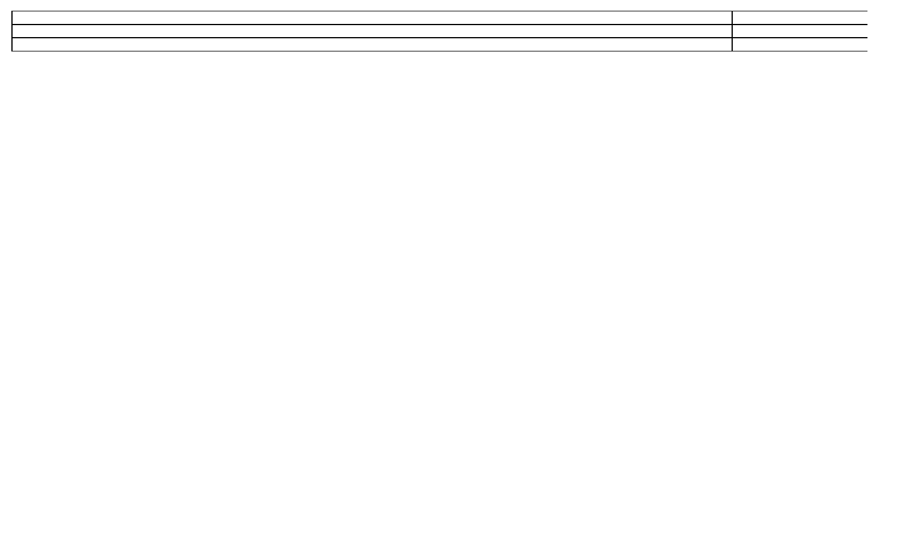| ,他们的人们就是一个人,他们的人们就是一个人,他们的人们,他们的人们就是一个人,他们的人们,他们的人们就是一个人,他们的人们,他们的人们,他们的人们,他们的人们,<br>第25章 我们的人们,他们的人们,他们的人们,他们的人们,他们的人们,他们的人们,他们的人们,他们的人们,他们的人们,他们的人们,他们的人们,他们的人们,他们的 |  |
|-----------------------------------------------------------------------------------------------------------------------------------------------------------------------|--|
| ,一个人都是一个人的人,而且,他们的人都是一个人,而且,他们的人都是一个人,而且,他们的人都是一个人,而且,他们的人都是一个人,而且,他们的人都是一个人,而且,他<br>第二百一十一章 一个人,他们的人都是一个人,他们的人都是一个人,他们的人都是一个人,他们的人都是一个人,他们的人都是一个人,他们的人都是一个人,他们的人都是一个 |  |
| ,一个人都是一个人的人,而且,他们的人都是一个人,他们的人都是一个人,他们的人都是一个人,他们的人都是一个人,他们的人都是一个人,他们的人都是一个人,他们的人都是                                                                                     |  |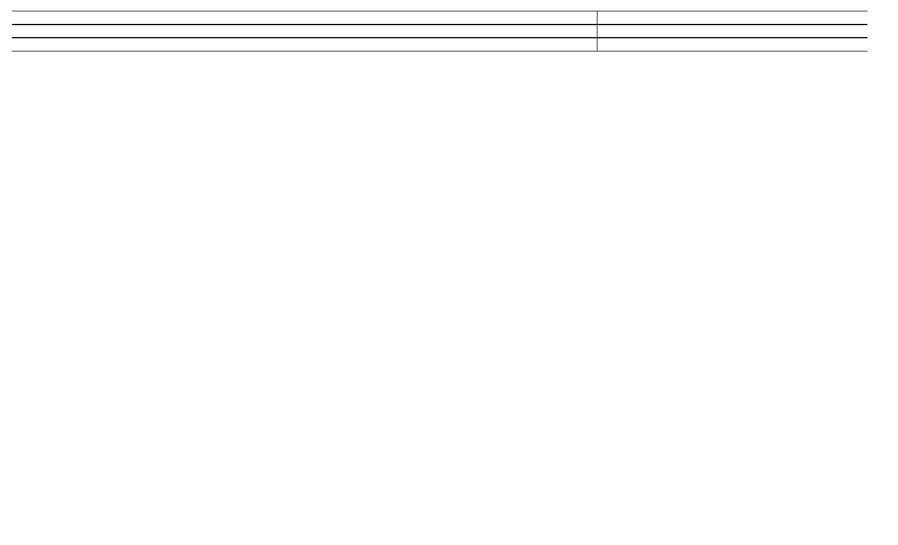| ,一个人都是一个人的人,而且,我们也不会不会不会。""我们,我们也不会不会不会不会不会不会不会不会。""我们,我们也不会不会不会不会不会不会不会不会。""我们,我<br>,他们的人们也不会不会。""我们的人们,我们也不会不会不会。""我们的人们,我们也不会不会不会。""我们的人们,我们也不会不会不会。""我们的人们,我们也不会不 |  |
|-----------------------------------------------------------------------------------------------------------------------------------------------------------------------|--|
| ,我们也不会不会不会。""我们的,我们也不会不会不会。""我们的,我们也不会不会不会不会。""我们的,我们也不会不会不会不会。""我们的,我们也不会不会不会不会                                                                                      |  |
|                                                                                                                                                                       |  |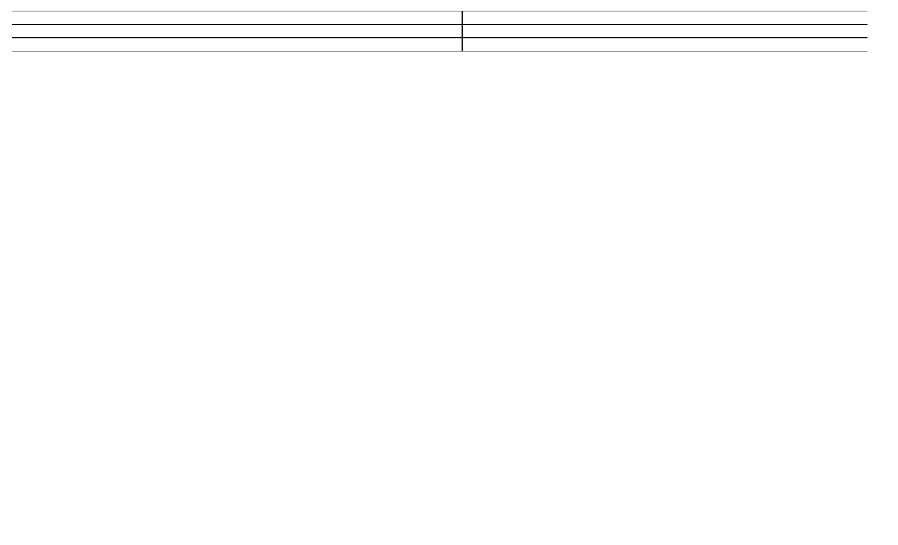| <u> 2001 - An t-An Aontaithe ann an t-Aontaithe ann an t-Aontaithe ann an t-Aontaithe ann an t-Aontaithe ann an t-</u> |
|------------------------------------------------------------------------------------------------------------------------|
|                                                                                                                        |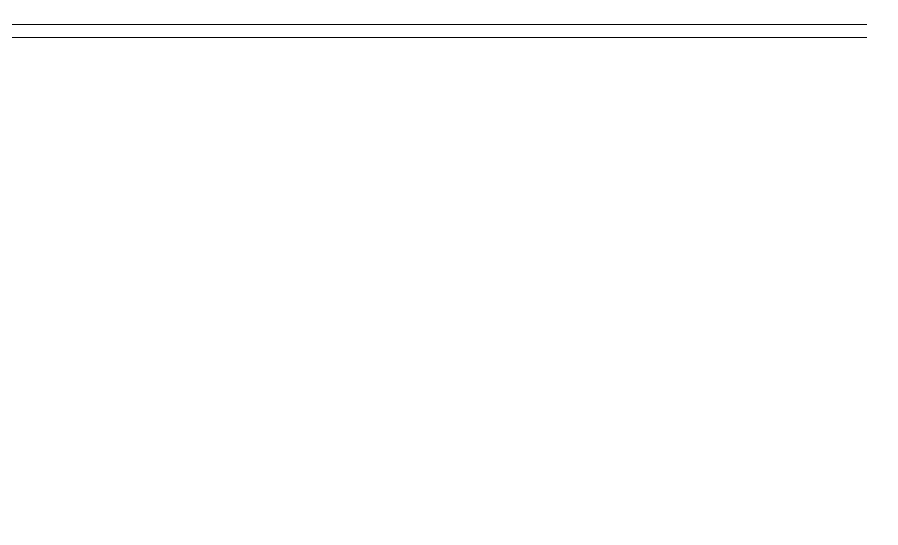| ,一个人都是一个人的人,而且,他们的人都是一个人,而且,他们的人都是一个人,而且,他们的人都是一个人,而且,他们的人都是一个人,而且,他们的人都是一个人,而且,他<br>第二十一章 一个人,他们的人都是一个人,他们的人都是一个人,他们的人都是一个人,他们的人都是一个人,他们的人都是一个人,他们的人都是一个人,他们的人都是一个人, | ,我们也不会不会。""我们的,我们也不会不会。""我们的,我们也不会不会不会。""我们的,我们也不会不会不会。""我们的,我们也不会不会不会。""我们的,我们也 |
|-----------------------------------------------------------------------------------------------------------------------------------------------------------------------|----------------------------------------------------------------------------------|
|                                                                                                                                                                       |                                                                                  |
|                                                                                                                                                                       |                                                                                  |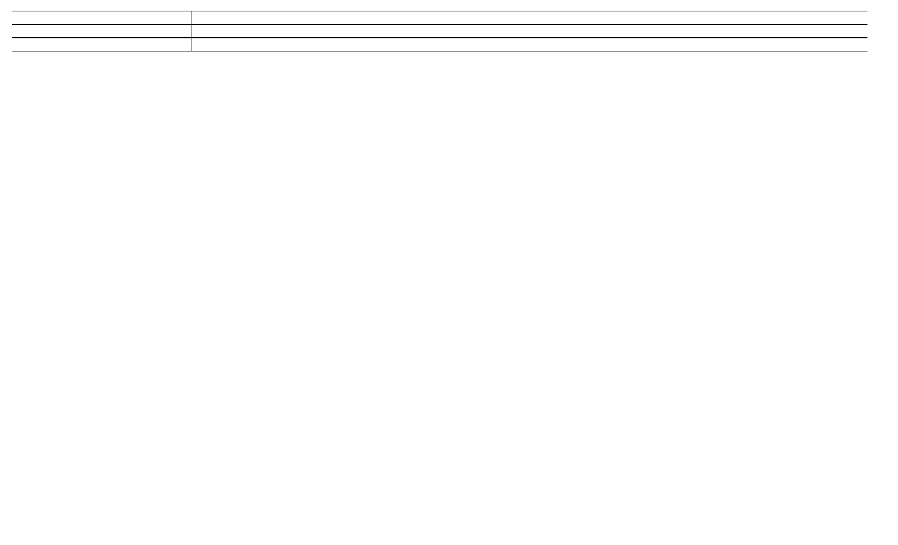| ,一个人的人都是一个人的人,而且,他们的人都是一个人的人,而且,他们的人都是一个人的人,而且,他们的人都是一个人的人,而且,他们的人都是一个人的人,而且,他们的人<br>第一百一十一章 一个人的人,他们的人都是一个人的人,他们的人都是一个人的人,他们的人都是一个人的人,他们的人都是一个人的人,他们的人都是一个人的人,他们的人都是<br>,我们就会不会不会。""我们,我们就会不会不会不会。""我们,我们就会不会不会不会不会不会。""我们,我们就会不会不会不会不会。""我们,我们就会不会不会不会不 |
|-----------------------------------------------------------------------------------------------------------------------------------------------------------------------------------------------------------------------------------------------------------|
| ,一个人都是一个人的人,而且,他们的人都是一个人,而且,他们的人都是一个人,而且,他们的人都是一个人,而且,他们的人都是一个人,而且,他们的人都是一个人,而且,他<br>第二十一章 一个人,他们的人都是一个人,他们的人都是一个人,他们的人都是一个人,他们的人都是一个人,他们的人都是一个人,他们的人都是一个人,他们的人都是一个人,                                                                                     |
|                                                                                                                                                                                                                                                           |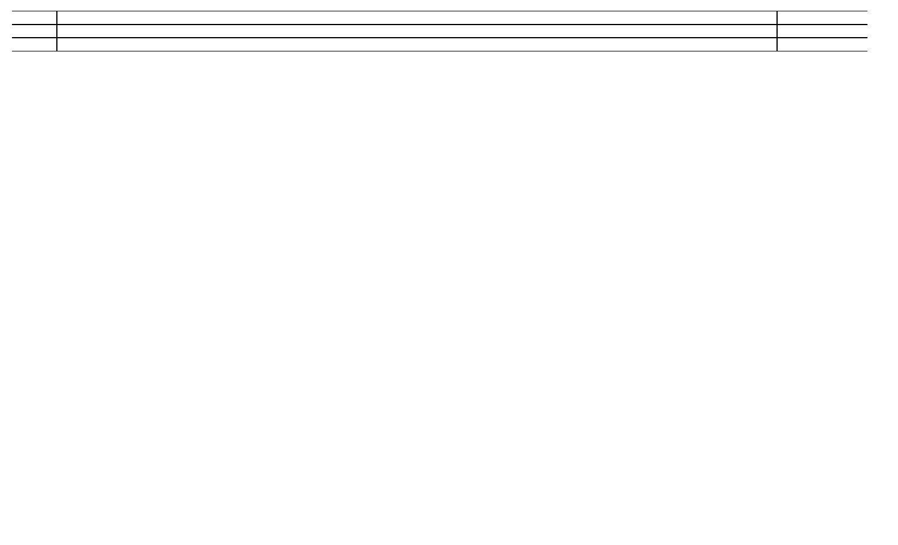| <u>та на представљен под податковата на представљен податковата на представљен податковата на представљен податк</u> |  |
|----------------------------------------------------------------------------------------------------------------------|--|
|                                                                                                                      |  |
| ,一个人都是一个人的人,一个人都是一个人的人,一个人都是一个人的人,一个人都是一个人的人,一个人都是一个人的人,一个人都是一个人的人,一个人都是一个人的人,一个人                                    |  |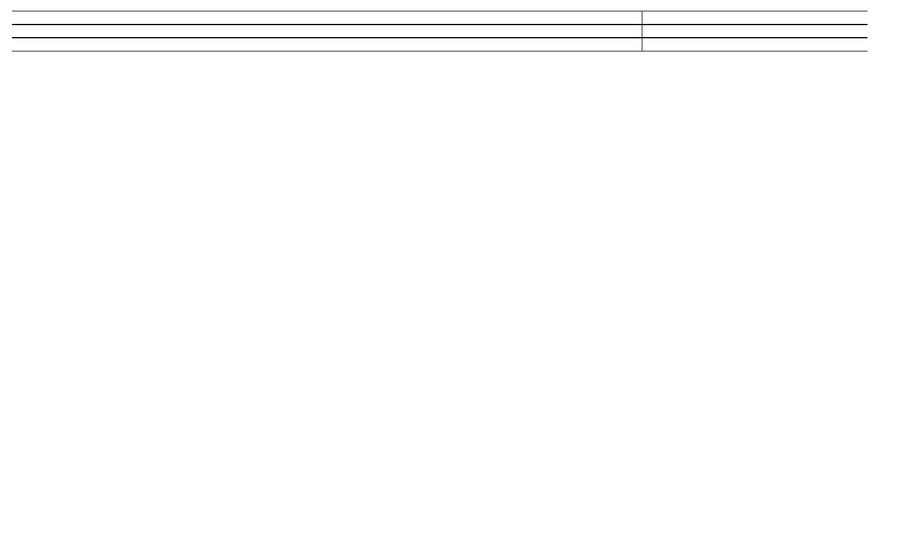| ,一个人都是一个人的人,一个人都是一个人的人,一个人都是一个人的人,一个人都是一个人的人,一个人都是一个人的人,一个人都是一个人的人,一个人都是一个人的人,一个人<br>→ South State State State State State State State State State State State State State State State State State State State State State State State State State State State State State State State State State State State St |  |
|-------------------------------------------------------------------------------------------------------------------------------------------------------------------------------------------------------------------------------------------------------------------------------------------------------------------|--|
| ,一个人的人都是一个人的人,而且,他们的人都是不是一个人的人,而且,他们的人都是不是一个人的人,而且,他们的人都是不是一个人的人,而且,他们的人都是不是一个人的<br>第一百一十一章 一个人的人,他们的人都是不是一个人的人,他们的人都是不是一个人的人,他们的人都是不是一个人的人,他们的人都是不是一个人的人,他们的人都是不是一个                                                                                                                                              |  |
| ,我们也不会不会不会。""我们的,我们也不会不会不会。""我们的,我们也不会不会不会不会不会。""我们的,我们也不会不会不会不会。""我们的,我们也不会不会不会<br>第二百一章 第二百一章 第二百一章 第二百一章 第二百一章 第二百一章 第二百一章 第二百一章 第二百一章 第二百一章 第二百一章 第二百一章 第二百一章 第二                                                                                                                                              |  |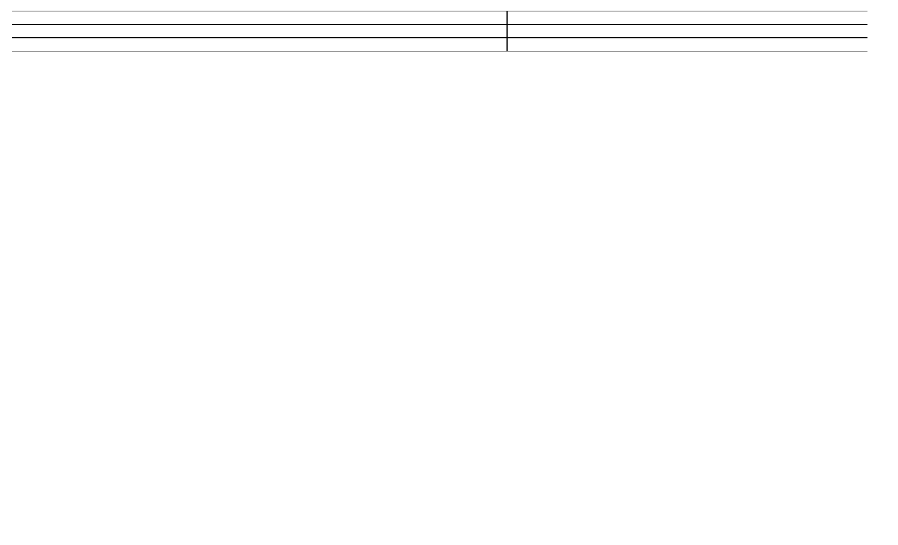| ,一个人都是一个人的人,而且,他们的人都是一个人,而且,他们的人都是一个人,而且,他们的人都是一个人,而且,他们的人都是一个人,而且,他们的人都是一个人,而且,他<br>第二十二章 第二十二章 第二十二章 第二十二章 第二十二章 第二十二章 第二十二章 第二十二章 第二十二章 第二十二章 第二十二章 第二十二章 第二十二章 第二十 |  |
|------------------------------------------------------------------------------------------------------------------------------------------------------------------------|--|
|                                                                                                                                                                        |  |
| ,我们就会不会不会。""我们的,我们也不会不会不会。""我们的,我们也不会不会不会不会不会。""我们的,我们也不会不会不会不会。""我们的,我们也不会不会不会不                                                                                       |  |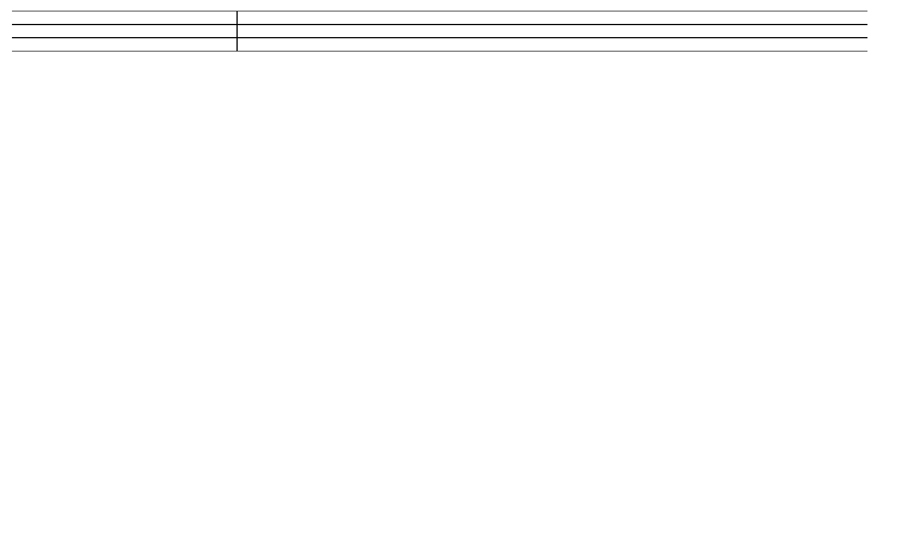| ,我们就会不会不会。""我们,我们也不会不会不会。""我们,我们也不会不会不会不会不会不会。""我们,我们也不会不会不会不会。""我们,我们也不会不会不会不会不  |
|-----------------------------------------------------------------------------------|
| ,一个人都是一个人的人,一个人都是一个人的人,一个人都是一个人的人,一个人都是一个人的人,一个人都是一个人的人,一个人都是一个人的人,一个人都是一个人的人,一个人 |
|                                                                                   |
| ,一个人都是一个人的人,而且,我们也不会不会不会。""我们,我们也不会不会不会不会不会不会不会。""我们,我们也不会不会不会不会不会不会不会不会。""我们,我们  |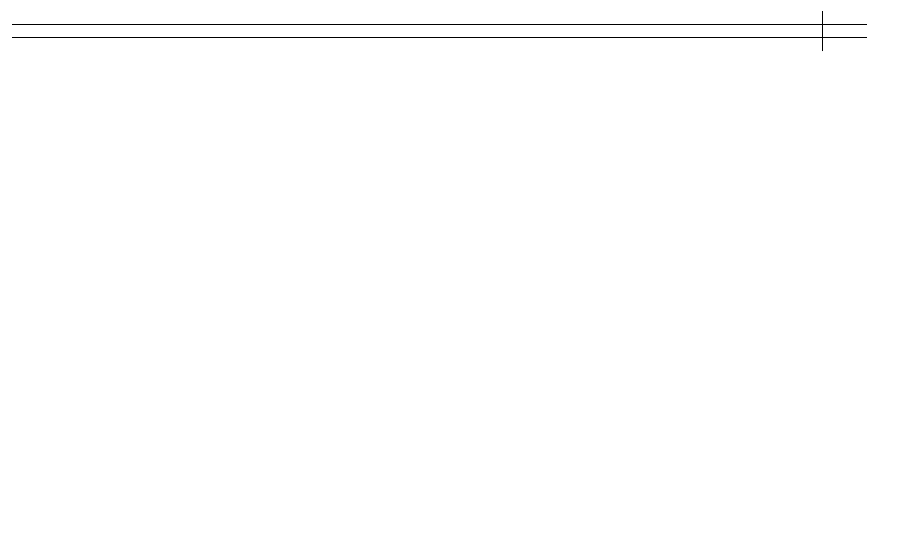| ,一个人都是一个人的人,一个人都是一个人的人,一个人都是一个人的人,一个人都是一个人的人,一个人都是一个人的人,一个人都是一个人的人,一个人都是一个人的人,一个人<br>第二十一章 一个人的人,一个人的人都是一个人的人,一个人的人都是一个人的人,一个人的人都是一个人的人,一个人的人都是一个人的人,一个人的人都是一个人的人,一个人<br>,一个人都是一个人的人,一个人都是一个人的人,一个人都是一个人的人,一个人都是一个人的人,一个人都是一个人的人,一个人都是一个人的人,一个人都是一个人的人,一个人<br>第二十一章 一个人的人,一个人都是一个人的人,一个人都是一个人的人,一个人都是一个人的人,一个人都是一个人的人,一个人都是一个人的人,一个人都是一个人的人,一个 |  |
|------------------------------------------------------------------------------------------------------------------------------------------------------------------------------------------------------------------------------------------------------------------------------------------------------------------------------------------------|--|
| ,一个人的人都是一个人的人,而且,他们的人都是一个人的人,而且,他们的人都是一个人的人,而且,他们的人都是一个人的人,而且,他们的人都是一个人的人,而且,他们的<br>第一百一十一章 一个人的人,他们的人都是一个人的人,他们的人都是一个人的人,他们的人都是一个人的人,他们的人都是一个人的人,他们的人都是一个人的人,他们的人都是                                                                                                                                                                           |  |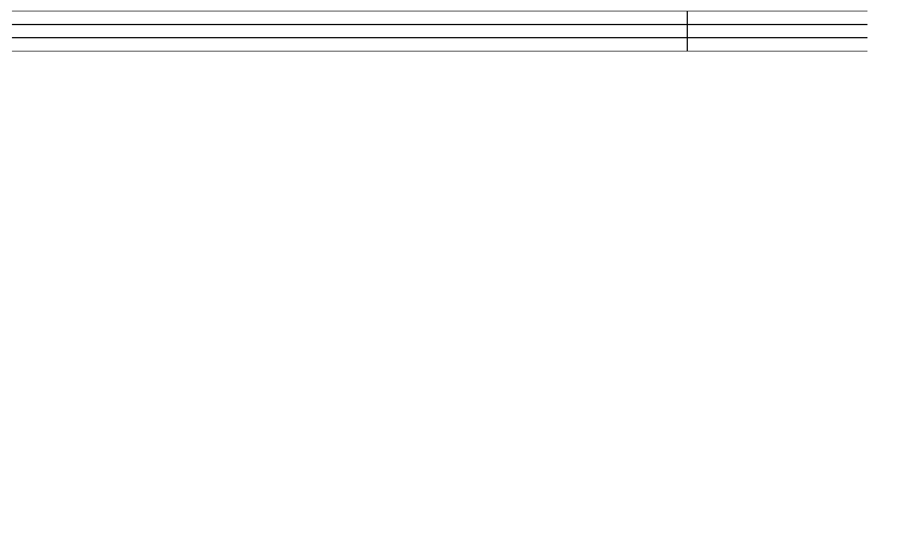| ,我们就会不会不会。""我们,我们也不会不会不会。""我们,我们也不会不会不会不会不会不会不会。""我们,我们也不会不会不会不会不会。""我们,我们也不会不会不 |  |
|----------------------------------------------------------------------------------|--|
| ,一个人的人都是一个人的人,而且,我们也不会不会不会。""我们,我们也不会不会不会不会不会不会。""我们,我们也不会不会不会不会。""我们,我们也不会不会不会不 |  |
|                                                                                  |  |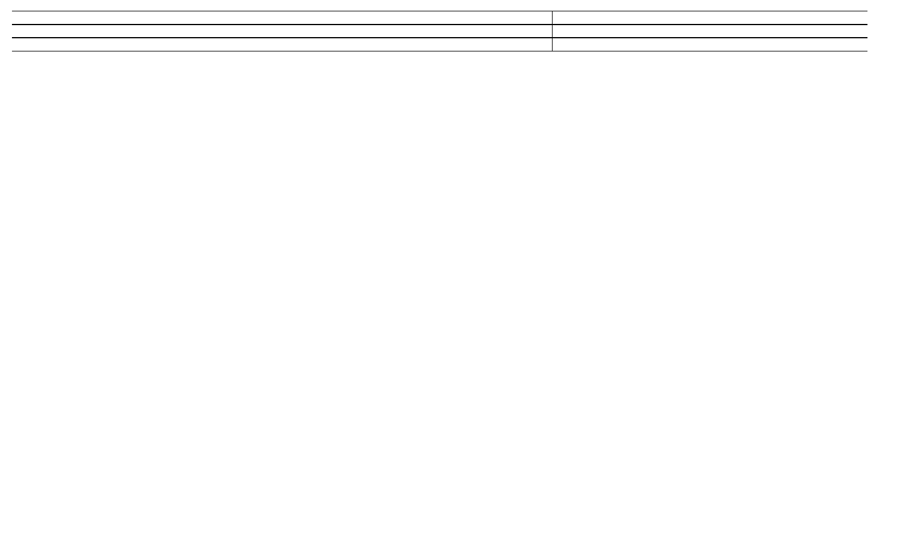| → 中国的 → 中国的 → 中国的 → 中国的 → 中国的 → 中国的 → 中国的 → 中国的 → 中国的 → 中国的 → 中国的 → 中国的 → 中国的 → 中国的 → 中国的 → 中国的 → 中国的 → 中国的 → 中国 |  |
|------------------------------------------------------------------------------------------------------------------|--|
|                                                                                                                  |  |
|                                                                                                                  |  |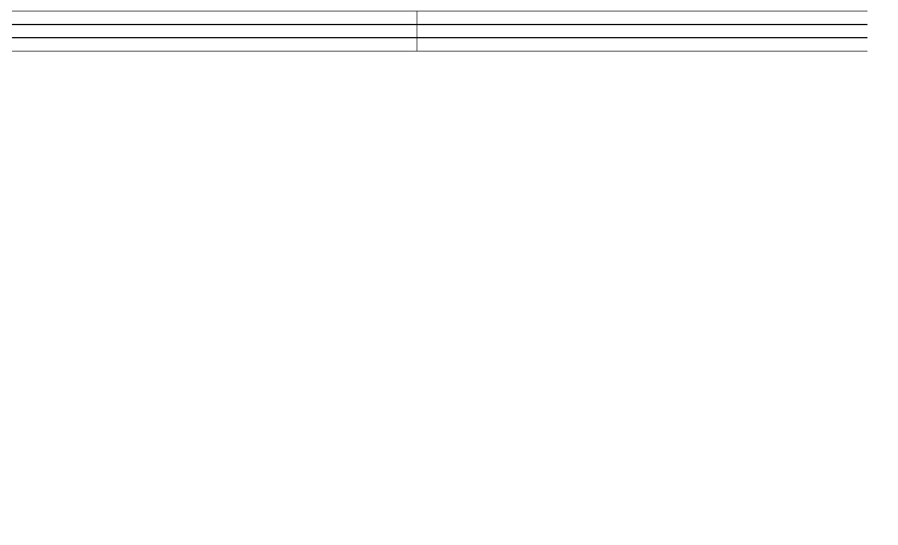| ,我们就会不会不会。""我们,我们就会不会不会不会,我们就会不会不会不会。""我们,我们就会不会不会不会。""我们,我们就会不会不会不会。""我们,我们就会不会 |                                                                                   |
|----------------------------------------------------------------------------------|-----------------------------------------------------------------------------------|
|                                                                                  | ,我们也不会不会不会。""我们的,我们也不会不会不会。""我们的,我们也不会不会不会不会。""我们的,我们也不会不会不会不会。""我们的,我们也不会不会不会不会  |
|                                                                                  | ,我们就会不会不会。""我们,我们就会不会不会,我们就会不会不会,我们就会不会不会。""我们,我们就会不会不会。""我们,我们就会不会不会不会。""我们,我们就会 |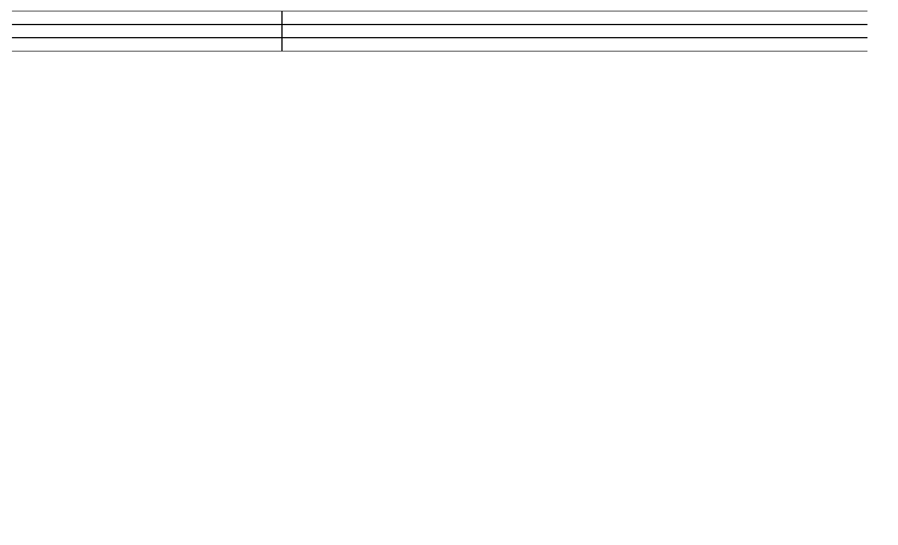| ,一个人都是一个人的人,我们就是一个人的人,我们就是一个人的人,我们就是一个人的人,我们就是一个人的人,我们就是一个人的人,我们就是一个人的人,我们就是一个人的<br>第一百一十一章 一个人的人,我们就是一个人的人,我们就是一个人的人,我们就是一个人的人,我们就是一个人的人,我们就是一个人的人,我们就是一个人的人,我们就是一个 |
|----------------------------------------------------------------------------------------------------------------------------------------------------------------------|
|                                                                                                                                                                      |
|                                                                                                                                                                      |
|                                                                                                                                                                      |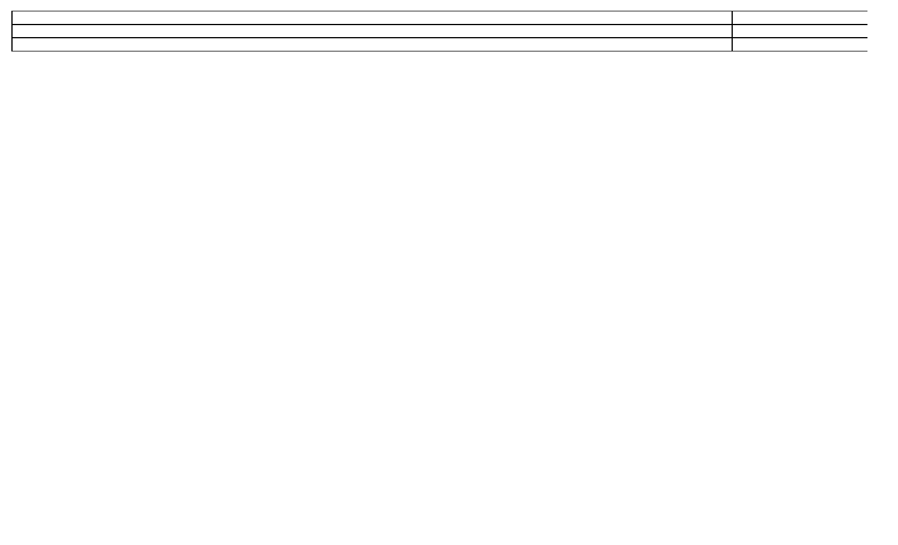| ,他们的人们就是一个人,他们的人们就是一个人,他们的人们,他们的人们就是一个人,他们的人们,他们的人们就是一个人,他们的人们,他们的人们,他们的人们,他们的人们,<br>第25章 我们的人们,他们的人们,他们的人们,他们的人们,他们的人们,他们的人们,他们的人们,他们的人们,他们的人们,他们的人们,他们的人们,他们的人们,他们的 |  |
|-----------------------------------------------------------------------------------------------------------------------------------------------------------------------|--|
| ,一个人都是一个人的人,而且,他们的人都是一个人,而且,他们的人都是一个人,而且,他们的人都是一个人,而且,他们的人都是一个人,而且,他们的人都是一个人,而且,他<br>第二百一十一章 一个人,他们的人都是一个人,他们的人都是一个人,他们的人都是一个人,他们的人都是一个人,他们的人都是一个人,他们的人都是一个人,他们的人都是一个 |  |
| ,一个人都是一个人的人,而且,他们的人都是一个人,他们的人都是一个人,他们的人都是一个人,他们的人都是一个人,他们的人都是一个人,他们的人都是一个人,他们的人都是                                                                                     |  |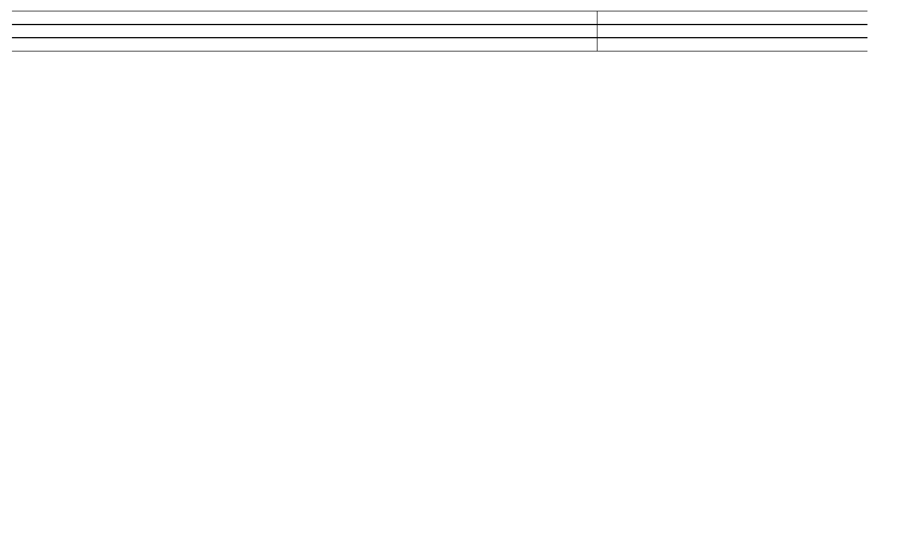| ,一个人都是一个人的人,而且,我们也不会不会不会。""我们,我们也不会不会不会不会不会不会不会不会。""我们,我们也不会不会不会不会不会不会不会不会。""我们,我<br>,他们的人们也不会不会。""我们的人们,我们也不会不会不会。""我们的人们,我们也不会不会不会。""我们的人们,我们也不会不会不会。""我们的人们,我们也不会不 |  |
|-----------------------------------------------------------------------------------------------------------------------------------------------------------------------|--|
| ,我们也不会不会不会。""我们的,我们也不会不会不会。""我们的,我们也不会不会不会不会。""我们的,我们也不会不会不会不会。""我们的,我们也不会不会不会不会                                                                                      |  |
|                                                                                                                                                                       |  |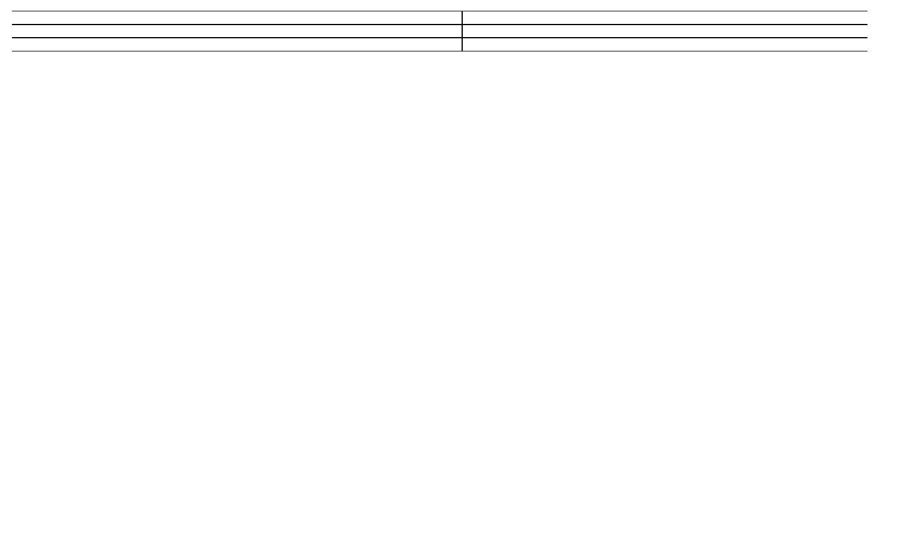| <u> 2001 - An t-An Aontaithe ann an t-Aontaithe ann an t-Aontaithe ann an t-Aontaithe ann an t-Aontaithe ann an t-</u> |
|------------------------------------------------------------------------------------------------------------------------|
|                                                                                                                        |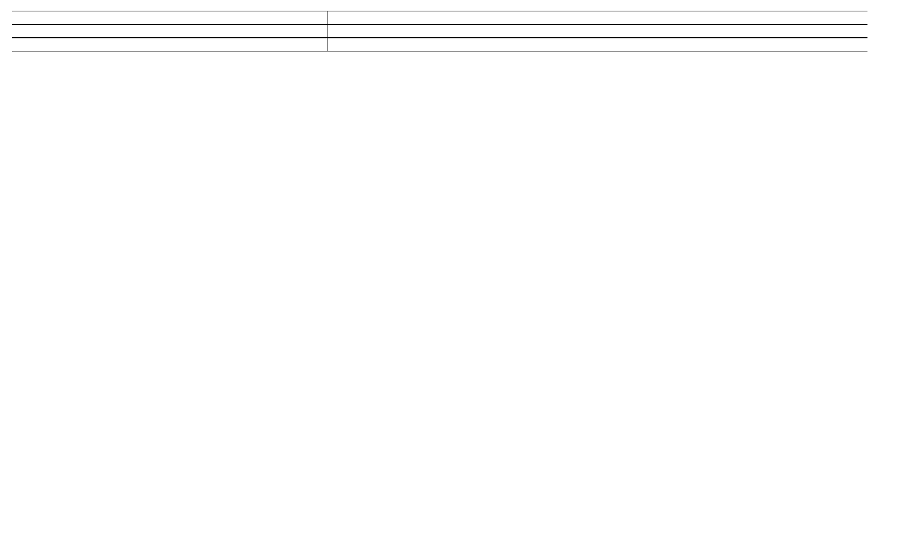| ,一个人都是一个人的人,而且,他们的人都是一个人,而且,他们的人都是一个人,而且,他们的人都是一个人,而且,他们的人都是一个人,而且,他们的人都是一个人,而且,他<br>第二十一章 一个人,他们的人都是一个人,他们的人都是一个人,他们的人都是一个人,他们的人都是一个人,他们的人都是一个人,他们的人都是一个人,他们的人都是一个人, | ,我们也不会不会。""我们的,我们也不会不会。""我们的,我们也不会不会不会。""我们的,我们也不会不会不会。""我们的,我们也不会不会不会。""我们的,我们也 |
|-----------------------------------------------------------------------------------------------------------------------------------------------------------------------|----------------------------------------------------------------------------------|
|                                                                                                                                                                       |                                                                                  |
|                                                                                                                                                                       |                                                                                  |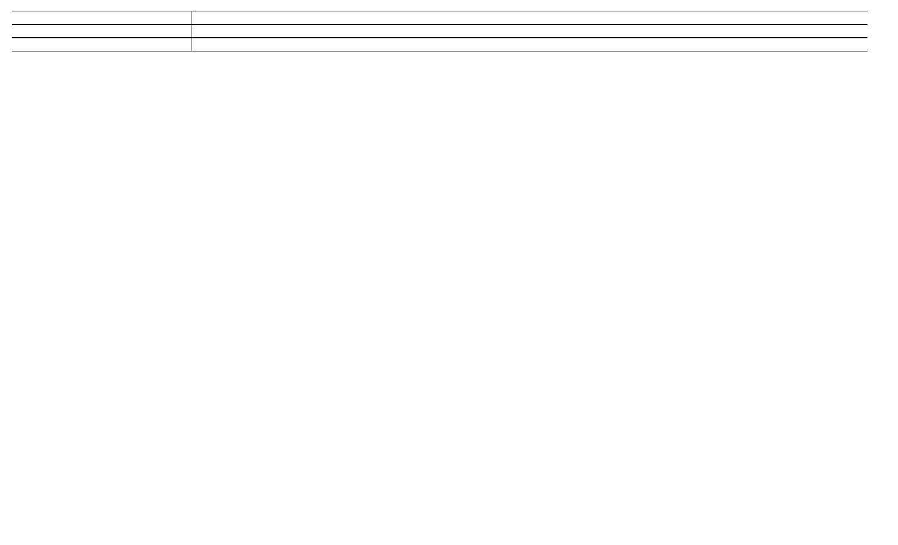| ,一个人的人都是一个人的人,而且,他们的人都是一个人的人,而且,他们的人都是一个人的人,而且,他们的人都是一个人的人,而且,他们的人都是一个人的人,而且,他们的人<br>第一百一十一章 一个人的人,他们的人都是一个人的人,他们的人都是一个人的人,他们的人都是一个人的人,他们的人都是一个人的人,他们的人都是一个人的人,他们的人都是<br>,我们就会不会不会。""我们,我们就会不会不会不会。""我们,我们就会不会不会不会不会不会。""我们,我们就会不会不会不会不会。""我们,我们就会不会不会不会不 |
|-----------------------------------------------------------------------------------------------------------------------------------------------------------------------------------------------------------------------------------------------------------|
| ,一个人都是一个人的人,而且,他们的人都是一个人,而且,他们的人都是一个人,而且,他们的人都是一个人,而且,他们的人都是一个人,而且,他们的人都是一个人,而且,他<br>第二十一章 一个人,他们的人都是一个人,他们的人都是一个人,他们的人都是一个人,他们的人都是一个人,他们的人都是一个人,他们的人都是一个人,他们的人都是一个人,                                                                                     |
|                                                                                                                                                                                                                                                           |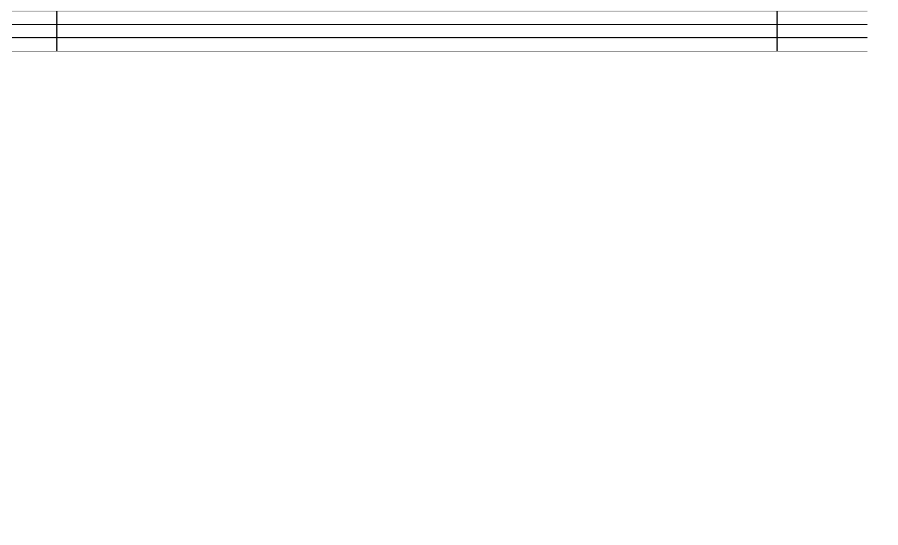| <u>та на представљен под податковата на представљен податковата на представљен податковата на представљен податк</u> |  |
|----------------------------------------------------------------------------------------------------------------------|--|
|                                                                                                                      |  |
| ,一个人都是一个人的人,一个人都是一个人的人,一个人都是一个人的人,一个人都是一个人的人,一个人都是一个人的人,一个人都是一个人的人,一个人都是一个人的人,一个人                                    |  |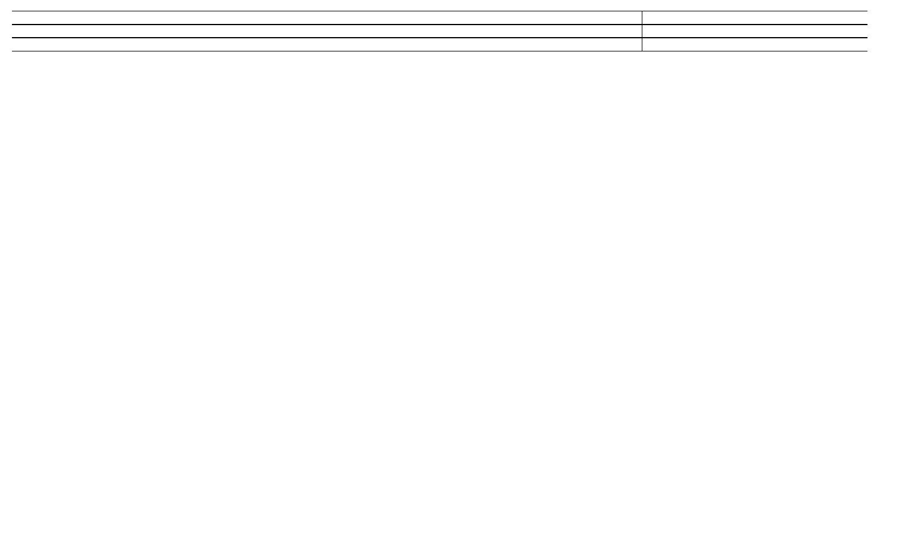| ,一个人都是一个人的人,一个人都是一个人的人,一个人都是一个人的人,一个人都是一个人的人,一个人都是一个人的人,一个人都是一个人的人,一个人都是一个人的人,一个人<br>→ South State State State State State State State State State State State State State State State State State State State State State State State State State State State State State State State State State State State St |  |
|-------------------------------------------------------------------------------------------------------------------------------------------------------------------------------------------------------------------------------------------------------------------------------------------------------------------|--|
| ,一个人的人都是一个人的人,而且,他们的人都是不是一个人的人,而且,他们的人都是不是一个人的人,而且,他们的人都是不是一个人的人,而且,他们的人都是不是一个人的<br>第一百一十一章 一个人的人,他们的人都是不是一个人的人,他们的人都是不是一个人的人,他们的人都是不是一个人的人,他们的人都是不是一个人的人,他们的人都是不是一个                                                                                                                                              |  |
| ,我们也不会不会不会。""我们的,我们也不会不会不会。""我们的,我们也不会不会不会不会不会。""我们的,我们也不会不会不会不会。""我们的,我们也不会不会不会<br>第二百一章 第二百一章 第二百一章 第二百一章 第二百一章 第二百一章 第二百一章 第二百一章 第二百一章 第二百一章 第二百一章 第二百一章 第二百一章 第二                                                                                                                                              |  |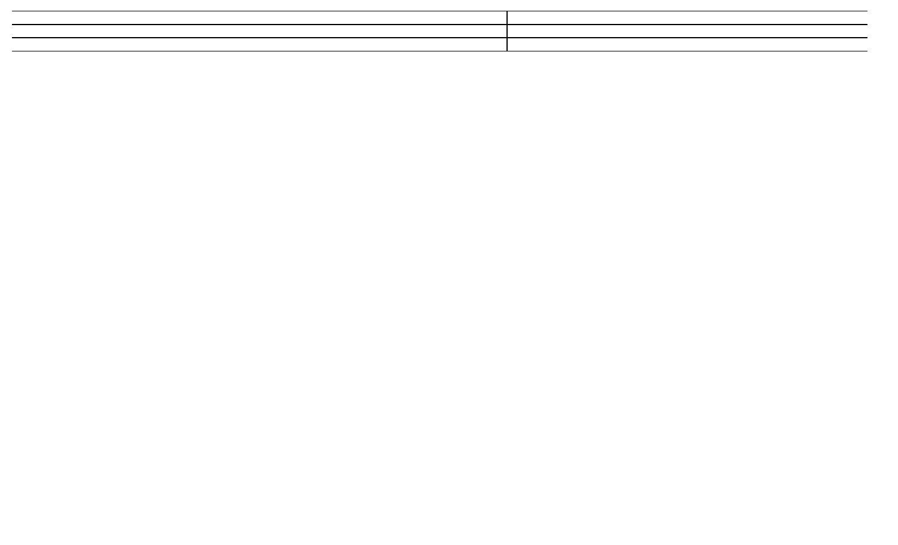| ,一个人都是一个人的人,而且,他们的人都是一个人,而且,他们的人都是一个人,而且,他们的人都是一个人,而且,他们的人都是一个人,而且,他们的人都是一个人,而且,他<br>第二十二章 第二十二章 第二十二章 第二十二章 第二十二章 第二十二章 第二十二章 第二十二章 第二十二章 第二十二章 第二十二章 第二十二章 第二十二章 第二十 |  |
|------------------------------------------------------------------------------------------------------------------------------------------------------------------------|--|
|                                                                                                                                                                        |  |
| ,我们就会不会不会。""我们的,我们也不会不会不会。""我们的,我们也不会不会不会不会不会。""我们的,我们也不会不会不会不会。""我们的,我们也不会不会不会不                                                                                       |  |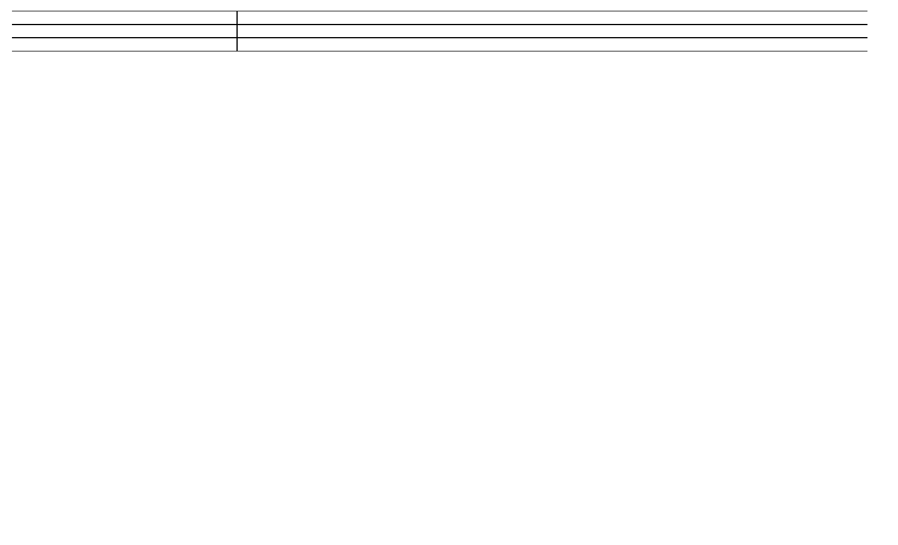| ,我们就会不会不会。""我们,我们也不会不会不会。""我们,我们也不会不会不会不会不会不会。""我们,我们也不会不会不会不会。""我们,我们也不会不会不会不会不  |
|-----------------------------------------------------------------------------------|
| ,一个人都是一个人的人,一个人都是一个人的人,一个人都是一个人的人,一个人都是一个人的人,一个人都是一个人的人,一个人都是一个人的人,一个人都是一个人的人,一个人 |
|                                                                                   |
| ,一个人都是一个人的人,而且,我们也不会不会不会。""我们,我们也不会不会不会不会不会不会不会。""我们,我们也不会不会不会不会不会不会不会不会。""我们,我们  |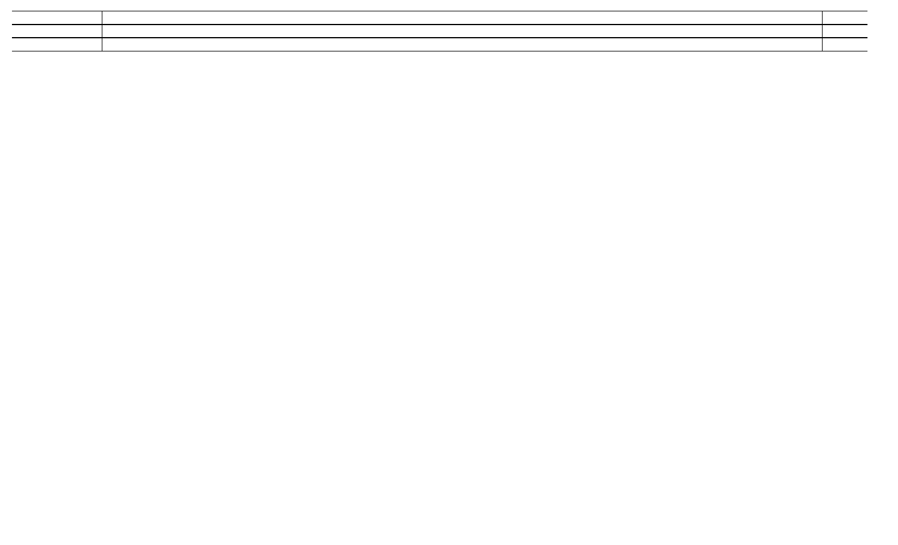| ,一个人都是一个人的人,一个人都是一个人的人,一个人都是一个人的人,一个人都是一个人的人,一个人都是一个人的人,一个人都是一个人的人,一个人都是一个人的人,一个人<br>第二十一章 一个人的人,一个人的人都是一个人的人,一个人的人都是一个人的人,一个人的人都是一个人的人,一个人的人都是一个人的人,一个人的人都是一个人的人,一个人<br>,一个人都是一个人的人,一个人都是一个人的人,一个人都是一个人的人,一个人都是一个人的人,一个人都是一个人的人,一个人都是一个人的人,一个人都是一个人的人,一个人<br>第二十一章 一个人的人,一个人都是一个人的人,一个人都是一个人的人,一个人都是一个人的人,一个人都是一个人的人,一个人都是一个人的人,一个人都是一个人的人,一个 |  |
|------------------------------------------------------------------------------------------------------------------------------------------------------------------------------------------------------------------------------------------------------------------------------------------------------------------------------------------------|--|
| ,一个人的人都是一个人的人,而且,他们的人都是一个人的人,而且,他们的人都是一个人的人,而且,他们的人都是一个人的人,而且,他们的人都是一个人的人,而且,他们的<br>第一百一十一章 一个人的人,他们的人都是一个人的人,他们的人都是一个人的人,他们的人都是一个人的人,他们的人都是一个人的人,他们的人都是一个人的人,他们的人都是                                                                                                                                                                           |  |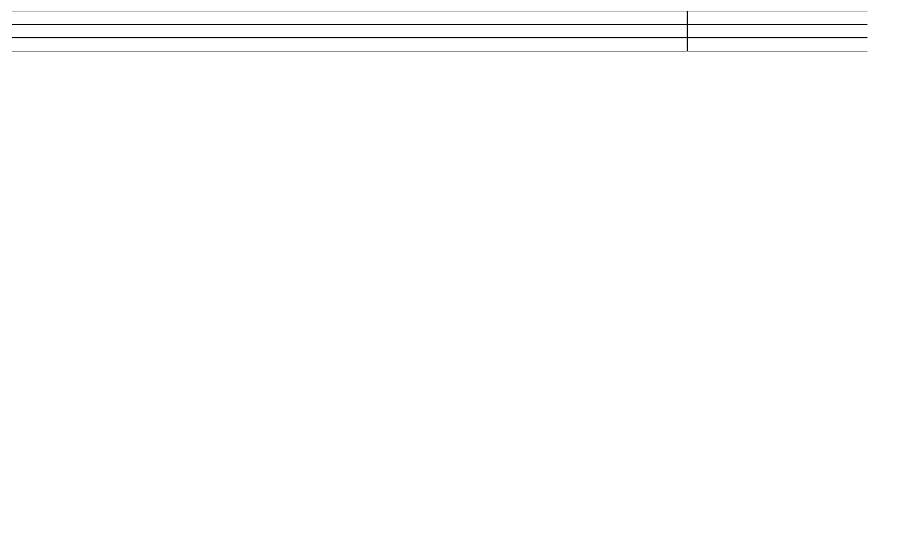| ,我们就会不会不会。""我们,我们也不会不会不会。""我们,我们也不会不会不会不会不会不会不会。""我们,我们也不会不会不会不会不会。""我们,我们也不会不会不 |  |
|----------------------------------------------------------------------------------|--|
| ,一个人的人都是一个人的人,而且,我们也不会不会不会。""我们,我们也不会不会不会不会不会不会。""我们,我们也不会不会不会不会。""我们,我们也不会不会不会不 |  |
|                                                                                  |  |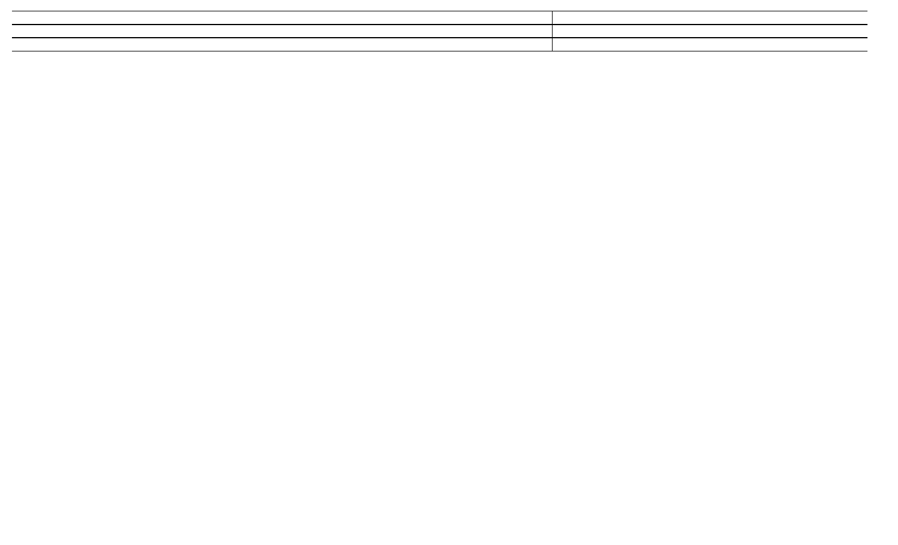| → 中国的 → 中国的 → 中国的 → 中国的 → 中国的 → 中国的 → 中国的 → 中国的 → 中国的 → 中国的 → 中国的 → 中国的 → 中国的 → 中国的 → 中国的 → 中国的 → 中国的 → 中国的 → 中国 |  |
|------------------------------------------------------------------------------------------------------------------|--|
|                                                                                                                  |  |
|                                                                                                                  |  |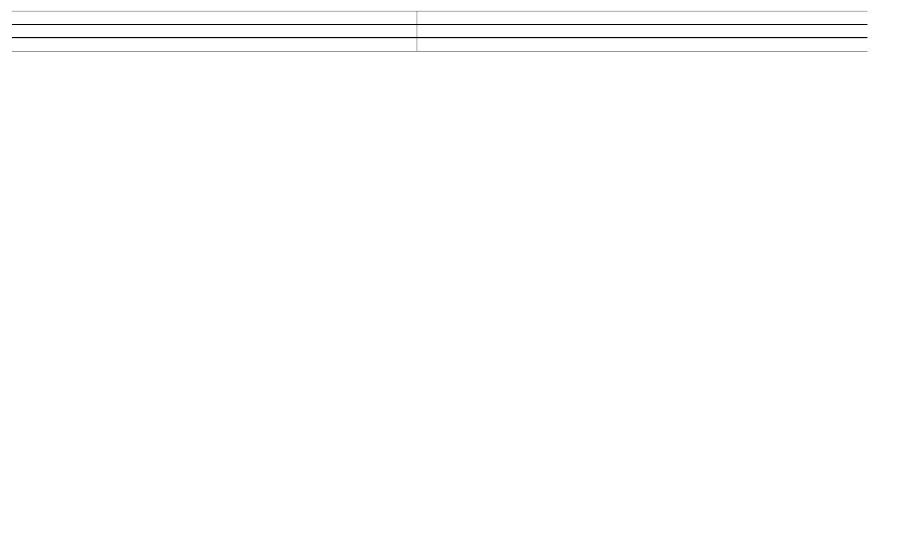| ,我们就会不会不会。""我们,我们就会不会不会不会,我们就会不会不会不会。""我们,我们就会不会不会不会。""我们,我们就会不会不会不会。""我们,我们就会不会 |                                                                                   |
|----------------------------------------------------------------------------------|-----------------------------------------------------------------------------------|
|                                                                                  | ,我们也不会不会不会。""我们的,我们也不会不会不会。""我们的,我们也不会不会不会不会。""我们的,我们也不会不会不会不会。""我们的,我们也不会不会不会不会  |
|                                                                                  | ,我们就会不会不会。""我们,我们就会不会不会,我们就会不会不会,我们就会不会不会。""我们,我们就会不会不会。""我们,我们就会不会不会不会。""我们,我们就会 |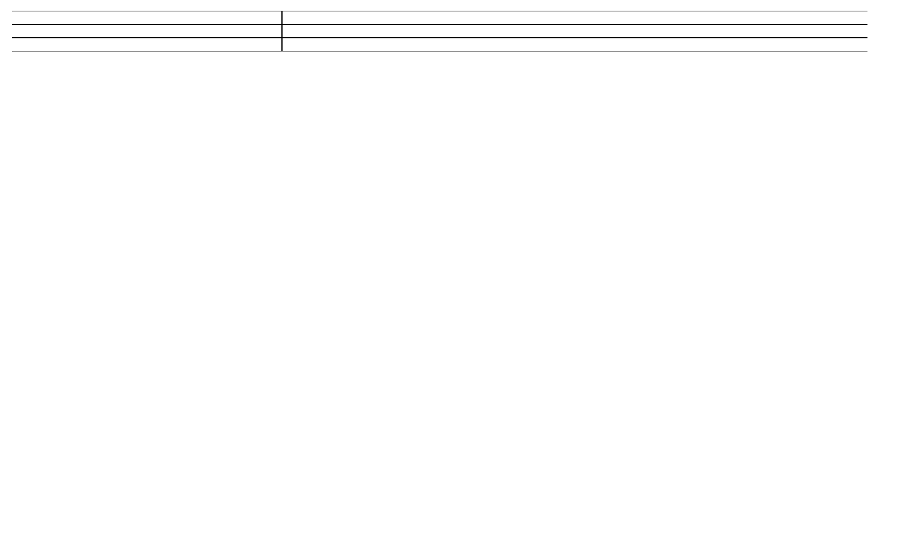| ,他们的人们就会在这里,他们的人们就会在这里,他们的人们就会在这里,他们的人们就会在这里,他们的人们就会在这里,他们的人们就会在这里,他们的人们就会在这里,他们<br>第251章 我们的人们的人们,我们的人们的人们的人们,我们的人们的人们的人们,我们的人们的人们的人们,我们的人们的人们的人们,我们的人们的人们的人们,我们的人们 |
|----------------------------------------------------------------------------------------------------------------------------------------------------------------------|
|                                                                                                                                                                      |
|                                                                                                                                                                      |
|                                                                                                                                                                      |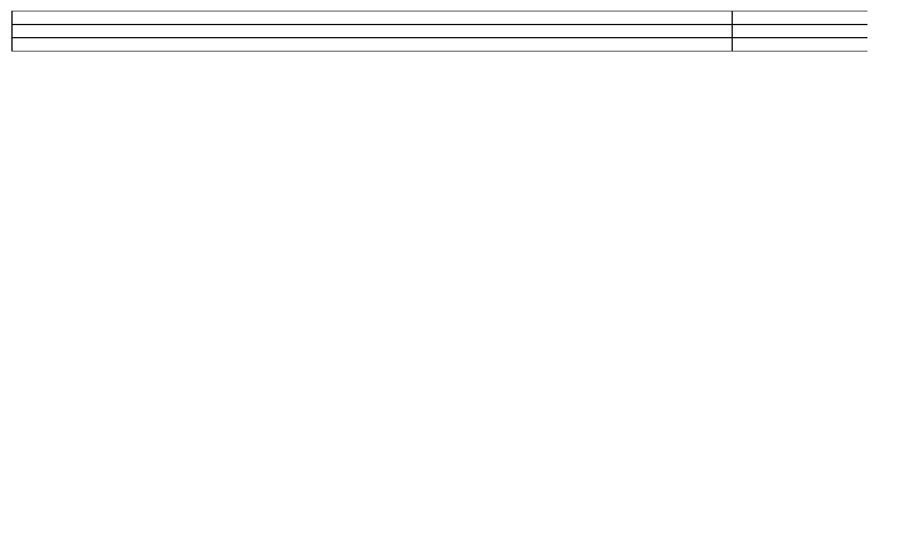| ,他们的人们就是一个人,他们的人们就是一个人,他们的人们,他们的人们就是一个人,他们的人们,他们的人们就是一个人,他们的人们,他们的人们,他们的人们,他们的人们,<br>第25章 我们的人们,他们的人们,他们的人们,他们的人们,他们的人们,他们的人们,他们的人们,他们的人们,他们的人们,他们的人们,他们的人们,他们的人们,他们的 |  |
|-----------------------------------------------------------------------------------------------------------------------------------------------------------------------|--|
| ,一个人都是一个人的人,而且,他们的人都是一个人,而且,他们的人都是一个人,而且,他们的人都是一个人,而且,他们的人都是一个人,而且,他们的人都是一个人,而且,他<br>第二百一十一章 一个人,他们的人都是一个人,他们的人都是一个人,他们的人都是一个人,他们的人都是一个人,他们的人都是一个人,他们的人都是一个人,他们的人都是一个 |  |
| ,一个人都是一个人的人,而且,他们的人都是一个人,他们的人都是一个人,他们的人都是一个人,他们的人都是一个人,他们的人都是一个人,他们的人都是一个人,他们的人都是                                                                                     |  |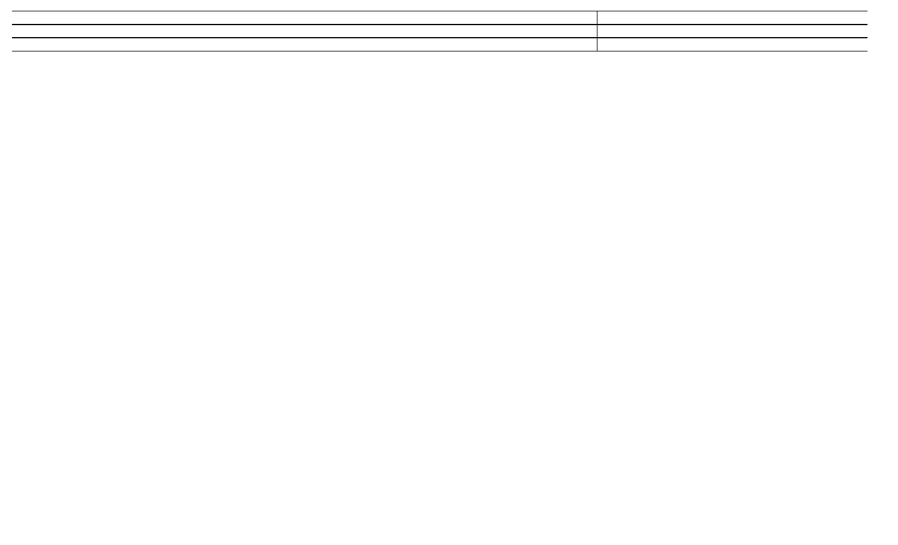| ,一个人都是一个人的人,而且,我们也不会不会不会。""我们,我们也不会不会不会不会不会不会不会不会。""我们,我们也不会不会不会不会不会不会不会不会。""我们,我<br>,他们的人们也不会不会。""我们的人们,我们也不会不会不会。""我们的人们,我们也不会不会不会。""我们的人们,我们也不会不会不会。""我们的人们,我们也不会不 |  |
|-----------------------------------------------------------------------------------------------------------------------------------------------------------------------|--|
| ,我们也不会不会不会。""我们的,我们也不会不会不会。""我们的,我们也不会不会不会不会。""我们的,我们也不会不会不会不会。""我们的,我们也不会不会不会不会                                                                                      |  |
|                                                                                                                                                                       |  |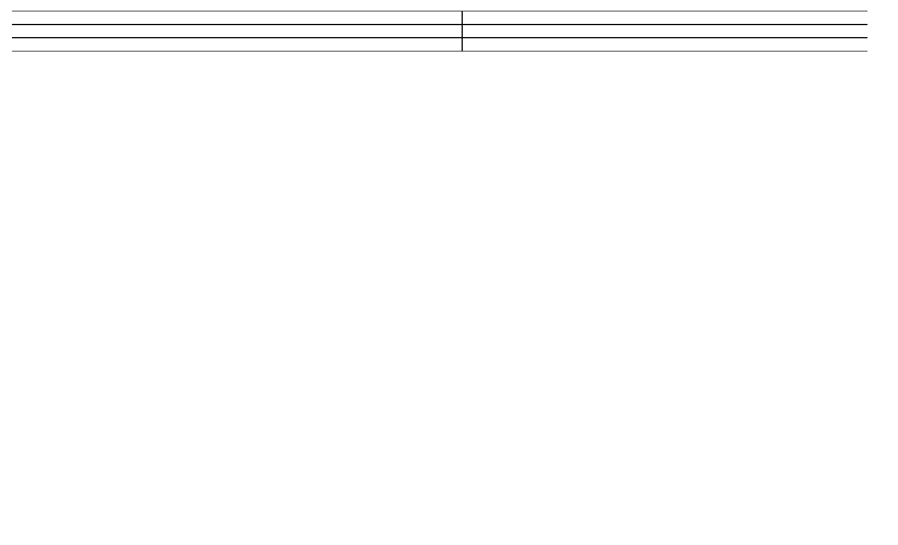| <u> 1980 - Ann an t-Aontaithe ann an t-Aontaithe ann an t-Aontaithe ann an t-Aontaithe ann an t-Aontaithe ann an t-</u> |
|-------------------------------------------------------------------------------------------------------------------------|
|                                                                                                                         |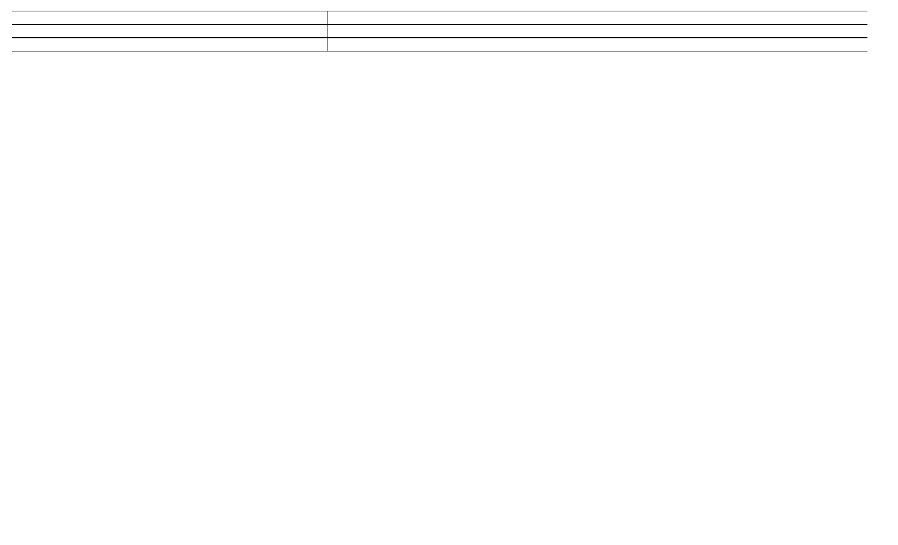| ,一个人都是一个人的人,而且,他们的人都是一个人,而且,他们的人都是一个人,而且,他们的人都是一个人,而且,他们的人都是一个人,而且,他们的人都是一个人,而且,他<br>第二十一章 一个人,他们的人都是一个人,他们的人都是一个人,他们的人都是一个人,他们的人都是一个人,他们的人都是一个人,他们的人都是一个人,他们的人都是一个人, | ,我们也不会不会。""我们的,我们也不会不会。""我们的,我们也不会不会不会。""我们的,我们也不会不会不会。""我们的,我们也不会不会不会。""我们的,我们也 |
|-----------------------------------------------------------------------------------------------------------------------------------------------------------------------|----------------------------------------------------------------------------------|
|                                                                                                                                                                       |                                                                                  |
|                                                                                                                                                                       |                                                                                  |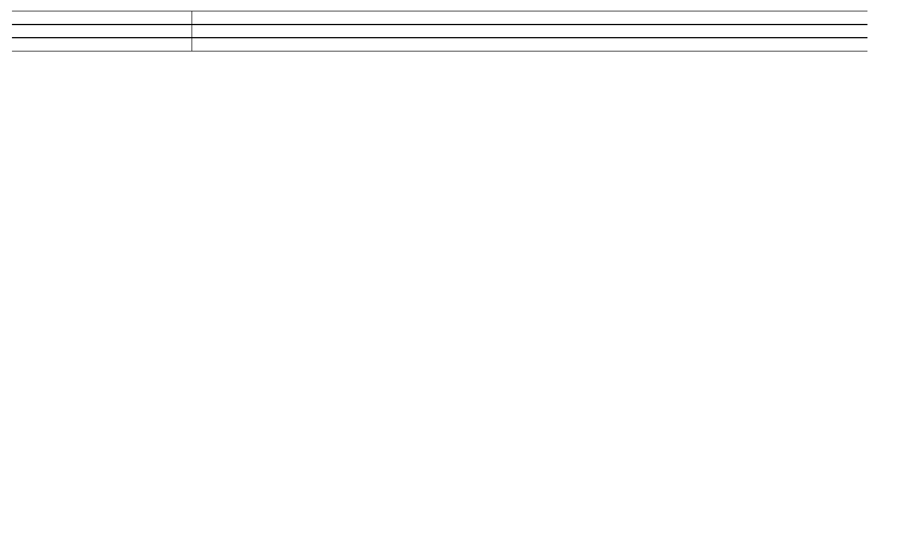| ,一个人的人都是一个人的人,而且,他们的人都是一个人的人,而且,他们的人都是一个人的人,而且,他们的人都是一个人的人,而且,他们的人都是一个人的人,而且,他们的人<br>第一百一十一章 一个人的人,他们的人都是一个人的人,他们的人都是一个人的人,他们的人都是一个人的人,他们的人都是一个人的人,他们的人都是一个人的人,他们的人都是<br>,我们就会不会不会。""我们,我们就会不会不会不会。""我们,我们就会不会不会不会不会不会。""我们,我们就会不会不会不会不会。""我们,我们就会不会不会不会不 |
|-----------------------------------------------------------------------------------------------------------------------------------------------------------------------------------------------------------------------------------------------------------|
| ,一个人都是一个人的人,而且,他们的人都是一个人,而且,他们的人都是一个人,而且,他们的人都是一个人,而且,他们的人都是一个人,而且,他们的人都是一个人,而且,他<br>第一百一十一章 一个人,他们的人都是一个人,他们的人都是一个人,他们的人都是一个人,他们的人都是一个人,他们的人都是一个人,他们的人都是一个人,他们的人都是一个                                                                                     |
|                                                                                                                                                                                                                                                           |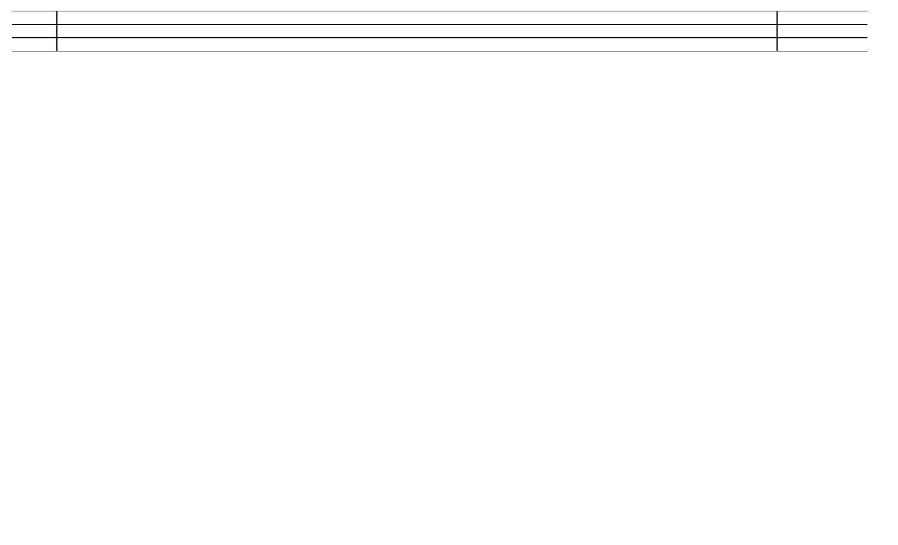| <u>та на представљен под податковата на представљен податковата на представљен податковата на представљен податк</u> |  |
|----------------------------------------------------------------------------------------------------------------------|--|
|                                                                                                                      |  |
| ,一个人都是一个人的人,一个人都是一个人的人,一个人都是一个人的人,一个人都是一个人的人,一个人都是一个人的人,一个人都是一个人的人,一个人都是一个人的人,一个人                                    |  |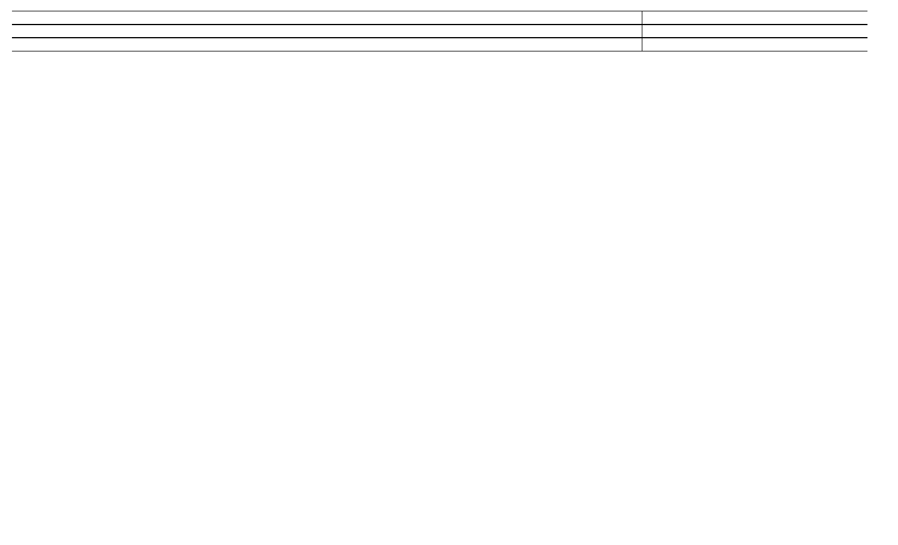| ,一个人都是一个人的人,一个人都是一个人的人,一个人都是一个人的人,一个人都是一个人的人,一个人都是一个人的人,一个人都是一个人的人,一个人都是一个人的人,一个人<br>→ South State State State State State State State State State State State State State State State State State State State State State State State State State State State State State State State State State State State St |  |
|-------------------------------------------------------------------------------------------------------------------------------------------------------------------------------------------------------------------------------------------------------------------------------------------------------------------|--|
| ,一个人的人都是一个人的人,而且,他们的人都是不是一个人的人,而且,他们的人都是不是一个人的人,而且,他们的人都是不是一个人的人,而且,他们的人都是不是一个人的<br>第一百一十一章 一个人的人,他们的人都是不是一个人的人,他们的人都是不是一个人的人,他们的人都是不是一个人的人,他们的人都是不是一个人的人,他们的人都是不是一个                                                                                                                                              |  |
| ,我们也不会不会不会。""我们的,我们也不会不会不会。""我们的,我们也不会不会不会不会不会。""我们的,我们也不会不会不会不会。""我们的,我们也不会不会不会<br>第二百一章 第二百一章 第二百一章 第二百一章 第二百一章 第二百一章 第二百一章 第二百一章 第二百一章 第二百一章 第二百一章 第二百一章 第二百一章 第二                                                                                                                                              |  |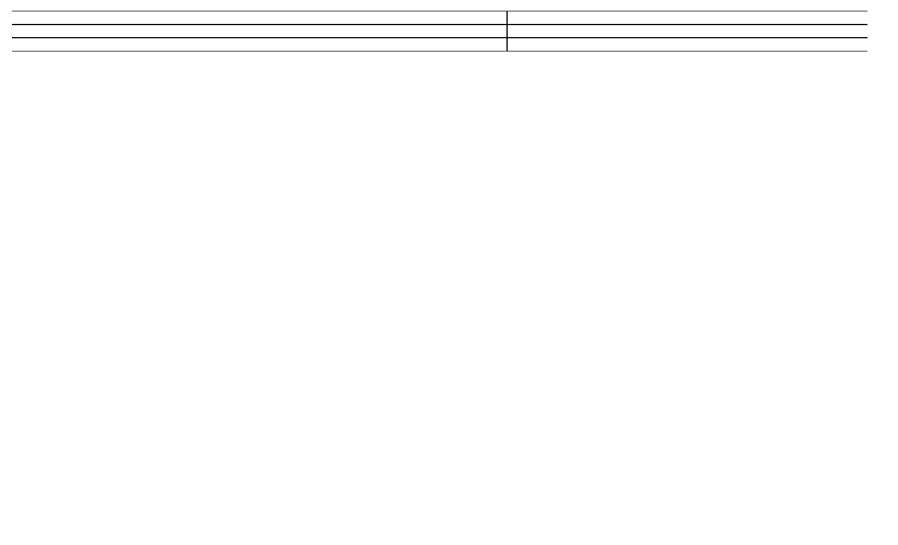| ,一个人都是一个人的人,而且,他们的人都是一个人,而且,他们的人都是一个人,而且,他们的人都是一个人,而且,他们的人都是一个人,而且,他们的人都是一个人,而且,他<br>第二十二章 第二十二章 第二十二章 第二十二章 第二十二章 第二十二章 第二十二章 第二十二章 第二十二章 第二十二章 第二十二章 第二十二章 第二十二章 第二十 |  |
|------------------------------------------------------------------------------------------------------------------------------------------------------------------------|--|
|                                                                                                                                                                        |  |
| ,我们就会不会不会。""我们的,我们也不会不会不会。""我们的,我们也不会不会不会不会不会。""我们的,我们也不会不会不会不会。""我们的,我们也不会不会不会不                                                                                       |  |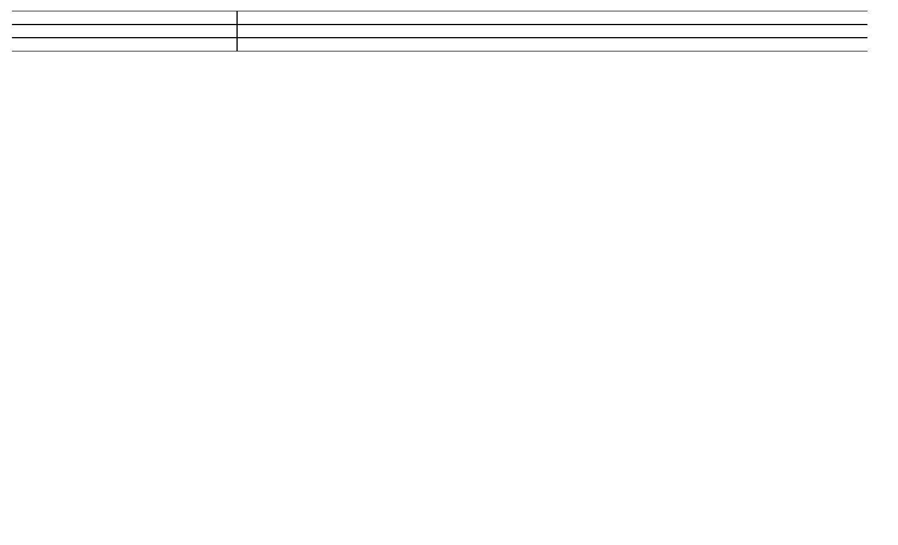| ,我们就会不会不会。""我们,我们也不会不会不会。""我们,我们也不会不会不会不会不会不会。""我们,我们也不会不会不会不会。""我们,我们也不会不会不会不会不  |
|-----------------------------------------------------------------------------------|
| ,一个人都是一个人的人,一个人都是一个人的人,一个人都是一个人的人,一个人都是一个人的人,一个人都是一个人的人,一个人都是一个人的人,一个人都是一个人的人,一个人 |
|                                                                                   |
| ,一个人都是一个人的人,而且,我们也不会不会不会。""我们,我们也不会不会不会不会。""我们,我们也不会不会不会不会。""我们,我们也不会不会不会不会。""我们, |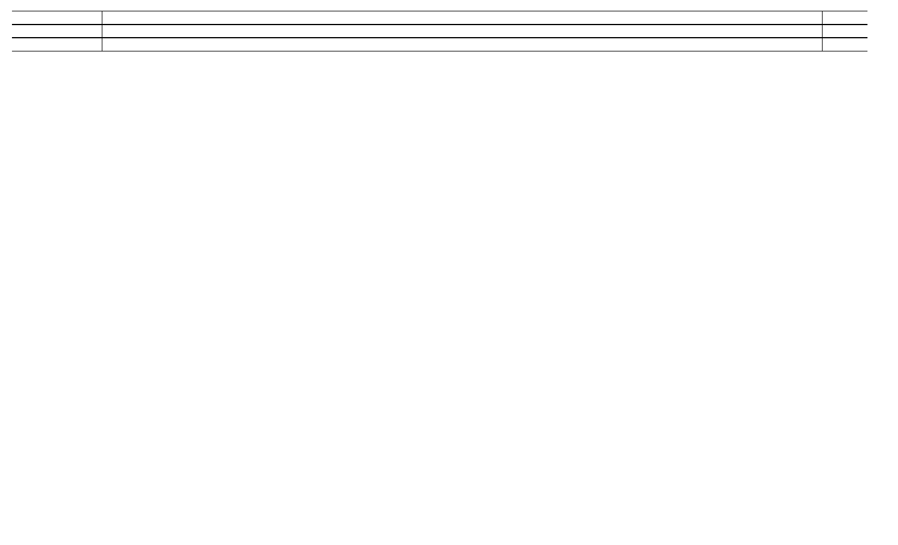| ,一个人都是一个人的人,一个人都是一个人的人,一个人都是一个人的人,一个人都是一个人的人,一个人都是一个人的人,一个人都是一个人的人,一个人都是一个人的人,一个人<br>第二十一章 一个人的人,一个人都是一个人的人,一个人都是一个人的人,一个人都是一个人的人,一个人都是一个人的人,一个人都是一个人的人,一个人都是一个人的人,一个<br>,一个人都是一个人的人,一个人都是一个人的人,一个人都是一个人的人,一个人都是一个人的人,一个人都是一个人的人,一个人都是一个人的人,一个人都是一个人的人,一个人<br>第二十一章 一个人的人,一个人的人都是一个人的人,一个人的人都是一个人的人,一个人的人都是一个人的人,一个人的人都是一个人的人,一个人的人都是一个人的人,一个人 |  |
|------------------------------------------------------------------------------------------------------------------------------------------------------------------------------------------------------------------------------------------------------------------------------------------------------------------------------------------------|--|
| ,一个人的人都是一个人的人,而且,他们的人都是一个人的人,而且,他们的人都是一个人的人,而且,他们的人都是一个人的人,而且,他们的人都是一个人的人,而且,他们的<br>第一百一十一章 一个人的人,他们的人都是一个人的人,他们的人都是一个人的人,他们的人都是一个人的人,他们的人都是一个人的人,他们的人都是一个人的人,他们的人都是                                                                                                                                                                           |  |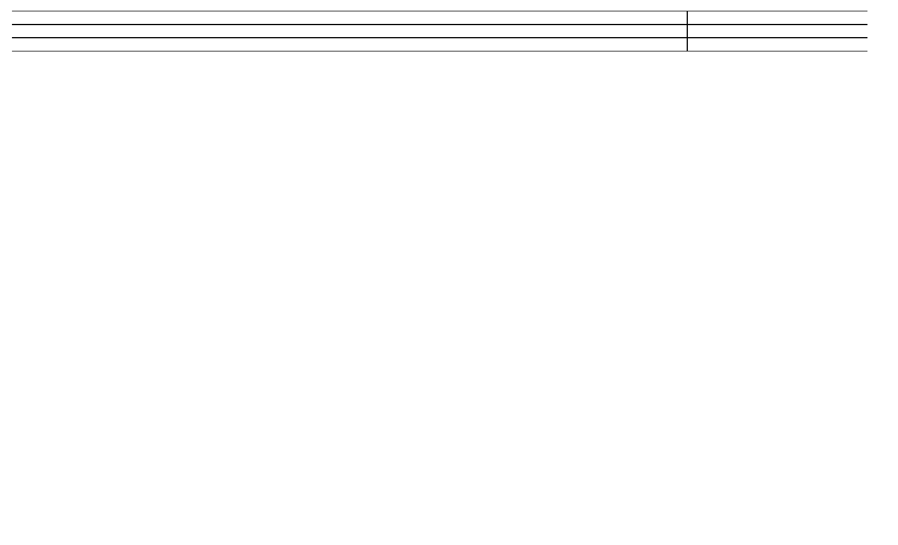| ,我们就会不会不会。""我们,我们也不会不会不会。""我们,我们也不会不会不会不会不会不会不会。""我们,我们也不会不会不会不会不会。""我们,我们也不会不会不  |  |
|-----------------------------------------------------------------------------------|--|
| ,一个人的人都是一个人的人,而且,他们的人都是一个人的人,而且,他们的人都是一个人的人,而且,他们的人都是一个人的人,而且,他们的人都是一个人的人,而且,他们的人 |  |
|                                                                                   |  |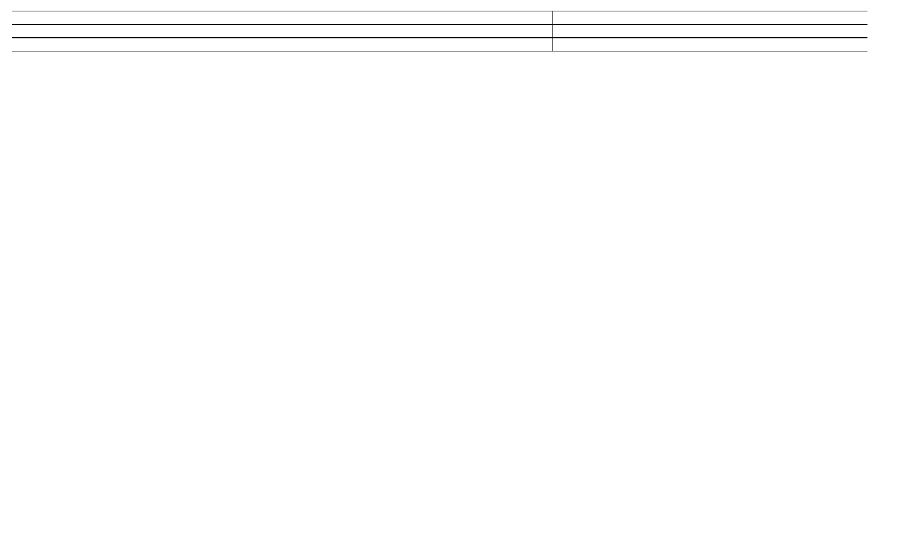| → 中国的 → 中国的 → 中国的 → 中国的 → 中国的 → 中国的 → 中国的 → 中国的 → 中国的 → 中国的 → 中国的 → 中国的 → 中国的 → 中国的 → 中国的 → 中国的 → 中国的 → 中国的 → 中国 |  |
|------------------------------------------------------------------------------------------------------------------|--|
|                                                                                                                  |  |
|                                                                                                                  |  |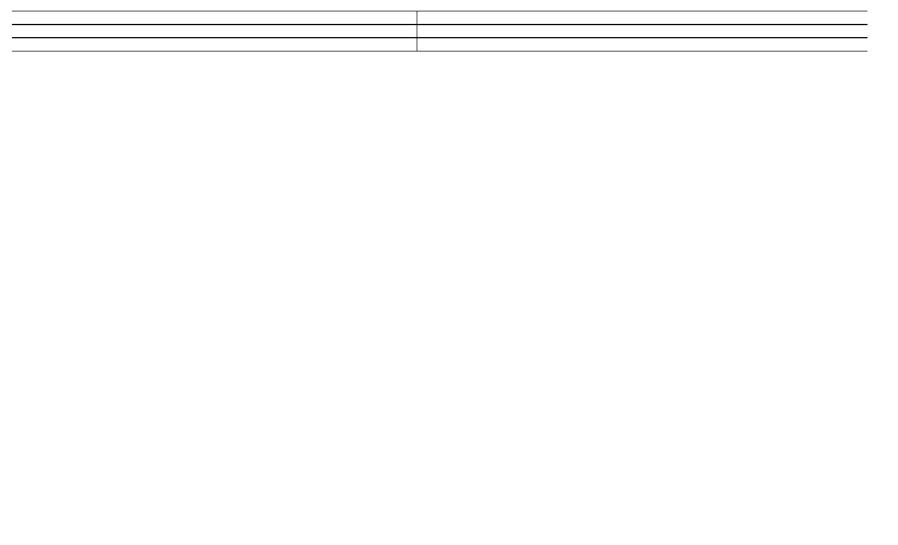| ,我们就会不会不会。""我们,我们就会不会不会不会,我们就会不会不会不会。""我们,我们就会不会不会不会。""我们,我们就会不会不会不会。""我们,我们就会不会 |                                                                                   |
|----------------------------------------------------------------------------------|-----------------------------------------------------------------------------------|
|                                                                                  | ,我们也不会不会不会。""我们的,我们也不会不会不会。""我们的,我们也不会不会不会不会。""我们的,我们也不会不会不会不会。""我们的,我们也不会不会不会不会  |
|                                                                                  | ,我们就会不会不会。""我们,我们就会不会不会,我们就会不会不会,我们就会不会不会。""我们,我们就会不会不会。""我们,我们就会不会不会不会。""我们,我们就会 |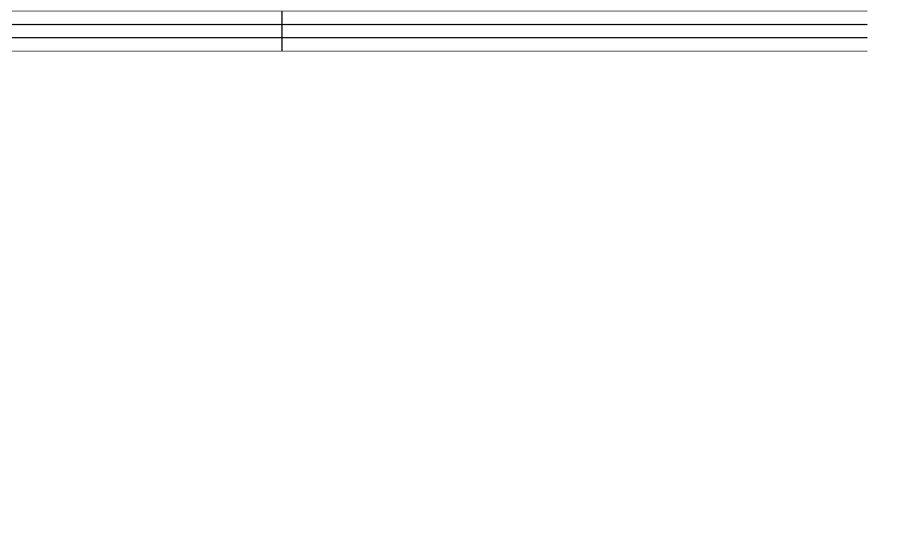| ,他们的人们就会在这里,他们的人们就会在这里,他们的人们就会在这里,他们的人们就会在这里,他们的人们就会在这里,他们的人们就会在这里,他们的人们就会在这里,他们<br>第251章 我们的人们的人们,我们的人们的人们的人们,我们的人们的人们的人们,我们的人们的人们的人们,我们的人们的人们的人们,我们的人们的人们的人们,我们的人们 |
|----------------------------------------------------------------------------------------------------------------------------------------------------------------------|
|                                                                                                                                                                      |
|                                                                                                                                                                      |
|                                                                                                                                                                      |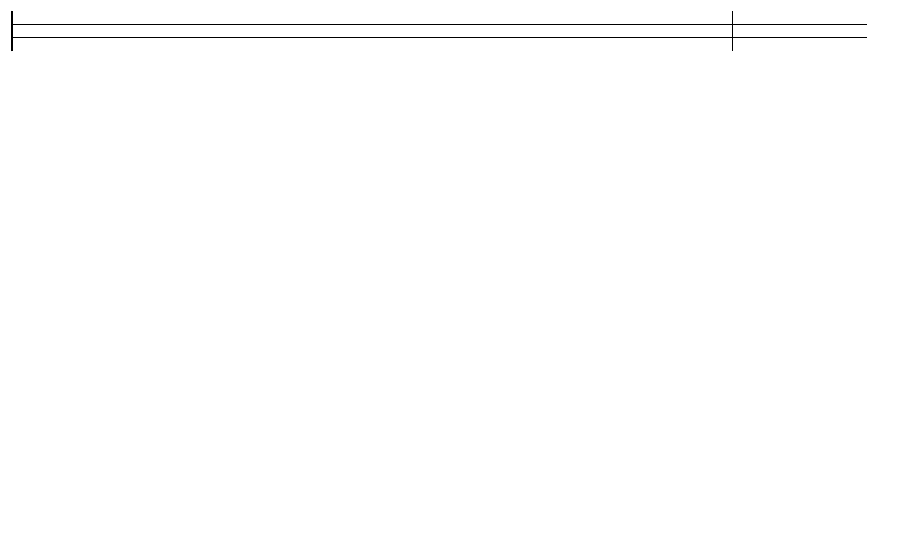| ,他们的人们就是一个人,他们的人们就是一个人,他们的人们,他们的人们就是一个人,他们的人们,他们的人们就是一个人,他们的人们,他们的人们,他们的人们,他们的人们,<br>第25章 我们的人们,他们的人们,他们的人们,他们的人们,他们的人们,他们的人们,他们的人们,他们的人们,他们的人们,他们的人们,他们的人们,他们的人们,他们的 |  |
|-----------------------------------------------------------------------------------------------------------------------------------------------------------------------|--|
| ,一个人都是一个人的人,而且,他们的人都是一个人,而且,他们的人都是一个人,而且,他们的人都是一个人,而且,他们的人都是一个人,而且,他们的人都是一个人,而且,他<br>第二百一十一章 一个人,他们的人都是一个人,他们的人都是一个人,他们的人都是一个人,他们的人都是一个人,他们的人都是一个人,他们的人都是一个人,他们的人都是一个 |  |
| ,一个人都是一个人的人,而且,他们的人都是一个人,他们的人都是一个人,他们的人都是一个人,他们的人都是一个人,他们的人都是一个人,他们的人都是一个人,他们的人都是                                                                                     |  |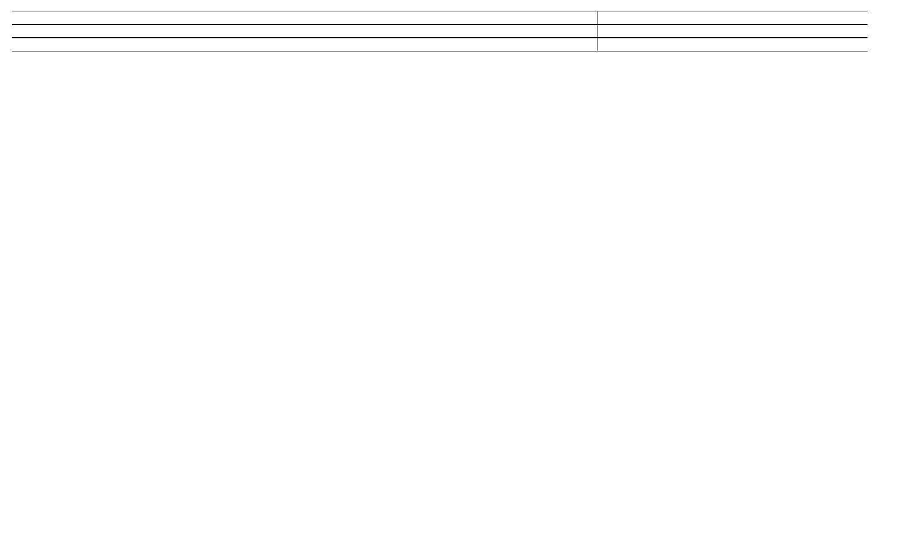| ,一个人都是一个人的人,而且,我们也不会不会不会。""我们,我们也不会不会不会不会不会不会不会不会。""我们,我们也不会不会不会不会不会不会不会不会。""我们,我<br>,他们的人们也不会不会。""我们的人们,我们也不会不会不会。""我们的人们,我们也不会不会不会。""我们的人们,我们也不会不会不会。""我们的人们,我们也不会不 |  |
|-----------------------------------------------------------------------------------------------------------------------------------------------------------------------|--|
| ,我们也不会不会不会。""我们的,我们也不会不会不会。""我们的,我们也不会不会不会不会。""我们的,我们也不会不会不会不会。""我们的,我们也不会不会不会不会                                                                                      |  |
|                                                                                                                                                                       |  |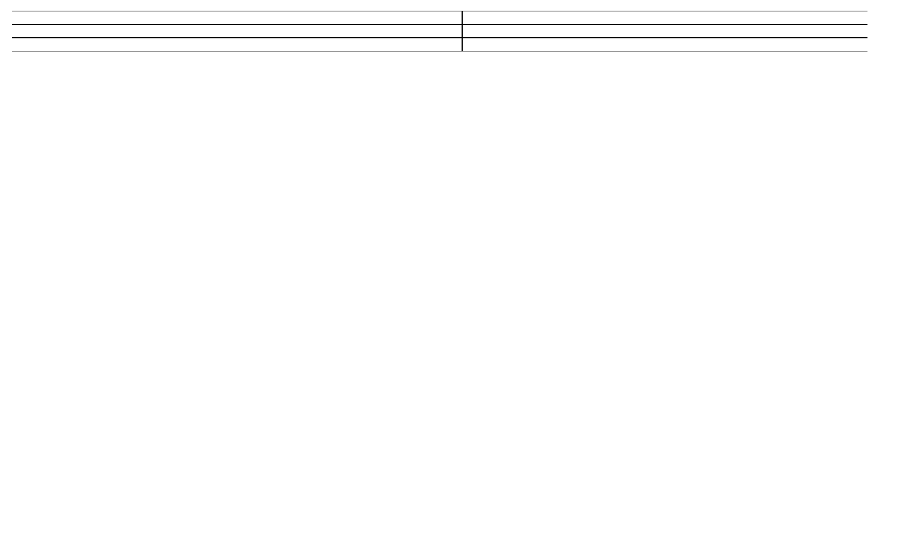| <u> 1980 - Ann an t-Aontaithe ann an t-Aontaithe ann an t-Aontaithe ann an t-Aontaithe ann an t-Aontaithe ann an t-</u> |
|-------------------------------------------------------------------------------------------------------------------------|
|                                                                                                                         |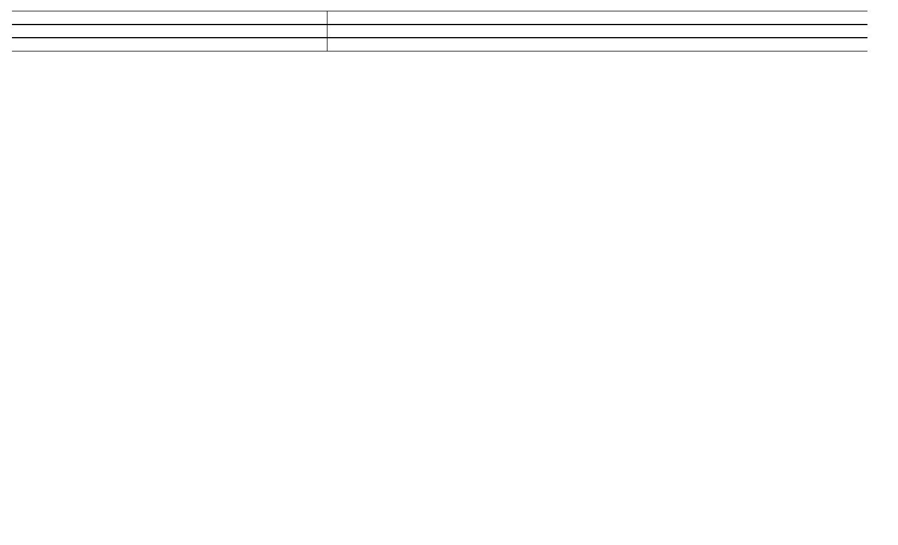| ,一个人都是一个人的人,而且,他们的人都是一个人,而且,他们的人都是一个人,而且,他们的人都是一个人,而且,他们的人都是一个人,而且,他们的人都是一个人,而且,他<br>第二十一章 一个人,他们的人都是一个人,他们的人都是一个人,他们的人都是一个人,他们的人都是一个人,他们的人都是一个人,他们的人都是一个人,他们的人都是一个人, | ,我们也不会不会。""我们的,我们也不会不会。""我们的,我们也不会不会不会。""我们的,我们也不会不会不会。""我们的,我们也不会不会不会。""我们的,我们也 |
|-----------------------------------------------------------------------------------------------------------------------------------------------------------------------|----------------------------------------------------------------------------------|
|                                                                                                                                                                       |                                                                                  |
|                                                                                                                                                                       |                                                                                  |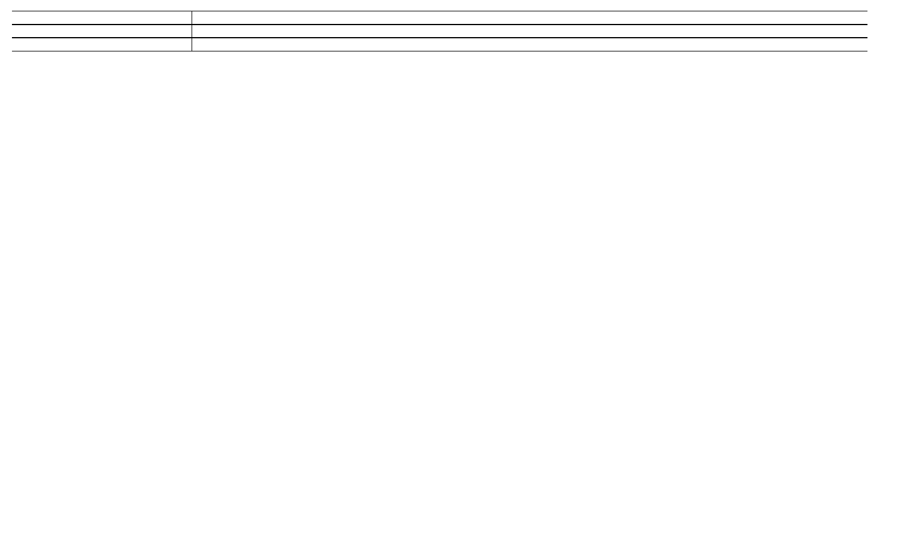| ,一个人的人都是一个人的人,而且,他们的人都是一个人的人,而且,他们的人都是一个人的人,而且,他们的人都是一个人的人,而且,他们的人都是一个人的人,而且,他们的人<br>第一百一十一章 一个人的人,他们的人都是一个人的人,他们的人都是一个人的人,他们的人都是一个人的人,他们的人都是一个人的人,他们的人都是一个人的人,他们的人都是<br>,我们就会不会不会。""我们,我们就会不会不会不会。""我们,我们就会不会不会不会不会不会。""我们,我们就会不会不会不会不会。""我们,我们就会不会不会不会不 |
|-----------------------------------------------------------------------------------------------------------------------------------------------------------------------------------------------------------------------------------------------------------|
| ,一个人都是一个人的人,而且,他们的人都是一个人,而且,他们的人都是一个人,而且,他们的人都是一个人,而且,他们的人都是一个人,而且,他们的人都是一个人,而且,他<br>第二十一章 一个人,他们的人都是一个人,他们的人都是一个人,他们的人都是一个人,他们的人都是一个人,他们的人都是一个人,他们的人都是一个人,他们的人都是一个人,                                                                                     |
|                                                                                                                                                                                                                                                           |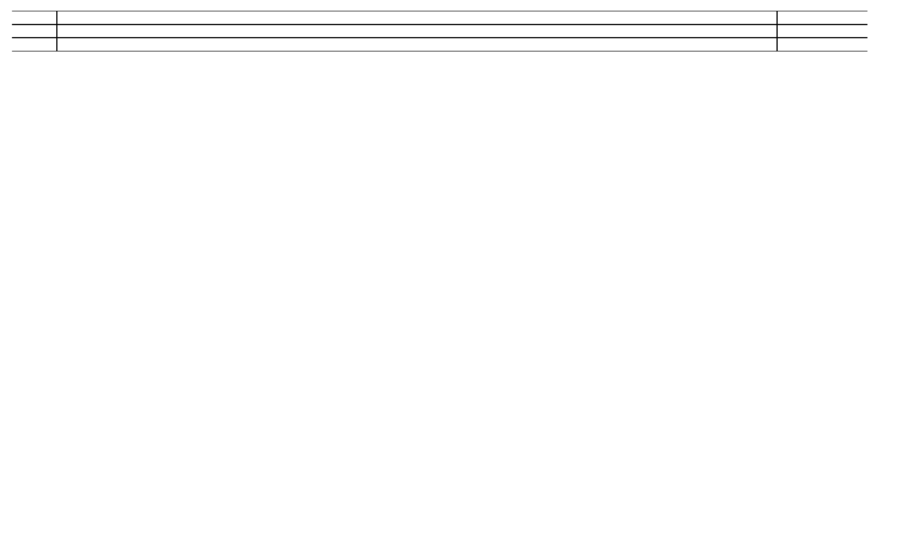| <u>та на представљен под податковата на представљен податковата на представљен податковата на представљен податк</u> |  |
|----------------------------------------------------------------------------------------------------------------------|--|
|                                                                                                                      |  |
| ,一个人都是一个人的人,一个人都是一个人的人,一个人都是一个人的人,一个人都是一个人的人,一个人都是一个人的人,一个人都是一个人的人,一个人都是一个人的人,一个人                                    |  |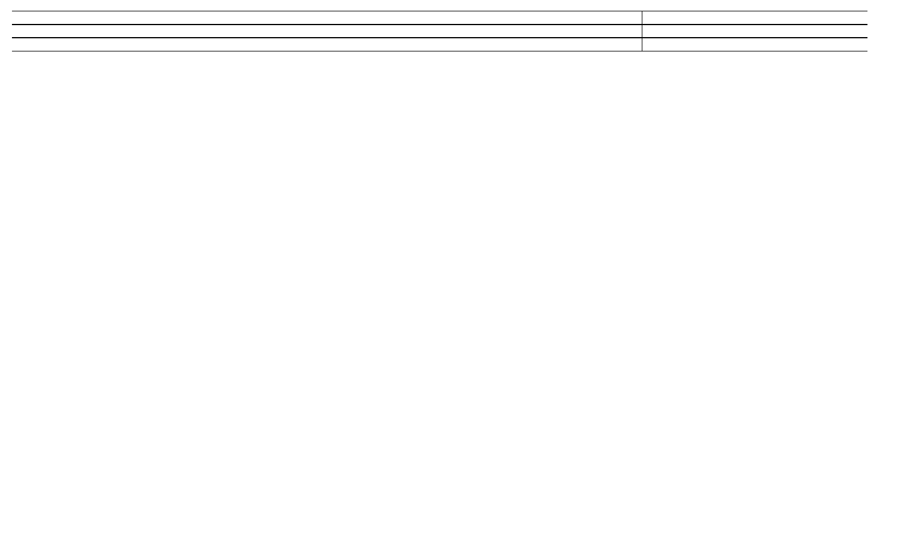| ,一个人都是一个人的人,一个人都是一个人的人,一个人都是一个人的人,一个人都是一个人的人,一个人都是一个人的人,一个人都是一个人的人,一个人都是一个人的人,一个人<br>→ South State State State State State State State State State State State State State State State State State State State State State State State State State State State State State State State State State State State St |  |
|-------------------------------------------------------------------------------------------------------------------------------------------------------------------------------------------------------------------------------------------------------------------------------------------------------------------|--|
| ,一个人的人都是一个人的人,而且,他们的人都是不是一个人的人,而且,他们的人都是不是一个人的人,而且,他们的人都是不是一个人的人,而且,他们的人都是不是一个人的<br>第一百一十一章 一个人的人,他们的人都是不是一个人的人,他们的人都是不是一个人的人,他们的人都是不是一个人的人,他们的人都是不是一个人的人,他们的人都是不是一个                                                                                                                                              |  |
| ,我们也不会不会不会。""我们的,我们也不会不会不会。""我们的,我们也不会不会不会不会不会。""我们的,我们也不会不会不会不会。""我们的,我们也不会不会不会<br>第二百一章 第二百一章 第二百一章 第二百一章 第二百一章 第二百一章 第二百一章 第二百一章 第二百一章 第二百一章 第二百一章 第二百一章 第二百一章 第二                                                                                                                                              |  |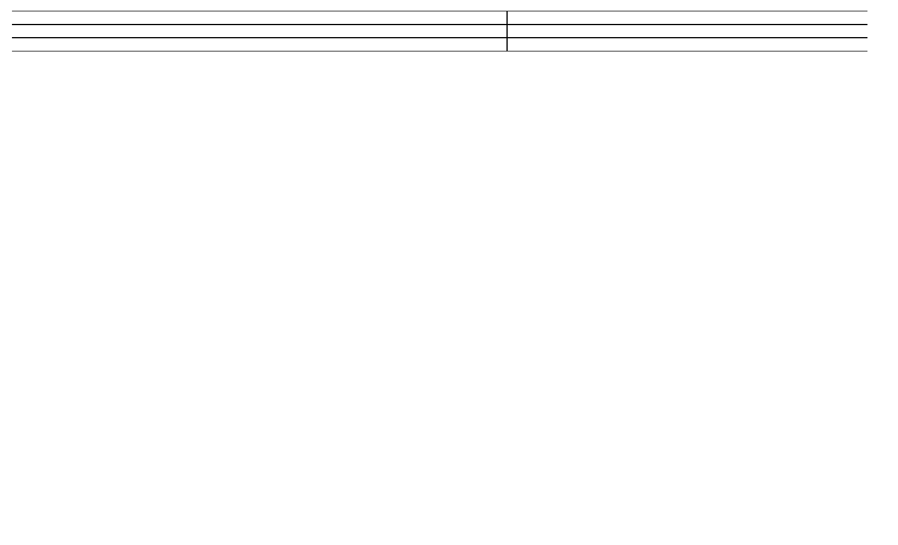| ,一个人都是一个人的人,而且,他们的人都是一个人,而且,他们的人都是一个人,而且,他们的人都是一个人,而且,他们的人都是一个人,而且,他们的人都是一个人,而且,他<br>第二十二章 第二十二章 第二十二章 第二十二章 第二十二章 第二十二章 第二十二章 第二十二章 第二十二章 第二十二章 第二十二章 第二十二章 第二十二章 第二十 |  |
|------------------------------------------------------------------------------------------------------------------------------------------------------------------------|--|
|                                                                                                                                                                        |  |
| ,我们就会不会不会。""我们的,我们也不会不会不会。""我们的,我们也不会不会不会不会不会。""我们的,我们也不会不会不会不会。""我们的,我们也不会不会不会不                                                                                       |  |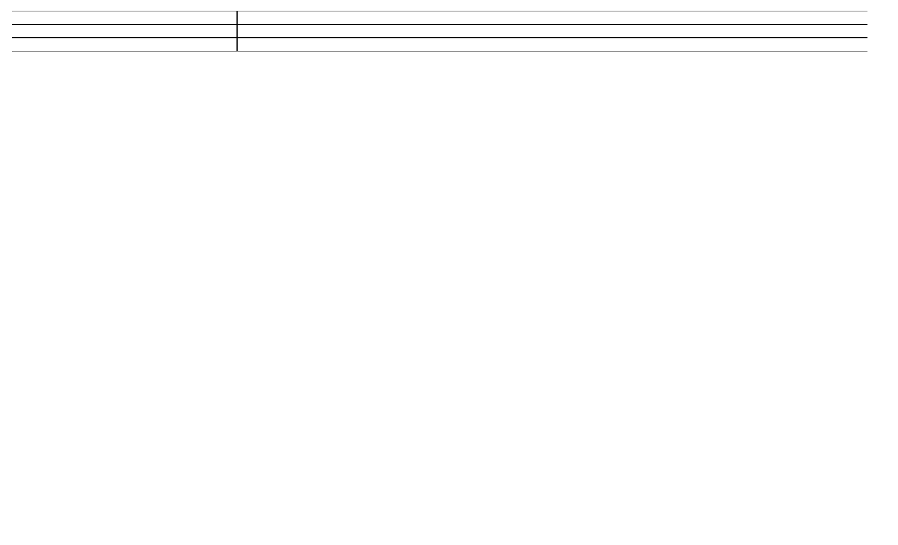| ,我们就会不会不会。""我们,我们也不会不会不会。""我们,我们也不会不会不会不会不会不会。""我们,我们也不会不会不会不会。""我们,我们也不会不会不会不会不  |
|-----------------------------------------------------------------------------------|
| ,一个人都是一个人的人,一个人都是一个人的人,一个人都是一个人的人,一个人都是一个人的人,一个人都是一个人的人,一个人都是一个人的人,一个人都是一个人的人,一个人 |
|                                                                                   |
| ,一个人都是一个人的人,而且,我们也不会不会不会。""我们,我们也不会不会不会不会。""我们,我们也不会不会不会不会。""我们,我们也不会不会不会不会。""我们, |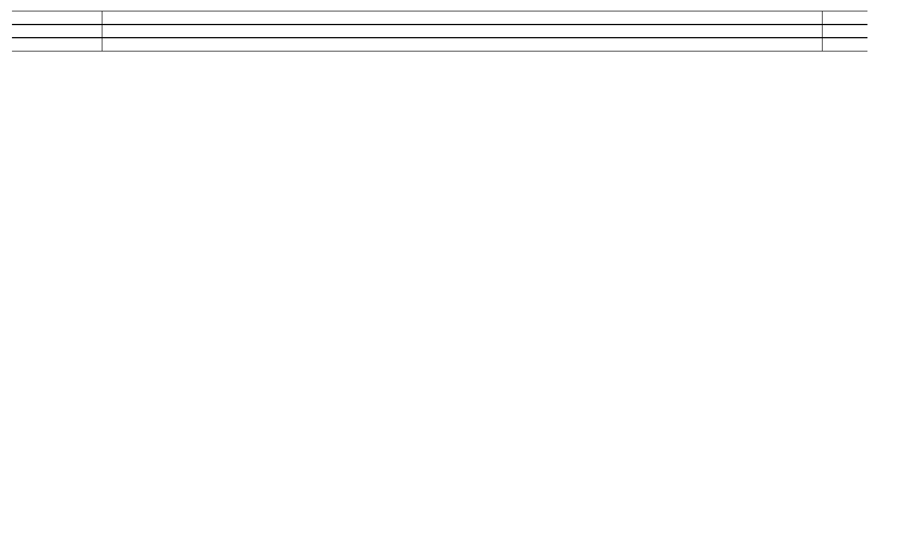| ,一个人都是一个人的人,一个人都是一个人的人,一个人都是一个人的人,一个人都是一个人的人,一个人都是一个人的人,一个人都是一个人的人,一个人都是一个人的人,一个人<br>第二十一章 一个人的人,一个人都是一个人的人,一个人都是一个人的人,一个人都是一个人的人,一个人都是一个人的人,一个人都是一个人的人,一个人都是一个人的人,一个<br>,一个人都是一个人的人,一个人都是一个人的人,一个人都是一个人的人,一个人都是一个人的人,一个人都是一个人的人,一个人都是一个人的人,一个人都是一个人的人,一个人<br>第二十一章 一个人的人,一个人的人都是一个人的人,一个人的人都是一个人的人,一个人的人都是一个人的人,一个人的人都是一个人的人,一个人的人都是一个人的人,一个人 |  |
|------------------------------------------------------------------------------------------------------------------------------------------------------------------------------------------------------------------------------------------------------------------------------------------------------------------------------------------------|--|
| ,一个人的人都是一个人的人,而且,他们的人都是一个人的人,而且,他们的人都是一个人的人,而且,他们的人都是一个人的人,而且,他们的人都是一个人的人,而且,他们的<br>第一百一十一章 一个人的人,他们的人都是一个人的人,他们的人都是一个人的人,他们的人都是一个人的人,他们的人都是一个人的人,他们的人都是一个人的人,他们的人都是                                                                                                                                                                           |  |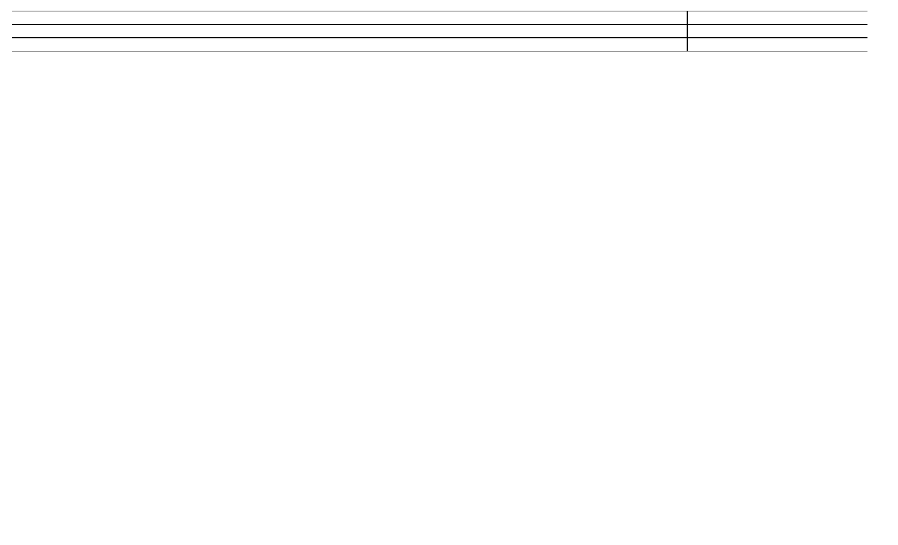| ,我们就会不会不会。""我们,我们也不会不会不会。""我们,我们也不会不会不会不会不会不会不会。""我们,我们也不会不会不会不会不会。""我们,我们也不会不会不  |  |
|-----------------------------------------------------------------------------------|--|
| ,一个人的人都是一个人的人,而且,他们的人都是一个人的人,而且,他们的人都是一个人的人,而且,他们的人都是一个人的人,而且,他们的人都是一个人的人,而且,他们的人 |  |
|                                                                                   |  |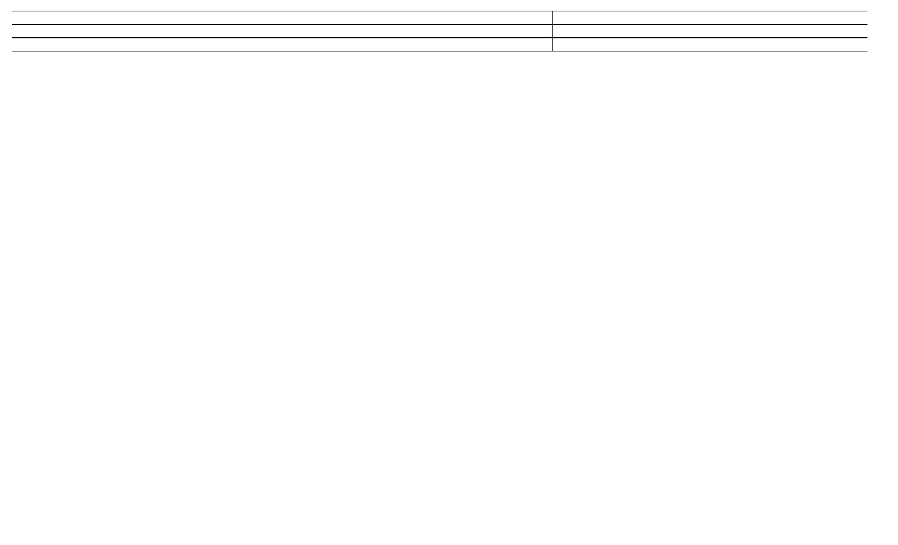| → 中国的 → 中国的 → 中国的 → 中国的 → 中国的 → 中国的 → 中国的 → 中国的 → 中国的 → 中国的 → 中国的 → 中国的 → 中国的 → 中国的 → 中国的 → 中国的 → 中国的 → 中国的 → 中国 |  |
|------------------------------------------------------------------------------------------------------------------|--|
|                                                                                                                  |  |
|                                                                                                                  |  |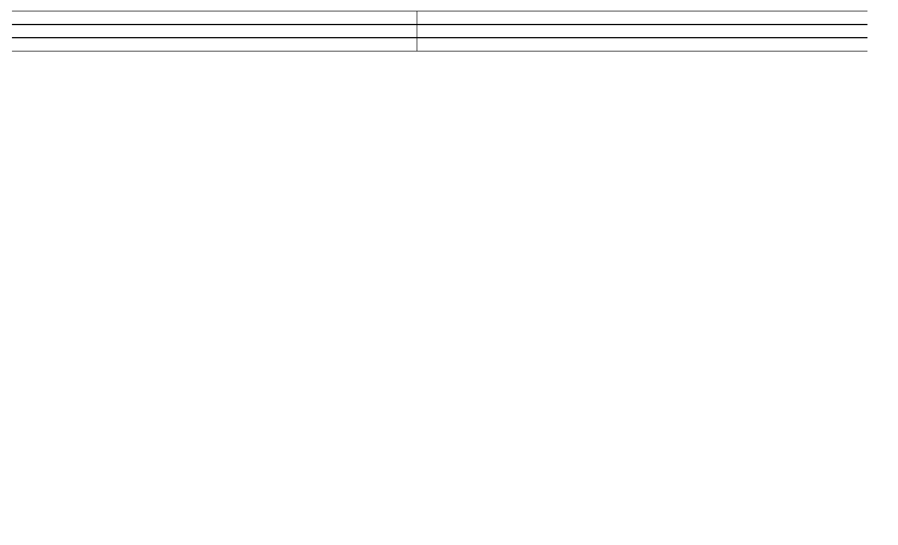| ,我们就会不会不会。""我们,我们就会不会不会不会,我们就会不会不会不会。""我们,我们就会不会不会不会。""我们,我们就会不会不会不会。""我们,我们就会不会 |                                                                                   |
|----------------------------------------------------------------------------------|-----------------------------------------------------------------------------------|
|                                                                                  | ,我们也不会不会不会。""我们的,我们也不会不会不会。""我们的,我们也不会不会不会不会。""我们的,我们也不会不会不会不会。""我们的,我们也不会不会不会不会  |
|                                                                                  | ,我们就会不会不会。""我们,我们就会不会不会,我们就会不会不会,我们就会不会不会。""我们,我们就会不会不会。""我们,我们就会不会不会不会。""我们,我们就会 |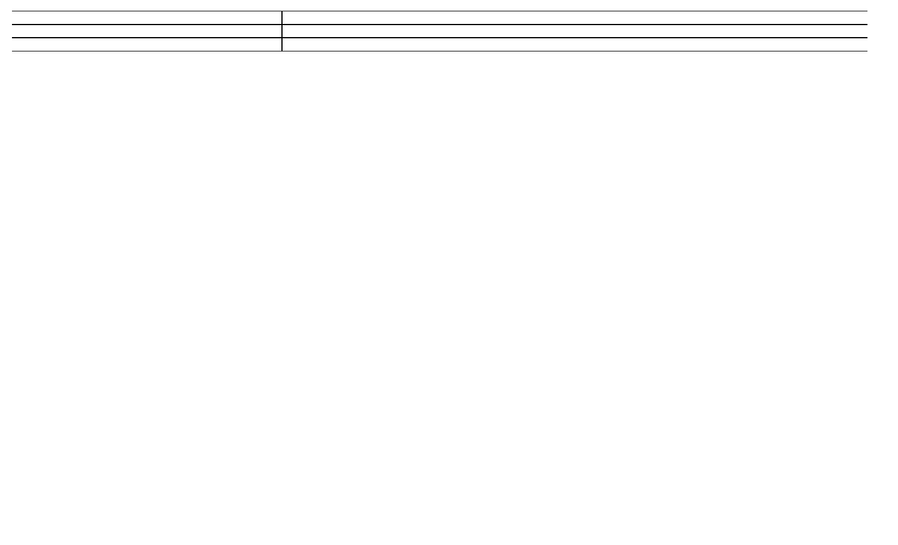| ,一个人都是一个人的人,而且,我们也不会不会不会。""我们,我们也不会不会不会不会不会不会不会。""我们,我们也不会不会不会不会不会不会不会不会。""我们,我们                                                                                     |
|----------------------------------------------------------------------------------------------------------------------------------------------------------------------|
|                                                                                                                                                                      |
| ,他们的人们就会在这里,他们的人们就会在这里,他们的人们就会在这里,他们的人们就会在这里,他们的人们就会在这里,他们的人们就会在这里,他们的人们就会在这里,他们<br>第251章 我们的人们的人们,我们的人们的人们的人们,我们的人们的人们的人们,我们的人们的人们的人们,我们的人们的人们的人们,我们的人们的人们的人们,我们的人们 |
|                                                                                                                                                                      |
|                                                                                                                                                                      |
|                                                                                                                                                                      |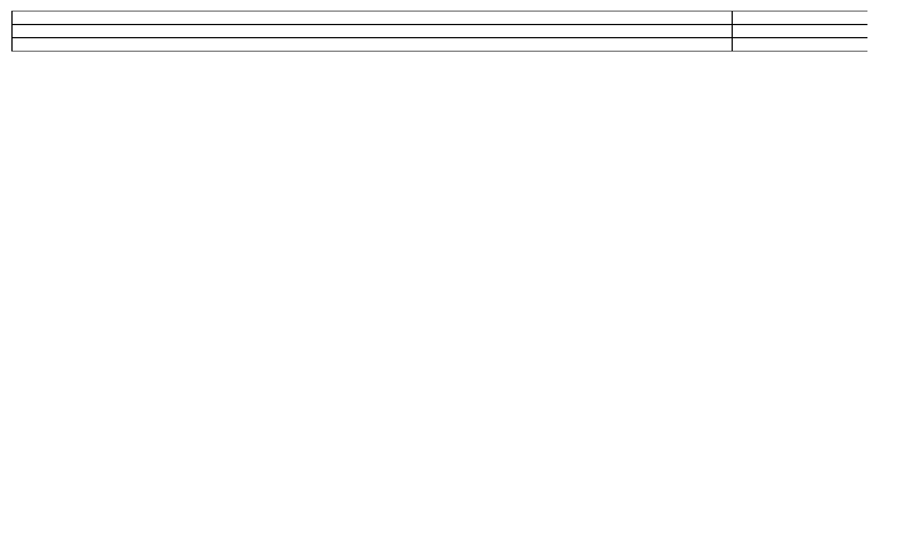| ,他们的人们就是一个人,他们的人们就是一个人,他们的人们,他们的人们就是一个人,他们的人们,他们的人们就是一个人,他们的人们,他们的人们,他们的人们,他们的人们,<br>第25章 我们的人们,他们的人们,他们的人们,他们的人们,他们的人们,他们的人们,他们的人们,他们的人们,他们的人们,他们的人们,他们的人们,他们的人们,他们的 |  |
|-----------------------------------------------------------------------------------------------------------------------------------------------------------------------|--|
| ,一个人都是一个人的人,而且,他们的人都是一个人,而且,他们的人都是一个人,而且,他们的人都是一个人,而且,他们的人都是一个人,而且,他们的人都是一个人,而且,他<br>第二百一十一章 一个人,他们的人都是一个人,他们的人都是一个人,他们的人都是一个人,他们的人都是一个人,他们的人都是一个人,他们的人都是一个人,他们的人都是一个 |  |
| ,一个人都是一个人的人,而且,他们的人都是一个人,他们的人都是一个人,他们的人都是一个人,他们的人都是一个人,他们的人都是一个人,他们的人都是一个人,他们的人都是                                                                                     |  |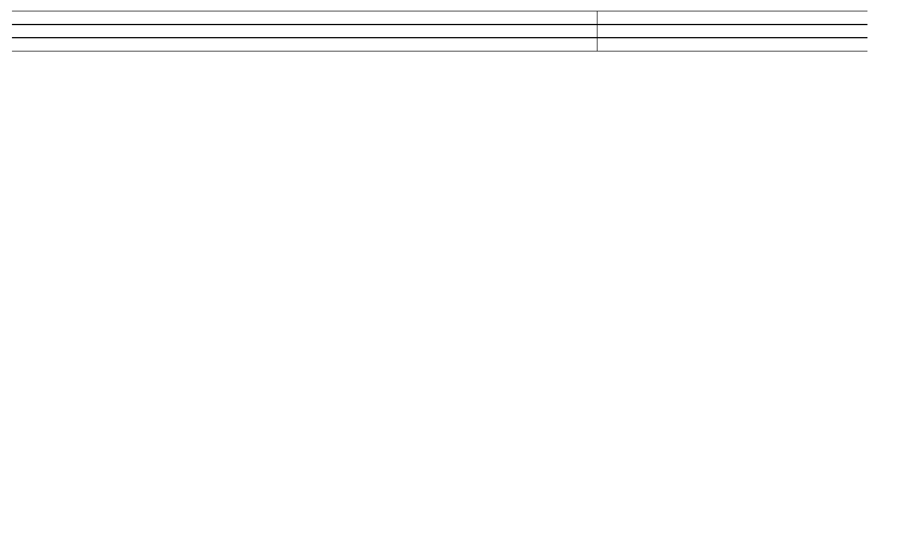| ,一个人都是一个人的人,而且,我们也不会不会不会。""我们,我们也不会不会不会不会不会不会不会不会。""我们,我们也不会不会不会不会不会不会不会不会。""我们,我<br>,他们的人们也不会不会。""我们的人们,我们也不会不会不会。""我们的人们,我们也不会不会不会。""我们的人们,我们也不会不会不会。""我们的人们,我们也不会不 |  |
|-----------------------------------------------------------------------------------------------------------------------------------------------------------------------|--|
| ,我们也不会不会不会。""我们的,我们也不会不会不会。""我们的,我们也不会不会不会不会。""我们的,我们也不会不会不会不会。""我们的,我们也不会不会不会不会                                                                                      |  |
|                                                                                                                                                                       |  |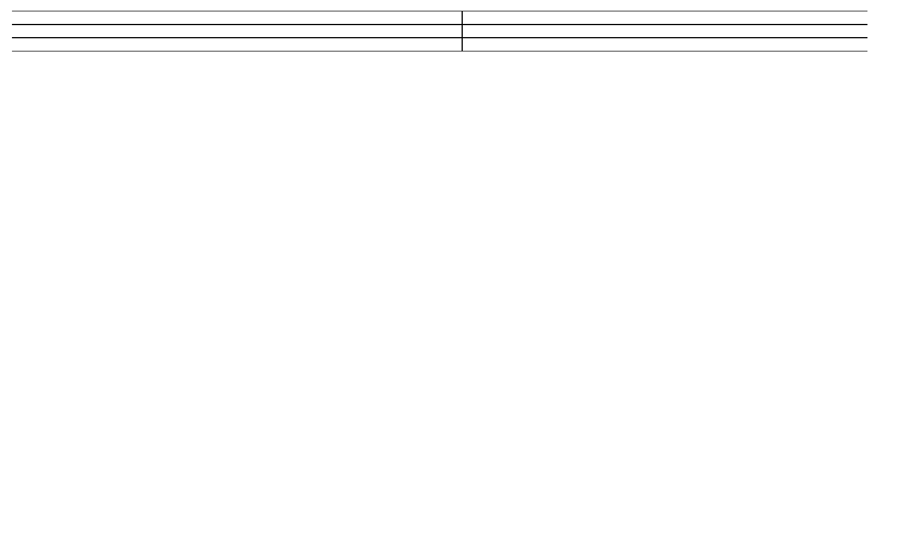| <u> 2001 - An t-An Aontaithe ann an t-Aontaithe ann an t-Aontaithe ann an t-Aontaithe ann an t-Aontaithe ann an t-</u> |
|------------------------------------------------------------------------------------------------------------------------|
|                                                                                                                        |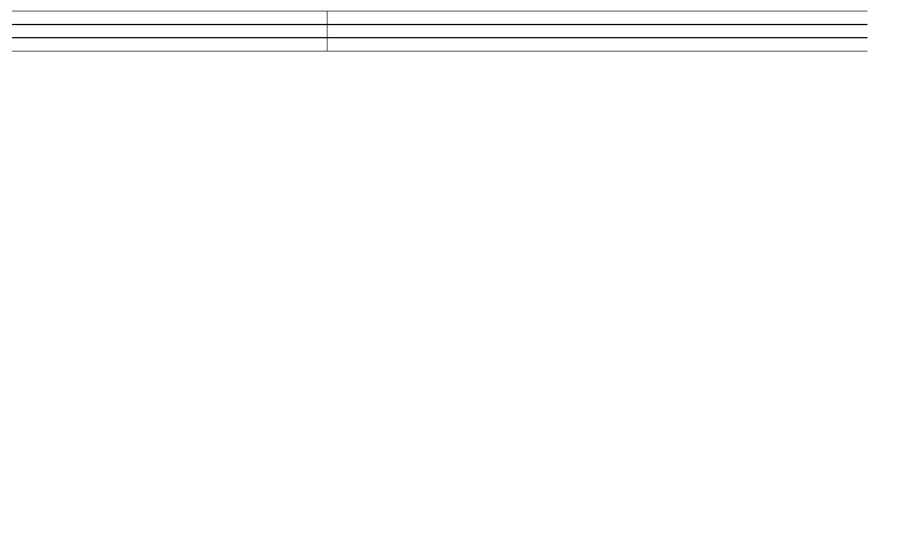| ,一个人都是一个人的人,而且,他们的人都是一个人,而且,他们的人都是一个人,而且,他们的人都是一个人,而且,他们的人都是一个人,而且,他们的人都是一个人,而且,他<br>第二十一章 一个人,他们的人都是一个人,他们的人都是一个人,他们的人都是一个人,他们的人都是一个人,他们的人都是一个人,他们的人都是一个人,他们的人都是一个人, | ,我们也不会不会。""我们的,我们也不会不会。""我们的,我们也不会不会不会。""我们的,我们也不会不会不会。""我们的,我们也不会不会不会。""我们的,我们也 |
|-----------------------------------------------------------------------------------------------------------------------------------------------------------------------|----------------------------------------------------------------------------------|
|                                                                                                                                                                       |                                                                                  |
|                                                                                                                                                                       |                                                                                  |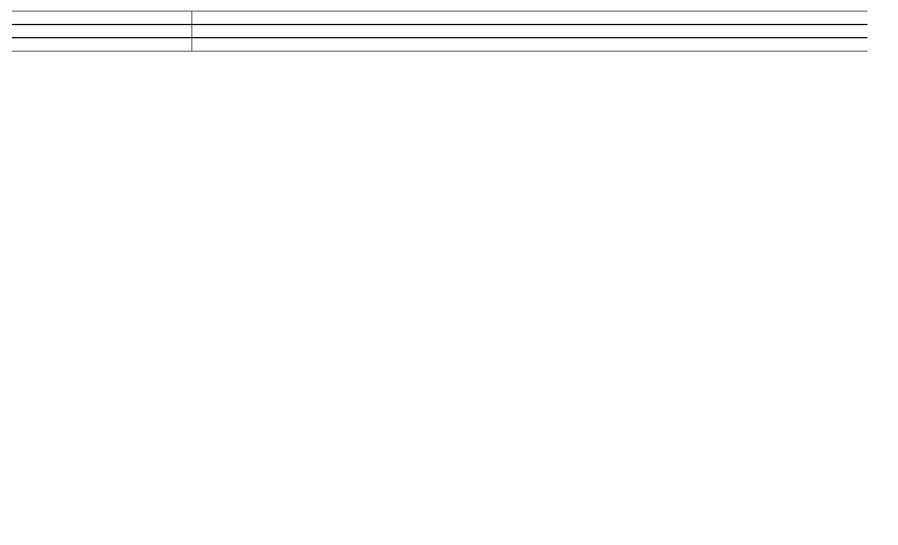| ,一个人的人都是一个人的人,而且,他们的人都是一个人的人,而且,他们的人都是一个人的人,而且,他们的人都是一个人的人,而且,他们的人都是一个人的人,而且,他们的人<br>第一百一十一章 一个人的人,他们的人都是一个人的人,他们的人都是一个人的人,他们的人都是一个人的人,他们的人都是一个人的人,他们的人都是一个人的人,他们的人都是<br>,我们就会不会不会。""我们,我们就会不会不会不会。""我们,我们就会不会不会不会不会不会。""我们,我们就会不会不会不会不会。""我们,我们就会不会不会不会不 |
|-----------------------------------------------------------------------------------------------------------------------------------------------------------------------------------------------------------------------------------------------------------|
| ,一个人都是一个人的人,而且,他们的人都是一个人,而且,他们的人都是一个人,而且,他们的人都是一个人,而且,他们的人都是一个人,而且,他们的人都是一个人,而且,他<br>第二十一章 一个人,他们的人都是一个人,他们的人都是一个人,他们的人都是一个人,他们的人都是一个人,他们的人都是一个人,他们的人都是一个人,他们的人都是一个人,                                                                                     |
|                                                                                                                                                                                                                                                           |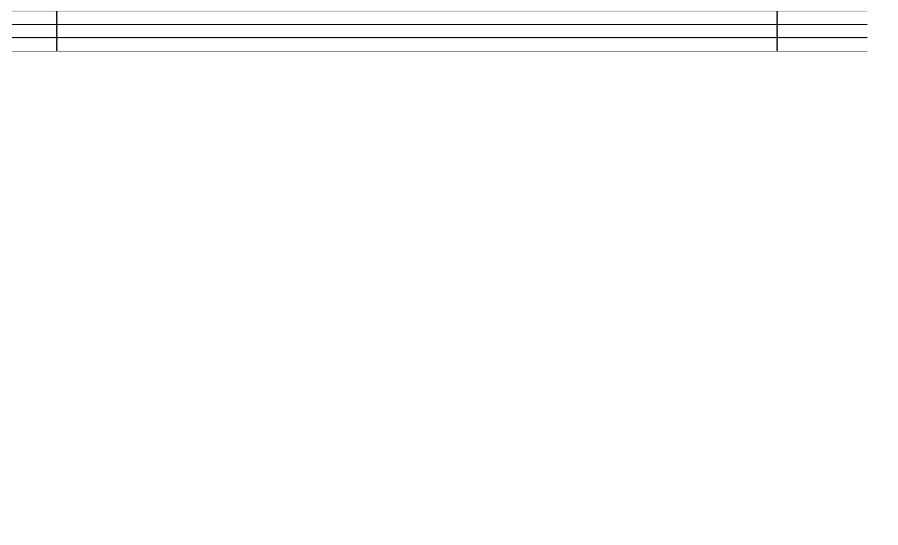| <u>та на представљен под податковата на представљен податковата на представљен податковата на представљен податк</u> |  |
|----------------------------------------------------------------------------------------------------------------------|--|
|                                                                                                                      |  |
| ,一个人都是一个人的人,一个人都是一个人的人,一个人都是一个人的人,一个人都是一个人的人,一个人都是一个人的人,一个人都是一个人的人,一个人都是一个人的人,一个人                                    |  |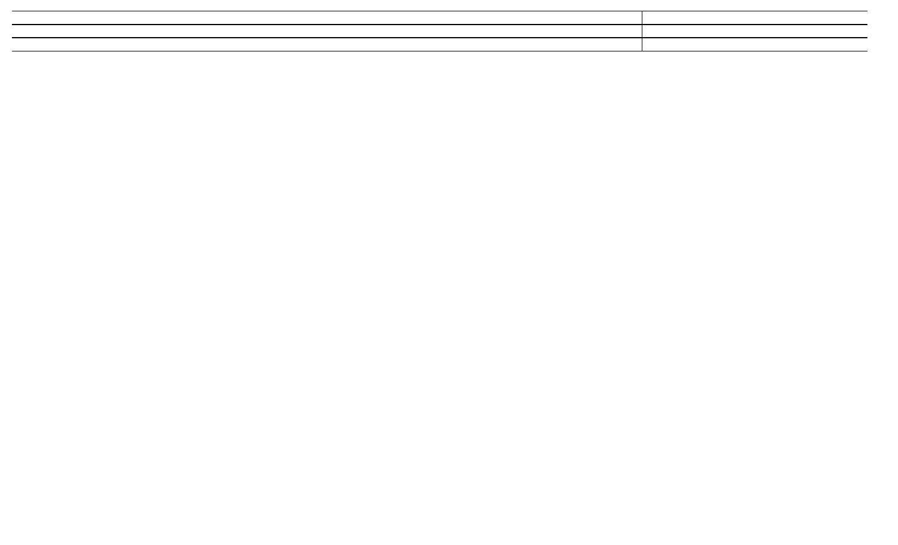| ,一个人都是一个人的人,一个人都是一个人的人,一个人都是一个人的人,一个人都是一个人的人,一个人都是一个人的人,一个人都是一个人的人,一个人都是一个人的人,一个人<br>→ South State State State State State State State State State State State State State State State State State State State State State State State State State State State State State State State State State State State St |  |
|-------------------------------------------------------------------------------------------------------------------------------------------------------------------------------------------------------------------------------------------------------------------------------------------------------------------|--|
| ,一个人的人都是一个人的人,而且,他们的人都是不是一个人的人,而且,他们的人都是不是一个人的人,而且,他们的人都是不是一个人的人,而且,他们的人都是不是一个人的<br>第一百一十一章 一个人的人,他们的人都是不是一个人的人,他们的人都是不是一个人的人,他们的人都是不是一个人的人,他们的人都是不是一个人的人,他们的人都是不是一个                                                                                                                                              |  |
| ,我们也不会不会不会。""我们的,我们也不会不会不会。""我们的,我们也不会不会不会不会不会。""我们的,我们也不会不会不会不会。""我们的,我们也不会不会不会<br>第二百一章 第二百一章 第二百一章 第二百一章 第二百一章 第二百一章 第二百一章 第二百一章 第二百一章 第二百一章 第二百一章 第二百一章 第二百一章 第二                                                                                                                                              |  |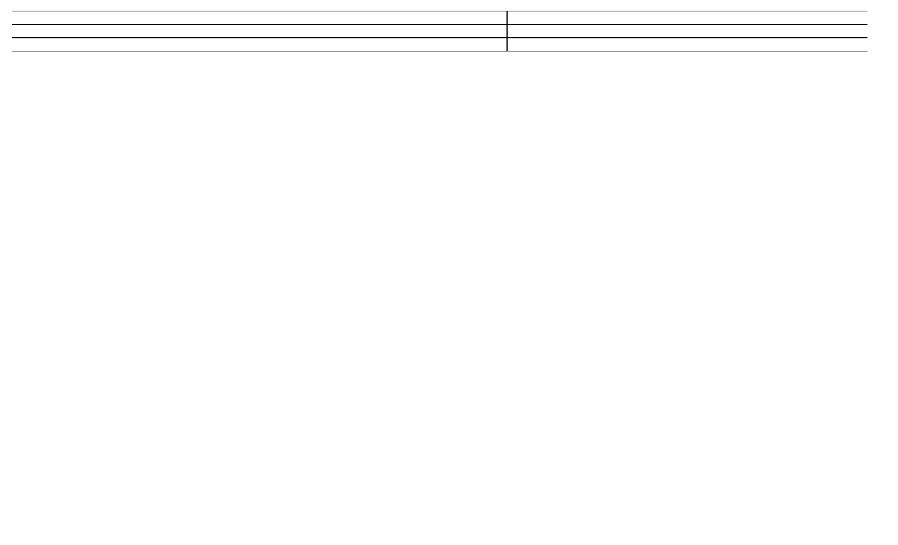| ,一个人都是一个人的人,而且,他们的人都是一个人,而且,他们的人都是一个人,而且,他们的人都是一个人,而且,他们的人都是一个人,而且,他们的人都是一个人,而且,他<br>第二十二章 第二十二章 第二十二章 第二十二章 第二十二章 第二十二章 第二十二章 第二十二章 第二十二章 第二十二章 第二十二章 第二十二章 第二十二章 第二十 |  |
|------------------------------------------------------------------------------------------------------------------------------------------------------------------------|--|
|                                                                                                                                                                        |  |
| ,一个人的人都是一个人的人,而且,他们的人都是一个人的人,而且,他们的人都是一个人的人,而且,他们的人都是一个人的人,而且,他们的人都是一个人的人,而且,他们的人                                                                                      |  |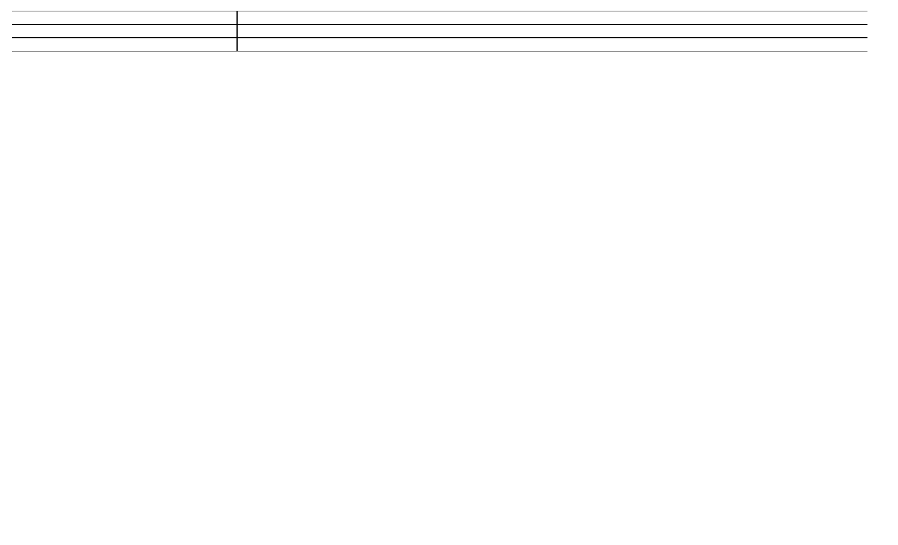| ,我们就会不会不会。""我们,我们也不会不会不会。""我们,我们也不会不会不会不会不会不会。""我们,我们也不会不会不会不会。""我们,我们也不会不会不会不会不  |
|-----------------------------------------------------------------------------------|
| ,一个人都是一个人的人,一个人都是一个人的人,一个人都是一个人的人,一个人都是一个人的人,一个人都是一个人的人,一个人都是一个人的人,一个人都是一个人的人,一个人 |
|                                                                                   |
| ,一个人都是一个人的人,而且,我们也不会不会不会。""我们,我们也不会不会不会不会不会不会不会。""我们,我们也不会不会不会不会不会不会不会不会。""我们,我们  |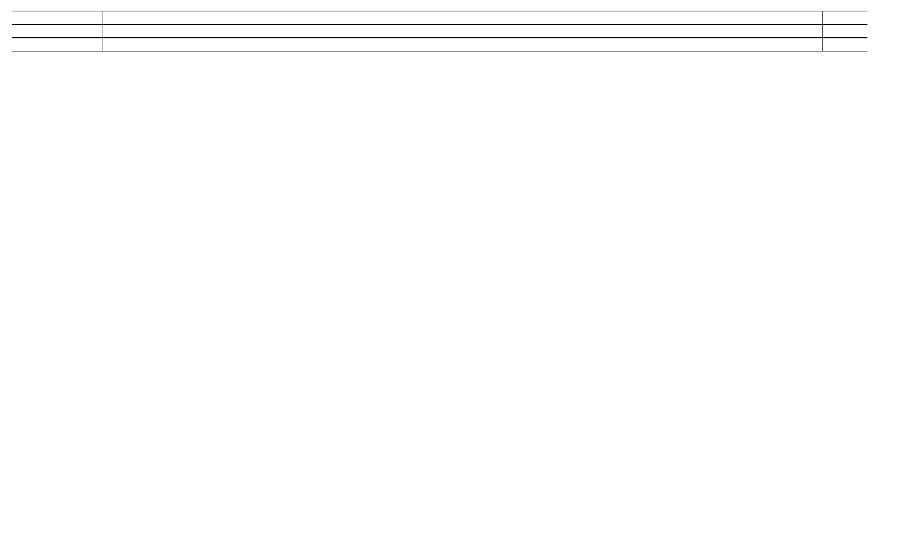| ,一个人都是一个人的人,一个人都是一个人的人,一个人都是一个人的人,一个人都是一个人的人,一个人都是一个人的人,一个人都是一个人的人,一个人都是一个人的人,一个人<br>第二十一章 一个人的人,一个人都是一个人的人,一个人都是一个人的人,一个人都是一个人的人,一个人都是一个人的人,一个人都是一个人的人,一个人都是一个人的人,一个<br>,一个人都是一个人的人,一个人都是一个人的人,一个人都是一个人的人,一个人都是一个人的人,一个人都是一个人的人,一个人都是一个人的人,一个人都是一个人的人,一个人<br>第二十一章 一个人的人,一个人都是一个人的人,一个人都是一个人的人,一个人都是一个人的人,一个人都是一个人的人,一个人都是一个人的人,一个人都是一个人的人,一个 |  |
|------------------------------------------------------------------------------------------------------------------------------------------------------------------------------------------------------------------------------------------------------------------------------------------------------------------------------------------------|--|
| ,一个人的人都是一个人的人,而且,他们的人都是一个人的人,而且,他们的人都是一个人的人,而且,他们的人都是一个人的人,而且,他们的人都是一个人的人,而且,他们的<br>第一百一十一章 一个人的人,他们的人都是一个人的人,他们的人都是一个人的人,他们的人都是一个人的人,他们的人都是一个人的人,他们的人都是一个人的人,他们的人都是                                                                                                                                                                           |  |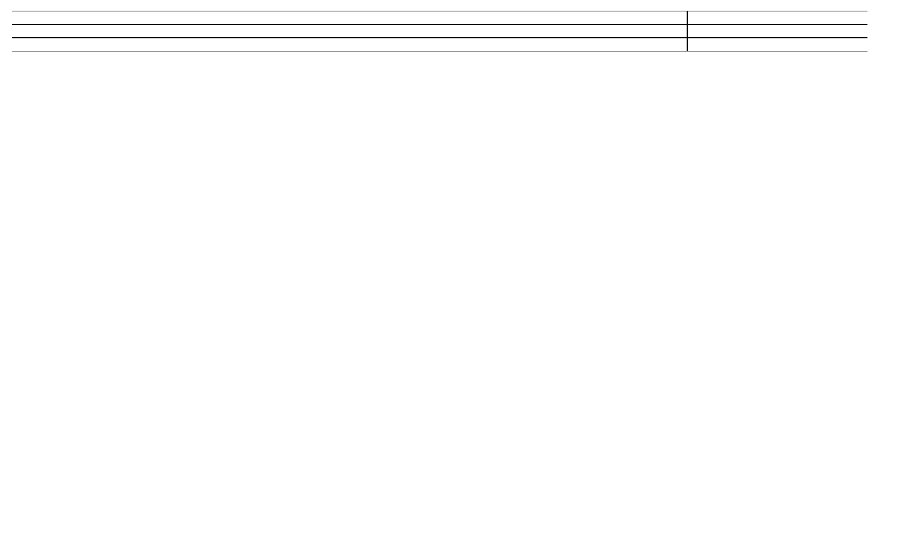| ,一个人的人都是一个人的人,而且,我们也不会不会不会。""我们,我们也不会不会不会不会不会不会。""我们,我们也不会不会不会不会。""我们,我们也不会不会不会不 |  |
|----------------------------------------------------------------------------------|--|
|                                                                                  |  |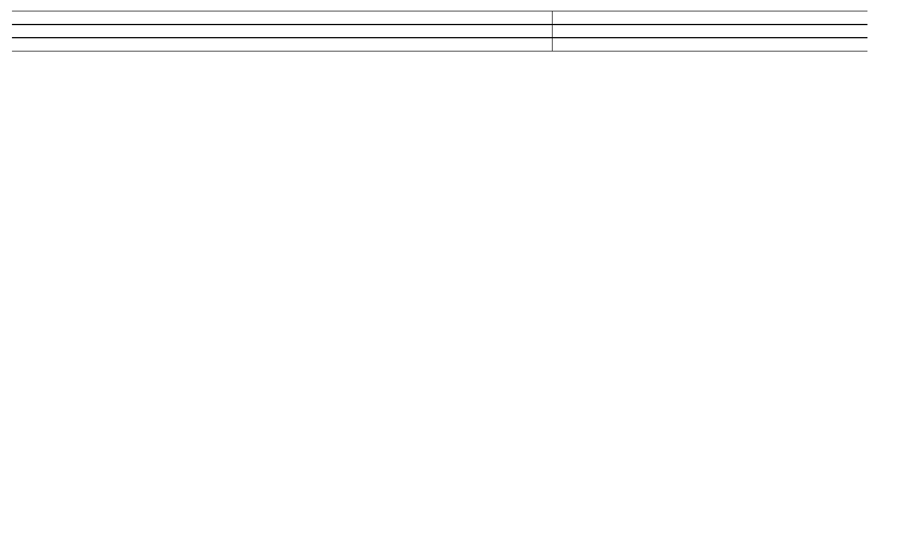| → 中国的 → 中国的 → 中国的 → 中国的 → 中国的 → 中国的 → 中国的 → 中国的 → 中国的 → 中国的 → 中国的 → 中国的 → 中国的 → 中国的 → 中国的 → 中国的 → 中国的 → 中国的 → 中国 |  |
|------------------------------------------------------------------------------------------------------------------|--|
|                                                                                                                  |  |
|                                                                                                                  |  |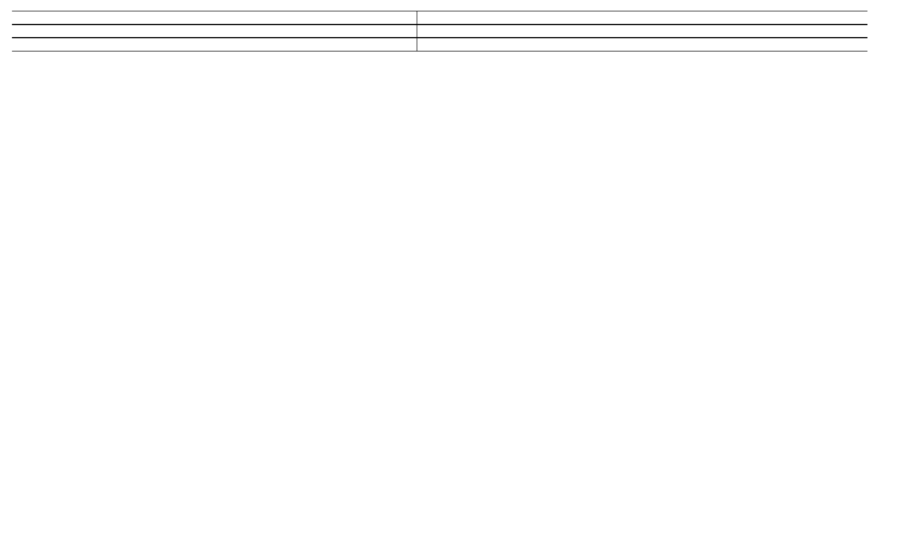| ,我们就会不会不会。""我们,我们就会不会不会不会,我们就会不会不会不会。""我们,我们就会不会不会不会。""我们,我们就会不会不会不会。""我们,我们就会不会 |                                                                                   |
|----------------------------------------------------------------------------------|-----------------------------------------------------------------------------------|
|                                                                                  | ,我们也不会不会不会。""我们的,我们也不会不会不会。""我们的,我们也不会不会不会不会。""我们的,我们也不会不会不会不会。""我们的,我们也不会不会不会不会  |
|                                                                                  | ,我们就会不会不会。""我们,我们就会不会不会,我们就会不会不会,我们就会不会不会。""我们,我们就会不会不会。""我们,我们就会不会不会不会。""我们,我们就会 |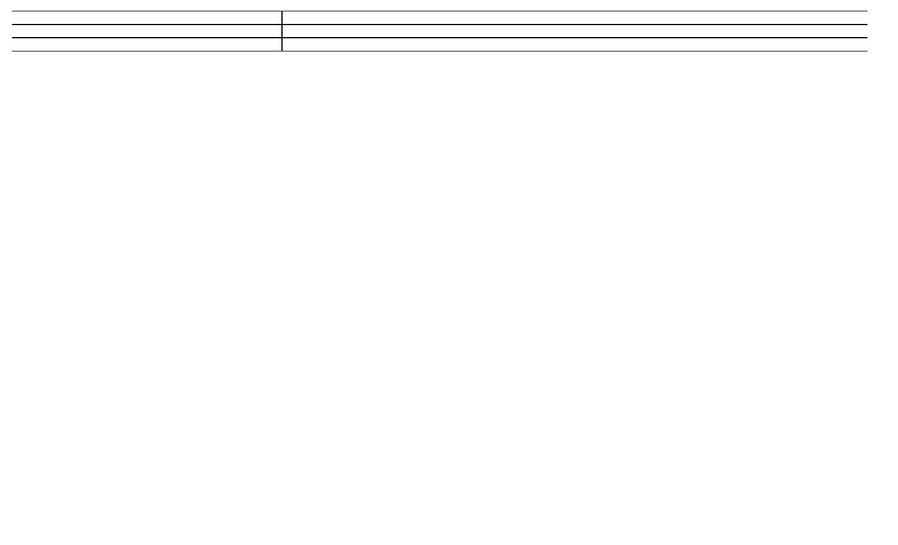| ,一个人都是一个人的人,我们就是一个人的人,我们就是一个人的人,我们就是一个人的人,我们就是一个人的人,我们就是一个人的人,我们就是一个人的人,我们就是一个人的<br>第一百一十一章 一个人的人,我们就是一个人的人,我们就是一个人的人,我们就是一个人的人,我们就是一个人的人,我们就是一个人的人,我们就是一个人的人,我们就是一个 |
|----------------------------------------------------------------------------------------------------------------------------------------------------------------------|
|                                                                                                                                                                      |
|                                                                                                                                                                      |
|                                                                                                                                                                      |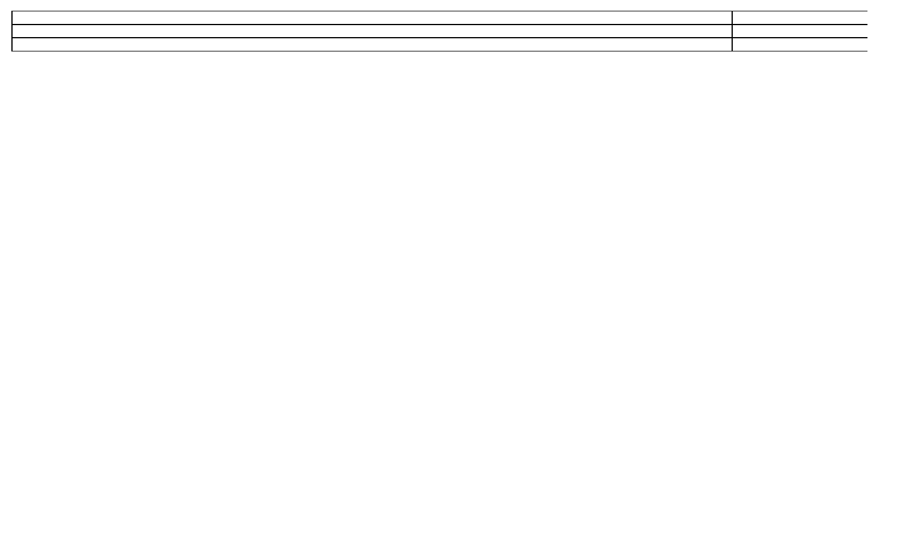| ,他们的人们就是一个人,他们的人们就是一个人,他们的人们,他们的人们就是一个人,他们的人们,他们的人们就是一个人,他们的人们,他们的人们,他们的人们,他们的人们,<br>第25章 我们的人们,他们的人们,他们的人们,他们的人们,他们的人们,他们的人们,他们的人们,他们的人们,他们的人们,他们的人们,他们的人们,他们的人们,他们的 |  |
|-----------------------------------------------------------------------------------------------------------------------------------------------------------------------|--|
| ,一个人都是一个人的人,而且,他们的人都是一个人,而且,他们的人都是一个人,而且,他们的人都是一个人,而且,他们的人都是一个人,而且,他们的人都是一个人,而且,他<br>第二百一十一章 一个人,他们的人都是一个人,他们的人都是一个人,他们的人都是一个人,他们的人都是一个人,他们的人都是一个人,他们的人都是一个人,他们的人都是一个 |  |
| ,一个人都是一个人的人,而且,他们的人都是一个人,他们的人都是一个人,他们的人都是一个人,他们的人都是一个人,他们的人都是一个人,他们的人都是一个人,他们的人都是                                                                                     |  |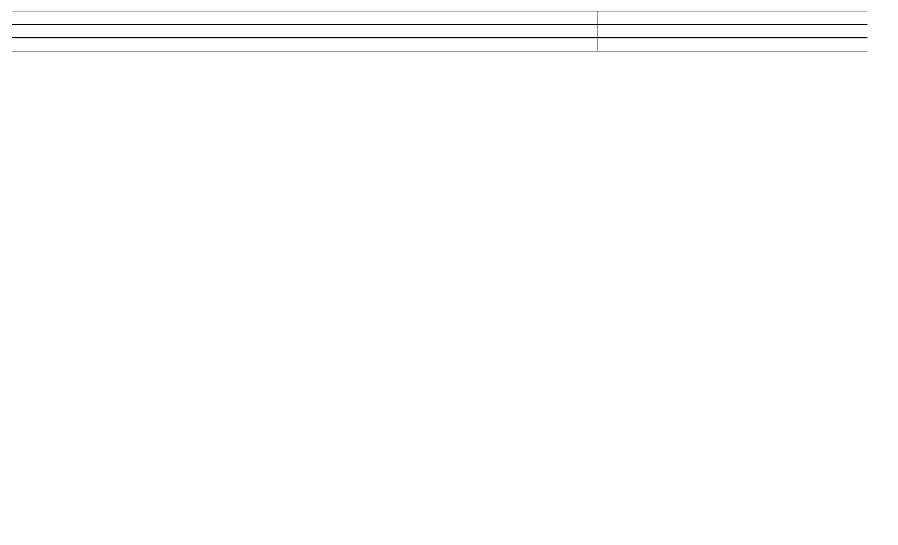| ,一个人都是一个人的人,而且,我们也不会不会不会。""我们,我们也不会不会不会不会不会不会不会不会。""我们,我们也不会不会不会不会不会不会不会不会。""我们,我<br>,他们的人们也不会不会。""我们的人们,我们也不会不会不会。""我们的人们,我们也不会不会不会。""我们的人们,我们也不会不会不会。""我们的人们,我们也不会不 |  |
|-----------------------------------------------------------------------------------------------------------------------------------------------------------------------|--|
| ,我们也不会不会不会。""我们的,我们也不会不会不会。""我们的,我们也不会不会不会不会。""我们的,我们也不会不会不会不会。""我们的,我们也不会不会不会不会                                                                                      |  |
|                                                                                                                                                                       |  |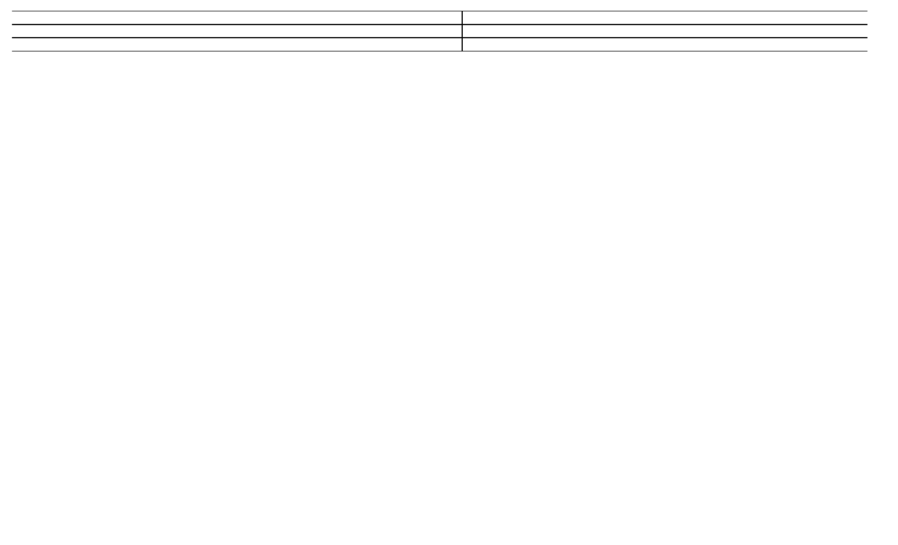| <u> 2001 - An t-An Aontaithe ann an t-Aontaithe ann an t-Aontaithe ann an t-Aontaithe ann an t-Aontaithe ann an t-</u> |
|------------------------------------------------------------------------------------------------------------------------|
|                                                                                                                        |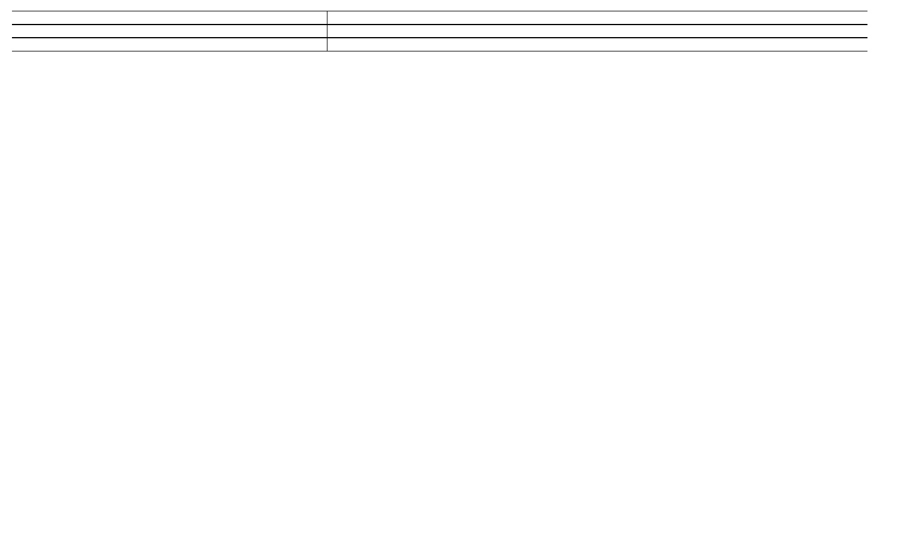| ,一个人都是一个人的人,而且,他们的人都是一个人,而且,他们的人都是一个人,而且,他们的人都是一个人,而且,他们的人都是一个人,而且,他们的人都是一个人,而且,他<br>第二十一章 一个人,他们的人都是一个人,他们的人都是一个人,他们的人都是一个人,他们的人都是一个人,他们的人都是一个人,他们的人都是一个人,他们的人都是一个人, | ,我们也不会不会。""我们的,我们也不会不会。""我们的,我们也不会不会不会。""我们的,我们也不会不会不会。""我们的,我们也不会不会不会。""我们的,我们也 |
|-----------------------------------------------------------------------------------------------------------------------------------------------------------------------|----------------------------------------------------------------------------------|
|                                                                                                                                                                       |                                                                                  |
|                                                                                                                                                                       |                                                                                  |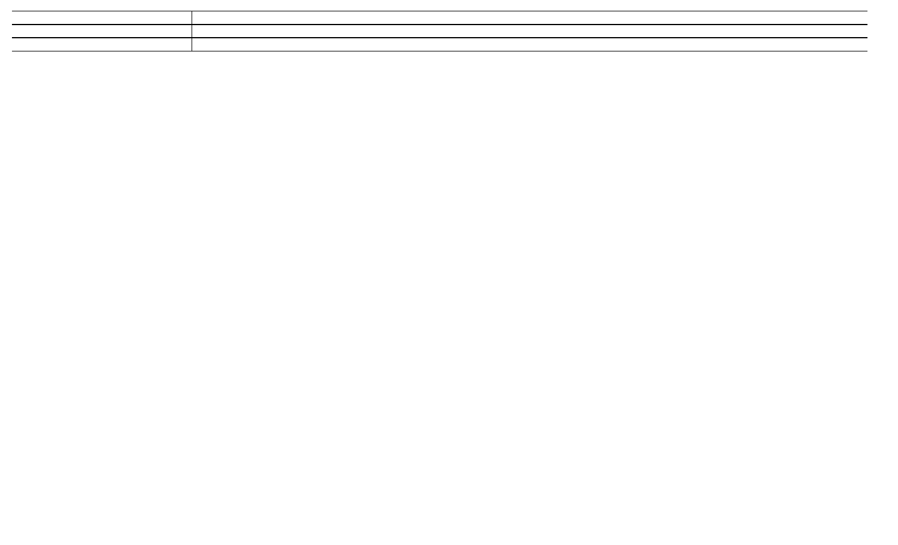| ,一个人的人都是一个人的人,而且,他们的人都是一个人的人,而且,他们的人都是一个人的人,而且,他们的人都是一个人的人,而且,他们的人都是一个人的人,而且,他们的人<br>第一百一十一章 一个人的人,他们的人都是一个人的人,他们的人都是一个人的人,他们的人都是一个人的人,他们的人都是一个人的人,他们的人都是一个人的人,他们的人都是<br>,我们就会不会不会。""我们,我们就会不会不会不会。""我们,我们就会不会不会不会不会不会。""我们,我们就会不会不会不会不会。""我们,我们就会不会不会不会不 |
|-----------------------------------------------------------------------------------------------------------------------------------------------------------------------------------------------------------------------------------------------------------|
| ,一个人都是一个人的人,而且,他们的人都是一个人,而且,他们的人都是一个人,而且,他们的人都是一个人,而且,他们的人都是一个人,而且,他们的人都是一个人,而且,他<br>第二十一章 一个人,他们的人都是一个人,他们的人都是一个人,他们的人都是一个人,他们的人都是一个人,他们的人都是一个人,他们的人都是一个人,他们的人都是一个人,                                                                                     |
|                                                                                                                                                                                                                                                           |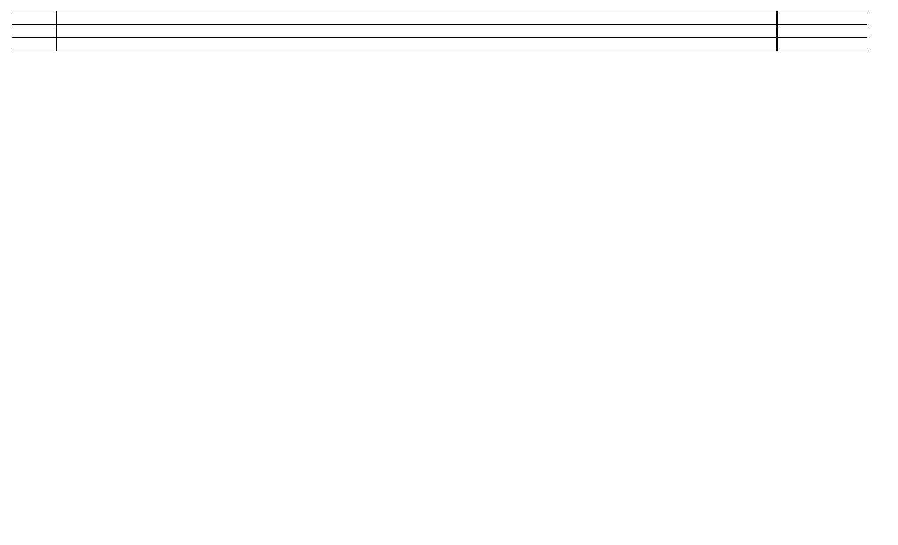| <u>та на представљен под податковата на представљен податковата на представљен податковата на представљен податк</u> |  |
|----------------------------------------------------------------------------------------------------------------------|--|
|                                                                                                                      |  |
| ,一个人都是一个人的人,一个人都是一个人的人,一个人都是一个人的人,一个人都是一个人的人,一个人都是一个人的人,一个人都是一个人的人,一个人都是一个人的人,一个人                                    |  |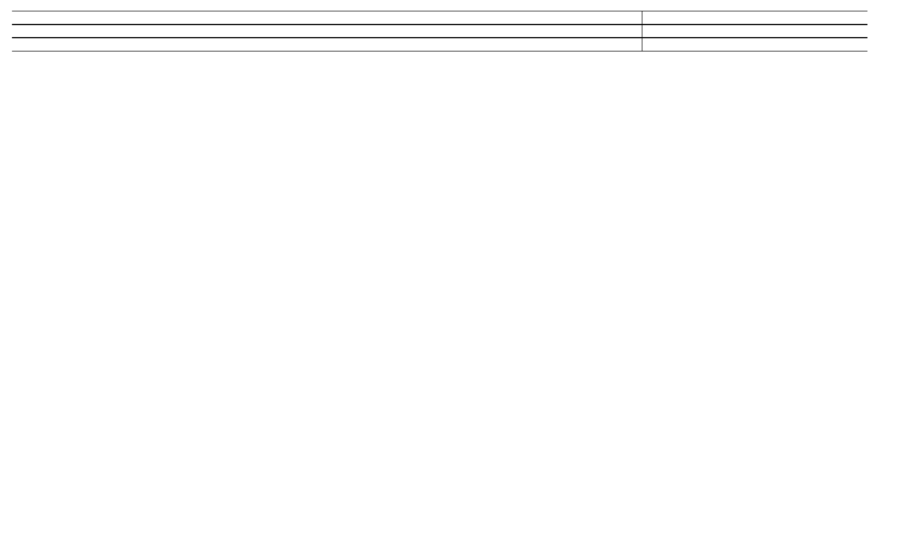| ,一个人都是一个人的人,一个人都是一个人的人,一个人都是一个人的人,一个人都是一个人的人,一个人都是一个人的人,一个人都是一个人的人,一个人都是一个人的人,一个人<br>→ South State State State State State State State State State State State State State State State State State State State State State State State State State State State State State State State State State State State St |  |
|-------------------------------------------------------------------------------------------------------------------------------------------------------------------------------------------------------------------------------------------------------------------------------------------------------------------|--|
| ,一个人的人都是一个人的人,而且,他们的人都是不是一个人的人,而且,他们的人都是不是一个人的人,而且,他们的人都是不是一个人的人,而且,他们的人都是不是一个人的<br>第一百一十一章 一个人的人,他们的人都是不是一个人的人,他们的人都是不是一个人的人,他们的人都是不是一个人的人,他们的人都是不是一个人的人,他们的人都是不是一个                                                                                                                                              |  |
| ,我们也不会不会不会。""我们的,我们也不会不会不会。""我们的,我们也不会不会不会不会不会。""我们的,我们也不会不会不会不会。""我们的,我们也不会不会不会<br>第二百一章 第二百一章 第二百一章 第二百一章 第二百一章 第二百一章 第二百一章 第二百一章 第二百一章 第二百一章 第二百一章 第二百一章 第二百一章 第二                                                                                                                                              |  |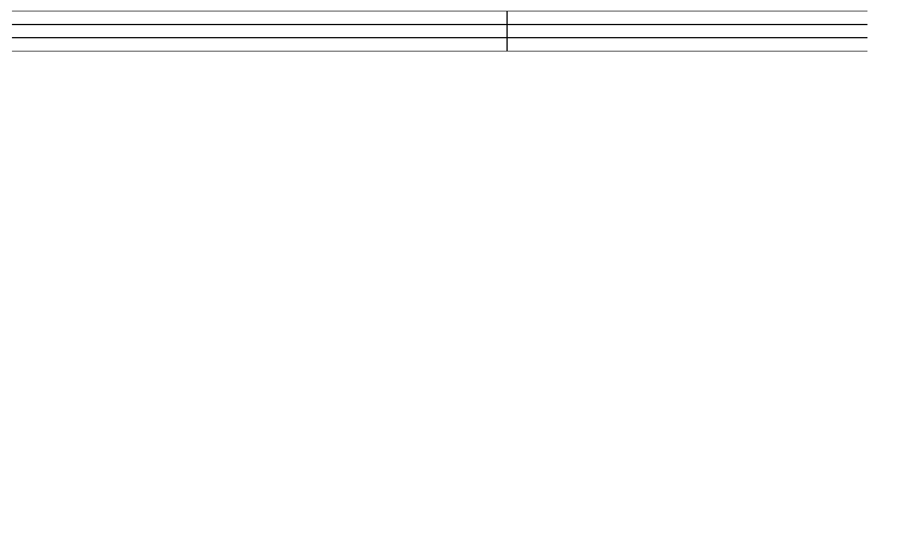| ,一个人都是一个人的人,而且,他们的人都是一个人,而且,他们的人都是一个人,而且,他们的人都是一个人,而且,他们的人都是一个人,而且,他们的人都是一个人,而且,他<br>第二十二章 第二十二章 第二十二章 第二十二章 第二十二章 第二十二章 第二十二章 第二十二章 第二十二章 第二十二章 第二十二章 第二十二章 第二十二章 第二十 |  |
|------------------------------------------------------------------------------------------------------------------------------------------------------------------------|--|
|                                                                                                                                                                        |  |
| ,一个人的人都是一个人的人,而且,他们的人都是一个人的人,而且,他们的人都是一个人的人,而且,他们的人都是一个人的人,而且,他们的人都是一个人的人,而且,他们的人                                                                                      |  |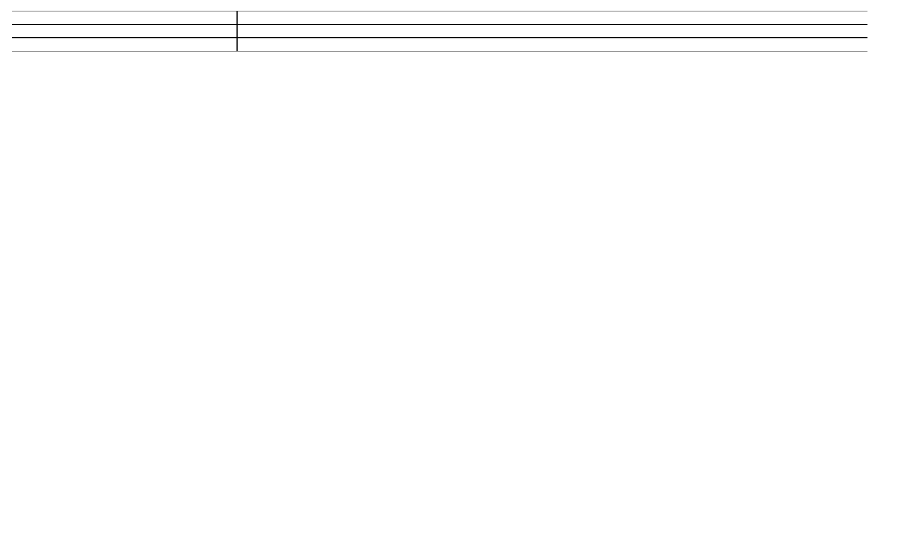| ,我们就会不会不会。""我们,我们也不会不会不会。""我们,我们也不会不会不会不会不会不会。""我们,我们也不会不会不会不会。""我们,我们也不会不会不会不会不  |
|-----------------------------------------------------------------------------------|
| ,一个人都是一个人的人,一个人都是一个人的人,一个人都是一个人的人,一个人都是一个人的人,一个人都是一个人的人,一个人都是一个人的人,一个人都是一个人的人,一个人 |
|                                                                                   |
| ,一个人都是一个人的人,而且,我们也不会不会不会。""我们,我们也不会不会不会不会不会不会不会。""我们,我们也不会不会不会不会不会不会不会不会。""我们,我们  |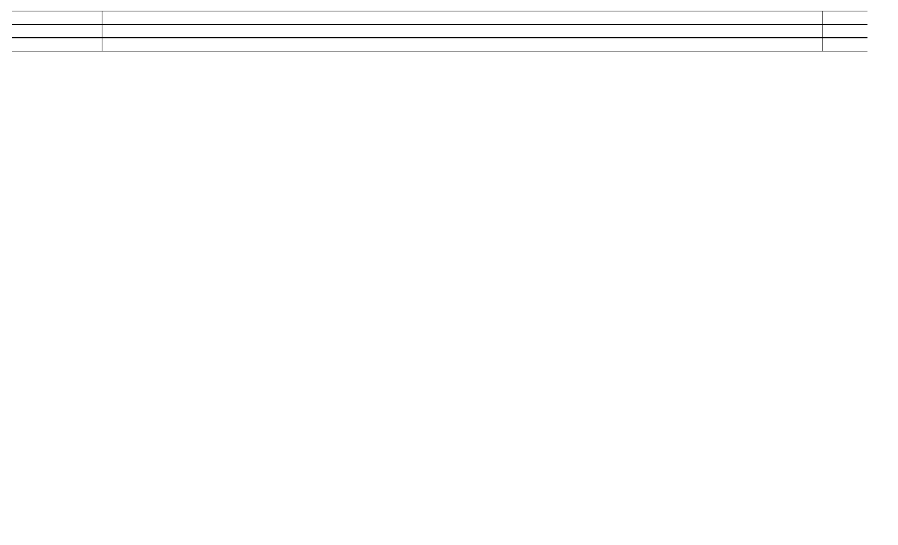| ,一个人都是一个人的人,一个人都是一个人的人,一个人都是一个人的人,一个人都是一个人的人,一个人都是一个人的人,一个人都是一个人的人,一个人都是一个人的人,一个人<br>第二十一章 一个人的人,一个人的人都是一个人的人,一个人的人都是一个人的人,一个人的人都是一个人的人,一个人的人都是一个人的人,一个人的人都是一个人的人,一个人<br>,一个人都是一个人的人,一个人都是一个人的人,一个人都是一个人的人,一个人都是一个人的人,一个人都是一个人的人,一个人都是一个人的人,一个人都是一个人的人,一个人<br>第二十一章 一个人的人,一个人都是一个人的人,一个人都是一个人的人,一个人都是一个人的人,一个人都是一个人的人,一个人都是一个人的人,一个人都是一个人的人,一个 |  |
|------------------------------------------------------------------------------------------------------------------------------------------------------------------------------------------------------------------------------------------------------------------------------------------------------------------------------------------------|--|
| ,一个人的人都是一个人的人,而且,他们的人都是一个人的人,而且,他们的人都是一个人的人,而且,他们的人都是一个人的人,而且,他们的人都是一个人的人,而且,他们的<br>第一百一十一章 一个人的人,他们的人都是一个人的人,他们的人都是一个人的人,他们的人都是一个人的人,他们的人都是一个人的人,他们的人都是一个人的人,他们的人都是                                                                                                                                                                           |  |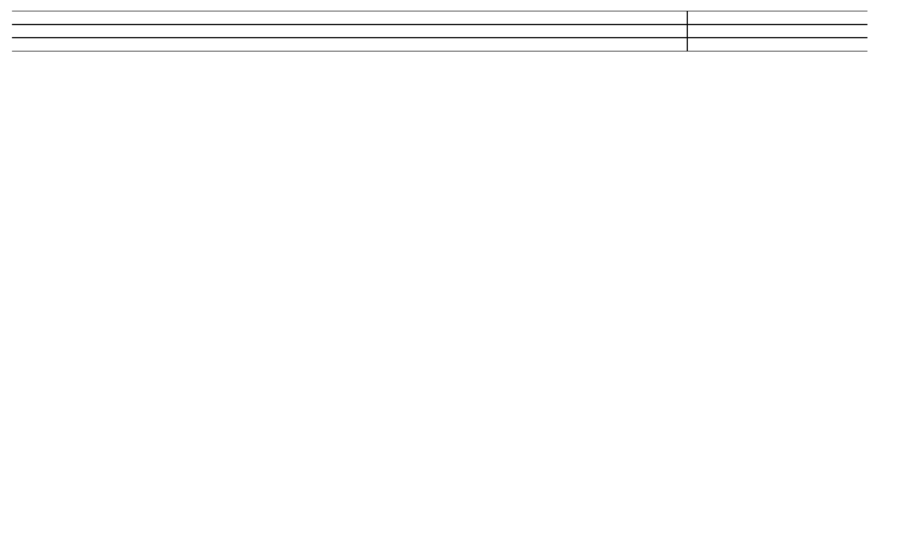| ,一个人的人都是一个人的人,而且,我们也不会不会不会。""我们,我们也不会不会不会不会不会不会。""我们,我们也不会不会不会不会。""我们,我们也不会不会不会不 |  |
|----------------------------------------------------------------------------------|--|
|                                                                                  |  |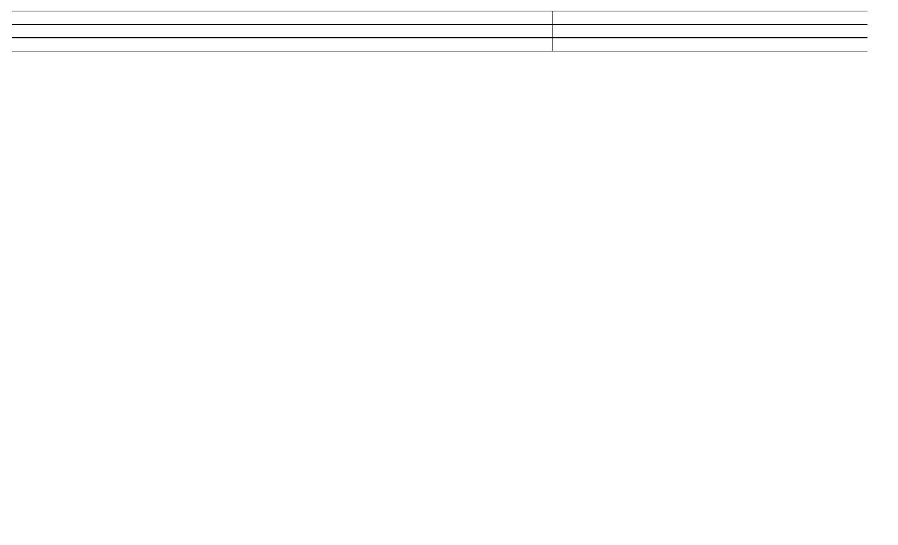| → 中国的 → 中国的 → 中国的 → 中国的 → 中国的 → 中国的 → 中国的 → 中国的 → 中国的 → 中国的 → 中国的 → 中国的 → 中国的 → 中国的 → 中国的 → 中国的 → 中国的 → 中国的 → 中国 |  |
|------------------------------------------------------------------------------------------------------------------|--|
|                                                                                                                  |  |
|                                                                                                                  |  |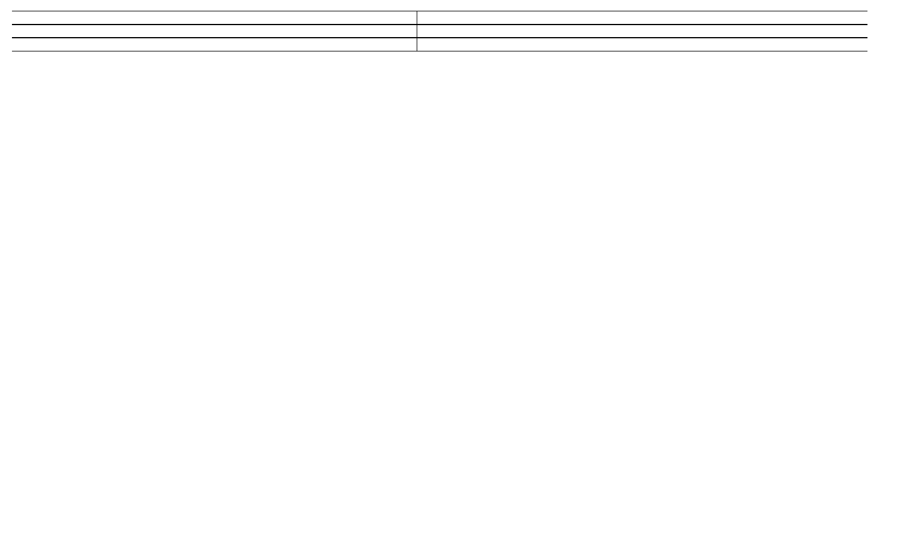| ,我们就会不会不会。""我们,我们就会不会不会不会,我们就会不会不会不会。""我们,我们就会不会不会不会。""我们,我们就会不会不会不会。""我们,我们就会不会 |                                                                                   |
|----------------------------------------------------------------------------------|-----------------------------------------------------------------------------------|
|                                                                                  | ,我们也不会不会不会。""我们的,我们也不会不会不会。""我们的,我们也不会不会不会不会。""我们的,我们也不会不会不会不会。""我们的,我们也不会不会不会不会  |
|                                                                                  | ,我们就会不会不会。""我们,我们就会不会不会,我们就会不会不会,我们就会不会不会。""我们,我们就会不会不会。""我们,我们就会不会不会不会。""我们,我们就会 |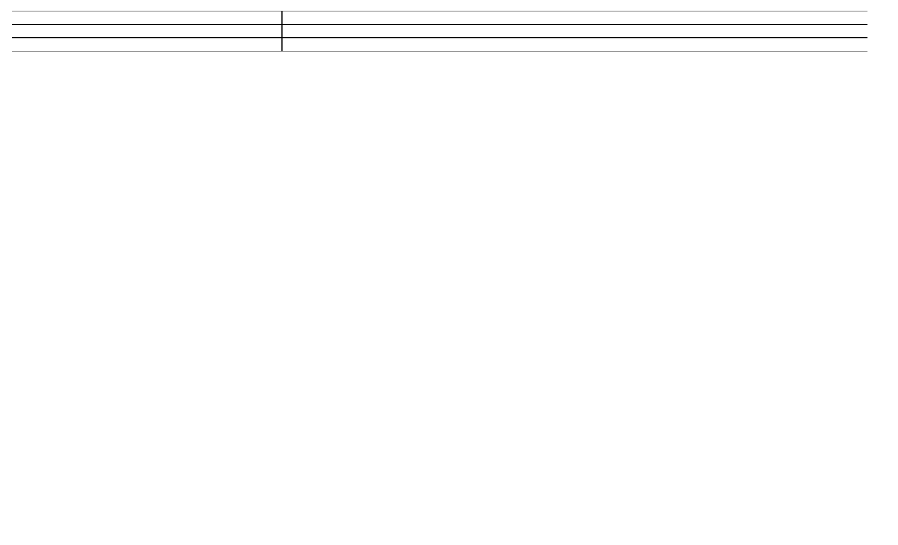| ,一个人都是一个人的人,我们就是一个人的人,我们就是一个人的人,我们就是一个人的人,我们就是一个人的人,我们就是一个人的人,我们就是一个人的人,我们就是一个人的<br>第一百一十一章 一个人的人,我们就是一个人的人,我们就是一个人的人,我们就是一个人的人,我们就是一个人的人,我们就是一个人的人,我们就是一个人的人,我们就是一个 |
|----------------------------------------------------------------------------------------------------------------------------------------------------------------------|
|                                                                                                                                                                      |
|                                                                                                                                                                      |
|                                                                                                                                                                      |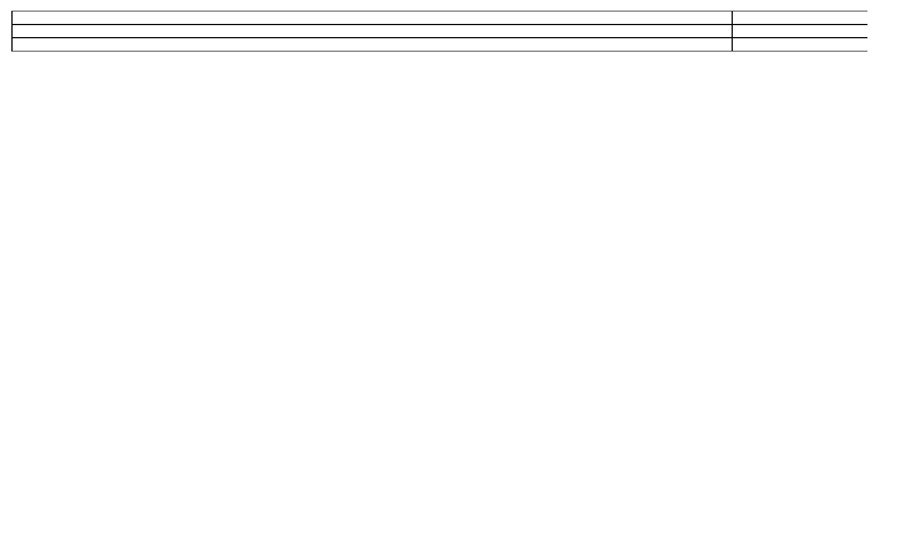| ,他们的人们就是一个人,他们的人们就是一个人,他们的人们,他们的人们就是一个人,他们的人们,他们的人们就是一个人,他们的人们,他们的人们,他们的人们,他们的人们,<br>第25章 我们的人们,他们的人们,他们的人们,他们的人们,他们的人们,他们的人们,他们的人们,他们的人们,他们的人们,他们的人们,他们的人们,他们的人们,他们的 |  |
|-----------------------------------------------------------------------------------------------------------------------------------------------------------------------|--|
| ,一个人都是一个人的人,而且,他们的人都是一个人,而且,他们的人都是一个人,而且,他们的人都是一个人,而且,他们的人都是一个人,而且,他们的人都是一个人,而且,他<br>第二百一十一章 一个人,他们的人都是一个人,他们的人都是一个人,他们的人都是一个人,他们的人都是一个人,他们的人都是一个人,他们的人都是一个人,他们的人都是一个 |  |
| ,一个人都是一个人的人,而且,他们的人都是一个人,他们的人都是一个人,他们的人都是一个人,他们的人都是一个人,他们的人都是一个人,他们的人都是一个人,他们的人都是                                                                                     |  |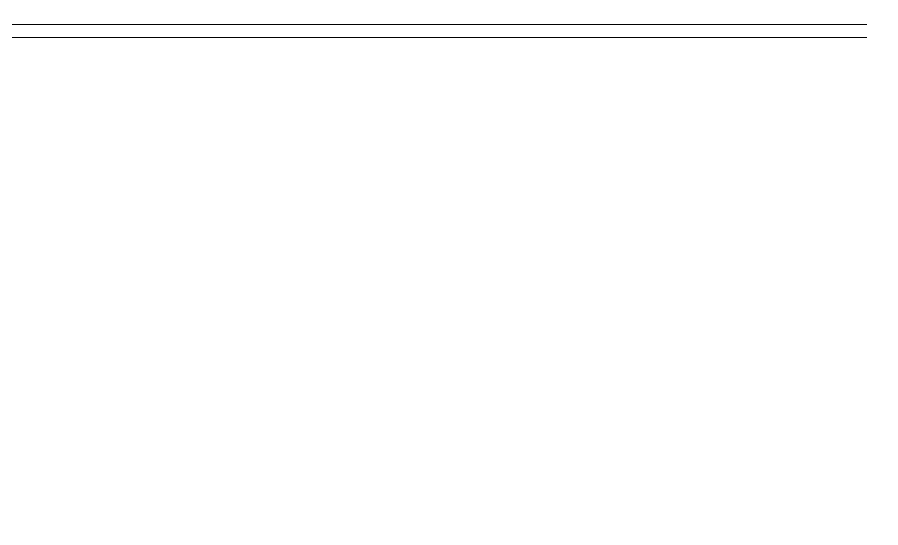| ,一个人都是一个人的人,而且,我们也不会不会不会。""我们,我们也不会不会不会不会不会不会不会不会。""我们,我们也不会不会不会不会不会不会不会不会。""我们,我<br>,他们的人们也不会不会。""我们的人们,我们也不会不会不会。""我们的人们,我们也不会不会不会。""我们的人们,我们也不会不会不会。""我们的人们,我们也不会不 |  |
|-----------------------------------------------------------------------------------------------------------------------------------------------------------------------|--|
| ,我们也不会不会不会。""我们的,我们也不会不会不会。""我们的,我们也不会不会不会不会。""我们的,我们也不会不会不会不会。""我们的,我们也不会不会不会不会                                                                                      |  |
|                                                                                                                                                                       |  |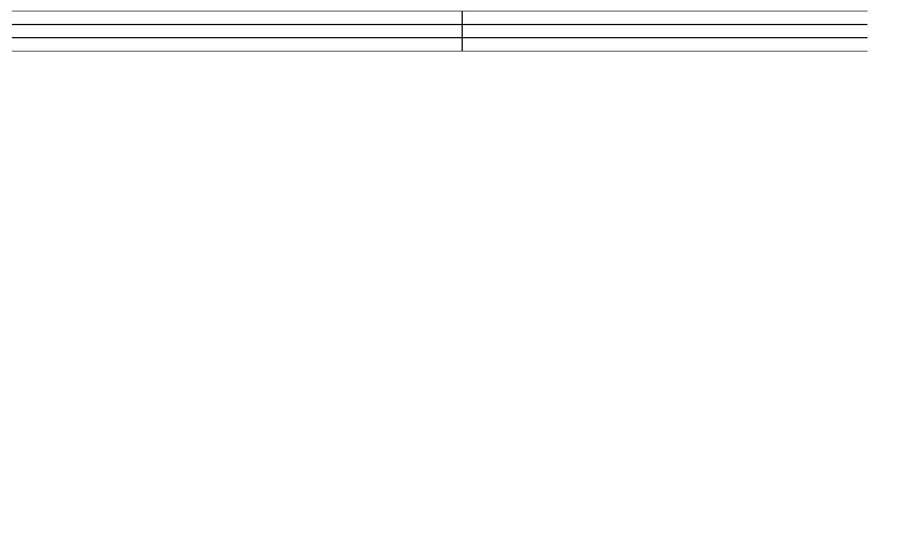| <u> 2001 - An t-An Aontaithe ann an t-Aontaithe ann an t-Aontaithe ann an t-Aontaithe ann an t-Aontaithe ann an t-</u> |
|------------------------------------------------------------------------------------------------------------------------|
|                                                                                                                        |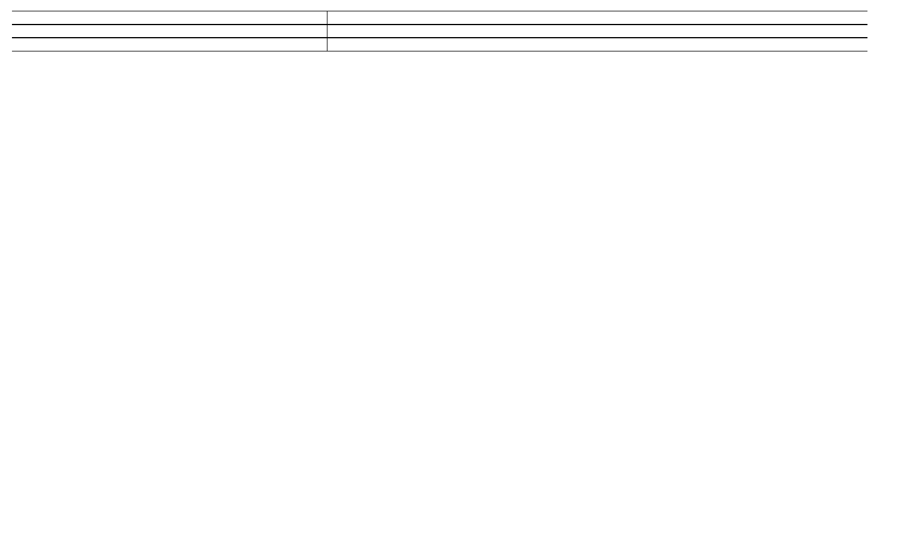| ,一个人都是一个人的人,而且,他们的人都是一个人,而且,他们的人都是一个人,而且,他们的人都是一个人,而且,他们的人都是一个人,而且,他们的人都是一个人,而且,他<br>第二十一章 一个人,他们的人都是一个人,他们的人都是一个人,他们的人都是一个人,他们的人都是一个人,他们的人都是一个人,他们的人都是一个人,他们的人都是一个人, | ,我们也不会不会。""我们的,我们也不会不会。""我们的,我们也不会不会不会。""我们的,我们也不会不会不会。""我们的,我们也不会不会不会。""我们的,我们也 |
|-----------------------------------------------------------------------------------------------------------------------------------------------------------------------|----------------------------------------------------------------------------------|
|                                                                                                                                                                       |                                                                                  |
|                                                                                                                                                                       |                                                                                  |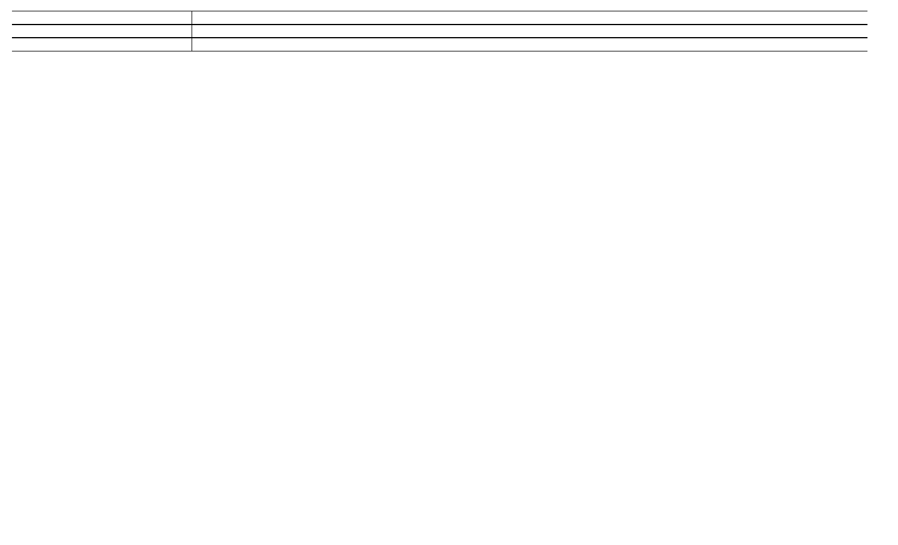| ,一个人的人都是一个人的人,而且,他们的人都是一个人的人,而且,他们的人都是一个人的人,而且,他们的人都是一个人的人,而且,他们的人都是一个人的人,而且,他们的人<br>第一百一十一章 一个人的人,他们的人都是一个人的人,他们的人都是一个人的人,他们的人都是一个人的人,他们的人都是一个人的人,他们的人都是一个人的人,他们的人都是 |
|-----------------------------------------------------------------------------------------------------------------------------------------------------------------------|
| ,一个人都是一个人的人,而且,他们的人都是一个人,而且,他们的人都是一个人,而且,他们的人都是一个人,而且,他们的人都是一个人,而且,他们的人都是一个人,而且,他<br>第二十一章 一个人,他们的人都是一个人,他们的人都是一个人,他们的人都是一个人,他们的人都是一个人,他们的人都是一个人,他们的人都是一个人,他们的人都是一个人, |
|                                                                                                                                                                       |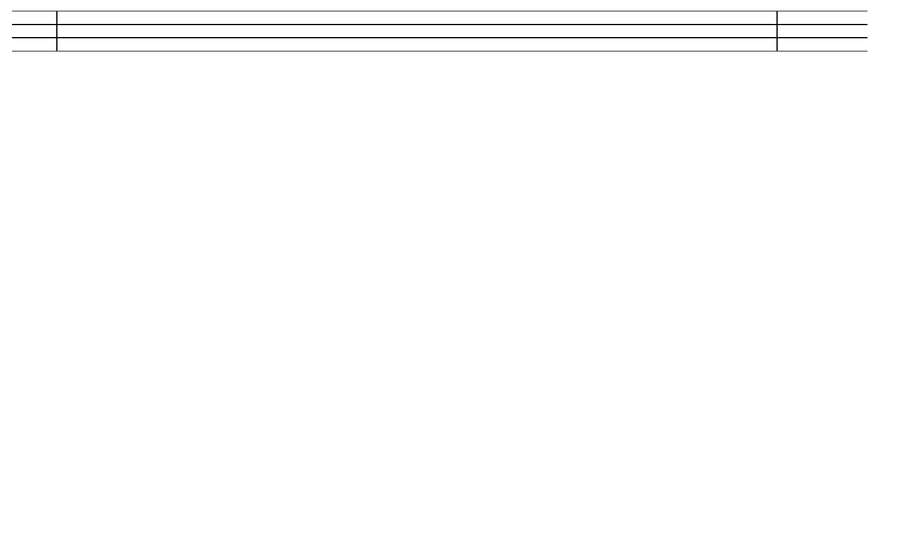| <u>та на представљен под податковата на представљен податковата на представљен податковата на представљен податк</u> |  |
|----------------------------------------------------------------------------------------------------------------------|--|
|                                                                                                                      |  |
| ,一个人都是一个人的人,一个人都是一个人的人,一个人都是一个人的人,一个人都是一个人的人,一个人都是一个人的人,一个人都是一个人的人,一个人都是一个人的人,一个人                                    |  |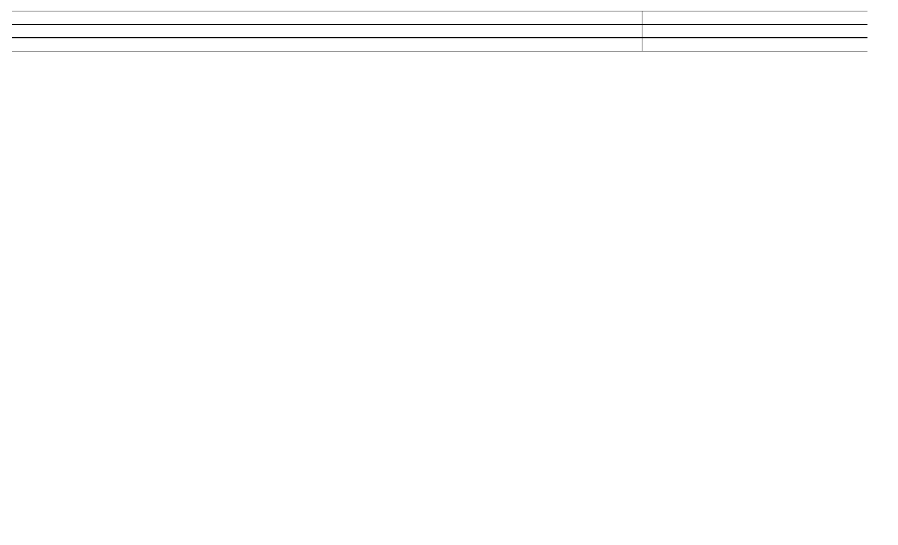| ,一个人都是一个人的人,一个人都是一个人的人,一个人都是一个人的人,一个人都是一个人的人,一个人都是一个人的人,一个人都是一个人的人,一个人都是一个人的人,一个人<br>→ South State State State State State State State State State State State State State State State State State State State State State State State State State State State State State State State State State State State St |  |
|-------------------------------------------------------------------------------------------------------------------------------------------------------------------------------------------------------------------------------------------------------------------------------------------------------------------|--|
| ,一个人的人都是一个人的人,而且,他们的人都是不是一个人的人,而且,他们的人都是不是一个人的人,而且,他们的人都是不是一个人的人,而且,他们的人都是不是一个人的<br>第一百一十一章 一个人的人,他们的人都是不是一个人的人,他们的人都是不是一个人的人,他们的人都是不是一个人的人,他们的人都是不是一个人的人,他们的人都是不是一个                                                                                                                                              |  |
| ,我们也不会不会不会。""我们的,我们也不会不会不会。""我们的,我们也不会不会不会不会。""我们的,我们也不会不会不会不会。""我们的,我们也不会不会不会不会<br>第二百一章 第二百一章 第二百一章 第二百一章 第二百一章 第二百一章 第二百一章 第二百一章 第二百一章 第二百一章 第二百一章 第二百一章 第二百一章 第二                                                                                                                                              |  |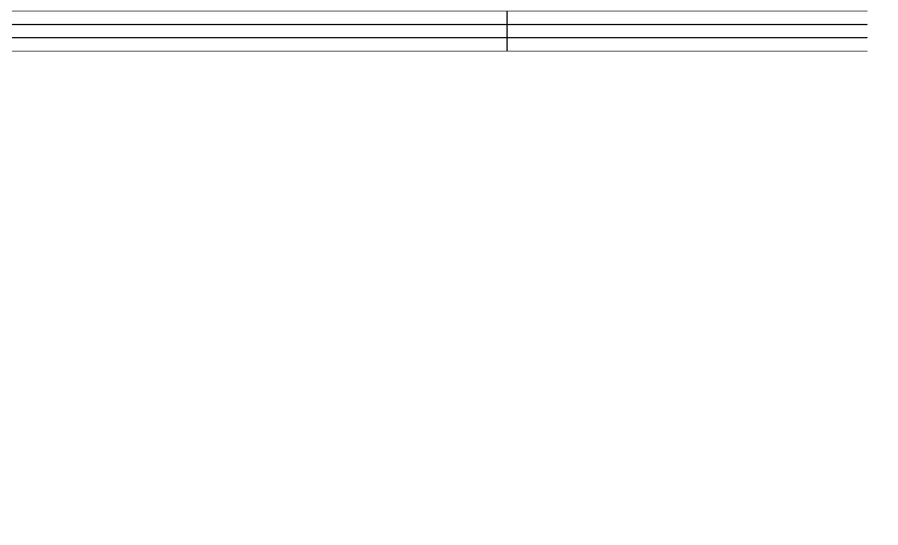| ,一个人都是一个人的人,而且,他们的人都是一个人,而且,他们的人都是一个人,而且,他们的人都是一个人,而且,他们的人都是一个人,而且,他们的人都是一个人,而且,他<br>第二十二章 第二十二章 第二十二章 第二十二章 第二十二章 第二十二章 第二十二章 第二十二章 第二十二章 第二十二章 第二十二章 第二十二章 第二十二章 第二十 |  |
|------------------------------------------------------------------------------------------------------------------------------------------------------------------------|--|
|                                                                                                                                                                        |  |
| ,一个人的人都是一个人的人,而且,他们的人都是一个人的人,而且,他们的人都是一个人的人,而且,他们的人都是一个人的人,而且,他们的人都是一个人的人,而且,他们的人                                                                                      |  |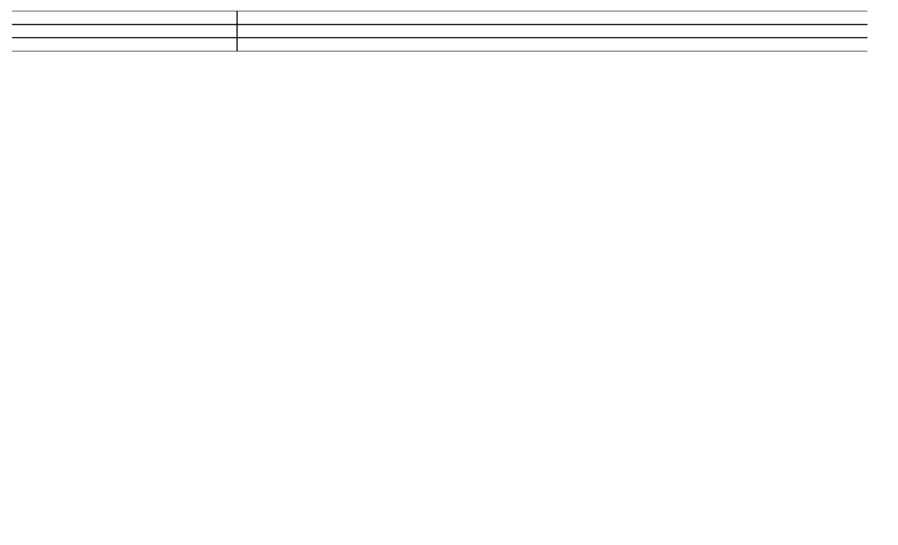| ,我们就会不会不会。""我们,我们也不会不会不会。""我们,我们也不会不会不会不会不会不会。""我们,我们也不会不会不会不会。""我们,我们也不会不会不会不会不  |
|-----------------------------------------------------------------------------------|
| ,一个人都是一个人的人,一个人都是一个人的人,一个人都是一个人的人,一个人都是一个人的人,一个人都是一个人的人,一个人都是一个人的人,一个人都是一个人的人,一个人 |
|                                                                                   |
| ,一个人都是一个人的人,而且,我们也不会不会不会。""我们,我们也不会不会不会不会。""我们,我们也不会不会不会不会。""我们,我们也不会不会不会不会。""我们, |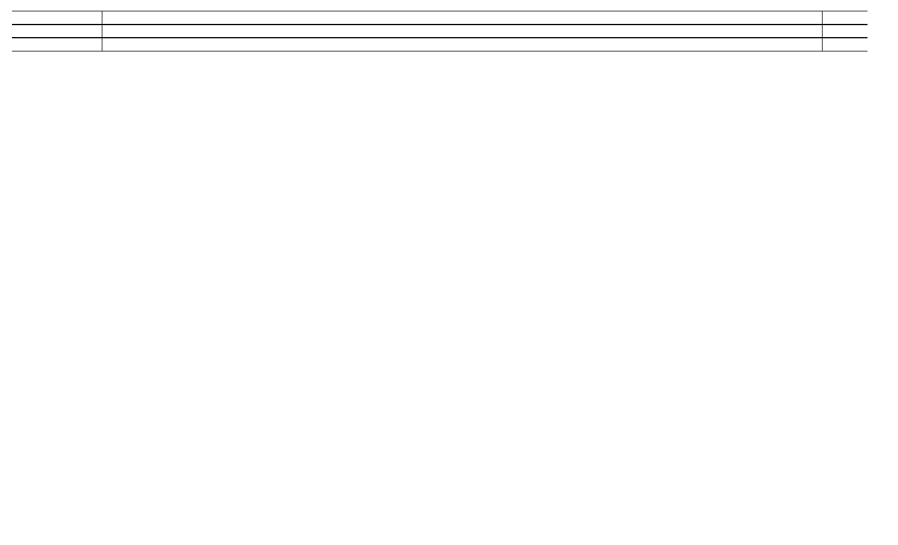| ,一个人都是一个人的人,一个人都是一个人的人,一个人都是一个人的人,一个人都是一个人的人,一个人都是一个人的人,一个人都是一个人的人,一个人都是一个人的人,一个人<br>第二十一章 一个人的人,一个人的人都是一个人的人,一个人的人都是一个人的人,一个人的人都是一个人的人,一个人的人都是一个人的人,一个人的人都是一个人的人,一个人<br>,一个人都是一个人的人,一个人都是一个人的人,一个人都是一个人的人,一个人都是一个人的人,一个人都是一个人的人,一个人都是一个人的人,一个人都是一个人的人,一个人<br>第二十一章 一个人的人,一个人的人都是一个人的人,一个人的人都是一个人的人,一个人的人都是一个人的人,一个人的人都是一个人的人,一个人的人都是一个人的人,一个人 |  |
|------------------------------------------------------------------------------------------------------------------------------------------------------------------------------------------------------------------------------------------------------------------------------------------------------------------------------------------------|--|
| ,一个人的人都是一个人的人,而且,他们的人都是一个人的人,而且,他们的人都是一个人的人,而且,他们的人都是一个人的人,而且,他们的人都是一个人的人,而且,他们的<br>第一百一十一章 一个人的人,他们的人都是一个人的人,他们的人都是一个人的人,他们的人都是一个人的人,他们的人都是一个人的人,他们的人都是一个人的人,他们的人都是                                                                                                                                                                           |  |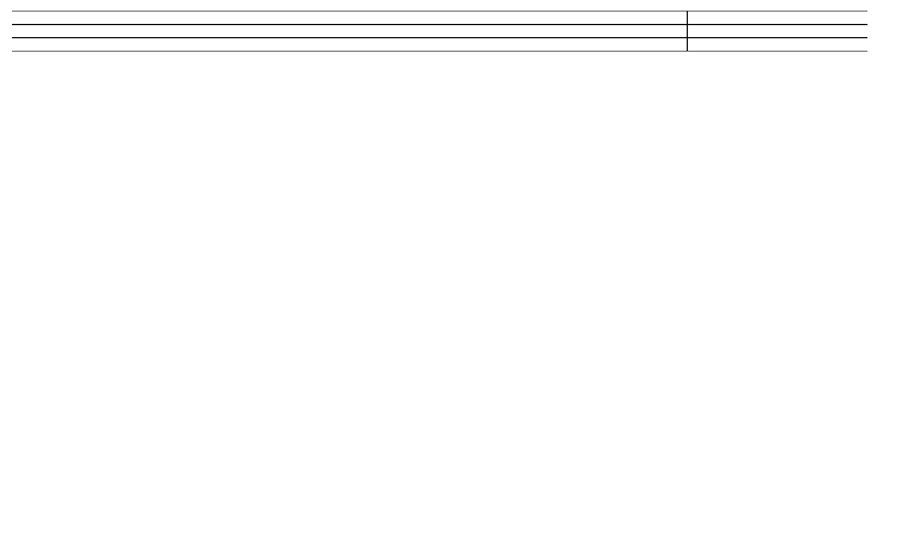| ,我们也不会不会不会。""我们的,我们也不会不会不会。""我们的,我们也不会不会不会不会不会。""我们的,我们也不会不会不会不会。""我们的,我们也不会不会不会  |  |
|-----------------------------------------------------------------------------------|--|
| ,一个人的人都是一个人的人,而且,他们的人都是一个人的人,而且,他们的人都是一个人的人,而且,他们的人都是一个人的人,而且,他们的人都是一个人的人,而且,他们的人 |  |
|                                                                                   |  |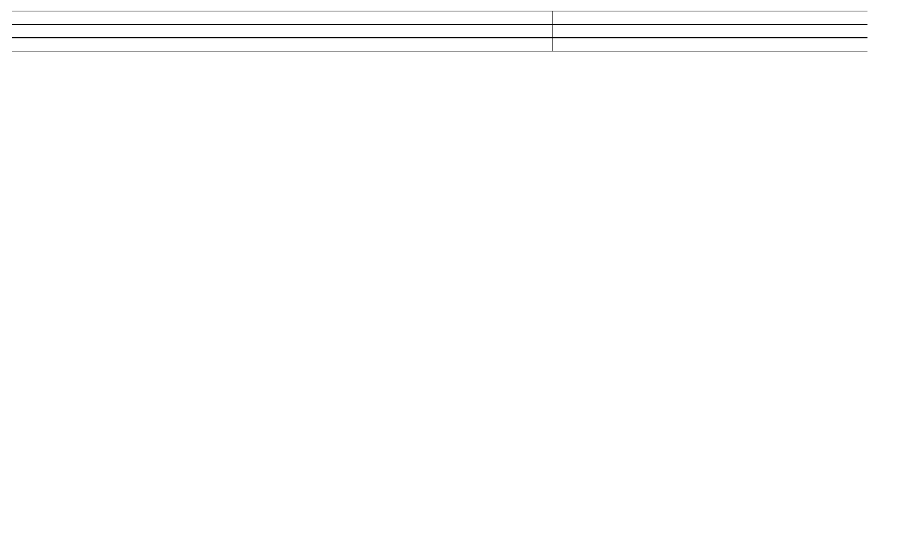| → 中国的 → 中国的 → 中国的 → 中国的 → 中国的 → 中国的 → 中国的 → 中国的 → 中国的 → 中国的 → 中国的 → 中国的 → 中国的 → 中国的 → 中国的 → 中国的 → 中国的 → 中国的 → 中国 |  |
|------------------------------------------------------------------------------------------------------------------|--|
|                                                                                                                  |  |
|                                                                                                                  |  |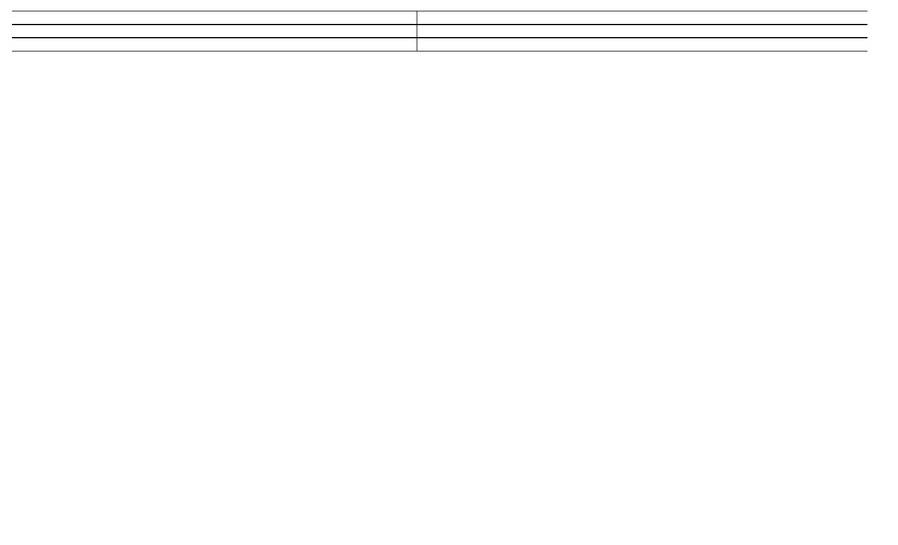| ,我们就会不会不会。""我们,我们就会不会不会不会,我们就会不会不会不会。""我们,我们就会不会不会不会。""我们,我们就会不会不会不会。""我们,我们就会不会 |                                                                                   |
|----------------------------------------------------------------------------------|-----------------------------------------------------------------------------------|
|                                                                                  | ,我们也不会不会不会。""我们的,我们也不会不会不会。""我们的,我们也不会不会不会不会。""我们的,我们也不会不会不会不会。""我们的,我们也不会不会不会不会  |
|                                                                                  | ,我们就会不会不会。""我们,我们就会不会不会,我们就会不会不会,我们就会不会不会。""我们,我们就会不会不会。""我们,我们就会不会不会不会。""我们,我们就会 |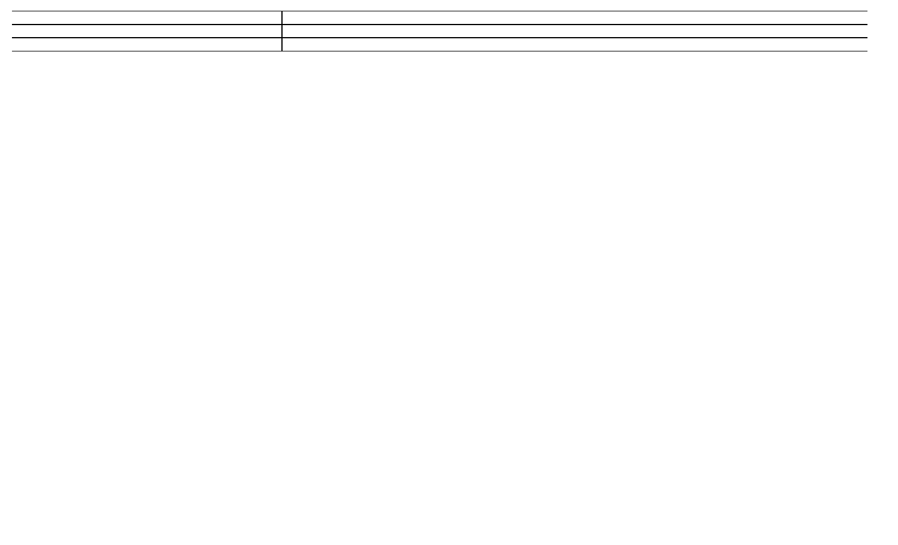| ,他们的人们就会在这里,他们的人们就会在这里,他们的人们就会在这里,他们的人们就会在这里,他们的人们就会在这里,他们的人们就会在这里,他们的人们就会在这里,他们<br>第251章 我们的人们的人们,我们的人们的人们的人们,我们的人们的人们的人们,我们的人们的人们的人们,我们的人们的人们的人们,我们的人们的人们的人们,我们的人们 |
|----------------------------------------------------------------------------------------------------------------------------------------------------------------------|
|                                                                                                                                                                      |
|                                                                                                                                                                      |
|                                                                                                                                                                      |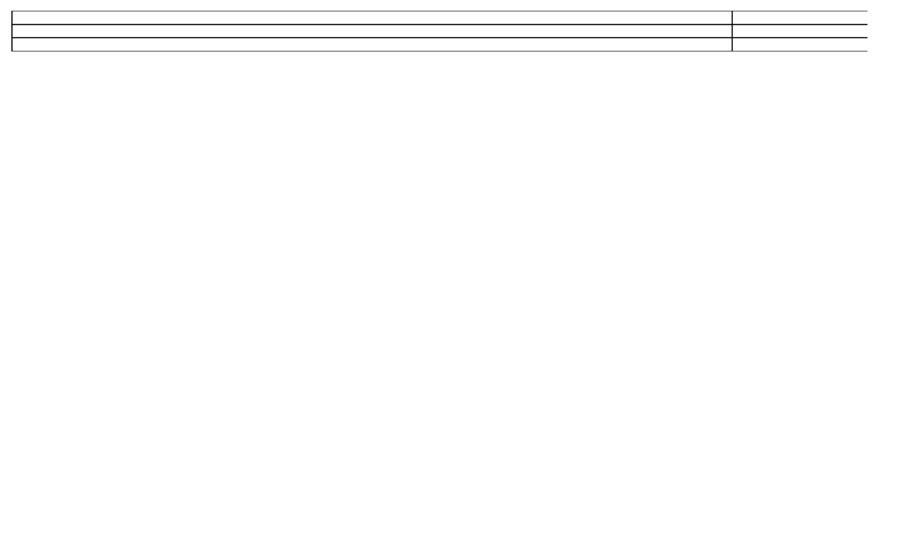| ,他们的人们就是一个人,他们的人们就是一个人,他们的人们,他们的人们就是一个人,他们的人们,他们的人们就是一个人,他们的人们,他们的人们,他们的人们,他们的人们,<br>第25章 我们的人们,他们的人们,他们的人们,他们的人们,他们的人们,他们的人们,他们的人们,他们的人们,他们的人们,他们的人们,他们的人们,他们的人们,他们的 |  |
|-----------------------------------------------------------------------------------------------------------------------------------------------------------------------|--|
| ,一个人都是一个人的人,而且,他们的人都是一个人,而且,他们的人都是一个人,而且,他们的人都是一个人,而且,他们的人都是一个人,而且,他们的人都是一个人,而且,他<br>第二百一十一章 一个人,他们的人都是一个人,他们的人都是一个人,他们的人都是一个人,他们的人都是一个人,他们的人都是一个人,他们的人都是一个人,他们的人都是一个 |  |
| ,一个人都是一个人的人,而且,他们的人都是一个人,他们的人都是一个人,他们的人都是一个人,他们的人都是一个人,他们的人都是一个人,他们的人都是一个人,他们的人都是                                                                                     |  |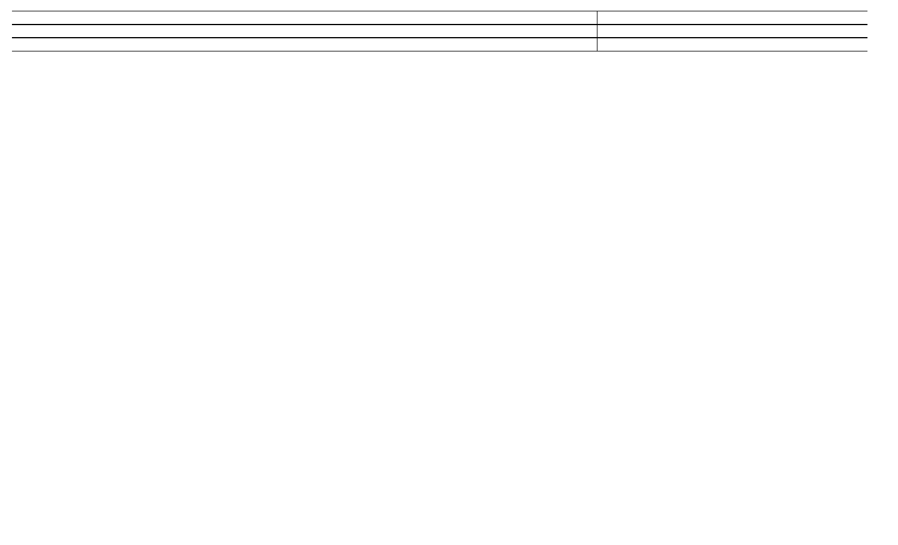| ,一个人都是一个人的人,而且,我们也不会不会不会。""我们,我们也不会不会不会不会不会不会不会不会。""我们,我们也不会不会不会不会不会不会不会不会。""我们,我<br>,他们的人们也不会不会。""我们的人们,我们也不会不会不会。""我们的人们,我们也不会不会不会。""我们的人们,我们也不会不会不会。""我们的人们,我们也不会不 |  |
|-----------------------------------------------------------------------------------------------------------------------------------------------------------------------|--|
| ,我们也不会不会不会。""我们的,我们也不会不会不会。""我们的,我们也不会不会不会不会。""我们的,我们也不会不会不会不会。""我们的,我们也不会不会不会不会                                                                                      |  |
|                                                                                                                                                                       |  |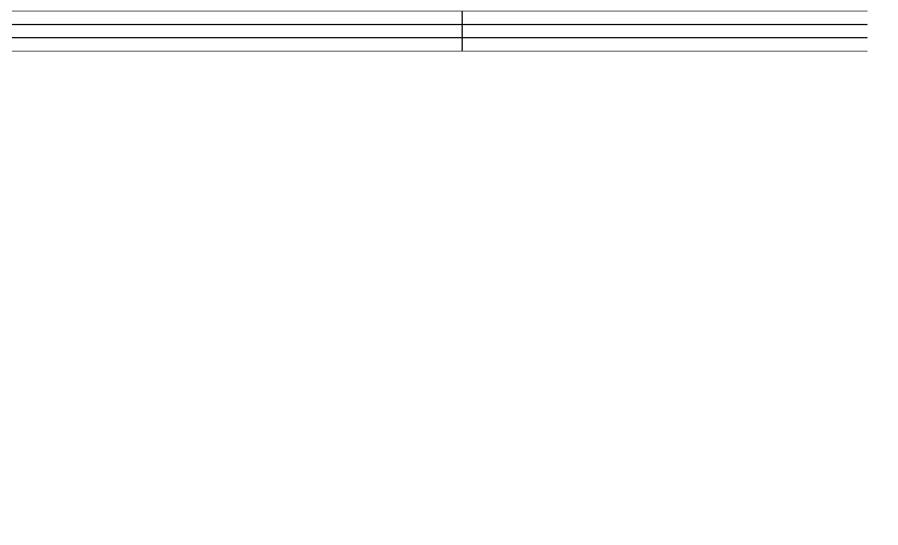| <u> 1980 - Ann an t-Aontaithe ann an t-Aontaithe ann an t-Aontaithe ann an t-Aontaithe ann an t-Aontaithe ann an t-</u> |
|-------------------------------------------------------------------------------------------------------------------------|
|                                                                                                                         |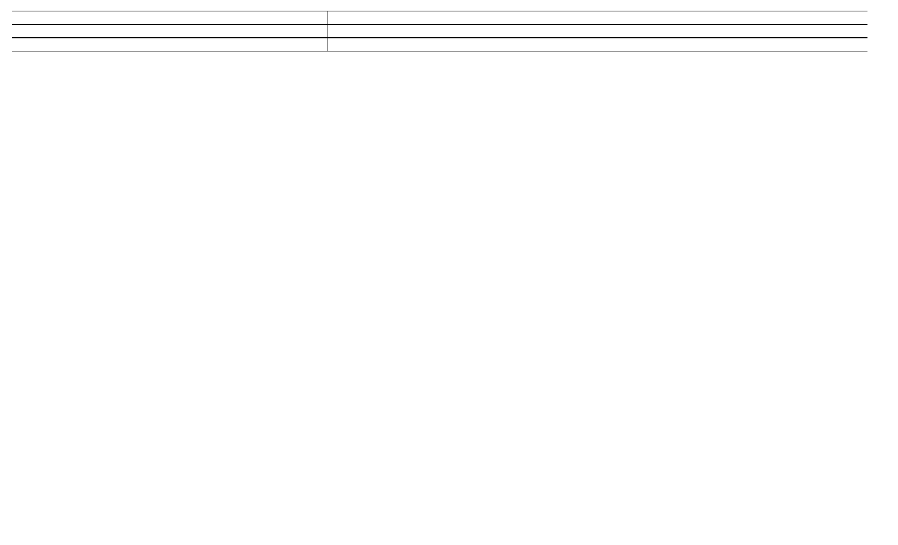| ,一个人都是一个人的人,而且,他们的人都是一个人,而且,他们的人都是一个人,而且,他们的人都是一个人,而且,他们的人都是一个人,而且,他们的人都是一个人,而且,他<br>第二十一章 一个人,他们的人都是一个人,他们的人都是一个人,他们的人都是一个人,他们的人都是一个人,他们的人都是一个人,他们的人都是一个人,他们的人都是一个人, | ,我们也不会不会。""我们的,我们也不会不会。""我们的,我们也不会不会不会。""我们的,我们也不会不会不会。""我们的,我们也不会不会不会。""我们的,我们也 |
|-----------------------------------------------------------------------------------------------------------------------------------------------------------------------|----------------------------------------------------------------------------------|
|                                                                                                                                                                       |                                                                                  |
|                                                                                                                                                                       |                                                                                  |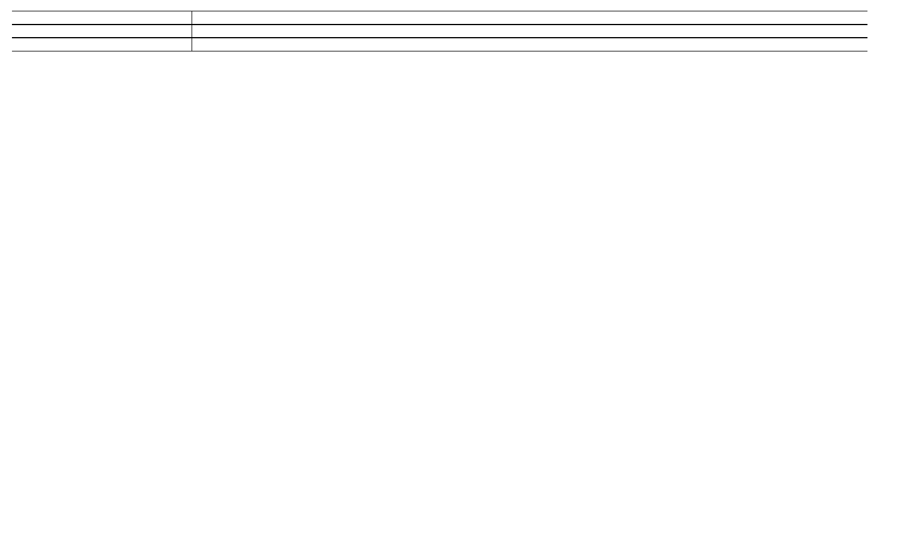| ,一个人的人都是一个人的人,而且,他们的人都是一个人的人,而且,他们的人都是一个人的人,而且,他们的人都是一个人的人,而且,他们的人都是一个人的人,而且,他们的人<br>第一百一十一章 一个人的人,他们的人都是一个人的人,他们的人都是一个人的人,他们的人都是一个人的人,他们的人都是一个人的人,他们的人都是一个人的人,他们的人都是<br>,我们就会不会不会。""我们,我们就会不会不会不会。""我们,我们就会不会不会不会不会不会。""我们,我们就会不会不会不会不会。""我们,我们就会不会不会不会不 |
|-----------------------------------------------------------------------------------------------------------------------------------------------------------------------------------------------------------------------------------------------------------|
| ,一个人都是一个人的人,而且,他们的人都是一个人,而且,他们的人都是一个人,而且,他们的人都是一个人,而且,他们的人都是一个人,而且,他们的人都是一个人,而且,他<br>第二十一章 一个人,他们的人都是一个人,他们的人都是一个人,他们的人都是一个人,他们的人都是一个人,他们的人都是一个人,他们的人都是一个人,他们的人都是一个人,                                                                                     |
|                                                                                                                                                                                                                                                           |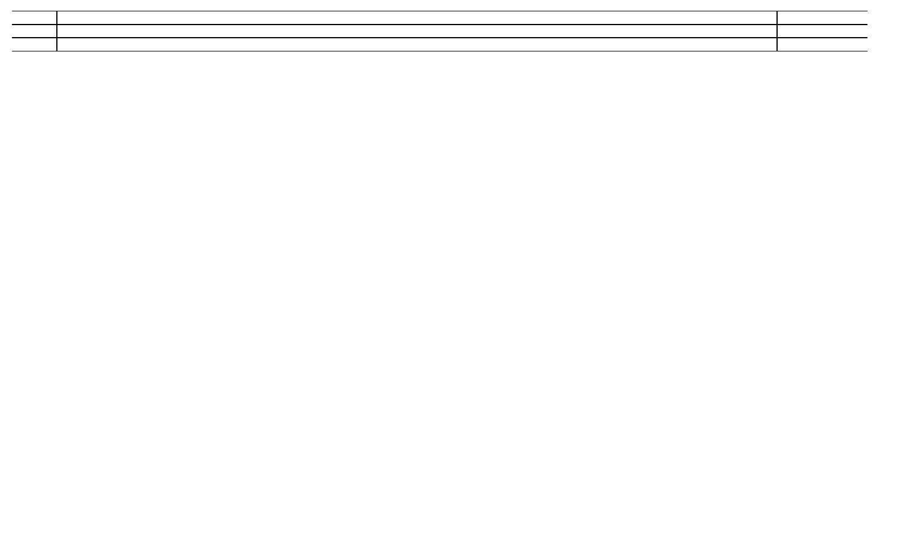| <u>та на представљен под податковата на представљен податковата на представљен податковата на представљен податк</u> |  |
|----------------------------------------------------------------------------------------------------------------------|--|
|                                                                                                                      |  |
| ,一个人都是一个人的人,一个人都是一个人的人,一个人都是一个人的人,一个人都是一个人的人,一个人都是一个人的人,一个人都是一个人的人,一个人都是一个人的人,一个人                                    |  |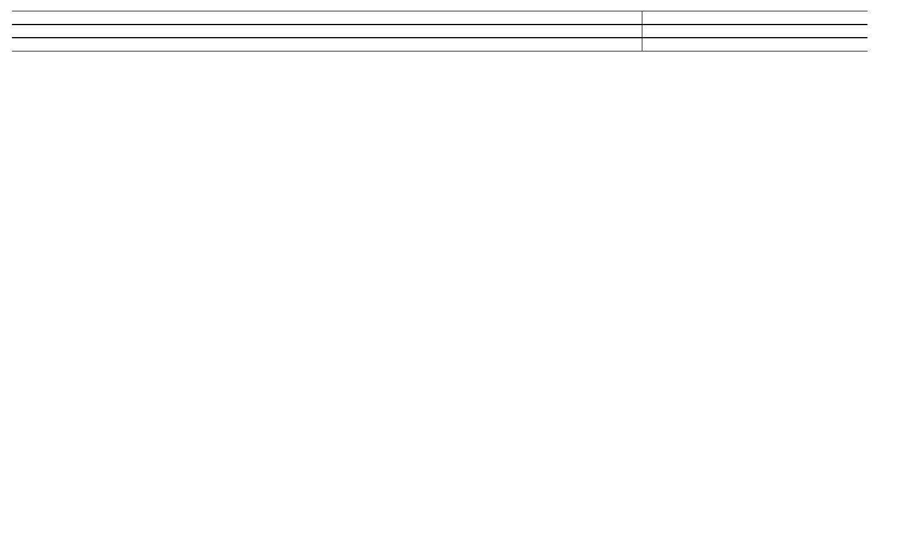| ,一个人都是一个人的人,一个人都是一个人的人,一个人都是一个人的人,一个人都是一个人的人,一个人都是一个人的人,一个人都是一个人的人,一个人都是一个人的人,一个人<br>→ South State State State State State State State State State State State State State State State State State State State State State State State State State State State State State State State State State State State St |  |
|-------------------------------------------------------------------------------------------------------------------------------------------------------------------------------------------------------------------------------------------------------------------------------------------------------------------|--|
| ,一个人的人都是一个人的人,而且,他们的人都是不是一个人的人,而且,他们的人都是不是一个人的人,而且,他们的人都是不是一个人的人,而且,他们的人都是不是一个人的<br>第一百一十一章 一个人的人,他们的人都是不是一个人的人,他们的人都是不是一个人的人,他们的人都是不是一个人的人,他们的人都是不是一个人的人,他们的人都是不是一个                                                                                                                                              |  |
| ,我们也不会不会不会。""我们的,我们也不会不会不会。""我们的,我们也不会不会不会不会不会。""我们的,我们也不会不会不会不会。""我们的,我们也不会不会不会<br>第二百一章 第二百一章 第二百一章 第二百一章 第二百一章 第二百一章 第二百一章 第二百一章 第二百一章 第二百一章 第二百一章 第二百一章 第二百一章 第二                                                                                                                                              |  |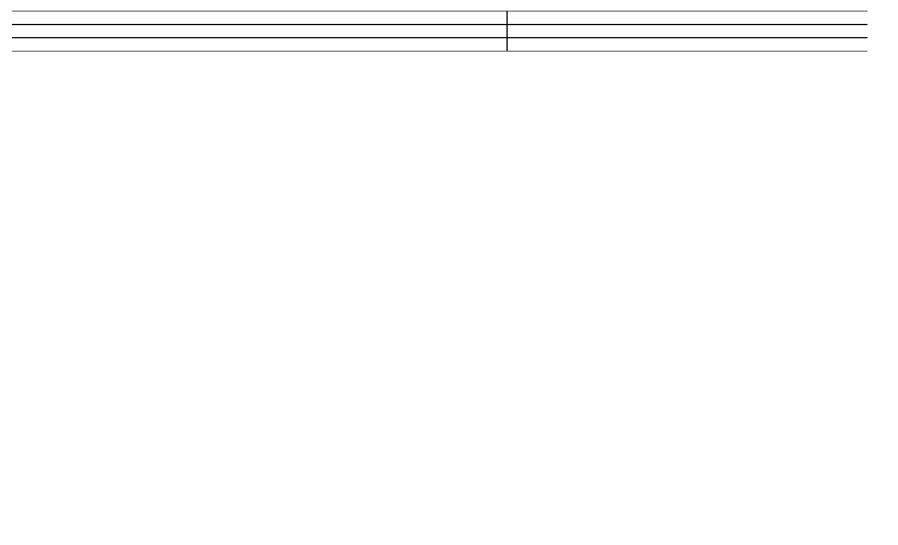| ,一个人都是一个人的人,而且,他们的人都是一个人,而且,他们的人都是一个人,而且,他们的人都是一个人,而且,他们的人都是一个人,而且,他们的人都是一个人,而且,他<br>第二十二章 第二十二章 第二十二章 第二十二章 第二十二章 第二十二章 第二十二章 第二十二章 第二十二章 第二十二章 第二十二章 第二十二章 第二十二章 第二十 |  |
|------------------------------------------------------------------------------------------------------------------------------------------------------------------------|--|
|                                                                                                                                                                        |  |
| ,一个人的人都是一个人的人,而且,他们的人都是一个人的人,而且,他们的人都是一个人的人,而且,他们的人都是一个人的人,而且,他们的人都是一个人的人,而且,他们的人                                                                                      |  |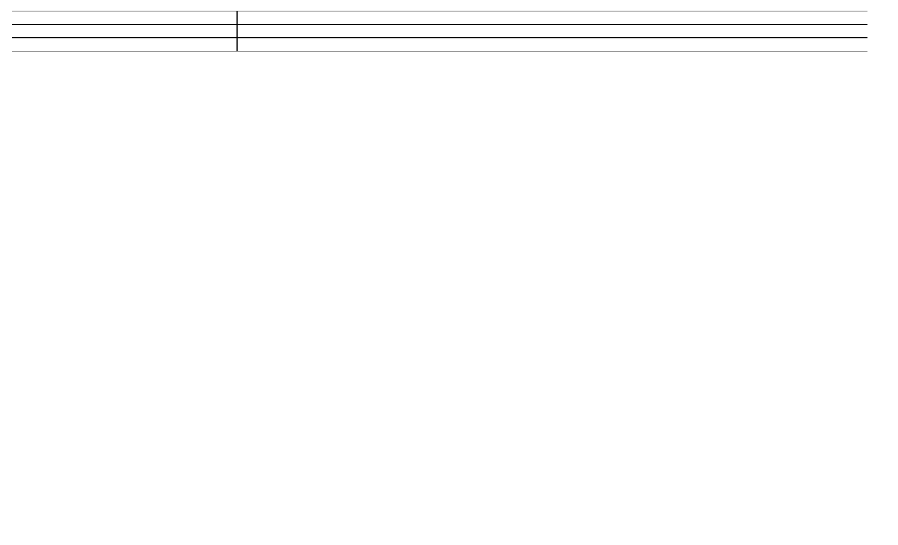| ,我们就会不会不会。""我们,我们也不会不会不会。""我们,我们也不会不会不会不会不会不会。""我们,我们也不会不会不会不会。""我们,我们也不会不会不会不会不  |
|-----------------------------------------------------------------------------------|
| ,一个人都是一个人的人,一个人都是一个人的人,一个人都是一个人的人,一个人都是一个人的人,一个人都是一个人的人,一个人都是一个人的人,一个人都是一个人的人,一个人 |
|                                                                                   |
| ,一个人都是一个人的人,而且,我们也不会不会不会。""我们,我们也不会不会不会不会。""我们,我们也不会不会不会不会。""我们,我们也不会不会不会不会。""我们, |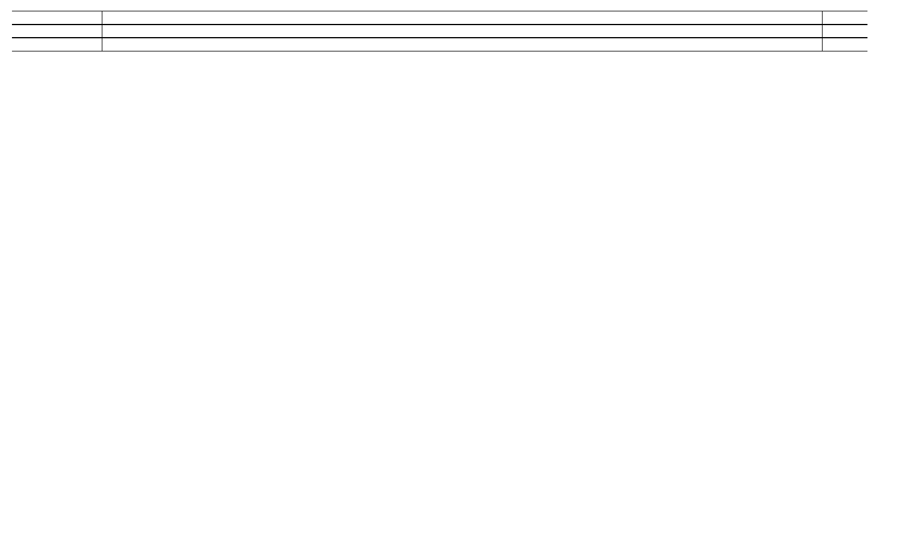| ,一个人都是一个人的人,一个人都是一个人的人,一个人都是一个人的人,一个人都是一个人的人,一个人都是一个人的人,一个人都是一个人的人,一个人都是一个人的人,一个人<br>第二十一章 一个人的人,一个人的人都是一个人的人,一个人的人都是一个人的人,一个人的人都是一个人的人,一个人的人都是一个人的人,一个人的人都是一个人的人,一个人<br>,一个人都是一个人的人,一个人都是一个人的人,一个人都是一个人的人,一个人都是一个人的人,一个人都是一个人的人,一个人都是一个人的人,一个人都是一个人的人,一个人<br>第二十一章 一个人的人,一个人的人都是一个人的人,一个人的人都是一个人的人,一个人的人都是一个人的人,一个人的人都是一个人的人,一个人的人都是一个人的人,一个人 |  |
|------------------------------------------------------------------------------------------------------------------------------------------------------------------------------------------------------------------------------------------------------------------------------------------------------------------------------------------------|--|
| ,一个人的人都是一个人的人,而且,他们的人都是一个人的人,而且,他们的人都是一个人的人,而且,他们的人都是一个人的人,而且,他们的人都是一个人的人,而且,他们的<br>第一百一十一章 一个人的人,他们的人都是一个人的人,他们的人都是一个人的人,他们的人都是一个人的人,他们的人都是一个人的人,他们的人都是一个人的人,他们的人都是                                                                                                                                                                           |  |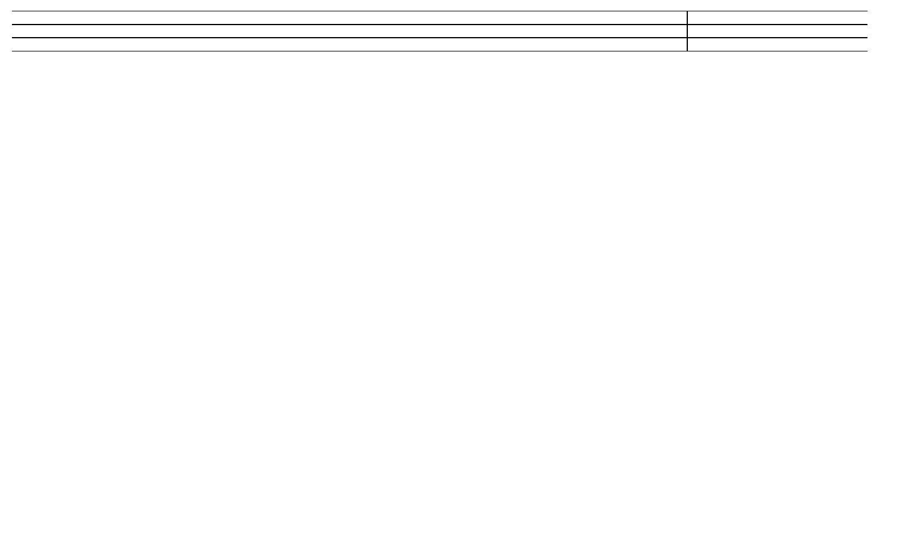| ,我们也不会不会不会。""我们的,我们也不会不会不会。""我们的,我们也不会不会不会不会不会。""我们的,我们也不会不会不会不会。""我们的,我们也不会不会不会  |  |
|-----------------------------------------------------------------------------------|--|
| ,一个人的人都是一个人的人,而且,他们的人都是一个人的人,而且,他们的人都是一个人的人,而且,他们的人都是一个人的人,而且,他们的人都是一个人的人,而且,他们的人 |  |
|                                                                                   |  |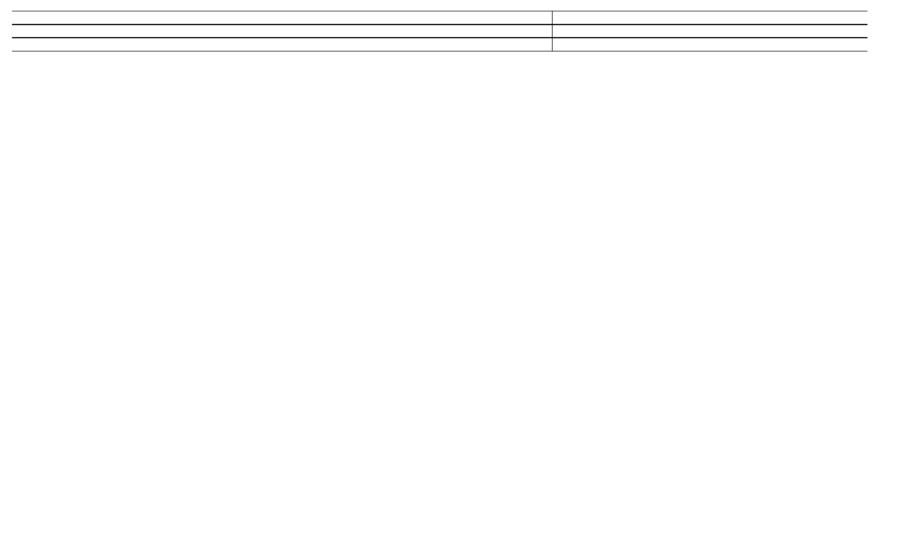| → 中国的 → 中国的 → 中国的 → 中国的 → 中国的 → 中国的 → 中国的 → 中国的 → 中国的 → 中国的 → 中国的 → 中国的 → 中国的 → 中国的 → 中国的 → 中国的 → 中国的 → 中国的 → 中国 |  |
|------------------------------------------------------------------------------------------------------------------|--|
|                                                                                                                  |  |
|                                                                                                                  |  |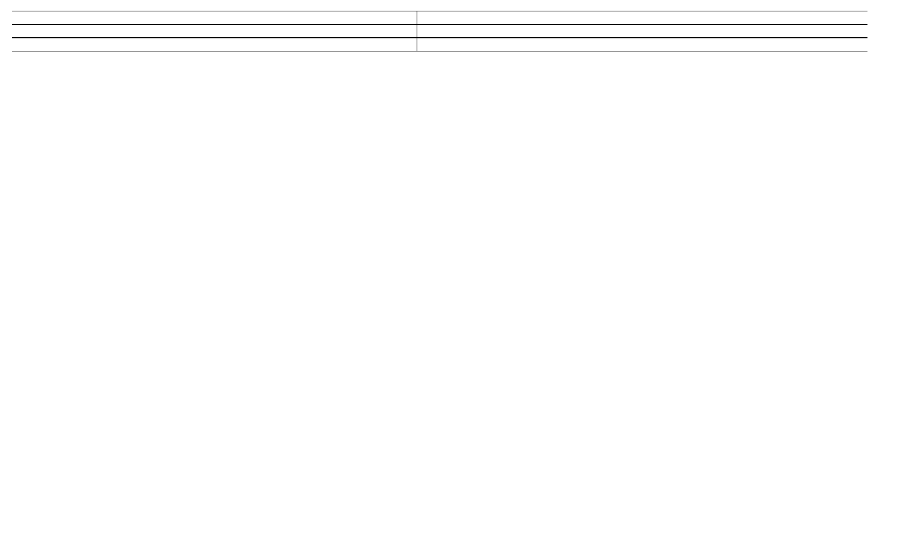| ,我们就会不会不会。""我们,我们就会不会不会不会,我们就会不会不会不会。""我们,我们就会不会不会不会。""我们,我们就会不会不会不会。""我们,我们就会不会 |                                                                                   |
|----------------------------------------------------------------------------------|-----------------------------------------------------------------------------------|
|                                                                                  | ,我们也不会不会不会。""我们的,我们也不会不会不会。""我们的,我们也不会不会不会不会。""我们的,我们也不会不会不会不会。""我们的,我们也不会不会不会不会  |
|                                                                                  | ,我们就会不会不会。""我们,我们就会不会不会,我们就会不会不会,我们就会不会不会。""我们,我们就会不会不会。""我们,我们就会不会不会不会。""我们,我们就会 |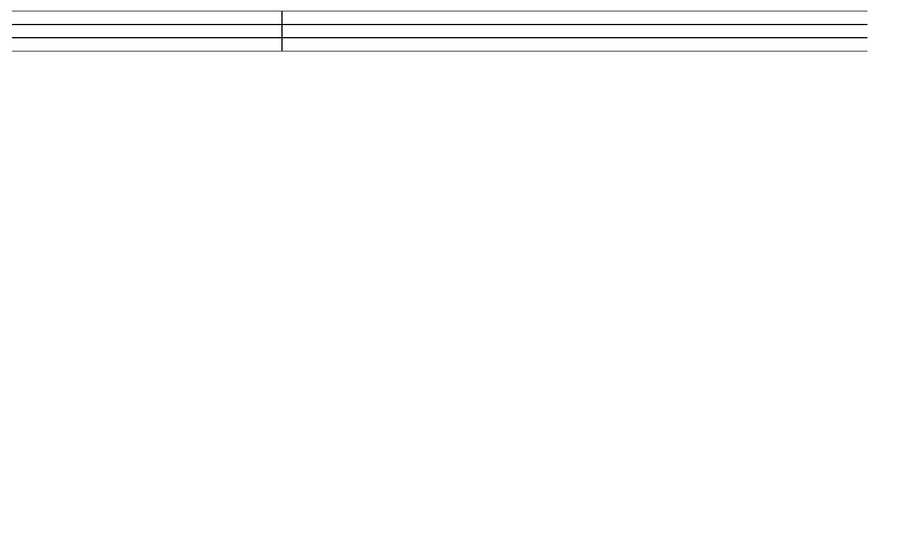| ,他们的人们就会在这里,他们的人们就会在这里,他们的人们就会在这里,他们的人们就会在这里,他们的人们就会在这里,他们的人们就会在这里,他们的人们就会在这里,他们<br>第251章 我们的人们的人们,我们的人们的人们的人们,我们的人们的人们的人们,我们的人们的人们的人们,我们的人们的人们的人们,我们的人们的人们的人们,我们的人们 |
|----------------------------------------------------------------------------------------------------------------------------------------------------------------------|
|                                                                                                                                                                      |
|                                                                                                                                                                      |
|                                                                                                                                                                      |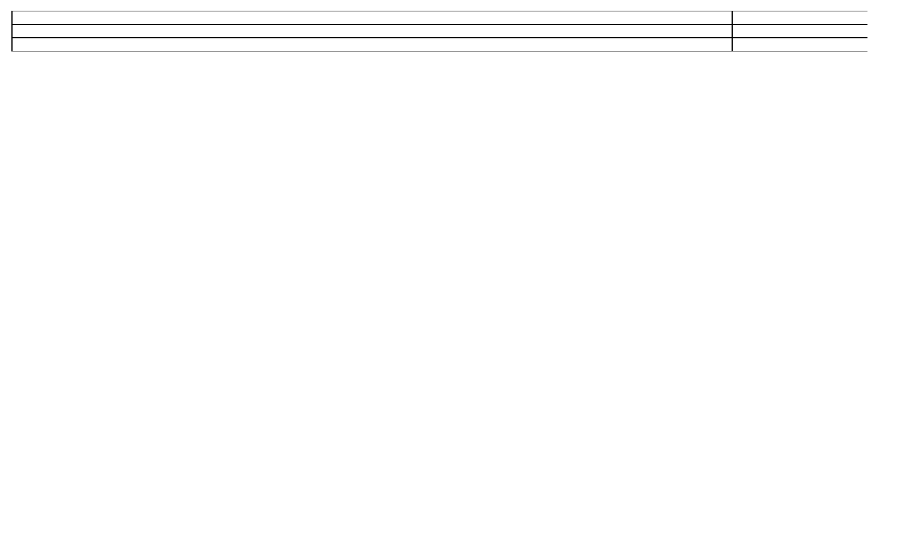| ,他们的人们就是一个人,他们的人们就是一个人,他们的人们,他们的人们就是一个人,他们的人们,他们的人们就是一个人,他们的人们,他们的人们,他们的人们,他们的人们,<br>第25章 我们的人们,他们的人们,他们的人们,他们的人们,他们的人们,他们的人们,他们的人们,他们的人们,他们的人们,他们的人们,他们的人们,他们的人们,他们的 |  |
|-----------------------------------------------------------------------------------------------------------------------------------------------------------------------|--|
| ,一个人都是一个人的人,而且,他们的人都是一个人,而且,他们的人都是一个人,而且,他们的人都是一个人,而且,他们的人都是一个人,而且,他们的人都是一个人,而且,他<br>第二百一十一章 一个人,他们的人都是一个人,他们的人都是一个人,他们的人都是一个人,他们的人都是一个人,他们的人都是一个人,他们的人都是一个人,他们的人都是一个 |  |
| ,一个人都是一个人的人,而且,他们的人都是一个人,他们的人都是一个人,他们的人都是一个人,他们的人都是一个人,他们的人都是一个人,他们的人都是一个人,他们的人都是                                                                                     |  |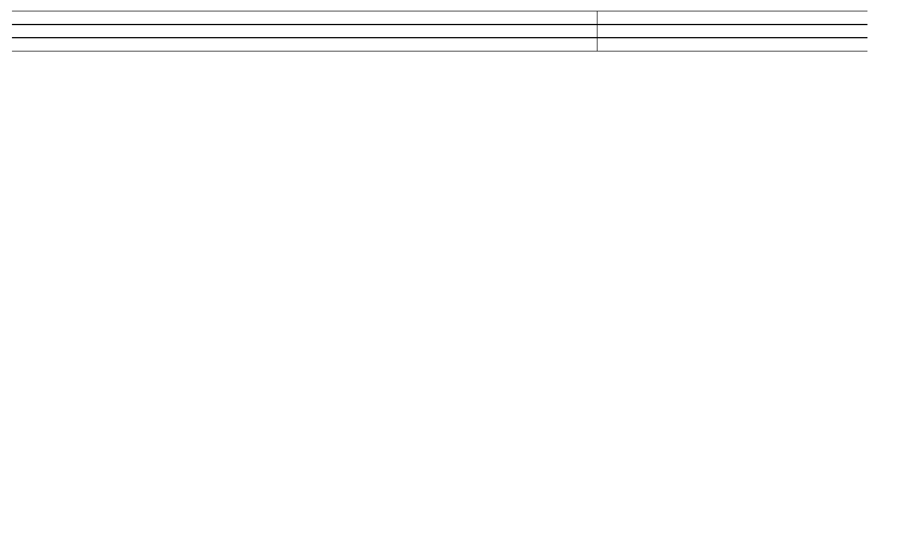| ,一个人都是一个人的人,而且,我们也不会不会不会。""我们,我们也不会不会不会不会不会不会不会不会。""我们,我们也不会不会不会不会不会不会不会不会。""我们,我<br>,他们的人们也不会不会。""我们的人们,我们也不会不会不会。""我们的人们,我们也不会不会不会。""我们的人们,我们也不会不会不会。""我们的人们,我们也不会不 |  |
|-----------------------------------------------------------------------------------------------------------------------------------------------------------------------|--|
| ,我们也不会不会不会。""我们的,我们也不会不会不会。""我们的,我们也不会不会不会不会。""我们的,我们也不会不会不会不会。""我们的,我们也不会不会不会不会                                                                                      |  |
|                                                                                                                                                                       |  |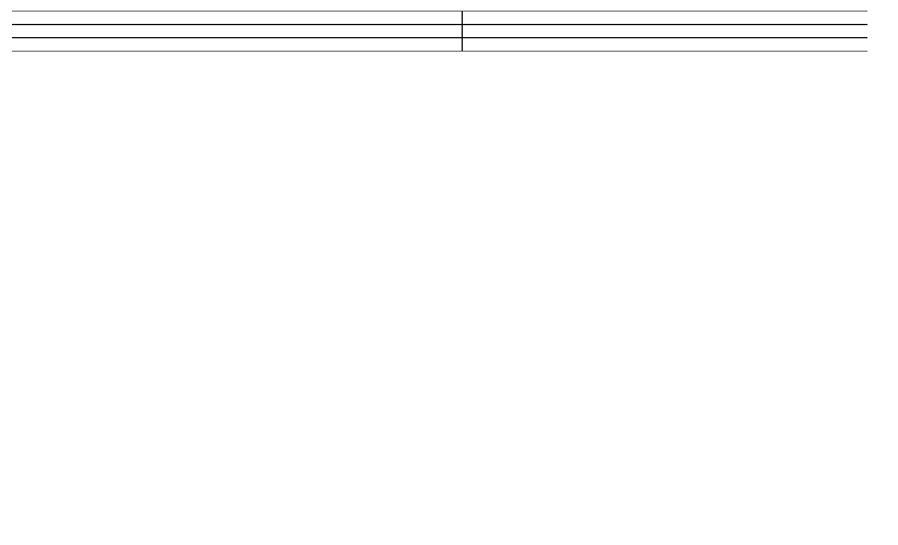| <u> 1980 - Ann an t-Aontaithe ann an t-Aontaithe ann an t-Aontaithe ann an t-Aontaithe ann an t-Aontaithe ann an t-</u> |
|-------------------------------------------------------------------------------------------------------------------------|
|                                                                                                                         |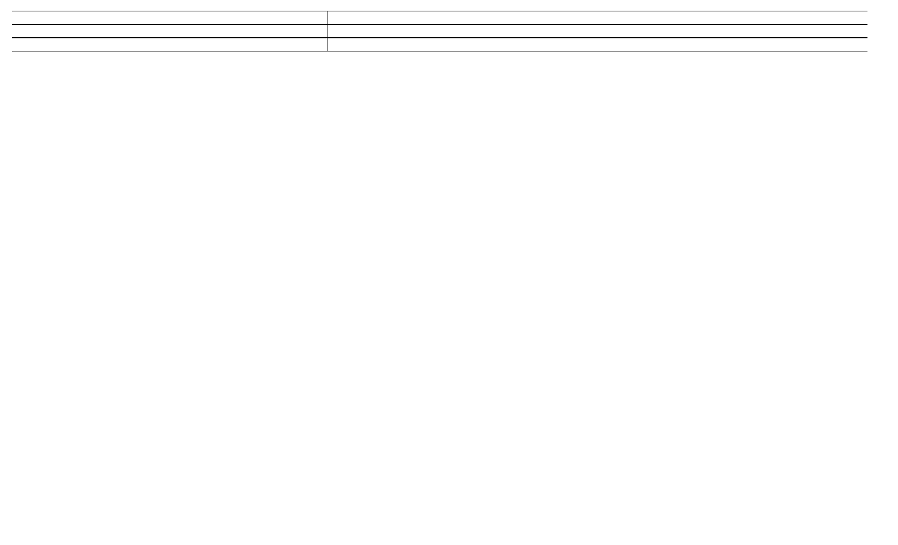| ,一个人都是一个人的人,而且,他们的人都是一个人,而且,他们的人都是一个人,而且,他们的人都是一个人,而且,他们的人都是一个人,而且,他们的人都是一个人,而且,他<br>第二十一章 一个人,他们的人都是一个人,他们的人都是一个人,他们的人都是一个人,他们的人都是一个人,他们的人都是一个人,他们的人都是一个人,他们的人都是一个人, | ,我们也不会不会。""我们的,我们也不会不会。""我们的,我们也不会不会不会。""我们的,我们也不会不会不会。""我们的,我们也不会不会不会。""我们的,我们也 |
|-----------------------------------------------------------------------------------------------------------------------------------------------------------------------|----------------------------------------------------------------------------------|
|                                                                                                                                                                       |                                                                                  |
|                                                                                                                                                                       |                                                                                  |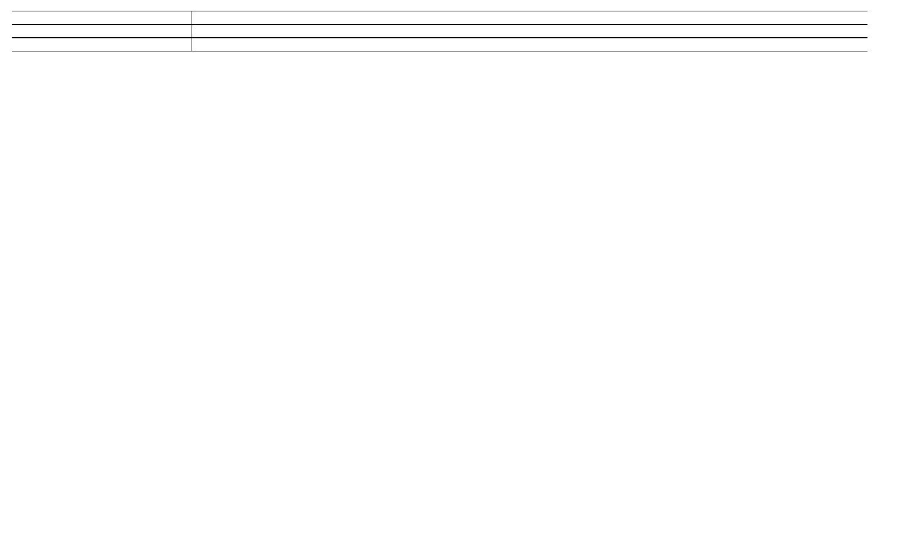| ,一个人的人都是一个人的人,而且,他们的人都是一个人的人,而且,他们的人都是一个人的人,而且,他们的人都是一个人的人,而且,他们的人都是一个人的人,而且,他们的人<br>第一百一十一章 一个人的人,他们的人都是一个人的人,他们的人都是一个人的人,他们的人都是一个人的人,他们的人都是一个人的人,他们的人都是一个人的人,他们的人都是<br>,我们就会不会不会。""我们,我们就会不会不会不会。""我们,我们就会不会不会不会不会不会。""我们,我们就会不会不会不会不会。""我们,我们就会不会不会不会不 |
|-----------------------------------------------------------------------------------------------------------------------------------------------------------------------------------------------------------------------------------------------------------|
| ,一个人都是一个人的人,而且,他们的人都是一个人,而且,他们的人都是一个人,而且,他们的人都是一个人,而且,他们的人都是一个人,而且,他们的人都是一个人,而且,他<br>第二十一章 一个人,他们的人都是一个人,他们的人都是一个人,他们的人都是一个人,他们的人都是一个人,他们的人都是一个人,他们的人都是一个人,他们的人都是一个人,                                                                                     |
|                                                                                                                                                                                                                                                           |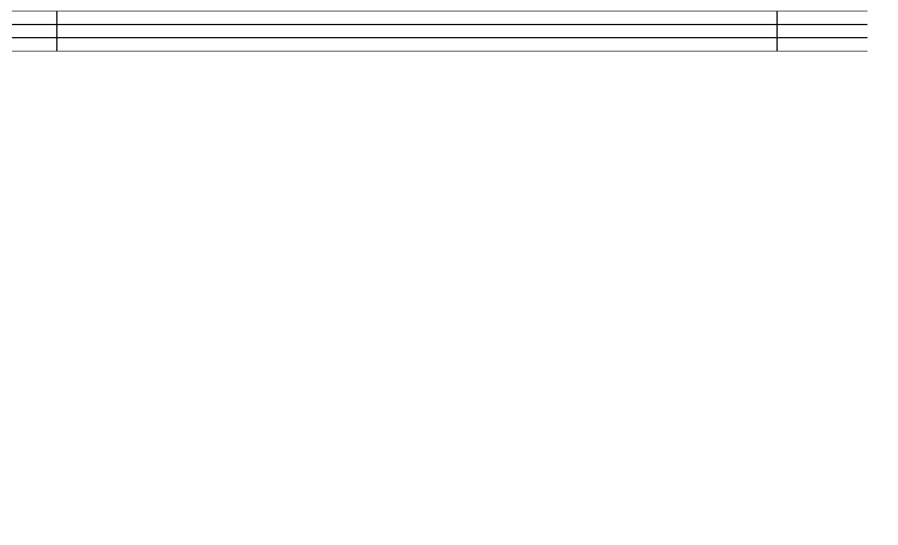| <u>та на представљен под податковата на представљен податковата на представљен податковата на представљен податк</u> |  |
|----------------------------------------------------------------------------------------------------------------------|--|
|                                                                                                                      |  |
| ,一个人都是一个人的人,一个人都是一个人的人,一个人都是一个人的人,一个人都是一个人的人,一个人都是一个人的人,一个人都是一个人的人,一个人都是一个人的人,一个人                                    |  |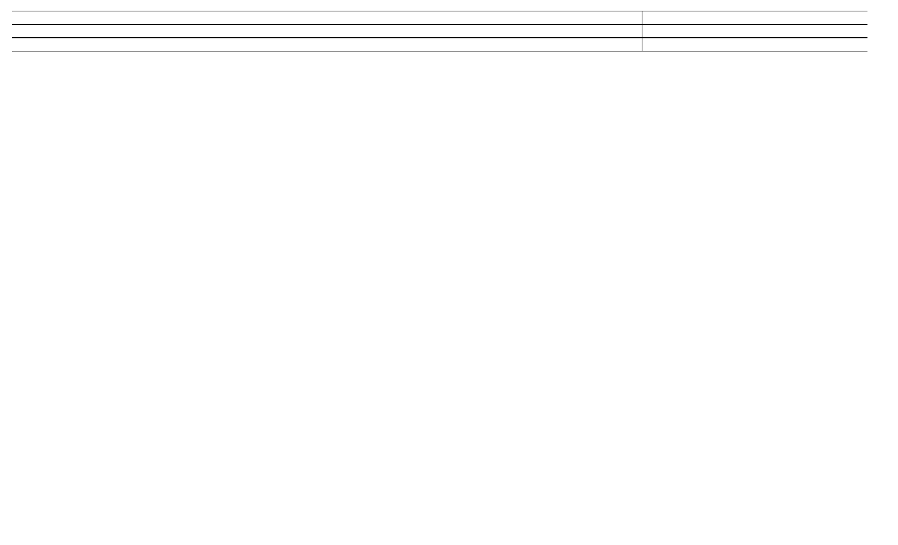| ,一个人都是一个人的人,一个人都是一个人的人,一个人都是一个人的人,一个人都是一个人的人,一个人都是一个人的人,一个人都是一个人的人,一个人都是一个人的人,一个人<br>→ South State State State State State State State State State State State State State State State State State State State State State State State State State State State State State State State State State State State St |  |
|-------------------------------------------------------------------------------------------------------------------------------------------------------------------------------------------------------------------------------------------------------------------------------------------------------------------|--|
| ,一个人的人都是一个人的人,而且,他们的人都是不能的。""我们的人,我们的人都是不能的人,我们的人都是不能的人,我们的人都是不能的人,我们的人都是不能的人,我们的<br>第一百一十一章 一个人的人,我们的人都是不能的人,我们的人都是不能的人,我们的人都是不能的人,我们的人都是不能的人,我们的人都是不能的人,我们的人都是不能的人,                                                                                                                                             |  |
| ,我们也不会不会不会。""我们的,我们也不会不会不会。""我们的,我们也不会不会不会不会不会。""我们的,我们也不会不会不会不会。""我们的,我们也不会不会不会<br>第二百一章 第二百一章 第二百一章 第二百一章 第二百一章 第二百一章 第二百一章 第二百一章 第二百一章 第二百一章 第二百一章 第二百一章 第二百一章 第二                                                                                                                                              |  |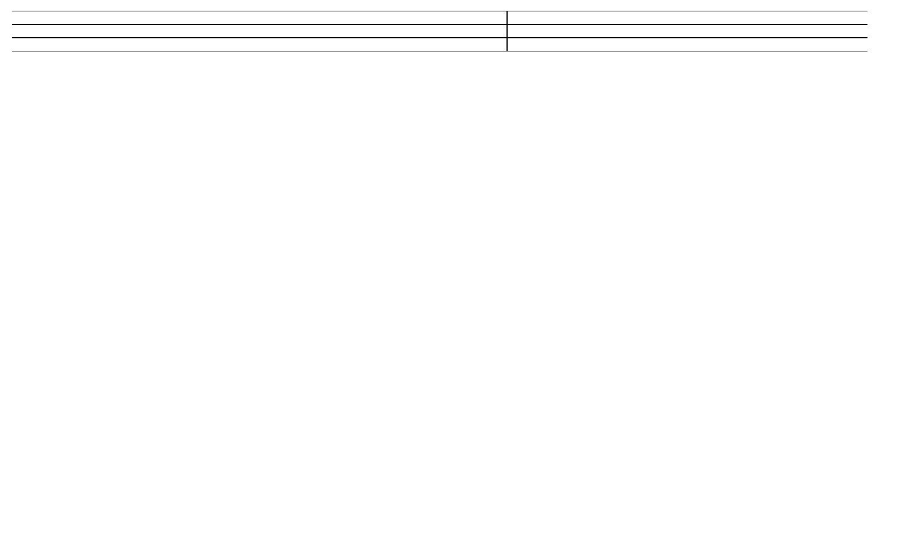| ,一个人都是一个人的人,而且,他们的人都是一个人,而且,他们的人都是一个人,而且,他们的人都是一个人,而且,他们的人都是一个人,而且,他们的人都是一个人,而且,他<br>第二十二章 第二十二章 第二十二章 第二十二章 第二十二章 第二十二章 第二十二章 第二十二章 第二十二章 第二十二章 第二十二章 第二十二章 第二十二章 第二十 |  |
|------------------------------------------------------------------------------------------------------------------------------------------------------------------------|--|
|                                                                                                                                                                        |  |
| ,一个人的人都是一个人的人,而且,他们的人都是一个人的人,而且,他们的人都是一个人的人,而且,他们的人都是一个人的人,而且,他们的人都是一个人的人,而且,他们的人                                                                                      |  |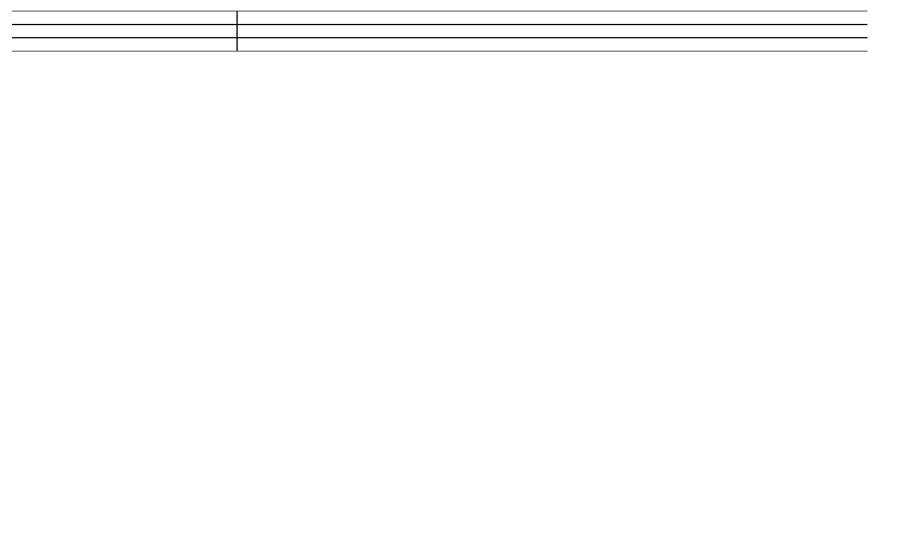| ,我们就会不会不会。""我们,我们也不会不会不会。""我们,我们也不会不会不会不会不会不会。""我们,我们也不会不会不会不会。""我们,我们也不会不会不会不会不  |
|-----------------------------------------------------------------------------------|
| ,一个人都是一个人的人,一个人都是一个人的人,一个人都是一个人的人,一个人都是一个人的人,一个人都是一个人的人,一个人都是一个人的人,一个人都是一个人的人,一个人 |
|                                                                                   |
| ,一个人都是一个人的人,而且,我们也不会不会不会。""我们,我们也不会不会不会不会。""我们,我们也不会不会不会不会。""我们,我们也不会不会不会不会。""我们, |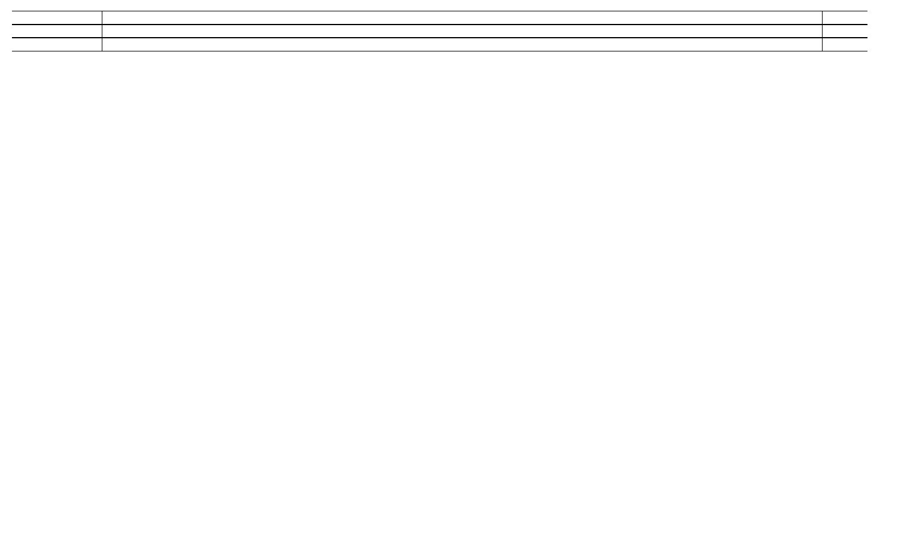| ,一个人都是一个人的人,一个人都是一个人的人,一个人都是一个人的人,一个人都是一个人的人,一个人都是一个人的人,一个人都是一个人的人,一个人都是一个人的人,一个人<br>第二十一章 一个人的人,一个人的人都是一个人的人,一个人的人都是一个人的人,一个人的人都是一个人的人,一个人的人都是一个人的人,一个人的人都是一个人的人,一个人<br>,一个人都是一个人的人,一个人都是一个人的人,一个人都是一个人的人,一个人都是一个人的人,一个人都是一个人的人,一个人都是一个人的人,一个人都是一个人的人,一个人<br>第二十一章 一个人的人,一个人都是一个人的人,一个人都是一个人的人,一个人都是一个人的人,一个人都是一个人的人,一个人都是一个人的人,一个人都是一个人的人,一个 |  |
|------------------------------------------------------------------------------------------------------------------------------------------------------------------------------------------------------------------------------------------------------------------------------------------------------------------------------------------------|--|
| ,一个人的人都是一个人的人,而且,他们的人都是一个人的人,而且,他们的人都是一个人的人,而且,他们的人都是一个人的人,而且,他们的人都是一个人的人,而且,他们的<br>第一百一十一章 一个人的人,他们的人都是一个人的人,他们的人都是一个人的人,他们的人都是一个人的人,他们的人都是一个人的人,他们的人都是一个人的人,他们的人都是                                                                                                                                                                           |  |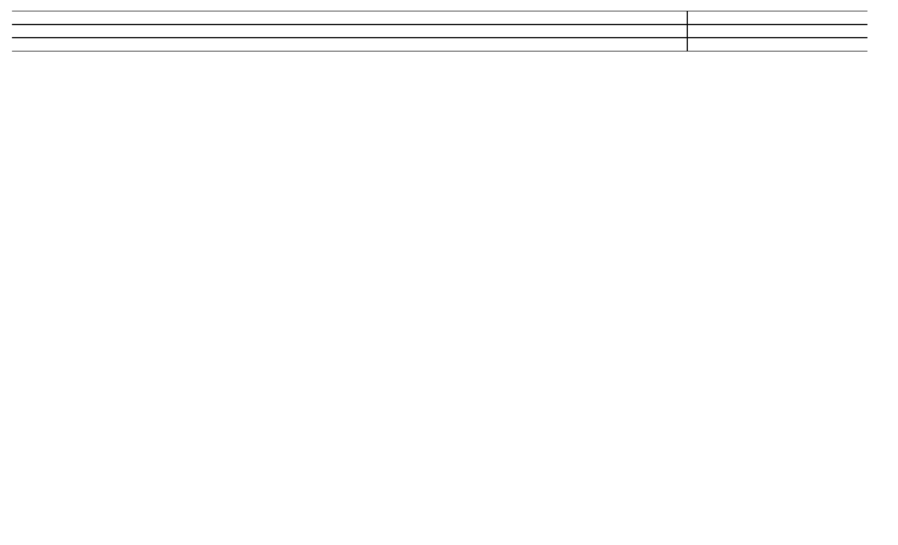| ,我们就会不会不会。""我们,我们也不会不会不会。""我们,我们也不会不会不会不会不会不会不会。""我们,我们也不会不会不会不会不会。""我们,我们也不会不会不 |  |
|----------------------------------------------------------------------------------|--|
| ,一个人的人都是一个人的人,而且,我们也不会不会不会。""我们,我们也不会不会不会不会不会不会。""我们,我们也不会不会不会不会。""我们,我们也不会不会不会不 |  |
|                                                                                  |  |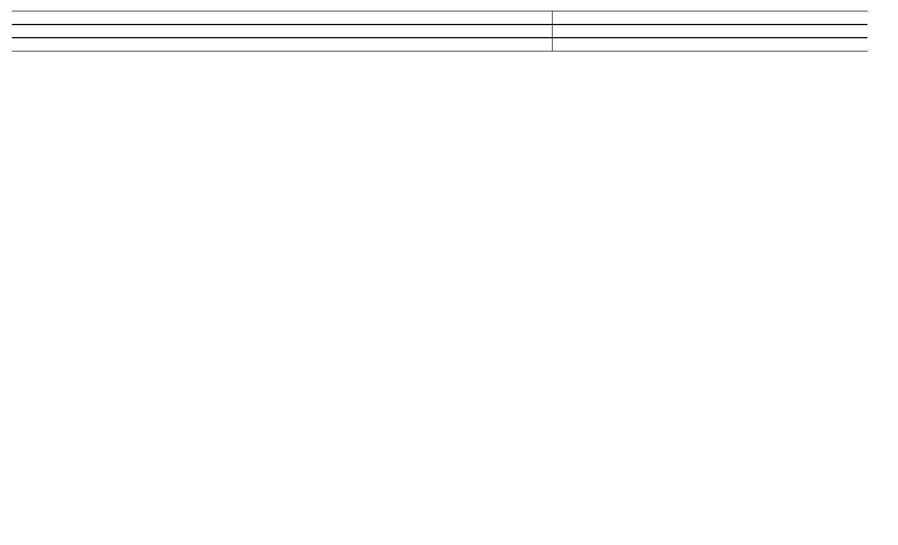| → 中国的 → 中国的 → 中国的 → 中国的 → 中国的 → 中国的 → 中国的 → 中国的 → 中国的 → 中国的 → 中国的 → 中国的 → 中国的 → 中国的 → 中国的 → 中国的 → 中国的 → 中国的 → 中国 |  |
|------------------------------------------------------------------------------------------------------------------|--|
|                                                                                                                  |  |
|                                                                                                                  |  |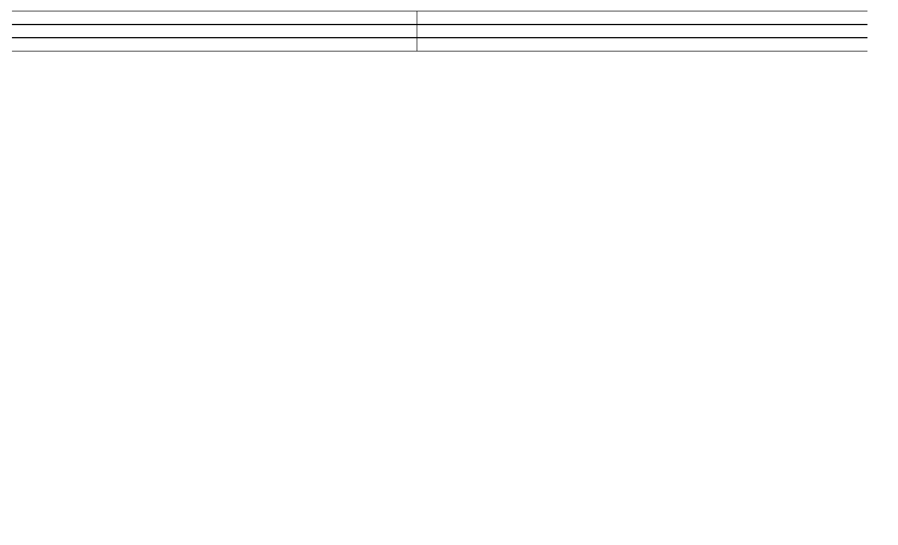| ,我们就会不会不会。""我们,我们就会不会不会不会,我们就会不会不会不会。""我们,我们就会不会不会不会。""我们,我们就会不会不会不会。""我们,我们就会不会 |                                                                                   |
|----------------------------------------------------------------------------------|-----------------------------------------------------------------------------------|
|                                                                                  | ,我们也不会不会不会。""我们的,我们也不会不会不会。""我们的,我们也不会不会不会不会。""我们的,我们也不会不会不会不会。""我们的,我们也不会不会不会不会  |
|                                                                                  | ,我们就会不会不会。""我们,我们就会不会不会,我们就会不会不会,我们就会不会不会。""我们,我们就会不会不会。""我们,我们就会不会不会不会。""我们,我们就会 |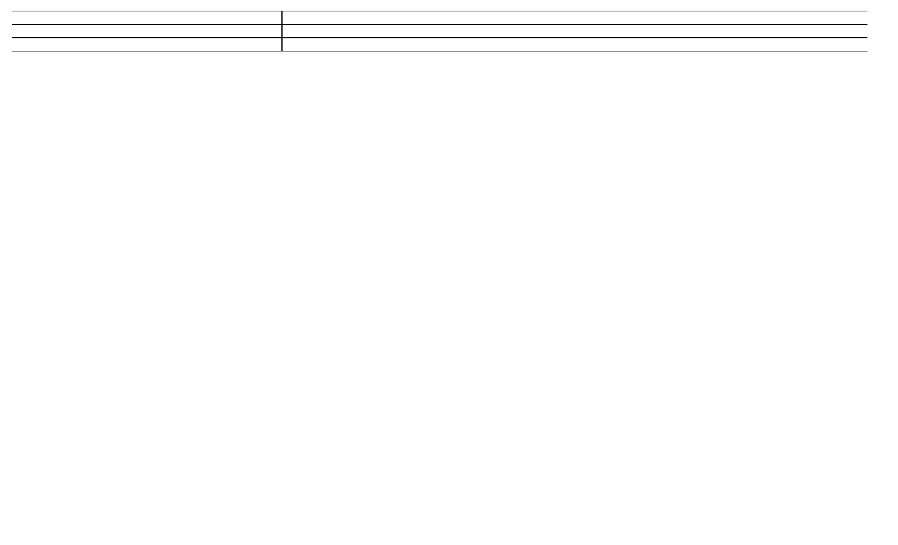| ,一个人都是一个人的人,我们就是一个人的人,我们就是一个人的人,我们就是一个人的人,我们就是一个人的人,我们就是一个人的人,我们就是一个人的人,我们就是一个人的<br>第一百一十一章 一个人的人,我们就是一个人的人,我们就是一个人的人,我们就是一个人的人,我们就是一个人的人,我们就是一个人的人,我们就是一个人的人,我们就是一个 |
|----------------------------------------------------------------------------------------------------------------------------------------------------------------------|
|                                                                                                                                                                      |
|                                                                                                                                                                      |
|                                                                                                                                                                      |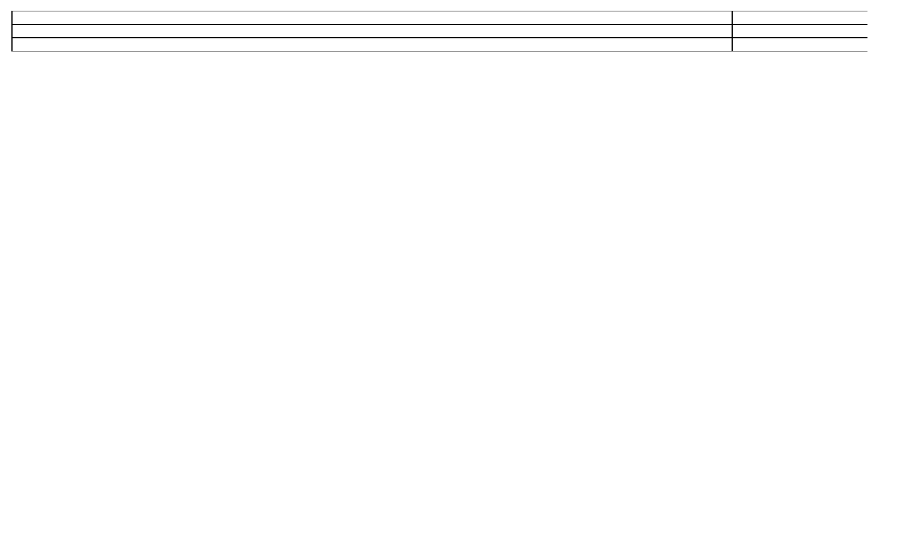| ,他们的人们就是一个人,他们的人们就是一个人,他们的人们,他们的人们就是一个人,他们的人们,他们的人们就是一个人,他们的人们,他们的人们,他们的人们,他们的人们,<br>第25章 我们的人们,他们的人们,他们的人们,他们的人们,他们的人们,他们的人们,他们的人们,他们的人们,他们的人们,他们的人们,他们的人们,他们的人们,他们的 |  |
|-----------------------------------------------------------------------------------------------------------------------------------------------------------------------|--|
| ,一个人都是一个人的人,而且,他们的人都是一个人,而且,他们的人都是一个人,而且,他们的人都是一个人,而且,他们的人都是一个人,而且,他们的人都是一个人,而且,他<br>第二百一十一章 一个人,他们的人都是一个人,他们的人都是一个人,他们的人都是一个人,他们的人都是一个人,他们的人都是一个人,他们的人都是一个人,他们的人都是一个 |  |
| ,一个人都是一个人的人,而且,他们的人都是一个人,他们的人都是一个人,他们的人都是一个人,他们的人都是一个人,他们的人都是一个人,他们的人都是一个人,他们的人都是                                                                                     |  |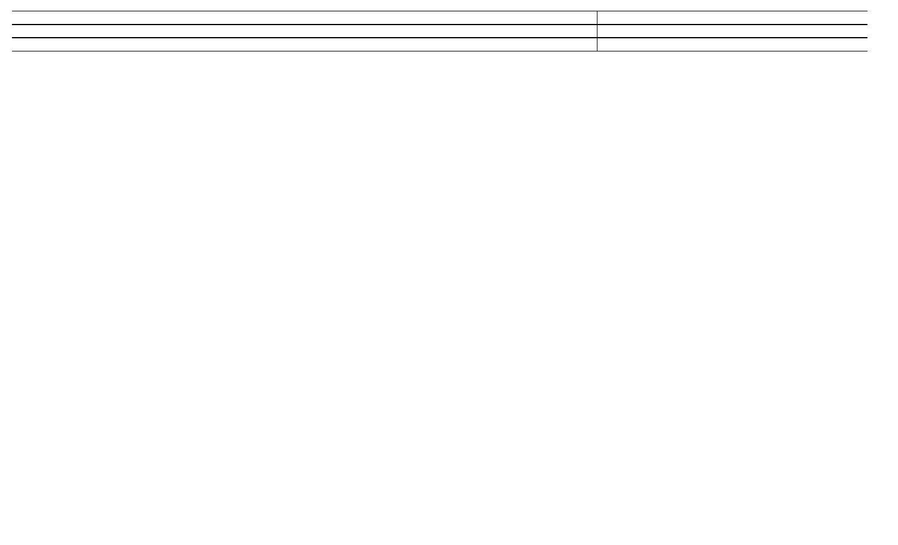| ,一个人都是一个人的人,而且,我们也不会不会不会。""我们,我们也不会不会不会不会不会不会不会不会。""我们,我们也不会不会不会不会不会不会不会不会。""我们,我<br>,他们的人们也不会不会。""我们的人们,我们也不会不会不会。""我们的人们,我们也不会不会不会。""我们的人们,我们也不会不会不会。""我们的人们,我们也不会不 |  |
|-----------------------------------------------------------------------------------------------------------------------------------------------------------------------|--|
| ,我们也不会不会不会。""我们的,我们也不会不会不会。""我们的,我们也不会不会不会不会。""我们的,我们也不会不会不会不会。""我们的,我们也不会不会不会不会                                                                                      |  |
|                                                                                                                                                                       |  |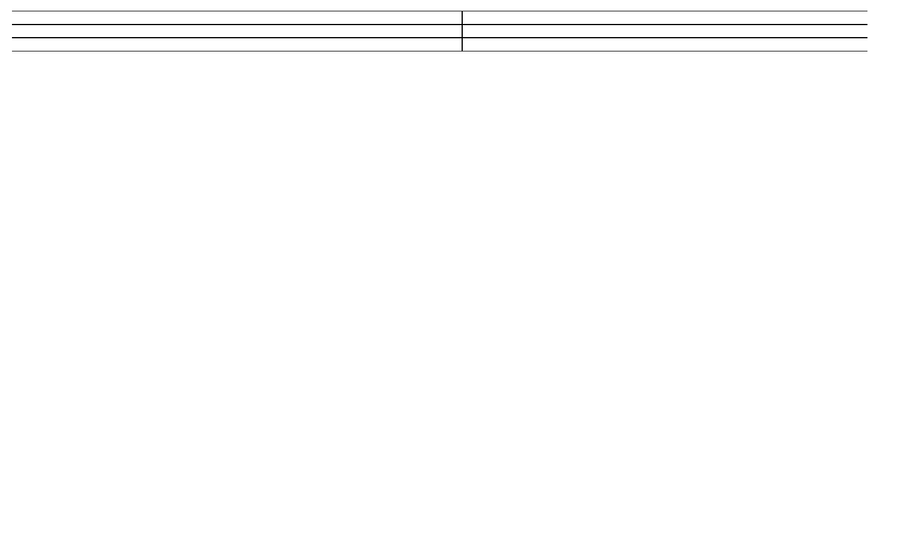| <u> 2001 - An t-An Aontaithe ann an t-Aontaithe ann an t-Aontaithe ann an t-Aontaithe ann an t-Aontaithe ann an t-</u> |
|------------------------------------------------------------------------------------------------------------------------|
|                                                                                                                        |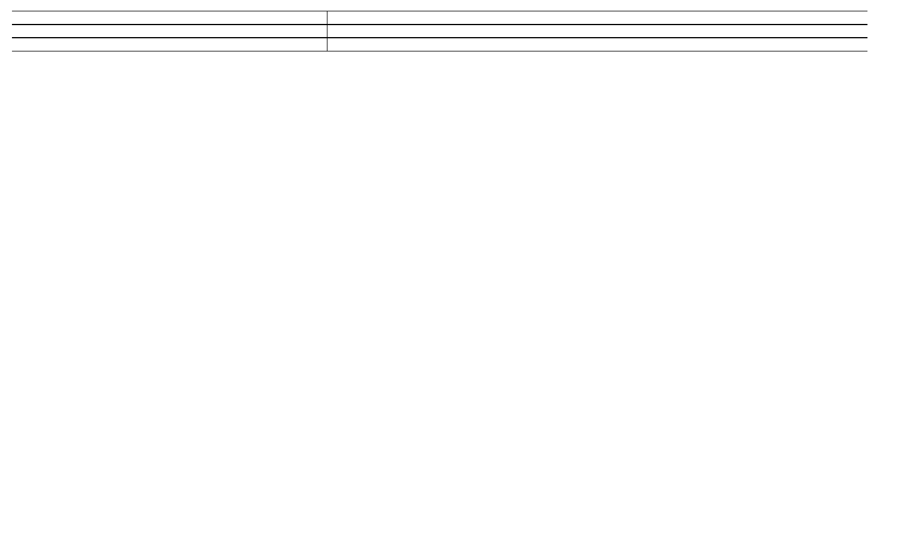| ,一个人都是一个人的人,而且,他们的人都是一个人,而且,他们的人都是一个人,而且,他们的人都是一个人,而且,他们的人都是一个人,而且,他们的人都是一个人,而且,他<br>第二十一章 一个人,他们的人都是一个人,他们的人都是一个人,他们的人都是一个人,他们的人都是一个人,他们的人都是一个人,他们的人都是一个人,他们的人都是一个人, | ,我们也不会不会。""我们的,我们也不会不会。""我们的,我们也不会不会不会。""我们的,我们也不会不会不会。""我们的,我们也不会不会不会。""我们的,我们也 |
|-----------------------------------------------------------------------------------------------------------------------------------------------------------------------|----------------------------------------------------------------------------------|
|                                                                                                                                                                       |                                                                                  |
|                                                                                                                                                                       |                                                                                  |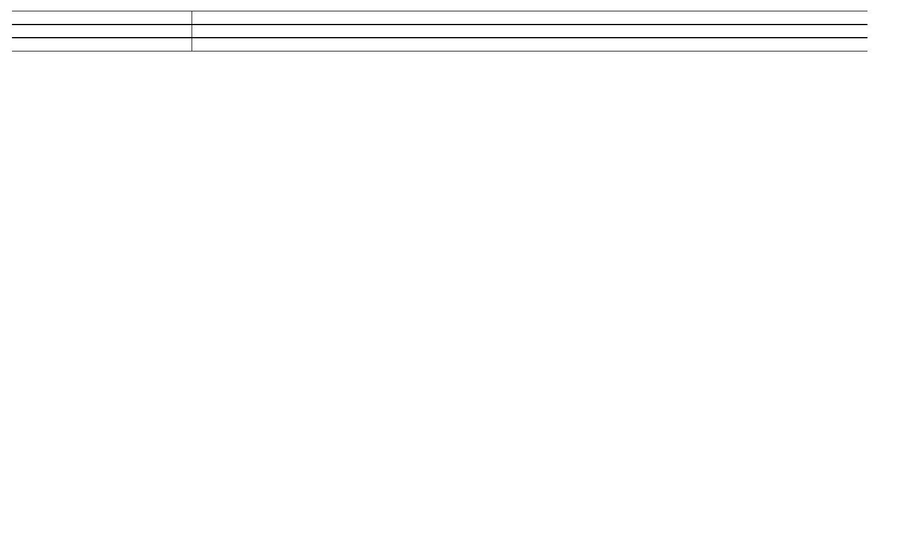| ,一个人的人都是一个人的人,而且,他们的人都是一个人的人,而且,他们的人都是一个人的人,而且,他们的人都是一个人的人,而且,他们的人都是一个人的人,而且,他们的人<br>第一百一十一章 一个人的人,他们的人都是一个人的人,他们的人都是一个人的人,他们的人都是一个人的人,他们的人都是一个人的人,他们的人都是一个人的人,他们的人都是<br>,我们就会不会不会。""我们,我们就会不会不会不会。""我们,我们就会不会不会不会不会不会。""我们,我们就会不会不会不会不会。""我们,我们就会不会不会不会不 |
|-----------------------------------------------------------------------------------------------------------------------------------------------------------------------------------------------------------------------------------------------------------|
| ,一个人都是一个人的人,而且,他们的人都是一个人,而且,他们的人都是一个人,而且,他们的人都是一个人,而且,他们的人都是一个人,而且,他们的人都是一个人,而且,他<br>第二十一章 一个人,他们的人都是一个人,他们的人都是一个人,他们的人都是一个人,他们的人都是一个人,他们的人都是一个人,他们的人都是一个人,他们的人都是一个人,                                                                                     |
|                                                                                                                                                                                                                                                           |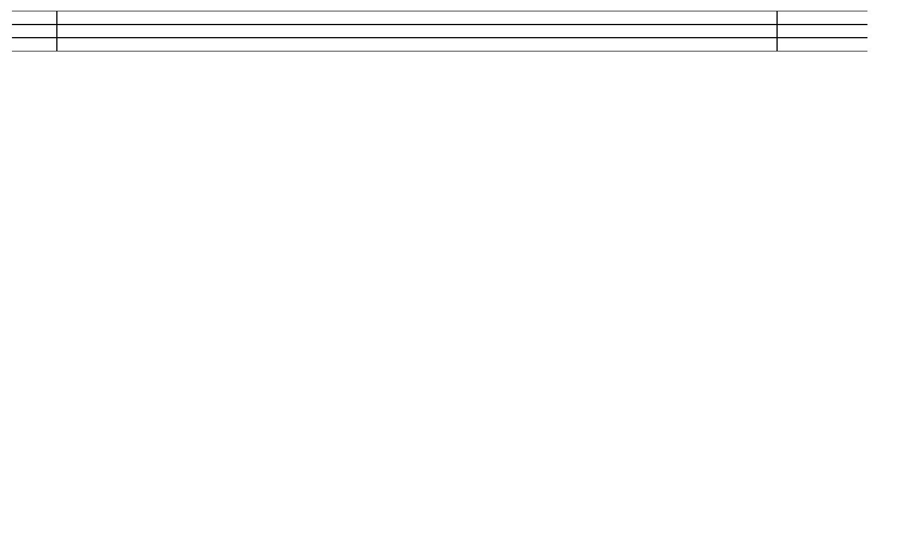| <u>та на представљен под податковата на представљен податковата на представљен податковата на представљен податк</u> |  |
|----------------------------------------------------------------------------------------------------------------------|--|
|                                                                                                                      |  |
| ,一个人都是一个人的人,一个人都是一个人的人,一个人都是一个人的人,一个人都是一个人的人,一个人都是一个人的人,一个人都是一个人的人,一个人都是一个人的人,一个人                                    |  |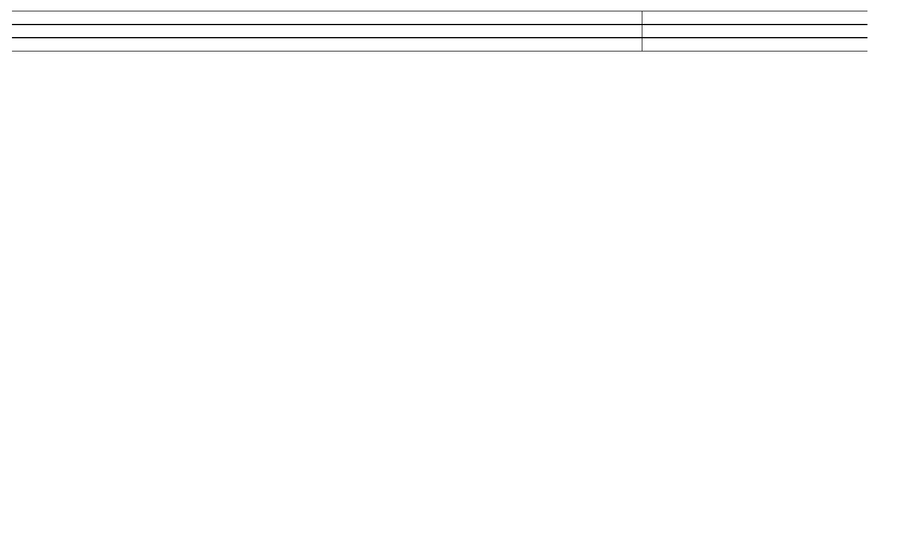| ,一个人都是一个人的人,一个人都是一个人的人,一个人都是一个人的人,一个人都是一个人的人,一个人都是一个人的人,一个人都是一个人的人,一个人都是一个人的人,一个人<br>→ South State State State State State State State State State State State State State State State State State State State State State State State State State State State State State State State State State State State St |  |
|-------------------------------------------------------------------------------------------------------------------------------------------------------------------------------------------------------------------------------------------------------------------------------------------------------------------|--|
| ,一个人的人都是一个人的人,而且,他们的人都是不是一个人的人,而且,他们的人都是不是一个人的人,而且,他们的人都是不是一个人的人,而且,他们的人都是不是一个人的<br>第一百一十一章 一个人的人,他们的人都是不是一个人的人,他们的人都是不是一个人的人,他们的人都是不是一个人的人,他们的人都是不是一个人的人,他们的人都是不是一个                                                                                                                                              |  |
| ,我们也不会不会不会。""我们的,我们也不会不会不会。""我们的,我们也不会不会不会不会不会。""我们的,我们也不会不会不会不会。""我们的,我们也不会不会不会<br>第二百一章 第二百一章 第二百一章 第二百一章 第二百一章 第二百一章 第二百一章 第二百一章 第二百一章 第二百一章 第二百一章 第二百一章 第二百一章 第二                                                                                                                                              |  |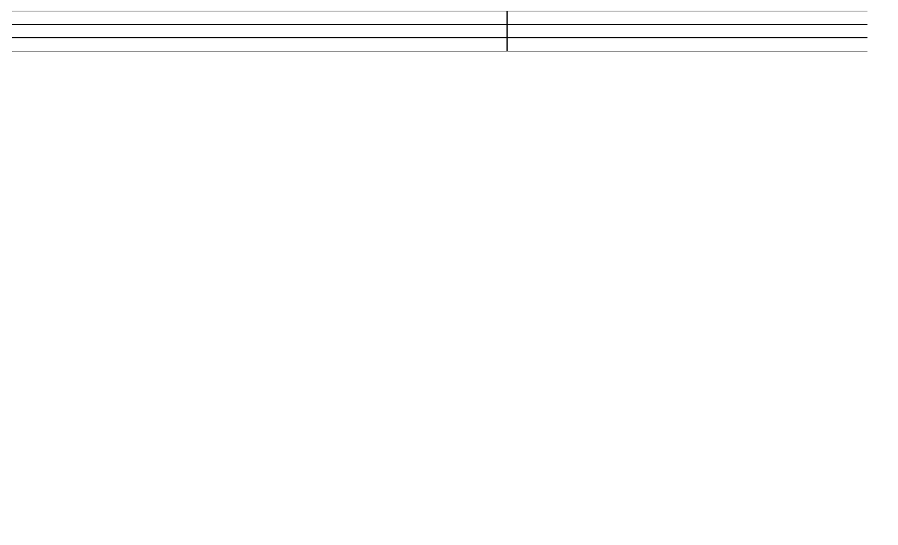| ,一个人都是一个人的人,而且,他们的人都是一个人,而且,他们的人都是一个人,而且,他们的人都是一个人,而且,他们的人都是一个人,而且,他们的人都是一个人,而且,他<br>第二十二章 第二十二章 第二十二章 第二十二章 第二十二章 第二十二章 第二十二章 第二十二章 第二十二章 第二十二章 第二十二章 第二十二章 第二十二章 第二十 |  |
|------------------------------------------------------------------------------------------------------------------------------------------------------------------------|--|
|                                                                                                                                                                        |  |
| ,我们就会不会不会。""我们的,我们也不会不会不会。""我们的,我们也不会不会不会不会不会。""我们的,我们也不会不会不会不会。""我们的,我们也不会不会不会不                                                                                       |  |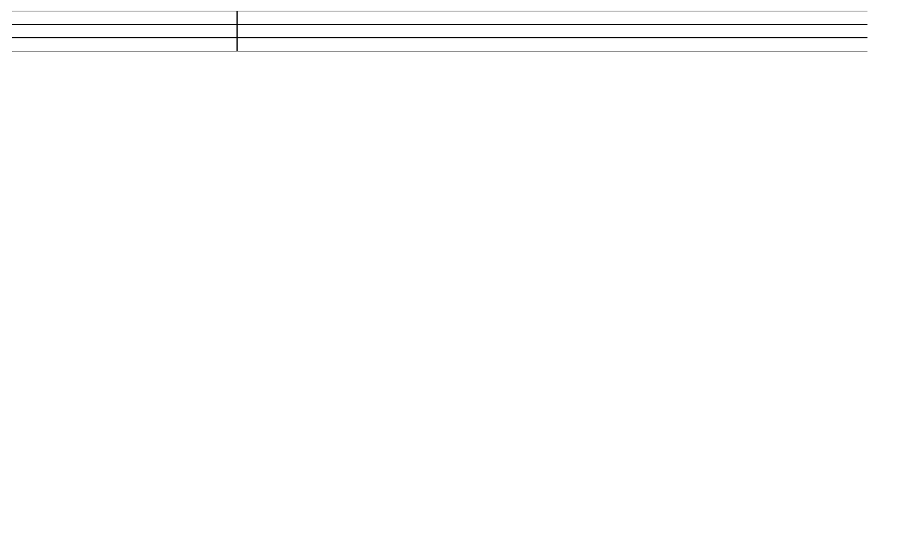| ,我们就会不会不会。""我们,我们也不会不会不会。""我们,我们也不会不会不会不会不会不会。""我们,我们也不会不会不会不会。""我们,我们也不会不会不会不会不  |
|-----------------------------------------------------------------------------------|
| ,一个人都是一个人的人,一个人都是一个人的人,一个人都是一个人的人,一个人都是一个人的人,一个人都是一个人的人,一个人都是一个人的人,一个人都是一个人的人,一个人 |
|                                                                                   |
| ,一个人都是一个人的人,而且,我们也不会不会不会。""我们,我们也不会不会不会不会不会不会不会。""我们,我们也不会不会不会不会不会不会不会不会。""我们,我们  |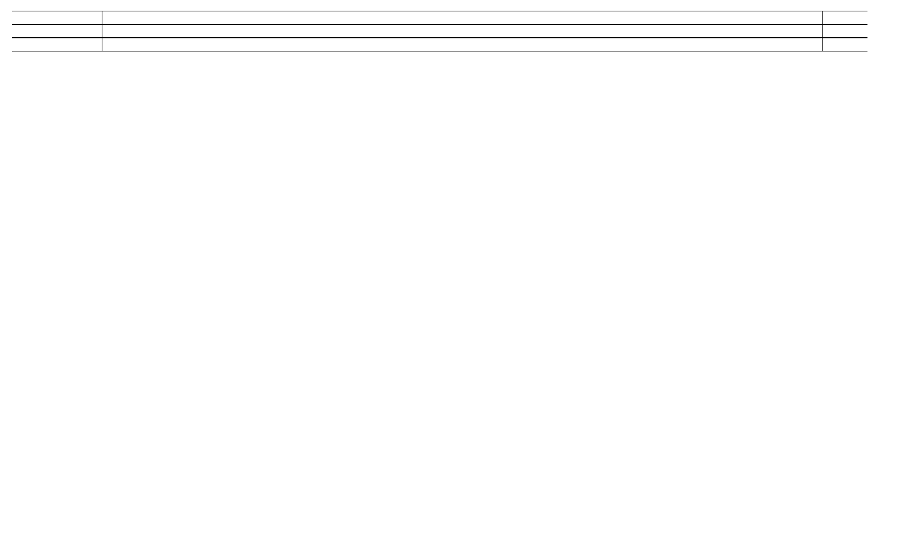| ,一个人都是一个人的人,一个人都是一个人的人,一个人都是一个人的人,一个人都是一个人的人,一个人都是一个人的人,一个人都是一个人的人,一个人都是一个人的人,一个人<br>第二十一章 一个人的人,一个人的人都是一个人的人,一个人的人都是一个人的人,一个人的人都是一个人的人,一个人的人都是一个人的人,一个人的人都是一个人的人,一个人<br>,一个人都是一个人的人,一个人都是一个人的人,一个人都是一个人的人,一个人都是一个人的人,一个人都是一个人的人,一个人都是一个人的人,一个人都是一个人的人,一个人<br>第二十一章 一个人的人,一个人都是一个人的人,一个人都是一个人的人,一个人都是一个人的人,一个人都是一个人的人,一个人都是一个人的人,一个人都是一个人的人,一个 |  |
|------------------------------------------------------------------------------------------------------------------------------------------------------------------------------------------------------------------------------------------------------------------------------------------------------------------------------------------------|--|
| ,一个人的人都是一个人的人,而且,他们的人都是一个人的人,而且,他们的人都是一个人的人,而且,他们的人都是一个人的人,而且,他们的人都是一个人的人,而且,他们的<br>第一百一十一章 一个人的人,他们的人都是一个人的人,他们的人都是一个人的人,他们的人都是一个人的人,他们的人都是一个人的人,他们的人都是一个人的人,他们的人都是                                                                                                                                                                           |  |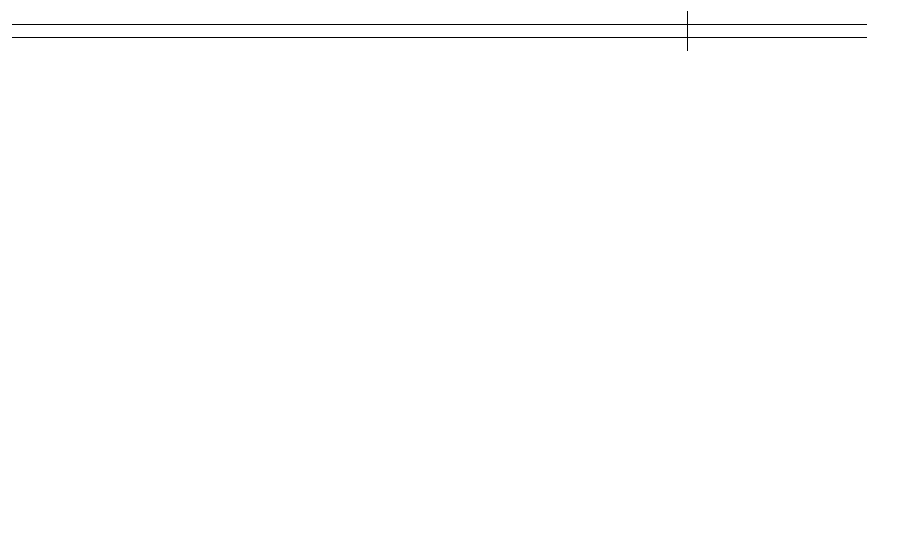| ,我们就会不会不会。""我们,我们也不会不会不会。""我们,我们也不会不会不会不会不会不会不会。""我们,我们也不会不会不会不会不会。""我们,我们也不会不会不 |  |
|----------------------------------------------------------------------------------|--|
| ,一个人的人都是一个人的人,而且,我们也不会不会不会。""我们,我们也不会不会不会不会不会不会。""我们,我们也不会不会不会不会。""我们,我们也不会不会不会不 |  |
|                                                                                  |  |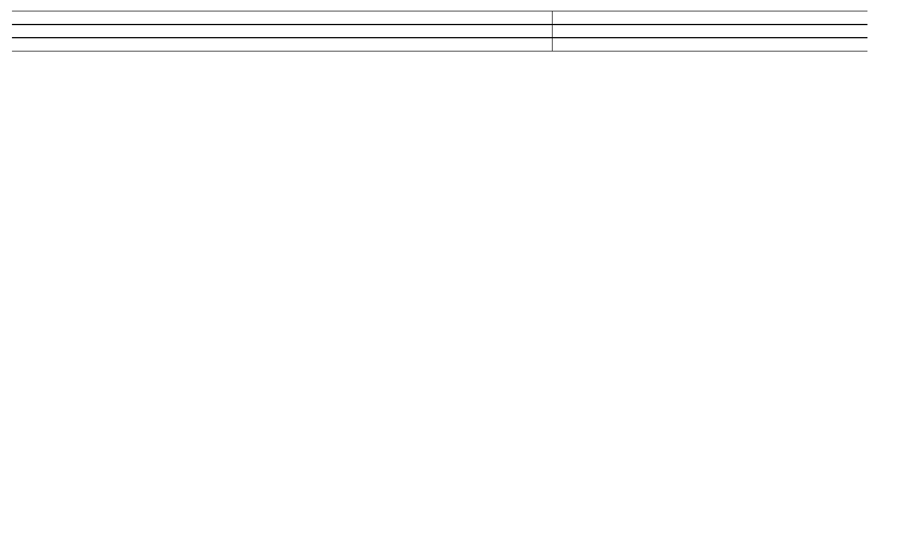| → 中国的 → 中国的 → 中国的 → 中国的 → 中国的 → 中国的 → 中国的 → 中国的 → 中国的 → 中国的 → 中国的 → 中国的 → 中国的 → 中国的 → 中国的 → 中国的 → 中国的 → 中国的 → 中国 |  |
|------------------------------------------------------------------------------------------------------------------|--|
|                                                                                                                  |  |
|                                                                                                                  |  |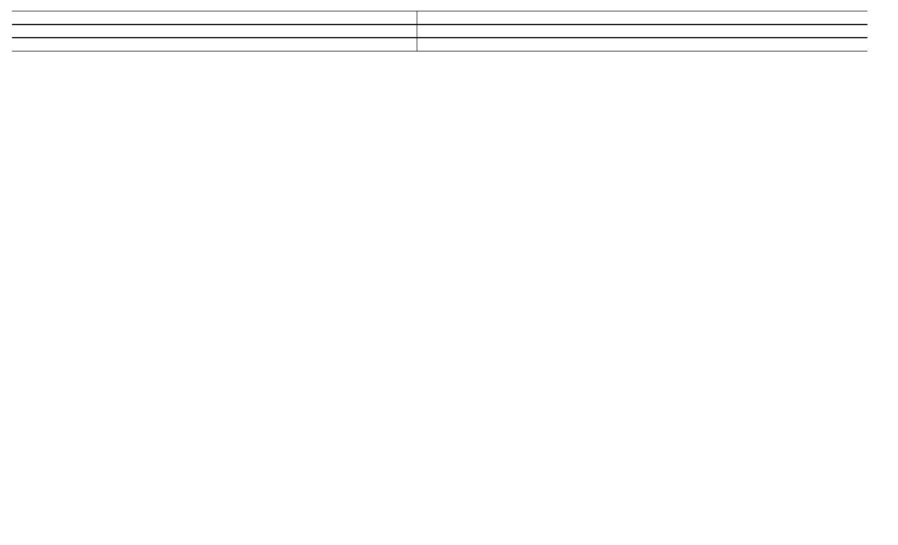| ,我们就会不会不会。""我们,我们就会不会不会不会,我们就会不会不会不会。""我们,我们就会不会不会不会。""我们,我们就会不会不会不会。""我们,我们就会不会 |                                                                                   |
|----------------------------------------------------------------------------------|-----------------------------------------------------------------------------------|
|                                                                                  | ,我们也不会不会不会。""我们的,我们也不会不会不会。""我们的,我们也不会不会不会不会。""我们的,我们也不会不会不会不会。""我们的,我们也不会不会不会不会  |
|                                                                                  | ,我们就会不会不会。""我们,我们就会不会不会,我们就会不会不会,我们就会不会不会。""我们,我们就会不会不会。""我们,我们就会不会不会不会。""我们,我们就会 |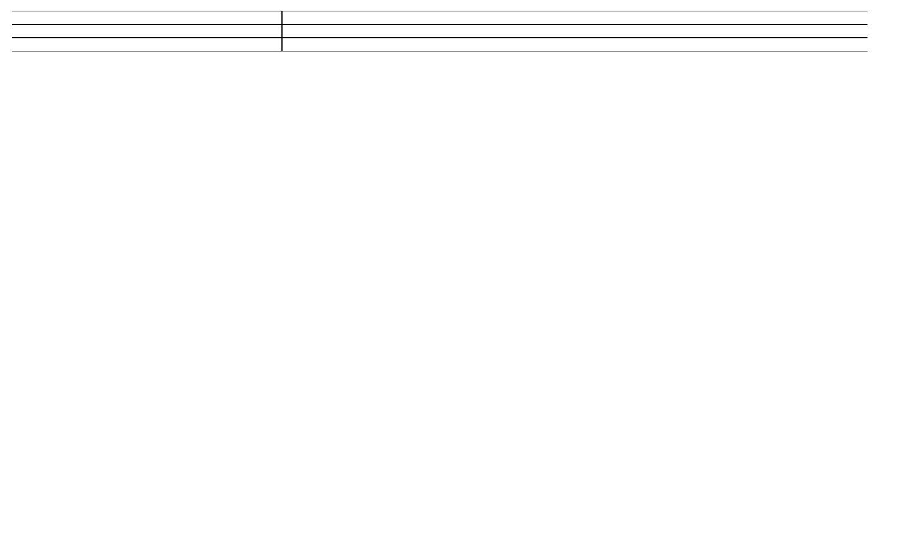| ,一个人都是一个人的人,我们就是一个人的人,我们就是一个人的人,我们就是一个人的人,我们就是一个人的人,我们就是一个人的人,我们就是一个人的人,我们就是一个人的<br>第一百一十一章 一个人的人,我们就是一个人的人,我们就是一个人的人,我们就是一个人的人,我们就是一个人的人,我们就是一个人的人,我们就是一个人的人,我们就是一个 |
|----------------------------------------------------------------------------------------------------------------------------------------------------------------------|
|                                                                                                                                                                      |
|                                                                                                                                                                      |
|                                                                                                                                                                      |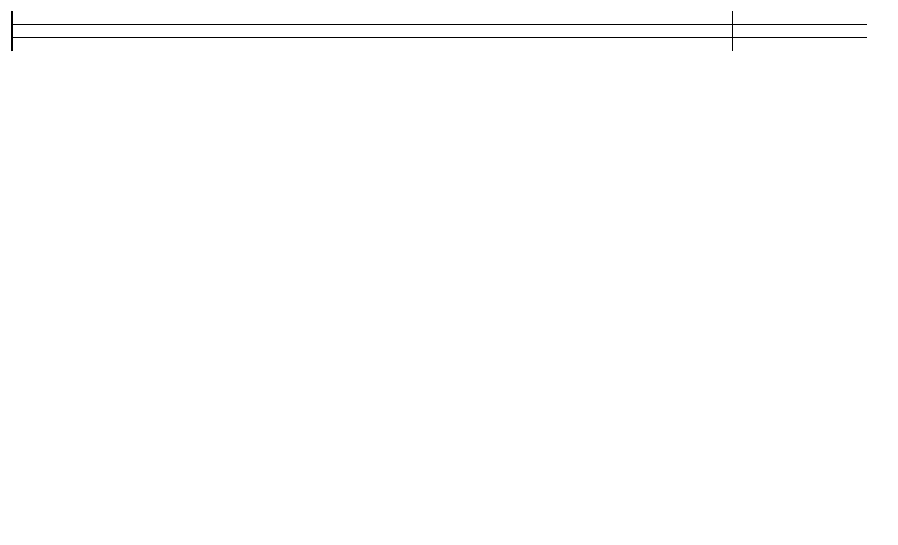| ,他们的人们就是一个人,他们的人们就是一个人,他们的人们,他们的人们就是一个人,他们的人们,他们的人们就是一个人,他们的人们,他们的人们,他们的人们,他们的人们,<br>第25章 我们的人们,他们的人们,他们的人们,他们的人们,他们的人们,他们的人们,他们的人们,他们的人们,他们的人们,他们的人们,他们的人们,他们的人们,他们的 |  |
|-----------------------------------------------------------------------------------------------------------------------------------------------------------------------|--|
| ,一个人都是一个人的人,而且,他们的人都是一个人,而且,他们的人都是一个人,而且,他们的人都是一个人,而且,他们的人都是一个人,而且,他们的人都是一个人,而且,他<br>第二百一十一章 一个人,他们的人都是一个人,他们的人都是一个人,他们的人都是一个人,他们的人都是一个人,他们的人都是一个人,他们的人都是一个人,他们的人都是一个 |  |
| ,一个人都是一个人的人,而且,他们的人都是一个人,他们的人都是一个人,他们的人都是一个人,他们的人都是一个人,他们的人都是一个人,他们的人都是一个人,他们的人都是                                                                                     |  |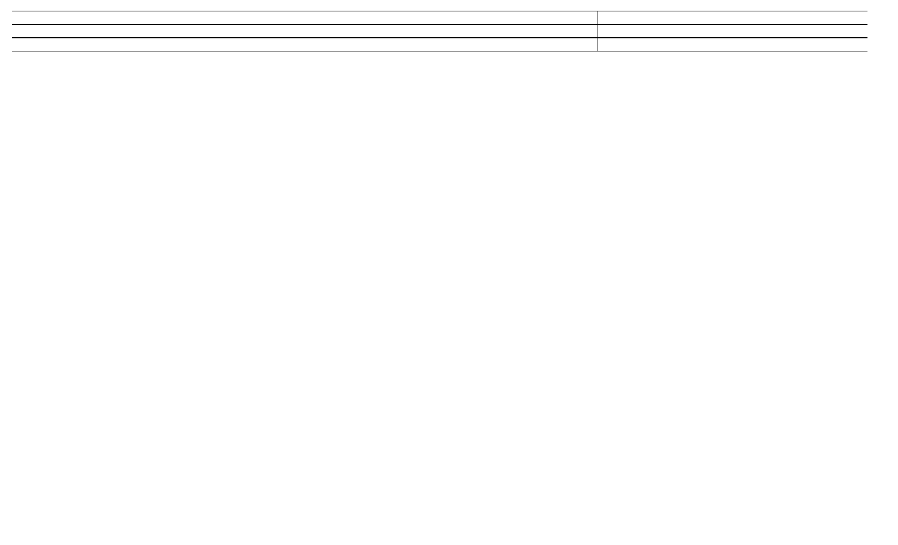| ,一个人都是一个人的人,而且,我们也不会不会不会。""我们,我们也不会不会不会不会不会不会不会不会。""我们,我们也不会不会不会不会不会不会不会不会。""我们,我<br>,他们的人们也不会不会。""我们的人们,我们也不会不会不会。""我们的人们,我们也不会不会不会。""我们的人们,我们也不会不会不会。""我们的人们,我们也不会不 |  |
|-----------------------------------------------------------------------------------------------------------------------------------------------------------------------|--|
| ,我们也不会不会不会。""我们的,我们也不会不会不会。""我们的,我们也不会不会不会不会。""我们的,我们也不会不会不会不会。""我们的,我们也不会不会不会不会                                                                                      |  |
|                                                                                                                                                                       |  |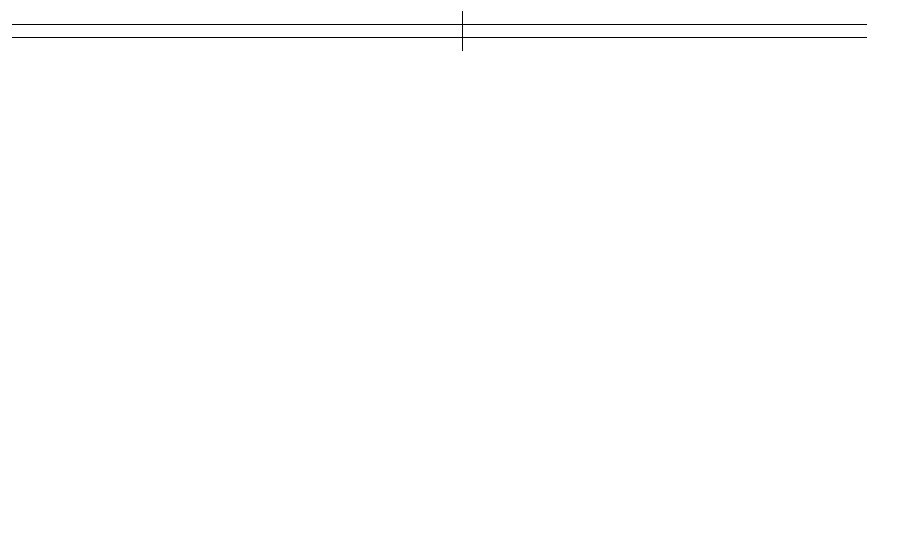| <u> 2001 - An t-An Aontaithe ann an t-Aontaithe ann an t-Aontaithe ann an t-Aontaithe ann an t-Aontaithe ann an t-</u> |
|------------------------------------------------------------------------------------------------------------------------|
|                                                                                                                        |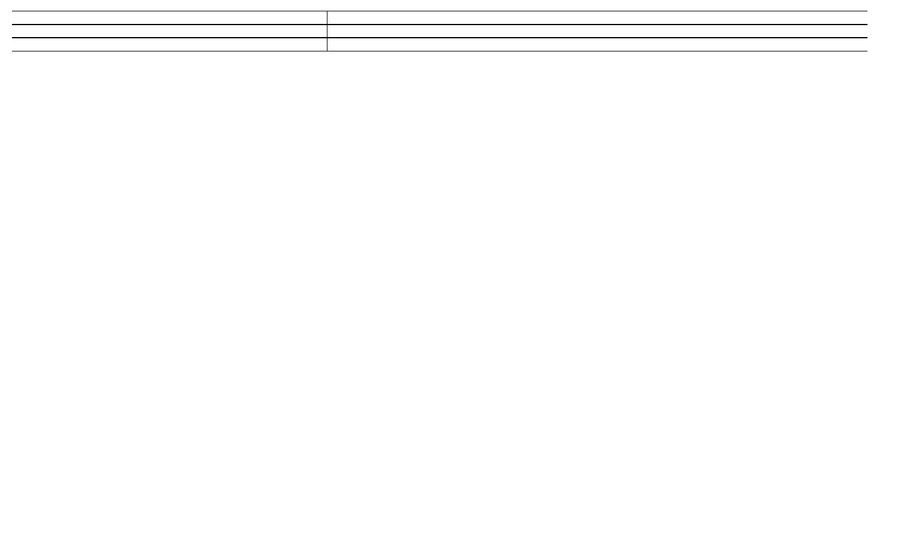| ,一个人都是一个人的人,而且,他们的人都是一个人,而且,他们的人都是一个人,而且,他们的人都是一个人,而且,他们的人都是一个人,而且,他们的人都是一个人,而且,他<br>第二十一章 一个人,他们的人都是一个人,他们的人都是一个人,他们的人都是一个人,他们的人都是一个人,他们的人都是一个人,他们的人都是一个人,他们的人都是一个人, | ,我们也不会不会。""我们的,我们也不会不会。""我们的,我们也不会不会不会。""我们的,我们也不会不会不会。""我们的,我们也不会不会不会。""我们的,我们也 |
|-----------------------------------------------------------------------------------------------------------------------------------------------------------------------|----------------------------------------------------------------------------------|
|                                                                                                                                                                       |                                                                                  |
|                                                                                                                                                                       |                                                                                  |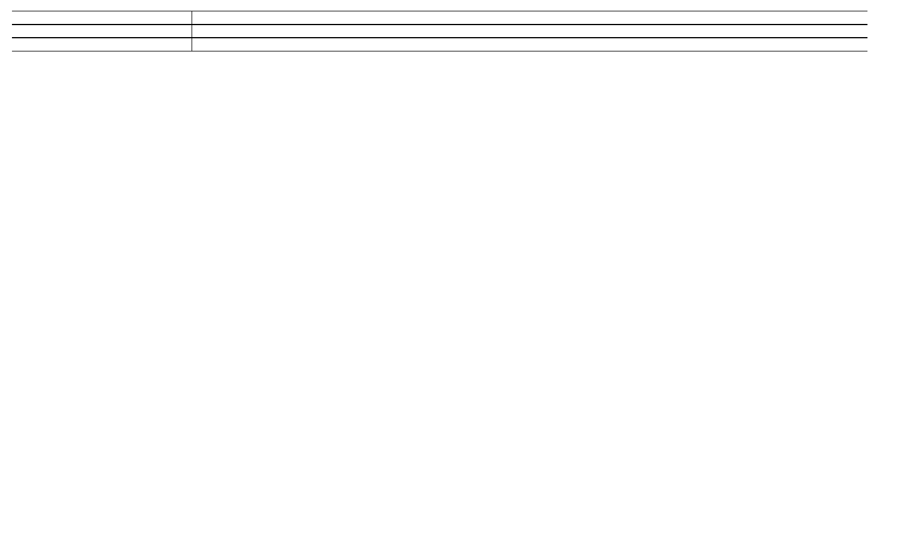| ,一个人的人都是一个人的人,而且,他们的人都是一个人的人,而且,他们的人都是一个人的人,而且,他们的人都是一个人的人,而且,他们的人都是一个人的人,而且,他们的人<br>第一百一十一章 一个人的人,他们的人都是一个人的人,他们的人都是一个人的人,他们的人都是一个人的人,他们的人都是一个人的人,他们的人都是一个人的人,他们的人都是<br>,我们就会不会不会。""我们,我们就会不会不会不会。""我们,我们就会不会不会不会不会不会。""我们,我们就会不会不会不会不会。""我们,我们就会不会不会不会不 |
|-----------------------------------------------------------------------------------------------------------------------------------------------------------------------------------------------------------------------------------------------------------|
| ,一个人都是一个人的人,而且,他们的人都是一个人,而且,他们的人都是一个人,而且,他们的人都是一个人,而且,他们的人都是一个人,而且,他们的人都是一个人,而且,他<br>第二十一章 一个人,他们的人都是一个人,他们的人都是一个人,他们的人都是一个人,他们的人都是一个人,他们的人都是一个人,他们的人都是一个人,他们的人都是一个人,                                                                                     |
|                                                                                                                                                                                                                                                           |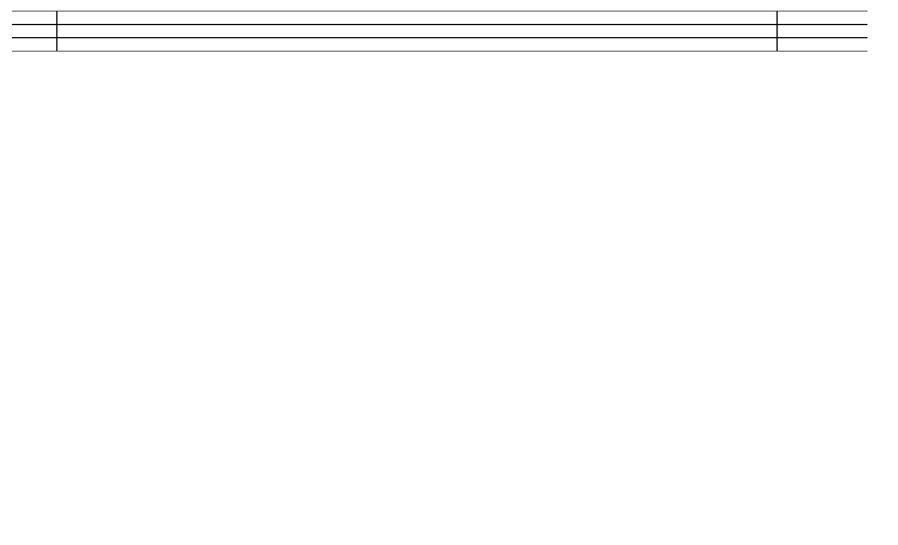| <u>та на представљен под податковата на представљен податковата на представљен податковата на представљен податк</u> |  |
|----------------------------------------------------------------------------------------------------------------------|--|
|                                                                                                                      |  |
| ,一个人都是一个人的人,一个人都是一个人的人,一个人都是一个人的人,一个人都是一个人的人,一个人都是一个人的人,一个人都是一个人的人,一个人都是一个人的人,一个人                                    |  |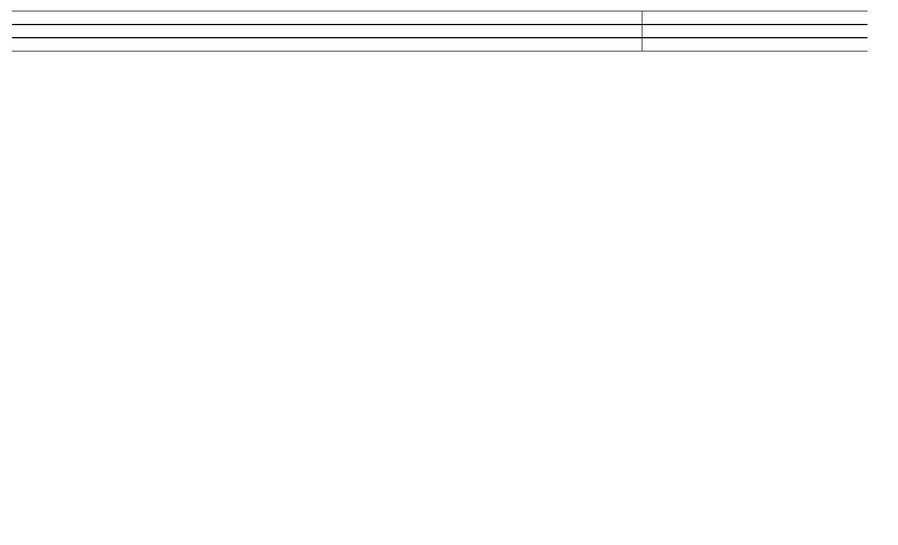| ,一个人都是一个人的人,一个人都是一个人的人,一个人都是一个人的人,一个人都是一个人的人,一个人都是一个人的人,一个人都是一个人的人,一个人都是一个人的人,一个人<br>→ South State State State State State State State State State State State State State State State State State State State State State State State State State State State State State State State State State State State St |  |
|-------------------------------------------------------------------------------------------------------------------------------------------------------------------------------------------------------------------------------------------------------------------------------------------------------------------|--|
| ,一个人的人都是一个人的人,而且,他们的人都是不是一个人的人,而且,他们的人都是不是一个人的人,而且,他们的人都是不是一个人的人,而且,他们的人都是不是一个人的<br>第一百一十一章 一个人的人,他们的人都是不是一个人的人,他们的人都是不是一个人的人,他们的人都是不是一个人的人,他们的人都是不是一个人的人,他们的人都是不是一个                                                                                                                                              |  |
| ,我们也不会不会不会。""我们的,我们也不会不会不会。""我们的,我们也不会不会不会不会不会。""我们的,我们也不会不会不会不会。""我们的,我们也不会不会不会<br>第二百一章 第二百一章 第二百一章 第二百一章 第二百一章 第二百一章 第二百一章 第二百一章 第二百一章 第二百一章 第二百一章 第二百一章 第二百一章 第二                                                                                                                                              |  |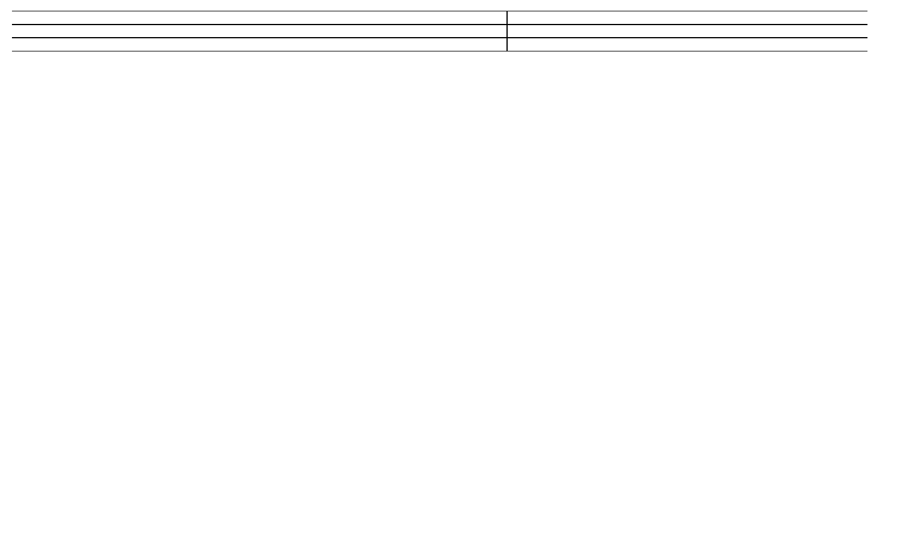| ,一个人都是一个人的人,而且,他们的人都是一个人,而且,他们的人都是一个人,而且,他们的人都是一个人,而且,他们的人都是一个人,而且,他们的人都是一个人,而且,他<br>第二十二章 第二十二章 第二十二章 第二十二章 第二十二章 第二十二章 第二十二章 第二十二章 第二十二章 第二十二章 第二十二章 第二十二章 第二十二章 第二十 |  |
|------------------------------------------------------------------------------------------------------------------------------------------------------------------------|--|
|                                                                                                                                                                        |  |
| ,我们就会不会不会。""我们的,我们也不会不会不会。""我们的,我们也不会不会不会不会不会。""我们的,我们也不会不会不会不会。""我们的,我们也不会不会不会不                                                                                       |  |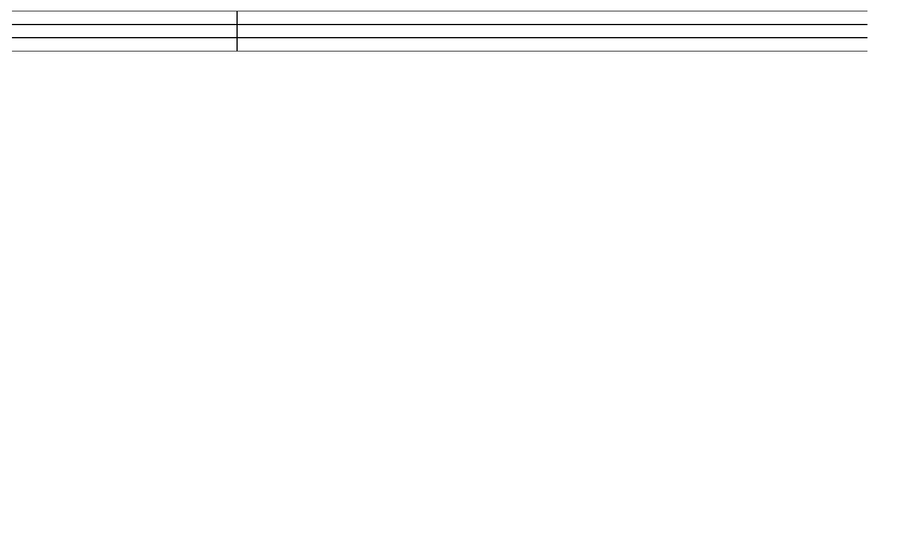| ,我们就会不会不会。""我们,我们也不会不会不会。""我们,我们也不会不会不会不会不会不会。""我们,我们也不会不会不会不会。""我们,我们也不会不会不会不会不  |
|-----------------------------------------------------------------------------------|
| ,一个人都是一个人的人,一个人都是一个人的人,一个人都是一个人的人,一个人都是一个人的人,一个人都是一个人的人,一个人都是一个人的人,一个人都是一个人的人,一个人 |
|                                                                                   |
| ,一个人都是一个人的人,而且,我们也不会不会不会。""我们,我们也不会不会不会不会不会不会不会。""我们,我们也不会不会不会不会不会不会不会不会。""我们,我们  |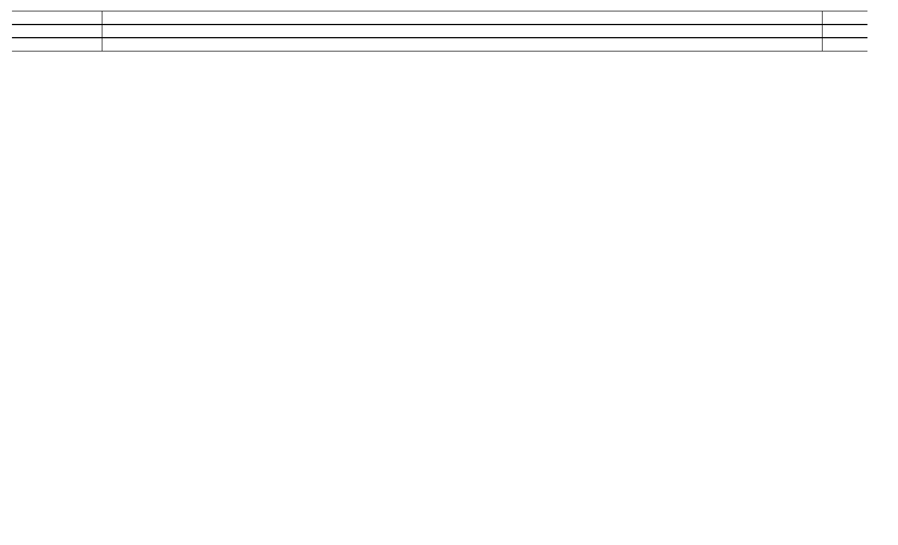| ,一个人都是一个人的人,一个人都是一个人的人,一个人都是一个人的人,一个人都是一个人的人,一个人都是一个人的人,一个人都是一个人的人,一个人都是一个人的人,一个人<br>第二十一章 一个人的人,一个人的人都是一个人的人,一个人的人都是一个人的人,一个人的人都是一个人的人,一个人的人都是一个人的人,一个人的人都是一个人的人,一个人<br>,一个人都是一个人的人,一个人都是一个人的人,一个人都是一个人的人,一个人都是一个人的人,一个人都是一个人的人,一个人都是一个人的人,一个人都是一个人的人,一个人<br>第二十一章 一个人的人,一个人都是一个人的人,一个人都是一个人的人,一个人都是一个人的人,一个人都是一个人的人,一个人都是一个人的人,一个人都是一个人的人,一个 |  |
|------------------------------------------------------------------------------------------------------------------------------------------------------------------------------------------------------------------------------------------------------------------------------------------------------------------------------------------------|--|
| ,一个人的人都是一个人的人,而且,他们的人都是一个人的人,而且,他们的人都是一个人的人,而且,他们的人都是一个人的人,而且,他们的人都是一个人的人,而且,他们的<br>第一百一十一章 一个人的人,他们的人都是一个人的人,他们的人都是一个人的人,他们的人都是一个人的人,他们的人都是一个人的人,他们的人都是一个人的人,他们的人都是                                                                                                                                                                           |  |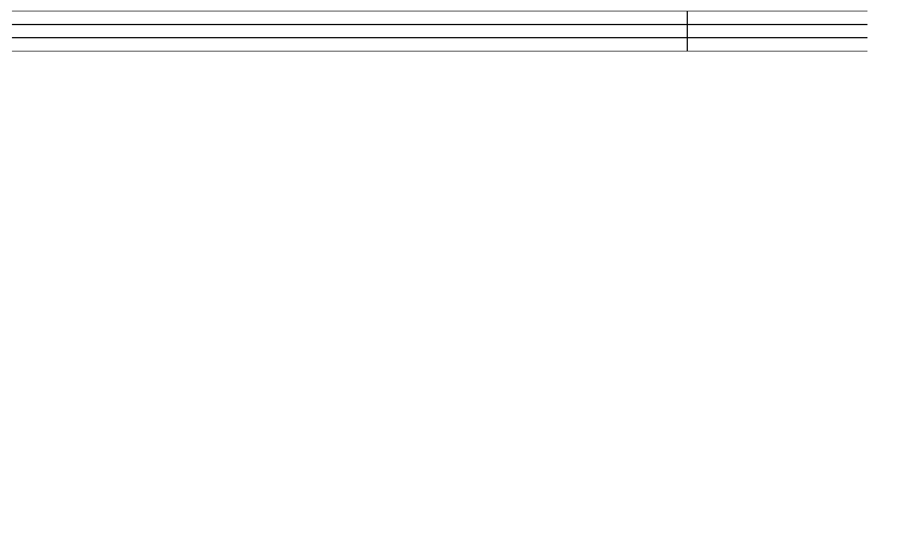| ,我们就会不会不会。""我们,我们也不会不会不会。""我们,我们也不会不会不会不会不会不会不会。""我们,我们也不会不会不会不会不会。""我们,我们也不会不会不 |  |
|----------------------------------------------------------------------------------|--|
| ,一个人的人都是一个人的人,而且,我们也不会不会不会。""我们,我们也不会不会不会不会不会不会。""我们,我们也不会不会不会不会。""我们,我们也不会不会不会不 |  |
|                                                                                  |  |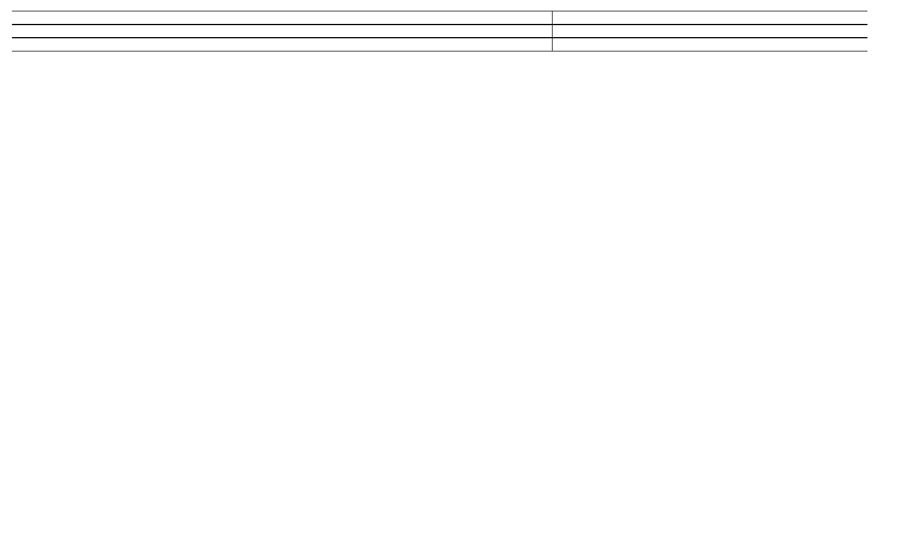| → 中国的 → 中国的 → 中国的 → 中国的 → 中国的 → 中国的 → 中国的 → 中国的 → 中国的 → 中国的 → 中国的 → 中国的 → 中国的 → 中国的 → 中国的 → 中国的 → 中国的 → 中国的 → 中国 |  |
|------------------------------------------------------------------------------------------------------------------|--|
|                                                                                                                  |  |
|                                                                                                                  |  |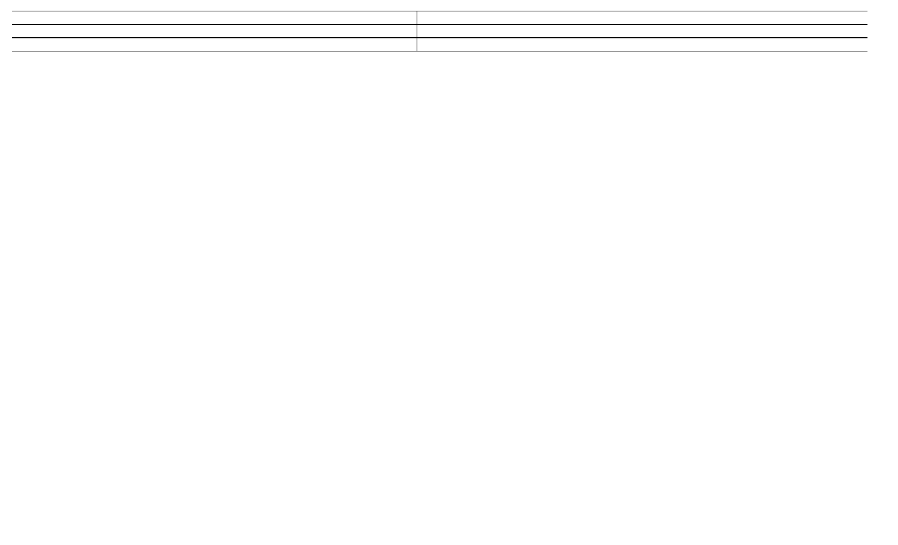| ,我们就会不会不会。""我们,我们就会不会不会不会,我们就会不会不会不会。""我们,我们就会不会不会不会。""我们,我们就会不会不会不会。""我们,我们就会不会 |                                                                                   |
|----------------------------------------------------------------------------------|-----------------------------------------------------------------------------------|
|                                                                                  | ,我们也不会不会不会。""我们的,我们也不会不会不会。""我们的,我们也不会不会不会不会。""我们的,我们也不会不会不会不会。""我们的,我们也不会不会不会不会  |
|                                                                                  | ,我们就会不会不会。""我们,我们就会不会不会,我们就会不会不会,我们就会不会不会。""我们,我们就会不会不会。""我们,我们就会不会不会不会。""我们,我们就会 |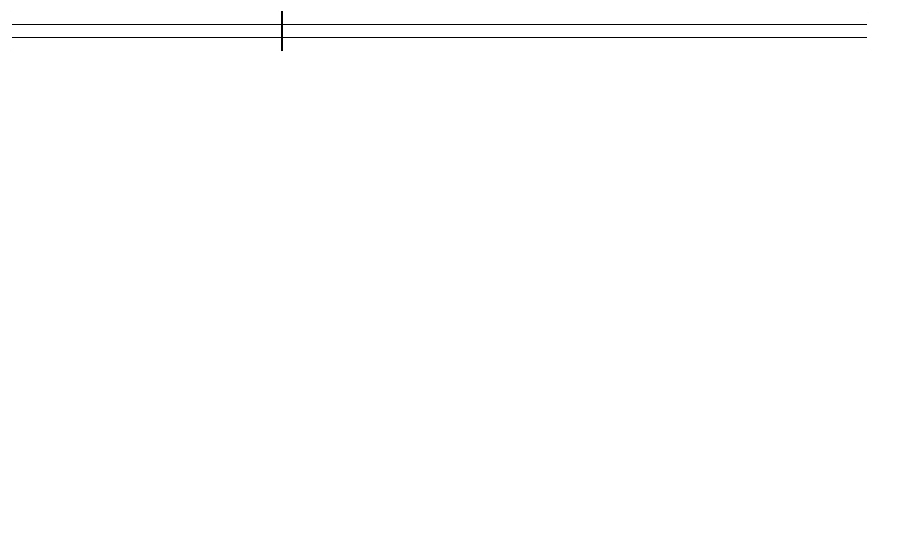| ,他们的人们就会在这里,他们的人们就会在这里,他们的人们就会在这里,他们的人们就会在这里,他们的人们就会在这里,他们的人们就会在这里,他们的人们就会在这里,他们<br>第251章 我们的人们的人们,我们的人们的人们的人们,我们的人们的人们的人们,我们的人们的人们的人们,我们的人们的人们的人们,我们的人们的人们的人们,我们的人们 |
|----------------------------------------------------------------------------------------------------------------------------------------------------------------------|
|                                                                                                                                                                      |
|                                                                                                                                                                      |
|                                                                                                                                                                      |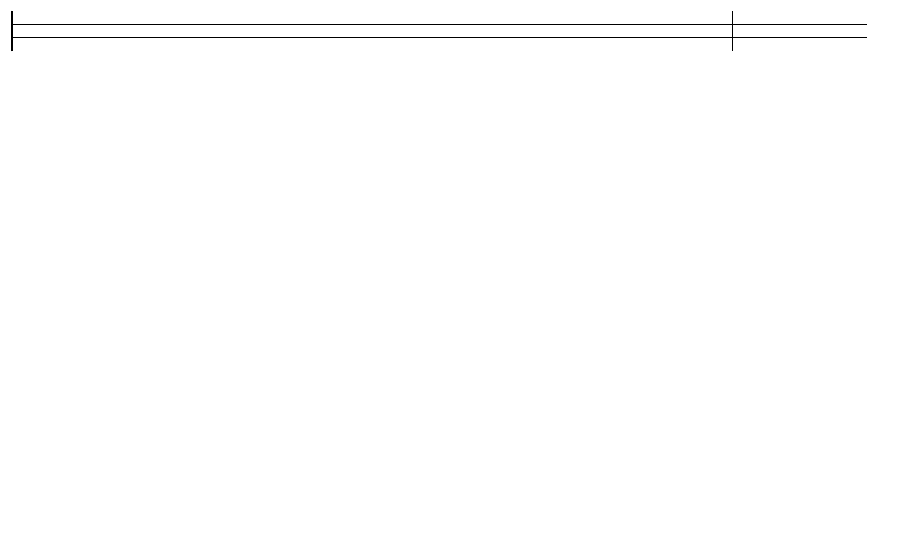| ,他们的人们就是一个人,他们的人们就是一个人,他们的人们,他们的人们就是一个人,他们的人们,他们的人们就是一个人,他们的人们,他们的人们,他们的人们,他们的人们,<br>第25章 我们的人们,他们的人们,他们的人们,他们的人们,他们的人们,他们的人们,他们的人们,他们的人们,他们的人们,他们的人们,他们的人们,他们的人们,他们的 |  |
|-----------------------------------------------------------------------------------------------------------------------------------------------------------------------|--|
| ,一个人都是一个人的人,而且,他们的人都是一个人,而且,他们的人都是一个人,而且,他们的人都是一个人,而且,他们的人都是一个人,而且,他们的人都是一个人,而且,他<br>第二百一十一章 一个人,他们的人都是一个人,他们的人都是一个人,他们的人都是一个人,他们的人都是一个人,他们的人都是一个人,他们的人都是一个人,他们的人都是一个 |  |
| ,一个人都是一个人的人,而且,他们的人都是一个人,他们的人都是一个人,他们的人都是一个人,他们的人都是一个人,他们的人都是一个人,他们的人都是一个人,他们的人都是                                                                                     |  |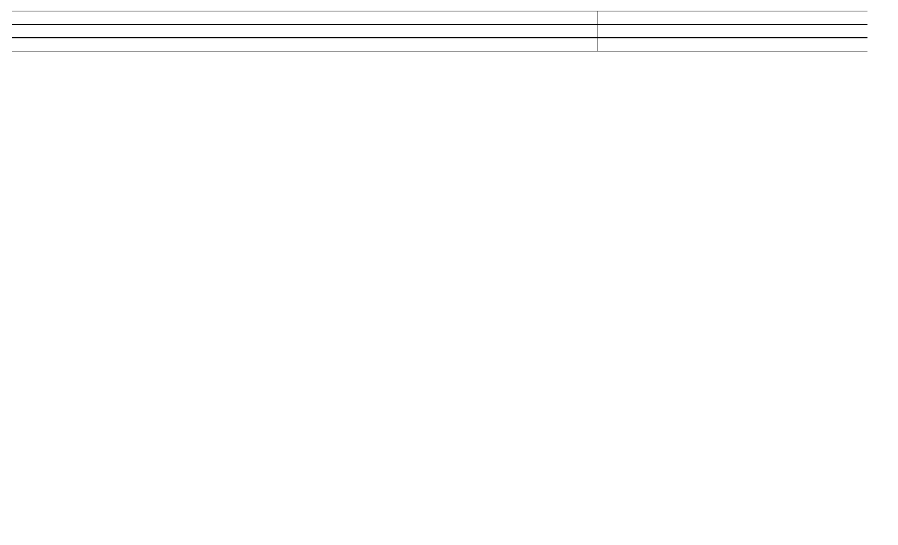| ,一个人都是一个人的人,而且,我们也不会不会不会。""我们,我们也不会不会不会不会不会不会不会不会。""我们,我们也不会不会不会不会不会不会不会不会。""我们,我<br>,他们的人们也不会不会。""我们的人们,我们也不会不会不会。""我们的人们,我们也不会不会不会。""我们的人们,我们也不会不会不会。""我们的人们,我们也不会不 |  |
|-----------------------------------------------------------------------------------------------------------------------------------------------------------------------|--|
| ,我们也不会不会不会。""我们的,我们也不会不会不会。""我们的,我们也不会不会不会不会。""我们的,我们也不会不会不会不会。""我们的,我们也不会不会不会不会                                                                                      |  |
|                                                                                                                                                                       |  |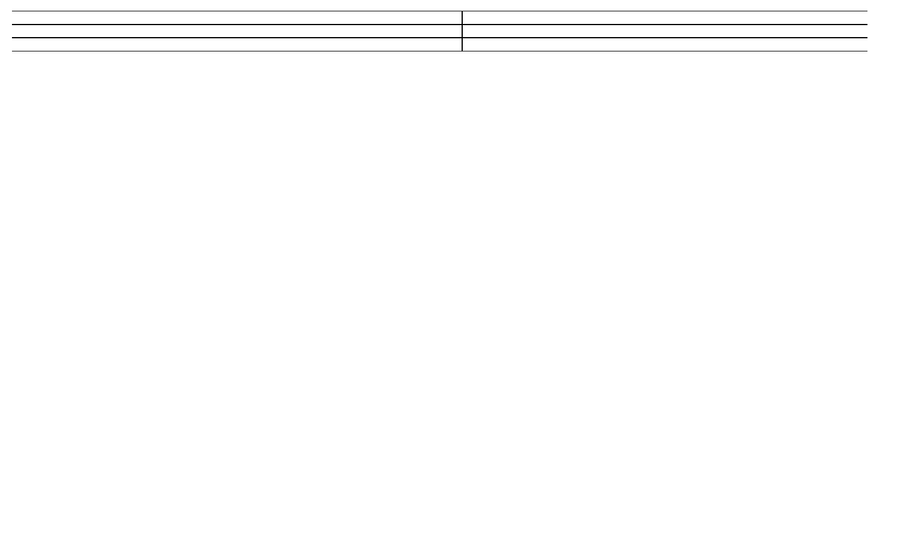| <u> 1980 - Ann an t-Aontaithe ann an t-Aontaithe ann an t-Aontaithe ann an t-Aontaithe ann an t-Aontaithe ann an t-</u> |
|-------------------------------------------------------------------------------------------------------------------------|
|                                                                                                                         |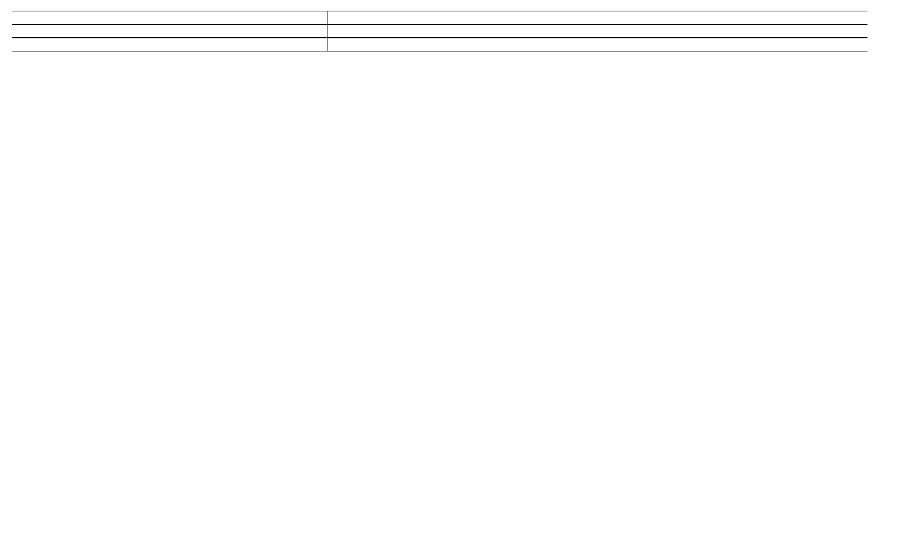| ,一个人都是一个人的人,而且,他们的人都是一个人,而且,他们的人都是一个人,而且,他们的人都是一个人,而且,他们的人都是一个人,而且,他们的人都是一个人,而且,他<br>第二十一章 一个人,他们的人都是一个人,他们的人都是一个人,他们的人都是一个人,他们的人都是一个人,他们的人都是一个人,他们的人都是一个人,他们的人都是一个人, | ,我们也不会不会。""我们的,我们也不会不会。""我们的,我们也不会不会不会。""我们的,我们也不会不会不会。""我们的,我们也不会不会不会。""我们的,我们也 |
|-----------------------------------------------------------------------------------------------------------------------------------------------------------------------|----------------------------------------------------------------------------------|
|                                                                                                                                                                       |                                                                                  |
|                                                                                                                                                                       |                                                                                  |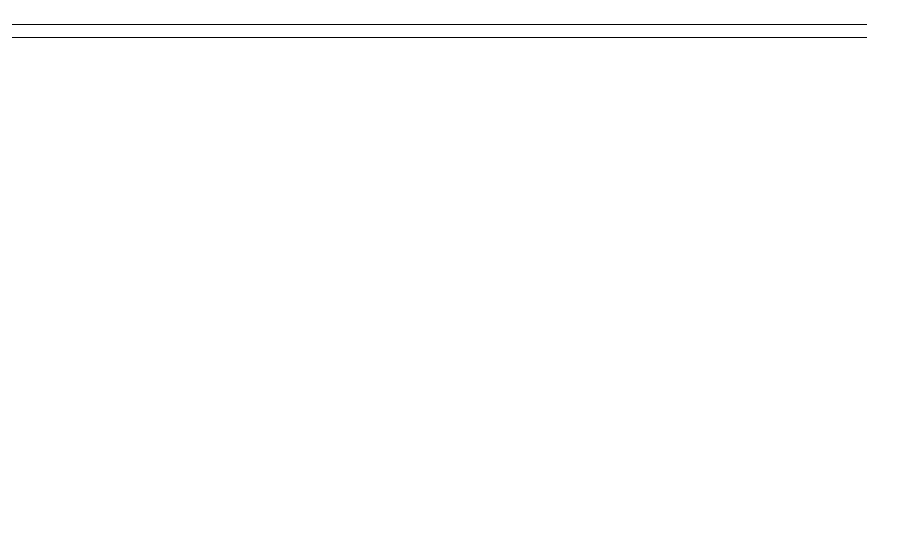| ,一个人的人都是一个人的人,而且,他们的人都是一个人的人,而且,他们的人都是一个人的人,而且,他们的人都是一个人的人,而且,他们的人都是一个人的人,而且,他们的人<br>第一百一十一章 一个人的人,他们的人都是一个人的人,他们的人都是一个人的人,他们的人都是一个人的人,他们的人都是一个人的人,他们的人都是一个人的人,他们的人都是<br>,我们就会不会不会。""我们,我们就会不会不会不会。""我们,我们就会不会不会不会不会不会。""我们,我们就会不会不会不会不会。""我们,我们就会不会不会不会不 |
|-----------------------------------------------------------------------------------------------------------------------------------------------------------------------------------------------------------------------------------------------------------|
| ,一个人都是一个人的人,而且,他们的人都是一个人,而且,他们的人都是一个人,而且,他们的人都是一个人,而且,他们的人都是一个人,而且,他们的人都是一个人,而且,他<br>第一百一十一章 一个人,他们的人都是一个人,他们的人都是一个人,他们的人都是一个人,他们的人都是一个人,他们的人都是一个人,他们的人都是一个人,他们的人都是一个                                                                                     |
|                                                                                                                                                                                                                                                           |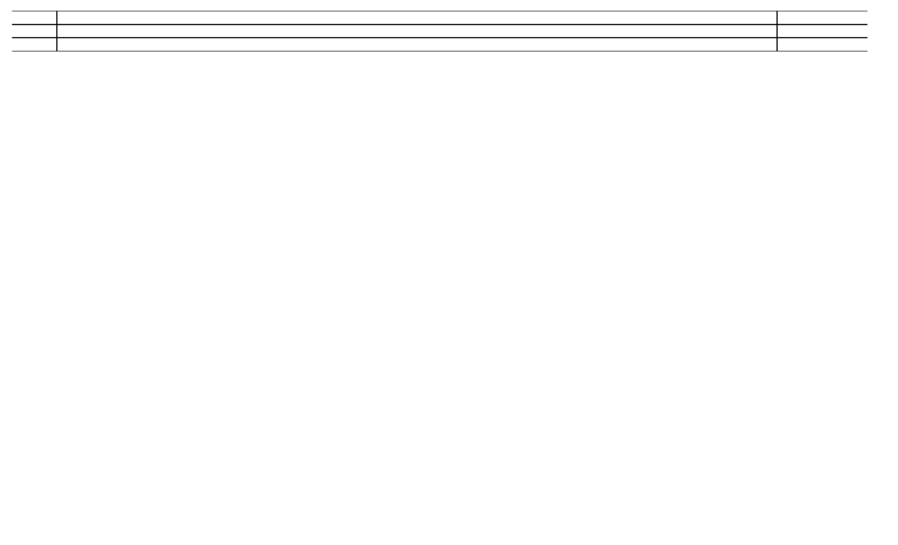| <u>та на представљен под податковата на представљен податковата на представљен податковата на представљен податк</u> |  |
|----------------------------------------------------------------------------------------------------------------------|--|
|                                                                                                                      |  |
| ,一个人都是一个人的人,一个人都是一个人的人,一个人都是一个人的人,一个人都是一个人的人,一个人都是一个人的人,一个人都是一个人的人,一个人都是一个人的人,一个人                                    |  |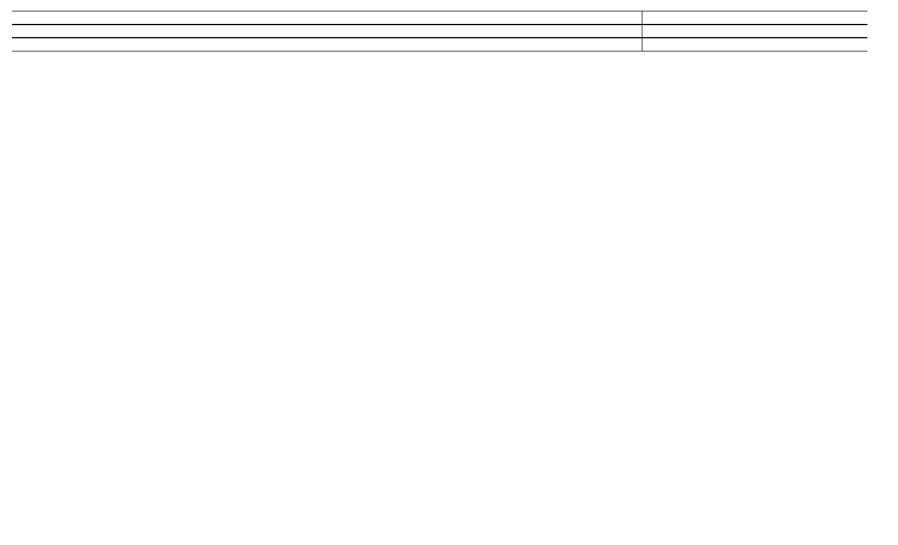| ,一个人都是一个人的人,一个人都是一个人的人,一个人都是一个人的人,一个人都是一个人的人,一个人都是一个人的人,一个人都是一个人的人,一个人都是一个人的人,一个人<br>→ South State State State State State State State State State State State State State State State State State State State State State State State State State State State State State State State State State State State St |  |
|-------------------------------------------------------------------------------------------------------------------------------------------------------------------------------------------------------------------------------------------------------------------------------------------------------------------|--|
| ,一个人的人都是一个人的人,而且,他们的人都是不是一个人的人,而且,他们的人都是不是一个人的人,而且,他们的人都是不是一个人的人,而且,他们的人都是不是一个人的<br>第一百一十一章 一个人的人,他们的人都是不是一个人的人,他们的人都是不是一个人的人,他们的人都是不是一个人的人,他们的人都是不是一个人的人,他们的人都是不是一个                                                                                                                                              |  |
| ,我们也不会不会不会。""我们的,我们也不会不会不会。""我们的,我们也不会不会不会不会不会。""我们的,我们也不会不会不会不会。""我们的,我们也不会不会不会<br>第二百一章 第二百一章 第二百一章 第二百一章 第二百一章 第二百一章 第二百一章 第二百一章 第二百一章 第二百一章 第二百一章 第二百一章 第二百一章 第二                                                                                                                                              |  |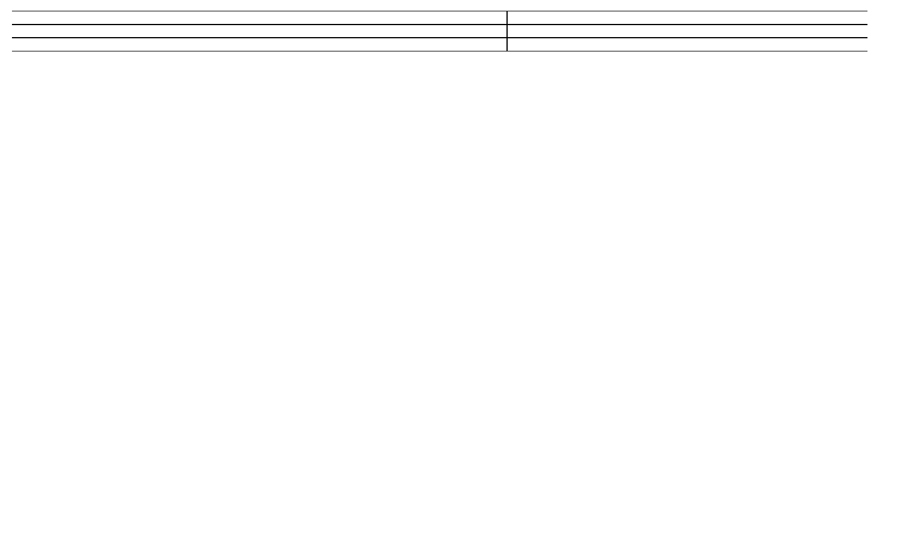| ,一个人都是一个人的人,而且,他们的人都是一个人,而且,他们的人都是一个人,而且,他们的人都是一个人,而且,他们的人都是一个人,而且,他们的人都是一个人,而且,他<br>第二十二章 第二十二章 第二十二章 第二十二章 第二十二章 第二十二章 第二十二章 第二十二章 第二十二章 第二十二章 第二十二章 第二十二章 第二十二章 第二十 |  |
|------------------------------------------------------------------------------------------------------------------------------------------------------------------------|--|
|                                                                                                                                                                        |  |
| ,我们就会不会不会。""我们的,我们也不会不会不会。""我们的,我们也不会不会不会不会不会。""我们的,我们也不会不会不会不会。""我们的,我们也不会不会不会不                                                                                       |  |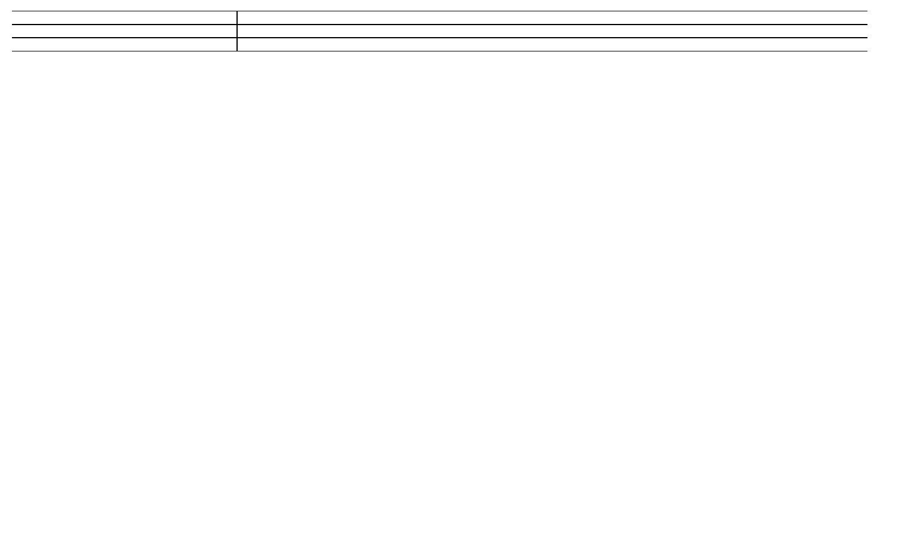| ,我们就会不会不会。""我们,我们也不会不会不会。""我们,我们也不会不会不会不会不会不会。""我们,我们也不会不会不会不会。""我们,我们也不会不会不会不会不  |
|-----------------------------------------------------------------------------------|
| ,一个人都是一个人的人,一个人都是一个人的人,一个人都是一个人的人,一个人都是一个人的人,一个人都是一个人的人,一个人都是一个人的人,一个人都是一个人的人,一个人 |
|                                                                                   |
| ,一个人都是一个人的人,而且,我们也不会不会不会。""我们,我们也不会不会不会不会。""我们,我们也不会不会不会不会。""我们,我们也不会不会不会不会。""我们, |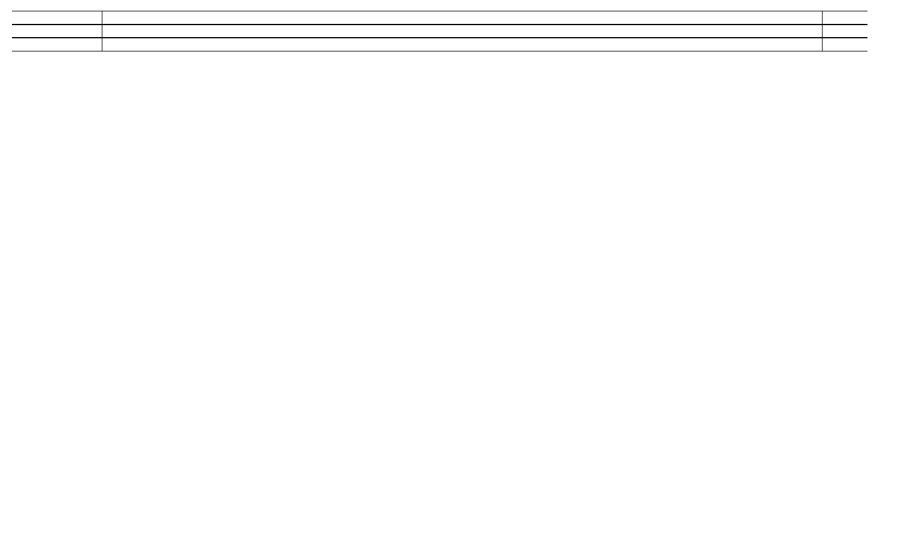| ,一个人都是一个人的人,一个人都是一个人的人,一个人都是一个人的人,一个人都是一个人的人,一个人都是一个人的人,一个人都是一个人的人,一个人都是一个人的人,一个人<br>第二十一章 一个人的人,一个人都是一个人的人,一个人都是一个人的人,一个人都是一个人的人,一个人都是一个人的人,一个人都是一个人的人,一个人都是一个人的人,一个<br>,一个人都是一个人的人,一个人都是一个人的人,一个人都是一个人的人,一个人都是一个人的人,一个人都是一个人的人,一个人都是一个人的人,一个人都是一个人的人,一个人<br>第二十一章 一个人的人,一个人的人都是一个人的人,一个人的人都是一个人的人,一个人的人都是一个人的人,一个人的人都是一个人的人,一个人的人都是一个人的人,一个人 |  |
|------------------------------------------------------------------------------------------------------------------------------------------------------------------------------------------------------------------------------------------------------------------------------------------------------------------------------------------------|--|
| ,一个人的人都是一个人的人,而且,他们的人都是一个人的人,而且,他们的人都是一个人的人,而且,他们的人都是一个人的人,而且,他们的人都是一个人的人,而且,他们的<br>第一百一十一章 一个人的人,他们的人都是一个人的人,他们的人都是一个人的人,他们的人都是一个人的人,他们的人都是一个人的人,他们的人都是一个人的人,他们的人都是                                                                                                                                                                           |  |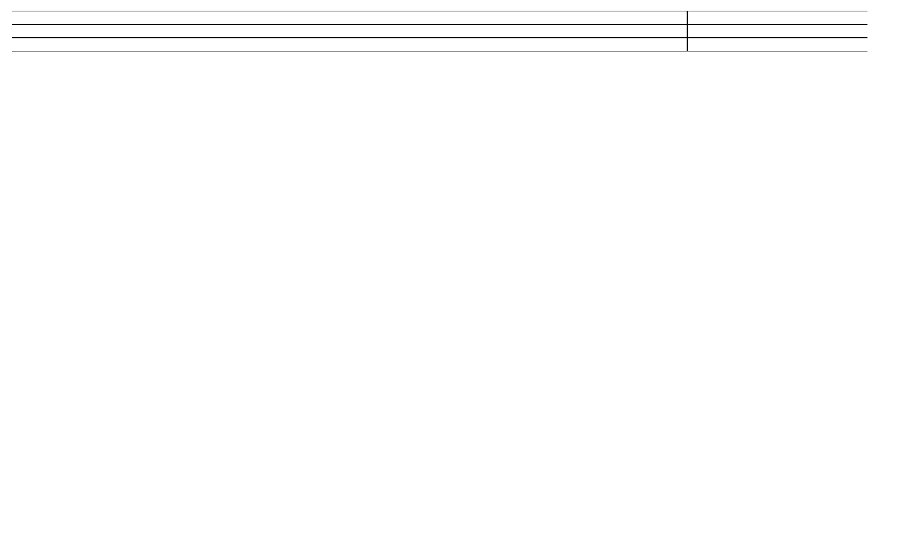| ,我们就会不会不会。""我们,我们也不会不会不会。""我们,我们也不会不会不会不会不会不会不会。""我们,我们也不会不会不会不会不会。""我们,我们也不会不会不  |  |
|-----------------------------------------------------------------------------------|--|
| ,一个人的人都是一个人的人,而且,他们的人都是一个人的人,而且,他们的人都是一个人的人,而且,他们的人都是一个人的人,而且,他们的人都是一个人的人,而且,他们的人 |  |
|                                                                                   |  |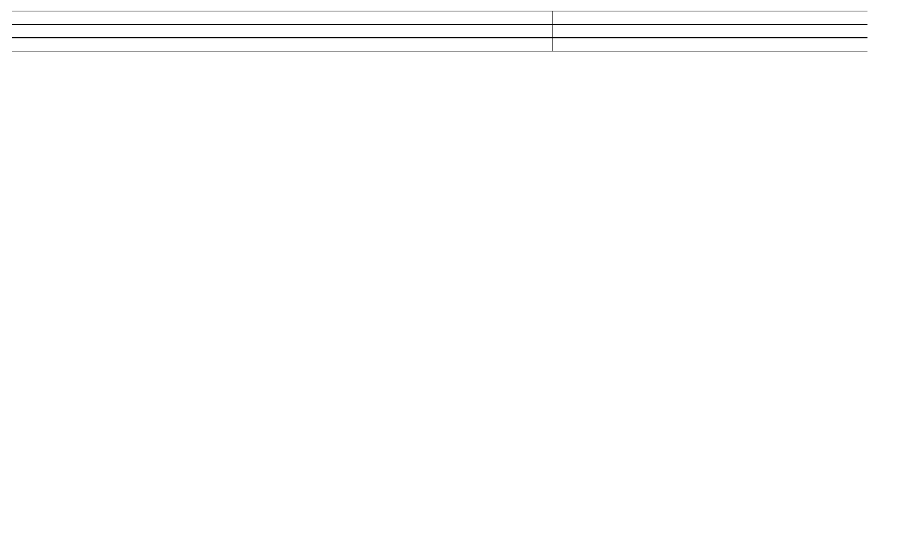| → 中国的 → 中国的 → 中国的 → 中国的 → 中国的 → 中国的 → 中国的 → 中国的 → 中国的 → 中国的 → 中国的 → 中国的 → 中国的 → 中国的 → 中国的 → 中国的 → 中国的 → 中国的 → 中国 |  |
|------------------------------------------------------------------------------------------------------------------|--|
|                                                                                                                  |  |
|                                                                                                                  |  |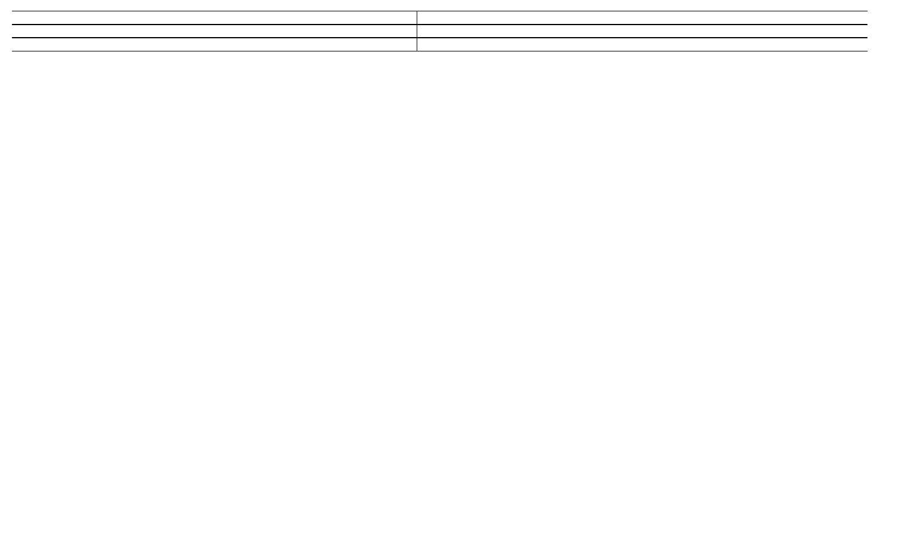| ,我们就会不会不会。""我们,我们就会不会不会不会,我们就会不会不会不会。""我们,我们就会不会不会不会。""我们,我们就会不会不会不会。""我们,我们就会不会 |                                                                                   |
|----------------------------------------------------------------------------------|-----------------------------------------------------------------------------------|
|                                                                                  | ,我们也不会不会不会。""我们的,我们也不会不会不会。""我们的,我们也不会不会不会不会。""我们的,我们也不会不会不会不会。""我们的,我们也不会不会不会不会  |
|                                                                                  | ,我们就会不会不会。""我们,我们就会不会不会,我们就会不会不会,我们就会不会不会。""我们,我们就会不会不会。""我们,我们就会不会不会不会。""我们,我们就会 |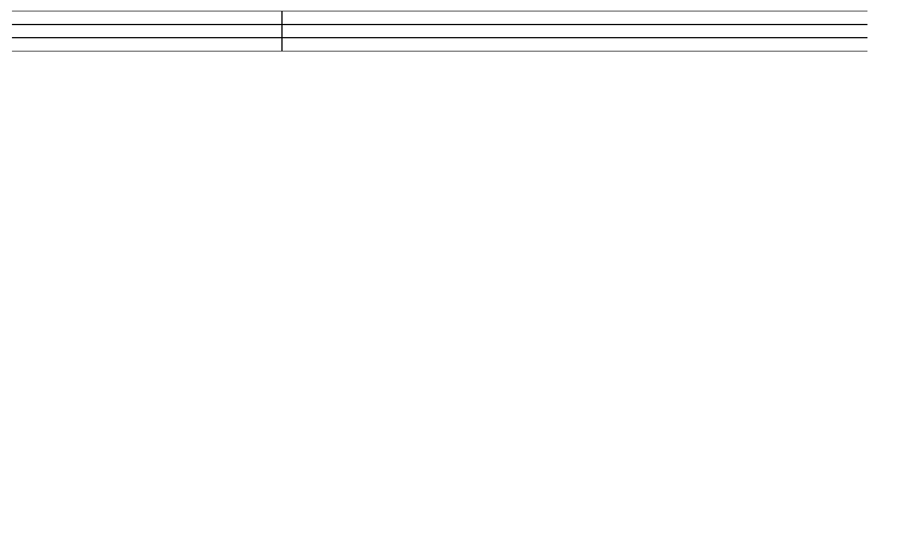| ,他们的人们就会在这里,他们的人们就会在这里,他们的人们就会在这里,他们的人们就会在这里,他们的人们就会在这里,他们的人们就会在这里,他们的人们就会在这里,他们<br>第251章 我们的人们的人们,我们的人们的人们的人们,我们的人们的人们的人们,我们的人们的人们的人们,我们的人们的人们的人们,我们的人们的人们的人们,我们的人们 |
|----------------------------------------------------------------------------------------------------------------------------------------------------------------------|
|                                                                                                                                                                      |
|                                                                                                                                                                      |
|                                                                                                                                                                      |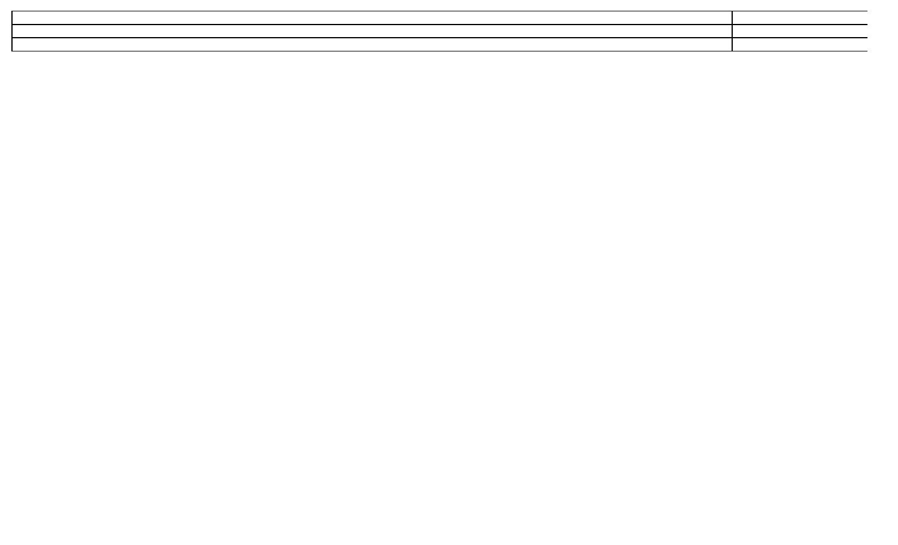| ,他们的人们就是一个人,他们的人们就是一个人,他们的人们,他们的人们就是一个人,他们的人们,他们的人们就是一个人,他们的人们,他们的人们,他们的人们,他们的人们,<br>第25章 我们的人们,他们的人们,他们的人们,他们的人们,他们的人们,他们的人们,他们的人们,他们的人们,他们的人们,他们的人们,他们的人们,他们的人们,他们的 |  |
|-----------------------------------------------------------------------------------------------------------------------------------------------------------------------|--|
| ,一个人都是一个人的人,而且,他们的人都是一个人,而且,他们的人都是一个人,而且,他们的人都是一个人,而且,他们的人都是一个人,而且,他们的人都是一个人,而且,他<br>第二百一十一章 一个人,他们的人都是一个人,他们的人都是一个人,他们的人都是一个人,他们的人都是一个人,他们的人都是一个人,他们的人都是一个人,他们的人都是一个 |  |
| ,一个人都是一个人的人,而且,他们的人都是一个人,他们的人都是一个人,他们的人都是一个人,他们的人都是一个人,他们的人都是一个人,他们的人都是一个人,他们的人都是                                                                                     |  |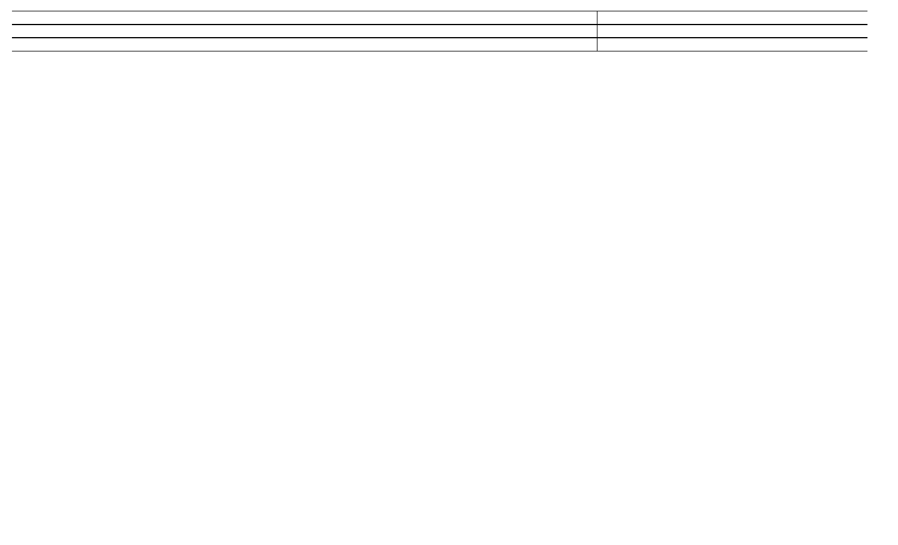| ,一个人都是一个人的人,而且,我们也不会不会不会。""我们,我们也不会不会不会不会不会不会不会不会。""我们,我们也不会不会不会不会不会不会不会不会。""我们,我<br>,他们的人们也不会不会。""我们的人们,我们也不会不会不会。""我们的人们,我们也不会不会不会。""我们的人们,我们也不会不会不会。""我们的人们,我们也不会不 |  |
|-----------------------------------------------------------------------------------------------------------------------------------------------------------------------|--|
| ,我们也不会不会不会。""我们的,我们也不会不会不会。""我们的,我们也不会不会不会不会。""我们的,我们也不会不会不会不会。""我们的,我们也不会不会不会不会                                                                                      |  |
|                                                                                                                                                                       |  |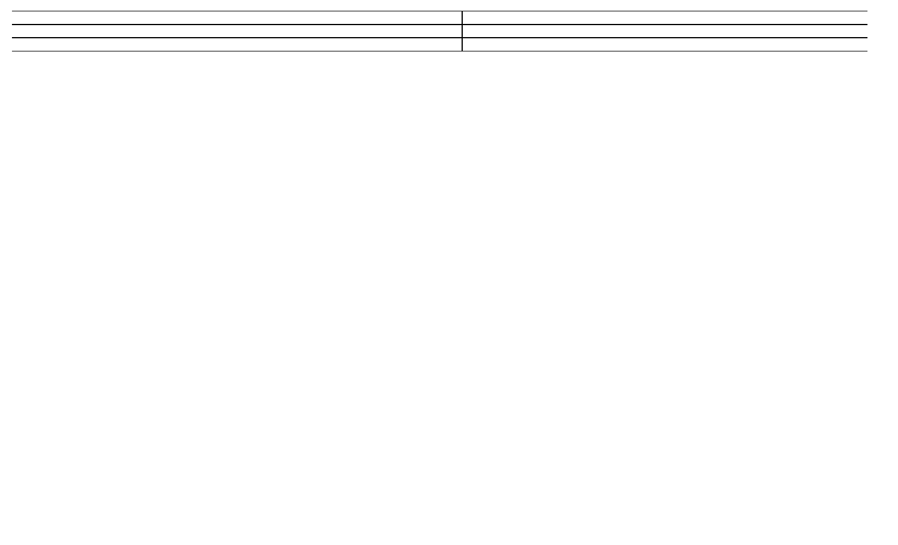| <u> 1980 - Ann an t-Aontaithe ann an t-Aontaithe ann an t-Aontaithe ann an t-Aontaithe ann an t-Aontaithe ann an t-</u> |
|-------------------------------------------------------------------------------------------------------------------------|
|                                                                                                                         |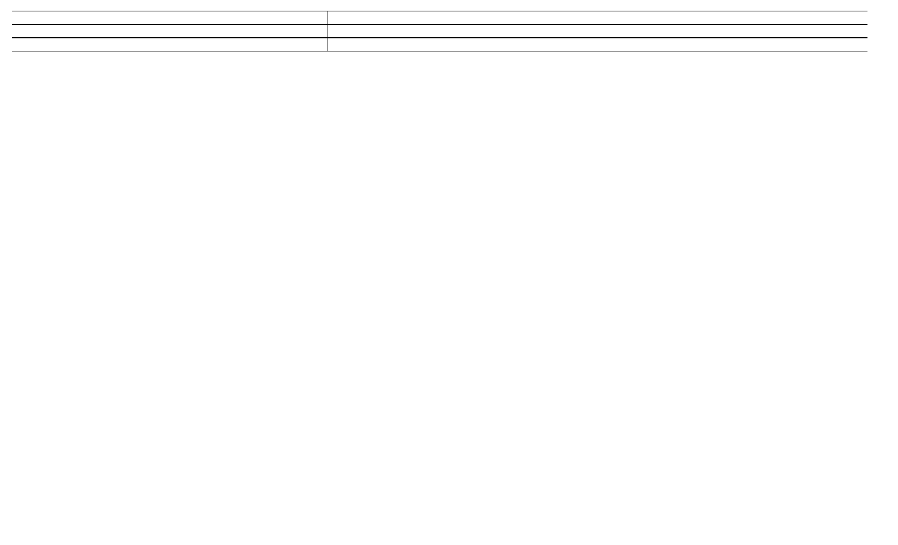| ,一个人都是一个人的人,而且,他们的人都是一个人,而且,他们的人都是一个人,而且,他们的人都是一个人,而且,他们的人都是一个人,而且,他们的人都是一个人,而且,他<br>第二十一章 一个人,他们的人都是一个人,他们的人都是一个人,他们的人都是一个人,他们的人都是一个人,他们的人都是一个人,他们的人都是一个人,他们的人都是一个人, | ,我们也不会不会。""我们的,我们也不会不会。""我们的,我们也不会不会不会。""我们的,我们也不会不会不会。""我们的,我们也不会不会不会。""我们的,我们也 |
|-----------------------------------------------------------------------------------------------------------------------------------------------------------------------|----------------------------------------------------------------------------------|
|                                                                                                                                                                       |                                                                                  |
|                                                                                                                                                                       |                                                                                  |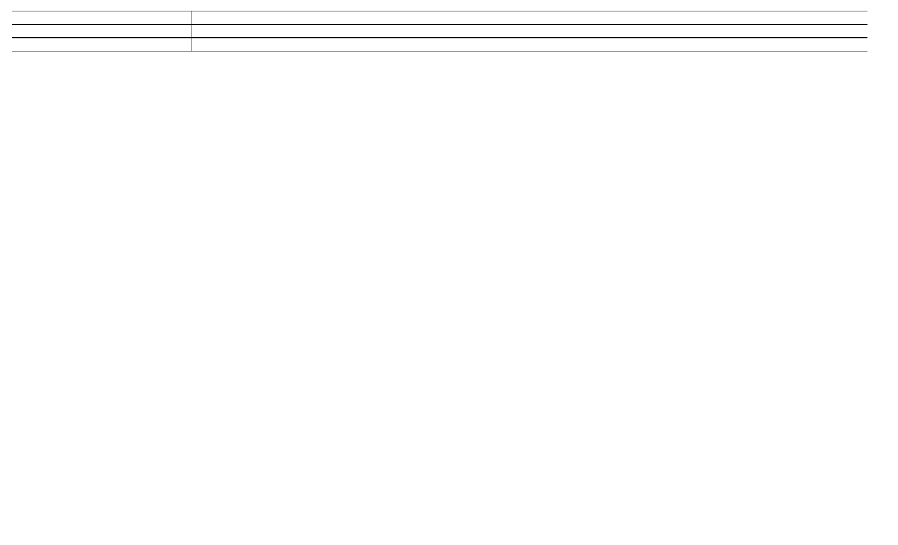| ,一个人的人都是一个人的人,而且,他们的人都是一个人的人,而且,他们的人都是一个人的人,而且,他们的人都是一个人的人,而且,他们的人都是一个人的人,而且,他们的人<br>第一百一十一章 一个人的人,他们的人都是一个人的人,他们的人都是一个人的人,他们的人都是一个人的人,他们的人都是一个人的人,他们的人都是一个人的人,他们的人都是<br>,我们就会不会不会。""我们,我们就会不会不会不会。""我们,我们就会不会不会不会不会不会。""我们,我们就会不会不会不会不会。""我们,我们就会不会不会不会不 |
|-----------------------------------------------------------------------------------------------------------------------------------------------------------------------------------------------------------------------------------------------------------|
| ,一个人都是一个人的人,而且,他们的人都是一个人,而且,他们的人都是一个人,而且,他们的人都是一个人,而且,他们的人都是一个人,而且,他们的人都是一个人,而且,他<br>第二十一章 一个人,他们的人都是一个人,他们的人都是一个人,他们的人都是一个人,他们的人都是一个人,他们的人都是一个人,他们的人都是一个人,他们的人都是一个人,                                                                                     |
|                                                                                                                                                                                                                                                           |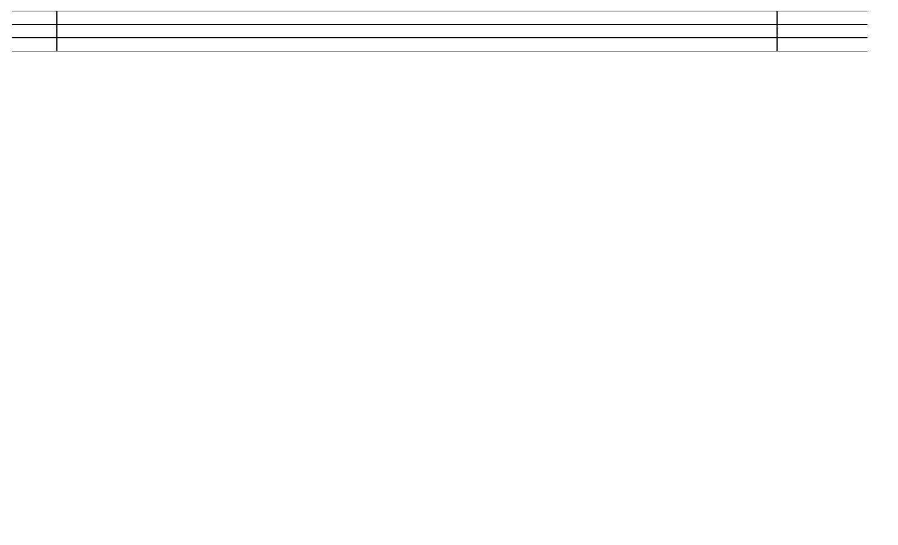| <u>та на представљен под податковата на представљен податковата на представљен податковата на представљен податк</u> |  |
|----------------------------------------------------------------------------------------------------------------------|--|
|                                                                                                                      |  |
| ,一个人都是一个人的人,一个人都是一个人的人,一个人都是一个人的人,一个人都是一个人的人,一个人都是一个人的人,一个人都是一个人的人,一个人都是一个人的人,一个人                                    |  |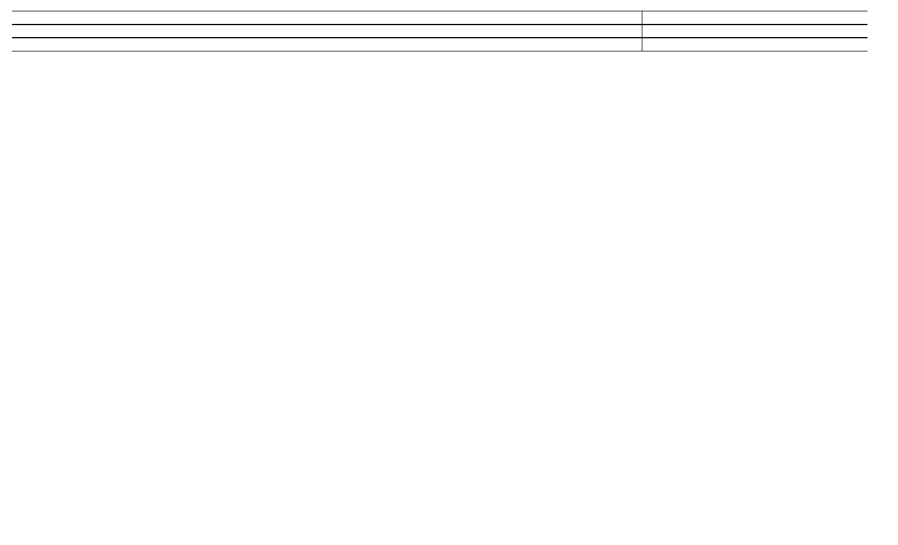| ,一个人都是一个人的人,一个人都是一个人的人,一个人都是一个人的人,一个人都是一个人的人,一个人都是一个人的人,一个人都是一个人的人,一个人都是一个人的人,一个人<br>→ South State State State State State State State State State State State State State State State State State State State State State State State State State State State State State State State State State State State St |  |
|-------------------------------------------------------------------------------------------------------------------------------------------------------------------------------------------------------------------------------------------------------------------------------------------------------------------|--|
| ,一个人的人都是一个人的人,而且,他们的人都是不是一个人的人,而且,他们的人都是不是一个人的人,而且,他们的人都是不是一个人的人,而且,他们的人都是不是一个人的<br>第一百一十一章 一个人的人,他们的人都是不是一个人的人,他们的人都是不是一个人的人,他们的人都是不是一个人的人,他们的人都是不是一个人的人,他们的人都是不是一个                                                                                                                                              |  |
| ,我们也不会不会不会。""我们的,我们也不会不会不会。""我们的,我们也不会不会不会不会不会。""我们的,我们也不会不会不会不会。""我们的,我们也不会不会不会<br>第二百一章 第二百一章 第二百一章 第二百一章 第二百一章 第二百一章 第二百一章 第二百一章 第二百一章 第二百一章 第二百一章 第二百一章 第二百一章 第二                                                                                                                                              |  |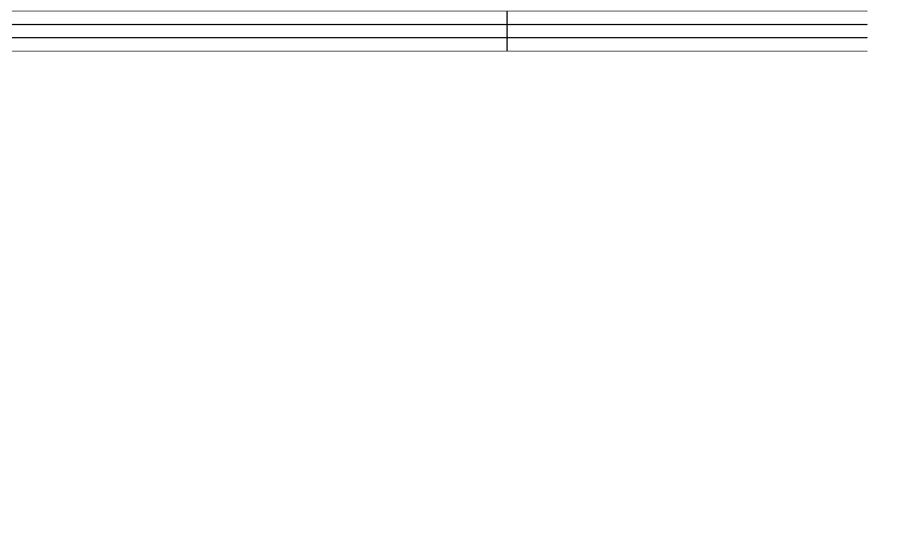| ,一个人都是一个人的人,而且,他们的人都是一个人,而且,他们的人都是一个人,而且,他们的人都是一个人,而且,他们的人都是一个人,而且,他们的人都是一个人,而且,他<br>第二十二章 第二十二章 第二十二章 第二十二章 第二十二章 第二十二章 第二十二章 第二十二章 第二十二章 第二十二章 第二十二章 第二十二章 第二十二章 第二十 |  |
|------------------------------------------------------------------------------------------------------------------------------------------------------------------------|--|
|                                                                                                                                                                        |  |
| ,我们就会不会不会。""我们的,我们也不会不会不会。""我们的,我们也不会不会不会不会不会。""我们的,我们也不会不会不会不会。""我们的,我们也不会不会不会不                                                                                       |  |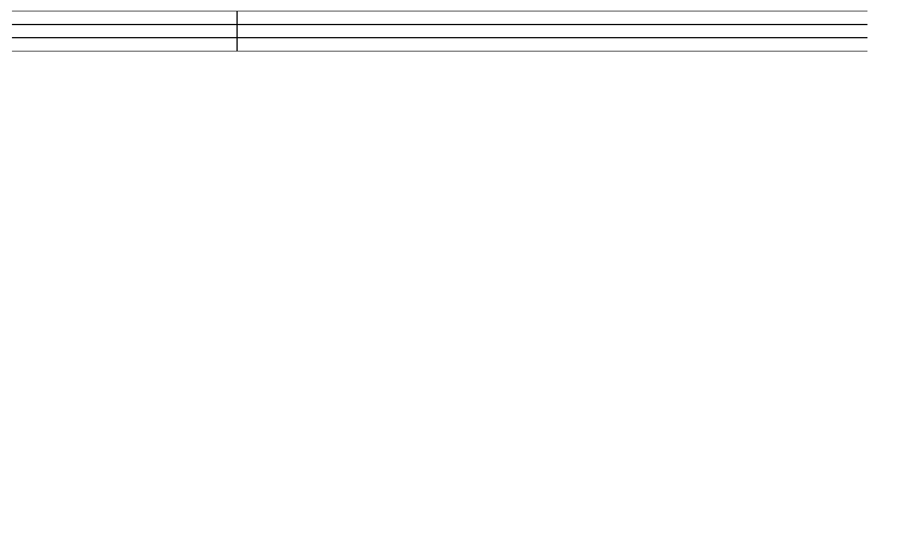| ,我们就会不会不会。""我们,我们也不会不会不会。""我们,我们也不会不会不会不会不会不会。""我们,我们也不会不会不会不会。""我们,我们也不会不会不会不会不  |
|-----------------------------------------------------------------------------------|
| ,一个人都是一个人的人,一个人都是一个人的人,一个人都是一个人的人,一个人都是一个人的人,一个人都是一个人的人,一个人都是一个人的人,一个人都是一个人的人,一个人 |
|                                                                                   |
| ,一个人都是一个人的人,而且,我们也不会不会不会。""我们,我们也不会不会不会不会。""我们,我们也不会不会不会不会。""我们,我们也不会不会不会不会。""我们, |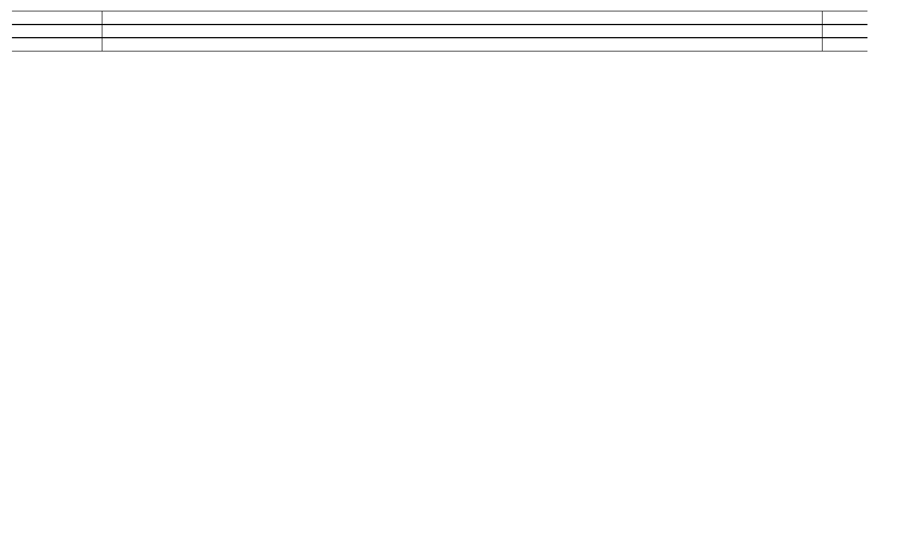| ,一个人都是一个人的人,一个人都是一个人的人,一个人都是一个人的人,一个人都是一个人的人,一个人都是一个人的人,一个人都是一个人的人,一个人都是一个人的人,一个人<br>第二十一章 一个人的人,一个人都是一个人的人,一个人都是一个人的人,一个人都是一个人的人,一个人都是一个人的人,一个人都是一个人的人,一个人都是一个人的人,一个<br>,一个人都是一个人的人,一个人都是一个人的人,一个人都是一个人的人,一个人都是一个人的人,一个人都是一个人的人,一个人都是一个人的人,一个人都是一个人的人,一个人<br>第二十一章 一个人的人,一个人的人都是一个人的人,一个人的人都是一个人的人,一个人的人都是一个人的人,一个人的人都是一个人的人,一个人的人都是一个人的人,一个人 |  |
|------------------------------------------------------------------------------------------------------------------------------------------------------------------------------------------------------------------------------------------------------------------------------------------------------------------------------------------------|--|
| ,一个人的人都是一个人的人,而且,他们的人都是一个人的人,而且,他们的人都是一个人的人,而且,他们的人都是一个人的人,而且,他们的人都是一个人的人,而且,他们的<br>第一百一十一章 一个人的人,他们的人都是一个人的人,他们的人都是一个人的人,他们的人都是一个人的人,他们的人都是一个人的人,他们的人都是一个人的人,他们的人都是                                                                                                                                                                           |  |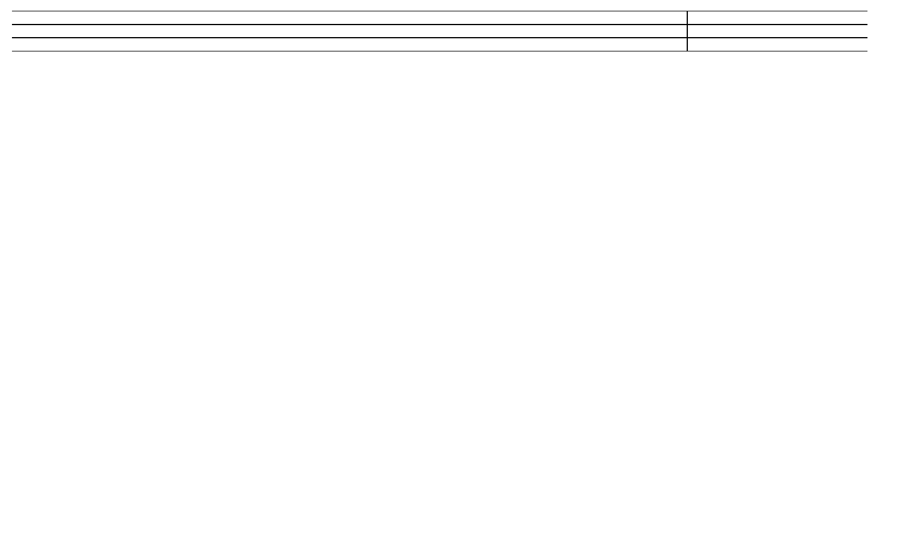| ,我们就会不会不会。""我们,我们也不会不会不会。""我们,我们也不会不会不会不会不会不会不会。""我们,我们也不会不会不会不会不会。""我们,我们也不会不会不  |  |
|-----------------------------------------------------------------------------------|--|
| ,一个人的人都是一个人的人,而且,他们的人都是一个人的人,而且,他们的人都是一个人的人,而且,他们的人都是一个人的人,而且,他们的人都是一个人的人,而且,他们的人 |  |
|                                                                                   |  |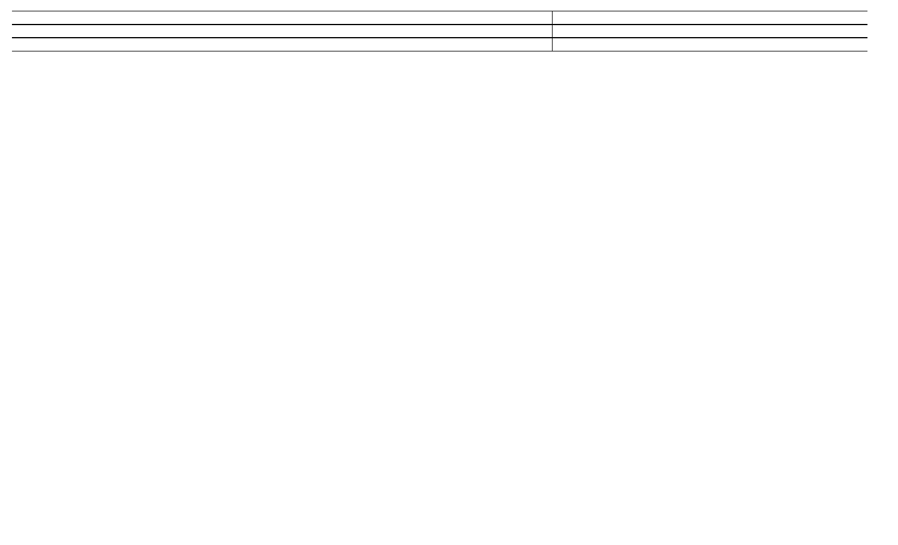| → 中国的 → 中国的 → 中国的 → 中国的 → 中国的 → 中国的 → 中国的 → 中国的 → 中国的 → 中国的 → 中国的 → 中国的 → 中国的 → 中国的 → 中国的 → 中国的 → 中国的 → 中国的 → 中国 |  |
|------------------------------------------------------------------------------------------------------------------|--|
|                                                                                                                  |  |
|                                                                                                                  |  |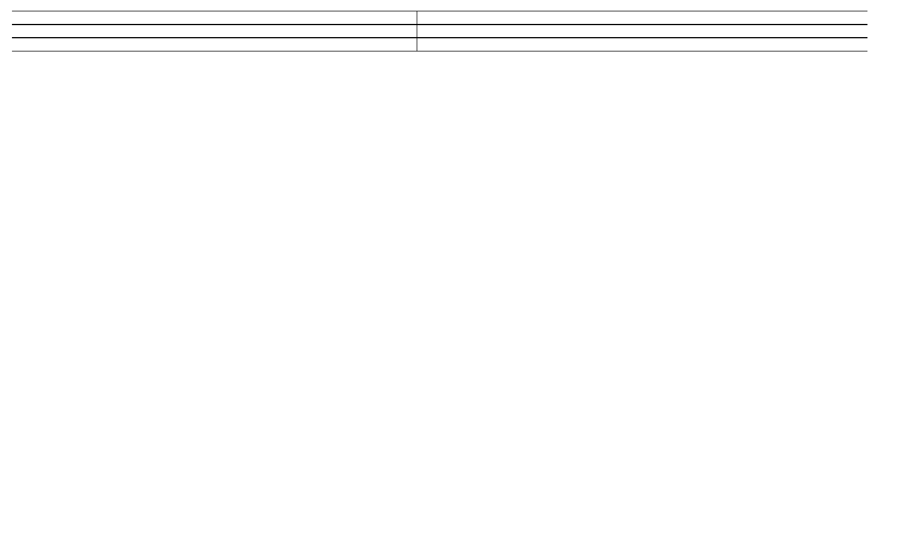| ,我们就会不会不会。""我们,我们就会不会不会不会,我们就会不会不会不会。""我们,我们就会不会不会不会。""我们,我们就会不会不会不会。""我们,我们就会不会 |                                                                                   |
|----------------------------------------------------------------------------------|-----------------------------------------------------------------------------------|
|                                                                                  | ,我们也不会不会不会。""我们的,我们也不会不会不会。""我们的,我们也不会不会不会不会。""我们的,我们也不会不会不会不会。""我们的,我们也不会不会不会不会  |
|                                                                                  | ,我们就会不会不会。""我们,我们就会不会不会,我们就会不会不会,我们就会不会不会。""我们,我们就会不会不会。""我们,我们就会不会不会不会。""我们,我们就会 |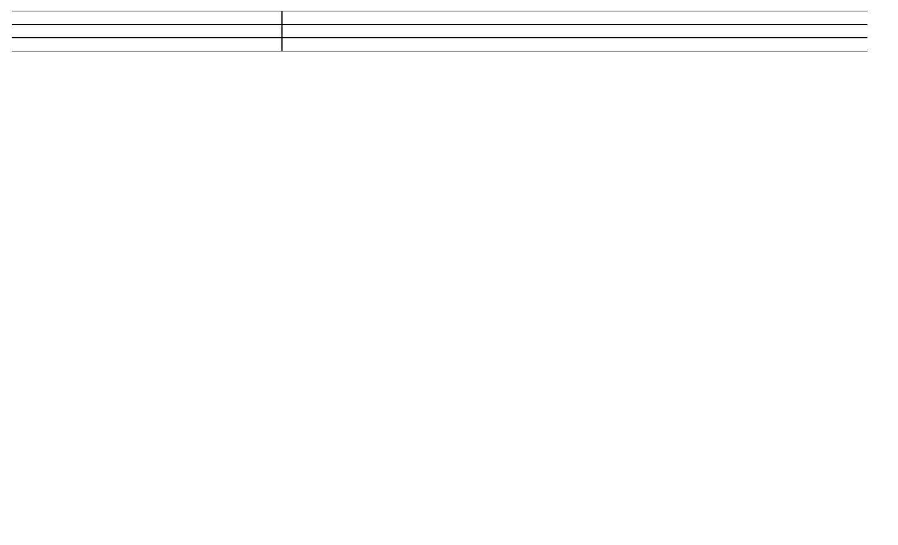| ,一个人都是一个人的人,而且,我们也不会不会不会。""我们,我们也不会不会不会不会不会不会不会。""我们,我们也不会不会不会不会不会不会不会不会。""我们,我们                                                                                     |
|----------------------------------------------------------------------------------------------------------------------------------------------------------------------|
|                                                                                                                                                                      |
| ,他们的人们就会在这里,他们的人们就会在这里,他们的人们就会在这里,他们的人们就会在这里,他们的人们就会在这里,他们的人们就会在这里,他们的人们就会在这里,他们<br>第251章 我们的人们的人们,我们的人们的人们的人们,我们的人们的人们的人们,我们的人们的人们的人们,我们的人们的人们的人们,我们的人们的人们的人们,我们的人们 |
|                                                                                                                                                                      |
|                                                                                                                                                                      |
|                                                                                                                                                                      |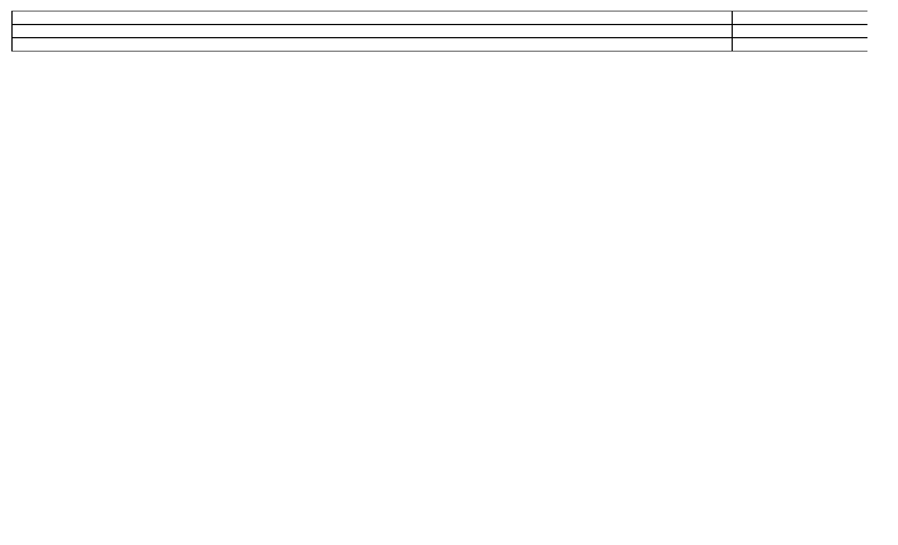| ,他们的人们就是一个人,他们的人们就是一个人,他们的人们,他们的人们就是一个人,他们的人们,他们的人们就是一个人,他们的人们,他们的人们,他们的人们,他们的人们,<br>第25章 我们的人们,他们的人们,他们的人们,他们的人们,他们的人们,他们的人们,他们的人们,他们的人们,他们的人们,他们的人们,他们的人们,他们的人们,他们的 |  |
|-----------------------------------------------------------------------------------------------------------------------------------------------------------------------|--|
| ,一个人都是一个人的人,而且,他们的人都是一个人,而且,他们的人都是一个人,而且,他们的人都是一个人,而且,他们的人都是一个人,而且,他们的人都是一个人,而且,他<br>第二百一十一章 一个人,他们的人都是一个人,他们的人都是一个人,他们的人都是一个人,他们的人都是一个人,他们的人都是一个人,他们的人都是一个人,他们的人都是一个 |  |
| ,一个人都是一个人的人,而且,他们的人都是一个人,他们的人都是一个人,他们的人都是一个人,他们的人都是一个人,他们的人都是一个人,他们的人都是一个人,他们的人都是                                                                                     |  |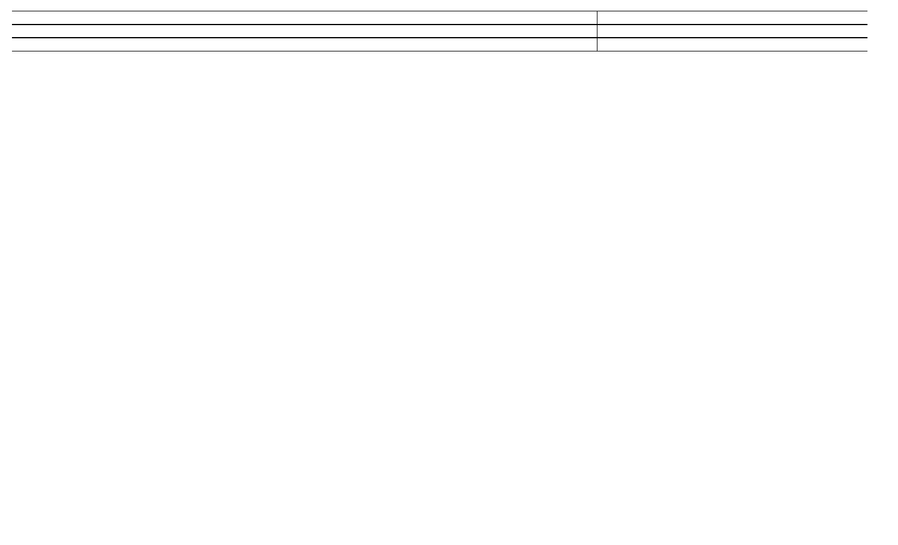| ,一个人都是一个人的人,而且,我们也不会不会不会。""我们,我们也不会不会不会不会不会不会不会不会。""我们,我们也不会不会不会不会不会不会不会不会。""我们,我<br>,他们的人们也不会不会。""我们的人们,我们也不会不会不会。""我们的人们,我们也不会不会不会。""我们的人们,我们也不会不会不会。""我们的人们,我们也不会不 |  |
|-----------------------------------------------------------------------------------------------------------------------------------------------------------------------|--|
| ,我们也不会不会不会。""我们的,我们也不会不会不会。""我们的,我们也不会不会不会不会。""我们的,我们也不会不会不会不会。""我们的,我们也不会不会不会不会                                                                                      |  |
|                                                                                                                                                                       |  |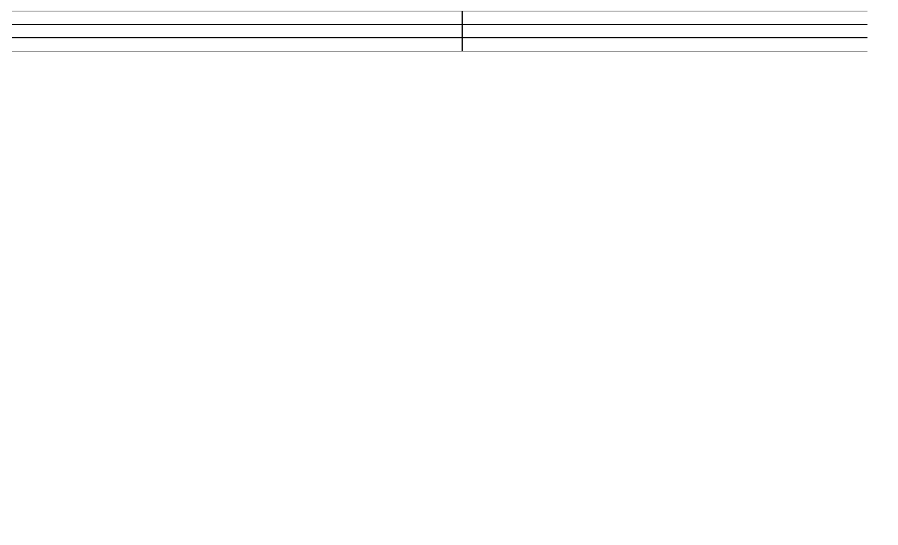| <u> 2001 - An t-An Aontaithe ann an t-Aontaithe ann an t-Aontaithe ann an t-Aontaithe ann an t-Aontaithe ann an t-</u> |
|------------------------------------------------------------------------------------------------------------------------|
|                                                                                                                        |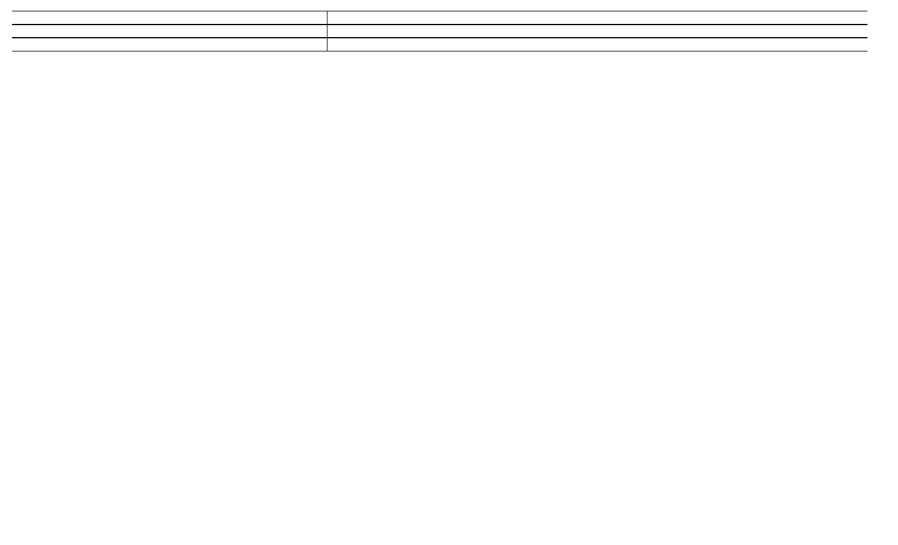| ,一个人都是一个人的人,而且,他们的人都是一个人,而且,他们的人都是一个人,而且,他们的人都是一个人,而且,他们的人都是一个人,而且,他们的人都是一个人,而且,他<br>第二十一章 一个人,他们的人都是一个人,他们的人都是一个人,他们的人都是一个人,他们的人都是一个人,他们的人都是一个人,他们的人都是一个人,他们的人都是一个人, | ,我们也不会不会。""我们的,我们也不会不会。""我们的,我们也不会不会不会。""我们的,我们也不会不会不会。""我们的,我们也不会不会不会。""我们的,我们也 |
|-----------------------------------------------------------------------------------------------------------------------------------------------------------------------|----------------------------------------------------------------------------------|
|                                                                                                                                                                       |                                                                                  |
|                                                                                                                                                                       |                                                                                  |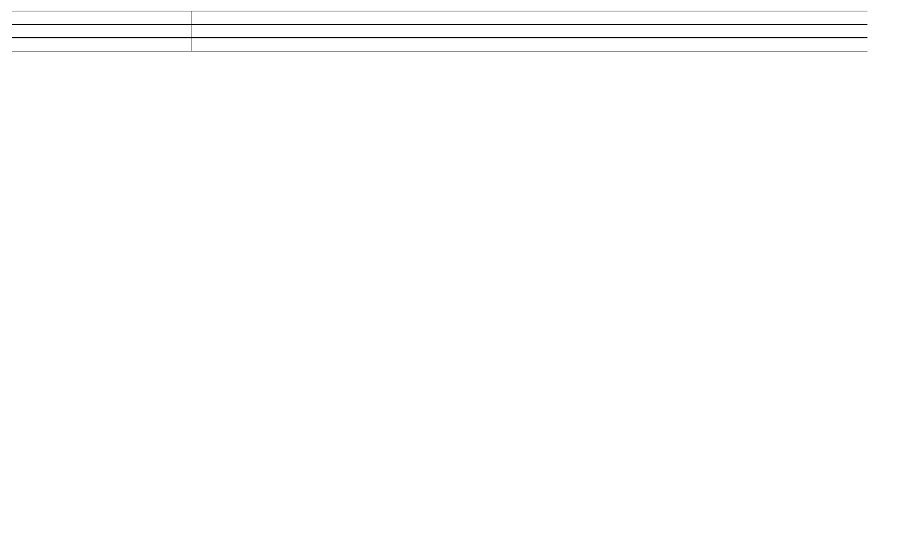| ,一个人的人都是一个人的人,而且,他们的人都是一个人的人,而且,他们的人都是一个人的人,而且,他们的人都是一个人的人,而且,他们的人都是一个人的人,而且,他们的人<br>第一百一十一章 一个人的人,他们的人都是一个人的人,他们的人都是一个人的人,他们的人都是一个人的人,他们的人都是一个人的人,他们的人都是一个人的人,他们的人都是<br>,我们就会不会不会。""我们,我们就会不会不会不会。""我们,我们就会不会不会不会不会不会。""我们,我们就会不会不会不会不会。""我们,我们就会不会不会不会不 |
|-----------------------------------------------------------------------------------------------------------------------------------------------------------------------------------------------------------------------------------------------------------|
| ,一个人都是一个人的人,而且,他们的人都是一个人,而且,他们的人都是一个人,而且,他们的人都是一个人,而且,他们的人都是一个人,而且,他们的人都是一个人,而且,他<br>第二十一章 一个人,他们的人都是一个人,他们的人都是一个人,他们的人都是一个人,他们的人都是一个人,他们的人都是一个人,他们的人都是一个人,他们的人都是一个人,                                                                                     |
|                                                                                                                                                                                                                                                           |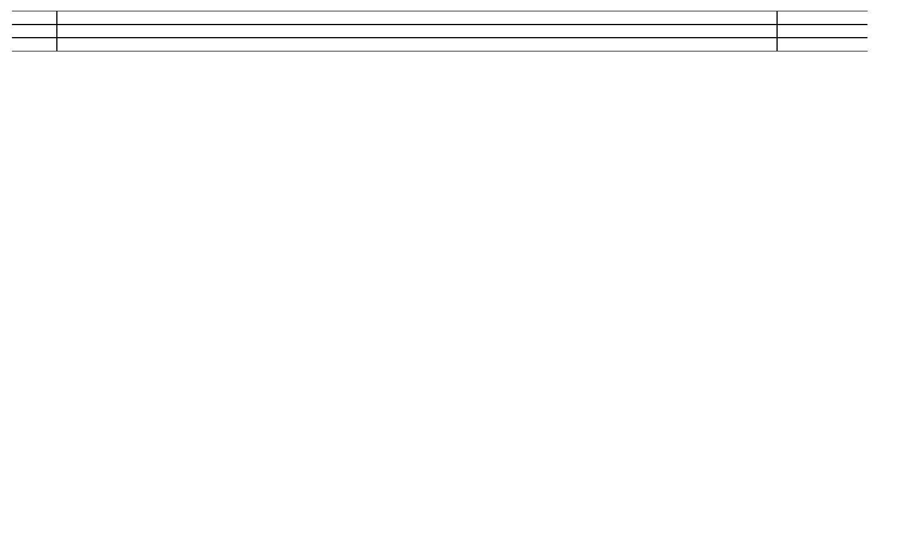| <u>та на представљен под податковата на представљен податковата на представљен податковата на представљен податк</u> |  |
|----------------------------------------------------------------------------------------------------------------------|--|
|                                                                                                                      |  |
| ,一个人都是一个人的人,一个人都是一个人的人,一个人都是一个人的人,一个人都是一个人的人,一个人都是一个人的人,一个人都是一个人的人,一个人都是一个人的人,一个人                                    |  |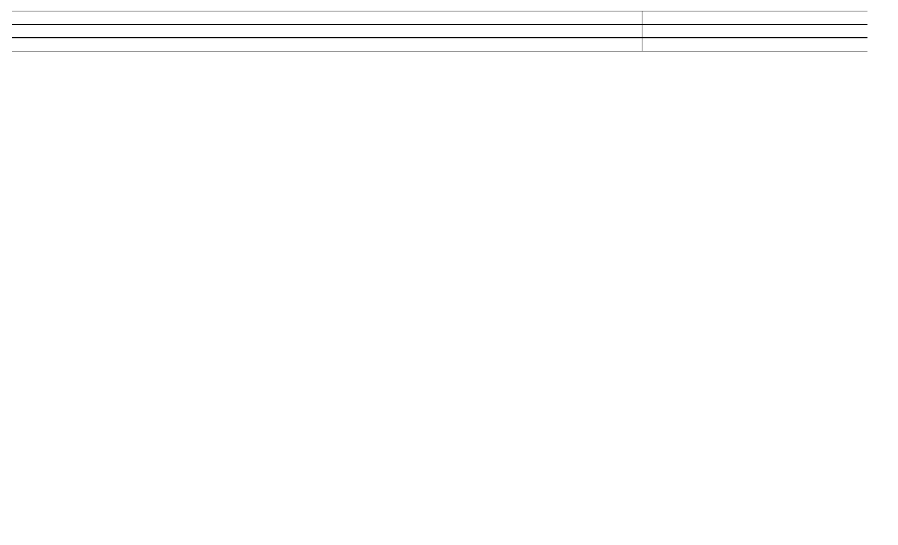| ,一个人都是一个人的人,一个人都是一个人的人,一个人都是一个人的人,一个人都是一个人的人,一个人都是一个人的人,一个人都是一个人的人,一个人都是一个人的人,一个人<br>→ South State State State State State State State State State State State State State State State State State State State State State State State State State State State State State State State State State State State St |  |
|-------------------------------------------------------------------------------------------------------------------------------------------------------------------------------------------------------------------------------------------------------------------------------------------------------------------|--|
| ,一个人的人都是一个人的人,而且,他们的人都是不是一个人的人,而且,他们的人都是不是一个人的人,而且,他们的人都是不是一个人的人,而且,他们的人都是不是一个人的<br>第一百一十一章 一个人的人,他们的人都是不是一个人的人,他们的人都是不是一个人的人,他们的人都是不是一个人的人,他们的人都是不是一个人的人,他们的人都是不是一个                                                                                                                                              |  |
| ,我们也不会不会不会。""我们的,我们也不会不会不会。""我们的,我们也不会不会不会不会不会。""我们的,我们也不会不会不会不会。""我们的,我们也不会不会不会<br>第二百一章 第二百一章 第二百一章 第二百一章 第二百一章 第二百一章 第二百一章 第二百一章 第二百一章 第二百一章 第二百一章 第二百一章 第二百一章 第二                                                                                                                                              |  |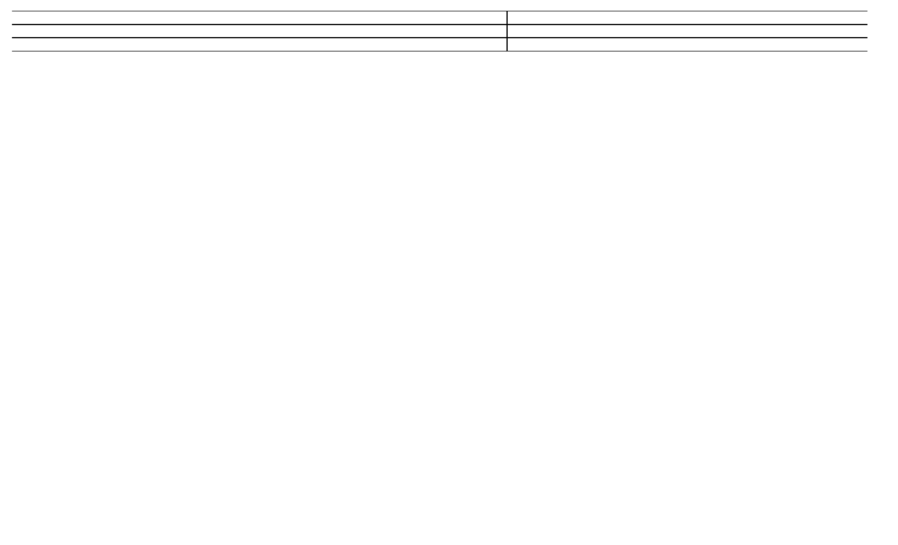| ,一个人都是一个人的人,而且,他们的人都是一个人,而且,他们的人都是一个人,而且,他们的人都是一个人,而且,他们的人都是一个人,而且,他们的人都是一个人,而且,他<br>第二十二章 第二十二章 第二十二章 第二十二章 第二十二章 第二十二章 第二十二章 第二十二章 第二十二章 第二十二章 第二十二章 第二十二章 第二十二章 第二十 |  |
|------------------------------------------------------------------------------------------------------------------------------------------------------------------------|--|
|                                                                                                                                                                        |  |
| ,一个人的人都是一个人的人,而且,他们的人都是一个人的人,而且,他们的人都是一个人的人,而且,他们的人都是一个人的人,而且,他们的人都是一个人的人,而且,他们的人                                                                                      |  |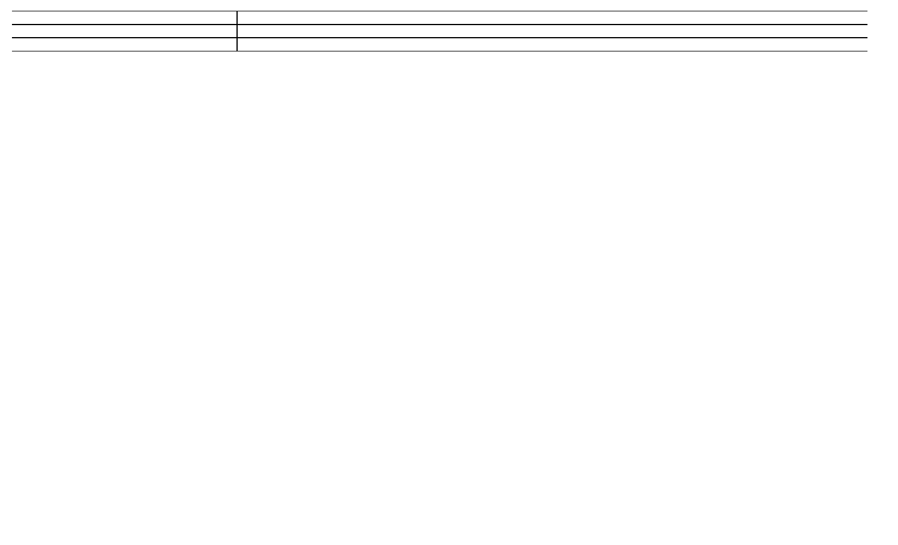| ,我们就会不会不会。""我们,我们也不会不会不会。""我们,我们也不会不会不会不会不会不会。""我们,我们也不会不会不会不会。""我们,我们也不会不会不会不会不  |
|-----------------------------------------------------------------------------------|
| ,一个人都是一个人的人,一个人都是一个人的人,一个人都是一个人的人,一个人都是一个人的人,一个人都是一个人的人,一个人都是一个人的人,一个人都是一个人的人,一个人 |
|                                                                                   |
| ,一个人都是一个人的人,而且,我们也不会不会不会。""我们,我们也不会不会不会不会不会不会不会。""我们,我们也不会不会不会不会不会不会不会不会。""我们,我们  |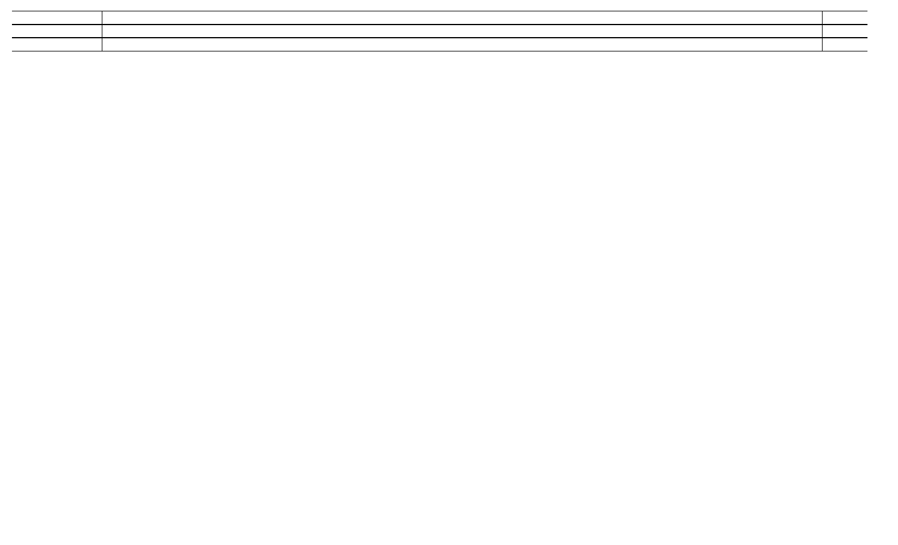| ,一个人都是一个人的人,一个人都是一个人的人,一个人都是一个人的人,一个人都是一个人的人,一个人都是一个人的人,一个人都是一个人的人,一个人都是一个人的人,一个人<br>第二十一章 一个人的人,一个人都是一个人的人,一个人都是一个人的人,一个人都是一个人的人,一个人都是一个人的人,一个人都是一个人的人,一个人都是一个人的人,一个<br>,一个人都是一个人的人,一个人都是一个人的人,一个人都是一个人的人,一个人都是一个人的人,一个人都是一个人的人,一个人都是一个人的人,一个人都是一个人的人,一个人<br>第二十一章 一个人的人,一个人都是一个人的人,一个人都是一个人的人,一个人都是一个人的人,一个人都是一个人的人,一个人都是一个人的人,一个人都是一个人的人,一个 |  |
|------------------------------------------------------------------------------------------------------------------------------------------------------------------------------------------------------------------------------------------------------------------------------------------------------------------------------------------------|--|
| ,一个人的人都是一个人的人,而且,他们的人都是一个人的人,而且,他们的人都是一个人的人,而且,他们的人都是一个人的人,而且,他们的人都是一个人的人,而且,他们的<br>第一百一十一章 一个人的人,他们的人都是一个人的人,他们的人都是一个人的人,他们的人都是一个人的人,他们的人都是一个人的人,他们的人都是一个人的人,他们的人都是                                                                                                                                                                           |  |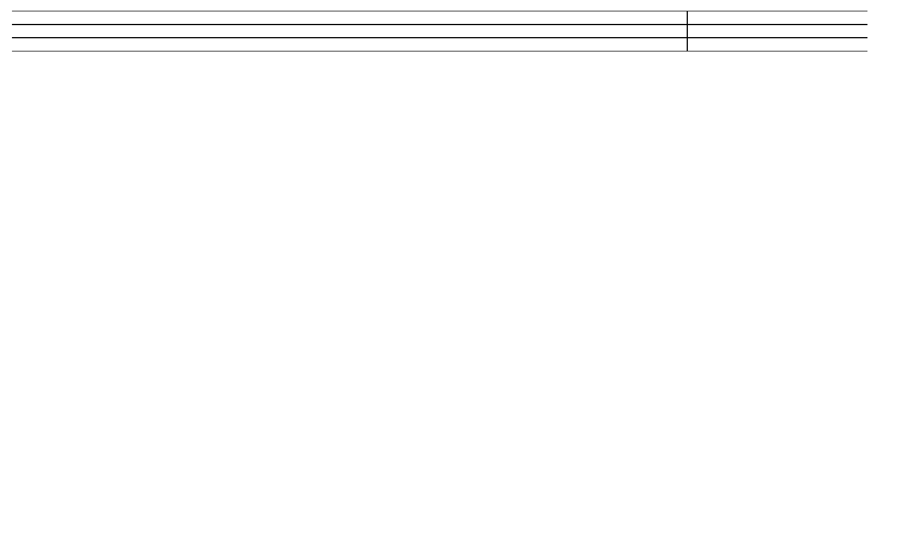| ,一个人的人都是一个人的人,而且,我们也不会不会不会。""我们,我们也不会不会不会不会不会不会。""我们,我们也不会不会不会不会。""我们,我们也不会不会不会不 |  |
|----------------------------------------------------------------------------------|--|
|                                                                                  |  |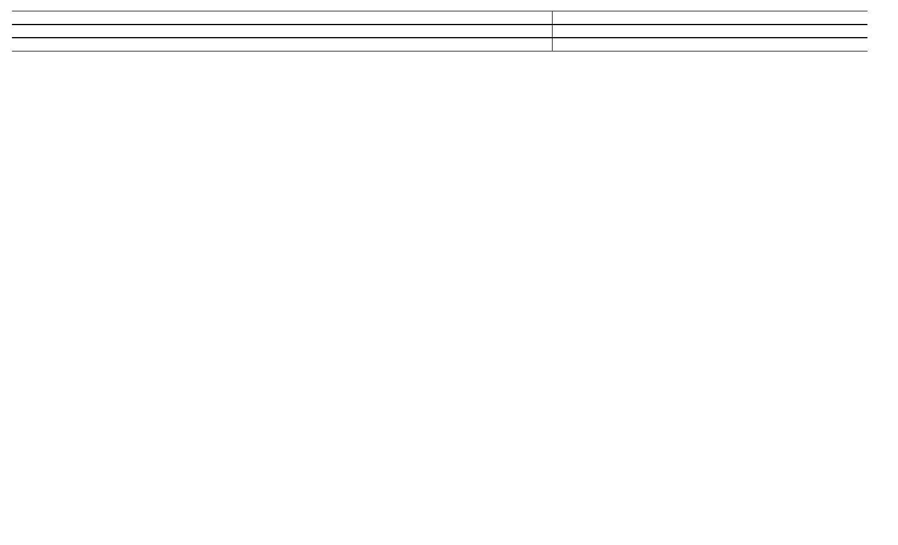| → 中国的 → 中国的 → 中国的 → 中国的 → 中国的 → 中国的 → 中国的 → 中国的 → 中国的 → 中国的 → 中国的 → 中国的 → 中国的 → 中国的 → 中国的 → 中国的 → 中国的 → 中国的 → 中国 |  |
|------------------------------------------------------------------------------------------------------------------|--|
|                                                                                                                  |  |
|                                                                                                                  |  |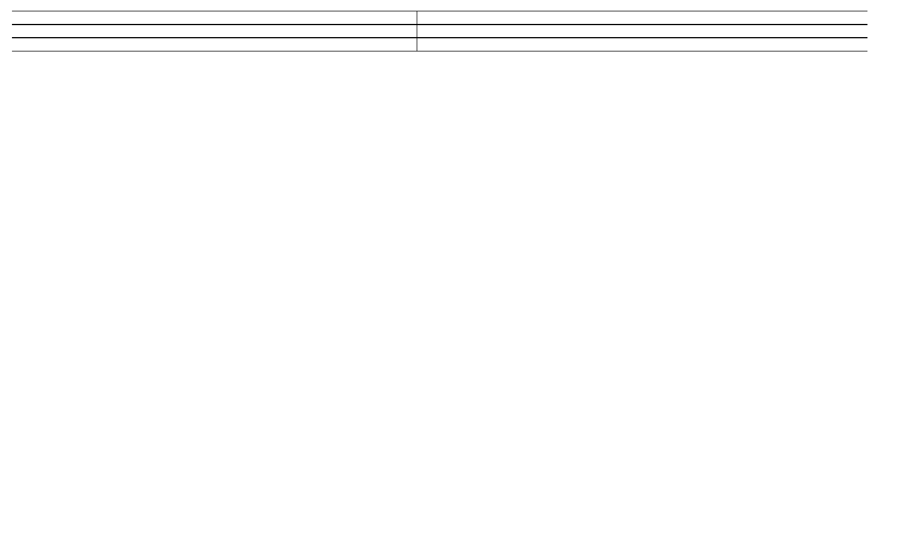| ,我们就会不会不会。""我们,我们就会不会不会不会,我们就会不会不会不会。""我们,我们就会不会不会不会。""我们,我们就会不会不会不会。""我们,我们就会不会 |                                                                                   |
|----------------------------------------------------------------------------------|-----------------------------------------------------------------------------------|
|                                                                                  | ,我们也不会不会不会。""我们的,我们也不会不会不会。""我们的,我们也不会不会不会不会。""我们的,我们也不会不会不会不会。""我们的,我们也不会不会不会不会  |
|                                                                                  | ,我们就会不会不会。""我们,我们就会不会不会,我们就会不会不会,我们就会不会不会。""我们,我们就会不会不会。""我们,我们就会不会不会不会。""我们,我们就会 |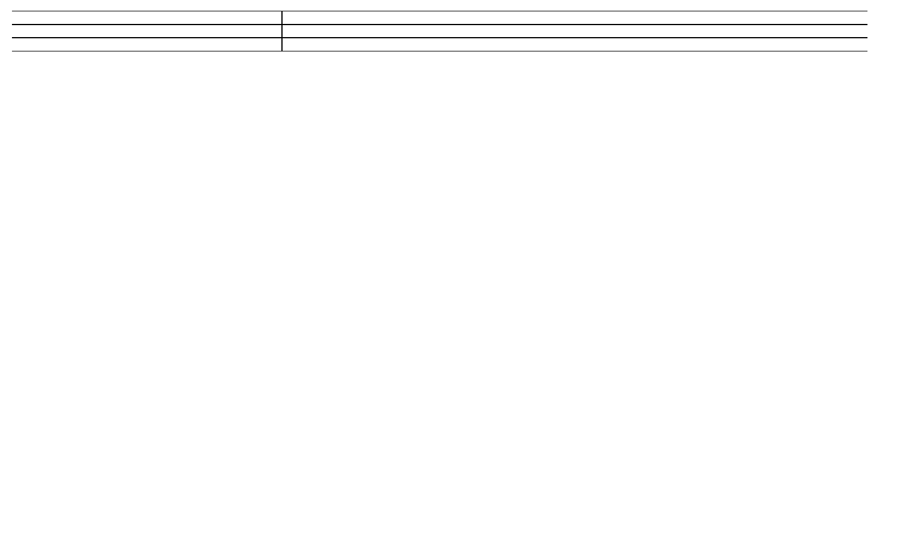| ,一个人都是一个人的人,我们就是一个人的人,我们就是一个人的人,我们就是一个人的人,我们就是一个人的人,我们就是一个人的人,我们就是一个人的人,我们就是一个人的<br>第一百一十一章 一个人的人,我们就是一个人的人,我们就是一个人的人,我们就是一个人的人,我们就是一个人的人,我们就是一个人的人,我们就是一个人的人,我们就是一个 |
|----------------------------------------------------------------------------------------------------------------------------------------------------------------------|
|                                                                                                                                                                      |
|                                                                                                                                                                      |
|                                                                                                                                                                      |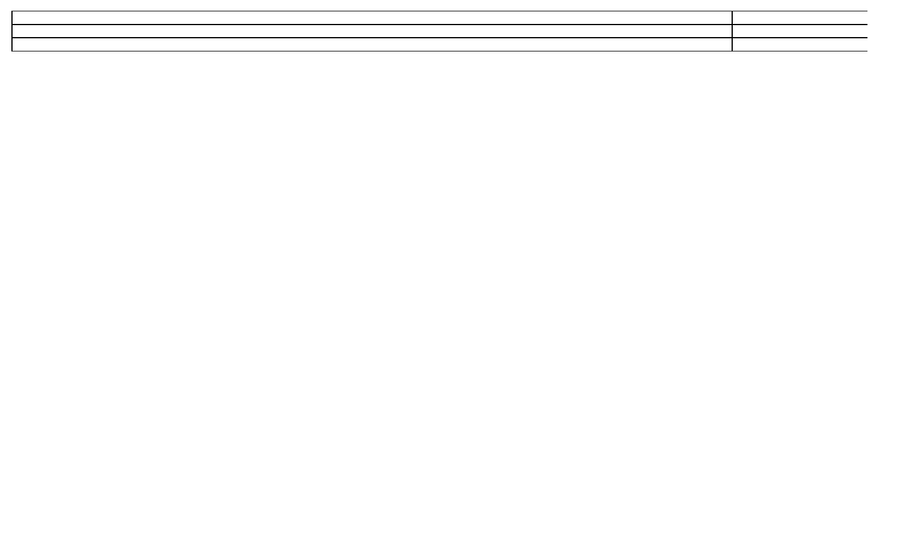| ,他们的人们就是一个人,他们的人们就是一个人,他们的人们,他们的人们就是一个人,他们的人们,他们的人们就是一个人,他们的人们,他们的人们,他们的人们,他们的人们,<br>第25章 我们的人们,他们的人们,他们的人们,他们的人们,他们的人们,他们的人们,他们的人们,他们的人们,他们的人们,他们的人们,他们的人们,他们的人们,他们的 |  |
|-----------------------------------------------------------------------------------------------------------------------------------------------------------------------|--|
| ,一个人都是一个人的人,而且,他们的人都是一个人,而且,他们的人都是一个人,而且,他们的人都是一个人,而且,他们的人都是一个人,而且,他们的人都是一个人,而且,他<br>第二百一十一章 一个人,他们的人都是一个人,他们的人都是一个人,他们的人都是一个人,他们的人都是一个人,他们的人都是一个人,他们的人都是一个人,他们的人都是一个 |  |
| ,一个人都是一个人的人,而且,他们的人都是一个人,他们的人都是一个人,他们的人都是一个人,他们的人都是一个人,他们的人都是一个人,他们的人都是一个人,他们的人都是                                                                                     |  |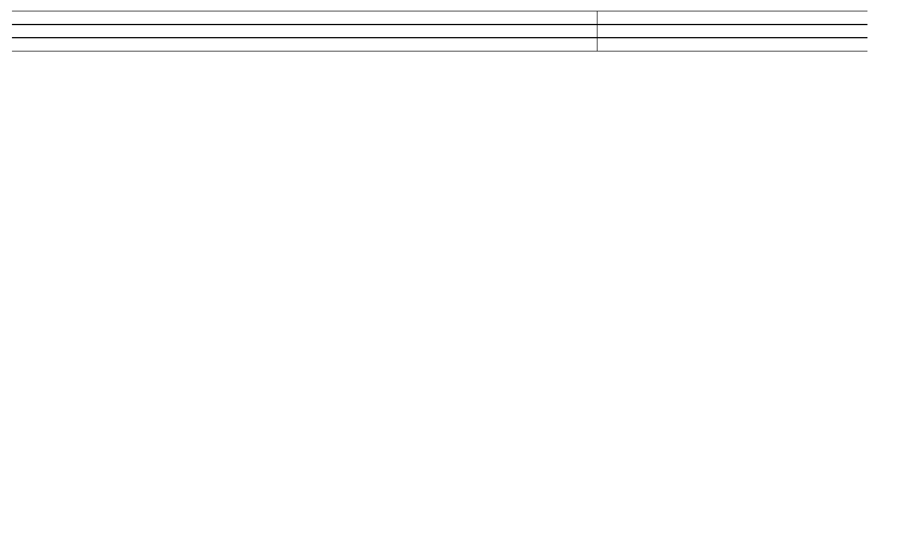| ,一个人都是一个人的人,而且,我们也不会不会不会。""我们,我们也不会不会不会不会不会不会不会不会。""我们,我们也不会不会不会不会不会不会不会不会。""我们,我<br>,他们的人们也不会不会。""我们的人们,我们也不会不会不会。""我们的人们,我们也不会不会不会。""我们的人们,我们也不会不会不会。""我们的人们,我们也不会不 |  |
|-----------------------------------------------------------------------------------------------------------------------------------------------------------------------|--|
| ,我们也不会不会不会。""我们的,我们也不会不会不会。""我们的,我们也不会不会不会不会。""我们的,我们也不会不会不会不会。""我们的,我们也不会不会不会不会                                                                                      |  |
|                                                                                                                                                                       |  |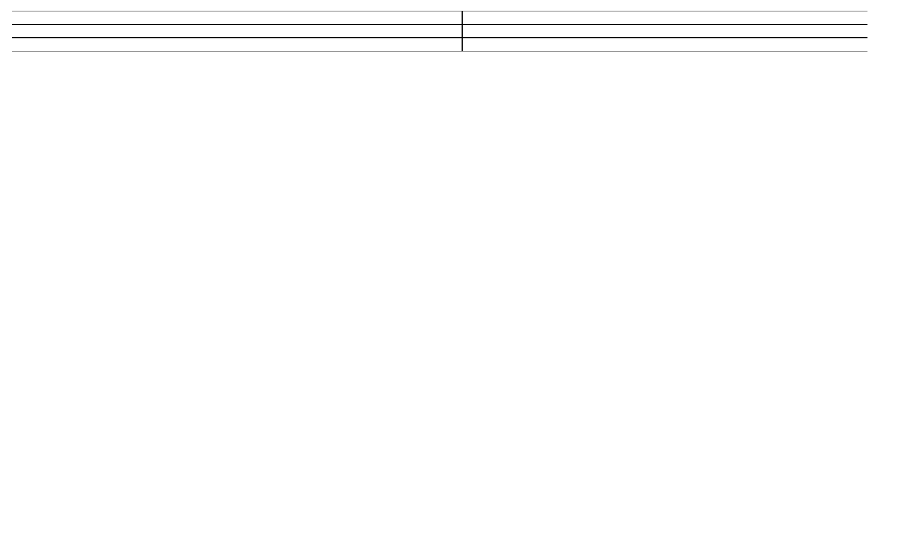| <u> 2001 - An t-An Aontaithe ann an t-Aontaithe ann an t-Aontaithe ann an t-Aontaithe ann an t-Aontaithe ann an t-</u> |
|------------------------------------------------------------------------------------------------------------------------|
|                                                                                                                        |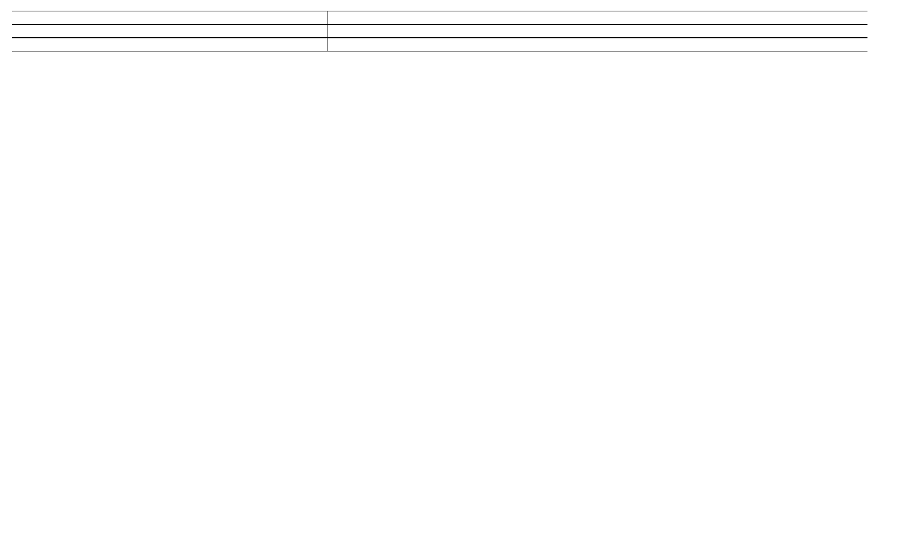| ,一个人都是一个人的人,而且,他们的人都是一个人,而且,他们的人都是一个人,而且,他们的人都是一个人,而且,他们的人都是一个人,而且,他们的人都是一个人,而且,他<br>第二十一章 一个人,他们的人都是一个人,他们的人都是一个人,他们的人都是一个人,他们的人都是一个人,他们的人都是一个人,他们的人都是一个人,他们的人都是一个人, | ,我们也不会不会。""我们的,我们也不会不会。""我们的,我们也不会不会不会。""我们的,我们也不会不会不会。""我们的,我们也不会不会不会。""我们的,我们也 |
|-----------------------------------------------------------------------------------------------------------------------------------------------------------------------|----------------------------------------------------------------------------------|
|                                                                                                                                                                       |                                                                                  |
|                                                                                                                                                                       |                                                                                  |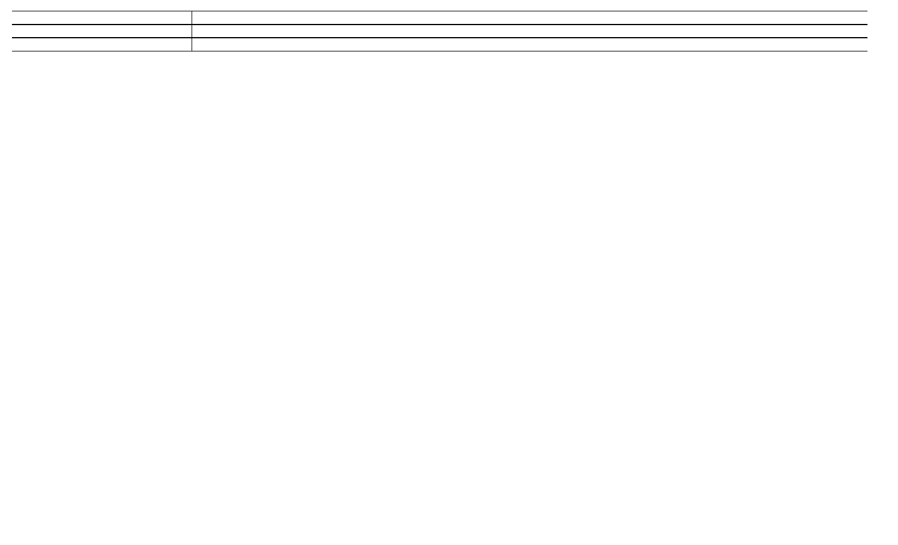| ,一个人的人都是一个人的人,而且,他们的人都是一个人的人,而且,他们的人都是一个人的人,而且,他们的人都是一个人的人,而且,他们的人都是一个人的人,而且,他们的人<br>第一百一十一章 一个人的人,他们的人都是一个人的人,他们的人都是一个人的人,他们的人都是一个人的人,他们的人都是一个人的人,他们的人都是一个人的人,他们的人都是<br>,我们就会不会不会。""我们,我们就会不会不会不会。""我们,我们就会不会不会不会不会不会。""我们,我们就会不会不会不会不会。""我们,我们就会不会不会不会不 |
|-----------------------------------------------------------------------------------------------------------------------------------------------------------------------------------------------------------------------------------------------------------|
| ,一个人都是一个人的人,而且,他们的人都是一个人,而且,他们的人都是一个人,而且,他们的人都是一个人,而且,他们的人都是一个人,而且,他们的人都是一个人,而且,他<br>第二十一章 一个人,他们的人都是一个人,他们的人都是一个人,他们的人都是一个人,他们的人都是一个人,他们的人都是一个人,他们的人都是一个人,他们的人都是一个人,                                                                                     |
|                                                                                                                                                                                                                                                           |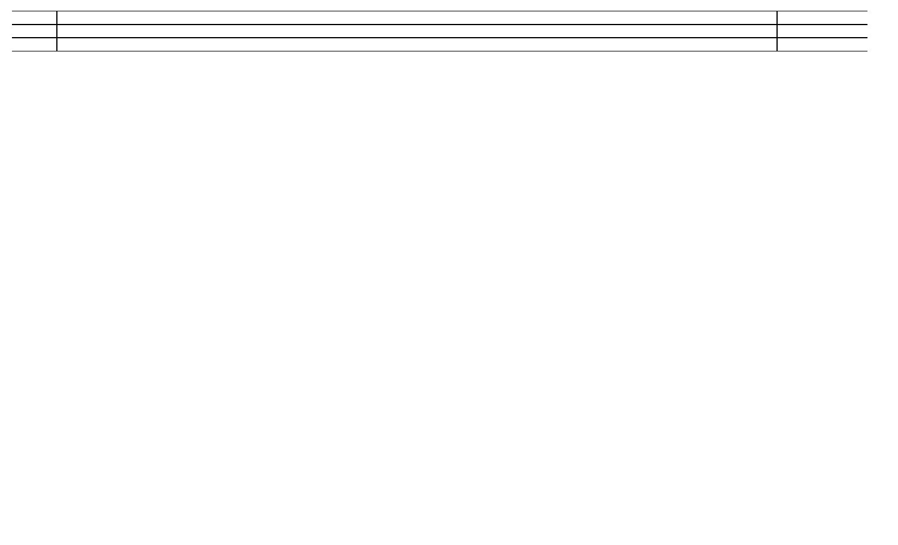| <u>та на представљен под податковата на представљен податковата на представљен податковата на представљен податк</u> |  |
|----------------------------------------------------------------------------------------------------------------------|--|
|                                                                                                                      |  |
| ,一个人都是一个人的人,一个人都是一个人的人,一个人都是一个人的人,一个人都是一个人的人,一个人都是一个人的人,一个人都是一个人的人,一个人都是一个人的人,一个人                                    |  |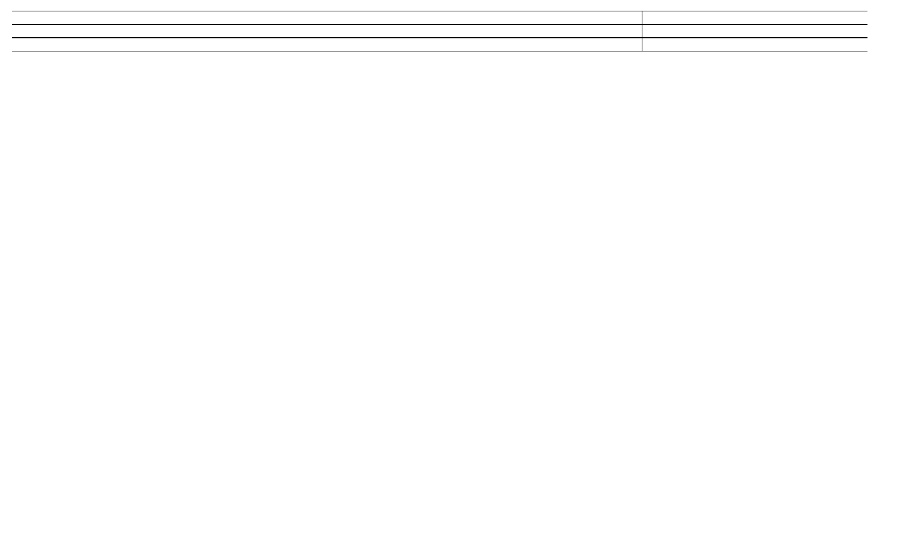| ,一个人都是一个人的人,一个人都是一个人的人,一个人都是一个人的人,一个人都是一个人的人,一个人都是一个人的人,一个人都是一个人的人,一个人都是一个人的人,一个人<br>→ South State State State State State State State State State State State State State State State State State State State State State State State State State State State State State State State State State State State St |  |
|-------------------------------------------------------------------------------------------------------------------------------------------------------------------------------------------------------------------------------------------------------------------------------------------------------------------|--|
| ,一个人的人都是一个人的人,而且,他们的人都是不是一个人的人,而且,他们的人都是不是一个人的人,而且,他们的人都是不是一个人的人,而且,他们的人都是不是一个人的<br>第一百一十一章 一个人的人,他们的人都是不是一个人的人,他们的人都是不是一个人的人,他们的人都是不是一个人的人,他们的人都是不是一个人的人,他们的人都是不是一个                                                                                                                                              |  |
| ,我们也不会不会不会。""我们的,我们也不会不会不会。""我们的,我们也不会不会不会不会不会。""我们的,我们也不会不会不会不会。""我们的,我们也不会不会不会<br>第二百一章 第二百一章 第二百一章 第二百一章 第二百一章 第二百一章 第二百一章 第二百一章 第二百一章 第二百一章 第二百一章 第二百一章 第二百一章 第二                                                                                                                                              |  |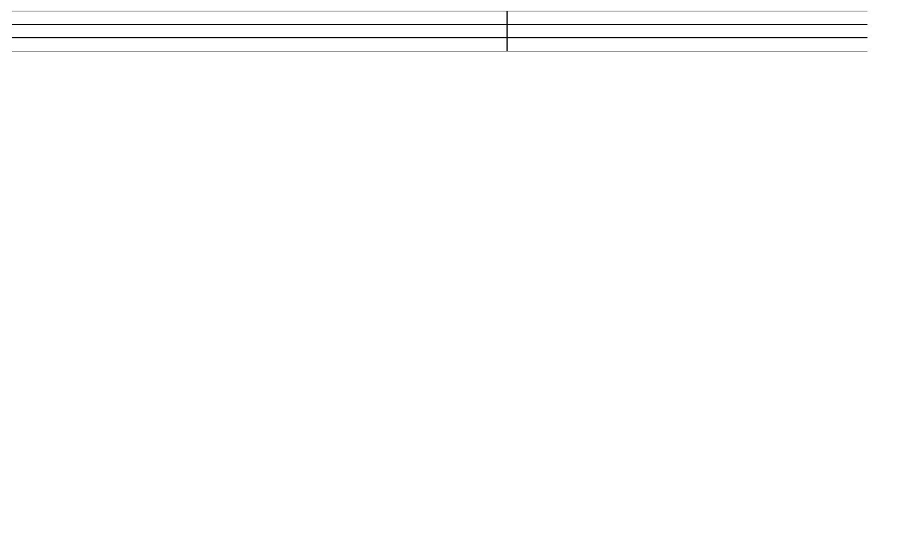| ,一个人都是一个人的人,而且,他们的人都是一个人,而且,他们的人都是一个人,而且,他们的人都是一个人,而且,他们的人都是一个人,而且,他们的人都是一个人,而且,他<br>第二十二章 第二十二章 第二十二章 第二十二章 第二十二章 第二十二章 第二十二章 第二十二章 第二十二章 第二十二章 第二十二章 第二十二章 第二十二章 第二十 |  |
|------------------------------------------------------------------------------------------------------------------------------------------------------------------------|--|
|                                                                                                                                                                        |  |
| ,一个人的人都是一个人的人,而且,他们的人都是一个人的人,而且,他们的人都是一个人的人,而且,他们的人都是一个人的人,而且,他们的人都是一个人的人,而且,他们的人                                                                                      |  |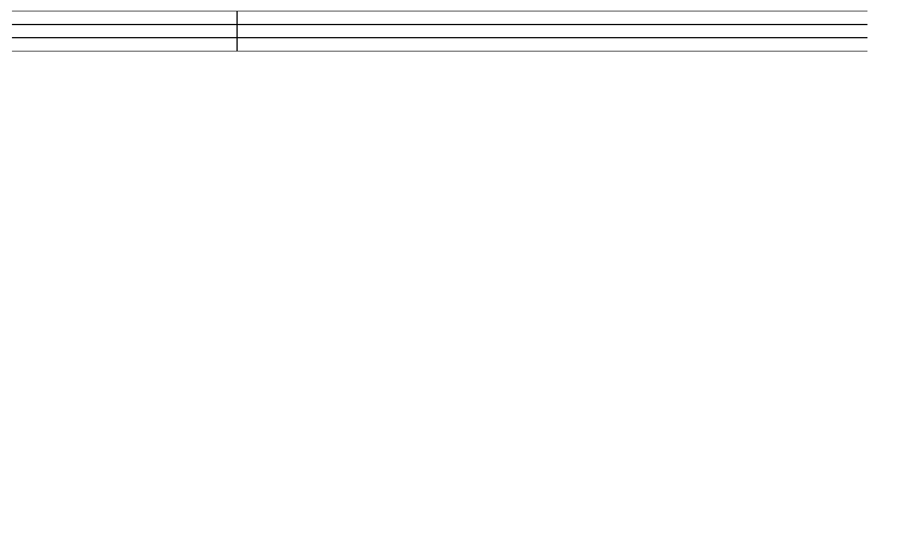| ,我们就会不会不会。""我们,我们也不会不会不会。""我们,我们也不会不会不会不会不会不会。""我们,我们也不会不会不会不会。""我们,我们也不会不会不会不会不  |
|-----------------------------------------------------------------------------------|
| ,一个人都是一个人的人,一个人都是一个人的人,一个人都是一个人的人,一个人都是一个人的人,一个人都是一个人的人,一个人都是一个人的人,一个人都是一个人的人,一个人 |
|                                                                                   |
| ,一个人都是一个人的人,而且,我们也不会不会不会。""我们,我们也不会不会不会不会不会不会不会。""我们,我们也不会不会不会不会不会不会不会不会。""我们,我们  |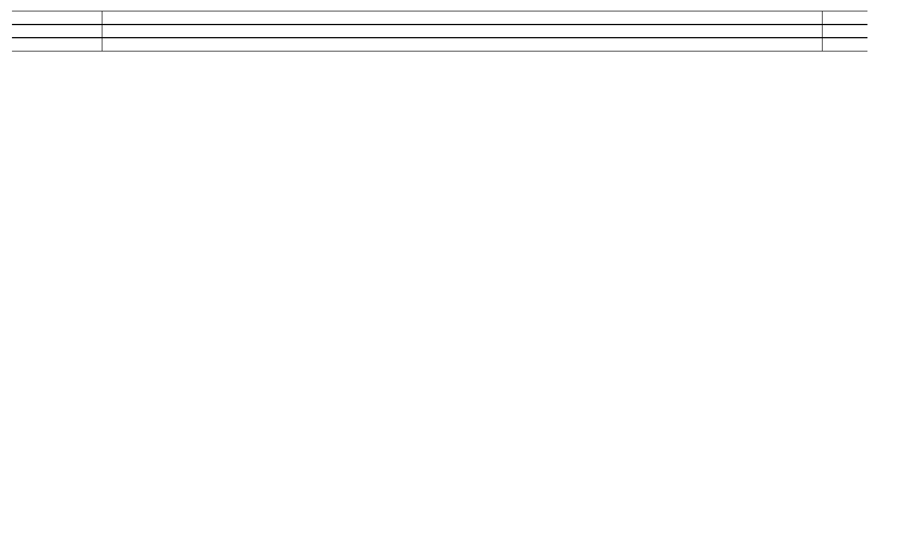| ,一个人都是一个人的人,一个人都是一个人的人,一个人都是一个人的人,一个人都是一个人的人,一个人都是一个人的人,一个人都是一个人的人,一个人都是一个人的人,一个人<br>第二十一章 一个人的人,一个人的人都是一个人的人,一个人的人都是一个人的人,一个人的人都是一个人的人,一个人的人都是一个人的人,一个人的人都是一个人的人,一个人<br>,一个人都是一个人的人,一个人都是一个人的人,一个人都是一个人的人,一个人都是一个人的人,一个人都是一个人的人,一个人都是一个人的人,一个人都是一个人的人,一个人<br>第二十一章 一个人的人,一个人都是一个人的人,一个人都是一个人的人,一个人都是一个人的人,一个人都是一个人的人,一个人都是一个人的人,一个人都是一个人的人,一个 |  |
|------------------------------------------------------------------------------------------------------------------------------------------------------------------------------------------------------------------------------------------------------------------------------------------------------------------------------------------------|--|
| ,一个人的人都是一个人的人,而且,他们的人都是一个人的人,而且,他们的人都是一个人的人,而且,他们的人都是一个人的人,而且,他们的人都是一个人的人,而且,他们的<br>第一百一十一章 一个人的人,他们的人都是一个人的人,他们的人都是一个人的人,他们的人都是一个人的人,他们的人都是一个人的人,他们的人都是一个人的人,他们的人都是                                                                                                                                                                           |  |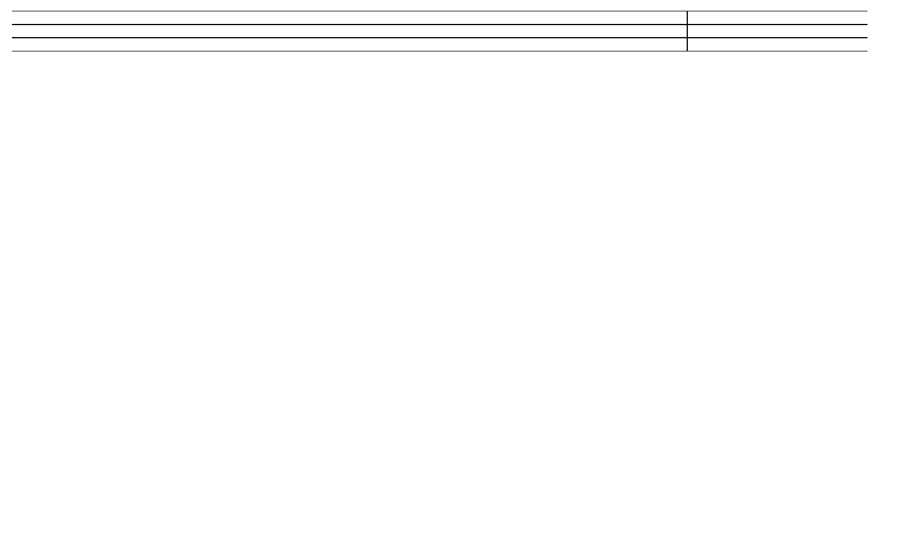| ,一个人的人都是一个人的人,而且,我们也不会不会不会。""我们,我们也不会不会不会不会不会不会。""我们,我们也不会不会不会不会。""我们,我们也不会不会不会不 |  |
|----------------------------------------------------------------------------------|--|
|                                                                                  |  |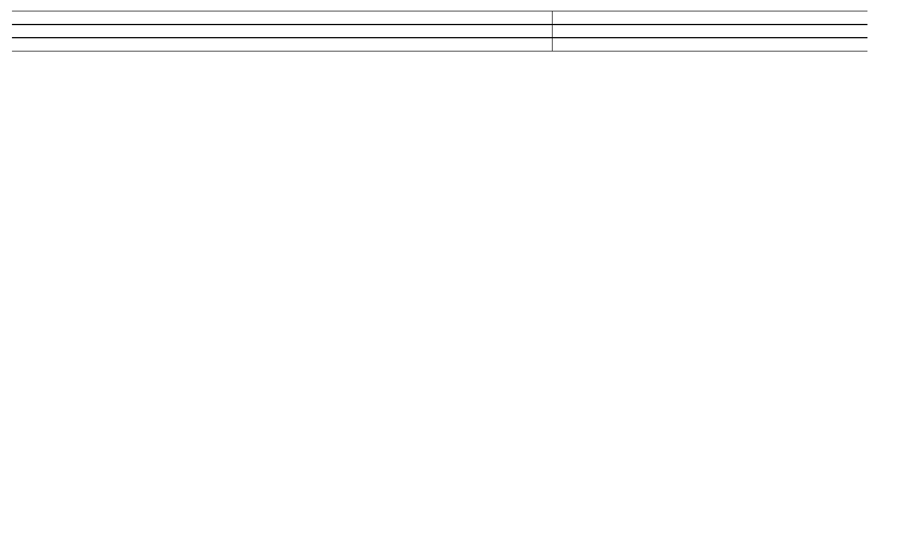| → 中国的 → 中国的 → 中国的 → 中国的 → 中国的 → 中国的 → 中国的 → 中国的 → 中国的 → 中国的 → 中国的 → 中国的 → 中国的 → 中国的 → 中国的 → 中国的 → 中国的 → 中国的 → 中国 |  |
|------------------------------------------------------------------------------------------------------------------|--|
|                                                                                                                  |  |
|                                                                                                                  |  |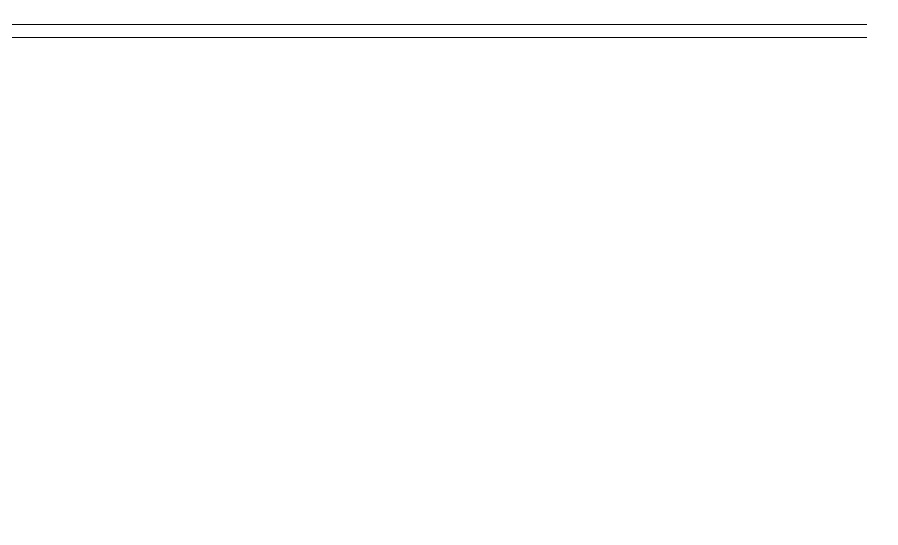| ,我们就会不会不会。""我们,我们就会不会不会不会,我们就会不会不会不会。""我们,我们就会不会不会不会。""我们,我们就会不会不会不会。""我们,我们就会不会 |                                                                                   |
|----------------------------------------------------------------------------------|-----------------------------------------------------------------------------------|
|                                                                                  | ,我们也不会不会不会。""我们的,我们也不会不会不会。""我们的,我们也不会不会不会不会。""我们的,我们也不会不会不会不会。""我们的,我们也不会不会不会不会  |
|                                                                                  | ,我们就会不会不会。""我们,我们就会不会不会,我们就会不会不会,我们就会不会不会。""我们,我们就会不会不会。""我们,我们就会不会不会不会。""我们,我们就会 |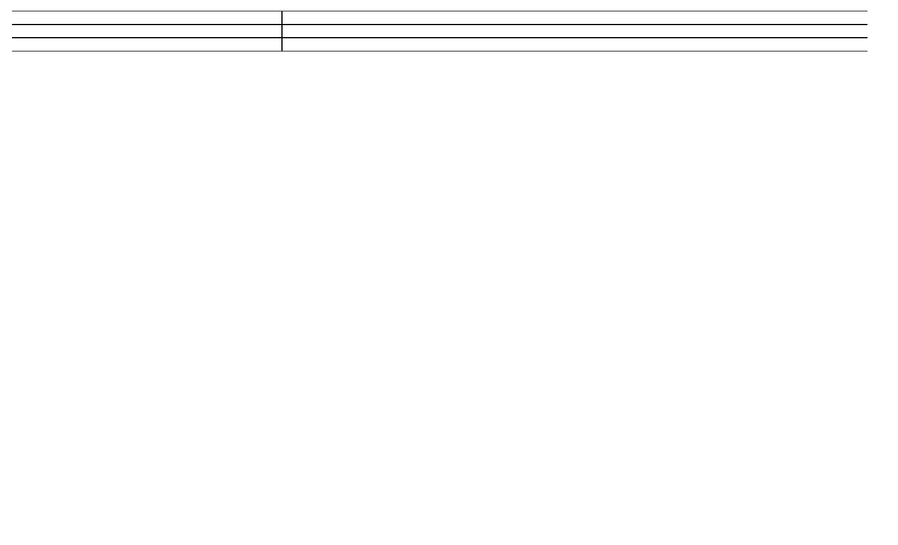| ,一个人都是一个人的人,我们就是一个人的人,我们就是一个人的人,我们就是一个人的人,我们就是一个人的人,我们就是一个人的人,我们就是一个人的人,我们就是一个人的<br>第一百一十一章 一个人的人,我们就是一个人的人,我们就是一个人的人,我们就是一个人的人,我们就是一个人的人,我们就是一个人的人,我们就是一个人的人,我们就是一个 |
|----------------------------------------------------------------------------------------------------------------------------------------------------------------------|
|                                                                                                                                                                      |
|                                                                                                                                                                      |
|                                                                                                                                                                      |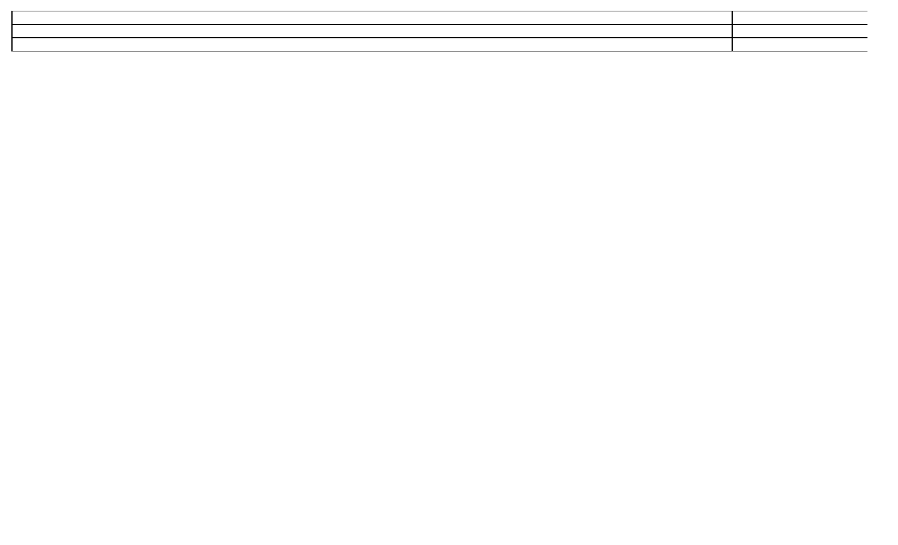| ,他们的人们就是一个人,他们的人们就是一个人,他们的人们,他们的人们就是一个人,他们的人们,他们的人们就是一个人,他们的人们,他们的人们,他们的人们,他们的人们,<br>第25章 我们的人们,他们的人们,他们的人们,他们的人们,他们的人们,他们的人们,他们的人们,他们的人们,他们的人们,他们的人们,他们的人们,他们的人们,他们的 |  |
|-----------------------------------------------------------------------------------------------------------------------------------------------------------------------|--|
| ,一个人都是一个人的人,而且,他们的人都是一个人,而且,他们的人都是一个人,而且,他们的人都是一个人,而且,他们的人都是一个人,而且,他们的人都是一个人,而且,他<br>第二百一十一章 一个人,他们的人都是一个人,他们的人都是一个人,他们的人都是一个人,他们的人都是一个人,他们的人都是一个人,他们的人都是一个人,他们的人都是一个 |  |
| ,一个人都是一个人的人,而且,他们的人都是一个人,他们的人都是一个人,他们的人都是一个人,他们的人都是一个人,他们的人都是一个人,他们的人都是一个人,他们的人都是                                                                                     |  |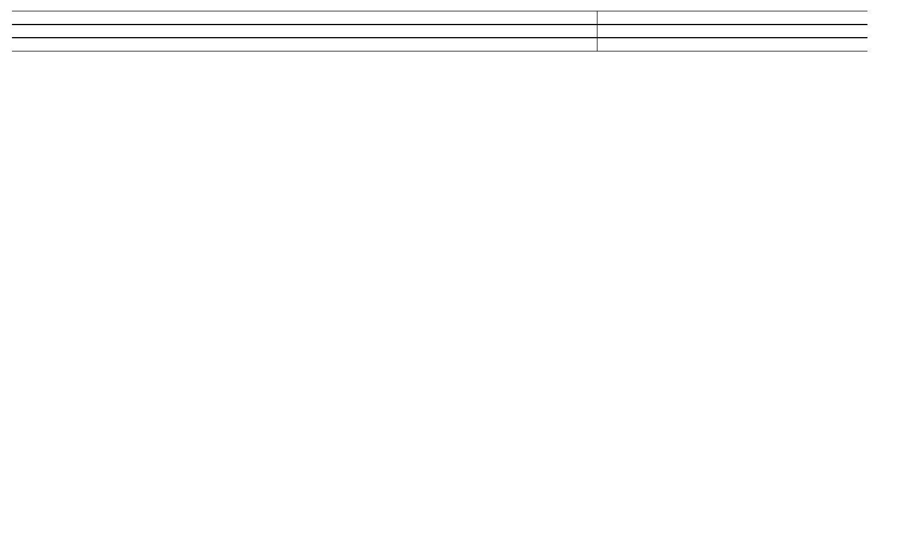| ,一个人都是一个人的人,而且,我们也不会不会不会。""我们,我们也不会不会不会不会不会不会不会不会。""我们,我们也不会不会不会不会不会不会不会不会。""我们,我<br>,他们的人们也不会不会。""我们的人们,我们也不会不会不会。""我们的人们,我们也不会不会不会。""我们的人们,我们也不会不会不会。""我们的人们,我们也不会不 |  |
|-----------------------------------------------------------------------------------------------------------------------------------------------------------------------|--|
| ,我们也不会不会不会。""我们的,我们也不会不会不会。""我们的,我们也不会不会不会不会。""我们的,我们也不会不会不会不会。""我们的,我们也不会不会不会不会                                                                                      |  |
|                                                                                                                                                                       |  |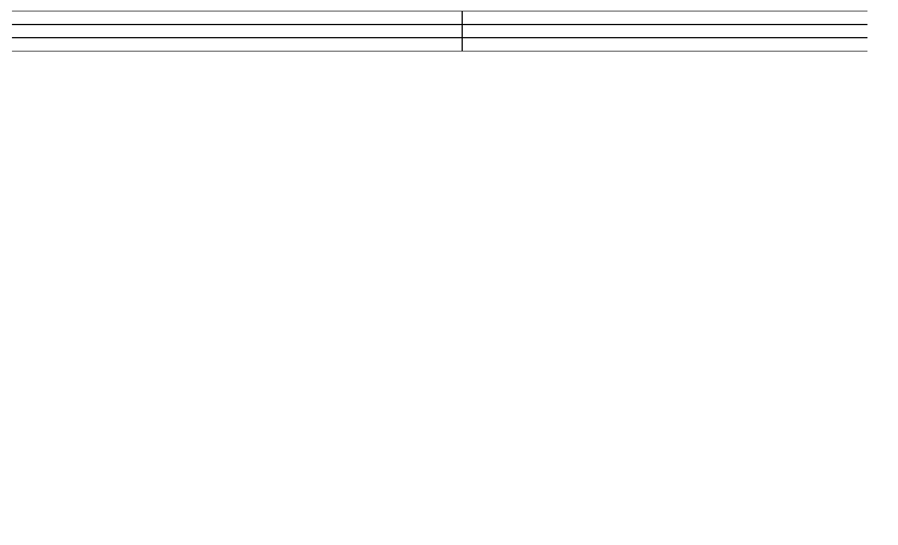| <u> 2001 - An t-An Aontaithe ann an t-Aontaithe ann an t-Aontaithe ann an t-Aontaithe ann an t-Aontaithe ann an t-</u> |
|------------------------------------------------------------------------------------------------------------------------|
|                                                                                                                        |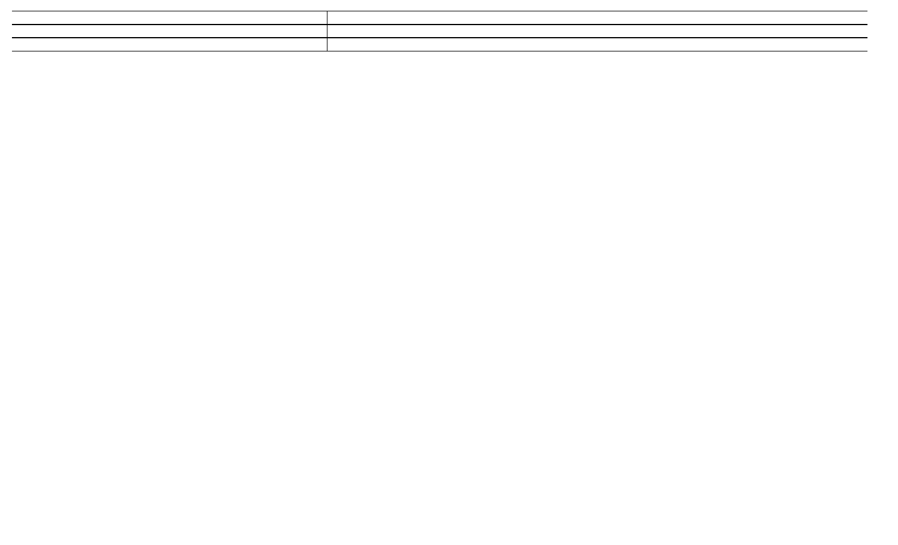| ,一个人都是一个人的人,而且,他们的人都是一个人,而且,他们的人都是一个人,而且,他们的人都是一个人,而且,他们的人都是一个人,而且,他们的人都是一个人,而且,他<br>第二十一章 一个人,他们的人都是一个人,他们的人都是一个人,他们的人都是一个人,他们的人都是一个人,他们的人都是一个人,他们的人都是一个人,他们的人都是一个人, | ,我们也不会不会。""我们的,我们也不会不会。""我们的,我们也不会不会不会。""我们的,我们也不会不会不会。""我们的,我们也不会不会不会。""我们的,我们也 |
|-----------------------------------------------------------------------------------------------------------------------------------------------------------------------|----------------------------------------------------------------------------------|
|                                                                                                                                                                       |                                                                                  |
|                                                                                                                                                                       |                                                                                  |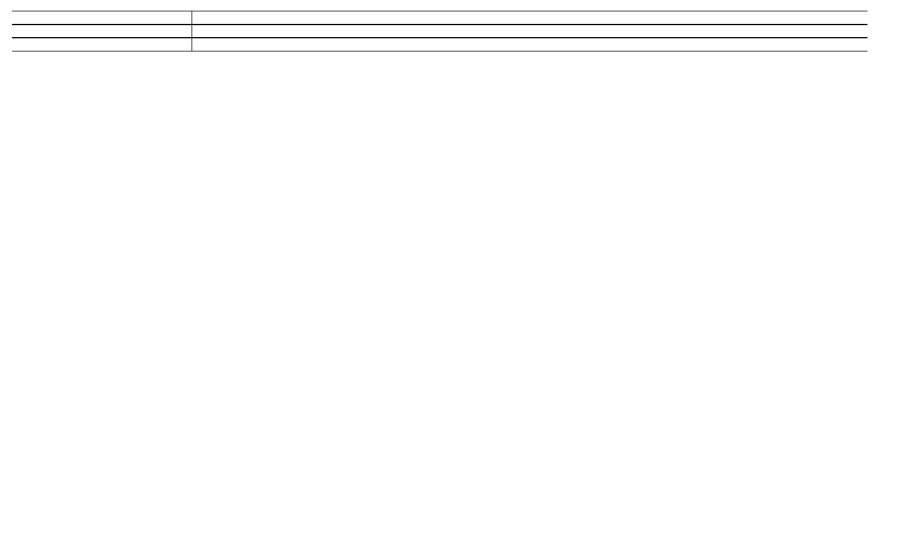| ,一个人的人都是一个人的人,而且,他们的人都是一个人的人,而且,他们的人都是一个人的人,而且,他们的人都是一个人的人,而且,他们的人都是一个人的人,而且,他们的人<br>第一百一十一章 一个人的人,他们的人都是一个人的人,他们的人都是一个人的人,他们的人都是一个人的人,他们的人都是一个人的人,他们的人都是一个人的人,他们的人都是 |
|-----------------------------------------------------------------------------------------------------------------------------------------------------------------------|
| ,一个人都是一个人的人,而且,他们的人都是一个人,而且,他们的人都是一个人,而且,他们的人都是一个人,而且,他们的人都是一个人,而且,他们的人都是一个人,而且,他<br>第二十一章 一个人,他们的人都是一个人,他们的人都是一个人,他们的人都是一个人,他们的人都是一个人,他们的人都是一个人,他们的人都是一个人,他们的人都是一个人, |
|                                                                                                                                                                       |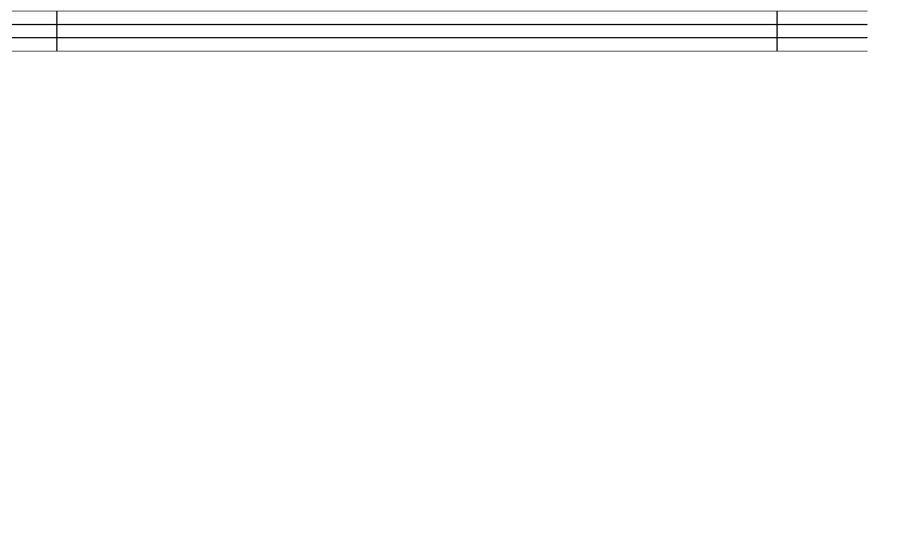| <u>та на представљен под податковата на представљен податковата на представљен податковата на представљен податк</u> |  |
|----------------------------------------------------------------------------------------------------------------------|--|
|                                                                                                                      |  |
| ,一个人都是一个人的人,一个人都是一个人的人,一个人都是一个人的人,一个人都是一个人的人,一个人都是一个人的人,一个人都是一个人的人,一个人都是一个人的人,一个人                                    |  |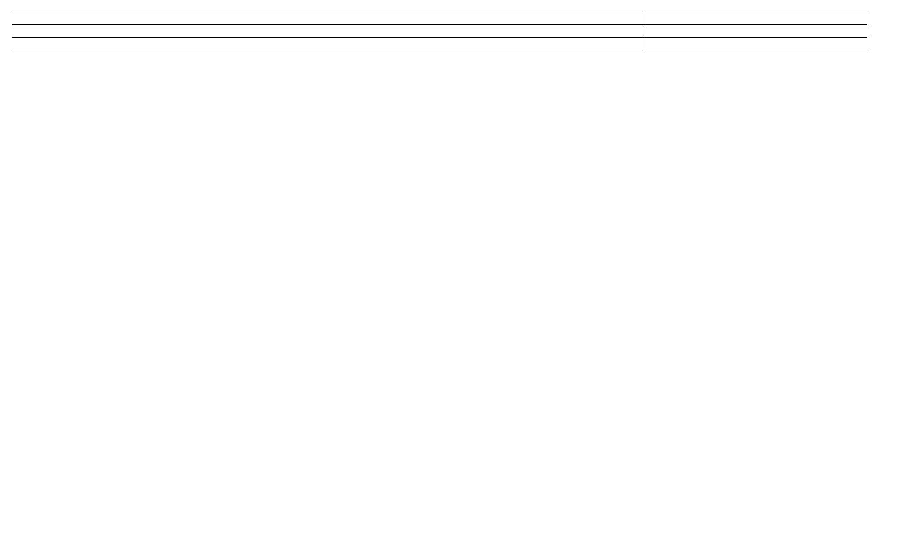| ,一个人都是一个人的人,一个人都是一个人的人,一个人都是一个人的人,一个人都是一个人的人,一个人都是一个人的人,一个人都是一个人的人,一个人都是一个人的人,一个人<br>→ South State State State State State State State State State State State State State State State State State State State State State State State State State State State State State State State State State State State St |  |
|-------------------------------------------------------------------------------------------------------------------------------------------------------------------------------------------------------------------------------------------------------------------------------------------------------------------|--|
| ,一个人的人都是一个人的人,而且,他们的人都是不是一个人的人,而且,他们的人都是不是一个人的人,而且,他们的人都是不是一个人的人,而且,他们的人都是不是一个人的<br>第一百一十一章 一个人的人,他们的人都是不是一个人的人,他们的人都是不是一个人的人,他们的人都是不是一个人的人,他们的人都是不是一个人的人,他们的人都是不是一个                                                                                                                                              |  |
| ,我们也不会不会不会。""我们的,我们也不会不会不会。""我们的,我们也不会不会不会不会不会。""我们的,我们也不会不会不会不会。""我们的,我们也不会不会不会<br>第二百一章 第二百一章 第二百一章 第二百一章 第二百一章 第二百一章 第二百一章 第二百一章 第二百一章 第二百一章 第二百一章 第二百一章 第二百一章 第二                                                                                                                                              |  |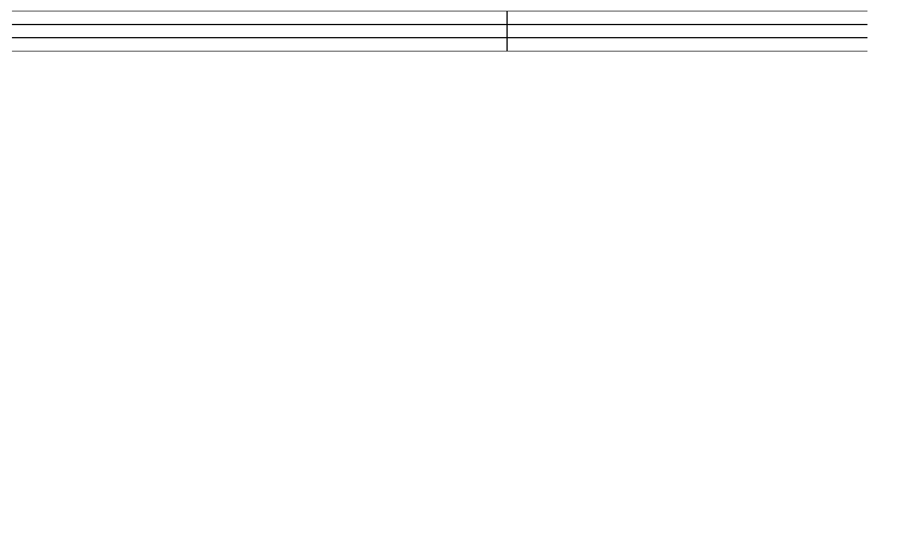| ,一个人都是一个人的人,而且,他们的人都是一个人,而且,他们的人都是一个人,而且,他们的人都是一个人,而且,他们的人都是一个人,而且,他们的人都是一个人,而且,他<br>第二十二章 第二十二章 第二十二章 第二十二章 第二十二章 第二十二章 第二十二章 第二十二章 第二十二章 第二十二章 第二十二章 第二十二章 第二十二章 第二十 |  |
|------------------------------------------------------------------------------------------------------------------------------------------------------------------------|--|
|                                                                                                                                                                        |  |
| ,我们就会不会不会。""我们的,我们也不会不会不会。""我们的,我们也不会不会不会不会不会。""我们的,我们也不会不会不会不会。""我们的,我们也不会不会不会不                                                                                       |  |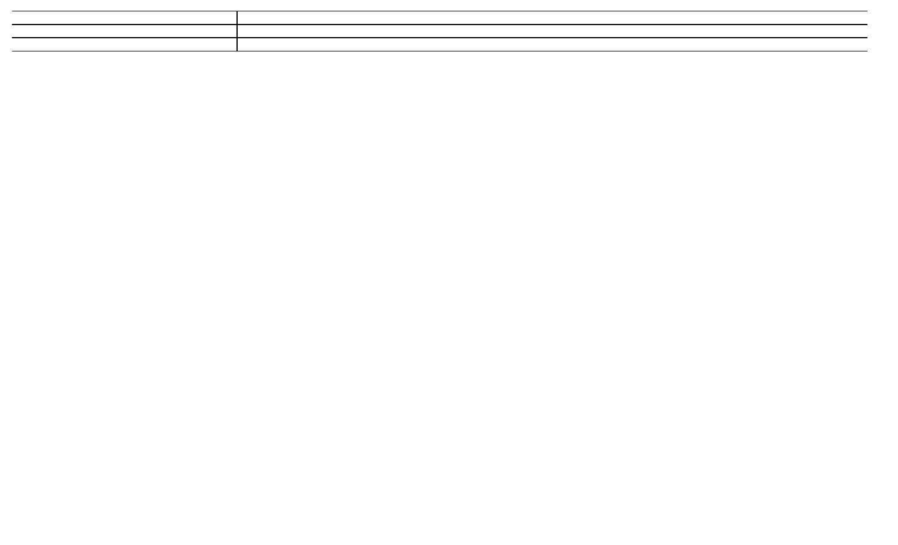| ,我们就会不会不会。""我们,我们也不会不会不会。""我们,我们也不会不会不会不会不会不会。""我们,我们也不会不会不会不会。""我们,我们也不会不会不会不会不  |
|-----------------------------------------------------------------------------------|
| ,一个人都是一个人的人,一个人都是一个人的人,一个人都是一个人的人,一个人都是一个人的人,一个人都是一个人的人,一个人都是一个人的人,一个人都是一个人的人,一个人 |
|                                                                                   |
| ,一个人都是一个人的人,而且,我们也不会不会不会。""我们,我们也不会不会不会不会不会不会不会。""我们,我们也不会不会不会不会不会不会不会不会。""我们,我们  |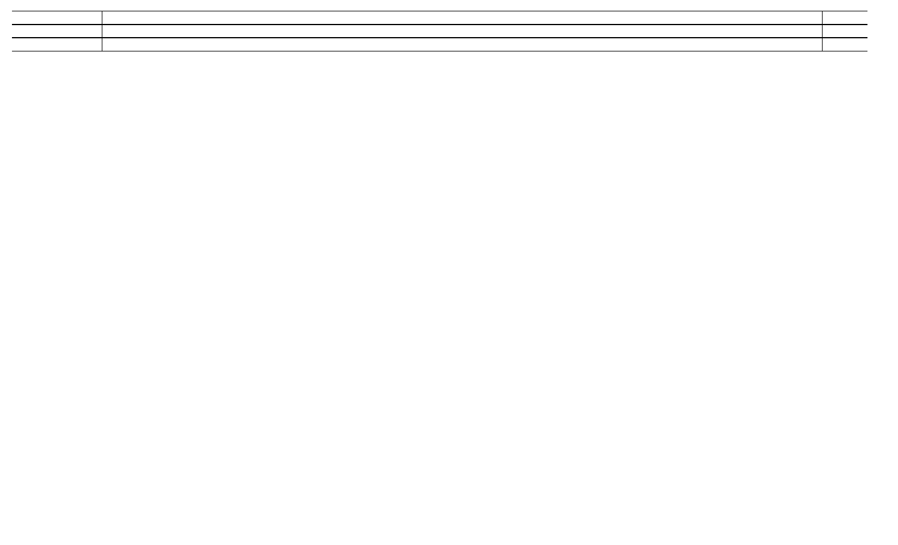| ,一个人都是一个人的人,一个人都是一个人的人,一个人都是一个人的人,一个人都是一个人的人,一个人都是一个人的人,一个人都是一个人的人,一个人都是一个人的人,一个人<br>第二十一章 一个人的人,一个人都是一个人的人,一个人都是一个人的人,一个人都是一个人的人,一个人都是一个人的人,一个人都是一个人的人,一个人都是一个人的人,一个<br>,一个人都是一个人的人,一个人都是一个人的人,一个人都是一个人的人,一个人都是一个人的人,一个人都是一个人的人,一个人都是一个人的人,一个人都是一个人的人,一个人<br>第二十一章 一个人的人,一个人都是一个人的人,一个人都是一个人的人,一个人都是一个人的人,一个人都是一个人的人,一个人都是一个人的人,一个人都是一个人的人,一个 |  |
|------------------------------------------------------------------------------------------------------------------------------------------------------------------------------------------------------------------------------------------------------------------------------------------------------------------------------------------------|--|
| ,一个人的人都是一个人的人,而且,他们的人都是一个人的人,而且,他们的人都是一个人的人,而且,他们的人都是一个人的人,而且,他们的人都是一个人的人,而且,他们的<br>第一百一十一章 一个人的人,他们的人都是一个人的人,他们的人都是一个人的人,他们的人都是一个人的人,他们的人都是一个人的人,他们的人都是一个人的人,他们的人都是                                                                                                                                                                           |  |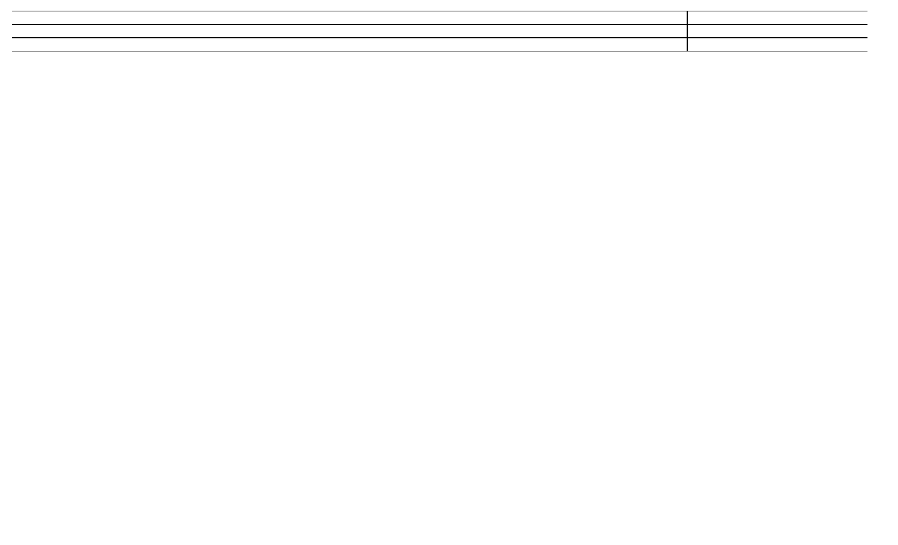| ,我们就会不会不会。""我们,我们也不会不会不会。""我们,我们也不会不会不会不会不会不会不会。""我们,我们也不会不会不会不会不会。""我们,我们也不会不会不 |  |
|----------------------------------------------------------------------------------|--|
| ,一个人的人都是一个人的人,而且,我们也不会不会不会。""我们,我们也不会不会不会不会不会不会。""我们,我们也不会不会不会不会。""我们,我们也不会不会不会不 |  |
|                                                                                  |  |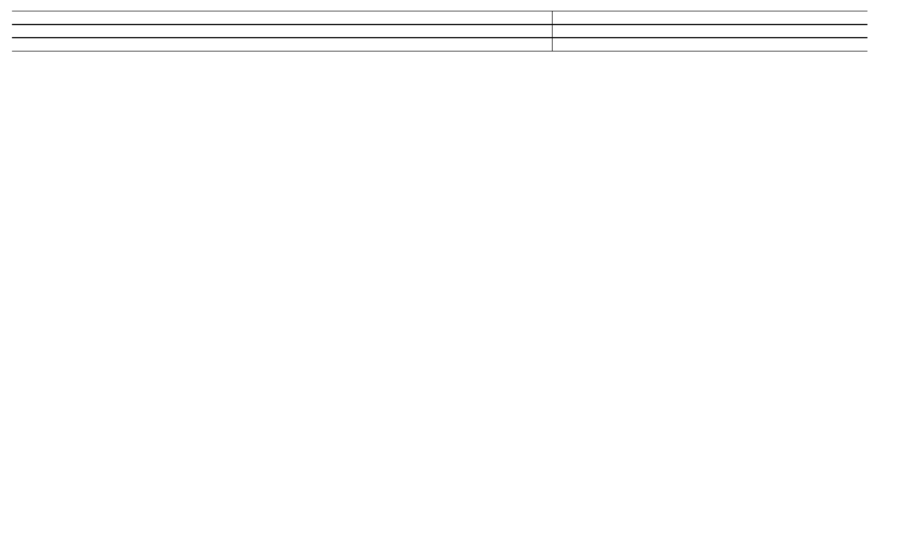| → 中国的 → 中国的 → 中国的 → 中国的 → 中国的 → 中国的 → 中国的 → 中国的 → 中国的 → 中国的 → 中国的 → 中国的 → 中国的 → 中国的 → 中国的 → 中国的 → 中国的 → 中国的 → 中国 |  |
|------------------------------------------------------------------------------------------------------------------|--|
|                                                                                                                  |  |
|                                                                                                                  |  |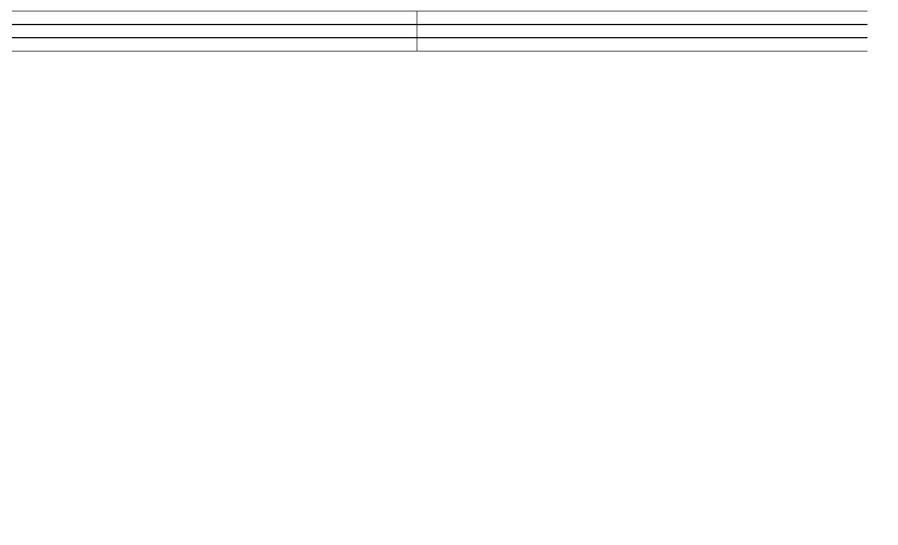| ,我们就会不会不会。""我们,我们就会不会不会不会,我们就会不会不会不会。""我们,我们就会不会不会不会。""我们,我们就会不会不会不会。""我们,我们就会不会 |                                                                                   |
|----------------------------------------------------------------------------------|-----------------------------------------------------------------------------------|
|                                                                                  | ,我们也不会不会不会。""我们的,我们也不会不会不会。""我们的,我们也不会不会不会不会。""我们的,我们也不会不会不会不会。""我们的,我们也不会不会不会不会  |
|                                                                                  | ,我们就会不会不会。""我们,我们就会不会不会,我们就会不会不会,我们就会不会不会。""我们,我们就会不会不会。""我们,我们就会不会不会不会。""我们,我们就会 |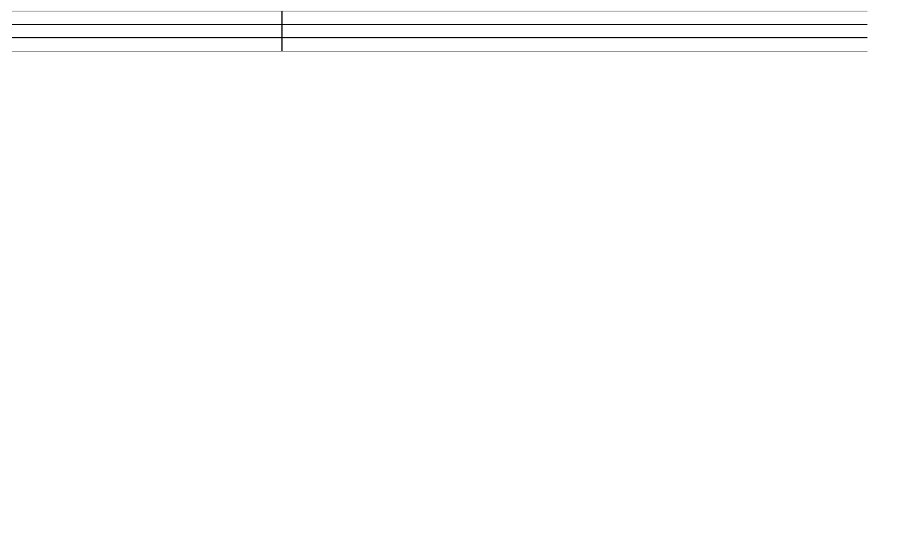| ,一个人都是一个人的人,我们就是一个人的人,我们就是一个人的人,我们就是一个人的人,我们就是一个人的人,我们就是一个人的人,我们就是一个人的人,我们就是一个人的<br>第一百一十一章 一个人的人,我们就是一个人的人,我们就是一个人的人,我们就是一个人的人,我们就是一个人的人,我们就是一个人的人,我们就是一个人的人,我们就是一个 |
|----------------------------------------------------------------------------------------------------------------------------------------------------------------------|
|                                                                                                                                                                      |
|                                                                                                                                                                      |
|                                                                                                                                                                      |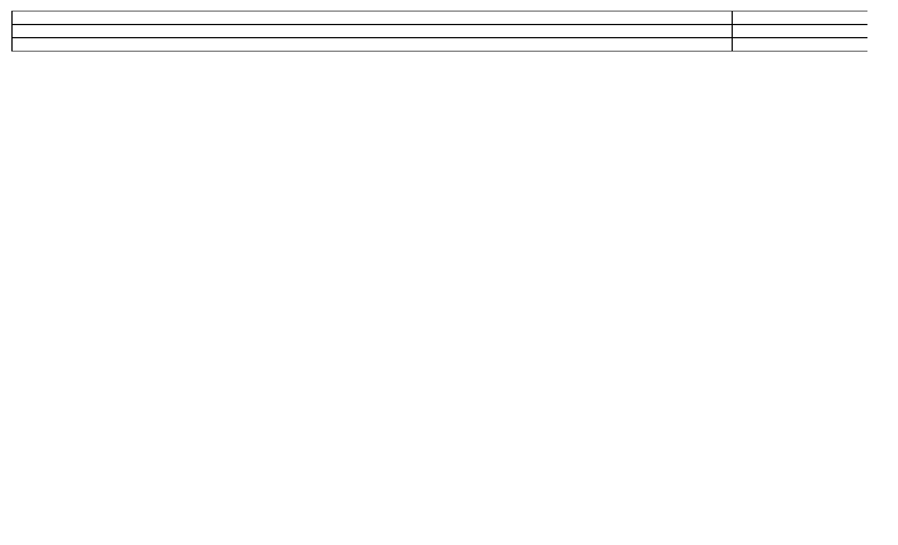| ,他们的人们就是一个人,他们的人们就是一个人,他们的人们,他们的人们就是一个人,他们的人们,他们的人们就是一个人,他们的人们,他们的人们,他们的人们,他们的人们,<br>第25章 我们的人们,他们的人们,他们的人们,他们的人们,他们的人们,他们的人们,他们的人们,他们的人们,他们的人们,他们的人们,他们的人们,他们的人们,他们的 |  |
|-----------------------------------------------------------------------------------------------------------------------------------------------------------------------|--|
| ,一个人都是一个人的人,而且,他们的人都是一个人,而且,他们的人都是一个人,而且,他们的人都是一个人,而且,他们的人都是一个人,而且,他们的人都是一个人,而且,他<br>第二百一十一章 一个人,他们的人都是一个人,他们的人都是一个人,他们的人都是一个人,他们的人都是一个人,他们的人都是一个人,他们的人都是一个人,他们的人都是一个 |  |
| ,一个人都是一个人的人,而且,他们的人都是一个人,他们的人都是一个人,他们的人都是一个人,他们的人都是一个人,他们的人都是一个人,他们的人都是一个人,他们的人都是                                                                                     |  |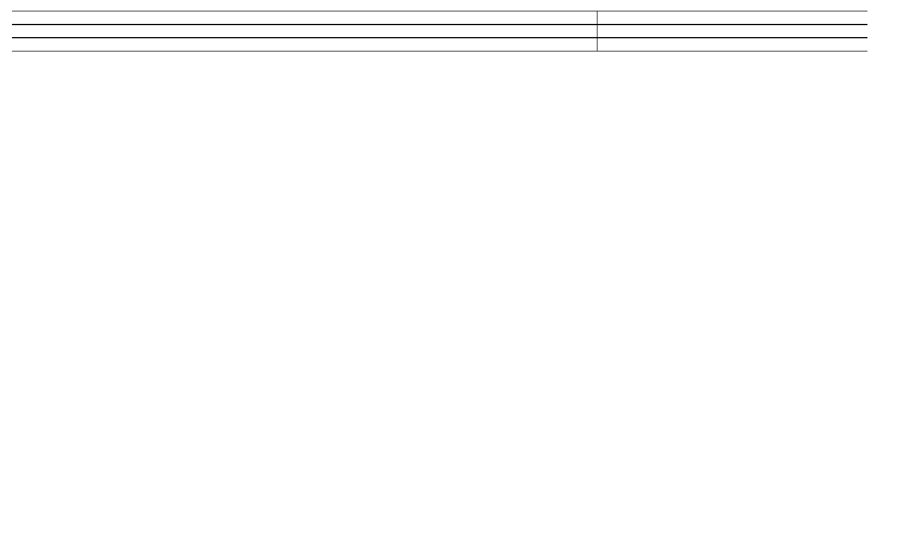| ,一个人都是一个人的人,而且,我们也不会不会不会。""我们,我们也不会不会不会不会不会不会不会不会。""我们,我们也不会不会不会不会不会不会不会不会。""我们,我<br>,他们的人们也不会不会。""我们的人们,我们也不会不会不会。""我们的人们,我们也不会不会不会。""我们的人们,我们也不会不会不会。""我们的人们,我们也不会不 |  |
|-----------------------------------------------------------------------------------------------------------------------------------------------------------------------|--|
| ,我们也不会不会不会。""我们的,我们也不会不会不会。""我们的,我们也不会不会不会不会。""我们的,我们也不会不会不会不会。""我们的,我们也不会不会不会不会                                                                                      |  |
|                                                                                                                                                                       |  |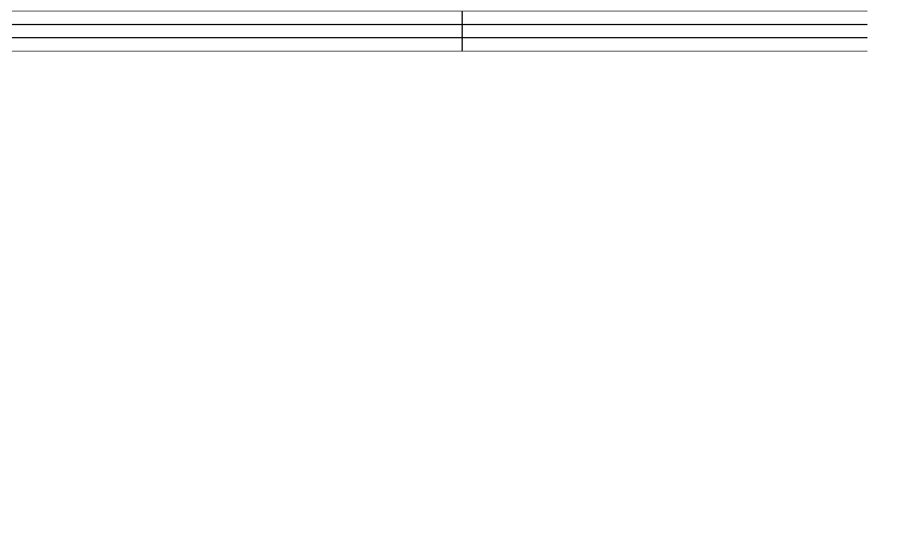| <u> 2001 - An t-An Aontaithe ann an t-Aontaithe ann an t-Aontaithe ann an t-Aontaithe ann an t-Aontaithe ann an t-</u> |
|------------------------------------------------------------------------------------------------------------------------|
|                                                                                                                        |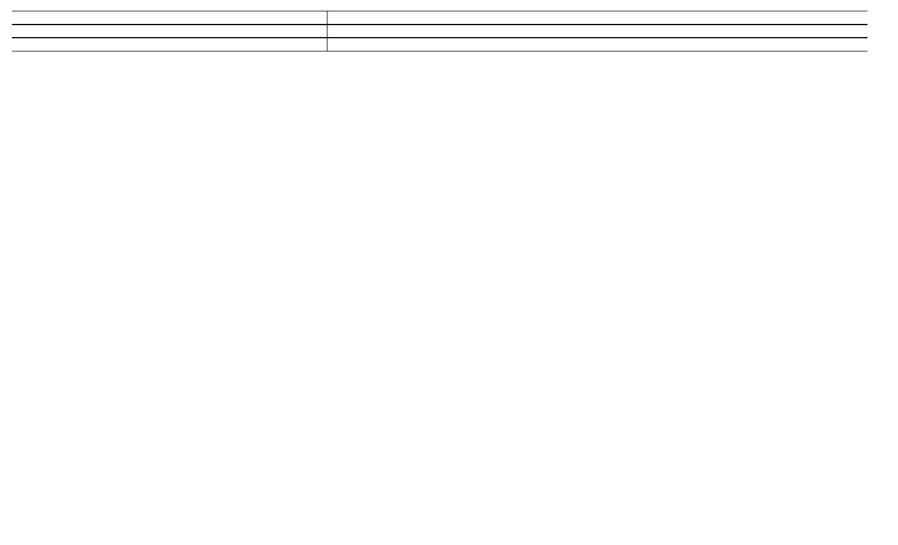| ,一个人都是一个人的人,而且,他们的人都是一个人,而且,他们的人都是一个人,而且,他们的人都是一个人,而且,他们的人都是一个人,而且,他们的人都是一个人,而且,他<br>第二十一章 一个人,他们的人都是一个人,他们的人都是一个人,他们的人都是一个人,他们的人都是一个人,他们的人都是一个人,他们的人都是一个人,他们的人都是一个人, | ,我们也不会不会。""我们的,我们也不会不会。""我们的,我们也不会不会不会。""我们的,我们也不会不会不会。""我们的,我们也不会不会不会。""我们的,我们也 |
|-----------------------------------------------------------------------------------------------------------------------------------------------------------------------|----------------------------------------------------------------------------------|
|                                                                                                                                                                       |                                                                                  |
|                                                                                                                                                                       |                                                                                  |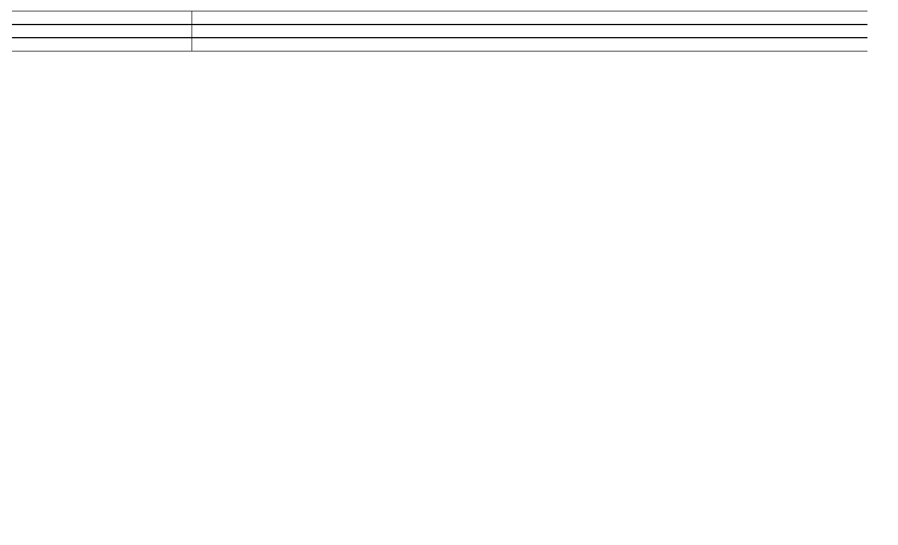| ,一个人的人都是一个人的人,而且,他们的人都是一个人的人,而且,他们的人都是一个人的人,而且,他们的人都是一个人的人,而且,他们的人都是一个人的人,而且,他们的人<br>第一百一十一章 一个人的人,他们的人都是一个人的人,他们的人都是一个人的人,他们的人都是一个人的人,他们的人都是一个人的人,他们的人都是一个人的人,他们的人都是<br>,我们就会不会不会。""我们,我们就会不会不会不会。""我们,我们就会不会不会不会不会不会。""我们,我们就会不会不会不会不会。""我们,我们就会不会不会不会不 |
|-----------------------------------------------------------------------------------------------------------------------------------------------------------------------------------------------------------------------------------------------------------|
| ,一个人都是一个人的人,而且,他们的人都是一个人,而且,他们的人都是一个人,而且,他们的人都是一个人,而且,他们的人都是一个人,而且,他们的人都是一个人,而且,他<br>第一百一十一章 一个人,他们的人都是一个人,他们的人都是一个人,他们的人都是一个人,他们的人都是一个人,他们的人都是一个人,他们的人都是一个人,他们的人都是一个                                                                                     |
|                                                                                                                                                                                                                                                           |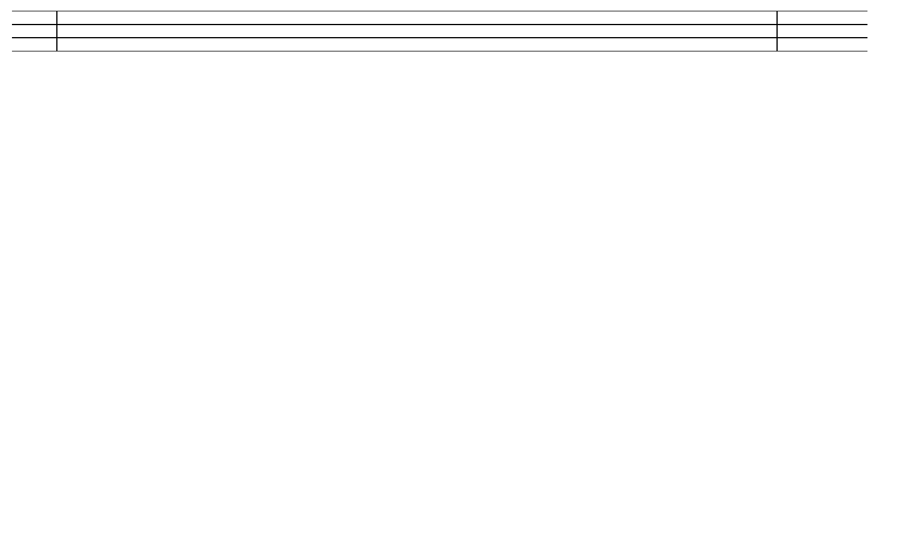| <u>та на представљен под податковата на представљен податковата на представљен податковата на представљен податк</u> |  |
|----------------------------------------------------------------------------------------------------------------------|--|
|                                                                                                                      |  |
| ,一个人都是一个人的人,一个人都是一个人的人,一个人都是一个人的人,一个人都是一个人的人,一个人都是一个人的人,一个人都是一个人的人,一个人都是一个人的人,一个人                                    |  |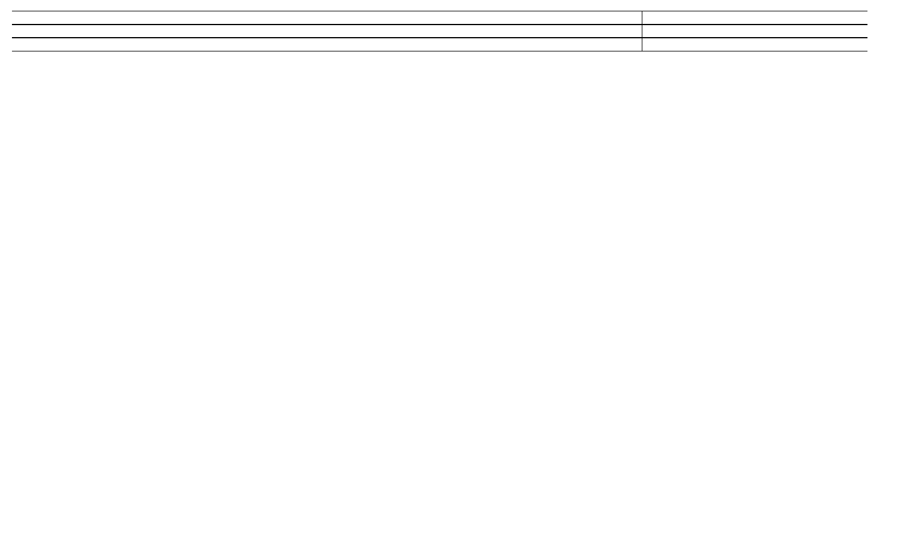| ,一个人都是一个人的人,一个人都是一个人的人,一个人都是一个人的人,一个人都是一个人的人,一个人都是一个人的人,一个人都是一个人的人,一个人都是一个人的人,一个人<br>→ South State State State State State State State State State State State State State State State State State State State State State State State State State State State State State State State State State State State St |  |
|-------------------------------------------------------------------------------------------------------------------------------------------------------------------------------------------------------------------------------------------------------------------------------------------------------------------|--|
| ,一个人的人都是一个人的人,而且,他们的人都是不是一个人的人,而且,他们的人都是不是一个人的人,而且,他们的人都是不是一个人的人,而且,他们的人都是不是一个人的<br>第一百一十一章 一个人的人,他们的人都是不是一个人的人,他们的人都是不是一个人的人,他们的人都是不是一个人的人,他们的人都是不是一个人的人,他们的人都是不是一个                                                                                                                                              |  |
| ,我们也不会不会不会。""我们的,我们也不会不会不会。""我们的,我们也不会不会不会不会不会。""我们的,我们也不会不会不会不会。""我们的,我们也不会不会不会<br>第二百一章 第二百一章 第二百一章 第二百一章 第二百一章 第二百一章 第二百一章 第二百一章 第二百一章 第二百一章 第二百一章 第二百一章 第二百一章 第二                                                                                                                                              |  |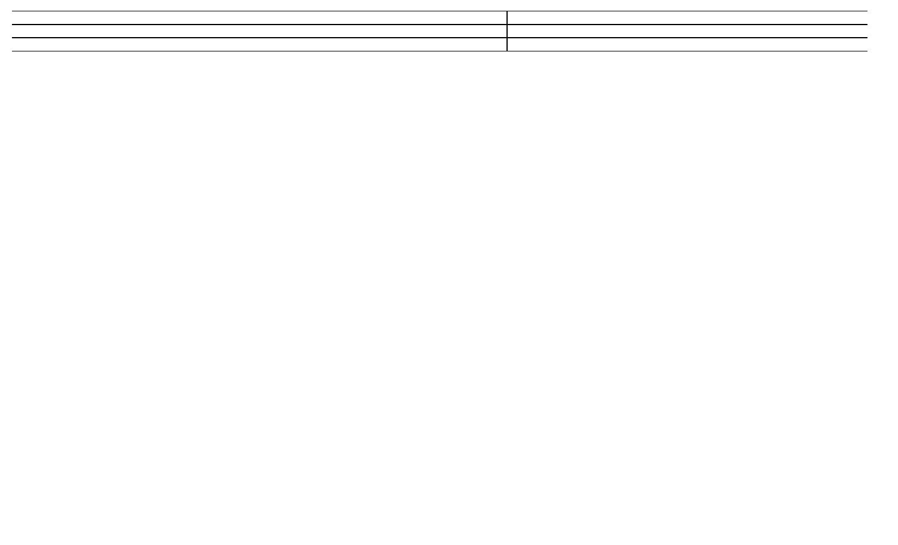| ,一个人都是一个人的人,而且,他们的人都是一个人,而且,他们的人都是一个人,而且,他们的人都是一个人,而且,他们的人都是一个人,而且,他们的人都是一个人,而且,他<br>第二十二章 第二十二章 第二十二章 第二十二章 第二十二章 第二十二章 第二十二章 第二十二章 第二十二章 第二十二章 第二十二章 第二十二章 第二十二章 第二十 |  |
|------------------------------------------------------------------------------------------------------------------------------------------------------------------------|--|
|                                                                                                                                                                        |  |
| ,我们就会不会不会。""我们的,我们也不会不会不会。""我们的,我们也不会不会不会不会不会。""我们的,我们也不会不会不会不会。""我们的,我们也不会不会不会不                                                                                       |  |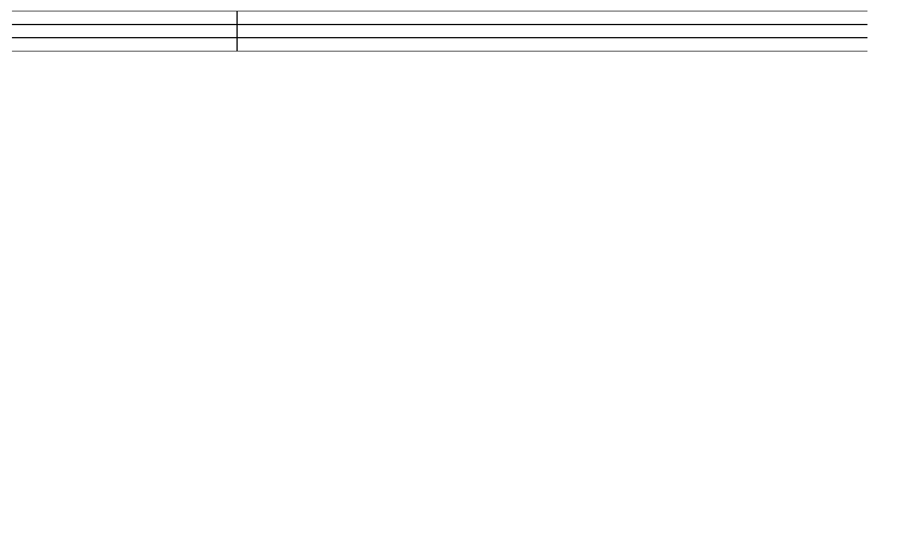| ,我们就会不会不会。""我们,我们也不会不会不会。""我们,我们也不会不会不会不会不会不会。""我们,我们也不会不会不会不会。""我们,我们也不会不会不会不会不  |
|-----------------------------------------------------------------------------------|
| ,一个人都是一个人的人,一个人都是一个人的人,一个人都是一个人的人,一个人都是一个人的人,一个人都是一个人的人,一个人都是一个人的人,一个人都是一个人的人,一个人 |
|                                                                                   |
| ,一个人都是一个人的人,而且,我们也不会不会不会。""我们,我们也不会不会不会不会不会不会不会。""我们,我们也不会不会不会不会不会不会不会不会。""我们,我们  |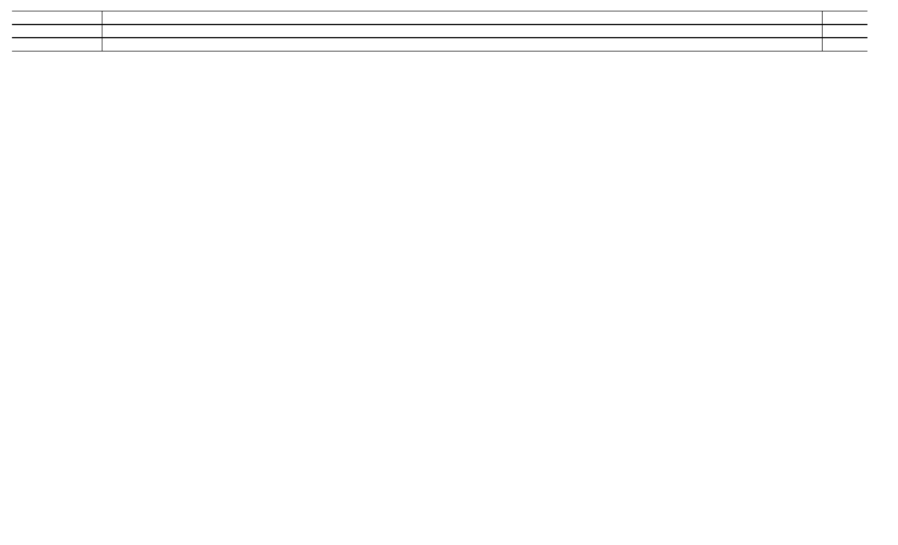| ,一个人都是一个人的人,一个人都是一个人的人,一个人都是一个人的人,一个人都是一个人的人,一个人都是一个人的人,一个人都是一个人的人,一个人都是一个人的人,一个人<br>第二十一章 一个人的人,一个人都是一个人的人,一个人都是一个人的人,一个人都是一个人的人,一个人都是一个人的人,一个人都是一个人的人,一个人都是一个人的人,一个<br>,一个人都是一个人的人,一个人都是一个人的人,一个人都是一个人的人,一个人都是一个人的人,一个人都是一个人的人,一个人都是一个人的人,一个人都是一个人的人,一个人<br>第二十一章 一个人的人,一个人都是一个人的人,一个人都是一个人的人,一个人都是一个人的人,一个人都是一个人的人,一个人都是一个人的人,一个人都是一个人的人,一个 |  |
|------------------------------------------------------------------------------------------------------------------------------------------------------------------------------------------------------------------------------------------------------------------------------------------------------------------------------------------------|--|
| ,一个人的人都是一个人的人,而且,他们的人都是一个人的人,而且,他们的人都是一个人的人,而且,他们的人都是一个人的人,而且,他们的人都是一个人的人,而且,他们的<br>第一百一十一章 一个人的人,他们的人都是一个人的人,他们的人都是一个人的人,他们的人都是一个人的人,他们的人都是一个人的人,他们的人都是一个人的人,他们的人都是                                                                                                                                                                           |  |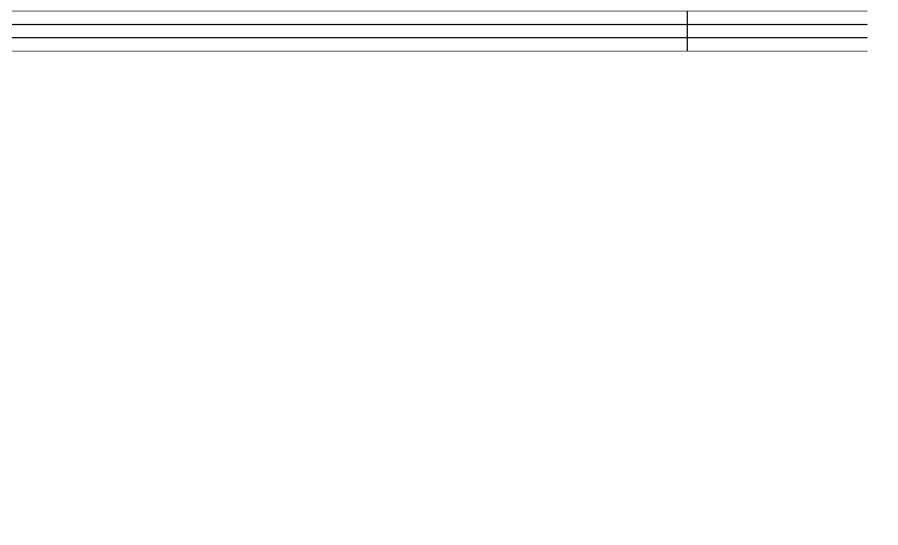| ,我们就会不会不会。""我们,我们也不会不会不会。""我们,我们也不会不会不会不会不会不会不会。""我们,我们也不会不会不会不会不会。""我们,我们也不会不会不 |  |
|----------------------------------------------------------------------------------|--|
| ,一个人的人都是一个人的人,而且,我们也不会不会不会。""我们,我们也不会不会不会不会不会不会。""我们,我们也不会不会不会不会。""我们,我们也不会不会不会不 |  |
|                                                                                  |  |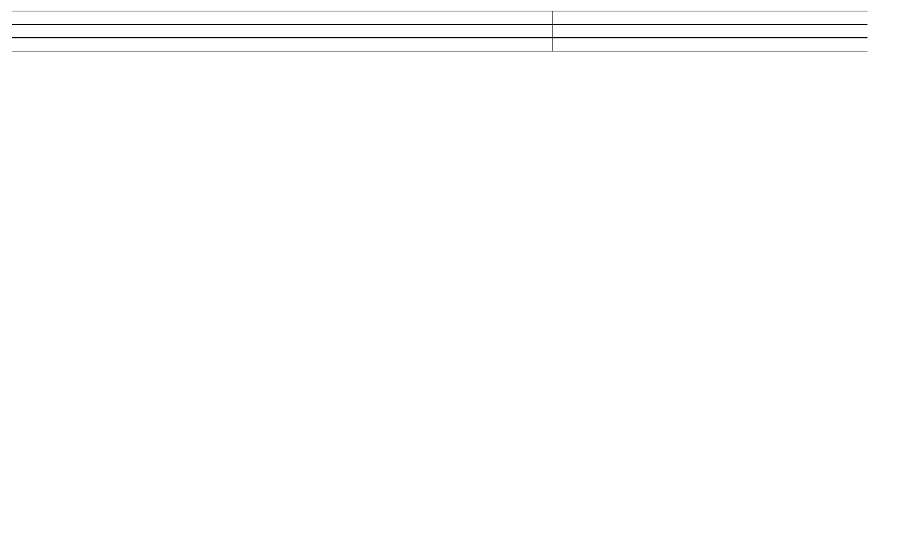| → 中国的 → 中国的 → 中国的 → 中国的 → 中国的 → 中国的 → 中国的 → 中国的 → 中国的 → 中国的 → 中国的 → 中国的 → 中国的 → 中国的 → 中国的 → 中国的 → 中国的 → 中国的 → 中国 |  |
|------------------------------------------------------------------------------------------------------------------|--|
|                                                                                                                  |  |
|                                                                                                                  |  |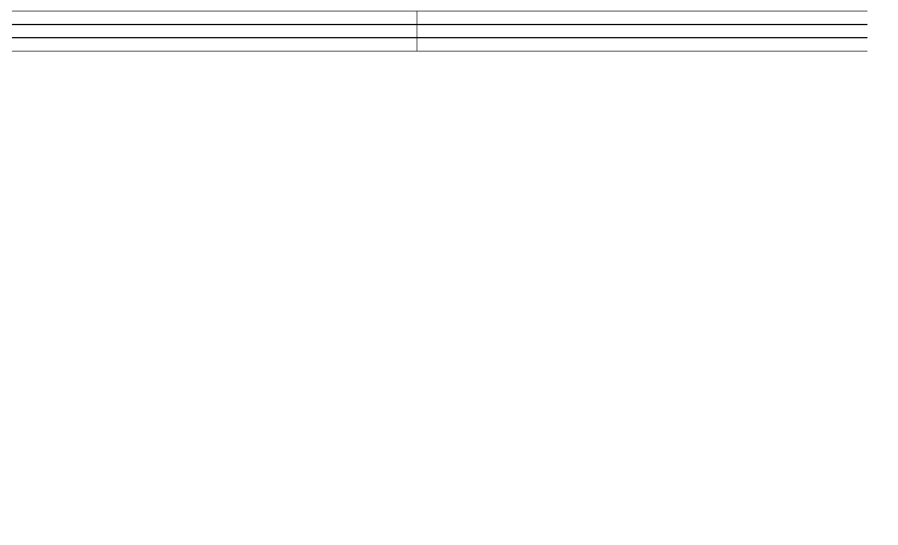| ,我们就会不会不会。""我们,我们就会不会不会不会,我们就会不会不会不会。""我们,我们就会不会不会不会。""我们,我们就会不会不会不会。""我们,我们就会不会 |                                                                                   |
|----------------------------------------------------------------------------------|-----------------------------------------------------------------------------------|
|                                                                                  | ,我们也不会不会不会。""我们的,我们也不会不会不会。""我们的,我们也不会不会不会不会。""我们的,我们也不会不会不会不会。""我们的,我们也不会不会不会不会  |
|                                                                                  | ,我们就会不会不会。""我们,我们就会不会不会,我们就会不会不会,我们就会不会不会。""我们,我们就会不会不会。""我们,我们就会不会不会不会。""我们,我们就会 |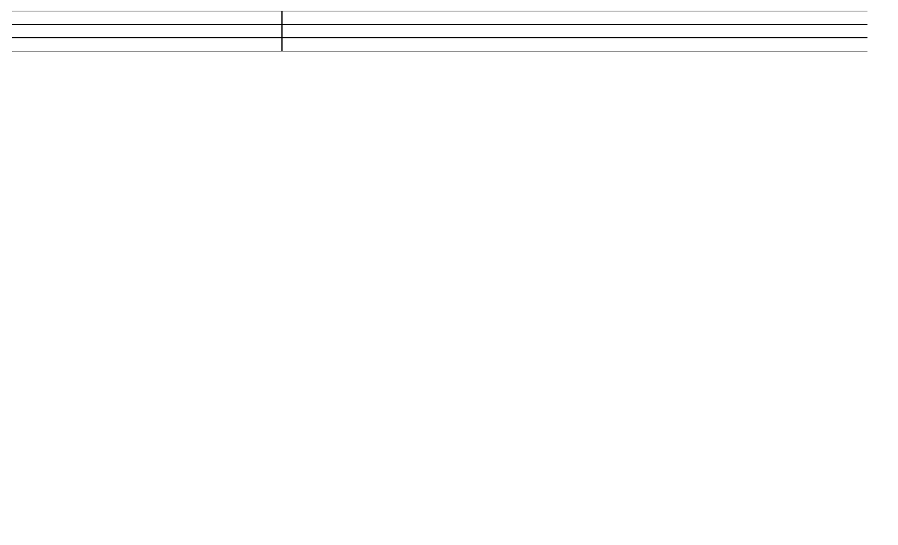| ,一个人都是一个人的人,我们就是一个人的人,我们就是一个人的人,我们就是一个人的人,我们就是一个人的人,我们就是一个人的人,我们就是一个人的人,我们就是一个人的<br>第一百一十一章 一个人的人,我们就是一个人的人,我们就是一个人的人,我们就是一个人的人,我们就是一个人的人,我们就是一个人的人,我们就是一个人的人,我们就是一个 |
|----------------------------------------------------------------------------------------------------------------------------------------------------------------------|
|                                                                                                                                                                      |
|                                                                                                                                                                      |
|                                                                                                                                                                      |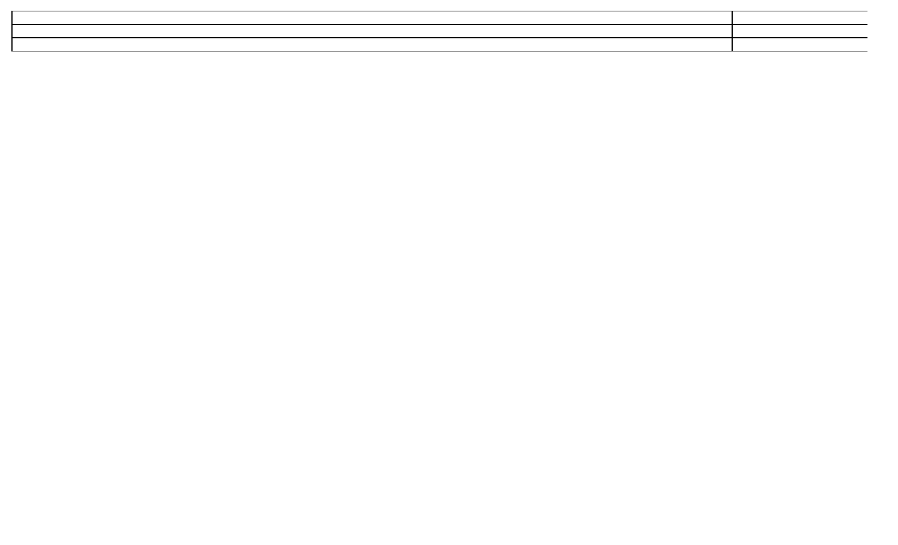| ,他们的人们就是一个人,他们的人们就是一个人,他们的人们,他们的人们就是一个人,他们的人们,他们的人们就是一个人,他们的人们,他们的人们,他们的人们,他们的人们,<br>第25章 我们的人们,他们的人们,他们的人们,他们的人们,他们的人们,他们的人们,他们的人们,他们的人们,他们的人们,他们的人们,他们的人们,他们的人们,他们的 |  |
|-----------------------------------------------------------------------------------------------------------------------------------------------------------------------|--|
| ,一个人都是一个人的人,而且,他们的人都是一个人,而且,他们的人都是一个人,而且,他们的人都是一个人,而且,他们的人都是一个人,而且,他们的人都是一个人,而且,他<br>第二百一十一章 一个人,他们的人都是一个人,他们的人都是一个人,他们的人都是一个人,他们的人都是一个人,他们的人都是一个人,他们的人都是一个人,他们的人都是一个 |  |
| ,一个人都是一个人的人,而且,他们的人都是一个人,他们的人都是一个人,他们的人都是一个人,他们的人都是一个人,他们的人都是一个人,他们的人都是一个人,他们的人都是                                                                                     |  |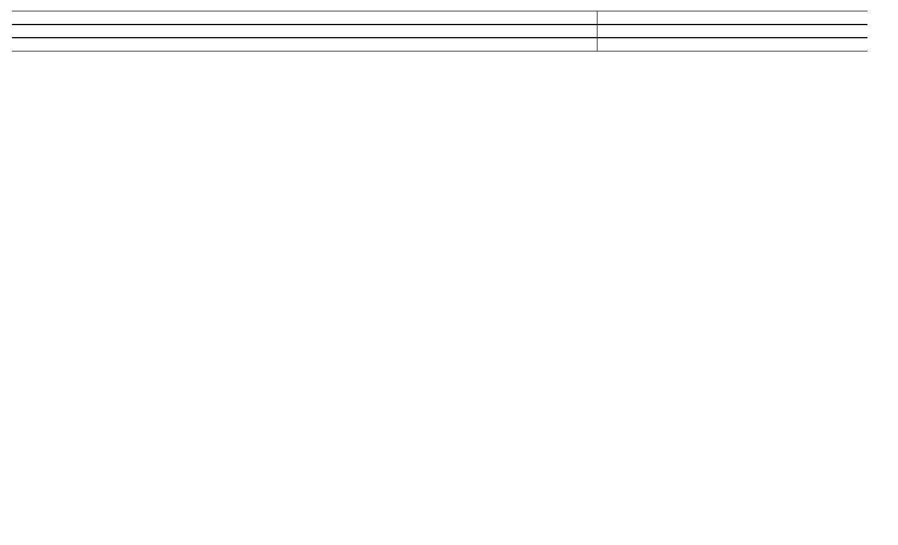| ,一个人都是一个人的人,而且,我们也不会不会不会。""我们,我们也不会不会不会不会不会不会不会不会。""我们,我们也不会不会不会不会不会不会不会不会。""我们,我<br>,他们的人们也不会不会。""我们的人们,我们也不会不会不会。""我们的人们,我们也不会不会不会。""我们的人们,我们也不会不会不会。""我们的人们,我们也不会不 |  |
|-----------------------------------------------------------------------------------------------------------------------------------------------------------------------|--|
| ,我们也不会不会不会。""我们的,我们也不会不会不会。""我们的,我们也不会不会不会不会。""我们的,我们也不会不会不会不会。""我们的,我们也不会不会不会不会                                                                                      |  |
|                                                                                                                                                                       |  |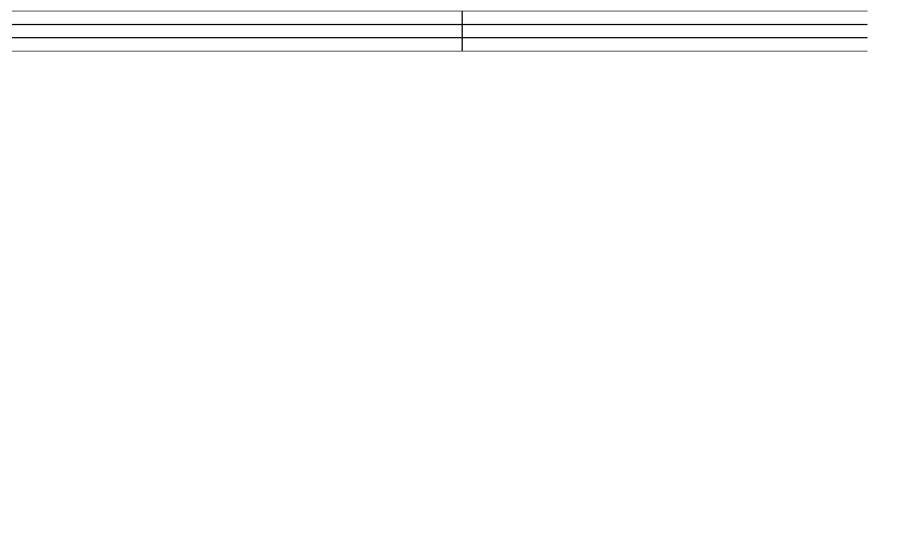| <u> 2001 - An t-An Aontaithe ann an t-Aontaithe ann an t-Aontaithe ann an t-Aontaithe ann an t-Aontaithe ann an t-</u> |
|------------------------------------------------------------------------------------------------------------------------|
|                                                                                                                        |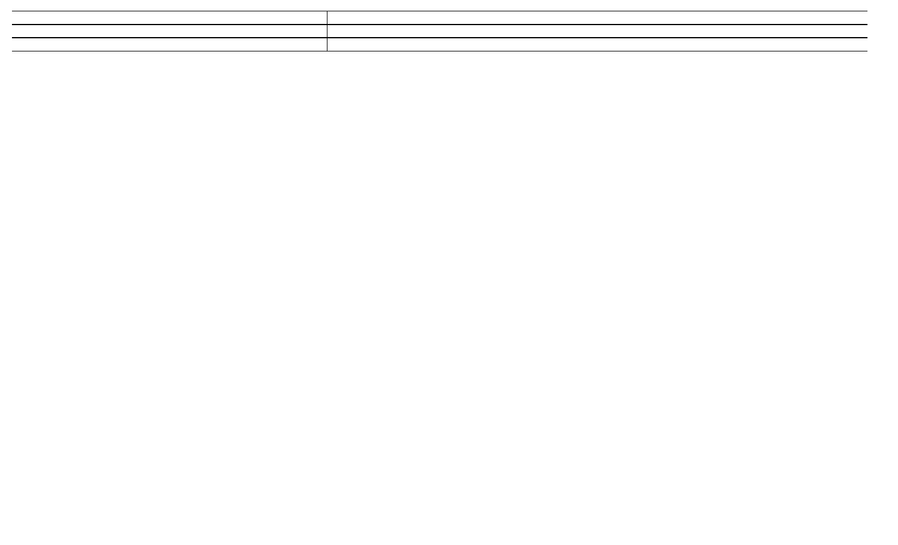| ,一个人都是一个人的人,而且,他们的人都是一个人,而且,他们的人都是一个人,而且,他们的人都是一个人,而且,他们的人都是一个人,而且,他们的人都是一个人,而且,他<br>第二十一章 一个人,他们的人都是一个人,他们的人都是一个人,他们的人都是一个人,他们的人都是一个人,他们的人都是一个人,他们的人都是一个人,他们的人都是一个人, | ,我们也不会不会。""我们的,我们也不会不会。""我们的,我们也不会不会不会。""我们的,我们也不会不会不会。""我们的,我们也不会不会不会。""我们的,我们也 |
|-----------------------------------------------------------------------------------------------------------------------------------------------------------------------|----------------------------------------------------------------------------------|
|                                                                                                                                                                       |                                                                                  |
|                                                                                                                                                                       |                                                                                  |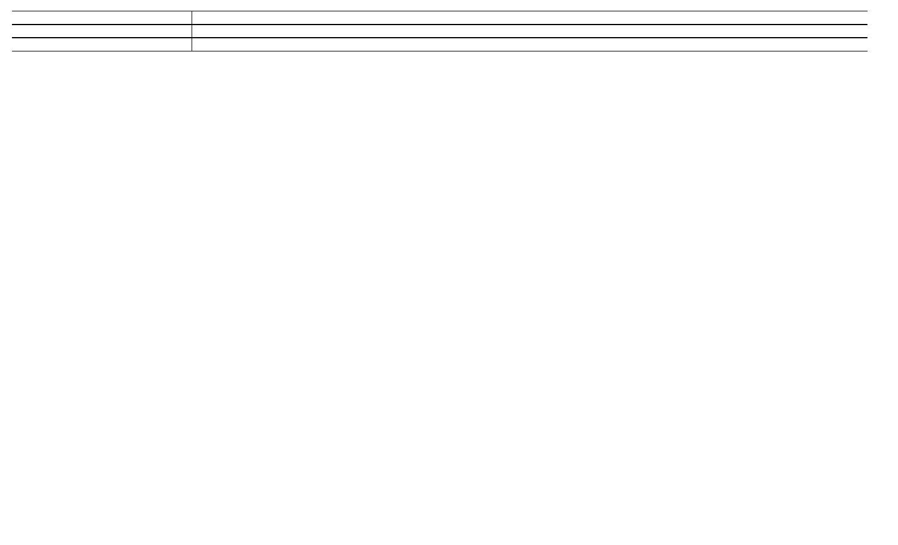| ,一个人的人都是一个人的人,而且,他们的人都是一个人的人,而且,他们的人都是一个人的人,而且,他们的人都是一个人的人,而且,他们的人都是一个人的人,而且,他们的人<br>第一百一十一章 一个人的人,他们的人都是一个人的人,他们的人都是一个人的人,他们的人都是一个人的人,他们的人都是一个人的人,他们的人都是一个人的人,他们的人都是<br>,我们就会不会不会。""我们,我们就会不会不会不会。""我们,我们就会不会不会不会不会不会。""我们,我们就会不会不会不会不会。""我们,我们就会不会不会不会不 |
|-----------------------------------------------------------------------------------------------------------------------------------------------------------------------------------------------------------------------------------------------------------|
| ,一个人都是一个人的人,而且,他们的人都是一个人,而且,他们的人都是一个人,而且,他们的人都是一个人,而且,他们的人都是一个人,而且,他们的人都是一个人,而且,他<br>第二十一章 一个人,他们的人都是一个人,他们的人都是一个人,他们的人都是一个人,他们的人都是一个人,他们的人都是一个人,他们的人都是一个人,他们的人都是一个人,                                                                                     |
|                                                                                                                                                                                                                                                           |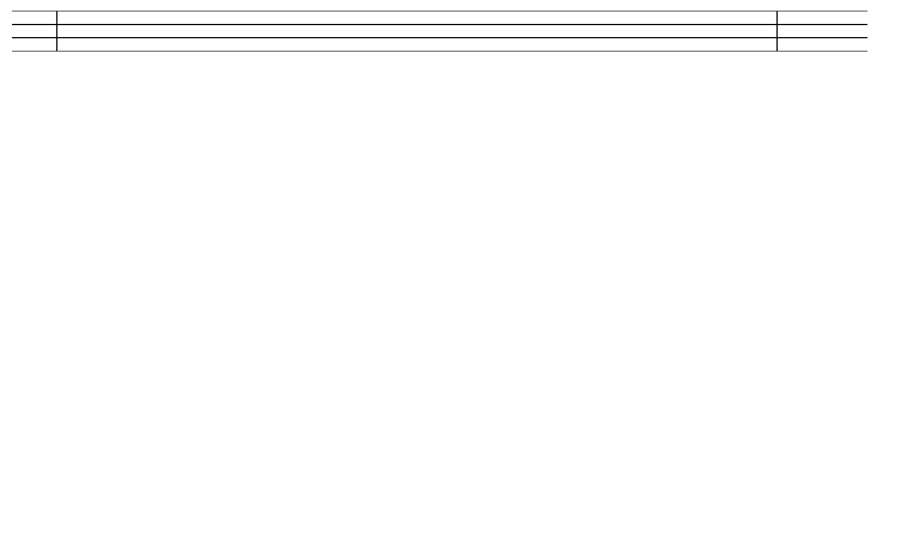| <u>та на представљен под податковата на представљен податковата на представљен податковата на представљен податк</u> |  |
|----------------------------------------------------------------------------------------------------------------------|--|
|                                                                                                                      |  |
| ,一个人都是一个人的人,一个人都是一个人的人,一个人都是一个人的人,一个人都是一个人的人,一个人都是一个人的人,一个人都是一个人的人,一个人都是一个人的人,一个人                                    |  |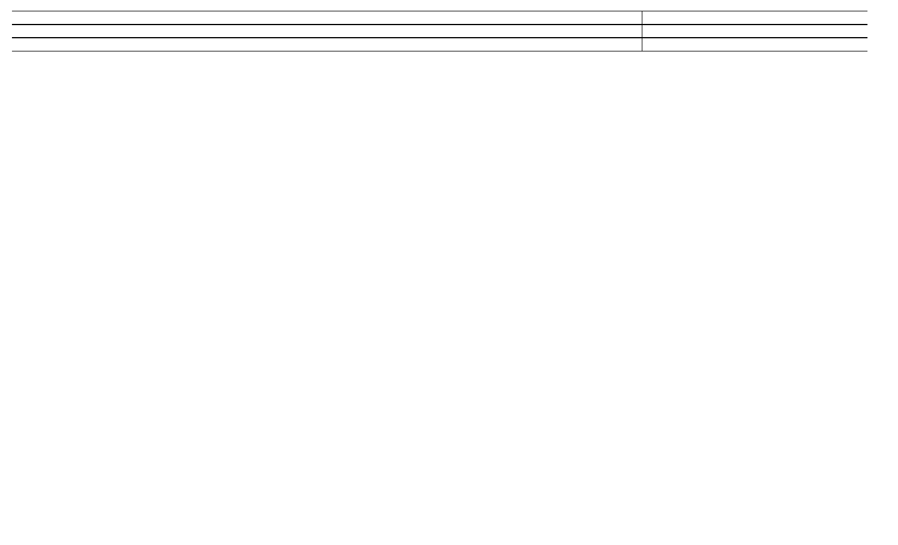| ,一个人都是一个人的人,一个人都是一个人的人,一个人都是一个人的人,一个人都是一个人的人,一个人都是一个人的人,一个人都是一个人的人,一个人都是一个人的人,一个人<br>→ South State State State State State State State State State State State State State State State State State State State State State State State State State State State State State State State State State State State St |  |
|-------------------------------------------------------------------------------------------------------------------------------------------------------------------------------------------------------------------------------------------------------------------------------------------------------------------|--|
| ,一个人的人都是一个人的人,而且,他们的人都是不是一个人的人,而且,他们的人都是不是一个人的人,而且,他们的人都是不是一个人的人,而且,他们的人都是不是一个人的<br>第一百一十一章 一个人的人,他们的人都是不是一个人的人,他们的人都是不是一个人的人,他们的人都是不是一个人的人,他们的人都是不是一个人的人,他们的人都是不是一个                                                                                                                                              |  |
| ,我们也不会不会不会。""我们的,我们也不会不会不会。""我们的,我们也不会不会不会不会不会。""我们的,我们也不会不会不会不会。""我们的,我们也不会不会不会<br>第二百一章 第二百一章 第二百一章 第二百一章 第二百一章 第二百一章 第二百一章 第二百一章 第二百一章 第二百一章 第二百一章 第二百一章 第二百一章 第二                                                                                                                                              |  |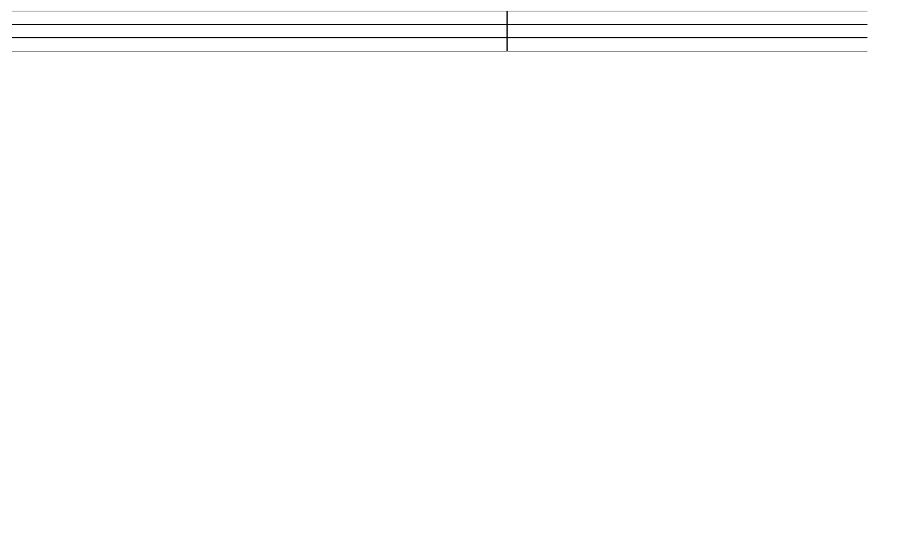| ,一个人都是一个人的人,而且,他们的人都是一个人,而且,他们的人都是一个人,而且,他们的人都是一个人,而且,他们的人都是一个人,而且,他们的人都是一个人,而且,他<br>第二十二章 第二十二章 第二十二章 第二十二章 第二十二章 第二十二章 第二十二章 第二十二章 第二十二章 第二十二章 第二十二章 第二十二章 第二十二章 第二十 |  |
|------------------------------------------------------------------------------------------------------------------------------------------------------------------------|--|
|                                                                                                                                                                        |  |
| ,我们就会不会不会。""我们的,我们也不会不会不会。""我们的,我们也不会不会不会不会不会。""我们的,我们也不会不会不会不会。""我们的,我们也不会不会不会不                                                                                       |  |